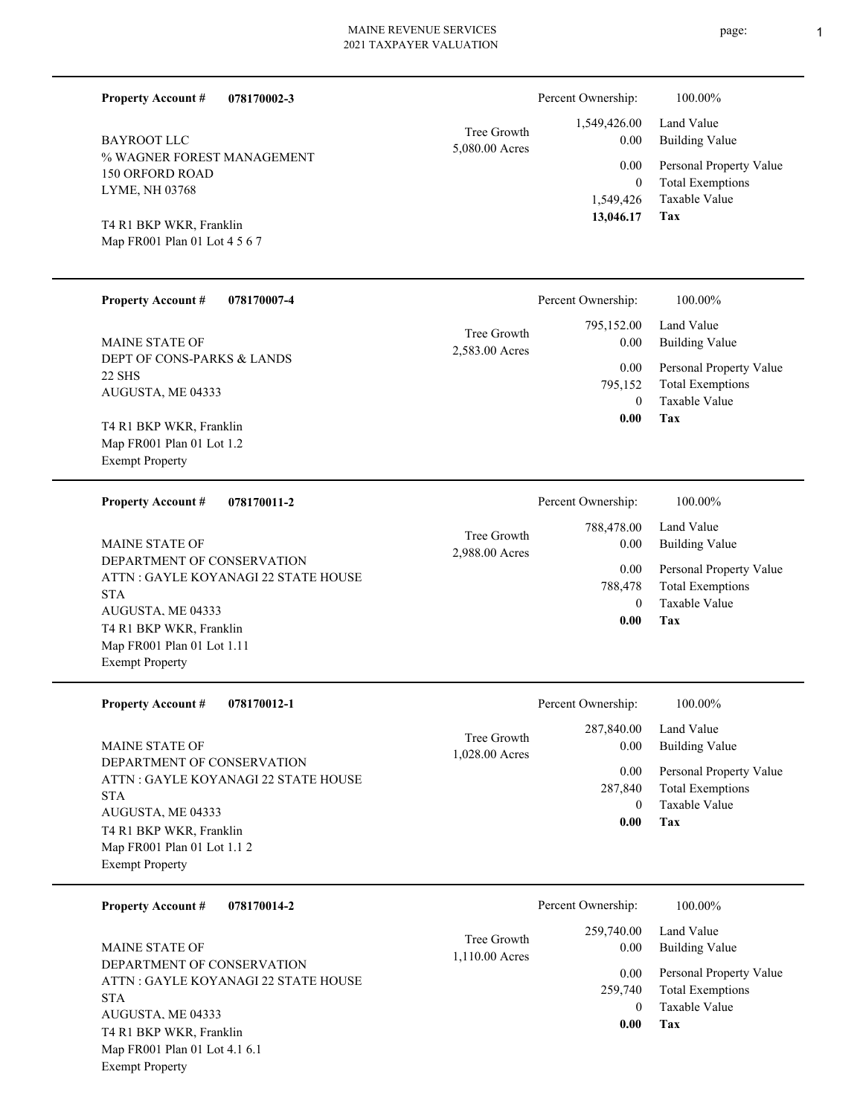| <b>Property Account #</b><br>078170002-3                         |                               | Percent Ownership:                  | 100.00%                                            |
|------------------------------------------------------------------|-------------------------------|-------------------------------------|----------------------------------------------------|
| Tree Growth<br><b>BAYROOT LLC</b><br>5,080.00 Acres              | 1,549,426.00<br>0.00          | Land Value<br><b>Building Value</b> |                                                    |
| % WAGNER FOREST MANAGEMENT<br>150 ORFORD ROAD                    |                               | 0.00<br>$\mathbf{0}$                | Personal Property Value<br><b>Total Exemptions</b> |
| LYME, NH 03768                                                   |                               | 1,549,426<br>13,046.17              | Taxable Value<br>Tax                               |
| T4 R1 BKP WKR, Franklin<br>Map FR001 Plan 01 Lot 4 5 6 7         |                               |                                     |                                                    |
|                                                                  |                               |                                     |                                                    |
| <b>Property Account #</b><br>078170007-4                         |                               | Percent Ownership:                  | 100.00%                                            |
| MAINE STATE OF                                                   | Tree Growth<br>2,583.00 Acres | 795,152.00<br>0.00                  | Land Value<br><b>Building Value</b>                |
| DEPT OF CONS-PARKS & LANDS<br><b>22 SHS</b><br>AUGUSTA, ME 04333 |                               | 0.00<br>795,152                     | Personal Property Value<br><b>Total Exemptions</b> |
|                                                                  |                               | $\theta$                            | Taxable Value                                      |
| T4 R1 BKP WKR, Franklin                                          |                               | 0.00                                | Tax                                                |
| Map FR001 Plan 01 Lot 1.2<br><b>Exempt Property</b>              |                               |                                     |                                                    |
|                                                                  |                               |                                     |                                                    |
| 078170011-2<br><b>Property Account #</b>                         |                               | Percent Ownership:                  | 100.00%                                            |
| MAINE STATE OF                                                   | Tree Growth                   | 788,478.00<br>0.00                  | Land Value<br><b>Building Value</b>                |
| DEPARTMENT OF CONSERVATION                                       | 2,988.00 Acres                | 0.00                                | Personal Property Value                            |
| ATTN : GAYLE KOYANAGI 22 STATE HOUSE<br><b>STA</b>               |                               | 788,478                             | <b>Total Exemptions</b>                            |
| AUGUSTA, ME 04333                                                |                               | $\theta$<br>0.00                    | Taxable Value<br>Tax                               |
| T4 R1 BKP WKR, Franklin<br>Map FR001 Plan 01 Lot 1.11            |                               |                                     |                                                    |
| <b>Exempt Property</b>                                           |                               |                                     |                                                    |
| <b>Property Account #</b><br>078170012-1                         |                               | Percent Ownership:                  | 100.00%                                            |
|                                                                  | Tree Growth                   | 287,840.00                          | Land Value                                         |
| MAINE STATE OF<br>DEPARTMENT OF CONSERVATION                     | 1,028.00 Acres                | 0.00                                | <b>Building Value</b>                              |
| ATTN : GAYLE KOYANAGI 22 STATE HOUSE                             |                               | 0.00<br>287,840                     | Personal Property Value<br><b>Total Exemptions</b> |
| <b>STA</b><br>AUGUSTA, ME 04333                                  |                               | $\overline{0}$                      | Taxable Value                                      |
| T4 R1 BKP WKR, Franklin                                          |                               | 0.00                                | Tax                                                |
| Map FR001 Plan 01 Lot 1.1 2                                      |                               |                                     |                                                    |
| <b>Exempt Property</b>                                           |                               |                                     |                                                    |
| 078170014-2<br><b>Property Account #</b>                         |                               | Percent Ownership:                  | 100.00%                                            |
|                                                                  | Tree Growth                   | 259,740.00                          | Land Value<br><b>Building Value</b>                |
| <b>MAINE STATE OF</b>                                            | 1,110.00 Acres                | 0.00                                |                                                    |

DEPARTMENT OF CONSERVATION ATTN : GAYLE KOYANAGI 22 STATE HOUSE STA AUGUSTA, ME 04333 Map FR001 Plan 01 Lot 4.1 6.1 Exempt Property T4 R1 BKP WKR, Franklin

**Tax 0.00** Taxable Value 259,740 Total Exemptions 0.00 Personal Property Value 0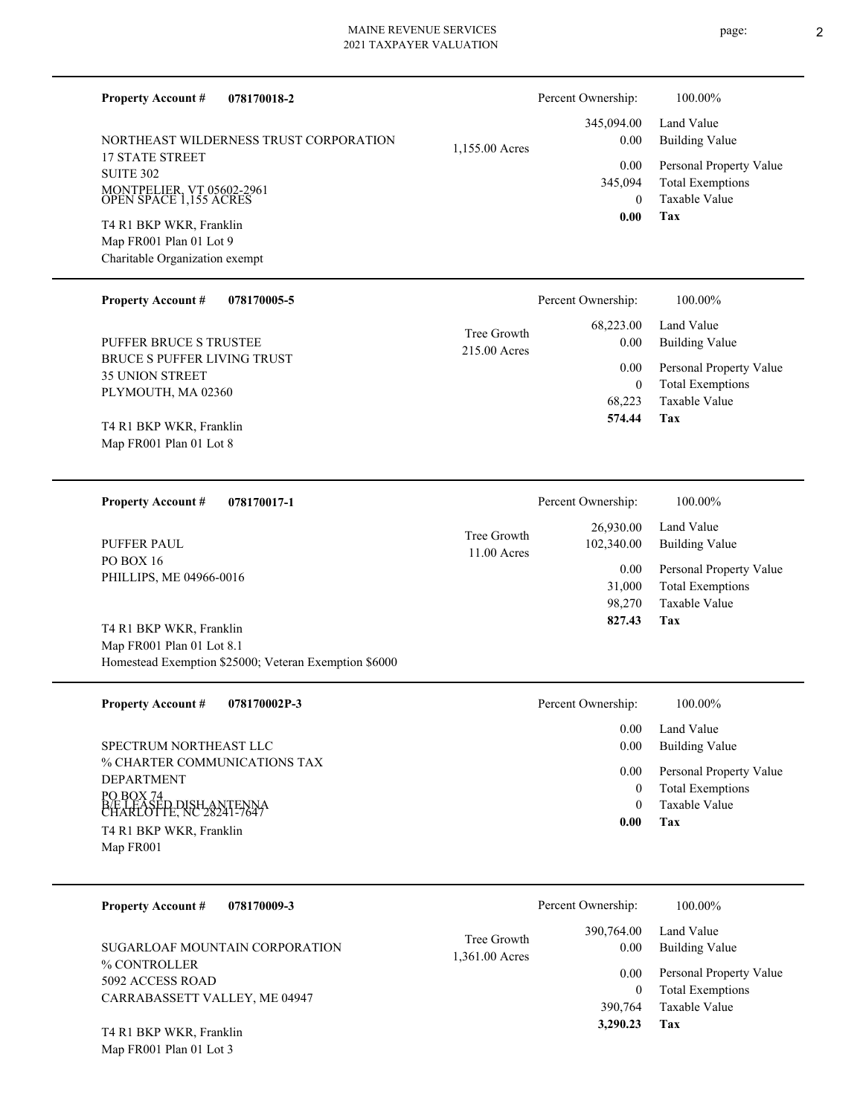| <b>Property Account #</b><br>078170018-2                                      |                               | Percent Ownership:             | 100.00%                                            |
|-------------------------------------------------------------------------------|-------------------------------|--------------------------------|----------------------------------------------------|
| NORTHEAST WILDERNESS TRUST CORPORATION                                        | 1,155.00 Acres                | 345,094.00<br>0.00             | Land Value<br><b>Building Value</b>                |
| <b>17 STATE STREET</b><br><b>SUITE 302</b>                                    |                               | 0.00<br>345,094                | Personal Property Value<br><b>Total Exemptions</b> |
| MONTPELIER, VT 05602-2961<br>OPEN SPACE 1,155 ACRES                           |                               | $\overline{0}$<br>0.00         | <b>Taxable Value</b><br>Tax                        |
| T4 R1 BKP WKR, Franklin<br>Map FR001 Plan 01 Lot 9                            |                               |                                |                                                    |
| Charitable Organization exempt                                                |                               |                                |                                                    |
| <b>Property Account #</b><br>078170005-5                                      |                               | Percent Ownership:             | 100.00%                                            |
| PUFFER BRUCE S TRUSTEE                                                        | Tree Growth<br>215.00 Acres   | 68,223.00<br>0.00              | Land Value<br><b>Building Value</b>                |
| <b>BRUCE S PUFFER LIVING TRUST</b><br><b>35 UNION STREET</b>                  |                               | 0.00                           | Personal Property Value                            |
| PLYMOUTH, MA 02360                                                            |                               | $\boldsymbol{0}$<br>68,223     | <b>Total Exemptions</b><br>Taxable Value           |
| T4 R1 BKP WKR, Franklin                                                       |                               | 574.44                         | Tax                                                |
| Map FR001 Plan 01 Lot 8                                                       |                               |                                |                                                    |
| 078170017-1<br><b>Property Account #</b>                                      |                               | Percent Ownership:             | 100.00%                                            |
| <b>PUFFER PAUL</b>                                                            | Tree Growth<br>11.00 Acres    | 26,930.00<br>102,340.00        | Land Value<br><b>Building Value</b>                |
| PO BOX 16<br>PHILLIPS, ME 04966-0016                                          |                               | 0.00                           | Personal Property Value                            |
|                                                                               |                               | 31,000<br>98,270               | <b>Total Exemptions</b><br>Taxable Value           |
| T4 R1 BKP WKR, Franklin<br>Map FR001 Plan 01 Lot 8.1                          |                               | 827.43                         | Tax                                                |
| Homestead Exemption \$25000; Veteran Exemption \$6000                         |                               |                                |                                                    |
| <b>Property Account#</b><br>078170002P-3                                      |                               | Percent Ownership:             | 100.00%                                            |
| SPECTRUM NORTHEAST LLC                                                        |                               | 0.00<br>0.00                   | Land Value<br><b>Building Value</b>                |
| % CHARTER COMMUNICATIONS TAX                                                  |                               | 0.00                           | Personal Property Value                            |
| <b>DEPARTMENT</b><br>PO BOX 74                                                |                               | $\mathbf{0}$<br>$\overline{0}$ | <b>Total Exemptions</b><br>Taxable Value           |
| BE LEASED DISH ANTENNA<br>CHARLOTTE, NC 28241-7647<br>T4 R1 BKP WKR, Franklin |                               | 0.00                           | Tax                                                |
| Map FR001                                                                     |                               |                                |                                                    |
| <b>Property Account #</b><br>078170009-3                                      |                               | Percent Ownership:             | 100.00%                                            |
| SUGARLOAF MOUNTAIN CORPORATION<br>$0/CO$ COMPROLER                            | Tree Growth<br>1,361.00 Acres | 390,764.00<br>0.00             | Land Value<br><b>Building Value</b>                |

% CONTROLLER 5092 ACCESS ROAD CARRABASSETT VALLEY, ME 04947

Map FR001 Plan 01 Lot 3 T4 R1 BKP WKR, Franklin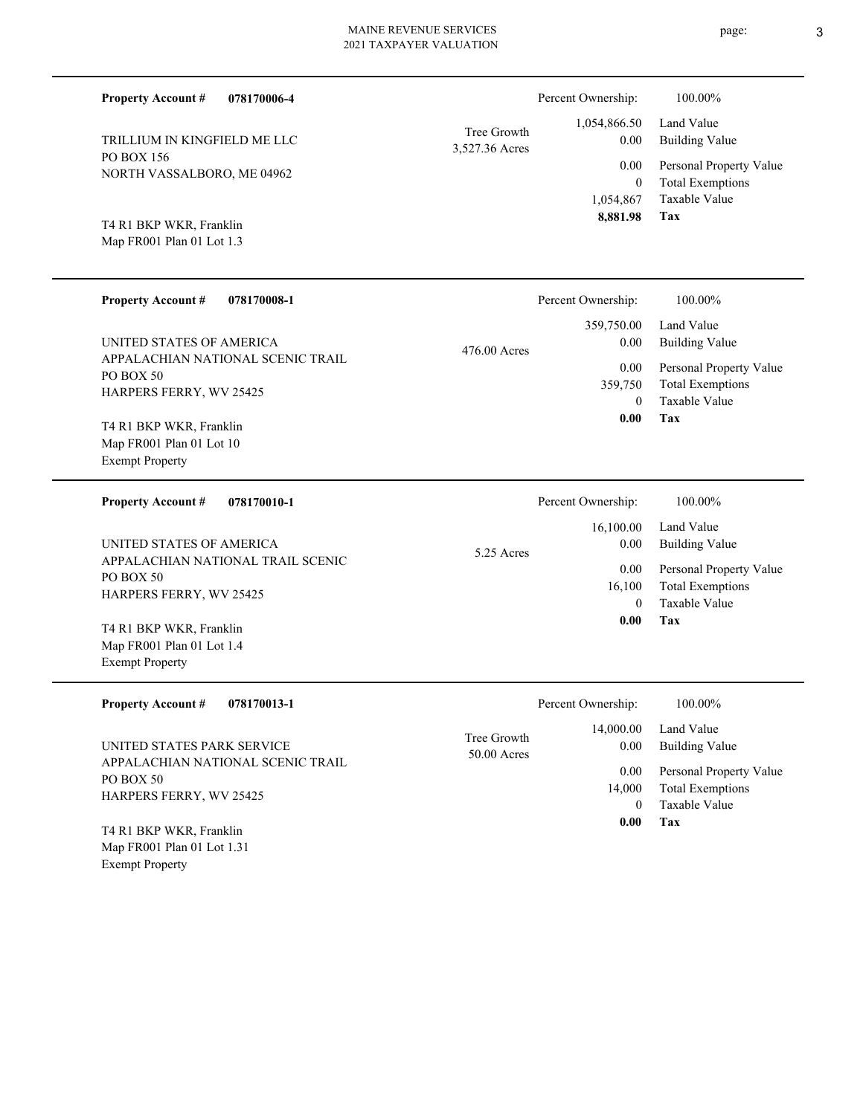| <b>Property Account #</b>                                                     | 078170006-4 |                               | Percent Ownership:     | 100.00%                                            |
|-------------------------------------------------------------------------------|-------------|-------------------------------|------------------------|----------------------------------------------------|
| TRILLIUM IN KINGFIELD ME LLC                                                  |             | Tree Growth<br>3,527.36 Acres | 1,054,866.50<br>0.00   | Land Value<br><b>Building Value</b>                |
| <b>PO BOX 156</b><br>NORTH VASSALBORO, ME 04962                               |             |                               | 0.00<br>$\mathbf{0}$   | Personal Property Value<br><b>Total Exemptions</b> |
|                                                                               |             |                               | 1,054,867<br>8,881.98  | Taxable Value<br>Tax                               |
| T4 R1 BKP WKR, Franklin<br>Map FR001 Plan 01 Lot 1.3                          |             |                               |                        |                                                    |
| <b>Property Account #</b>                                                     | 078170008-1 |                               | Percent Ownership:     | 100.00%                                            |
| UNITED STATES OF AMERICA                                                      |             | 476.00 Acres                  | 359,750.00<br>0.00     | Land Value<br><b>Building Value</b>                |
| APPALACHIAN NATIONAL SCENIC TRAIL<br>PO BOX 50                                |             |                               | 0.00<br>359,750        | Personal Property Value<br><b>Total Exemptions</b> |
| HARPERS FERRY, WV 25425                                                       |             |                               | $\theta$               | Taxable Value                                      |
| T4 R1 BKP WKR, Franklin<br>Map FR001 Plan 01 Lot 10<br><b>Exempt Property</b> |             |                               | 0.00                   | <b>Tax</b>                                         |
| <b>Property Account #</b>                                                     | 078170010-1 |                               | Percent Ownership:     | 100.00%                                            |
| UNITED STATES OF AMERICA                                                      |             | 5.25 Acres                    | 16,100.00<br>0.00      | Land Value<br><b>Building Value</b>                |
| APPALACHIAN NATIONAL TRAIL SCENIC<br>PO BOX 50                                |             |                               | 0.00                   | Personal Property Value                            |
| HARPERS FERRY, WV 25425                                                       |             |                               | 16,100<br>$\mathbf{0}$ | <b>Total Exemptions</b><br>Taxable Value           |
| T4 R1 BKP WKR, Franklin                                                       |             |                               | 0.00                   | <b>Tax</b>                                         |
| Map FR001 Plan 01 Lot 1.4<br><b>Exempt Property</b>                           |             |                               |                        |                                                    |
| <b>Property Account #</b>                                                     | 078170013-1 |                               | Percent Ownership:     | 100.00%                                            |

| <b>Property Account #</b><br>078170013-1                        | Percent Ownership:                        | 100.00%                              |
|-----------------------------------------------------------------|-------------------------------------------|--------------------------------------|
| UNITED STATES PARK SERVICE<br>APPALACHIAN NATIONAL SCENIC TRAIL | 14,000.00<br>Tree Growth<br>$50.00$ Acres | Land Value<br>Building Value<br>0.00 |
| PO BOX 50                                                       |                                           | Personal Property Value<br>0.00      |
| <b>HARPERS FERRY, WV 25425</b>                                  |                                           | <b>Total Exemptions</b><br>14,000    |
|                                                                 |                                           | Taxable Value<br>$\Omega$            |
| T4 R1 BKP WKR, Franklin                                         |                                           | Tax<br>0.00                          |
| Map FR001 Plan 01 Lot 1.31                                      |                                           |                                      |

# Exempt Property

 $\overline{\phantom{a}}$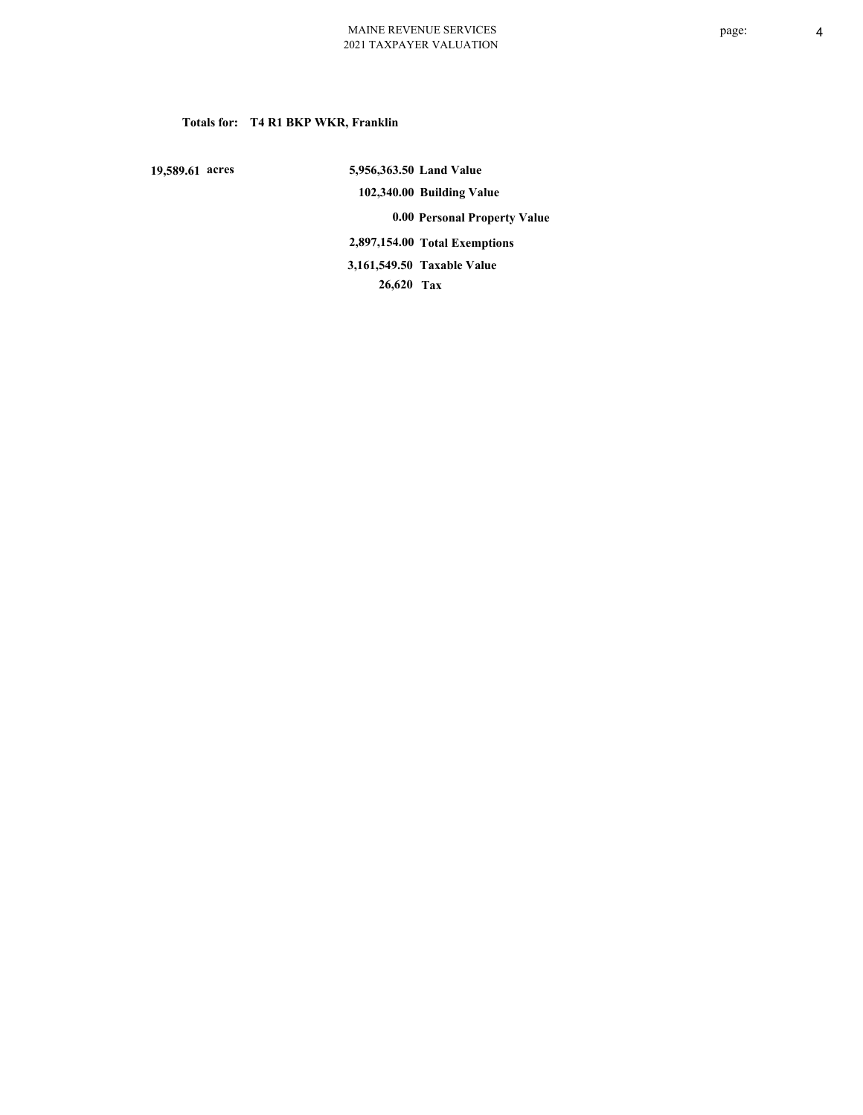# **Totals for: T4 R1 BKP WKR, Franklin**

 **19,589.61 acres**

 **5,956,363.50 Land Value 102,340.00 Building Value 0.00 Personal Property Value 2,897,154.00 Total Exemptions 26,620 Tax Taxable Value 3,161,549.50**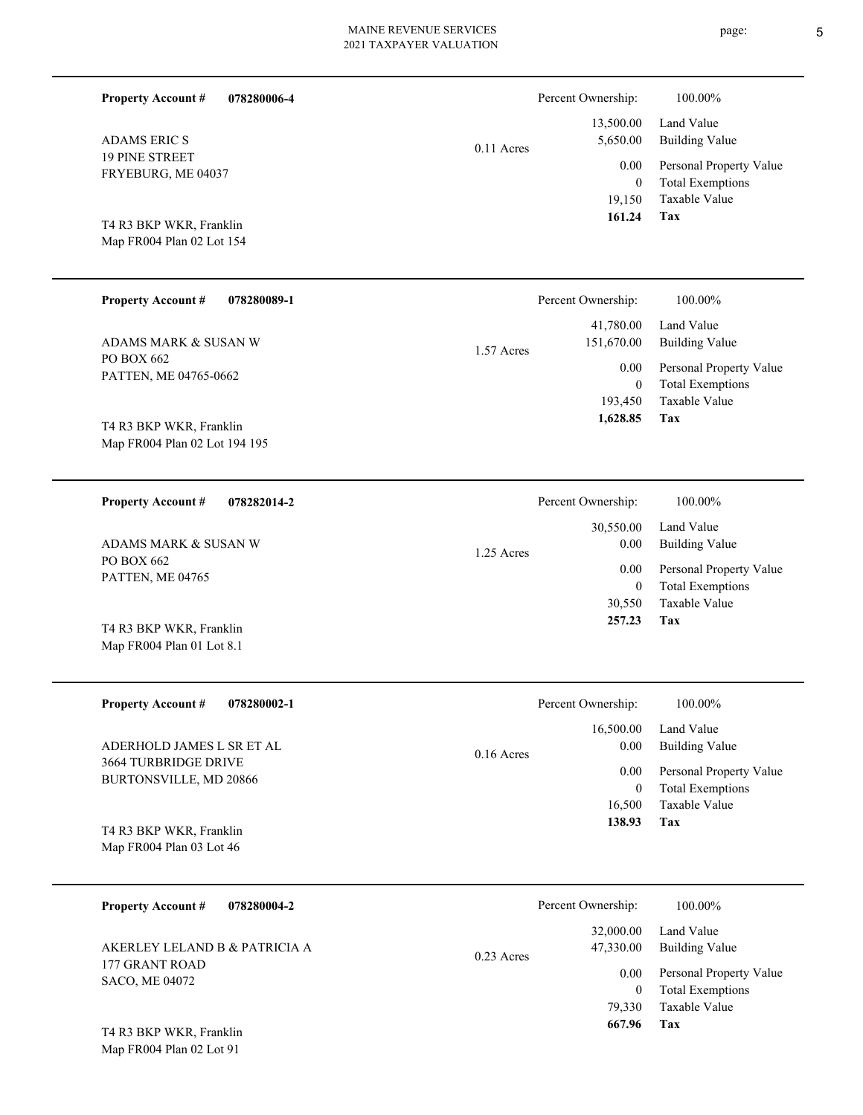| <b>Property Account #</b><br>078280006-4                                                        |              | Percent Ownership:                              | 100.00%                                                                           |
|-------------------------------------------------------------------------------------------------|--------------|-------------------------------------------------|-----------------------------------------------------------------------------------|
| <b>ADAMS ERIC S</b>                                                                             | 0.11 Acres   | 13,500.00<br>5,650.00                           | Land Value<br><b>Building Value</b>                                               |
| <b>19 PINE STREET</b><br>FRYEBURG, ME 04037<br>T4 R3 BKP WKR, Franklin                          |              | 0.00<br>$\boldsymbol{0}$<br>19,150<br>161.24    | Personal Property Value<br><b>Total Exemptions</b><br>Taxable Value<br>Tax        |
| Map FR004 Plan 02 Lot 154                                                                       |              |                                                 |                                                                                   |
| <b>Property Account #</b><br>078280089-1                                                        |              | Percent Ownership:                              | 100.00%                                                                           |
| ADAMS MARK & SUSAN W                                                                            | 1.57 Acres   | 41,780.00<br>151,670.00                         | Land Value<br><b>Building Value</b>                                               |
| PO BOX 662<br>PATTEN, ME 04765-0662<br>T4 R3 BKP WKR, Franklin<br>Map FR004 Plan 02 Lot 194 195 |              | 0.00<br>$\boldsymbol{0}$<br>193,450<br>1,628.85 | Personal Property Value<br><b>Total Exemptions</b><br><b>Taxable Value</b><br>Tax |
| <b>Property Account #</b><br>078282014-2                                                        |              | Percent Ownership:                              | 100.00%                                                                           |
|                                                                                                 |              | 30,550.00                                       | Land Value                                                                        |
| ADAMS MARK & SUSAN W                                                                            | 1.25 Acres   | 0.00                                            | <b>Building Value</b>                                                             |
| PO BOX 662<br>PATTEN, ME 04765                                                                  |              | 0.00<br>$\boldsymbol{0}$<br>30,550              | Personal Property Value<br><b>Total Exemptions</b><br>Taxable Value               |
| T4 R3 BKP WKR, Franklin<br>Map FR004 Plan 01 Lot 8.1                                            |              | 257.23                                          | <b>Tax</b>                                                                        |
| <b>Property Account #</b><br>078280002-1                                                        |              | Percent Ownership:                              | 100.00%                                                                           |
| ADERHOLD JAMES L SR ET AL                                                                       |              | 16,500.00<br>0.00                               | Land Value<br><b>Building Value</b>                                               |
| 3664 TURBRIDGE DRIVE<br>BURTONSVILLE, MD 20866                                                  | $0.16$ Acres | 0.00<br>$\bf{0}$<br>16,500                      | Personal Property Value<br><b>Total Exemptions</b><br>Taxable Value               |
| T4 R3 BKP WKR, Franklin<br>Map FR004 Plan 03 Lot 46                                             |              | 138.93                                          | <b>Tax</b>                                                                        |
| 078280004-2<br><b>Property Account #</b>                                                        |              | Percent Ownership:                              | 100.00%                                                                           |
| AKERLEY LELAND B & PATRICIA A<br>177 GRANT ROAD                                                 | 0.23 Acres   | 32,000.00<br>47,330.00                          | Land Value<br><b>Building Value</b>                                               |

SACO, ME 04072

**Tax**

 79,330  **667.96**

Taxable Value 0 Total Exemptions 0.00 Personal Property Value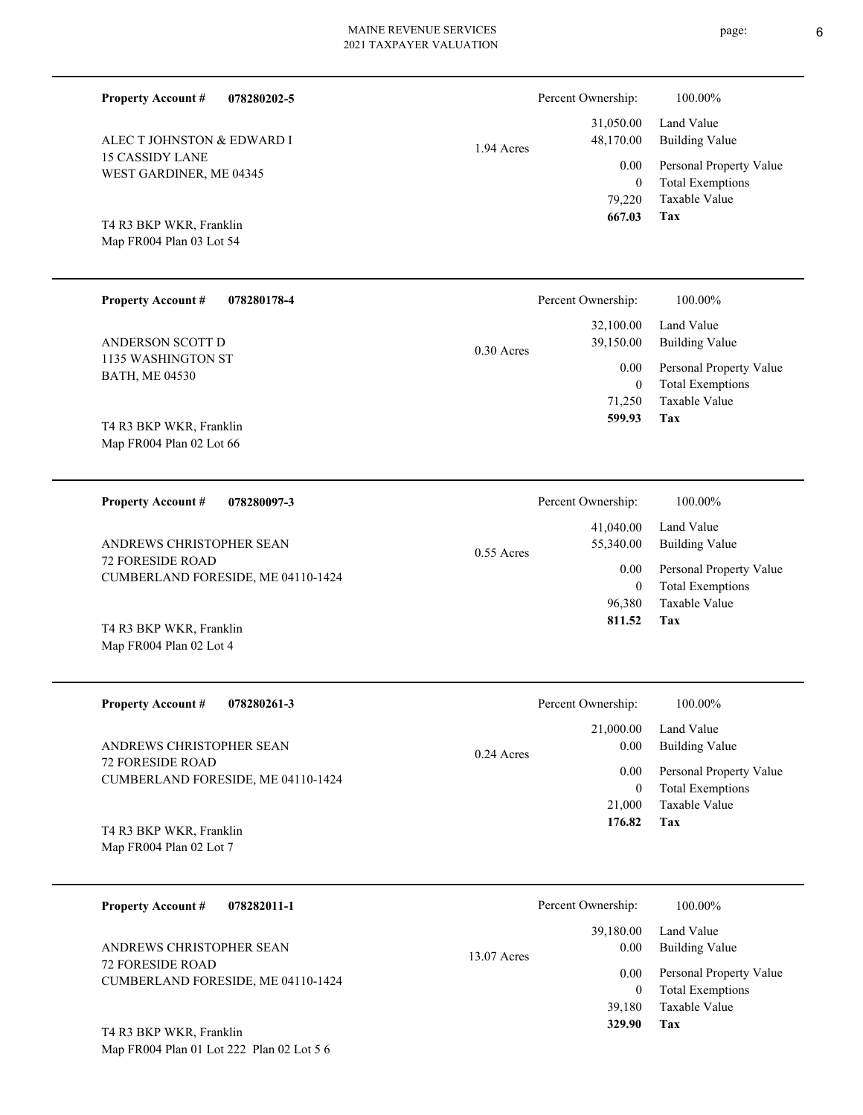| <b>Property Account #</b><br>078280178-4            |              | Percent Ownership: | 100.00%             |
|-----------------------------------------------------|--------------|--------------------|---------------------|
|                                                     |              | 32,100.00          | Land Value          |
| ANDERSON SCOTT D                                    | $0.30$ Acres | 39,150.00          | <b>Building Val</b> |
| 1135 WASHINGTON ST                                  |              | 0.00               | Personal Pro        |
| <b>BATH, ME 04530</b>                               |              | $\mathbf{0}$       | <b>Total Exemp</b>  |
|                                                     |              | 71,250             | Taxable Valu        |
| T4 R3 BKP WKR, Franklin<br>Map FR004 Plan 02 Lot 66 |              | 599.93             | Tax                 |
| <b>Property Account #</b><br>078280097-3            |              | Percent Ownership: | 100.00%             |
|                                                     |              | 41,040.00          | Land Value          |
| ANDREWS CHRISTOPHER SEAN                            | $0.55$ Acres | 55,340.00          | Building Val        |
|                                                     |              |                    |                     |

72 FORESIDE ROAD CUMBERLAND FORESIDE, ME 04110-1424 ANDREWS CHRISTOPHER SEAN

**078280202-5**

Map FR004 Plan 02 Lot 4 T4 R3 BKP WKR, Franklin

15 CASSIDY LANE

**Property Account #**

WEST GARDINER, ME 04345

ALEC T JOHNSTON & EDWARD I

Map FR004 Plan 03 Lot 54 T4 R3 BKP WKR, Franklin

| <b>Property Account #</b><br>078280261-3                      | Percent Ownership:                | 100.00%                                            |
|---------------------------------------------------------------|-----------------------------------|----------------------------------------------------|
| ANDREWS CHRISTOPHER SEAN                                      | 21,000.00<br>0.00<br>$0.24$ Acres | Land Value<br>Building Value                       |
| <b>72 FORESIDE ROAD</b><br>CUMBERLAND FORESIDE, ME 04110-1424 | 0.00<br>0                         | Personal Property Value<br><b>Total Exemptions</b> |
|                                                               | 21,000                            | Taxable Value                                      |
| T4 R3 BKP WKR, Franklin                                       | 176.82                            | Tax                                                |

Map FR004 Plan 02 Lot 7

| 078282011-1<br><b>Property Account #</b>            | Percent Ownership:                 | 100.00%                                                             |
|-----------------------------------------------------|------------------------------------|---------------------------------------------------------------------|
| ANDREWS CHRISTOPHER SEAN<br><b>72 FORESIDE ROAD</b> | 39,180.00<br>0.00<br>$13.07$ Acres | Land Value<br><b>Building Value</b>                                 |
| CUMBERLAND FORESIDE, ME 04110-1424                  | 0.00<br>39.180                     | Personal Property Value<br><b>Total Exemptions</b><br>Taxable Value |
| T4 R3 BKP WKR, Franklin                             | 329.90                             | Tax                                                                 |

Map FR004 Plan 01 Lot 222 Plan 02 Lot 5 6

|            | Percent Ownership: | 100.00%                 |
|------------|--------------------|-------------------------|
|            |                    | 31,050.00 Land Value    |
| 1.94 Acres | 48,170.00          | <b>Building Value</b>   |
|            | 0.00               | Personal Property Value |
|            | $\theta$           | <b>Total Exemptions</b> |
|            | 79,220             | Taxable Value           |
|            | 667.03             | Tax                     |

|       | Percent Ownership: | 100.00%                 |
|-------|--------------------|-------------------------|
|       | 32,100.00          | Land Value              |
| Acres | 39,150.00          | <b>Building Value</b>   |
|       | 0.00               | Personal Property Value |
|       | 0                  | <b>Total Exemptions</b> |
|       | 71,250             | Taxable Value           |
|       | 599.93             | Tax                     |
|       |                    |                         |

**Tax**

 96,380 0

0.00

 **811.52**

Taxable Value Total Exemptions Personal Property Value

Building Value Land Value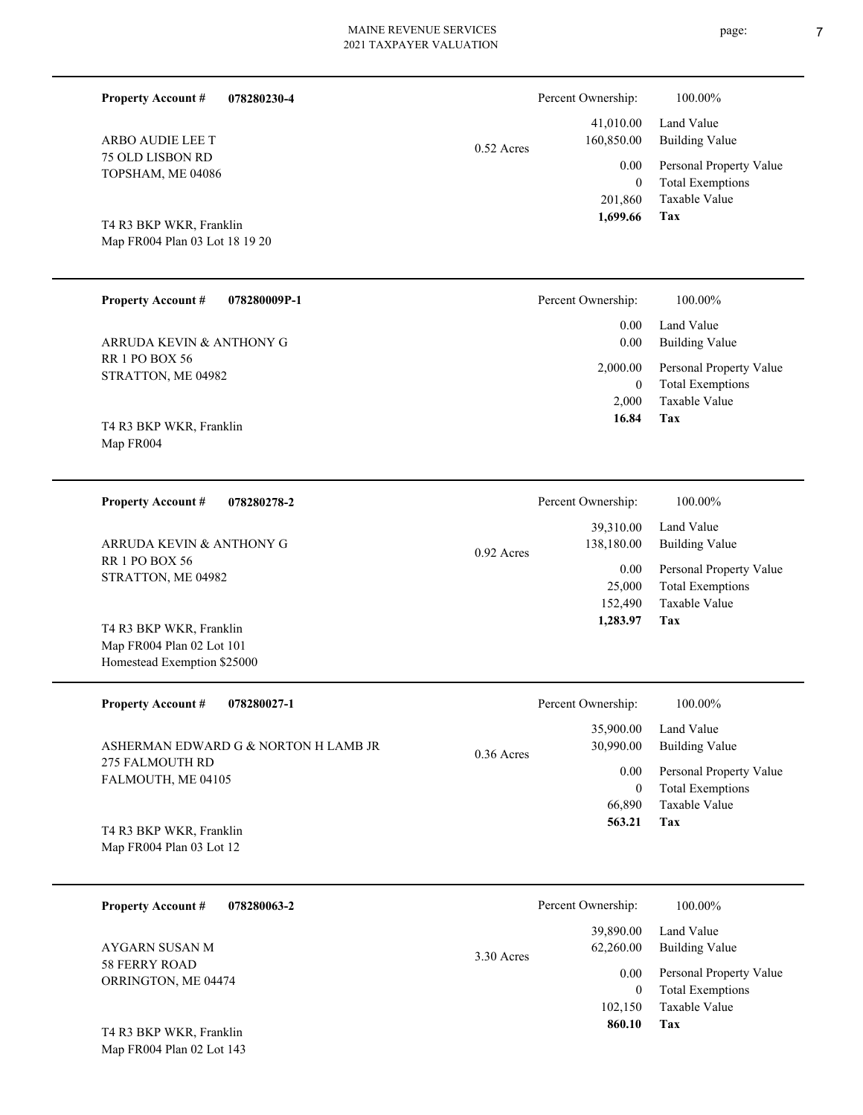| <b>Property Account #</b><br>078280230-4  |              | Percent Ownership:      | 100.00%                                  |
|-------------------------------------------|--------------|-------------------------|------------------------------------------|
| ARBO AUDIE LEE T                          | $0.52$ Acres | 41,010.00<br>160,850.00 | Land Value<br><b>Building Value</b>      |
| 75 OLD LISBON RD                          |              | 0.00                    | Personal Property Value                  |
| TOPSHAM, ME 04086                         |              | $\overline{0}$          | <b>Total Exemptions</b>                  |
|                                           |              | 201,860                 | Taxable Value                            |
| T4 R3 BKP WKR, Franklin                   |              | 1,699.66                | Tax                                      |
| Map FR004 Plan 03 Lot 18 19 20            |              |                         |                                          |
|                                           |              |                         |                                          |
| <b>Property Account #</b><br>078280009P-1 |              | Percent Ownership:      | 100.00%                                  |
|                                           |              |                         |                                          |
| ARRUDA KEVIN & ANTHONY G                  |              | 0.00<br>0.00            | Land Value<br><b>Building Value</b>      |
| <b>RR 1 PO BOX 56</b>                     |              |                         |                                          |
| STRATTON, ME 04982                        |              | 2,000.00                | Personal Property Value                  |
|                                           |              | $\overline{0}$          | <b>Total Exemptions</b>                  |
|                                           |              | 2,000                   | Taxable Value                            |
| T4 R3 BKP WKR, Franklin                   |              | 16.84                   | Tax                                      |
| Map FR004                                 |              |                         |                                          |
|                                           |              |                         |                                          |
| <b>Property Account #</b><br>078280278-2  |              | Percent Ownership:      | 100.00%                                  |
|                                           |              | 39,310.00               | Land Value                               |
| ARRUDA KEVIN & ANTHONY G                  |              | 138,180.00              | <b>Building Value</b>                    |
| <b>RR 1 PO BOX 56</b>                     | $0.92$ Acres |                         |                                          |
| STRATTON, ME 04982                        |              | 0.00                    | Personal Property Value                  |
|                                           |              | 25,000                  | <b>Total Exemptions</b><br>Taxable Value |
|                                           |              | 152,490<br>1,283.97     | Tax                                      |
| T4 R3 BKP WKR, Franklin                   |              |                         |                                          |
| Map FR004 Plan 02 Lot 101                 |              |                         |                                          |
| Homestead Exemption \$25000               |              |                         |                                          |
| <b>Property Account #</b><br>078280027-1  |              | Percent Ownership:      | 100.00%                                  |
|                                           |              | 35,900.00               | Land Value                               |
| ASHERMAN EDWARD G & NORTON H LAMB JR      | $0.36$ Acres | 30,990.00               | <b>Building Value</b>                    |
| 275 FALMOUTH RD                           |              | 0.00                    | Personal Property Value                  |
| FALMOUTH, ME 04105                        |              | $\boldsymbol{0}$        | <b>Total Exemptions</b>                  |
|                                           |              | 66,890                  | Taxable Value                            |
|                                           |              | 563.21                  | Tax                                      |
| T4 R3 BKP WKR, Franklin                   |              |                         |                                          |
| Map FR004 Plan 03 Lot 12                  |              |                         |                                          |
|                                           |              |                         |                                          |
| 078280063-2<br><b>Property Account #</b>  |              | Percent Ownership:      | 100.00%                                  |
|                                           |              | 39,890.00               | Land Value                               |

58 FERRY ROAD ORRINGTON, ME 04474 AYGARN SUSAN M

Map FR004 Plan 02 Lot 143 T4 R3 BKP WKR, Franklin

**Tax**

 102,150  $\boldsymbol{0}$ 

0.00

62,260.00

3.30 Acres

 **860.10**

Taxable Value Total Exemptions Personal Property Value

Building Value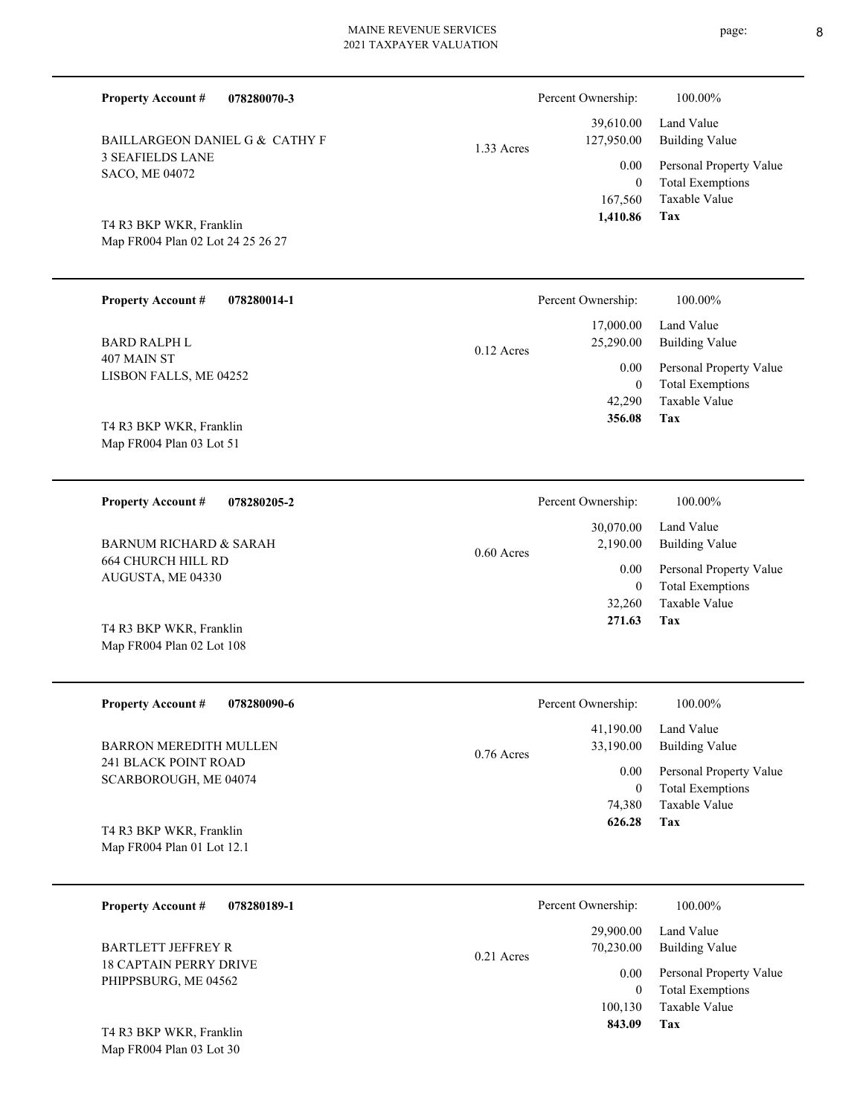| 078280070-3<br><b>Property Account #</b>                     |              | Percent Ownership:                  | 100.00%                                                             |
|--------------------------------------------------------------|--------------|-------------------------------------|---------------------------------------------------------------------|
| BAILLARGEON DANIEL G & CATHY F                               | 1.33 Acres   | 39,610.00<br>127,950.00             | Land Value<br><b>Building Value</b>                                 |
| <b>3 SEAFIELDS LANE</b><br>SACO, ME 04072                    |              | 0.00<br>$\theta$                    | Personal Property Value<br><b>Total Exemptions</b><br>Taxable Value |
| T4 R3 BKP WKR, Franklin<br>Map FR004 Plan 02 Lot 24 25 26 27 |              | 167,560<br>1,410.86                 | <b>Tax</b>                                                          |
| <b>Property Account #</b><br>078280014-1                     |              | Percent Ownership:                  | 100.00%                                                             |
| <b>BARD RALPH L</b>                                          | $0.12$ Acres | 17,000.00<br>25,290.00              | Land Value<br><b>Building Value</b>                                 |
| 407 MAIN ST<br>LISBON FALLS, ME 04252                        |              | 0.00<br>$\overline{0}$              | Personal Property Value<br><b>Total Exemptions</b>                  |
| T4 R3 BKP WKR, Franklin                                      |              | 42,290<br>356.08                    | Taxable Value<br>Tax                                                |
| Map FR004 Plan 03 Lot 51                                     |              |                                     |                                                                     |
| <b>Property Account #</b><br>078280205-2                     |              | Percent Ownership:                  | 100.00%                                                             |
| <b>BARNUM RICHARD &amp; SARAH</b>                            | $0.60$ Acres | 30,070.00<br>2,190.00               | Land Value<br><b>Building Value</b>                                 |
| <b>664 CHURCH HILL RD</b><br>AUGUSTA, ME 04330               |              | 0.00<br>$\overline{0}$              | Personal Property Value<br><b>Total Exemptions</b>                  |
| T4 R3 BKP WKR, Franklin                                      |              | 32,260<br>271.63                    | Taxable Value<br>Tax                                                |
| Map FR004 Plan 02 Lot 108                                    |              |                                     |                                                                     |
| Property Account #<br>078280090-6                            |              | Percent Ownership:                  | 100.00%                                                             |
| <b>BARRON MEREDITH MULLEN</b>                                | 0.76 Acres   | 41,190.00<br>33,190.00              | Land Value<br><b>Building Value</b>                                 |
| 241 BLACK POINT ROAD<br>SCARBOROUGH, ME 04074                |              | 0.00<br>$\boldsymbol{0}$            | Personal Property Value<br><b>Total Exemptions</b>                  |
| T4 R3 BKP WKR, Franklin<br>Map FR004 Plan 01 Lot 12.1        |              | 74,380<br>626.28                    | Taxable Value<br>Tax                                                |
|                                                              |              |                                     |                                                                     |
| <b>Property Account #</b><br>078280189-1                     |              | Percent Ownership:                  | 100.00%                                                             |
| <b>BARTLETT JEFFREY R</b><br><b>18 CAPTAIN PERRY DRIVE</b>   | 0.21 Acres   | 29,900.00<br>70,230.00              | Land Value<br><b>Building Value</b>                                 |
| PHIPPSBURG, ME 04562                                         |              | 0.00<br>$\boldsymbol{0}$<br>100,130 | Personal Property Value<br><b>Total Exemptions</b><br>Taxable Value |
| $D$ <i>Izp</i> $H$ <i>IIzp</i>                               |              | 843.09                              | <b>Tax</b>                                                          |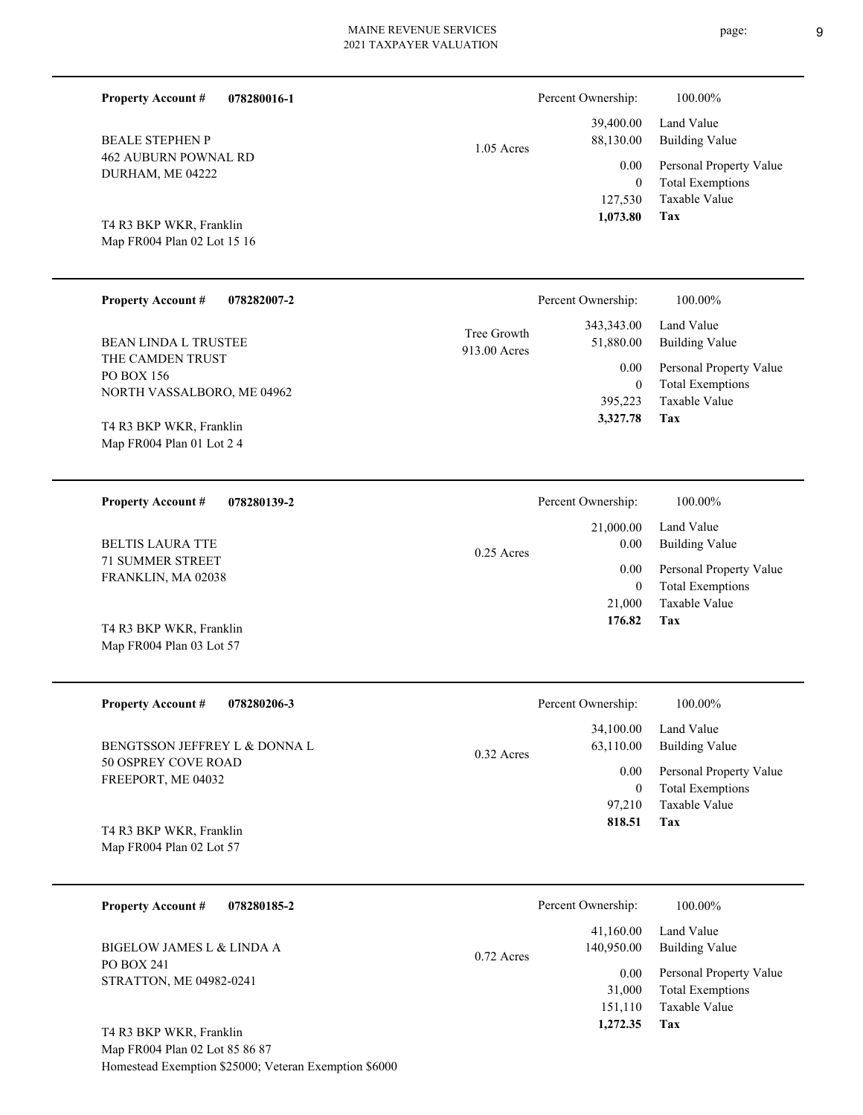| <b>Property Account #</b><br>078280016-1<br><b>BEALE STEPHEN P</b><br>462 AUBURN POWNAL RD | $1.05$ Acres                | Percent Ownership:<br>39,400.00<br>88,130.00<br>0.00 | 100.00%<br>Land Value<br><b>Building Value</b><br>Personal Property Value  |
|--------------------------------------------------------------------------------------------|-----------------------------|------------------------------------------------------|----------------------------------------------------------------------------|
| DURHAM, ME 04222<br>T4 R3 BKP WKR, Franklin<br>Map FR004 Plan 02 Lot 15 16                 |                             | $\mathbf{0}$<br>127,530<br>1,073.80                  | <b>Total Exemptions</b><br><b>Taxable Value</b><br>Tax                     |
| <b>Property Account #</b><br>078282007-2                                                   |                             | Percent Ownership:                                   | 100.00%                                                                    |
| <b>BEAN LINDA L TRUSTEE</b>                                                                | Tree Growth<br>913.00 Acres | 343, 343. 00<br>51,880.00                            | Land Value<br><b>Building Value</b>                                        |
| THE CAMDEN TRUST<br>PO BOX 156<br>NORTH VASSALBORO, ME 04962                               |                             | 0.00<br>$\mathbf{0}$<br>395,223                      | Personal Property Value<br><b>Total Exemptions</b><br><b>Taxable Value</b> |
| T4 R3 BKP WKR, Franklin<br>Map FR004 Plan 01 Lot 2 4                                       |                             | 3,327.78                                             | Tax                                                                        |
| <b>Property Account #</b><br>078280139-2                                                   |                             | Percent Ownership:                                   | 100.00%                                                                    |
| <b>BELTIS LAURA TTE</b>                                                                    | $0.25$ Acres                | 21,000.00<br>0.00                                    | Land Value<br><b>Building Value</b>                                        |
| <b>71 SUMMER STREET</b><br>FRANKLIN, MA 02038                                              |                             | 0.00<br>$\mathbf{0}$<br>21,000                       | Personal Property Value<br><b>Total Exemptions</b><br>Taxable Value        |
| T4 R3 BKP WKR, Franklin<br>Map FR004 Plan 03 Lot 57                                        |                             | 176.82                                               | Tax                                                                        |
| <b>Property Account #</b><br>078280206-3                                                   |                             | Percent Ownership:                                   | 100.00%                                                                    |
| BENGTSSON JEFFREY L & DONNA L                                                              | 0.32 Acres                  | 34,100.00<br>63,110.00                               | Land Value<br><b>Building Value</b>                                        |
| 50 OSPREY COVE ROAD<br>FREEPORT, ME 04032                                                  |                             | 0.00<br>$\mathbf{0}$<br>97,210                       | Personal Property Value<br><b>Total Exemptions</b><br>Taxable Value        |
| T4 R3 BKP WKR, Franklin<br>Map FR004 Plan 02 Lot 57                                        |                             | 818.51                                               | Tax                                                                        |

| <b>Property Account #</b><br>078280185-2     | Percent Ownership:                      | 100.00%                                            |
|----------------------------------------------|-----------------------------------------|----------------------------------------------------|
| BIGELOW JAMES L & LINDA A                    | 41,160.00<br>140,950.00<br>$0.72$ Acres | Land Value<br>Building Value                       |
| <b>PO BOX 241</b><br>STRATTON, ME 04982-0241 | 0.00<br>31,000                          | Personal Property Value<br><b>Total Exemptions</b> |
|                                              | 151,110                                 | Taxable Value                                      |
| T4 R3 BKP WKR, Franklin                      | 1,272.35                                | Tax                                                |

Map FR004 Plan 02 Lot 85 86 87 Homestead Exemption \$25000; Veteran Exemption \$6000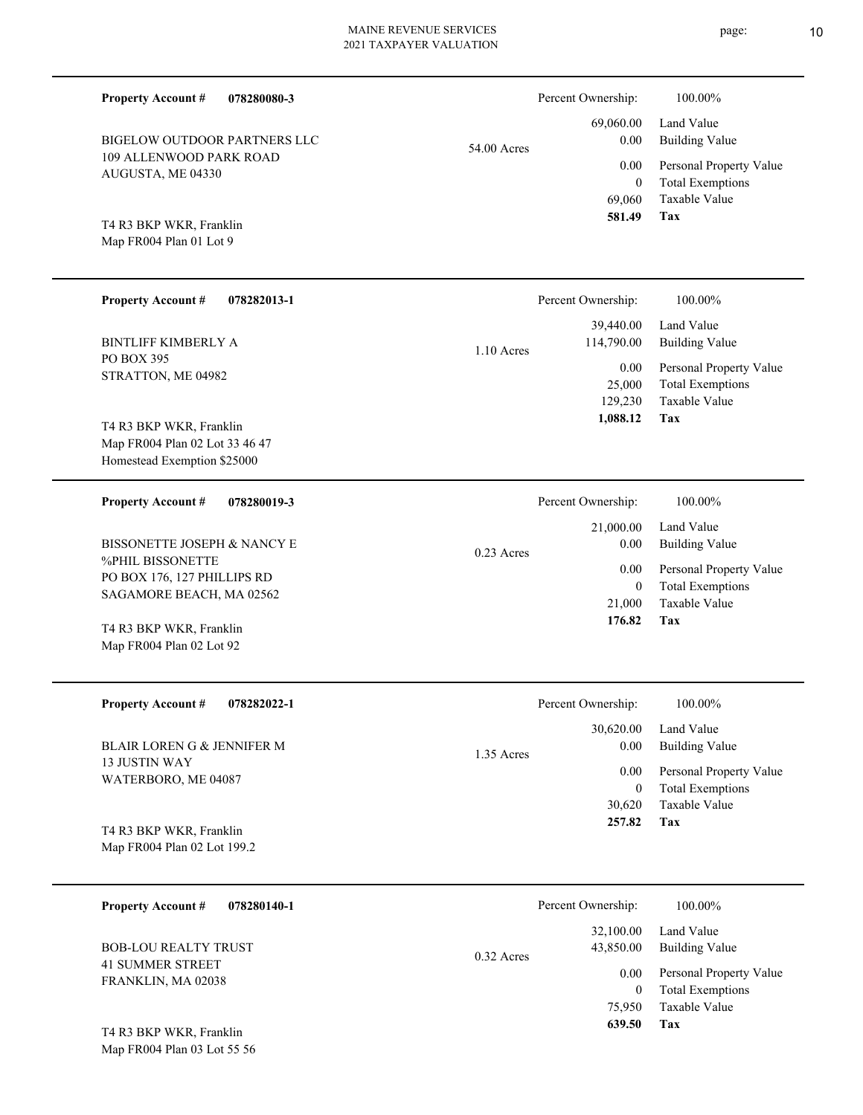**078280080-3** BIGELOW OUTDOOR PARTNERS LLC

|             | 581.49   | Tax                          |
|-------------|----------|------------------------------|
|             |          | 69,060 Taxable Value         |
|             |          | 0 Total Exemptions           |
|             |          | 0.00 Personal Property Value |
| 54.00 Acres | $0.00\,$ | Building Value               |
|             |          | 69,060.00 Land Value         |

Percent Ownership: 100.00%

Map FR004 Plan 01 Lot 9 T4 R3 BKP WKR, Franklin

AUGUSTA, ME 04330

**Property Account #**

109 ALLENWOOD PARK ROAD

| <b>Property Account #</b><br>078282013-1                                                 | Percent Ownership:                                        | 100.00%                                                                                   |
|------------------------------------------------------------------------------------------|-----------------------------------------------------------|-------------------------------------------------------------------------------------------|
| <b>BINTLIFF KIMBERLY A</b><br>PO BOX 395<br>STRATTON, ME 04982                           | 39,440.00<br>114,790.00<br>$1.10$ Acres<br>0.00<br>25,000 | Land Value<br><b>Building Value</b><br>Personal Property Value<br><b>Total Exemptions</b> |
| T4 R3 BKP WKR, Franklin<br>Map FR004 Plan 02 Lot 33 46 47<br>Homestead Exemption \$25000 | 129,230<br>1,088.12                                       | Taxable Value<br>Tax                                                                      |
| 078280019-3<br><b>Property Account #</b>                                                 | Percent Ownership:<br>21,000.00                           | 100.00%<br>Land Value                                                                     |

0.23 Acres

%PHIL BISSONETTE PO BOX 176, 127 PHILLIPS RD SAGAMORE BEACH, MA 02562 BISSONETTE JOSEPH & NANCY E

Map FR004 Plan 02 Lot 92 T4 R3 BKP WKR, Franklin

**078282022-1 Property Account #**

13 JUSTIN WAY WATERBORO, ME 04087 BLAIR LOREN G & JENNIFER M

**Tax** Taxable Value Total Exemptions Personal Property Value Building Value Land Value 30,620 0  **257.82** 30,620.00 0.00 0.00 1.35 Acres Percent Ownership:  $100.00\%$ 

**Tax**

 21,000 0

 0.00 0.00

 **176.82**

Taxable Value Total Exemptions Personal Property Value

Building Value

Map FR004 Plan 02 Lot 199.2 T4 R3 BKP WKR, Franklin

Map FR004 Plan 03 Lot 55 56

| 078280140-1<br><b>Property Account #</b>               | Percent Ownership:                     | 100.00%                                            |
|--------------------------------------------------------|----------------------------------------|----------------------------------------------------|
| <b>BOB-LOU REALTY TRUST</b><br><b>41 SUMMER STREET</b> | 32,100.00<br>43,850.00<br>$0.32$ Acres | Land Value<br>Building Value                       |
| FRANKLIN, MA 02038                                     | 0.00                                   | Personal Property Value<br><b>Total Exemptions</b> |
|                                                        | 75,950                                 | Taxable Value                                      |
| T4 R3 BKP WKR, Franklin                                | 639.50                                 | Tax                                                |

#### page: 10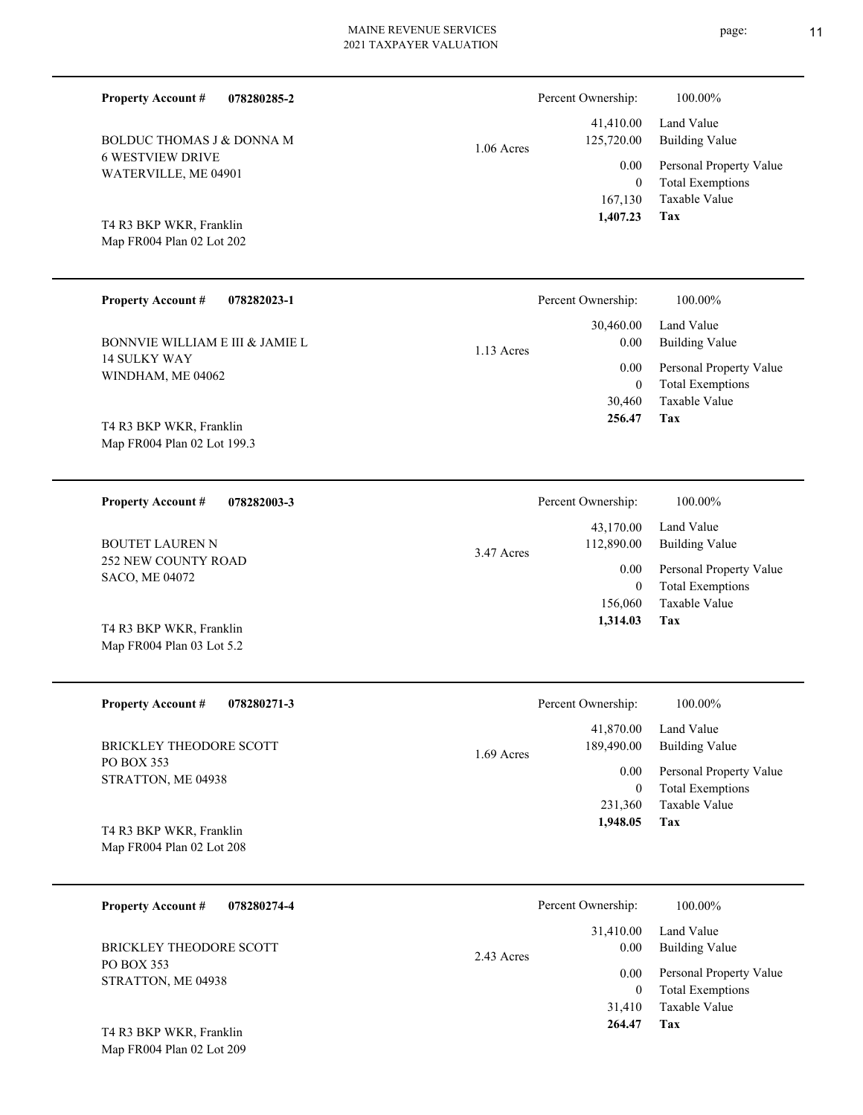| <b>Property Account #</b><br>078280285-2               |              | Percent Ownership:                    | 100.00%                                            |
|--------------------------------------------------------|--------------|---------------------------------------|----------------------------------------------------|
| BOLDUC THOMAS J & DONNA M                              | $1.06$ Acres | 41,410.00<br>125,720.00               | Land Value<br><b>Building Value</b>                |
| <b>6 WESTVIEW DRIVE</b><br>WATERVILLE, ME 04901        |              | 0.00                                  | Personal Property Value                            |
|                                                        |              | $\overline{0}$<br>167,130<br>1,407.23 | <b>Total Exemptions</b><br>Taxable Value<br>Tax    |
| T4 R3 BKP WKR, Franklin<br>Map FR004 Plan 02 Lot 202   |              |                                       |                                                    |
|                                                        |              |                                       |                                                    |
| <b>Property Account #</b><br>078282023-1               |              | Percent Ownership:                    | 100.00%                                            |
| BONNVIE WILLIAM E III & JAMIE L                        | $1.13$ Acres | 30,460.00<br>0.00                     | Land Value<br><b>Building Value</b>                |
| <b>14 SULKY WAY</b><br>WINDHAM, ME 04062               |              | 0.00<br>$\overline{0}$                | Personal Property Value<br><b>Total Exemptions</b> |
|                                                        |              | 30,460                                | Taxable Value                                      |
| T4 R3 BKP WKR, Franklin<br>Map FR004 Plan 02 Lot 199.3 |              | 256.47                                | Tax                                                |
|                                                        |              |                                       |                                                    |
| <b>Property Account #</b><br>078282003-3               |              | Percent Ownership:                    | 100.00%                                            |
| <b>BOUTET LAUREN N</b>                                 | 3.47 Acres   | 43,170.00<br>112,890.00               | Land Value<br><b>Building Value</b>                |
| <b>252 NEW COUNTY ROAD</b><br>SACO, ME 04072           |              | 0.00                                  | Personal Property Value                            |
|                                                        |              | $\overline{0}$<br>156,060             | <b>Total Exemptions</b><br>Taxable Value           |
| T4 R3 BKP WKR, Franklin<br>Map FR004 Plan 03 Lot 5.2   |              | 1,314.03                              | Tax                                                |
|                                                        |              |                                       |                                                    |
| 078280271-3<br><b>Property Account #</b>               |              | Percent Ownership:                    | 100.00%                                            |
| BRICKLEY THEODORE SCOTT                                |              | 41,870.00<br>189,490.00               | Land Value<br><b>Building Value</b>                |
| PO BOX 353                                             | 1.69 Acres   | 0.00                                  | Personal Property Value                            |
| STRATTON, ME 04938                                     |              | $\overline{0}$<br>231,360             | <b>Total Exemptions</b><br>Taxable Value           |
| T4 R3 BKP WKR, Franklin                                |              | 1,948.05                              | Tax                                                |
| Map FR004 Plan 02 Lot 208                              |              |                                       |                                                    |
| <b>Property Account #</b><br>078280274-4               |              | Percent Ownership:                    | 100.00%                                            |
|                                                        |              | 31,410.00                             | Land Value                                         |
| BRICKLEY THEODORE SCOTT<br>PO BOX 353                  | 2.43 Acres   | 0.00                                  | <b>Building Value</b>                              |
| STRATTON, ME 04938                                     |              | 0.00                                  | Personal Property Value<br>Total Examptions        |

**Tax 264.47**

31,410

Taxable Value 0 Total Exemptions

Map FR004 Plan 02 Lot 209 T4 R3 BKP WKR, Franklin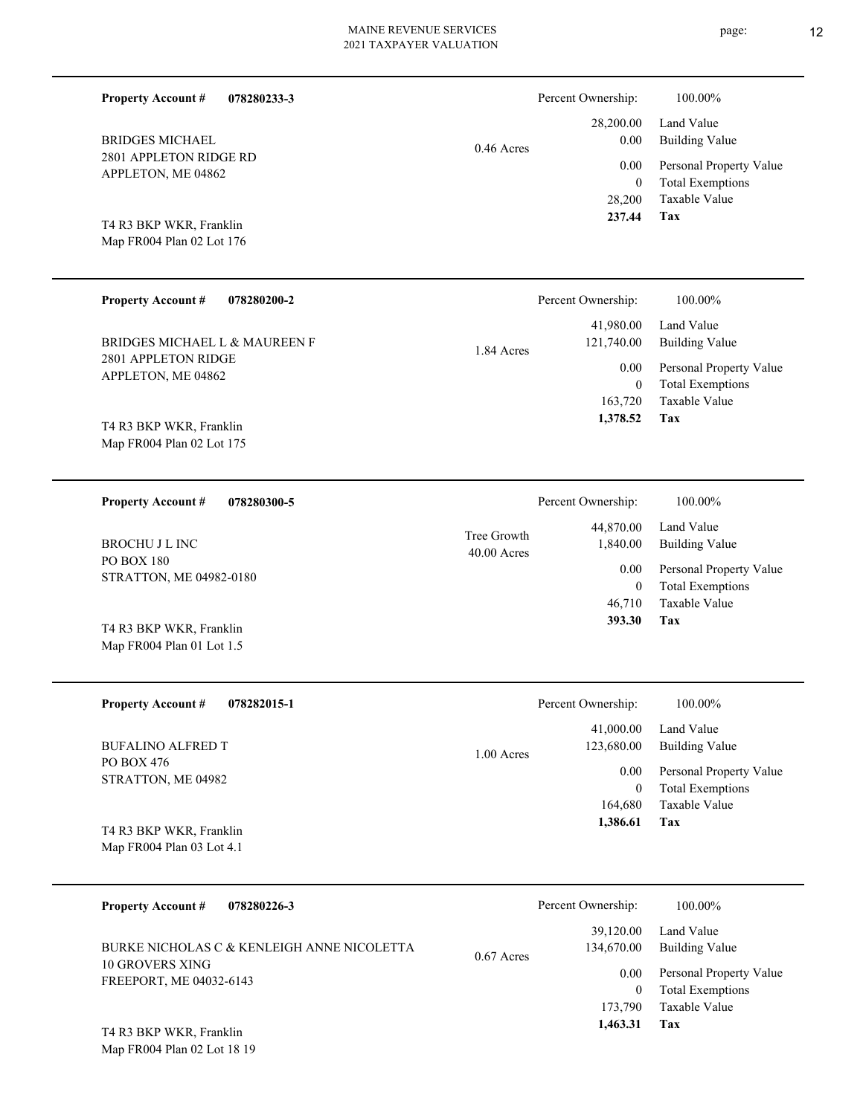| <b>Property Account #</b><br>078280233-3             |                              | Percent Ownership:                                                           | 100.00%                                            |
|------------------------------------------------------|------------------------------|------------------------------------------------------------------------------|----------------------------------------------------|
| <b>BRIDGES MICHAEL</b>                               | $0.46$ Acres                 | 28,200.00<br>Land Value<br><b>Building Value</b><br>0.00<br>0.00<br>$\theta$ |                                                    |
| 2801 APPLETON RIDGE RD<br>APPLETON, ME 04862         |                              |                                                                              | Personal Property Value<br><b>Total Exemptions</b> |
| T4 R3 BKP WKR, Franklin<br>Map FR004 Plan 02 Lot 176 |                              | 28,200<br>237.44                                                             | Taxable Value<br><b>Tax</b>                        |
| <b>Property Account #</b><br>078280200-2             |                              | Percent Ownership:                                                           | 100.00%                                            |
| BRIDGES MICHAEL L & MAUREEN F                        | 1.84 Acres                   | 41,980.00<br>121,740.00                                                      | Land Value<br><b>Building Value</b>                |
| 2801 APPLETON RIDGE<br>APPLETON, ME 04862            |                              | 0.00<br>$\theta$                                                             | Personal Property Value<br><b>Total Exemptions</b> |
|                                                      |                              | 163,720<br>1,378.52                                                          | <b>Taxable Value</b><br>Tax                        |
| T4 R3 BKP WKR, Franklin<br>Map FR004 Plan 02 Lot 175 |                              |                                                                              |                                                    |
| <b>Property Account #</b><br>078280300-5             |                              | Percent Ownership:                                                           | 100.00%                                            |
| <b>BROCHU J L INC</b>                                | Tree Growth<br>$40.00$ Acres | 44,870.00<br>1,840.00                                                        | Land Value<br><b>Building Value</b>                |
| <b>PO BOX 180</b><br>STRATTON, ME 04982-0180         |                              | 0.00<br>$\theta$                                                             | Personal Property Value<br><b>Total Exemptions</b> |
|                                                      |                              | 46,710<br>393.30                                                             | <b>Taxable Value</b><br>Tax                        |
| T4 R3 BKP WKR, Franklin<br>Map FR004 Plan 01 Lot 1.5 |                              |                                                                              |                                                    |
| <b>Property Account #</b><br>078282015-1             |                              | Percent Ownership:                                                           | 100.00%                                            |
| <b>BUFALINO ALFRED T</b>                             | 1.00 Acres                   | 41,000.00<br>123,680.00                                                      | Land Value<br><b>Building Value</b>                |
| PO BOX 476<br>STRATTON, ME 04982                     |                              | 0.00<br>$\boldsymbol{0}$                                                     | Personal Property Value<br><b>Total Exemptions</b> |
|                                                      |                              | 164,680<br>1,386.61                                                          | Taxable Value<br><b>Tax</b>                        |
| T4 R3 BKP WKR, Franklin<br>Map FR004 Plan 03 Lot 4.1 |                              |                                                                              |                                                    |
| <b>Property Account #</b><br>078280226-3             |                              | Percent Ownership:                                                           | 100.00%                                            |
| BURKE NICHOLAS C & KENLEIGH ANNE NICOLETTA           | $0.67$ Acres                 | 39,120.00<br>134,670.00                                                      | Land Value<br><b>Building Value</b>                |
| 10 GROVERS XING<br>FREEPORT, ME 04032-6143           |                              | $0.00\,$<br>$\mathbf{0}$                                                     | Personal Property Value<br><b>Total Exemptions</b> |
|                                                      |                              | 173,790                                                                      | Taxable Value                                      |

Map FR004 Plan 02 Lot 18 19 T4 R3 BKP WKR, Franklin

page: 12

**Tax**

 **1,463.31**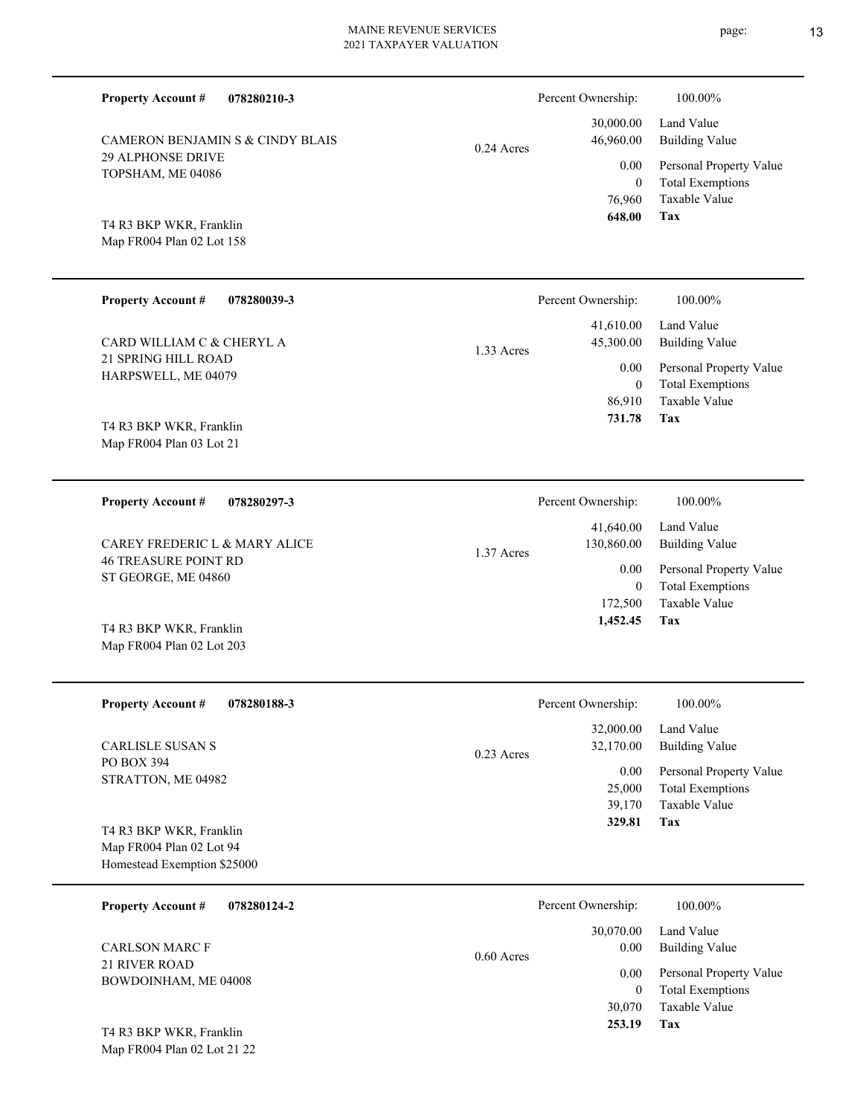| <b>Property Account #</b><br>078280210-3                                                              |              | Percent Ownership:                                                 | 100.00%                                                                           |
|-------------------------------------------------------------------------------------------------------|--------------|--------------------------------------------------------------------|-----------------------------------------------------------------------------------|
| <b>CAMERON BENJAMIN S &amp; CINDY BLAIS</b>                                                           | $0.24$ Acres | 30,000.00<br>46,960.00                                             | Land Value<br><b>Building Value</b>                                               |
| <b>29 ALPHONSE DRIVE</b><br>TOPSHAM, ME 04086<br>T4 R3 BKP WKR, Franklin<br>Map FR004 Plan 02 Lot 158 |              | 0.00<br>$\overline{0}$<br>76,960<br>648.00                         | Personal Property Value<br><b>Total Exemptions</b><br>Taxable Value<br>Tax        |
| <b>Property Account #</b><br>078280039-3                                                              |              | Percent Ownership:                                                 | 100.00%                                                                           |
| CARD WILLIAM C & CHERYL A                                                                             | 1.33 Acres   | 41,610.00<br>45,300.00                                             | Land Value<br><b>Building Value</b>                                               |
| <b>21 SPRING HILL ROAD</b><br>HARPSWELL, ME 04079<br>T4 R3 BKP WKR, Franklin                          |              | 0.00<br>$\overline{0}$<br>86,910<br>731.78                         | Personal Property Value<br><b>Total Exemptions</b><br><b>Taxable Value</b><br>Tax |
| Map FR004 Plan 03 Lot 21                                                                              |              |                                                                    |                                                                                   |
| <b>Property Account #</b><br>078280297-3                                                              |              | Percent Ownership:                                                 | 100.00%                                                                           |
| CAREY FREDERIC L & MARY ALICE                                                                         | 1.37 Acres   | 41,640.00<br>130,860.00<br>0.00<br>$\theta$<br>172,500<br>1,452.45 | Land Value<br><b>Building Value</b>                                               |
| <b>46 TREASURE POINT RD</b><br>ST GEORGE, ME 04860                                                    |              |                                                                    | Personal Property Value<br><b>Total Exemptions</b><br>Taxable Value<br>Tax        |
| T4 R3 BKP WKR, Franklin<br>Map FR004 Plan 02 Lot 203                                                  |              |                                                                    |                                                                                   |
| <b>Property Account #</b><br>078280188-3                                                              |              | Percent Ownership:                                                 | 100.00%                                                                           |
| <b>CARLISLE SUSAN S</b>                                                                               | $0.23$ Acres | 32,000.00<br>32,170.00                                             | Land Value<br><b>Building Value</b>                                               |
| PO BOX 394<br>STRATTON, ME 04982                                                                      |              | 0.00<br>25,000<br>39,170                                           | Personal Property Value<br><b>Total Exemptions</b><br>Taxable Value               |
| T4 R3 BKP WKR, Franklin<br>Map FR004 Plan 02 Lot 94<br>Homestead Exemption \$25000                    |              | 329.81                                                             | Tax                                                                               |
| <b>Property Account #</b><br>078280124-2                                                              |              | Percent Ownership:                                                 | 100.00%                                                                           |
| <b>CARLSON MARC F</b>                                                                                 | $0.60$ Acres | Land Value<br>30,070.00<br><b>Building Value</b><br>$0.00\,$       |                                                                                   |
| 21 RIVER ROAD<br>BOWDOINHAM, ME 04008                                                                 |              | 0.00<br>$\theta$                                                   | Personal Property Value<br><b>Total Exemptions</b>                                |
| $2.5175$ $11775$                                                                                      |              | 30,070<br>253.19                                                   | Taxable Value<br>Tax                                                              |

Map FR004 Plan 02 Lot 21 22 T4 R3 BKP WKR, Franklin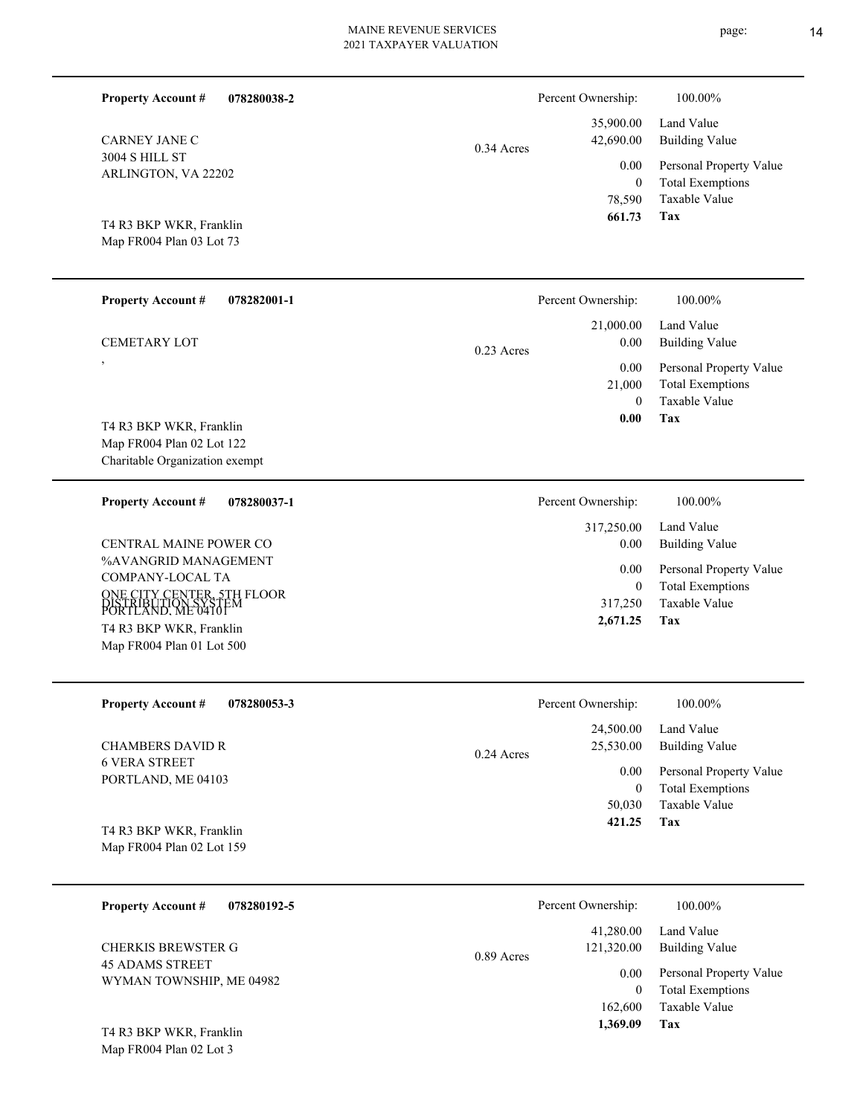| <b>Property Account #</b><br>078280038-2                                |              | Percent Ownership:              | 100.00%                                            |
|-------------------------------------------------------------------------|--------------|---------------------------------|----------------------------------------------------|
| <b>CARNEY JANE C</b>                                                    | $0.34$ Acres | 35,900.00<br>42,690.00          | Land Value<br><b>Building Value</b>                |
| <b>3004 S HILL ST</b><br>ARLINGTON, VA 22202                            |              | 0.00                            | Personal Property Value                            |
|                                                                         |              | $\theta$<br>78,590              | <b>Total Exemptions</b><br>Taxable Value           |
| T4 R3 BKP WKR, Franklin<br>Map FR004 Plan 03 Lot 73                     |              | 661.73                          | Tax                                                |
|                                                                         |              |                                 |                                                    |
| <b>Property Account #</b><br>078282001-1                                |              | Percent Ownership:              | 100.00%                                            |
| <b>CEMETARY LOT</b>                                                     | $0.23$ Acres | 21,000.00<br>0.00               | Land Value<br><b>Building Value</b>                |
| $\overline{\phantom{a}}$                                                |              | 0.00<br>21,000                  | Personal Property Value<br><b>Total Exemptions</b> |
|                                                                         |              | $\Omega$                        | Taxable Value<br>Tax                               |
| T4 R3 BKP WKR, Franklin<br>Map FR004 Plan 02 Lot 122                    |              | 0.00                            |                                                    |
| Charitable Organization exempt                                          |              |                                 |                                                    |
| <b>Property Account #</b><br>078280037-1                                |              | Percent Ownership:              | 100.00%                                            |
| CENTRAL MAINE POWER CO                                                  |              | 317,250.00<br>0.00              | Land Value<br><b>Building Value</b>                |
| %AVANGRID MANAGEMENT<br>COMPANY-LOCAL TA                                |              | 0.00                            | Personal Property Value                            |
| ONE CITY CENTER, 5TH FLOOR<br>DISTRIBUTION SYSTEM<br>PORTLAND, ME 04101 |              | $\theta$<br>317,250             | <b>Total Exemptions</b><br><b>Taxable Value</b>    |
| T4 R3 BKP WKR, Franklin                                                 |              | 2,671.25                        | Tax                                                |
| Map FR004 Plan 01 Lot 500                                               |              |                                 |                                                    |
| <b>Property Account #</b><br>078280053-3                                |              | Percent Ownership:              | 100.00%                                            |
|                                                                         |              | 24,500.00<br>25,530.00          | Land Value<br><b>Building Value</b>                |
| <b>CHAMBERS DAVID R</b><br><b>6 VERA STREET</b>                         | 0.24 Acres   | 0.00                            | Personal Property Value                            |
| PORTLAND, ME 04103                                                      |              | $\mathbf{0}$                    | <b>Total Exemptions</b>                            |
| T4 R3 BKP WKR, Franklin                                                 |              | 50,030<br>421.25                | Taxable Value<br>Tax                               |
| Map FR004 Plan 02 Lot 159                                               |              |                                 |                                                    |
|                                                                         |              |                                 |                                                    |
| <b>Property Account #</b><br>078280192-5                                |              | Percent Ownership:<br>41,280.00 | 100.00%<br>Land Value                              |
| <b>CHERKIS BREWSTER G</b>                                               | 0.89 Acres   | 121,320.00                      | <b>Building Value</b>                              |
| <b>45 ADAMS STREET</b><br>WYMAN TOWNSHIP, ME 04982                      |              | 0.00<br>$\mathbf{0}$            | Personal Property Value<br><b>Total Exemptions</b> |
|                                                                         |              | 162,600                         | Taxable Value                                      |

**Tax 1,369.09**

Map FR004 Plan 02 Lot 3 T4 R3 BKP WKR, Franklin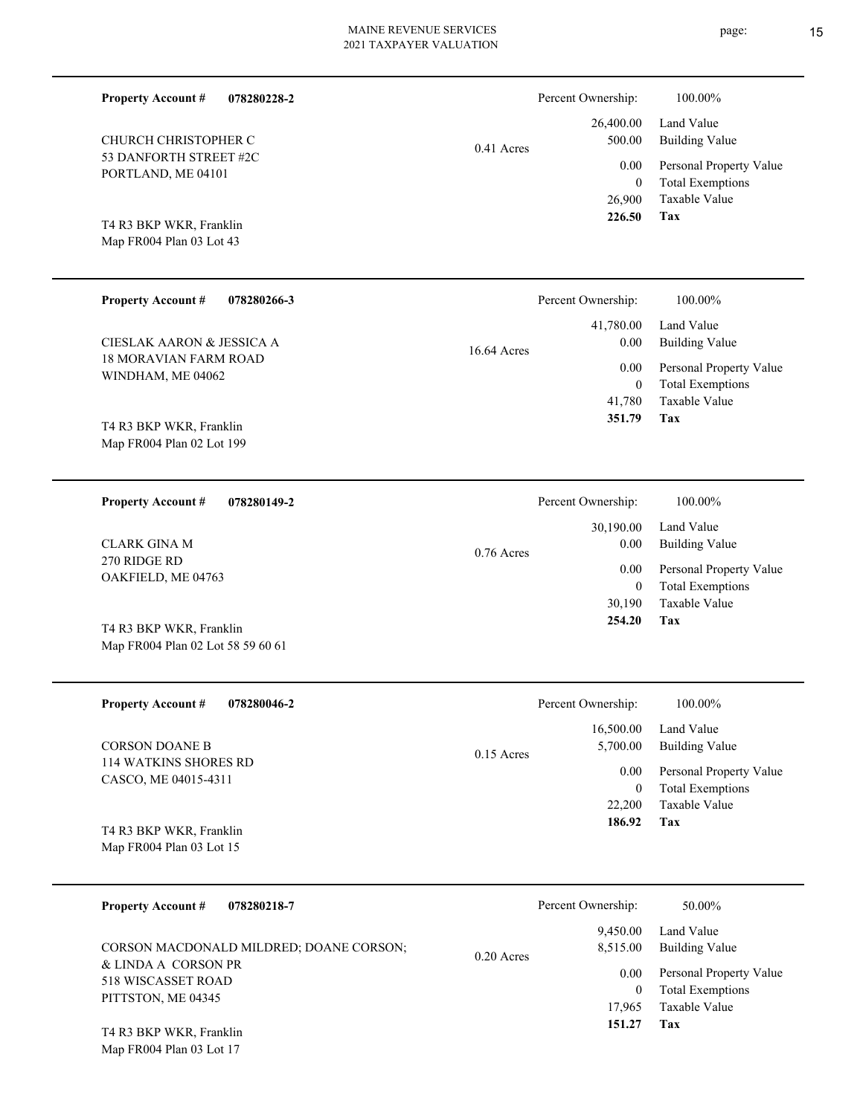| <b>Property Account #</b><br>078280228-2                     |              | Percent Ownership:<br>26,400.00 | 100.00%<br>Land Value                              |
|--------------------------------------------------------------|--------------|---------------------------------|----------------------------------------------------|
| CHURCH CHRISTOPHER C                                         | $0.41$ Acres | 500.00                          | <b>Building Value</b>                              |
| 53 DANFORTH STREET #2C<br>PORTLAND, ME 04101                 |              | 0.00                            | Personal Property Value                            |
|                                                              |              | $\overline{0}$<br>26,900        | <b>Total Exemptions</b><br><b>Taxable Value</b>    |
| T4 R3 BKP WKR, Franklin                                      |              | 226.50                          | Tax                                                |
| Map FR004 Plan 03 Lot 43                                     |              |                                 |                                                    |
|                                                              |              |                                 |                                                    |
| <b>Property Account #</b><br>078280266-3                     |              | Percent Ownership:              | 100.00%                                            |
| CIESLAK AARON & JESSICA A                                    |              | 41,780.00<br>0.00               | Land Value<br><b>Building Value</b>                |
| <b>18 MORAVIAN FARM ROAD</b><br>WINDHAM, ME 04062            | 16.64 Acres  | 0.00                            | Personal Property Value                            |
|                                                              |              | $\overline{0}$<br>41,780        | <b>Total Exemptions</b><br><b>Taxable Value</b>    |
| T4 R3 BKP WKR, Franklin                                      |              | 351.79                          | Tax                                                |
| Map FR004 Plan 02 Lot 199                                    |              |                                 |                                                    |
|                                                              |              |                                 |                                                    |
| <b>Property Account #</b><br>078280149-2                     |              | Percent Ownership:              | 100.00%                                            |
|                                                              |              | 30,190.00                       | Land Value                                         |
| <b>CLARK GINA M</b><br>270 RIDGE RD                          | $0.76$ Acres | 0.00<br>0.00<br>$\overline{0}$  | <b>Building Value</b>                              |
| OAKFIELD, ME 04763                                           |              |                                 | Personal Property Value<br><b>Total Exemptions</b> |
|                                                              |              | 30,190<br>254.20                | <b>Taxable Value</b><br>Tax                        |
| T4 R3 BKP WKR, Franklin<br>Map FR004 Plan 02 Lot 58 59 60 61 |              |                                 |                                                    |
|                                                              |              |                                 |                                                    |
| <b>Property Account #</b><br>078280046-2                     |              | Percent Ownership:              | 100.00%                                            |
|                                                              |              | 16,500.00                       | Land Value                                         |
| <b>CORSON DOANE B</b>                                        | $0.15$ Acres | 5,700.00                        | <b>Building Value</b>                              |
| 114 WATKINS SHORES RD<br>CASCO, ME 04015-4311                |              | $0.00\,$                        | Personal Property Value                            |
|                                                              |              | $\bf{0}$<br>22,200              | <b>Total Exemptions</b><br>Taxable Value           |
| T4 R3 BKP WKR, Franklin                                      |              | 186.92                          | Tax                                                |
| Map FR004 Plan 03 Lot 15                                     |              |                                 |                                                    |
| <b>Property Account #</b><br>078280218-7                     |              | Percent Ownership:              | 50.00%                                             |
|                                                              |              | 9,450.00                        | Land Value                                         |
| CORSON MACDONALD MILDRED; DOANE CORSON;<br>0.20 Acres        |              | 8,515.00                        | <b>Building Value</b>                              |
| & LINDA A CORSON PR                                          |              | $0.00\,$                        | Personal Property Value                            |

**Tax 151.27**

17,965

Taxable Value 0 Total Exemptions

Map FR004 Plan 03 Lot 17 T4 R3 BKP WKR, Franklin

518 WISCASSET ROAD PITTSTON, ME 04345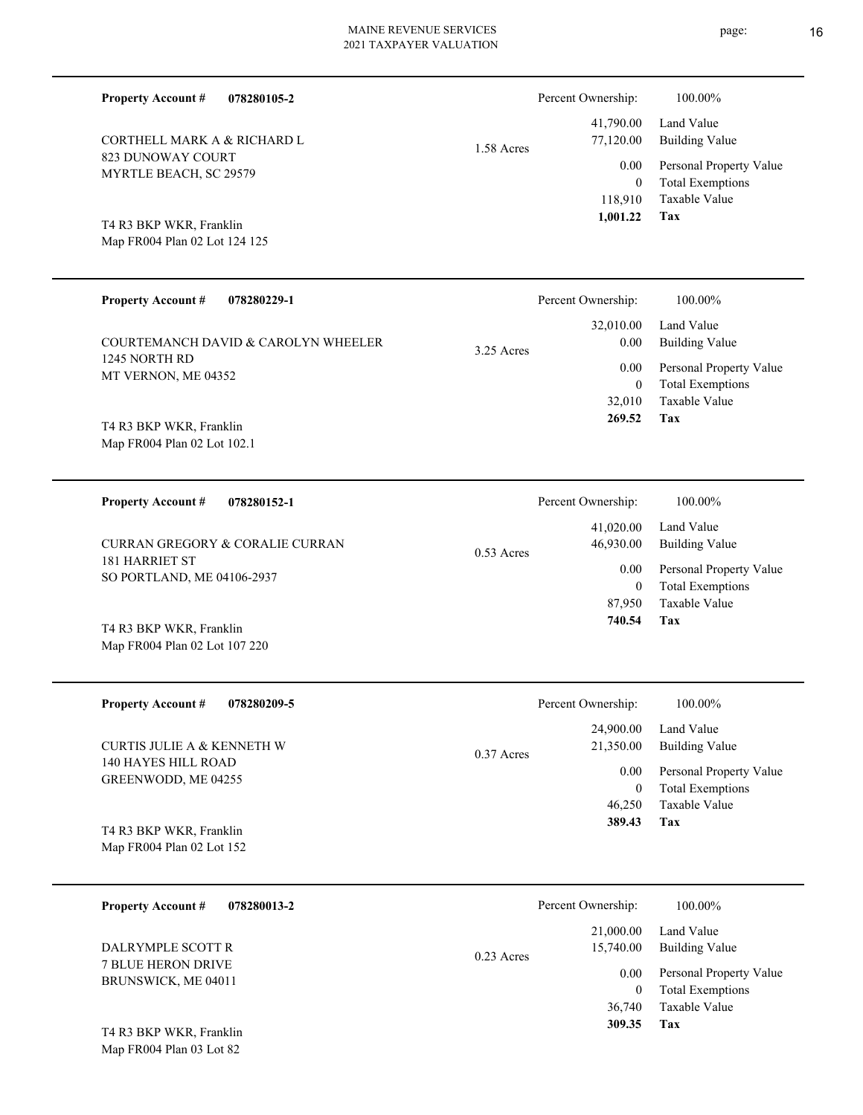1.58 Acres

**078280105-2 Property Account #**

823 DUNOWAY COURT MYRTLE BEACH, SC 29579 CORTHELL MARK A & RICHARD L

Map FR004 Plan 02 Lot 124 125 T4 R3 BKP WKR, Franklin

| <b>Property Account #</b><br>078280229-1             | Percent Ownership:                        | 100.00%                                                        |
|------------------------------------------------------|-------------------------------------------|----------------------------------------------------------------|
| COURTEMANCH DAVID & CAROLYN WHEELER<br>1245 NORTH RD | 32,010.00<br>0.00<br>$3.25$ Acres<br>0.00 | Land Value<br><b>Building Value</b><br>Personal Property Value |
| MT VERNON, ME 04352<br>T4 R3 BKP WKR, Franklin       | $\mathbf{0}$<br>32,010<br>269.52          | <b>Total Exemptions</b><br>Taxable Value<br>Tax                |
| Map FR004 Plan 02 Lot 102.1                          |                                           |                                                                |
| 078280152-1<br><b>Property Account #</b>             | Percent Ownership:                        | $100.00\%$                                                     |

| CURRAN GREGORY & CORALIE CURRAN              | $0.53$ Acres | Land Value<br>41,020.00<br>Building Value<br>46,930.00 |                                                    |
|----------------------------------------------|--------------|--------------------------------------------------------|----------------------------------------------------|
| 181 HARRIET ST<br>SO PORTLAND, ME 04106-2937 |              | 0.00                                                   | Personal Property Value<br><b>Total Exemptions</b> |
|                                              |              | 87.950                                                 | Taxable Value                                      |
| T4 R3 BKP WKR, Franklin                      |              | 740.54                                                 | Tax                                                |

| <b>Property Account #</b><br>078280209-5                        | Percent Ownership:        | 100.00%                 |
|-----------------------------------------------------------------|---------------------------|-------------------------|
|                                                                 | 24,900.00                 | Land Value              |
| CURTIS JULIE A & KENNETH W                                      | 21,350.00<br>$0.37$ Acres | <b>Building Value</b>   |
| 140 HAYES HILL ROAD<br>GREENWODD, ME 04255                      | 0.00                      | Personal Property Value |
|                                                                 | $\overline{0}$            | <b>Total Exemptions</b> |
|                                                                 | 46,250                    | Taxable Value           |
| $TA$ D <sub>2</sub> D <sub><i>VD</i></sub> W <i>VD</i> Frontlin | 389.43                    | Tax                     |

Map FR004 Plan 02 Lot 152 T4 R3 BKP WKR, Franklin

Map FR004 Plan 02 Lot 107 220

| 078280013-2<br><b>Property Account #</b>         | Percent Ownership:                     | 100.00%                                                             |
|--------------------------------------------------|----------------------------------------|---------------------------------------------------------------------|
| DALRYMPLE SCOTT R                                | 21,000.00<br>15,740.00<br>$0.23$ Acres | Land Value<br><b>Building Value</b>                                 |
| <b>7 BLUE HERON DRIVE</b><br>BRUNSWICK, ME 04011 | 0.00                                   | Personal Property Value<br><b>Total Exemptions</b><br>Taxable Value |
| T4 R3 BKP WKR, Franklin                          | 36,740<br>309.35                       | Tax                                                                 |

Map FR004 Plan 03 Lot 82

**Tax**

 118,910 0

0.00

Percent Ownership:  $100.00\%$ 

 41,790.00 77,120.00

 **1,001.22**

Taxable Value Total Exemptions Personal Property Value

Building Value Land Value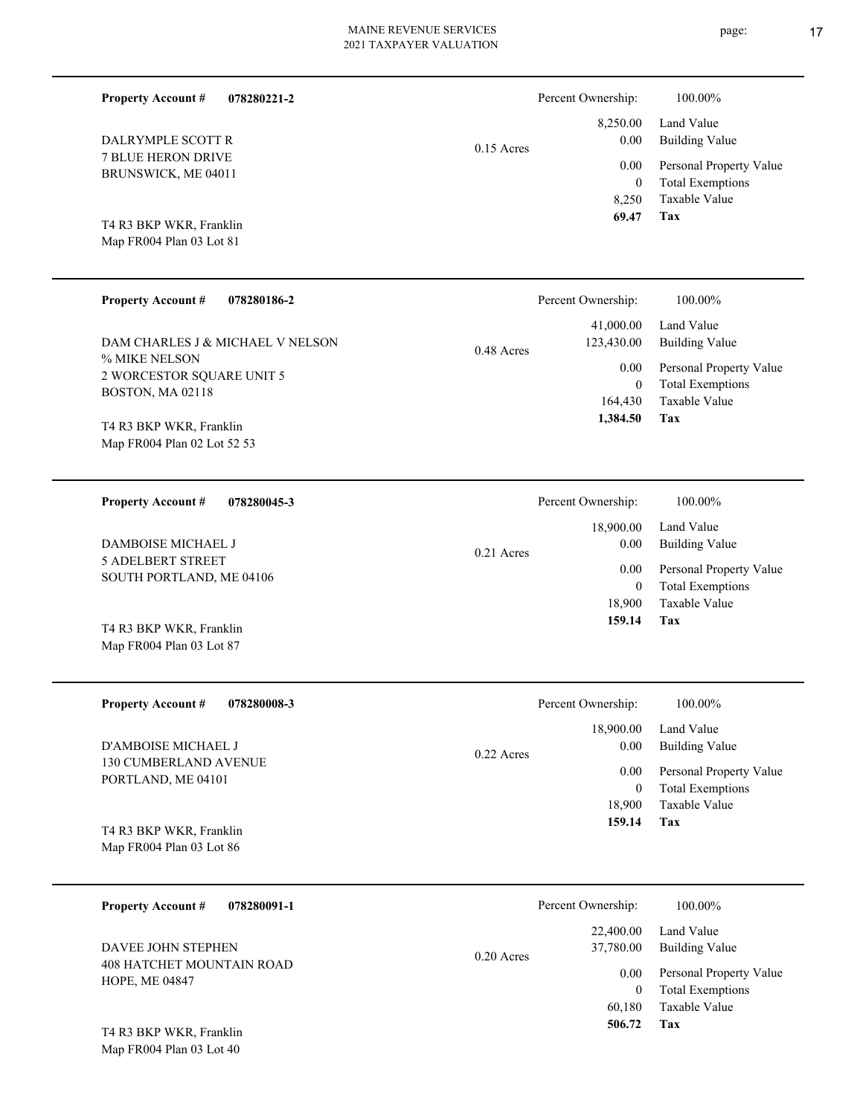| <b>Property Account #</b><br>078280221-2                               |              | Percent Ownership:                          | 100.00%                                                                    |
|------------------------------------------------------------------------|--------------|---------------------------------------------|----------------------------------------------------------------------------|
| DALRYMPLE SCOTT R                                                      | $0.15$ Acres | 8,250.00<br>0.00                            | Land Value<br><b>Building Value</b>                                        |
| 7 BLUE HERON DRIVE<br>BRUNSWICK, ME 04011                              |              | 0.00<br>$\mathbf{0}$<br>8,250               | Personal Property Value<br><b>Total Exemptions</b><br>Taxable Value        |
| T4 R3 BKP WKR, Franklin<br>Map FR004 Plan 03 Lot 81                    |              | 69.47                                       | Tax                                                                        |
| <b>Property Account #</b><br>078280186-2                               |              | Percent Ownership:                          | 100.00%                                                                    |
| DAM CHARLES J & MICHAEL V NELSON                                       | $0.48$ Acres | 41,000.00<br>123,430.00                     | Land Value<br><b>Building Value</b>                                        |
| % MIKE NELSON<br>2 WORCESTOR SQUARE UNIT 5<br>BOSTON, MA 02118         |              | 0.00<br>$\mathbf{0}$<br>164,430<br>1,384.50 | Personal Property Value<br><b>Total Exemptions</b><br>Taxable Value<br>Tax |
| T4 R3 BKP WKR, Franklin<br>Map FR004 Plan 02 Lot 52 53                 |              |                                             |                                                                            |
| <b>Property Account #</b><br>078280045-3                               |              | Percent Ownership:                          | 100.00%                                                                    |
| DAMBOISE MICHAEL J                                                     | $0.21$ Acres | 18,900.00<br>0.00                           | Land Value<br><b>Building Value</b>                                        |
| <b>5 ADELBERT STREET</b><br>SOUTH PORTLAND, ME 04106                   |              | 0.00<br>$\mathbf{0}$                        | Personal Property Value<br><b>Total Exemptions</b>                         |
| T4 R3 BKP WKR, Franklin<br>Map FR004 Plan 03 Lot 87                    |              | 18,900<br>159.14                            | Taxable Value<br>Tax                                                       |
| <b>Property Account #</b><br>078280008-3                               |              | Percent Ownership:                          | 100.00%                                                                    |
| D'AMBOISE MICHAEL J                                                    | 0.22 Acres   | 18,900.00<br>0.00                           | Land Value<br><b>Building Value</b>                                        |
| 130 CUMBERLAND AVENUE<br>PORTLAND, ME 04101                            |              | 0.00<br>$\overline{0}$                      | Personal Property Value<br><b>Total Exemptions</b>                         |
| T4 R3 BKP WKR, Franklin<br>Map FR004 Plan 03 Lot 86                    |              | 18,900<br>159.14                            | Taxable Value<br>Tax                                                       |
| <b>Property Account #</b><br>078280091-1                               |              | Percent Ownership:                          | 100.00%                                                                    |
| DAVEE JOHN STEPHEN                                                     | 0.20 Acres   | 22,400.00<br>37,780.00                      | Land Value<br><b>Building Value</b>                                        |
| 408 HATCHET MOUNTAIN ROAD<br>HOPE, ME 04847<br>T4 R3 BKP WKR, Franklin |              | 0.00<br>$\overline{0}$<br>60,180<br>506.72  | Personal Property Value<br><b>Total Exemptions</b><br>Taxable Value<br>Tax |
| Map FR004 Plan 03 Lot 40                                               |              |                                             |                                                                            |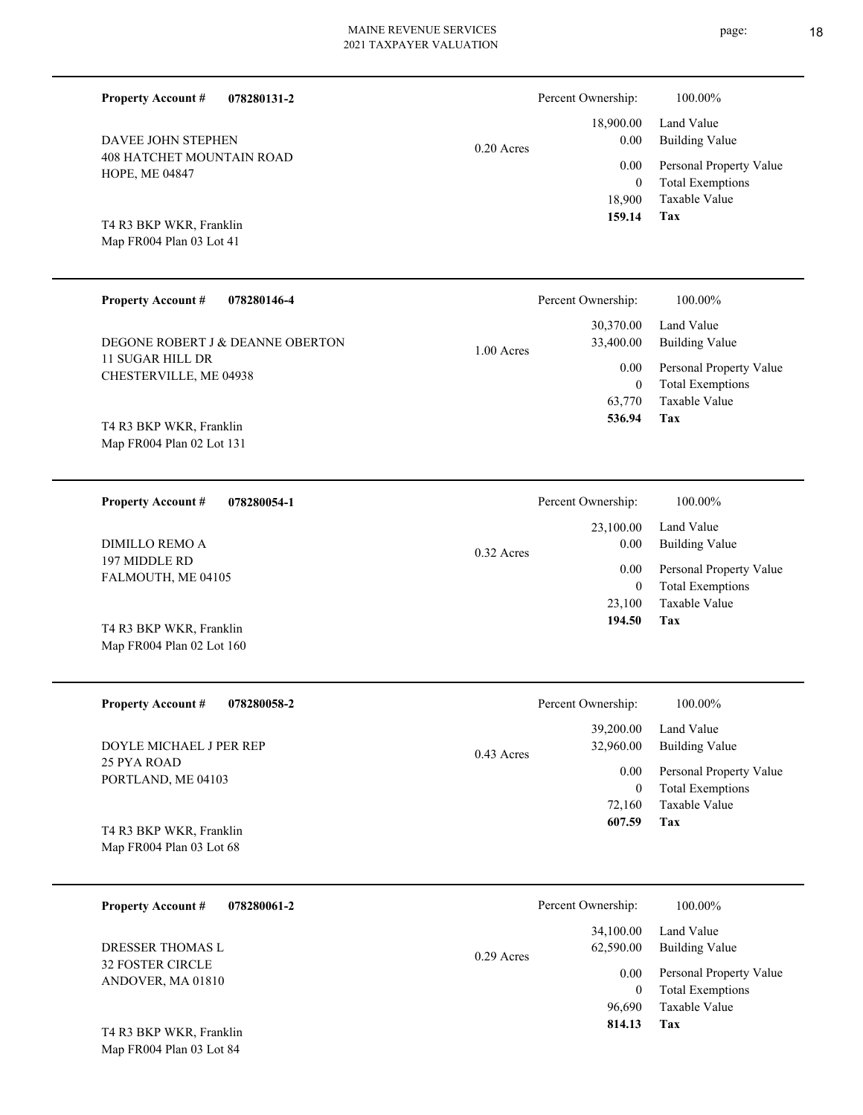page: 18

| <b>Property Account #</b><br>078280131-2             |              | Percent Ownership:                        | 100.00%                                                             |
|------------------------------------------------------|--------------|-------------------------------------------|---------------------------------------------------------------------|
| DAVEE JOHN STEPHEN                                   | $0.20$ Acres | 18,900.00<br>0.00                         | Land Value<br><b>Building Value</b>                                 |
| 408 HATCHET MOUNTAIN ROAD<br>HOPE, ME 04847          |              | 0.00<br>$\theta$<br>18,900                | Personal Property Value<br><b>Total Exemptions</b><br>Taxable Value |
| T4 R3 BKP WKR, Franklin<br>Map FR004 Plan 03 Lot 41  |              | 159.14                                    | <b>Tax</b>                                                          |
| <b>Property Account #</b><br>078280146-4             |              | Percent Ownership:                        | 100.00%                                                             |
| DEGONE ROBERT J & DEANNE OBERTON                     | 1.00 Acres   | 30,370.00<br>33,400.00                    | Land Value<br><b>Building Value</b>                                 |
| <b>11 SUGAR HILL DR</b><br>CHESTERVILLE, ME 04938    |              | 0.00<br>$\mathbf{0}$<br>63,770            | Personal Property Value<br><b>Total Exemptions</b><br>Taxable Value |
| T4 R3 BKP WKR, Franklin<br>Map FR004 Plan 02 Lot 131 |              | 536.94                                    | Tax                                                                 |
| <b>Property Account #</b><br>078280054-1             |              | Percent Ownership:                        | 100.00%                                                             |
| <b>DIMILLO REMO A</b>                                | 0.32 Acres   | 23,100.00<br>0.00<br>0.00<br>$\mathbf{0}$ | Land Value<br><b>Building Value</b>                                 |
| 197 MIDDLE RD<br>FALMOUTH, ME 04105                  |              |                                           | Personal Property Value<br><b>Total Exemptions</b>                  |
| T4 R3 BKP WKR, Franklin<br>Map FR004 Plan 02 Lot 160 |              | 23,100<br>194.50                          | Taxable Value<br>Tax                                                |
| Property Account #<br>078280058-2                    |              | Percent Ownership:                        | $100.00\%$                                                          |
| DOYLE MICHAEL J PER REP                              | 0.43 Acres   | 39,200.00<br>32,960.00                    | Land Value<br><b>Building Value</b>                                 |
| 25 PYA ROAD<br>PORTLAND, ME 04103                    |              | 0.00<br>$\overline{0}$<br>72,160          | Personal Property Value<br><b>Total Exemptions</b><br>Taxable Value |
| T4 R3 BKP WKR, Franklin<br>Map FR004 Plan 03 Lot 68  |              | 607.59                                    | Tax                                                                 |
| <b>Property Account #</b><br>078280061-2             |              | Percent Ownership:                        | 100.00%                                                             |
| DRESSER THOMAS L                                     | 0.29 Acres   | 34,100.00<br>62,590.00                    | Land Value<br><b>Building Value</b>                                 |
| 32 FOSTER CIRCLE<br>ANDOVER, MA 01810                |              | 0.00<br>$\overline{0}$<br>96,690          | Personal Property Value<br><b>Total Exemptions</b><br>Taxable Value |
| T4 R3 BKP WKR, Franklin<br>Map FR004 Plan 03 Lot 84  |              | 814.13                                    | Tax                                                                 |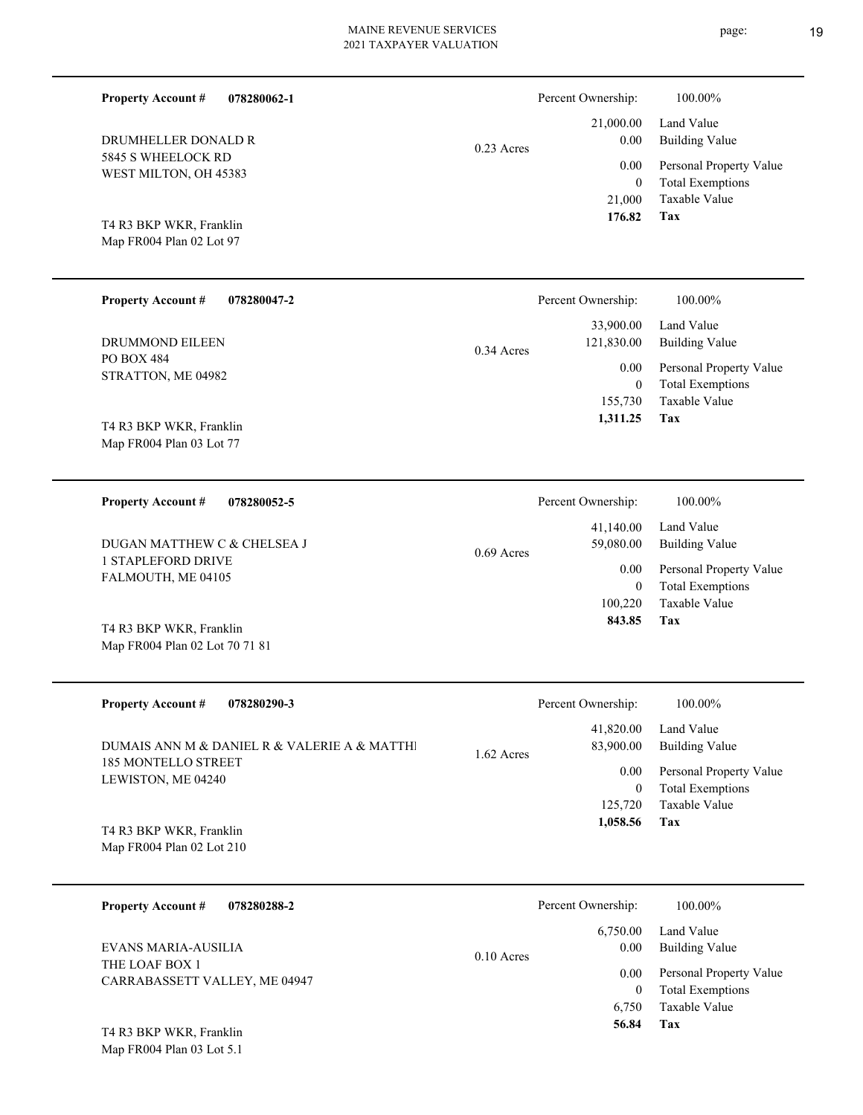| <b>Property Account #</b><br>078280062-1                           |              | Percent Ownership:                                              | 100.00%                                                                                                           |
|--------------------------------------------------------------------|--------------|-----------------------------------------------------------------|-------------------------------------------------------------------------------------------------------------------|
| DRUMHELLER DONALD R<br>5845 S WHEELOCK RD<br>WEST MILTON, OH 45383 | $0.23$ Acres | 21,000.00<br>0.00<br>0.00<br>$\overline{0}$<br>21,000<br>176.82 | Land Value<br><b>Building Value</b><br>Personal Property Value<br><b>Total Exemptions</b><br>Taxable Value<br>Tax |
| T4 R3 BKP WKR, Franklin<br>Map FR004 Plan 02 Lot 97                |              |                                                                 |                                                                                                                   |
| <b>Property Account #</b><br>078280047-2                           |              | Percent Ownership:                                              | 100.00%                                                                                                           |
| <b>DRUMMOND EILEEN</b>                                             | $0.34$ Acres | 33,900.00<br>121,830.00                                         | Land Value<br><b>Building Value</b>                                                                               |
| <b>PO BOX 484</b><br>STRATTON, ME 04982                            |              | 0.00<br>$\mathbf{0}$<br>155,730<br>1,311.25                     | Personal Property Value<br><b>Total Exemptions</b><br>Taxable Value<br>Tax                                        |
| T4 R3 BKP WKR, Franklin<br>Map FR004 Plan 03 Lot 77                |              |                                                                 |                                                                                                                   |
| <b>Property Account #</b><br>078280052-5                           |              | Percent Ownership:                                              | 100.00%                                                                                                           |
| DUGAN MATTHEW C & CHELSEA J                                        | $0.69$ Acres | 41,140.00<br>59,080.00                                          | Land Value<br><b>Building Value</b>                                                                               |
| 1 STAPLEFORD DRIVE<br>FALMOUTH, ME 04105                           |              | 0.00<br>$\overline{0}$<br>100,220                               | Personal Property Value<br><b>Total Exemptions</b><br><b>Taxable Value</b>                                        |
| T4 R3 BKP WKR, Franklin<br>Map FR004 Plan 02 Lot 70 71 81          |              | 843.85                                                          | Tax                                                                                                               |
| <b>Property Account #</b><br>078280290-3                           |              | Percent Ownership:                                              | 100.00%                                                                                                           |
| DUMAIS ANN M & DANIEL R & VALERIE A & MATTHI                       | 1.62 Acres   | 41,820.00<br>83,900.00                                          | Land Value<br><b>Building Value</b>                                                                               |
| 185 MONTELLO STREET<br>LEWISTON, ME 04240                          |              | 0.00<br>$\boldsymbol{0}$<br>125,720                             | Personal Property Value<br><b>Total Exemptions</b><br>Taxable Value                                               |
| T4 R3 BKP WKR, Franklin<br>Map FR004 Plan 02 Lot 210               |              | 1,058.56                                                        | <b>Tax</b>                                                                                                        |
| <b>Property Account #</b><br>078280288-2                           |              | Percent Ownership:                                              | 100.00%                                                                                                           |
| EVANS MARIA-AUSILIA                                                | $0.10$ Acres | 6,750.00<br>0.00                                                | Land Value<br><b>Building Value</b>                                                                               |

Map FR004 Plan 03 Lot 5.1 T4 R3 BKP WKR, Franklin **Tax**

 6,750 0

 **56.84**

Taxable Value Total Exemptions 0.00 Personal Property Value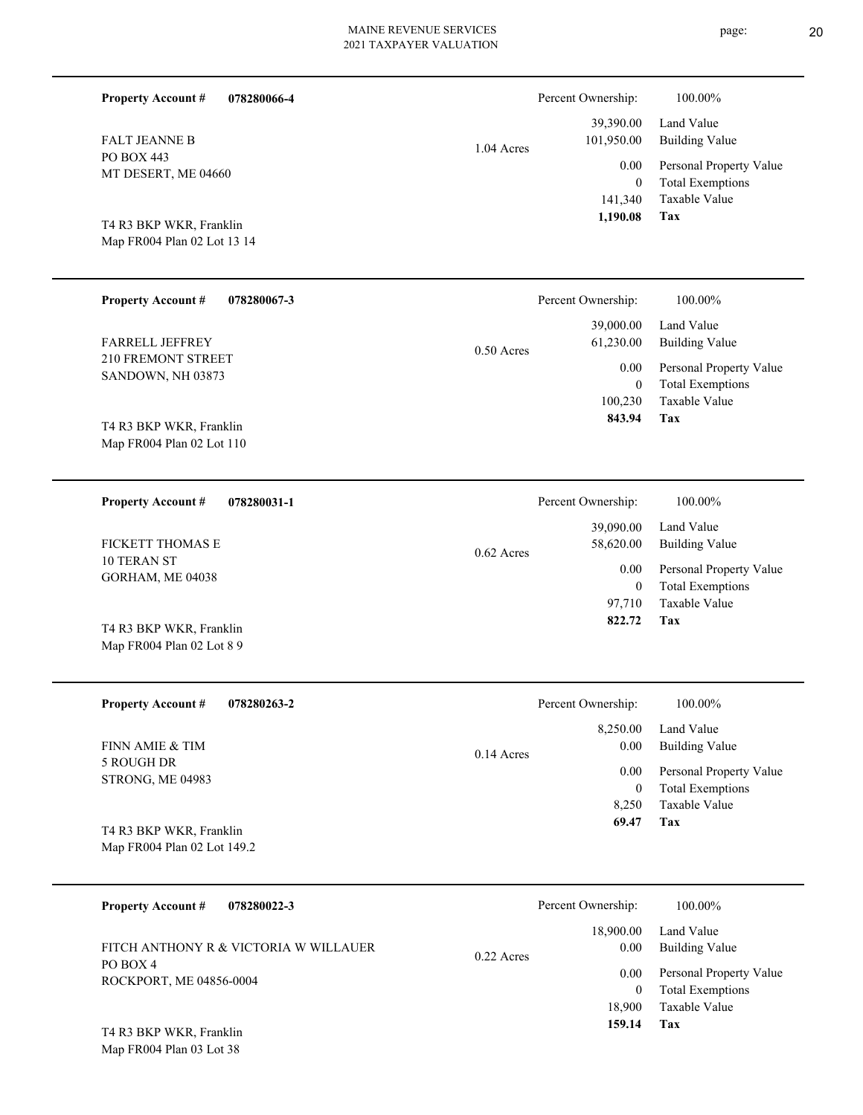| <b>Property Account #</b>                              | 078280066-4 |              | Percent Ownership:       | 100.00%                                  |
|--------------------------------------------------------|-------------|--------------|--------------------------|------------------------------------------|
| <b>FALT JEANNE B</b>                                   |             | 1.04 Acres   | 39,390.00<br>101,950.00  | Land Value<br><b>Building Value</b>      |
| PO BOX 443                                             |             |              | 0.00                     | Personal Property Value                  |
| MT DESERT, ME 04660                                    |             |              | $\mathbf{0}$             | <b>Total Exemptions</b>                  |
|                                                        |             |              | 141,340                  | Taxable Value                            |
| T4 R3 BKP WKR, Franklin                                |             |              | 1,190.08                 | Tax                                      |
| Map FR004 Plan 02 Lot 13 14                            |             |              |                          |                                          |
|                                                        |             |              |                          |                                          |
| <b>Property Account #</b>                              | 078280067-3 |              | Percent Ownership:       | 100.00%                                  |
|                                                        |             |              | 39,000.00                | Land Value                               |
| FARRELL JEFFREY                                        |             | $0.50$ Acres | 61,230.00                | <b>Building Value</b>                    |
| 210 FREMONT STREET<br>SANDOWN, NH 03873                |             |              | 0.00                     | Personal Property Value                  |
|                                                        |             |              | $\mathbf{0}$             | <b>Total Exemptions</b>                  |
|                                                        |             |              | 100,230<br>843.94        | <b>Taxable Value</b><br>Tax              |
| T4 R3 BKP WKR, Franklin                                |             |              |                          |                                          |
| Map FR004 Plan 02 Lot 110                              |             |              |                          |                                          |
|                                                        |             |              |                          |                                          |
|                                                        |             |              |                          |                                          |
| <b>Property Account #</b>                              | 078280031-1 |              | Percent Ownership:       | 100.00%                                  |
|                                                        |             |              | 39,090.00                | Land Value                               |
| <b>FICKETT THOMAS E</b>                                |             | $0.62$ Acres | 58,620.00                | <b>Building Value</b>                    |
| <b>10 TERAN ST</b>                                     |             |              | 0.00                     | Personal Property Value                  |
| GORHAM, ME 04038                                       |             |              | $\mathbf{0}$             | <b>Total Exemptions</b>                  |
|                                                        |             |              | 97,710<br>822.72         | <b>Taxable Value</b>                     |
| T4 R3 BKP WKR, Franklin                                |             |              |                          | Tax                                      |
| Map FR004 Plan 02 Lot 8 9                              |             |              |                          |                                          |
|                                                        | 078280263-2 |              |                          | 100.00%                                  |
| <b>Property Account #</b>                              |             |              | Percent Ownership:       |                                          |
| FINN AMIE & TIM                                        |             |              | 8,250.00                 | Land Value                               |
| 5 ROUGH DR                                             |             | 0.14 Acres   | 0.00                     | <b>Building Value</b>                    |
| STRONG, ME 04983                                       |             |              | 0.00<br>$\boldsymbol{0}$ | Personal Property Value                  |
|                                                        |             |              | 8,250                    | <b>Total Exemptions</b><br>Taxable Value |
|                                                        |             |              | 69.47                    | Tax                                      |
| T4 R3 BKP WKR, Franklin<br>Map FR004 Plan 02 Lot 149.2 |             |              |                          |                                          |
|                                                        |             |              |                          |                                          |

| 078280022-3<br><b>Property Account #</b> | Percent Ownership:   | 100.00%                 |
|------------------------------------------|----------------------|-------------------------|
|                                          | 18,900.00            | Land Value              |
| FITCH ANTHONY R & VICTORIA W WILLAUER    | 0.00<br>$0.22$ Acres | Building Value          |
| PO BOX 4<br>ROCKPORT, ME 04856-0004      | 0.00                 | Personal Property Value |
|                                          |                      | <b>Total Exemptions</b> |
|                                          | 18.900               | Taxable Value           |
| T4 R3 RKP WKR Franklin                   | 159.14               | Tax                     |
|                                          |                      |                         |

Map FR004 Plan 03 Lot 38 T4 R3 BKP WKR, Franklin page: 20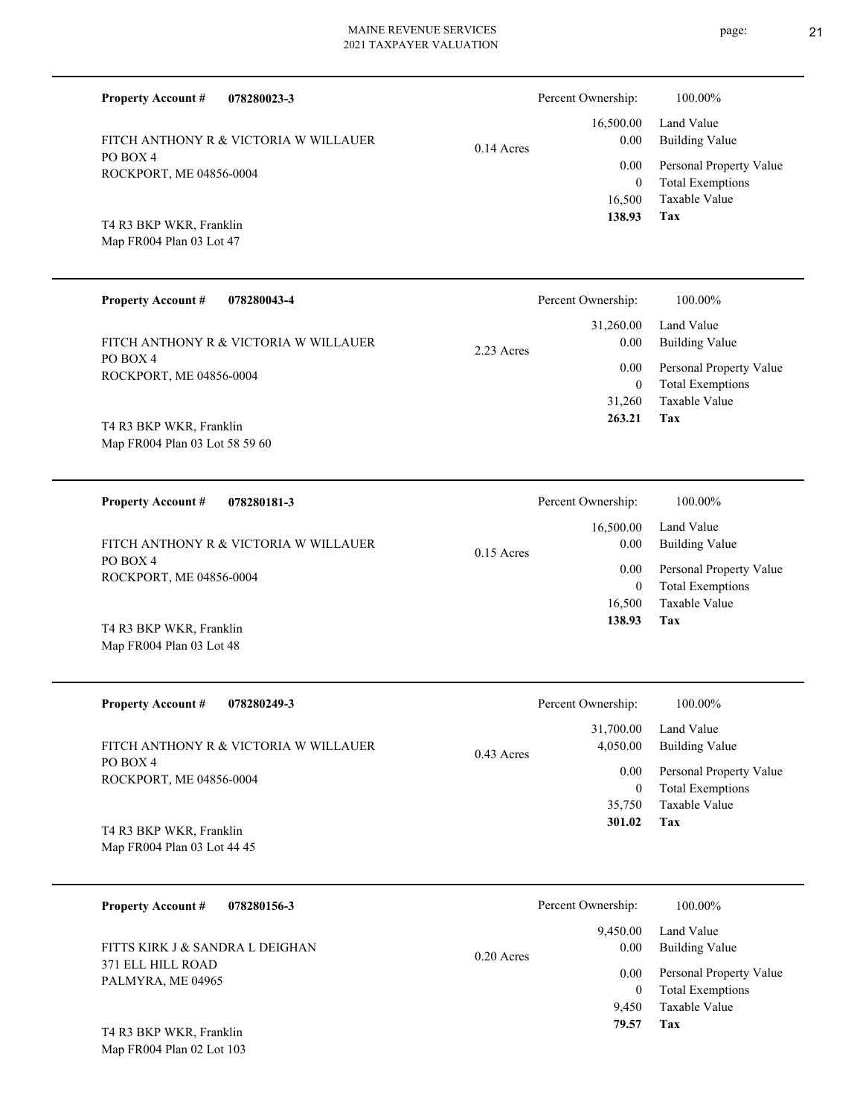**078280023-3 Tax** Taxable Value Total Exemptions Personal Property Value Building Value Land Value PO BOX 4 ROCKPORT, ME 04856-0004 **Property Account #** Map FR004 Plan 03 Lot 47 T4 R3 BKP WKR, Franklin FITCH ANTHONY R & VICTORIA W WILLAUER 16,500 0  **138.93** 16,500.00 0.00 0.00 0.14 Acres Percent Ownership:  $100.00\%$ **078280043-4 Tax** Taxable Value Total Exemptions Personal Property Value Building Value Land Value PO BOX 4 ROCKPORT, ME 04856-0004 **Property Account #** Map FR004 Plan 03 Lot 58 59 60 T4 R3 BKP WKR, Franklin FITCH ANTHONY R & VICTORIA W WILLAUER 31,260 0  **263.21** 31,260.00 0.00 0.00 2.23 Acres Percent Ownership:  $100.00\%$ **078280181-3 Tax** Taxable Value Total Exemptions Personal Property Value Building Value Land Value PO BOX 4 ROCKPORT, ME 04856-0004 **Property Account #** Map FR004 Plan 03 Lot 48 T4 R3 BKP WKR, Franklin FITCH ANTHONY R & VICTORIA W WILLAUER 16,500 0  **138.93** 16,500.00 0.00 0.00 0.15 Acres Percent Ownership:  $100.00\%$ **078280249-3 Tax** Taxable Value Total Exemptions Personal Property Value Building Value Land Value PO BOX 4 ROCKPORT, ME 04856-0004 **Property Account #** Map FR004 Plan 03 Lot 44 45 T4 R3 BKP WKR, Franklin FITCH ANTHONY R & VICTORIA W WILLAUER 35,750 0  **301.02** 31,700.00 4,050.00 0.00 0.43 Acres Percent Ownership:  $100.00\%$ **078280156-3** Land Value **Property Account #** FITTS KIRK J & SANDRA L DEIGHAN 9,450.00 0.00 0.20 Acres Percent Ownership:  $100.00\%$ 

PALMYRA, ME 04965

Map FR004 Plan 02 Lot 103 T4 R3 BKP WKR, Franklin

371 ELL HILL ROAD

- page: 21
- 
- 

**Tax** Taxable Value Total Exemptions Personal Property Value Building Value 9,450 0  **79.57** 0.00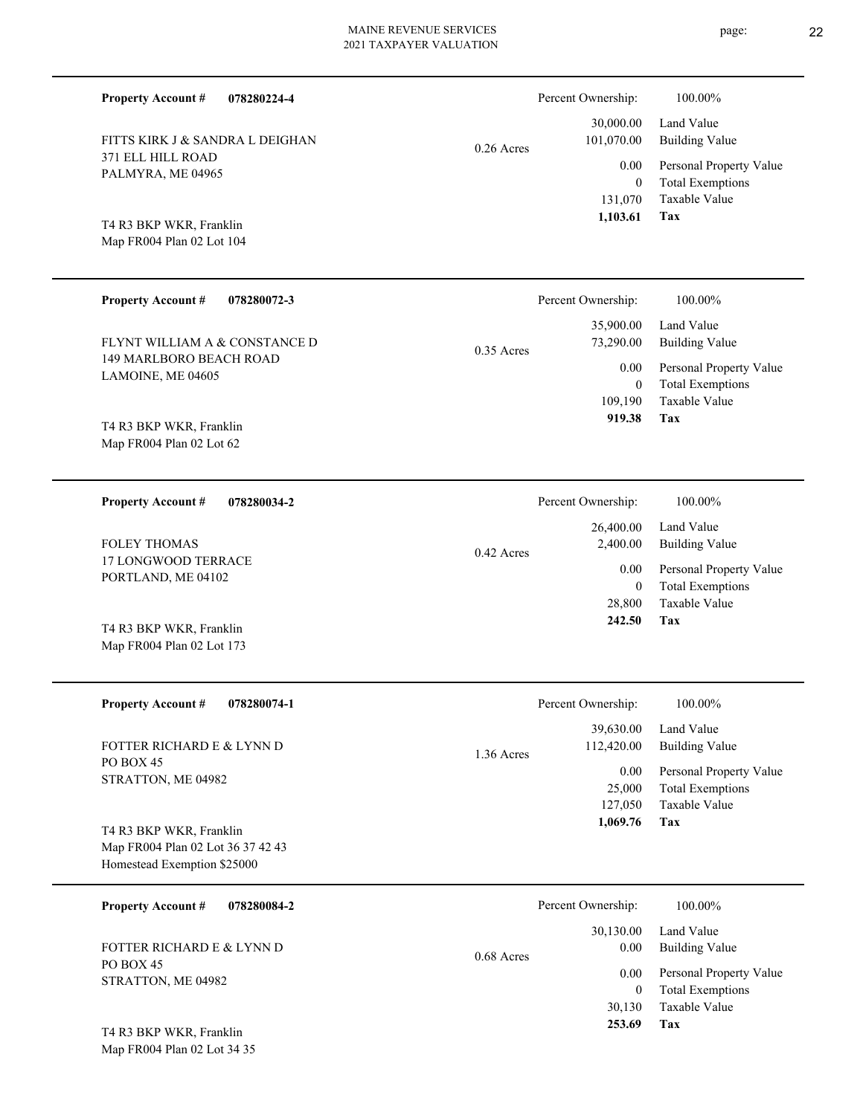|  | <b>Property Account #</b><br>078280224-4                                                    |              | Percent Ownership:             | 100.00%                                                                    |
|--|---------------------------------------------------------------------------------------------|--------------|--------------------------------|----------------------------------------------------------------------------|
|  | FITTS KIRK J & SANDRA L DEIGHAN                                                             | $0.26$ Acres | 30,000.00<br>101,070.00        | Land Value<br><b>Building Value</b>                                        |
|  | 371 ELL HILL ROAD<br>PALMYRA, ME 04965                                                      |              | 0.00<br>$\theta$<br>131,070    | Personal Property Value<br><b>Total Exemptions</b><br>Taxable Value        |
|  | T4 R3 BKP WKR, Franklin<br>Map FR004 Plan 02 Lot 104                                        |              | 1,103.61                       | Tax                                                                        |
|  | <b>Property Account #</b><br>078280072-3                                                    |              | Percent Ownership:             | 100.00%                                                                    |
|  | FLYNT WILLIAM A & CONSTANCE D                                                               | $0.35$ Acres | 35,900.00<br>73,290.00         | Land Value<br><b>Building Value</b>                                        |
|  | 149 MARLBORO BEACH ROAD<br>LAMOINE, ME 04605                                                |              | 0.00<br>$\overline{0}$         | Personal Property Value<br><b>Total Exemptions</b>                         |
|  | T4 R3 BKP WKR, Franklin<br>Map FR004 Plan 02 Lot 62                                         |              | 109,190<br>919.38              | <b>Taxable Value</b><br>Tax                                                |
|  |                                                                                             |              |                                |                                                                            |
|  | <b>Property Account #</b><br>078280034-2                                                    |              | Percent Ownership:             | 100.00%                                                                    |
|  | <b>FOLEY THOMAS</b>                                                                         | 0.42 Acres   | 26,400.00<br>2,400.00          | Land Value<br><b>Building Value</b>                                        |
|  | 17 LONGWOOD TERRACE<br>PORTLAND, ME 04102                                                   |              | 0.00<br>$\mathbf{0}$           | Personal Property Value<br><b>Total Exemptions</b>                         |
|  | T4 R3 BKP WKR, Franklin<br>Map FR004 Plan 02 Lot 173                                        |              | 28,800<br>242.50               | Taxable Value<br>Tax                                                       |
|  | <b>Property Account #</b><br>078280074-1                                                    |              | Percent Ownership:             | 100.00%                                                                    |
|  | FOTTER RICHARD E & LYNN D                                                                   |              | 39,630.00<br>112,420.00        | Land Value<br><b>Building Value</b>                                        |
|  | PO BOX 45<br>STRATTON, ME 04982                                                             | 1.36 Acres   | 0.00<br>25,000<br>127,050      | Personal Property Value<br><b>Total Exemptions</b><br>Taxable Value<br>Tax |
|  | T4 R3 BKP WKR, Franklin<br>Map FR004 Plan 02 Lot 36 37 42 43<br>Homestead Exemption \$25000 |              | 1,069.76                       |                                                                            |
|  | <b>Property Account #</b><br>078280084-2                                                    |              | Percent Ownership:             | 100.00%                                                                    |
|  | FOTTER RICHARD E & LYNN D<br>PO BOX 45<br>STRATTON, ME 04982                                | 0.68 Acres   | 30,130.00<br>0.00              | Land Value<br><b>Building Value</b>                                        |
|  |                                                                                             |              | 0.00<br>$\mathbf{0}$<br>30,130 | Personal Property Value<br><b>Total Exemptions</b><br>Taxable Value        |
|  | $T_A$ D2 DIZD WIZD $T_{\text{max}}(1)$                                                      |              | 253.69                         | Tax                                                                        |

Map FR004 Plan 02 Lot 34 35 T4 R3 BKP WKR, Franklin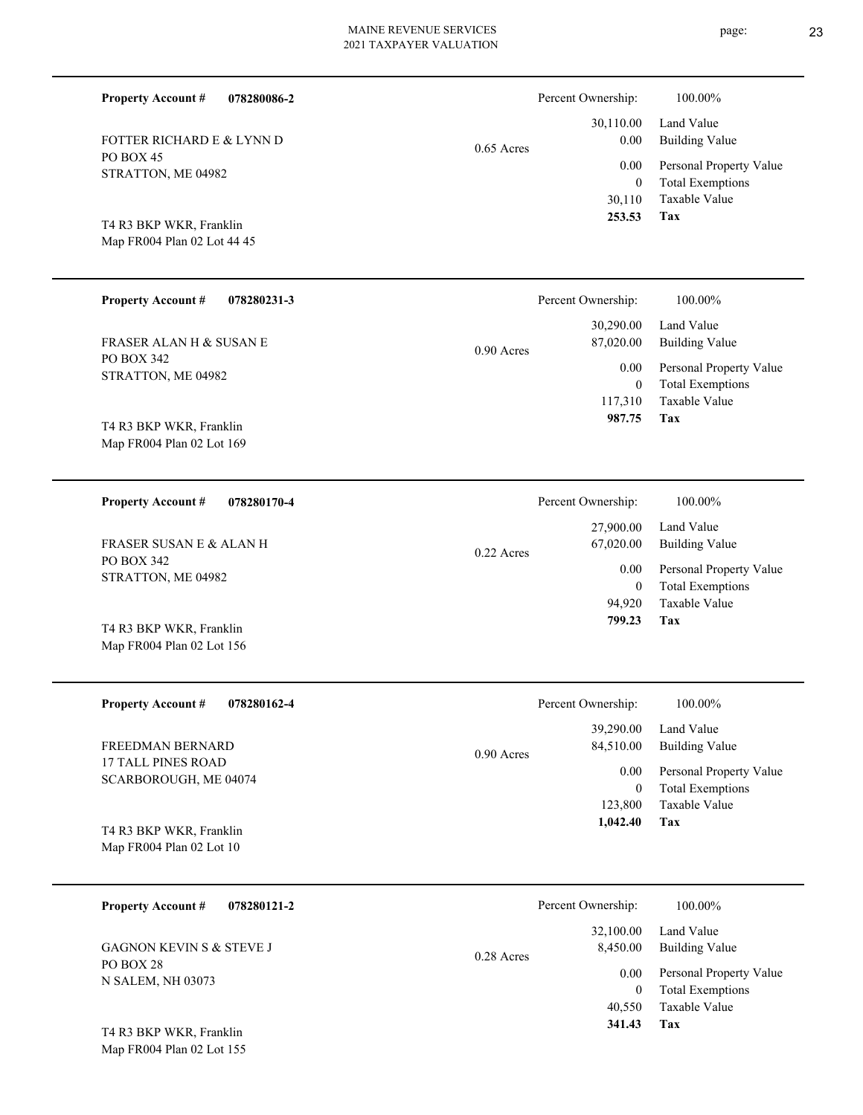| 078280086-2<br><b>Property Account #</b>               |              | Percent Ownership:        | 100.00%                                            |
|--------------------------------------------------------|--------------|---------------------------|----------------------------------------------------|
| FOTTER RICHARD E & LYNN D                              | $0.65$ Acres | 30,110.00<br>0.00         | Land Value<br><b>Building Value</b>                |
| PO BOX 45<br>STRATTON, ME 04982                        |              | 0.00<br>$\overline{0}$    | Personal Property Value<br><b>Total Exemptions</b> |
|                                                        |              | 30,110                    | Taxable Value                                      |
| T4 R3 BKP WKR, Franklin<br>Map FR004 Plan 02 Lot 44 45 |              | 253.53                    | Tax                                                |
|                                                        |              |                           |                                                    |
| <b>Property Account #</b><br>078280231-3               |              | Percent Ownership:        | 100.00%                                            |
| <b>FRASER ALAN H &amp; SUSAN E</b>                     | $0.90$ Acres | 30,290.00<br>87,020.00    | Land Value<br><b>Building Value</b>                |
| PO BOX 342<br>STRATTON, ME 04982                       |              | 0.00                      | Personal Property Value                            |
|                                                        |              | $\overline{0}$<br>117,310 | <b>Total Exemptions</b><br><b>Taxable Value</b>    |
| T4 R3 BKP WKR, Franklin                                |              | 987.75                    | Tax                                                |
| Map FR004 Plan 02 Lot 169                              |              |                           |                                                    |
| <b>Property Account #</b><br>078280170-4               |              | Percent Ownership:        | 100.00%                                            |
| <b>FRASER SUSAN E &amp; ALAN H</b>                     |              | 27,900.00<br>67,020.00    | Land Value<br><b>Building Value</b>                |
| PO BOX 342                                             | $0.22$ Acres | 0.00                      | Personal Property Value                            |
| STRATTON, ME 04982                                     |              | $\overline{0}$<br>94,920  | <b>Total Exemptions</b><br><b>Taxable Value</b>    |
| T4 R3 BKP WKR, Franklin                                |              | 799.23                    | Tax                                                |
| Map FR004 Plan 02 Lot 156                              |              |                           |                                                    |
| <b>Property Account #</b><br>078280162-4               |              | Percent Ownership:        | 100.00%                                            |
|                                                        |              | 39,290.00                 | Land Value                                         |
| FREEDMAN BERNARD<br>17 TALL PINES ROAD                 | 0.90 Acres   | 84,510.00                 | <b>Building Value</b>                              |
| SCARBOROUGH, ME 04074                                  |              | 0.00<br>$\boldsymbol{0}$  | Personal Property Value<br><b>Total Exemptions</b> |
|                                                        |              | 123,800<br>1,042.40       | Taxable Value<br>Tax                               |
| T4 R3 BKP WKR, Franklin<br>Map FR004 Plan 02 Lot 10    |              |                           |                                                    |
|                                                        |              |                           |                                                    |
| <b>Property Account #</b><br>078280121-2               |              | Percent Ownership:        | 100.00%                                            |
| GAGNON KEVIN S & STEVE J                               | $0.28$ Acres | 32,100.00<br>8,450.00     | Land Value<br><b>Building Value</b>                |
| PO BOX 28<br>N SALEM, NH 03073                         |              | 0.00                      | Personal Property Value                            |
|                                                        |              | $\overline{0}$<br>40,550  | <b>Total Exemptions</b><br>Taxable Value           |

**Tax 341.43**

Map FR004 Plan 02 Lot 155 T4 R3 BKP WKR, Franklin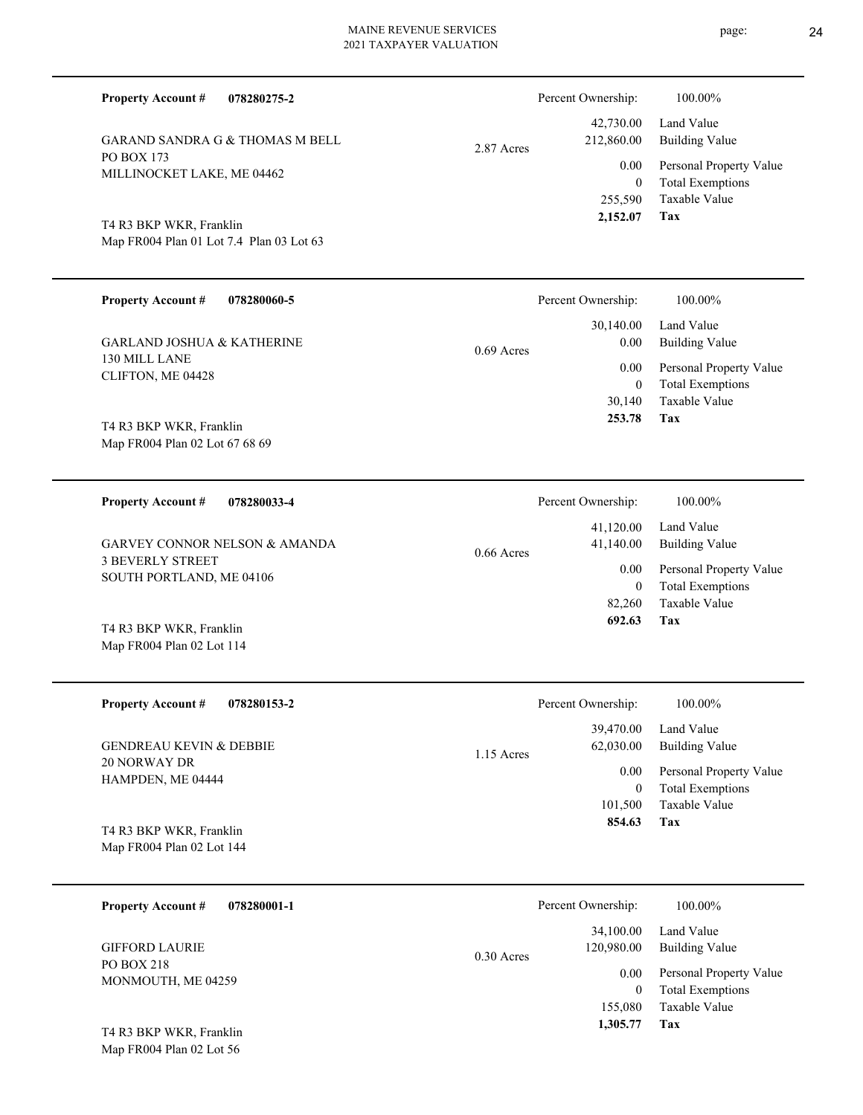| 078280275-2<br><b>Property Account #</b>                  | Percent Ownership:                     | 100.00%                                                                |
|-----------------------------------------------------------|----------------------------------------|------------------------------------------------------------------------|
| <b>GARAND SANDRA G &amp; THOMAS M BELL</b>                | 42,730.00<br>212,860.00<br>2.87 Acres  | Land Value<br><b>Building Value</b>                                    |
| <b>PO BOX 173</b><br>MILLINOCKET LAKE, ME 04462           | 0.00                                   | Personal Property Value<br><b>Total Exemptions</b><br>$\mathbf{0}$     |
| T4 R3 BKP WKR, Franklin                                   | 255,590<br>2,152.07                    | Taxable Value<br><b>Tax</b>                                            |
| Map FR004 Plan 01 Lot 7.4 Plan 03 Lot 63                  |                                        |                                                                        |
| <b>Property Account #</b><br>078280060-5                  | Percent Ownership:                     | 100.00%                                                                |
| <b>GARLAND JOSHUA &amp; KATHERINE</b>                     | 30,140.00<br>0.00<br>$0.69$ Acres      | Land Value<br><b>Building Value</b>                                    |
| 130 MILL LANE<br>CLIFTON, ME 04428                        | 0.00                                   | Personal Property Value<br><b>Total Exemptions</b><br>$\boldsymbol{0}$ |
|                                                           | 30,140<br>253.78                       | <b>Taxable Value</b><br><b>Tax</b>                                     |
| T4 R3 BKP WKR, Franklin<br>Map FR004 Plan 02 Lot 67 68 69 |                                        |                                                                        |
| <b>Property Account #</b><br>078280033-4                  | Percent Ownership:                     | 100.00%                                                                |
| <b>GARVEY CONNOR NELSON &amp; AMANDA</b>                  | 41,120.00<br>41,140.00<br>$0.66$ Acres | Land Value<br><b>Building Value</b>                                    |
| <b>3 BEVERLY STREET</b><br>SOUTH PORTLAND, ME 04106       | 0.00                                   | Personal Property Value<br><b>Total Exemptions</b><br>$\mathbf{0}$     |
| T4 R3 BKP WKR, Franklin                                   | 82,260<br>692.63                       | <b>Taxable Value</b><br>Tax                                            |
| Map FR004 Plan 02 Lot 114                                 |                                        |                                                                        |

| <b>Property Account #</b><br>078280153-2             | Percent Ownership:        | 100.00%                 |
|------------------------------------------------------|---------------------------|-------------------------|
|                                                      | 39,470.00                 | Land Value              |
| <b>GENDREAU KEVIN &amp; DEBBIE</b><br>20 NORWAY DR   | 62,030.00<br>$1.15$ Acres | Building Value          |
| HAMPDEN, ME 04444                                    | 0.00                      | Personal Property Value |
|                                                      | $\bf{0}$                  | <b>Total Exemptions</b> |
|                                                      | 101,500                   | Taxable Value           |
| T4 R3 BKP WKR, Franklin<br>Map FR004 Plan 02 Lot 144 | 854.63                    | Tax                     |

| 078280001-1<br><b>Property Account #</b>                  | Percent Ownership:                      | 100.00%                                            |
|-----------------------------------------------------------|-----------------------------------------|----------------------------------------------------|
| <b>GIFFORD LAURIE</b><br>PO BOX 218<br>MONMOUTH, ME 04259 | 34,100.00<br>120,980.00<br>$0.30$ Acres | Land Value<br><b>Building Value</b>                |
|                                                           | 0.00<br>0                               | Personal Property Value<br><b>Total Exemptions</b> |
|                                                           | 155,080                                 | Taxable Value                                      |
| T4 R3 BKP WKR, Franklin                                   | 1,305.77                                | Tax                                                |

Map FR004 Plan 02 Lot 56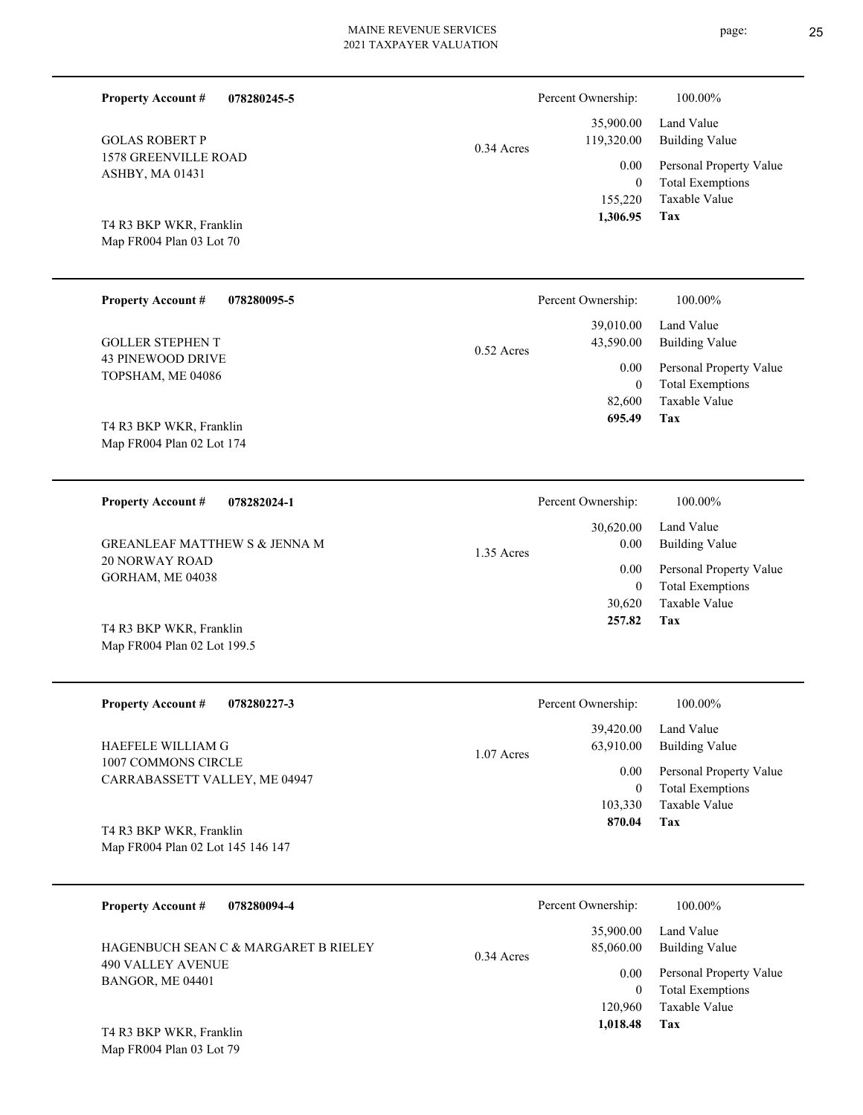| <b>Property Account #</b><br>078280245-5            |              | Percent Ownership:          | 100.00%                                         |
|-----------------------------------------------------|--------------|-----------------------------|-------------------------------------------------|
| <b>GOLAS ROBERT P</b>                               | $0.34$ Acres | 35,900.00<br>119,320.00     | Land Value<br><b>Building Value</b>             |
| <b>1578 GREENVILLE ROAD</b><br>ASHBY, MA 01431      |              | 0.00                        | Personal Property Value                         |
|                                                     |              | $\boldsymbol{0}$<br>155,220 | <b>Total Exemptions</b><br>Taxable Value        |
| T4 R3 BKP WKR, Franklin<br>Map FR004 Plan 03 Lot 70 |              | 1,306.95                    | Tax                                             |
|                                                     |              |                             |                                                 |
| <b>Property Account #</b><br>078280095-5            |              | Percent Ownership:          | 100.00%                                         |
| <b>GOLLER STEPHEN T</b>                             | $0.52$ Acres | 39,010.00<br>43,590.00      | Land Value<br><b>Building Value</b>             |
| <b>43 PINEWOOD DRIVE</b><br>TOPSHAM, ME 04086       |              | 0.00                        | Personal Property Value                         |
|                                                     |              | $\mathbf{0}$<br>82,600      | <b>Total Exemptions</b><br>Taxable Value        |
| T4 R3 BKP WKR, Franklin                             |              | 695.49                      | Tax                                             |
| Map FR004 Plan 02 Lot 174                           |              |                             |                                                 |
| <b>Property Account #</b><br>078282024-1            |              | Percent Ownership:          | 100.00%                                         |
| <b>GREANLEAF MATTHEW S &amp; JENNA M</b>            |              | 30,620.00<br>0.00           | Land Value<br><b>Building Value</b>             |
| <b>20 NORWAY ROAD</b><br>GORHAM, ME 04038           | 1.35 Acres   | 0.00                        | Personal Property Value                         |
|                                                     |              | $\mathbf{0}$<br>30,620      | <b>Total Exemptions</b><br><b>Taxable Value</b> |
| T4 R3 BKP WKR, Franklin                             |              | 257.82                      | Tax                                             |
| Map FR004 Plan 02 Lot 199.5                         |              |                             |                                                 |
| <b>Property Account #</b><br>078280227-3            |              | Percent Ownership:          | 100.00%                                         |
| HAEFELE WILLIAM G                                   |              | 39,420.00<br>63,910.00      | Land Value<br><b>Building Value</b>             |
| 1007 COMMONS CIRCLE                                 | 1.07 Acres   | 0.00                        | Personal Property Value                         |
| CARRABASSETT VALLEY, ME 04947                       |              | $\boldsymbol{0}$<br>103,330 | <b>Total Exemptions</b><br>Taxable Value        |
| T4 R3 BKP WKR, Franklin                             |              | 870.04                      | Tax                                             |
| Map FR004 Plan 02 Lot 145 146 147                   |              |                             |                                                 |
| <b>Property Account #</b><br>078280094-4            |              | Percent Ownership:          | 100.00%                                         |
|                                                     |              | 35,900.00                   | Land Value                                      |
| HAGENBUCH SEAN C & MARGARET B RIELEY                |              | 85,060.00                   | <b>Building Value</b>                           |

490 VALLEY AVENUE BANGOR, ME 04401

Map FR004 Plan 03 Lot 79 T4 R3 BKP WKR, Franklin

**Tax** Taxable Value Total Exemptions 0.00 Personal Property Value 120,960  $\boldsymbol{0}$  **1,018.48** 0.34 Acres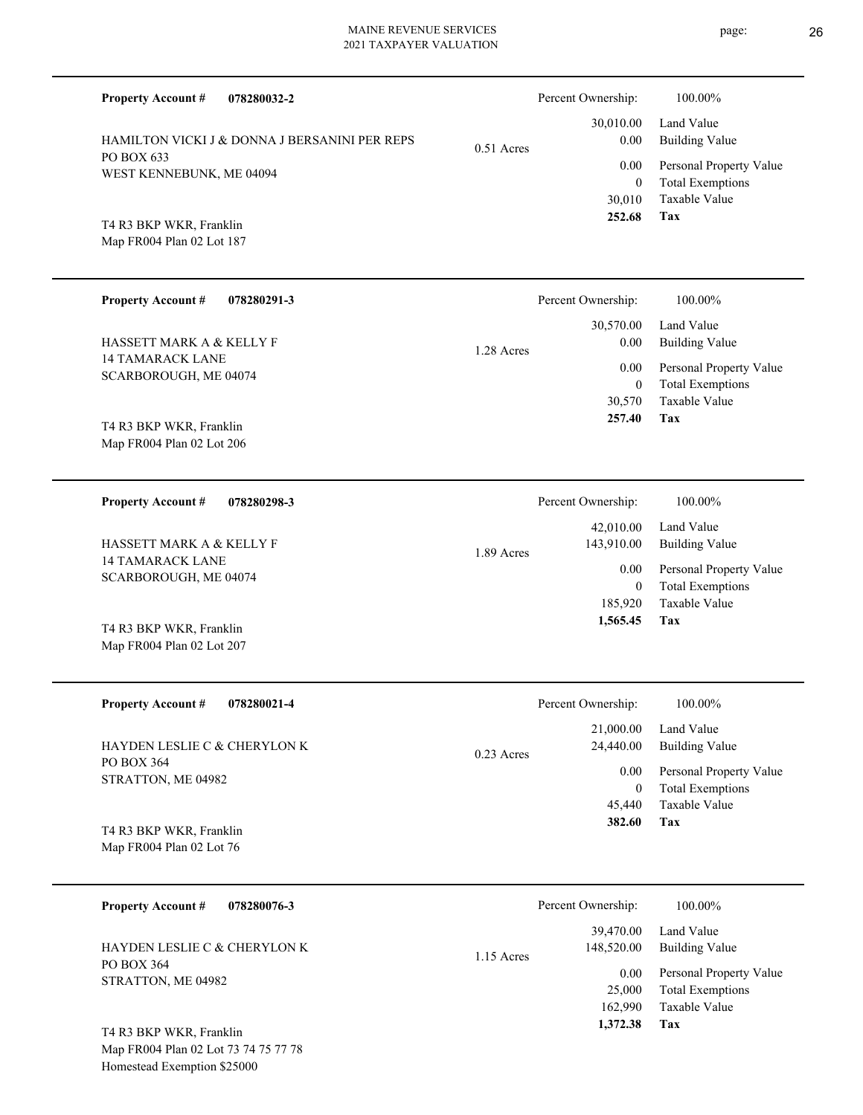| <b>Property Account #</b><br>078280032-2            |              | Percent Ownership:         | 100.00%                                          |
|-----------------------------------------------------|--------------|----------------------------|--------------------------------------------------|
| HAMILTON VICKI J & DONNA J BERSANINI PER REPS       | $0.51$ Acres | 30,010.00<br>$0.00\,$      | Land Value<br><b>Building Value</b>              |
| PO BOX 633<br>WEST KENNEBUNK, ME 04094              |              | 0.00                       | Personal Property Value                          |
|                                                     |              | $\overline{0}$<br>30,010   | <b>Total Exemptions</b><br>Taxable Value         |
| T4 R3 BKP WKR, Franklin                             |              | 252.68                     | Tax                                              |
| Map FR004 Plan 02 Lot 187                           |              |                            |                                                  |
| <b>Property Account #</b><br>078280291-3            |              | Percent Ownership:         | 100.00%                                          |
| HASSETT MARK A & KELLY F                            |              | 30,570.00<br>0.00          | Land Value<br><b>Building Value</b>              |
| <b>14 TAMARACK LANE</b><br>SCARBOROUGH, ME 04074    | 1.28 Acres   | 0.00                       | Personal Property Value                          |
|                                                     |              | $\theta$<br>30,570         | <b>Total Exemptions</b><br>Taxable Value         |
| T4 R3 BKP WKR, Franklin                             |              | 257.40                     | Tax                                              |
| Map FR004 Plan 02 Lot 206                           |              |                            |                                                  |
| <b>Property Account #</b><br>078280298-3            |              | Percent Ownership:         | 100.00%                                          |
|                                                     |              | 42,010.00                  | Land Value                                       |
| HASSETT MARK A & KELLY F<br><b>14 TAMARACK LANE</b> | 1.89 Acres   | 143,910.00<br>0.00         | <b>Building Value</b><br>Personal Property Value |
| SCARBOROUGH, ME 04074                               |              | $\theta$                   | <b>Total Exemptions</b>                          |
| T4 R3 BKP WKR, Franklin                             |              | 185,920<br>1,565.45        | <b>Taxable Value</b><br>Tax                      |
| Map FR004 Plan 02 Lot 207                           |              |                            |                                                  |
|                                                     |              |                            |                                                  |
| <b>Property Account #</b><br>078280021-4            |              | Percent Ownership:         | 100.00%                                          |
| HAYDEN LESLIE C & CHERYLON K                        | $0.23$ Acres | 21,000.00<br>24,440.00     | Land Value<br><b>Building Value</b>              |
| PO BOX 364<br>STRATTON, ME 04982                    |              | 0.00                       | Personal Property Value                          |
|                                                     |              | $\boldsymbol{0}$<br>45,440 | <b>Total Exemptions</b><br>Taxable Value         |
| T4 R3 BKP WKR, Franklin                             |              | 382.60                     | Tax                                              |
| Map FR004 Plan 02 Lot 76                            |              |                            |                                                  |
| <b>Property Account #</b><br>078280076-3            |              | Percent Ownership:         | 100.00%                                          |
| HAYDEN LESLIE C & CHERYLON K                        | 1.15 Acres   | 39,470.00<br>148,520.00    | Land Value<br><b>Building Value</b>              |
| PO BOX 364<br>STRATTON, ME 04982                    |              | 0.00                       | Personal Property Value                          |
|                                                     |              | 25,000<br>162,990          | <b>Total Exemptions</b><br>Taxable Value         |
| T4 R3 BKP WKR, Franklin                             |              | 1,372.38                   | Tax                                              |

Map FR004 Plan 02 Lot 73 74 75 77 78 Homestead Exemption \$25000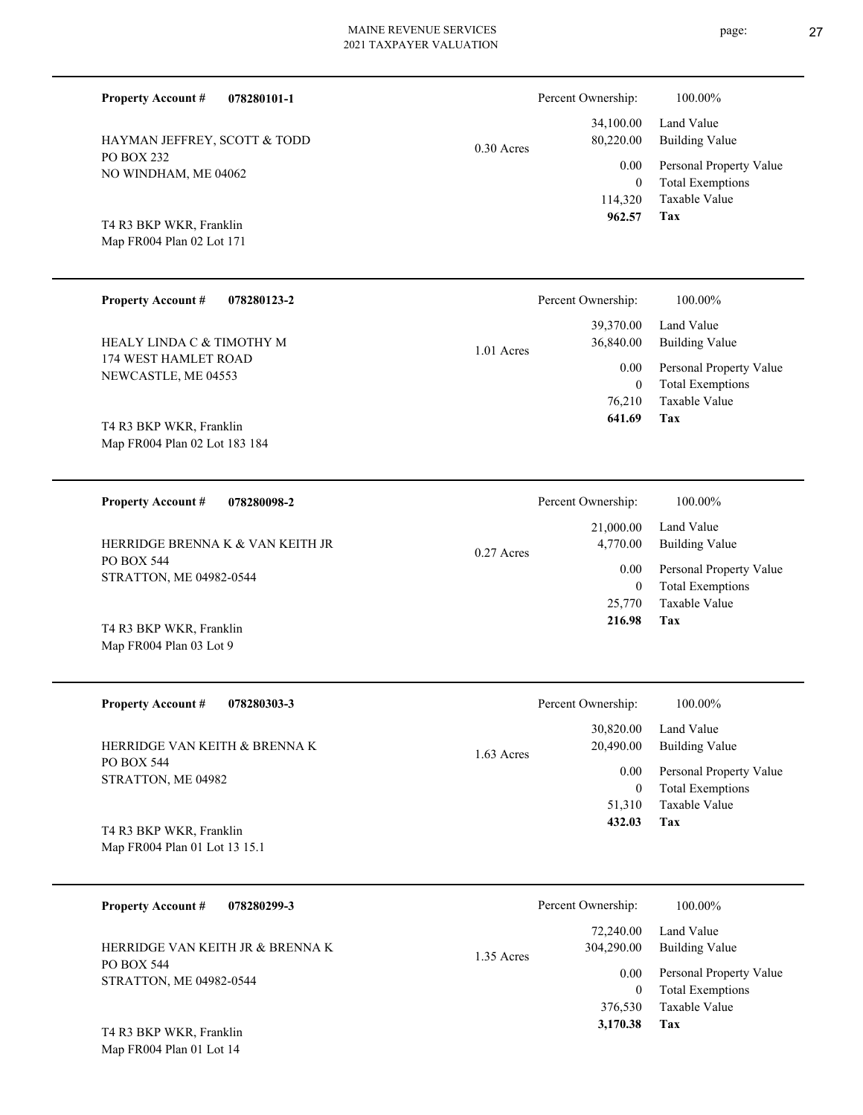| <b>Property Account #</b><br>078280101-1                 |              | Percent Ownership:        | 100.00%                                            |
|----------------------------------------------------------|--------------|---------------------------|----------------------------------------------------|
| HAYMAN JEFFREY, SCOTT & TODD                             | $0.30$ Acres | 34,100.00<br>80,220.00    | Land Value<br><b>Building Value</b>                |
| PO BOX 232<br>NO WINDHAM, ME 04062                       |              | 0.00<br>$\overline{0}$    | Personal Property Value<br><b>Total Exemptions</b> |
|                                                          |              | 114,320                   | Taxable Value                                      |
| T4 R3 BKP WKR, Franklin<br>Map FR004 Plan 02 Lot 171     |              | 962.57                    | Tax                                                |
|                                                          |              |                           |                                                    |
| <b>Property Account #</b><br>078280123-2                 |              | Percent Ownership:        | 100.00%                                            |
| HEALY LINDA C & TIMOTHY M                                | 1.01 Acres   | 39,370.00<br>36,840.00    | Land Value<br><b>Building Value</b>                |
| 174 WEST HAMLET ROAD<br>NEWCASTLE, ME 04553              |              | 0.00                      | Personal Property Value                            |
|                                                          |              | $\mathbf{0}$<br>76,210    | <b>Total Exemptions</b><br>Taxable Value           |
| T4 R3 BKP WKR, Franklin                                  |              | 641.69                    | Tax                                                |
| Map FR004 Plan 02 Lot 183 184                            |              |                           |                                                    |
| 078280098-2<br><b>Property Account #</b>                 |              | Percent Ownership:        | 100.00%                                            |
| HERRIDGE BRENNA K & VAN KEITH JR                         |              | 21,000.00<br>4,770.00     | Land Value                                         |
| PO BOX 544                                               | $0.27$ Acres | 0.00                      | <b>Building Value</b><br>Personal Property Value   |
| STRATTON, ME 04982-0544                                  |              | $\mathbf{0}$<br>25,770    | <b>Total Exemptions</b><br>Taxable Value           |
| T4 R3 BKP WKR, Franklin                                  |              | 216.98                    | Tax                                                |
| Map FR004 Plan 03 Lot 9                                  |              |                           |                                                    |
| <b>Property Account #</b><br>078280303-3                 |              | Percent Ownership:        | 100.00%                                            |
|                                                          |              | 30,820.00                 | Land Value                                         |
| HERRIDGE VAN KEITH & BRENNA K<br><b>PO BOX 544</b>       | $1.63$ Acres | 20,490.00                 | <b>Building Value</b>                              |
| STRATTON, ME 04982                                       |              | $0.00\,$<br>$\mathbf{0}$  | Personal Property Value<br><b>Total Exemptions</b> |
|                                                          |              | 51,310<br>432.03          | Taxable Value<br>Tax                               |
| T4 R3 BKP WKR, Franklin<br>Map FR004 Plan 01 Lot 13 15.1 |              |                           |                                                    |
|                                                          |              |                           |                                                    |
| <b>Property Account #</b><br>078280299-3                 |              | Percent Ownership:        | 100.00%                                            |
| HERRIDGE VAN KEITH JR & BRENNA K                         |              | 72,240.00<br>304,290.00   | Land Value<br><b>Building Value</b>                |
| PO BOX 544<br>STRATTON, ME 04982-0544                    | 1.35 Acres   | 0.00                      | Personal Property Value                            |
|                                                          |              | $\overline{0}$<br>376,530 | <b>Total Exemptions</b><br>Taxable Value           |

**Tax 3,170.38**

Map FR004 Plan 01 Lot 14 T4 R3 BKP WKR, Franklin page: 27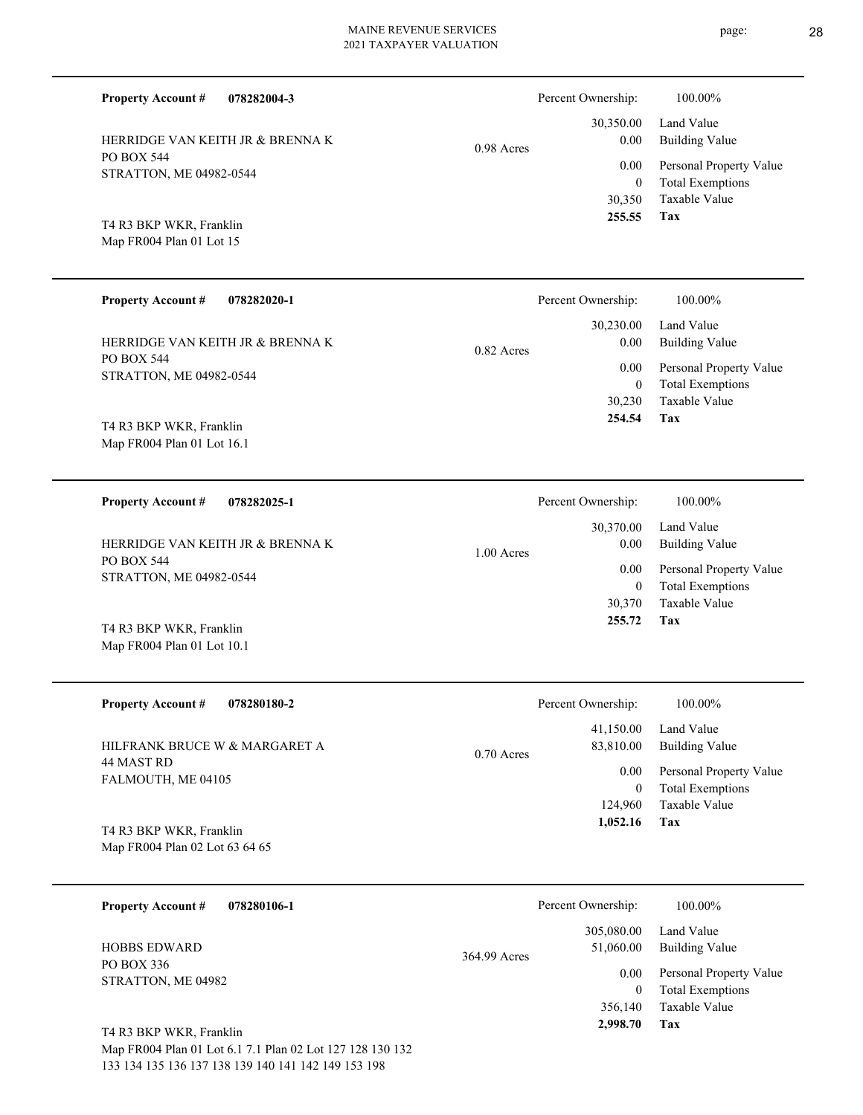| <b>Property Account #</b><br>078282004-3              |              | Percent Ownership:   | 100.00%                                            |
|-------------------------------------------------------|--------------|----------------------|----------------------------------------------------|
| HERRIDGE VAN KEITH JR & BRENNA K                      | $0.98$ Acres | 30,350.00<br>0.00    | Land Value<br><b>Building Value</b>                |
| <b>PO BOX 544</b><br>STRATTON, ME 04982-0544          |              | 0.00<br>$\mathbf{0}$ | Personal Property Value<br><b>Total Exemptions</b> |
| T4 R3 BKP WKR, Franklin<br>Map FR004 Plan 01 Lot 15   |              | 30,350<br>255.55     | <b>Taxable Value</b><br>Tax                        |
| <b>Property Account #</b><br>078282020-1              |              | Percent Ownership:   | 100.00%                                            |
| HERRIDGE VAN KEITH JR & BRENNA K                      | $0.82$ Acres | 30,230.00<br>0.00    | Land Value<br><b>Building Value</b>                |
| <b>PO BOX 544</b><br>STRATTON, ME 04982-0544          |              | 0.00<br>$\theta$     | Personal Property Value<br><b>Total Exemptions</b> |
| T4 R3 BKP WKR, Franklin<br>Map FR004 Plan 01 Lot 16.1 |              | 30,230<br>254.54     | <b>Taxable Value</b><br>Tax                        |
| 078282025-1                                           |              | Percent Ownership:   | 100.00%                                            |
| <b>Property Account #</b>                             |              |                      |                                                    |
| HERRIDGE VAN KEITH JR & BRENNA K<br>PO BOX 544        | 1.00 Acres   | 30,370.00<br>0.00    | Land Value<br><b>Building Value</b>                |
| $GED + FEDM + HEDA$                                   |              | 0.00                 | Personal Property Value                            |

PO BOX 544 STRATTON, ME 04982-0544

Map FR004 Plan 01 Lot 10.1 T4 R3 BKP WKR, Franklin

| <b>Property Account #</b><br>078280180-2                          | Percent Ownership:                     | 100.00%                                            |
|-------------------------------------------------------------------|----------------------------------------|----------------------------------------------------|
| HILFRANK BRUCE W & MARGARET A<br>44 MAST RD<br>FALMOUTH, ME 04105 | 41,150.00<br>83,810.00<br>$0.70$ Acres | Land Value<br>Building Value                       |
|                                                                   | 0.00<br>$\bf{0}$                       | Personal Property Value<br><b>Total Exemptions</b> |
|                                                                   | 124,960                                | Taxable Value                                      |
| T4 R3 BKP WKR, Franklin<br>Map FR004 Plan 02 Lot 63 64 65         | 1,052.16                               | Tax                                                |

| <b>Property Account #</b><br>078280106-1                | Percent Ownership:                      | 100.00%                                            |
|---------------------------------------------------------|-----------------------------------------|----------------------------------------------------|
| <b>HOBBS EDWARD</b><br>PO BOX 336<br>STRATTON, ME 04982 | 305,080.00<br>51,060.00<br>364.99 Acres | Land Value<br><b>Building Value</b>                |
|                                                         | 0.00<br>$\bf{0}$                        | Personal Property Value<br><b>Total Exemptions</b> |
| T4 R3 BKP WKR, Franklin                                 | 356,140<br>2,998.70                     | Taxable Value<br>Tax                               |

Map FR004 Plan 01 Lot 6.1 7.1 Plan 02 Lot 127 128 130 132 133 134 135 136 137 138 139 140 141 142 149 153 198

**Tax 255.72**

0

30,370 Taxable Value

Total Exemptions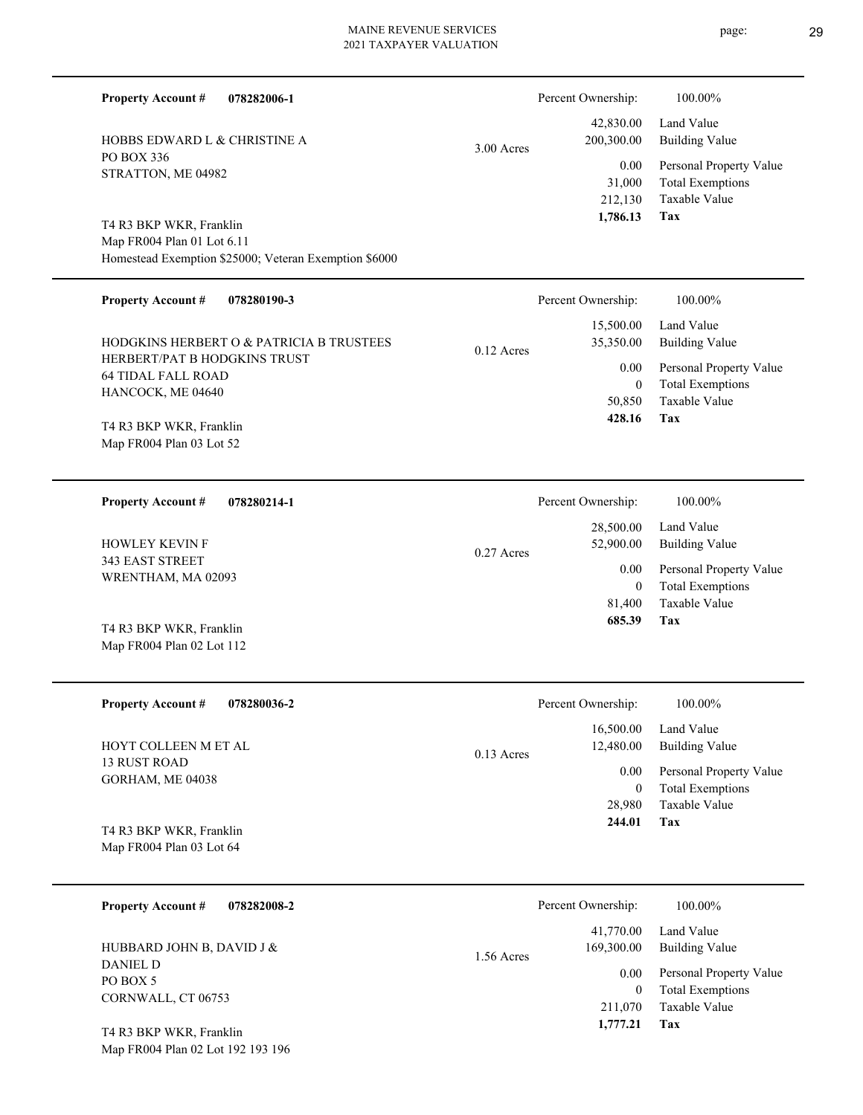| 078282006-1<br><b>Property Account #</b>                  |              | Percent Ownership:         | 100.00%                                                             |
|-----------------------------------------------------------|--------------|----------------------------|---------------------------------------------------------------------|
| HOBBS EDWARD L & CHRISTINE A                              | $3.00$ Acres | 42,830.00<br>200,300.00    | Land Value<br><b>Building Value</b>                                 |
| PO BOX 336<br>STRATTON, ME 04982                          |              | 0.00<br>31,000<br>212,130  | Personal Property Value<br><b>Total Exemptions</b><br>Taxable Value |
| T4 R3 BKP WKR, Franklin                                   |              | 1,786.13                   | <b>Tax</b>                                                          |
| Map FR004 Plan 01 Lot 6.11                                |              |                            |                                                                     |
| Homestead Exemption \$25000; Veteran Exemption \$6000     |              |                            |                                                                     |
| <b>Property Account #</b><br>078280190-3                  |              | Percent Ownership:         | 100.00%                                                             |
| HODGKINS HERBERT O & PATRICIA B TRUSTEES                  | $0.12$ Acres | 15,500.00<br>35,350.00     | Land Value<br><b>Building Value</b>                                 |
| HERBERT/PAT B HODGKINS TRUST<br><b>64 TIDAL FALL ROAD</b> |              | 0.00                       | Personal Property Value                                             |
| HANCOCK, ME 04640                                         |              | $\overline{0}$<br>50,850   | <b>Total Exemptions</b><br>Taxable Value                            |
| T4 R3 BKP WKR, Franklin                                   |              | 428.16                     | Tax                                                                 |
| Map FR004 Plan 03 Lot 52                                  |              |                            |                                                                     |
|                                                           |              |                            |                                                                     |
| <b>Property Account #</b><br>078280214-1                  |              | Percent Ownership:         | 100.00%                                                             |
|                                                           |              | 28,500.00                  | Land Value                                                          |
| <b>HOWLEY KEVIN F</b><br>343 EAST STREET                  | 0.27 Acres   | 52,900.00                  | <b>Building Value</b>                                               |
| WRENTHAM, MA 02093                                        |              | 0.00<br>$\overline{0}$     | Personal Property Value<br><b>Total Exemptions</b>                  |
|                                                           |              | 81,400                     | Taxable Value                                                       |
| T4 R3 BKP WKR, Franklin                                   |              | 685.39                     | Tax                                                                 |
| Map FR004 Plan 02 Lot 112                                 |              |                            |                                                                     |
|                                                           |              |                            |                                                                     |
| <b>Property Account #</b><br>078280036-2                  |              | Percent Ownership:         | 100.00%                                                             |
| HOYT COLLEEN M ET AL                                      | 0.13 Acres   | 16,500.00<br>12,480.00     | Land Value<br><b>Building Value</b>                                 |
| <b>13 RUST ROAD</b><br>GORHAM, ME 04038                   |              | 0.00                       | Personal Property Value                                             |
|                                                           |              | $\boldsymbol{0}$<br>28,980 | <b>Total Exemptions</b><br>Taxable Value                            |
| T4 R3 BKP WKR, Franklin                                   |              | 244.01                     | Tax                                                                 |
| Map FR004 Plan 03 Lot 64                                  |              |                            |                                                                     |
|                                                           |              |                            |                                                                     |
| <b>Property Account #</b><br>078282008-2                  |              | Percent Ownership:         | 100.00%                                                             |
|                                                           |              | 41,770.00                  | Land Value                                                          |
| HUBBARD JOHN B, DAVID J &<br>DANIEL D                     | 1.56 Acres   | 169,300.00                 | <b>Building Value</b>                                               |
| PO BOX 5                                                  |              | $0.00\,$<br>$\overline{0}$ | Personal Property Value<br><b>Total Exemptions</b>                  |
| CORNWALL, CT 06753                                        |              | 0.70                       | $-1.1 - 37 - 1$                                                     |

**Tax 1,777.21**

211,070

Taxable Value

Map FR004 Plan 02 Lot 192 193 196 T4 R3 BKP WKR, Franklin

page: 29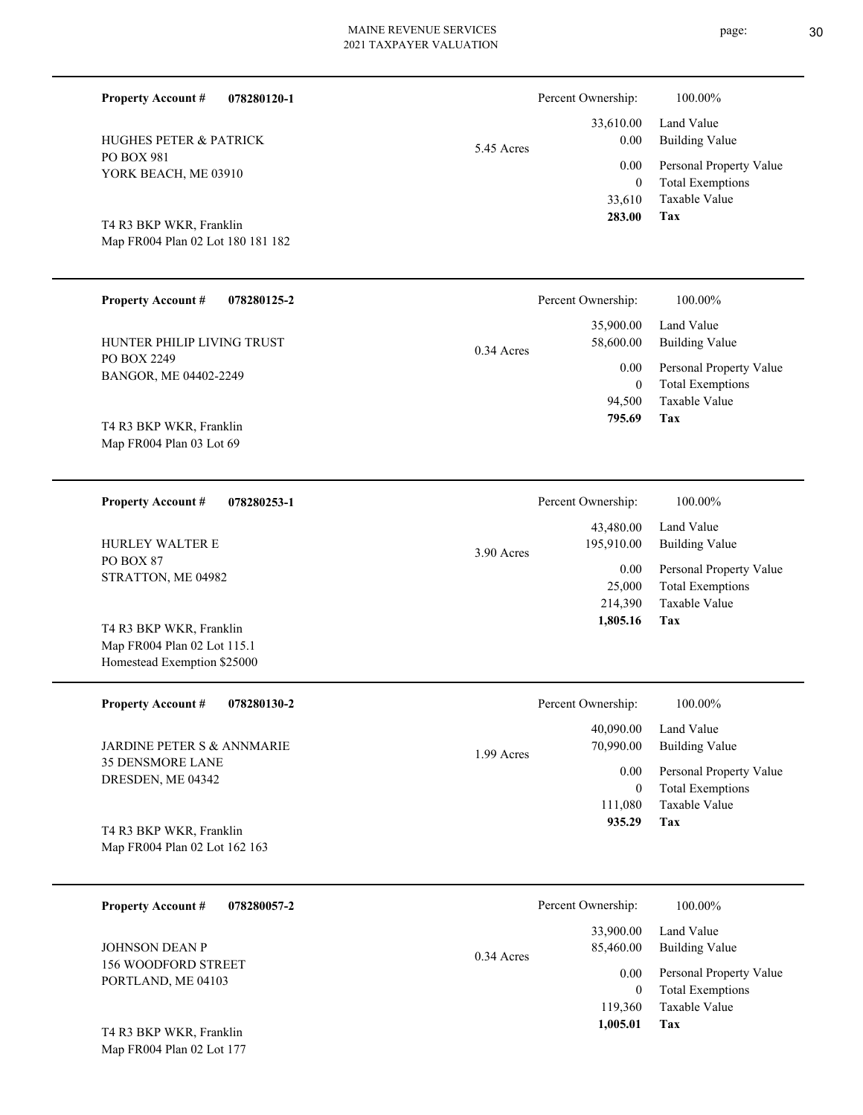| <b>Property Account #</b><br>078280120-1                   |            | Percent Ownership:       | 100.00%                                            |
|------------------------------------------------------------|------------|--------------------------|----------------------------------------------------|
| <b>HUGHES PETER &amp; PATRICK</b>                          | 5.45 Acres | 33,610.00<br>0.00        | Land Value<br><b>Building Value</b>                |
| PO BOX 981<br>YORK BEACH, ME 03910                         |            | 0.00<br>$\overline{0}$   | Personal Property Value<br><b>Total Exemptions</b> |
| T4 R3 BKP WKR, Franklin                                    |            | 33,610<br>283.00         | Taxable Value<br><b>Tax</b>                        |
| Map FR004 Plan 02 Lot 180 181 182                          |            |                          |                                                    |
| <b>Property Account #</b><br>078280125-2                   |            | Percent Ownership:       | 100.00%                                            |
| HUNTER PHILIP LIVING TRUST                                 | 0.34 Acres | 35,900.00<br>58,600.00   | Land Value<br><b>Building Value</b>                |
| PO BOX 2249<br>BANGOR, ME 04402-2249                       |            | 0.00<br>$\boldsymbol{0}$ | Personal Property Value<br><b>Total Exemptions</b> |
| T4 R3 BKP WKR, Franklin                                    |            | 94,500<br>795.69         | Taxable Value<br>Tax                               |
| Map FR004 Plan 03 Lot 69                                   |            |                          |                                                    |
| 078280253-1<br><b>Property Account #</b>                   |            | Percent Ownership:       | 100.00%                                            |
| HURLEY WALTER E                                            | 3.90 Acres | 43,480.00<br>195,910.00  | Land Value<br><b>Building Value</b>                |
| PO BOX 87<br>STRATTON, ME 04982                            |            | 0.00<br>25,000           | Personal Property Value<br><b>Total Exemptions</b> |
| T4 R3 BKP WKR, Franklin                                    |            | 214,390<br>1,805.16      | Taxable Value<br>Tax                               |
| Map FR004 Plan 02 Lot 115.1<br>Homestead Exemption \$25000 |            |                          |                                                    |
| <b>Property Account #</b><br>078280130-2                   |            | Percent Ownership:       | 100.00%                                            |
| JARDINE PETER S & ANNMARIE                                 | 1.99 Acres | 40,090.00<br>70,990.00   | Land Value<br><b>Building Value</b>                |
| 35 DENSMORE LANE<br>DRESDEN, ME 04342                      |            | 0.00<br>$\boldsymbol{0}$ | Personal Property Value<br><b>Total Exemptions</b> |
| T4 R3 BKP WKR, Franklin                                    |            | 111,080<br>935.29        | Taxable Value<br>Tax                               |
| Map FR004 Plan 02 Lot 162 163                              |            |                          |                                                    |
| <b>Property Account #</b><br>078280057-2                   |            | Percent Ownership:       | 100.00%                                            |
| JOHNSON DEAN P                                             | 0.34 Acres | 33,900.00<br>85,460.00   | Land Value<br><b>Building Value</b>                |
| 156 WOODFORD STREET                                        |            | $0.00\,$                 | Personal Property Value                            |

Map FR004 Plan 02 Lot 177 T4 R3 BKP WKR, Franklin

PORTLAND, ME 04103

**Tax**

 119,360 0

 **1,005.01**

Taxable Value Total Exemptions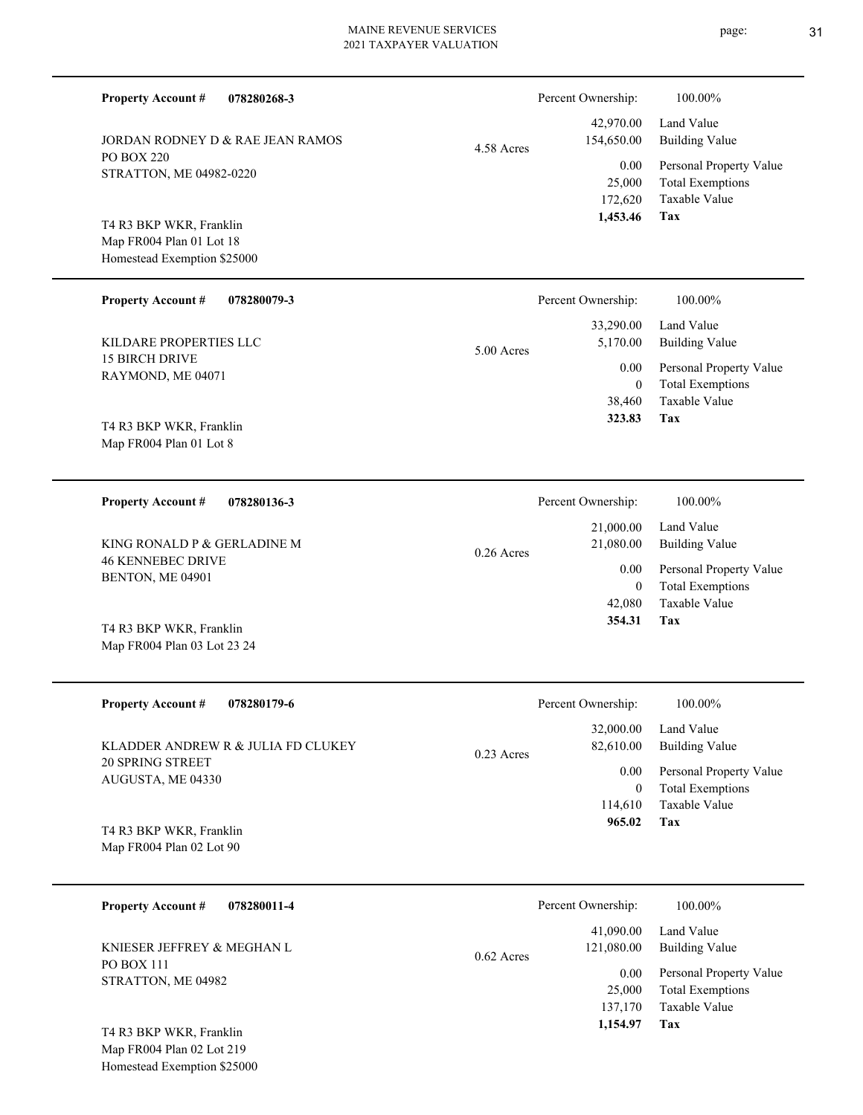|  | <b>Property Account #</b><br>078280268-3                                           |              | Percent Ownership:                    | 100.00%                                                                           |
|--|------------------------------------------------------------------------------------|--------------|---------------------------------------|-----------------------------------------------------------------------------------|
|  | JORDAN RODNEY D & RAE JEAN RAMOS                                                   | 4.58 Acres   | 42,970.00<br>154,650.00               | Land Value<br><b>Building Value</b>                                               |
|  | <b>PO BOX 220</b><br>STRATTON, ME 04982-0220                                       |              | 0.00<br>25,000<br>172,620             | Personal Property Value<br><b>Total Exemptions</b><br>Taxable Value               |
|  | T4 R3 BKP WKR, Franklin<br>Map FR004 Plan 01 Lot 18<br>Homestead Exemption \$25000 |              | 1,453.46                              | Tax                                                                               |
|  | <b>Property Account #</b><br>078280079-3                                           |              | Percent Ownership:                    | 100.00%                                                                           |
|  | KILDARE PROPERTIES LLC                                                             | 5.00 Acres   | 33,290.00<br>5,170.00                 | Land Value<br><b>Building Value</b>                                               |
|  | 15 BIRCH DRIVE<br>RAYMOND, ME 04071                                                |              | 0.00<br>$\theta$<br>38,460            | Personal Property Value<br><b>Total Exemptions</b><br>Taxable Value               |
|  | T4 R3 BKP WKR, Franklin<br>Map FR004 Plan 01 Lot 8                                 |              | 323.83                                | Tax                                                                               |
|  | <b>Property Account #</b><br>078280136-3                                           |              | Percent Ownership:                    | 100.00%                                                                           |
|  | KING RONALD P & GERLADINE M<br><b>46 KENNEBEC DRIVE</b><br>BENTON, ME 04901        | $0.26$ Acres | 21,000.00<br>21,080.00                | Land Value<br><b>Building Value</b>                                               |
|  |                                                                                    |              | 0.00<br>$\mathbf{0}$                  | Personal Property Value<br><b>Total Exemptions</b>                                |
|  | T4 R3 BKP WKR, Franklin<br>Map FR004 Plan 03 Lot 23 24                             |              | 42,080<br>354.31                      | Taxable Value<br>Tax                                                              |
|  | <b>Property Account #</b><br>078280179-6                                           |              | Percent Ownership:                    | 100.00%                                                                           |
|  | KLADDER ANDREW R & JULIA FD CLUKEY                                                 | 0.23 Acres   | 32,000.00<br>82,610.00                | Land Value<br><b>Building Value</b>                                               |
|  | 20 SPRING STREET<br>AUGUSTA, ME 04330                                              |              | 0.00<br>$\boldsymbol{0}$              | Personal Property Value<br><b>Total Exemptions</b>                                |
|  | T4 R3 BKP WKR, Franklin<br>Map FR004 Plan 02 Lot 90                                |              | 114,610<br>965.02                     | <b>Taxable Value</b><br>Tax                                                       |
|  | <b>Property Account #</b><br>078280011-4                                           |              | Percent Ownership:                    | 100.00%                                                                           |
|  | KNIESER JEFFREY & MEGHAN L                                                         | 0.62 Acres   | 41,090.00<br>121,080.00               | Land Value<br><b>Building Value</b>                                               |
|  | PO BOX 111<br>STRATTON, ME 04982                                                   |              | 0.00<br>25,000<br>137,170<br>1,154.97 | Personal Property Value<br><b>Total Exemptions</b><br>Taxable Value<br><b>Tax</b> |

Map FR004 Plan 02 Lot 219 Homestead Exemption \$25000 T4 R3 BKP WKR, Franklin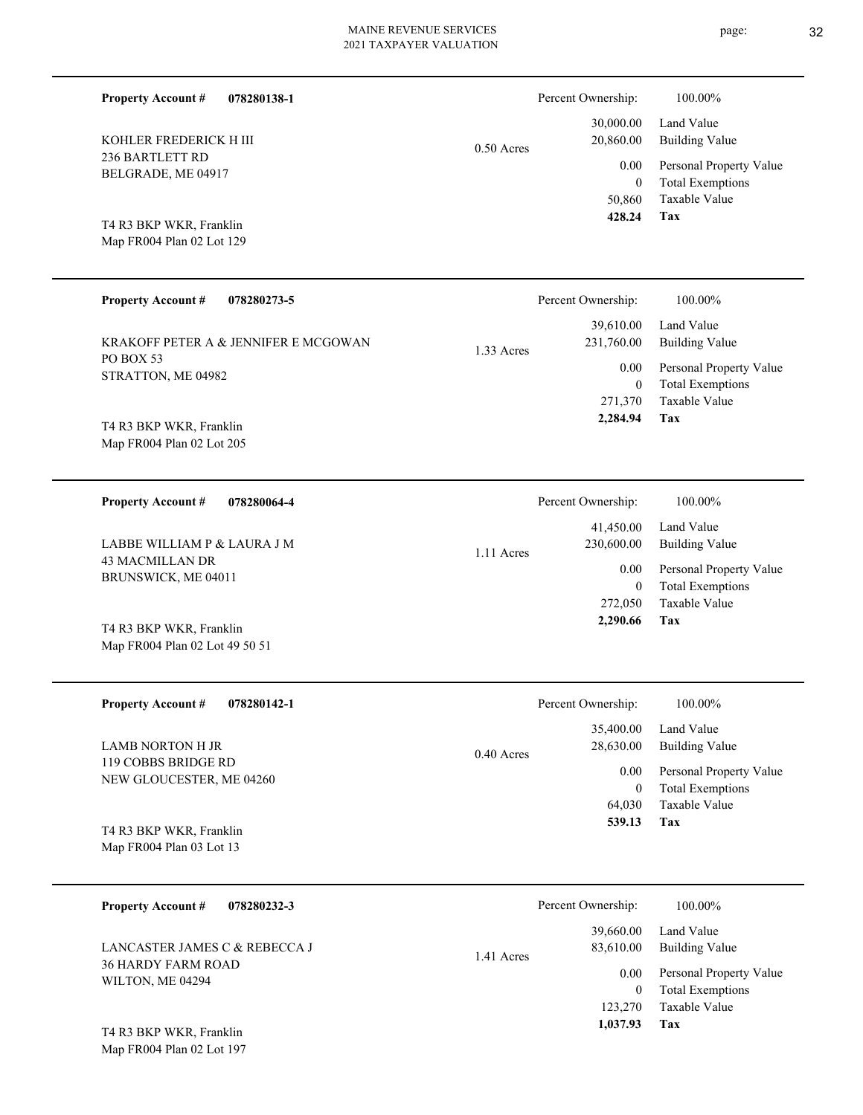0.50 Acres

**078280138-1**

236 BARTLETT RD BELGRADE, ME 04917

Map FR004 Plan 02 Lot 129 T4 R3 BKP WKR, Franklin

KOHLER FREDERICK H III

**Property Account #**

| <b>Property Account #</b><br>078280273-5                                       | Percent Ownership:                                                               | 100.00%                                                                                                                  |
|--------------------------------------------------------------------------------|----------------------------------------------------------------------------------|--------------------------------------------------------------------------------------------------------------------------|
| KRAKOFF PETER A & JENNIFER E MCGOWAN<br><b>PO BOX 53</b><br>STRATTON, ME 04982 | 39,610.00<br>231,760.00<br>1.33 Acres<br>0.00<br>$\theta$<br>271,370<br>2,284.94 | Land Value<br><b>Building Value</b><br>Personal Property Value<br><b>Total Exemptions</b><br><b>Taxable Value</b><br>Tax |
| T4 R3 BKP WKR, Franklin<br>Map FR004 Plan 02 Lot 205                           |                                                                                  |                                                                                                                          |
| <b>Property Account #</b><br>078280064-4                                       | Percent Ownership:                                                               | 100.00%                                                                                                                  |
| LABBE WILLIAM P & LAURA J M<br><b>43 MACMILLAN DR</b>                          | 41,450.00<br>230,600.00<br>1.11 Acres                                            | Land Value<br><b>Building Value</b>                                                                                      |
| BRUNSWICK, ME 04011                                                            | 0.00<br>$\mathbf{0}$                                                             | Personal Property Value<br><b>Total Exemptions</b>                                                                       |
| T4 R3 BKP WKR, Franklin<br>Map FR004 Plan 02 Lot 49 50 51                      | 272,050<br>2,290.66                                                              | <b>Taxable Value</b><br>Tax                                                                                              |
| <b>Property Account #</b><br>078280142-1                                       | Percent Ownership:                                                               | 100.00%                                                                                                                  |
| <b>LAMB NORTON H JR</b><br>119 COBBS BRIDGE RD                                 | 35,400.00<br>28,630.00<br>$0.40$ Acres                                           | Land Value<br><b>Building Value</b>                                                                                      |
| NEW GLOUCESTER, ME 04260                                                       | 0.00<br>$\mathbf{0}$                                                             | Personal Property Value<br><b>Total Exemptions</b>                                                                       |

Map FR004 Plan 03 Lot 13 T4 R3 BKP WKR, Franklin

| 078280232-3<br><b>Property Account #</b>                                       | Percent Ownership:                           | 100.00%                                                        |
|--------------------------------------------------------------------------------|----------------------------------------------|----------------------------------------------------------------|
| LANCASTER JAMES C & REBECCA J<br><b>36 HARDY FARM ROAD</b><br>WILTON, ME 04294 | 39,660.00<br>83,610.00<br>1.41 Acres<br>0.00 | Land Value<br><b>Building Value</b><br>Personal Property Value |
|                                                                                | $\theta$<br>123,270                          | <b>Total Exemptions</b><br>Taxable Value                       |
| T4 R3 BKP WKR, Franklin                                                        | 1,037.93                                     | Tax                                                            |

Map FR004 Plan 02 Lot 197

**Tax**

**Tax**

64,030

 **539.13**

Taxable Value

 50,860 0

0.00

Percent Ownership:  $100.00\%$ 

 30,000.00 20,860.00

 **428.24**

Taxable Value Total Exemptions Personal Property Value

Building Value Land Value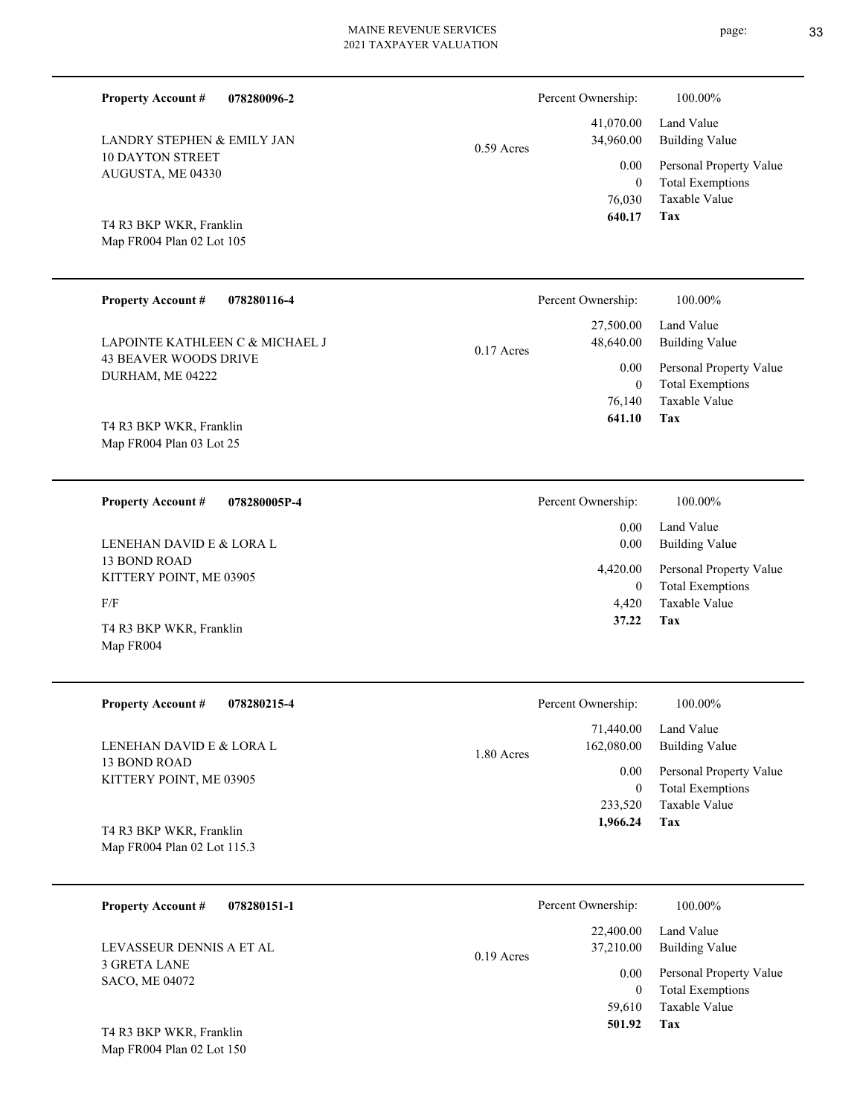| <b>Property Account #</b><br>078280096-2             |              | Percent Ownership:           | 100.00%                                            |
|------------------------------------------------------|--------------|------------------------------|----------------------------------------------------|
| LANDRY STEPHEN & EMILY JAN                           | $0.59$ Acres | 41,070.00<br>34,960.00       | Land Value<br><b>Building Value</b>                |
| <b>10 DAYTON STREET</b><br>AUGUSTA, ME 04330         |              | 0.00<br>$\mathbf{0}$         | Personal Property Value<br><b>Total Exemptions</b> |
|                                                      |              | 76,030<br>640.17             | Taxable Value<br>Tax                               |
| T4 R3 BKP WKR, Franklin<br>Map FR004 Plan 02 Lot 105 |              |                              |                                                    |
|                                                      |              |                              |                                                    |
| <b>Property Account #</b><br>078280116-4             |              | Percent Ownership:           | 100.00%                                            |
| LAPOINTE KATHLEEN C & MICHAEL J                      | $0.17$ Acres | 27,500.00<br>48,640.00       | Land Value<br><b>Building Value</b>                |
| <b>43 BEAVER WOODS DRIVE</b><br>DURHAM, ME 04222     |              | 0.00                         | Personal Property Value                            |
|                                                      |              | $\boldsymbol{0}$<br>76,140   | <b>Total Exemptions</b><br>Taxable Value           |
| T4 R3 BKP WKR, Franklin                              |              | 641.10                       | Tax                                                |
| Map FR004 Plan 03 Lot 25                             |              |                              |                                                    |
| <b>Property Account #</b><br>078280005P-4            |              | Percent Ownership:           | 100.00%                                            |
|                                                      |              | 0.00                         | Land Value                                         |
| LENEHAN DAVID E & LORA L                             |              | 0.00                         | <b>Building Value</b>                              |
| 13 BOND ROAD<br>KITTERY POINT, ME 03905              |              | 4,420.00<br>$\boldsymbol{0}$ | Personal Property Value<br><b>Total Exemptions</b> |
| F/F                                                  |              | 4,420                        | Taxable Value                                      |
| T4 R3 BKP WKR, Franklin                              |              | 37.22                        | Tax                                                |
| Map FR004                                            |              |                              |                                                    |
| <b>Property Account #</b><br>078280215-4             |              | Percent Ownership:           | 100.00%                                            |
|                                                      |              | 71,440.00                    | Land Value                                         |
| LENEHAN DAVID E & LORA L<br>13 BOND ROAD             | 1.80 Acres   | 162,080.00                   | <b>Building Value</b>                              |
| KITTERY POINT, ME 03905                              |              | 0.00<br>$\boldsymbol{0}$     | Personal Property Value<br><b>Total Exemptions</b> |
|                                                      |              | 233,520                      | Taxable Value                                      |
| T4 R3 BKP WKR, Franklin                              |              | 1,966.24                     | Tax                                                |
| Map FR004 Plan 02 Lot 115.3                          |              |                              |                                                    |
| <b>Property Account #</b><br>078280151-1             |              | Percent Ownership:           | 100.00%                                            |
|                                                      |              | 22,400.00                    | Land Value                                         |

Map FR004 Plan 02 Lot 150 T4 R3 BKP WKR, Franklin

**Tax 501.92**

 59,610  $\boldsymbol{0}$ 

0.00

0.19 Acres

37,210.00 Building Value

Taxable Value Total Exemptions Personal Property Value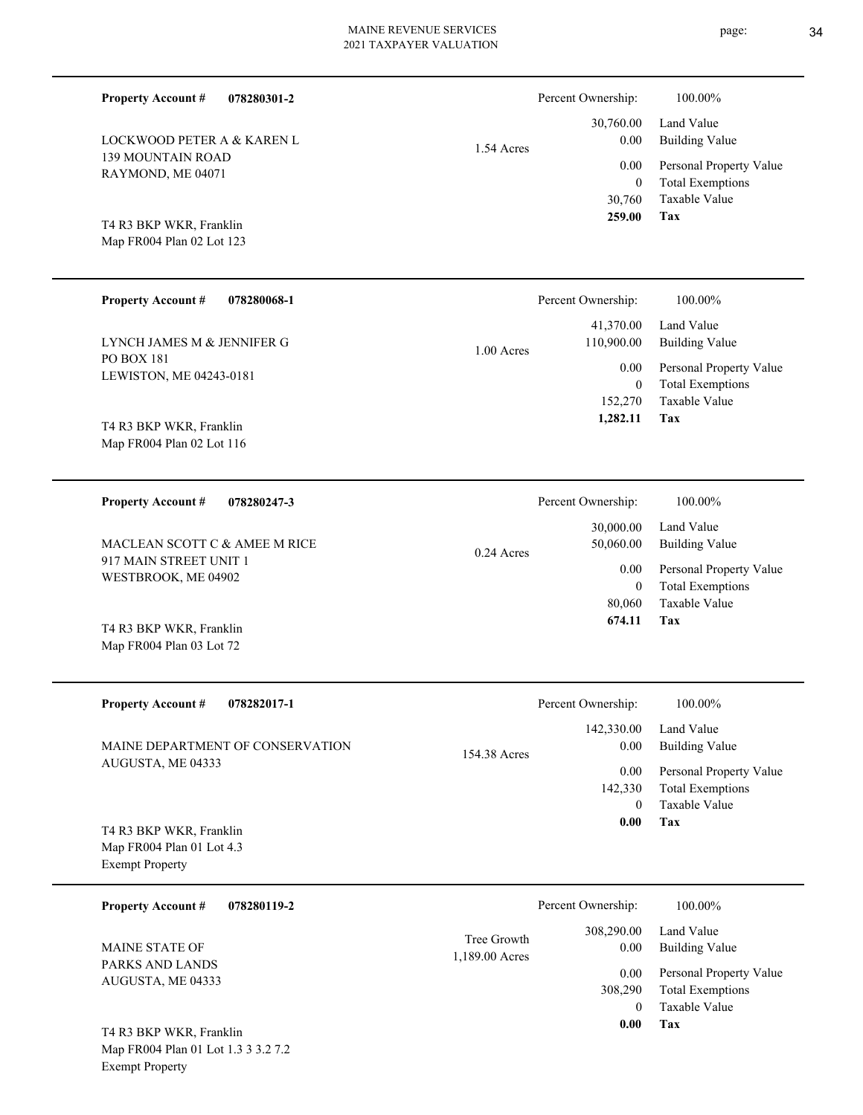| <b>Property Account #</b><br>078280301-2                                        |                               | Percent Ownership:                            | 100.00%                                            |
|---------------------------------------------------------------------------------|-------------------------------|-----------------------------------------------|----------------------------------------------------|
| <b>LOCKWOOD PETER A &amp; KAREN L</b><br>139 MOUNTAIN ROAD<br>RAYMOND, ME 04071 | 1.54 Acres                    | 30,760.00<br>0.00                             | Land Value<br><b>Building Value</b>                |
|                                                                                 |                               | 0.00<br>$\overline{0}$                        | Personal Property Value<br><b>Total Exemptions</b> |
| T4 R3 BKP WKR, Franklin<br>Map FR004 Plan 02 Lot 123                            |                               | 30,760<br>259.00                              | <b>Taxable Value</b><br>Tax                        |
| <b>Property Account #</b><br>078280068-1                                        |                               | Percent Ownership:                            | 100.00%                                            |
| LYNCH JAMES M & JENNIFER G                                                      | $1.00$ Acres                  | 41,370.00<br>110,900.00                       | Land Value<br><b>Building Value</b>                |
| PO BOX 181<br>LEWISTON, ME 04243-0181                                           |                               | 0.00<br>$\overline{0}$<br>152,270<br>1,282.11 | Personal Property Value                            |
| T4 R3 BKP WKR, Franklin<br>Map FR004 Plan 02 Lot 116                            |                               |                                               | <b>Total Exemptions</b><br>Taxable Value<br>Tax    |
| <b>Property Account #</b><br>078280247-3                                        |                               | Percent Ownership:                            | 100.00%                                            |
| MACLEAN SCOTT C & AMEE M RICE                                                   | 0.24 Acres                    | 30,000.00<br>50,060.00                        | Land Value<br><b>Building Value</b>                |
| 917 MAIN STREET UNIT 1<br>WESTBROOK, ME 04902                                   |                               | 0.00<br>$\overline{0}$                        | Personal Property Value<br><b>Total Exemptions</b> |
| T4 R3 BKP WKR, Franklin<br>Map FR004 Plan 03 Lot 72                             |                               | 80,060<br>674.11                              | <b>Taxable Value</b><br>Tax                        |
| <b>Property Account #</b><br>078282017-1                                        |                               | Percent Ownership:                            | 100.00%                                            |
| MAINE DEPARTMENT OF CONSERVATION<br>AUGUSTA, ME 04333                           | 154.38 Acres                  | 142,330.00<br>0.00                            | Land Value<br><b>Building Value</b>                |
|                                                                                 |                               | 0.00<br>142,330                               | Personal Property Value<br><b>Total Exemptions</b> |
| T4 R3 BKP WKR, Franklin<br>Map FR004 Plan 01 Lot 4.3<br><b>Exempt Property</b>  |                               | $\mathbf{0}$<br>0.00                          | Taxable Value<br>Tax                               |
| <b>Property Account #</b><br>078280119-2                                        |                               | Percent Ownership:                            | 100.00%                                            |
| MAINE STATE OF                                                                  | Tree Growth<br>1,189.00 Acres | 308,290.00<br>0.00                            | Land Value<br><b>Building Value</b>                |
| PARKS AND LANDS<br>AUGUSTA, ME 04333                                            |                               | 0.00<br>308,290                               | Personal Property Value<br><b>Total Exemptions</b> |
| DID HID                                                                         |                               | $\theta$<br>$\boldsymbol{0.00}$               | Taxable Value<br>Tax                               |

Map FR004 Plan 01 Lot 1.3 3 3.2 7.2 Exempt Property T4 R3 BKP WKR, Franklin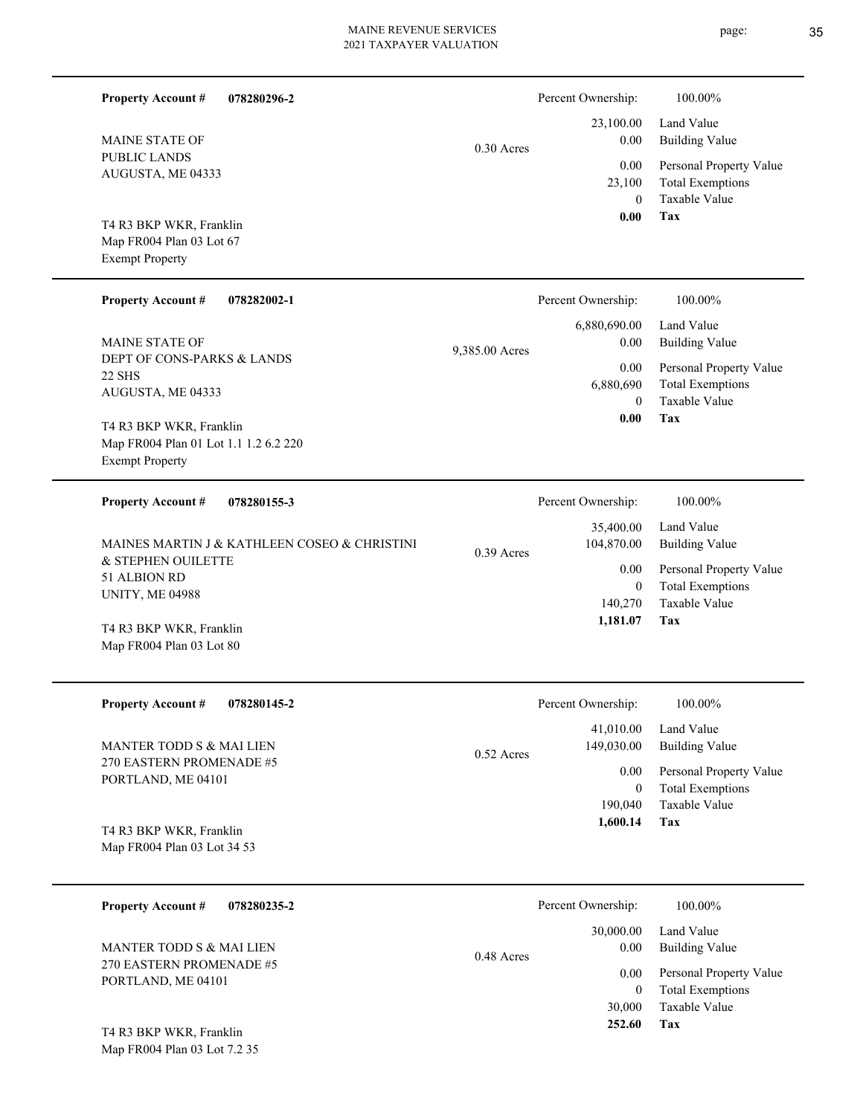page: 35

| 078280296-2<br><b>Property Account #</b>                        |                | Percent Ownership:         | 100.00%                                            |
|-----------------------------------------------------------------|----------------|----------------------------|----------------------------------------------------|
| <b>MAINE STATE OF</b>                                           | $0.30$ Acres   | 23,100.00<br>0.00          | Land Value<br><b>Building Value</b>                |
| PUBLIC LANDS<br>AUGUSTA, ME 04333                               |                | 0.00<br>23,100             | Personal Property Value<br><b>Total Exemptions</b> |
| T4 R3 BKP WKR, Franklin                                         |                | $\overline{0}$<br>0.00     | Taxable Value<br><b>Tax</b>                        |
| Map FR004 Plan 03 Lot 67<br><b>Exempt Property</b>              |                |                            |                                                    |
|                                                                 |                |                            |                                                    |
| <b>Property Account #</b><br>078282002-1                        |                | Percent Ownership:         | 100.00%                                            |
| <b>MAINE STATE OF</b>                                           | 9,385.00 Acres | 6,880,690.00<br>0.00       | Land Value<br><b>Building Value</b>                |
| DEPT OF CONS-PARKS & LANDS<br>22 SHS                            |                | 0.00                       | Personal Property Value                            |
| AUGUSTA, ME 04333                                               |                | 6,880,690<br>$\mathbf{0}$  | <b>Total Exemptions</b><br>Taxable Value           |
| T4 R3 BKP WKR, Franklin                                         |                | 0.00                       | Tax                                                |
| Map FR004 Plan 01 Lot 1.1 1.2 6.2 220<br><b>Exempt Property</b> |                |                            |                                                    |
|                                                                 |                |                            |                                                    |
| <b>Property Account #</b><br>078280155-3                        |                | Percent Ownership:         | 100.00%                                            |
| MAINES MARTIN J & KATHLEEN COSEO & CHRISTINI                    | $0.39$ Acres   | 35,400.00<br>104,870.00    | Land Value<br><b>Building Value</b>                |
| & STEPHEN OUILETTE<br>51 ALBION RD                              |                | 0.00                       | Personal Property Value                            |
| UNITY, ME 04988                                                 |                | $\overline{0}$<br>140,270  | <b>Total Exemptions</b><br>Taxable Value           |
| T4 R3 BKP WKR, Franklin                                         |                | 1,181.07                   | Tax                                                |
| Map FR004 Plan 03 Lot 80                                        |                |                            |                                                    |
| 078280145-2<br><b>Property Account #</b>                        |                | Percent Ownership:         | 100.00%                                            |
|                                                                 |                | 41,010.00                  | Land Value                                         |
| MANTER TODD S & MAI LIEN<br>270 EASTERN PROMENADE #5            | 0.52 Acres     | 149,030.00                 | <b>Building Value</b>                              |
| PORTLAND, ME 04101                                              |                | $0.00\,$<br>$\overline{0}$ | Personal Property Value<br><b>Total Exemptions</b> |
|                                                                 |                | 190,040                    | Taxable Value                                      |
| T4 R3 BKP WKR, Franklin                                         |                | 1,600.14                   | Tax                                                |
| Map FR004 Plan 03 Lot 34 53                                     |                |                            |                                                    |
| <b>Property Account #</b><br>078280235-2                        |                | Percent Ownership:         | 100.00%                                            |
|                                                                 |                | 30,000.00                  | Land Value                                         |
| MANTER TODD S & MAI LIEN<br>270 EASTERN PROMENADE #5            | 0.48 Acres     | 0.00<br>$0.00\,$           | <b>Building Value</b><br>Personal Property Value   |
| PORTLAND, ME 04101                                              |                | $\overline{0}$             | <b>Total Exemptions</b>                            |
|                                                                 |                | 30,000<br>252.60           | Taxable Value<br>Tax                               |
| T4 R3 BKP WKR, Franklin<br>Map FR004 Plan 03 Lot 7.2 35         |                |                            |                                                    |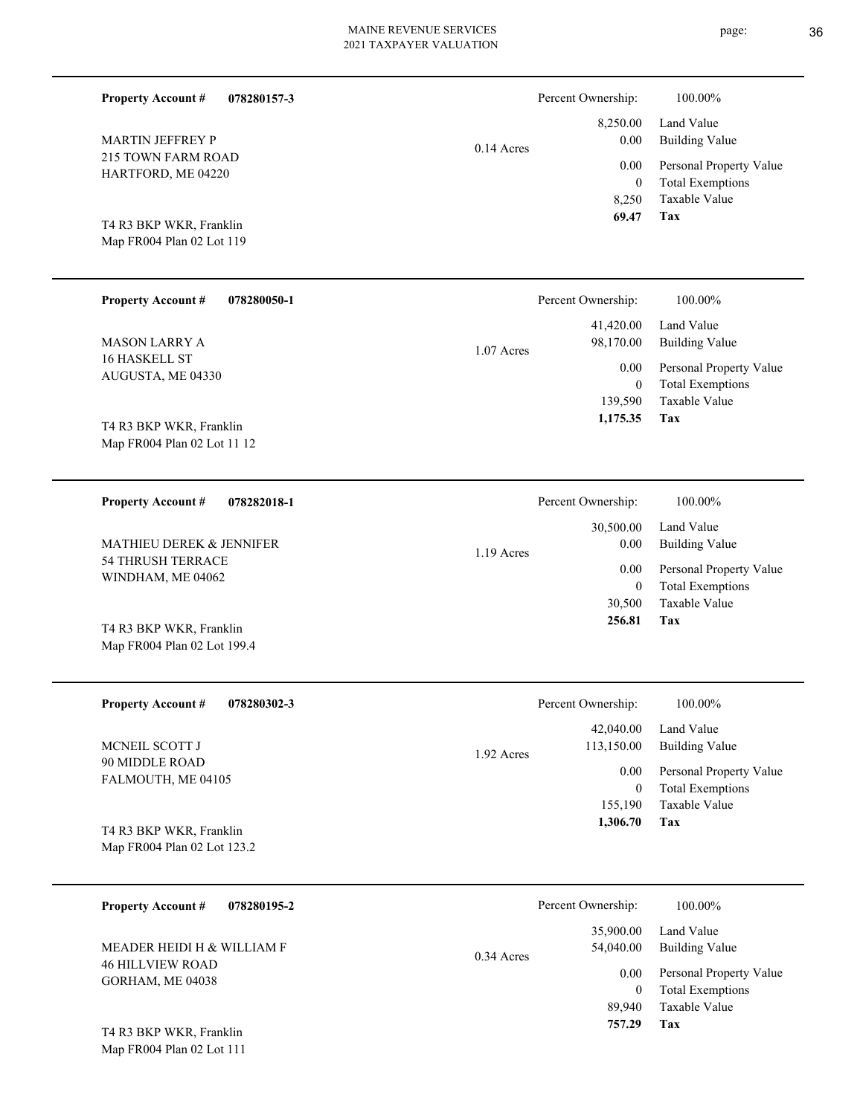| <b>Property Account #</b><br>078280157-3               |              | Percent Ownership:      | 100.00%                                            |
|--------------------------------------------------------|--------------|-------------------------|----------------------------------------------------|
| MARTIN JEFFREY P                                       | $0.14$ Acres | 8,250.00<br>0.00        | Land Value<br><b>Building Value</b>                |
| 215 TOWN FARM ROAD<br>HARTFORD, ME 04220               |              | 0.00<br>$\mathbf{0}$    | Personal Property Value<br><b>Total Exemptions</b> |
|                                                        |              | 8,250<br>69.47          | Taxable Value<br><b>Tax</b>                        |
| T4 R3 BKP WKR, Franklin<br>Map FR004 Plan 02 Lot 119   |              |                         |                                                    |
|                                                        |              |                         |                                                    |
| <b>Property Account #</b><br>078280050-1               |              | Percent Ownership:      | 100.00%                                            |
| <b>MASON LARRY A</b>                                   | $1.07$ Acres | 41,420.00<br>98,170.00  | Land Value<br><b>Building Value</b>                |
| 16 HASKELL ST<br>AUGUSTA, ME 04330                     |              | 0.00                    | Personal Property Value                            |
|                                                        |              | $\mathbf{0}$<br>139,590 | <b>Total Exemptions</b><br>Taxable Value           |
| T4 R3 BKP WKR, Franklin                                |              | 1,175.35                | Tax                                                |
| Map FR004 Plan 02 Lot 11 12                            |              |                         |                                                    |
| <b>Property Account #</b><br>078282018-1               |              | Percent Ownership:      | 100.00%                                            |
|                                                        |              | 30,500.00               | Land Value                                         |
| MATHIEU DEREK & JENNIFER<br><b>54 THRUSH TERRACE</b>   | 1.19 Acres   | 0.00                    | <b>Building Value</b>                              |
| WINDHAM, ME 04062                                      |              | 0.00<br>$\mathbf{0}$    | Personal Property Value<br><b>Total Exemptions</b> |
|                                                        |              | 30,500<br>256.81        | Taxable Value<br>Tax                               |
| T4 R3 BKP WKR, Franklin<br>Map FR004 Plan 02 Lot 199.4 |              |                         |                                                    |
|                                                        |              |                         |                                                    |
| <b>Property Account #</b><br>078280302-3               |              | Percent Ownership:      | $100.00\%$                                         |
| MCNEIL SCOTT J                                         |              | 42,040.00<br>113,150.00 | Land Value<br><b>Building Value</b>                |
| 90 MIDDLE ROAD                                         | 1.92 Acres   | 0.00                    | Personal Property Value                            |
| FALMOUTH, ME 04105                                     |              | $\boldsymbol{0}$        | <b>Total Exemptions</b>                            |
|                                                        |              | 155,190<br>1,306.70     | Taxable Value<br><b>Tax</b>                        |
| T4 R3 BKP WKR, Franklin<br>Map FR004 Plan 02 Lot 123.2 |              |                         |                                                    |
|                                                        |              |                         |                                                    |
| <b>Property Account #</b><br>078280195-2               |              | Percent Ownership:      | 100.00%                                            |
| MEADER HEIDI H & WILLIAM F                             | 0.34 Acres   | 35,900.00<br>54,040.00  | Land Value<br><b>Building Value</b>                |
| <b>46 HILLVIEW ROAD</b><br>GORHAM, ME 04038            |              | 0.00                    | Personal Property Value<br>$T - 1$ . $T - 1$       |

**Tax**

 89,940  **757.29**

Taxable Value 0 Total Exemptions

Map FR004 Plan 02 Lot 111 T4 R3 BKP WKR, Franklin page: 36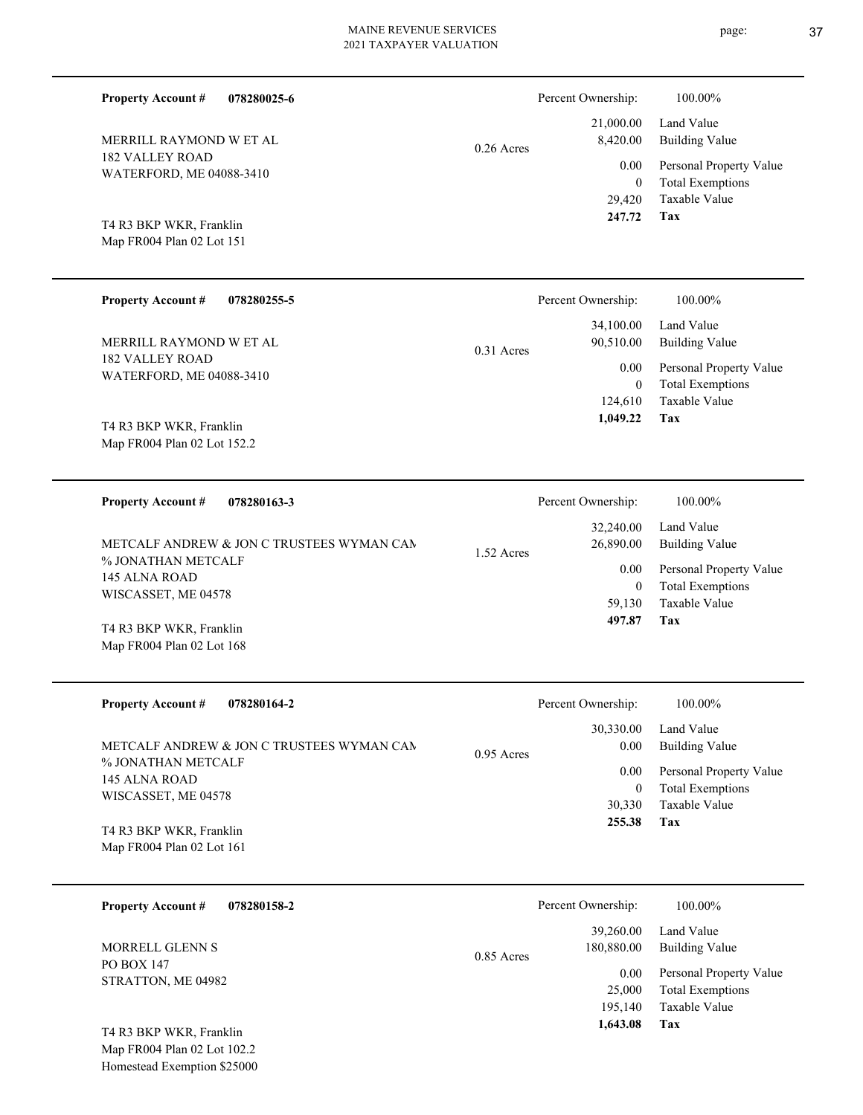| <b>Property Account #</b><br>078280025-6                   |              | Percent Ownership:                           | 100.00%                                                                    |
|------------------------------------------------------------|--------------|----------------------------------------------|----------------------------------------------------------------------------|
| MERRILL RAYMOND W ET AL                                    | $0.26$ Acres | 21,000.00<br>8,420.00                        | Land Value<br><b>Building Value</b>                                        |
| 182 VALLEY ROAD<br>WATERFORD, ME 04088-3410                |              | 0.00<br>$\boldsymbol{0}$<br>29,420<br>247.72 | Personal Property Value<br><b>Total Exemptions</b><br>Taxable Value<br>Tax |
| T4 R3 BKP WKR, Franklin<br>Map FR004 Plan 02 Lot 151       |              |                                              |                                                                            |
| <b>Property Account #</b><br>078280255-5                   |              | Percent Ownership:                           | 100.00%                                                                    |
| MERRILL RAYMOND W ET AL                                    | 0.31 Acres   | 34,100.00<br>90,510.00                       | Land Value<br><b>Building Value</b>                                        |
| 182 VALLEY ROAD<br>WATERFORD, ME 04088-3410                |              | 0.00<br>$\boldsymbol{0}$<br>124,610          | Personal Property Value<br><b>Total Exemptions</b><br>Taxable Value        |
| T4 R3 BKP WKR, Franklin<br>Map FR004 Plan 02 Lot 152.2     |              | 1,049.22                                     | Tax                                                                        |
| <b>Property Account #</b><br>078280163-3                   |              | Percent Ownership:                           | 100.00%                                                                    |
| METCALF ANDREW & JON C TRUSTEES WYMAN CAN                  | 1.52 Acres   | 32,240.00<br>26,890.00                       | Land Value<br><b>Building Value</b>                                        |
| % JONATHAN METCALF<br>145 ALNA ROAD<br>WISCASSET, ME 04578 |              | 0.00<br>$\boldsymbol{0}$<br>59,130           | Personal Property Value<br><b>Total Exemptions</b><br>Taxable Value        |
| T4 R3 BKP WKR, Franklin<br>Map FR004 Plan 02 Lot 168       |              | 497.87                                       | Tax                                                                        |
| <b>Property Account #</b><br>078280164-2                   |              | Percent Ownership:                           | 100.00%                                                                    |
|                                                            |              | 30,330.00                                    | Land Value                                                                 |
| METCALF ANDREW & JON C TRUSTEES WYMAN CAN                  | 0.95 Acres   | 0.00                                         | <b>Building Value</b>                                                      |
| % JONATHAN METCALF<br>145 ALNA ROAD                        |              | 0.00                                         | Personal Property Value                                                    |
| WISCASSET, ME 04578                                        |              | $\boldsymbol{0}$<br>30,330                   | <b>Total Exemptions</b><br>Taxable Value                                   |
| $T_{\rm A}$ part $\overline{D}$                            |              | 255.38                                       | <b>Tax</b>                                                                 |

Map FR004 Plan 02 Lot 161 T4 R3 BKP WKR, Franklin

| 078280158-2<br><b>Property Account #</b> | Percent Ownership:                      | 100.00%                                                             |
|------------------------------------------|-----------------------------------------|---------------------------------------------------------------------|
| MORRELL GLENN S                          | 39,260.00<br>180,880.00<br>$0.85$ Acres | Land Value<br>Building Value                                        |
| <b>PO BOX 147</b><br>STRATTON, ME 04982  | 0.00<br>25,000<br>195,140               | Personal Property Value<br><b>Total Exemptions</b><br>Taxable Value |
| T4 R3 BKP WKR, Franklin                  | 1,643.08                                | Tax                                                                 |

Map FR004 Plan 02 Lot 102.2 Homestead Exemption \$25000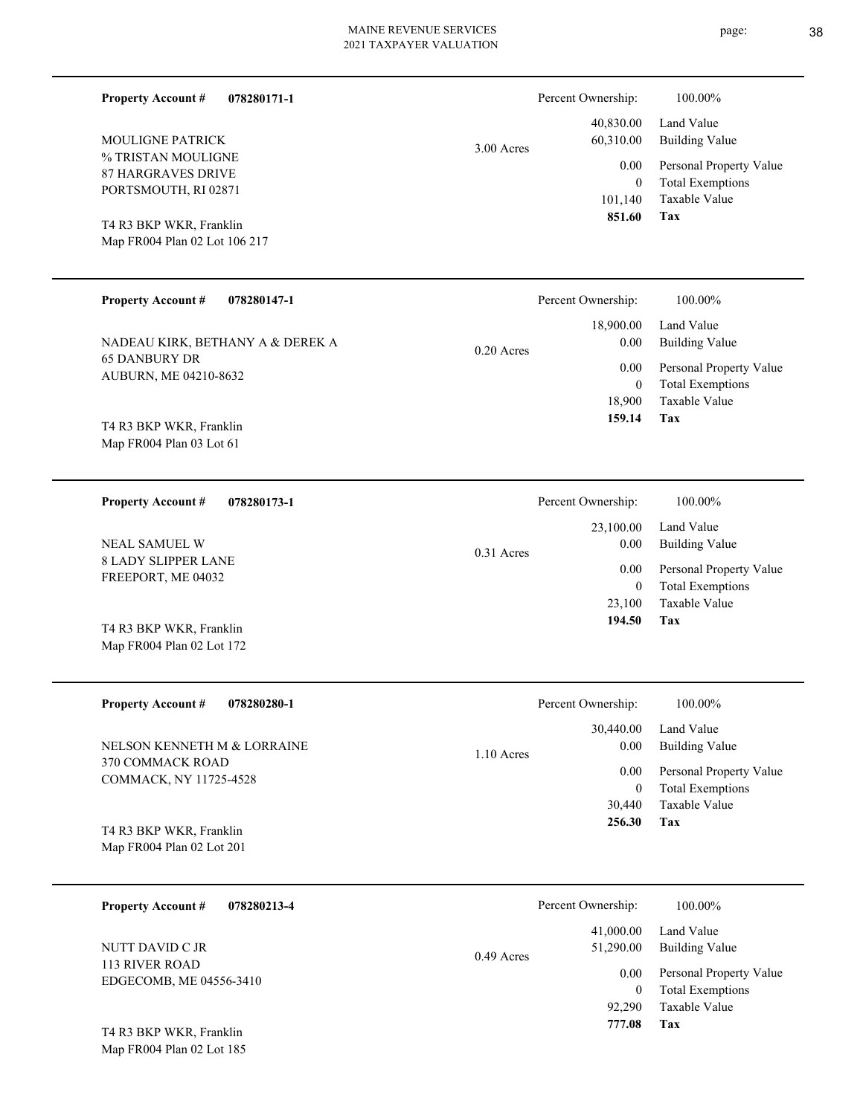| <b>Property Account #</b><br>078280171-1   |              | Percent Ownership:     | 100.00%                             |
|--------------------------------------------|--------------|------------------------|-------------------------------------|
| MOULIGNE PATRICK                           | 3.00 Acres   | 40,830.00<br>60,310.00 | Land Value<br><b>Building Value</b> |
| % TRISTAN MOULIGNE                         |              | 0.00                   | Personal Property Value             |
| <b>87 HARGRAVES DRIVE</b>                  |              | $\overline{0}$         | <b>Total Exemptions</b>             |
| PORTSMOUTH, RI 02871                       |              | 101,140                | Taxable Value                       |
| T4 R3 BKP WKR, Franklin                    |              | 851.60                 | <b>Tax</b>                          |
| Map FR004 Plan 02 Lot 106 217              |              |                        |                                     |
|                                            |              |                        |                                     |
| <b>Property Account #</b><br>078280147-1   |              | Percent Ownership:     | 100.00%                             |
|                                            |              | 18,900.00              | Land Value                          |
| NADEAU KIRK, BETHANY A & DEREK A           | $0.20$ Acres | 0.00                   | <b>Building Value</b>               |
| <b>65 DANBURY DR</b>                       |              | 0.00                   | Personal Property Value             |
| AUBURN, ME 04210-8632                      |              | $\overline{0}$         | <b>Total Exemptions</b>             |
|                                            |              | 18,900                 | Taxable Value                       |
| T4 R3 BKP WKR, Franklin                    |              | 159.14                 | Tax                                 |
| Map FR004 Plan 03 Lot 61                   |              |                        |                                     |
|                                            |              |                        |                                     |
| <b>Property Account #</b><br>078280173-1   |              | Percent Ownership:     | 100.00%                             |
|                                            |              | 23,100.00              | Land Value                          |
| NEAL SAMUEL W                              | 0.31 Acres   | 0.00                   | <b>Building Value</b>               |
| <b>8 LADY SLIPPER LANE</b>                 |              | 0.00                   | Personal Property Value             |
| FREEPORT, ME 04032                         |              | $\overline{0}$         | <b>Total Exemptions</b>             |
|                                            |              | 23,100                 | Taxable Value                       |
| T4 R3 BKP WKR, Franklin                    |              | 194.50                 | Tax                                 |
| Map FR004 Plan 02 Lot 172                  |              |                        |                                     |
|                                            |              |                        |                                     |
| <b>Property Account #</b><br>078280280-1   |              | Percent Ownership:     | 100.00%                             |
|                                            |              | 30,440.00              | Land Value                          |
| NELSON KENNETH M & LORRAINE                | 1.10 Acres   | 0.00                   | <b>Building Value</b>               |
| 370 COMMACK ROAD<br>COMMACK, NY 11725-4528 |              | 0.00                   | Personal Property Value             |
|                                            |              | $\boldsymbol{0}$       | <b>Total Exemptions</b>             |
|                                            |              | 30,440                 | Taxable Value                       |
| T4 R3 BKP WKR, Franklin                    |              | 256.30                 | Tax                                 |
| Map FR004 Plan 02 Lot 201                  |              |                        |                                     |
|                                            |              |                        |                                     |
| <b>Property Account #</b><br>078280213-4   |              | Percent Ownership:     | 100.00%                             |
|                                            |              | 41,000.00              | Land Value                          |
| NUTT DAVID C JR                            | 0.49 Acres   | 51,290.00              | <b>Building Value</b>               |
| 113 RIVER ROAD                             |              | 0.00                   | Personal Property Value             |
| EDGECOMB, ME 04556-3410                    |              | $\overline{0}$         | <b>Total Exemptions</b>             |
|                                            |              | 92,290                 | Taxable Value                       |
|                                            |              | 777.08                 | Tax                                 |

Map FR004 Plan 02 Lot 185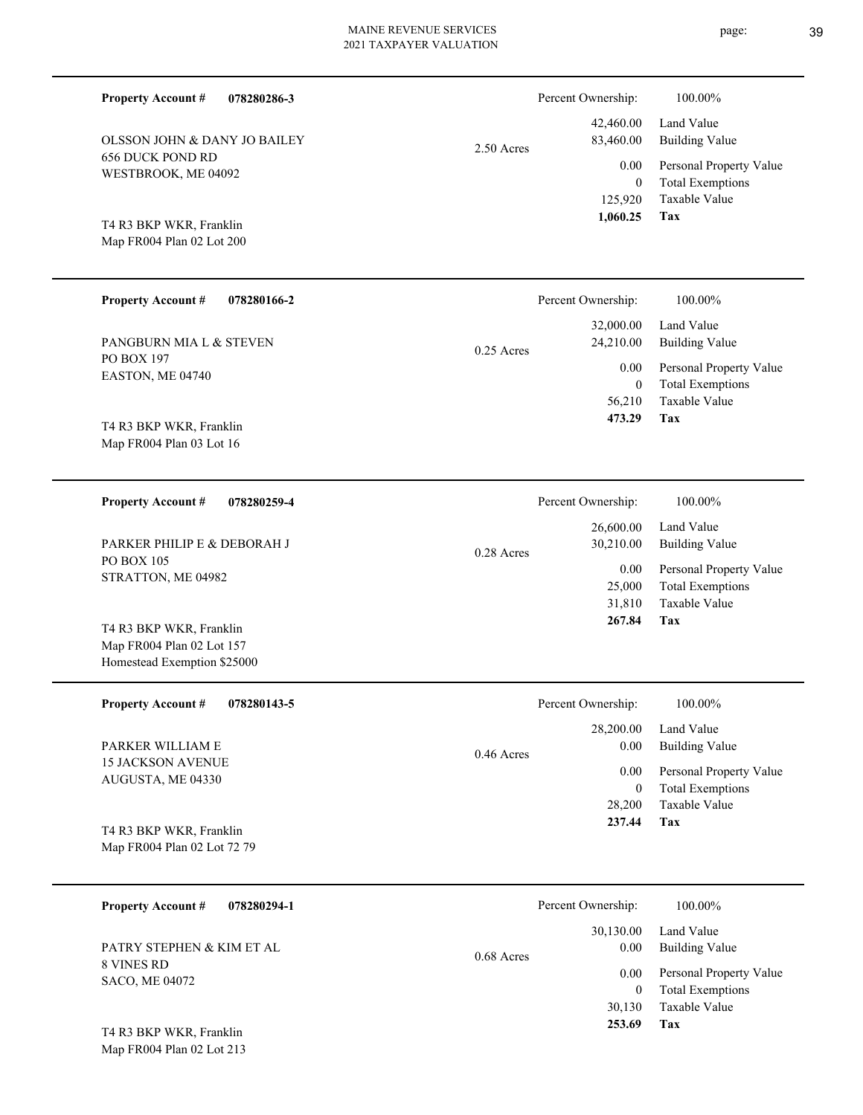| <b>Property Account #</b><br>078280286-3                                            |              | Percent Ownership:                            | 100.00%                                                                           |
|-------------------------------------------------------------------------------------|--------------|-----------------------------------------------|-----------------------------------------------------------------------------------|
| <b>OLSSON JOHN &amp; DANY JO BAILEY</b>                                             | $2.50$ Acres | 42,460.00<br>83,460.00                        | Land Value<br><b>Building Value</b>                                               |
| <b>656 DUCK POND RD</b><br>WESTBROOK, ME 04092                                      |              | 0.00<br>$\overline{0}$<br>125,920<br>1,060.25 | Personal Property Value<br><b>Total Exemptions</b><br><b>Taxable Value</b><br>Tax |
| T4 R3 BKP WKR, Franklin<br>Map FR004 Plan 02 Lot 200                                |              |                                               |                                                                                   |
| <b>Property Account #</b><br>078280166-2                                            |              | Percent Ownership:                            | 100.00%                                                                           |
| PANGBURN MIA L & STEVEN                                                             | $0.25$ Acres | 32,000.00<br>24,210.00                        | Land Value<br><b>Building Value</b>                                               |
| <b>PO BOX 197</b><br>EASTON, ME 04740                                               |              | 0.00<br>$\mathbf{0}$<br>56,210<br>473.29      | Personal Property Value<br><b>Total Exemptions</b><br><b>Taxable Value</b><br>Tax |
| T4 R3 BKP WKR, Franklin<br>Map FR004 Plan 03 Lot 16                                 |              |                                               |                                                                                   |
| <b>Property Account #</b><br>078280259-4                                            |              | Percent Ownership:                            | 100.00%                                                                           |
| PARKER PHILIP E & DEBORAH J                                                         | $0.28$ Acres | 26,600.00<br>30,210.00                        | Land Value<br><b>Building Value</b>                                               |
| <b>PO BOX 105</b><br>STRATTON, ME 04982                                             |              | 0.00<br>25,000<br>31,810<br>267.84            | Personal Property Value<br><b>Total Exemptions</b><br><b>Taxable Value</b><br>Tax |
| T4 R3 BKP WKR, Franklin<br>Map FR004 Plan 02 Lot 157<br>Homestead Exemption \$25000 |              |                                               |                                                                                   |
| <b>Property Account #</b><br>078280143-5                                            |              | Percent Ownership:                            | 100.00%                                                                           |
| PARKER WILLIAM E                                                                    | 0.46 Acres   | 28,200.00<br>0.00                             | Land Value<br><b>Building Value</b>                                               |
| <b>15 JACKSON AVENUE</b><br>AUGUSTA, ME 04330                                       |              | 0.00<br>$\mathbf{0}$<br>28,200<br>237.44      | Personal Property Value<br><b>Total Exemptions</b><br>Taxable Value<br>Tax        |
| T4 R3 BKP WKR, Franklin<br>Map FR004 Plan 02 Lot 72 79                              |              |                                               |                                                                                   |
| <b>Property Account #</b><br>078280294-1                                            |              | Percent Ownership:                            | 100.00%                                                                           |
| PATRY STEPHEN & KIM ET AL                                                           | 0.68 Acres   | 30,130.00<br>0.00                             | Land Value<br><b>Building Value</b>                                               |
| 8 VINES RD<br>SACO, ME 04072                                                        |              | 0.00<br>$\mathbf{0}$<br>30,130                | Personal Property Value<br><b>Total Exemptions</b><br>Taxable Value               |

Map FR004 Plan 02 Lot 213 T4 R3 BKP WKR, Franklin

**Tax 253.69**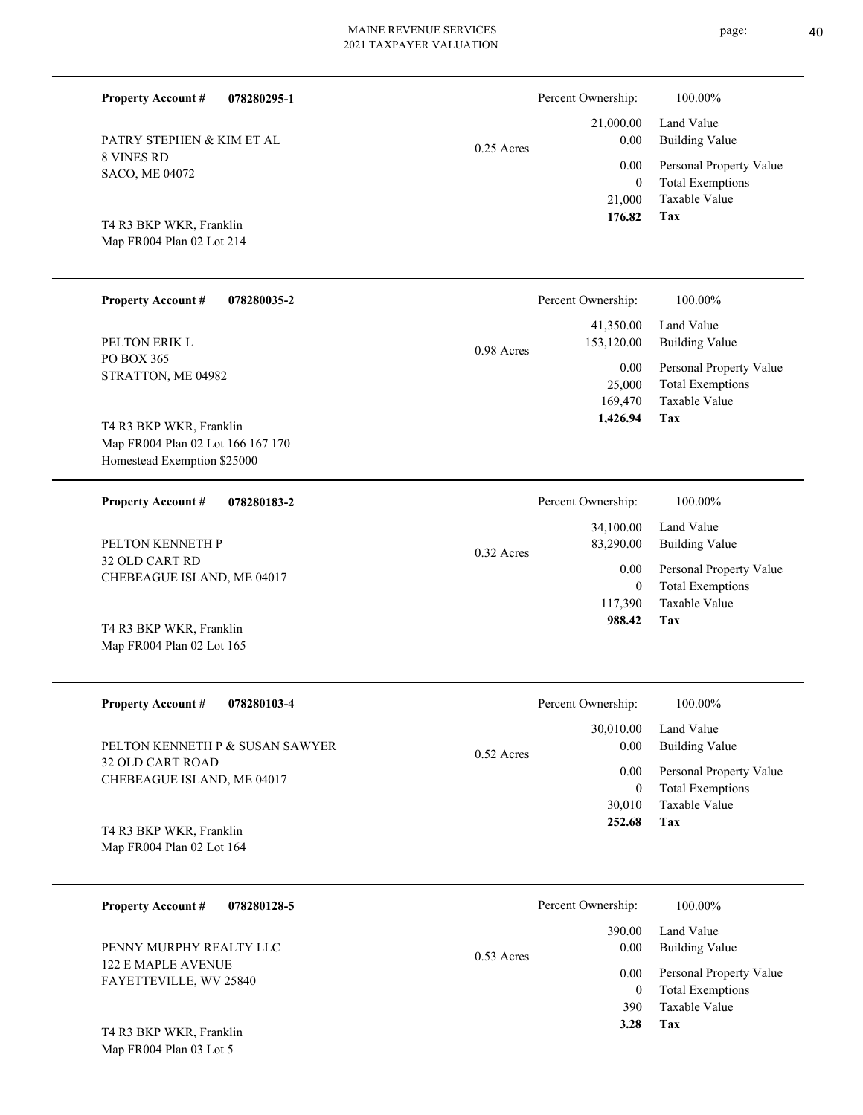| <b>Property Account #</b><br>078280295-1                                                    |              | Percent Ownership:                         | 100.00%                                                                    |
|---------------------------------------------------------------------------------------------|--------------|--------------------------------------------|----------------------------------------------------------------------------|
| PATRY STEPHEN & KIM ET AL                                                                   | $0.25$ Acres | 21,000.00<br>0.00                          | Land Value<br><b>Building Value</b>                                        |
| 8 VINES RD<br>SACO, ME 04072<br>T4 R3 BKP WKR, Franklin                                     |              | 0.00<br>$\overline{0}$<br>21,000<br>176.82 | Personal Property Value<br><b>Total Exemptions</b><br>Taxable Value<br>Tax |
| Map FR004 Plan 02 Lot 214                                                                   |              |                                            |                                                                            |
| <b>Property Account #</b><br>078280035-2                                                    |              | Percent Ownership:                         | 100.00%                                                                    |
| PELTON ERIK L                                                                               | 0.98 Acres   | 41,350.00<br>153,120.00                    | Land Value<br><b>Building Value</b>                                        |
| PO BOX 365<br>STRATTON, ME 04982                                                            |              | 0.00<br>25,000<br>169,470<br>1,426.94      | Personal Property Value<br><b>Total Exemptions</b><br>Taxable Value<br>Tax |
| T4 R3 BKP WKR, Franklin<br>Map FR004 Plan 02 Lot 166 167 170<br>Homestead Exemption \$25000 |              |                                            |                                                                            |
| <b>Property Account #</b><br>078280183-2                                                    |              | Percent Ownership:                         | 100.00%                                                                    |
| PELTON KENNETH P                                                                            | $0.32$ Acres | 34,100.00<br>83,290.00                     | Land Value<br><b>Building Value</b>                                        |
| 32 OLD CART RD<br>CHEBEAGUE ISLAND, ME 04017                                                |              | 0.00<br>$\overline{0}$<br>117,390          | Personal Property Value<br><b>Total Exemptions</b><br>Taxable Value        |
| T4 R3 BKP WKR, Franklin<br>Map FR004 Plan 02 Lot 165                                        |              | 988.42                                     | Tax                                                                        |
| <b>Property Account #</b><br>078280103-4                                                    |              | Percent Ownership:                         | 100.00%                                                                    |
| PELTON KENNETH P & SUSAN SAWYER                                                             | $0.52$ Acres | 30,010.00<br>0.00                          | Land Value<br><b>Building Value</b>                                        |
| <b>32 OLD CART ROAD</b><br>CHEBEAGUE ISLAND, ME 04017                                       |              | 0.00<br>$\boldsymbol{0}$<br>30,010         | Personal Property Value<br><b>Total Exemptions</b><br>Taxable Value        |
| T4 R3 BKP WKR, Franklin<br>Map FR004 Plan 02 Lot 164                                        |              | 252.68                                     | Tax                                                                        |
| <b>Property Account #</b><br>078280128-5                                                    |              | Percent Ownership:                         | 100.00%                                                                    |
| PENNY MURPHY REALTY LLC                                                                     | 0.53 Acres   | 390.00<br>0.00                             | Land Value<br><b>Building Value</b>                                        |
| 122 E MAPLE AVENUE<br>FAYETTEVILLE, WV 25840                                                |              | 0.00<br>$\overline{0}$                     | Personal Property Value<br><b>Total Exemptions</b>                         |

page: 40

**Tax 3.28**

Taxable Value 390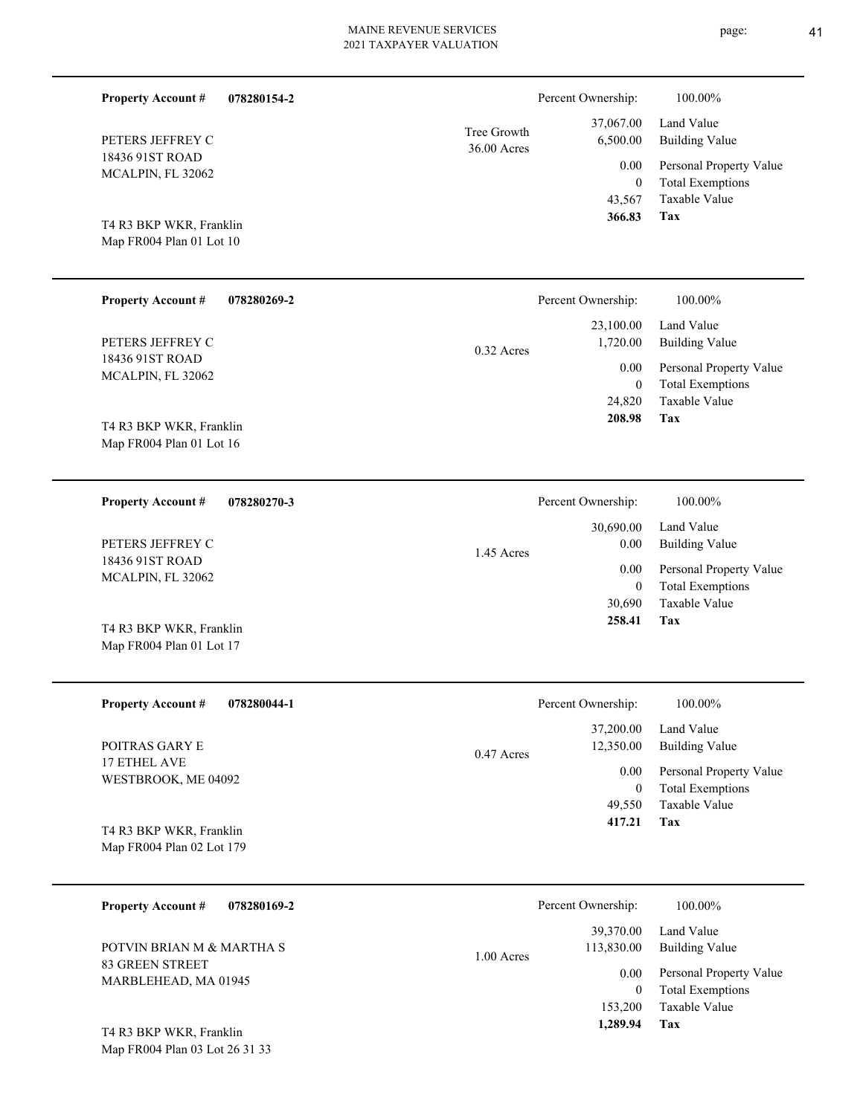| <b>Property Account #</b>                            | 078280154-2 |                            | Percent Ownership:                                | 100.00%                                                                           |
|------------------------------------------------------|-------------|----------------------------|---------------------------------------------------|-----------------------------------------------------------------------------------|
| PETERS JEFFREY C                                     |             | Tree Growth<br>36.00 Acres | 37,067.00<br>6,500.00                             | Land Value<br><b>Building Value</b>                                               |
| 18436 91ST ROAD<br>MCALPIN, FL 32062                 |             |                            | 0.00<br>$\theta$<br>43,567                        | Personal Property Value<br><b>Total Exemptions</b><br>Taxable Value               |
| T4 R3 BKP WKR, Franklin<br>Map FR004 Plan 01 Lot 10  |             |                            | 366.83                                            | Tax                                                                               |
| <b>Property Account #</b>                            | 078280269-2 |                            | Percent Ownership:                                | 100.00%                                                                           |
| PETERS JEFFREY C                                     |             | 0.32 Acres                 | 23,100.00<br>1,720.00                             | Land Value<br><b>Building Value</b>                                               |
| 18436 91ST ROAD<br>MCALPIN, FL 32062                 |             |                            | 0.00<br>$\overline{0}$<br>24,820<br>208.98        | Personal Property Value<br><b>Total Exemptions</b><br>Taxable Value<br>Tax        |
| T4 R3 BKP WKR, Franklin<br>Map FR004 Plan 01 Lot 16  |             |                            |                                                   |                                                                                   |
| <b>Property Account #</b>                            | 078280270-3 |                            | Percent Ownership:                                | 100.00%                                                                           |
| PETERS JEFFREY C                                     |             | 1.45 Acres                 | 30,690.00<br>0.00                                 | Land Value<br><b>Building Value</b>                                               |
| 18436 91ST ROAD<br>MCALPIN, FL 32062                 |             |                            | 0.00<br>$\mathbf{0}$<br>30,690                    | Personal Property Value<br><b>Total Exemptions</b><br>Taxable Value               |
| T4 R3 BKP WKR, Franklin<br>Map FR004 Plan 01 Lot 17  |             |                            | 258.41                                            | Tax                                                                               |
| <b>Property Account #</b>                            | 078280044-1 |                            | Percent Ownership:                                | $100.00\%$                                                                        |
| POITRAS GARY E                                       |             | 0.47 Acres                 | 37,200.00<br>12,350.00                            | Land Value<br><b>Building Value</b>                                               |
| 17 ETHEL AVE<br>WESTBROOK, ME 04092                  |             |                            | 0.00<br>$\overline{0}$<br>49,550                  | Personal Property Value<br><b>Total Exemptions</b><br>Taxable Value<br>Tax        |
| T4 R3 BKP WKR, Franklin<br>Map FR004 Plan 02 Lot 179 |             |                            | 417.21                                            |                                                                                   |
| <b>Property Account #</b>                            | 078280169-2 |                            | Percent Ownership:                                | 100.00%                                                                           |
| POTVIN BRIAN M & MARTHA S                            |             | 1.00 Acres                 | 39,370.00<br>113,830.00                           | Land Value<br><b>Building Value</b>                                               |
| 83 GREEN STREET<br>MARBLEHEAD, MA 01945              |             |                            | $0.00\,$<br>$\overline{0}$<br>153,200<br>1,289.94 | Personal Property Value<br><b>Total Exemptions</b><br>Taxable Value<br><b>Tax</b> |
| T4 R3 BKP WKR, Franklin                              |             |                            |                                                   |                                                                                   |

Map FR004 Plan 03 Lot 26 31 33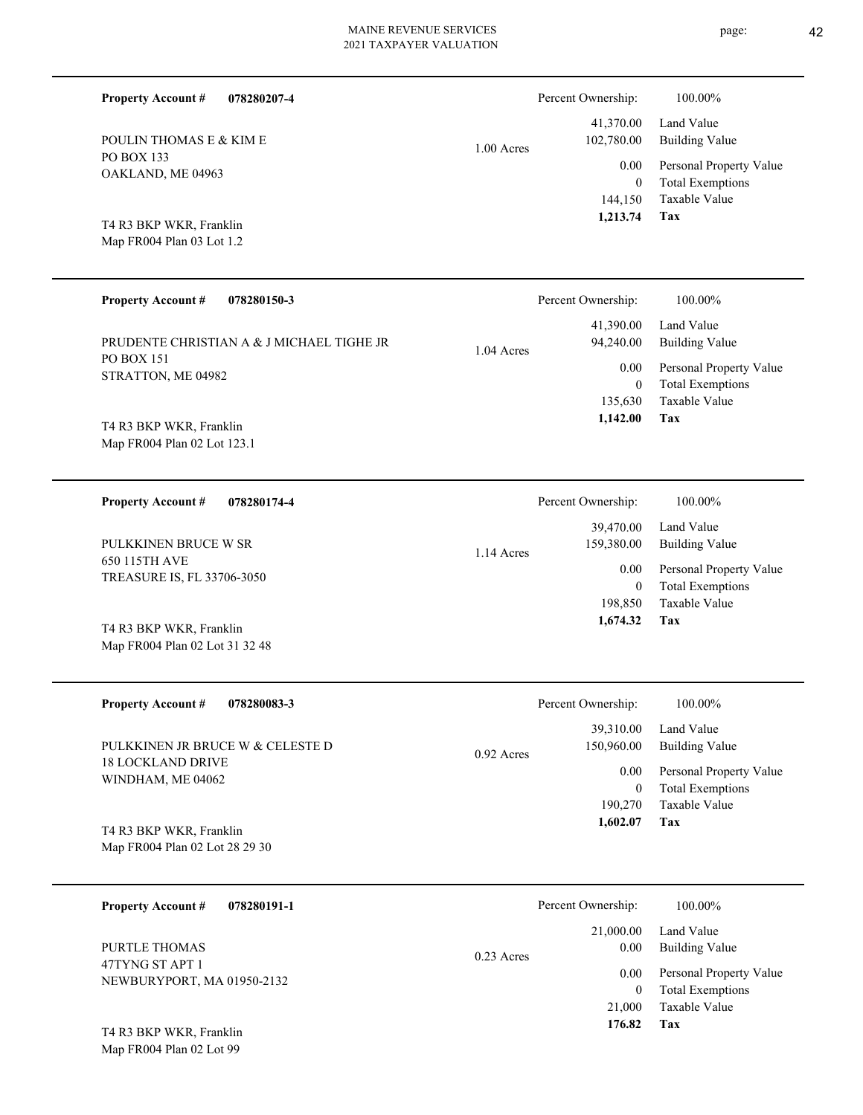| <b>Property Account #</b><br>078280207-4 | Percent Ownership:         | 100.00%                 |
|------------------------------------------|----------------------------|-------------------------|
|                                          | 41,370.00                  | Land Value              |
| POULIN THOMAS E & KIM E                  | 102,780.00<br>$1.00$ Acres | <b>Building Value</b>   |
| PO BOX 133                               | 0.00                       | Personal Property Value |
| OAKLAND, ME 04963                        | $\overline{0}$             | <b>Total Exemptions</b> |
|                                          | 144,150                    | Taxable Value           |
| T4 R3 BKP WKR, Franklin                  | 1,213.74                   | Tax                     |
| Map FR004 Plan 03 Lot 1.2                |                            |                         |

| <b>Property Account #</b><br>078280150-3  | Percent Ownership:                     | 100.00%                                            |
|-------------------------------------------|----------------------------------------|----------------------------------------------------|
| PRUDENTE CHRISTIAN A & J MICHAEL TIGHE JR | 41,390.00<br>94,240.00<br>$1.04$ Acres | Land Value<br>Building Value                       |
| <b>PO BOX 151</b><br>STRATTON, ME 04982   | 0.00<br>$\mathbf{0}$                   | Personal Property Value<br><b>Total Exemptions</b> |
| T4 R3 BKP WKR, Franklin                   | 135,630<br>1,142.00                    | Taxable Value<br>Tax                               |
|                                           |                                        |                                                    |

**078280174-4 Tax** Taxable Value Total Exemptions Personal Property Value Building Value Land Value 650 115TH AVE TREASURE IS, FL 33706-3050 **Property Account #** T4 R3 BKP WKR, Franklin PULKKINEN BRUCE W SR 198,850  $\boldsymbol{0}$  **1,674.32** 39,470.00 159,380.00 0.00 1.14 Acres Percent Ownership:  $100.00\%$ 

| <b>Property Account #</b><br>078280083-3                     | Percent Ownership:                      | 100.00%                                            |
|--------------------------------------------------------------|-----------------------------------------|----------------------------------------------------|
| PULKKINEN JR BRUCE W & CELESTE D<br><b>18 LOCKLAND DRIVE</b> | 39,310.00<br>150,960.00<br>$0.92$ Acres | Land Value<br>Building Value                       |
| WINDHAM, ME 04062                                            | 0.00<br>0                               | Personal Property Value<br><b>Total Exemptions</b> |
|                                                              | 190,270                                 | Taxable Value                                      |
| T4 R3 BKP WKR, Franklin<br>Map FR004 Plan 02 Lot 28 29 30    | 1,602.07                                | Tax                                                |

| <b>Property Account #</b><br>078280191-1      | Percent Ownership:                | 100.00%                                            |
|-----------------------------------------------|-----------------------------------|----------------------------------------------------|
| PURTLE THOMAS                                 | 21,000.00<br>0.00<br>$0.23$ Acres | Land Value<br><b>Building Value</b>                |
| 47TYNG ST APT 1<br>NEWBURYPORT, MA 01950-2132 | 0.00                              | Personal Property Value<br><b>Total Exemptions</b> |
|                                               | 21,000                            | Taxable Value                                      |
| T4 R3 BKP WKR, Franklin                       | 176.82                            | Tax                                                |

Map FR004 Plan 02 Lot 99

Map FR004 Plan 02 Lot 123.1

Map FR004 Plan 02 Lot 31 32 48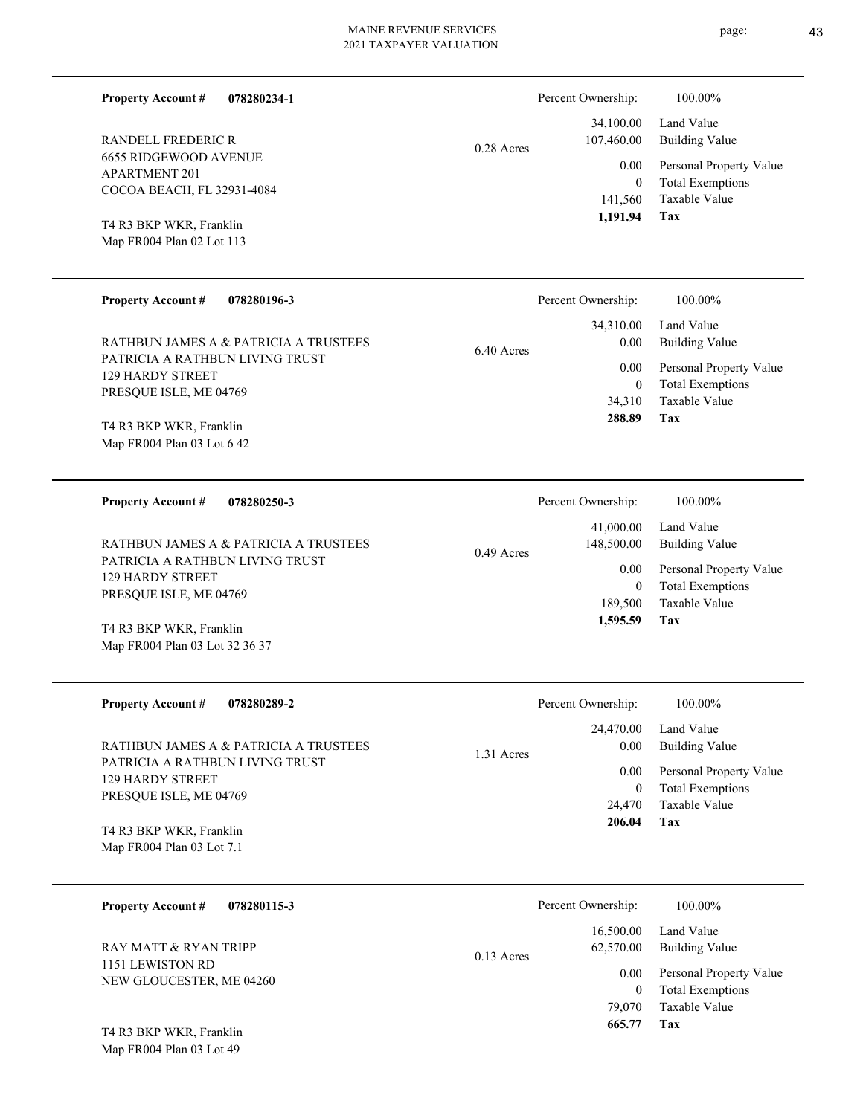0.28 Acres

**078280234-1**

6655 RIDGEWOOD AVENUE APARTMENT 201 COCOA BEACH, FL 32931-4084 RANDELL FREDERIC R

Map FR004 Plan 02 Lot 113 T4 R3 BKP WKR, Franklin

Map FR004 Plan 03 Lot 32 36 37

**Property Account #**

| <b>Property Account #</b><br>078280196-3                                 | Percent Ownership:           | 100.00%                                   |
|--------------------------------------------------------------------------|------------------------------|-------------------------------------------|
|                                                                          | 34,310.00                    | Land Value                                |
| RATHBUN JAMES A & PATRICIA A TRUSTEES<br>PATRICIA A RATHBUN LIVING TRUST | 0.00<br>$6.40$ Acres<br>0.00 | Building Value<br>Personal Property Value |
| <b>129 HARDY STREET</b><br>PRESOUE ISLE, ME 04769                        | $\mathbf{0}$                 | <b>Total Exemptions</b>                   |
|                                                                          | 34,310<br>288.89             | Taxable Value<br>Tax                      |
| T4 R3 BKP WKR, Franklin<br>Map FR004 Plan 03 Lot 642                     |                              |                                           |

**078280250-3 Tax** Taxable Value Total Exemptions Personal Property Value Building Value Land Value PATRICIA A RATHBUN LIVING TRUST 129 HARDY STREET PRESQUE ISLE, ME 04769 **Property Account #** T4 R3 BKP WKR, Franklin RATHBUN JAMES A & PATRICIA A TRUSTEES 189,500 0  **1,595.59** 41,000.00 148,500.00 0.00 0.49 Acres Percent Ownership:  $100.00\%$ 

| <b>Property Account #</b><br>078280289-2                                             | Percent Ownership:   | 100.00%                                                             |
|--------------------------------------------------------------------------------------|----------------------|---------------------------------------------------------------------|
|                                                                                      | 24,470.00            | Land Value                                                          |
| RATHBUN JAMES A & PATRICIA A TRUSTEES                                                | 0.00<br>$1.31$ Acres | <b>Building Value</b>                                               |
| PATRICIA A RATHBUN LIVING TRUST<br><b>129 HARDY STREET</b><br>PRESOUE ISLE, ME 04769 | 0.00                 | Personal Property Value<br><b>Total Exemptions</b><br>Taxable Value |
| T4 R3 BKP WKR, Franklin<br>Map FR004 Plan 03 Lot 7.1                                 | 24,470<br>206.04     | Tax                                                                 |

| 078280115-3<br><b>Property Account #</b>     | Percent Ownership:                     | 100.00%                                            |
|----------------------------------------------|----------------------------------------|----------------------------------------------------|
| RAY MATT & RYAN TRIPP                        | 16,500.00<br>62,570.00<br>$0.13$ Acres | Land Value<br>Building Value                       |
| 1151 LEWISTON RD<br>NEW GLOUCESTER, ME 04260 | 0.00                                   | Personal Property Value<br><b>Total Exemptions</b> |
|                                              | 79,070                                 | Taxable Value                                      |
| T4 R3 BKP WKR, Franklin                      | 665.77                                 | Tax                                                |

Map FR004 Plan 03 Lot 49

**Tax**

 141,560 0

0.00

Percent Ownership:  $100.00\%$ 

 34,100.00 107,460.00

 **1,191.94**

Taxable Value Total Exemptions Personal Property Value

Building Value Land Value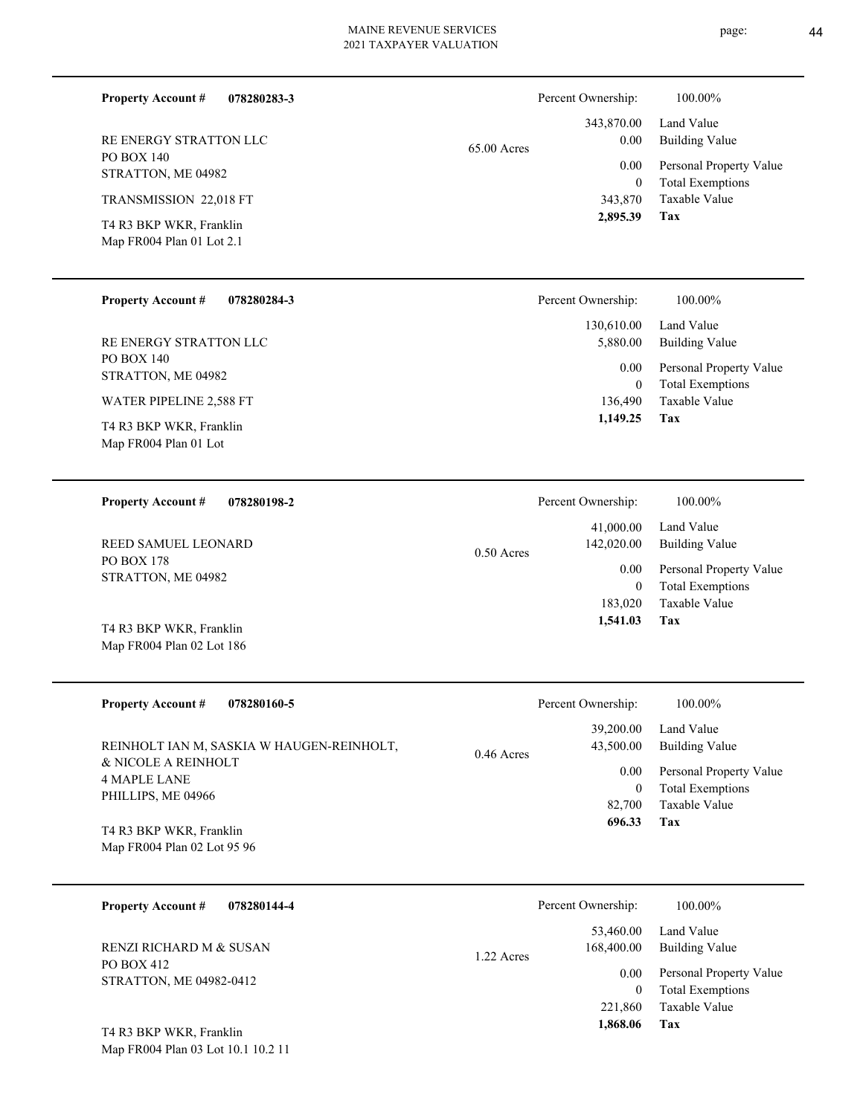| <b>Property Account #</b><br>078280283-3                          |                                           | Percent Ownership:         | 100.00%                                                        |
|-------------------------------------------------------------------|-------------------------------------------|----------------------------|----------------------------------------------------------------|
| RE ENERGY STRATTON LLC<br><b>PO BOX 140</b><br>STRATTON, ME 04982 | 343,870.00<br>0.00<br>65.00 Acres<br>0.00 |                            | Land Value<br><b>Building Value</b><br>Personal Property Value |
| TRANSMISSION 22,018 FT                                            |                                           | $\mathbf{0}$<br>343,870    | <b>Total Exemptions</b><br>Taxable Value                       |
| T4 R3 BKP WKR, Franklin                                           |                                           | 2,895.39                   | Tax                                                            |
| Map FR004 Plan 01 Lot 2.1                                         |                                           |                            |                                                                |
| <b>Property Account #</b><br>078280284-3                          |                                           | Percent Ownership:         | 100.00%                                                        |
| RE ENERGY STRATTON LLC                                            |                                           | 130,610.00<br>5,880.00     | Land Value<br><b>Building Value</b>                            |
| PO BOX 140<br>STRATTON, ME 04982                                  |                                           | 0.00                       | Personal Property Value                                        |
| WATER PIPELINE 2,588 FT                                           |                                           | $\mathbf{0}$<br>136,490    | <b>Total Exemptions</b><br>Taxable Value                       |
| T4 R3 BKP WKR, Franklin<br>Map FR004 Plan 01 Lot                  |                                           | 1,149.25                   | Tax                                                            |
| 078280198-2<br><b>Property Account #</b>                          |                                           | Percent Ownership:         | 100.00%                                                        |
| REED SAMUEL LEONARD                                               | $0.50$ Acres                              | 41,000.00<br>142,020.00    | Land Value<br><b>Building Value</b>                            |
| <b>PO BOX 178</b><br>STRATTON, ME 04982                           |                                           | 0.00                       | Personal Property Value                                        |
|                                                                   |                                           | $\mathbf{0}$<br>183,020    | <b>Total Exemptions</b><br>Taxable Value                       |
| T4 R3 BKP WKR, Franklin                                           |                                           | 1,541.03                   | Tax                                                            |
| Map FR004 Plan 02 Lot 186                                         |                                           |                            |                                                                |
| <b>Property Account #</b><br>078280160-5                          |                                           | Percent Ownership:         | 100.00%                                                        |
| REINHOLT IAN M, SASKIA W HAUGEN-REINHOLT,                         | $0.46$ Acres                              | 39,200.00<br>43,500.00     | Land Value<br><b>Building Value</b>                            |
| & NICOLE A REINHOLT<br><b>4 MAPLE LANE</b>                        |                                           | 0.00                       | Personal Property Value                                        |
| PHILLIPS, ME 04966                                                |                                           | $\boldsymbol{0}$<br>82,700 | <b>Total Exemptions</b><br>Taxable Value                       |
| T4 R3 BKP WKR, Franklin                                           |                                           | 696.33                     | Tax                                                            |
| Map FR004 Plan 02 Lot 95 96                                       |                                           |                            |                                                                |
| <b>Property Account #</b><br>078280144-4                          |                                           | Percent Ownership:         | 100.00%                                                        |
| RENZI RICHARD M & SUSAN                                           | 1.22 Acres                                | 53,460.00<br>168,400.00    | Land Value<br><b>Building Value</b>                            |
| PO BOX 412<br>STRATTON, ME 04982-0412                             |                                           | 0.00                       | Personal Property Value                                        |

Map FR004 Plan 03 Lot 10.1 10.2 11 T4 R3 BKP WKR, Franklin

**Tax**

 221,860  **1,868.06**

Taxable Value 0 Total Exemptions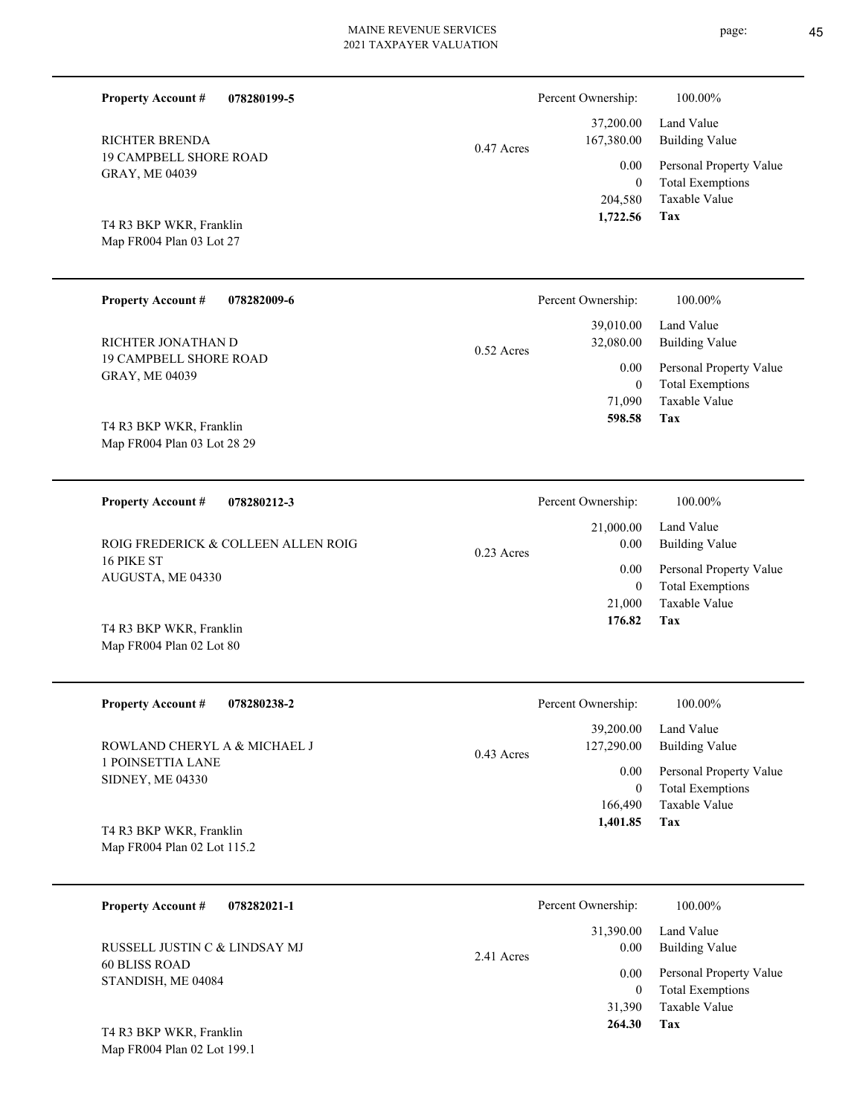| <b>Property Account #</b><br>078280199-5               |              | Percent Ownership:              | 100.00%                                                                    |
|--------------------------------------------------------|--------------|---------------------------------|----------------------------------------------------------------------------|
| <b>RICHTER BRENDA</b>                                  | 0.47 Acres   | 37,200.00<br>167,380.00         | Land Value<br><b>Building Value</b>                                        |
| <b>19 CAMPBELL SHORE ROAD</b><br>GRAY, ME 04039        |              | 0.00<br>$\mathbf{0}$            | Personal Property Value<br><b>Total Exemptions</b>                         |
| T4 R3 BKP WKR, Franklin<br>Map FR004 Plan 03 Lot 27    |              | 204,580<br>1,722.56             | Taxable Value<br>Tax                                                       |
| <b>Property Account #</b><br>078282009-6               |              | Percent Ownership:              | 100.00%                                                                    |
| RICHTER JONATHAN D                                     | $0.52$ Acres | 39,010.00<br>32,080.00          | Land Value<br><b>Building Value</b>                                        |
| <b>19 CAMPBELL SHORE ROAD</b><br>GRAY, ME 04039        |              | 0.00<br>$\mathbf{0}$<br>71,090  | Personal Property Value<br><b>Total Exemptions</b><br>Taxable Value<br>Tax |
| T4 R3 BKP WKR, Franklin<br>Map FR004 Plan 03 Lot 28 29 |              | 598.58                          |                                                                            |
| <b>Property Account #</b><br>078280212-3               |              | Percent Ownership:              | 100.00%                                                                    |
| ROIG FREDERICK & COLLEEN ALLEN ROIG                    | $0.23$ Acres | 21,000.00<br>0.00               | Land Value<br><b>Building Value</b>                                        |
| 16 PIKE ST<br>AUGUSTA, ME 04330                        |              | 0.00<br>$\mathbf{0}$<br>21,000  | Personal Property Value<br><b>Total Exemptions</b><br>Taxable Value        |
| T4 R3 BKP WKR, Franklin<br>Map FR004 Plan 02 Lot 80    |              | 176.82                          | Tax                                                                        |
| 078280238-2<br><b>Property Account #</b>               |              | Percent Ownership:              | 100.00%                                                                    |
| ROWLAND CHERYL A & MICHAEL J                           | 0.43 Acres   | 39,200.00<br>127,290.00         | Land Value<br><b>Building Value</b>                                        |
| 1 POINSETTIA LANE<br>SIDNEY, ME 04330                  |              | 0.00<br>$\mathbf{0}$<br>166,490 | Personal Property Value<br><b>Total Exemptions</b><br>Taxable Value        |
| T4 R3 BKP WKR, Franklin<br>Map FR004 Plan 02 Lot 115.2 |              | 1,401.85                        | Tax                                                                        |
| <b>Property Account #</b><br>078282021-1               |              | Percent Ownership:              | 100.00%                                                                    |
| RUSSELL JUSTIN C & LINDSAY MJ                          | 2.41 Acres   | 31,390.00<br>0.00               | Land Value<br><b>Building Value</b>                                        |
| 60 BLISS ROAD<br>STANDISH, ME 04084                    |              | 0.00<br>$\mathbf{0}$            | Personal Property Value<br><b>Total Exemptions</b>                         |

**Tax 264.30**

Taxable Value 31,390

Map FR004 Plan 02 Lot 199.1 T4 R3 BKP WKR, Franklin

page: 45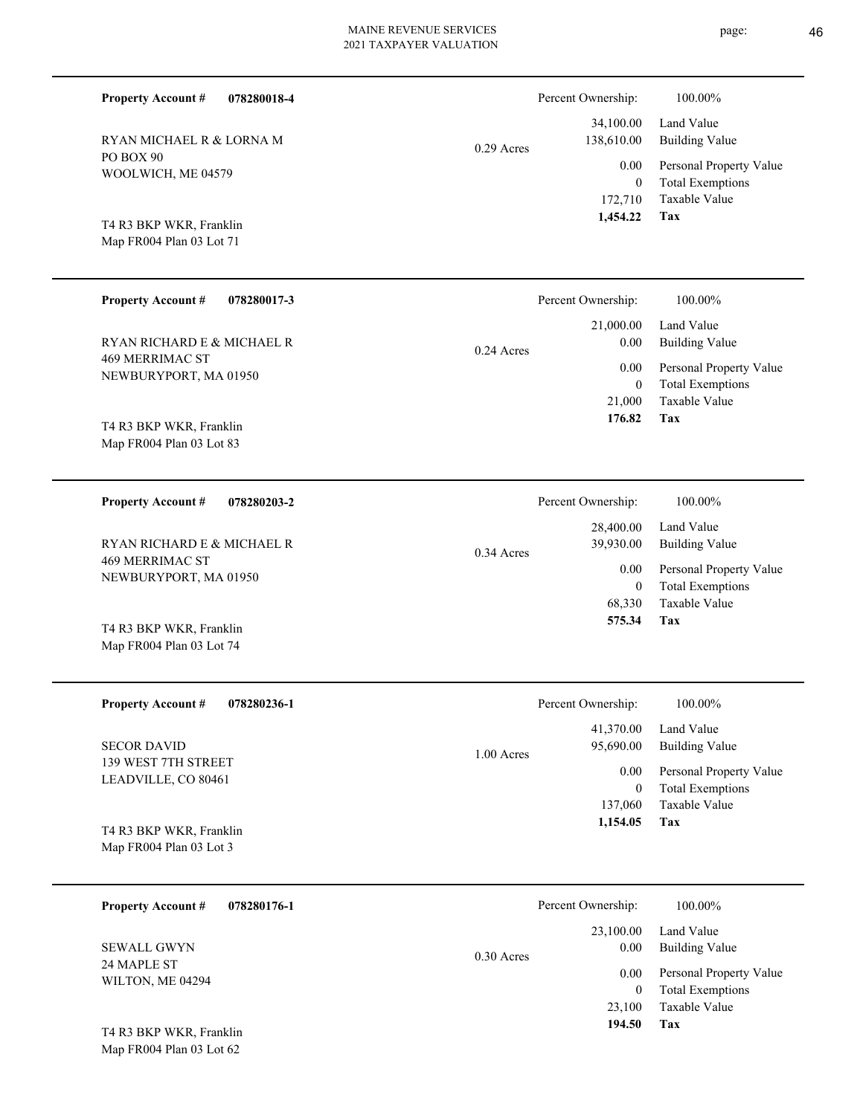| <b>Property Account #</b><br>078280018-4<br>RYAN MICHAEL R & LORNA M<br>PO BOX 90 | $0.29$ Acres | Percent Ownership:<br>34,100.00<br>138,610.00 | 100.00%<br>Land Value<br><b>Building Value</b>                             |
|-----------------------------------------------------------------------------------|--------------|-----------------------------------------------|----------------------------------------------------------------------------|
| WOOLWICH, ME 04579<br>T4 R3 BKP WKR, Franklin<br>Map FR004 Plan 03 Lot 71         |              | 0.00<br>$\mathbf{0}$<br>172,710<br>1,454.22   | Personal Property Value<br><b>Total Exemptions</b><br>Taxable Value<br>Tax |
| <b>Property Account #</b><br>078280017-3                                          |              | Percent Ownership:                            | 100.00%                                                                    |
| RYAN RICHARD E & MICHAEL R                                                        | $0.24$ Acres | 21,000.00<br>0.00                             | Land Value<br><b>Building Value</b>                                        |
| <b>469 MERRIMAC ST</b><br>NEWBURYPORT, MA 01950<br>T4 R3 BKP WKR, Franklin        |              | 0.00<br>$\mathbf{0}$<br>21,000<br>176.82      | Personal Property Value<br><b>Total Exemptions</b><br>Taxable Value<br>Tax |
| Map FR004 Plan 03 Lot 83                                                          |              |                                               |                                                                            |
| <b>Property Account #</b><br>078280203-2                                          |              | Percent Ownership:                            | 100.00%                                                                    |
| RYAN RICHARD E & MICHAEL R<br><b>469 MERRIMAC ST</b>                              | 0.34 Acres   | 28,400.00<br>39,930.00                        | Land Value<br><b>Building Value</b>                                        |
| NEWBURYPORT, MA 01950                                                             |              | 0.00<br>$\boldsymbol{0}$<br>68,330<br>575.34  | Personal Property Value<br><b>Total Exemptions</b><br>Taxable Value<br>Tax |
| T4 R3 BKP WKR, Franklin<br>Map FR004 Plan 03 Lot 74                               |              |                                               |                                                                            |
| <b>Property Account #</b><br>078280236-1                                          |              | Percent Ownership:                            | 100.00%                                                                    |
| <b>SECOR DAVID</b>                                                                | 1.00 Acres   | 41,370.00<br>95,690.00                        | Land Value<br><b>Building Value</b>                                        |
| 139 WEST 7TH STREET<br>LEADVILLE, CO 80461                                        |              | 0.00<br>$\boldsymbol{0}$<br>137,060           | Personal Property Value<br><b>Total Exemptions</b><br>Taxable Value        |
| T4 R3 BKP WKR, Franklin<br>Map FR004 Plan 03 Lot 3                                |              | 1,154.05                                      | Tax                                                                        |
| <b>Property Account #</b><br>078280176-1                                          |              | Percent Ownership:                            | 100.00%                                                                    |
| <b>SEWALL GWYN</b>                                                                | 0.30 Acres   | 23,100.00<br>0.00                             | Land Value<br><b>Building Value</b>                                        |
| 24 MAPLE ST<br>WILTON, ME 04294                                                   |              | 0.00<br>$\overline{0}$                        | Personal Property Value<br><b>Total Exemptions</b>                         |

**Tax 194.50**

23,100

Taxable Value

Map FR004 Plan 03 Lot 62 T4 R3 BKP WKR, Franklin page: 46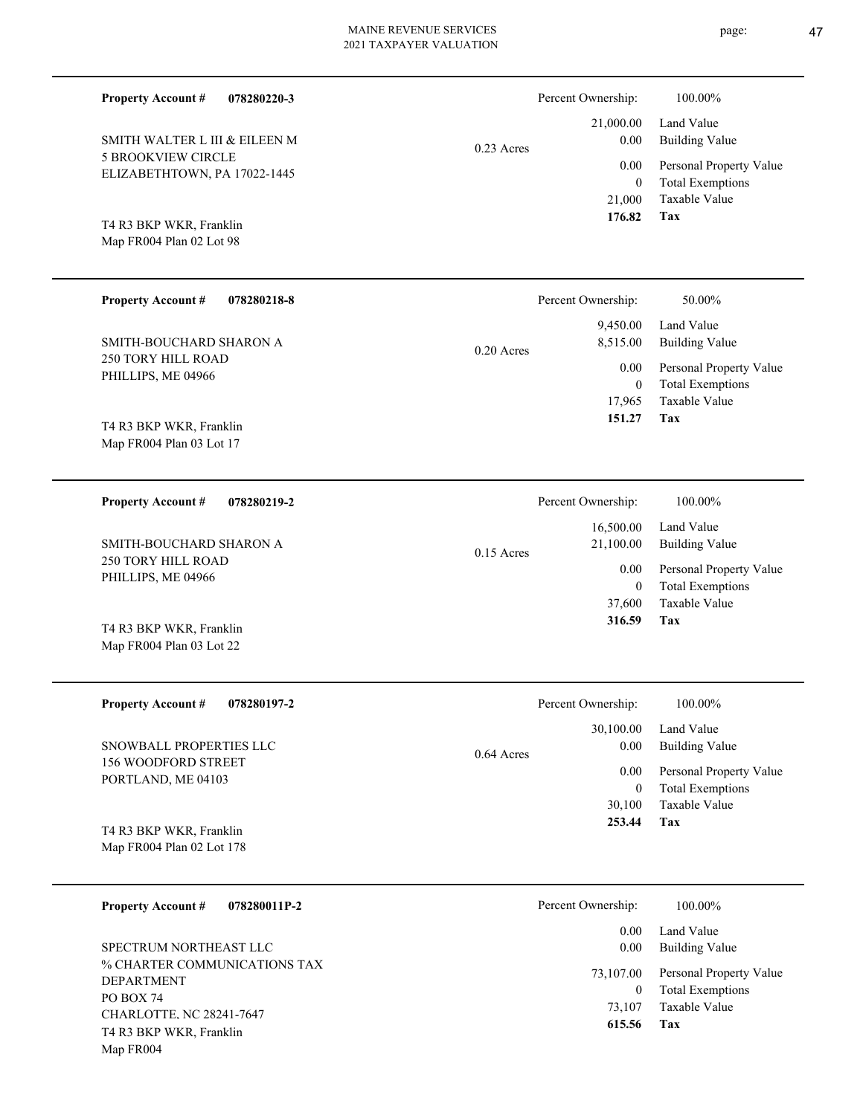| <b>Property Account #</b><br>078280220-3                  |              | Percent Ownership:                       | 100.00%                                                                    |
|-----------------------------------------------------------|--------------|------------------------------------------|----------------------------------------------------------------------------|
| SMITH WALTER L III & EILEEN M                             |              | 21,000.00<br>0.00                        | Land Value<br><b>Building Value</b>                                        |
| <b>5 BROOKVIEW CIRCLE</b><br>ELIZABETHTOWN, PA 17022-1445 | $0.23$ Acres | 0.00<br>$\overline{0}$<br>21,000         | Personal Property Value<br><b>Total Exemptions</b><br>Taxable Value        |
| T4 R3 BKP WKR, Franklin<br>Map FR004 Plan 02 Lot 98       |              | 176.82                                   | Tax                                                                        |
| <b>Property Account #</b><br>078280218-8                  |              | Percent Ownership:                       | 50.00%                                                                     |
| SMITH-BOUCHARD SHARON A                                   | $0.20$ Acres | 9,450.00<br>8,515.00                     | Land Value<br><b>Building Value</b>                                        |
| 250 TORY HILL ROAD<br>PHILLIPS, ME 04966                  |              | 0.00<br>$\mathbf{0}$<br>17,965<br>151.27 | Personal Property Value<br><b>Total Exemptions</b><br>Taxable Value<br>Tax |
| T4 R3 BKP WKR, Franklin<br>Map FR004 Plan 03 Lot 17       |              |                                          |                                                                            |
| <b>Property Account #</b><br>078280219-2                  |              | Percent Ownership:                       | 100.00%                                                                    |
| SMITH-BOUCHARD SHARON A                                   | $0.15$ Acres | 16,500.00<br>21,100.00                   | Land Value<br><b>Building Value</b>                                        |
| 250 TORY HILL ROAD<br>PHILLIPS, ME 04966                  |              | 0.00                                     | Personal Property Value                                                    |
|                                                           |              | $\overline{0}$<br>37,600                 | <b>Total Exemptions</b><br>Taxable Value                                   |
| T4 R3 BKP WKR, Franklin<br>Map FR004 Plan 03 Lot 22       |              | 316.59                                   | Tax                                                                        |
| <b>Property Account #</b><br>078280197-2                  |              | Percent Ownership:                       | 100.00%                                                                    |
| SNOWBALL PROPERTIES LLC                                   |              | 30,100.00<br>0.00                        | Land Value<br><b>Building Value</b>                                        |
| 156 WOODFORD STREET<br>PORTLAND, ME 04103                 | 0.64 Acres   | 0.00<br>$\mathbf{0}$<br>30,100           | Personal Property Value<br><b>Total Exemptions</b><br>Taxable Value        |

Map FR004 Plan 02 Lot 178

Map FR004

| 078280011P-2<br><b>Property Account #</b>                                                                                    | Percent Ownership:                 | 100.00%                                                                    |
|------------------------------------------------------------------------------------------------------------------------------|------------------------------------|----------------------------------------------------------------------------|
| SPECTRUM NORTHEAST LLC                                                                                                       | 0.00<br>0.00                       | Land Value<br>Building Value                                               |
| % CHARTER COMMUNICATIONS TAX<br><b>DEPARTMENT</b><br><b>PO BOX 74</b><br>CHARLOTTE, NC 28241-7647<br>T4 R3 BKP WKR, Franklin | 73,107.00<br>0<br>73,107<br>615.56 | Personal Property Value<br><b>Total Exemptions</b><br>Taxable Value<br>Tax |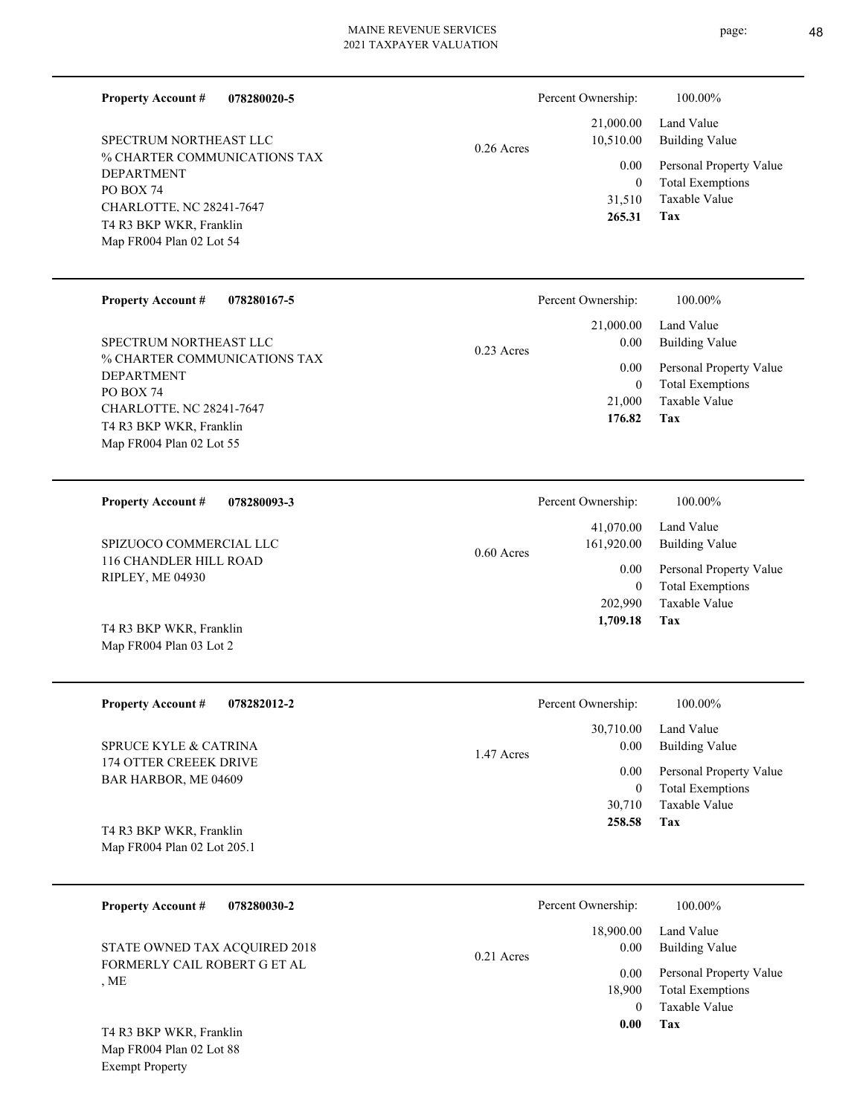**078280020-5 Property Account #**

% CHARTER COMMUNICATIONS TAX DEPARTMENT PO BOX 74 CHARLOTTE, NC 28241-7647 Map FR004 Plan 02 Lot 54 T4 R3 BKP WKR, Franklin SPECTRUM NORTHEAST LLC

Map FR004 Plan 02 Lot 55 T4 R3 BKP WKR, Franklin

Map FR004 Plan 03 Lot 2

Exempt Property

# 0.26 Acres

| Percent Ownership:     | 100.00%                             |
|------------------------|-------------------------------------|
| 21,000.00<br>10,510.00 | Land Value<br><b>Building Value</b> |
| $0.00\,$               | Personal Property Value             |
| 0                      | <b>Total Exemptions</b>             |
| 31,510                 | Taxable Value                       |
| 265.31                 | Tax                                 |

| <b>Property Account # 078280167-5</b>                  |              |
|--------------------------------------------------------|--------------|
| SPECTRUM NORTHEAST LLC<br>% CHARTER COMMUNICATIONS TAX | $0.23$ Acres |
| <b>DEPARTMENT</b>                                      |              |
| <b>PO BOX 74</b>                                       |              |
| CHARLOTTE, NC 28241-7647                               |              |

#### **Tax** Taxable Value Total Exemptions Personal Property Value Building Value Land Value 21,000 0  **176.82** 21,000.00 0.00 0.00 Percent Ownership:  $100.00\%$

| 078280093-3<br><b>Property Account #</b>   | Percent Ownership:                      | 100.00%                      |
|--------------------------------------------|-----------------------------------------|------------------------------|
| SPIZUOCO COMMERCIAL LLC                    | 41,070.00<br>161,920.00<br>$0.60$ Acres | Land Value<br>Building Value |
| 116 CHANDLER HILL ROAD<br>RIPLEY, ME 04930 | 0.00                                    | Personal Property Value      |
|                                            | 0                                       | <b>Total Exemptions</b>      |
|                                            | 202,990                                 | Taxable Value                |
| T4 R3 BKP WKR, Franklin                    | 1,709.18                                | Tax                          |

| <b>Property Account #</b><br>078282012-2 | Percent Ownership: | 100.00%                 |
|------------------------------------------|--------------------|-------------------------|
|                                          | 30,710.00          | Land Value              |
| SPRUCE KYLE & CATRINA                    | 0.00<br>1.47 Acres | Building Value          |
| 174 OTTER CREEEK DRIVE                   | 0.00               | Personal Property Value |
| BAR HARBOR, ME 04609                     | 0                  | <b>Total Exemptions</b> |
|                                          | 30,710             | Taxable Value           |
| T4 R3 BKP WKR, Franklin                  | 258.58             | Tax                     |
| Map FR004 Plan 02 Lot 205.1              |                    |                         |

| <b>Property Account #</b><br>078280030-2                      | Percent Ownership: | 100.00%                         |
|---------------------------------------------------------------|--------------------|---------------------------------|
|                                                               | 18,900.00          | Land Value                      |
| STATE OWNED TAX ACQUIRED 2018<br>FORMERLY CAIL ROBERT G ET AL | $0.21$ Acres       | Building Value<br>0.00          |
|                                                               |                    | Personal Property Value<br>0.00 |
| , ME                                                          | 18,900             | <b>Total Exemptions</b>         |
|                                                               |                    | Taxable Value<br>$\theta$       |
| T4 R3 BKP WKR, Franklin                                       |                    | 0.00<br>Tax                     |
| Map FR004 Plan 02 Lot 88                                      |                    |                                 |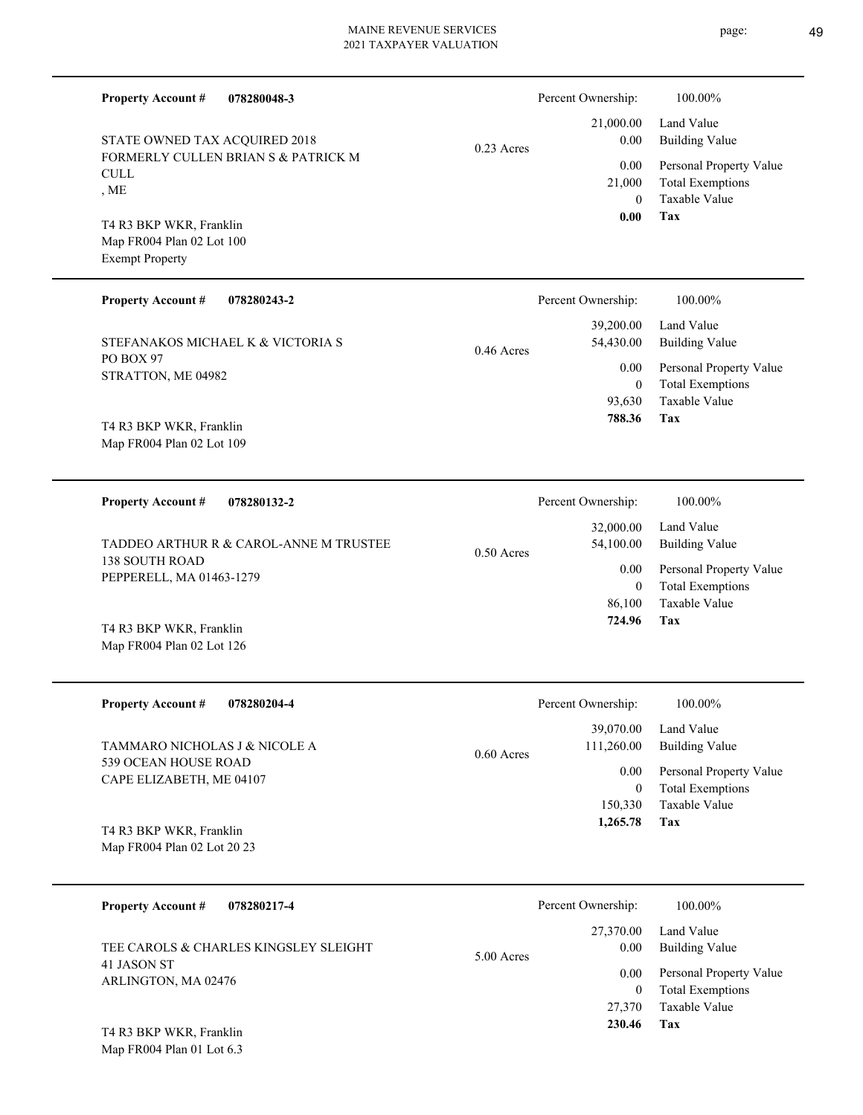| <b>Property Account #</b><br>078280048-3                                       |              | Percent Ownership:                              | 100.00%                                                                           |
|--------------------------------------------------------------------------------|--------------|-------------------------------------------------|-----------------------------------------------------------------------------------|
| STATE OWNED TAX ACQUIRED 2018                                                  | $0.23$ Acres | 21,000.00<br>0.00                               | Land Value<br><b>Building Value</b>                                               |
| FORMERLY CULLEN BRIAN S & PATRICK M<br>$\ensuremath{\mathrm{CULL}}$<br>, ME    |              | 0.00<br>21,000<br>$\overline{0}$                | Personal Property Value<br><b>Total Exemptions</b><br>Taxable Value               |
| T4 R3 BKP WKR, Franklin<br>Map FR004 Plan 02 Lot 100<br><b>Exempt Property</b> |              | 0.00                                            | Tax                                                                               |
| <b>Property Account #</b><br>078280243-2                                       |              | Percent Ownership:                              | 100.00%                                                                           |
| STEFANAKOS MICHAEL K & VICTORIA S                                              | $0.46$ Acres | 39,200.00<br>54,430.00                          | Land Value<br><b>Building Value</b>                                               |
| PO BOX 97<br>STRATTON, ME 04982                                                |              | 0.00<br>$\overline{0}$<br>93,630<br>788.36      | Personal Property Value<br><b>Total Exemptions</b><br><b>Taxable Value</b><br>Tax |
| T4 R3 BKP WKR, Franklin<br>Map FR004 Plan 02 Lot 109                           |              |                                                 |                                                                                   |
| <b>Property Account #</b><br>078280132-2                                       |              | Percent Ownership:                              | 100.00%                                                                           |
| TADDEO ARTHUR R & CAROL-ANNE M TRUSTEE                                         | $0.50$ Acres | 32,000.00<br>54,100.00                          | Land Value<br><b>Building Value</b>                                               |
| <b>138 SOUTH ROAD</b><br>PEPPERELL, MA 01463-1279                              |              | 0.00<br>$\overline{0}$<br>86,100                | Personal Property Value<br><b>Total Exemptions</b><br><b>Taxable Value</b>        |
| T4 R3 BKP WKR, Franklin<br>Map FR004 Plan 02 Lot 126                           |              | 724.96                                          | Tax                                                                               |
| <b>Property Account #</b><br>078280204-4                                       |              | Percent Ownership:                              | 100.00%                                                                           |
| TAMMARO NICHOLAS J & NICOLE A                                                  | 0.60 Acres   | 39,070.00<br>111,260.00                         | Land Value<br><b>Building Value</b>                                               |
| 539 OCEAN HOUSE ROAD<br>CAPE ELIZABETH, ME 04107                               |              | 0.00<br>$\boldsymbol{0}$<br>150,330<br>1,265.78 | Personal Property Value<br><b>Total Exemptions</b><br>Taxable Value<br>Tax        |
| T4 R3 BKP WKR, Franklin<br>Map FR004 Plan 02 Lot 20 23                         |              |                                                 |                                                                                   |
| <b>Property Account #</b><br>078280217-4                                       |              | Percent Ownership:                              | 100.00%                                                                           |
| TEE CAROLS & CHARLES KINGSLEY SLEIGHT                                          | 5.00 Acres   | 27,370.00<br>0.00                               | Land Value<br><b>Building Value</b>                                               |
| 41 JASON ST<br>ARLINGTON, MA 02476                                             |              | 0.00<br>$\boldsymbol{0}$<br>27,370              | Personal Property Value<br><b>Total Exemptions</b><br>Taxable Value               |

**Tax 230.46**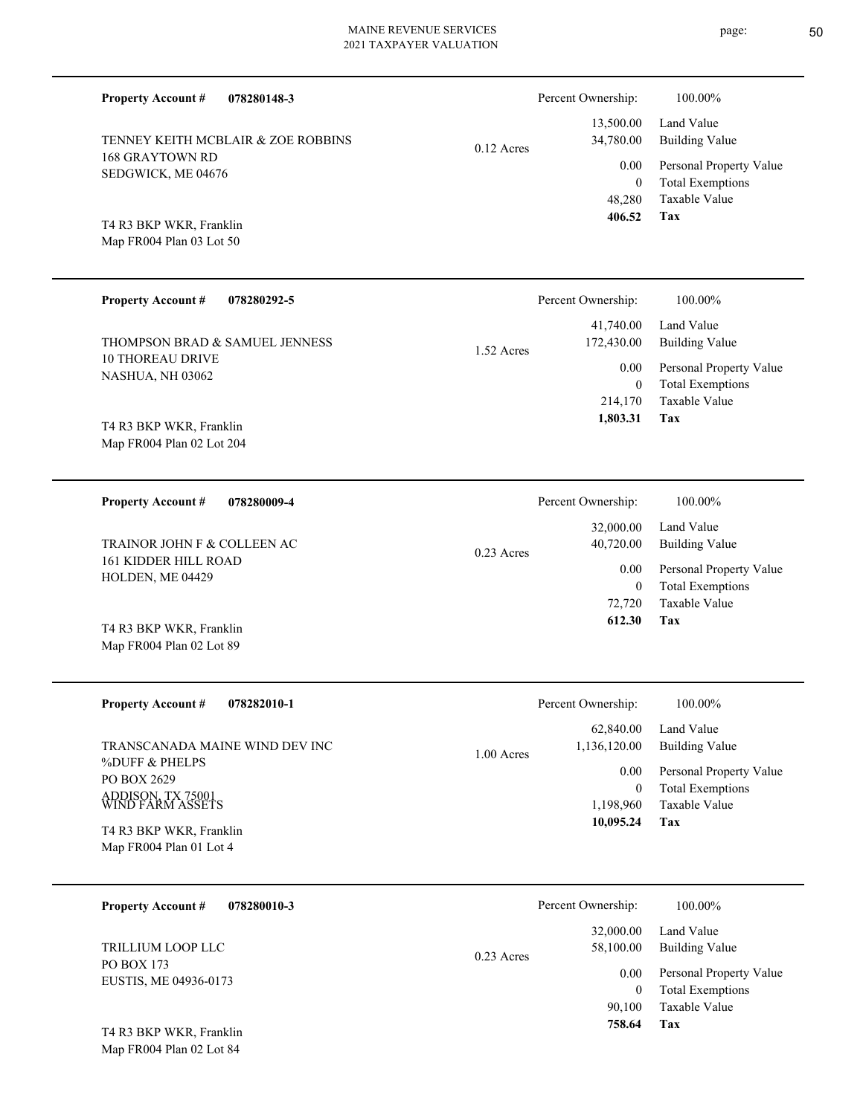**078280148-3 Tax** Taxable Value Total Exemptions Personal Property Value Building Value Land Value 168 GRAYTOWN RD SEDGWICK, ME 04676 **Property Account #** Map FR004 Plan 03 Lot 50 T4 R3 BKP WKR, Franklin TENNEY KEITH MCBLAIR & ZOE ROBBINS 48,280 0  **406.52** 13,500.00 34,780.00 0.00 0.12 Acres Percent Ownership:  $100.00\%$ **078280292-5 Tax** Taxable Value Total Exemptions Personal Property Value Building Value Land Value 10 THOREAU DRIVE NASHUA, NH 03062 **Property Account #** Map FR004 Plan 02 Lot 204 T4 R3 BKP WKR, Franklin THOMPSON BRAD & SAMUEL JENNESS 214,170 0  **1,803.31** 41,740.00 172,430.00 0.00 1.52 Acres Percent Ownership:  $100.00\%$ **078280009-4 Tax** Taxable Value Total Exemptions Personal Property Value Building Value Land Value 161 KIDDER HILL ROAD HOLDEN, ME 04429 **Property Account #** Map FR004 Plan 02 Lot 89 T4 R3 BKP WKR, Franklin TRAINOR JOHN F & COLLEEN AC 72,720 0  **612.30** 32,000.00 40,720.00 0.00 0.23 Acres Percent Ownership:  $100.00\%$ **078282010-1 Tax** Taxable Value Total Exemptions Personal Property Value Building Value Land Value %DUFF & PHELPS PO BOX 2629 ADDISON, TX 75001 WIND FARM ASSETS **Property Account #** Map FR004 Plan 01 Lot 4 T4 R3 BKP WKR, Franklin TRANSCANADA MAINE WIND DEV INC 1,198,960 0  **10,095.24** 62,840.00 1,136,120.00 0.00 1.00 Acres Percent Ownership:  $100.00\%$ **078280010-3** Taxable Value Total Exemptions Personal Property Value Building Value Land Value PO BOX 173 EUSTIS, ME 04936-0173 **Property Account #** TRILLIUM LOOP LLC 90,100 0 32,000.00 58,100.00 0.00 0.23 Acres Percent Ownership:  $100.00\%$ 

Map FR004 Plan 02 Lot 84 T4 R3 BKP WKR, Franklin page: 50

**Tax**

 **758.64**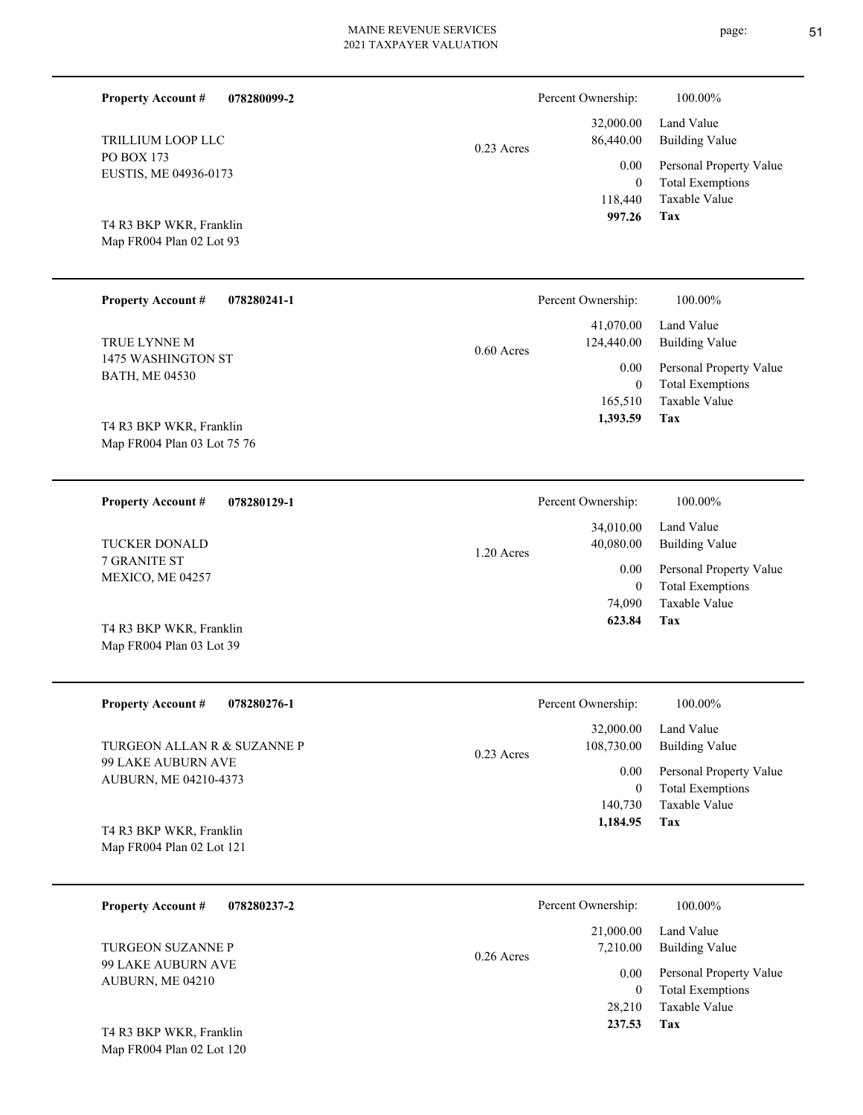| <b>Property Account #</b><br>078280099-2            |              | Percent Ownership:       | 100.00%                                            |
|-----------------------------------------------------|--------------|--------------------------|----------------------------------------------------|
| TRILLIUM LOOP LLC                                   | $0.23$ Acres | 32,000.00<br>86,440.00   | Land Value<br><b>Building Value</b>                |
| PO BOX 173<br>EUSTIS, ME 04936-0173                 |              | 0.00<br>$\theta$         | Personal Property Value<br><b>Total Exemptions</b> |
| T4 R3 BKP WKR, Franklin<br>Map FR004 Plan 02 Lot 93 |              | 118,440<br>997.26        | Taxable Value<br>Tax                               |
| <b>Property Account #</b><br>078280241-1            |              | Percent Ownership:       | 100.00%                                            |
| TRUE LYNNE M                                        | $0.60$ Acres | 41,070.00<br>124,440.00  | Land Value<br><b>Building Value</b>                |
| 1475 WASHINGTON ST<br><b>BATH, ME 04530</b>         |              | 0.00<br>$\mathbf{0}$     | Personal Property Value<br><b>Total Exemptions</b> |
| T4 R3 BKP WKR, Franklin                             |              | 165,510<br>1,393.59      | Taxable Value<br>Tax                               |
| Map FR004 Plan 03 Lot 75 76                         |              |                          |                                                    |
| <b>Property Account #</b><br>078280129-1            |              | Percent Ownership:       | 100.00%                                            |
| <b>TUCKER DONALD</b>                                | 1.20 Acres   | 34,010.00<br>40,080.00   | Land Value<br><b>Building Value</b>                |
| 7 GRANITE ST<br>MEXICO, ME 04257                    |              | 0.00<br>$\theta$         | Personal Property Value<br><b>Total Exemptions</b> |
| T4 R3 BKP WKR, Franklin                             |              | 74,090<br>623.84         | <b>Taxable Value</b><br>Tax                        |
| Map FR004 Plan 03 Lot 39                            |              |                          |                                                    |
| <b>Property Account #</b><br>078280276-1            |              | Percent Ownership:       | 100.00%                                            |
| TURGEON ALLAN R & SUZANNE P                         | 0.23 Acres   | 32,000.00<br>108,730.00  | Land Value<br><b>Building Value</b>                |
| 99 LAKE AUBURN AVE<br>AUBURN, ME 04210-4373         |              | 0.00<br>$\boldsymbol{0}$ | Personal Property Value<br><b>Total Exemptions</b> |
| T4 R3 BKP WKR, Franklin                             |              | 140,730<br>1,184.95      | Taxable Value<br>Tax                               |
| Map FR004 Plan 02 Lot 121                           |              |                          |                                                    |
| 078280237-2<br><b>Property Account #</b>            |              | Percent Ownership:       | 100.00%                                            |
| TURGEON SUZANNE P                                   | 0.26 Acres   | 21,000.00<br>7,210.00    | Land Value<br><b>Building Value</b>                |
| 99 LAKE AUBURN AVE<br>AUBURN, ME 04210              |              | 0.00<br>$\boldsymbol{0}$ | Personal Property Value<br><b>Total Exemptions</b> |
|                                                     |              | 28,210                   | Taxable Value                                      |

**Tax 237.53**

Map FR004 Plan 02 Lot 120 T4 R3 BKP WKR, Franklin

## page: 51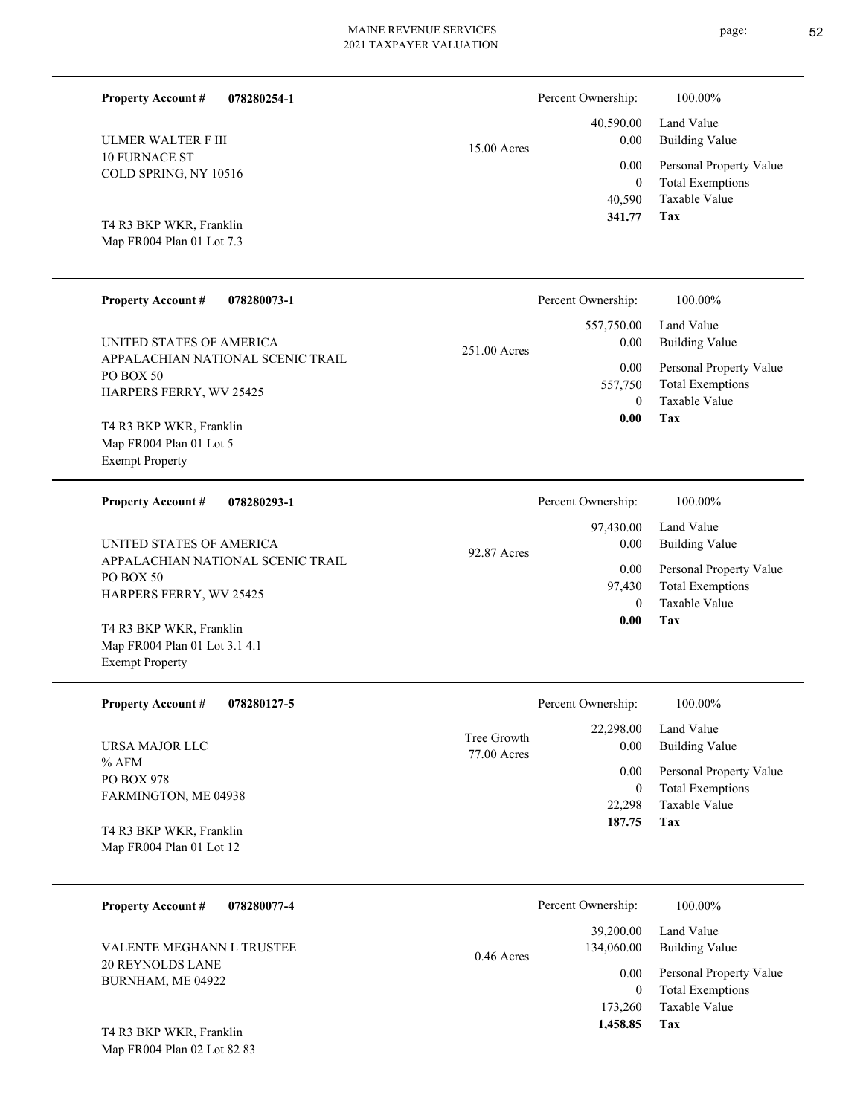Percent Ownership:  $100.00\%$ 

**Tax 1,458.85**

| <b>ULMER WALTER F III</b>                                                          | 15.00 Acres                | 40,590.00<br>0.00                   | Land Value<br><b>Building Value</b>                                 |
|------------------------------------------------------------------------------------|----------------------------|-------------------------------------|---------------------------------------------------------------------|
| <b>10 FURNACE ST</b><br>COLD SPRING, NY 10516                                      |                            | 0.00<br>$\mathbf{0}$                | Personal Property Value<br><b>Total Exemptions</b>                  |
| T4 R3 BKP WKR, Franklin<br>Map FR004 Plan 01 Lot 7.3                               |                            | 40,590<br>341.77                    | Taxable Value<br><b>Tax</b>                                         |
| <b>Property Account #</b><br>078280073-1                                           |                            | Percent Ownership:                  | 100.00%                                                             |
| UNITED STATES OF AMERICA<br>APPALACHIAN NATIONAL SCENIC TRAIL                      | 251.00 Acres               | 557,750.00<br>0.00                  | Land Value<br><b>Building Value</b>                                 |
| PO BOX 50<br>HARPERS FERRY, WV 25425                                               |                            | 0.00<br>557,750<br>$\mathbf{0}$     | Personal Property Value<br><b>Total Exemptions</b><br>Taxable Value |
| T4 R3 BKP WKR, Franklin<br>Map FR004 Plan 01 Lot 5<br><b>Exempt Property</b>       |                            | 0.00                                | Tax                                                                 |
| <b>Property Account #</b><br>078280293-1                                           |                            | Percent Ownership:                  | 100.00%                                                             |
| UNITED STATES OF AMERICA                                                           | 92.87 Acres                | 97,430.00<br>0.00                   | Land Value<br><b>Building Value</b>                                 |
| APPALACHIAN NATIONAL SCENIC TRAIL<br>PO BOX 50<br>HARPERS FERRY, WV 25425          |                            | 0.00<br>97,430<br>$\mathbf{0}$      | Personal Property Value<br><b>Total Exemptions</b><br>Taxable Value |
| T4 R3 BKP WKR, Franklin<br>Map FR004 Plan 01 Lot 3.1 4.1<br><b>Exempt Property</b> |                            | 0.00                                | Tax                                                                 |
| <b>Property Account #</b><br>078280127-5                                           |                            | Percent Ownership:                  | 100.00%                                                             |
| URSA MAJOR LLC                                                                     | Tree Growth<br>77.00 Acres | 22,298.00<br>$0.00\,$               | Land Value<br><b>Building Value</b>                                 |
| $%$ AFM<br>PO BOX 978<br>FARMINGTON, ME 04938                                      |                            | 0.00<br>$\mathbf{0}$<br>22,298      | Personal Property Value<br><b>Total Exemptions</b><br>Taxable Value |
| T4 R3 BKP WKR, Franklin<br>Map FR004 Plan 01 Lot 12                                |                            | 187.75                              | <b>Tax</b>                                                          |
| <b>Property Account #</b><br>078280077-4                                           |                            | Percent Ownership:                  | 100.00%                                                             |
| VALENTE MEGHANN L TRUSTEE                                                          | 0.46 Acres                 | 39,200.00<br>134,060.00             | Land Value<br><b>Building Value</b>                                 |
| <b>20 REYNOLDS LANE</b><br>BURNHAM, ME 04922                                       |                            | 0.00<br>$\boldsymbol{0}$<br>173,260 | Personal Property Value<br><b>Total Exemptions</b><br>Taxable Value |

Map FR004 Plan 02 Lot 82 83 T4 R3 BKP WKR, Franklin

#### **078280254-1 Property Account #**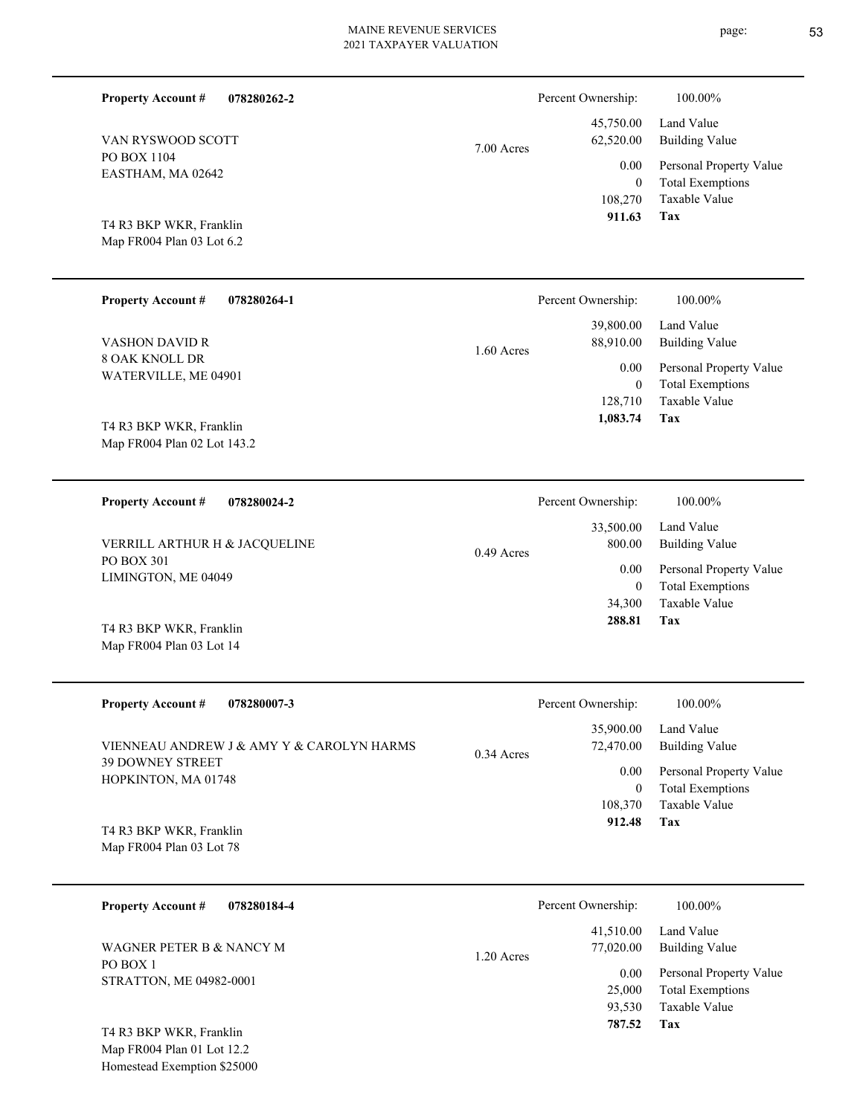| <b>Property Account #</b><br>078280262-2               |              | Percent Ownership:     | 100.00%                                            |
|--------------------------------------------------------|--------------|------------------------|----------------------------------------------------|
| VAN RYSWOOD SCOTT                                      | 7.00 Acres   | 45,750.00<br>62,520.00 | Land Value<br><b>Building Value</b>                |
| PO BOX 1104<br>EASTHAM, MA 02642                       |              | 0.00<br>$\overline{0}$ | Personal Property Value<br><b>Total Exemptions</b> |
| T4 R3 BKP WKR, Franklin                                |              | 108,270<br>911.63      | Taxable Value<br>Tax                               |
| Map FR004 Plan 03 Lot 6.2                              |              |                        |                                                    |
| <b>Property Account #</b><br>078280264-1               |              | Percent Ownership:     | 100.00%                                            |
| <b>VASHON DAVID R</b>                                  | 1.60 Acres   | 39,800.00<br>88,910.00 | Land Value<br><b>Building Value</b>                |
| <b>8 OAK KNOLL DR</b><br>WATERVILLE, ME 04901          |              | 0.00<br>$\theta$       | Personal Property Value<br><b>Total Exemptions</b> |
|                                                        |              | 128,710<br>1,083.74    | Taxable Value<br>Tax                               |
| T4 R3 BKP WKR, Franklin<br>Map FR004 Plan 02 Lot 143.2 |              |                        |                                                    |
|                                                        |              |                        |                                                    |
| <b>Property Account #</b><br>078280024-2               |              | Percent Ownership:     | 100.00%                                            |
| VERRILL ARTHUR H & JACQUELINE                          | $0.49$ Acres | 33,500.00<br>800.00    | Land Value<br><b>Building Value</b>                |
| PO BOX 301<br>LIMINGTON, ME 04049                      |              | 0.00<br>$\theta$       | Personal Property Value<br><b>Total Exemptions</b> |
|                                                        |              | 34,300<br>288.81       | <b>Taxable Value</b><br>Tax                        |
| T4 R3 BKP WKR, Franklin<br>Map FR004 Plan 03 Lot 14    |              |                        |                                                    |
| <b>Property Account #</b><br>078280007-3               |              | Percent Ownership:     | $100.00\%$                                         |
| VIENNEAU ANDREW J & AMY Y & CAROLYN HARMS              | 0.34 Acres   | 35,900.00<br>72,470.00 | Land Value<br><b>Building Value</b>                |
| <b>39 DOWNEY STREET</b><br>HOPKINTON, MA 01748         |              | 0.00<br>$\bf{0}$       | Personal Property Value<br><b>Total Exemptions</b> |
|                                                        |              | 108,370<br>912.48      | Taxable Value<br>Tax                               |
| T4 R3 BKP WKR, Franklin<br>Map FR004 Plan 03 Lot 78    |              |                        |                                                    |
|                                                        |              |                        |                                                    |
| <b>Property Account #</b><br>078280184-4               |              | Percent Ownership:     | 100.00%                                            |
| WAGNER PETER B & NANCY M                               | 1.20 Acres   | 41,510.00<br>77,020.00 | Land Value<br><b>Building Value</b>                |
| PO BOX 1<br>STRATTON, ME 04982-0001                    |              | 0.00<br>25,000         | Personal Property Value<br><b>Total Exemptions</b> |

**Tax**

93,530

 **787.52**

Taxable Value

Map FR004 Plan 01 Lot 12.2 Homestead Exemption \$25000 T4 R3 BKP WKR, Franklin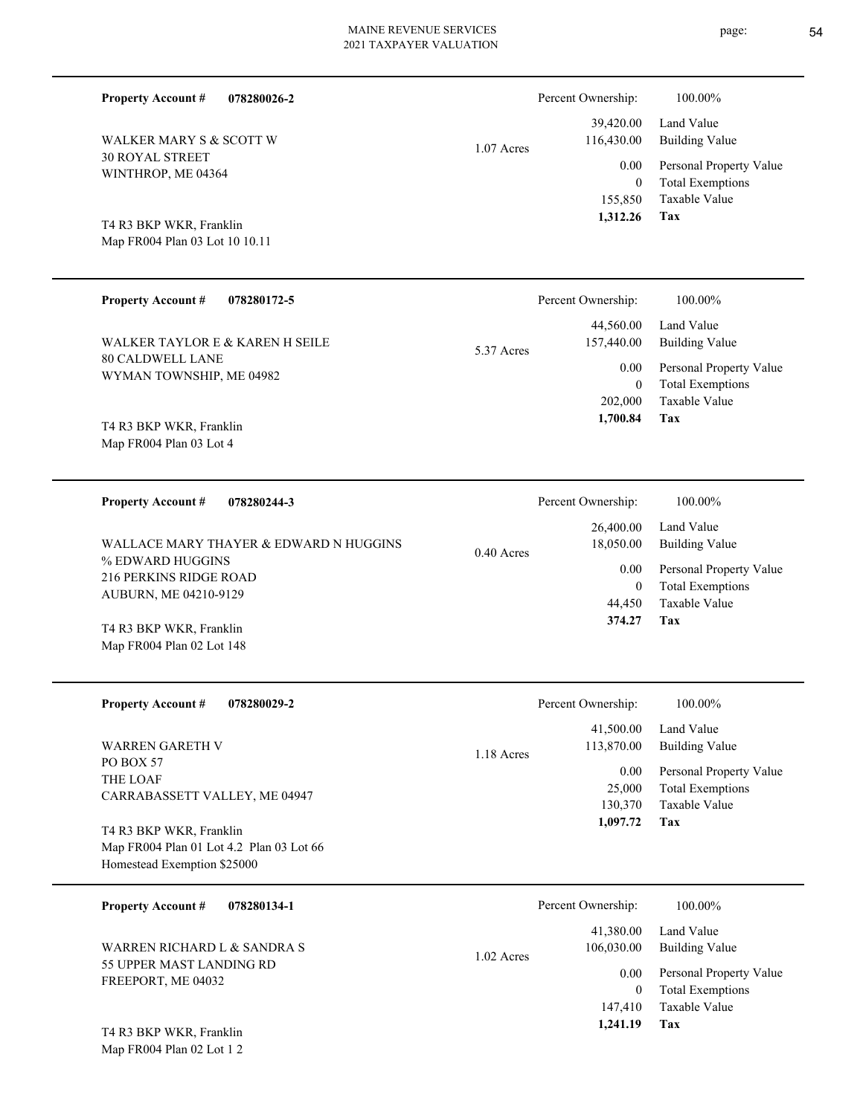| <b>Property Account #</b>                                                                                 | 078280026-2                            |              | Percent Ownership:                              | 100.00%                                                                    |
|-----------------------------------------------------------------------------------------------------------|----------------------------------------|--------------|-------------------------------------------------|----------------------------------------------------------------------------|
| <b>WALKER MARY S &amp; SCOTT W</b>                                                                        |                                        | $1.07$ Acres | 39,420.00<br>116,430.00                         | Land Value<br><b>Building Value</b>                                        |
| <b>30 ROYAL STREET</b><br>WINTHROP, ME 04364<br>T4 R3 BKP WKR, Franklin<br>Map FR004 Plan 03 Lot 10 10.11 |                                        |              | 0.00<br>$\boldsymbol{0}$<br>155,850<br>1,312.26 | Personal Property Value<br><b>Total Exemptions</b><br>Taxable Value<br>Tax |
| <b>Property Account #</b>                                                                                 | 078280172-5                            |              | Percent Ownership:                              | 100.00%                                                                    |
| WALKER TAYLOR E & KAREN H SEILE                                                                           |                                        | 5.37 Acres   | 44,560.00<br>157,440.00                         | Land Value<br><b>Building Value</b>                                        |
| <b>80 CALDWELL LANE</b><br>WYMAN TOWNSHIP, ME 04982                                                       |                                        |              | 0.00<br>$\mathbf{0}$<br>202,000                 | Personal Property Value<br><b>Total Exemptions</b><br>Taxable Value        |
| T4 R3 BKP WKR, Franklin<br>Map FR004 Plan 03 Lot 4                                                        |                                        |              | 1,700.84                                        | Tax                                                                        |
| <b>Property Account #</b>                                                                                 | 078280244-3                            |              | Percent Ownership:                              | 100.00%                                                                    |
|                                                                                                           | WALLACE MARY THAYER & EDWARD N HUGGINS | $0.40$ Acres | 26,400.00<br>18,050.00                          | Land Value<br><b>Building Value</b>                                        |
| % EDWARD HUGGINS<br>216 PERKINS RIDGE ROAD<br>AUBURN, ME 04210-9129                                       |                                        |              | 0.00<br>$\mathbf{0}$<br>44,450                  | Personal Property Value<br><b>Total Exemptions</b><br>Taxable Value        |
| T4 R3 BKP WKR, Franklin<br>Map FR004 Plan 02 Lot 148                                                      |                                        |              | 374.27                                          | <b>Tax</b>                                                                 |
|                                                                                                           |                                        |              |                                                 |                                                                            |

| <b>Property Account #</b><br>078280029-2                            | Percent Ownership:        | 100.00%                                                             |
|---------------------------------------------------------------------|---------------------------|---------------------------------------------------------------------|
|                                                                     | 41,500.00                 | Land Value                                                          |
| <b>WARREN GARETH V</b>                                              | 113,870.00<br>1.18 Acres  | Building Value                                                      |
| PO BOX 57<br>THE LOAF<br>CARRABASSETT VALLEY, ME 04947              | 0.00<br>25,000<br>130,370 | Personal Property Value<br><b>Total Exemptions</b><br>Taxable Value |
| T4 R3 BKP WKR, Franklin<br>Map FR004 Plan 01 Lot 4.2 Plan 03 Lot 66 | 1,097.72                  | Tax                                                                 |
| Homestead Exemption \$25000                                         |                           |                                                                     |
| 078280134-1<br><b>Property Account #</b>                            | Percent Ownership:        | 100.00%                                                             |

| WARREN RICHARD L & SANDRA S<br>55 UPPER MAST LANDING RD | $1.02$ Acres | 41,380.00<br>106,030.00 | Land Value<br>Building Value |
|---------------------------------------------------------|--------------|-------------------------|------------------------------|
| FREEPORT, ME 04032                                      |              | 0.00                    | Personal Property Value      |
|                                                         |              | $\theta$                | <b>Total Exemptions</b>      |
|                                                         |              | 147,410                 | Taxable Value                |
| T4 R3 BKP WKR, Franklin                                 |              | 1,241.19                | Tax                          |

Map FR004 Plan 02 Lot 1 2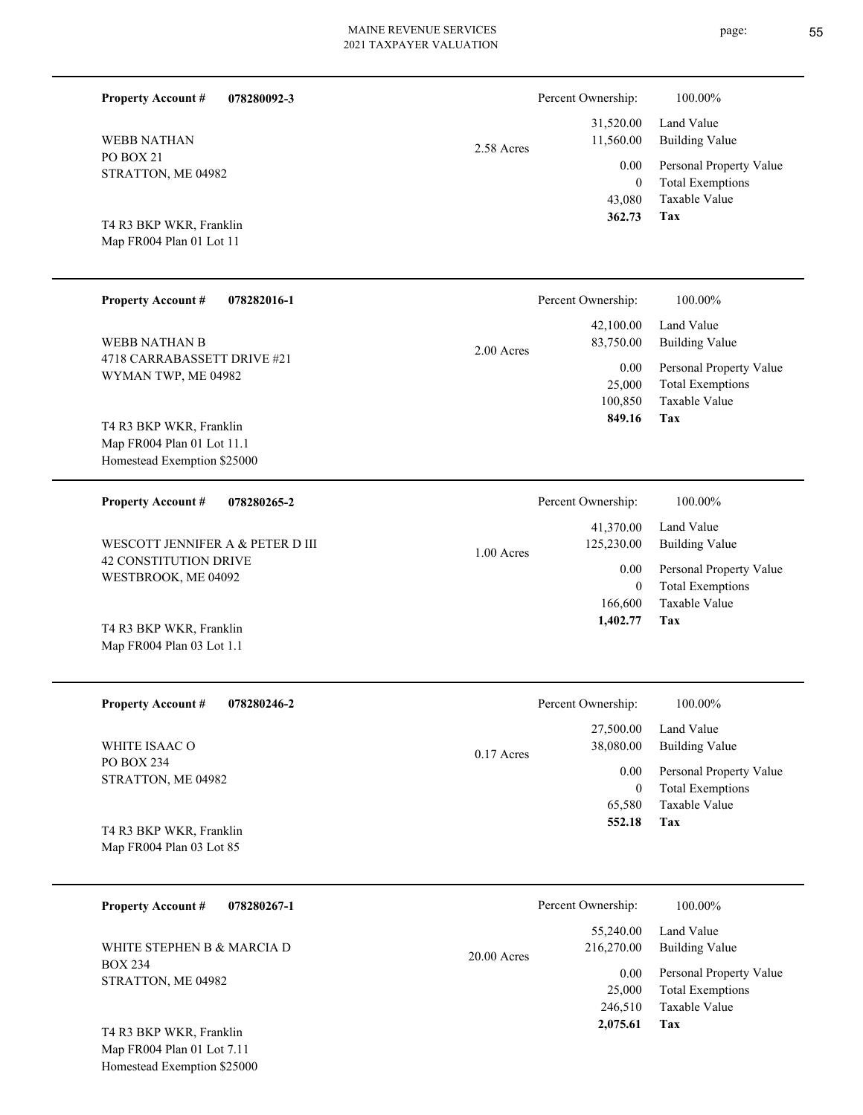| <b>Property Account #</b><br>078280092-3                                             |              | Percent Ownership:                         | 100.00%                                                                    |
|--------------------------------------------------------------------------------------|--------------|--------------------------------------------|----------------------------------------------------------------------------|
| <b>WEBB NATHAN</b>                                                                   | 2.58 Acres   | 31,520.00<br>11,560.00                     | Land Value<br><b>Building Value</b>                                        |
| PO BOX 21<br>STRATTON, ME 04982<br>T4 R3 BKP WKR, Franklin                           |              | 0.00<br>$\overline{0}$<br>43,080<br>362.73 | Personal Property Value<br><b>Total Exemptions</b><br>Taxable Value<br>Tax |
| Map FR004 Plan 01 Lot 11                                                             |              |                                            |                                                                            |
| <b>Property Account #</b><br>078282016-1                                             |              | Percent Ownership:                         | 100.00%                                                                    |
| <b>WEBB NATHAN B</b>                                                                 | $2.00$ Acres | 42,100.00<br>83,750.00                     | Land Value<br><b>Building Value</b>                                        |
| 4718 CARRABASSETT DRIVE #21<br>WYMAN TWP, ME 04982                                   |              | 0.00<br>25,000<br>100,850<br>849.16        | Personal Property Value<br><b>Total Exemptions</b><br>Taxable Value<br>Tax |
| T4 R3 BKP WKR, Franklin<br>Map FR004 Plan 01 Lot 11.1<br>Homestead Exemption \$25000 |              |                                            |                                                                            |
| <b>Property Account #</b><br>078280265-2                                             |              | Percent Ownership:                         | 100.00%                                                                    |
| WESCOTT JENNIFER A & PETER D III                                                     | $1.00$ Acres | 41,370.00<br>125,230.00                    | Land Value<br><b>Building Value</b>                                        |
| <b>42 CONSTITUTION DRIVE</b><br>WESTBROOK, ME 04092                                  |              | 0.00<br>$\overline{0}$                     | Personal Property Value<br><b>Total Exemptions</b>                         |
| T4 R3 BKP WKR, Franklin<br>Map FR004 Plan 03 Lot 1.1                                 |              | 166,600<br>1,402.77                        | Taxable Value<br>Tax                                                       |
| <b>Property Account #</b><br>078280246-2                                             |              | Percent Ownership:                         | 100.00%                                                                    |
| WHITE ISAAC O                                                                        | $0.17$ Acres | 27,500.00<br>38,080.00                     | Land Value<br><b>Building Value</b>                                        |
| PO BOX 234<br>STRATTON, ME 04982                                                     |              | 0.00<br>$\mathbf{0}$<br>65,580             | Personal Property Value<br><b>Total Exemptions</b><br>Taxable Value        |
| T4 R3 BKP WKR, Franklin<br>Map FR004 Plan 03 Lot 85                                  |              | 552.18                                     | Tax                                                                        |
| <b>Property Account #</b><br>078280267-1                                             |              | Percent Ownership:                         | 100.00%                                                                    |
| WHITE STEPHEN B & MARCIA D                                                           | 20.00 Acres  | 55,240.00<br>216,270.00                    | Land Value<br><b>Building Value</b>                                        |
| <b>BOX 234</b><br>STRATTON, ME 04982                                                 |              | 0.00<br>25,000                             | Personal Property Value<br><b>Total Exemptions</b>                         |

**Tax**

246,510

 **2,075.61**

Taxable Value

Map FR004 Plan 01 Lot 7.11 Homestead Exemption \$25000 T4 R3 BKP WKR, Franklin

page: 55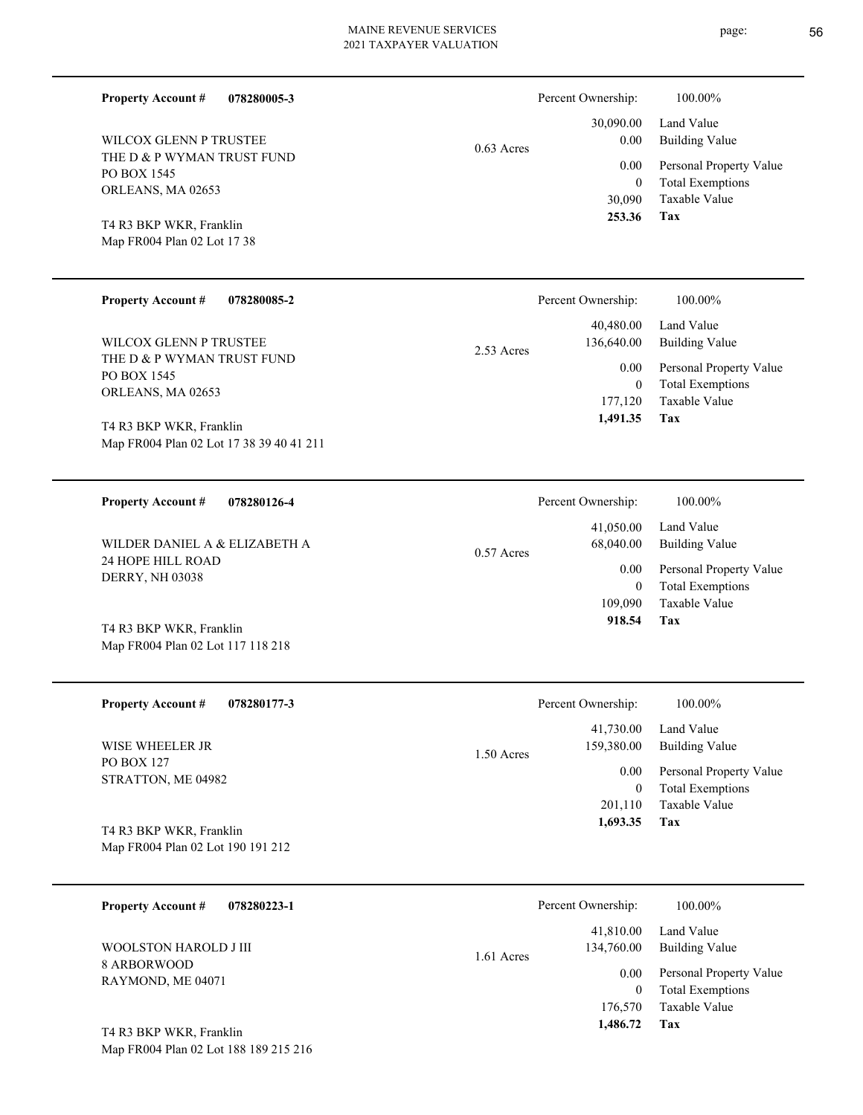Percent Ownership:  $100.00\%$ 

2.53 Acres

0.57 Acres

|              | 253.36   | Tax                          |
|--------------|----------|------------------------------|
|              |          | 30,090 Taxable Value         |
|              | $\theta$ | <b>Total Exemptions</b>      |
|              |          | 0.00 Personal Property Value |
| $0.63$ Acres | 0.00     | Building Value               |
|              |          | 30,090.00 Land Value         |
|              |          |                              |

**Tax**

**Tax**

Taxable Value Total Exemptions Personal Property Value

Building Value Land Value

 177,120 0

0.00

Percent Ownership: 100.00%

 40,480.00 136,640.00

 **1,491.35**

 109,090 0

0.00

Percent Ownership:  $100.00\%$ 

 41,050.00 68,040.00

 **918.54**

Taxable Value Total Exemptions Personal Property Value

Building Value Land Value

ORLEANS, MA 02653 T4 R3 BKP WKR, Franklin

PO BOX 1545

**Property Account #**

THE D & P WYMAN TRUST FUND

WILCOX GLENN P TRUSTEE

**078280005-3**

Map FR004 Plan 02 Lot 17 38

**078280085-2 Property Account #**

THE D & P WYMAN TRUST FUND PO BOX 1545 ORLEANS, MA 02653 WILCOX GLENN P TRUSTEE

Map FR004 Plan 02 Lot 17 38 39 40 41 211 T4 R3 BKP WKR, Franklin

**078280126-4 Property Account #**

24 HOPE HILL ROAD DERRY, NH 03038 WILDER DANIEL A & ELIZABETH A

Map FR004 Plan 02 Lot 117 118 218 T4 R3 BKP WKR, Franklin

Map FR004 Plan 02 Lot 188 189 215 216

| <b>Property Account #</b><br>078280177-3 | Percent Ownership:         | 100.00%                 |
|------------------------------------------|----------------------------|-------------------------|
|                                          | 41,730.00                  | Land Value              |
| WISE WHEELER JR                          | 159,380.00<br>$1.50$ Acres | Building Value          |
| <b>PO BOX 127</b><br>STRATTON, ME 04982  | 0.00                       | Personal Property Value |
|                                          | 0                          | <b>Total Exemptions</b> |
|                                          | 201.110                    | Taxable Value           |
| T4 R3 BKP WKR, Franklin                  | 1,693.35                   | Tax                     |
| Map FR004 Plan 02 Lot 190 191 212        |                            |                         |

| 078280223-1<br><b>Property Account #</b> | Percent Ownership:                      | 100.00%                                            |
|------------------------------------------|-----------------------------------------|----------------------------------------------------|
| WOOLSTON HAROLD J III                    | 41,810.00<br>134,760.00<br>$1.61$ Acres | Land Value<br>Building Value                       |
| 8 ARBORWOOD<br>RAYMOND, ME 04071         | 0.00<br>$\overline{0}$                  | Personal Property Value<br><b>Total Exemptions</b> |
|                                          | 176,570                                 | Taxable Value                                      |
| T4 R3 BKP WKR, Franklin                  | 1,486.72                                | Tax                                                |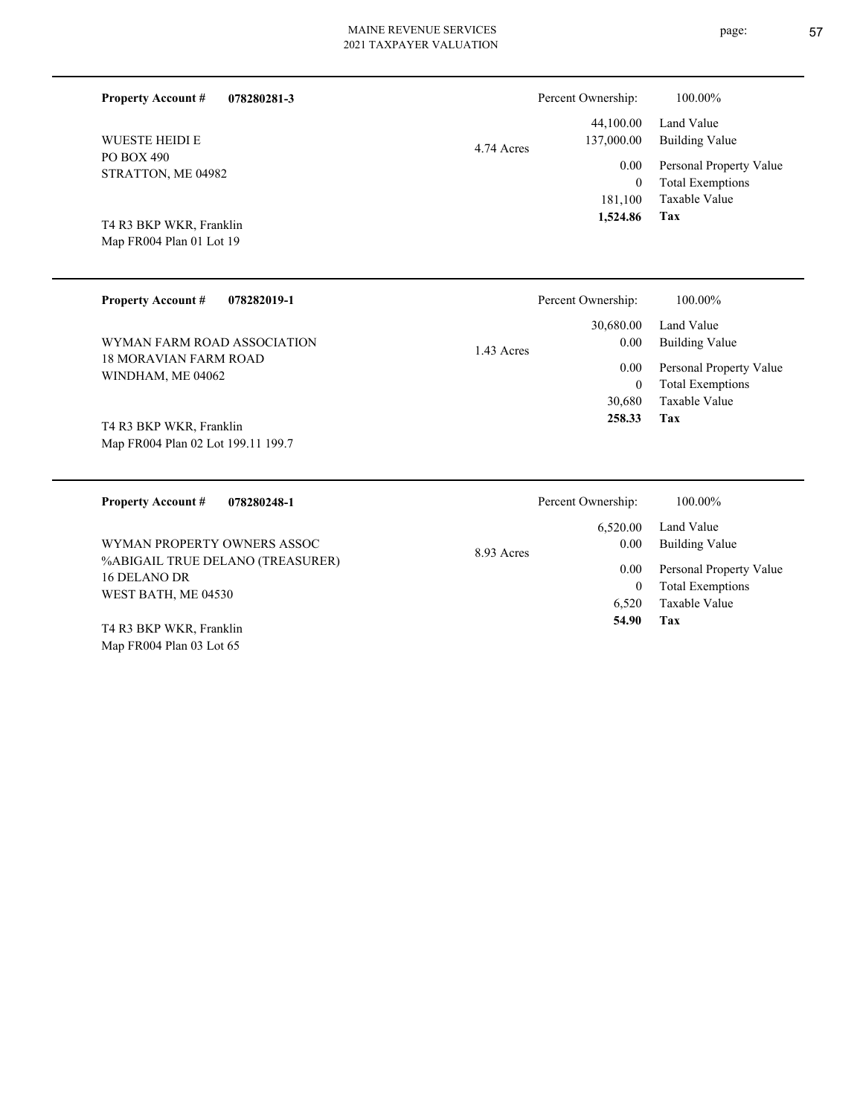| 078280281-3<br><b>Property Account #</b> | Percent Ownership:                    | 100.00%                                            |
|------------------------------------------|---------------------------------------|----------------------------------------------------|
| <b>WUESTE HEIDI E</b>                    | 44,100.00<br>137,000.00<br>4.74 Acres | Land Value<br>Building Value                       |
| PO BOX 490<br>STRATTON, ME 04982         | 0.00<br>$\mathbf{0}$                  | Personal Property Value<br><b>Total Exemptions</b> |
|                                          | 181.100                               | Taxable Value                                      |
| T4 R3 BKP WKR, Franklin                  | 1,524.86                              | Tax                                                |
| Map FR004 Plan 01 Lot 19                 |                                       |                                                    |

| <b>Property Account #</b><br>078282019-1                      | Percent Ownership:                | 100.00%                             |
|---------------------------------------------------------------|-----------------------------------|-------------------------------------|
| WYMAN FARM ROAD ASSOCIATION                                   | 30,680.00<br>0.00<br>$1.43$ Acres | Land Value<br><b>Building Value</b> |
| 18 MORAVIAN FARM ROAD<br>WINDHAM, ME 04062                    | 0.00                              | Personal Property Value             |
|                                                               | $\theta$                          | <b>Total Exemptions</b>             |
|                                                               | 30,680                            | Taxable Value                       |
| T4 R3 BKP WKR, Franklin<br>Map FR004 Plan 02 Lot 199.11 199.7 | 258.33                            | Tax                                 |
|                                                               |                                   |                                     |
| <b>Property Account #</b><br>078280248-1                      | Percent Ownership:                | 100.00%                             |
|                                                               | 6,520.00                          | Land Value                          |
| WYMAN PROPERTY OWNERS ASSOC                                   | 0.00<br>8.93 Acres                | <b>Building Value</b>               |
| %ABIGAIL TRUE DELANO (TREASURER)                              | 0.00                              | Personal Property Value             |
| 16 DELANO DR<br>WEST BATH, ME 04530                           | $\mathbf{0}$                      | <b>Total Exemptions</b>             |

**Tax 54.90**

Map FR004 Plan 03 Lot 65 T4 R3 BKP WKR, Franklin page: 57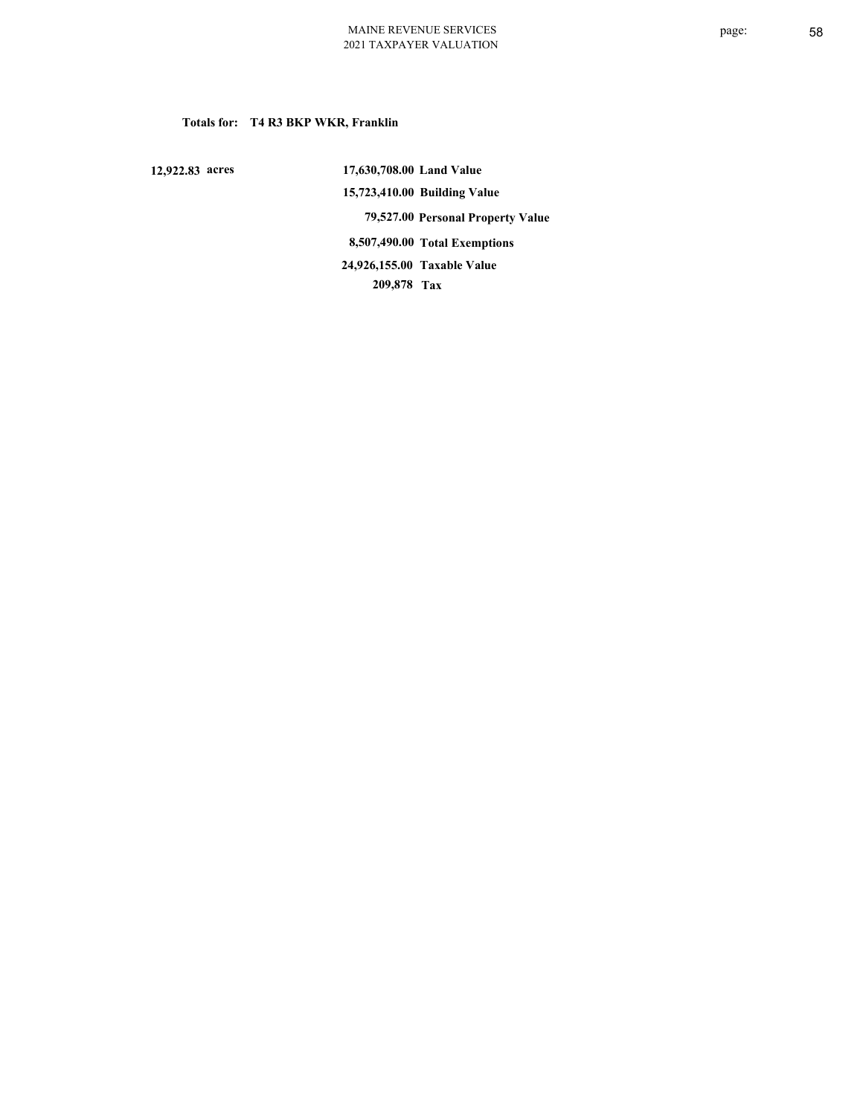### **Totals for: T4 R3 BKP WKR, Franklin**

 **12,922.83 acres**

 **17,630,708.00 Land Value 15,723,410.00 Building Value 79,527.00 Personal Property Value 8,507,490.00 Total Exemptions 209,878 Tax Taxable Value 24,926,155.00**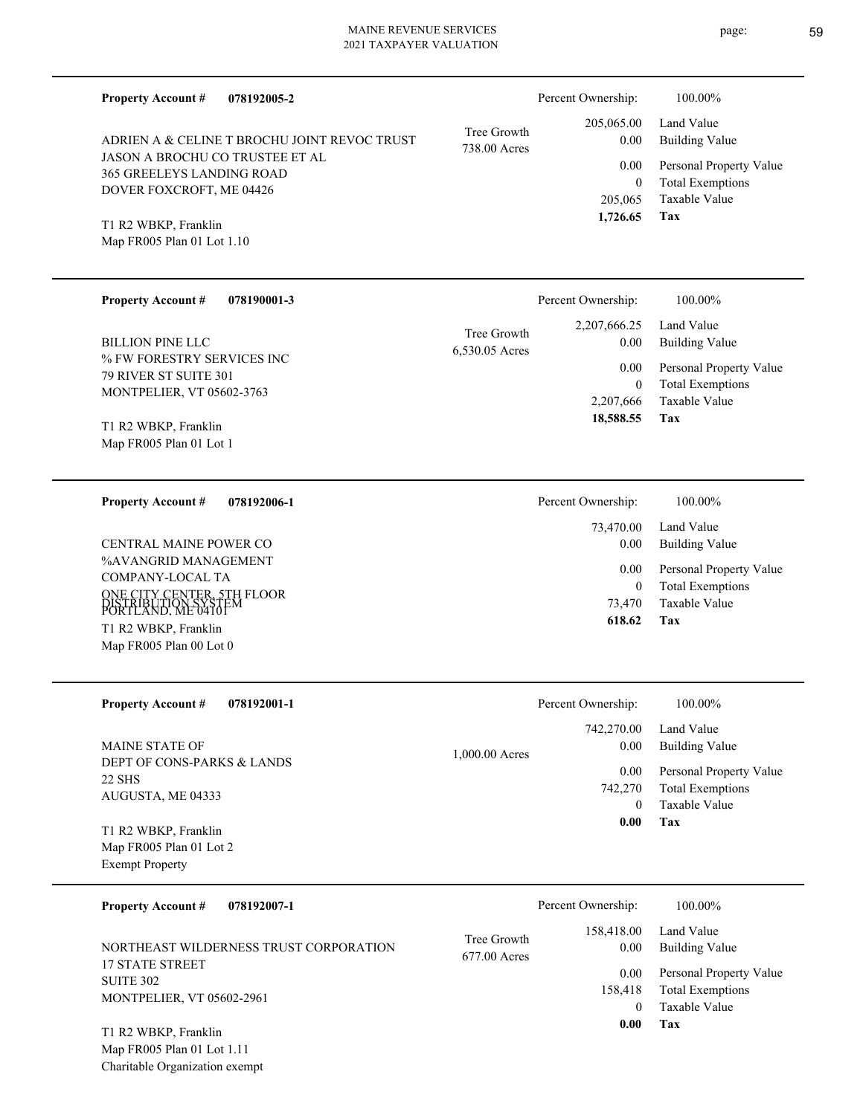| <b>Property Account #</b><br>078192005-2                            |                             | Percent Ownership:        | 100.00%                                            |
|---------------------------------------------------------------------|-----------------------------|---------------------------|----------------------------------------------------|
| ADRIEN A & CELINE T BROCHU JOINT REVOC TRUST                        | Tree Growth<br>738.00 Acres | 205,065.00<br>0.00        | Land Value<br><b>Building Value</b>                |
| JASON A BROCHU CO TRUSTEE ET AL<br><b>365 GREELEYS LANDING ROAD</b> |                             | 0.00                      | Personal Property Value                            |
| DOVER FOXCROFT, ME 04426                                            |                             | $\overline{0}$<br>205,065 | <b>Total Exemptions</b><br>Taxable Value           |
| T1 R2 WBKP, Franklin                                                |                             | 1.726.65                  | Tax                                                |
| Map FR005 Plan 01 Lot 1.10                                          |                             |                           |                                                    |
|                                                                     |                             |                           |                                                    |
| <b>Property Account #</b><br>078190001-3                            |                             | Percent Ownership:        | 100.00%                                            |
| <b>BILLION PINE LLC</b>                                             | Tree Growth                 | 2,207,666.25<br>0.00      | Land Value<br><b>Building Value</b>                |
| % FW FORESTRY SERVICES INC                                          | 6,530.05 Acres              |                           |                                                    |
| 79 RIVER ST SUITE 301                                               |                             | 0.00<br>$\overline{0}$    | Personal Property Value<br><b>Total Exemptions</b> |
| MONTPELIER, VT 05602-3763                                           |                             | 2,207,666                 | Taxable Value                                      |
| T1 R2 WBKP, Franklin                                                |                             | 18,588.55                 | Tax                                                |
| Map FR005 Plan 01 Lot 1                                             |                             |                           |                                                    |
| <b>Property Account #</b><br>078192006-1                            |                             | Percent Ownership:        | 100.00%                                            |
|                                                                     |                             | 73,470.00                 | Land Value                                         |
| CENTRAL MAINE POWER CO                                              |                             | 0.00                      | <b>Building Value</b>                              |
| %AVANGRID MANAGEMENT<br>COMPANY-LOCAL TA                            |                             | 0.00                      | Personal Property Value                            |
| ONE CITY CENTER, 5TH FLOOR                                          |                             | $\overline{0}$<br>73,470  | <b>Total Exemptions</b><br><b>Taxable Value</b>    |
| PORTLAND, ME 0410FM<br>T1 R2 WBKP, Franklin                         |                             | 618.62                    | Tax                                                |
| Map FR005 Plan 00 Lot 0                                             |                             |                           |                                                    |
|                                                                     |                             |                           |                                                    |
| <b>Property Account #</b><br>078192001-1                            |                             | Percent Ownership:        | 100.00%                                            |
| MAINE STATE OF                                                      |                             | 742,270.00<br>0.00        | Land Value<br><b>Building Value</b>                |
| DEPT OF CONS-PARKS & LANDS                                          | 1,000.00 Acres              | 0.00                      | Personal Property Value                            |
| <b>22 SHS</b><br>AUGUSTA, ME 04333                                  |                             | 742,270                   | <b>Total Exemptions</b>                            |
|                                                                     |                             | $\overline{0}$<br>0.00    | <b>Taxable Value</b><br>Tax                        |
| T1 R2 WBKP, Franklin<br>Map FR005 Plan 01 Lot 2                     |                             |                           |                                                    |
| <b>Exempt Property</b>                                              |                             |                           |                                                    |
| 078192007-1<br><b>Property Account #</b>                            |                             | Percent Ownership:        | 100.00%                                            |
|                                                                     | Tree Growth                 | 158,418.00                | Land Value                                         |
| NORTHEAST WILDERNESS TRUST CORPORATION                              | 677.00 Acres                | 0.00                      | <b>Building Value</b>                              |
| <b>17 STATE STREET</b><br><b>SUITE 302</b>                          |                             | 0.00                      | Personal Property Value                            |
| MONTPELIER, VT 05602-2961                                           |                             | 158,418<br>$\overline{0}$ | <b>Total Exemptions</b><br>Taxable Value           |
| T1 R2 WBKP, Franklin                                                |                             | 0.00                      | Tax                                                |
|                                                                     |                             |                           |                                                    |

Map FR005 Plan 01 Lot 1.11 Charitable Organization exempt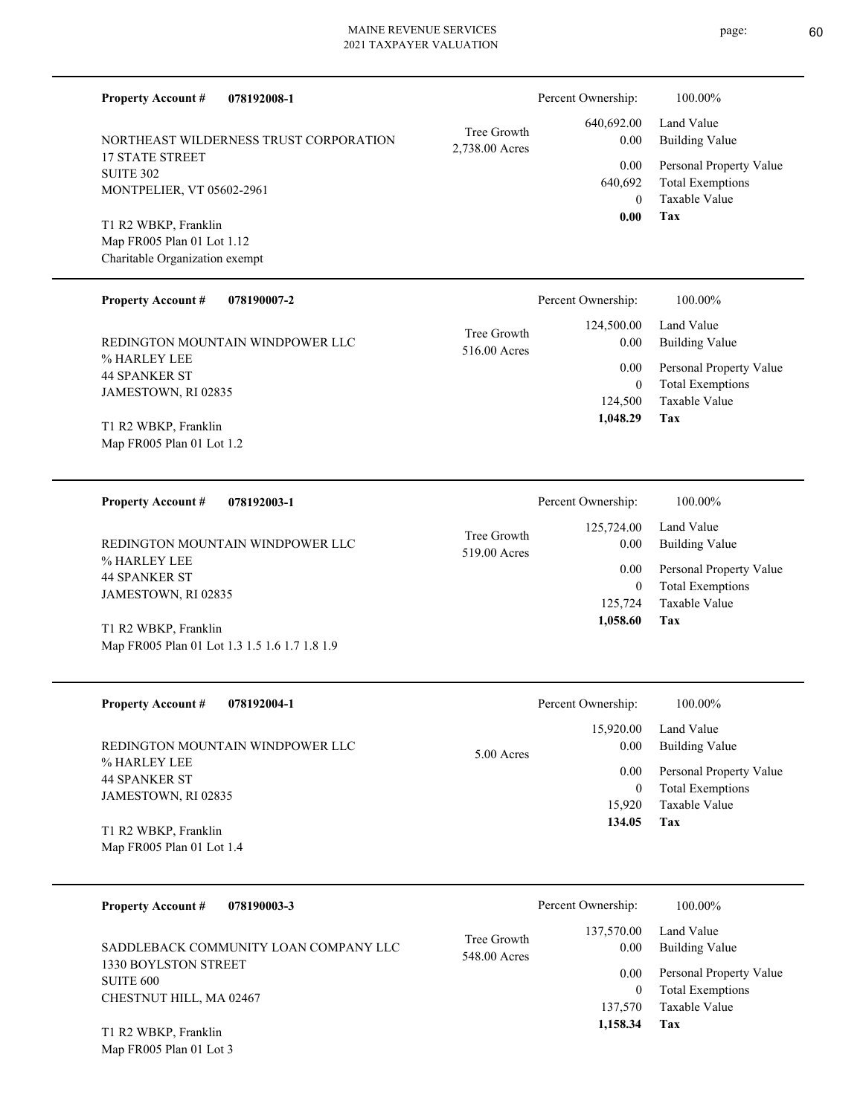| <b>Property Account #</b><br>078192008-1          |                               | Percent Ownership:   | 100.00%                                            |
|---------------------------------------------------|-------------------------------|----------------------|----------------------------------------------------|
| NORTHEAST WILDERNESS TRUST CORPORATION            | Tree Growth<br>2,738.00 Acres | 640,692.00<br>0.00   | Land Value<br><b>Building Value</b>                |
| <b>17 STATE STREET</b><br><b>SUITE 302</b>        |                               | 0.00                 | Personal Property Value                            |
| MONTPELIER, VT 05602-2961                         |                               | 640,692<br>$\theta$  | <b>Total Exemptions</b><br><b>Taxable Value</b>    |
| T1 R2 WBKP, Franklin                              |                               | 0.00                 | Tax                                                |
| Map FR005 Plan 01 Lot 1.12                        |                               |                      |                                                    |
| Charitable Organization exempt                    |                               |                      |                                                    |
|                                                   |                               |                      |                                                    |
| <b>Property Account #</b><br>078190007-2          |                               | Percent Ownership:   | 100.00%                                            |
|                                                   | Tree Growth                   | 124,500.00           | Land Value                                         |
| REDINGTON MOUNTAIN WINDPOWER LLC                  | 516.00 Acres                  | 0.00                 | <b>Building Value</b>                              |
| % HARLEY LEE                                      |                               | 0.00                 | Personal Property Value                            |
| <b>44 SPANKER ST</b><br>JAMESTOWN, RI 02835       |                               | $\overline{0}$       | <b>Total Exemptions</b>                            |
|                                                   |                               | 124,500              | Taxable Value                                      |
| T1 R2 WBKP, Franklin                              |                               | 1,048.29             | Tax                                                |
| Map FR005 Plan 01 Lot 1.2                         |                               |                      |                                                    |
|                                                   |                               |                      |                                                    |
|                                                   |                               |                      |                                                    |
|                                                   |                               |                      |                                                    |
| <b>Property Account #</b><br>078192003-1          |                               | Percent Ownership:   | 100.00%                                            |
|                                                   |                               | 125,724.00           | Land Value                                         |
| REDINGTON MOUNTAIN WINDPOWER LLC                  | Tree Growth                   | 0.00                 | <b>Building Value</b>                              |
| % HARLEY LEE                                      | 519.00 Acres                  |                      |                                                    |
| <b>44 SPANKER ST</b>                              |                               | 0.00<br>$\mathbf{0}$ | Personal Property Value<br><b>Total Exemptions</b> |
| JAMESTOWN, RI 02835                               |                               | 125,724              | <b>Taxable Value</b>                               |
|                                                   |                               | 1,058.60             | Tax                                                |
| T1 R2 WBKP, Franklin                              |                               |                      |                                                    |
| Map FR005 Plan 01 Lot 1.3 1.5 1.6 1.7 1.8 1.9     |                               |                      |                                                    |
|                                                   |                               |                      |                                                    |
| <b>Property Account #</b><br>078192004-1          |                               | Percent Ownership:   | 100.00%                                            |
|                                                   |                               | 15,920.00            | Land Value                                         |
| REDINGTON MOUNTAIN WINDPOWER LLC                  | 5.00 Acres                    | 0.00                 | <b>Building Value</b>                              |
| % HARLEY LEE                                      |                               | 0.00                 | Personal Property Value                            |
| <b>44 SPANKER ST</b>                              |                               | $\mathbf{0}$         | <b>Total Exemptions</b>                            |
| JAMESTOWN, RI 02835                               |                               | 15,920               | Taxable Value                                      |
|                                                   |                               | 134.05               | Tax                                                |
| T1 R2 WBKP, Franklin<br>Map FR005 Plan 01 Lot 1.4 |                               |                      |                                                    |
|                                                   |                               |                      |                                                    |

| 078190003-3<br><b>Property Account #</b>                      | Percent Ownership:                                | 100.00%                      |
|---------------------------------------------------------------|---------------------------------------------------|------------------------------|
| SADDLEBACK COMMUNITY LOAN COMPANY LLC<br>1330 BOYLSTON STREET | 137,570.00<br>Tree Growth<br>0.00<br>548.00 Acres | Land Value<br>Building Value |
| SUITE 600                                                     | 0.00                                              | Personal Property Value      |
| CHESTNUT HILL, MA 02467                                       |                                                   | <b>Total Exemptions</b>      |
|                                                               | 137,570                                           | Taxable Value                |
| T1 R2 WBKP, Franklin                                          | 1,158.34                                          | Tax                          |

Map FR005 Plan 01 Lot 3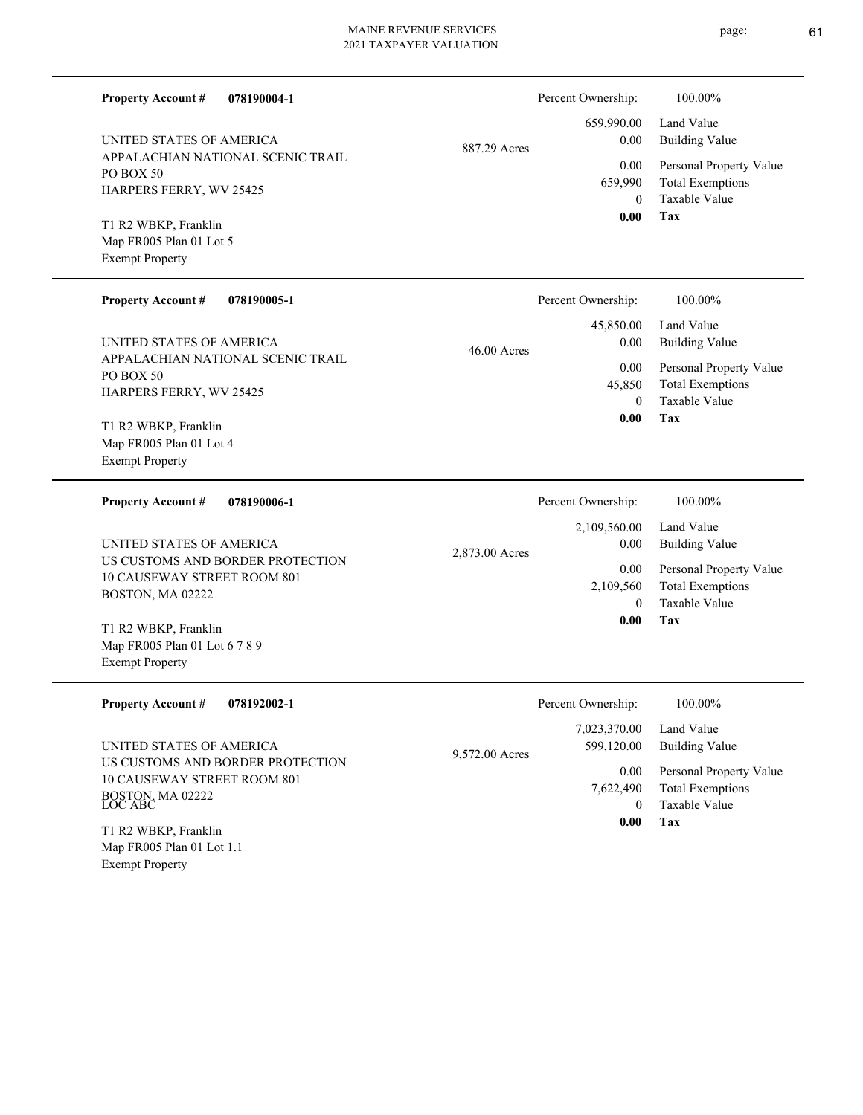page: 61

| <b>Property Account #</b><br>078190004-1                                                       |                | Percent Ownership:                | 100.00%                                                                    |
|------------------------------------------------------------------------------------------------|----------------|-----------------------------------|----------------------------------------------------------------------------|
| UNITED STATES OF AMERICA                                                                       | 887.29 Acres   | 659,990.00<br>0.00                | Land Value<br><b>Building Value</b>                                        |
| APPALACHIAN NATIONAL SCENIC TRAIL<br>PO BOX 50<br>HARPERS FERRY, WV 25425                      |                | 0.00<br>659,990<br>$\mathbf{0}$   | Personal Property Value<br><b>Total Exemptions</b><br><b>Taxable Value</b> |
| T1 R2 WBKP, Franklin<br>Map FR005 Plan 01 Lot 5<br><b>Exempt Property</b>                      |                | 0.00                              | Tax                                                                        |
| <b>Property Account #</b><br>078190005-1                                                       |                | Percent Ownership:                | 100.00%                                                                    |
| UNITED STATES OF AMERICA                                                                       | 46.00 Acres    | 45,850.00<br>0.00                 | Land Value<br><b>Building Value</b>                                        |
| APPALACHIAN NATIONAL SCENIC TRAIL<br>PO BOX 50<br>HARPERS FERRY, WV 25425                      |                | 0.00<br>45,850<br>$\theta$        | Personal Property Value<br><b>Total Exemptions</b><br><b>Taxable Value</b> |
| T1 R2 WBKP, Franklin<br>Map FR005 Plan 01 Lot 4<br><b>Exempt Property</b>                      |                | 0.00                              | Tax                                                                        |
| <b>Property Account #</b><br>078190006-1                                                       |                | Percent Ownership:                | 100.00%                                                                    |
|                                                                                                |                | 2,109,560.00                      | Land Value                                                                 |
| UNITED STATES OF AMERICA                                                                       |                | 0.00                              | <b>Building Value</b>                                                      |
| US CUSTOMS AND BORDER PROTECTION<br>10 CAUSEWAY STREET ROOM 801<br>BOSTON, MA 02222            | 2,873.00 Acres | 0.00<br>2,109,560<br>$\theta$     | Personal Property Value<br><b>Total Exemptions</b><br>Taxable Value        |
| T1 R2 WBKP, Franklin<br>Map FR005 Plan 01 Lot 6 7 8 9<br><b>Exempt Property</b>                |                | 0.00                              | <b>Tax</b>                                                                 |
| <b>Property Account #</b><br>078192002-1                                                       |                | Percent Ownership:                | 100.00%                                                                    |
| UNITED STATES OF AMERICA                                                                       | 9,572.00 Acres | 7,023,370.00<br>599,120.00        | Land Value<br><b>Building Value</b>                                        |
| US CUSTOMS AND BORDER PROTECTION<br>10 CAUSEWAY STREET ROOM 801<br>BOSTON, MA 02222<br>LOC ABC |                | 0.00<br>7,622,490<br>$\mathbf{0}$ | Personal Property Value<br><b>Total Exemptions</b><br>Taxable Value        |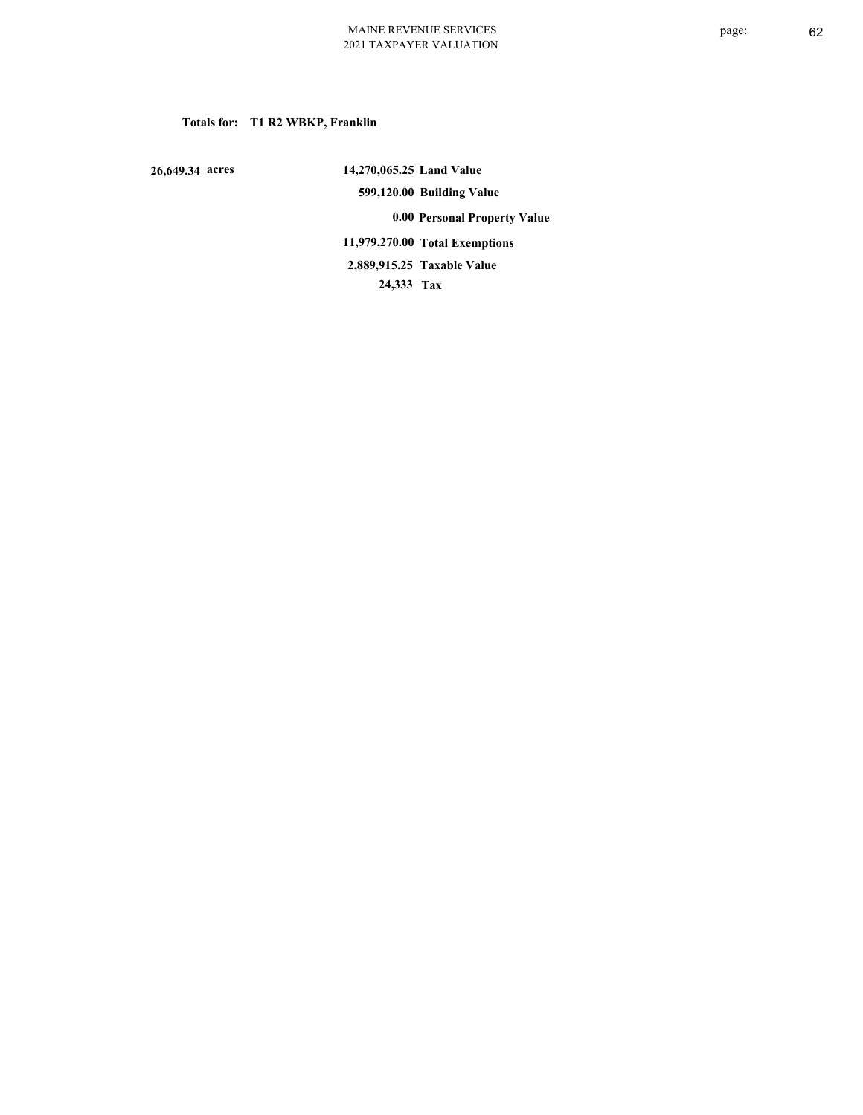### **Totals for: T1 R2 WBKP, Franklin**

 **26,649.34 acres**

 **14,270,065.25 Land Value 599,120.00 Building Value 0.00 Personal Property Value 11,979,270.00 Total Exemptions 24,333 Tax Taxable Value 2,889,915.25**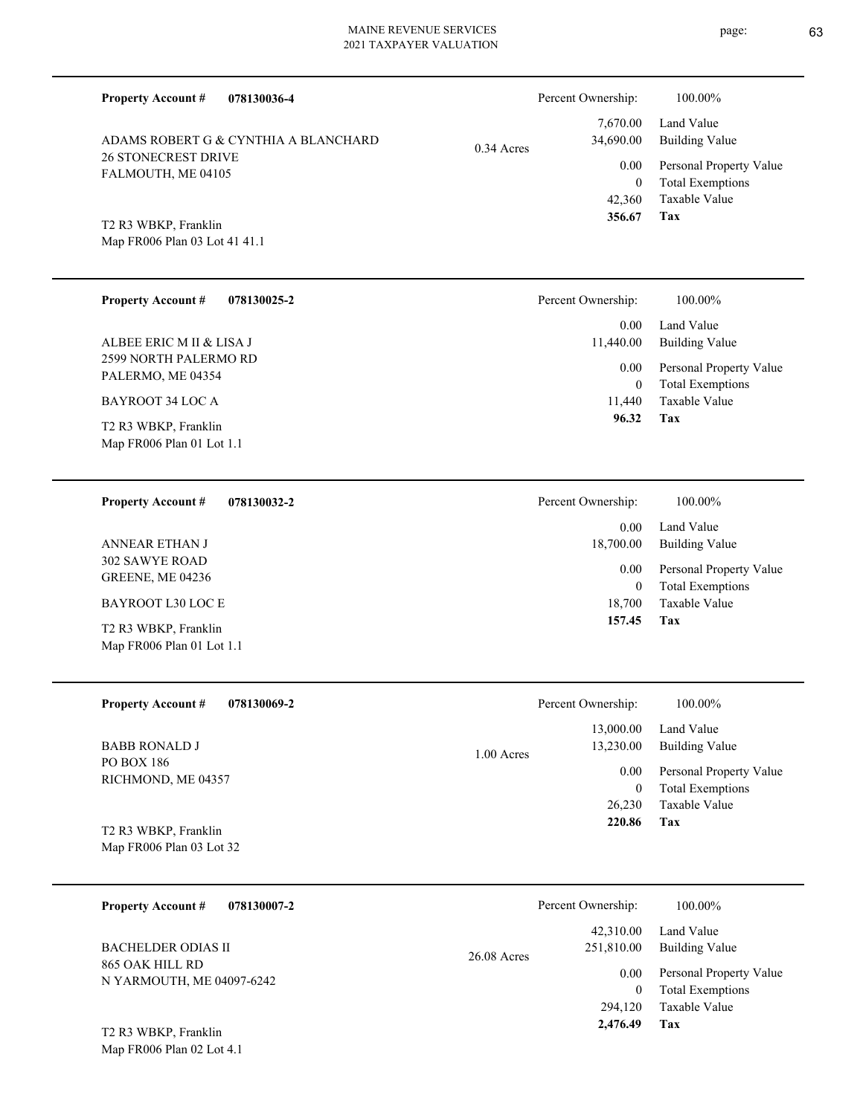**078130036-4 Tax** Taxable Value Total Exemptions Personal Property Value Building Value Land Value 26 STONECREST DRIVE FALMOUTH, ME 04105 **Property Account #** Map FR006 Plan 03 Lot 41 41.1 T2 R3 WBKP, Franklin ADAMS ROBERT G & CYNTHIA A BLANCHARD 42,360 0  **356.67** 7,670.00 34,690.00 0.00 0.34 Acres Percent Ownership:  $100.00\%$ **078130025-2 Tax** 2599 NORTH PALERMO RD PALERMO, ME 04354 **Property Account #** Map FR006 Plan 01 Lot 1.1 T2 R3 WBKP, Franklin BAYROOT 34 LOC A ALBEE ERIC M II & LISA J 11,440 0  **96.32** 0.00 11,440.00 0.00 Percent Ownership:  $100.00\%$ **078130032-2 Tax** 302 SAWYE ROAD GREENE, ME 04236 **Property Account #** Map FR006 Plan 01 Lot 1.1 T2 R3 WBKP, Franklin BAYROOT L30 LOC E ANNEAR ETHAN J 18,700  $\Omega$  **157.45** 0.00 18,700.00 0.00 **078130069-2 Tax** PO BOX 186 RICHMOND, ME 04357 **Property Account #** Map FR006 Plan 03 Lot 32 T2 R3 WBKP, Franklin BABB RONALD J 26,230 0  **220.86** 13,000.00 13,230.00 0.00 1.00 Acres **078130007-2** 865 OAK HILL RD N YARMOUTH, ME 04097-6242 **Property Account #** BACHELDER ODIAS II 42,310.00 251,810.00 0.00 26.08 Acres

Taxable Value Total Exemptions Personal Property Value Building Value Land Value Taxable Value Total Exemptions Personal Property Value Building Value Land Value Percent Ownership:  $100.00\%$ Taxable Value Total Exemptions Personal Property Value Building Value Land Value Percent Ownership:  $100.00\%$ Total Exemptions Personal Property Value Building Value Land Value 0 Percent Ownership:  $100.00\%$ 

**Tax**

294,120

 **2,476.49**

Taxable Value

Map FR006 Plan 02 Lot 4.1 T2 R3 WBKP, Franklin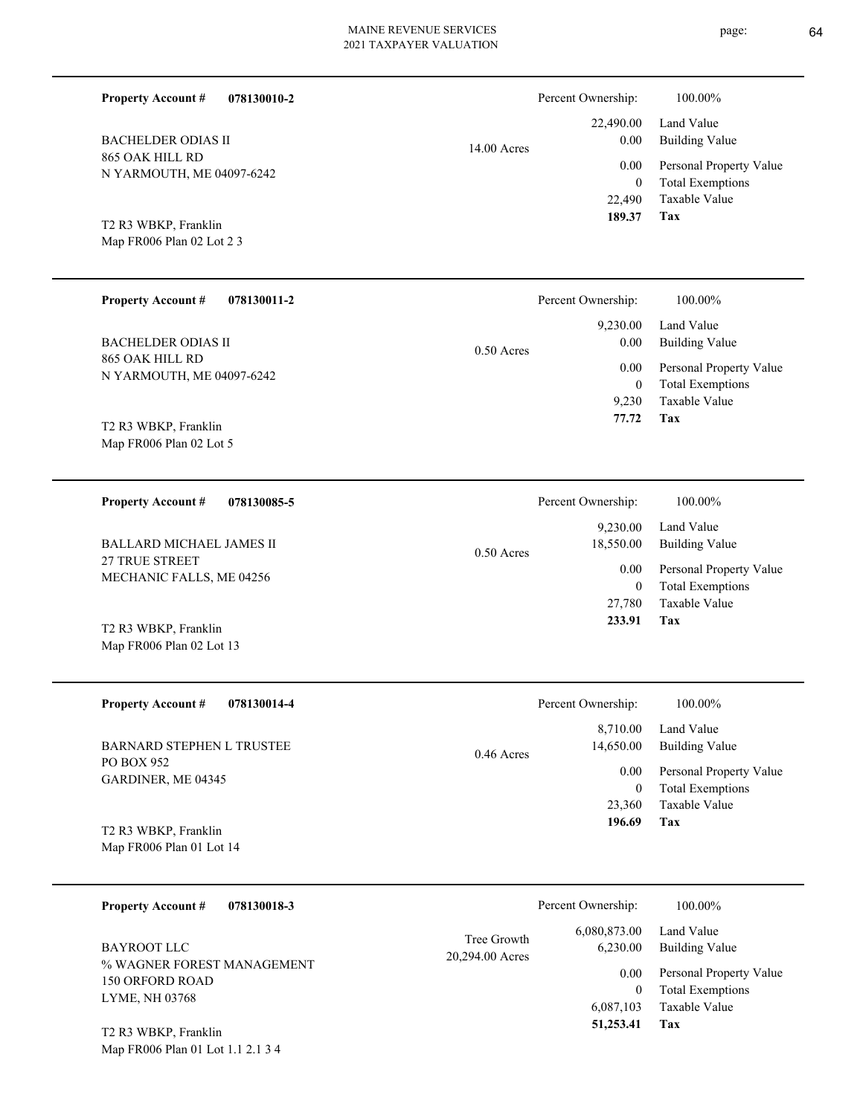|               | 100.00%                                   |
|---------------|-------------------------------------------|
|               | Land Value                                |
| $14.00$ Acres | Building Va<br>0.00                       |
|               | Personal Pro<br>0.00                      |
|               | Total Exemp<br>$\theta$                   |
|               | Taxable Val                               |
|               | Percent Ownership:<br>22,490.00<br>22,490 |

Map FR006 Plan 02 Lot 2 3 T2 R3 WBKP, Franklin

|       | T CICCIII OWIICISHIP. | 100.0070                     |
|-------|-----------------------|------------------------------|
|       |                       | 22,490.00 Land Value         |
| Acres | 0.00                  | Building Value               |
|       |                       | 0.00 Personal Property Value |
|       | $\Omega$              | <b>Total Exemptions</b>      |
|       |                       | 22,490 Taxable Value         |
|       | 189.37 Tax            |                              |

| <b>Property Account #</b><br>078130011-2     | Percent Ownership:               | 100.00%                                            |
|----------------------------------------------|----------------------------------|----------------------------------------------------|
| <b>BACHELDER ODIAS II</b>                    | 9,230.00<br>0.00<br>$0.50$ Acres | Land Value<br>Building Value                       |
| 865 OAK HILL RD<br>N YARMOUTH, ME 04097-6242 | 0.00<br>0                        | Personal Property Value<br><b>Total Exemptions</b> |
| T2 R3 WBKP, Franklin                         | 9.230<br>77.72                   | Taxable Value<br>Tax                               |

Map FR006 Plan 02 Lot 5

**078130085-5 Tax** Taxable Value Total Exemptions Personal Property Value Building Value Land Value 27 TRUE STREET MECHANIC FALLS, ME 04256 **Property Account #** T2 R3 WBKP, Franklin BALLARD MICHAEL JAMES II 27,780 0  **233.91** 9,230.00 18,550.00 0.00 0.50 Acres Percent Ownership:  $100.00\%$ 

| <b>Property Account #</b><br>078130014-4 | Percent Ownership:                    | 100.00%                                  |
|------------------------------------------|---------------------------------------|------------------------------------------|
| BARNARD STEPHEN L TRUSTEE<br>PO BOX 952  | 8,710.00<br>14,650.00<br>$0.46$ Acres | Land Value<br>Building Value             |
| GARDINER, ME 04345                       | 0.00                                  | Personal Property Value                  |
|                                          | 0<br>23,360                           | <b>Total Exemptions</b><br>Taxable Value |
| T2 R3 WBKP, Franklin                     | 196.69                                | Tax                                      |

Map FR006 Plan 01 Lot 14

Map FR006 Plan 01 Lot 1.1 2.1 3 4

Map FR006 Plan 02 Lot 13

| 078130018-3<br><b>Property Account #</b>                               | Percent Ownership:                                         | 100.00%                                            |
|------------------------------------------------------------------------|------------------------------------------------------------|----------------------------------------------------|
| BAYROOT LLC                                                            | 6,080,873.00<br>Tree Growth<br>6.230.00<br>20,294.00 Acres | Land Value<br>Building Value                       |
| % WAGNER FOREST MANAGEMENT<br><b>150 ORFORD ROAD</b><br>LYME, NH 03768 | 0.00                                                       | Personal Property Value<br><b>Total Exemptions</b> |
| T <sub>2</sub> R <sub>3</sub> WBKP, Franklin                           | 6,087,103<br>51,253.41                                     | Taxable Value<br>Tax                               |

page: 64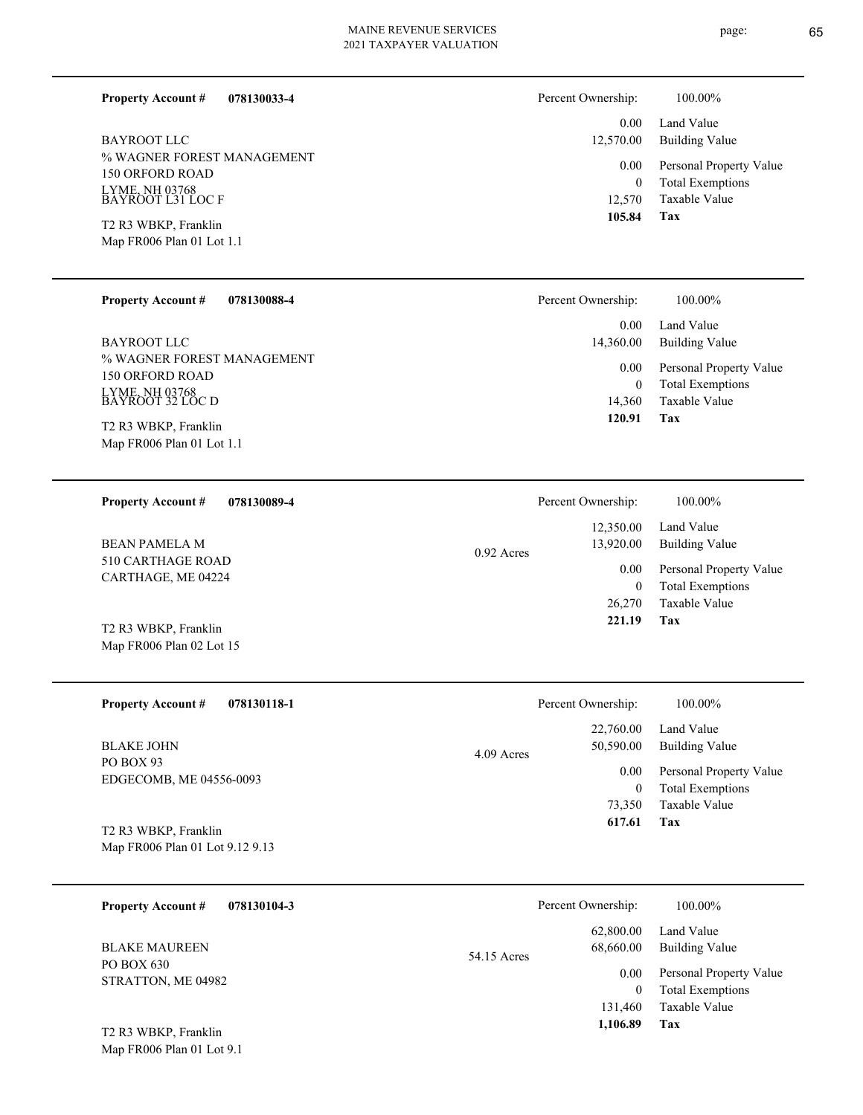**078130033-4**

% WAGNER FOREST MANAGEMENT 150 ORFORD ROAD LYME, NH 03768 BAYROOT L31 LOC F BAYROOT LLC

Map FR006 Plan 01 Lot 1.1 T2 R3 WBKP, Franklin

**Property Account #**

#### **078130088-4 Property Account #**

% WAGNER FOREST MANAGEMENT 150 ORFORD ROAD LYME, NH 03768 BAYROOT 32 LOC D BAYROOT LLC

Map FR006 Plan 01 Lot 1.1 T2 R3 WBKP, Franklin

**078130089-4 Property Account #**

510 CARTHAGE ROAD CARTHAGE, ME 04224 BEAN PAMELA M

Map FR006 Plan 02 Lot 15 T2 R3 WBKP, Franklin

**078130118-1 Property Account #**

PO BOX 93 EDGECOMB, ME 04556-0093 BLAKE JOHN

Map FR006 Plan 01 Lot 9.12 9.13 T2 R3 WBKP, Franklin

Map FR006 Plan 01 Lot 9.1

| 078130104-3<br><b>Property Account #</b> | Percent Ownership:                    | 100.00%                                            |
|------------------------------------------|---------------------------------------|----------------------------------------------------|
| <b>BLAKE MAUREEN</b>                     | 62,800.00<br>68,660.00<br>54.15 Acres | Land Value<br><b>Building Value</b>                |
| PO BOX 630<br>STRATTON, ME 04982         | 0.00<br>$\mathbf{0}$                  | Personal Property Value<br><b>Total Exemptions</b> |
|                                          | 131.460                               | Taxable Value                                      |
| T2 R3 WBKP, Franklin                     | 1,106.89                              | Tax                                                |

0.92 Acres

**Tax** Taxable Value Total Exemptions Personal Property Value Building Value Land Value 12,570 0  **105.84** 0.00 12,570.00 0.00

Percent Ownership: 100.00%

| Percent Ownership: | 100.00%                                            |
|--------------------|----------------------------------------------------|
| 0.00<br>14,360.00  | Land Value<br>Building Value                       |
| 0.00<br>0          | Personal Property Value<br><b>Total Exemptions</b> |
| 14,360             | Taxable Value                                      |
| 120.91             | Tax                                                |

| Percent Ownership: | 100.00%                 |
|--------------------|-------------------------|
| 12,350.00          | Land Value              |
| 13,920.00          | Building Value          |
| 0.00               | Personal Property Value |
| 0                  | <b>Total Exemptions</b> |
| 26,270             | Taxable Value           |
| 221.19             | Tax                     |
|                    |                         |

|            | Percent Ownership: | 100.00%                 |
|------------|--------------------|-------------------------|
| 4.09 Acres |                    | $22,760.00$ Land Value  |
|            | 50,590.00          | <b>Building Value</b>   |
|            | 0.00               | Personal Property Value |
|            | $\theta$           | <b>Total Exemptions</b> |
|            | 73,350             | Taxable Value           |
|            | 617.61             | Tax                     |
|            |                    |                         |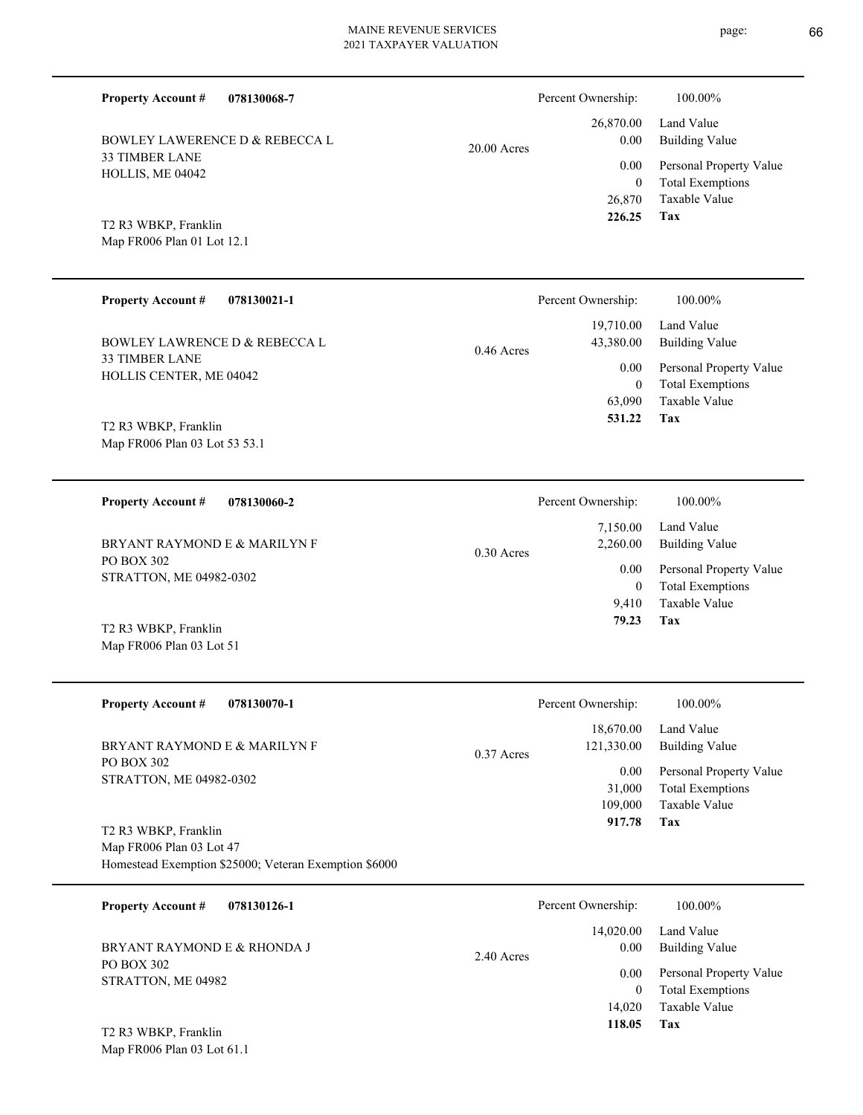| <b>Property Account #</b><br>078130068-7              |              | Percent Ownership:      | 100.00%                                  |
|-------------------------------------------------------|--------------|-------------------------|------------------------------------------|
| <b>BOWLEY LAWERENCE D &amp; REBECCA L</b>             | 20.00 Acres  | 26,870.00<br>0.00       | Land Value<br><b>Building Value</b>      |
| 33 TIMBER LANE<br>HOLLIS, ME 04042                    |              | 0.00                    | Personal Property Value                  |
|                                                       |              | $\mathbf{0}$<br>26,870  | <b>Total Exemptions</b><br>Taxable Value |
| T2 R3 WBKP, Franklin                                  |              | 226.25                  | <b>Tax</b>                               |
| Map FR006 Plan 01 Lot 12.1                            |              |                         |                                          |
| <b>Property Account #</b><br>078130021-1              |              | Percent Ownership:      | 100.00%                                  |
|                                                       |              | 19,710.00               | Land Value                               |
| <b>BOWLEY LAWRENCE D &amp; REBECCA L</b>              | $0.46$ Acres | 43,380.00               | <b>Building Value</b>                    |
| 33 TIMBER LANE<br>HOLLIS CENTER, ME 04042             |              | 0.00                    | Personal Property Value                  |
|                                                       |              | $\mathbf{0}$<br>63,090  | <b>Total Exemptions</b><br>Taxable Value |
| T2 R3 WBKP, Franklin                                  |              | 531.22                  | Tax                                      |
| Map FR006 Plan 03 Lot 53 53.1                         |              |                         |                                          |
|                                                       |              |                         |                                          |
| <b>Property Account #</b><br>078130060-2              |              | Percent Ownership:      | 100.00%                                  |
| BRYANT RAYMOND E & MARILYN F                          | $0.30$ Acres | 7,150.00<br>2,260.00    | Land Value<br><b>Building Value</b>      |
| PO BOX 302<br>STRATTON, ME 04982-0302                 |              | 0.00                    | Personal Property Value                  |
|                                                       |              | $\mathbf{0}$<br>9,410   | <b>Total Exemptions</b><br>Taxable Value |
| T2 R3 WBKP, Franklin                                  |              | 79.23                   | Tax                                      |
| Map FR006 Plan 03 Lot 51                              |              |                         |                                          |
|                                                       |              |                         |                                          |
| <b>Property Account #</b><br>078130070-1              |              | Percent Ownership:      | 100.00%                                  |
| BRYANT RAYMOND E & MARILYN F                          |              | 18,670.00<br>121,330.00 | Land Value<br><b>Building Value</b>      |
| PO BOX 302                                            | 0.37 Acres   | 0.00                    | Personal Property Value                  |
| STRATTON, ME 04982-0302                               |              | 31,000                  | <b>Total Exemptions</b>                  |
|                                                       |              | 109,000<br>917.78       | Taxable Value<br><b>Tax</b>              |
| T2 R3 WBKP, Franklin<br>Map FR006 Plan 03 Lot 47      |              |                         |                                          |
| Homestead Exemption \$25000; Veteran Exemption \$6000 |              |                         |                                          |
| <b>Property Account #</b><br>078130126-1              |              | Percent Ownership:      | 100.00%                                  |
|                                                       |              | 14,020.00               | Land Value                               |
| BRYANT RAYMOND E & RHONDA J                           |              | $0.00\,$                | <b>Building Value</b>                    |

PO BOX 302 STRATTON, ME 04982 BRYANT RAYMOND E & RHONDA J

Map FR006 Plan 03 Lot 61.1 T2 R3 WBKP, Franklin

**Tax 118.05**

0.00

 14,020  $\boldsymbol{0}$ 

2.40 Acres

Taxable Value Total Exemptions Personal Property Value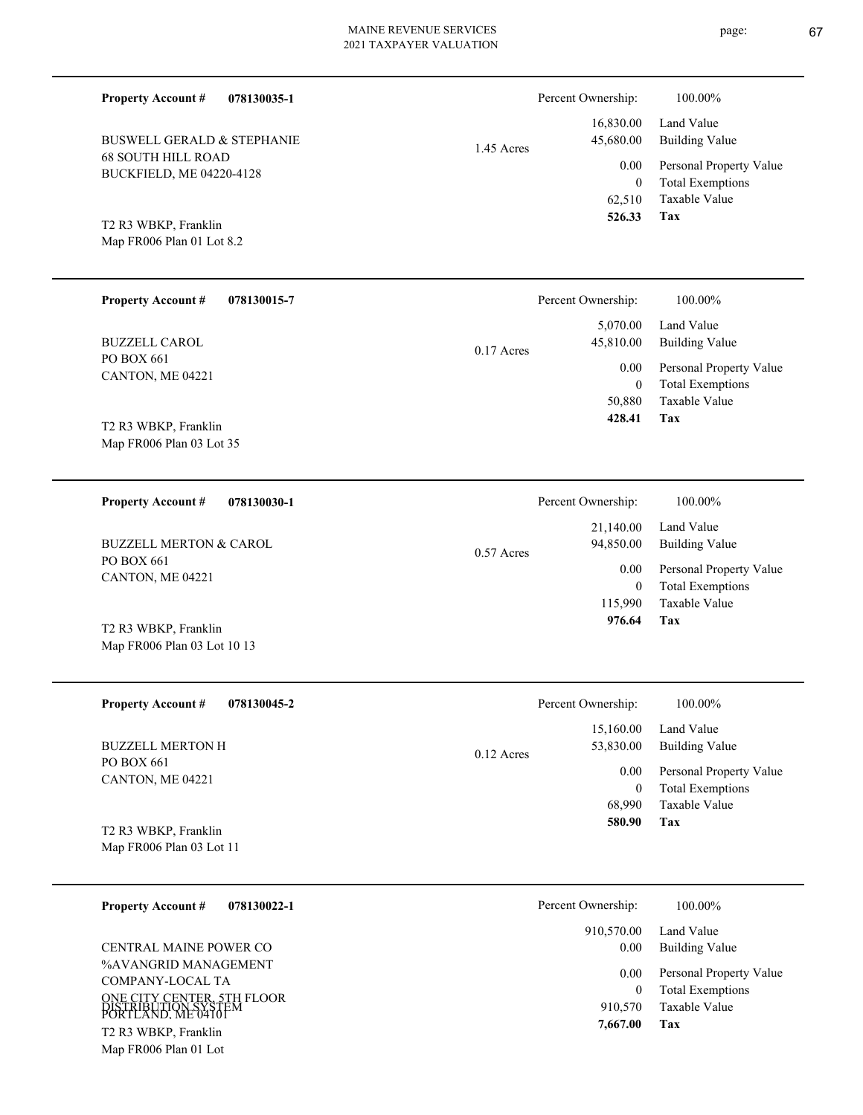| page: | 67 |
|-------|----|
|       |    |

| <b>Property Account #</b><br>078130035-1                                |              | Percent Ownership:          | 100.00%                                            |
|-------------------------------------------------------------------------|--------------|-----------------------------|----------------------------------------------------|
| <b>BUSWELL GERALD &amp; STEPHANIE</b>                                   | 1.45 Acres   | 16,830.00<br>45,680.00      | Land Value<br><b>Building Value</b>                |
| <b>68 SOUTH HILL ROAD</b><br>BUCKFIELD, ME 04220-4128                   |              | 0.00<br>$\overline{0}$      | Personal Property Value<br><b>Total Exemptions</b> |
| T2 R3 WBKP, Franklin                                                    |              | 62,510<br>526.33            | Taxable Value<br>Tax                               |
| Map FR006 Plan 01 Lot 8.2                                               |              |                             |                                                    |
| <b>Property Account #</b><br>078130015-7                                |              | Percent Ownership:          | 100.00%                                            |
| <b>BUZZELL CAROL</b>                                                    | $0.17$ Acres | 5,070.00<br>45,810.00       | Land Value<br><b>Building Value</b>                |
| PO BOX 661<br>CANTON, ME 04221                                          |              | 0.00<br>$\overline{0}$      | Personal Property Value<br><b>Total Exemptions</b> |
|                                                                         |              | 50,880<br>428.41            | Taxable Value<br><b>Tax</b>                        |
| T2 R3 WBKP, Franklin<br>Map FR006 Plan 03 Lot 35                        |              |                             |                                                    |
|                                                                         |              |                             |                                                    |
| <b>Property Account #</b><br>078130030-1                                |              | Percent Ownership:          | 100.00%                                            |
| <b>BUZZELL MERTON &amp; CAROL</b>                                       | $0.57$ Acres | 21,140.00<br>94,850.00      | Land Value<br><b>Building Value</b>                |
| PO BOX 661<br>CANTON, ME 04221                                          |              | 0.00<br>$\theta$            | Personal Property Value<br><b>Total Exemptions</b> |
|                                                                         |              | 115,990<br>976.64           | <b>Taxable Value</b><br>Tax                        |
| T2 R3 WBKP, Franklin<br>Map FR006 Plan 03 Lot 10 13                     |              |                             |                                                    |
|                                                                         |              |                             |                                                    |
| <b>Property Account #</b><br>078130045-2                                |              | Percent Ownership:          | 100.00%                                            |
| <b>BUZZELL MERTON H</b>                                                 | 0.12 Acres   | 15,160.00<br>53,830.00      | Land Value<br><b>Building Value</b>                |
| PO BOX 661<br>CANTON, ME 04221                                          |              | 0.00<br>$\boldsymbol{0}$    | Personal Property Value<br><b>Total Exemptions</b> |
|                                                                         |              | 68,990                      | Taxable Value                                      |
| T2 R3 WBKP, Franklin<br>Map FR006 Plan 03 Lot 11                        |              | 580.90                      | Tax                                                |
|                                                                         |              |                             |                                                    |
| <b>Property Account #</b><br>078130022-1                                |              | Percent Ownership:          | 100.00%                                            |
| CENTRAL MAINE POWER CO                                                  |              | 910,570.00<br>0.00          | Land Value<br><b>Building Value</b>                |
| %AVANGRID MANAGEMENT<br>COMPANY-LOCAL TA                                |              | 0.00                        | Personal Property Value                            |
| ONE CITY CENTER, 5TH FLOOR<br>DISTRIBUTION SYSTEM<br>PORTLAND. ME 04101 |              | $\boldsymbol{0}$<br>910,570 | <b>Total Exemptions</b><br>Taxable Value           |
| T2 R3 WBKP, Franklin                                                    |              | 7,667.00                    | Tax                                                |

Map FR006 Plan 01 Lot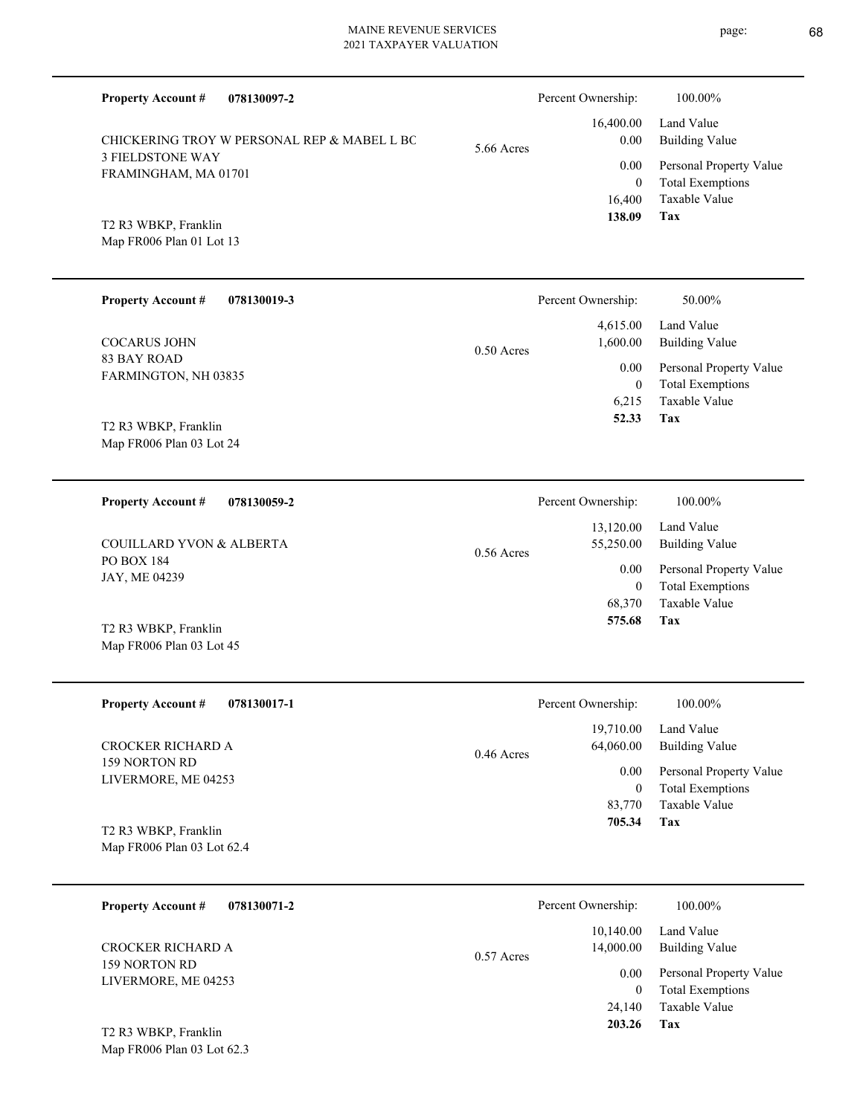| <b>Property Account #</b><br>078130097-2           |              | Percent Ownership:                   | 100.00%                                                             |
|----------------------------------------------------|--------------|--------------------------------------|---------------------------------------------------------------------|
| CHICKERING TROY W PERSONAL REP & MABEL L BO        | 5.66 Acres   | 16,400.00<br>0.00                    | Land Value<br><b>Building Value</b>                                 |
| <b>3 FIELDSTONE WAY</b><br>FRAMINGHAM, MA 01701    |              | 0.00<br>$\overline{0}$               | Personal Property Value<br><b>Total Exemptions</b>                  |
| T2 R3 WBKP, Franklin<br>Map FR006 Plan 01 Lot 13   |              | 16,400<br>138.09                     | Taxable Value<br>Tax                                                |
| <b>Property Account #</b><br>078130019-3           |              | Percent Ownership:                   | 50.00%                                                              |
| <b>COCARUS JOHN</b>                                | $0.50$ Acres | 4,615.00<br>1,600.00                 | Land Value<br><b>Building Value</b>                                 |
| <b>83 BAY ROAD</b><br>FARMINGTON, NH 03835         |              | 0.00<br>$\mathbf{0}$                 | Personal Property Value<br><b>Total Exemptions</b>                  |
| T2 R3 WBKP, Franklin<br>Map FR006 Plan 03 Lot 24   |              | 6,215<br>52.33                       | Taxable Value<br>Tax                                                |
| Property Account #<br>078130059-2                  |              | Percent Ownership:                   | 100.00%                                                             |
| COUILLARD YVON & ALBERTA                           | $0.56$ Acres | 13,120.00<br>55,250.00               | Land Value<br><b>Building Value</b>                                 |
| <b>PO BOX 184</b><br>JAY, ME 04239                 |              | 0.00<br>$\overline{0}$               | Personal Property Value<br><b>Total Exemptions</b>                  |
| T2 R3 WBKP, Franklin<br>Map FR006 Plan 03 Lot 45   |              | 68,370<br>575.68                     | Taxable Value<br>Tax                                                |
| <b>Property Account #</b><br>078130017-1           |              | Percent Ownership:                   | 100.00%                                                             |
| CROCKER RICHARD A                                  | 0.46 Acres   | 19,710.00<br>64,060.00               | Land Value<br><b>Building Value</b>                                 |
| 159 NORTON RD<br>LIVERMORE, ME 04253               |              | $0.00\,$<br>$\mathbf{0}$<br>83,770   | Personal Property Value<br><b>Total Exemptions</b><br>Taxable Value |
| T2 R3 WBKP, Franklin<br>Map FR006 Plan 03 Lot 62.4 |              | 705.34                               | Tax                                                                 |
| <b>Property Account #</b><br>078130071-2           |              | Percent Ownership:                   | 100.00%                                                             |
| CROCKER RICHARD A                                  | $0.57$ Acres | 10,140.00<br>14,000.00               | Land Value<br><b>Building Value</b>                                 |
| 159 NORTON RD<br>LIVERMORE, ME 04253               |              | $0.00\,$<br>$\overline{0}$<br>24,140 | Personal Property Value<br><b>Total Exemptions</b><br>Taxable Value |
| T2 R3 WBKP, Franklin                               |              | 203.26                               | Tax                                                                 |

Map FR006 Plan 03 Lot 62.3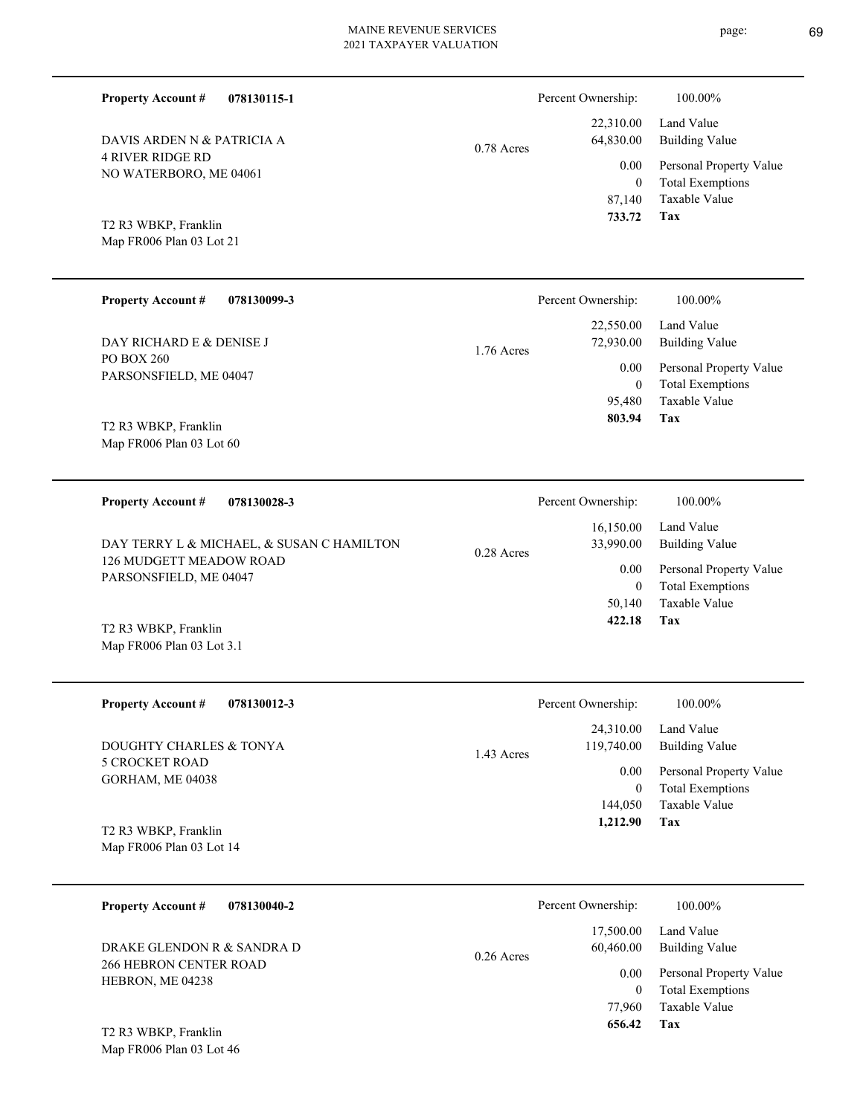0.78 Acres

**078130115-1**

4 RIVER RIDGE RD NO WATERBORO, ME 04061 DAVIS ARDEN N & PATRICIA A

Map FR006 Plan 03 Lot 21 T2 R3 WBKP, Franklin

**Property Account #**

| <b>Property Account #</b><br>078130099-3 | Percent Ownership:        | 100.00%                 |
|------------------------------------------|---------------------------|-------------------------|
|                                          | 22,550.00                 | Land Value              |
| DAY RICHARD E & DENISE J                 | 72,930.00<br>$1.76$ Acres | <b>Building Value</b>   |
| PO BOX 260                               | 0.00                      | Personal Property Value |
| PARSONSFIELD, ME 04047                   | $\mathbf{0}$              | <b>Total Exemptions</b> |
|                                          | 95.480                    | Taxable Value           |
| T2 R3 WBKP, Franklin                     | 803.94                    | Tax                     |
| Map FR006 Plan 03 Lot 60                 |                           |                         |

| 078130028-3<br><b>Property Account #</b>                                                                                | Percent Ownership:                     | 100.00%                      |
|-------------------------------------------------------------------------------------------------------------------------|----------------------------------------|------------------------------|
| DAY TERRY L & MICHAEL, & SUSAN C HAMILTON                                                                               | 16.150.00<br>33,990.00<br>$0.28$ Acres | Land Value<br>Building Value |
| 126 MUDGETT MEADOW ROAD<br>PARSONSFIELD, ME 04047                                                                       | 0.00                                   | Personal Property Value      |
|                                                                                                                         | 0                                      | Total Exemptions             |
|                                                                                                                         | 50,140                                 | Taxable Value                |
| $\pi$ <sup>2</sup> $\pi$ <sup>2</sup> $\pi$ <sup>2</sup> $\pi$ $\pi$ <sup>2</sup> $\pi$ <sup>2</sup> $\pi$ <sup>2</sup> | 422.18                                 | Tax                          |

Map FR006 Plan 03 Lot 3.1 T2 R3 WBKP, Franklin

| <b>Property Account #</b><br>078130012-3         | Percent Ownership:                    | 100.00%                                            |
|--------------------------------------------------|---------------------------------------|----------------------------------------------------|
| DOUGHTY CHARLES & TONYA                          | 24,310.00<br>119,740.00<br>1.43 Acres | Land Value<br><b>Building Value</b>                |
| 5 CROCKET ROAD<br>GORHAM, ME 04038               | 0.00<br>0                             | Personal Property Value<br><b>Total Exemptions</b> |
|                                                  | 144,050<br>1,212.90                   | Taxable Value<br>Tax                               |
| T2 R3 WBKP, Franklin<br>Map FR006 Plan 03 Lot 14 |                                       |                                                    |

| 078130040-2<br><b>Property Account #</b>              | Percent Ownership:                     | 100.00%                                                        |
|-------------------------------------------------------|----------------------------------------|----------------------------------------------------------------|
| DRAKE GLENDON R & SANDRA D                            | 17,500.00<br>60,460.00<br>$0.26$ Acres | Land Value<br><b>Building Value</b>                            |
| <b>266 HEBRON CENTER ROAD</b><br>HEBRON, ME 04238     | 0.00                                   | Personal Property Value<br><b>Total Exemptions</b><br>$\theta$ |
|                                                       | 77,960                                 | Taxable Value                                                  |
| $T^{\prime}$ D $^{\prime}$ WDVD $E_{\text{non}}$ l.1. | 656.42                                 | Tax                                                            |

Map FR006 Plan 03 Lot 46 T2 R3 WBKP, Franklin

**Tax**

 87,140 0

0.00

Percent Ownership:  $100.00\%$ 

 22,310.00 64,830.00

 **733.72**

Taxable Value Total Exemptions Personal Property Value

Building Value Land Value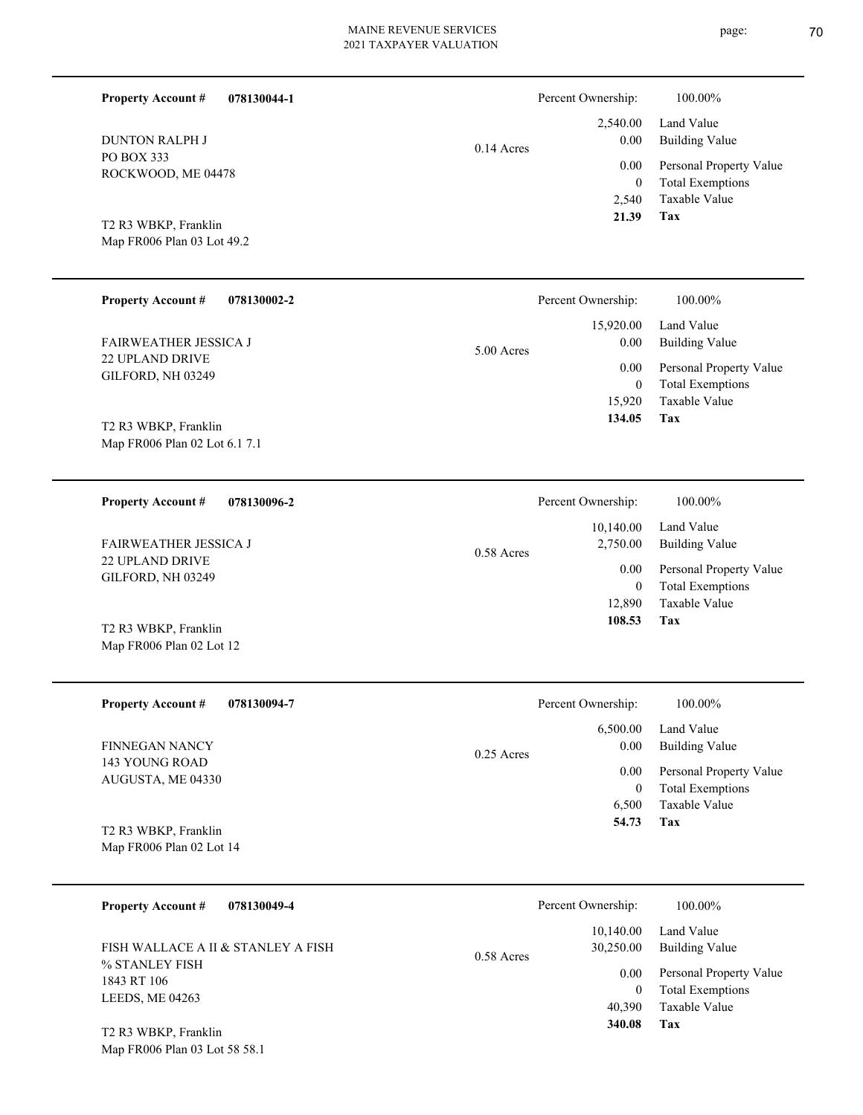| <b>Property Account #</b><br>078130044-1              |              | Percent Ownership:        | 100.00%                                  |
|-------------------------------------------------------|--------------|---------------------------|------------------------------------------|
| <b>DUNTON RALPH J</b>                                 | $0.14$ Acres | 2,540.00<br>0.00          | Land Value<br><b>Building Value</b>      |
| PO BOX 333<br>ROCKWOOD, ME 04478                      |              | 0.00                      | Personal Property Value                  |
|                                                       |              | $\boldsymbol{0}$<br>2,540 | <b>Total Exemptions</b><br>Taxable Value |
| T2 R3 WBKP, Franklin                                  |              | 21.39                     | Tax                                      |
| Map FR006 Plan 03 Lot 49.2                            |              |                           |                                          |
|                                                       |              |                           |                                          |
| <b>Property Account #</b><br>078130002-2              |              | Percent Ownership:        | 100.00%                                  |
| <b>FAIRWEATHER JESSICA J</b>                          |              | 15,920.00<br>0.00         | Land Value<br><b>Building Value</b>      |
| 22 UPLAND DRIVE                                       | 5.00 Acres   | 0.00                      | Personal Property Value                  |
| GILFORD, NH 03249                                     |              | $\mathbf{0}$              | <b>Total Exemptions</b>                  |
|                                                       |              | 15,920<br>134.05          | Taxable Value<br>Tax                     |
| T2 R3 WBKP, Franklin<br>Map FR006 Plan 02 Lot 6.1 7.1 |              |                           |                                          |
|                                                       |              |                           |                                          |
| 078130096-2<br><b>Property Account #</b>              |              | Percent Ownership:        | 100.00%                                  |
| <b>FAIRWEATHER JESSICA J</b>                          | $0.58$ Acres | 10,140.00<br>2,750.00     | Land Value<br><b>Building Value</b>      |
| 22 UPLAND DRIVE<br>GILFORD, NH 03249                  |              | 0.00                      | Personal Property Value                  |
|                                                       |              | $\mathbf{0}$<br>12,890    | <b>Total Exemptions</b><br>Taxable Value |
| T2 R3 WBKP, Franklin                                  |              | 108.53                    | Tax                                      |
| Map FR006 Plan 02 Lot 12                              |              |                           |                                          |
|                                                       |              |                           |                                          |
| <b>Property Account #</b><br>078130094-7              |              | Percent Ownership:        | 100.00%                                  |
| <b>FINNEGAN NANCY</b>                                 |              | 6,500.00<br>0.00          | Land Value<br><b>Building Value</b>      |
| 143 YOUNG ROAD                                        | 0.25 Acres   | 0.00                      | Personal Property Value                  |
| AUGUSTA, ME 04330                                     |              | $\bf{0}$                  | <b>Total Exemptions</b>                  |
|                                                       |              |                           |                                          |
|                                                       |              | 6,500<br>54.73            | Taxable Value<br>Tax                     |
| T2 R3 WBKP, Franklin<br>Map FR006 Plan 02 Lot 14      |              |                           |                                          |
|                                                       |              |                           |                                          |

| $110 \mu m$ , $1000 \mu m$                           | 1.313333333333337373447                | .                            |
|------------------------------------------------------|----------------------------------------|------------------------------|
| FISH WALLACE A II & STANLEY A FISH<br>% STANLEY FISH | 10.140.00<br>30.250.00<br>$0.58$ Acres | Land Value<br>Building Value |
| 1843 RT 106                                          | 0.00                                   | Personal Property Value      |
| LEEDS, ME 04263                                      |                                        | <b>Total Exemptions</b><br>0 |
|                                                      | 40,390                                 | Taxable Value                |
| T2 R3 WBKP, Franklin                                 | 340.08                                 | Tax                          |

Map FR006 Plan 03 Lot 58 58.1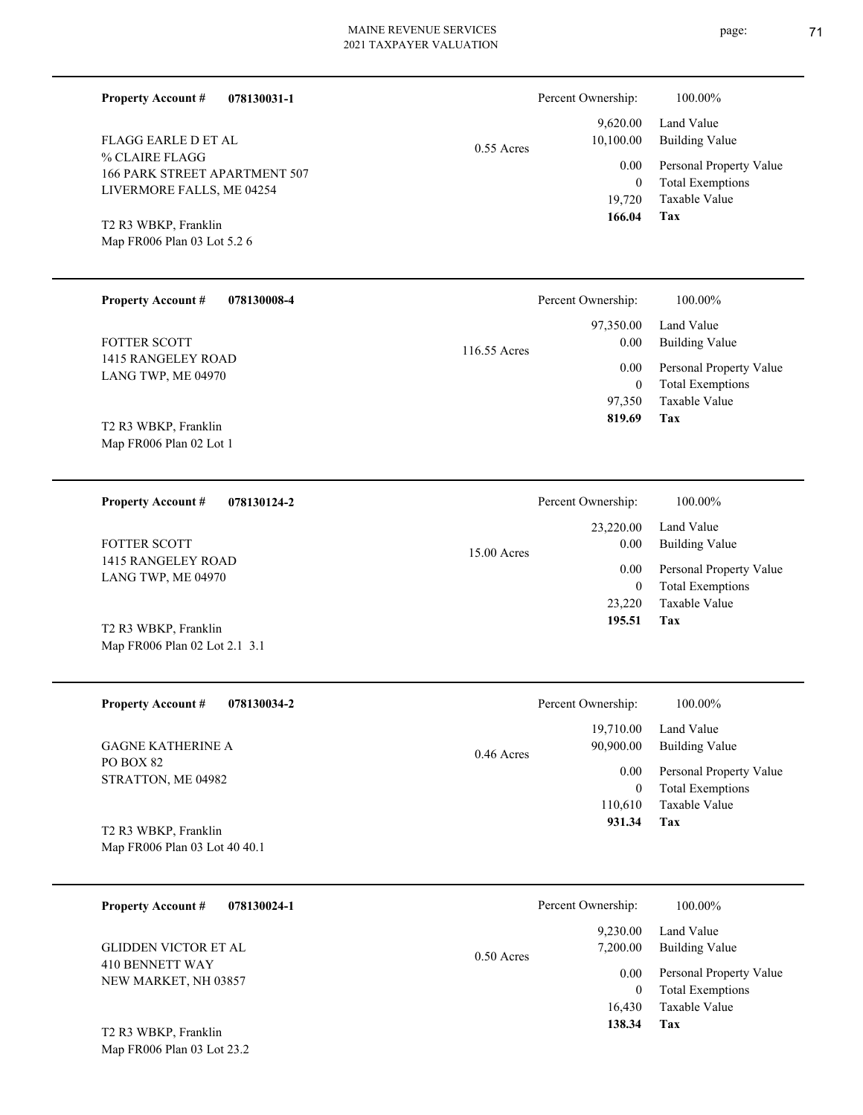| <b>Property Account #</b><br>078130031-1              |              | Percent Ownership:                                              | 100.00%                                            |
|-------------------------------------------------------|--------------|-----------------------------------------------------------------|----------------------------------------------------|
| FLAGG EARLE D ET AL                                   | $0.55$ Acres | 9,620.00<br>10,100.00                                           | Land Value<br><b>Building Value</b>                |
| % CLAIRE FLAGG<br>166 PARK STREET APARTMENT 507       |              | 0.00                                                            | Personal Property Value                            |
| LIVERMORE FALLS, ME 04254                             |              | $\mathbf{0}$<br>19,720                                          | <b>Total Exemptions</b><br>Taxable Value           |
| T2 R3 WBKP, Franklin<br>Map FR006 Plan 03 Lot 5.2 6   |              | 166.04                                                          | Tax                                                |
|                                                       |              |                                                                 |                                                    |
| <b>Property Account #</b><br>078130008-4              |              | Percent Ownership:                                              | 100.00%                                            |
| FOTTER SCOTT                                          | 116.55 Acres | 97,350.00<br>0.00                                               | Land Value<br><b>Building Value</b>                |
| 1415 RANGELEY ROAD<br>LANG TWP, ME 04970              |              | 0.00<br>$\mathbf{0}$                                            | Personal Property Value<br><b>Total Exemptions</b> |
|                                                       |              | 97,350                                                          | Taxable Value                                      |
| T2 R3 WBKP, Franklin<br>Map FR006 Plan 02 Lot 1       |              | 819.69                                                          | Tax                                                |
|                                                       |              |                                                                 |                                                    |
| 078130124-2<br><b>Property Account #</b>              |              | Percent Ownership:                                              | 100.00%                                            |
| FOTTER SCOTT                                          | 15.00 Acres  | 23,220.00<br>0.00<br>0.00<br>$\overline{0}$<br>23,220<br>195.51 | Land Value<br><b>Building Value</b>                |
| 1415 RANGELEY ROAD<br>LANG TWP, ME 04970              |              |                                                                 | Personal Property Value<br><b>Total Exemptions</b> |
|                                                       |              |                                                                 | Taxable Value                                      |
| T2 R3 WBKP, Franklin<br>Map FR006 Plan 02 Lot 2.1 3.1 |              |                                                                 | Tax                                                |
| <b>Property Account #</b><br>078130034-2              |              | Percent Ownership:                                              | 100.00%                                            |
| <b>GAGNE KATHERINE A</b>                              | $0.46$ Acres | 19,710.00<br>90,900.00                                          | Land Value<br><b>Building Value</b>                |
| PO BOX 82<br>STRATTON, ME 04982                       |              | 0.00                                                            | Personal Property Value                            |
|                                                       |              | $\overline{0}$<br>110,610                                       | <b>Total Exemptions</b><br>Taxable Value           |
| T2 R3 WBKP, Franklin                                  |              | 931.34                                                          | Tax                                                |
| Map FR006 Plan 03 Lot 40 40.1                         |              |                                                                 |                                                    |
| <b>Property Account #</b><br>078130024-1              |              | Percent Ownership:                                              | 100.00%                                            |
|                                                       |              | 9,230.00                                                        | Land Value                                         |
| <b>GLIDDEN VICTOR ET AL</b><br>410 BENNETT WAY        | $0.50$ Acres | 7,200.00                                                        | <b>Building Value</b><br>Personal Property Value   |
| NEW MARKET, NH 03857                                  |              | 0.00<br>$\overline{0}$                                          | <b>Total Exemptions</b>                            |
|                                                       |              | 16,430<br>138.34                                                | Taxable Value<br>Tax                               |
| T2 R3 WBKP, Franklin<br>Map FR006 Plan 03 Lot 23.2    |              |                                                                 |                                                    |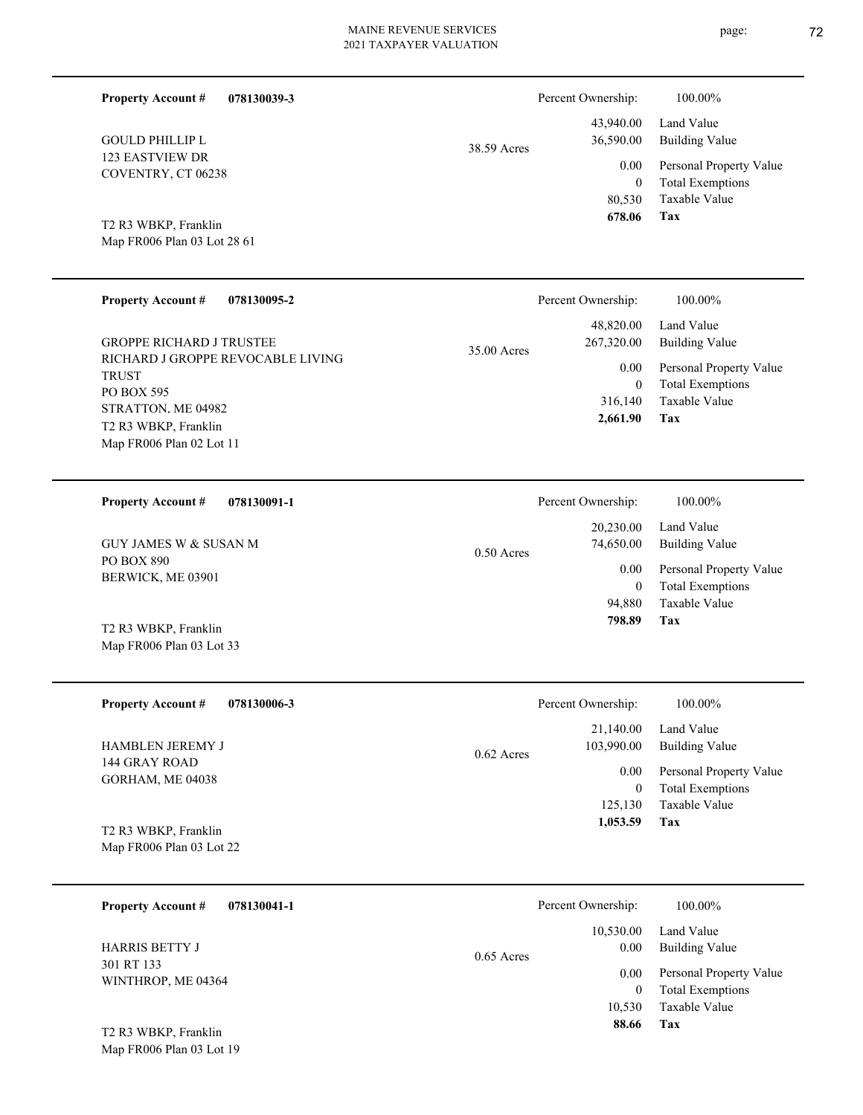| <b>Property Account #</b><br>078130039-3          |              | Percent Ownership:              | 100.00%                                                             |
|---------------------------------------------------|--------------|---------------------------------|---------------------------------------------------------------------|
| <b>GOULD PHILLIP L</b>                            | 38.59 Acres  | 43,940.00<br>36,590.00          | Land Value<br><b>Building Value</b>                                 |
| 123 EASTVIEW DR<br>COVENTRY, CT 06238             |              | 0.00<br>$\mathbf{0}$<br>80,530  | Personal Property Value<br><b>Total Exemptions</b><br>Taxable Value |
| T2 R3 WBKP, Franklin                              |              | 678.06                          | Tax                                                                 |
| Map FR006 Plan 03 Lot 28 61                       |              |                                 |                                                                     |
| <b>Property Account #</b><br>078130095-2          |              | Percent Ownership:              | 100.00%                                                             |
| <b>GROPPE RICHARD J TRUSTEE</b>                   | 35.00 Acres  | 48,820.00<br>267,320.00         | Land Value<br><b>Building Value</b>                                 |
| RICHARD J GROPPE REVOCABLE LIVING<br><b>TRUST</b> |              | 0.00<br>$\overline{0}$          | Personal Property Value<br><b>Total Exemptions</b>                  |
| PO BOX 595<br>STRATTON. ME 04982                  |              | 316,140                         | Taxable Value                                                       |
| T2 R3 WBKP, Franklin<br>Map FR006 Plan 02 Lot 11  |              | 2,661.90                        | Tax                                                                 |
|                                                   |              |                                 |                                                                     |
| <b>Property Account #</b><br>078130091-1          |              | Percent Ownership:<br>20,230.00 | 100.00%<br>Land Value                                               |
| <b>GUY JAMES W &amp; SUSAN M</b>                  | $0.50$ Acres | 74,650.00                       | <b>Building Value</b>                                               |
| PO BOX 890<br>BERWICK, ME 03901                   |              | 0.00<br>$\overline{0}$          | Personal Property Value<br><b>Total Exemptions</b>                  |
|                                                   |              | 94,880<br>798.89                | Taxable Value<br>Tax                                                |
| T2 R3 WBKP, Franklin<br>Map FR006 Plan 03 Lot 33  |              |                                 |                                                                     |
|                                                   |              |                                 |                                                                     |
| <b>Property Account #</b><br>078130006-3          |              | Percent Ownership:              | 100.00%                                                             |
| HAMBLEN JEREMY J                                  | 0.62 Acres   | 21,140.00<br>103,990.00         | Land Value<br><b>Building Value</b>                                 |
| 144 GRAY ROAD<br>GORHAM, ME 04038                 |              | 0.00                            | Personal Property Value                                             |
|                                                   |              | $\mathbf{0}$<br>125,130         | <b>Total Exemptions</b><br>Taxable Value                            |
| T2 R3 WBKP, Franklin                              |              | 1,053.59                        | Tax                                                                 |
| Map FR006 Plan 03 Lot 22                          |              |                                 |                                                                     |
| <b>Property Account #</b><br>078130041-1          |              | Percent Ownership:              | 100.00%                                                             |
| <b>HARRIS BETTY J</b>                             |              | 10,530.00<br>0.00               | Land Value<br><b>Building Value</b>                                 |
| 301 RT 133                                        | $0.65$ Acres | 0.00                            | Personal Property Value                                             |
| WINTHROP, ME 04364                                |              | $\overline{0}$<br>10,530        | <b>Total Exemptions</b><br>Taxable Value                            |
| T2 R3 WBKP, Franklin                              |              | 88.66                           | Tax                                                                 |
| Map FR006 Plan 03 Lot 19                          |              |                                 |                                                                     |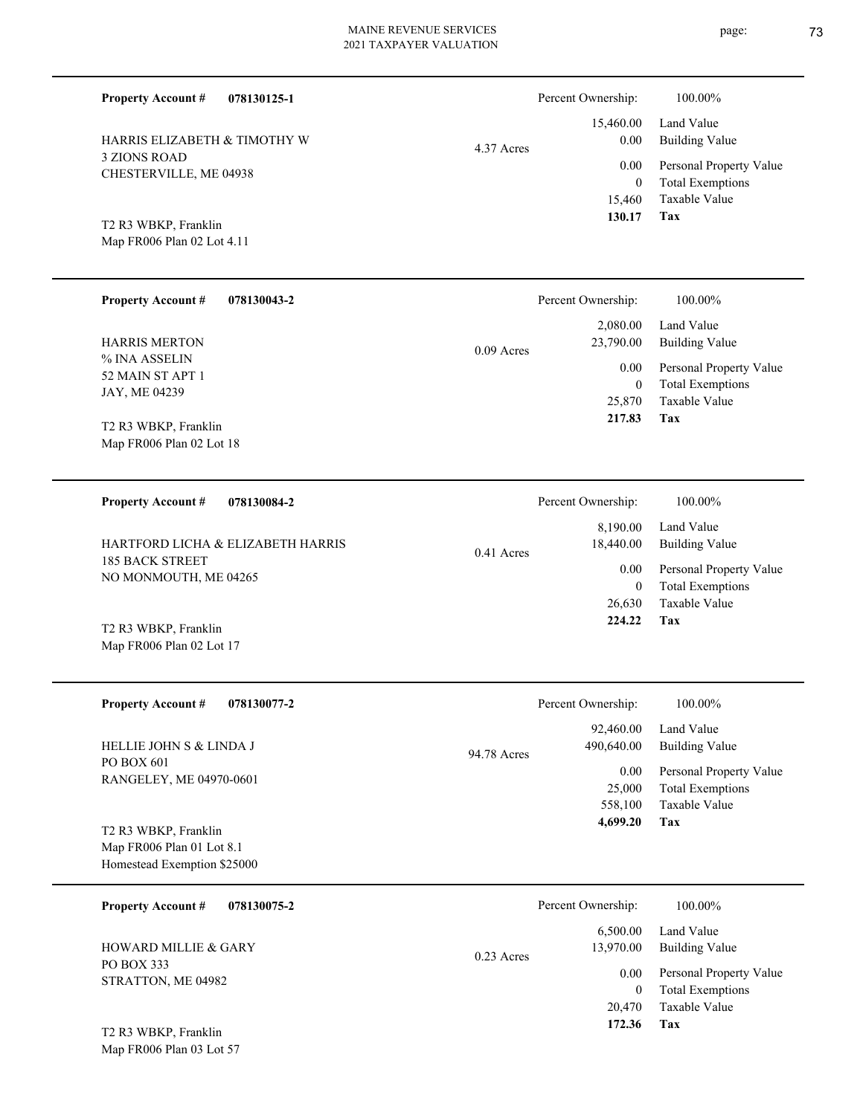4.37 Acres

| <b>Property Account #</b> | 078130125-1 |
|---------------------------|-------------|

3 ZIONS ROAD CHESTERVILLE, ME 04938 HARRIS ELIZABETH & TIMOTHY W

# Map FR006 Plan 02 Lot 4.11 T2 R3 WBKP, Franklin

| <b>Property Account #</b><br>078130043-2 | Percent Ownership:        | 100.00%                                            |
|------------------------------------------|---------------------------|----------------------------------------------------|
|                                          | 2,080.00                  | Land Value                                         |
| <b>HARRIS MERTON</b>                     | 23,790.00<br>$0.09$ Acres | <b>Building Value</b>                              |
| % INA ASSELIN<br>52 MAIN ST APT 1        | 0.00<br>$\theta$          | Personal Property Value<br><b>Total Exemptions</b> |
| JAY, ME 04239                            | 25,870                    | Taxable Value                                      |
| T2 R3 WBKP, Franklin                     | 217.83                    | Tax                                                |
| Map FR006 Plan 02 Lot 18                 |                           |                                                    |
|                                          |                           |                                                    |
| 078130084-2<br><b>Property Account #</b> | Percent Ownership:        | 100.00%                                            |

| HARTFORD LICHA & ELIZABETH HARRIS        | $0.41$ Acres | 8.190.00<br>18,440.00 | Land Value<br>Building Value |
|------------------------------------------|--------------|-----------------------|------------------------------|
| 185 BACK STREET<br>NO MONMOUTH, ME 04265 |              | 0.00                  | Personal Property Value      |
|                                          |              | 0                     | Total Exemptions             |
|                                          |              | 26.630                | Taxable Value                |
| T2 R3 WBKP, Franklin                     |              | 224.22                | Tax                          |

| <b>Property Account #</b><br>078130077-2                                         | Percent Ownership:                     | 100.00%                                            |
|----------------------------------------------------------------------------------|----------------------------------------|----------------------------------------------------|
| <b>HELLIE JOHN S &amp; LINDA J</b>                                               | 92,460.00<br>490,640.00<br>94.78 Acres | Land Value<br>Building Value                       |
| PO BOX 601<br>RANGELEY, ME 04970-0601                                            | 0.00<br>25,000                         | Personal Property Value<br><b>Total Exemptions</b> |
|                                                                                  | 558,100<br>4,699.20                    | Taxable Value<br>Tax                               |
| T2 R3 WBKP, Franklin<br>Map FR006 Plan 01 Lot 8.1<br>Homestead Exemption \$25000 |                                        |                                                    |

| 078130075-2<br><b>Property Account #</b>      | Percent Ownership:                    | 100.00%                      |
|-----------------------------------------------|---------------------------------------|------------------------------|
| <b>HOWARD MILLIE &amp; GARY</b><br>PO BOX 333 | 6.500.00<br>13,970.00<br>$0.23$ Acres | Land Value<br>Building Value |
| STRATTON, ME 04982                            | 0.00                                  | Personal Property Value      |
|                                               | $\theta$                              | <b>Total Exemptions</b>      |
|                                               | 20,470                                | Taxable Value                |
| T <sub>2</sub> R <sub>3</sub> WBKP, Franklin  | 172.36                                | Tax                          |

Map FR006 Plan 03 Lot 57

Map FR006 Plan 02 Lot 17

Percent Ownership:  $100.00\%$ 

**Tax**

 15,460 0

 15,460.00 0.00 0.00

 **130.17**

Taxable Value Total Exemptions Personal Property Value

Building Value Land Value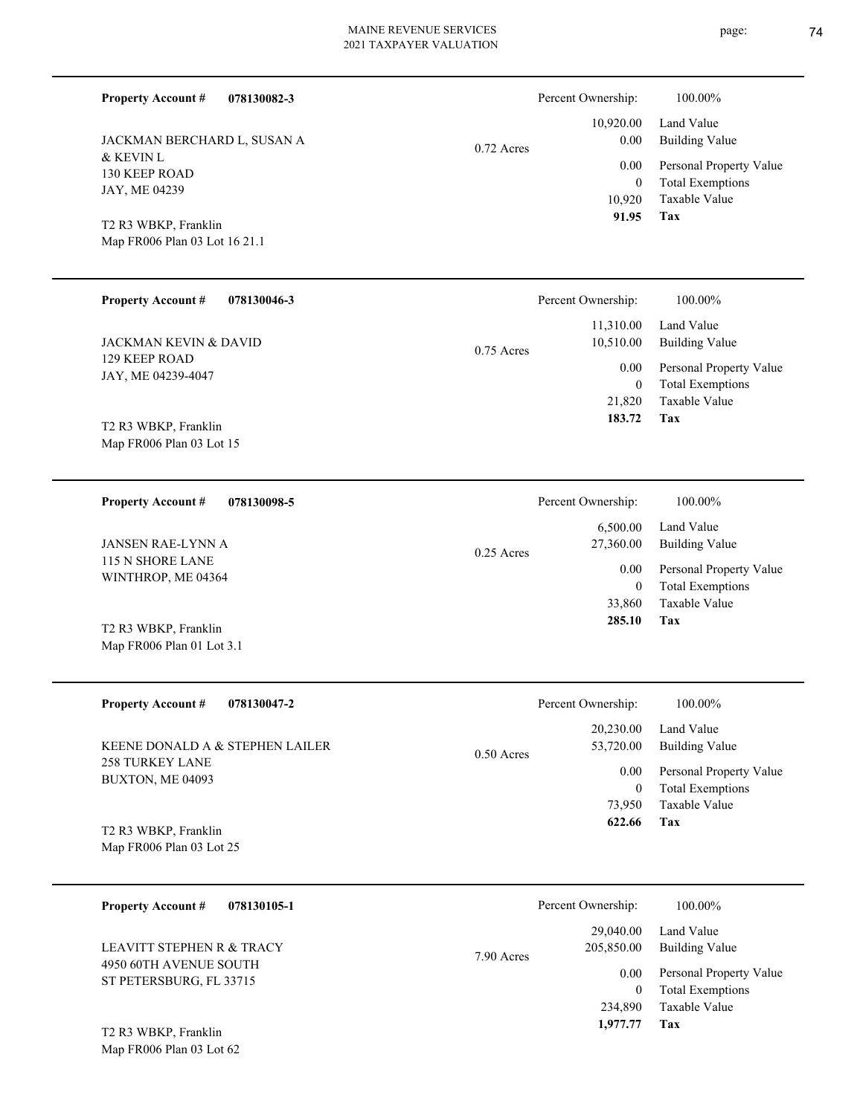| <b>Property Account #</b><br>078130082-3                                                                                            |              | Percent Ownership:                                           | 100.00%                                                                                                                  |
|-------------------------------------------------------------------------------------------------------------------------------------|--------------|--------------------------------------------------------------|--------------------------------------------------------------------------------------------------------------------------|
| JACKMAN BERCHARD L, SUSAN A<br>& KEVIN L<br>130 KEEP ROAD<br>JAY, ME 04239<br>T2 R3 WBKP, Franklin<br>Map FR006 Plan 03 Lot 16 21.1 | $0.72$ Acres | 10,920.00<br>0.00<br>0.00<br>$\mathbf{0}$<br>10,920<br>91.95 | Land Value<br><b>Building Value</b><br>Personal Property Value<br><b>Total Exemptions</b><br><b>Taxable Value</b><br>Tax |
| <b>Property Account #</b><br>078130046-3                                                                                            |              | Percent Ownership:                                           | 100.00%                                                                                                                  |
| JACKMAN KEVIN & DAVID                                                                                                               | $0.75$ Acres | 11,310.00<br>10,510.00                                       | Land Value<br><b>Building Value</b>                                                                                      |
| <b>129 KEEP ROAD</b><br>JAY, ME 04239-4047                                                                                          |              | 0.00<br>$\mathbf{0}$<br>21,820                               | Personal Property Value<br><b>Total Exemptions</b><br><b>Taxable Value</b>                                               |
| T2 R3 WBKP, Franklin<br>Map FR006 Plan 03 Lot 15                                                                                    |              | 183.72                                                       | Tax                                                                                                                      |
| <b>Property Account #</b><br>078130098-5                                                                                            |              | Percent Ownership:                                           | 100.00%                                                                                                                  |
| <b>JANSEN RAE-LYNN A</b>                                                                                                            | $0.25$ Acres | 6,500.00<br>27,360.00                                        | Land Value<br><b>Building Value</b>                                                                                      |
| 115 N SHORE LANE<br>WINTHROP, ME 04364                                                                                              |              | 0.00<br>$\mathbf{0}$                                         | Personal Property Value<br><b>Total Exemptions</b>                                                                       |
| T2 R3 WBKP, Franklin<br>Map FR006 Plan 01 Lot 3.1                                                                                   |              | 33,860<br>285.10                                             | Taxable Value<br>Tax                                                                                                     |
| <b>Property Account #</b><br>078130047-2                                                                                            |              | Percent Ownership:                                           | 100.00%                                                                                                                  |
| KEENE DONALD A & STEPHEN LAILER                                                                                                     | 0.50 Acres   | 20,230.00<br>53,720.00                                       | Land Value<br><b>Building Value</b>                                                                                      |
| <b>258 TURKEY LANE</b><br>BUXTON, ME 04093                                                                                          |              | 0.00<br>$\bf{0}$<br>73,950                                   | Personal Property Value<br><b>Total Exemptions</b><br>Taxable Value                                                      |
| T2 R3 WBKP, Franklin<br>Map FR006 Plan 03 Lot 25                                                                                    |              | 622.66                                                       | <b>Tax</b>                                                                                                               |

| 078130105-1<br><b>Property Account #</b>            | Percent Ownership:                    | 100.00%                                                             |
|-----------------------------------------------------|---------------------------------------|---------------------------------------------------------------------|
| LEAVITT STEPHEN R & TRACY<br>4950 60TH AVENUE SOUTH | 29,040.00<br>205,850.00<br>7.90 Acres | Land Value<br>Building Value                                        |
| ST PETERSBURG, FL 33715                             | 0.00<br>0<br>234,890                  | Personal Property Value<br><b>Total Exemptions</b><br>Taxable Value |
| T2 R3 WBKP, Franklin                                | 1,977.77                              | Tax                                                                 |

Map FR006 Plan 03 Lot 62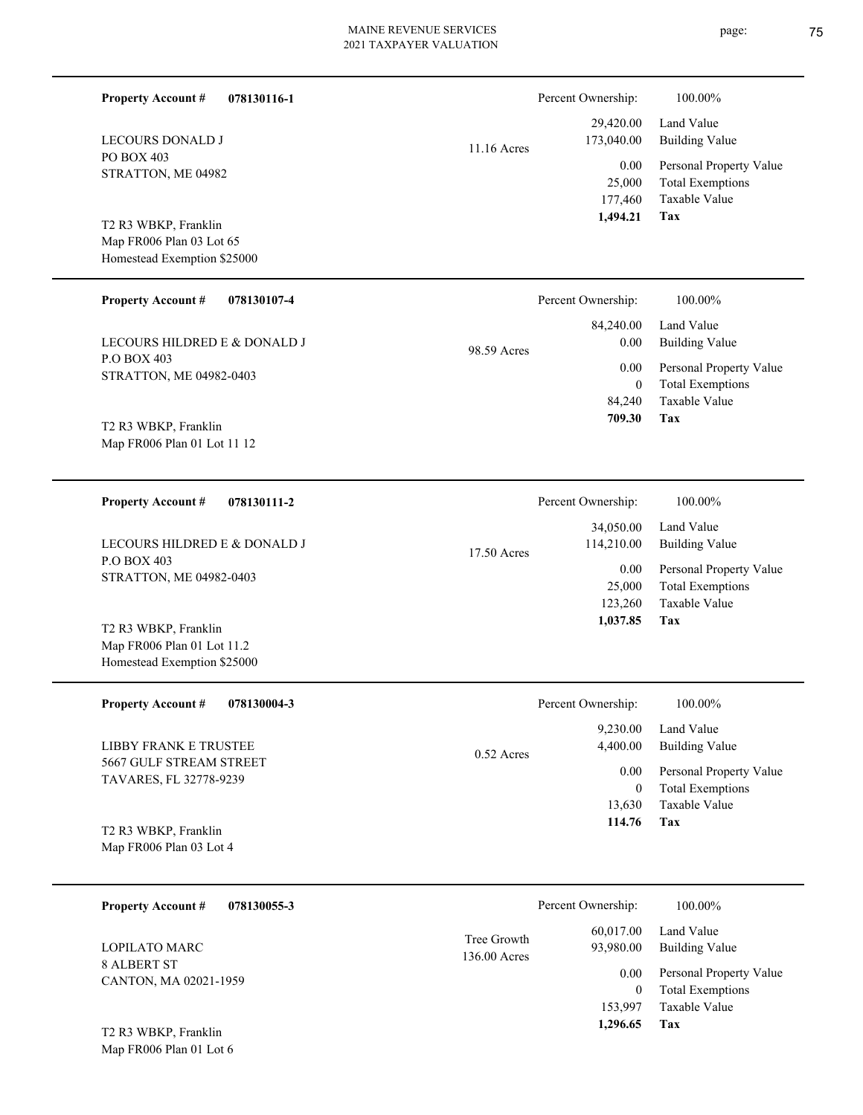| <b>Property Account #</b><br>078130116-1                                          |              | Percent Ownership:                          | 100.00%                                                                    |
|-----------------------------------------------------------------------------------|--------------|---------------------------------------------|----------------------------------------------------------------------------|
| LECOURS DONALD J                                                                  | 11.16 Acres  | 29,420.00<br>173,040.00                     | Land Value<br><b>Building Value</b>                                        |
| PO BOX 403<br>STRATTON, ME 04982                                                  |              | 0.00<br>25,000<br>177,460                   | Personal Property Value<br><b>Total Exemptions</b><br>Taxable Value        |
| T2 R3 WBKP, Franklin<br>Map FR006 Plan 03 Lot 65<br>Homestead Exemption \$25000   |              | 1,494.21                                    | Tax                                                                        |
| <b>Property Account #</b><br>078130107-4                                          |              | Percent Ownership:                          | 100.00%                                                                    |
| LECOURS HILDRED E & DONALD J                                                      | 98.59 Acres  | 84,240.00<br>0.00                           | Land Value<br><b>Building Value</b>                                        |
| P.O BOX 403<br>STRATTON, ME 04982-0403                                            |              | 0.00<br>$\mathbf{0}$<br>84,240              | Personal Property Value<br><b>Total Exemptions</b><br>Taxable Value        |
| T2 R3 WBKP, Franklin<br>Map FR006 Plan 01 Lot 11 12                               |              | 709.30                                      | Tax                                                                        |
| 078130111-2<br><b>Property Account #</b>                                          |              | Percent Ownership:                          | 100.00%                                                                    |
| LECOURS HILDRED E & DONALD J                                                      | 17.50 Acres  | 34,050.00<br>114,210.00                     | Land Value<br><b>Building Value</b>                                        |
| P.O BOX 403<br>STRATTON, ME 04982-0403                                            |              | 0.00<br>25,000<br>123,260                   | Personal Property Value<br><b>Total Exemptions</b><br>Taxable Value        |
| T2 R3 WBKP, Franklin<br>Map FR006 Plan 01 Lot 11.2<br>Homestead Exemption \$25000 |              | 1,037.85                                    | Tax                                                                        |
| <b>Property Account #</b><br>078130004-3                                          |              | Percent Ownership:                          | 100.00%                                                                    |
| LIBBY FRANK E TRUSTEE                                                             | 0.52 Acres   | 9,230.00<br>4,400.00                        | Land Value<br><b>Building Value</b>                                        |
| 5667 GULF STREAM STREET<br>TAVARES, FL 32778-9239                                 |              | 0.00<br>$\mathbf{0}$                        | Personal Property Value<br><b>Total Exemptions</b>                         |
| T2 R3 WBKP, Franklin<br>Map FR006 Plan 03 Lot 4                                   |              | 13,630<br>114.76                            | Taxable Value<br>Tax                                                       |
| <b>Property Account #</b><br>078130055-3                                          |              | Percent Ownership:                          | 100.00%                                                                    |
| LOPILATO MARC                                                                     | Tree Growth  | 60,017.00<br>93,980.00                      | Land Value<br><b>Building Value</b>                                        |
| <b>8 ALBERT ST</b><br>CANTON, MA 02021-1959                                       | 136.00 Acres | 0.00<br>$\mathbf{0}$<br>153,997<br>1,296.65 | Personal Property Value<br><b>Total Exemptions</b><br>Taxable Value<br>Tax |
| T2 R3 WBKP, Franklin<br>Map FR006 Plan 01 Lot 6                                   |              |                                             |                                                                            |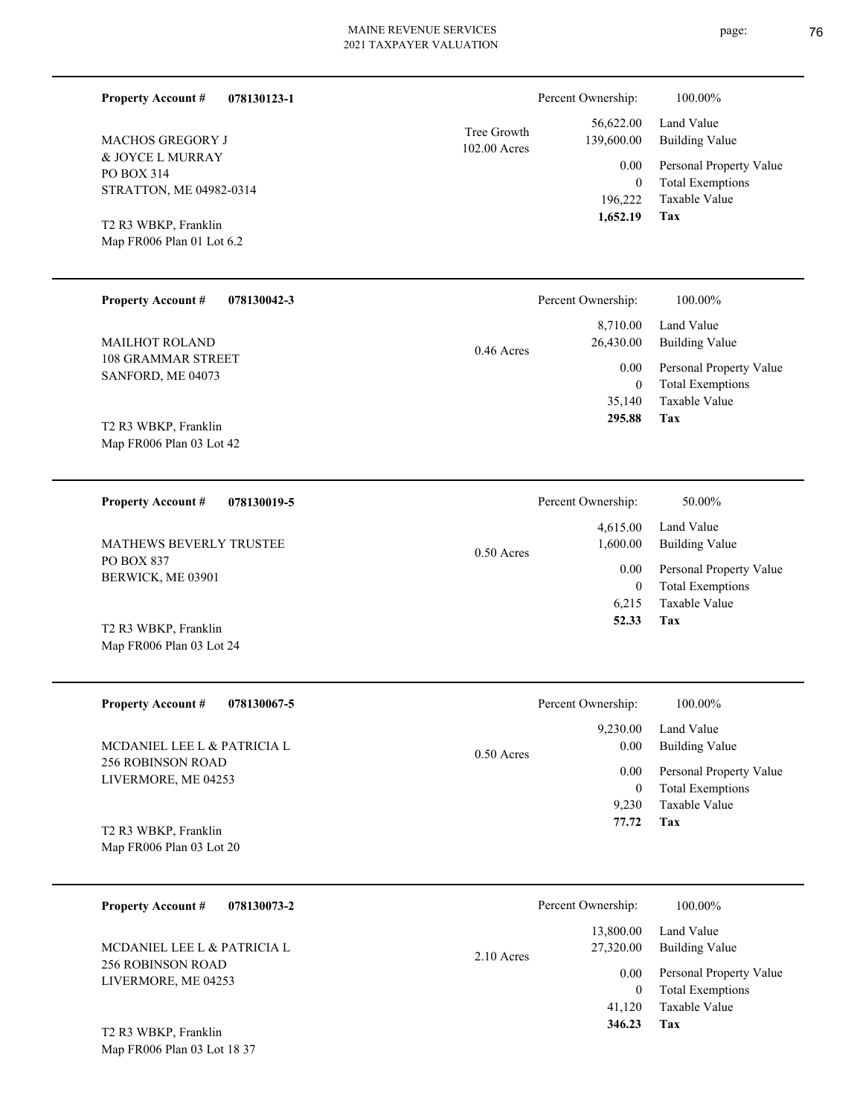| <b>Property Account #</b><br>078130123-1          |                             | Percent Ownership:      | 100.00%                                            |
|---------------------------------------------------|-----------------------------|-------------------------|----------------------------------------------------|
| <b>MACHOS GREGORY J</b>                           | Tree Growth<br>102.00 Acres | 56,622.00<br>139,600.00 | Land Value<br><b>Building Value</b>                |
| & JOYCE L MURRAY<br>PO BOX 314                    |                             | 0.00                    | Personal Property Value                            |
| STRATTON, ME 04982-0314                           |                             | $\overline{0}$          | <b>Total Exemptions</b><br>Taxable Value           |
|                                                   |                             | 196,222<br>1,652.19     | Tax                                                |
| T2 R3 WBKP, Franklin<br>Map FR006 Plan 01 Lot 6.2 |                             |                         |                                                    |
|                                                   |                             |                         |                                                    |
| <b>Property Account #</b><br>078130042-3          |                             | Percent Ownership:      | 100.00%                                            |
|                                                   |                             | 8,710.00                | Land Value                                         |
| <b>MAILHOT ROLAND</b><br>108 GRAMMAR STREET       | 0.46 Acres                  | 26,430.00               | <b>Building Value</b>                              |
| SANFORD, ME 04073                                 |                             | 0.00<br>$\overline{0}$  | Personal Property Value<br><b>Total Exemptions</b> |
|                                                   |                             | 35,140                  | Taxable Value                                      |
| T2 R3 WBKP, Franklin                              |                             | 295.88                  | Tax                                                |
| Map FR006 Plan 03 Lot 42                          |                             |                         |                                                    |
|                                                   |                             |                         |                                                    |
| <b>Property Account #</b><br>078130019-5          |                             | Percent Ownership:      | 50.00%                                             |
|                                                   |                             | 4,615.00                | Land Value                                         |
| MATHEWS BEVERLY TRUSTEE<br>PO BOX 837             | $0.50$ Acres                | 1,600.00                | <b>Building Value</b>                              |
| BERWICK, ME 03901                                 |                             | 0.00<br>$\mathbf{0}$    | Personal Property Value<br><b>Total Exemptions</b> |
|                                                   |                             | 6,215                   | <b>Taxable Value</b>                               |
| T2 R3 WBKP, Franklin                              |                             | 52.33                   | Tax                                                |
| Map FR006 Plan 03 Lot 24                          |                             |                         |                                                    |
|                                                   |                             |                         |                                                    |
| <b>Property Account #</b><br>078130067-5          |                             | Percent Ownership:      | 100.00%                                            |
| MCDANIEL LEE L & PATRICIA L                       |                             | 9,230.00<br>0.00        | Land Value<br><b>Building Value</b>                |
| <b>256 ROBINSON ROAD</b>                          | 0.50 Acres                  | 0.00                    | Personal Property Value                            |
| LIVERMORE, ME 04253                               |                             | $\mathbf{0}$            | <b>Total Exemptions</b>                            |
|                                                   |                             | 9,230<br>77.72          | Taxable Value<br>Tax                               |
| T2 R3 WBKP, Franklin<br>Map FR006 Plan 03 Lot 20  |                             |                         |                                                    |
|                                                   |                             |                         |                                                    |
| <b>Property Account #</b><br>078130073-2          |                             | Percent Ownership:      | 100.00%                                            |
|                                                   |                             | 13,800.00               | Land Value                                         |
| MCDANIEL LEE L & PATRICIA L<br>256 ROBINSON ROAD  | 2.10 Acres                  | 27,320.00               | <b>Building Value</b>                              |
| LIVERMORE, ME 04253                               |                             | 0.00                    | Personal Property Value<br>$-1$ T <sub>2</sub>     |

**Tax 346.23**

Taxable Value 41,120 0 Total Exemptions

Map FR006 Plan 03 Lot 18 37 T2 R3 WBKP, Franklin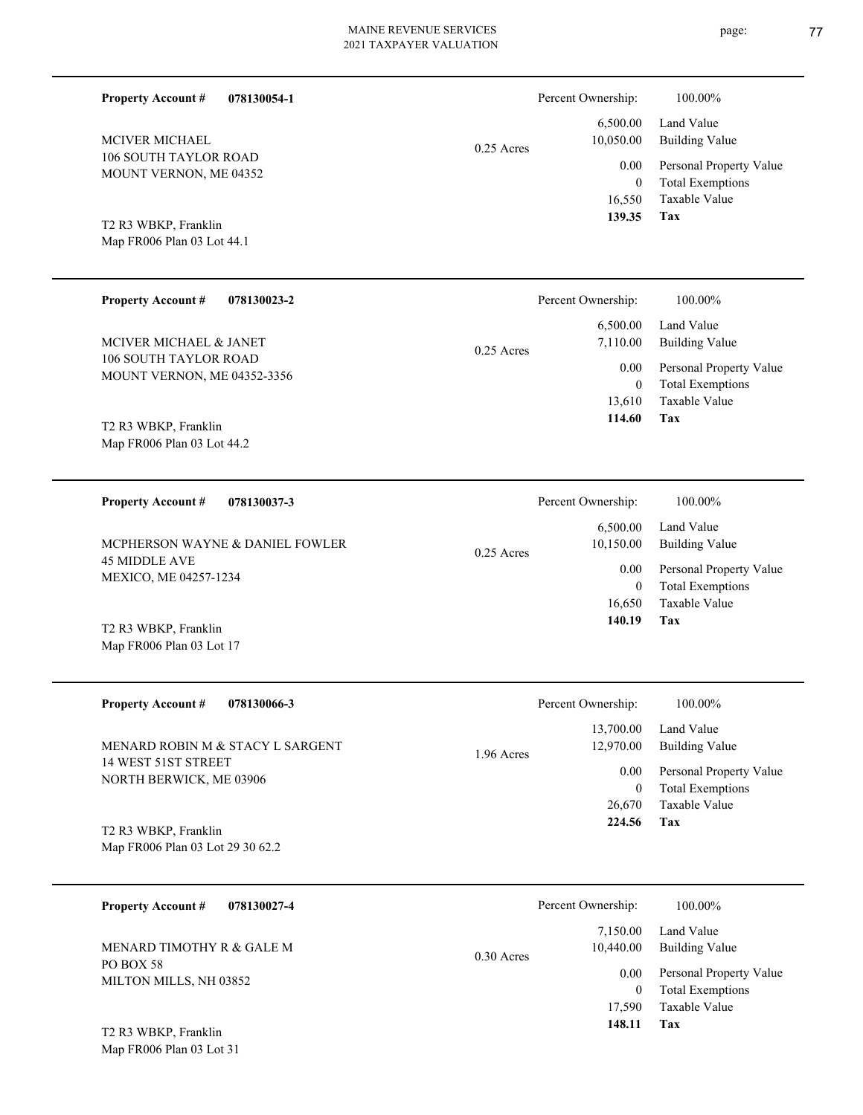| <b>Property Account #</b>                                                | 078130054-1                     |              | Percent Ownership:<br>6,500.00              | 100.00%<br>Land Value                                                                               |
|--------------------------------------------------------------------------|---------------------------------|--------------|---------------------------------------------|-----------------------------------------------------------------------------------------------------|
| <b>MCIVER MICHAEL</b><br>106 SOUTH TAYLOR ROAD<br>MOUNT VERNON, ME 04352 |                                 | $0.25$ Acres | 10,050.00<br>0.00<br>$\mathbf{0}$<br>16,550 | <b>Building Value</b><br>Personal Property Value<br><b>Total Exemptions</b><br><b>Taxable Value</b> |
| T2 R3 WBKP, Franklin<br>Map FR006 Plan 03 Lot 44.1                       |                                 |              | 139.35                                      | Tax                                                                                                 |
| <b>Property Account #</b>                                                | 078130023-2                     |              | Percent Ownership:                          | 100.00%                                                                                             |
| MCIVER MICHAEL & JANET                                                   |                                 | $0.25$ Acres | 6,500.00<br>7,110.00                        | Land Value<br><b>Building Value</b>                                                                 |
| 106 SOUTH TAYLOR ROAD<br>MOUNT VERNON, ME 04352-3356                     |                                 |              | 0.00<br>$\mathbf{0}$<br>13,610              | Personal Property Value<br><b>Total Exemptions</b><br>Taxable Value                                 |
| T2 R3 WBKP, Franklin<br>Map FR006 Plan 03 Lot 44.2                       |                                 |              | 114.60                                      | Tax                                                                                                 |
| <b>Property Account #</b>                                                | 078130037-3                     |              | Percent Ownership:                          | 100.00%                                                                                             |
|                                                                          | MCPHERSON WAYNE & DANIEL FOWLER | $0.25$ Acres | 6,500.00<br>10,150.00                       | Land Value<br><b>Building Value</b>                                                                 |
| <b>45 MIDDLE AVE</b><br>MEXICO, ME 04257-1234                            |                                 |              | 0.00<br>$\mathbf{0}$<br>16,650              | Personal Property Value<br><b>Total Exemptions</b><br><b>Taxable Value</b>                          |
| T2 R3 WBKP, Franklin<br>Map FR006 Plan 03 Lot 17                         |                                 |              | 140.19                                      | Tax                                                                                                 |
| <b>Property Account #</b>                                                | 078130066-3                     |              | Percent Ownership:                          | 100.00%                                                                                             |
| MENARD ROBIN M & STACY L SARGENT                                         |                                 | 1.96 Acres   | 13,700.00<br>12,970.00                      | Land Value<br><b>Building Value</b>                                                                 |
| 14 WEST 51ST STREET<br>NORTH BERWICK, ME 03906                           |                                 |              | 0.00<br>$\boldsymbol{0}$<br>26,670          | Personal Property Value<br><b>Total Exemptions</b><br>Taxable Value                                 |
| T2 R3 WBKP, Franklin<br>Map FR006 Plan 03 Lot 29 30 62.2                 |                                 |              | 224.56                                      | Tax                                                                                                 |

| 078130027-4<br><b>Property Account #</b>                         | Percent Ownership:                                        | 100.00%                                                                                   |
|------------------------------------------------------------------|-----------------------------------------------------------|-------------------------------------------------------------------------------------------|
| MENARD TIMOTHY R & GALE M<br>PO BOX 58<br>MILTON MILLS, NH 03852 | 7,150.00<br>10.440.00<br>$0.30$ Acres<br>0.00<br>$\Omega$ | Land Value<br><b>Building Value</b><br>Personal Property Value<br><b>Total Exemptions</b> |
| T2 R3 WBKP, Franklin                                             | 17.590<br>148.11                                          | Taxable Value<br>Tax                                                                      |

Map FR006 Plan 03 Lot 31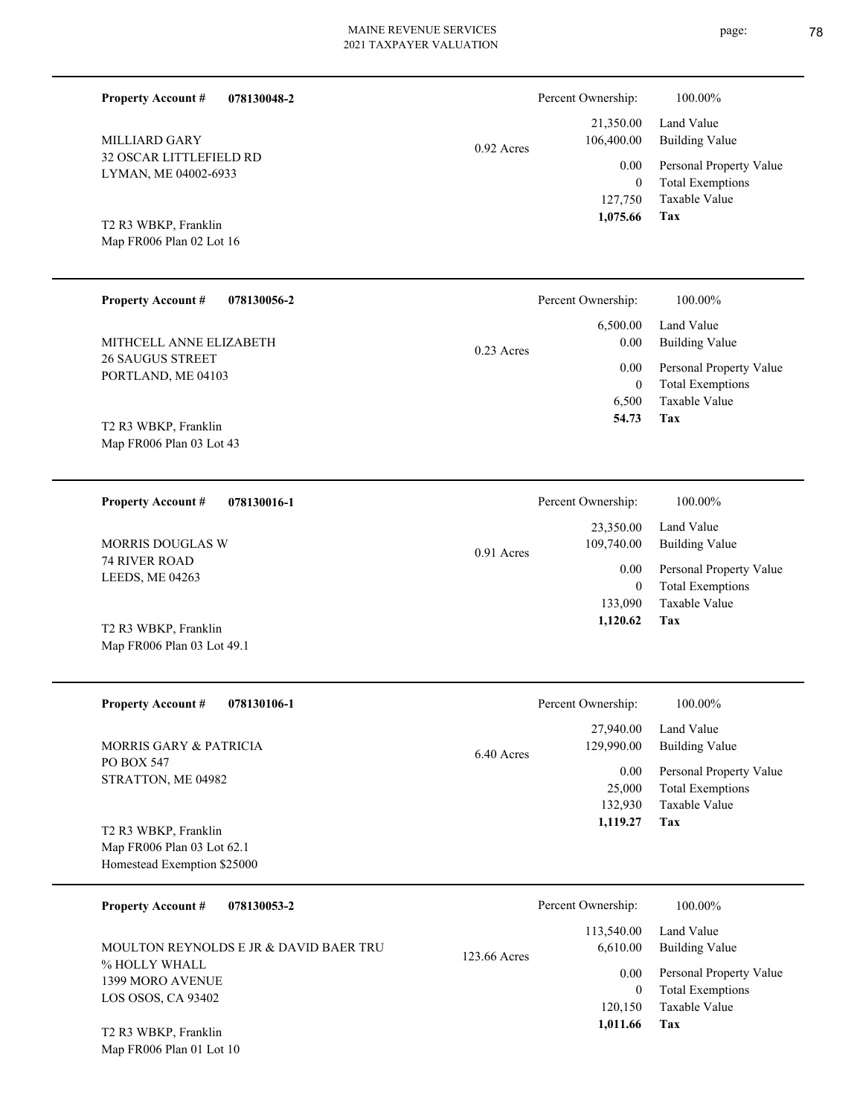| 078130048-2                                                                                                                                                                                            | $0.92$ Acres | Percent Ownership:                                                                     | 100.00%                                                                                                                      |
|--------------------------------------------------------------------------------------------------------------------------------------------------------------------------------------------------------|--------------|----------------------------------------------------------------------------------------|------------------------------------------------------------------------------------------------------------------------------|
| <b>Property Account #</b>                                                                                                                                                                              |              | 21,350.00                                                                              | Land Value                                                                                                                   |
| MILLIARD GARY                                                                                                                                                                                          |              | 106,400.00                                                                             | <b>Building Value</b>                                                                                                        |
| 32 OSCAR LITTLEFIELD RD                                                                                                                                                                                |              | 0.00                                                                                   | Personal Property Value                                                                                                      |
| LYMAN, ME 04002-6933                                                                                                                                                                                   |              | $\boldsymbol{0}$                                                                       | <b>Total Exemptions</b>                                                                                                      |
| T2 R3 WBKP, Franklin                                                                                                                                                                                   |              | 127,750                                                                                | Taxable Value                                                                                                                |
| Map FR006 Plan 02 Lot 16                                                                                                                                                                               |              | 1,075.66                                                                               | Tax                                                                                                                          |
| <b>Property Account #</b>                                                                                                                                                                              | $0.23$ Acres | Percent Ownership:                                                                     | 100.00%                                                                                                                      |
| 078130056-2                                                                                                                                                                                            |              | 6,500.00                                                                               | Land Value                                                                                                                   |
| MITHCELL ANNE ELIZABETH                                                                                                                                                                                |              | 0.00                                                                                   | <b>Building Value</b>                                                                                                        |
| <b>26 SAUGUS STREET</b>                                                                                                                                                                                |              | 0.00                                                                                   | Personal Property Value                                                                                                      |
| PORTLAND, ME 04103                                                                                                                                                                                     |              | $\boldsymbol{0}$                                                                       | <b>Total Exemptions</b>                                                                                                      |
| T2 R3 WBKP, Franklin                                                                                                                                                                                   |              | 6,500                                                                                  | Taxable Value                                                                                                                |
| Map FR006 Plan 03 Lot 43                                                                                                                                                                               |              | 54.73                                                                                  | Tax                                                                                                                          |
| <b>Property Account #</b>                                                                                                                                                                              | 0.91 Acres   | Percent Ownership:                                                                     | 100.00%                                                                                                                      |
| 078130016-1                                                                                                                                                                                            |              | 23,350.00                                                                              | Land Value                                                                                                                   |
| MORRIS DOUGLAS W                                                                                                                                                                                       |              | 109,740.00                                                                             | <b>Building Value</b>                                                                                                        |
| 74 RIVER ROAD                                                                                                                                                                                          |              | 0.00                                                                                   | Personal Property Value                                                                                                      |
| LEEDS, ME 04263                                                                                                                                                                                        |              | $\boldsymbol{0}$                                                                       | <b>Total Exemptions</b>                                                                                                      |
| T2 R3 WBKP, Franklin                                                                                                                                                                                   |              | 133,090                                                                                | Taxable Value                                                                                                                |
| Map FR006 Plan 03 Lot 49.1                                                                                                                                                                             |              | 1,120.62                                                                               | Tax                                                                                                                          |
| <b>Property Account #</b><br>078130106-1<br><b>MORRIS GARY &amp; PATRICIA</b><br>PO BOX 547<br>STRATTON, ME 04982<br>T2 R3 WBKP, Franklin<br>Map FR006 Plan 03 Lot 62.1<br>Homestead Exemption \$25000 | 6.40 Acres   | Percent Ownership:<br>27,940.00<br>129,990.00<br>0.00<br>25,000<br>132,930<br>1,119.27 | 100.00%<br>Land Value<br><b>Building Value</b><br>Personal Property Value<br><b>Total Exemptions</b><br>Taxable Value<br>Tax |
| <b>Property Account #</b><br>078130053-2<br>MOULTON REYNOLDS E JR & DAVID BAER TRU<br>% HOLLY WHALL                                                                                                    | 123.66 Acres | Percent Ownership:<br>113,540.00<br>6,610.00                                           | 100.00%<br>Land Value<br><b>Building Value</b><br>$T = 1.$                                                                   |

Map FR006 Plan 01 Lot 10 T2 R3 WBKP, Franklin

1399 MORO AVENUE LOS OSOS, CA 93402

**Tax**

 120,150 0

 **1,011.66**

Taxable Value Total Exemptions 0.00 Personal Property Value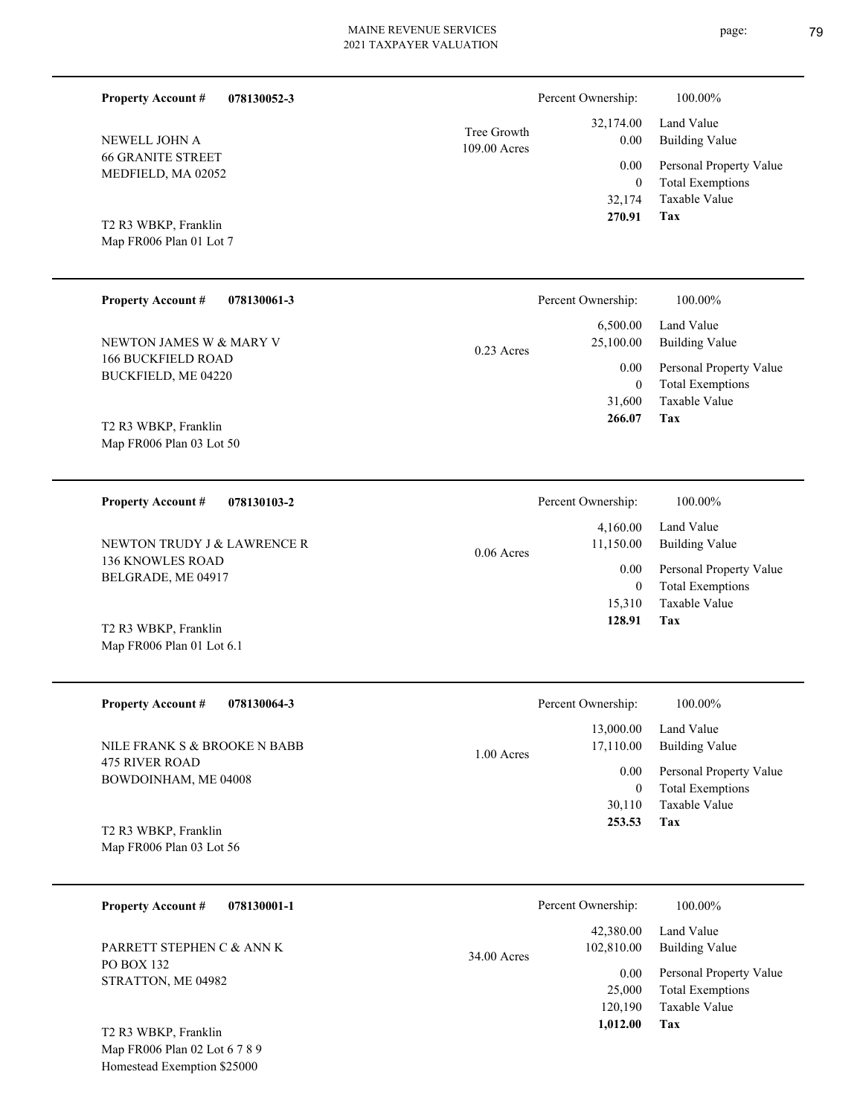| <b>Property Account #</b><br>078130052-3          |                             | Percent Ownership:                         | 100.00%                                                                    |
|---------------------------------------------------|-----------------------------|--------------------------------------------|----------------------------------------------------------------------------|
| NEWELL JOHN A                                     | Tree Growth<br>109.00 Acres | 32,174.00<br>0.00                          | Land Value<br><b>Building Value</b>                                        |
| <b>66 GRANITE STREET</b><br>MEDFIELD, MA 02052    |                             | 0.00<br>$\overline{0}$<br>32,174           | Personal Property Value<br><b>Total Exemptions</b><br>Taxable Value        |
| T2 R3 WBKP, Franklin<br>Map FR006 Plan 01 Lot 7   |                             | 270.91                                     | Tax                                                                        |
| <b>Property Account #</b><br>078130061-3          |                             | Percent Ownership:                         | 100.00%                                                                    |
| NEWTON JAMES W & MARY V                           | 0.23 Acres                  | 6,500.00<br>25,100.00                      | Land Value<br><b>Building Value</b>                                        |
| <b>166 BUCKFIELD ROAD</b><br>BUCKFIELD, ME 04220  |                             | 0.00<br>$\overline{0}$<br>31,600<br>266.07 | Personal Property Value<br><b>Total Exemptions</b><br>Taxable Value<br>Tax |
| T2 R3 WBKP, Franklin<br>Map FR006 Plan 03 Lot 50  |                             |                                            |                                                                            |
| <b>Property Account #</b><br>078130103-2          |                             | Percent Ownership:                         | 100.00%                                                                    |
| NEWTON TRUDY J & LAWRENCE R                       | $0.06$ Acres                | 4,160.00<br>11,150.00                      | Land Value<br><b>Building Value</b>                                        |
| <b>136 KNOWLES ROAD</b><br>BELGRADE, ME 04917     |                             | 0.00<br>$\mathbf{0}$                       | Personal Property Value<br><b>Total Exemptions</b>                         |
| T2 R3 WBKP, Franklin<br>Map FR006 Plan 01 Lot 6.1 |                             | 15,310<br>128.91                           | Taxable Value<br><b>Tax</b>                                                |
|                                                   |                             |                                            |                                                                            |
| <b>Property Account #</b><br>078130064-3          |                             | Percent Ownership:                         | 100.00%                                                                    |
| NILE FRANK S & BROOKE N BABB                      | 1.00 Acres                  | 13,000.00<br>17,110.00                     | Land Value<br><b>Building Value</b>                                        |
| 475 RIVER ROAD<br>BOWDOINHAM, ME 04008            |                             | 0.00<br>$\overline{0}$                     | Personal Property Value<br><b>Total Exemptions</b>                         |
| T2 R3 WBKP, Franklin<br>Map FR006 Plan 03 Lot 56  |                             | 30,110<br>253.53                           | Taxable Value<br>Tax                                                       |
|                                                   |                             |                                            |                                                                            |
| <b>Property Account #</b><br>078130001-1          |                             | Percent Ownership:<br>42,380.00            | 100.00%<br>Land Value                                                      |
| PARRETT STEPHEN C & ANN K<br>PO BOX 132           | 34.00 Acres                 | 102,810.00                                 | <b>Building Value</b>                                                      |
| STRATTON, ME 04982<br>יו ת <i>זותו</i> ווי מי     |                             | 0.00<br>25,000<br>120,190<br>1,012.00      | Personal Property Value<br><b>Total Exemptions</b><br>Taxable Value<br>Tax |

Map FR006 Plan 02 Lot 6 7 8 9 Homestead Exemption \$25000 T2 R3 WBKP, Franklin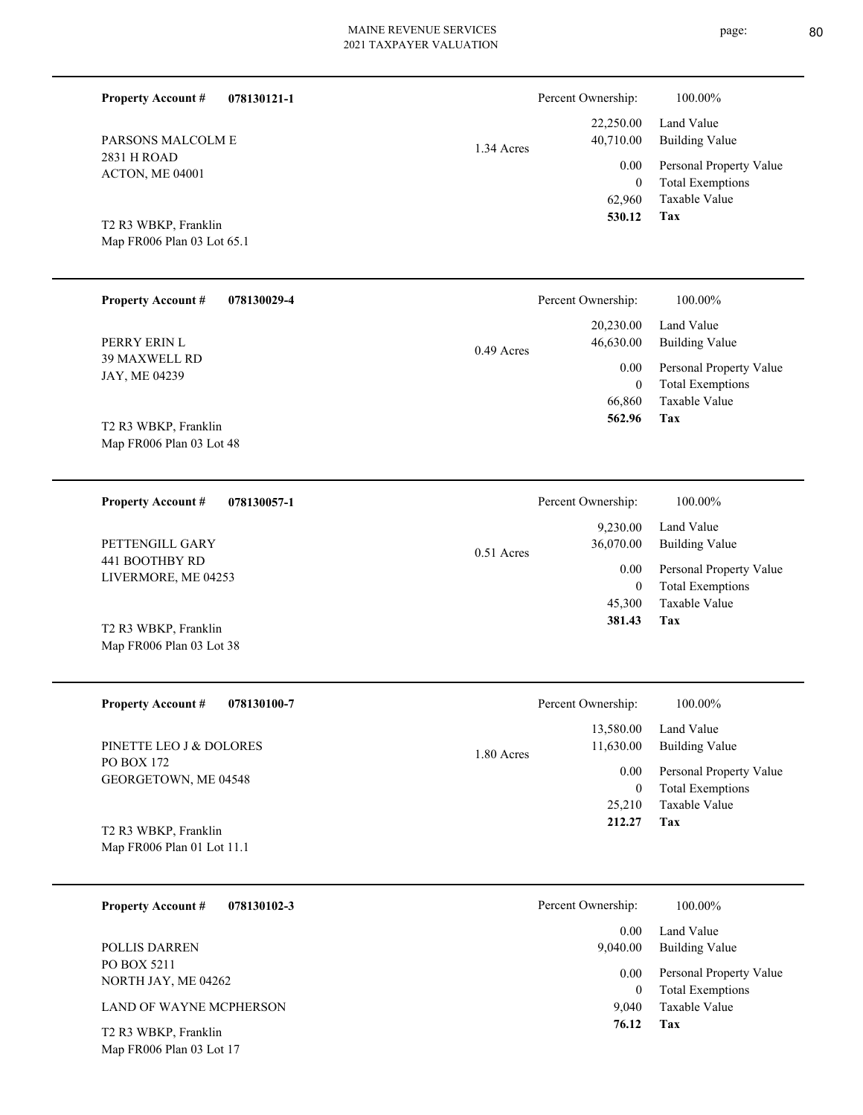22,250.00 40,710.00 1.34 Acres Percent Ownership:  $100.00\%$ 

2831 H ROAD ACTON, ME 04001 PARSONS MALCOLM E

**Property Account #**

**078130121-1**

Map FR006 Plan 03 Lot 65.1 T2 R3 WBKP, Franklin

| <b>Property Account #</b><br>078130029-4              | Percent Ownership:        | 100.00%                 |
|-------------------------------------------------------|---------------------------|-------------------------|
|                                                       | 20,230.00                 | Land Value              |
| PERRY ERIN L<br><b>39 MAXWELL RD</b><br>JAY, ME 04239 | 46,630.00<br>$0.49$ Acres | Building Value          |
|                                                       | 0.00                      | Personal Property Value |
|                                                       | $\overline{0}$            | <b>Total Exemptions</b> |
|                                                       | 66,860                    | Taxable Value           |
| $T2$ D <sub>2</sub> WD <sub>K</sub> D Fronklin        | 562.96                    | Tax                     |

0.51 Acres

Map FR006 Plan 03 Lot 48 T2 R3 WBKP, Franklin

**078130057-1 Property Account #**

441 BOOTHBY RD LIVERMORE, ME 04253 PETTENGILL GARY

Map FR006 Plan 03 Lot 38 T2 R3 WBKP, Franklin

| <b>Property Account #</b><br>078130100-7           | Percent Ownership:                   | 100.00%                                            |
|----------------------------------------------------|--------------------------------------|----------------------------------------------------|
| PINETTE LEO J & DOLORES                            | 13,580.00<br>11,630.00<br>1.80 Acres | Land Value<br>Building Value                       |
| PO BOX 172<br>GEORGETOWN, ME 04548                 | 0.00<br>0                            | Personal Property Value<br><b>Total Exemptions</b> |
|                                                    | 25,210                               | Taxable Value                                      |
| T2 R3 WBKP, Franklin<br>Map FR006 Plan 01 Lot 11.1 | 212.27                               | Tax                                                |

| 078130102-3<br><b>Property Account #</b> | Percent Ownership: | 100.00%                                            |
|------------------------------------------|--------------------|----------------------------------------------------|
|                                          | 0.00               | Land Value                                         |
| <b>POLLIS DARREN</b>                     | 9,040.00           | Building Value                                     |
| PO BOX 5211<br>NORTH JAY, ME 04262       | 0.00<br>$\theta$   | Personal Property Value<br><b>Total Exemptions</b> |
| LAND OF WAYNE MCPHERSON                  | 9.040              | Taxable Value                                      |
| T2 R3 WBKP, Franklin                     | 76.12              | Tax                                                |

Map FR006 Plan 03 Lot 17

| Percent Ownership:    | 100.00%                      |  |
|-----------------------|------------------------------|--|
| 9,230.00<br>36,070.00 | Land Value<br>Building Value |  |

**Tax**

 62,960 0

0.00

 **530.12**

Taxable Value Total Exemptions Personal Property Value

Building Value Land Value

| Personal Property Value |
|-------------------------|
| <b>Total Exemptions</b> |
| Taxable Value           |
| Tax                     |
|                         |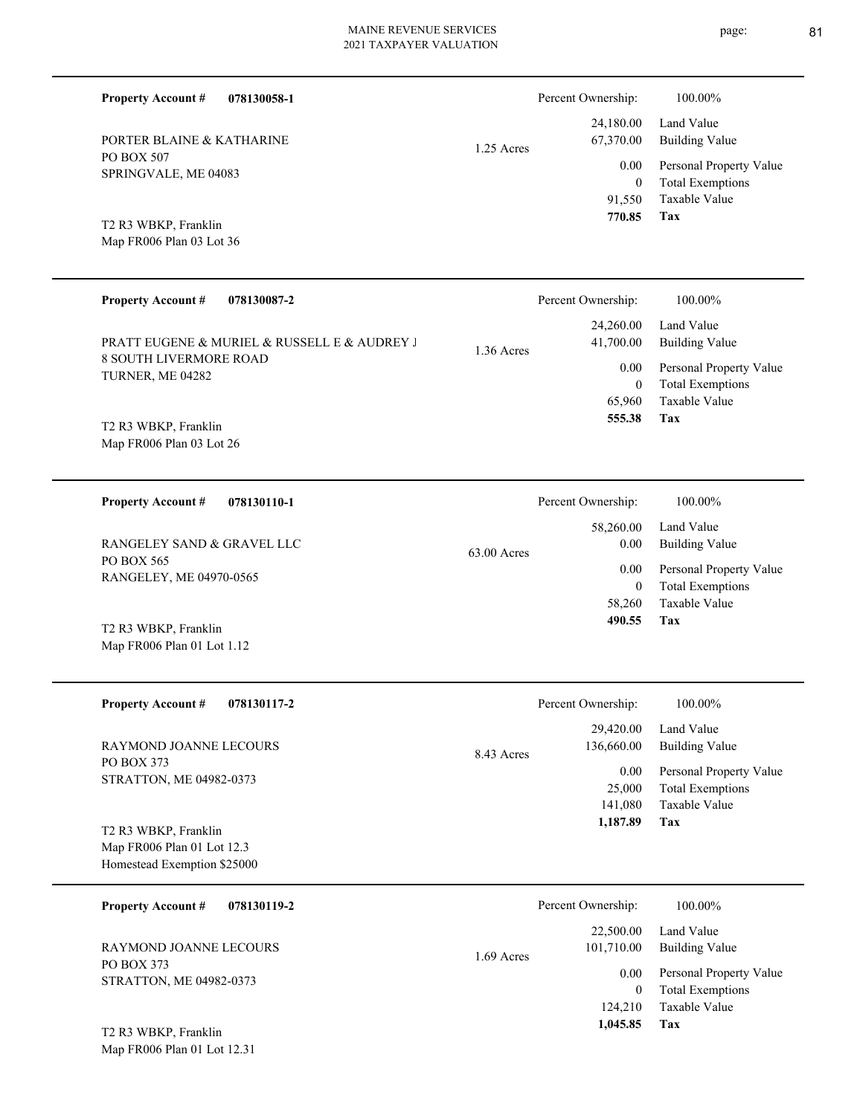|                                          | 2021 IAALATER VALUATION   |                         |
|------------------------------------------|---------------------------|-------------------------|
| <b>Property Account #</b><br>078130058-1 | Percent Ownership:        | 100.00%                 |
|                                          | 24,180.00                 | Land Value              |
| PORTER BLAINE & KATHARINE                | 67,370.00<br>$1.25$ Acres | <b>Building Value</b>   |
| PO BOX 507<br>SPRINGVALE, ME 04083       | 0.00                      | Personal Property Value |
|                                          | $\mathbf{0}$              | <b>Total Exemptions</b> |
|                                          | 91,550                    | Taxable Value           |
| T2 R3 WBKP, Franklin                     | 770.85                    | Tax                     |
| Map FR006 Plan 03 Lot 36                 |                           |                         |
|                                          |                           |                         |
| <b>Property Account #</b><br>078130087-2 | Percent Ownership:        | 100 00%                 |

| <b>Property Account #</b><br>078130087-2                                                          |            | Percent Ownership:             | 100.00%                                                                            |
|---------------------------------------------------------------------------------------------------|------------|--------------------------------|------------------------------------------------------------------------------------|
| PRATT EUGENE & MURIEL & RUSSELL E & AUDREY J<br><b>8 SOUTH LIVERMORE ROAD</b><br>TURNER, ME 04282 | 1.36 Acres | 24,260.00<br>41,700.00<br>0.00 | Land Value<br>Building Value<br>Personal Property Value<br><b>Total Exemptions</b> |
|                                                                                                   |            | 65,960                         | Taxable Value                                                                      |
| T2 R3 WBKP, Franklin                                                                              |            | 555.38                         | Tax                                                                                |

Map FR006 Plan 03 Lot 26

| 078130110-1<br><b>Property Account #</b>     | Percent Ownership:                 | 100.00%                                  |
|----------------------------------------------|------------------------------------|------------------------------------------|
| RANGELEY SAND & GRAVEL LLC                   | 58,260.00<br>0.00<br>$63.00$ Acres | Land Value<br><b>Building Value</b>      |
| PO BOX 565<br>RANGELEY, ME 04970-0565        | 0.00                               | Personal Property Value                  |
|                                              | $\boldsymbol{0}$<br>58,260         | <b>Total Exemptions</b><br>Taxable Value |
| T <sub>2</sub> R <sub>3</sub> WBKP, Franklin | 490.55                             | Tax                                      |

| 12 R. WDRI, FIAMMIN        |
|----------------------------|
| Map FR006 Plan 01 Lot 1.12 |

| <b>Property Account #</b><br>078130117-2                                          | Percent Ownership:                    | 100.00%                                                             |
|-----------------------------------------------------------------------------------|---------------------------------------|---------------------------------------------------------------------|
| RAYMOND JOANNE LECOURS                                                            | 29,420.00<br>136,660.00<br>8.43 Acres | Land Value<br><b>Building Value</b>                                 |
| <b>PO BOX 373</b><br>STRATTON, ME 04982-0373                                      | 0.00<br>25,000<br>141,080             | Personal Property Value<br><b>Total Exemptions</b><br>Taxable Value |
| T2 R3 WBKP, Franklin<br>Map FR006 Plan 01 Lot 12.3<br>Homestead Exemption \$25000 | 1,187.89                              | Tax                                                                 |

| 078130119-2<br><b>Property Account #</b>       | Percent Ownership: |                                                                          | 100.00%                             |
|------------------------------------------------|--------------------|--------------------------------------------------------------------------|-------------------------------------|
| <b>RAYMOND JOANNE LECOURS</b>                  | $1.69$ Acres       | 22,500.00                                                                | Land Value<br><b>Building Value</b> |
| PO BOX 373<br>STRATTON, ME 04982-0373          |                    | 101,710.00<br>Personal Property Value<br>0.00<br><b>Total Exemptions</b> |                                     |
| $T2$ D <sub>2</sub> WD <sub>K</sub> D Frontlin |                    | 124,210<br>1,045.85                                                      | Taxable Value<br>Tax                |

Map FR006 Plan 01 Lot 12.31 T2 R3 WBKP, Franklin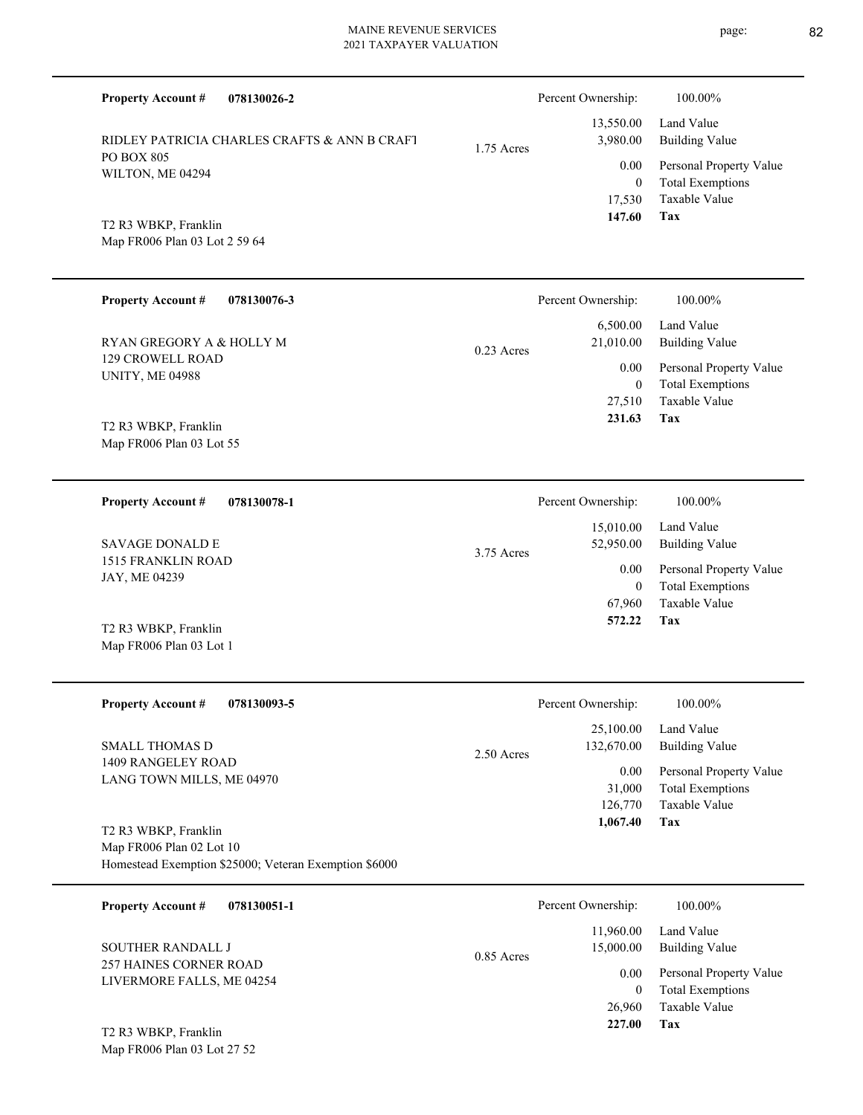| <b>Property Account #</b><br>078130026-2                                                                  |              | Percent Ownership:                       | 100.00%                                                                           |
|-----------------------------------------------------------------------------------------------------------|--------------|------------------------------------------|-----------------------------------------------------------------------------------|
| RIDLEY PATRICIA CHARLES CRAFTS & ANN B CRAFT                                                              | 1.75 Acres   | 13,550.00<br>3,980.00                    | Land Value<br><b>Building Value</b>                                               |
| PO BOX 805<br>WILTON, ME 04294                                                                            |              | 0.00<br>$\overline{0}$                   | Personal Property Value<br><b>Total Exemptions</b>                                |
| T2 R3 WBKP, Franklin<br>Map FR006 Plan 03 Lot 2 59 64                                                     |              | 17,530<br>147.60                         | Taxable Value<br>Tax                                                              |
| <b>Property Account #</b><br>078130076-3                                                                  |              | Percent Ownership:                       | 100.00%                                                                           |
| RYAN GREGORY A & HOLLY M                                                                                  | $0.23$ Acres | 6,500.00<br>21,010.00                    | Land Value<br><b>Building Value</b>                                               |
| <b>129 CROWELL ROAD</b><br><b>UNITY, ME 04988</b><br>T2 R3 WBKP, Franklin                                 |              | 0.00<br>$\mathbf{0}$<br>27,510<br>231.63 | Personal Property Value<br><b>Total Exemptions</b><br><b>Taxable Value</b><br>Tax |
| Map FR006 Plan 03 Lot 55                                                                                  |              |                                          |                                                                                   |
| 078130078-1<br><b>Property Account #</b>                                                                  |              | Percent Ownership:                       | 100.00%                                                                           |
| <b>SAVAGE DONALD E</b>                                                                                    | $3.75$ Acres | 15,010.00<br>52,950.00                   | Land Value<br><b>Building Value</b>                                               |
| 1515 FRANKLIN ROAD<br>JAY, ME 04239                                                                       |              | 0.00<br>$\mathbf{0}$<br>67,960           | Personal Property Value<br><b>Total Exemptions</b><br><b>Taxable Value</b>        |
| T2 R3 WBKP, Franklin<br>Map FR006 Plan 03 Lot 1                                                           |              | 572.22                                   | Tax                                                                               |
| <b>Property Account #</b><br>078130093-5                                                                  |              | Percent Ownership:                       | $100.00\%$                                                                        |
| <b>SMALL THOMAS D</b>                                                                                     | $2.50$ Acres | 25,100.00<br>132,670.00                  | Land Value<br><b>Building Value</b>                                               |
| 1409 RANGELEY ROAD<br>LANG TOWN MILLS, ME 04970                                                           |              | 0.00<br>31,000<br>126,770<br>1,067.40    | Personal Property Value<br><b>Total Exemptions</b><br>Taxable Value<br>Tax        |
| T2 R3 WBKP, Franklin<br>Map FR006 Plan 02 Lot 10<br>Homestead Exemption \$25000; Veteran Exemption \$6000 |              |                                          |                                                                                   |
| 078130051-1<br><b>Property Account #</b>                                                                  |              | Percent Ownership:                       | 100.00%                                                                           |
| SOUTHER RANDALL J                                                                                         | 0.85 Acres   | 11,960.00<br>15,000.00                   | Land Value<br><b>Building Value</b>                                               |
| 257 HAINES CORNER ROAD<br>LIVERMORE FALLS, ME 04254                                                       |              | 0.00<br>$\boldsymbol{0}$<br>26,960       | Personal Property Value<br><b>Total Exemptions</b><br>Taxable Value               |

**Tax 227.00**

Map FR006 Plan 03 Lot 27 52 T2 R3 WBKP, Franklin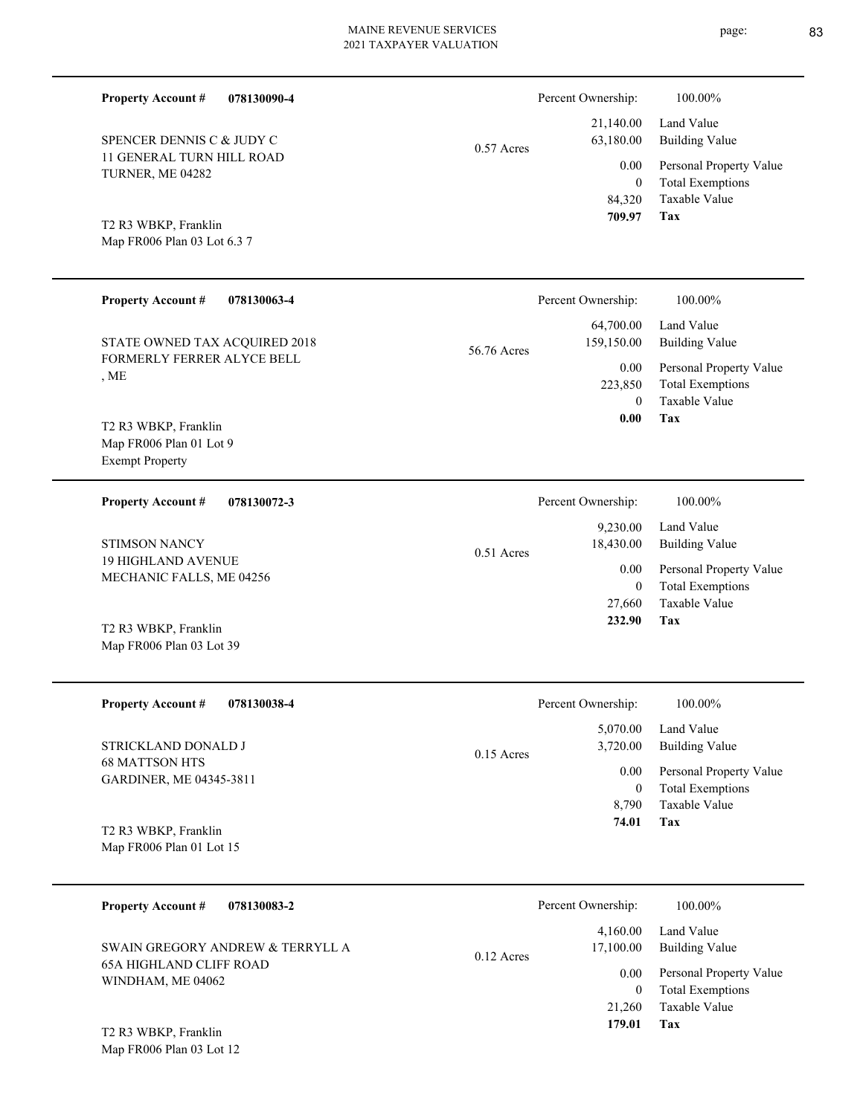| <b>Property Account #</b><br>078130090-4              |              | Percent Ownership:             | 100.00%                                                             |
|-------------------------------------------------------|--------------|--------------------------------|---------------------------------------------------------------------|
| SPENCER DENNIS C & JUDY C                             | $0.57$ Acres | 21,140.00<br>63,180.00         | Land Value<br><b>Building Value</b>                                 |
| 11 GENERAL TURN HILL ROAD<br>TURNER, ME 04282         |              | 0.00<br>$\mathbf{0}$           | Personal Property Value<br><b>Total Exemptions</b>                  |
| T2 R3 WBKP, Franklin<br>Map FR006 Plan 03 Lot 6.3 7   |              | 84,320<br>709.97               | Taxable Value<br>Tax                                                |
| <b>Property Account #</b><br>078130063-4              |              | Percent Ownership:             | 100.00%                                                             |
| STATE OWNED TAX ACQUIRED 2018                         | 56.76 Acres  | 64,700.00<br>159,150.00        | Land Value<br><b>Building Value</b>                                 |
| FORMERLY FERRER ALYCE BELL<br>, ME                    |              | 0.00<br>223,850                | Personal Property Value<br><b>Total Exemptions</b><br>Taxable Value |
| T2 R3 WBKP, Franklin                                  |              | $\Omega$<br>0.00               | Tax                                                                 |
| Map FR006 Plan 01 Lot 9<br><b>Exempt Property</b>     |              |                                |                                                                     |
| 078130072-3<br><b>Property Account #</b>              |              | Percent Ownership:             | 100.00%                                                             |
| <b>STIMSON NANCY</b>                                  | $0.51$ Acres | 9,230.00<br>18,430.00          | Land Value<br><b>Building Value</b>                                 |
| <b>19 HIGHLAND AVENUE</b><br>MECHANIC FALLS, ME 04256 |              | 0.00<br>$\mathbf{0}$<br>27,660 | Personal Property Value<br><b>Total Exemptions</b><br>Taxable Value |
| T2 R3 WBKP, Franklin<br>Map FR006 Plan 03 Lot 39      |              | 232.90                         | Tax                                                                 |
| <b>Property Account #</b><br>078130038-4              |              | Percent Ownership:             | 100.00%                                                             |
| STRICKLAND DONALD J                                   | 0.15 Acres   | 5,070.00<br>3,720.00           | Land Value<br><b>Building Value</b>                                 |
| 68 MATTSON HTS<br>GARDINER, ME 04345-3811             |              | 0.00<br>$\bf{0}$               | Personal Property Value<br><b>Total Exemptions</b>                  |
| T2 R3 WBKP, Franklin<br>Map FR006 Plan 01 Lot 15      |              | 8,790<br>74.01                 | Taxable Value<br>Tax                                                |
| <b>Property Account #</b><br>078130083-2              |              | Percent Ownership:             | $100.00\%$                                                          |
| SWAIN GREGORY ANDREW & TERRYLL A                      | 0.12 Acres   | 4,160.00<br>17,100.00          | Land Value<br><b>Building Value</b>                                 |
| <b>65A HIGHLAND CLIFF ROAD</b><br>WINDHAM, ME 04062   |              | 0.00                           | Personal Property Value                                             |

**Tax 179.01**

21,260 Taxable Value 0 Total Exemptions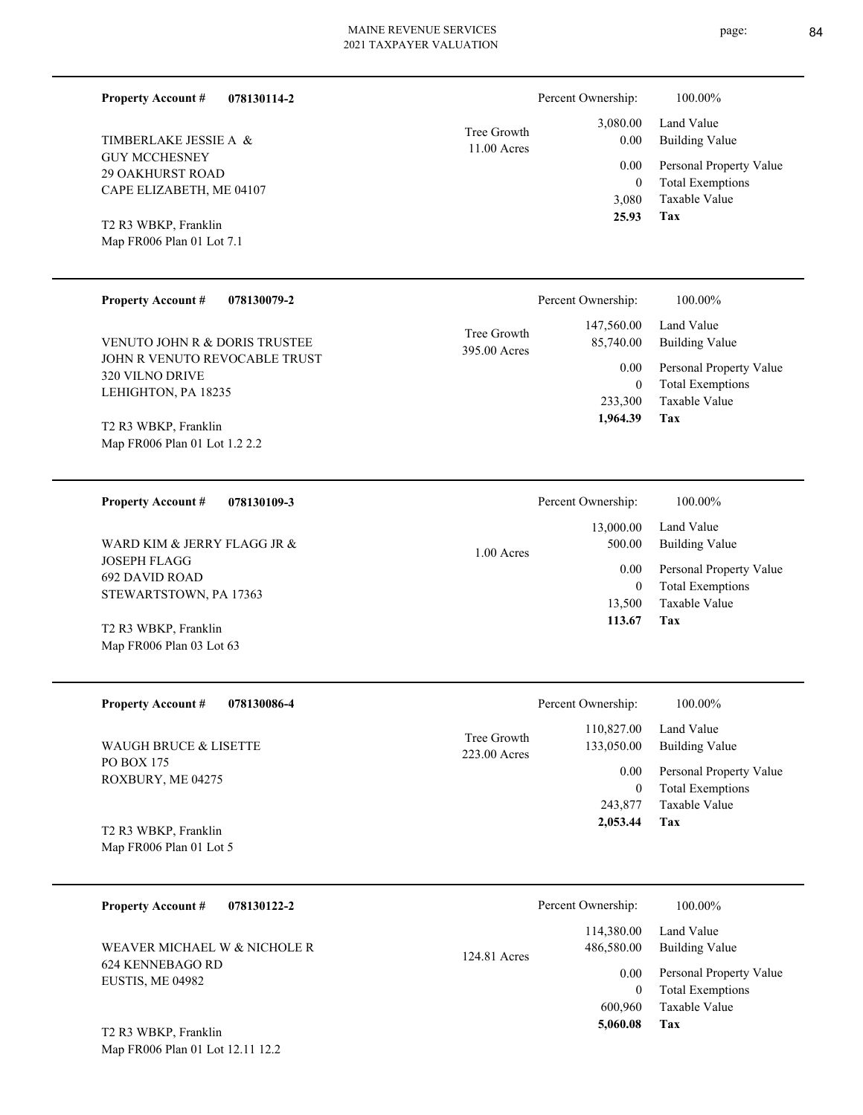| <b>Property Account #</b><br>078130114-2          |                             | Percent Ownership: | 100.00%                             |
|---------------------------------------------------|-----------------------------|--------------------|-------------------------------------|
| TIMBERLAKE JESSIE A &                             | Tree Growth<br>11.00 Acres  | 3,080.00<br>0.00   | Land Value<br><b>Building Value</b> |
| <b>GUY MCCHESNEY</b><br><b>29 OAKHURST ROAD</b>   |                             | 0.00               | Personal Property Value             |
| CAPE ELIZABETH, ME 04107                          |                             | $\theta$           | <b>Total Exemptions</b>             |
|                                                   |                             | 3,080<br>25.93     | Taxable Value<br>Tax                |
| T2 R3 WBKP, Franklin<br>Map FR006 Plan 01 Lot 7.1 |                             |                    |                                     |
|                                                   |                             |                    |                                     |
| <b>Property Account #</b><br>078130079-2          |                             | Percent Ownership: | 100.00%                             |
|                                                   |                             | 147,560.00         | Land Value                          |
| VENUTO JOHN R & DORIS TRUSTEE                     | Tree Growth<br>395.00 Acres | 85,740.00          | <b>Building Value</b>               |
| JOHN R VENUTO REVOCABLE TRUST                     |                             | 0.00               | Personal Property Value             |
| 320 VILNO DRIVE<br>LEHIGHTON, PA 18235            |                             | $\mathbf{0}$       | <b>Total Exemptions</b>             |
|                                                   |                             | 233,300            | Taxable Value                       |
| T2 R3 WBKP, Franklin                              |                             | 1,964.39           | Tax                                 |
| Map FR006 Plan 01 Lot 1.2 2.2                     |                             |                    |                                     |
|                                                   |                             |                    |                                     |
| <b>Property Account #</b><br>078130109-3          |                             | Percent Ownership: | 100.00%                             |
|                                                   |                             | 13,000.00          | Land Value                          |
| WARD KIM & JERRY FLAGG JR &                       | 1.00 Acres                  | 500.00             | <b>Building Value</b>               |
| <b>JOSEPH FLAGG</b><br><b>692 DAVID ROAD</b>      |                             | 0.00               | Personal Property Value             |
| STEWARTSTOWN, PA 17363                            |                             | $\mathbf{0}$       | <b>Total Exemptions</b>             |
|                                                   |                             | 13,500<br>113.67   | Taxable Value<br>Tax                |
| T2 R3 WBKP, Franklin                              |                             |                    |                                     |
| Map FR006 Plan 03 Lot 63                          |                             |                    |                                     |
| <b>Property Account #</b><br>078130086-4          |                             | Percent Ownership: | 100.00%                             |
|                                                   |                             | 110,827.00         | Land Value                          |
| WAUGH BRUCE & LISETTE                             | Tree Growth                 | 133,050.00         | <b>Building Value</b>               |
| PO BOX 175                                        | 223.00 Acres                | 0.00               | Personal Property Value             |
| ROXBURY, ME 04275                                 |                             | $\boldsymbol{0}$   | <b>Total Exemptions</b>             |
|                                                   |                             | 243,877            | Taxable Value                       |
| T2 R3 WBKP, Franklin                              |                             | 2,053.44           | <b>Tax</b>                          |
| Map FR006 Plan 01 Lot 5                           |                             |                    |                                     |
|                                                   |                             |                    |                                     |
| <b>Property Account #</b><br>078130122-2          |                             | Percent Ownership: | 100.00%                             |
|                                                   |                             | 114,380.00         | Land Value                          |
| WEAVER MICHAEL W & NICHOLE R                      | 124.81 Acres                | 486,580.00         | <b>Building Value</b>               |

Map FR006 Plan 01 Lot 12.11 12.2 T2 R3 WBKP, Franklin

**Tax**

 600,960  $\boldsymbol{0}$ 

 **5,060.08**

Taxable Value Total Exemptions 0.00 Personal Property Value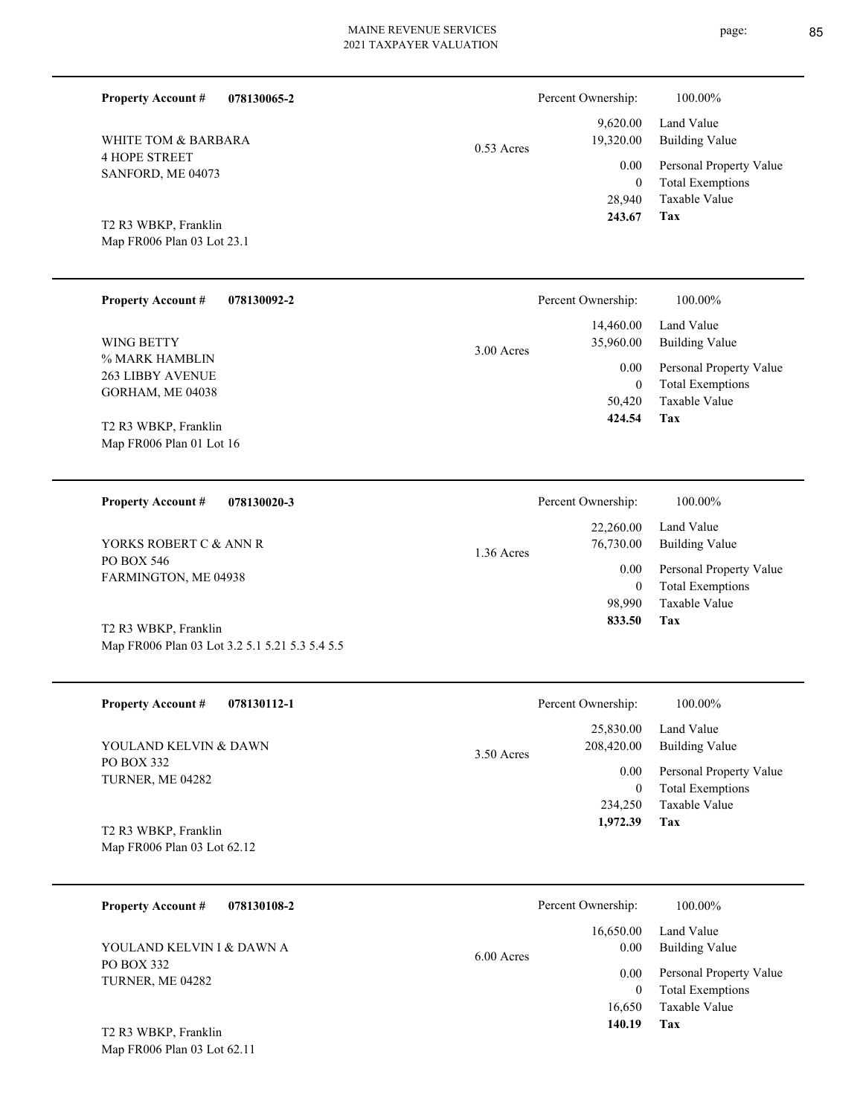| <b>Property Account #</b><br>078130065-2                               |              | Percent Ownership:               | 100.00%                                                             |
|------------------------------------------------------------------------|--------------|----------------------------------|---------------------------------------------------------------------|
| WHITE TOM & BARBARA                                                    | $0.53$ Acres | 9,620.00<br>19,320.00            | Land Value<br><b>Building Value</b>                                 |
| <b>4 HOPE STREET</b><br>SANFORD, ME 04073                              |              | 0.00<br>$\mathbf{0}$<br>28,940   | Personal Property Value<br><b>Total Exemptions</b><br>Taxable Value |
| T2 R3 WBKP, Franklin                                                   |              | 243.67                           | <b>Tax</b>                                                          |
| Map FR006 Plan 03 Lot 23.1                                             |              |                                  |                                                                     |
| <b>Property Account #</b><br>078130092-2                               |              | Percent Ownership:               | 100.00%                                                             |
| WING BETTY                                                             | 3.00 Acres   | 14,460.00<br>35,960.00           | Land Value<br><b>Building Value</b>                                 |
| % MARK HAMBLIN<br><b>263 LIBBY AVENUE</b>                              |              | 0.00                             | Personal Property Value                                             |
| GORHAM, ME 04038                                                       |              | $\mathbf{0}$<br>50,420           | <b>Total Exemptions</b><br>Taxable Value                            |
| T2 R3 WBKP, Franklin                                                   |              | 424.54                           | Tax                                                                 |
| Map FR006 Plan 01 Lot 16                                               |              |                                  |                                                                     |
| <b>Property Account #</b><br>078130020-3                               |              | Percent Ownership:               | 100.00%                                                             |
| YORKS ROBERT C & ANN R                                                 | 1.36 Acres   | 22,260.00<br>76,730.00           | Land Value<br><b>Building Value</b>                                 |
| PO BOX 546<br>FARMINGTON, ME 04938                                     |              | 0.00                             | Personal Property Value                                             |
|                                                                        |              | $\mathbf{0}$<br>98,990<br>833.50 | <b>Total Exemptions</b><br>Taxable Value<br>Tax                     |
| T2 R3 WBKP, Franklin<br>Map FR006 Plan 03 Lot 3.2 5.1 5.21 5.3 5.4 5.5 |              |                                  |                                                                     |
|                                                                        |              |                                  |                                                                     |
| 078130112-1<br><b>Property Account #</b>                               |              | Percent Ownership:               | 100.00%                                                             |
| YOULAND KELVIN & DAWN                                                  | 3.50 Acres   | 25,830.00<br>208,420.00          | Land Value<br><b>Building Value</b>                                 |
| PO BOX 332<br>TURNER, ME 04282                                         |              | 0.00<br>$\mathbf{0}$             | Personal Property Value<br><b>Total Exemptions</b>                  |
|                                                                        |              | 234,250                          | Taxable Value                                                       |
| T2 R3 WBKP, Franklin<br>Map FR006 Plan 03 Lot 62.12                    |              | 1,972.39                         | Tax                                                                 |
|                                                                        |              |                                  |                                                                     |
| <b>Property Account #</b><br>078130108-2                               |              | Percent Ownership:               | 100.00%                                                             |
| YOULAND KELVIN I & DAWN A                                              | 6.00 Acres   | 16,650.00<br>0.00                | Land Value<br><b>Building Value</b>                                 |
| PO BOX 332<br>TURNER, ME 04282                                         |              | 0.00                             | Personal Property Value                                             |
|                                                                        |              | $\mathbf{0}$<br>16,650           | <b>Total Exemptions</b><br>Taxable Value                            |
| T2 R3 WBKP, Franklin<br>Map FR006 Plan 03 Lot 62.11                    |              | 140.19                           | <b>Tax</b>                                                          |
|                                                                        |              |                                  |                                                                     |

page: 85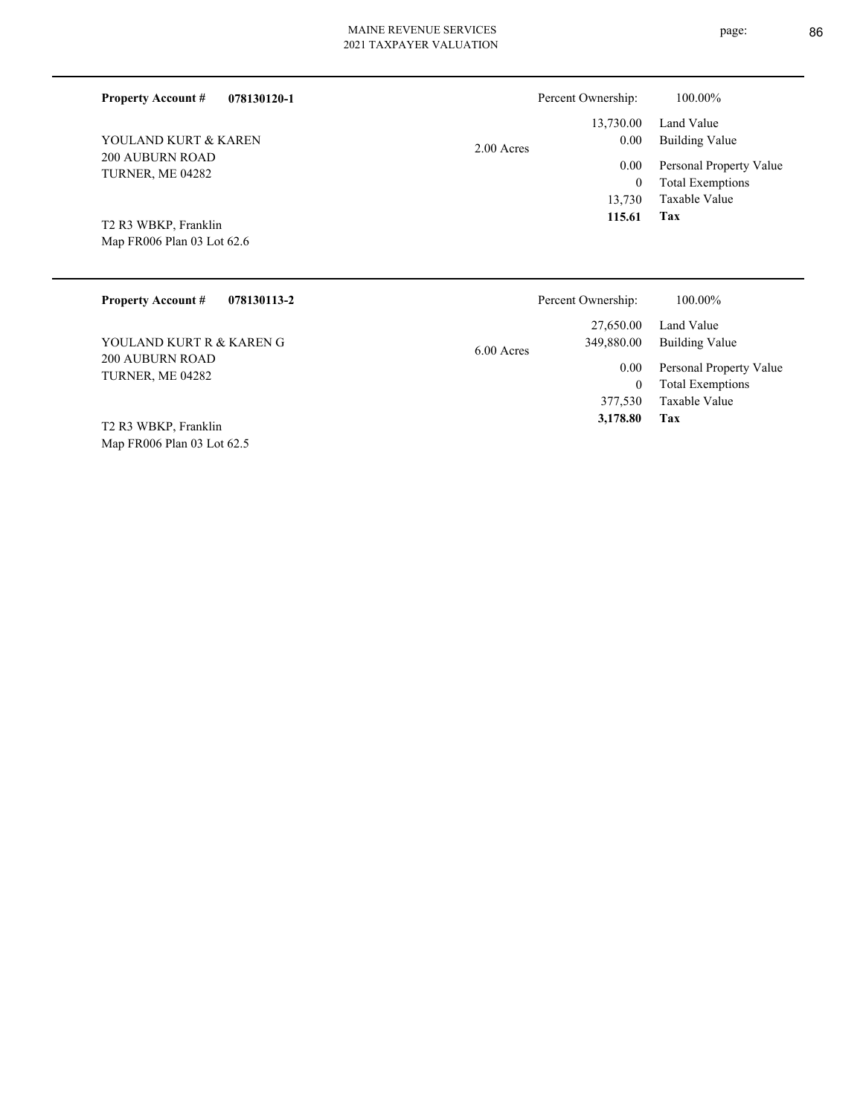# MAINE REVENUE SERVICES **TION**

| 2021 TAXPAYER VALUAT |  |
|----------------------|--|
|                      |  |

| 078130120-1<br><b>Property Account #</b>           | Percent Ownership:                    | 100.00%                                                                                                                                                                                                                                                                                                                                                                                 |
|----------------------------------------------------|---------------------------------------|-----------------------------------------------------------------------------------------------------------------------------------------------------------------------------------------------------------------------------------------------------------------------------------------------------------------------------------------------------------------------------------------|
| YOULAND KURT & KAREN                               | 13,730.00<br>$0.00\,$<br>2.00 Acres   | Land Value<br><b>Building Value</b>                                                                                                                                                                                                                                                                                                                                                     |
| <b>200 AUBURN ROAD</b><br>TURNER, ME 04282         | 0.00<br>$\mathbf{0}$<br>13,730        | Personal Property Value<br><b>Total Exemptions</b><br>Taxable Value                                                                                                                                                                                                                                                                                                                     |
| T2 R3 WBKP, Franklin<br>Map FR006 Plan 03 Lot 62.6 | 115.61                                | Tax                                                                                                                                                                                                                                                                                                                                                                                     |
| <b>Property Account #</b><br>078130113-2           | Percent Ownership:                    | 100.00%                                                                                                                                                                                                                                                                                                                                                                                 |
| YOULAND KURT R & KAREN G<br><b>200 AUBURN ROAD</b> | 27,650.00<br>349,880.00<br>6.00 Acres | Land Value<br><b>Building Value</b><br>$0.00 \t B$ 1 $\overline{D}$ 1 $\overline{D}$ 1 $\overline{I}$ 1 $\overline{I}$ 1 $\overline{I}$ 1 $\overline{I}$ 1 $\overline{I}$ 1 $\overline{I}$ 1 $\overline{I}$ 1 $\overline{I}$ 1 $\overline{I}$ 1 $\overline{I}$ 1 $\overline{I}$ 1 $\overline{I}$ 1 $\overline{I}$ 1 $\overline{I}$ 1 $\overline{I}$ 1 $\overline{I}$ 1 $\overline{I}$ 1 |

TURNER, ME 04282

Map FR006 Plan 03 Lot 62.5 T2 R3 WBKP, Franklin

**Tax**

 377,530  $\mathbf{0}$ 

 **3,178.80**

Taxable Value Total Exemptions 0.00 Personal Property Value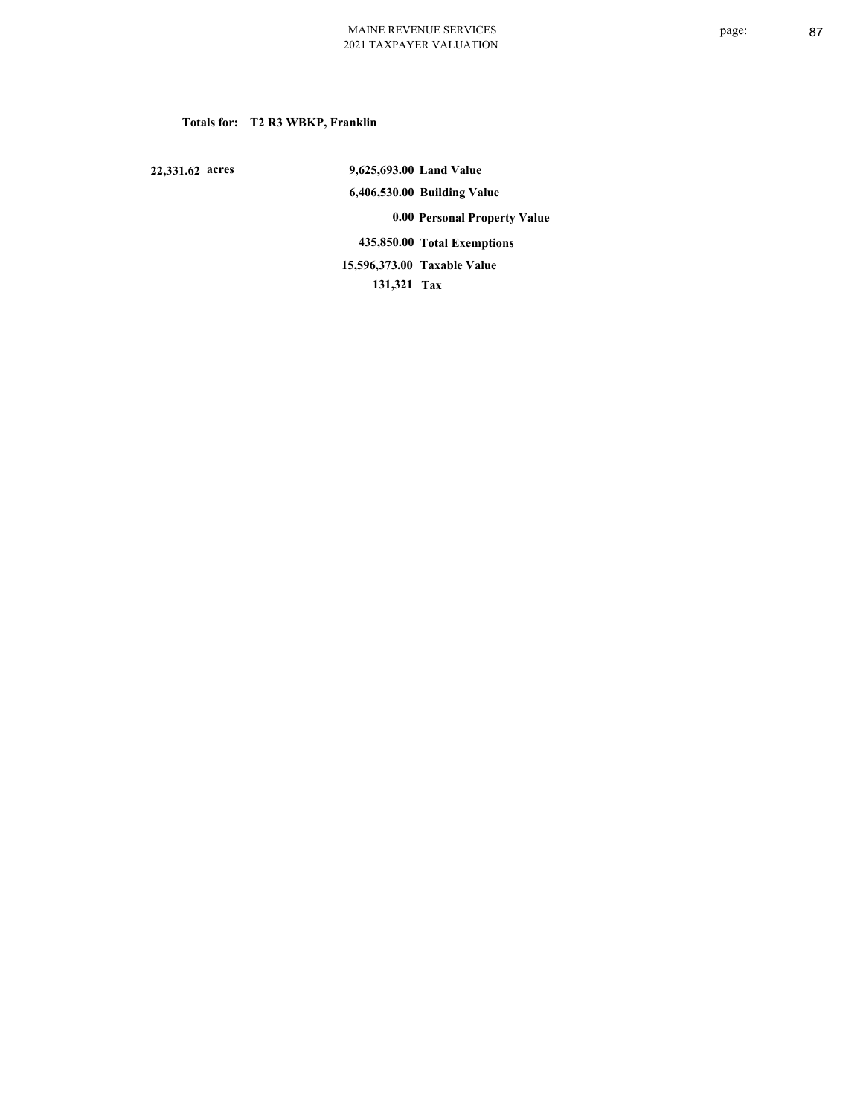# **Totals for: T2 R3 WBKP, Franklin**

 **22,331.62 acres**

 **9,625,693.00 Land Value 6,406,530.00 Building Value 0.00 Personal Property Value 435,850.00 Total Exemptions 131,321 Tax Taxable Value 15,596,373.00**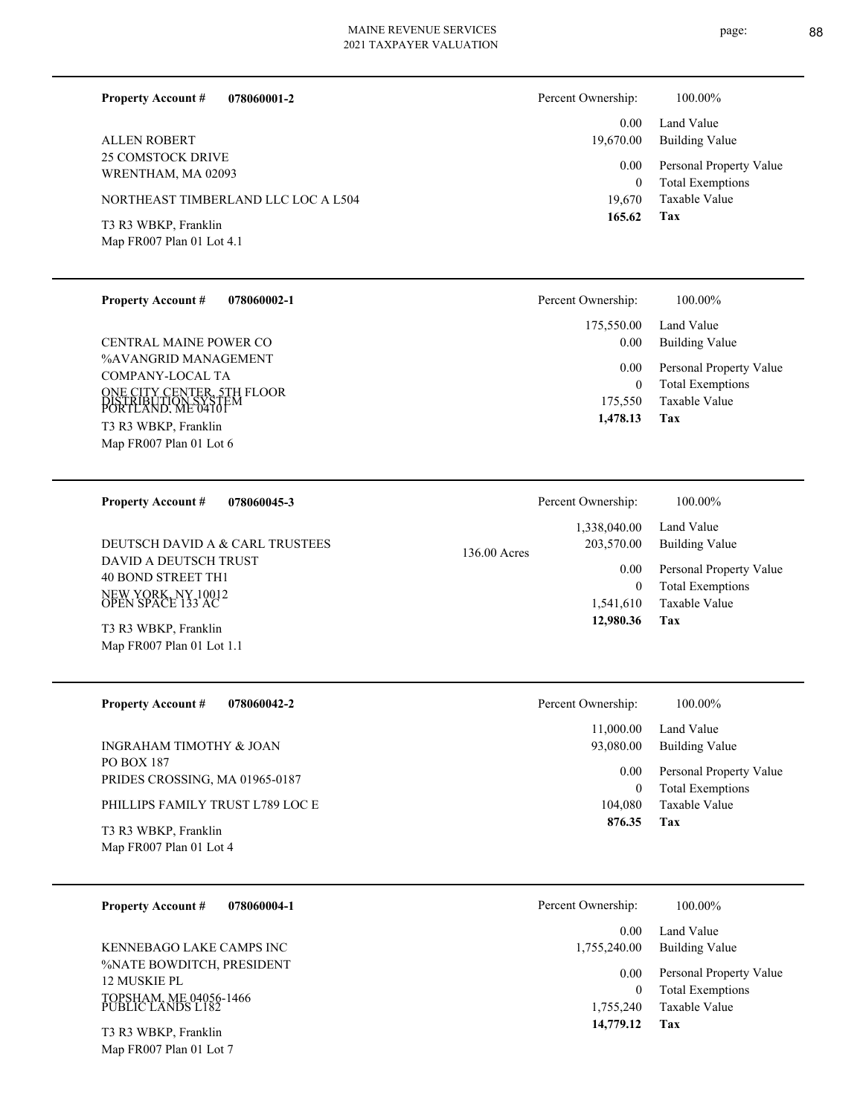page: 88

| 078060001-2<br><b>Property Account #</b>          | Percent Ownership: | 100.00%                                  |
|---------------------------------------------------|--------------------|------------------------------------------|
| <b>ALLEN ROBERT</b>                               | 0.00<br>19,670.00  | Land Value<br>Building Value             |
| 25 COMSTOCK DRIVE<br>WRENTHAM, MA 02093           | 0.00               | Personal Property Value                  |
| NORTHEAST TIMBERLAND LLC LOC A L504               | 0<br>19.670        | <b>Total Exemptions</b><br>Taxable Value |
| T3 R3 WBKP, Franklin<br>Map FR007 Plan 01 Lot 4.1 | 165.62             | Tax                                      |

| <b>Property Account #</b>                                               | 078060002-1 | Percent Ownership: | 100.00%                 |
|-------------------------------------------------------------------------|-------------|--------------------|-------------------------|
| CENTRAL MAINE POWER CO                                                  |             | 175,550.00         | Land Value              |
| %AVANGRID MANAGEMENT                                                    |             | 0.00               | Building Value          |
| COMPANY-LOCAL TA                                                        |             | 0.00               | Personal Property Value |
| ONE CITY CENTER, 5TH FLOOR<br>DISTRIBUTION SYSTEM<br>PORTLAND. ME 04101 |             | $\overline{0}$     | <b>Total Exemptions</b> |
| T3 R3 WBKP, Franklin                                                    |             | 175,550            | Taxable Value           |
| Map FR007 Plan 01 Lot 6                                                 |             | 1,478.13           | Tax                     |

| <b>Property Account #</b><br>078060045-3                                               | Percent Ownership:                         | 100.00%                                                             |
|----------------------------------------------------------------------------------------|--------------------------------------------|---------------------------------------------------------------------|
| DEUTSCH DAVID A & CARL TRUSTEES                                                        | 1,338,040.00<br>203,570.00<br>136.00 Acres | Land Value<br>Building Value                                        |
| DAVID A DEUTSCH TRUST<br>40 BOND STREET TH1<br>NEW YORK, NY 10012<br>OPEN SPACE 133 AC | 0.00<br>$\theta$<br>1,541,610              | Personal Property Value<br><b>Total Exemptions</b><br>Taxable Value |
| T3 R3 WBKP, Franklin<br>Map FR007 Plan 01 Lot 1.1                                      | 12,980.36                                  | Tax                                                                 |

| <b>Property Account #</b><br>078060042-2        | Percent Ownership: | 100.00%                                            |
|-------------------------------------------------|--------------------|----------------------------------------------------|
|                                                 | 11,000.00          | Land Value                                         |
| INGRAHAM TIMOTHY & JOAN                         | 93,080.00          | <b>Building Value</b>                              |
| PO BOX 187<br>PRIDES CROSSING, MA 01965-0187    | 0.00<br>$\theta$   | Personal Property Value<br><b>Total Exemptions</b> |
| PHILLIPS FAMILY TRUST L789 LOC E                | 104.080            | Taxable Value                                      |
| T3 R3 WBKP, Franklin<br>Map FR007 Plan 01 Lot 4 | 876.35             | Tax                                                |

| Percent Ownership:   | 100.00%                                            |
|----------------------|----------------------------------------------------|
| 0.00<br>1,755,240.00 | Land Value<br>Building Value                       |
| 0.00<br>0            | Personal Property Value<br><b>Total Exemptions</b> |
| 1.755.240            | Taxable Value                                      |
| 14,779.12            | Tax                                                |

**078060004-1 Property Account #**

%NATE BOWDITCH, PRESIDENT 12 MUSKIE PL TOPSHAM, ME 04056-1466 PUBLIC LANDS L182 KENNEBAGO LAKE CAMPS INC

Map FR007 Plan 01 Lot 7 T3 R3 WBKP, Franklin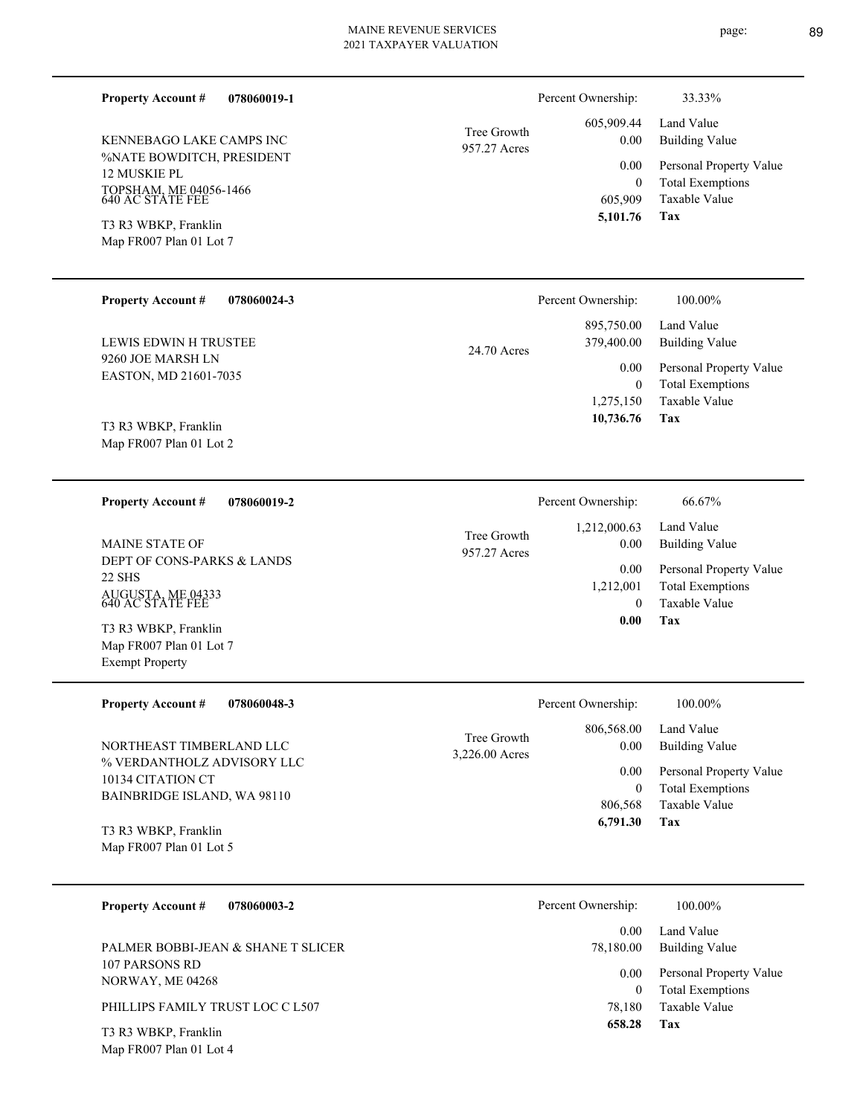| <b>Property Account #</b><br>078060019-1        |                             | Percent Ownership:        | 33.33%                                          |
|-------------------------------------------------|-----------------------------|---------------------------|-------------------------------------------------|
| KENNEBAGO LAKE CAMPS INC                        | Tree Growth                 | 605,909.44<br>0.00        | Land Value<br><b>Building Value</b>             |
| %NATE BOWDITCH, PRESIDENT                       | 957.27 Acres                | 0.00                      | Personal Property Value                         |
| 12 MUSKIE PL                                    |                             | $\boldsymbol{0}$          | <b>Total Exemptions</b>                         |
| TOPSHAM, ME 04056-1466<br>640 AC STATE FEE      |                             | 605,909<br>5,101.76       | Taxable Value<br>Tax                            |
| T3 R3 WBKP, Franklin<br>Map FR007 Plan 01 Lot 7 |                             |                           |                                                 |
| <b>Property Account #</b><br>078060024-3        |                             | Percent Ownership:        | 100.00%                                         |
| LEWIS EDWIN H TRUSTEE                           | 24.70 Acres                 | 895,750.00<br>379,400.00  | Land Value<br><b>Building Value</b>             |
| 9260 JOE MARSH LN<br>EASTON, MD 21601-7035      |                             | 0.00                      | Personal Property Value                         |
|                                                 |                             | $\mathbf{0}$<br>1,275,150 | <b>Total Exemptions</b><br>Taxable Value        |
| T3 R3 WBKP, Franklin<br>Map FR007 Plan 01 Lot 2 |                             | 10,736.76                 | Tax                                             |
| <b>Property Account #</b><br>078060019-2        |                             | Percent Ownership:        | 66.67%                                          |
| <b>MAINE STATE OF</b>                           | Tree Growth<br>957.27 Acres | 1,212,000.63<br>0.00      | Land Value<br><b>Building Value</b>             |
| DEPT OF CONS-PARKS & LANDS<br>22 SHS            |                             | 0.00                      | Personal Property Value                         |
| AUGUSTA, ME 04333<br>640 AC STATE FEE           |                             | 1,212,001<br>$\theta$     | <b>Total Exemptions</b><br><b>Taxable Value</b> |
| T3 R3 WBKP, Franklin<br>Map FR007 Plan 01 Lot 7 |                             | 0.00                      | Tax                                             |
| <b>Exempt Property</b>                          |                             |                           |                                                 |
| <b>Property Account #</b><br>078060048-3        |                             | Percent Ownership:        | 100.00%                                         |
| NORTHEAST TIMBERLAND LLC                        | Tree Growth                 | 806,568.00<br>0.00        | Land Value<br><b>Building Value</b>             |
| $\frac{1}{2}$                                   | 3,226.00 Acres              |                           |                                                 |

% VERDANTHOLZ ADVISORY LLC 10134 CITATION CT BAINBRIDGE ISLAND, WA 98110

Map FR007 Plan 01 Lot 5 T3 R3 WBKP, Franklin

| <b>Property Account #</b><br>078060003-2                                                                                                                                                                                                                                                               | Percent Ownership: | 100.00%                                            |
|--------------------------------------------------------------------------------------------------------------------------------------------------------------------------------------------------------------------------------------------------------------------------------------------------------|--------------------|----------------------------------------------------|
|                                                                                                                                                                                                                                                                                                        | 0.00               | Land Value                                         |
| PALMER BOBBI-JEAN & SHANE T SLICER                                                                                                                                                                                                                                                                     | 78,180.00          | Building Value                                     |
| 107 PARSONS RD<br>NORWAY, ME 04268                                                                                                                                                                                                                                                                     | 0.00<br>0          | Personal Property Value<br><b>Total Exemptions</b> |
| PHILLIPS FAMILY TRUST LOC C L507                                                                                                                                                                                                                                                                       | 78.180             | Taxable Value                                      |
| $\mathbf{m}$ a $\mathbf{v}$ $\mathbf{m}$ and $\mathbf{m}$ and $\mathbf{m}$ and $\mathbf{m}$ and $\mathbf{m}$ and $\mathbf{m}$ and $\mathbf{m}$ and $\mathbf{m}$ and $\mathbf{m}$ and $\mathbf{m}$ and $\mathbf{m}$ and $\mathbf{m}$ and $\mathbf{m}$ and $\mathbf{m}$ and $\mathbf{m}$ and $\mathbf{m$ | 658.28             | Tax                                                |

**Tax 6,791.30**

 806,568 0

Taxable Value Total Exemptions 0.00 Personal Property Value

Map FR007 Plan 01 Lot 4 T3 R3 WBKP, Franklin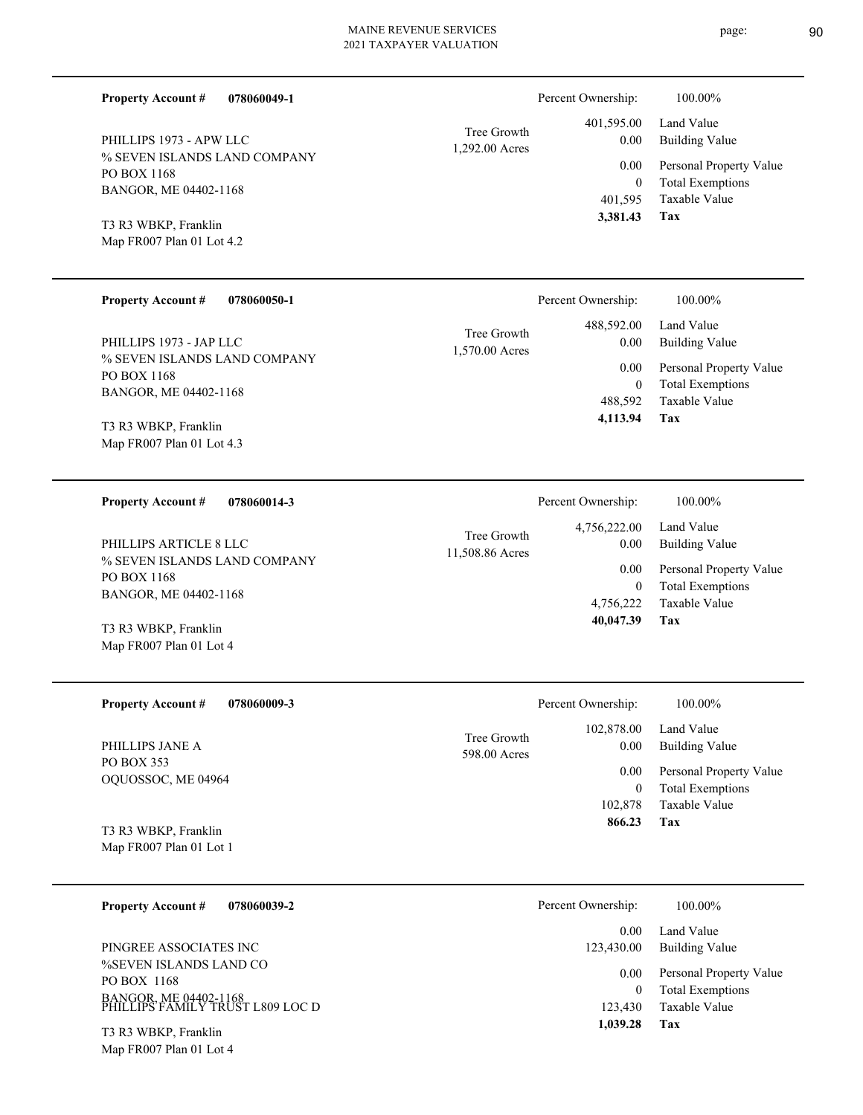| <b>Property Account #</b> | 078060049-1 |
|---------------------------|-------------|
|                           |             |

% SEVEN ISLANDS LAND COMPANY PO BOX 1168 BANGOR, ME 04402-1168 PHILLIPS 1973 - APW LLC

Map FR007 Plan 01 Lot 4.2 T3 R3 WBKP, Franklin

| <b>Property Account #</b><br>078060050-1                                                        | Percent Ownership:                                                     | 100.00%                                                                                             |
|-------------------------------------------------------------------------------------------------|------------------------------------------------------------------------|-----------------------------------------------------------------------------------------------------|
| PHILLIPS 1973 - JAP LLC<br>% SEVEN ISLANDS LAND COMPANY<br>PO BOX 1168<br>BANGOR, ME 04402-1168 | 488,592.00<br>Tree Growth<br>0.00<br>1,570.00 Acres<br>0.00<br>488.592 | Land Value<br>Building Value<br>Personal Property Value<br><b>Total Exemptions</b><br>Taxable Value |
| T3 R3 WBKP, Franklin                                                                            | 4,113.94                                                               | Tax                                                                                                 |

1,292.00 Acres Tree Growth

11,508.86 Acres Tree Growth

Map FR007 Plan 01 Lot 4.3

**078060014-3 Property Account #**

% SEVEN ISLANDS LAND COMPANY PO BOX 1168 BANGOR, ME 04402-1168 PHILLIPS ARTICLE 8 LLC

Map FR007 Plan 01 Lot 4 T3 R3 WBKP, Franklin

| <b>Property Account #</b><br>078060009-3 | Percent Ownership:                                | 100.00%                                  |
|------------------------------------------|---------------------------------------------------|------------------------------------------|
| PHILLIPS JANE A                          | 102,878.00<br>Tree Growth<br>0.00<br>598.00 Acres | Land Value<br>Building Value             |
| PO BOX 353<br>OQUOSSOC, ME 04964         | 0.00                                              | Personal Property Value                  |
|                                          | $\theta$<br>102,878                               | <b>Total Exemptions</b><br>Taxable Value |
| T3 R3 WBKP, Franklin                     | 866.23                                            | Tax                                      |
| Map FR007 Plan 01 Lot 1                  |                                                   |                                          |

| 078060039-2<br><b>Property Account #</b>                                                                                     | Percent Ownership:                                     | 100.00%                                                                                                    |
|------------------------------------------------------------------------------------------------------------------------------|--------------------------------------------------------|------------------------------------------------------------------------------------------------------------|
| PINGREE ASSOCIATES INC<br>%SEVEN ISLANDS LAND CO<br>PO BOX 1168<br>BANGOR, ME 04402-1168<br>PHILLIPS FAMILY TRUST L809 LOC D | 0.00<br>123,430.00<br>0.00<br>0<br>123,430<br>1,039.28 | Land Value<br>Building Value<br>Personal Property Value<br><b>Total Exemptions</b><br>Taxable Value<br>Tax |
| T3 R3 WBKP, Franklin                                                                                                         |                                                        |                                                                                                            |

Map FR007 Plan 01 Lot 4

| v                |        |
|------------------|--------|
|                  |        |
| ×<br>r<br>I<br>I | I<br>I |
| ×                |        |
| ٧                | ۰,     |
|                  |        |

Land Value 4,756,222.00 Percent Ownership:  $100.00\%$ 

**Tax**

 401,595 0

 401,595.00 0.00 0.00

Percent Ownership:  $100.00\%$ 

 **3,381.43**

Taxable Value Total Exemptions Personal Property Value

Building Value Land Value

**Tax** Taxable Value Total Exemptions Personal Property Value Building Value 4,756,222 0  **40,047.39** 0.00 0.00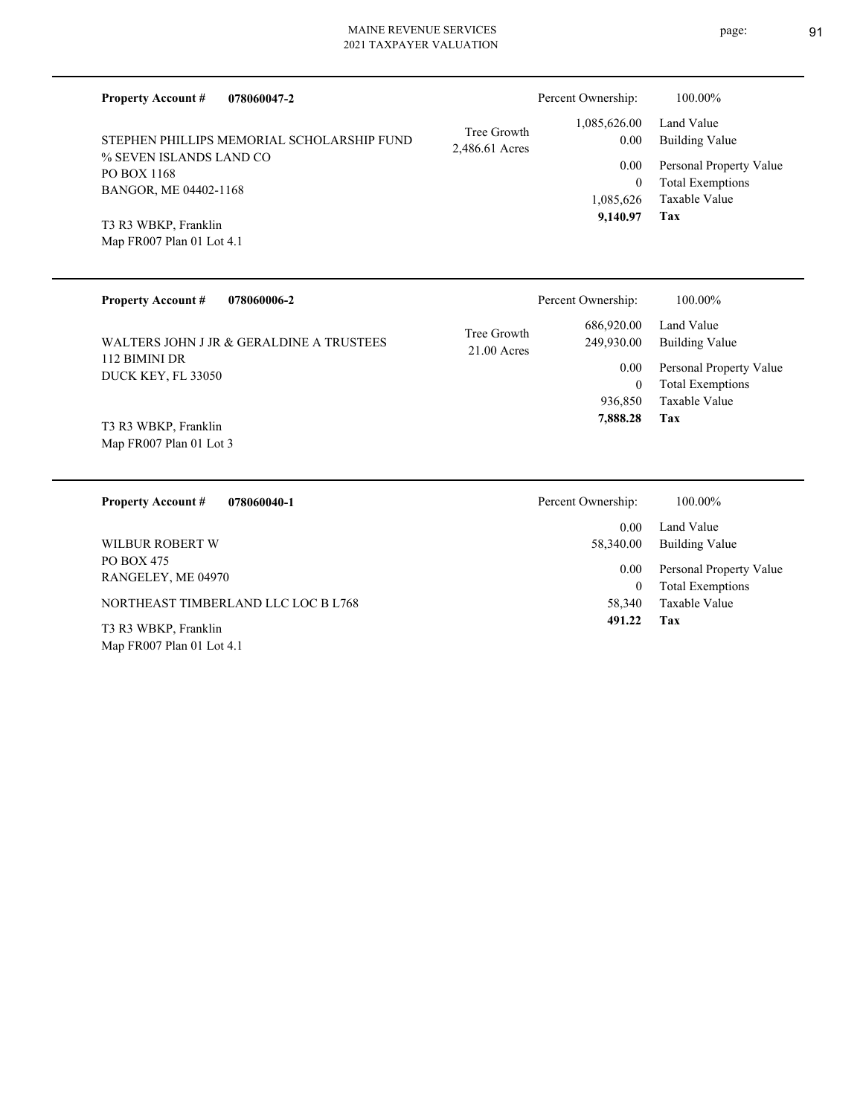| <b>Property Account #</b><br>078060047-2                                                                             |                               | Percent Ownership:                        | 100.00%                                                                    |
|----------------------------------------------------------------------------------------------------------------------|-------------------------------|-------------------------------------------|----------------------------------------------------------------------------|
| STEPHEN PHILLIPS MEMORIAL SCHOLARSHIP FUND                                                                           | Tree Growth<br>2,486.61 Acres | 1,085,626.00<br>0.00                      | Land Value<br><b>Building Value</b>                                        |
| % SEVEN ISLANDS LAND CO<br>PO BOX 1168<br>BANGOR, ME 04402-1168<br>T3 R3 WBKP, Franklin<br>Map FR007 Plan 01 Lot 4.1 |                               | 0.00<br>$\theta$<br>1,085,626<br>9,140.97 | Personal Property Value<br><b>Total Exemptions</b><br>Taxable Value<br>Tax |
| <b>Property Account #</b><br>078060006-2                                                                             |                               | Percent Ownership:                        | 100.00%                                                                    |
| WALTERS JOHN J JR & GERALDINE A TRUSTEES                                                                             | Tree Growth<br>$21.00$ Acres  | 686,920.00<br>249,930.00                  | Land Value<br><b>Building Value</b>                                        |
| 112 BIMINI DR<br>DUCK KEY, FL 33050                                                                                  |                               | 0.00<br>$\overline{0}$                    | Personal Property Value<br><b>Total Exemptions</b>                         |
| T3 R3 WBKP, Franklin<br>Map FR007 Plan 01 Lot 3                                                                      |                               | 936,850<br>7,888.28                       | <b>Taxable Value</b><br>Tax                                                |
| <b>Property Account #</b><br>078060040-1                                                                             |                               | Percent Ownership:                        | 100.00%                                                                    |
| <b>WILBUR ROBERT W</b>                                                                                               |                               | 0.00<br>58,340.00                         | Land Value<br><b>Building Value</b>                                        |
| PO BOX 475<br>RANGELEY, ME 04970                                                                                     |                               | 0.00<br>$\overline{0}$                    | Personal Property Value<br><b>Total Exemptions</b>                         |
| NORTHEAST TIMBERLAND LLC LOC B L768                                                                                  |                               | 58,340                                    | Taxable Value                                                              |
| $ma \overline{b}$ a $m \overline{b}$                                                                                 |                               | 491.22                                    | Tax                                                                        |

Map FR007 Plan 01 Lot 4.1 T3 R3 WBKP, Franklin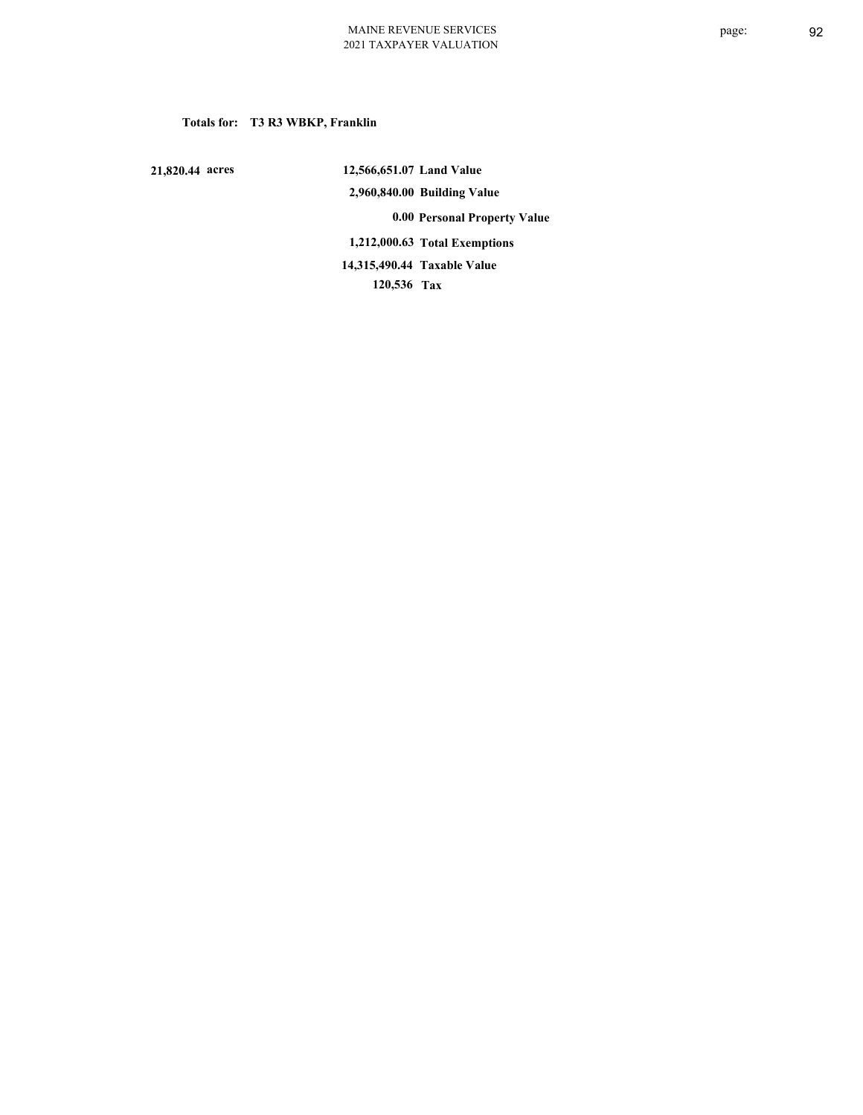# **Totals for: T3 R3 WBKP, Franklin**

 **21,820.44 acres**

 **12,566,651.07 Land Value 2,960,840.00 Building Value 0.00 Personal Property Value 1,212,000.63 Total Exemptions 120,536 Tax Taxable Value 14,315,490.44**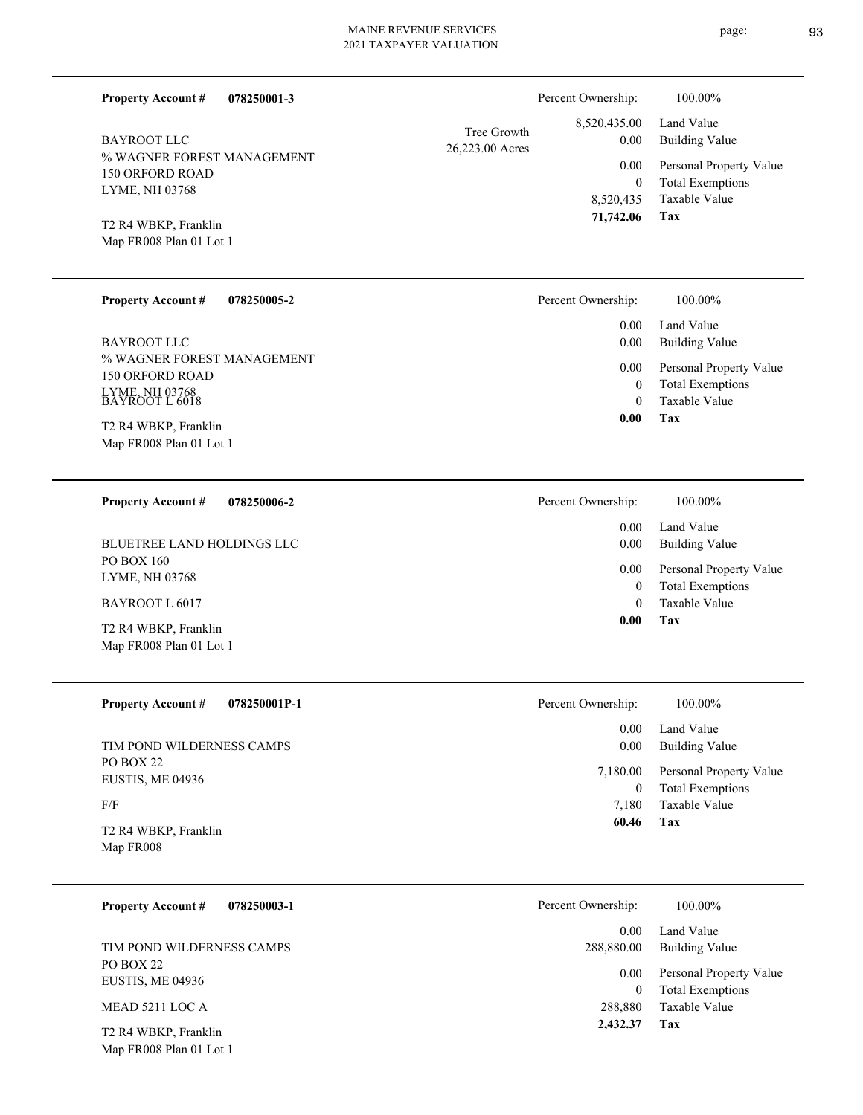| 078250001-3<br><b>Property Account #</b><br><b>BAYROOT LLC</b><br>% WAGNER FOREST MANAGEMENT<br><b>150 ORFORD ROAD</b><br>LYME, NH 03768<br>T2 R4 WBKP, Franklin<br>Map FR008 Plan 01 Lot 1 | Percent Ownership:<br>8,520,435.00<br>Tree Growth<br>26,223.00 Acres<br>8,520,435<br>71,742.06 | 0.00<br>0.00<br>$\mathbf{0}$                                     | 100.00%<br>Land Value<br><b>Building Value</b><br>Personal Property Value<br><b>Total Exemptions</b><br><b>Taxable Value</b><br>Tax |
|---------------------------------------------------------------------------------------------------------------------------------------------------------------------------------------------|------------------------------------------------------------------------------------------------|------------------------------------------------------------------|-------------------------------------------------------------------------------------------------------------------------------------|
| <b>Property Account #</b><br>078250005-2                                                                                                                                                    | Percent Ownership:                                                                             |                                                                  | 100.00%                                                                                                                             |
| <b>BAYROOT LLC</b><br>% WAGNER FOREST MANAGEMENT<br><b>150 ORFORD ROAD</b><br>LYME, NH 03768<br>BAYROOT L 6018<br>T2 R4 WBKP, Franklin<br>Map FR008 Plan 01 Lot 1                           |                                                                                                | 0.00<br>0.00<br>0.00<br>$\boldsymbol{0}$<br>$\mathbf{0}$<br>0.00 | Land Value<br><b>Building Value</b><br>Personal Property Value<br><b>Total Exemptions</b><br>Taxable Value<br>Tax                   |
|                                                                                                                                                                                             |                                                                                                |                                                                  |                                                                                                                                     |
| <b>Property Account #</b><br>078250006-2<br><b>BLUETREE LAND HOLDINGS LLC</b><br><b>PO BOX 160</b><br>LYME, NH 03768<br>BAYROOT L 6017<br>T2 R4 WBKP, Franklin<br>Map FR008 Plan 01 Lot 1   | Percent Ownership:                                                                             | 0.00<br>0.00<br>0.00<br>$\mathbf{0}$<br>$\theta$<br>0.00         | 100.00%<br>Land Value<br><b>Building Value</b><br>Personal Property Value<br><b>Total Exemptions</b><br>Taxable Value<br>Tax        |
| <b>Property Account #</b><br>078250001P-1<br>TIM POND WILDERNESS CAMPS<br>PO BOX 22                                                                                                         | Percent Ownership:                                                                             | 0.00<br>0.00                                                     | 100.00%<br>Land Value<br><b>Building Value</b>                                                                                      |
| EUSTIS, ME 04936                                                                                                                                                                            |                                                                                                | 7,180.00<br>$\boldsymbol{0}$                                     | Personal Property Value<br><b>Total Exemptions</b>                                                                                  |

F/F

Map FR008 T2 R4 WBKP, Franklin

| <b>Property Account #</b> | 078250003-1 |
|---------------------------|-------------|
|---------------------------|-------------|

PO BOX 22 EUSTIS, ME 04936 TIM POND WILDERNESS CAMPS

MEAD 5211 LOC A

Map FR008 Plan 01 Lot 1 T2 R4 WBKP, Franklin

page: 93

**Tax** Taxable Value 7,180  **60.46 Tax** Taxable Value Total Exemptions Personal Property Value Building Value Land Value 288,880  $\boldsymbol{0}$  **2,432.37** 0.00 288,880.00 0.00 Percent Ownership:  $100.00\%$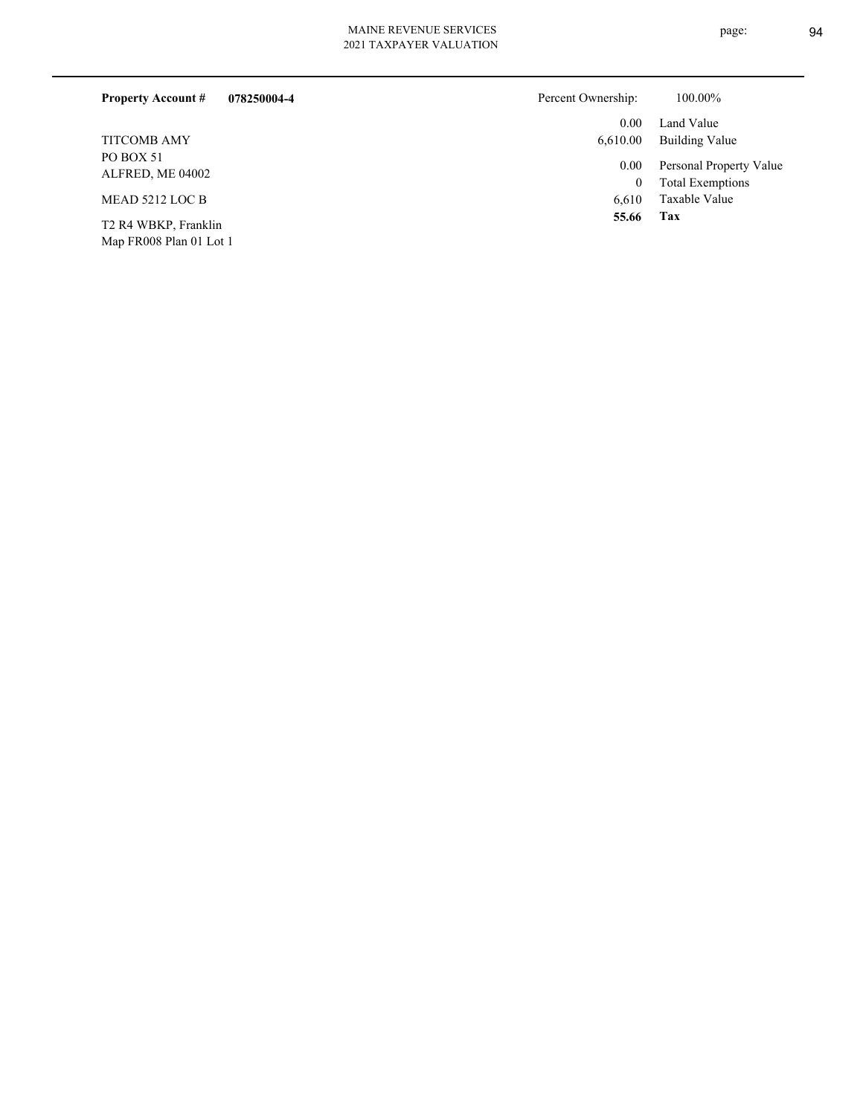| <b>Property Account #</b>                       | 078250004-4 | Percent Ownership: | 100.00%                 |
|-------------------------------------------------|-------------|--------------------|-------------------------|
|                                                 |             | 0.00               | Land Value              |
| <b>TITCOMB AMY</b>                              |             | 6,610.00           | Building Value          |
| PO BOX 51<br>ALFRED, ME 04002                   |             | 0.00               | Personal Property Value |
|                                                 |             | $\mathbf{0}$       | <b>Total Exemptions</b> |
| MEAD 5212 LOC B                                 |             | 6.610              | Taxable Value           |
| T2 R4 WBKP, Franklin<br>Map FR008 Plan 01 Lot 1 |             | 55.66              | Tax                     |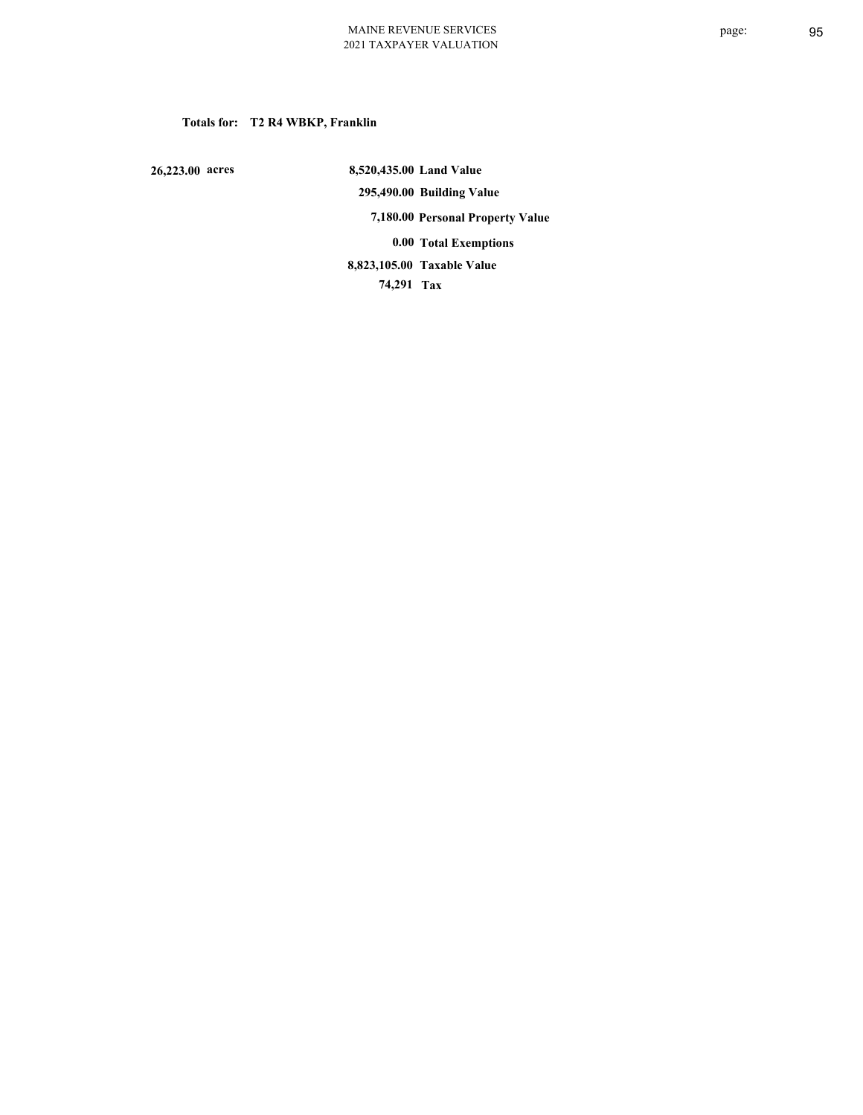# **Totals for: T2 R4 WBKP, Franklin**

 **26,223.00 acres**

 **8,520,435.00 Land Value 295,490.00 Building Value 7,180.00 Personal Property Value 0.00 Total Exemptions 74,291 Tax Taxable Value 8,823,105.00**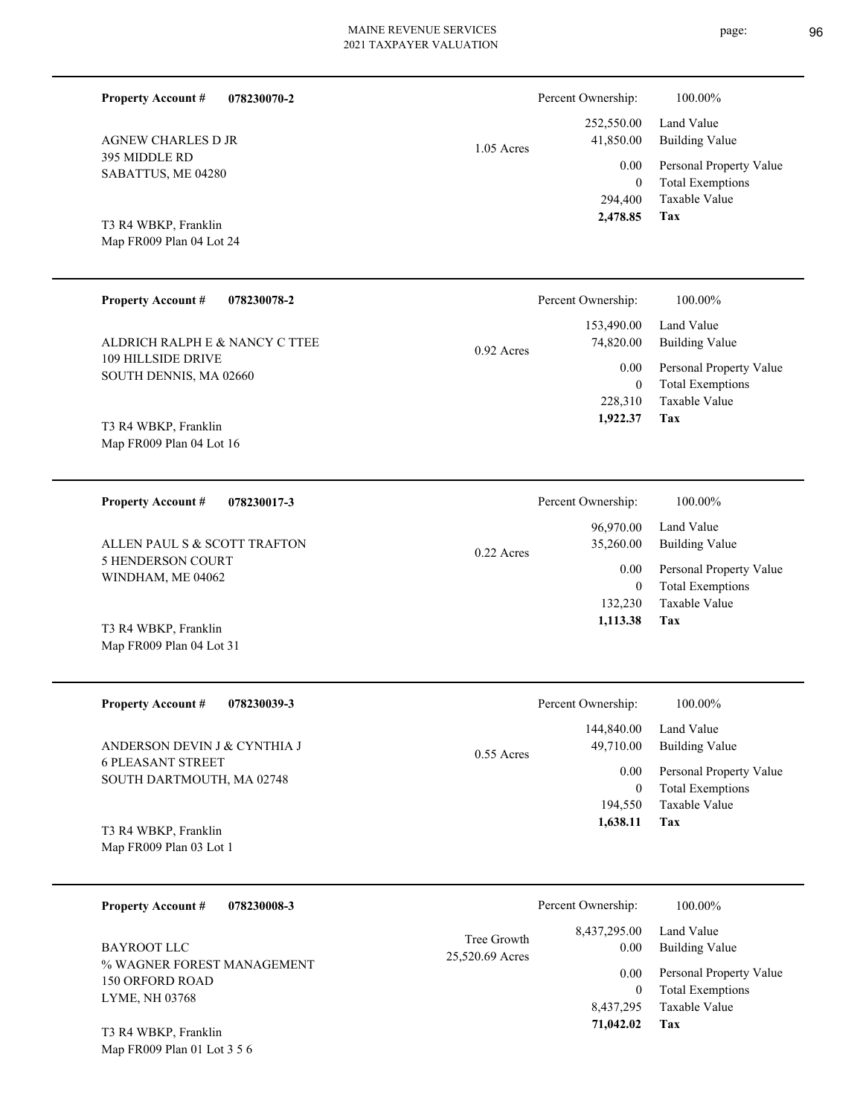| <b>Property Account #</b><br>078230070-2                 |              | Percent Ownership:               | 100.00%                                            |
|----------------------------------------------------------|--------------|----------------------------------|----------------------------------------------------|
| <b>AGNEW CHARLES D JR</b>                                |              | 252,550.00<br>41,850.00          | Land Value<br><b>Building Value</b>                |
| 395 MIDDLE RD                                            | $1.05$ Acres | 0.00                             | Personal Property Value                            |
| SABATTUS, ME 04280                                       |              | $\mathbf{0}$                     | <b>Total Exemptions</b><br>Taxable Value           |
| T3 R4 WBKP, Franklin                                     |              | 294,400<br>2,478.85              | Tax                                                |
| Map FR009 Plan 04 Lot 24                                 |              |                                  |                                                    |
|                                                          |              |                                  |                                                    |
| <b>Property Account #</b><br>078230078-2                 |              | Percent Ownership:<br>153,490.00 | 100.00%<br>Land Value                              |
| ALDRICH RALPH E & NANCY C TTEE                           | 0.92 Acres   | 74,820.00                        | <b>Building Value</b>                              |
| 109 HILLSIDE DRIVE<br>SOUTH DENNIS, MA 02660             |              | 0.00<br>$\theta$                 | Personal Property Value                            |
|                                                          |              | 228,310                          | <b>Total Exemptions</b><br>Taxable Value           |
| T3 R4 WBKP, Franklin                                     |              | 1,922.37                         | Tax                                                |
| Map FR009 Plan 04 Lot 16                                 |              |                                  |                                                    |
|                                                          |              |                                  |                                                    |
| <b>Property Account #</b><br>078230017-3                 |              | Percent Ownership:               | 100.00%                                            |
|                                                          |              | 96,970.00                        | Land Value                                         |
| ALLEN PAUL S & SCOTT TRAFTON<br><b>5 HENDERSON COURT</b> | $0.22$ Acres | 35,260.00                        | <b>Building Value</b>                              |
| WINDHAM, ME 04062                                        |              | 0.00<br>$\mathbf{0}$             | Personal Property Value<br><b>Total Exemptions</b> |
|                                                          |              | 132,230<br>1,113.38              | Taxable Value<br>Tax                               |
| T3 R4 WBKP, Franklin<br>Map FR009 Plan 04 Lot 31         |              |                                  |                                                    |
|                                                          |              |                                  |                                                    |
| <b>Property Account #</b><br>078230039-3                 |              | Percent Ownership:               | 100.00%                                            |
| ANDERSON DEVIN J & CYNTHIA J                             |              | 144,840.00<br>49,710.00          | Land Value<br><b>Building Value</b>                |
| <b>6 PLEASANT STREET</b>                                 | 0.55 Acres   | 0.00                             | Personal Property Value                            |
| SOUTH DARTMOUTH, MA 02748                                |              | $\boldsymbol{0}$<br>194,550      | <b>Total Exemptions</b><br>Taxable Value           |

Map FR009 Plan 03 Lot 1 T3 R4 WBKP, Franklin

| 078230008-3<br><b>Property Account #</b> |                 | Percent Ownership:     | 100.00%                 |
|------------------------------------------|-----------------|------------------------|-------------------------|
| BAYROOT LLC                              | Tree Growth     | 8,437,295.00           | Land Value              |
| % WAGNER FOREST MANAGEMENT               | 25,520.69 Acres | 0.00                   | Building Value          |
| <b>150 ORFORD ROAD</b>                   |                 | 0.00                   | Personal Property Value |
| <b>LYME, NH 03768</b>                    |                 | 0                      | <b>Total Exemptions</b> |
| T3 R4 WRKP Franklin                      |                 | 8,437,295<br>71,042.02 | Taxable Value<br>Tax    |

Map FR009 Plan 01 Lot 3 5 6 T3 R4 WBKP, Franklin

page: 96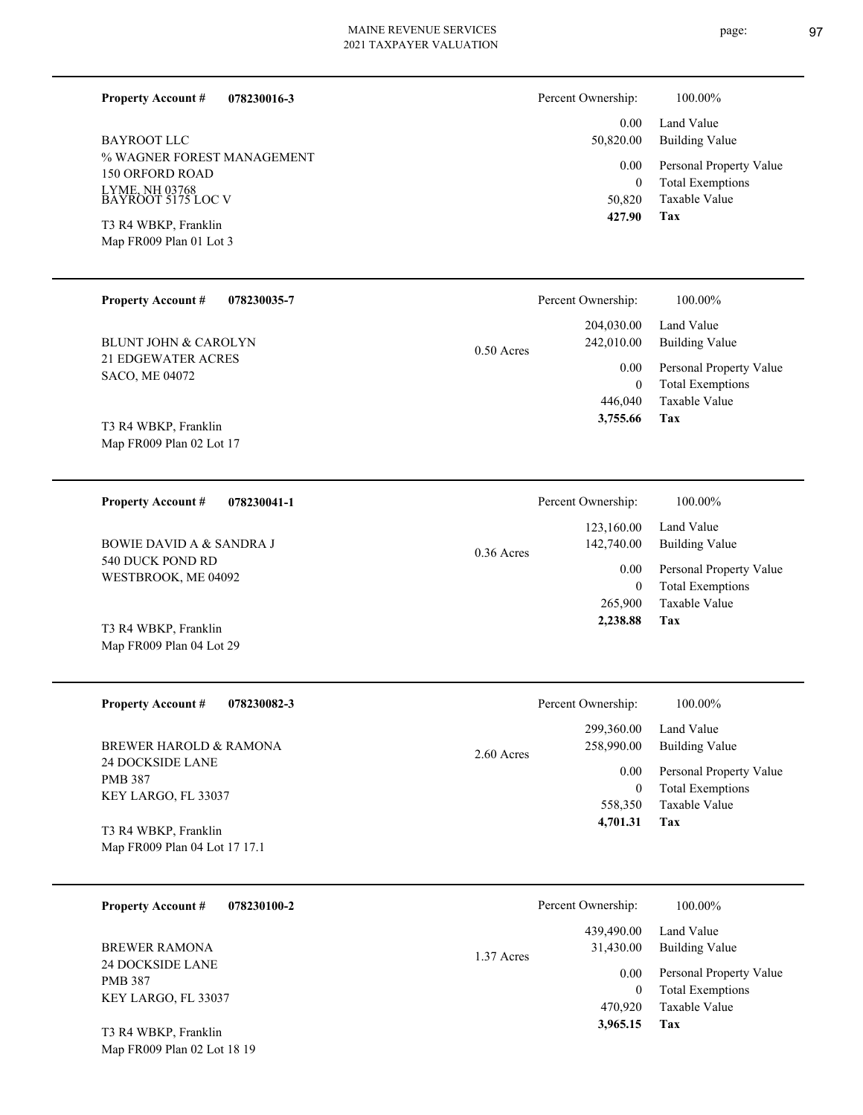**078230016-3 Property Account #**

% WAGNER FOREST MANAGEMENT 150 ORFORD ROAD LYME, NH 03768 BAYROOT 5175 LOC V BAYROOT LLC

Map FR009 Plan 01 Lot 3 T3 R4 WBKP, Franklin

Map FR009 Plan 04 Lot 29

Map FR009 Plan 02 Lot 18 19

| Percent Ownership: | 100.00%                                     |
|--------------------|---------------------------------------------|
|                    | 0.00 Land Value<br>50,820.00 Building Value |
|                    | 0.00 Personal Property V                    |

**Tax** Taxable Value 0 Total Exemptions 'alue 50,820  **427.90**

| <b>Property Account #</b><br>078230035-7           |              | Percent Ownership: | 100.00%                 |
|----------------------------------------------------|--------------|--------------------|-------------------------|
|                                                    |              | 204,030.00         | Land Value              |
| BLUNT JOHN & CAROLYN                               | $0.50$ Acres | 242,010.00         | Building Value          |
| <b>21 EDGEWATER ACRES</b><br><b>SACO, ME 04072</b> |              | 0.00               | Personal Property Value |
|                                                    |              | 0                  | <b>Total Exemptions</b> |
|                                                    |              | 446,040            | Taxable Value           |
| T3 R4 WBKP, Franklin<br>Map FR009 Plan 02 Lot 17   |              | 3,755.66           | Tax                     |

| 078230041-1<br><b>Property Account #</b> | Percent Ownership:                       | 100.00%                      |
|------------------------------------------|------------------------------------------|------------------------------|
| BOWIE DAVID A & SANDRA J                 | 123,160.00<br>142,740.00<br>$0.36$ Acres | Land Value<br>Building Value |
| 540 DUCK POND RD<br>WESTBROOK, ME 04092  | 0.00                                     | Personal Property Value      |
|                                          | 0                                        | <b>Total Exemptions</b>      |
|                                          | 265,900                                  | Taxable Value                |
| T3 R4 WBKP, Franklin                     | 2.238.88                                 | Tax                          |

| <b>Property Account #</b><br>078230082-3  | Percent Ownership:                       | 100.00%                                            |
|-------------------------------------------|------------------------------------------|----------------------------------------------------|
| BREWER HAROLD & RAMONA                    | 299,360.00<br>258,990.00<br>$2.60$ Acres | Land Value<br>Building Value                       |
| <b>24 DOCKSIDE LANE</b><br><b>PMB 387</b> | 0.00                                     | Personal Property Value<br><b>Total Exemptions</b> |
| KEY LARGO, FL 33037                       | 558,350                                  | Taxable Value                                      |
| T3 R4 WBKP, Franklin                      | 4,701.31                                 | Tax                                                |
| Map FR009 Plan 04 Lot 17 17.1             |                                          |                                                    |

| 078230100-2<br><b>Property Account #</b> | Percent Ownership:                    | 100.00%                                  |
|------------------------------------------|---------------------------------------|------------------------------------------|
| BREWER RAMONA<br>24 DOCKSIDE LANE        | 439,490.00<br>31,430.00<br>1.37 Acres | Land Value<br>Building Value             |
| <b>PMB 387</b>                           | 0.00                                  | Personal Property Value                  |
| KEY LARGO, FL 33037                      | 0<br>470,920                          | <b>Total Exemptions</b><br>Taxable Value |
| T3 R4 WBKP, Franklin                     | 3,965.15                              | Tax                                      |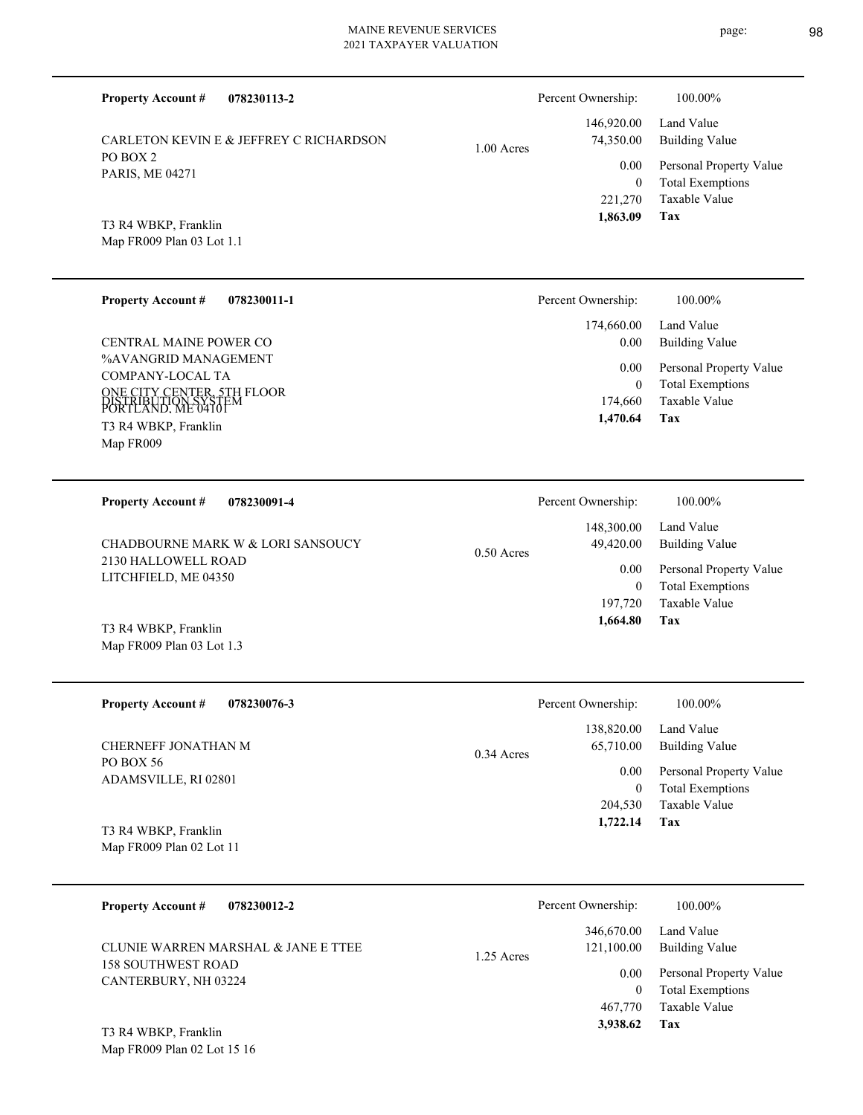| <b>Property Account #</b><br>078230113-2                                                        |              | Percent Ownership:                                | 100.00%                                                                    |
|-------------------------------------------------------------------------------------------------|--------------|---------------------------------------------------|----------------------------------------------------------------------------|
| CARLETON KEVIN E & JEFFREY C RICHARDSON                                                         | $1.00$ Acres | 146,920.00<br>74,350.00                           | Land Value<br><b>Building Value</b>                                        |
| PO BOX 2<br>PARIS, ME 04271                                                                     |              | 0.00                                              | Personal Property Value                                                    |
| T3 R4 WBKP, Franklin<br>Map FR009 Plan 03 Lot 1.1                                               |              | $\mathbf{0}$<br>221,270<br>1,863.09               | <b>Total Exemptions</b><br>Taxable Value<br>Tax                            |
|                                                                                                 |              |                                                   |                                                                            |
| <b>Property Account #</b><br>078230011-1                                                        |              | Percent Ownership:                                | 100.00%                                                                    |
| CENTRAL MAINE POWER CO                                                                          |              | 174,660.00<br>0.00                                | Land Value<br><b>Building Value</b>                                        |
| %AVANGRID MANAGEMENT<br>COMPANY-LOCAL TA                                                        |              | 0.00                                              | Personal Property Value                                                    |
| ONE CITY CENTER, 5TH FLOOR<br>DISTRIBUTION SYSTEM<br>PORTLAND. ME 04101<br>T3 R4 WBKP, Franklin |              | $\mathbf{0}$<br>174,660<br>1,470.64               | <b>Total Exemptions</b><br>Taxable Value<br>Tax                            |
| Map FR009                                                                                       |              |                                                   |                                                                            |
| <b>Property Account #</b><br>078230091-4                                                        |              | Percent Ownership:                                | 100.00%                                                                    |
| CHADBOURNE MARK W & LORI SANSOUCY                                                               | $0.50$ Acres | 148,300.00<br>49,420.00                           | Land Value<br><b>Building Value</b>                                        |
| 2130 HALLOWELL ROAD<br>LITCHFIELD, ME 04350                                                     |              | 0.00                                              | Personal Property Value                                                    |
|                                                                                                 |              | $\mathbf{0}$<br>197,720<br>1,664.80               | <b>Total Exemptions</b><br>Taxable Value<br>Tax                            |
| T3 R4 WBKP, Franklin<br>Map FR009 Plan 03 Lot 1.3                                               |              |                                                   |                                                                            |
| <b>Property Account #</b><br>078230076-3                                                        |              | Percent Ownership:                                | 100.00%                                                                    |
| CHERNEFF JONATHAN M                                                                             | $0.34$ Acres | 138,820.00<br>65,710.00                           | Land Value<br><b>Building Value</b>                                        |
| PO BOX 56<br>ADAMSVILLE, RI 02801                                                               |              | $0.00\,$<br>$\overline{0}$                        | Personal Property Value<br><b>Total Exemptions</b>                         |
| T3 R4 WBKP, Franklin<br>Map FR009 Plan 02 Lot 11                                                |              | 204,530<br>1,722.14                               | Taxable Value<br>Tax                                                       |
|                                                                                                 |              |                                                   |                                                                            |
| <b>Property Account #</b><br>078230012-2                                                        |              | Percent Ownership:                                | 100.00%                                                                    |
| CLUNIE WARREN MARSHAL & JANE E TTEE<br><b>158 SOUTHWEST ROAD</b>                                | 1.25 Acres   | 346,670.00<br>121,100.00                          | Land Value<br><b>Building Value</b>                                        |
| CANTERBURY, NH 03224                                                                            |              | $0.00\,$<br>$\overline{0}$<br>467,770<br>3,938.62 | Personal Property Value<br><b>Total Exemptions</b><br>Taxable Value<br>Tax |
| T3 R4 WBKP, Franklin                                                                            |              |                                                   |                                                                            |

Map FR009 Plan 02 Lot 15 16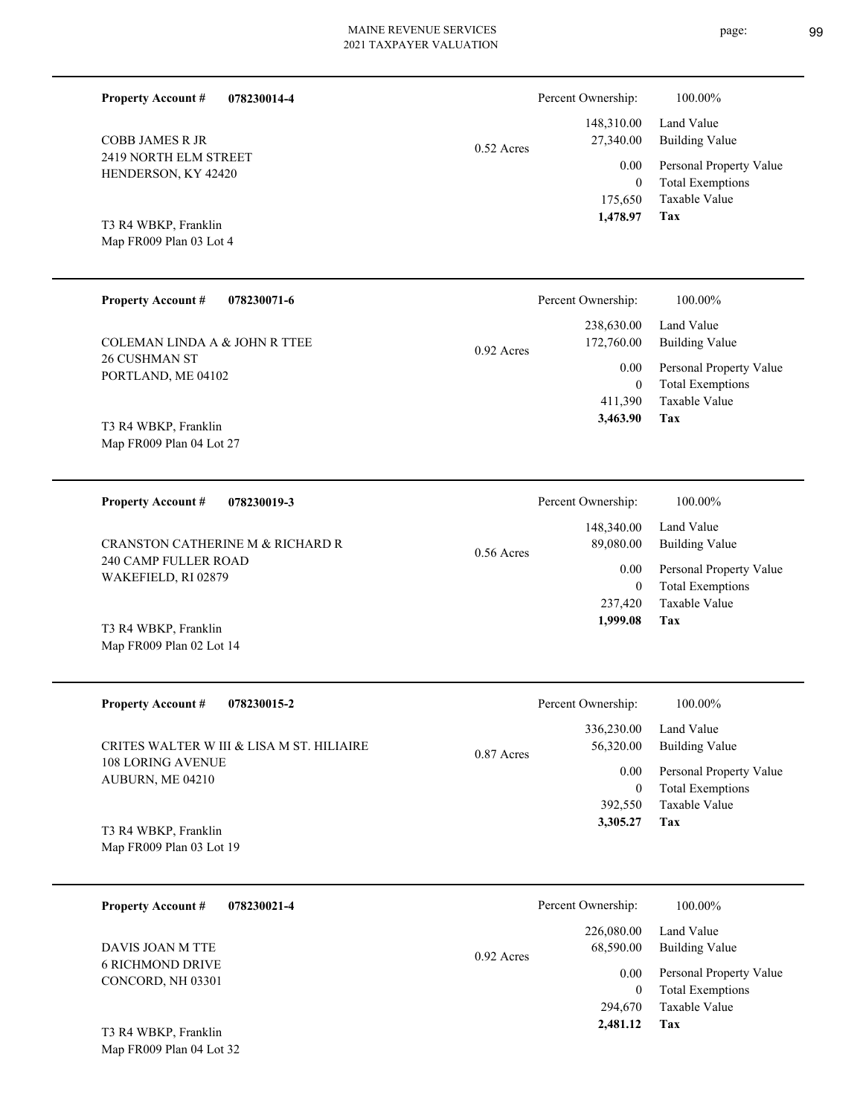| 078230014-4<br><b>Property Account #</b>         |              | Percent Ownership:          | 100.00%                                            |
|--------------------------------------------------|--------------|-----------------------------|----------------------------------------------------|
| <b>COBB JAMES R JR</b>                           | $0.52$ Acres | 148,310.00<br>27,340.00     | Land Value<br><b>Building Value</b>                |
| 2419 NORTH ELM STREET<br>HENDERSON, KY 42420     |              | 0.00<br>$\boldsymbol{0}$    | Personal Property Value<br><b>Total Exemptions</b> |
| T3 R4 WBKP, Franklin                             |              | 175,650<br>1,478.97         | Taxable Value<br>Tax                               |
| Map FR009 Plan 03 Lot 4                          |              |                             |                                                    |
| <b>Property Account #</b><br>078230071-6         |              | Percent Ownership:          | 100.00%                                            |
| <b>COLEMAN LINDA A &amp; JOHN R TTEE</b>         | $0.92$ Acres | 238,630.00<br>172,760.00    | Land Value<br><b>Building Value</b>                |
| <b>26 CUSHMAN ST</b><br>PORTLAND, ME 04102       |              | 0.00<br>$\mathbf{0}$        | Personal Property Value<br><b>Total Exemptions</b> |
|                                                  |              | 411,390<br>3,463.90         | Taxable Value<br>Tax                               |
| T3 R4 WBKP, Franklin<br>Map FR009 Plan 04 Lot 27 |              |                             |                                                    |
|                                                  |              |                             |                                                    |
| <b>Property Account #</b><br>078230019-3         |              | Percent Ownership:          | 100.00%<br>Land Value                              |
| CRANSTON CATHERINE M & RICHARD R                 | $0.56$ Acres | 148,340.00<br>89,080.00     | <b>Building Value</b>                              |
| 240 CAMP FULLER ROAD<br>WAKEFIELD, RI 02879      |              | 0.00<br>$\mathbf{0}$        | Personal Property Value<br><b>Total Exemptions</b> |
|                                                  |              | 237,420<br>1,999.08         | Taxable Value<br>Tax                               |
| T3 R4 WBKP, Franklin<br>Map FR009 Plan 02 Lot 14 |              |                             |                                                    |
|                                                  |              |                             |                                                    |
| <b>Property Account #</b><br>078230015-2         |              | Percent Ownership:          | 100.00%                                            |
| CRITES WALTER W III & LISA M ST. HILIAIRE        | 0.87 Acres   | 336,230.00<br>56,320.00     | Land Value<br><b>Building Value</b>                |
| 108 LORING AVENUE<br>AUBURN, ME 04210            |              | $0.00\,$                    | Personal Property Value<br><b>Total Exemptions</b> |
|                                                  |              | $\boldsymbol{0}$<br>392,550 | Taxable Value                                      |
| T3 R4 WBKP, Franklin<br>Map FR009 Plan 03 Lot 19 |              | 3,305.27                    | Tax                                                |
| <b>Property Account #</b><br>078230021-4         |              | Percent Ownership:          | 100.00%                                            |
| DAVIS JOAN M TTE                                 | 0.00 A       | 226,080.00<br>68,590.00     | Land Value<br><b>Building Value</b>                |

6 RICHMOND DRIVE CONCORD, NH 03301 DAVIS JOAN M TTE

Map FR009 Plan 04 Lot 32 T3 R4 WBKP, Franklin

page: 99

**Tax**

 294,670  $\boldsymbol{0}$ 

0.92 Acres

0.00

 **2,481.12**

Taxable Value Total Exemptions Personal Property Value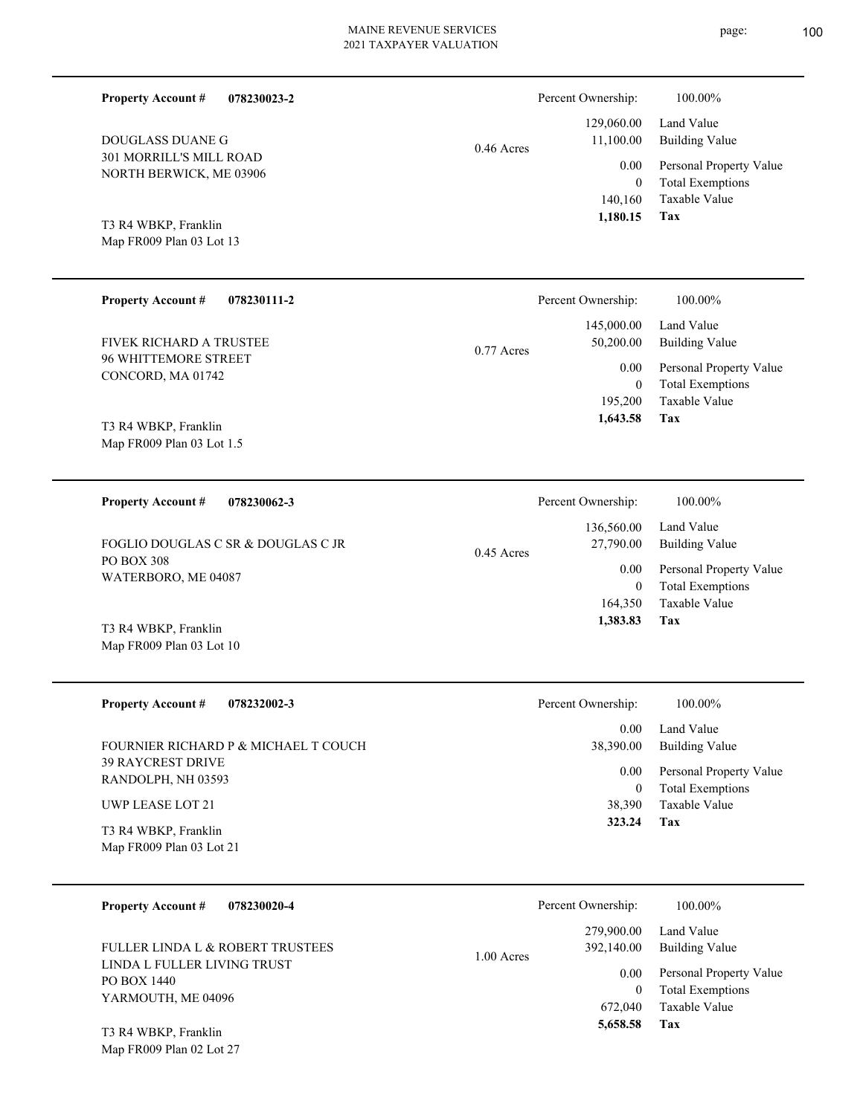page: 100

| <b>Property Account #</b><br>078230023-2           |              | Percent Ownership:              | 100.00%                                                             |
|----------------------------------------------------|--------------|---------------------------------|---------------------------------------------------------------------|
| DOUGLASS DUANE G                                   | $0.46$ Acres | 129,060.00<br>11,100.00         | Land Value<br><b>Building Value</b>                                 |
| 301 MORRILL'S MILL ROAD<br>NORTH BERWICK, ME 03906 |              | 0.00<br>$\mathbf{0}$<br>140,160 | Personal Property Value<br><b>Total Exemptions</b><br>Taxable Value |
| T3 R4 WBKP, Franklin<br>Map FR009 Plan 03 Lot 13   |              | 1,180.15                        | <b>Tax</b>                                                          |
| <b>Property Account #</b><br>078230111-2           |              | Percent Ownership:              | 100.00%                                                             |
| FIVEK RICHARD A TRUSTEE                            | $0.77$ Acres | 145,000.00<br>50,200.00         | Land Value<br><b>Building Value</b>                                 |
| 96 WHITTEMORE STREET<br>CONCORD, MA 01742          |              | 0.00<br>$\mathbf{0}$<br>195,200 | Personal Property Value<br><b>Total Exemptions</b><br>Taxable Value |
| T3 R4 WBKP, Franklin<br>Map FR009 Plan 03 Lot 1.5  |              | 1,643.58                        | Tax                                                                 |
| <b>Property Account #</b><br>078230062-3           |              | Percent Ownership:              | 100.00%                                                             |
| FOGLIO DOUGLAS C SR & DOUGLAS C JR                 | $0.45$ Acres | 136,560.00<br>27,790.00         | Land Value<br><b>Building Value</b>                                 |
| PO BOX 308<br>WATERBORO, ME 04087                  |              | 0.00<br>$\mathbf{0}$<br>164,350 | Personal Property Value<br><b>Total Exemptions</b><br>Taxable Value |
| T3 R4 WBKP, Franklin<br>Map FR009 Plan 03 Lot 10   |              | 1,383.83                        | Tax                                                                 |
| <b>Property Account #</b><br>078232002-3           |              | Percent Ownership:              | 100.00%                                                             |
| FOURNIER RICHARD P & MICHAEL T COUCH               |              | 0.00<br>38,390.00               | Land Value<br><b>Building Value</b>                                 |
| 39 RAYCREST DRIVE<br>RANDOLPH, NH 03593            |              | 0.00<br>$\overline{0}$          | Personal Property Value<br><b>Total Exemptions</b>                  |
| UWP LEASE LOT 21<br>T3 R4 WBKP, Franklin           |              | 38,390<br>323.24                | Taxable Value<br>Tax                                                |
| Map FR009 Plan 03 Lot 21                           |              |                                 |                                                                     |
| <b>Property Account #</b><br>078230020-4           |              | Percent Ownership:              | 100.00%                                                             |
| <b>FULLER LINDA L &amp; ROBERT TRUSTEES</b>        | $1.00$ Acres | 279,900.00<br>392,140.00        | Land Value<br><b>Building Value</b>                                 |
| LINDA L FULLER LIVING TRUST<br>PO BOX 1440         |              | 0.00<br>$\mathbf{0}$            | Personal Property Value<br><b>Total Exemptions</b>                  |
| YARMOUTH, ME 04096                                 |              | 672,040<br>5,658.58             | Taxable Value<br>Tax                                                |
| T3 R4 WBKP, Franklin<br>Map FR009 Plan 02 Lot 27   |              |                                 |                                                                     |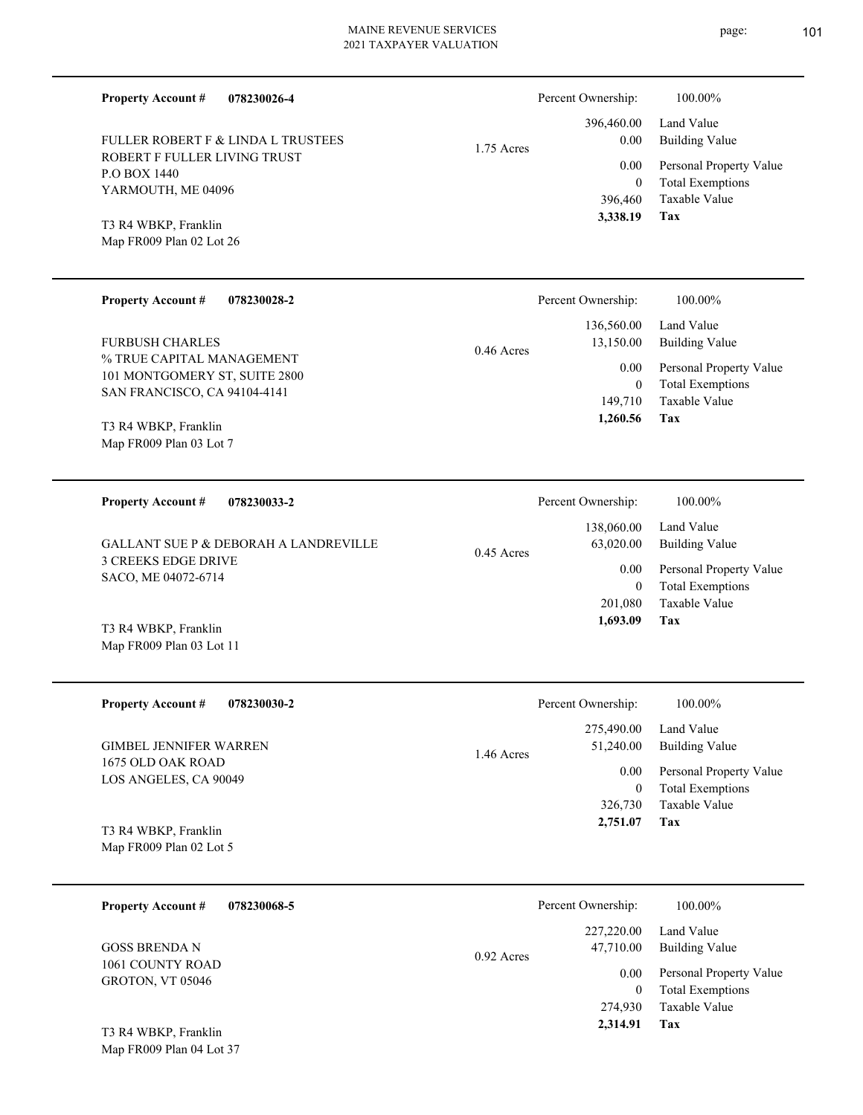ROBERT F FULLER LIVING TRUST P.O BOX 1440 FULLER ROBERT F & LINDA L TRUSTEES

**078230026-4**

|            | 3,338.19 Tax |                                         |
|------------|--------------|-----------------------------------------|
|            |              | 396,460 Taxable Value                   |
|            | $\Omega$     | <b>Total Exemptions</b>                 |
|            |              | 0.00 Personal Property Value            |
| 1.75 Acres | 0.00         | 396,460.00 Land Value<br>Building Value |
|            |              |                                         |

Percent Ownership: 100.00%

Map FR009 Plan 02 Lot 26 T3 R4 WBKP, Franklin

YARMOUTH, ME 04096

**Property Account #**

| <b>Property Account #</b><br>078230028-2                   | Percent Ownership:        | 100.00%                 |
|------------------------------------------------------------|---------------------------|-------------------------|
|                                                            | 136,560.00                | Land Value              |
| <b>FURBUSH CHARLES</b>                                     | 13,150.00<br>$0.46$ Acres | Building Value          |
| % TRUE CAPITAL MANAGEMENT<br>101 MONTGOMERY ST, SUITE 2800 | 0.00                      | Personal Property Value |
| SAN FRANCISCO, CA 94104-4141                               |                           | <b>Total Exemptions</b> |
|                                                            | 149.710                   | Taxable Value           |
| T3 R4 WRKP Franklin                                        | 1,260.56                  | Tax                     |

Map FR009 Plan 03 Lot 7 T3 R4 WBKP, Franklin

**078230033-2 Tax** Taxable Value Total Exemptions Personal Property Value Building Value Land Value 3 CREEKS EDGE DRIVE SACO, ME 04072-6714 **Property Account #** T3 R4 WBKP, Franklin GALLANT SUE P & DEBORAH A LANDREVILLE 201,080 0  **1,693.09** 138,060.00 63,020.00 0.00 0.45 Acres Percent Ownership:  $100.00\%$ 

Map FR009 Plan 03 Lot 11

Map FR009 Plan 04 Lot 37

| <b>Property Account #</b><br>078230030-2   | Percent Ownership:      | 100.00%                 |
|--------------------------------------------|-------------------------|-------------------------|
|                                            | 275,490.00              | Land Value              |
| GIMBEL JENNIFER WARREN                     | 51,240.00<br>1.46 Acres | Building Value          |
| 1675 OLD OAK ROAD<br>LOS ANGELES, CA 90049 | 0.00                    | Personal Property Value |
|                                            | 0                       | <b>Total Exemptions</b> |
|                                            | 326,730                 | Taxable Value           |
| T3 R4 WBKP, Franklin                       | 2,751.07                | Tax                     |
| Map FR009 Plan 02 Lot 5                    |                         |                         |

| 078230068-5<br><b>Property Account #</b> | Percent Ownership:                      | 100.00%                                            |
|------------------------------------------|-----------------------------------------|----------------------------------------------------|
| <b>GOSS BRENDA N</b><br>1061 COUNTY ROAD | 227,220.00<br>47,710.00<br>$0.92$ Acres | Land Value<br><b>Building Value</b>                |
| <b>GROTON, VT 05046</b>                  | 0.00                                    | Personal Property Value<br><b>Total Exemptions</b> |
|                                          | 274,930                                 | Taxable Value                                      |
| T3 R4 WBKP, Franklin                     | 2,314.91                                | Tax                                                |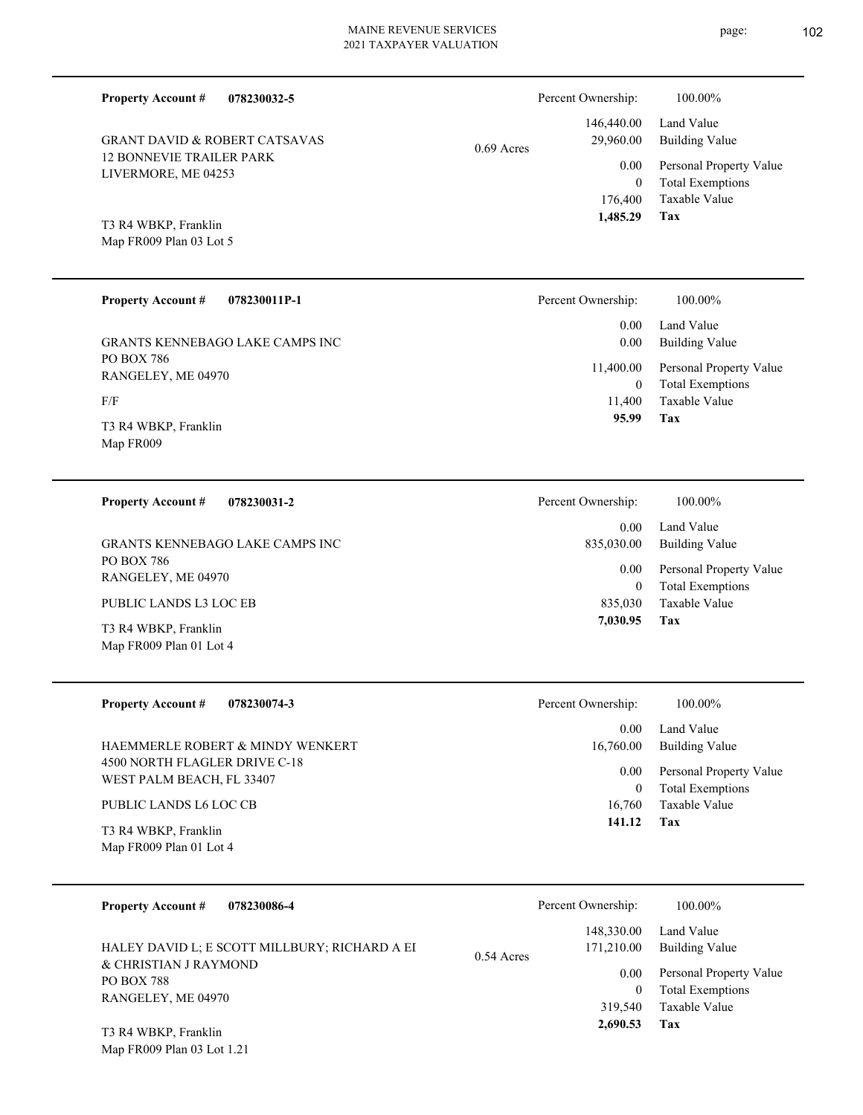Percent Ownership:  $100.00\%$ 

|              | 1.485.29  | Tax                          |
|--------------|-----------|------------------------------|
|              |           | 176,400 Taxable Value        |
|              | $\theta$  | <b>Total Exemptions</b>      |
|              |           | 0.00 Personal Property Value |
| $0.69$ Acres | 29,960.00 | Building Value               |
|              |           | 146,440.00 Land Value        |
|              |           |                              |

Map FR009 Plan 03 Lot 5 T3 R4 WBKP, Franklin

Map FR009 Plan 01 Lot 4

**Property Account #**

12 BONNEVIE TRAILER PARK LIVERMORE, ME 04253

GRANT DAVID & ROBERT CATSAVAS

**078230032-5**

| <b>Property Account #</b><br>078230011P-1 | Percent Ownership:        | $100.00\%$                                         |
|-------------------------------------------|---------------------------|----------------------------------------------------|
| <b>GRANTS KENNEBAGO LAKE CAMPS INC</b>    | 0.00<br>0.00              | Land Value<br><b>Building Value</b>                |
| PO BOX 786<br>RANGELEY, ME 04970          | 11,400.00<br>$\mathbf{0}$ | Personal Property Value<br><b>Total Exemptions</b> |
| F/F                                       | 11.400                    | Taxable Value                                      |
| T3 R4 WBKP, Franklin<br>Map FR009         | 95.99                     | Tax                                                |

**078230031-2 Tax** Taxable Value Total Exemptions Personal Property Value Building Value Land Value PO BOX 786 RANGELEY, ME 04970 **Property Account #** T3 R4 WBKP, Franklin PUBLIC LANDS L3 LOC EB GRANTS KENNEBAGO LAKE CAMPS INC 835,030 0  **7,030.95** 0.00 835,030.00 0.00 Percent Ownership:  $100.00\%$ 

| <b>Property Account #</b><br>078230074-3                   | Percent Ownership: | 100.00%                                            |
|------------------------------------------------------------|--------------------|----------------------------------------------------|
|                                                            | 0.00               | Land Value                                         |
| HAEMMERLE ROBERT & MINDY WENKERT                           | 16,760.00          | Building Value                                     |
| 4500 NORTH FLAGLER DRIVE C-18<br>WEST PALM BEACH, FL 33407 | 0.00<br>0          | Personal Property Value<br><b>Total Exemptions</b> |
| PUBLIC LANDS L6 LOC CB                                     | 16,760             | Taxable Value                                      |
| T3 R4 WBKP, Franklin<br>Map FR009 Plan 01 Lot 4            | 141.12             | Tax                                                |

| 078230086-4<br><b>Property Account #</b>                               | Percent Ownership:                       | 100.00%                      |
|------------------------------------------------------------------------|------------------------------------------|------------------------------|
| HALEY DAVID L; E SCOTT MILLBURY; RICHARD A EI<br>& CHRISTIAN J RAYMOND | 148,330.00<br>171,210.00<br>$0.54$ Acres | Land Value<br>Building Value |
| <b>PO BOX 788</b>                                                      | 0.00                                     | Personal Property Value      |
| RANGELEY, ME 04970                                                     |                                          | <b>Total Exemptions</b>      |
|                                                                        | 319.540                                  | Taxable Value                |
| T3 R4 WBKP, Franklin                                                   | 2.690.53                                 | Tax                          |

Map FR009 Plan 03 Lot 1.21

page: 102

**Tax 1,485.29**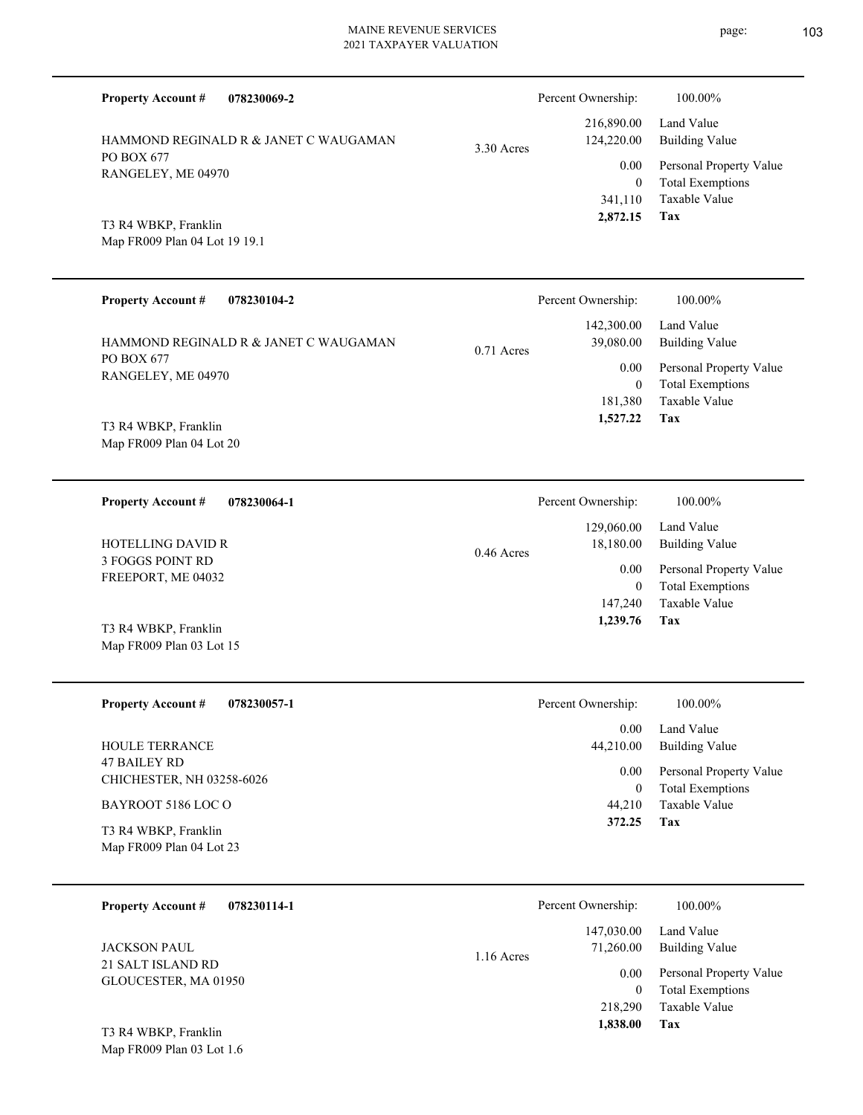| <b>Property Account #</b><br>078230069-2              |              | Percent Ownership:                    | 100.00%                                                |
|-------------------------------------------------------|--------------|---------------------------------------|--------------------------------------------------------|
| HAMMOND REGINALD R & JANET C WAUGAMAN                 | 3.30 Acres   | 216,890.00<br>124,220.00              | Land Value<br><b>Building Value</b>                    |
| PO BOX 677<br>RANGELEY, ME 04970                      |              | 0.00<br>$\overline{0}$                | Personal Property Value<br><b>Total Exemptions</b>     |
| T3 R4 WBKP, Franklin<br>Map FR009 Plan 04 Lot 19 19.1 |              | 341,110<br>2,872.15                   | <b>Taxable Value</b><br>Tax                            |
| <b>Property Account #</b><br>078230104-2              |              | Percent Ownership:                    | 100.00%                                                |
| HAMMOND REGINALD R & JANET C WAUGAMAN                 | $0.71$ Acres | 142,300.00<br>39,080.00               | Land Value<br><b>Building Value</b>                    |
| PO BOX 677<br>RANGELEY, ME 04970                      |              | 0.00                                  | Personal Property Value                                |
| T3 R4 WBKP, Franklin<br>Map FR009 Plan 04 Lot 20      |              | $\overline{0}$<br>181,380<br>1,527.22 | <b>Total Exemptions</b><br>Taxable Value<br>Tax        |
| <b>Property Account #</b><br>078230064-1              |              | Percent Ownership:                    | 100.00%                                                |
| <b>HOTELLING DAVID R</b>                              | $0.46$ Acres | 129,060.00<br>18,180.00               | Land Value<br><b>Building Value</b>                    |
| 3 FOGGS POINT RD<br>FREEPORT, ME 04032                |              | 0.00                                  | Personal Property Value                                |
| T3 R4 WBKP, Franklin<br>Map FR009 Plan 03 Lot 15      |              | $\overline{0}$<br>147,240<br>1,239.76 | <b>Total Exemptions</b><br><b>Taxable Value</b><br>Tax |
| <b>Property Account #</b><br>078230057-1              |              | Percent Ownership:                    | 100.00%                                                |
| HOULE TERRANCE                                        |              | 0.00<br>44,210.00                     | Land Value<br><b>Building Value</b>                    |
| <b>47 BAILEY RD</b><br>CHICHESTER, NH 03258-6026      |              | $0.00\,$                              | Personal Property Value                                |
| BAYROOT 5186 LOC O                                    |              | $\boldsymbol{0}$<br>44,210            | <b>Total Exemptions</b><br>Taxable Value<br>Tax        |
| T3 R4 WBKP, Franklin<br>Map FR009 Plan 04 Lot 23      |              | 372.25                                |                                                        |
| <b>Property Account #</b><br>078230114-1              |              | Percent Ownership:                    | 100.00%                                                |
| <b>JACKSON PAUL</b>                                   | 1.16 Acres   | 147,030.00<br>71,260.00               | Land Value<br><b>Building Value</b>                    |
| 21 SALT ISLAND RD<br>GLOUCESTER, MA 01950             |              | $0.00\,$<br>$\mathbf{0}$              | Personal Property Value<br><b>Total Exemptions</b>     |
| T3 R4 WRKP Franklin                                   |              | 218,290<br>1,838.00                   | Taxable Value<br>Tax                                   |

Map FR009 Plan 03 Lot 1.6 T3 R4 WBKP, Franklin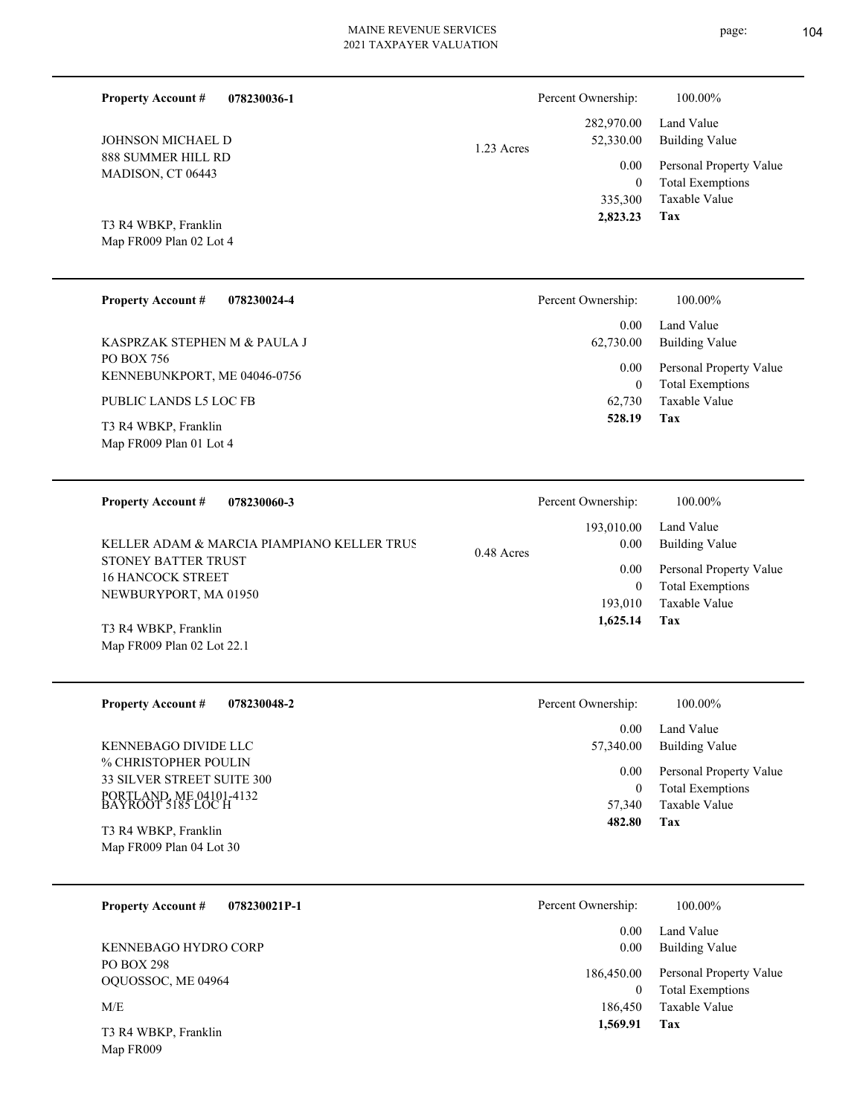| 078230036-1<br><b>Property Account #</b> | Percent Ownership:              | 100.00%                 |
|------------------------------------------|---------------------------------|-------------------------|
|                                          | 282,970.00                      | Land Value              |
| JOHNSON MICHAEL D                        | 52,330.00<br>1.23 Acres<br>0.00 | <b>Building Value</b>   |
| 888 SUMMER HILL RD                       |                                 | Personal Property Value |
| MADISON, CT 06443                        | $\boldsymbol{0}$                | <b>Total Exemptions</b> |
|                                          |                                 |                         |
|                                          | 335,300                         | Taxable Value           |
| T3 R4 WBKP, Franklin                     | 2,823.23                        | Tax                     |
| Map FR009 Plan 02 Lot 4                  |                                 |                         |

| <b>Property Account #</b><br>078230024-4        | Percent Ownership:   | 100.00%                                            |
|-------------------------------------------------|----------------------|----------------------------------------------------|
|                                                 | 0.00                 | Land Value                                         |
| KASPRZAK STEPHEN M & PAULA J                    | 62,730.00            | <b>Building Value</b>                              |
| PO BOX 756<br>KENNEBUNKPORT, ME 04046-0756      | 0.00<br>$\mathbf{0}$ | Personal Property Value<br><b>Total Exemptions</b> |
| PUBLIC LANDS L5 LOC FB                          | 62,730               | Taxable Value                                      |
| T3 R4 WBKP, Franklin<br>Map FR009 Plan 01 Lot 4 | 528.19               | Tax                                                |

| 078230060-3<br><b>Property Account #</b>                                                                               | Percent Ownership:                                       | 100.00%                                                                                             |
|------------------------------------------------------------------------------------------------------------------------|----------------------------------------------------------|-----------------------------------------------------------------------------------------------------|
| KELLER ADAM & MARCIA PIAMPIANO KELLER TRUS<br>STONEY BATTER TRUST<br><b>16 HANCOCK STREET</b><br>NEWBURYPORT, MA 01950 | 193,010.00<br>0.00<br>0.48 Acres<br>0.00<br>0<br>193,010 | Land Value<br>Building Value<br>Personal Property Value<br><b>Total Exemptions</b><br>Taxable Value |
| T3 R4 WBKP, Franklin<br>Map FR009 Plan 02 Lot 22.1                                                                     | 1,625.14                                                 | Tax                                                                                                 |

| <b>Property Account #</b><br>078230048-2                                                            | Percent Ownership:         | 100.00%                                                             |
|-----------------------------------------------------------------------------------------------------|----------------------------|---------------------------------------------------------------------|
|                                                                                                     | 0.00                       | Land Value                                                          |
| KENNEBAGO DIVIDE LLC                                                                                | 57,340.00                  | Building Value                                                      |
| % CHRISTOPHER POULIN<br>33 SILVER STREET SUITE 300<br>PORTLAND, ME 04101-4132<br>BAYROOT 5185 LOC H | 0.00<br>$\theta$<br>57,340 | Personal Property Value<br><b>Total Exemptions</b><br>Taxable Value |
| T3 R4 WBKP, Franklin<br>Map FR009 Plan 04 Lot 30                                                    | 482.80                     | Tax                                                                 |

| <b>Property Account #</b><br>078230021P-1 | Percent Ownership: | 100.00%                                            |
|-------------------------------------------|--------------------|----------------------------------------------------|
| KENNEBAGO HYDRO CORP                      | 0.00<br>0.00       | Land Value<br>Building Value                       |
| <b>PO BOX 298</b><br>OQUOSSOC, ME 04964   | 186,450.00         | Personal Property Value<br><b>Total Exemptions</b> |
| M/E                                       | 186,450            | Taxable Value                                      |
| T3 R4 WBKP, Franklin                      | 1,569.91           | Tax                                                |

Map FR009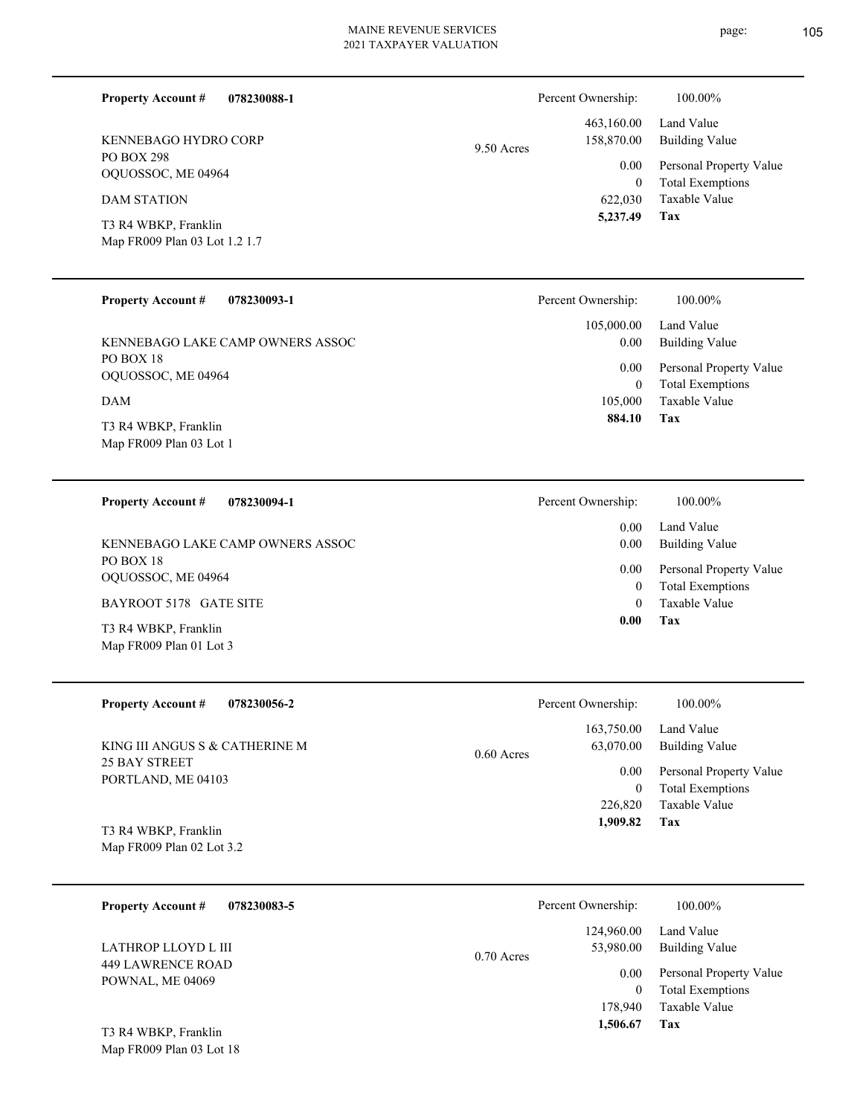| <b>Property Account #</b><br>078230088-1          |            | Percent Ownership:        | 100.00%                                  |
|---------------------------------------------------|------------|---------------------------|------------------------------------------|
| KENNEBAGO HYDRO CORP                              | 9.50 Acres | 463,160.00<br>158,870.00  | Land Value<br><b>Building Value</b>      |
| PO BOX 298<br>OQUOSSOC, ME 04964                  |            | 0.00                      | Personal Property Value                  |
| <b>DAM STATION</b>                                |            | $\overline{0}$<br>622,030 | <b>Total Exemptions</b><br>Taxable Value |
| T3 R4 WBKP, Franklin                              |            | 5,237.49                  | Tax                                      |
| Map FR009 Plan 03 Lot 1.2 1.7                     |            |                           |                                          |
| <b>Property Account #</b><br>078230093-1          |            | Percent Ownership:        | 100.00%                                  |
|                                                   |            | 105,000.00                | Land Value                               |
| KENNEBAGO LAKE CAMP OWNERS ASSOC<br>PO BOX 18     |            | 0.00                      | <b>Building Value</b>                    |
| OQUOSSOC, ME 04964                                |            | 0.00                      | Personal Property Value                  |
| <b>DAM</b>                                        |            | $\overline{0}$<br>105,000 | <b>Total Exemptions</b><br>Taxable Value |
| T3 R4 WBKP, Franklin                              |            | 884.10                    | Tax                                      |
| Map FR009 Plan 03 Lot 1                           |            |                           |                                          |
| <b>Property Account #</b><br>078230094-1          |            | Percent Ownership:        | 100.00%                                  |
|                                                   |            | 0.00                      | Land Value                               |
| KENNEBAGO LAKE CAMP OWNERS ASSOC                  |            | 0.00                      | <b>Building Value</b>                    |
| PO BOX 18<br>OQUOSSOC, ME 04964                   |            | 0.00                      | Personal Property Value                  |
| BAYROOT 5178 GATE SITE                            |            | $\bf{0}$<br>$\theta$      | <b>Total Exemptions</b><br>Taxable Value |
| T3 R4 WBKP, Franklin                              |            | 0.00                      | Tax                                      |
| Map FR009 Plan 01 Lot 3                           |            |                           |                                          |
| <b>Property Account #</b><br>078230056-2          |            | Percent Ownership:        | 100.00%                                  |
|                                                   |            | 163,750.00                | Land Value                               |
| KING III ANGUS S & CATHERINE M                    | 0.60 Acres | 63,070.00                 | <b>Building Value</b>                    |
| 25 BAY STREET<br>PORTLAND, ME 04103               |            | 0.00                      | Personal Property Value                  |
|                                                   |            | $\bf{0}$<br>226,820       | <b>Total Exemptions</b><br>Taxable Value |
|                                                   |            | 1,909.82                  | Tax                                      |
| T3 R4 WBKP, Franklin<br>Map FR009 Plan 02 Lot 3.2 |            |                           |                                          |
| <b>Property Account #</b><br>078230083-5          |            | Percent Ownership:        | 100.00%                                  |
|                                                   |            | 124,960.00                | Land Value                               |
| LATHROP LLOYD L III                               | 0.70 Acres | 53,980.00                 | <b>Building Value</b>                    |
| <b>449 LAWRENCE ROAD</b><br>POWNAL, ME 04069      |            | 0.00                      | Personal Property Value                  |
|                                                   |            | $\bf{0}$                  | <b>Total Exemptions</b>                  |
|                                                   |            | 178,940<br>1,506.67       | Taxable Value<br>Tax                     |
| T3 R4 WBKP, Franklin                              |            |                           |                                          |
| Map FR009 Plan 03 Lot 18                          |            |                           |                                          |

page: 105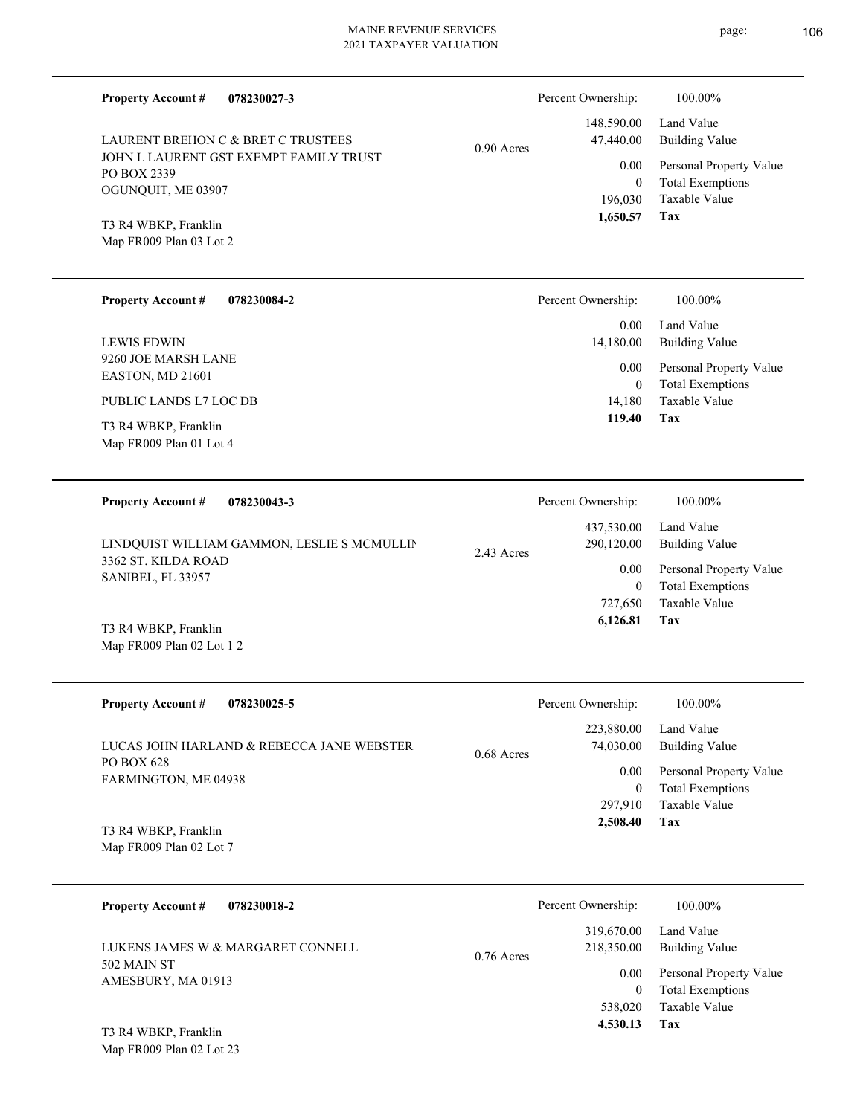| <b>Property Account #</b><br>078230027-3                                                                                                                             |              | Percent Ownership:       | 100.00%                                            |
|----------------------------------------------------------------------------------------------------------------------------------------------------------------------|--------------|--------------------------|----------------------------------------------------|
| LAURENT BREHON C & BRET C TRUSTEES<br>JOHN L LAURENT GST EXEMPT FAMILY TRUST<br>PO BOX 2339<br>OGUNQUIT, ME 03907<br>T3 R4 WBKP, Franklin<br>Map FR009 Plan 03 Lot 2 | $0.90$ Acres | 148,590.00<br>47,440.00  | Land Value<br><b>Building Value</b>                |
|                                                                                                                                                                      |              | 0.00<br>$\mathbf{0}$     | Personal Property Value<br><b>Total Exemptions</b> |
|                                                                                                                                                                      |              | 196,030<br>1,650.57      | Taxable Value<br>Tax                               |
|                                                                                                                                                                      |              |                          |                                                    |
| <b>Property Account #</b><br>078230084-2                                                                                                                             |              | Percent Ownership:       | 100.00%                                            |
| <b>LEWIS EDWIN</b>                                                                                                                                                   |              | 0.00<br>14,180.00        | Land Value<br><b>Building Value</b>                |
| 9260 JOE MARSH LANE<br>EASTON, MD 21601                                                                                                                              |              | 0.00<br>$\mathbf{0}$     | Personal Property Value<br><b>Total Exemptions</b> |
| PUBLIC LANDS L7 LOC DB                                                                                                                                               |              | 14,180<br>119.40         | Taxable Value<br>Tax                               |
| T3 R4 WBKP, Franklin<br>Map FR009 Plan 01 Lot 4                                                                                                                      |              |                          |                                                    |
| <b>Property Account #</b><br>078230043-3<br>LINDQUIST WILLIAM GAMMON, LESLIE S MCMULLIN<br>3362 ST. KILDA ROAD<br>SANIBEL, FL 33957                                  |              | Percent Ownership:       | 100.00%                                            |
|                                                                                                                                                                      | 2.43 Acres   | 437,530.00<br>290,120.00 | Land Value<br><b>Building Value</b>                |
|                                                                                                                                                                      |              | 0.00<br>$\mathbf{0}$     | Personal Property Value<br><b>Total Exemptions</b> |
| T3 R4 WBKP, Franklin                                                                                                                                                 |              | 727,650<br>6,126.81      | Taxable Value<br>Tax                               |
| Map FR009 Plan 02 Lot 1 2                                                                                                                                            |              |                          |                                                    |
| <b>Property Account #</b><br>078230025-5                                                                                                                             | $0.68$ Acres | Percent Ownership:       | 100.00%                                            |
| LUCAS JOHN HARLAND & REBECCA JANE WEBSTER<br>PO BOX 628<br>FARMINGTON, ME 04938                                                                                      |              | 223,880.00<br>74,030.00  | Land Value<br><b>Building Value</b>                |
|                                                                                                                                                                      |              | 0.00<br>$\boldsymbol{0}$ | Personal Property Value<br><b>Total Exemptions</b> |
| T3 R4 WBKP, Franklin<br>Map FR009 Plan 02 Lot 7                                                                                                                      |              | 297,910<br>2,508.40      | Taxable Value<br>Tax                               |
|                                                                                                                                                                      |              |                          |                                                    |
| <b>Property Account #</b><br>078230018-2                                                                                                                             |              | Percent Ownership:       | 100.00%                                            |
| LUKENS JAMES W & MARGARET CONNELL                                                                                                                                    | 0.76 Acres   | 319,670.00<br>218,350.00 | Land Value<br><b>Building Value</b>                |
| 502 MAIN ST<br>AMESBURY, MA 01913                                                                                                                                    |              | 0.00<br>$\mathbf{0}$     | Personal Property Value<br><b>Total Exemptions</b> |
| $\mathbf{X} \mathbf{X} \mathbf{I} \mathbf{D} \mathbf{I} \mathbf{Z} \mathbf{I}$                                                                                       |              | 538,020<br>4,530.13      | Taxable Value<br>Tax                               |

Map FR009 Plan 02 Lot 23 T3 R4 WBKP, Franklin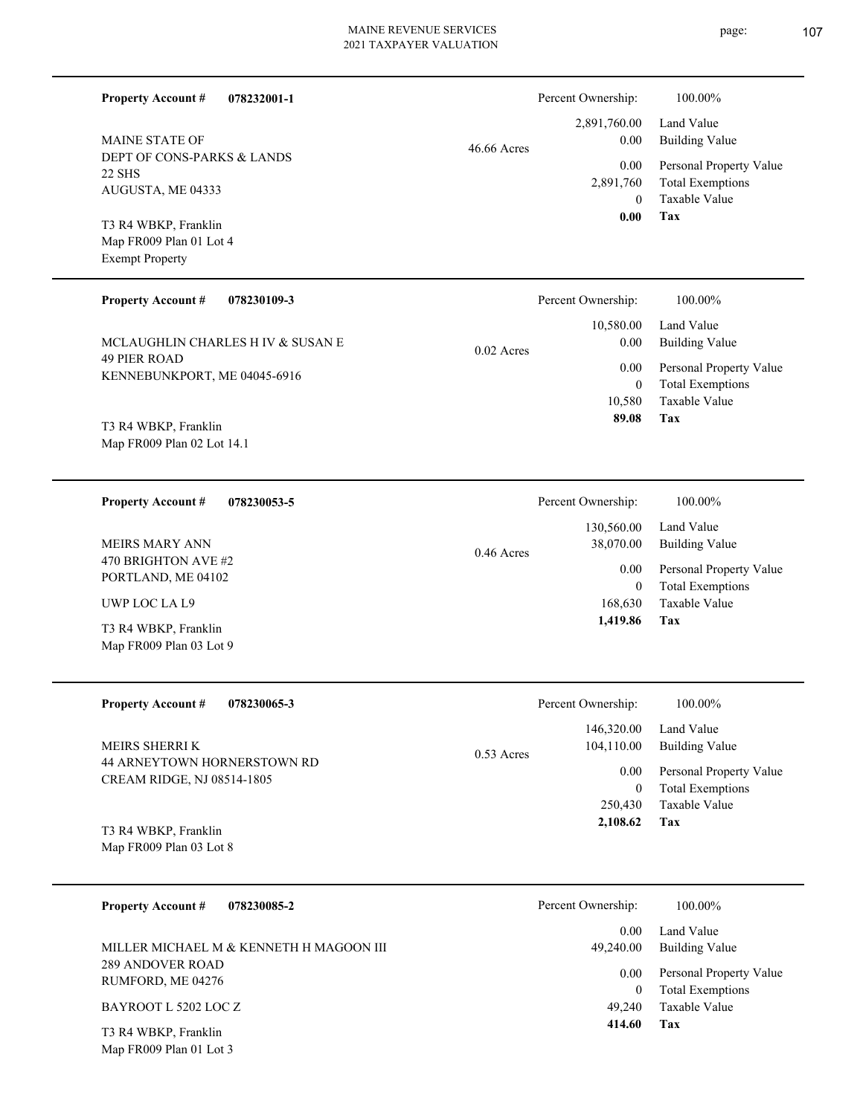| <b>Property Account #</b><br>078232001-1                                                  |              | Percent Ownership:                          | 100.00%                                                                           |
|-------------------------------------------------------------------------------------------|--------------|---------------------------------------------|-----------------------------------------------------------------------------------|
| <b>MAINE STATE OF</b><br>DEPT OF CONS-PARKS & LANDS<br><b>22 SHS</b><br>AUGUSTA, ME 04333 | 46.66 Acres  | 2,891,760.00<br>0.00                        | Land Value<br><b>Building Value</b>                                               |
|                                                                                           |              | 0.00<br>2,891,760                           | Personal Property Value<br><b>Total Exemptions</b>                                |
| T3 R4 WBKP, Franklin<br>Map FR009 Plan 01 Lot 4<br><b>Exempt Property</b>                 |              | $\overline{0}$<br>0.00                      | <b>Taxable Value</b><br>Tax                                                       |
| <b>Property Account #</b><br>078230109-3                                                  |              | Percent Ownership:                          | 100.00%                                                                           |
| MCLAUGHLIN CHARLES H IV & SUSAN E                                                         |              | 10,580.00<br>0.00                           | Land Value<br><b>Building Value</b>                                               |
| <b>49 PIER ROAD</b><br>KENNEBUNKPORT, ME 04045-6916                                       | $0.02$ Acres | 0.00<br>$\boldsymbol{0}$<br>10,580          | Personal Property Value<br><b>Total Exemptions</b><br><b>Taxable Value</b>        |
| T3 R4 WBKP, Franklin<br>Map FR009 Plan 02 Lot 14.1                                        |              | 89.08                                       | Tax                                                                               |
| <b>Property Account #</b><br>078230053-5                                                  |              | Percent Ownership:                          | 100.00%                                                                           |
| <b>MEIRS MARY ANN</b>                                                                     | 0.46 Acres   | 130,560.00<br>38,070.00                     | Land Value<br><b>Building Value</b>                                               |
| 470 BRIGHTON AVE #2<br>PORTLAND, ME 04102                                                 |              | 0.00<br>$\mathbf{0}$<br>168,630<br>1,419.86 | Personal Property Value<br><b>Total Exemptions</b><br>Taxable Value<br><b>Tax</b> |
| UWP LOC LA L9<br>T3 R4 WBKP, Franklin<br>Map FR009 Plan 03 Lot 9                          |              |                                             |                                                                                   |
|                                                                                           |              |                                             |                                                                                   |
| <b>Property Account #</b><br>078230065-3                                                  |              | Percent Ownership:<br>146,320.00            | 100.00%<br>Land Value                                                             |
| MEIRS SHERRI K<br>44 ARNEYTOWN HORNERSTOWN RD                                             | 0.53 Acres   | 104,110.00                                  | <b>Building Value</b>                                                             |
| CREAM RIDGE, NJ 08514-1805                                                                |              | 0.00<br>$\boldsymbol{0}$                    | Personal Property Value<br><b>Total Exemptions</b>                                |
| T3 R4 WBKP, Franklin<br>Map FR009 Plan 03 Lot 8                                           |              | 250,430<br>2,108.62                         | Taxable Value<br>Tax                                                              |
| <b>Property Account #</b><br>078230085-2                                                  |              | Percent Ownership:                          | 100.00%                                                                           |
| MILLER MICHAEL M & KENNETH H MAGOON III                                                   |              | 0.00<br>49,240.00                           | Land Value<br><b>Building Value</b>                                               |
| 289 ANDOVER ROAD<br>RUMFORD, ME 04276                                                     |              | 0.00                                        | Personal Property Value                                                           |
| BAYROOT L 5202 LOC Z                                                                      |              | $\boldsymbol{0}$<br>49,240                  | <b>Total Exemptions</b><br>Taxable Value                                          |
| T3 R4 WBKP, Franklin<br>Map FR009 Plan 01 Lot 3                                           |              | 414.60                                      | Tax                                                                               |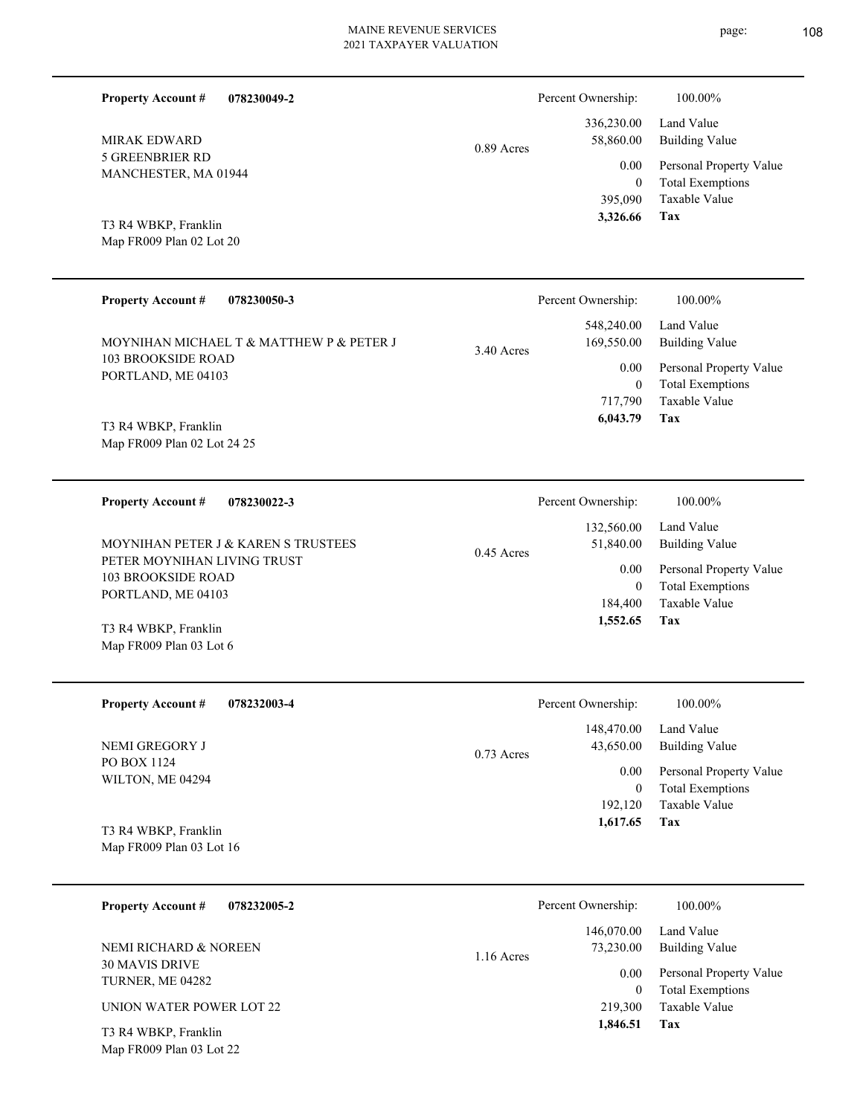**078230049-2**

**Property Account #**

Percent Ownership: 100.00%

| <b>MIRAK EDWARD</b><br><b>5 GREENBRIER RD</b><br>MANCHESTER, MA 01944<br>T3 R4 WBKP, Franklin<br>Map FR009 Plan 02 Lot 20<br><b>Property Account #</b><br>078230050-3<br>MOYNIHAN MICHAEL T & MATTHEW P & PETER J<br><b>103 BROOKSIDE ROAD</b><br>PORTLAND, ME 04103<br>T3 R4 WBKP, Franklin | 0.89 Acres<br>3.40 Acres | 336,230.00<br>58,860.00<br>0.00<br>$\boldsymbol{0}$<br>395,090<br>3,326.66<br>Percent Ownership:<br>548,240.00<br>169,550.00<br>0.00<br>$\boldsymbol{0}$<br>717,790<br>6,043.79 | Land Value<br><b>Building Value</b><br>Personal Property Value<br><b>Total Exemptions</b><br>Taxable Value<br>Tax<br>100.00%<br>Land Value<br><b>Building Value</b><br>Personal Property Value<br><b>Total Exemptions</b><br>Taxable Value<br>Tax |
|----------------------------------------------------------------------------------------------------------------------------------------------------------------------------------------------------------------------------------------------------------------------------------------------|--------------------------|---------------------------------------------------------------------------------------------------------------------------------------------------------------------------------|---------------------------------------------------------------------------------------------------------------------------------------------------------------------------------------------------------------------------------------------------|
| Map FR009 Plan 02 Lot 24 25                                                                                                                                                                                                                                                                  |                          |                                                                                                                                                                                 |                                                                                                                                                                                                                                                   |
| <b>Property Account #</b><br>078230022-3<br>MOYNIHAN PETER J & KAREN S TRUSTEES<br>PETER MOYNIHAN LIVING TRUST<br><b>103 BROOKSIDE ROAD</b><br>PORTLAND, ME 04103<br>T3 R4 WBKP, Franklin<br>Map FR009 Plan 03 Lot 6                                                                         | $0.45$ Acres             | Percent Ownership:<br>132,560.00<br>51,840.00<br>0.00<br>$\mathbf{0}$<br>184,400<br>1,552.65                                                                                    | 100.00%<br>Land Value<br><b>Building Value</b><br>Personal Property Value<br><b>Total Exemptions</b><br>Taxable Value<br>Tax                                                                                                                      |
| Property Account #<br>078232003-4<br>NEMI GREGORY J<br>PO BOX 1124<br>WILTON, ME 04294<br>T3 R4 WBKP, Franklin<br>Map FR009 Plan 03 Lot 16                                                                                                                                                   | $0.73$ Acres             | Percent Ownership:<br>148,470.00<br>43,650.00<br>0.00<br>$\mathbf{0}$<br>192,120<br>1,617.65                                                                                    | 100.00%<br>Land Value<br><b>Building Value</b><br>Personal Property Value<br><b>Total Exemptions</b><br>Taxable Value<br>Tax                                                                                                                      |
| <b>Property Account #</b><br>078232005-2<br>NEMI RICHARD & NOREEN<br>30 MAVIS DRIVE<br>TURNER, ME 04282<br>UNION WATER POWER LOT 22<br>T3 R4 WBKP, Franklin<br>Map FR009 Plan 03 Lot 22                                                                                                      | 1.16 Acres               | Percent Ownership:<br>146,070.00<br>73,230.00<br>0.00<br>$\mathbf{0}$<br>219,300<br>1,846.51                                                                                    | 100.00%<br>Land Value<br><b>Building Value</b><br>Personal Property Value<br><b>Total Exemptions</b><br>Taxable Value<br>Tax                                                                                                                      |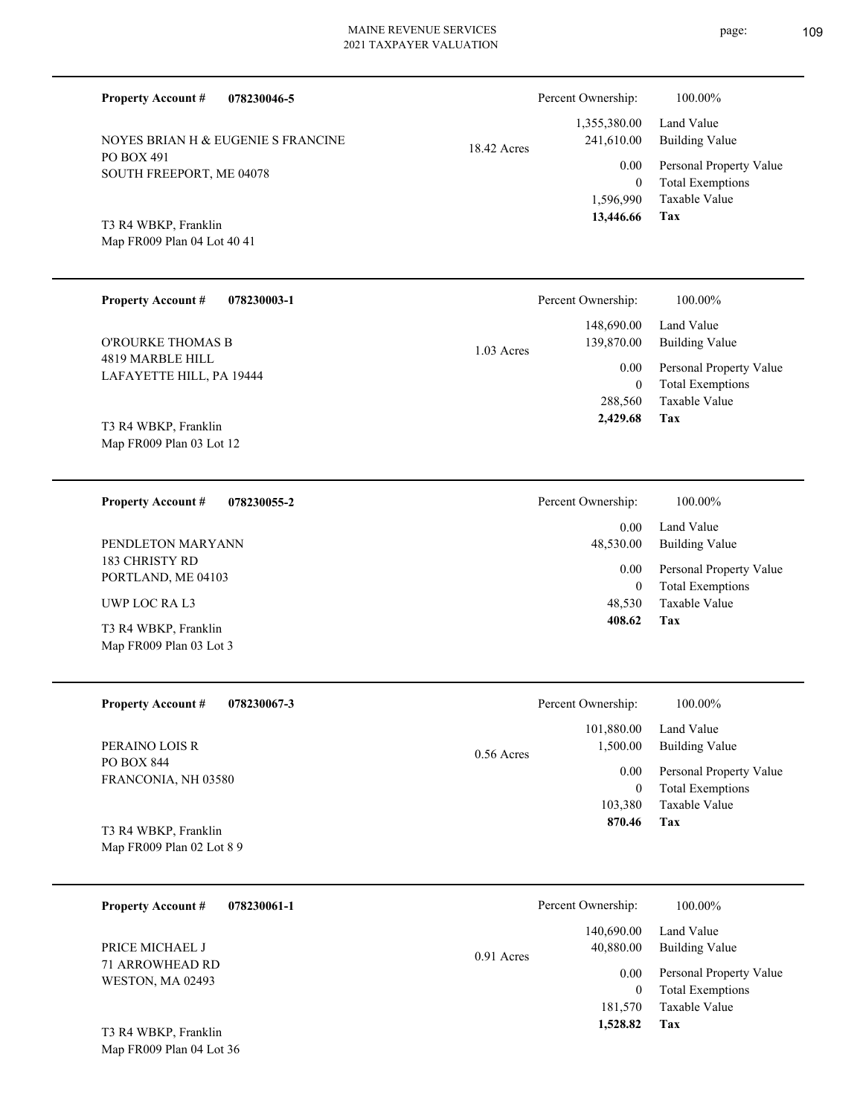PO BOX 491 SOUTH FREEPORT, ME 04078 NOYES BRIAN H & EUGENIE S FRANCINE

**078230046-5**

**078230055-2**

Map FR009 Plan 04 Lot 40 41 T3 R4 WBKP, Franklin

**Property Account #**

| <b>Property Account #</b><br>078230003-1         | Percent Ownership:               | 100.00%                                            |
|--------------------------------------------------|----------------------------------|----------------------------------------------------|
| O'ROURKE THOMAS B                                | 148,690.00<br>139,870.00         | Land Value<br><b>Building Value</b>                |
| 4819 MARBLE HILL<br>LAFAYETTE HILL, PA 19444     | $1.03$ Acres<br>0.00<br>$\Omega$ | Personal Property Value<br><b>Total Exemptions</b> |
| T3 R4 WBKP, Franklin<br>Map FR009 Plan 03 Lot 12 | 288,560<br>2,429.68              | Taxable Value<br>Tax                               |
|                                                  |                                  |                                                    |

183 CHRISTY RD PORTLAND, ME 04103 PENDLETON MARYANN

UWP LOC RA L3

**Property Account #**

Map FR009 Plan 03 Lot 3 T3 R4 WBKP, Franklin

| <b>Property Account #</b> | 078230067-3 |
|---------------------------|-------------|
|---------------------------|-------------|

PO BOX 844 FRANCONIA, NH 03580 PERAINO LOIS R

Map FR009 Plan 02 Lot 8 9 T3 R4 WBKP, Franklin

| <b>Property Account #</b><br>078230061-1 | Percent Ownership:                      | 100.00%                                            |
|------------------------------------------|-----------------------------------------|----------------------------------------------------|
| PRICE MICHAEL J<br>71 ARROWHEAD RD       | 140,690.00<br>40,880.00<br>$0.91$ Acres | Land Value<br><b>Building Value</b>                |
| <b>WESTON, MA 02493</b>                  | 0.00                                    | Personal Property Value<br><b>Total Exemptions</b> |
| T3 R4 WBKP, Franklin                     | 181,570<br>1,528.82                     | Taxable Value<br>Tax                               |

0.56

Map FR009 Plan 04 Lot 36

**Tax** Taxable Value Total Exemptions Personal Property Value Building Value Land Value 1,596,990 0  **13,446.66** 1,355,380.00 241,610.00 0.00 18.42 Acres Percent Ownership:  $100.00\%$ 

> **Tax** Taxable Value Total Exemptions Personal Property Value Building Value Land Value 48,530 0  **408.62** 0.00 48,530.00 0.00 Percent Ownership:  $100.00\%$

|       | 870.46             | Tax                     |
|-------|--------------------|-------------------------|
|       | 103,380            | Taxable Value           |
|       | 0                  | <b>Total Exemptions</b> |
|       | 0.00               | Personal Property Value |
| Acres | 1,500.00           | <b>Building Value</b>   |
|       | 101,880.00         | Land Value              |
|       | Percent Ownership: | 100.00%                 |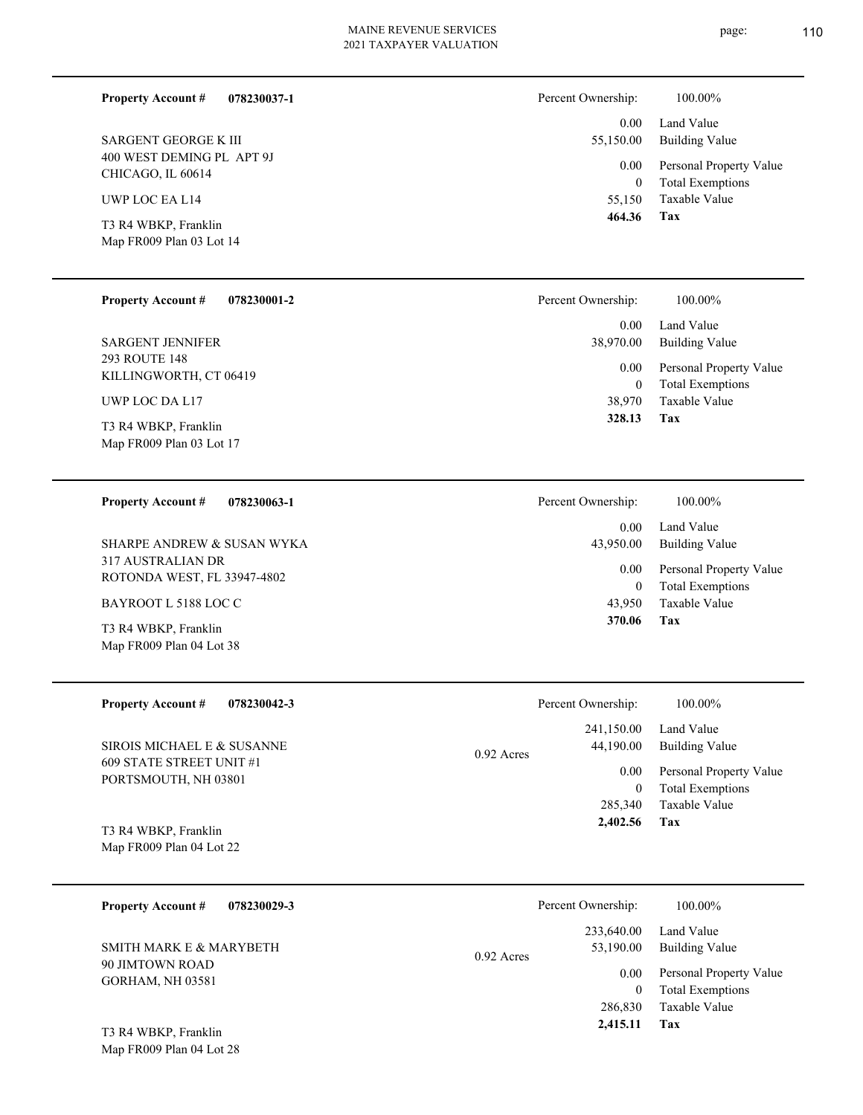# 2021 TAXPAYER VALUATION

**078230037-1**

400 WEST DEMING PL APT 9J CHICAGO, IL 60614 SARGENT GEORGE K III

UWP LOC EA L14

**Property Account #**

Map FR009 Plan 03 Lot 14 T3 R4 WBKP, Franklin

| <b>Property Account #</b> | 078230001-2 |
|---------------------------|-------------|
|---------------------------|-------------|

293 ROUTE 148 KILLINGWORTH, CT 06419 SARGENT JENNIFER

UWP LOC DA L17

Map FR009 Plan 03 Lot 17 T3 R4 WBKP, Franklin

#### **078230063-1 Property Account #**

317 AUSTRALIAN DR ROTONDA WEST, FL 33947-4802 SHARPE ANDREW & SUSAN WYKA

BAYROOT L 5188 LOC C

Map FR009 Plan 04 Lot 38 T3 R4 WBKP, Franklin

| <b>Property Account #</b> | 078230042-3 |
|---------------------------|-------------|
|                           |             |

609 STATE STREET UNIT #1 PORTSMOUTH, NH 03801 SIROIS MICHAEL E & SUSANNE

Map FR009 Plan 04 Lot 22 T3 R4 WBKP, Franklin

| 078230029-3<br><b>Property Account #</b>   | Percent Ownership:                      | 100.00%                                            |
|--------------------------------------------|-----------------------------------------|----------------------------------------------------|
| SMITH MARK E & MARYBETH                    | 233,640.00<br>53,190.00<br>$0.92$ Acres | Land Value<br><b>Building Value</b>                |
| 90 JIMTOWN ROAD<br><b>GORHAM, NH 03581</b> | 0.00<br>0                               | Personal Property Value<br><b>Total Exemptions</b> |
| $T2 D/MWDFD$ Franklin                      | 286,830<br>2,415.11                     | Taxable Value<br>Tax                               |

Map FR009 Plan 04 Lot 28 T3 R4 WBKP, Franklin

| Percent Ownership:    | 100.00%                                            |
|-----------------------|----------------------------------------------------|
| $0.00 -$<br>55,150.00 | Land Value<br>Building Value                       |
| $0.00\,$<br>0         | Personal Property Value<br><b>Total Exemptions</b> |
| 55,150                | Taxable Value                                      |
| 464.36                | Tax                                                |

| 100.00%                                            |
|----------------------------------------------------|
| Land Value<br><b>Building Value</b>                |
| Personal Property Value<br><b>Total Exemptions</b> |
| Taxable Value<br>Tax                               |
|                                                    |

| Percent Ownership:    | 100.00%                                            |
|-----------------------|----------------------------------------------------|
| $0.00 -$<br>43,950.00 | Land Value<br>Building Value                       |
| $0.00\,$<br>0         | Personal Property Value<br><b>Total Exemptions</b> |
| 43,950                | Taxable Value                                      |
| 370.06                | Tax                                                |

|              | Percent Ownership: | 100.00%                 |
|--------------|--------------------|-------------------------|
|              |                    | 241,150.00 Land Value   |
| $0.92$ Acres | 44,190.00          | Building Value          |
|              | 0.00 <sub>1</sub>  | Personal Property Value |
|              | 0                  | <b>Total Exemptions</b> |
|              | 285,340            | Taxable Value           |
|              | 2,402.56           | Tax                     |
|              |                    |                         |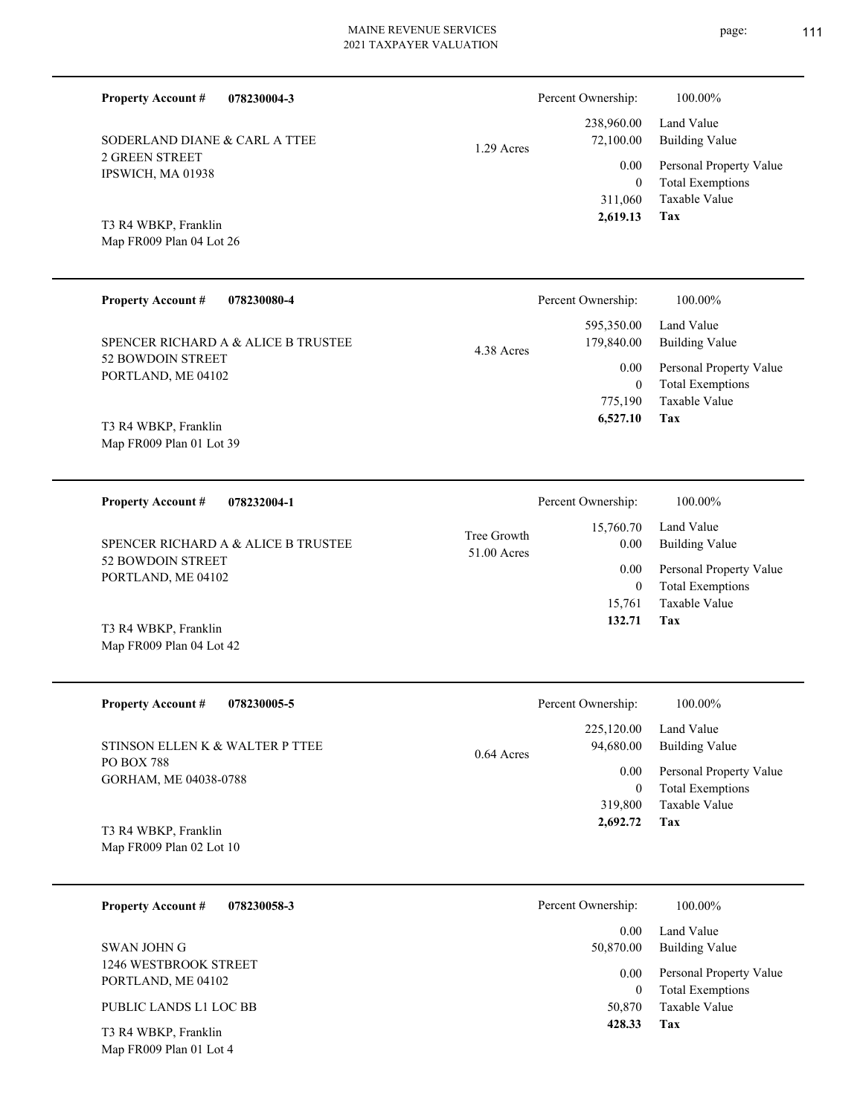| <b>Property Account #</b><br>078230004-3         | Percent Ownership:                              | 100.00%                                                                |
|--------------------------------------------------|-------------------------------------------------|------------------------------------------------------------------------|
| SODERLAND DIANE & CARL A TTEE                    | 238,960.00<br>72,100.00<br>1.29 Acres           | Land Value<br><b>Building Value</b>                                    |
| <b>2 GREEN STREET</b><br>IPSWICH, MA 01938       | 0.00                                            | Personal Property Value<br><b>Total Exemptions</b><br>$\mathbf{0}$     |
|                                                  | 311,060<br>2,619.13                             | Taxable Value<br>Tax                                                   |
| T3 R4 WBKP, Franklin<br>Map FR009 Plan 04 Lot 26 |                                                 |                                                                        |
|                                                  |                                                 |                                                                        |
| <b>Property Account #</b><br>078230080-4         | Percent Ownership:                              | 100.00%                                                                |
| SPENCER RICHARD A & ALICE B TRUSTEE              | 595,350.00<br>179,840.00<br>4.38 Acres          | Land Value<br><b>Building Value</b>                                    |
| 52 BOWDOIN STREET<br>PORTLAND, ME 04102          | 0.00                                            | Personal Property Value<br><b>Total Exemptions</b><br>$\mathbf{0}$     |
|                                                  | 775,190<br>6,527.10                             | <b>Taxable Value</b><br>Tax                                            |
| T3 R4 WBKP, Franklin<br>Map FR009 Plan 01 Lot 39 |                                                 |                                                                        |
|                                                  |                                                 |                                                                        |
| <b>Property Account #</b><br>078232004-1         | Percent Ownership:                              | 100.00%                                                                |
| SPENCER RICHARD A & ALICE B TRUSTEE              | 15,760.70<br>Tree Growth<br>0.00<br>51.00 Acres | Land Value<br><b>Building Value</b>                                    |
| 52 BOWDOIN STREET<br>PORTLAND, ME 04102          | 0.00                                            | Personal Property Value<br><b>Total Exemptions</b><br>$\boldsymbol{0}$ |
|                                                  | 15,761                                          | Taxable Value                                                          |
| T3 R4 WBKP, Franklin<br>Map FR009 Plan 04 Lot 42 | 132.71                                          | Tax                                                                    |
|                                                  |                                                 |                                                                        |
| <b>Property Account #</b><br>078230005-5         | Percent Ownership:                              | $100.00\%$                                                             |
| STINSON ELLEN K & WALTER P TTEE                  | 225,120.00<br>94,680.00                         | Land Value<br><b>Building Value</b>                                    |
| <b>PO BOX 788</b>                                | 0.64 Acres<br>$0.00\,$                          | Personal Property Value                                                |
| GORHAM, ME 04038-0788                            | 319,800                                         | <b>Total Exemptions</b><br>$\boldsymbol{0}$<br>Taxable Value           |
| $D$ $\leftarrow$ $NIDID$                         | 2,692.72                                        | <b>Tax</b>                                                             |

Map FR009 Plan 02 Lot 10 T3 R4 WBKP, Franklin

| 078230058-3<br><b>Property Account #</b>    | Percent Ownership: | 100.00%                                            |
|---------------------------------------------|--------------------|----------------------------------------------------|
|                                             | 0.00               | Land Value                                         |
| SWAN JOHN G                                 | 50,870.00          | <b>Building Value</b>                              |
| 1246 WESTBROOK STREET<br>PORTLAND, ME 04102 | 0.00               | Personal Property Value<br><b>Total Exemptions</b> |
| PUBLIC LANDS L1 LOC BB                      | 50,870             | Taxable Value                                      |
| T3 R4 WBKP, Franklin                        | 428.33             | Tax                                                |

Map FR009 Plan 01 Lot 4

page: 111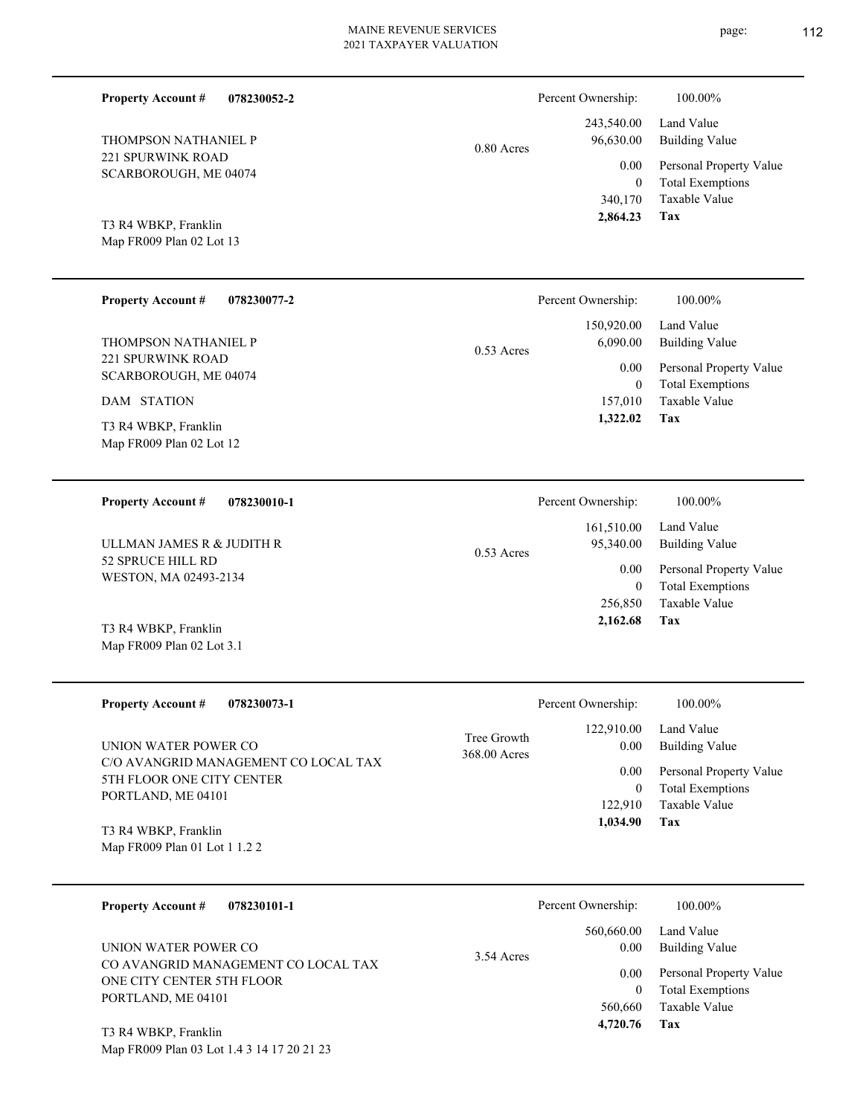|            | 243,540.00 |
|------------|------------|
| 0.80 Acres | 96,630.00  |
|            | 0.00       |
|            | $_{0}$     |

T3 R4 WBKP, Franklin

**078230052-2**

Map FR009 Plan 02 Lot 13

Map FR009 Plan 02 Lot 3.1

221 SPURWINK ROAD SCARBOROUGH, ME 04074

THOMPSON NATHANIEL P

**Property Account #**

| <b>Property Account #</b><br>078230077-2         | Percent Ownership:       | 100.00%                 |
|--------------------------------------------------|--------------------------|-------------------------|
|                                                  | 150,920.00               | Land Value              |
| THOMPSON NATHANIEL P                             | 6,090.00<br>$0.53$ Acres | Building Value          |
| 221 SPURWINK ROAD<br>SCARBOROUGH, ME 04074       | 0.00                     | Personal Property Value |
|                                                  | 0                        | <b>Total Exemptions</b> |
| DAM STATION                                      | 157,010<br>1,322.02      | Taxable Value<br>Tax    |
| T3 R4 WBKP, Franklin<br>Map FR009 Plan 02 Lot 12 |                          |                         |

| 078230010-1<br><b>Property Account #</b>   | Percent Ownership:                      | 100.00%                                            |
|--------------------------------------------|-----------------------------------------|----------------------------------------------------|
| ULLMAN JAMES R & JUDITH R                  | 161,510.00<br>95,340.00<br>$0.53$ Acres | Land Value<br>Building Value                       |
| 52 SPRUCE HILL RD<br>WESTON, MA 02493-2134 | 0.00<br>0                               | Personal Property Value<br><b>Total Exemptions</b> |
| T3 R4 WBKP, Franklin                       | 256,850<br>2,162.68                     | Taxable Value<br>Tax                               |

| <b>Property Account #</b><br>078230073-1                                                  | Percent Ownership:                                        | 100.00%                                                        |
|-------------------------------------------------------------------------------------------|-----------------------------------------------------------|----------------------------------------------------------------|
| UNION WATER POWER CO<br>C/O AVANGRID MANAGEMENT CO LOCAL TAX<br>5TH FLOOR ONE CITY CENTER | 122.910.00<br>Tree Growth<br>0.00<br>368.00 Acres<br>0.00 | Land Value<br><b>Building Value</b><br>Personal Property Value |
| PORTLAND, ME 04101                                                                        | 122,910                                                   | <b>Total Exemptions</b><br>Taxable Value                       |
| T3 R4 WBKP, Franklin                                                                      | 1.034.90                                                  | Tax                                                            |
| Map FR009 Plan 01 Lot 1 1.2 2                                                             |                                                           |                                                                |

| 078230101-1<br><b>Property Account #</b>                                               | Percent Ownership:                 | 100.00%                                                             |
|----------------------------------------------------------------------------------------|------------------------------------|---------------------------------------------------------------------|
| UNION WATER POWER CO                                                                   | 560,660.00<br>0.00<br>$3.54$ Acres | Land Value<br><b>Building Value</b>                                 |
| CO AVANGRID MANAGEMENT CO LOCAL TAX<br>ONE CITY CENTER 5TH FLOOR<br>PORTLAND, ME 04101 | 0.00<br>$\mathbf{0}$<br>560,660    | Personal Property Value<br><b>Total Exemptions</b><br>Taxable Value |
| T3 R4 WBKP, Franklin                                                                   | 4,720.76                           | Tax                                                                 |

Map FR009 Plan 03 Lot 1.4 3 14 17 20 21 23

**Tax**

340,170

Percent Ownership:  $100.00\%$ 

 **2,864.23**

Taxable Value Total Exemptions Personal Property Value

Building Value Land Value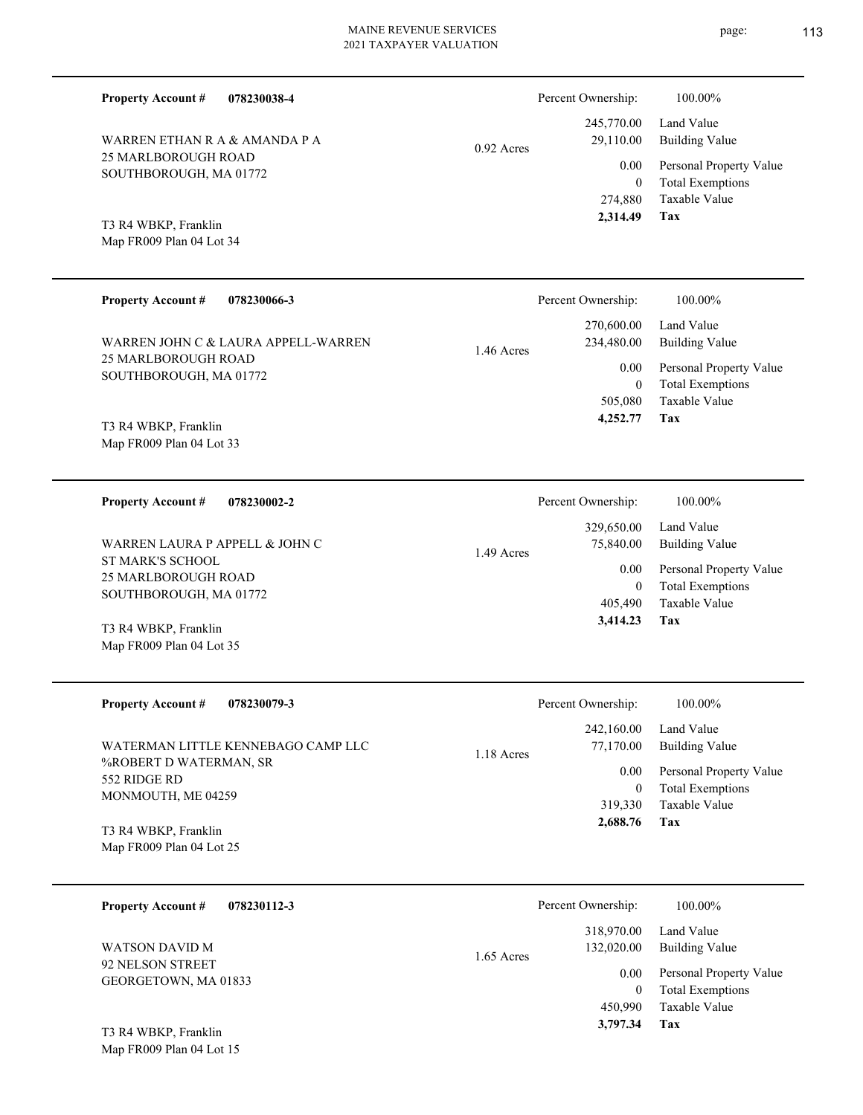**078230038-4 Tax** Taxable Value Building Value Land Value 25 MARLBOROUGH ROAD SOUTHBOROUGH, MA 01772 **Property Account #** Map FR009 Plan 04 Lot 34 T3 R4 WBKP, Franklin WARREN ETHAN R A & AMANDA P A 274,880 0  **2,314.49** 245,770.00 29,110.00 0.00 0.92 Acres Percent Ownership:  $100.00\%$ **078230066-3** Land Value **Property Account #** 270,600.00 Percent Ownership: 100.00%

25 MARLBOROUGH ROAD SOUTHBOROUGH, MA 01772 WARREN JOHN C & LAURA APPELL-WARREN 1.46 Acres

Map FR009 Plan 04 Lot 33 T3 R4 WBKP, Franklin

**078230002-2 Property Account #**

ST MARK'S SCHOOL 25 MARLBOROUGH ROAD SOUTHBOROUGH, MA 01772 WARREN LAURA P APPELL & JOHN C

Map FR009 Plan 04 Lot 35 T3 R4 WBKP, Franklin

| <b>Property Account #</b><br>078230079-3                                                           | Percent Ownership:                                              | 100.00%                                                                                             |
|----------------------------------------------------------------------------------------------------|-----------------------------------------------------------------|-----------------------------------------------------------------------------------------------------|
| WATERMAN LITTLE KENNEBAGO CAMP LLC<br>%ROBERT D WATERMAN, SR<br>552 RIDGE RD<br>MONMOUTH, ME 04259 | 242,160.00<br>77,170.00<br>$1.18$ Acres<br>0.00<br>0<br>319,330 | Land Value<br>Building Value<br>Personal Property Value<br><b>Total Exemptions</b><br>Taxable Value |
| T3 R4 WBKP, Franklin<br>Map FR009 Plan 04 Lot 25                                                   | 2,688.76                                                        | Tax                                                                                                 |

1.49 Acres

| 078230112-3<br><b>Property Account #</b> | Percent Ownership:                       | 100.00%                                                             |
|------------------------------------------|------------------------------------------|---------------------------------------------------------------------|
| WATSON DAVID M                           | 318,970.00<br>132,020.00<br>$1.65$ Acres | Land Value<br><b>Building Value</b>                                 |
| 92 NELSON STREET<br>GEORGETOWN, MA 01833 | 0.00<br>$\boldsymbol{0}$<br>450,990      | Personal Property Value<br><b>Total Exemptions</b><br>Taxable Value |
| T3 R4 WBKP, Franklin                     | 3,797.34                                 | Tax                                                                 |

Map FR009 Plan 04 Lot 15

page: 113

Total Exemptions Personal Property Value

**Tax**

**Tax**

Taxable Value Total Exemptions Personal Property Value

Building Value Land Value

 505,080 0

0.00

234,480.00

 **4,252.77**

 405,490 0

0.00

Percent Ownership:  $100.00\%$ 

 329,650.00 75,840.00

 **3,414.23**

Taxable Value Total Exemptions Personal Property Value

Building Value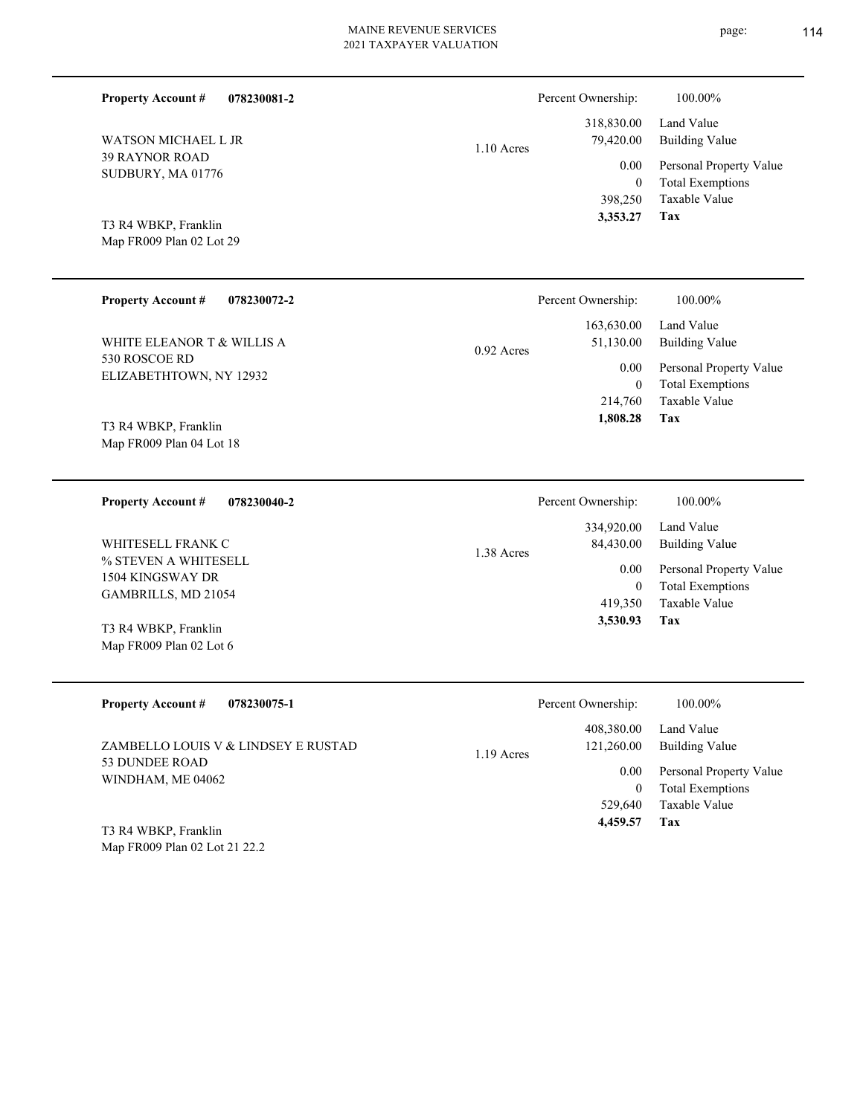| <b>Property Account #</b><br>078230081-2                                                     |              | Percent Ownership:                                             | 100.00%                                                                                                    |
|----------------------------------------------------------------------------------------------|--------------|----------------------------------------------------------------|------------------------------------------------------------------------------------------------------------|
| WATSON MICHAEL L JR<br><b>39 RAYNOR ROAD</b><br>SUDBURY, MA 01776                            | 1.10 Acres   | 318,830.00<br>79,420.00<br>0.00<br>$\boldsymbol{0}$<br>398,250 | Land Value<br><b>Building Value</b><br>Personal Property Value<br><b>Total Exemptions</b><br>Taxable Value |
| T3 R4 WBKP, Franklin<br>Map FR009 Plan 02 Lot 29                                             |              | 3,353.27                                                       | <b>Tax</b>                                                                                                 |
| <b>Property Account #</b><br>078230072-2                                                     |              | Percent Ownership:                                             | 100.00%                                                                                                    |
| WHITE ELEANOR T & WILLIS A                                                                   | $0.92$ Acres | 163,630.00<br>51,130.00                                        | Land Value<br><b>Building Value</b>                                                                        |
| 530 ROSCOE RD<br>ELIZABETHTOWN, NY 12932<br>T3 R4 WBKP, Franklin<br>Map FR009 Plan 04 Lot 18 |              | 0.00<br>$\mathbf{0}$<br>214,760<br>1,808.28                    | Personal Property Value<br><b>Total Exemptions</b><br><b>Taxable Value</b><br><b>Tax</b>                   |
| <b>Property Account #</b><br>078230040-2                                                     |              | Percent Ownership:                                             | 100.00%                                                                                                    |
| WHITESELL FRANK C<br>% STEVEN A WHITESELL<br>1504 KINGSWAY DR                                | 1.38 Acres   | 334,920.00<br>84,430.00<br>0.00                                | Land Value<br><b>Building Value</b><br>Personal Property Value                                             |
| GAMBRILLS, MD 21054                                                                          |              | $\boldsymbol{0}$<br>419,350                                    | <b>Total Exemptions</b><br>Taxable Value                                                                   |
| T3 R4 WBKP, Franklin<br>Map FR009 Plan 02 Lot 6                                              |              | 3,530.93                                                       | <b>Tax</b>                                                                                                 |

| <b>Property Account #</b><br>078230075-1 | Percent Ownership:                       | 100.00%                                                             |
|------------------------------------------|------------------------------------------|---------------------------------------------------------------------|
| ZAMBELLO LOUIS V & LINDSEY E RUSTAD      | 408,380.00<br>121,260.00<br>$1.19$ Acres | Land Value<br>Building Value                                        |
| 53 DUNDEE ROAD<br>WINDHAM, ME 04062      | 0.00<br>0<br>529,640                     | Personal Property Value<br><b>Total Exemptions</b><br>Taxable Value |
| T3 R4 WBKP, Franklin                     | 4,459.57                                 | Tax                                                                 |

Map FR009 Plan 02 Lot 21 22.2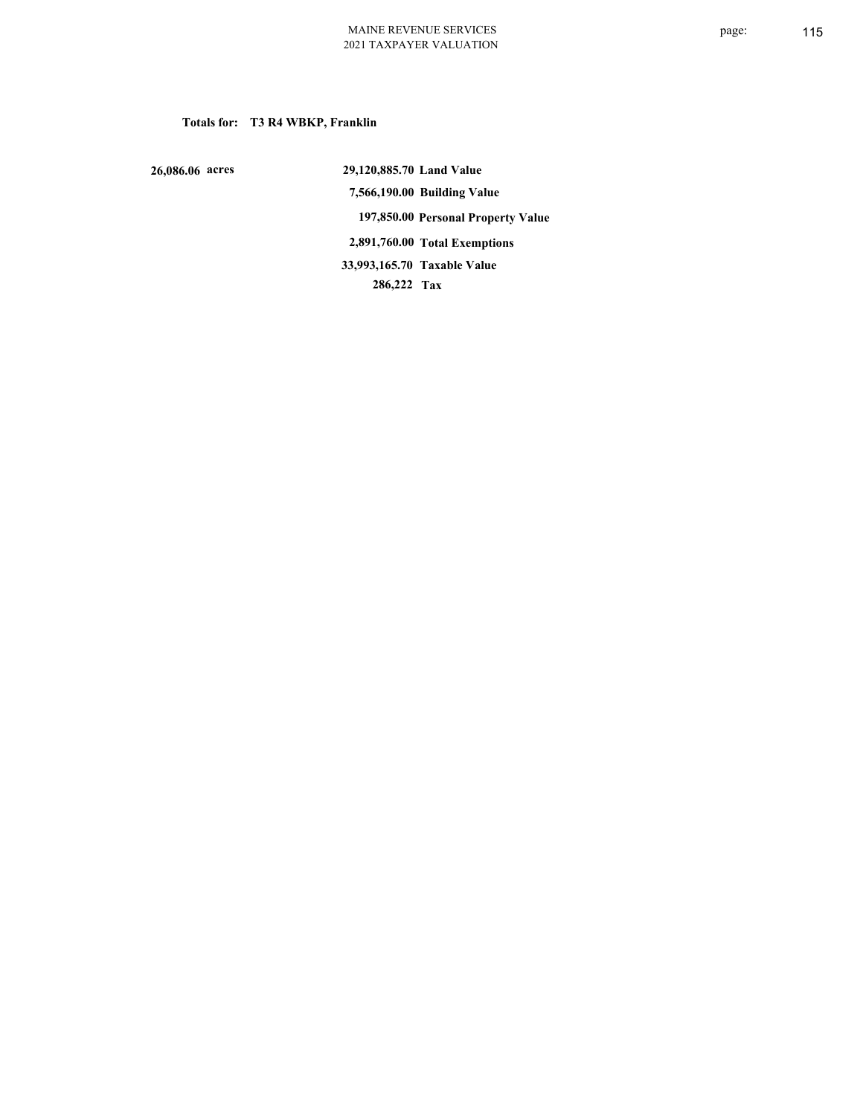### **Totals for: T3 R4 WBKP, Franklin**

 **26,086.06 acres**

 **29,120,885.70 Land Value 7,566,190.00 Building Value 197,850.00 Personal Property Value 2,891,760.00 Total Exemptions 286,222 Tax Taxable Value 33,993,165.70**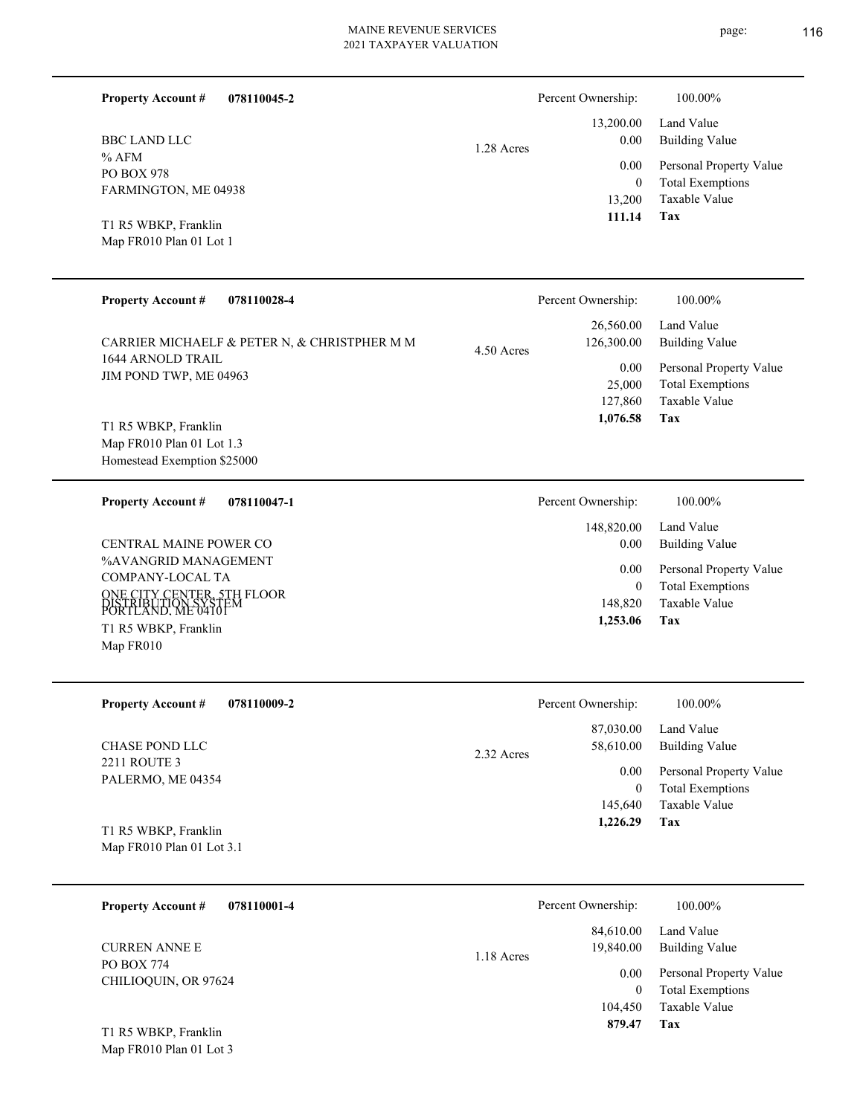| 078110045-2<br><b>Property Account #</b>           | Percent Ownership:              | 100.00%                                                             |
|----------------------------------------------------|---------------------------------|---------------------------------------------------------------------|
| <b>BBC LAND LLC</b>                                | 13,200.00<br>0.00<br>1.28 Acres | Land Value<br>Building Value                                        |
| % AFM<br><b>PO BOX 978</b><br>FARMINGTON, ME 04938 | 0.00<br>$\bf{0}$<br>13,200      | Personal Property Value<br><b>Total Exemptions</b><br>Taxable Value |
| T1 R5 WBKP, Franklin<br>Map FR010 Plan 01 Lot 1    | 111.14                          | Tax                                                                 |

| <b>Property Account #</b><br>078110028-4                                         | Percent Ownership:                    | 100.00%                                                             |
|----------------------------------------------------------------------------------|---------------------------------------|---------------------------------------------------------------------|
| CARRIER MICHAELF & PETER N, & CHRISTPHER M M<br>1644 ARNOLD TRAIL                | 26,560.00<br>126,300.00<br>4.50 Acres | Land Value<br>Building Value                                        |
| JIM POND TWP, ME 04963                                                           | 0.00<br>25,000<br>127,860             | Personal Property Value<br><b>Total Exemptions</b><br>Taxable Value |
| T1 R5 WBKP, Franklin<br>Map FR010 Plan 01 Lot 1.3<br>Homestead Exemption \$25000 | 1,076.58                              | Tax                                                                 |

| 078110047-1<br><b>Property Account #</b>                                                                                                                 | Percent Ownership:                          | 100.00%                                                                    |
|----------------------------------------------------------------------------------------------------------------------------------------------------------|---------------------------------------------|----------------------------------------------------------------------------|
|                                                                                                                                                          | 148,820.00                                  | Land Value                                                                 |
| CENTRAL MAINE POWER CO                                                                                                                                   | 0.00                                        | Building Value                                                             |
| %AVANGRID MANAGEMENT<br>COMPANY-LOCAL TA<br>ONE CITY CENTER, 5TH FLOOR<br>DISTRIBUTION SYSTEM<br>PORTLAND, ME 04101<br>T1 R5 WBKP, Franklin<br>Map FR010 | 0.00<br>$\mathbf{0}$<br>148,820<br>1,253.06 | Personal Property Value<br><b>Total Exemptions</b><br>Taxable Value<br>Tax |

| <b>Property Account #</b><br>078110009-2 | Percent Ownership:                   | 100.00%                                            |
|------------------------------------------|--------------------------------------|----------------------------------------------------|
| CHASE POND LLC                           | 87,030.00<br>58,610.00<br>2.32 Acres | Land Value<br><b>Building Value</b>                |
| 2211 ROUTE 3<br>PALERMO, ME 04354        | 0.00<br>0                            | Personal Property Value<br><b>Total Exemptions</b> |
| T1 R5 WBKP, Franklin                     | 145,640<br>1.226.29                  | Taxable Value<br>Tax                               |
| Map $FR010$ Plan 01 Lot 3.1              |                                      |                                                    |

| 078110001-4<br><b>Property Account #</b>                   | Percent Ownership:                     | 100.00%                                            |
|------------------------------------------------------------|----------------------------------------|----------------------------------------------------|
| <b>CURREN ANNE E</b><br>PO BOX 774<br>CHILIOQUIN, OR 97624 | 84,610.00<br>19,840.00<br>$1.18$ Acres | Land Value<br><b>Building Value</b>                |
|                                                            | 0.00<br>0                              | Personal Property Value<br><b>Total Exemptions</b> |
|                                                            | 104,450                                | Taxable Value                                      |
| T1 R5 WBKP, Franklin                                       | 879.47                                 | Tax                                                |

Map FR010 Plan 01 Lot 3

page: 116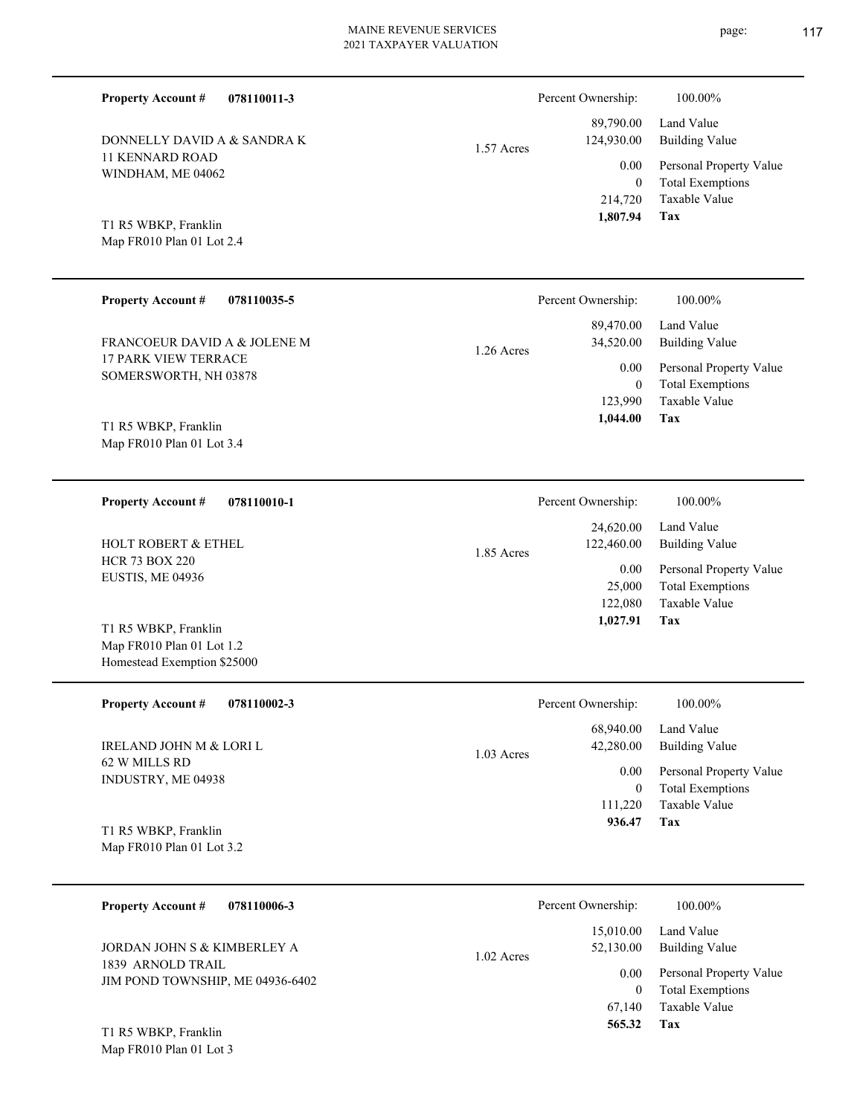DONNELLY DAVID A & SANDRA K 1.57 Acres

**Tax** Taxable Value Total Exemptions Personal Property Value Building Value Land Value 214,720 0  **1,807.94** 89,790.00 124,930.00 0.00

Percent Ownership:  $100.00\%$ 

Map FR010 Plan 01 Lot 2.4 T1 R5 WBKP, Franklin

Map FR010 Plan 01 Lot 1.2 Homestead Exemption \$25000

11 KENNARD ROAD WINDHAM, ME 04062

**Property Account #**

**078110011-3**

| <b>Property Account #</b><br>078110035-5             | Percent Ownership:                                | $100.00\%$                                                   |
|------------------------------------------------------|---------------------------------------------------|--------------------------------------------------------------|
| FRANCOEUR DAVID A & JOLENE M                         | 89,470.00<br>34,520.00                            | Land Value<br><b>Building Value</b>                          |
| <b>17 PARK VIEW TERRACE</b><br>SOMERSWORTH, NH 03878 | $1.26$ Acres<br>0.00<br>$\overline{0}$<br>123,990 | Personal Property Value<br>Total Exemptions<br>Taxable Value |
| T1 R5 WBKP, Franklin<br>Map FR010 Plan 01 Lot 3.4    | 1,044.00                                          | Tax                                                          |

| 078110010-1<br><b>Property Account #</b>  | Percent Ownership:                    | 100.00%                      |
|-------------------------------------------|---------------------------------------|------------------------------|
| <b>HOLT ROBERT &amp; ETHEL</b>            | 24,620.00<br>122,460.00<br>1.85 Acres | Land Value<br>Building Value |
| <b>HCR 73 BOX 220</b><br>EUSTIS, ME 04936 | 0.00                                  | Personal Property Value      |
|                                           | 25,000                                | <b>Total Exemptions</b>      |
|                                           | 122,080                               | Taxable Value                |
| T1 R5 WBKP, Franklin                      | 1,027.91                              | Tax                          |

| <b>Property Account #</b><br>078110002-3            | Percent Ownership:                     | 100.00%                                            |
|-----------------------------------------------------|----------------------------------------|----------------------------------------------------|
| IRELAND JOHN M & LORI L                             | 68,940.00<br>42,280.00<br>$1.03$ Acres | Land Value<br>Building Value                       |
| 62 W MILLS RD<br>INDUSTRY, ME 04938                 | 0.00<br>$\bf{0}$                       | Personal Property Value<br><b>Total Exemptions</b> |
|                                                     | 111.220                                | Taxable Value                                      |
| T1 R5 WBKP, Franklin<br>Map $FR010$ Plan 01 Lot 3.2 | 936.47                                 | Tax                                                |

| 078110006-3<br><b>Property Account #</b>              | Percent Ownership:                     | 100.00%                                            |
|-------------------------------------------------------|----------------------------------------|----------------------------------------------------|
| JORDAN JOHN S & KIMBERLEY A                           | 15,010.00<br>52,130.00<br>$1.02$ Acres | Land Value<br><b>Building Value</b>                |
| 1839 ARNOLD TRAIL<br>JIM POND TOWNSHIP, ME 04936-6402 | 0.00<br>$\theta$                       | Personal Property Value<br><b>Total Exemptions</b> |
| T1 R5 WBKP, Franklin                                  | 67.140<br>565.32                       | Taxable Value<br>Tax                               |

Map FR010 Plan 01 Lot 3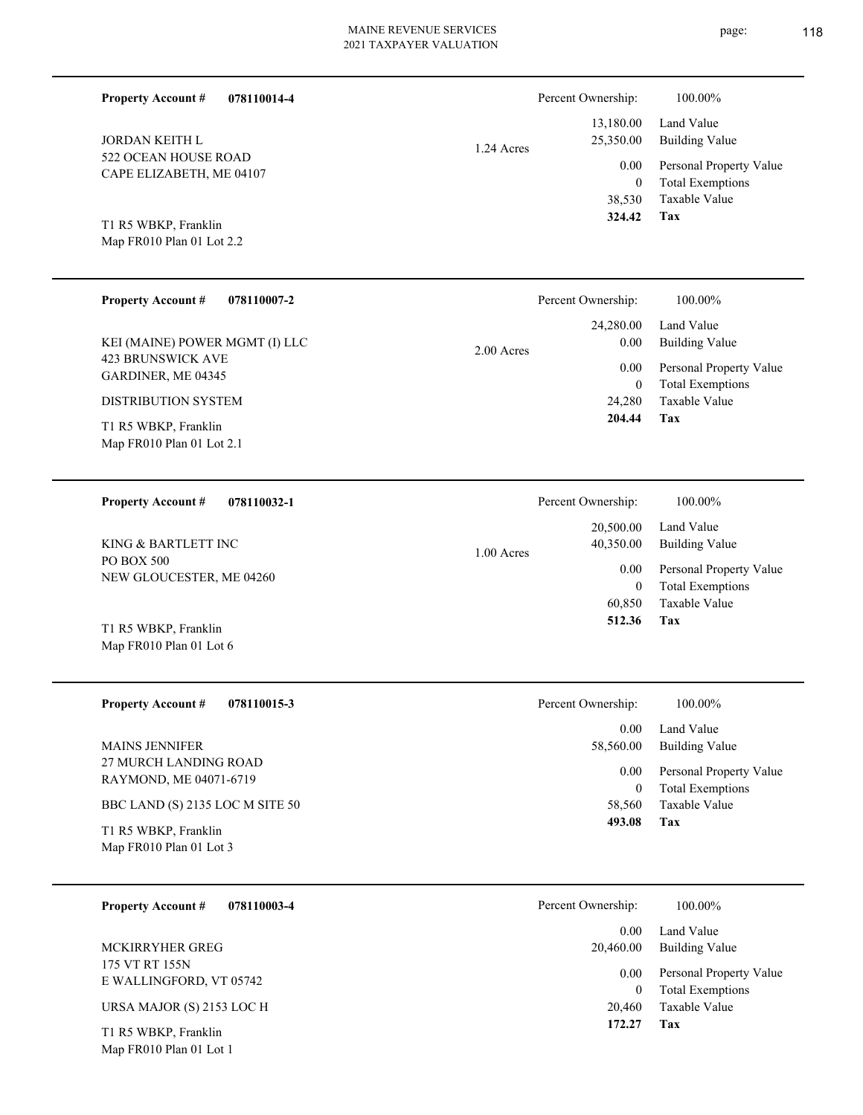| <b>Property Account #</b><br>078110014-4          |            | Percent Ownership:       | 100.00%                                            |
|---------------------------------------------------|------------|--------------------------|----------------------------------------------------|
| JORDAN KEITH L                                    | 1.24 Acres | 13,180.00<br>25,350.00   | Land Value<br><b>Building Value</b>                |
| 522 OCEAN HOUSE ROAD<br>CAPE ELIZABETH, ME 04107  |            | 0.00<br>$\boldsymbol{0}$ | Personal Property Value<br><b>Total Exemptions</b> |
|                                                   |            | 38,530<br>324.42         | Taxable Value<br>Tax                               |
| T1 R5 WBKP, Franklin<br>Map FR010 Plan 01 Lot 2.2 |            |                          |                                                    |
| <b>Property Account #</b><br>078110007-2          |            | Percent Ownership:       | 100.00%                                            |
| KEI (MAINE) POWER MGMT (I) LLC                    |            | 24,280.00<br>0.00        | Land Value<br><b>Building Value</b>                |
| <b>423 BRUNSWICK AVE</b><br>GARDINER, ME 04345    | 2.00 Acres | 0.00                     | Personal Property Value                            |
| DISTRIBUTION SYSTEM                               |            | $\mathbf{0}$<br>24,280   | <b>Total Exemptions</b><br>Taxable Value           |
| T1 R5 WBKP, Franklin<br>Map FR010 Plan 01 Lot 2.1 |            | 204.44                   | Tax                                                |
|                                                   |            |                          |                                                    |
| 078110032-1<br><b>Property Account #</b>          |            | Percent Ownership:       | 100.00%                                            |
| KING & BARTLETT INC                               | 1.00 Acres | 20,500.00<br>40,350.00   | Land Value<br><b>Building Value</b>                |
| PO BOX 500<br>NEW GLOUCESTER, ME 04260            |            | 0.00<br>$\mathbf{0}$     | Personal Property Value<br><b>Total Exemptions</b> |
|                                                   |            | 60,850<br>512.36         | Taxable Value<br>Tax                               |
| T1 R5 WBKP, Franklin<br>Map FR010 Plan 01 Lot 6   |            |                          |                                                    |
| <b>Property Account #</b><br>078110015-3          |            | Percent Ownership:       | 100.00%                                            |
| <b>MAINS JENNIFER</b>                             |            | 0.00<br>58,560.00        | Land Value<br><b>Building Value</b>                |
| 27 MURCH LANDING ROAD<br>RAYMOND, ME 04071-6719   |            | 0.00                     | Personal Property Value                            |
| BBC LAND (S) 2135 LOC M SITE 50                   |            | $\overline{0}$<br>58,560 | <b>Total Exemptions</b><br>Taxable Value           |
| T1 R5 WBKP, Franklin<br>Map FR010 Plan 01 Lot 3   |            | 493.08                   | Tax                                                |
|                                                   |            |                          |                                                    |
| <b>Property Account #</b><br>078110003-4          |            | Percent Ownership:       | 100.00%                                            |
| MCKIRRYHER GREG                                   |            | 0.00<br>20,460.00        | Land Value<br><b>Building Value</b>                |
| 175 VT RT 155N<br>E WALLINGFORD, VT 05742         |            | 0.00<br>$\overline{0}$   | Personal Property Value<br><b>Total Exemptions</b> |
| URSA MAJOR (S) 2153 LOC H                         |            | 20,460<br>172.27         | Taxable Value<br>Tax                               |
| T1 R5 WBKP, Franklin<br>Map FR010 Plan 01 Lot 1   |            |                          |                                                    |
|                                                   |            |                          |                                                    |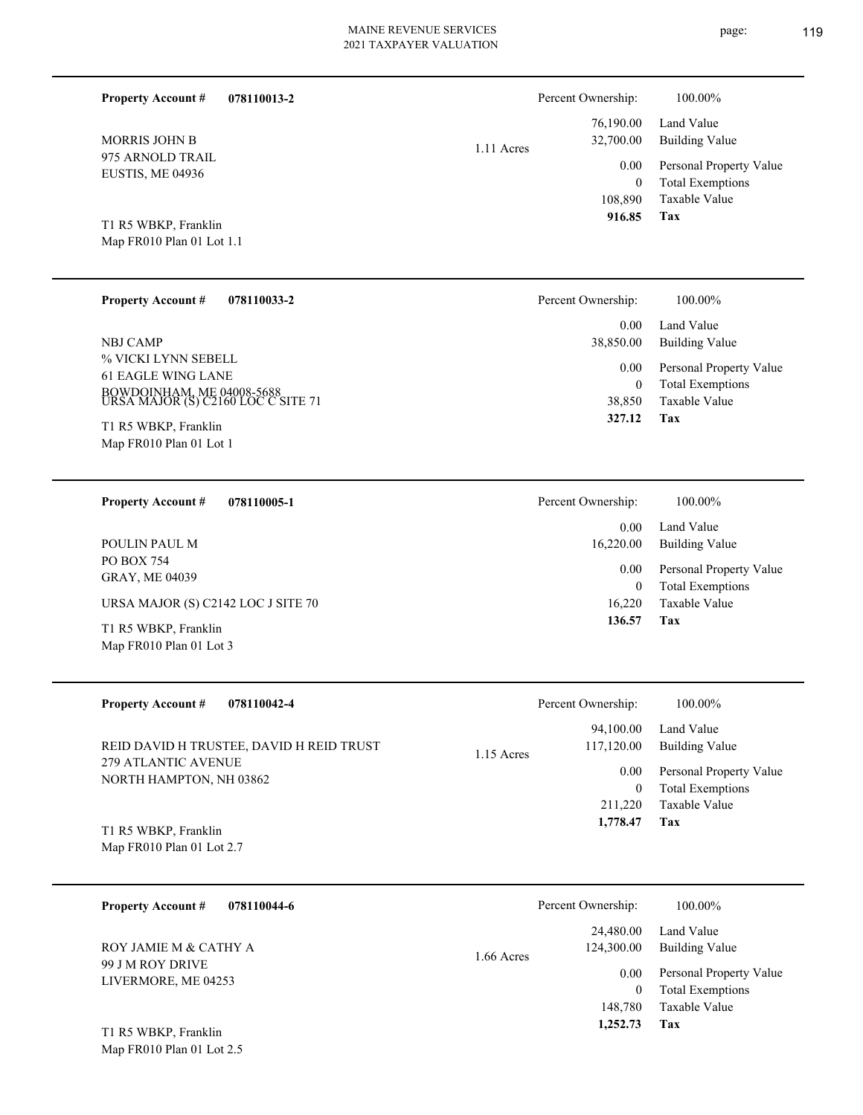**078110013-2 Property Account #**

975 ARNOLD TRAIL EUSTIS, ME 04936 MORRIS JOHN B

1.11 Acres

| 76,190.00<br>32,700.00 | Land Value<br>Building Value |
|------------------------|------------------------------|
| $0.00\,$               | Personal Property Value      |
| 0                      | <b>Total Exemptions</b>      |
| 108,890                | Taxable Value                |
| 916.85                 | Tax                          |

Percent Ownership:  $100.00\%$ 

Map FR010 Plan 01 Lot 1.1 T1 R5 WBKP, Franklin

| <b>Property Account #</b><br>078110033-2                                                                     | Percent Ownership:  | 100.00%                                                             |
|--------------------------------------------------------------------------------------------------------------|---------------------|---------------------------------------------------------------------|
| <b>NBJ CAMP</b>                                                                                              | 0.00<br>38,850.00   | Land Value<br>Building Value                                        |
| % VICKI LYNN SEBELL<br>61 EAGLE WING LANE<br>BOWDOINHAM, ME 04008-5688<br>URSA MAJOR (S) C2160 LOC C SITE 71 | 0.00<br>0<br>38,850 | Personal Property Value<br><b>Total Exemptions</b><br>Taxable Value |
| T1 R5 WBKP, Franklin<br>Map FR010 Plan 01 Lot 1                                                              | 327.12              | Tax                                                                 |

| 078110005-1<br><b>Property Account #</b>        | Percent Ownership: | 100.00%                                            |
|-------------------------------------------------|--------------------|----------------------------------------------------|
|                                                 | 0.00               | Land Value                                         |
| POULIN PAUL M                                   | 16,220.00          | Building Value                                     |
| PO BOX 754<br><b>GRAY, ME 04039</b>             | 0.00<br>0          | Personal Property Value<br><b>Total Exemptions</b> |
| URSA MAJOR (S) C2142 LOC J SITE 70              | 16.220             | Taxable Value                                      |
| T1 R5 WBKP, Franklin<br>Map FR010 Plan 01 Lot 3 | 136.57             | Tax                                                |

| <b>Property Account #</b><br>078110042-4                        | Percent Ownership:                      | 100.00%                      |
|-----------------------------------------------------------------|-----------------------------------------|------------------------------|
| REID DAVID H TRUSTEE, DAVID H REID TRUST<br>279 ATLANTIC AVENUE | 94.100.00<br>117,120.00<br>$1.15$ Acres | Land Value<br>Building Value |
| NORTH HAMPTON, NH 03862                                         | 0.00                                    | Personal Property Value      |
|                                                                 |                                         | <b>Total Exemptions</b>      |
|                                                                 | 211,220                                 | Taxable Value                |
| T1 R5 WBKP, Franklin                                            | 1,778.47                                | Tax                          |

Map FR010 Plan 01 Lot 2.7

| 078110044-6<br><b>Property Account #</b>  | Percent Ownership:                      | 100.00%                                                             |
|-------------------------------------------|-----------------------------------------|---------------------------------------------------------------------|
| ROY JAMIE M & CATHY A<br>99 J M ROY DRIVE | 24,480.00<br>124,300.00<br>$1.66$ Acres | Land Value<br>Building Value                                        |
| LIVERMORE, ME 04253                       | 0.00<br>$\boldsymbol{0}$<br>148,780     | Personal Property Value<br><b>Total Exemptions</b><br>Taxable Value |
| T1 R5 WBKP, Franklin                      | 1,252.73                                | Tax                                                                 |

Map FR010 Plan 01 Lot 2.5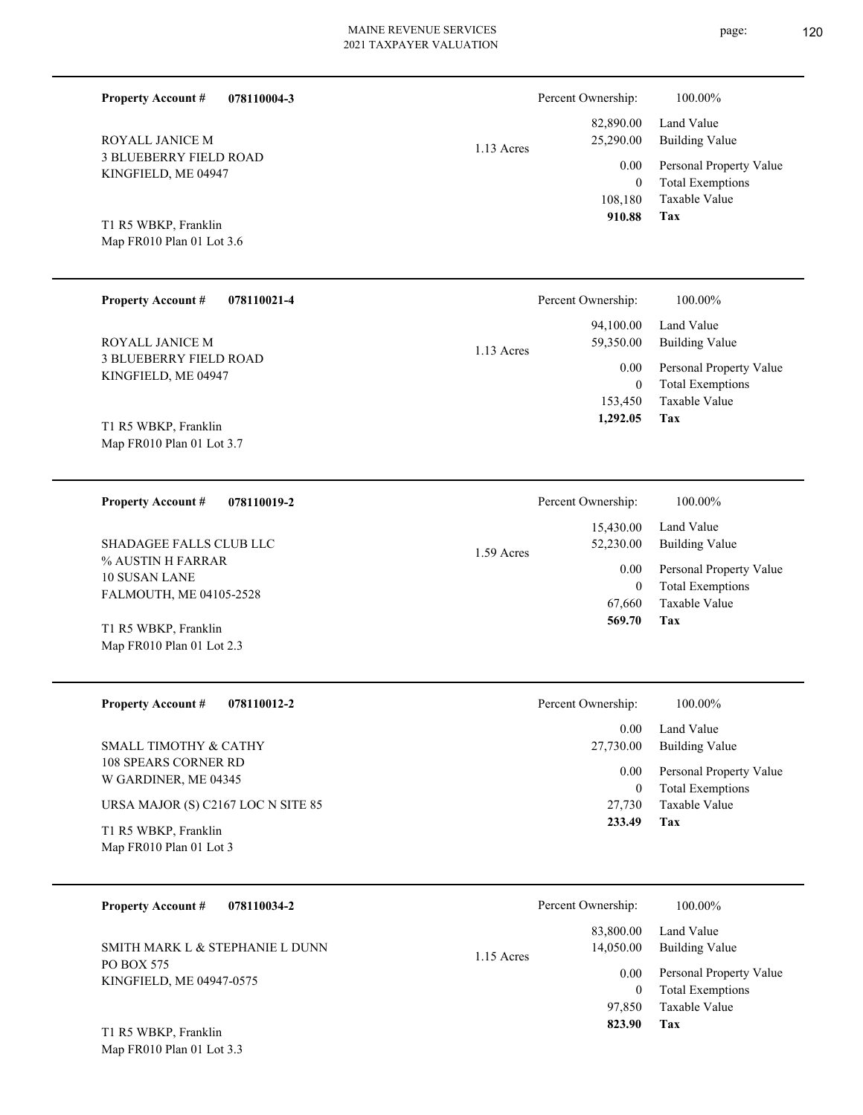| <b>Property Account #</b><br>078110004-3                      |            | Percent Ownership:               | 100.00%                                                             |
|---------------------------------------------------------------|------------|----------------------------------|---------------------------------------------------------------------|
| ROYALL JANICE M                                               | 1.13 Acres | 82,890.00<br>25,290.00           | Land Value<br><b>Building Value</b>                                 |
| <b>3 BLUEBERRY FIELD ROAD</b><br>KINGFIELD, ME 04947          |            | 0.00<br>$\mathbf{0}$<br>108,180  | Personal Property Value<br><b>Total Exemptions</b><br>Taxable Value |
| T1 R5 WBKP, Franklin<br>Map FR010 Plan 01 Lot 3.6             |            | 910.88                           | Tax                                                                 |
| <b>Property Account #</b><br>078110021-4                      |            | Percent Ownership:               | 100.00%                                                             |
| ROYALL JANICE M                                               | 1.13 Acres | 94,100.00<br>59,350.00           | Land Value<br><b>Building Value</b>                                 |
| <b>3 BLUEBERRY FIELD ROAD</b><br>KINGFIELD, ME 04947          |            | 0.00<br>$\mathbf{0}$             | Personal Property Value<br><b>Total Exemptions</b>                  |
| T1 R5 WBKP, Franklin<br>Map FR010 Plan 01 Lot 3.7             |            | 153,450<br>1,292.05              | Taxable Value<br>Tax                                                |
| <b>Property Account #</b><br>078110019-2                      |            | Percent Ownership:               | 100.00%                                                             |
| SHADAGEE FALLS CLUB LLC                                       | 1.59 Acres | 15,430.00<br>52,230.00           | Land Value<br><b>Building Value</b>                                 |
| % AUSTIN H FARRAR<br>10 SUSAN LANE<br>FALMOUTH, ME 04105-2528 |            | 0.00<br>$\mathbf{0}$             | Personal Property Value<br><b>Total Exemptions</b>                  |
| T1 R5 WBKP, Franklin<br>Map FR010 Plan 01 Lot 2.3             |            | 67,660<br>569.70                 | Taxable Value<br>Tax                                                |
| <b>Property Account #</b><br>078110012-2                      |            | Percent Ownership:               | 100.00%                                                             |
| SMALL TIMOTHY & CATHY                                         |            | 0.00<br>27,730.00                | Land Value<br><b>Building Value</b>                                 |
| <b>108 SPEARS CORNER RD</b><br>W GARDINER, ME 04345           |            | 0.00<br>$\overline{0}$           | Personal Property Value<br><b>Total Exemptions</b>                  |
| URSA MAJOR (S) C2167 LOC N SITE 85<br>T1 R5 WBKP, Franklin    |            | 27,730<br>233.49                 | Taxable Value<br>Tax                                                |
| Map FR010 Plan 01 Lot 3                                       |            |                                  |                                                                     |
| <b>Property Account #</b><br>078110034-2                      |            | Percent Ownership:               | 100.00%                                                             |
| SMITH MARK L & STEPHANIE L DUNN                               | 1.15 Acres | 83,800.00<br>14,050.00           | Land Value<br><b>Building Value</b>                                 |
| PO BOX 575<br>KINGFIELD, ME 04947-0575                        |            | 0.00<br>$\overline{0}$<br>97,850 | Personal Property Value<br><b>Total Exemptions</b><br>Taxable Value |
| T1 R5 WBKP, Franklin<br>Map FR010 Plan 01 Lot 3.3             |            | 823.90                           | Tax                                                                 |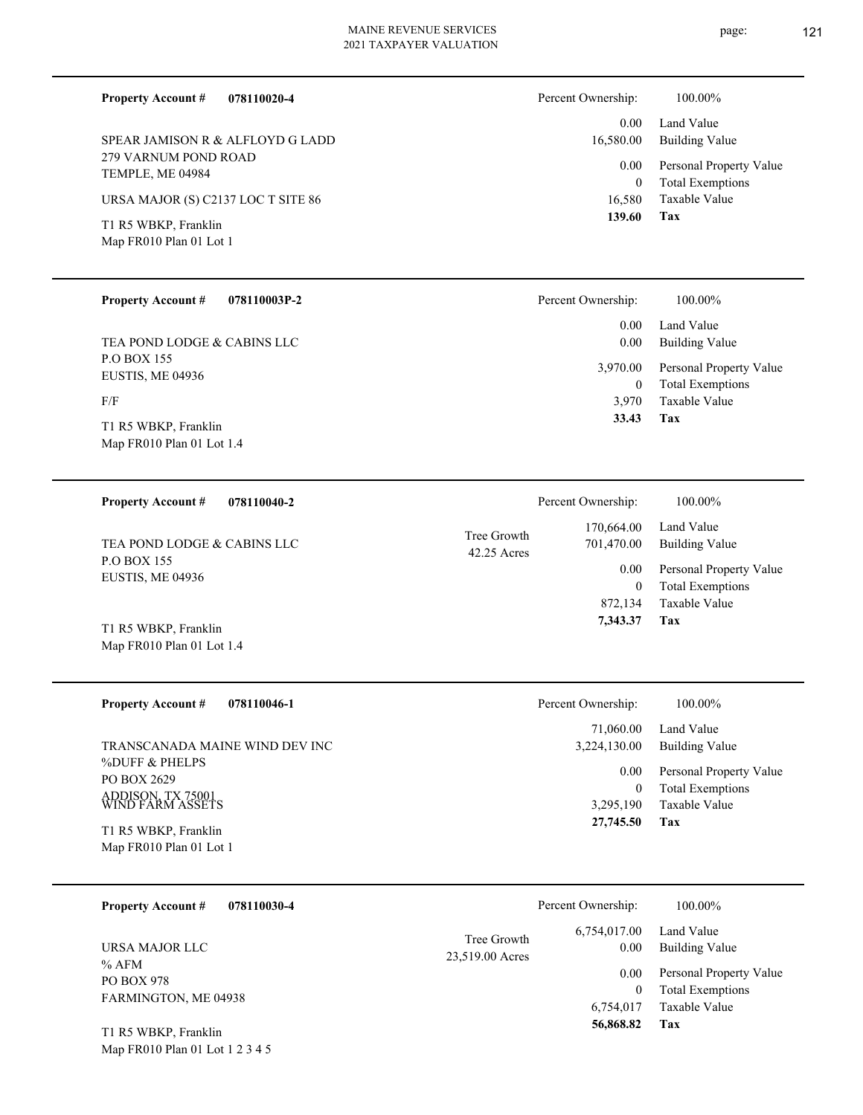**078110020-4**

279 VARNUM POND ROAD TEMPLE, ME 04984 SPEAR JAMISON R & ALFLOYD G LADD

URSA MAJOR (S) C2137 LOC T SITE 86

Map FR010 Plan 01 Lot 1 T1 R5 WBKP, Franklin

**Property Account #**

#### **078110003P-2 Property Account #**

P.O BOX 155 EUSTIS, ME 04936 TEA POND LODGE & CABINS LLC

F/F

Map FR010 Plan 01 Lot 1.4 T1 R5 WBKP, Franklin

#### **078110040-2 Property Account #**

P.O BOX 155 EUSTIS, ME 04936 TEA POND LODGE & CABINS LLC

Map FR010 Plan 01 Lot 1.4 T1 R5 WBKP, Franklin

| <b>Property Account #</b> | 078110046-1 |
|---------------------------|-------------|
|---------------------------|-------------|

%DUFF & PHELPS PO BOX 2629 ADDISON, TX 75001 WIND FARM ASSETS TRANSCANADA MAINE WIND DEV INC

Map FR010 Plan 01 Lot 1 T1 R5 WBKP, Franklin

Map FR010 Plan 01 Lot 1 2 3 4 5

| 078110030-4<br><b>Property Account #</b>           |                                | Percent Ownership:     | 100.00%                                            |
|----------------------------------------------------|--------------------------------|------------------------|----------------------------------------------------|
| URSA MAJOR LLC                                     | Tree Growth<br>23,519.00 Acres | 6,754,017.00<br>0.00   | Land Value<br>Building Value                       |
| % AFM<br><b>PO BOX 978</b><br>FARMINGTON, ME 04938 |                                | 0.00<br>$\theta$       | Personal Property Value<br><b>Total Exemptions</b> |
| T1 R5 WBKP, Franklin                               |                                | 6,754,017<br>56,868.82 | Taxable Value<br>Tax                               |

Percent Ownership:  $100.00\%$ 

| $0.00 -$  | Land Value              |
|-----------|-------------------------|
| 16,580.00 | Building Value          |
| $0.00\,$  | Personal Property Value |
| 0         | <b>Total Exemptions</b> |
| 16,580    | Taxable Value           |
| 139.60    | Tax                     |

| Percent Ownership: | 100.00%                                            |
|--------------------|----------------------------------------------------|
| $0.00 -$<br>0.00   | Land Value<br><b>Building Value</b>                |
| 3,970.00<br>0      | Personal Property Value<br><b>Total Exemptions</b> |
| 3,970              | Taxable Value                                      |
| 33.43              | Tax                                                |

|                            | Percent Ownership:       | 100.00%                             |
|----------------------------|--------------------------|-------------------------------------|
| Tree Growth<br>42.25 Acres | 170,664.00<br>701,470.00 | Land Value<br><b>Building Value</b> |
|                            | 0.00                     | Personal Property Value             |
|                            | $\theta$                 | <b>Total Exemptions</b>             |
|                            | 872,134                  | Taxable Value                       |
|                            | 7,343.37                 | Tax                                 |
|                            |                          |                                     |

#### **Tax** Taxable Value Total Exemptions Personal Property Value Building Value Land Value 3,295,190 0  **27,745.50** 71,060.00 3,224,130.00 0.00 Percent Ownership:  $100.00\%$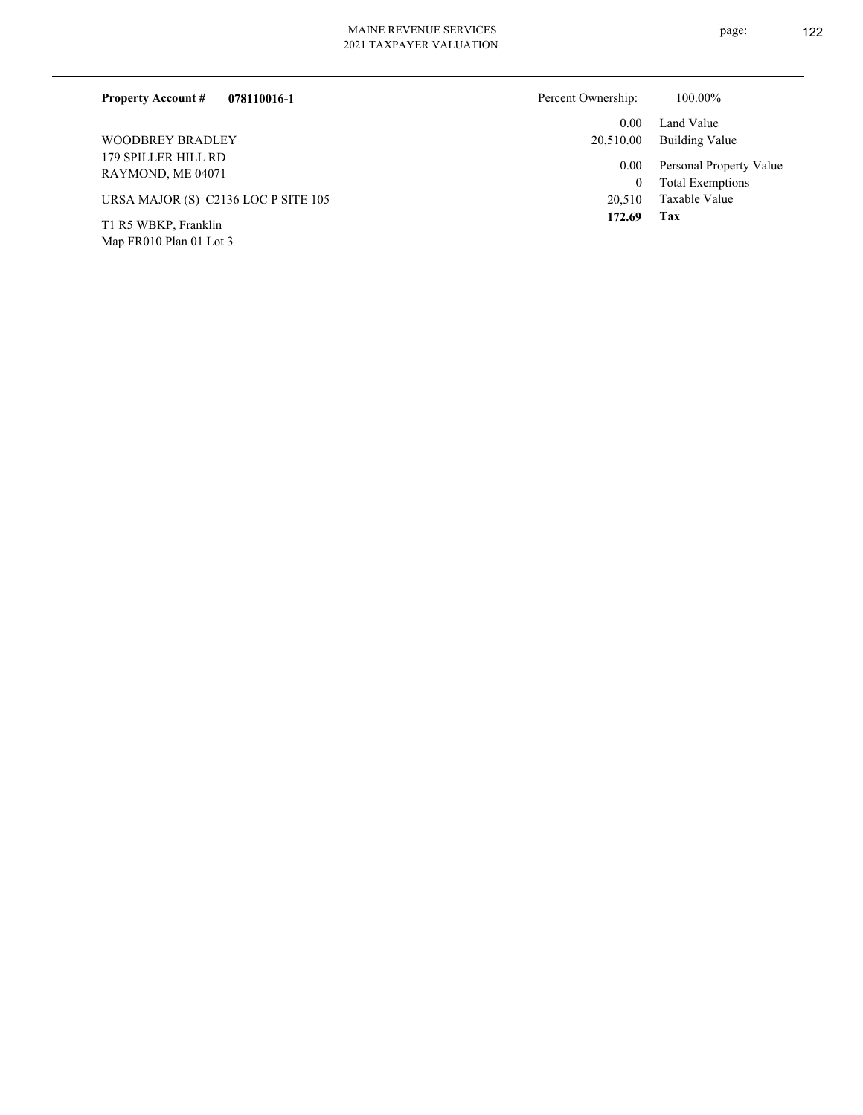| 078110016-1<br><b>Property Account #</b> | Percent Ownership: | 100.00%                                            |
|------------------------------------------|--------------------|----------------------------------------------------|
|                                          | 0.00 <sub>1</sub>  | Land Value                                         |
| <b>WOODBREY BRADLEY</b>                  | 20.510.00          | Building Value                                     |
| 179 SPILLER HILL RD<br>RAYMOND, ME 04071 | 0.00<br>$\bf{0}$   | Personal Property Value<br><b>Total Exemptions</b> |
| URSA MAJOR (S) C2136 LOC P SITE 105      | 20.510             | Taxable Value                                      |
| T1 R5 WBKP, Franklin                     | 172.69             | Tax                                                |

Map FR010 Plan 01 Lot 3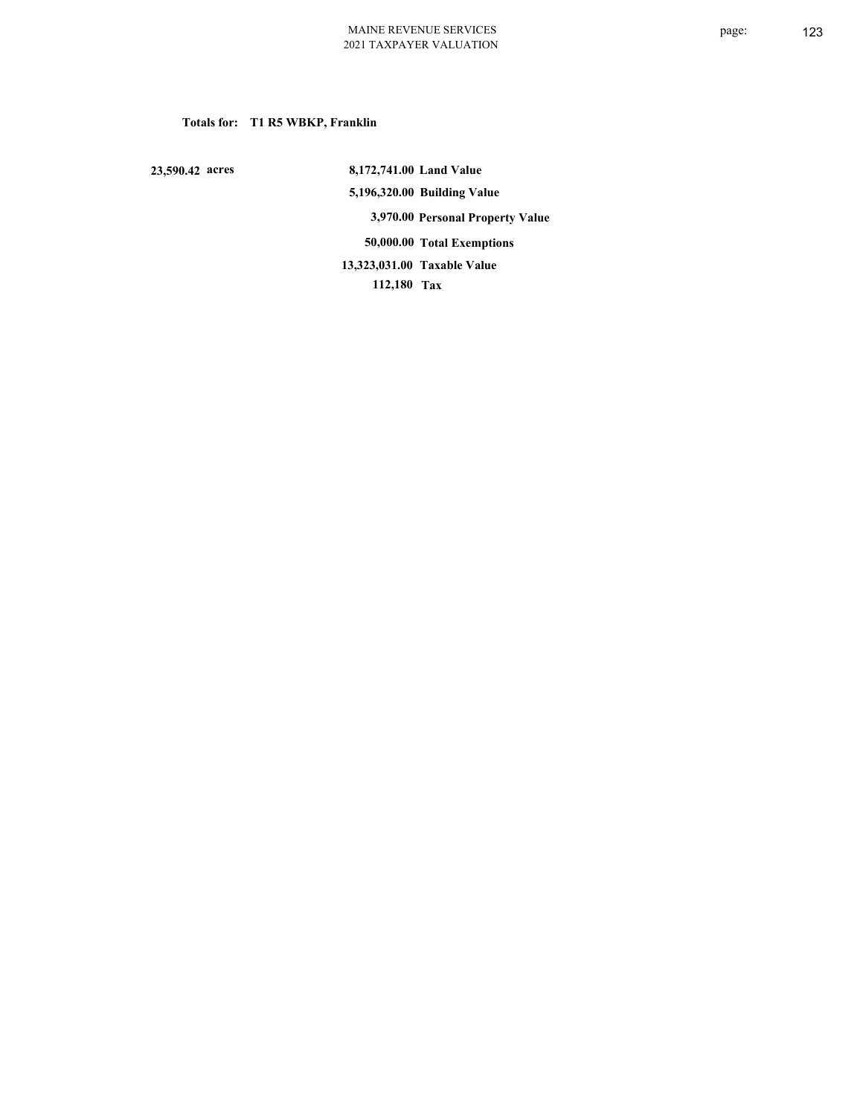### **Totals for: T1 R5 WBKP, Franklin**

 **23,590.42 acres**

 **8,172,741.00 Land Value 5,196,320.00 Building Value 3,970.00 Personal Property Value 50,000.00 Total Exemptions 112,180 Tax Taxable Value 13,323,031.00**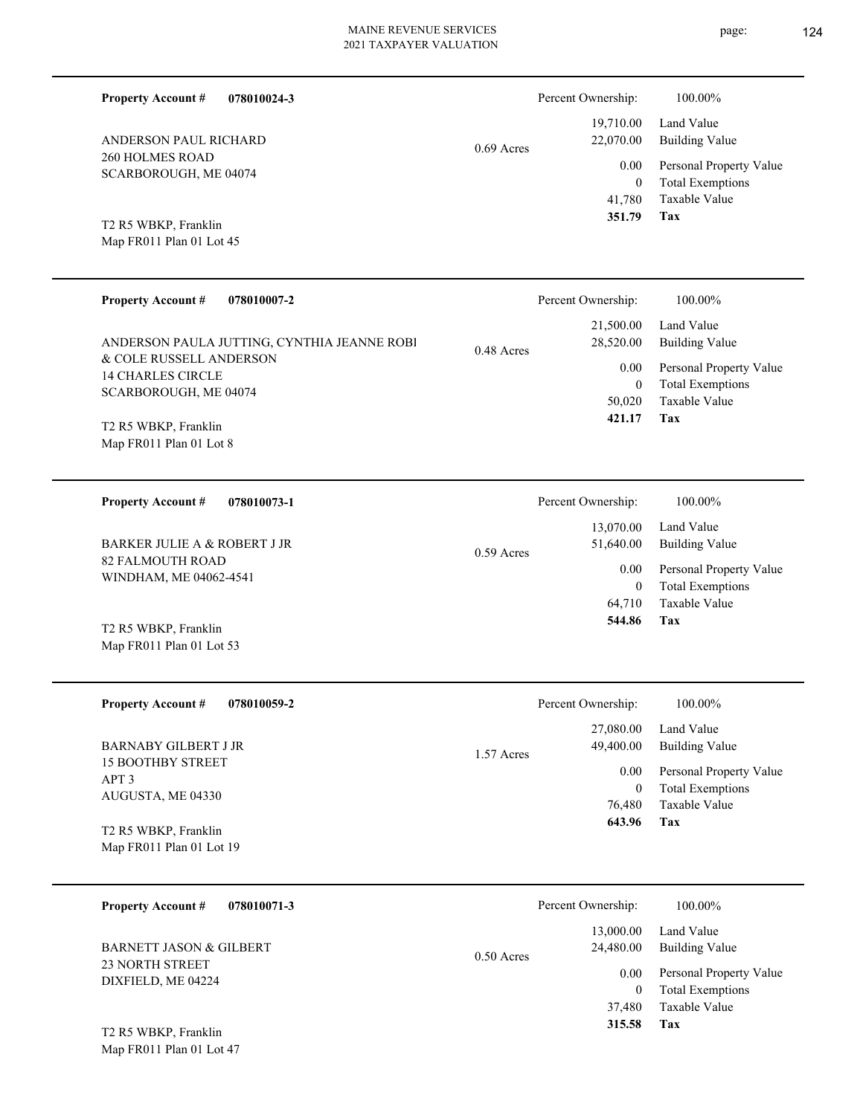**078010024-3**

260 HOLMES ROAD SCARBOROUGH, ME 04074

ANDERSON PAUL RICHARD

Map FR011 Plan 01 Lot 45 T2 R5 WBKP, Franklin

**Property Account #**

| 22,070.00        | 0.69 Acres |  |
|------------------|------------|--|
| $0.00\,$         |            |  |
| $\boldsymbol{0}$ |            |  |
| 41,780           |            |  |
| 351.79           |            |  |
|                  |            |  |
|                  |            |  |
|                  |            |  |

| <b>Property Account #</b><br>078010007-2                                                                                                             |              | Percent Ownership:                                                 | 100.00%                                                                                                           |
|------------------------------------------------------------------------------------------------------------------------------------------------------|--------------|--------------------------------------------------------------------|-------------------------------------------------------------------------------------------------------------------|
| ANDERSON PAULA JUTTING, CYNTHIA JEANNE ROBI<br>& COLE RUSSELL ANDERSON<br><b>14 CHARLES CIRCLE</b>                                                   | 0.48 Acres   | 21,500.00<br>28,520.00<br>0.00                                     | Land Value<br><b>Building Value</b><br>Personal Property Value                                                    |
| SCARBOROUGH, ME 04074<br>T2 R5 WBKP, Franklin                                                                                                        |              | $\mathbf{0}$<br>50,020<br>421.17                                   | <b>Total Exemptions</b><br>Taxable Value<br>Tax                                                                   |
| Map FR011 Plan 01 Lot 8                                                                                                                              |              |                                                                    |                                                                                                                   |
| <b>Property Account #</b><br>078010073-1                                                                                                             |              | Percent Ownership:                                                 | 100.00%                                                                                                           |
| BARKER JULIE A & ROBERT J JR                                                                                                                         | $0.59$ Acres | 13,070.00<br>51,640.00                                             | Land Value<br><b>Building Value</b>                                                                               |
| 82 FALMOUTH ROAD<br>WINDHAM, ME 04062-4541                                                                                                           |              | 0.00<br>$\boldsymbol{0}$<br>64,710                                 | Personal Property Value<br><b>Total Exemptions</b><br>Taxable Value                                               |
| T2 R5 WBKP, Franklin<br>Map FR011 Plan 01 Lot 53                                                                                                     |              | 544.86                                                             | <b>Tax</b>                                                                                                        |
| <b>Property Account #</b><br>078010059-2                                                                                                             |              | Percent Ownership:                                                 | 100.00%                                                                                                           |
| <b>BARNABY GILBERT J JR</b><br><b>15 BOOTHBY STREET</b><br>APT <sub>3</sub><br>AUGUSTA, ME 04330<br>T2 R5 WBKP, Franklin<br>Map FR011 Plan 01 Lot 19 | 1.57 Acres   | 27,080.00<br>49,400.00<br>0.00<br>$\mathbf{0}$<br>76,480<br>643.96 | Land Value<br><b>Building Value</b><br>Personal Property Value<br><b>Total Exemptions</b><br>Taxable Value<br>Tax |
| <b>Property Account #</b><br>078010071-3                                                                                                             |              | Percent Ownership:                                                 | 100.00%                                                                                                           |
| <b>BARNETT JASON &amp; GILBERT</b>                                                                                                                   | 0.50 Acres   | 13,000.00<br>24,480.00                                             | Land Value<br><b>Building Value</b>                                                                               |
| 23 NORTH STREET<br>DIXFIELD, ME 04224                                                                                                                |              | 0.00<br>$\boldsymbol{0}$<br>37,480                                 | Personal Property Value<br><b>Total Exemptions</b><br>Taxable Value                                               |
|                                                                                                                                                      |              | 315.58                                                             | <b>Tax</b>                                                                                                        |

Map FR011 Plan 01 Lot 47 T2 R5 WBKP, Franklin

**Tax**

 19,710.00 22,070.00

Percent Ownership:  $100.00\%$ 

Taxable Value Total Exemptions Personal Property Value

Building Value Land Value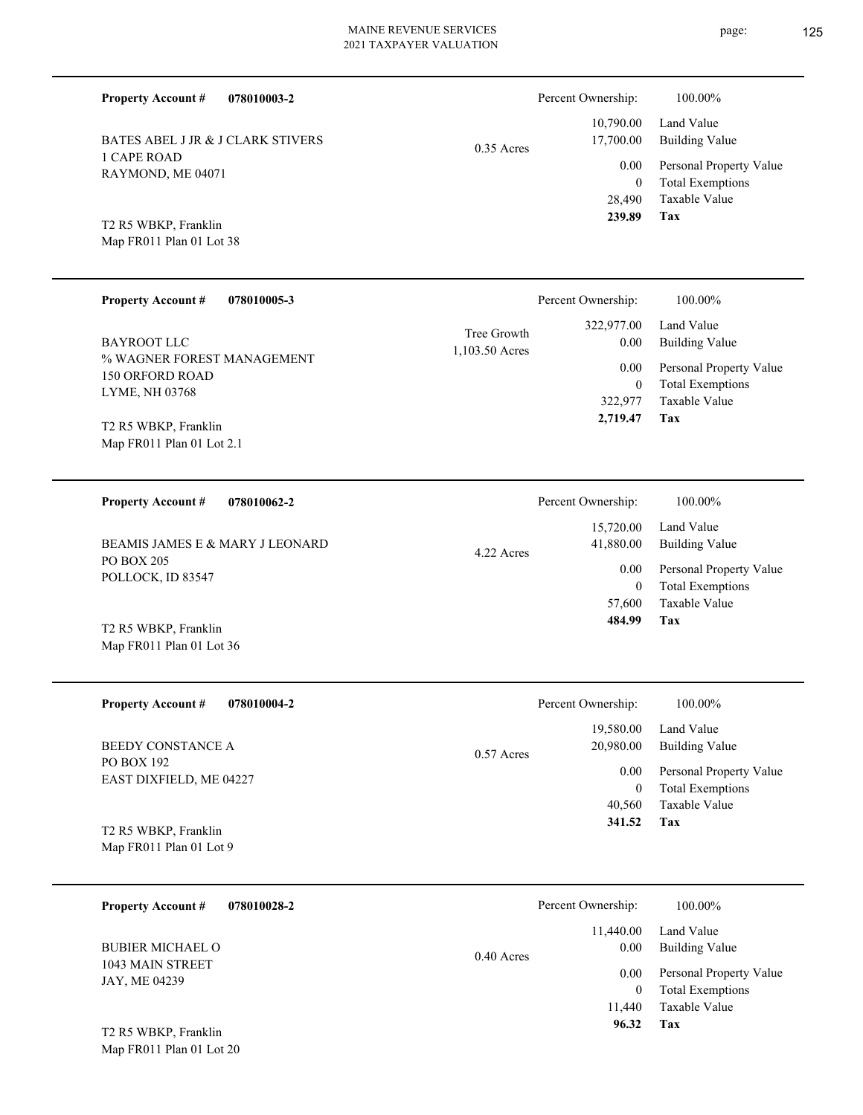| T CALE NOAD<br>RAYMOND, ME 04071                 |                               | 0.00<br>$\mathbf{0}$ | Personal Pro<br>Total Exemp |
|--------------------------------------------------|-------------------------------|----------------------|-----------------------------|
|                                                  |                               | 28,490               | Taxable Val                 |
| T2 R5 WBKP, Franklin<br>Map FR011 Plan 01 Lot 38 |                               | 239.89               | Tax                         |
| <b>Property Account #</b><br>078010005-3         |                               | Percent Ownership:   | 100.00%                     |
| <b>BAYROOT LLC</b>                               | Tree Growth<br>1,103.50 Acres | 322,977.00<br>0.00   | Land Value<br>Building Va   |

0.35 Acres

% WAGNER FOREST MANAGEMENT 150 ORFORD ROAD LYME, NH 03768 BAYROOT LLC

BATES ABEL J JR & J CLARK STIVERS

**078010003-2**

Map FR011 Plan 01 Lot 2.1 T2 R5 WBKP, Franklin

Map FR011 Plan 01 Lot 36

Map FR011 Plan 01 Lot 20

1 CAPE ROAD

**Property Account #**

**078010062-2 Tax** Taxable Value Total Exemptions Personal Property Value Building Value Land Value PO BOX 205 POLLOCK, ID 83547 **Property Account #** T2 R5 WBKP, Franklin BEAMIS JAMES E & MARY J LEONARD 57,600 0  **484.99** 15,720.00 41,880.00 0.00 4.22 Acres Percent Ownership:  $100.00\%$ 

| <b>Property Account #</b><br>078010004-2        | Percent Ownership:                     | 100.00%                                            |
|-------------------------------------------------|----------------------------------------|----------------------------------------------------|
| BEEDY CONSTANCE A                               | 19,580.00<br>20,980.00<br>$0.57$ Acres | Land Value<br>Building Value                       |
| PO BOX 192<br>EAST DIXFIELD, ME 04227           | 0.00<br>$\bf{0}$                       | Personal Property Value<br><b>Total Exemptions</b> |
|                                                 | 40.560                                 | Taxable Value                                      |
| T2 R5 WBKP, Franklin<br>Map FR011 Plan 01 Lot 9 | 341.52                                 | Tax                                                |

| 078010028-2<br><b>Property Account #</b>    | Percent Ownership:                | 100.00%                                            |
|---------------------------------------------|-----------------------------------|----------------------------------------------------|
| <b>BUBIER MICHAEL O</b><br>1043 MAIN STREET | 11,440.00<br>0.00<br>$0.40$ Acres | Land Value<br><b>Building Value</b>                |
| JAY, ME 04239                               | 0.00<br>$\theta$                  | Personal Property Value<br><b>Total Exemptions</b> |
|                                             | 11.440                            | Taxable Value                                      |
| T2 R5 WBKP, Franklin                        | 96.32                             | Tax                                                |

page: 125

**Tax**

 322,977 0

0.00

 **2,719.47**

Taxable Value Total Exemptions Personal Property Value

Building Value Land Value

 10,790.00 17,700.00

Percent Ownership: 100.00%

Taxable Value Total Exemptions Personal Property Value

Building Value Land Value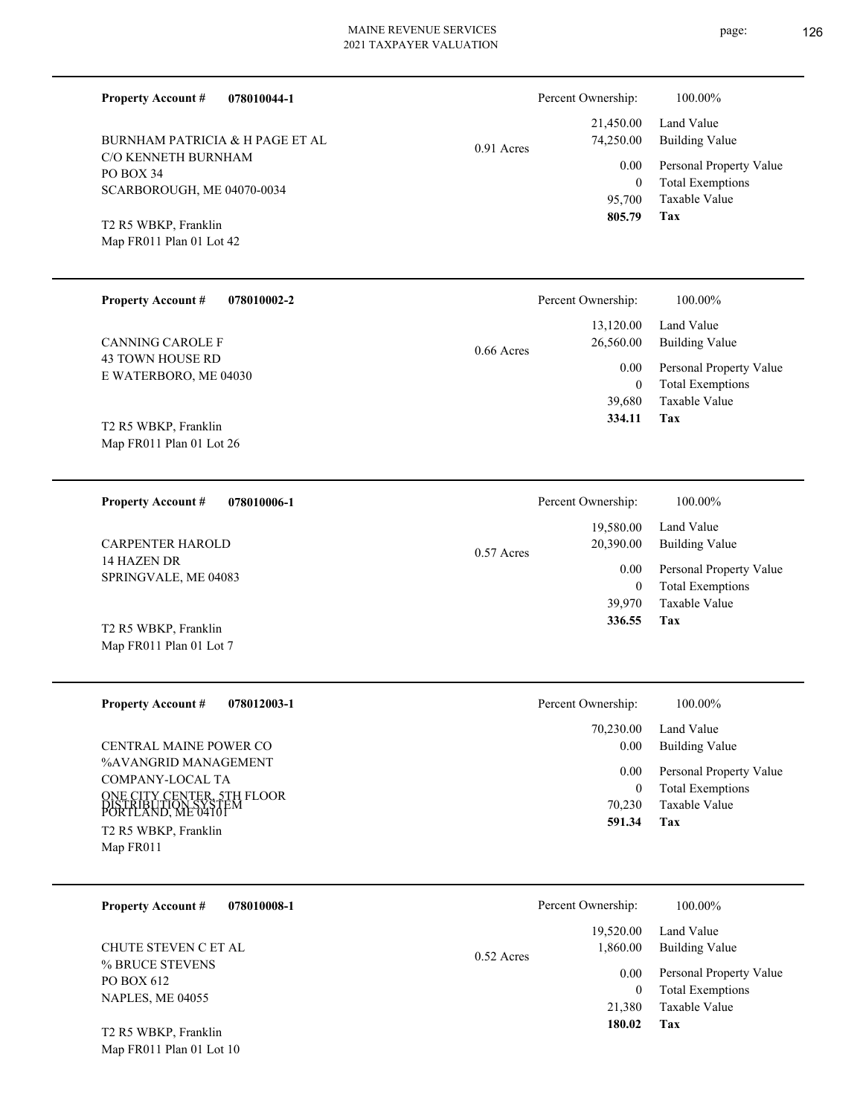Percent Ownership:  $100.00\%$ 

| <b>BURNHAM PATRICIA &amp; H PAGE ET AL</b> |  |
|--------------------------------------------|--|
| C/O KENNETH BURNHAM                        |  |

**078010044-1**

0.91 Acres

#### Taxable Value Total Exemptions Personal Property Value Building Value Land Value 95,700 0 21,450.00 74,250.00 0.00

**Tax**

 **805.79**

Map FR011 Plan 01 Lot 42 T2 R5 WBKP, Franklin

SCARBOROUGH, ME 04070-0034

PO BOX 34

**Property Account #**

| <b>Property Account #</b><br>078010002-2     | Percent Ownership:                     | 100.00%                                            |
|----------------------------------------------|----------------------------------------|----------------------------------------------------|
| CANNING CAROLE F                             | 13.120.00<br>26,560.00<br>$0.66$ Acres | Land Value<br>Building Value                       |
| 43 TOWN HOUSE RD<br>E WATERBORO, ME 04030    | 0.00<br>0                              | Personal Property Value<br><b>Total Exemptions</b> |
| T <sub>2</sub> R <sub>5</sub> WBKP, Franklin | 39,680<br>334.11                       | Taxable Value<br>Tax                               |

Map FR011 Plan 01 Lot 26

| <b>Property Account #</b><br>078010006-1        | Percent Ownership:               | 100.00%                                            |
|-------------------------------------------------|----------------------------------|----------------------------------------------------|
| <b>CARPENTER HAROLD</b>                         | 19,580.00<br>20,390.00           | Land Value<br>Building Value                       |
| 14 HAZEN DR<br>SPRINGVALE, ME 04083             | $0.57$ Acres<br>0.00<br>$\bf{0}$ | Personal Property Value<br><b>Total Exemptions</b> |
|                                                 | 39,970                           | Taxable Value                                      |
| T2 R5 WBKP, Franklin<br>Map FR011 Plan 01 Lot 7 | 336.55                           | Tax                                                |

| <b>Property Account #</b><br>078012003-1                                                                                                    | Percent Ownership:       | 100.00%                                                                    |
|---------------------------------------------------------------------------------------------------------------------------------------------|--------------------------|----------------------------------------------------------------------------|
|                                                                                                                                             | 70,230.00                | Land Value                                                                 |
| CENTRAL MAINE POWER CO                                                                                                                      | 0.00                     | Building Value                                                             |
| %AVANGRID MANAGEMENT<br>COMPANY-LOCAL TA<br>ONE CITY CENTER, 5TH FLOOR<br>DISTRIBUTION SYSTEM<br>PORTLAND, ME 04101<br>T2 R5 WBKP, Franklin | 0.00<br>70,230<br>591.34 | Personal Property Value<br><b>Total Exemptions</b><br>Taxable Value<br>Tax |
| Map FR011                                                                                                                                   |                          |                                                                            |

| <b>Property Account #</b><br>078010008-1                 | Percent Ownership:                    | 100.00%                                            |
|----------------------------------------------------------|---------------------------------------|----------------------------------------------------|
| CHUTE STEVEN C ET AL                                     | 19,520.00<br>1,860.00<br>$0.52$ Acres | Land Value<br>Building Value                       |
| % BRUCE STEVENS<br>PO BOX 612<br><b>NAPLES, ME 04055</b> | 0.00<br>0                             | Personal Property Value<br><b>Total Exemptions</b> |
| T <sub>2</sub> R <sub>5</sub> WRKP Franklin              | 21,380<br>180.02                      | Taxable Value<br>Tax                               |

Map FR011 Plan 01 Lot 10 T2 R5 WBKP, Franklin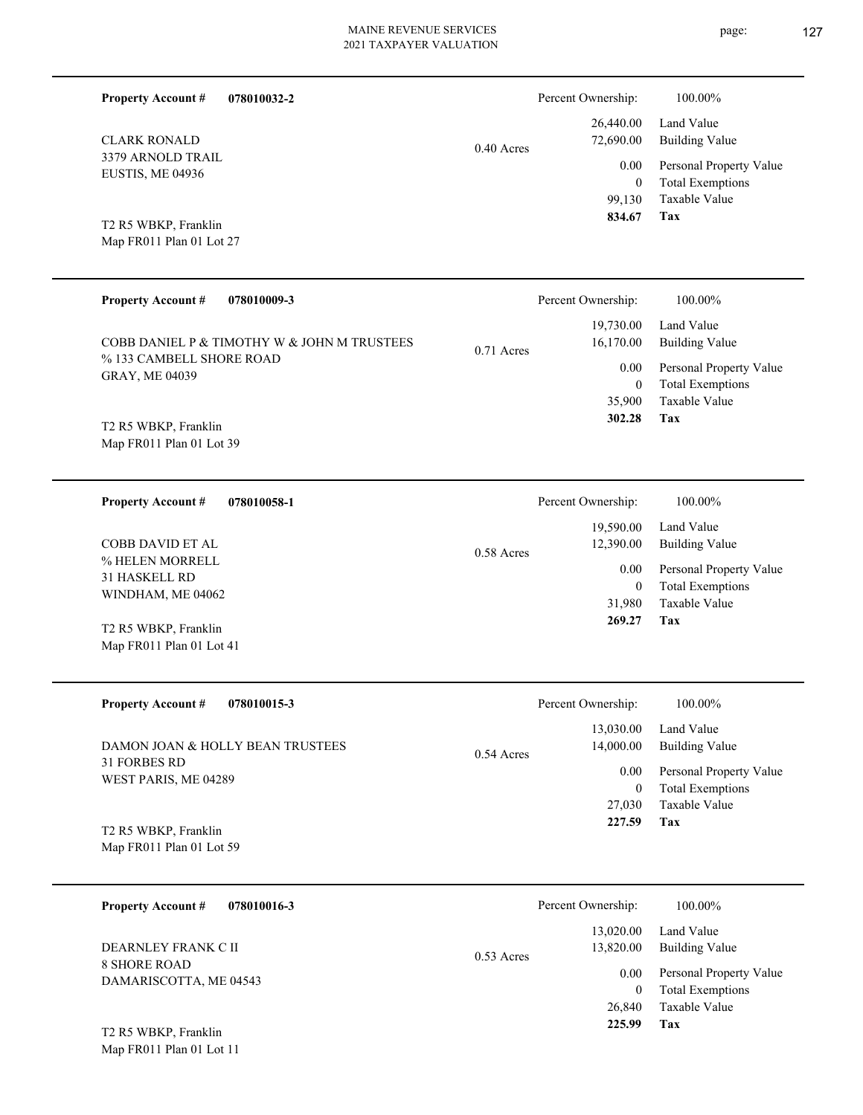3379 ARNOLD TRAIL 0.40 Acres

Map FR011 Plan 01 Lot 27 T2 R5 WBKP, Franklin

Map FR011 Plan 01 Lot 11

EUSTIS, ME 04936

CLARK RONALD

**Property Account #**

**078010032-2**

| <b>Property Account #</b><br>078010009-3     |              | Percent Ownership: | 100.00%                 |
|----------------------------------------------|--------------|--------------------|-------------------------|
|                                              |              | 19,730.00          | Land Value              |
| COBB DANIEL P & TIMOTHY W & JOHN M TRUSTEES  | $0.71$ Acres | 16,170.00          | Building Value          |
| % 133 CAMBELL SHORE ROAD                     |              | 0.00               | Personal Property Value |
| <b>GRAY, ME 04039</b>                        |              | $\mathbf{0}$       | <b>Total Exemptions</b> |
|                                              |              | 35,900             | Taxable Value           |
| T <sub>2</sub> R <sub>5</sub> WBKP, Franklin |              | 302.28             | Tax                     |
| Map FR011 Plan 01 Lot 39                     |              |                    |                         |

| 078010058-1<br><b>Property Account #</b>     | Percent Ownership:        | 100.00%                 |
|----------------------------------------------|---------------------------|-------------------------|
|                                              | 19,590.00                 | Land Value              |
| COBB DAVID ET AL                             | 12,390.00<br>$0.58$ Acres | Building Value          |
| % HELEN MORRELL<br><b>31 HASKELL RD</b>      | 0.00                      | Personal Property Value |
| WINDHAM, ME 04062                            | 0                         | <b>Total Exemptions</b> |
|                                              | 31,980                    | Taxable Value           |
| T <sub>2</sub> R <sub>5</sub> WBKP, Franklin | 269.27                    | Tax                     |
| Map FR011 Plan 01 Lot 41                     |                           |                         |

| <b>Property Account #</b><br>078010015-3     | Percent Ownership:                     | 100.00%                                            |
|----------------------------------------------|----------------------------------------|----------------------------------------------------|
| DAMON JOAN & HOLLY BEAN TRUSTEES             | 13,030.00<br>14,000.00<br>$0.54$ Acres | Land Value<br>Building Value                       |
| 31 FORBES RD<br>WEST PARIS, ME 04289         | 0.00<br>$\theta$                       | Personal Property Value<br><b>Total Exemptions</b> |
|                                              | 27,030                                 | Taxable Value                                      |
| T <sub>2</sub> R <sub>5</sub> WBKP, Franklin | 227.59                                 | Tax                                                |
| Map FR011 Plan 01 Lot 59                     |                                        |                                                    |

| 078010016-3<br><b>Property Account #</b>      | Percent Ownership:                     | 100.00%                                            |
|-----------------------------------------------|----------------------------------------|----------------------------------------------------|
| DEARNLEY FRANK C II                           | 13,020.00<br>13,820.00<br>$0.53$ Acres | Land Value<br>Building Value                       |
| <b>8 SHORE ROAD</b><br>DAMARISCOTTA, ME 04543 | 0.00<br>0                              | Personal Property Value<br><b>Total Exemptions</b> |
| T <sub>2</sub> R <sub>5</sub> WBKP, Franklin  | 26,840<br>225.99                       | Taxable Value<br>Tax                               |

page: 127

**Tax**

 99,130 0

0.00

Percent Ownership:  $100.00\%$ 

 26,440.00 72,690.00

 **834.67**

Taxable Value Total Exemptions Personal Property Value

Building Value Land Value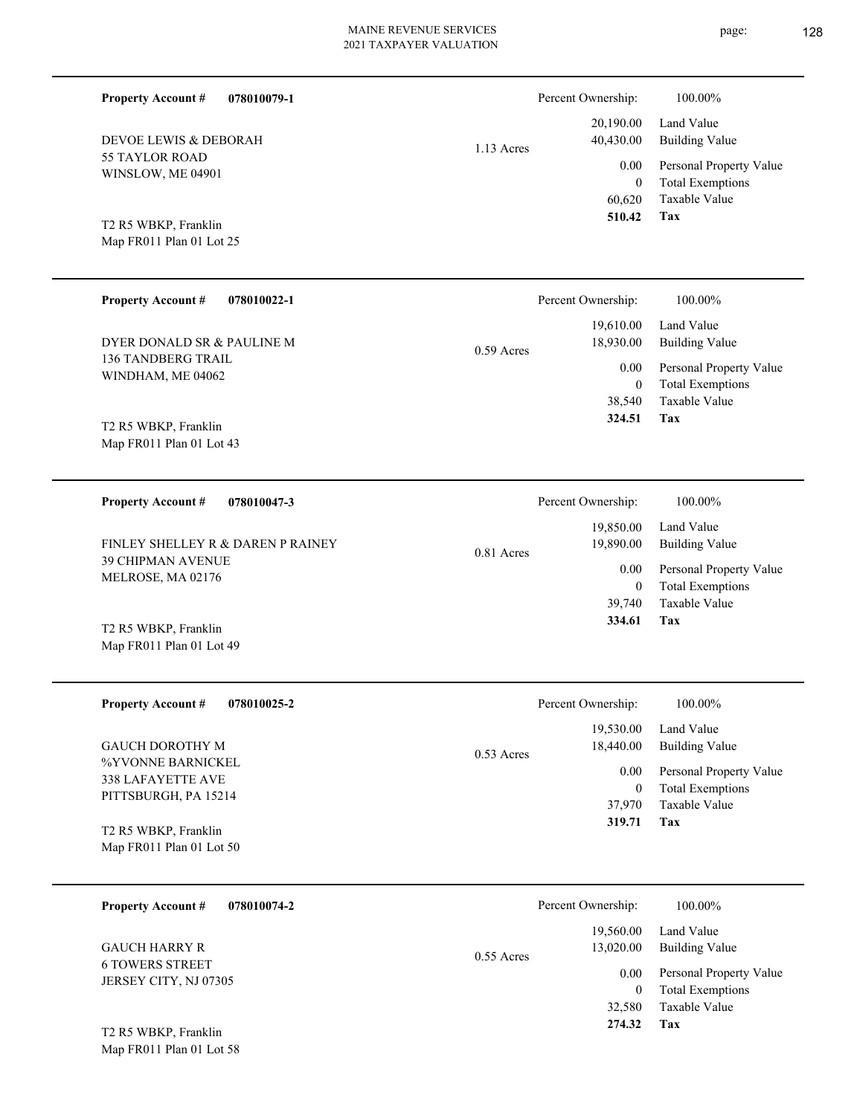| <b>Property Account #</b><br>078010079-1         |              | Percent Ownership:         | 100.00%                                            |
|--------------------------------------------------|--------------|----------------------------|----------------------------------------------------|
| DEVOE LEWIS & DEBORAH                            | $1.13$ Acres | 20,190.00<br>40,430.00     | Land Value<br><b>Building Value</b>                |
| <b>55 TAYLOR ROAD</b><br>WINSLOW, ME 04901       |              | $0.00\,$<br>$\overline{0}$ | Personal Property Value<br><b>Total Exemptions</b> |
|                                                  |              | 60,620<br>510.42           | Taxable Value<br>Tax                               |
| T2 R5 WBKP, Franklin<br>Map FR011 Plan 01 Lot 25 |              |                            |                                                    |
|                                                  |              |                            |                                                    |
| <b>Property Account #</b><br>078010022-1         |              | Percent Ownership:         | 100.00%                                            |
| DYER DONALD SR & PAULINE M                       | $0.59$ Acres | 19,610.00<br>18,930.00     | Land Value<br><b>Building Value</b>                |
| <b>136 TANDBERG TRAIL</b><br>WINDHAM, ME 04062   |              | $0.00\,$<br>$\overline{0}$ | Personal Property Value<br><b>Total Exemptions</b> |
|                                                  |              | 38,540<br>324.51           | Taxable Value<br>Tax                               |
| T2 R5 WBKP, Franklin<br>Map FR011 Plan 01 Lot 43 |              |                            |                                                    |
|                                                  |              |                            |                                                    |
| <b>Property Account #</b><br>078010047-3         |              | Percent Ownership:         | 100.00%                                            |
| FINLEY SHELLEY R & DAREN P RAINEY                | $0.81$ Acres | 19,850.00<br>19,890.00     | Land Value<br><b>Building Value</b>                |
| <b>39 CHIPMAN AVENUE</b><br>MELROSE, MA 02176    |              | 0.00<br>$\overline{0}$     | Personal Property Value<br><b>Total Exemptions</b> |
|                                                  |              | 39,740<br>334.61           | <b>Taxable Value</b><br>Tax                        |
| T2 R5 WBKP, Franklin<br>Map FR011 Plan 01 Lot 49 |              |                            |                                                    |
|                                                  |              |                            |                                                    |
| <b>Property Account #</b><br>078010025-2         |              | Percent Ownership:         | 100.00%                                            |
| <b>GAUCH DOROTHY M</b>                           | $0.53$ Acres | 19,530.00<br>18,440.00     | Land Value<br><b>Building Value</b>                |
| %YVONNE BARNICKEL<br>338 LAFAYETTE AVE           |              | $0.00\,$                   | Personal Property Value                            |
| PITTSBURGH, PA 15214                             |              | $\boldsymbol{0}$<br>37,970 | <b>Total Exemptions</b><br>Taxable Value           |
| T2 R5 WBKP, Franklin<br>Map FR011 Plan 01 Lot 50 |              | 319.71                     | Tax                                                |
|                                                  |              |                            |                                                    |
| <b>Property Account #</b><br>078010074-2         |              | Percent Ownership:         | 100.00%                                            |
| <b>GAUCH HARRY R</b>                             |              | 19,560.00<br>13,020.00     | Land Value<br><b>Building Value</b>                |
| <b>6 TOWERS STREET</b><br>JERSEY CITY, NJ 07305  | $0.55$ Acres | $0.00\,$                   | Personal Property Value                            |
|                                                  |              | $\mathbf{0}$<br>32,580     | <b>Total Exemptions</b><br>Taxable Value           |
| T2 R5 WBKP, Franklin                             |              | 274.32                     | Tax                                                |
| Map FR011 Plan 01 Lot 58                         |              |                            |                                                    |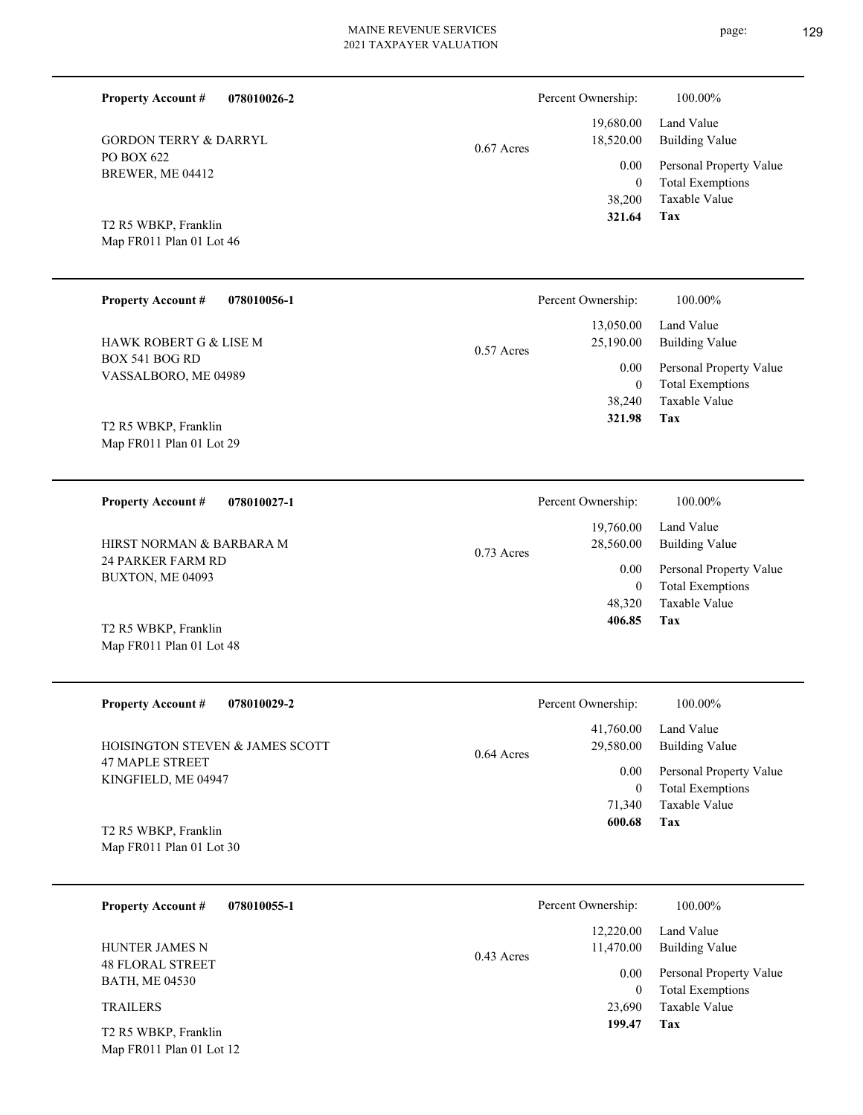| <b>Property Account #</b><br>078010026-2         |              | Percent Ownership:             | 100.00%                                                             |
|--------------------------------------------------|--------------|--------------------------------|---------------------------------------------------------------------|
| <b>GORDON TERRY &amp; DARRYL</b>                 | $0.67$ Acres | 19,680.00<br>18,520.00         | Land Value<br><b>Building Value</b>                                 |
| PO BOX 622<br>BREWER, ME 04412                   |              | 0.00<br>$\theta$<br>38,200     | Personal Property Value<br><b>Total Exemptions</b><br>Taxable Value |
| T2 R5 WBKP, Franklin<br>Map FR011 Plan 01 Lot 46 |              | 321.64                         | <b>Tax</b>                                                          |
| <b>Property Account #</b><br>078010056-1         |              | Percent Ownership:             | 100.00%                                                             |
| HAWK ROBERT G & LISE M                           | $0.57$ Acres | 13,050.00<br>25,190.00         | Land Value<br><b>Building Value</b>                                 |
| BOX 541 BOG RD<br>VASSALBORO, ME 04989           |              | 0.00<br>$\mathbf{0}$<br>38,240 | Personal Property Value<br><b>Total Exemptions</b><br>Taxable Value |
| T2 R5 WBKP, Franklin<br>Map FR011 Plan 01 Lot 29 |              | 321.98                         | Tax                                                                 |
| <b>Property Account #</b><br>078010027-1         |              | Percent Ownership:             | 100.00%                                                             |
| HIRST NORMAN & BARBARA M                         | $0.73$ Acres | 19,760.00<br>28,560.00         | Land Value<br><b>Building Value</b>                                 |
| 24 PARKER FARM RD<br>BUXTON, ME 04093            |              | 0.00<br>$\mathbf{0}$<br>48,320 | Personal Property Value<br><b>Total Exemptions</b><br>Taxable Value |
| T2 R5 WBKP, Franklin<br>Map FR011 Plan 01 Lot 48 |              | 406.85                         | Tax                                                                 |
| <b>Property Account #</b><br>078010029-2         |              | Percent Ownership:             | 100.00%                                                             |
| HOISINGTON STEVEN & JAMES SCOTT                  | $0.64$ Acres | 41,760.00<br>29,580.00         | Land Value<br><b>Building Value</b>                                 |
| <b>47 MAPLE STREET</b><br>KINGFIELD, ME 04947    |              | 0.00<br>$\overline{0}$         | Personal Property Value<br><b>Total Exemptions</b>                  |
| T2 R5 WBKP, Franklin<br>Map FR011 Plan 01 Lot 30 |              | 71,340<br>600.68               | Taxable Value<br>Tax                                                |
| <b>Property Account #</b><br>078010055-1         |              | Percent Ownership:             | 100.00%                                                             |
| HUNTER JAMES N                                   |              | 12,220.00<br>11,470.00         | Land Value<br><b>Building Value</b>                                 |
| <b>48 FLORAL STREET</b><br><b>BATH, ME 04530</b> | $0.43$ Acres | $0.00\,$<br>$\overline{0}$     | Personal Property Value<br><b>Total Exemptions</b>                  |
| <b>TRAILERS</b>                                  |              | 23,690<br>199.47               | Taxable Value<br>Tax                                                |
| T2 R5 WBKP, Franklin<br>Map FR011 Plan 01 Lot 12 |              |                                |                                                                     |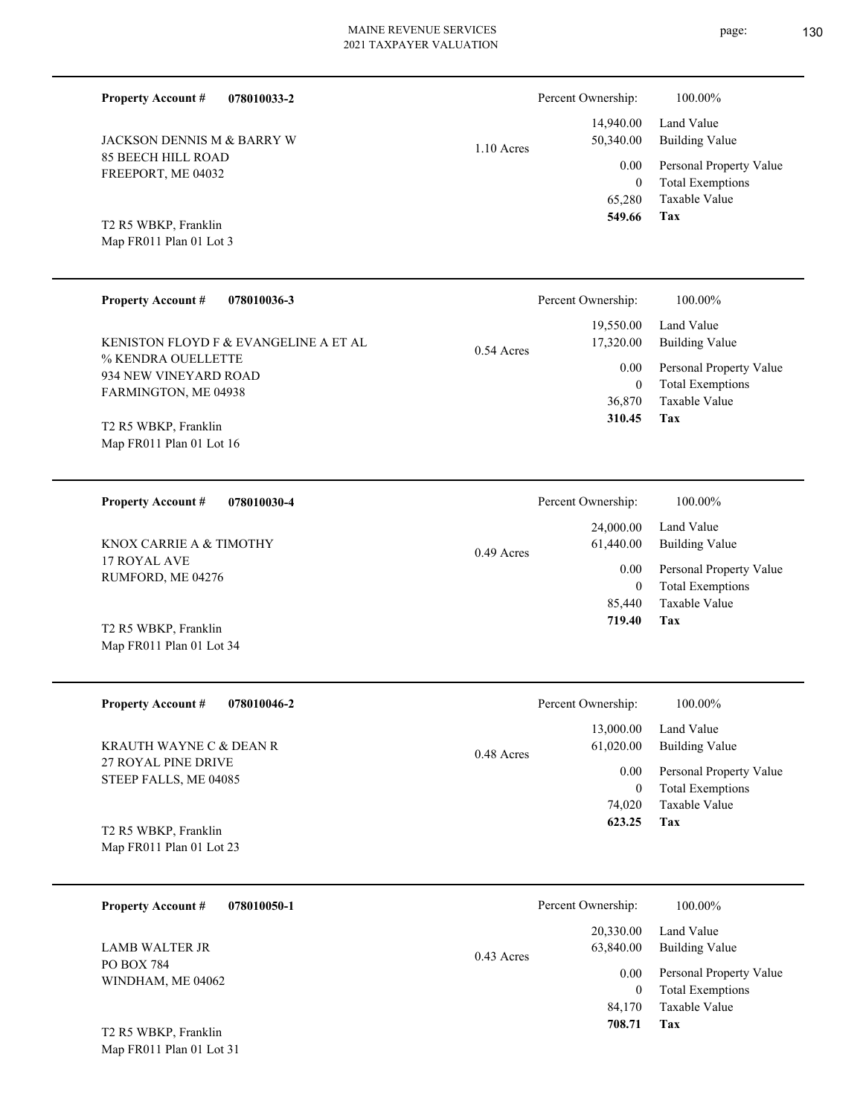Percent Ownership:  $100.00\%$ 

|              | 549.66    | Tax                          |
|--------------|-----------|------------------------------|
|              |           | 65,280 Taxable Value         |
|              | $\theta$  | <b>Total Exemptions</b>      |
| $1.10$ Acres |           | 0.00 Personal Property Value |
|              | 50,340.00 | Building Value               |
|              |           | 14,940.00 Land Value         |

Map FR011 Plan 01 Lot 3 T2 R5 WBKP, Franklin

85 BEECH HILL ROAD FREEPORT, ME 04032

JACKSON DENNIS M & BARRY W

**Property Account #**

**078010033-2**

| <b>Property Account #</b><br>078010036-3                                                                     | Percent Ownership:                                                   | 100.00%                                                                                             |
|--------------------------------------------------------------------------------------------------------------|----------------------------------------------------------------------|-----------------------------------------------------------------------------------------------------|
| KENISTON FLOYD F & EVANGELINE A ET AL<br>% KENDRA OUELLETTE<br>934 NEW VINEYARD ROAD<br>FARMINGTON, ME 04938 | 19,550.00<br>17,320.00<br>$0.54$ Acres<br>0.00<br>$\theta$<br>36,870 | Land Value<br>Building Value<br>Personal Property Value<br><b>Total Exemptions</b><br>Taxable Value |
| T <sub>2</sub> R <sub>5</sub> WBKP, Franklin<br>Map $FR011$ Plan 01 Lot 16                                   | 310.45                                                               | Tax                                                                                                 |

| 078010030-4<br><b>Property Account #</b> | Percent Ownership:        | 100.00%                 |
|------------------------------------------|---------------------------|-------------------------|
|                                          | 24,000.00                 | Land Value              |
| KNOX CARRIE A & TIMOTHY                  | 61,440.00<br>$0.49$ Acres | Building Value          |
| 17 ROYAL AVE<br>RUMFORD, ME 04276        | 0.00                      | Personal Property Value |
|                                          | 0                         | <b>Total Exemptions</b> |
|                                          | 85,440                    | Taxable Value           |
| T2 R5 WBKP, Franklin                     | 719.40                    | Tax                     |

| <b>Property Account #</b><br>078010046-2       | Percent Ownership:        | 100.00%                 |
|------------------------------------------------|---------------------------|-------------------------|
|                                                | 13,000.00                 | Land Value              |
| KRAUTH WAYNE C & DEAN R<br>27 ROYAL PINE DRIVE | 61,020.00<br>$0.48$ Acres | Building Value          |
| STEEP FALLS, ME 04085                          | 0.00                      | Personal Property Value |
|                                                | $\theta$                  | <b>Total Exemptions</b> |
|                                                | 74,020                    | Taxable Value           |
| T2 R5 WBKP, Franklin                           | 623.25                    | Tax                     |
| Map FR011 Plan 01 Lot 23                       |                           |                         |

| 078010050-1<br><b>Property Account #</b>                 | Percent Ownership:                     | 100.00%                                            |
|----------------------------------------------------------|----------------------------------------|----------------------------------------------------|
| <b>LAMB WALTER JR</b><br>PO BOX 784<br>WINDHAM, ME 04062 | 20,330.00<br>63,840.00<br>$0.43$ Acres | Land Value<br><b>Building Value</b>                |
|                                                          | 0.00<br>$\mathbf{0}$                   | Personal Property Value<br><b>Total Exemptions</b> |
| T <sub>2</sub> R <sub>5</sub> WBKP, Franklin             | 84,170<br>708.71                       | Taxable Value<br>Tax                               |

Map FR011 Plan 01 Lot 31

Map FR011 Plan 01 Lot 34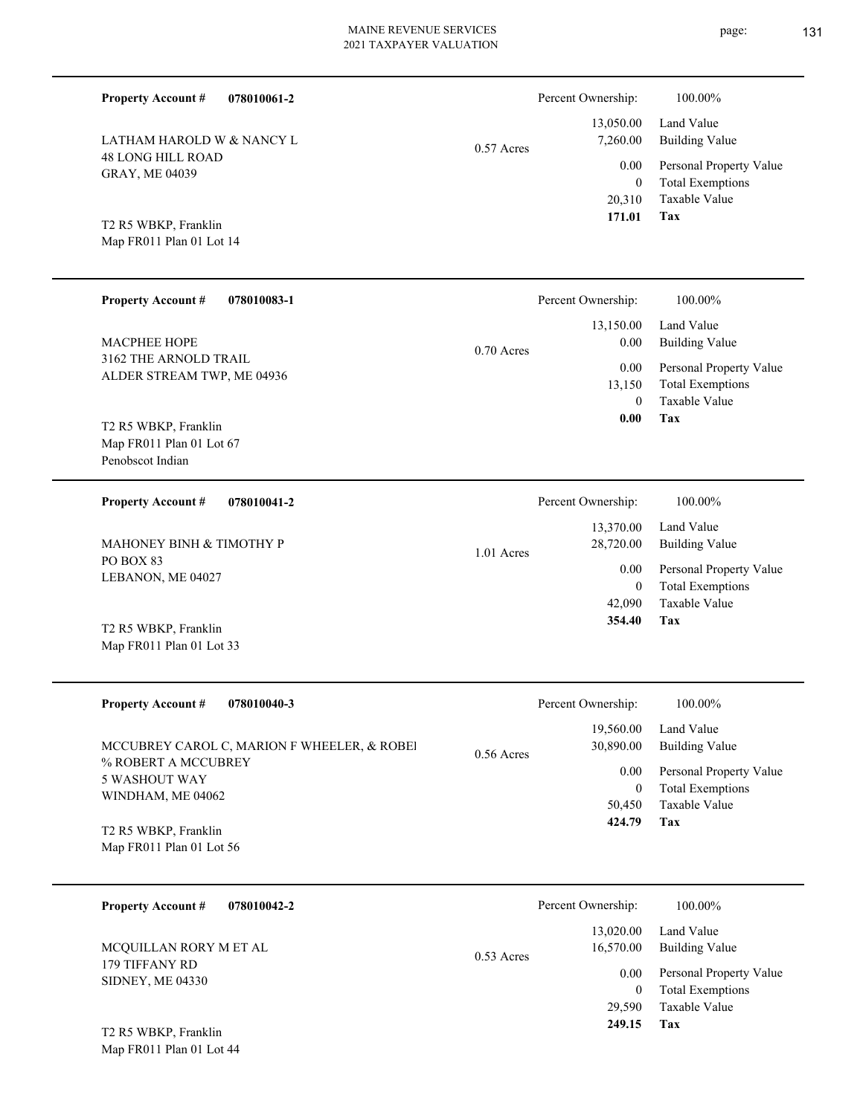| 078010061-2<br><b>Property Account #</b>            |              | Percent Ownership:             | 100.00%                                                             |
|-----------------------------------------------------|--------------|--------------------------------|---------------------------------------------------------------------|
| LATHAM HAROLD W & NANCY L                           | $0.57$ Acres | 13,050.00<br>7,260.00          | Land Value<br><b>Building Value</b>                                 |
| <b>48 LONG HILL ROAD</b><br>GRAY, ME 04039          |              | 0.00<br>$\mathbf{0}$<br>20,310 | Personal Property Value<br><b>Total Exemptions</b><br>Taxable Value |
| T2 R5 WBKP, Franklin                                |              | 171.01                         | Tax                                                                 |
| Map FR011 Plan 01 Lot 14                            |              |                                |                                                                     |
| <b>Property Account #</b><br>078010083-1            |              | Percent Ownership:             | 100.00%                                                             |
| <b>MACPHEE HOPE</b>                                 | $0.70$ Acres | 13,150.00<br>0.00              | Land Value<br><b>Building Value</b>                                 |
| 3162 THE ARNOLD TRAIL<br>ALDER STREAM TWP, ME 04936 |              | 0.00                           | Personal Property Value<br><b>Total Exemptions</b>                  |
|                                                     |              | 13,150<br>$\theta$             | <b>Taxable Value</b>                                                |
| T2 R5 WBKP, Franklin                                |              | 0.00                           | Tax                                                                 |
| Map FR011 Plan 01 Lot 67<br>Penobscot Indian        |              |                                |                                                                     |
| <b>Property Account #</b><br>078010041-2            |              | Percent Ownership:             | 100.00%                                                             |
| MAHONEY BINH & TIMOTHY P                            | $1.01$ Acres | 13,370.00<br>28,720.00         | Land Value<br><b>Building Value</b>                                 |
| PO BOX 83<br>LEBANON, ME 04027                      |              | 0.00<br>$\mathbf{0}$           | Personal Property Value<br><b>Total Exemptions</b>                  |
|                                                     |              | 42,090<br>354.40               | Taxable Value<br><b>Tax</b>                                         |
| T2 R5 WBKP, Franklin<br>Map FR011 Plan 01 Lot 33    |              |                                |                                                                     |
| <b>Property Account #</b><br>078010040-3            |              | Percent Ownership:             | 100.00%                                                             |
| MCCUBREY CAROL C, MARION F WHEELER, & ROBEI         | $0.56$ Acres | 19,560.00<br>30,890.00         | Land Value<br><b>Building Value</b>                                 |
| % ROBERT A MCCUBREY<br><b>5 WASHOUT WAY</b>         |              | 0.00                           | Personal Property Value                                             |
| WINDHAM, ME 04062                                   |              | $\boldsymbol{0}$<br>50,450     | <b>Total Exemptions</b><br>Taxable Value                            |
| T2 R5 WBKP, Franklin                                |              | 424.79                         | Tax                                                                 |
| Map FR011 Plan 01 Lot 56                            |              |                                |                                                                     |
| <b>Property Account #</b><br>078010042-2            |              | Percent Ownership:             | 100.00%                                                             |
| MCQUILLAN RORY M ET AL                              | $0.53$ Acres | 13,020.00<br>16,570.00         | Land Value<br><b>Building Value</b>                                 |
| 179 TIFFANY RD<br>SIDNEY, ME 04330                  |              | 0.00                           | Personal Property Value                                             |
|                                                     |              | $\mathbf{0}$<br>29,590         | <b>Total Exemptions</b><br>Taxable Value                            |
| T2 R5 WBKP, Franklin                                |              | 249.15                         | Tax                                                                 |
| Map FR011 Plan 01 Lot 44                            |              |                                |                                                                     |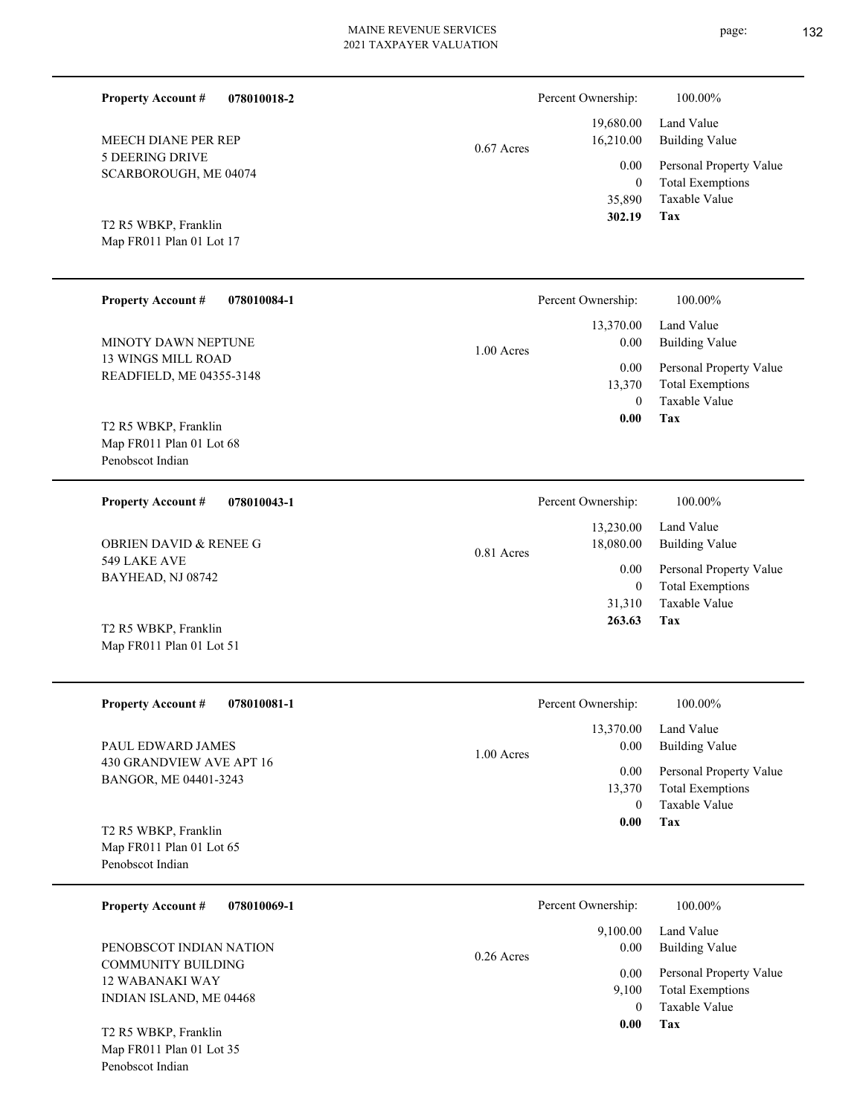0.67 Acres

1.00 Acres

| <b>Property Account #</b><br>078010084-1         | Percent Ownership:<br>12.270.00. | 100.00%<br>$L_{end}$ Value |
|--------------------------------------------------|----------------------------------|----------------------------|
| T2 R5 WBKP, Franklin<br>Map FR011 Plan 01 Lot 17 | 302.19                           | Tax                        |
|                                                  | 35,890                           | Taxable Val                |
|                                                  | $\bf{0}$                         | Total Exemp                |
| SCARBOROUGH, ME 04074                            | v.vv                             | <b>FUSOIIAI FIU</b>        |

13 WINGS MILL ROAD READFIELD, ME 04355-3148 MINOTY DAWN NEPTUNE

5 DEERING DRIVE

MEECH DIANE PER REP

**Property Account #**

**078010018-2**

Map FR011 Plan 01 Lot 68 Penobscot Indian T2 R5 WBKP, Franklin

**078010043-1** 549 LAKE AVE BAYHEAD, NJ 08742 **Property Account #** OBRIEN DAVID & RENEE G 0.81 Acres

Map FR011 Plan 01 Lot 51 T2 R5 WBKP, Franklin

| <b>Property Account #</b><br>078010081-1                                     | Percent Ownership:                | 100.00%                                                             |
|------------------------------------------------------------------------------|-----------------------------------|---------------------------------------------------------------------|
| PAUL EDWARD JAMES                                                            | 13,370.00<br>0.00<br>$1.00$ Acres | Land Value<br><b>Building Value</b>                                 |
| 430 GRANDVIEW AVE APT 16<br>BANGOR, ME 04401-3243                            | 0.00<br>13,370<br>$\Omega$        | Personal Property Value<br><b>Total Exemptions</b><br>Taxable Value |
| T2 R5 WBKP, Franklin<br>Map FR011 Plan 01 Lot 65<br>Penobscot Indian         | 0.00                              | Tax                                                                 |
| <b>Property Account #</b><br>078010069-1                                     | Percent Ownership:                | 100.00%                                                             |
| PENOBSCOT INDIAN NATION                                                      | 9,100.00<br>0.00<br>$0.26$ Acres  | Land Value<br><b>Building Value</b>                                 |
| <b>COMMUNITY BUILDING</b><br>12 WABANAKI WAY<br>INIDI ANI JOI ANID ALE 04460 | 0.00<br>9,100                     | Personal Property Value<br><b>Total Exemptions</b>                  |

Map FR011 Plan 01 Lot 35 Penobscot Indian T2 R5 WBKP, Franklin

INDIAN ISLAND, ME 04468



| Building Value          |
|-------------------------|
| Personal Property Value |
| <b>Total Exemptions</b> |
| Taxable Value           |
|                         |
|                         |

| Percent Ownership: | 100.00%                 |
|--------------------|-------------------------|
|                    | 13,230.00 Land Value    |
| 18,080.00          | Building Value          |
| 0.00               | Personal Property Value |
| 0                  | <b>Total Exemptions</b> |

**Tax**

**Tax**

0

 **0.00**

Taxable Value

Taxable Value

**Tax**

 0 13,370

 **0.00**

31,310

 **263.63**

 13,370.00 0.00 0.00

Taxable Value Total Exemptions Personal Property Value

Building Value Land Value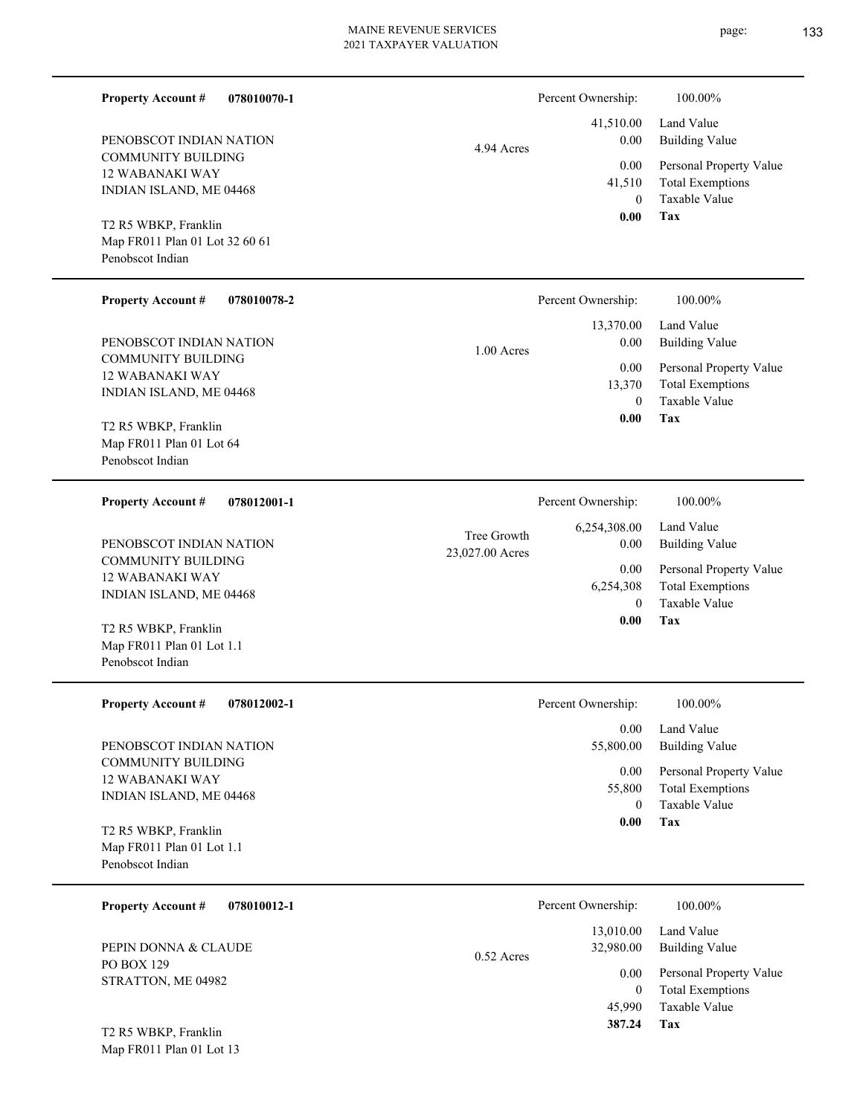**078010070-1**

COMMUNITY BUILDING

PENOBSCOT INDIAN NATION

**Property Account #**

| 21 TAXPAYER VALUATION |                    |                    |
|-----------------------|--------------------|--------------------|
|                       | Percent Ownership: | 100.00%            |
|                       | 41,510.00          | Land Value         |
| 4.94 Acres            | 0.00               | <b>Building Va</b> |
|                       | 0.00               | Personal Pro       |
|                       | 41,510             | Total Exem         |
|                       | $\mathbf{0}$       | Taxable Val        |
|                       | 0.00               | Tax                |
|                       |                    |                    |
|                       | Percent Ownership: | 100.00%            |
|                       | 13,370.00          | Land Value         |

| <b>12 WABANAKI WAY</b><br>INDIAN ISLAND, ME 04468<br>T2 R5 WBKP, Franklin<br>Map FR011 Plan 01 Lot 32 60 61<br>Penobscot Indian | 0.00<br>41,510<br>$\mathbf{0}$<br>0.00                 | Personal Property Value<br><b>Total Exemptions</b><br>Taxable Value<br>Tax |
|---------------------------------------------------------------------------------------------------------------------------------|--------------------------------------------------------|----------------------------------------------------------------------------|
| <b>Property Account #</b><br>078010078-2                                                                                        | Percent Ownership:                                     | 100.00%                                                                    |
| PENOBSCOT INDIAN NATION                                                                                                         | 13,370.00<br>0.00<br>1.00 Acres                        | Land Value<br><b>Building Value</b>                                        |
| <b>COMMUNITY BUILDING</b><br><b>12 WABANAKI WAY</b><br>INDIAN ISLAND, ME 04468                                                  | 0.00<br>13,370<br>$\mathbf{0}$<br>0.00                 | Personal Property Value<br><b>Total Exemptions</b><br>Taxable Value<br>Tax |
| T2 R5 WBKP, Franklin<br>Map FR011 Plan 01 Lot 64<br>Penobscot Indian                                                            |                                                        |                                                                            |
| <b>Property Account #</b><br>078012001-1                                                                                        | Percent Ownership:                                     | 100.00%                                                                    |
| PENOBSCOT INDIAN NATION                                                                                                         | 6,254,308.00<br>Tree Growth<br>0.00<br>23,027.00 Acres | Land Value<br><b>Building Value</b>                                        |
| <b>COMMUNITY BUILDING</b><br><b>12 WABANAKI WAY</b><br>INDIAN ISLAND, ME 04468                                                  | 0.00<br>6,254,308<br>$\mathbf{0}$                      | Personal Property Value<br><b>Total Exemptions</b><br>Taxable Value        |
| T2 R5 WBKP, Franklin<br>Map FR011 Plan 01 Lot 1.1<br>Penobscot Indian                                                           | 0.00                                                   | Tax                                                                        |
| <b>Property Account #</b><br>078012002-1                                                                                        | Percent Ownership:                                     | 100.00%                                                                    |
| PENOBSCOT INDIAN NATION                                                                                                         | 0.00<br>55,800.00                                      | Land Value<br><b>Building Value</b>                                        |
| <b>COMMUNITY BUILDING</b><br><b>12 WABANAKI WAY</b><br>INDIAN ISLAND, ME 04468                                                  | 0.00<br>55,800<br>$\mathbf{0}$                         | Personal Property Value<br><b>Total Exemptions</b><br>Taxable Value        |
| T2 R5 WBKP, Franklin<br>Map FR011 Plan 01 Lot 1.1<br>Penobscot Indian                                                           | 0.00                                                   | Tax                                                                        |
| 078010012-1<br><b>Property Account #</b>                                                                                        | Percent Ownership:                                     | 100.00%                                                                    |
| PEPIN DONNA & CLAUDE                                                                                                            | 13,010.00<br>32,980.00<br>$0.52$ Acres                 | Land Value<br><b>Building Value</b>                                        |
| PO BOX 129<br>STRATTON, ME 04982                                                                                                | 0.00<br>$\mathbf{0}$<br>45,990                         | Personal Property Value<br><b>Total Exemptions</b><br>Taxable Value        |
|                                                                                                                                 | 387.24                                                 | Tax                                                                        |

Map FR011 Plan 01 Lot 13 T2 R5 WBKP, Franklin

## page: **133**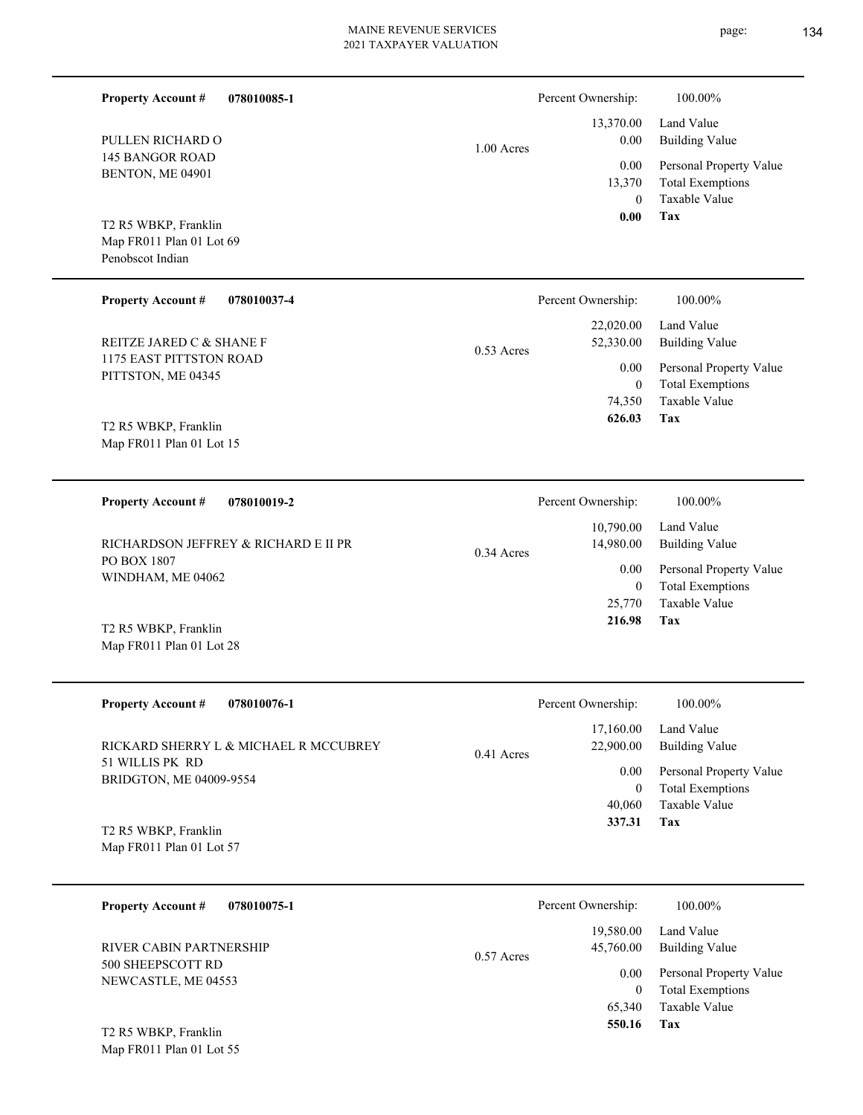page: 134

| <b>Property Account #</b>                                            | 078010085-1                           |              | Percent Ownership:               | 100.00%                                                             |
|----------------------------------------------------------------------|---------------------------------------|--------------|----------------------------------|---------------------------------------------------------------------|
| PULLEN RICHARD O                                                     |                                       | $1.00$ Acres | 13,370.00<br>0.00                | Land Value<br><b>Building Value</b>                                 |
| <b>145 BANGOR ROAD</b><br>BENTON, ME 04901                           |                                       |              | 0.00<br>13,370<br>$\theta$       | Personal Property Value<br><b>Total Exemptions</b><br>Taxable Value |
| T2 R5 WBKP, Franklin<br>Map FR011 Plan 01 Lot 69<br>Penobscot Indian |                                       |              | 0.00                             | Tax                                                                 |
| <b>Property Account #</b>                                            | 078010037-4                           |              | Percent Ownership:               | 100.00%                                                             |
| REITZE JARED C & SHANE F                                             |                                       | $0.53$ Acres | 22,020.00<br>52,330.00           | Land Value<br><b>Building Value</b>                                 |
| 1175 EAST PITTSTON ROAD<br>PITTSTON, ME 04345                        |                                       |              | 0.00<br>$\overline{0}$           | Personal Property Value<br><b>Total Exemptions</b>                  |
| T2 R5 WBKP, Franklin<br>Map FR011 Plan 01 Lot 15                     |                                       |              | 74,350<br>626.03                 | Taxable Value<br>Tax                                                |
|                                                                      |                                       |              |                                  |                                                                     |
| <b>Property Account #</b>                                            | 078010019-2                           |              | Percent Ownership:               | 100.00%                                                             |
|                                                                      | RICHARDSON JEFFREY & RICHARD E II PR  | $0.34$ Acres | 10,790.00<br>14,980.00           | Land Value<br><b>Building Value</b>                                 |
| PO BOX 1807<br>WINDHAM, ME 04062                                     |                                       |              | 0.00<br>$\overline{0}$<br>25,770 | Personal Property Value<br><b>Total Exemptions</b><br>Taxable Value |
| T2 R5 WBKP, Franklin<br>Map FR011 Plan 01 Lot 28                     |                                       |              | 216.98                           | Tax                                                                 |
| <b>Property Account #</b>                                            | 078010076-1                           |              | Percent Ownership:               | 100.00%                                                             |
|                                                                      | RICKARD SHERRY L & MICHAEL R MCCUBREY | 0.41 Acres   | 17,160.00<br>22,900.00           | Land Value<br><b>Building Value</b>                                 |
| 51 WILLIS PK RD<br>BRIDGTON, ME 04009-9554                           |                                       |              | 0.00<br>$\mathbf{0}$             | Personal Property Value<br><b>Total Exemptions</b>                  |
| T2 R5 WBKP, Franklin<br>Map FR011 Plan 01 Lot 57                     |                                       |              | 40,060<br>337.31                 | Taxable Value<br>Tax                                                |
| <b>Property Account #</b>                                            | 078010075-1                           |              | Percent Ownership:               | 100.00%                                                             |
| RIVER CABIN PARTNERSHIP                                              |                                       | 0.57 Acres   | 19,580.00<br>45,760.00           | Land Value<br><b>Building Value</b>                                 |
| 500 SHEEPSCOTT RD<br>NEWCASTLE, ME 04553                             |                                       |              | 0.00<br>$\overline{0}$           | Personal Property Value<br><b>Total Exemptions</b>                  |
| T2 R5 WBKP, Franklin<br>Map FR011 Plan 01 Lot 55                     |                                       |              | 65,340<br>550.16                 | Taxable Value<br>Tax                                                |
|                                                                      |                                       |              |                                  |                                                                     |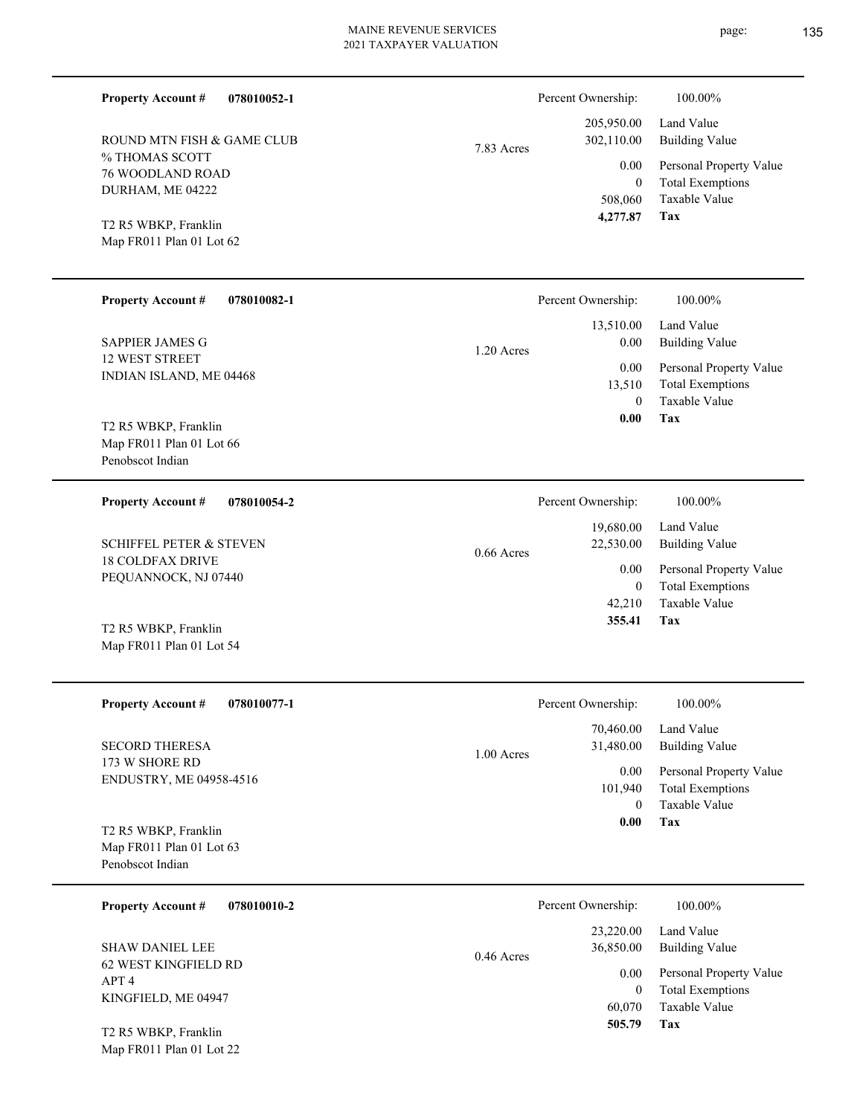÷,

 $\overline{\phantom{0}}$ 

 $\overline{\phantom{a}}$ 

| <b>Property Account #</b>                                            | 078010052-1 |              | Percent Ownership:                            | 100.00%                                                                    |
|----------------------------------------------------------------------|-------------|--------------|-----------------------------------------------|----------------------------------------------------------------------------|
| ROUND MTN FISH & GAME CLUB                                           |             | 7.83 Acres   | 205,950.00<br>302,110.00                      | Land Value<br><b>Building Value</b>                                        |
| % THOMAS SCOTT<br><b>76 WOODLAND ROAD</b><br>DURHAM, ME 04222        |             |              | 0.00<br>$\overline{0}$<br>508,060<br>4,277.87 | Personal Property Value<br><b>Total Exemptions</b><br>Taxable Value<br>Tax |
| T2 R5 WBKP, Franklin<br>Map FR011 Plan 01 Lot 62                     |             |              |                                               |                                                                            |
| <b>Property Account #</b>                                            | 078010082-1 |              | Percent Ownership:                            | 100.00%                                                                    |
| <b>SAPPIER JAMES G</b>                                               |             | 1.20 Acres   | 13,510.00<br>0.00                             | Land Value<br><b>Building Value</b>                                        |
| <b>12 WEST STREET</b><br>INDIAN ISLAND, ME 04468                     |             |              | 0.00<br>13,510<br>$\theta$<br>0.00            | Personal Property Value<br><b>Total Exemptions</b><br>Taxable Value<br>Tax |
| T2 R5 WBKP, Franklin<br>Map FR011 Plan 01 Lot 66<br>Penobscot Indian |             |              |                                               |                                                                            |
| <b>Property Account #</b>                                            | 078010054-2 |              | Percent Ownership:                            | 100.00%                                                                    |
| <b>SCHIFFEL PETER &amp; STEVEN</b>                                   |             | $0.66$ Acres | 19,680.00<br>22,530.00                        | Land Value<br><b>Building Value</b>                                        |
| <b>18 COLDFAX DRIVE</b><br>PEQUANNOCK, NJ 07440                      |             |              | 0.00<br>$\overline{0}$<br>42,210              | Personal Property Value<br><b>Total Exemptions</b><br>Taxable Value        |
| T2 R5 WBKP, Franklin<br>Map FR011 Plan 01 Lot 54                     |             |              | 355.41                                        | Tax                                                                        |
| <b>Property Account #</b>                                            | 078010077-1 |              | Percent Ownership:                            | 100.00%                                                                    |
| <b>SECORD THERESA</b>                                                |             | 1.00 Acres   | 70,460.00<br>31,480.00                        | Land Value<br><b>Building Value</b>                                        |
| 173 W SHORE RD<br>ENDUSTRY, ME 04958-4516                            |             |              | 0.00<br>101,940<br>$\overline{0}$<br>0.00     | Personal Property Value<br><b>Total Exemptions</b><br>Taxable Value<br>Tax |
| T2 R5 WBKP, Franklin<br>Map FR011 Plan 01 Lot 63<br>Penobscot Indian |             |              |                                               |                                                                            |
| <b>Property Account #</b>                                            | 078010010-2 |              | Percent Ownership:                            | 100.00%                                                                    |
| <b>SHAW DANIEL LEE</b>                                               |             | $0.46$ Acres | 23,220.00<br>36,850.00                        | Land Value<br><b>Building Value</b>                                        |
| 62 WEST KINGFIELD RD<br>APT <sub>4</sub><br>KINGFIELD, ME 04947      |             |              | 0.00<br>$\overline{0}$<br>60,070<br>505.79    | Personal Property Value<br><b>Total Exemptions</b><br>Taxable Value<br>Tax |
| T2 R5 WBKP, Franklin<br>Map FR011 Plan 01 Lot 22                     |             |              |                                               |                                                                            |

page: 135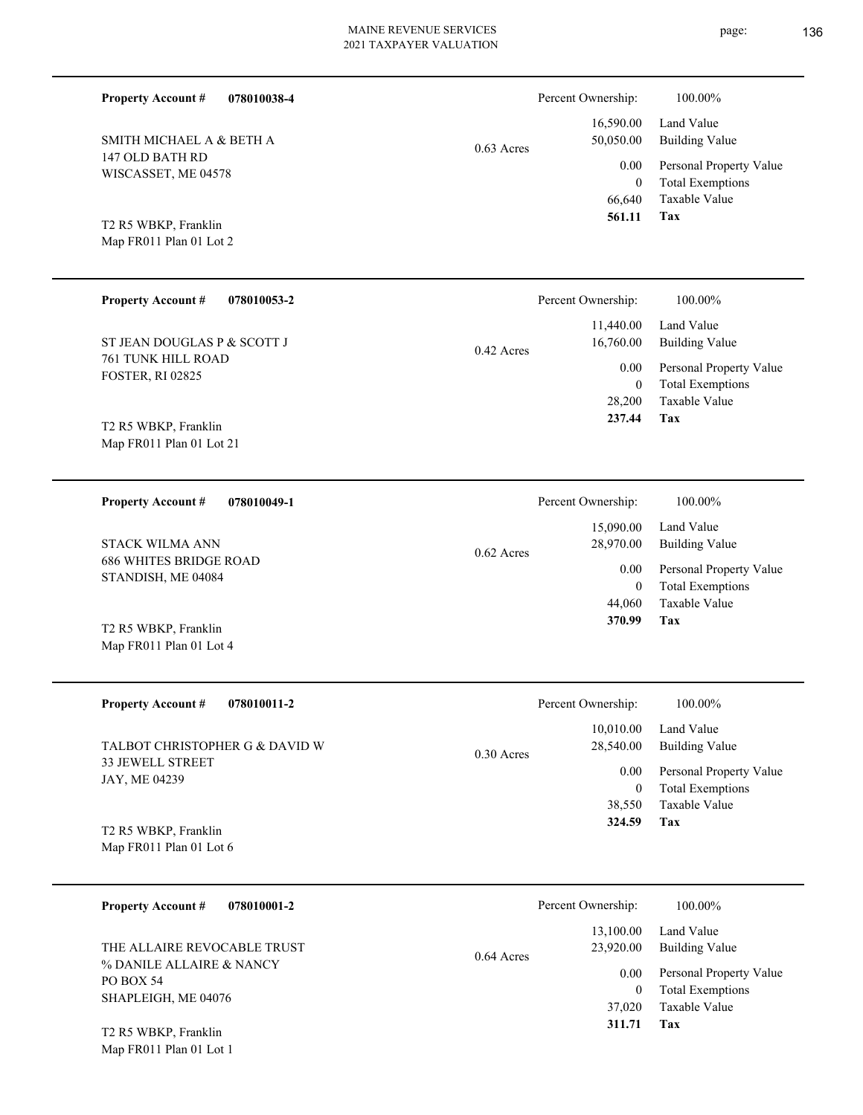| <b>Property Account #</b><br>078010038-4                     |              | Percent Ownership:             | 100.00%                                                                    |  |
|--------------------------------------------------------------|--------------|--------------------------------|----------------------------------------------------------------------------|--|
| SMITH MICHAEL A & BETH A                                     | $0.63$ Acres | 16,590.00<br>50,050.00         | Land Value<br><b>Building Value</b>                                        |  |
| 147 OLD BATH RD<br>WISCASSET, ME 04578                       |              | 0.00<br>$\mathbf{0}$           | Personal Property Value<br><b>Total Exemptions</b>                         |  |
| T2 R5 WBKP, Franklin<br>Map FR011 Plan 01 Lot 2              |              | 66,640<br>561.11               | Taxable Value<br>Tax                                                       |  |
| <b>Property Account #</b><br>078010053-2                     |              | Percent Ownership:             | 100.00%                                                                    |  |
| ST JEAN DOUGLAS P & SCOTT J                                  | $0.42$ Acres | 11,440.00<br>16,760.00         | Land Value<br><b>Building Value</b>                                        |  |
| <b>761 TUNK HILL ROAD</b><br><b>FOSTER, RI 02825</b>         |              | 0.00<br>$\mathbf{0}$<br>28,200 | Personal Property Value<br><b>Total Exemptions</b><br><b>Taxable Value</b> |  |
| T2 R5 WBKP, Franklin<br>Map FR011 Plan 01 Lot 21             |              | 237.44                         | Tax                                                                        |  |
| 078010049-1<br><b>Property Account #</b>                     |              | Percent Ownership:             | 100.00%                                                                    |  |
| <b>STACK WILMA ANN</b>                                       | $0.62$ Acres | 15,090.00<br>28,970.00         | Land Value<br><b>Building Value</b>                                        |  |
| <b>686 WHITES BRIDGE ROAD</b><br>STANDISH, ME 04084          |              | 0.00<br>$\mathbf{0}$<br>44,060 | Personal Property Value<br><b>Total Exemptions</b><br>Taxable Value        |  |
| T2 R5 WBKP, Franklin<br>Map FR011 Plan 01 Lot 4              |              | 370.99                         | Tax                                                                        |  |
| <b>Property Account #</b><br>078010011-2                     |              | Percent Ownership:             | 100.00%                                                                    |  |
| TALBOT CHRISTOPHER G & DAVID W                               | $0.30$ Acres | 10,010.00<br>28,540.00         | Land Value<br><b>Building Value</b>                                        |  |
| 33 JEWELL STREET<br>JAY, ME 04239                            |              | 0.00<br>$\boldsymbol{0}$       | Personal Property Value<br><b>Total Exemptions</b>                         |  |
| T2 R5 WBKP, Franklin<br>Map FR011 Plan 01 Lot 6              |              | 38,550<br>324.59               | Taxable Value<br>Tax                                                       |  |
| <b>Property Account #</b><br>078010001-2                     |              | Percent Ownership:             | 100.00%                                                                    |  |
| THE ALLAIRE REVOCABLE TRUST                                  |              | 13,100.00<br>23,920.00         | Land Value<br><b>Building Value</b>                                        |  |
| % DANILE ALLAIRE & NANCY<br>PO BOX 54<br>SHAPLEIGH, ME 04076 | $0.64$ Acres | 0.00<br>$\boldsymbol{0}$       | Personal Property Value<br><b>Total Exemptions</b>                         |  |
| T2 R5 WBKP, Franklin<br>Map FR011 Plan 01 Lot 1              |              | 37,020<br>311.71               | Taxable Value<br>Tax                                                       |  |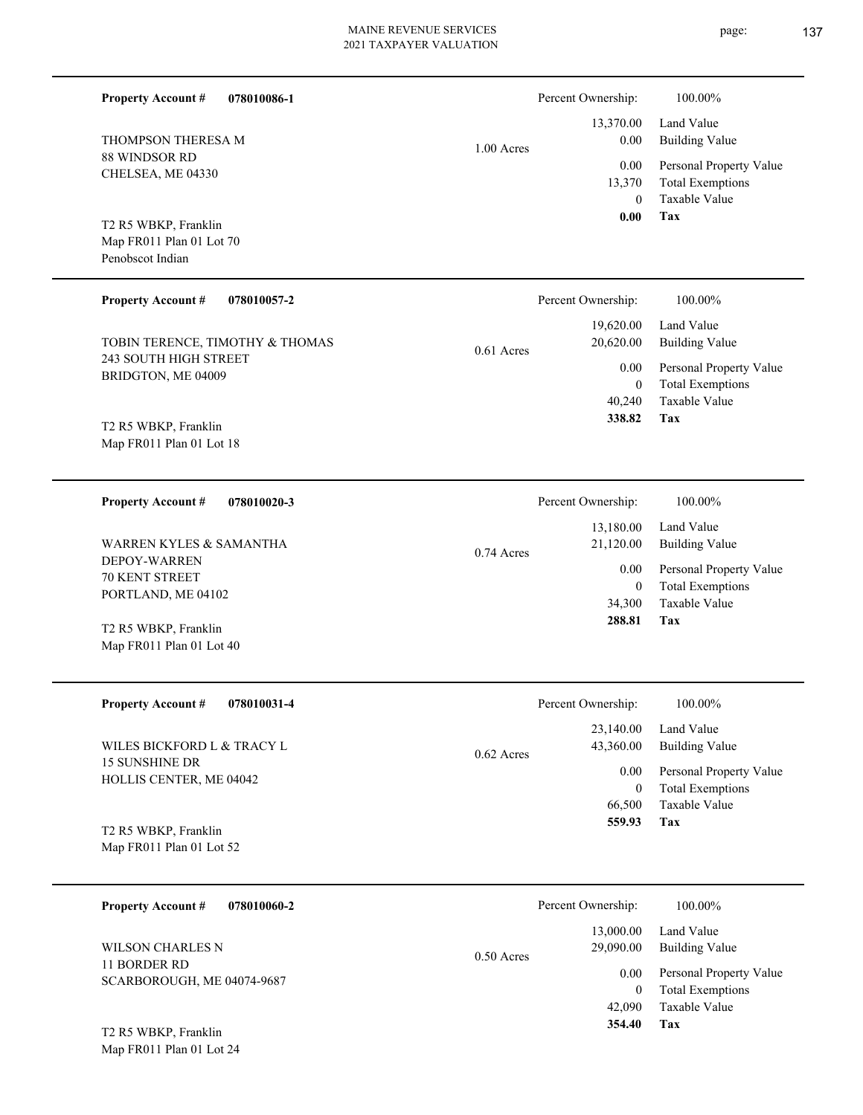▃

page: **137** 

| <b>Property Account #</b><br>THOMPSON THERESA M<br>88 WINDSOR RD<br>CHELSEA, ME 04330           | 078010086-1 | 1.00 Acres   | Percent Ownership:<br>13,370.00<br>0.00<br>0.00<br>13,370 | 100.00%<br>Land Value<br><b>Building Value</b><br>Personal Property Value<br><b>Total Exemptions</b> |
|-------------------------------------------------------------------------------------------------|-------------|--------------|-----------------------------------------------------------|------------------------------------------------------------------------------------------------------|
| T2 R5 WBKP, Franklin<br>Map FR011 Plan 01 Lot 70<br>Penobscot Indian                            |             |              | $\overline{0}$<br>0.00                                    | Taxable Value<br>Tax                                                                                 |
| <b>Property Account #</b>                                                                       | 078010057-2 |              | Percent Ownership:                                        | 100.00%                                                                                              |
| TOBIN TERENCE, TIMOTHY & THOMAS                                                                 |             | $0.61$ Acres | 19,620.00<br>20,620.00                                    | Land Value<br><b>Building Value</b>                                                                  |
| 243 SOUTH HIGH STREET<br>BRIDGTON, ME 04009<br>T2 R5 WBKP, Franklin<br>Map FR011 Plan 01 Lot 18 |             |              | 0.00<br>$\boldsymbol{0}$<br>40,240<br>338.82              | Personal Property Value<br><b>Total Exemptions</b><br>Taxable Value<br>Tax                           |
| <b>Property Account #</b>                                                                       | 078010020-3 |              | Percent Ownership:                                        | 100.00%                                                                                              |
| <b>WARREN KYLES &amp; SAMANTHA</b>                                                              |             | $0.74$ Acres | 13,180.00<br>21,120.00                                    | Land Value<br><b>Building Value</b>                                                                  |
| <b>DEPOY-WARREN</b><br><b>70 KENT STREET</b><br>PORTLAND, ME 04102                              |             |              | 0.00<br>$\mathbf{0}$<br>34,300                            | Personal Property Value<br><b>Total Exemptions</b><br>Taxable Value                                  |
| T2 R5 WBKP, Franklin<br>Map FR011 Plan 01 Lot 40                                                |             |              | 288.81                                                    | Tax                                                                                                  |
| <b>Property Account #</b>                                                                       | 078010031-4 |              | Percent Ownership:                                        | 100.00%                                                                                              |
| WILES BICKFORD L & TRACY L                                                                      |             | 0.62 Acres   | 23,140.00<br>43,360.00                                    | Land Value<br><b>Building Value</b>                                                                  |
| 15 SUNSHINE DR<br>HOLLIS CENTER, ME 04042                                                       |             |              | 0.00<br>$\overline{0}$<br>66,500<br>559.93                | Personal Property Value<br><b>Total Exemptions</b><br>Taxable Value<br>Tax                           |
| T2 R5 WBKP, Franklin<br>Map FR011 Plan 01 Lot 52                                                |             |              |                                                           |                                                                                                      |
| <b>Property Account #</b>                                                                       | 078010060-2 |              | Percent Ownership:                                        | 100.00%                                                                                              |
| <b>WILSON CHARLES N</b>                                                                         |             | 0.50 Acres   | 13,000.00<br>29,090.00                                    | Land Value<br><b>Building Value</b>                                                                  |
| 11 BORDER RD<br>SCARBOROUGH, ME 04074-9687                                                      |             |              | 0.00<br>$\overline{0}$<br>42,090<br>354.40                | Personal Property Value<br><b>Total Exemptions</b><br>Taxable Value<br>Tax                           |
| T2 R5 WBKP, Franklin<br>Map FR011 Plan 01 Lot 24                                                |             |              |                                                           |                                                                                                      |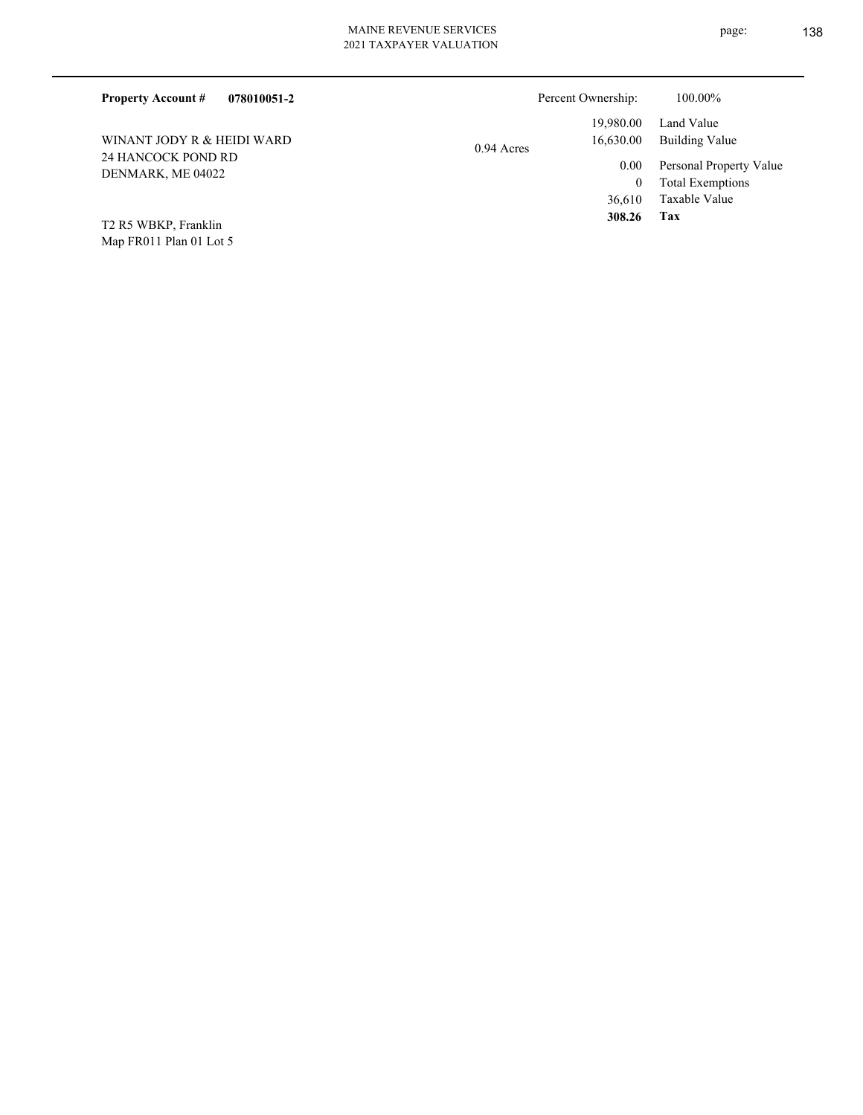Map FR011 Plan 01 Lot 5 T2 R5 WBKP, Franklin

**Tax**

 **308.26**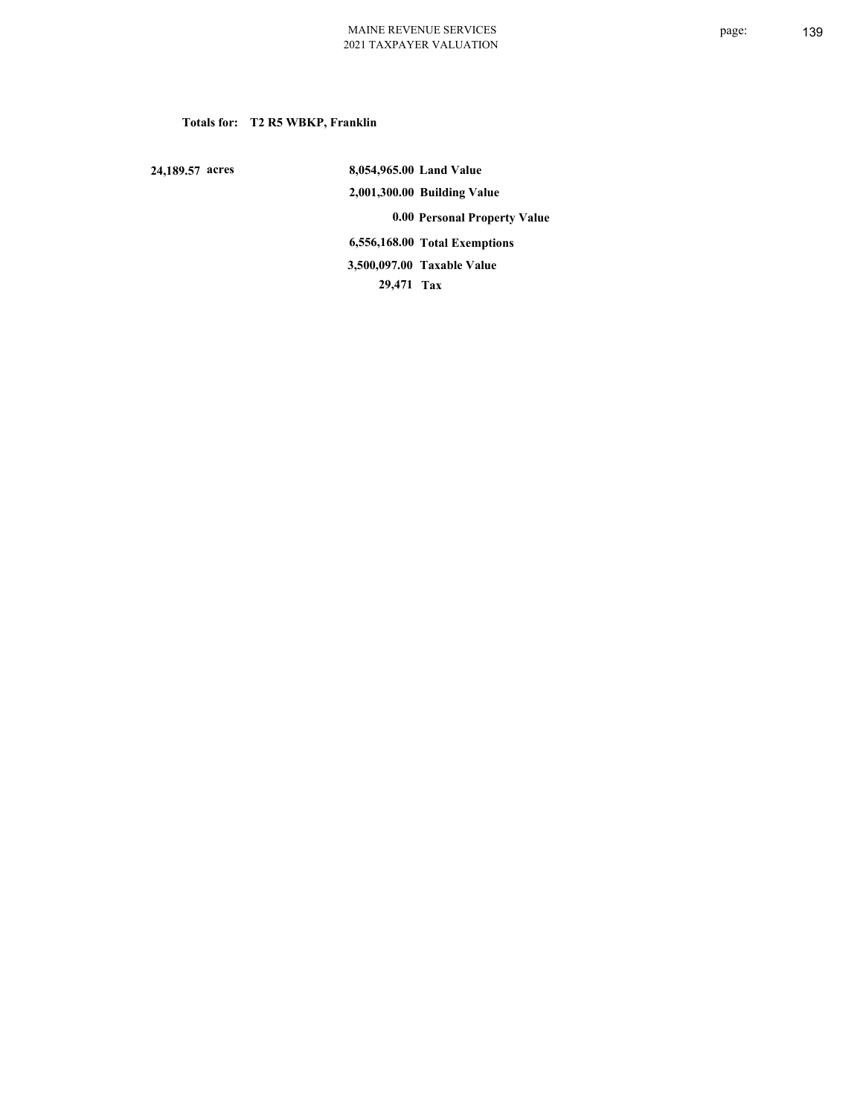### **Totals for: T2 R5 WBKP, Franklin**

 **24,189.57 acres**

 **8,054,965.00 Land Value 2,001,300.00 Building Value 0.00 Personal Property Value 6,556,168.00 Total Exemptions 29,471 Tax Taxable Value 3,500,097.00**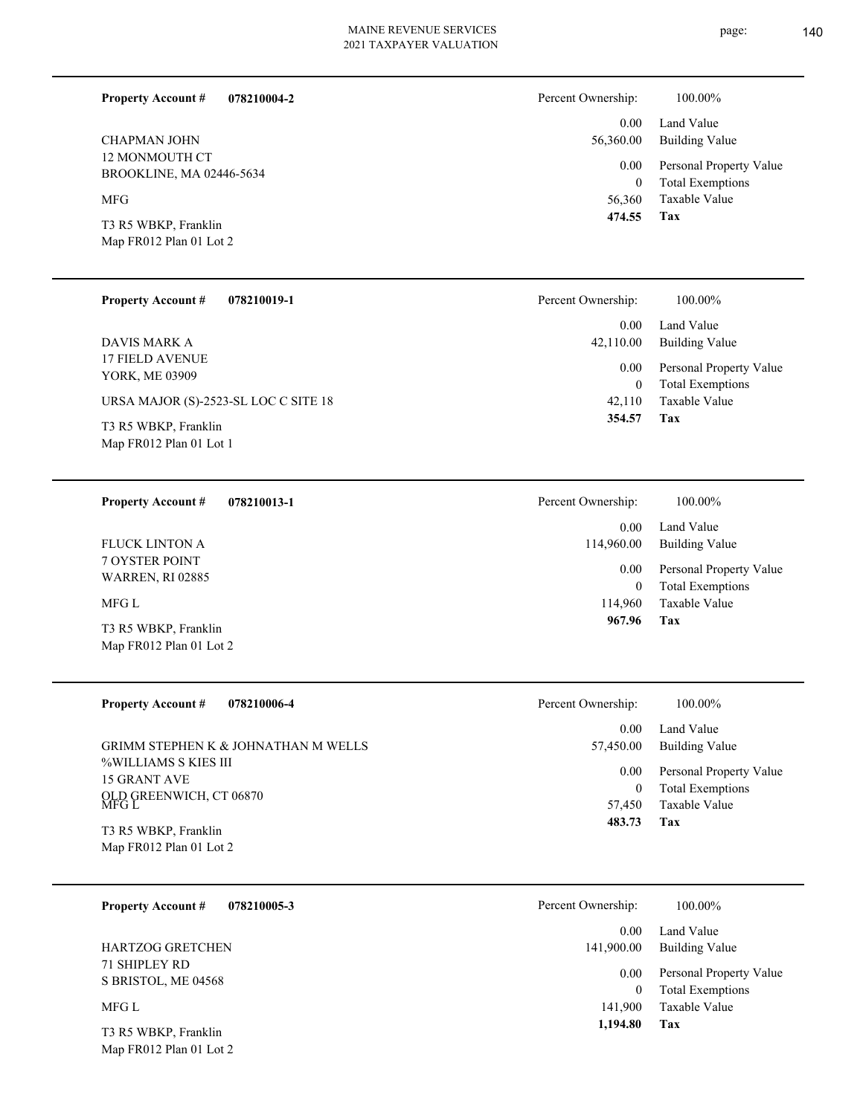page: 140

**Tax**

 114,960 0

0.00

114,960.00

 **967.96**

0.00 Land Value

Taxable Value Total Exemptions Personal Property Value

Building Value

| 078210004-2<br><b>Property Account #</b> | Percent Ownership: | 100.00%                                         |
|------------------------------------------|--------------------|-------------------------------------------------|
|                                          | 0.00               | Land Value                                      |
| <b>CHAPMAN JOHN</b>                      | 56,360.00          | <b>Building Value</b>                           |
| 12 MONMOUTH CT                           | 0.00               | Personal Property Value                         |
| BROOKLINE, MA 02446-5634                 | $\theta$           | <b>Total Exemptions</b>                         |
| <b>MFG</b>                               | 56,360             | Taxable Value                                   |
|                                          | 474.55             | Tax                                             |
| T3 R5 WBKP, Franklin                     |                    |                                                 |
| Map FR012 Plan 01 Lot 2                  |                    |                                                 |
|                                          |                    |                                                 |
| <b>Property Account #</b><br>078210019-1 | Percent Ownership: | 100.00%                                         |
|                                          | 0.00               | Land Value                                      |
| DAVIS MARK A                             | 42,110.00          | <b>Building Value</b>                           |
| <b>17 FIELD AVENUE</b>                   |                    |                                                 |
| YORK, ME 03909                           | 0.00               | Personal Property Value                         |
|                                          | $\Omega$<br>42,110 | <b>Total Exemptions</b><br><b>Taxable Value</b> |
| URSA MAJOR (S)-2523-SL LOC C SITE 18     | 354.57             | Tax                                             |
| T3 R5 WBKP, Franklin                     |                    |                                                 |
| Map FR012 Plan 01 Lot 1                  |                    |                                                 |
|                                          |                    |                                                 |
| 078210013-1<br><b>Property Account #</b> | Percent Ownership: | 100.00%                                         |

7 OYSTER POINT WARREN, RI 02885 FLUCK LINTON A

MFG L

Map FR012 Plan 01 Lot 2 T3 R5 WBKP, Franklin

| <b>Property Account #</b><br>078210006-4 | Percent Ownership: | 100.00%                 |
|------------------------------------------|--------------------|-------------------------|
| GRIMM STEPHEN K & JOHNATHAN M WELLS      | 0.00               | Land Value              |
| %WILLIAMS S KIES III                     | 57,450.00          | Building Value          |
| 15 GRANT AVE                             | 0.00               | Personal Property Value |
| OLD GREENWICH, CT 06870<br>MFG L         | 0                  | <b>Total Exemptions</b> |
| T3 R5 WBKP, Franklin                     | 57.450             | Taxable Value           |
| Map FR012 Plan 01 Lot 2                  | 483.73             | Tax                     |

| <b>Property Account #</b><br>078210005-3    | Percent Ownership:<br>100.00%                              |  |
|---------------------------------------------|------------------------------------------------------------|--|
|                                             | Land Value<br>0.00                                         |  |
| <b>HARTZOG GRETCHEN</b>                     | <b>Building Value</b><br>141,900.00                        |  |
| <b>71 SHIPLEY RD</b><br>S BRISTOL, ME 04568 | Personal Property Value<br>0.00<br><b>Total Exemptions</b> |  |
| MFG L                                       | Taxable Value<br>141,900                                   |  |
| T3 R5 WBKP, Franklin                        | 1,194.80<br>Tax                                            |  |

Map FR012 Plan 01 Lot 2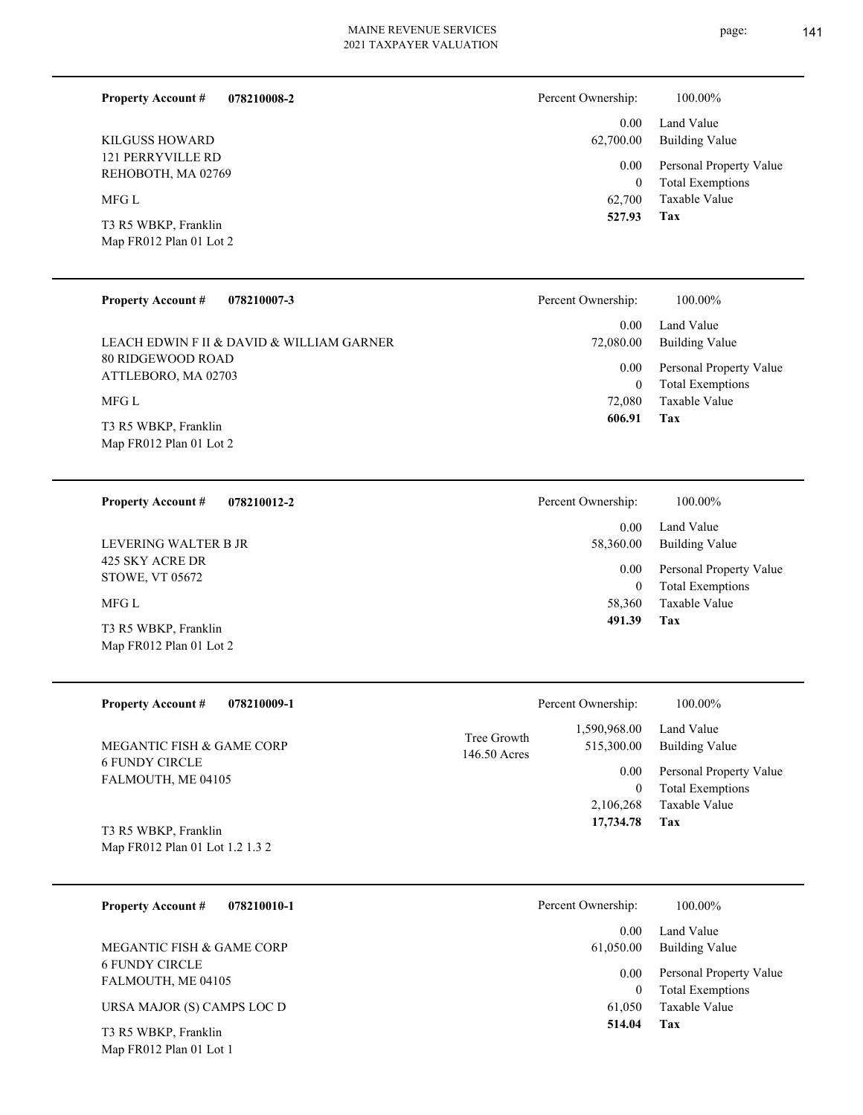| 078210008-2<br><b>Property Account #</b>        | Percent Ownership:   | $100.00\%$                                         |  |
|-------------------------------------------------|----------------------|----------------------------------------------------|--|
| <b>KILGUSS HOWARD</b>                           | 0.00<br>62,700.00    | Land Value<br><b>Building Value</b>                |  |
| <b>121 PERRYVILLE RD</b><br>REHOBOTH, MA 02769  | 0.00<br>$\mathbf{0}$ | Personal Property Value<br><b>Total Exemptions</b> |  |
| MFG L                                           | 62,700               | Taxable Value                                      |  |
| T3 R5 WBKP, Franklin<br>Map FR012 Plan 01 Lot 2 | 527.93               | Tax                                                |  |
| <b>Property Account #</b><br>078210007-3        | Percent Ownership:   | 100.00%                                            |  |

| LEACH EDWIN F II & DAVID & WILLIAM GARNER<br>80 RIDGEWOOD ROAD | 0.00 <sub>1</sub><br>Land Value<br>72,080.00<br>Building Value<br>$0.00\,$<br>Personal Property Value |                                          |  |
|----------------------------------------------------------------|-------------------------------------------------------------------------------------------------------|------------------------------------------|--|
| ATTLEBORO, MA 02703<br>MFG L                                   | $\theta$<br>72,080                                                                                    | <b>Total Exemptions</b><br>Taxable Value |  |
| T3 R5 WBKP, Franklin<br>Map FR012 Plan 01 Lot 2                | 606.91                                                                                                | Tax                                      |  |
| 078210012-2<br><b>Property Account #</b>                       | Percent Ownership:                                                                                    | 100.00%                                  |  |
|                                                                | 0.00                                                                                                  | Land Value                               |  |
| LEVERING WALTER B JR                                           | 58,360.00                                                                                             | <b>Building Value</b>                    |  |
| 425 SKY ACRE DR                                                |                                                                                                       |                                          |  |

STOWE, VT 05672

MFG L

Map FR012 Plan 01 Lot 2 T3 R5 WBKP, Franklin

Map FR012 Plan 01 Lot 1

**Tax 491.39** Taxable Value Total Exemptions 0.00 Personal Property Value 58,360 0

| <b>Property Account #</b><br>078210009-1                | Percent Ownership:                                        | 100.00%                                            |
|---------------------------------------------------------|-----------------------------------------------------------|----------------------------------------------------|
| MEGANTIC FISH & GAME CORP                               | 1,590,968.00<br>Tree Growth<br>515,300.00<br>146.50 Acres | Land Value<br>Building Value                       |
| <b>6 FUNDY CIRCLE</b><br>FALMOUTH, ME 04105             | 0.00<br>0                                                 | Personal Property Value<br><b>Total Exemptions</b> |
|                                                         | 2.106.268                                                 | Taxable Value                                      |
| T3 R5 WBKP, Franklin<br>Map FR012 Plan 01 Lot 1.2 1.3 2 | 17,734.78                                                 | Tax                                                |

| 078210010-1<br><b>Property Account #</b>    | Percent Ownership:<br>100.00%                              |  |
|---------------------------------------------|------------------------------------------------------------|--|
|                                             | Land Value<br>0.00                                         |  |
| MEGANTIC FISH & GAME CORP                   | Building Value<br>61,050.00                                |  |
| <b>6 FUNDY CIRCLE</b><br>FALMOUTH, ME 04105 | Personal Property Value<br>0.00<br><b>Total Exemptions</b> |  |
| URSA MAJOR (S) CAMPS LOC D                  | Taxable Value<br>61,050                                    |  |
| T3 R5 WBKP, Franklin                        | 514.04<br>Tax                                              |  |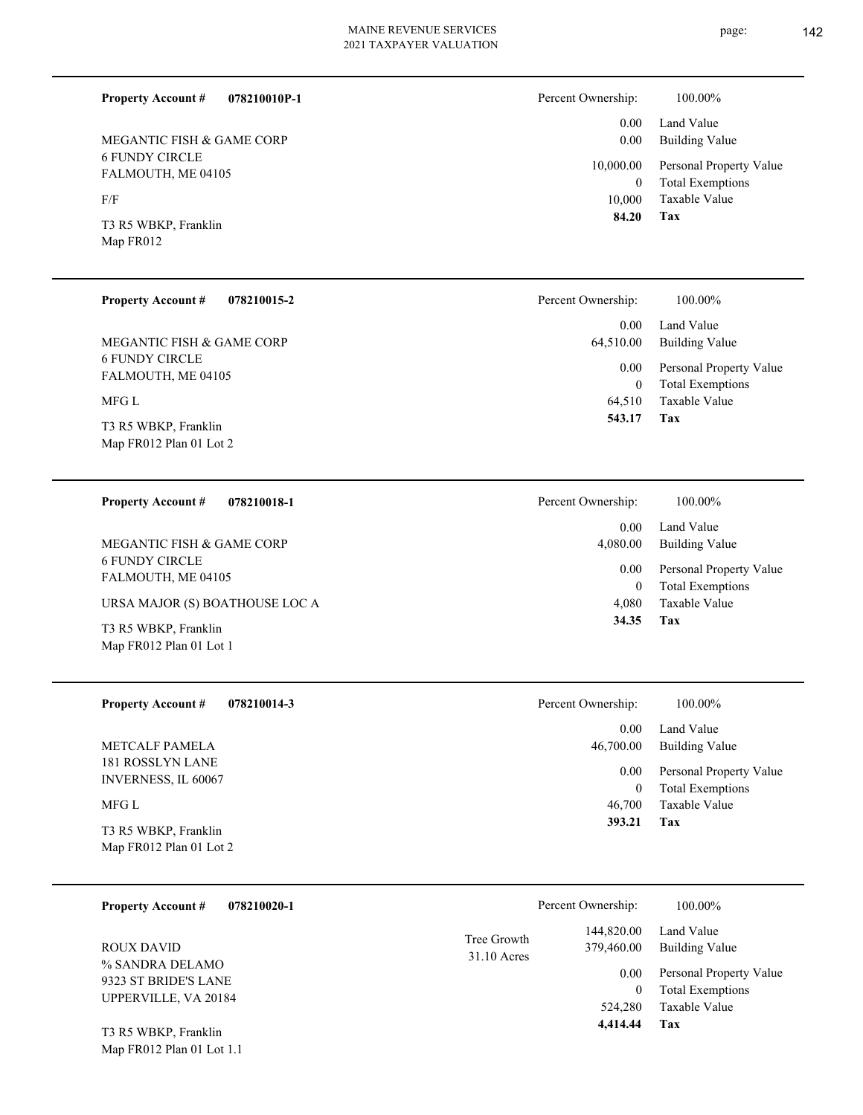| 078210010P-1<br><b>Property Account #</b>   | Percent Ownership:    | 100.00%                     |
|---------------------------------------------|-----------------------|-----------------------------|
|                                             | 0.00                  | Land Value                  |
| MEGANTIC FISH & GAME CORP                   | 0.00                  | Building Va                 |
| <b>6 FUNDY CIRCLE</b><br>FALMOUTH, ME 04105 | 10,000.00<br>$\bf{0}$ | Personal Pro<br>Total Exemp |
| F/F                                         | 10.000                | Taxable Val                 |
| T3 R5 WBKP, Franklin<br>Map FR012           | 84.20                 | Tax                         |

|  | <b>Property Account #</b> | 078210015-2 |
|--|---------------------------|-------------|
|--|---------------------------|-------------|

6 FUNDY CIRCLE FALMOUTH, ME 04105 MEGANTIC FISH & GAME CORP

MFG L

Map FR012 Plan 01 Lot 2 T3 R5 WBKP, Franklin

# **078210018-1 Property Account #**

6 FUNDY CIRCLE FALMOUTH, ME 04105 MEGANTIC FISH & GAME CORP

URSA MAJOR (S) BOATHOUSE LOC A

Map FR012 Plan 01 Lot 1 T3 R5 WBKP, Franklin

#### **078210014-3 Property Account #**

181 ROSSLYN LANE INVERNESS, IL 60067 METCALF PAMELA

### MFG L

Map FR012 Plan 01 Lot 2 T3 R5 WBKP, Franklin

Map FR012 Plan 01 Lot 1.1

| 078210020-1<br><b>Property Account #</b>                        |                              | Percent Ownership:       | 100.00%                                            |
|-----------------------------------------------------------------|------------------------------|--------------------------|----------------------------------------------------|
| <b>ROUX DAVID</b>                                               | Tree Growth<br>$31.10$ Acres | 144,820.00<br>379,460.00 | Land Value<br>Building Value                       |
| % SANDRA DELAMO<br>9323 ST BRIDE'S LANE<br>UPPERVILLE, VA 20184 |                              | 0.00<br>0                | Personal Property Value<br><b>Total Exemptions</b> |
| T3 R5 WBKP, Franklin                                            |                              | 524,280<br>4,414.44      | Taxable Value<br>Tax                               |

|          | 0.00 Land Value<br>0.00 Building Value          |
|----------|-------------------------------------------------|
|          | 10,000.00 Personal Property Value               |
| $\Omega$ | <b>Total Exemptions</b><br>10,000 Taxable Value |

Percent

Percent

| Ownership: | 100.00%                 |
|------------|-------------------------|
| 0.00       | Land Value              |
| 64,510.00  | <b>Building Value</b>   |
| 0.00       | Personal Property Value |
| 0          | <b>Total Exemptions</b> |
| 64,510     | Taxable Value           |
| 543.17     | Tax                     |

| Ownership: | 100.00%                 |
|------------|-------------------------|
| 0.00       | Land Value              |
| 4,080.00   | Building Value          |
| 0.00       | Personal Property Value |
| $\Omega$   | <b>Total Exemptions</b> |
| 4,080      | Taxable Value           |
| 34.35      | Tax                     |
|            |                         |

| Percent Ownership: | 100.00%                 |
|--------------------|-------------------------|
| $0.00 -$           | Land Value              |
| 46,700.00          | <b>Building Value</b>   |
| $0.00\,$           | Personal Property Value |
| $\theta$           | <b>Total Exemptions</b> |
| 46,700             | Taxable Value           |
| 393.21             | Tax                     |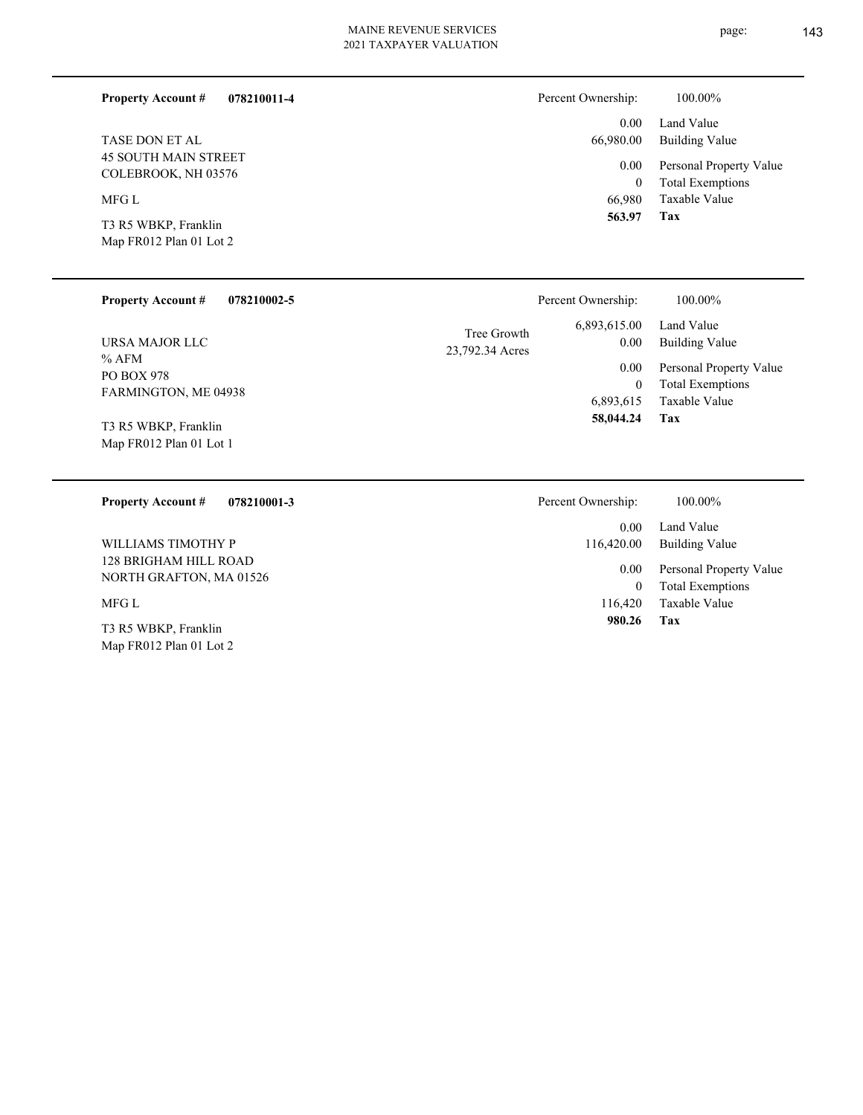#### **078210011-4 Property Account #**

45 SOUTH MAIN STREET COLEBROOK, NH 03576 TASE DON ET AL

MFG L

Map FR012 Plan 01 Lot 2 T3 R5 WBKP, Franklin

#### Land Value 0.00 Percent Ownership:  $100.00\%$

| v.w       | Land value              |
|-----------|-------------------------|
| 66,980.00 | Building Value          |
| $0.00\,$  | Personal Property Value |
| 0         | <b>Total Exemptions</b> |
| 66,980    | Taxable Value           |
| 563.97    | Tax                     |

**Tax**

 **980.26**

| <b>Property Account #</b><br>078210002-5             | Percent Ownership:                                         | 100.00%                                                             |
|------------------------------------------------------|------------------------------------------------------------|---------------------------------------------------------------------|
| URSA MAJOR LLC                                       | 6,893,615.00<br>Tree Growth<br>$0.00\,$<br>23,792.34 Acres | Land Value<br><b>Building Value</b>                                 |
| $%$ AFM<br><b>PO BOX 978</b><br>FARMINGTON, ME 04938 | $0.00\,$<br>$\theta$<br>6,893,615                          | Personal Property Value<br><b>Total Exemptions</b><br>Taxable Value |
| T3 R5 WBKP, Franklin<br>Map FR012 Plan 01 Lot 1      | 58,044.24                                                  | Tax                                                                 |
| 078210001-3<br><b>Property Account #</b>             | Percent Ownership:                                         | 100.00%                                                             |
|                                                      | 0.00                                                       | Land Value                                                          |
| WILLIAMS TIMOTHY P                                   | 116,420.00                                                 | <b>Building Value</b>                                               |
| 128 BRIGHAM HILL ROAD<br>NORTH GRAFTON, MA 01526     | $0.00\,$<br>$\overline{0}$                                 | Personal Property Value<br><b>Total Exemptions</b>                  |
| MFG L                                                | 116,420                                                    | Taxable Value                                                       |

Map FR012 Plan 01 Lot 2 T3 R5 WBKP, Franklin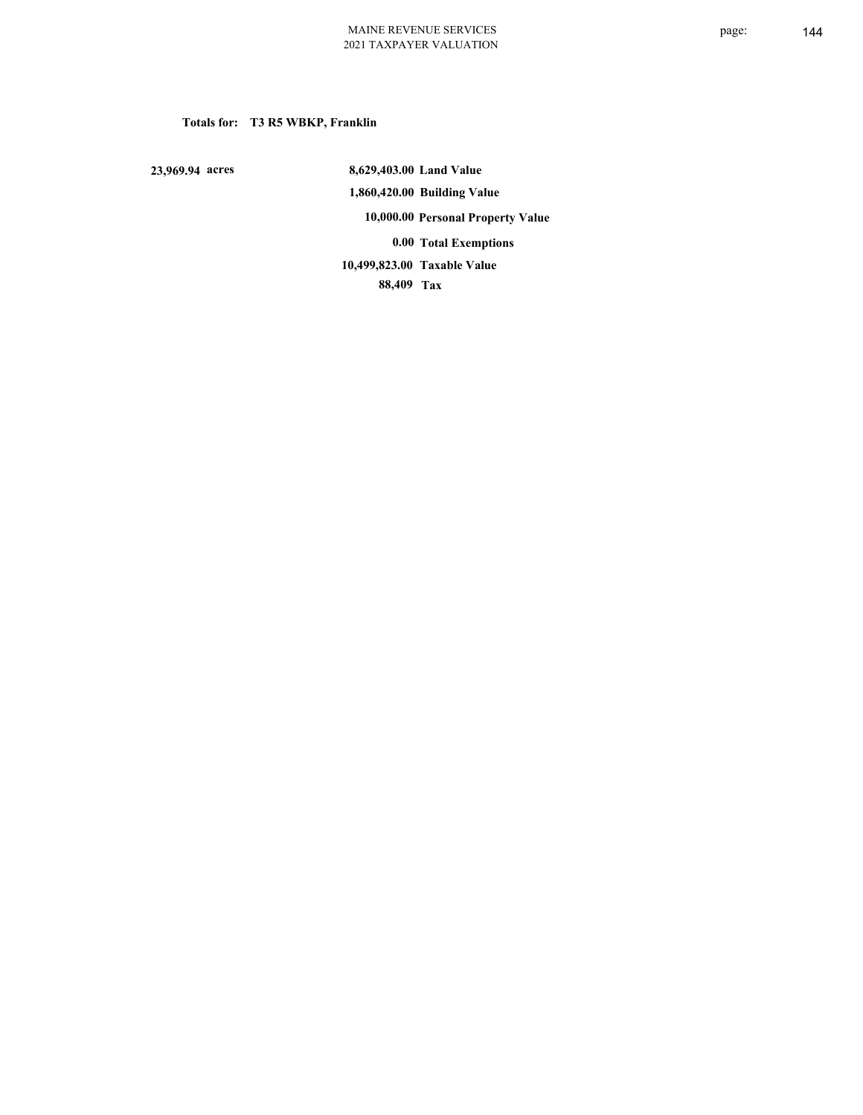### **Totals for: T3 R5 WBKP, Franklin**

 **23,969.94 acres**

 **8,629,403.00 Land Value 1,860,420.00 Building Value 10,000.00 Personal Property Value 0.00 Total Exemptions 88,409 Tax Taxable Value 10,499,823.00**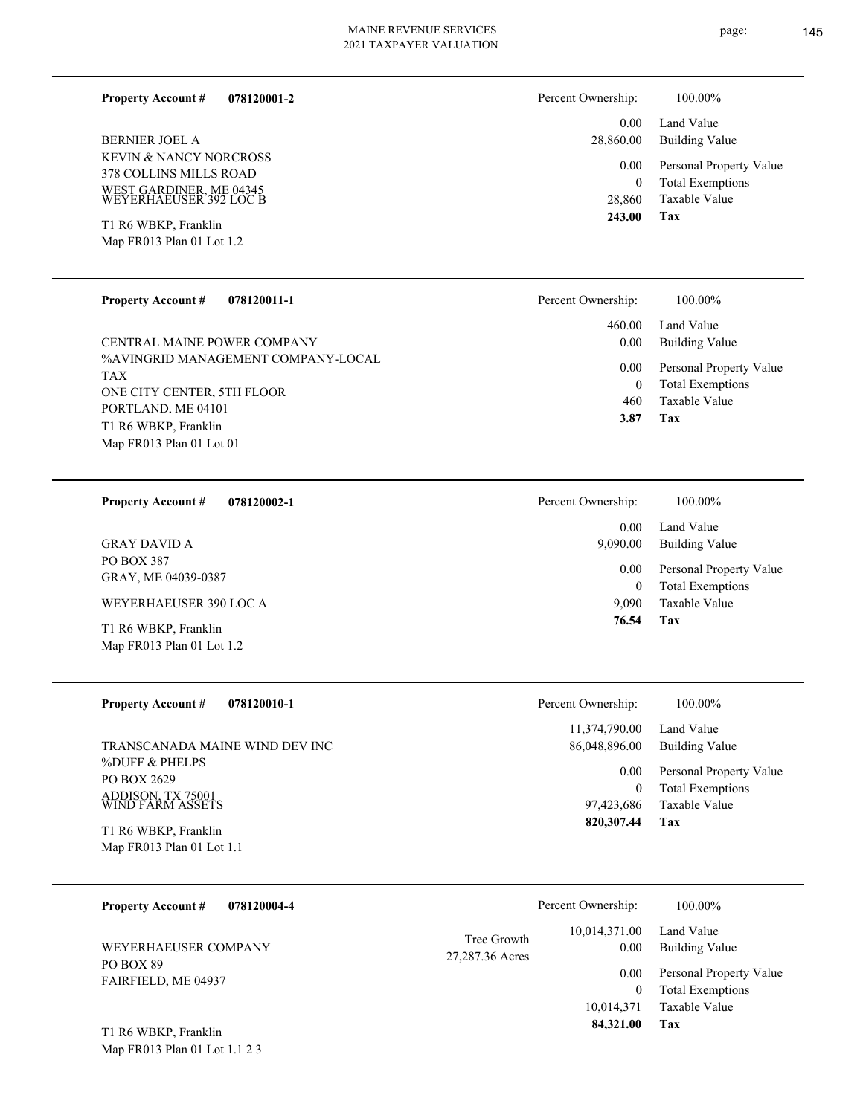**078120001-2 Property Account #**

KEVIN & NANCY NORCROSS 378 COLLINS MILLS ROAD WEST GARDINER, ME 04345 WEYERHAEUSER 392 LOC B BERNIER JOEL A

Map FR013 Plan 01 Lot 1.2 T1 R6 WBKP, Franklin

#### **078120011-1 Property Account #**

%AVINGRID MANAGEMENT COMPANY-LOCAL TAX ONE CITY CENTER, 5TH FLOOR PORTLAND, ME 04101 Map FR013 Plan 01 Lot 01 T1 R6 WBKP, Franklin CENTRAL MAINE POWER COMPANY

**078120002-1 Property Account #**

PO BOX 387 GRAY, ME 04039-0387 GRAY DAVID A

WEYERHAEUSER 390 LOC A

Map FR013 Plan 01 Lot 1.2 T1 R6 WBKP, Franklin

**078120010-1 Property Account #**

%DUFF & PHELPS PO BOX 2629 ADDISON, TX 75001 WIND FARM ASSETS TRANSCANADA MAINE WIND DEV INC

Map FR013 Plan 01 Lot 1.1 T1 R6 WBKP, Franklin

| Property Account #<br>078120004-4 |                                | Percent Ownership:    | 100.00%                                                             |
|-----------------------------------|--------------------------------|-----------------------|---------------------------------------------------------------------|
| WEYERHAEUSER COMPANY              | Tree Growth<br>27,287.36 Acres | 10.014.371.00<br>0.00 | Land Value<br>Building Value                                        |
| PO BOX 89<br>FAIRFIELD, ME 04937  |                                | 0.00<br>10,014,371    | Personal Property Value<br><b>Total Exemptions</b><br>Taxable Value |

Map FR013 Plan 01 Lot 1.1 2 3 T1 R6 WBKP, Franklin

| Percent Ownership: | 100.00%                                                    |
|--------------------|------------------------------------------------------------|
| $0.00 -$           | Land Value<br>28,860.00 Building Value                     |
|                    | Personal Property Value<br>0.00<br><b>Total Exemptions</b> |

Percent

| Percent Ownership: | 100.00%                             |
|--------------------|-------------------------------------|
| $0.00\,$           | 460.00 Land Value<br>Building Value |
| $0.00\,$           | Personal Property Value             |
| 0                  | <b>Total Exemptions</b>             |
| 460                | Taxable Value                       |
| 3.87               | Tax                                 |

**Tax**

28,860

 **243.00**

Taxable Value

| 76.54      | Tax                     |
|------------|-------------------------|
| 9,090      | Taxable Value           |
| 0          | <b>Total Exemptions</b> |
| 0.00       | Personal Property Value |
| 9,090.00   | Building Value          |
| 0.00       | Land Value              |
| Ownership: | 100.00%                 |

| Percent Ownership: | 100.00%                 |
|--------------------|-------------------------|
| 11,374,790.00      | Land Value              |
| 86,048,896.00      | <b>Building Value</b>   |
| 0.00               | Personal Property Value |
| 0                  | <b>Total Exemptions</b> |
| 97,423,686         | Taxable Value           |
| 820,307.44         | Tax                     |

**Tax 84,321.00**

| 021 TAXPAYER VALUATION |  |
|------------------------|--|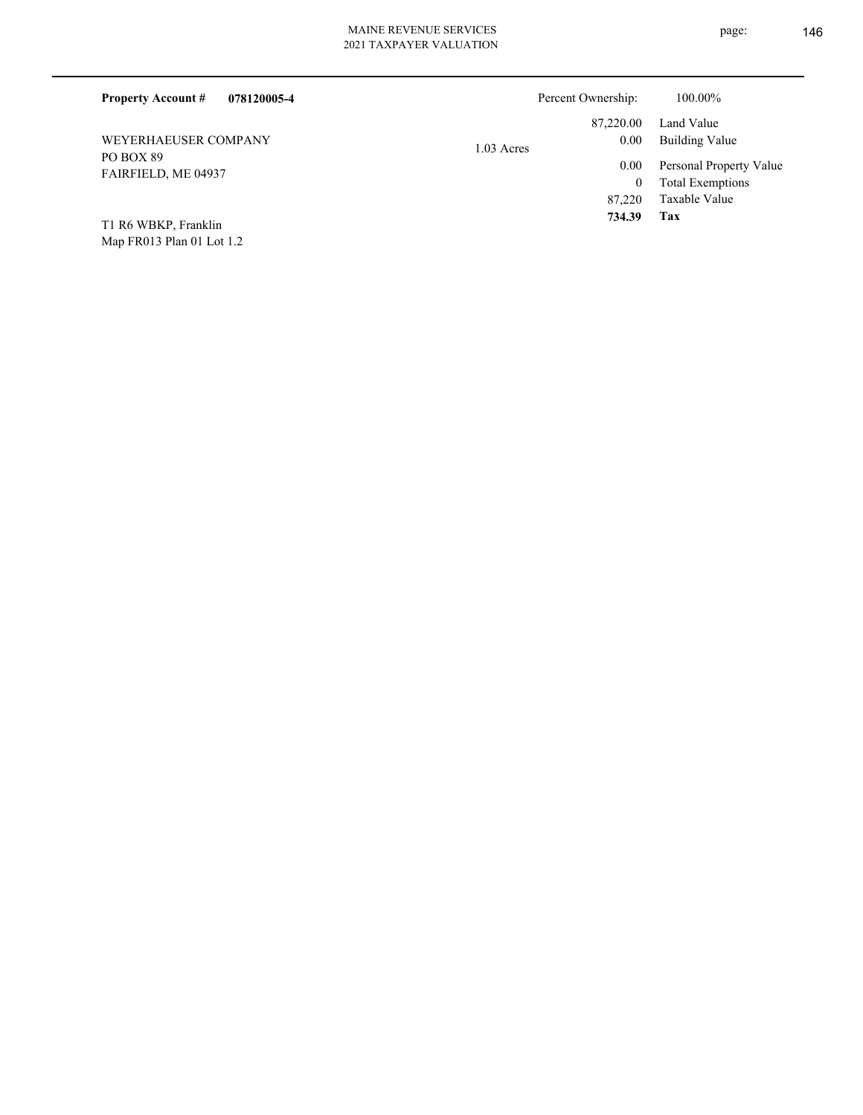| <b>Property Account #</b><br>078120005-4 | Percent Ownership:       | 100.00%                 |
|------------------------------------------|--------------------------|-------------------------|
|                                          | 87,220.00                | Land Value              |
| WEYERHAEUSER COMPANY                     | $0.00\,$<br>$1.03$ Acres | <b>Building Value</b>   |
| PO BOX 89<br>FAIRFIELD, ME 04937         | $0.00\,$                 | Personal Property Value |
|                                          | $\bf{0}$                 | <b>Total Exemptions</b> |
|                                          | 87,220                   | Taxable Value           |
| T1 R6 WBKP, Franklin                     | 734.39                   | Tax                     |

Map FR013 Plan 01 Lot 1.2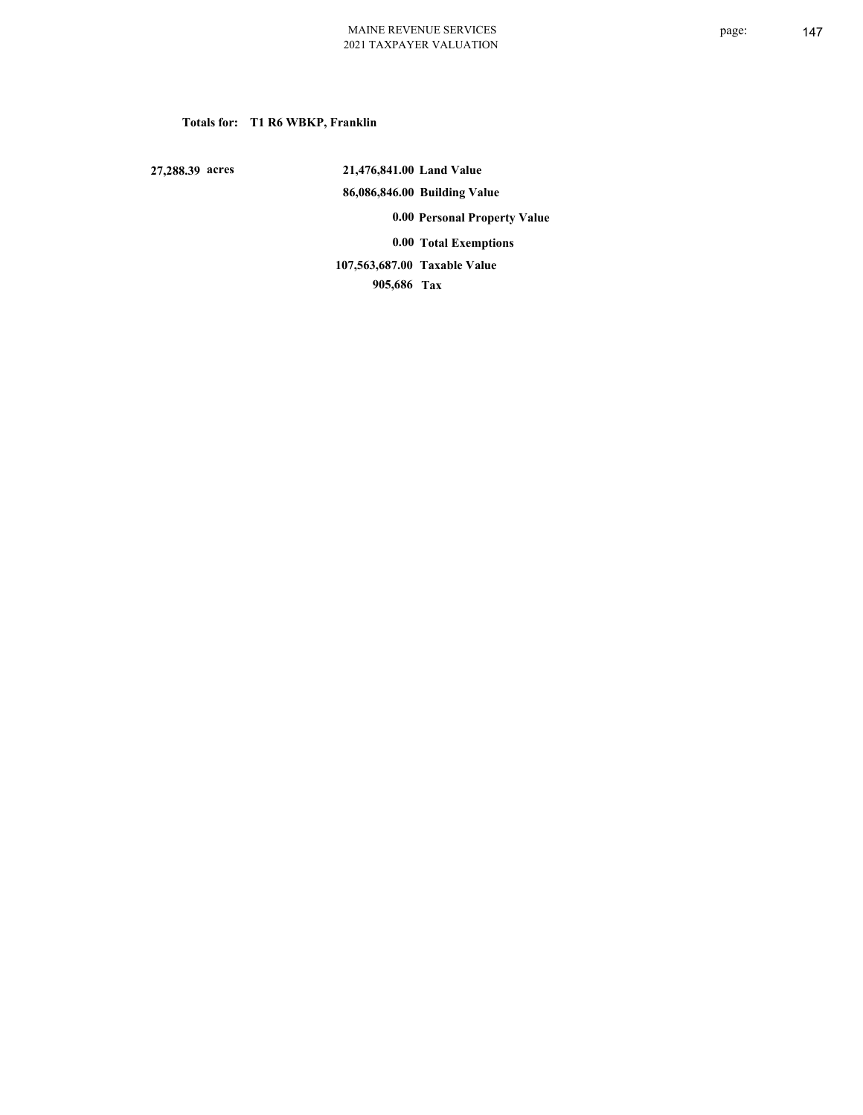# **Totals for: T1 R6 WBKP, Franklin**

 **27,288.39 acres**

 **21,476,841.00 Land Value 86,086,846.00 Building Value 0.00 Personal Property Value 0.00 Total Exemptions**

 **905,686 Tax Taxable Value 107,563,687.00**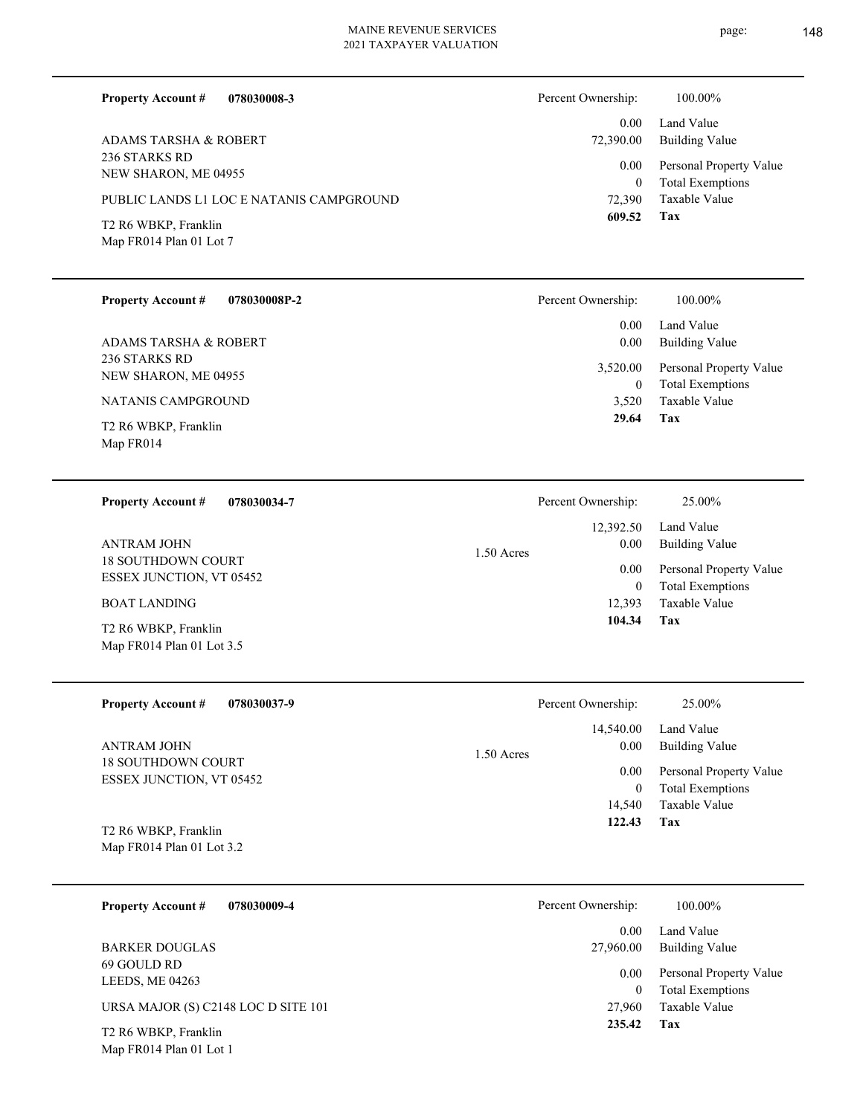**078030008-3**

**Property Account #**

Percent Ownership:  $100.00\%$ 

| <b>ADAMS TARSHA &amp; ROBERT</b><br>236 STARKS RD<br>NEW SHARON, ME 04955<br>PUBLIC LANDS L1 LOC E NATANIS CAMPGROUND<br>T2 R6 WBKP, Franklin<br>Map FR014 Plan 01 Lot 7 | 0.00<br>72,390.00<br>0.00<br>$\mathbf{0}$<br>72,390<br>609.52  | Land Value<br><b>Building Value</b><br>Personal Property Value<br><b>Total Exemptions</b><br>Taxable Value<br>Tax |
|--------------------------------------------------------------------------------------------------------------------------------------------------------------------------|----------------------------------------------------------------|-------------------------------------------------------------------------------------------------------------------|
| <b>Property Account #</b><br>078030008P-2                                                                                                                                | Percent Ownership:                                             | 100.00%                                                                                                           |
| <b>ADAMS TARSHA &amp; ROBERT</b><br>236 STARKS RD<br>NEW SHARON, ME 04955<br><b>NATANIS CAMPGROUND</b><br>T2 R6 WBKP, Franklin<br>Map FR014                              | 0.00<br>0.00<br>3,520.00<br>$\boldsymbol{0}$<br>3,520<br>29.64 | Land Value<br><b>Building Value</b><br>Personal Property Value<br><b>Total Exemptions</b><br>Taxable Value<br>Tax |
|                                                                                                                                                                          |                                                                |                                                                                                                   |
| 078030034-7<br><b>Property Account #</b>                                                                                                                                 | Percent Ownership:                                             | 25.00%                                                                                                            |
| <b>ANTRAM JOHN</b>                                                                                                                                                       | 12,392.50<br>0.00<br>1.50 Acres                                | Land Value<br><b>Building Value</b>                                                                               |
| 18 SOUTHDOWN COURT<br>ESSEX JUNCTION, VT 05452                                                                                                                           | 0.00<br>$\mathbf{0}$                                           | Personal Property Value<br><b>Total Exemptions</b>                                                                |
| <b>BOAT LANDING</b><br>T2 R6 WBKP, Franklin<br>Map FR014 Plan 01 Lot 3.5                                                                                                 | 12,393<br>104.34                                               | Taxable Value<br>Tax                                                                                              |
| <b>Property Account #</b><br>078030037-9                                                                                                                                 | Percent Ownership:                                             | 25.00%                                                                                                            |
| <b>ANTRAM JOHN</b><br>18 SOUTHDOWN COURT                                                                                                                                 | 14,540.00<br>0.00<br>1.50 Acres                                | Land Value<br><b>Building Value</b>                                                                               |
| ESSEX JUNCTION, VT 05452                                                                                                                                                 | 0.00<br>$\boldsymbol{0}$<br>14,540                             | Personal Property Value<br><b>Total Exemptions</b><br>Taxable Value                                               |
| T2 R6 WBKP, Franklin<br>Map FR014 Plan 01 Lot 3.2                                                                                                                        | 122.43                                                         | Tax                                                                                                               |
| <b>Property Account #</b><br>078030009-4                                                                                                                                 | Percent Ownership:                                             | 100.00%                                                                                                           |
| <b>BARKER DOUGLAS</b>                                                                                                                                                    | 0.00<br>27,960.00                                              | Land Value<br><b>Building Value</b>                                                                               |
| 69 GOULD RD<br>LEEDS, ME 04263                                                                                                                                           | 0.00<br>$\mathbf{0}$                                           | Personal Property Value<br><b>Total Exemptions</b>                                                                |
| URSA MAJOR (S) C2148 LOC D SITE 101<br>T2 R6 WBKP, Franklin<br>Map FR014 Plan 01 Lot 1                                                                                   | 27,960<br>235.42                                               | Taxable Value<br>Tax                                                                                              |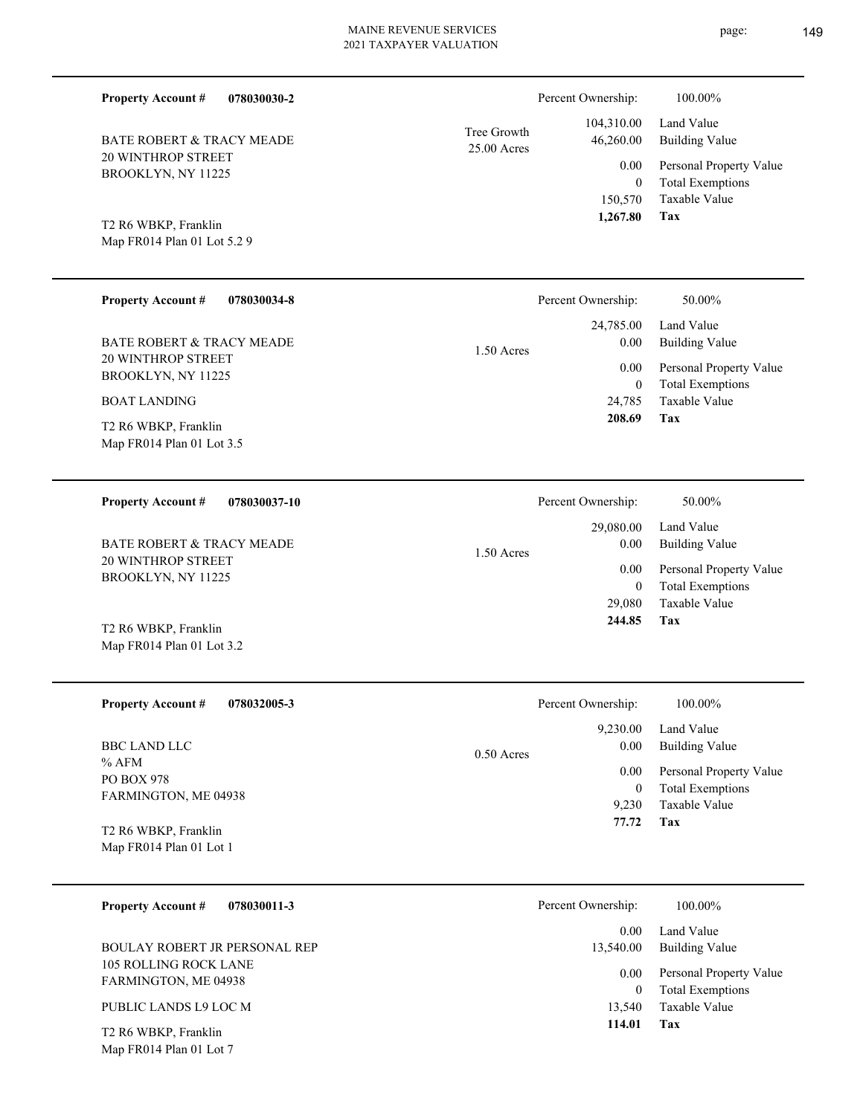| <b>Property Account #</b><br>078030030-2                                                                                                                     |                            | Percent Ownership:                                                | 100.00%                                                                                                           |
|--------------------------------------------------------------------------------------------------------------------------------------------------------------|----------------------------|-------------------------------------------------------------------|-------------------------------------------------------------------------------------------------------------------|
| <b>BATE ROBERT &amp; TRACY MEADE</b><br><b>20 WINTHROP STREET</b><br>BROOKLYN, NY 11225                                                                      | Tree Growth<br>25.00 Acres | 104,310.00<br>46,260.00<br>0.00<br>$\theta$                       | Land Value<br><b>Building Value</b><br>Personal Property Value<br><b>Total Exemptions</b><br>Taxable Value        |
| T2 R6 WBKP, Franklin<br>Map FR014 Plan 01 Lot 5.2 9                                                                                                          |                            | 150,570<br>1,267.80                                               | Tax                                                                                                               |
| <b>Property Account #</b><br>078030034-8                                                                                                                     |                            | Percent Ownership:                                                | 50.00%                                                                                                            |
| <b>BATE ROBERT &amp; TRACY MEADE</b><br>20 WINTHROP STREET<br>BROOKLYN, NY 11225<br><b>BOAT LANDING</b><br>T2 R6 WBKP, Franklin<br>Map FR014 Plan 01 Lot 3.5 | $1.50$ Acres               | 24,785.00<br>0.00<br>0.00<br>$\boldsymbol{0}$<br>24,785<br>208.69 | Land Value<br><b>Building Value</b><br>Personal Property Value<br><b>Total Exemptions</b><br>Taxable Value<br>Tax |
| <b>Property Account#</b><br>078030037-10                                                                                                                     |                            | Percent Ownership:                                                | 50.00%                                                                                                            |
| <b>BATE ROBERT &amp; TRACY MEADE</b><br><b>20 WINTHROP STREET</b><br>BROOKLYN, NY 11225                                                                      | 1.50 Acres                 | 29,080.00<br>0.00<br>0.00<br>$\mathbf{0}$                         | Land Value<br><b>Building Value</b><br>Personal Property Value<br><b>Total Exemptions</b>                         |

Map FR014 Plan 01 Lot 3.2 T2 R6 WBKP, Franklin

Map FR014 Plan 01 Lot 7

| <b>Property Account #</b><br>078032005-3        | Percent Ownership:   | 100.00%                 |
|-------------------------------------------------|----------------------|-------------------------|
|                                                 | 9,230.00             | Land Value              |
| <b>BBC LAND LLC</b><br>$%$ AFM                  | 0.00<br>$0.50$ Acres | <b>Building Value</b>   |
| <b>PO BOX 978</b>                               | 0.00                 | Personal Property Value |
| FARMINGTON, ME 04938                            | 0                    | <b>Total Exemptions</b> |
|                                                 | 9.230                | Taxable Value           |
| T2 R6 WBKP, Franklin<br>Map FR014 Plan 01 Lot 1 | 77.72                | Tax                     |

| <b>Property Account #</b><br>078030011-3      | Percent Ownership:     | 100.00%                                            |
|-----------------------------------------------|------------------------|----------------------------------------------------|
|                                               | 0.00                   | Land Value                                         |
| BOULAY ROBERT JR PERSONAL REP                 | 13,540.00              | Building Value                                     |
| 105 ROLLING ROCK LANE<br>FARMINGTON, ME 04938 | 0.00 <sub>1</sub><br>0 | Personal Property Value<br><b>Total Exemptions</b> |
| PUBLIC LANDS L9 LOC M                         | 13.540                 | Taxable Value                                      |
| T <sub>2</sub> R <sub>6</sub> WBKP, Franklin  | 114.01                 | Tax                                                |

**Tax**

29,080

 **244.85**

Taxable Value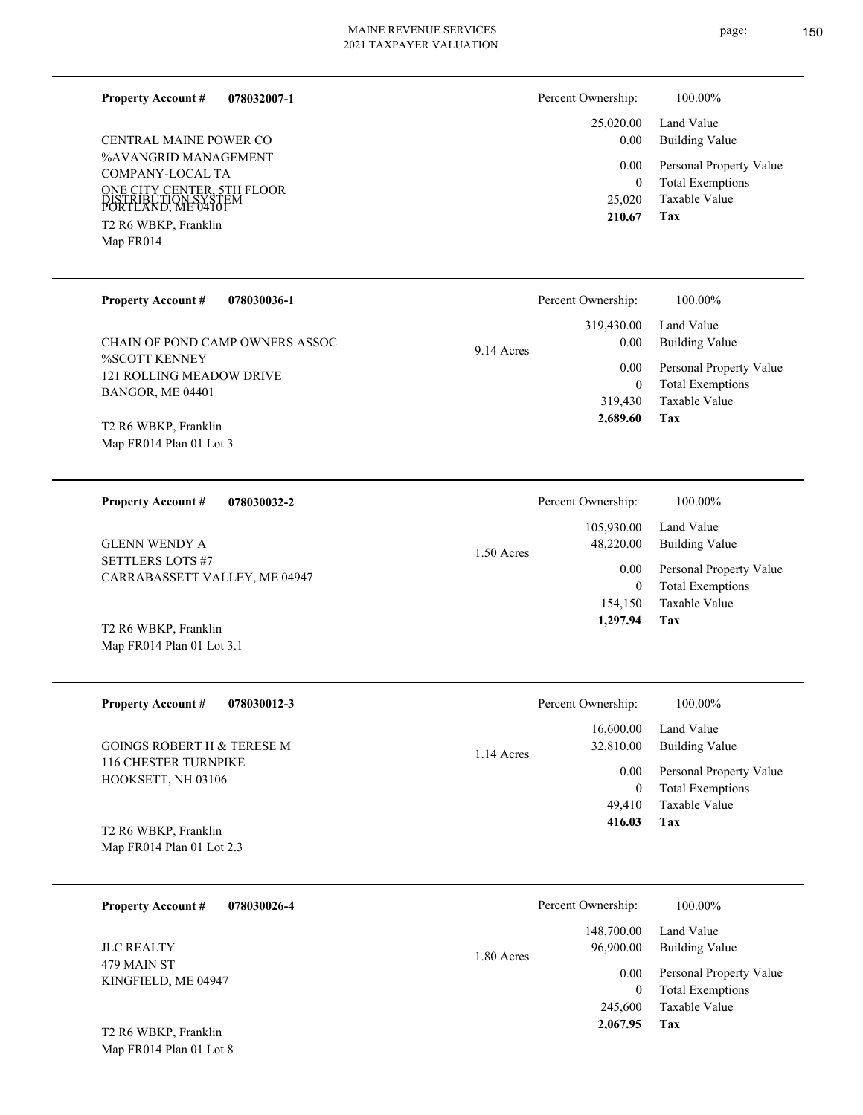#### **078032007-1 Property Account #**

%AVANGRID MANAGEMENT COMPANY-LOCAL TA ONE CITY CENTER, 5TH FLOOR PORTLAND, ME 04101 DISTRIBUTION SYSTEM Map FR014 T2 R6 WBKP, Franklin CENTRAL MAINE POWER CO

#### Building Value Land Value 25,020.00 0.00 Percent Ownership:  $100.00\%$

| 0.00   | Personal Property Value |
|--------|-------------------------|
| 0      | <b>Total Exemptions</b> |
| 25,020 | Taxable Value           |
| 210.67 | Тах                     |

**Tax**

 154,150 0

0.00

Percent Ownership:  $100.00\%$ 

 105,930.00 48,220.00

 **1,297.94**

Taxable Value Total Exemptions Personal Property Value

Building Value Land Value

| <b>Property Account #</b><br>078030036-1     | Percent Ownership: | 100.00%                 |
|----------------------------------------------|--------------------|-------------------------|
|                                              | 319,430.00         | Land Value              |
| CHAIN OF POND CAMP OWNERS ASSOC              | 0.00<br>9.14 Acres | Building Value          |
| <b>%SCOTT KENNEY</b>                         | 0.00               | Personal Property Value |
| 121 ROLLING MEADOW DRIVE<br>BANGOR, ME 04401 | $\bf{0}$           | <b>Total Exemptions</b> |
|                                              | 319,430            | Taxable Value           |
| T2 R6 WBKP, Franklin                         | 2.689.60           | Tax                     |

1.50 Acres

Map FR014 Plan 01 Lot 3 T2 R6 WBKP, Franklin

**078030032-2 Property Account #**

SETTLERS LOTS #7 CARRABASSETT VALLEY, ME 04947 GLENN WENDY A

Map FR014 Plan 01 Lot 3.1 T2 R6 WBKP, Franklin

| <b>Property Account #</b><br>078030012-3                                  | Percent Ownership:                     | 100.00%                                            |
|---------------------------------------------------------------------------|----------------------------------------|----------------------------------------------------|
| <b>GOINGS ROBERT H &amp; TERESE M</b>                                     | 16,600.00<br>32,810.00<br>$1.14$ Acres | Land Value<br>Building Value                       |
| <b>116 CHESTER TURNPIKE</b><br>HOOKSETT, NH 03106                         | 0.00<br>0                              | Personal Property Value<br><b>Total Exemptions</b> |
|                                                                           | 49.410                                 | Taxable Value                                      |
| T <sub>2</sub> R <sub>6</sub> WBKP, Franklin<br>Map FR014 Plan 01 Lot 2.3 | 416.03                                 | Tax                                                |

| 078030026-4<br><b>Property Account #</b> | Percent Ownership:                    | 100.00%                                            |
|------------------------------------------|---------------------------------------|----------------------------------------------------|
| <b>JLC REALTY</b>                        | 148,700.00<br>96,900.00<br>1.80 Acres | Land Value<br><b>Building Value</b>                |
| 479 MAIN ST<br>KINGFIELD, ME 04947       | 0.00                                  | Personal Property Value<br><b>Total Exemptions</b> |
|                                          | 245,600                               | Taxable Value                                      |
| T2 R6 WBKP, Franklin                     | 2,067.95                              | Tax                                                |

Map FR014 Plan 01 Lot 8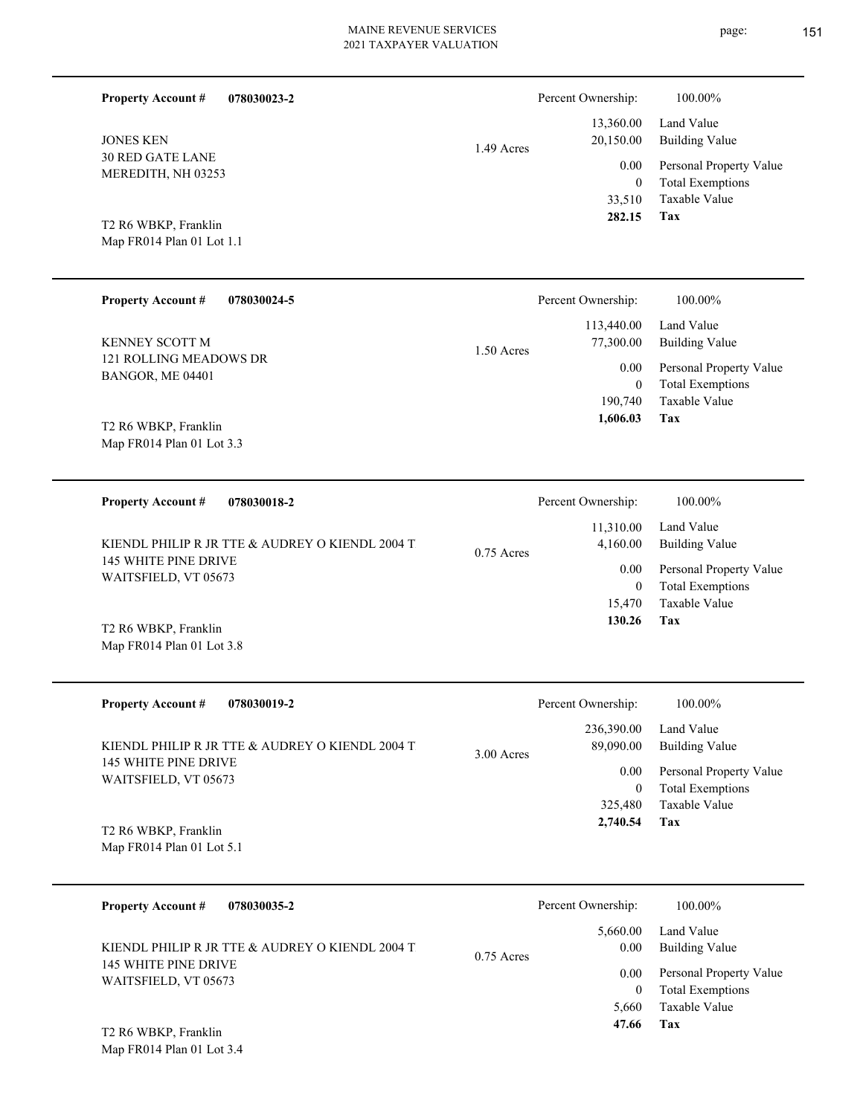▃

-

| <b>Property Account #</b><br><b>JONES KEN</b><br><b>30 RED GATE LANE</b><br>MEREDITH, NH 03253<br>T2 R6 WBKP, Franklin<br>Map FR014 Plan 01 Lot 1.1 | 078030023-2                                                     | 1.49 Acres   | Percent Ownership:<br>13,360.00<br>20,150.00<br>0.00<br>$\boldsymbol{0}$<br>33,510<br>282.15 | 100.00%<br>Land Value<br><b>Building Value</b><br>Personal Property Value<br><b>Total Exemptions</b><br>Taxable Value<br>Tax |
|-----------------------------------------------------------------------------------------------------------------------------------------------------|-----------------------------------------------------------------|--------------|----------------------------------------------------------------------------------------------|------------------------------------------------------------------------------------------------------------------------------|
| <b>Property Account #</b><br>KENNEY SCOTT M<br>121 ROLLING MEADOWS DR<br>BANGOR, ME 04401<br>T2 R6 WBKP, Franklin<br>Map FR014 Plan 01 Lot 3.3      | 078030024-5                                                     | 1.50 Acres   | Percent Ownership:<br>113,440.00<br>77,300.00<br>0.00<br>$\mathbf{0}$<br>190,740<br>1,606.03 | 100.00%<br>Land Value<br><b>Building Value</b><br>Personal Property Value<br><b>Total Exemptions</b><br>Taxable Value<br>Tax |
| <b>Property Account #</b><br>145 WHITE PINE DRIVE<br>WAITSFIELD, VT 05673<br>T2 R6 WBKP, Franklin<br>Map FR014 Plan 01 Lot 3.8                      | 078030018-2<br>KIENDL PHILIP R JR TTE & AUDREY O KIENDL 2004 T. | $0.75$ Acres | Percent Ownership:<br>11,310.00<br>4,160.00<br>0.00<br>$\theta$<br>15,470<br>130.26          | 100.00%<br>Land Value<br><b>Building Value</b><br>Personal Property Value<br><b>Total Exemptions</b><br>Taxable Value<br>Tax |
| <b>Property Account #</b><br>145 WHITE PINE DRIVE<br>WAITSFIELD, VT 05673<br>T2 R6 WBKP, Franklin<br>Map FR014 Plan 01 Lot 5.1                      | 078030019-2<br>KIENDL PHILIP R JR TTE & AUDREY O KIENDL 2004 T. | 3.00 Acres   | Percent Ownership:<br>236,390.00<br>89,090.00<br>0.00<br>$\mathbf{0}$<br>325,480<br>2,740.54 | 100.00%<br>Land Value<br><b>Building Value</b><br>Personal Property Value<br><b>Total Exemptions</b><br>Taxable Value<br>Tax |
| <b>Property Account #</b><br>145 WHITE PINE DRIVE<br>WAITSFIELD, VT 05673<br>T2 R6 WBKP, Franklin<br>Map FR014 Plan 01 Lot 3.4                      | 078030035-2<br>KIENDL PHILIP R JR TTE & AUDREY O KIENDL 2004 T. | $0.75$ Acres | Percent Ownership:<br>5,660.00<br>0.00<br>0.00<br>$\mathbf{0}$<br>5,660<br>47.66             | 100.00%<br>Land Value<br><b>Building Value</b><br>Personal Property Value<br><b>Total Exemptions</b><br>Taxable Value<br>Tax |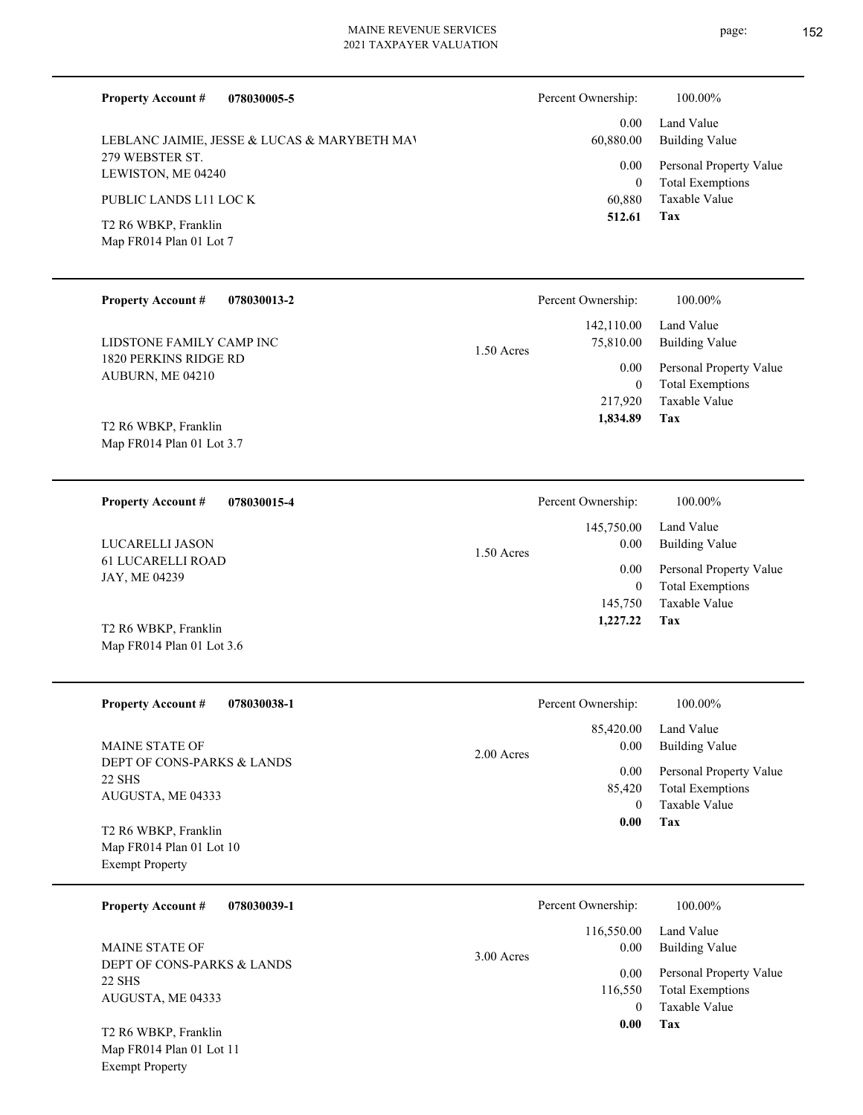page: 152

| <b>Property Account #</b><br>078030005-5                                   |              | Percent Ownership:                 | 100.00%                                                                    |
|----------------------------------------------------------------------------|--------------|------------------------------------|----------------------------------------------------------------------------|
| LEBLANC JAIMIE, JESSE & LUCAS & MARYBETH MAV                               |              | 0.00<br>60,880.00                  | Land Value<br><b>Building Value</b>                                        |
| 279 WEBSTER ST.<br>LEWISTON, ME 04240                                      |              | 0.00<br>$\overline{0}$             | Personal Property Value<br><b>Total Exemptions</b>                         |
| PUBLIC LANDS L11 LOC K                                                     |              | 60,880                             | Taxable Value                                                              |
| T2 R6 WBKP, Franklin<br>Map FR014 Plan 01 Lot 7                            |              | 512.61                             | Tax                                                                        |
| <b>Property Account #</b><br>078030013-2                                   |              | Percent Ownership:                 | 100.00%                                                                    |
| LIDSTONE FAMILY CAMP INC                                                   | $1.50$ Acres | 142,110.00<br>75,810.00            | Land Value<br><b>Building Value</b>                                        |
| 1820 PERKINS RIDGE RD<br>AUBURN, ME 04210                                  |              | 0.00<br>$\overline{0}$<br>217,920  | Personal Property Value<br><b>Total Exemptions</b><br><b>Taxable Value</b> |
| T2 R6 WBKP, Franklin<br>Map FR014 Plan 01 Lot 3.7                          |              | 1,834.89                           | Tax                                                                        |
| <b>Property Account #</b><br>078030015-4                                   |              | Percent Ownership:                 | 100.00%                                                                    |
| LUCARELLI JASON                                                            | $1.50$ Acres | 145,750.00<br>0.00                 | Land Value<br><b>Building Value</b>                                        |
| <b>61 LUCARELLI ROAD</b><br>JAY, ME 04239                                  |              | 0.00<br>$\overline{0}$<br>145,750  | Personal Property Value<br><b>Total Exemptions</b><br><b>Taxable Value</b> |
| T2 R6 WBKP, Franklin<br>Map FR014 Plan 01 Lot 3.6                          |              | 1,227.22                           | Tax                                                                        |
| <b>Property Account #</b><br>078030038-1                                   |              | Percent Ownership:                 | 100.00%                                                                    |
| MAINE STATE OF                                                             | 2.00 Acres   | 85,420.00<br>0.00                  | Land Value<br><b>Building Value</b>                                        |
| DEPT OF CONS-PARKS & LANDS<br><b>22 SHS</b><br>AUGUSTA, ME 04333           |              | 0.00<br>85,420<br>$\boldsymbol{0}$ | Personal Property Value<br><b>Total Exemptions</b><br>Taxable Value        |
| T2 R6 WBKP, Franklin<br>Map FR014 Plan 01 Lot 10<br><b>Exempt Property</b> |              | 0.00                               | Tax                                                                        |

| 078030039-1<br><b>Property Account #</b>                  | Percent Ownership:                 | 100.00%                                                             |
|-----------------------------------------------------------|------------------------------------|---------------------------------------------------------------------|
| <b>MAINE STATE OF</b>                                     | 116,550.00<br>0.00<br>$3.00$ Acres | Land Value<br><b>Building Value</b>                                 |
| DEPT OF CONS-PARKS & LANDS<br>22 SHS<br>AUGUSTA, ME 04333 | 0.00<br>116,550                    | Personal Property Value<br><b>Total Exemptions</b><br>Taxable Value |
| T2 R6 WBKP, Franklin                                      | 0.00                               | Tax                                                                 |

Map FR014 Plan 01 Lot 11 Exempt Property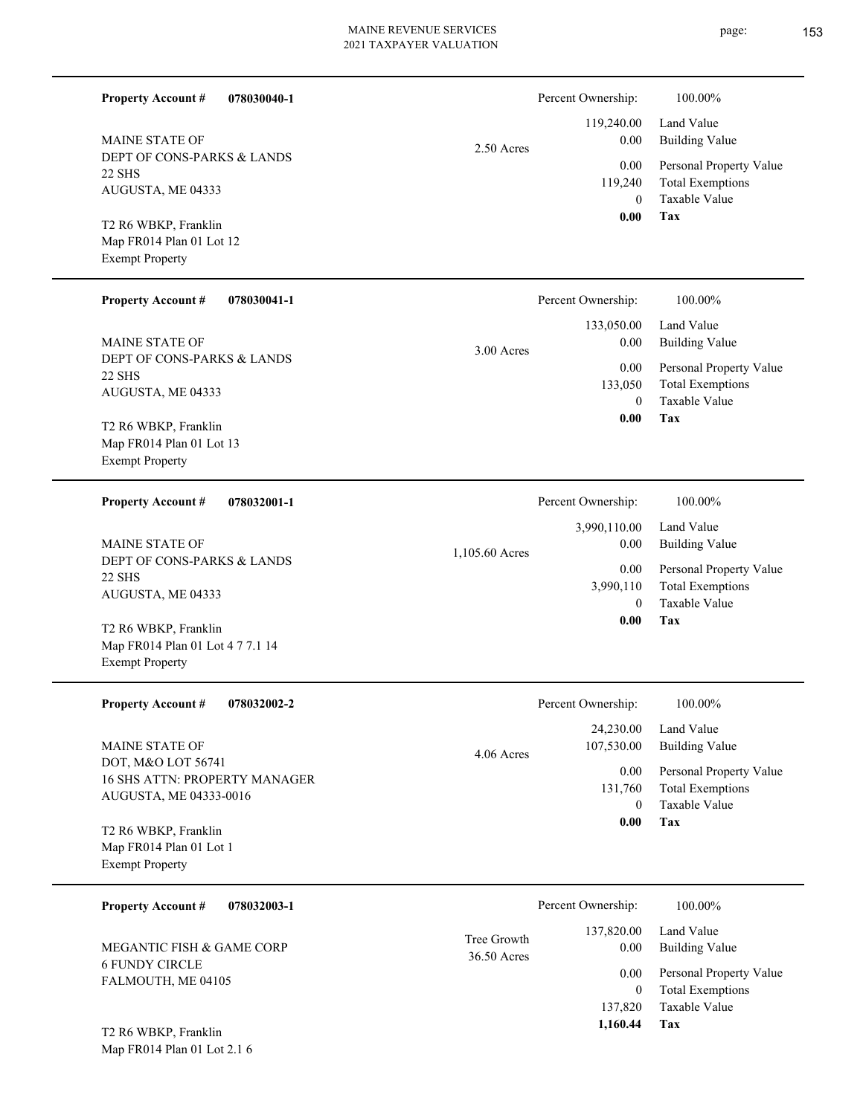| <b>Property Account #</b><br>078030040-1                                      |                            | Percent Ownership:                            | 100.00%                                                                    |
|-------------------------------------------------------------------------------|----------------------------|-----------------------------------------------|----------------------------------------------------------------------------|
| <b>MAINE STATE OF</b>                                                         | 2.50 Acres                 | 119,240.00<br>0.00                            | Land Value<br><b>Building Value</b>                                        |
| DEPT OF CONS-PARKS & LANDS<br>22 SHS<br>AUGUSTA, ME 04333                     |                            | 0.00<br>119,240<br>$\theta$                   | Personal Property Value<br><b>Total Exemptions</b><br><b>Taxable Value</b> |
| T2 R6 WBKP, Franklin<br>Map FR014 Plan 01 Lot 12<br><b>Exempt Property</b>    |                            | 0.00                                          | Tax                                                                        |
| <b>Property Account #</b><br>078030041-1                                      |                            | Percent Ownership:                            | 100.00%                                                                    |
| <b>MAINE STATE OF</b>                                                         | $3.00$ Acres               | 133,050.00<br>$0.00\,$                        | Land Value<br><b>Building Value</b>                                        |
| DEPT OF CONS-PARKS & LANDS<br><b>22 SHS</b><br>AUGUSTA, ME 04333              |                            | 0.00<br>133,050                               | Personal Property Value<br><b>Total Exemptions</b><br>Taxable Value        |
| T2 R6 WBKP, Franklin<br>Map FR014 Plan 01 Lot 13<br><b>Exempt Property</b>    |                            | $\theta$<br>0.00                              | <b>Tax</b>                                                                 |
| <b>Property Account #</b><br>078032001-1                                      |                            | Percent Ownership:                            | 100.00%                                                                    |
| <b>MAINE STATE OF</b>                                                         | 1,105.60 Acres             | 3,990,110.00<br>$0.00\,$                      | Land Value<br><b>Building Value</b>                                        |
| DEPT OF CONS-PARKS & LANDS<br>22 SHS<br>AUGUSTA, ME 04333                     |                            | 0.00<br>3,990,110                             | Personal Property Value<br><b>Total Exemptions</b>                         |
| T2 R6 WBKP, Franklin<br>Map FR014 Plan 01 Lot 4 7 7.1 14                      |                            | $\theta$<br>0.00                              | <b>Taxable Value</b><br>Tax                                                |
| <b>Exempt Property</b>                                                        |                            |                                               |                                                                            |
| <b>Property Account #</b><br>078032002-2                                      |                            | Percent Ownership:                            | 100.00%                                                                    |
| MAINE STATE OF                                                                | 4.06 Acres                 | 24,230.00<br>107,530.00                       | Land Value<br><b>Building Value</b>                                        |
| DOT, M&O LOT 56741<br>16 SHS ATTN: PROPERTY MANAGER<br>AUGUSTA, ME 04333-0016 |                            | $0.00\,$<br>131,760                           | Personal Property Value<br><b>Total Exemptions</b>                         |
| T2 R6 WBKP, Franklin<br>Map FR014 Plan 01 Lot 1<br><b>Exempt Property</b>     |                            | $\overline{0}$<br>0.00                        | Taxable Value<br>Tax                                                       |
| <b>Property Account #</b><br>078032003-1                                      |                            | Percent Ownership:                            | 100.00%                                                                    |
| MEGANTIC FISH & GAME CORP                                                     | Tree Growth<br>36.50 Acres | 137,820.00<br>0.00                            | Land Value<br><b>Building Value</b>                                        |
| <b>6 FUNDY CIRCLE</b><br>FALMOUTH, ME 04105<br>T2 R6 WBKP, Franklin           |                            | 0.00<br>$\overline{0}$<br>137,820<br>1,160.44 | Personal Property Value<br><b>Total Exemptions</b><br>Taxable Value<br>Tax |
| Map FR014 Plan 01 Lot 2.1 6                                                   |                            |                                               |                                                                            |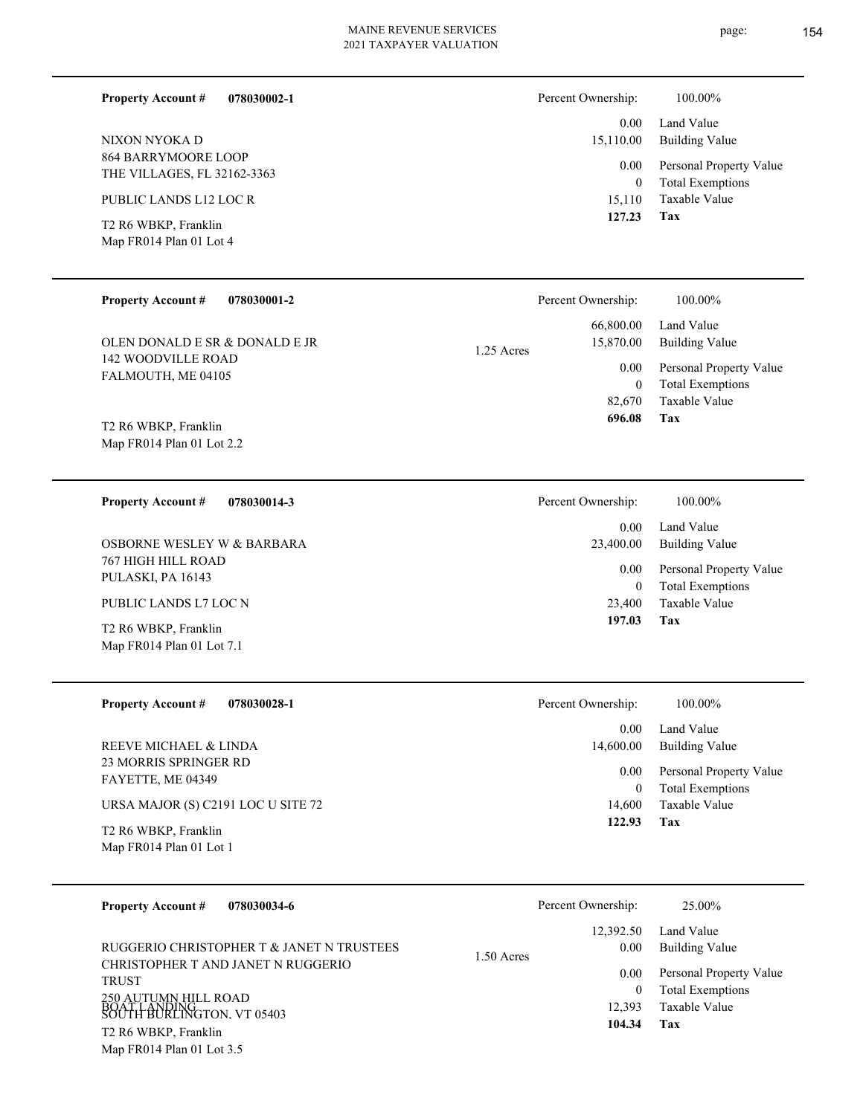| NIXON NYOKA D                                                      |            | 15,110.00                                    | <b>Building Value</b>                                                      |
|--------------------------------------------------------------------|------------|----------------------------------------------|----------------------------------------------------------------------------|
| 864 BARRYMOORE LOOP<br>THE VILLAGES, FL 32162-3363                 |            | 0.00<br>$\boldsymbol{0}$                     | Personal Property Value<br><b>Total Exemptions</b>                         |
| PUBLIC LANDS L12 LOC R                                             |            | 15,110                                       | Taxable Value                                                              |
| T2 R6 WBKP, Franklin<br>Map FR014 Plan 01 Lot 4                    |            | 127.23                                       | Tax                                                                        |
| <b>Property Account #</b><br>078030001-2                           |            | Percent Ownership:                           | 100.00%                                                                    |
| OLEN DONALD E SR & DONALD E JR                                     | 1.25 Acres | 66,800.00<br>15,870.00                       | Land Value<br><b>Building Value</b>                                        |
| 142 WOODVILLE ROAD<br>FALMOUTH, ME 04105                           |            | 0.00<br>$\boldsymbol{0}$<br>82,670<br>696.08 | Personal Property Value<br><b>Total Exemptions</b><br>Taxable Value<br>Tax |
| T2 R6 WBKP, Franklin<br>Map FR014 Plan 01 Lot 2.2                  |            |                                              |                                                                            |
| <b>Property Account #</b><br>078030014-3                           |            | Percent Ownership:                           | 100.00%                                                                    |
| OSBORNE WESLEY W & BARBARA                                         |            | 0.00<br>23,400.00                            | Land Value<br><b>Building Value</b>                                        |
| 767 HIGH HILL ROAD<br>PULASKI, PA 16143                            |            | 0.00                                         | Personal Property Value                                                    |
| PUBLIC LANDS L7 LOC N                                              |            | $\boldsymbol{0}$<br>23,400                   | <b>Total Exemptions</b><br>Taxable Value                                   |
| T2 R6 WBKP, Franklin<br>Map FR014 Plan 01 Lot 7.1                  |            | 197.03                                       | Tax                                                                        |
| <b>Property Account #</b><br>078030028-1                           |            | Percent Ownership:                           | 100.00%                                                                    |
| REEVE MICHAEL & LINDA                                              |            | 0.00<br>14,600.00                            | Land Value<br><b>Building Value</b>                                        |
| 23 MORRIS SPRINGER RD<br>FAYETTE, ME 04349                         |            | 0.00                                         | Personal Property Value                                                    |
| URSA MAJOR (S) C2191 LOC U SITE 72                                 |            | $\boldsymbol{0}$<br>14,600<br>122.93         | <b>Total Exemptions</b><br>Taxable Value<br>Tax                            |
| T2 R6 WBKP, Franklin<br>Map FR014 Plan 01 Lot 1                    |            |                                              |                                                                            |
| <b>Property Account #</b><br>078030034-6                           |            | Percent Ownership:                           | 25.00%                                                                     |
| RUGGERIO CHRISTOPHER T & JANET N TRUSTEES                          | 1.50 Acres | 12,392.50<br>0.00                            | Land Value<br><b>Building Value</b>                                        |
| CHRISTOPHER T AND JANET N RUGGERIO<br><b>TRUST</b>                 |            | 0.00<br>$\boldsymbol{0}$                     | Personal Property Value<br><b>Total Exemptions</b>                         |
| 250 AUTUMN HILL ROAD<br>BOAT LANDING<br>SOUTH BURLINGTON. VT 05403 |            | 12,393<br>104.34                             | Taxable Value<br>Tax                                                       |
| T2 R6 WBKP, Franklin<br>Map FR014 Plan 01 Lot 3.5                  |            |                                              |                                                                            |
|                                                                    |            |                                              |                                                                            |

#### **078030002-1 Property Account #**

# Land Value 0.00 Percent Ownership:  $100.00\%$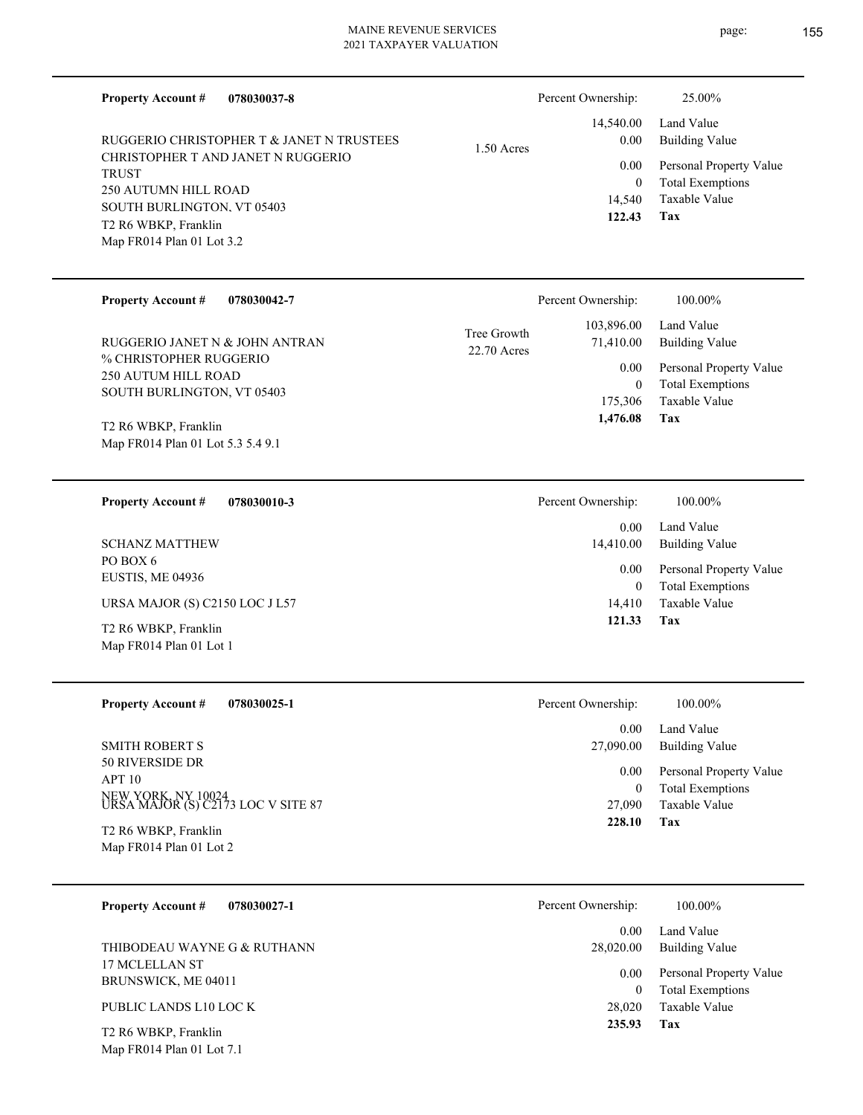| <b>Property Account #</b><br>078030037-8                  |                            | Percent Ownership:        | 25.00%                                             |
|-----------------------------------------------------------|----------------------------|---------------------------|----------------------------------------------------|
| RUGGERIO CHRISTOPHER T & JANET N TRUSTEES                 | $1.50$ Acres               | 14,540.00<br>0.00         | Land Value<br><b>Building Value</b>                |
| CHRISTOPHER T AND JANET N RUGGERIO<br><b>TRUST</b>        |                            | 0.00                      | Personal Property Value                            |
| <b>250 AUTUMN HILL ROAD</b><br>SOUTH BURLINGTON, VT 05403 |                            | $\overline{0}$<br>14,540  | <b>Total Exemptions</b><br>Taxable Value           |
| T2 R6 WBKP, Franklin                                      |                            | 122.43                    | Tax                                                |
| Map FR014 Plan 01 Lot 3.2                                 |                            |                           |                                                    |
| <b>Property Account #</b><br>078030042-7                  |                            | Percent Ownership:        | 100.00%                                            |
| RUGGERIO JANET N & JOHN ANTRAN                            | Tree Growth<br>22.70 Acres | 103,896.00<br>71,410.00   | Land Value<br><b>Building Value</b>                |
| % CHRISTOPHER RUGGERIO<br>250 AUTUM HILL ROAD             |                            | 0.00                      | Personal Property Value                            |
| SOUTH BURLINGTON, VT 05403                                |                            | $\overline{0}$<br>175,306 | <b>Total Exemptions</b><br>Taxable Value           |
| T2 R6 WBKP, Franklin                                      |                            | 1,476.08                  | Tax                                                |
| Map FR014 Plan 01 Lot 5.3 5.4 9.1                         |                            |                           |                                                    |
| <b>Property Account #</b><br>078030010-3                  |                            | Percent Ownership:        | 100.00%                                            |
|                                                           |                            | $0.00\,$                  | Land Value                                         |
| <b>SCHANZ MATTHEW</b><br>PO BOX 6                         |                            | 14,410.00<br>0.00         | <b>Building Value</b><br>Personal Property Value   |
| EUSTIS, ME 04936                                          |                            | $\overline{0}$            | <b>Total Exemptions</b>                            |
| URSA MAJOR (S) C2150 LOC J L57                            |                            | 14,410<br>121.33          | <b>Taxable Value</b><br>Tax                        |
| T2 R6 WBKP, Franklin<br>Map FR014 Plan 01 Lot 1           |                            |                           |                                                    |
| <b>Property Account #</b><br>078030025-1                  |                            | Percent Ownership:        | 100.00%                                            |
|                                                           |                            | 0.00                      | Land Value                                         |
| <b>SMITH ROBERT S</b>                                     |                            | 27,090.00                 | <b>Building Value</b>                              |
| 50 RIVERSIDE DR<br>APT <sub>10</sub>                      |                            | 0.00<br>$\boldsymbol{0}$  | Personal Property Value<br><b>Total Exemptions</b> |
| NEW YORK, NY 10024<br>URSA MAJOR (S) C2173 LOC V SITE 87  |                            | 27,090                    | Taxable Value                                      |
| T2 R6 WBKP, Franklin                                      |                            | 228.10                    | Tax                                                |
| Map FR014 Plan 01 Lot 2                                   |                            |                           |                                                    |
| <b>Property Account #</b><br>078030027-1                  |                            | Percent Ownership:        | 100.00%                                            |
| THIBODEAU WAYNE G & RUTHANN                               |                            | 0.00                      | Land Value<br><b>Building Value</b>                |
| 17 MCLELLAN ST                                            |                            | 28,020.00<br>0.00         | Personal Property Value                            |
| BRUNSWICK, ME 04011                                       |                            | $\overline{0}$            | <b>Total Exemptions</b>                            |
| PUBLIC LANDS L10 LOC K                                    |                            | 28,020                    | Taxable Value                                      |

**Tax 235.93**

Map FR014 Plan 01 Lot 7.1 T2 R6 WBKP, Franklin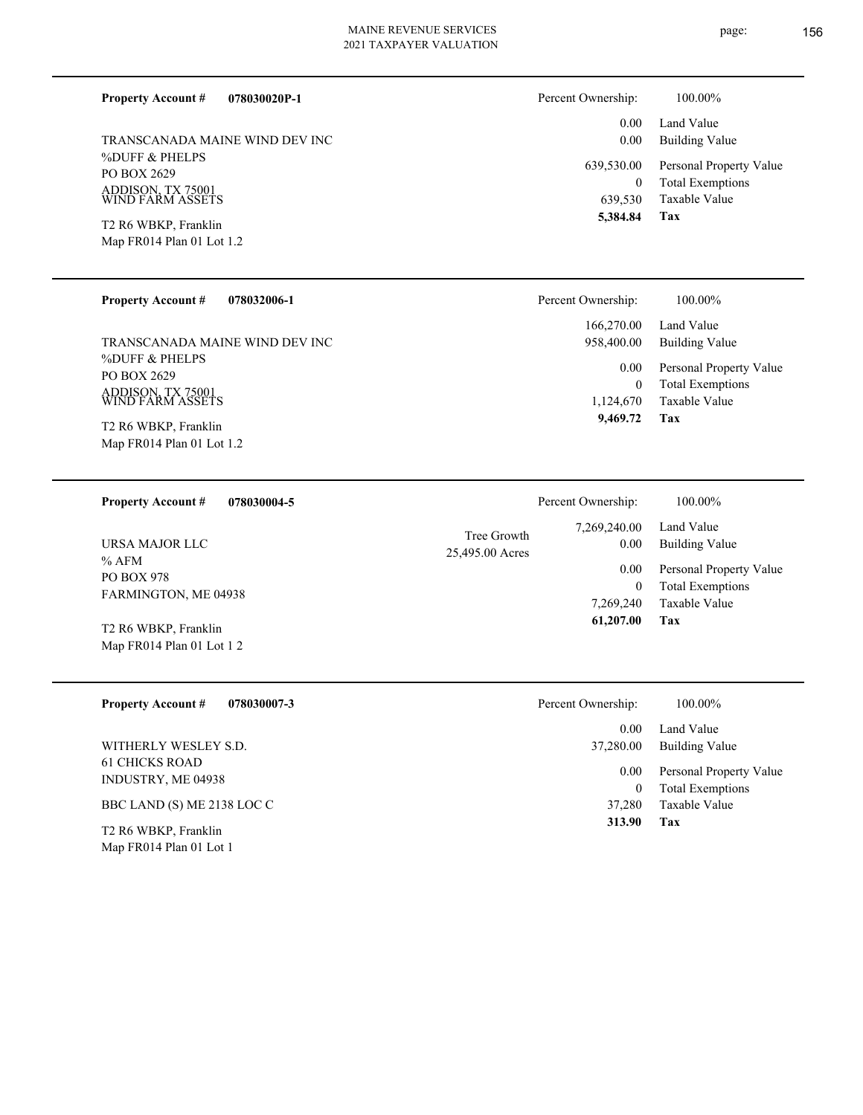**078030020P-1 Property Account #**

%DUFF & PHELPS PO BOX 2629 ADDISON, TX 75001 WIND FARM ASSETS TRANSCANADA MAINE WIND DEV INC

Map FR014 Plan 01 Lot 1.2 T2 R6 WBKP, Franklin

|  | <b>Property Account #</b> | 078032006-1 |
|--|---------------------------|-------------|
|--|---------------------------|-------------|

%DUFF & PHELPS PO BOX 2629 ADDISON, TX 75001 WIND FARM ASSETS TRANSCANADA MAINE WIND DEV INC

Map FR014 Plan 01 Lot 1.2 T2 R6 WBKP, Franklin

**Tax** Taxable Value Total Exemptions Personal Property Value Building Value Land Value 639,530 0  **5,384.84** 0.00 0.00 639,530.00 Percent Ownership:  $100.00\%$ 

| Percent Ownership:       | 100.00%                                            |
|--------------------------|----------------------------------------------------|
| 166,270.00<br>958,400.00 | Land Value<br>Building Value                       |
| 0.00<br>0                | Personal Property Value<br><b>Total Exemptions</b> |
| 1,124,670                | Taxable Value                                      |
| 9,469.72                 | Tax                                                |

| 078030004-5<br><b>Property Account #</b>            |                 | Percent Ownership: | 100.00%                 |
|-----------------------------------------------------|-----------------|--------------------|-------------------------|
| URSA MAJOR LLC                                      | Tree Growth     | 7,269,240.00       | Land Value              |
|                                                     | 25,495.00 Acres | 0.00               | Building Value          |
| % AFM                                               |                 | 0.00               | Personal Property Value |
| <b>PO BOX 978</b>                                   |                 | 0                  | <b>Total Exemptions</b> |
| FARMINGTON, ME 04938                                |                 | 7.269.240          | Taxable Value           |
| T2 R6 WBKP, Franklin<br>Map $FR014$ Plan 01 Lot 1 2 |                 | 61,207.00          | Tax                     |

| <b>Property Account #</b><br>078030007-3                                | 100.00%<br>Percent Ownership:                              |  |
|-------------------------------------------------------------------------|------------------------------------------------------------|--|
|                                                                         | Land Value<br>0.00                                         |  |
| WITHERLY WESLEY S.D.                                                    | Building Value<br>37,280.00                                |  |
| <b>61 CHICKS ROAD</b><br>INDUSTRY, ME 04938                             | Personal Property Value<br>0.00<br><b>Total Exemptions</b> |  |
| BBC LAND (S) ME 2138 LOC C                                              | Taxable Value<br>37,280                                    |  |
| T <sub>2</sub> R <sub>6</sub> WBKP, Franklin<br>Map FR014 Plan 01 Lot 1 | Tax<br>313.90                                              |  |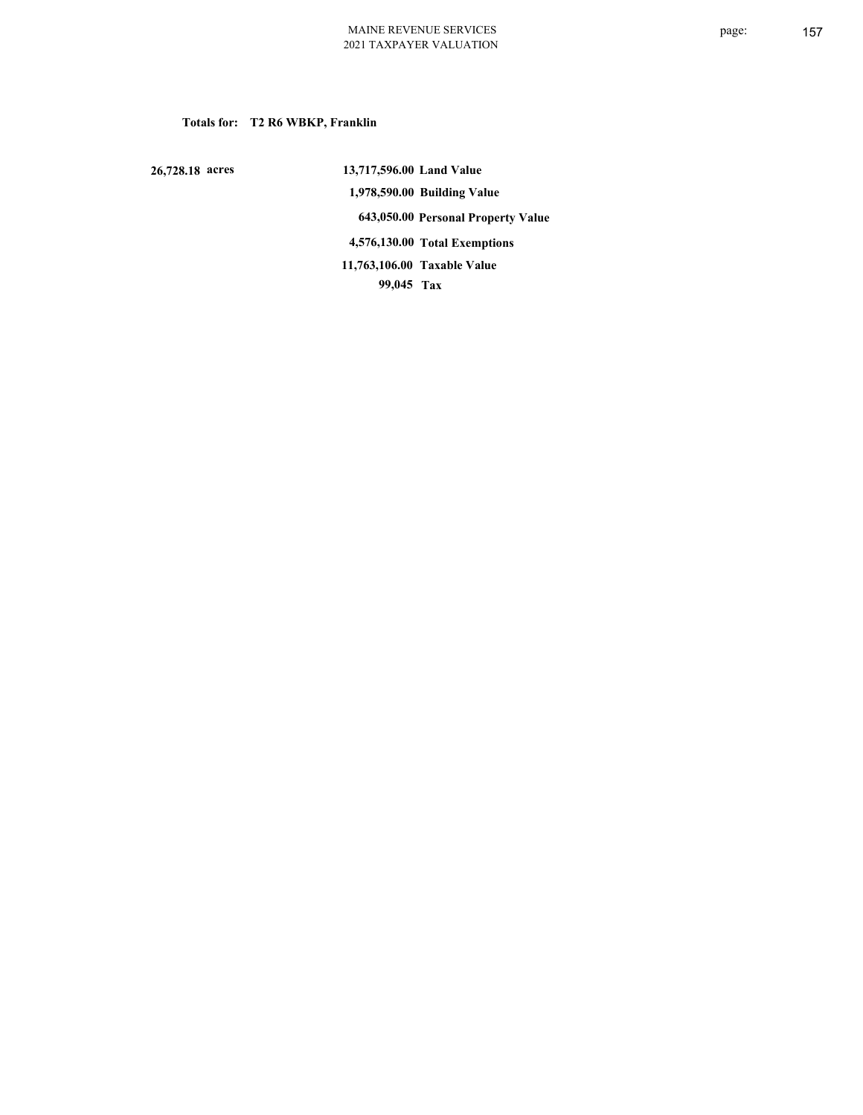# **Totals for: T2 R6 WBKP, Franklin**

 **26,728.18 acres**

 **13,717,596.00 Land Value 1,978,590.00 Building Value 643,050.00 Personal Property Value 4,576,130.00 Total Exemptions 99,045 Tax Taxable Value 11,763,106.00**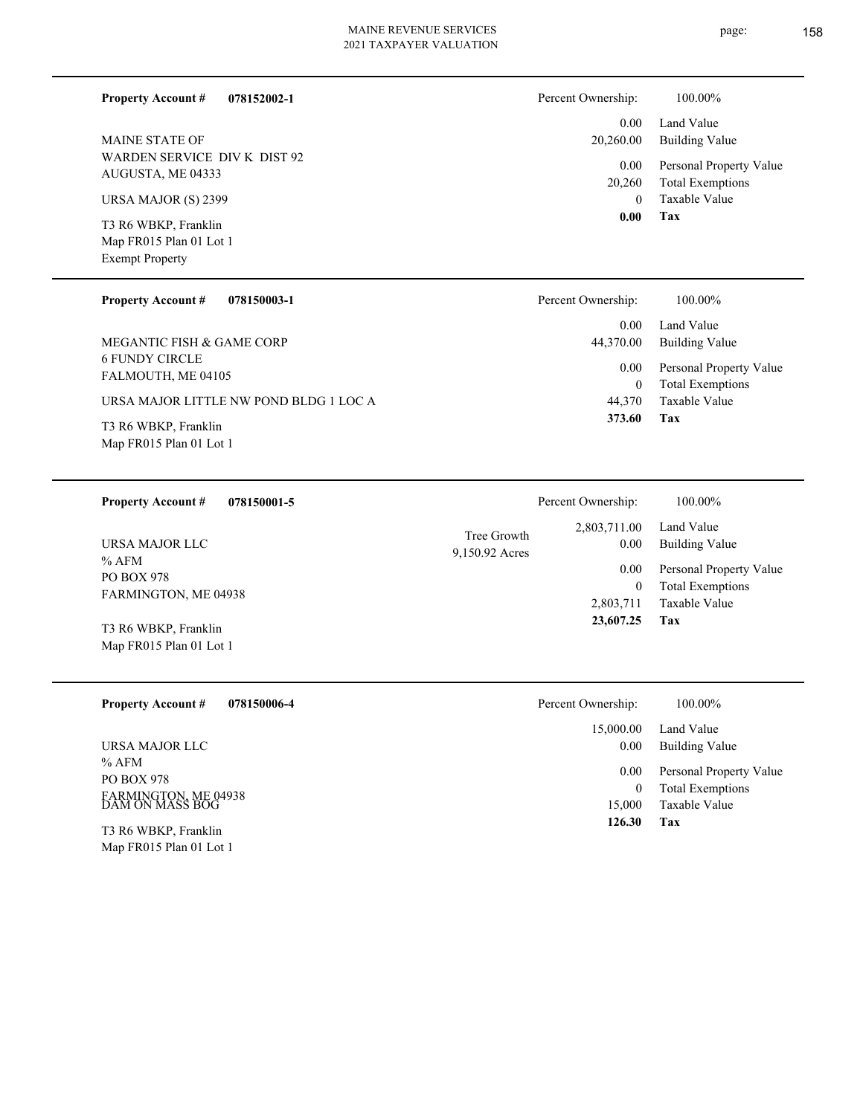L

| <b>Property Account #</b><br>078152002-1                                  | Percent Ownership:                  | 100.00%                                            |
|---------------------------------------------------------------------------|-------------------------------------|----------------------------------------------------|
| <b>MAINE STATE OF</b>                                                     | 0.00<br>20,260.00                   | Land Value<br><b>Building Value</b>                |
| WARDEN SERVICE DIV K DIST 92<br>AUGUSTA, ME 04333                         | 0.00<br>20,260                      | Personal Property Value<br><b>Total Exemptions</b> |
| URSA MAJOR (S) 2399                                                       | $\mathbf{0}$                        | Taxable Value                                      |
| T3 R6 WBKP, Franklin<br>Map FR015 Plan 01 Lot 1<br><b>Exempt Property</b> | 0.00                                | Tax                                                |
| <b>Property Account #</b><br>078150003-1                                  | Percent Ownership:                  | 100.00%                                            |
| MEGANTIC FISH & GAME CORP                                                 | 0.00<br>44,370.00                   | Land Value<br><b>Building Value</b>                |
| <b>6 FUNDY CIRCLE</b><br>FALMOUTH, ME 04105                               | 0.00<br>$\boldsymbol{0}$            | Personal Property Value<br><b>Total Exemptions</b> |
| URSA MAJOR LITTLE NW POND BLDG 1 LOC A                                    | 44,370                              | Taxable Value                                      |
| T3 R6 WBKP, Franklin<br>Map FR015 Plan 01 Lot 1                           | 373.60                              | Tax                                                |
|                                                                           |                                     |                                                    |
| 078150001-5<br><b>Property Account #</b>                                  | Percent Ownership:                  | 100.00%                                            |
| URSA MAJOR LLC                                                            | 2,803,711.00<br>Tree Growth<br>0.00 | Land Value<br><b>Building Value</b>                |
| $%$ AFM<br>PO BOX 978                                                     | 9,150.92 Acres<br>0.00              | Personal Property Value                            |
| FARMINGTON, ME 04938                                                      | $\boldsymbol{0}$<br>2,803,711       | <b>Total Exemptions</b><br>Taxable Value           |
| T3 R6 WBKP, Franklin                                                      | 23,607.25                           | Tax                                                |
| Map FR015 Plan 01 Lot 1                                                   |                                     |                                                    |
| <b>Property Account #</b><br>078150006-4                                  | Percent Ownership:                  | 100.00%                                            |
| URSA MAJOR LLC                                                            | 15,000.00<br>0.00                   | Land Value<br><b>Building Value</b>                |
| $%$ AFM<br>PO BOX 978                                                     | 0.00                                | Personal Property Value                            |
| FARMINGTON, ME 04938<br>DAM ON MASS BOG                                   | $\boldsymbol{0}$<br>15,000          | <b>Total Exemptions</b><br>Taxable Value           |
| T3 R6 WBKP, Franklin<br>Map FR015 Plan 01 Lot 1                           | 126.30                              | <b>Tax</b>                                         |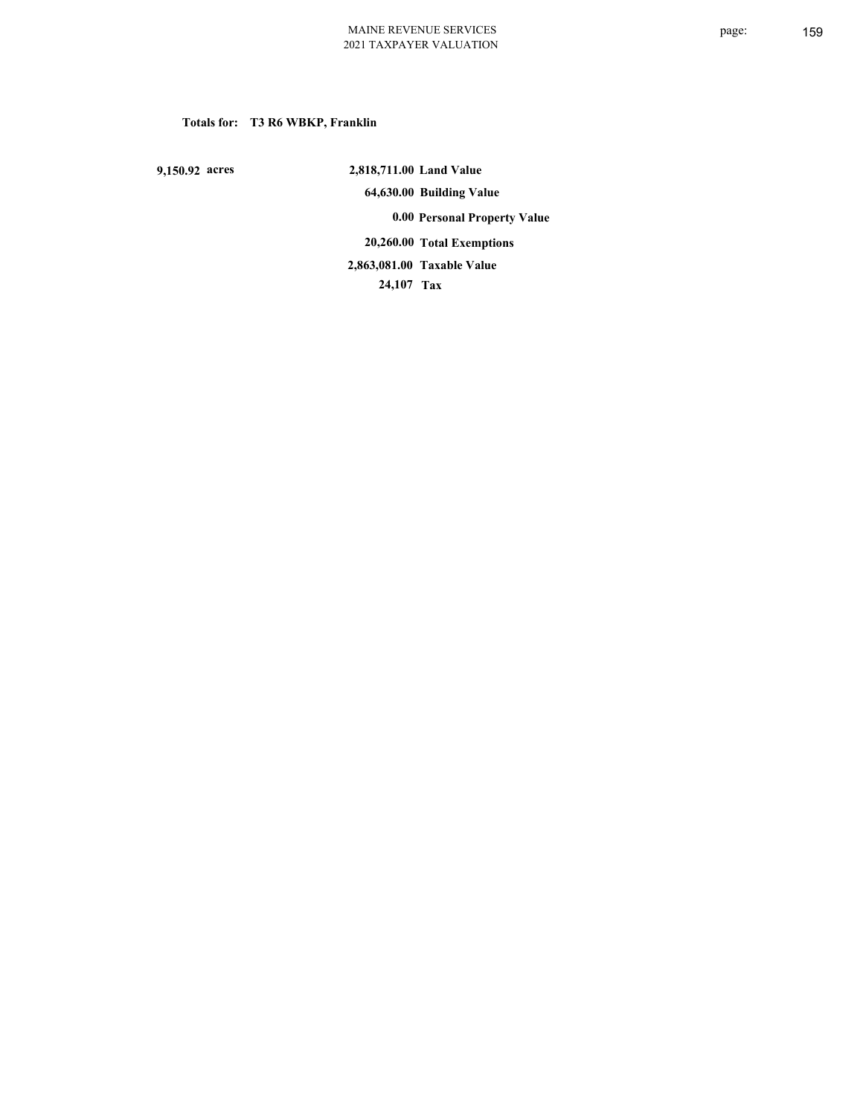# **Totals for: T3 R6 WBKP, Franklin**

 **9,150.92 acres**

 **2,818,711.00 Land Value 64,630.00 Building Value 0.00 Personal Property Value 20,260.00 Total Exemptions 24,107 Tax Taxable Value 2,863,081.00**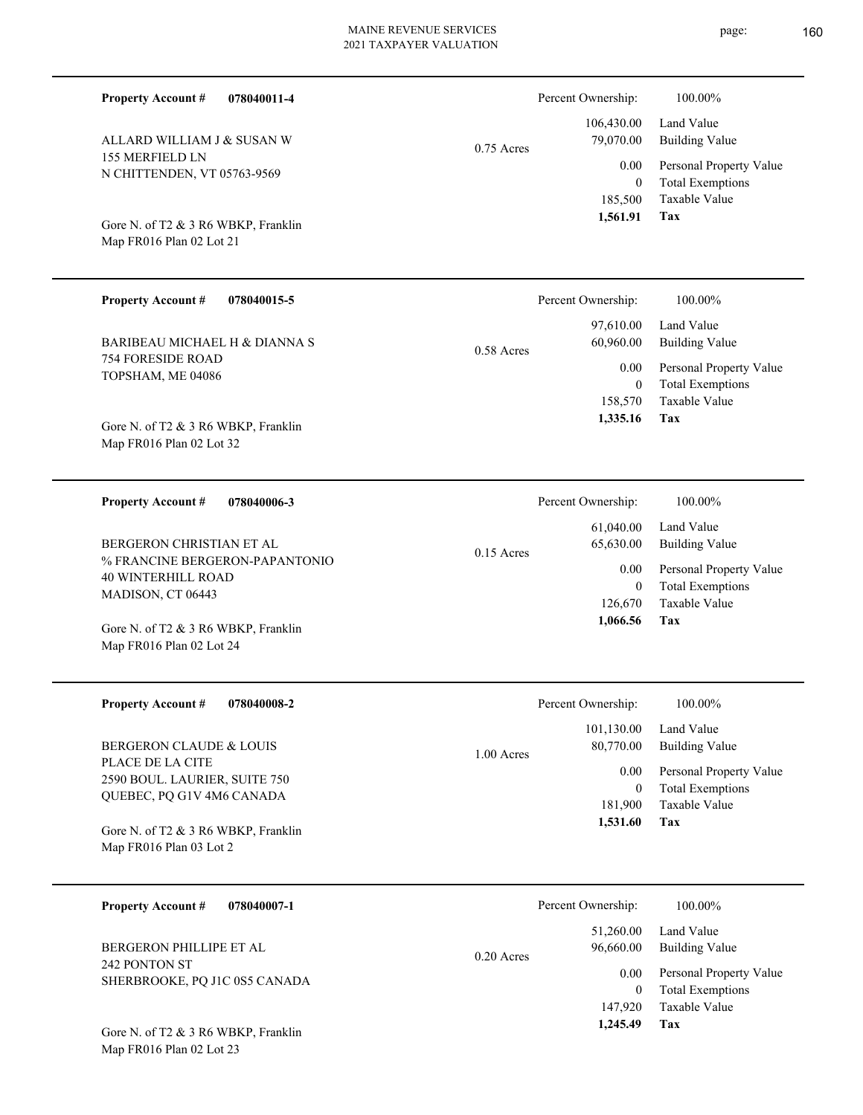| 078040011-4<br><b>Property Account #</b>                                                    |              | Percent Ownership:                | 100.00%                                                                    |
|---------------------------------------------------------------------------------------------|--------------|-----------------------------------|----------------------------------------------------------------------------|
| ALLARD WILLIAM J & SUSAN W                                                                  | $0.75$ Acres | 106,430.00<br>79,070.00           | Land Value<br><b>Building Value</b>                                        |
| 155 MERFIELD LN<br>N CHITTENDEN, VT 05763-9569                                              |              | 0.00<br>$\overline{0}$<br>185,500 | Personal Property Value<br><b>Total Exemptions</b><br>Taxable Value        |
| Gore N. of T2 & 3 R6 WBKP, Franklin<br>Map FR016 Plan 02 Lot 21                             |              | 1,561.91                          | Tax                                                                        |
| <b>Property Account #</b><br>078040015-5                                                    |              | Percent Ownership:                | 100.00%                                                                    |
| BARIBEAU MICHAEL H & DIANNA S                                                               | $0.58$ Acres | 97,610.00<br>60,960.00            | Land Value<br><b>Building Value</b>                                        |
| <b>754 FORESIDE ROAD</b><br>TOPSHAM, ME 04086                                               |              | 0.00<br>$\overline{0}$<br>158,570 | Personal Property Value<br><b>Total Exemptions</b><br><b>Taxable Value</b> |
| Gore N. of T2 & 3 R6 WBKP, Franklin<br>Map FR016 Plan 02 Lot 32                             |              | 1,335.16                          | Tax                                                                        |
| <b>Property Account #</b><br>078040006-3                                                    |              | Percent Ownership:                | 100.00%                                                                    |
| BERGERON CHRISTIAN ET AL                                                                    | $0.15$ Acres | 61,040.00<br>65,630.00            | Land Value<br><b>Building Value</b>                                        |
| % FRANCINE BERGERON-PAPANTONIO<br><b>40 WINTERHILL ROAD</b><br>MADISON, CT 06443            |              | 0.00<br>$\theta$<br>126,670       | Personal Property Value<br><b>Total Exemptions</b><br><b>Taxable Value</b> |
| Gore N. of T2 & 3 R6 WBKP, Franklin<br>Map FR016 Plan 02 Lot 24                             |              | 1,066.56                          | Tax                                                                        |
| <b>Property Account #</b><br>078040008-2                                                    |              | Percent Ownership:                | 100.00%                                                                    |
| BERGERON CLAUDE & LOUIS                                                                     | 1.00 Acres   | 101,130.00<br>80,770.00           | Land Value<br><b>Building Value</b>                                        |
| PLACE DE LA CITE<br>2590 BOUL. LAURIER, SUITE 750                                           |              | $0.00\,$<br>$\overline{0}$        | Personal Property Value<br><b>Total Exemptions</b>                         |
| QUEBEC, PQ G1V 4M6 CANADA<br>Gore N. of T2 & 3 R6 WBKP, Franklin<br>Map FR016 Plan 03 Lot 2 |              | 181,900<br>1,531.60               | Taxable Value<br>Tax                                                       |
|                                                                                             |              |                                   |                                                                            |
| <b>Property Account #</b><br>078040007-1                                                    |              | Percent Ownership:                | 100.00%                                                                    |
| BERGERON PHILLIPE ET AL                                                                     | 0.20 Acres   | 51,260.00<br>96,660.00            | Land Value<br><b>Building Value</b>                                        |
| 242 PONTON ST<br>SHERBROOKE, PQ J1C 0S5 CANADA                                              |              | 0.00<br>$\mathbf{0}$<br>147,920   | Personal Property Value<br><b>Total Exemptions</b><br>Taxable Value        |
| Gore N. of T2 & 3 R6 WBKP, Franklin<br>Map FR016 Plan 02 Lot 23                             |              | 1,245.49                          | Tax                                                                        |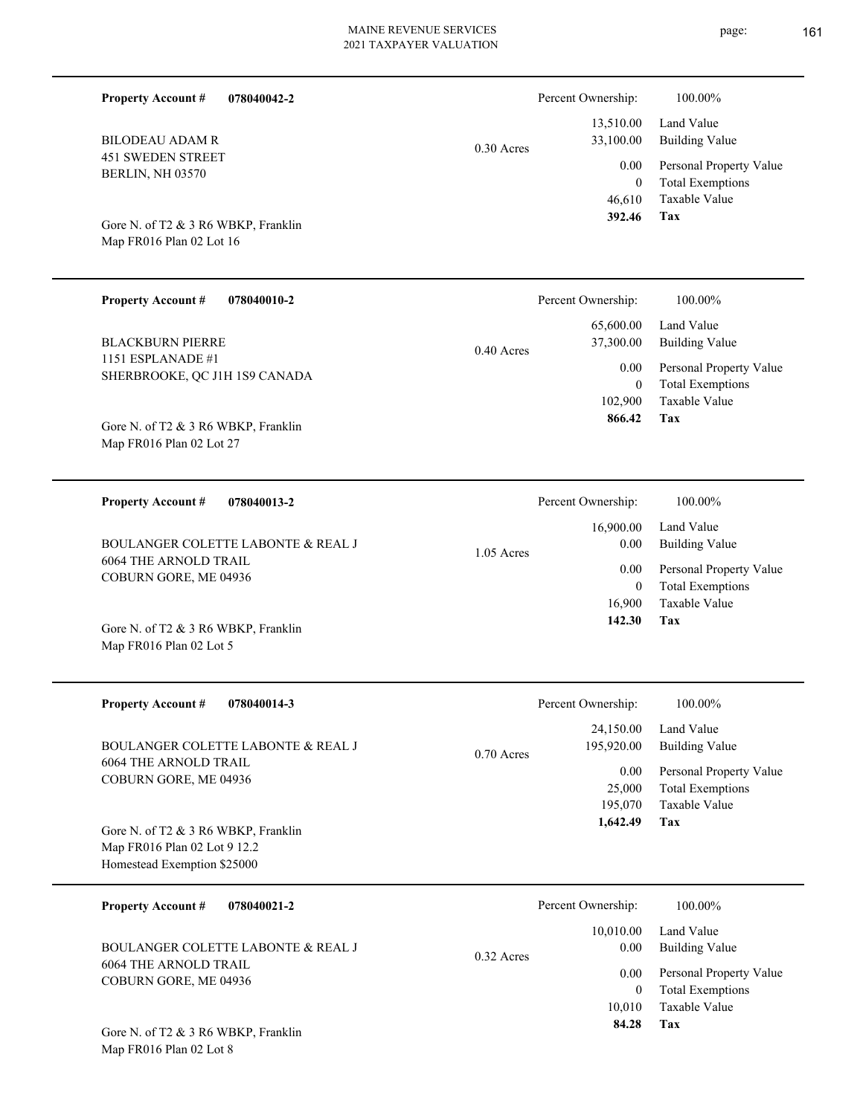| <b>Property Account #</b><br>078040042-2                                                           |              | Percent Ownership:          | 100.00%                                                             |
|----------------------------------------------------------------------------------------------------|--------------|-----------------------------|---------------------------------------------------------------------|
| <b>BILODEAU ADAM R</b>                                                                             | $0.30$ Acres | 13,510.00<br>33,100.00      | Land Value<br><b>Building Value</b>                                 |
| <b>451 SWEDEN STREET</b><br>BERLIN, NH 03570                                                       |              | 0.00<br>$\theta$<br>46,610  | Personal Property Value<br><b>Total Exemptions</b><br>Taxable Value |
| Gore N. of T2 & 3 R6 WBKP, Franklin<br>Map FR016 Plan 02 Lot 16                                    |              | 392.46                      | Tax                                                                 |
| <b>Property Account #</b><br>078040010-2                                                           |              | Percent Ownership:          | 100.00%                                                             |
| <b>BLACKBURN PIERRE</b><br>1151 ESPLANADE #1                                                       | $0.40$ Acres | 65,600.00<br>37,300.00      | Land Value<br><b>Building Value</b>                                 |
| SHERBROOKE, QC J1H 1S9 CANADA                                                                      |              | 0.00<br>$\theta$<br>102,900 | Personal Property Value<br><b>Total Exemptions</b><br>Taxable Value |
| Gore N. of T2 & 3 R6 WBKP, Franklin<br>Map FR016 Plan 02 Lot 27                                    |              | 866.42                      | Tax                                                                 |
| <b>Property Account #</b><br>078040013-2                                                           |              | Percent Ownership:          | 100.00%                                                             |
| BOULANGER COLETTE LABONTE & REAL J                                                                 | $1.05$ Acres | 16,900.00<br>0.00           | Land Value<br><b>Building Value</b>                                 |
| <b>6064 THE ARNOLD TRAIL</b><br>COBURN GORE, ME 04936                                              |              | 0.00<br>$\theta$<br>16,900  | Personal Property Value<br><b>Total Exemptions</b><br>Taxable Value |
| Gore N. of T2 & 3 R6 WBKP, Franklin<br>Map FR016 Plan 02 Lot 5                                     |              | 142.30                      | Tax                                                                 |
| <b>Property Account #</b><br>078040014-3                                                           |              | Percent Ownership:          | 100.00%                                                             |
| BOULANGER COLETTE LABONTE & REAL J                                                                 | $0.70$ Acres | 24,150.00<br>195,920.00     | Land Value<br><b>Building Value</b>                                 |
| <b>6064 THE ARNOLD TRAIL</b><br>COBURN GORE, ME 04936                                              |              | 0.00<br>25,000<br>195,070   | Personal Property Value<br><b>Total Exemptions</b><br>Taxable Value |
| Gore N. of T2 & 3 R6 WBKP, Franklin<br>Map FR016 Plan 02 Lot 9 12.2<br>Homestead Exemption \$25000 |              | 1,642.49                    | Tax                                                                 |
| <b>Property Account #</b><br>078040021-2                                                           |              | Percent Ownership:          | 100.00%                                                             |
| BOULANGER COLETTE LABONTE & REAL J                                                                 | $0.32$ Acres | 10,010.00<br>0.00           | Land Value<br><b>Building Value</b>                                 |
| <b>6064 THE ARNOLD TRAIL</b><br>COBURN GORE, ME 04936                                              |              | 0.00<br>$\overline{0}$      | Personal Property Value<br><b>Total Exemptions</b>                  |
| Gore N. of T2 & 3 R6 WBKP, Franklin<br>Map FR016 Plan 02 Lot 8                                     |              | 10,010<br>84.28             | Taxable Value<br>Tax                                                |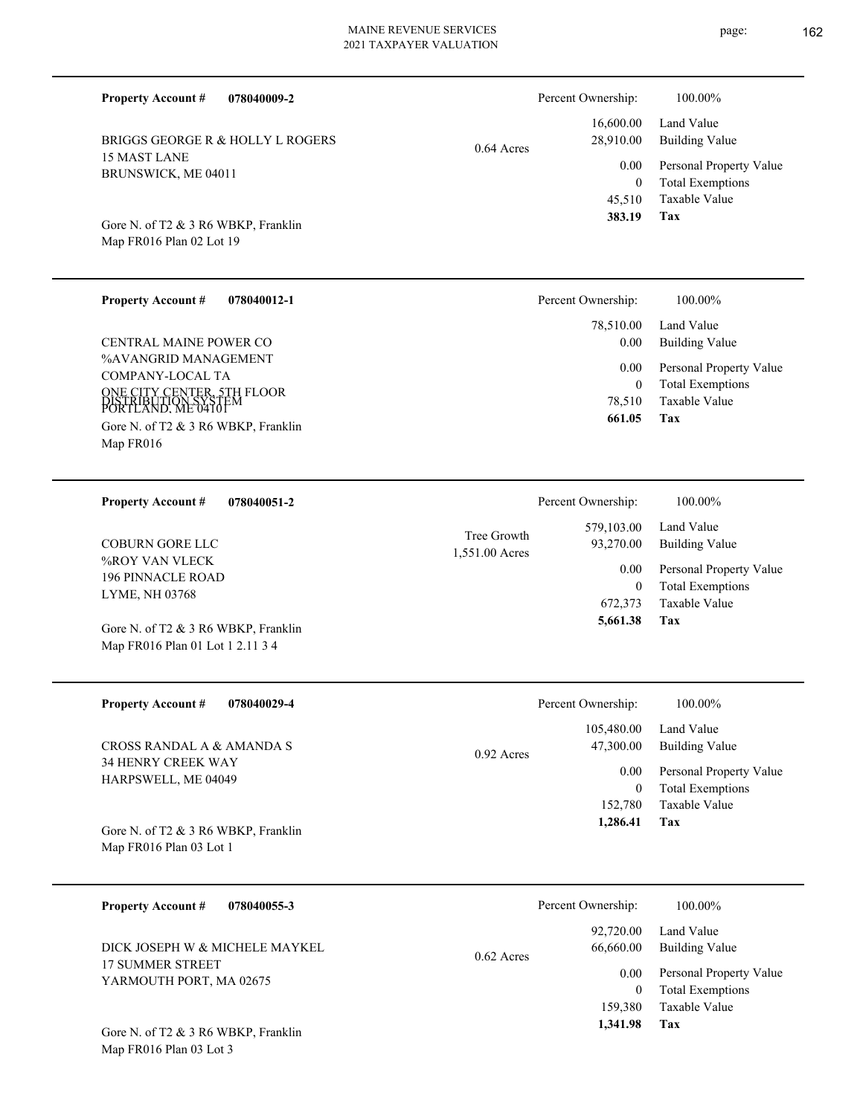| <b>Property Account #</b><br>078040009-2                                      |                                          | Percent Ownership:                    | 100.00%                                                             |
|-------------------------------------------------------------------------------|------------------------------------------|---------------------------------------|---------------------------------------------------------------------|
| BRIGGS GEORGE R & HOLLY L ROGERS                                              | $0.64$ Acres                             | 16,600.00<br>28,910.00                | Land Value<br><b>Building Value</b>                                 |
| <b>15 MAST LANE</b><br>BRUNSWICK, ME 04011                                    |                                          | 0.00<br>$\mathbf{0}$                  | Personal Property Value<br><b>Total Exemptions</b>                  |
| Gore N. of T2 & 3 R6 WBKP, Franklin<br>Map FR016 Plan 02 Lot 19               |                                          | 45,510<br>383.19                      | Taxable Value<br>Tax                                                |
| <b>Property Account #</b><br>078040012-1                                      |                                          | Percent Ownership:                    | 100.00%                                                             |
| CENTRAL MAINE POWER CO                                                        |                                          | 78,510.00<br>0.00                     | Land Value<br><b>Building Value</b>                                 |
| %AVANGRID MANAGEMENT<br><b>COMPANY-LOCAL TA</b><br>ONE CITY CENTER, STH FLOOR |                                          | 0.00<br>$\overline{0}$                | Personal Property Value<br><b>Total Exemptions</b>                  |
| Gore N. of T2 & 3 R6 WBKP, Franklin<br>Map FR016                              | DISTRIBUTION SYSTE<br>PORTLAND. ME 04101 | 78,510<br>661.05                      | <b>Taxable Value</b><br>Tax                                         |
| <b>Property Account #</b><br>078040051-2                                      |                                          | Percent Ownership:                    | 100.00%                                                             |
| <b>COBURN GORE LLC</b>                                                        | Tree Growth<br>1,551.00 Acres            | 579,103.00<br>93,270.00               | Land Value<br><b>Building Value</b>                                 |
| %ROY VAN VLECK<br><b>196 PINNACLE ROAD</b><br>LYME, NH 03768                  |                                          | $0.00\,$<br>$\overline{0}$<br>672,373 | Personal Property Value<br><b>Total Exemptions</b><br>Taxable Value |
| Gore N. of T2 & 3 R6 WBKP, Franklin<br>Map FR016 Plan 01 Lot 1 2.11 3 4       |                                          | 5,661.38                              | Tax                                                                 |
| <b>Property Account #</b><br>078040029-4                                      |                                          | Percent Ownership:                    | 100.00%                                                             |
| CROSS RANDAL A & AMANDA S                                                     | $0.92$ Acres                             | 105,480.00<br>47,300.00               | Land Value<br><b>Building Value</b>                                 |
| 34 HENRY CREEK WAY<br>HARPSWELL, ME 04049                                     |                                          | $0.00\,$<br>$\overline{0}$            | Personal Property Value<br><b>Total Exemptions</b>                  |
| Gore N. of T2 & 3 R6 WBKP, Franklin<br>Map FR016 Plan 03 Lot 1                |                                          | 152,780<br>1,286.41                   | Taxable Value<br>Tax                                                |
| <b>Property Account #</b><br>078040055-3                                      |                                          | Percent Ownership:                    | 100.00%                                                             |
| DICK JOSEPH W & MICHELE MAYKEL                                                | $0.62$ Acres                             | 92,720.00<br>66,660.00                | Land Value<br><b>Building Value</b>                                 |
| 17 SUMMER STREET<br>YARMOUTH PORT, MA 02675                                   |                                          | $0.00\,$<br>$\overline{0}$<br>159,380 | Personal Property Value<br><b>Total Exemptions</b><br>Taxable Value |
| Gore N. of T2 & 3 R6 WBKP, Franklin<br>Map FR016 Plan 03 Lot 3                |                                          | 1,341.98                              | Tax                                                                 |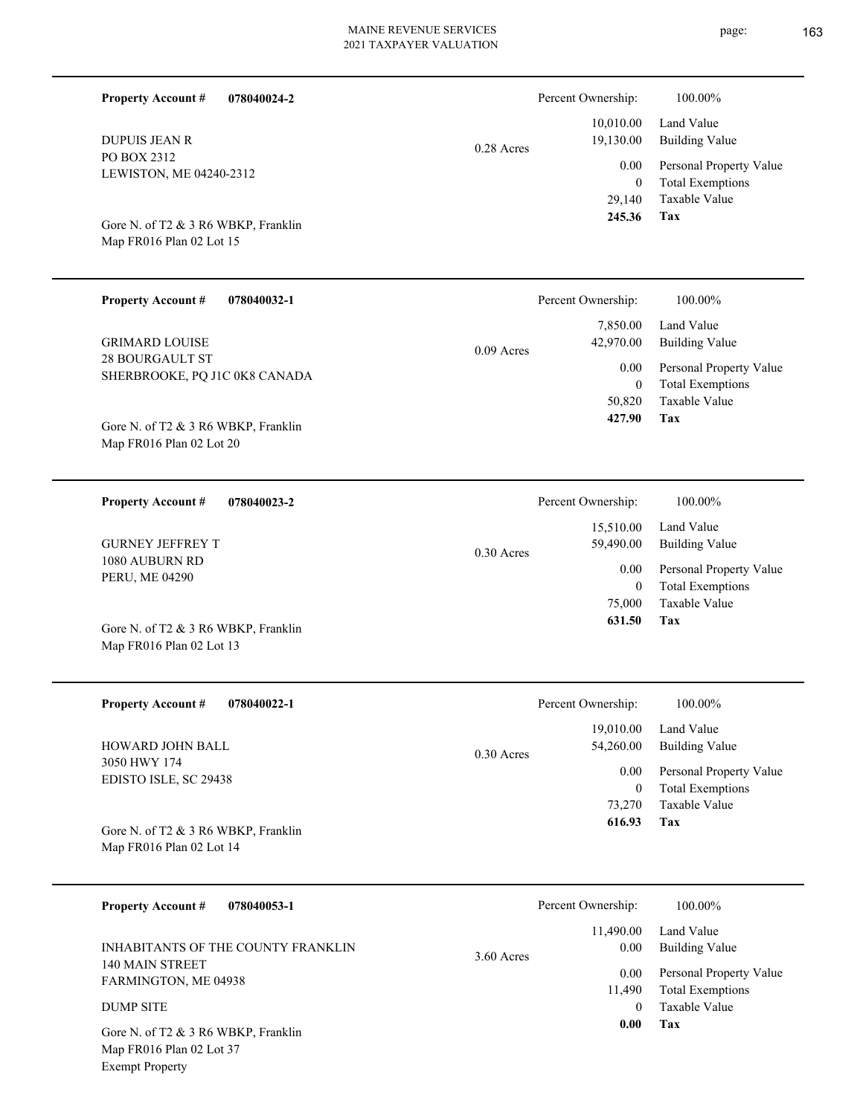| <b>Property Account #</b><br>078040024-2                        |              | Percent Ownership:                 | 100.00%                                                                    |
|-----------------------------------------------------------------|--------------|------------------------------------|----------------------------------------------------------------------------|
| <b>DUPUIS JEAN R</b>                                            | $0.28$ Acres | 10,010.00<br>19,130.00             | Land Value<br><b>Building Value</b>                                        |
| PO BOX 2312<br>LEWISTON, ME 04240-2312                          |              | 0.00<br>$\theta$<br>29,140         | Personal Property Value<br><b>Total Exemptions</b><br>Taxable Value        |
| Gore N. of T2 & 3 R6 WBKP, Franklin<br>Map FR016 Plan 02 Lot 15 |              | 245.36                             | Tax                                                                        |
| <b>Property Account #</b><br>078040032-1                        |              | Percent Ownership:                 | 100.00%                                                                    |
| <b>GRIMARD LOUISE</b>                                           | $0.09$ Acres | 7,850.00<br>42,970.00              | Land Value<br><b>Building Value</b>                                        |
| <b>28 BOURGAULT ST</b><br>SHERBROOKE, PQ J1C 0K8 CANADA         |              | 0.00<br>$\overline{0}$             | Personal Property Value<br><b>Total Exemptions</b>                         |
| Gore N. of T2 & 3 R6 WBKP, Franklin<br>Map FR016 Plan 02 Lot 20 |              | 50,820<br>427.90                   | <b>Taxable Value</b><br>Tax                                                |
| <b>Property Account #</b><br>078040023-2                        |              | Percent Ownership:                 | 100.00%                                                                    |
| <b>GURNEY JEFFREY T</b>                                         | $0.30$ Acres | 15,510.00<br>59,490.00             | Land Value<br><b>Building Value</b>                                        |
| 1080 AUBURN RD<br>PERU, ME 04290                                |              | 0.00<br>$\theta$<br>75,000         | Personal Property Value<br><b>Total Exemptions</b><br><b>Taxable Value</b> |
| Gore N. of T2 & 3 R6 WBKP, Franklin<br>Map FR016 Plan 02 Lot 13 |              | 631.50                             | Tax                                                                        |
| <b>Property Account #</b><br>078040022-1                        |              | Percent Ownership:                 | 100.00%                                                                    |
| HOWARD JOHN BALL                                                | $0.30$ Acres | 19,010.00<br>54,260.00             | Land Value<br><b>Building Value</b>                                        |
| 3050 HWY 174<br>EDISTO ISLE, SC 29438                           |              | 0.00<br>$\boldsymbol{0}$<br>73,270 | Personal Property Value<br><b>Total Exemptions</b><br><b>Taxable Value</b> |
| Gore N. of T2 & 3 R6 WBKP, Franklin<br>Map FR016 Plan 02 Lot 14 |              | 616.93                             | <b>Tax</b>                                                                 |
| <b>Property Account #</b><br>078040053-1                        |              | Percent Ownership:                 | 100.00%                                                                    |
| INHABITANTS OF THE COUNTY FRANKLIN                              | 3.60 Acres   | 11,490.00<br>0.00                  | Land Value<br><b>Building Value</b>                                        |
| 140 MAIN STREET<br>FARMINGTON, ME 04938                         |              | 0.00<br>11,490                     | Personal Property Value<br><b>Total Exemptions</b>                         |
| <b>DUMP SITE</b><br>Gore N. of T2 & 3 R6 WBKP, Franklin         |              | $\overline{0}$<br>0.00             | Taxable Value<br>Tax                                                       |
| Map FR016 Plan 02 Lot 37<br><b>Exempt Property</b>              |              |                                    |                                                                            |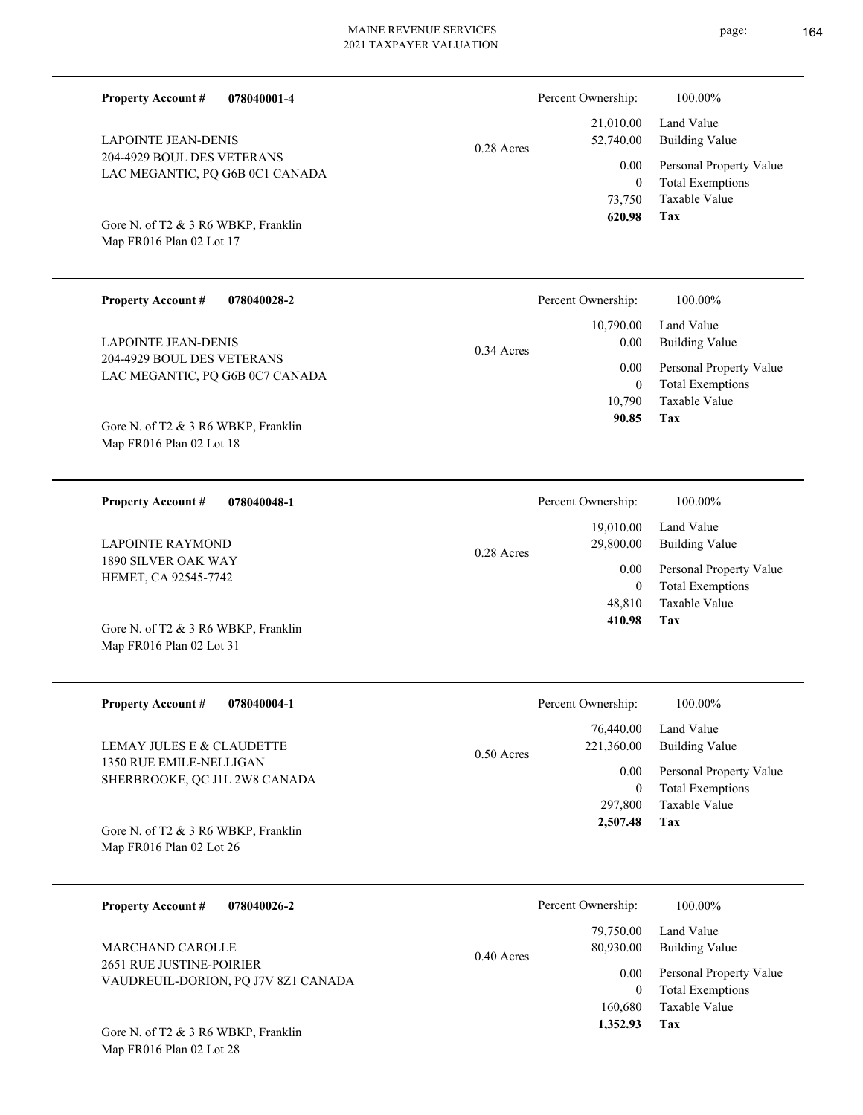| <b>Property Account #</b><br>078040001-4                        |              | Percent Ownership:                        | 100.00%                                                                    |
|-----------------------------------------------------------------|--------------|-------------------------------------------|----------------------------------------------------------------------------|
| <b>LAPOINTE JEAN-DENIS</b>                                      | $0.28$ Acres | 21,010.00<br>52,740.00                    | Land Value<br><b>Building Value</b>                                        |
| 204-4929 BOUL DES VETERANS<br>LAC MEGANTIC, PQ G6B 0C1 CANADA   |              | 0.00<br>$\overline{0}$<br>73,750          | Personal Property Value<br><b>Total Exemptions</b><br>Taxable Value        |
| Gore N. of T2 & 3 R6 WBKP, Franklin<br>Map FR016 Plan 02 Lot 17 |              | 620.98                                    | Tax                                                                        |
| <b>Property Account #</b><br>078040028-2                        |              | Percent Ownership:                        | 100.00%                                                                    |
| <b>LAPOINTE JEAN-DENIS</b>                                      | 0.34 Acres   | 10,790.00<br>0.00                         | Land Value<br><b>Building Value</b>                                        |
| 204-4929 BOUL DES VETERANS<br>LAC MEGANTIC, PQ G6B 0C7 CANADA   |              | 0.00<br>$\overline{0}$<br>10,790<br>90.85 | Personal Property Value<br><b>Total Exemptions</b><br>Taxable Value<br>Tax |
| Gore N. of T2 & 3 R6 WBKP, Franklin<br>Map FR016 Plan 02 Lot 18 |              |                                           |                                                                            |
| <b>Property Account #</b><br>078040048-1                        |              | Percent Ownership:                        | 100.00%                                                                    |
| <b>LAPOINTE RAYMOND</b>                                         | $0.28$ Acres | 19,010.00<br>29,800.00                    | Land Value<br><b>Building Value</b>                                        |
| 1890 SILVER OAK WAY<br>HEMET, CA 92545-7742                     |              | 0.00<br>$\overline{0}$<br>48,810          | Personal Property Value<br><b>Total Exemptions</b><br><b>Taxable Value</b> |
| Gore N. of T2 & 3 R6 WBKP, Franklin<br>Map FR016 Plan 02 Lot 31 |              | 410.98                                    | Tax                                                                        |
| <b>Property Account #</b><br>078040004-1                        |              | Percent Ownership:                        | 100.00%                                                                    |
| LEMAY JULES E & CLAUDETTE                                       | $0.50$ Acres | 76,440.00<br>221,360.00                   | Land Value<br><b>Building Value</b>                                        |
| 1350 RUE EMILE-NELLIGAN<br>SHERBROOKE, QC J1L 2W8 CANADA        |              | $0.00\,$<br>$\overline{0}$                | Personal Property Value<br><b>Total Exemptions</b>                         |
| Gore N. of T2 & 3 R6 WBKP, Franklin<br>Map FR016 Plan 02 Lot 26 |              | 297,800<br>2,507.48                       | Taxable Value<br>Tax                                                       |
| <b>Property Account #</b><br>078040026-2                        |              | Percent Ownership:                        | 100.00%                                                                    |
| MARCHAND CAROLLE                                                | 0.40 Acres   | 79,750.00<br>80,930.00                    | Land Value<br><b>Building Value</b>                                        |
| 2651 RUE JUSTINE-POIRIER<br>VAUDREUIL-DORION, PQ J7V 8Z1 CANADA |              | 0.00<br>$\overline{0}$<br>160,680         | Personal Property Value<br><b>Total Exemptions</b><br>Taxable Value<br>Tax |
| Gore N. of T2 & 3 R6 WBKP, Franklin<br>Map FR016 Plan 02 Lot 28 |              | 1,352.93                                  |                                                                            |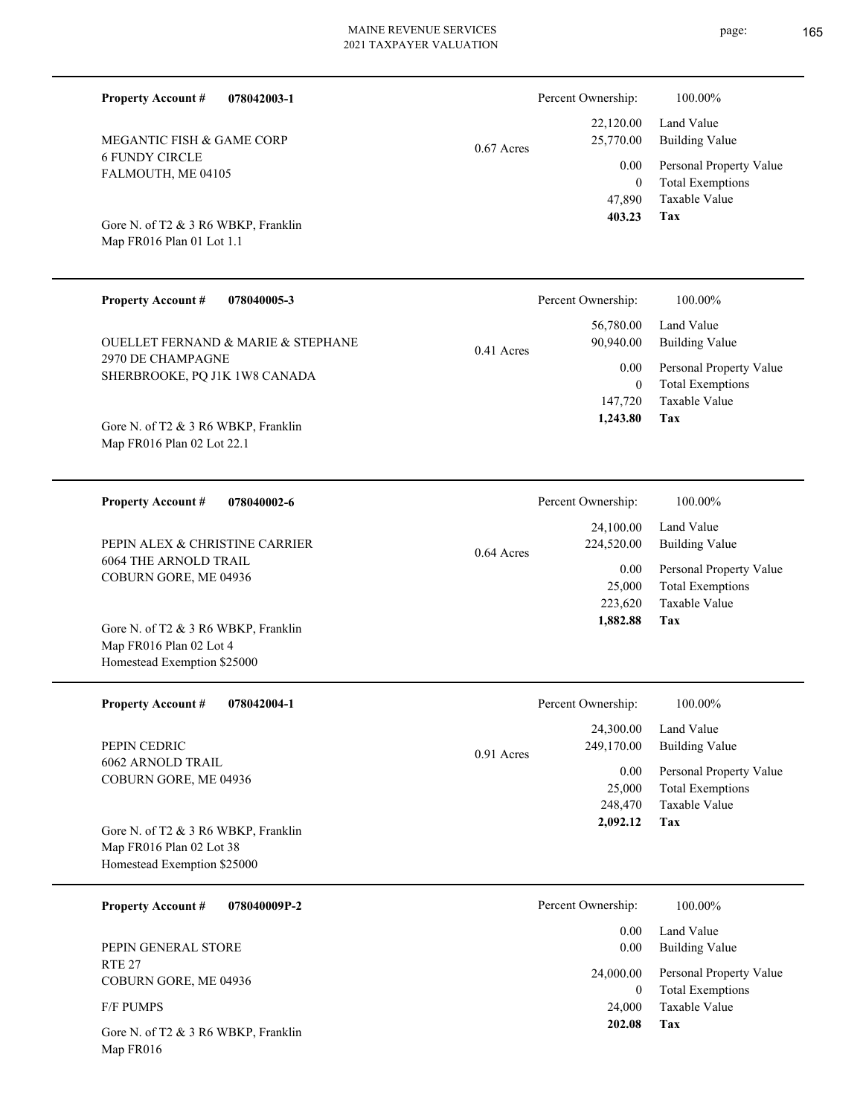| FALMOUTH, ME 04105<br>Gore N. of T2 & 3 R6 WBKP, Franklin<br>Map FR016 Plan 01 Lot 1.1                  | 0.00<br>47,890<br>403.23                     |
|---------------------------------------------------------------------------------------------------------|----------------------------------------------|
| <b>Property Account #</b><br>078040005-3                                                                | Percent Ownership:                           |
| <b>OUELLET FERNAND &amp; MARIE &amp; STEPHANE</b><br>2970 DE CHAMPAGNE<br>SHERBROOKE, PQ J1K 1W8 CANADA | 56,780.00<br>90,940.00<br>0.41 Acres<br>0.00 |
| Gore N. of T2 & 3 R6 WBKP, Franklin<br>Map FR016 Plan 02 Lot 22.1                                       | 147,720<br>1,243.80                          |
| 078040002-6<br><b>Property Account #</b>                                                                | Percent Ownership:                           |
|                                                                                                         | 24,100.00                                    |

6064 THE ARNOLD TRAIL COBURN GORE, ME 04936 PEPIN ALEX & CHRISTINE CARRIER

**078042003-1**

6 FUNDY CIRCLE

MEGANTIC FISH & GAME CORP

**Property Account #**

Map FR016 Plan 02 Lot 4 Homestead Exemption \$25000 Gore N. of T2 & 3 R6 WBKP, Franklin

| <b>Property Account #</b><br>078042004-1          | Percent Ownership:         | 100.00%                 |
|---------------------------------------------------|----------------------------|-------------------------|
|                                                   | 24,300.00                  | Land Value              |
| PEPIN CEDRIC                                      | 249,170.00<br>$0.91$ Acres | Building Value          |
| 6062 ARNOLD TRAIL<br><b>COBURN GORE, ME 04936</b> | 0.00                       | Personal Property Value |
|                                                   | 25,000                     | <b>Total Exemptions</b> |
|                                                   | 248,470                    | Taxable Value           |
| Gore N. of T2 & 3 R6 WBKP, Franklin               | 2,092.12                   | Tax                     |
| Map FR016 Plan 02 Lot 38                          |                            |                         |
| Homestead Exemption \$25000                       |                            |                         |
| 078040009P-2<br><b>Property Account #</b>         | Percent Ownership:         | 100.00%                 |

0.64 Acres

RTE 27 COBURN GORE, ME 04936 PEPIN GENERAL STORE

F/F PUMPS

Map FR016 Gore N. of T2 & 3 R6 WBKP, Franklin

**Tax** Taxable Value  $\overline{0}$  $\overline{\mathbf{3}}$ 

 $100.00\%$ 

| 56,780.00<br>90,940.00 | Land Value<br><b>Building Value</b>                |
|------------------------|----------------------------------------------------|
| $0.00\,$<br>$\theta$   | Personal Property Value<br><b>Total Exemptions</b> |
|                        | 147,720 Taxable Value                              |
| 1,243.80               | Tax                                                |

| Percent Ownership:      | 100.00%                      |
|-------------------------|------------------------------|
| 24,100.00<br>224,520.00 | Land Value<br>Building Value |
| 0.00                    | Personal Property Value      |
| 25,000                  | <b>Total Exemptions</b>      |
| 223,620                 | Taxable Value                |
| 1,882.88                | Tax                          |

| nt Ownership: | 100.00%                 |
|---------------|-------------------------|
| 0.00          | Land Value              |
| 0.00          | Building Value          |
| 24,000.00     | Personal Property Value |
| 0             | <b>Total Exemptions</b> |
| 24,000        | Taxable Value           |
| 202.08        | Tax                     |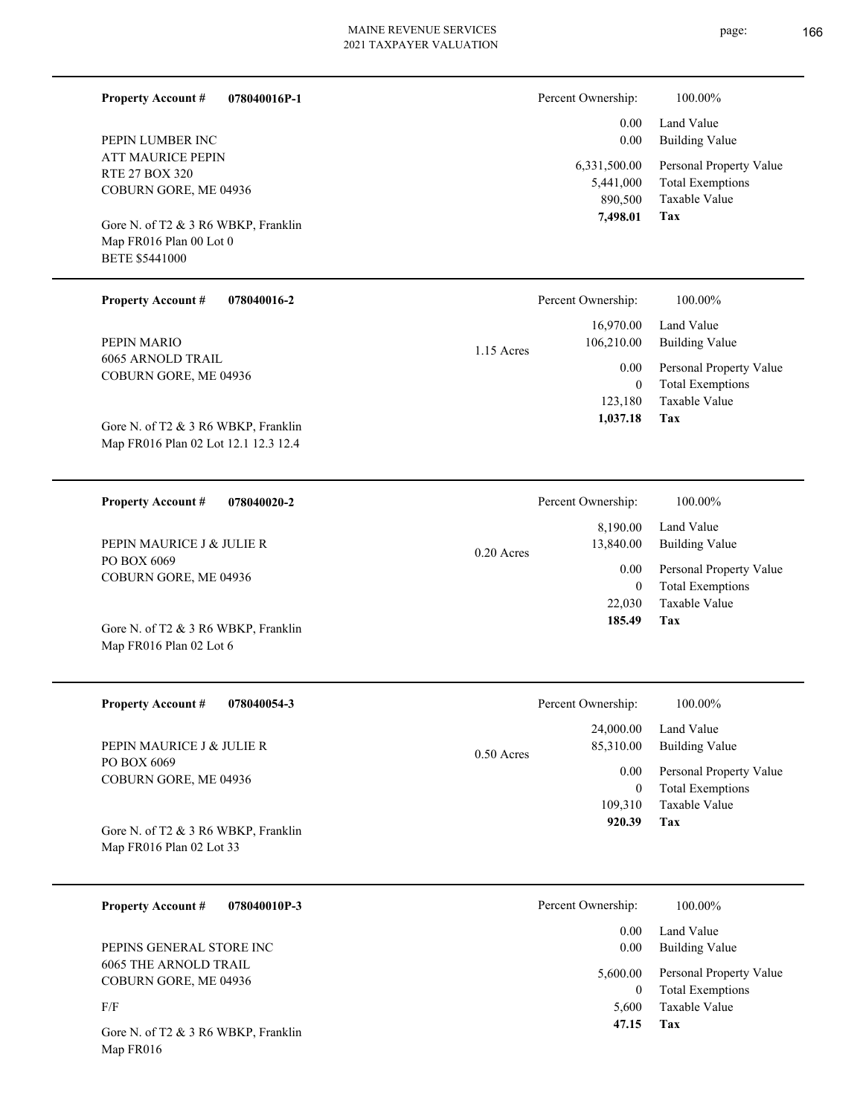$\overline{\phantom{0}}$ 

| <b>Property Account #</b><br>078040016P-1                       | Percent Ownership:        | 100.00%                                            |
|-----------------------------------------------------------------|---------------------------|----------------------------------------------------|
| PEPIN LUMBER INC                                                | 0.00<br>0.00              | Land Value<br><b>Building Value</b>                |
| ATT MAURICE PEPIN                                               | 6,331,500.00              | Personal Property Value                            |
| RTE 27 BOX 320<br>COBURN GORE, ME 04936                         | 5,441,000<br>890,500      | <b>Total Exemptions</b><br>Taxable Value           |
| Gore N. of T2 & 3 R6 WBKP, Franklin                             | 7,498.01                  | Tax                                                |
| Map FR016 Plan 00 Lot 0                                         |                           |                                                    |
| <b>BETE \$5441000</b>                                           |                           |                                                    |
| <b>Property Account #</b><br>078040016-2                        | Percent Ownership:        | 100.00%                                            |
|                                                                 | 16,970.00                 | Land Value                                         |
| PEPIN MARIO<br>6065 ARNOLD TRAIL                                | 106,210.00<br>1.15 Acres  | <b>Building Value</b>                              |
| COBURN GORE, ME 04936                                           | 0.00<br>$\mathbf{0}$      | Personal Property Value<br><b>Total Exemptions</b> |
|                                                                 | 123,180                   | Taxable Value                                      |
| Gore N. of T2 & 3 R6 WBKP, Franklin                             | 1,037.18                  | Tax                                                |
| Map FR016 Plan 02 Lot 12.1 12.3 12.4                            |                           |                                                    |
|                                                                 |                           |                                                    |
| <b>Property Account #</b><br>078040020-2                        | Percent Ownership:        | 100.00%                                            |
|                                                                 | 8,190.00                  | Land Value                                         |
| PEPIN MAURICE J & JULIE R                                       | 13,840.00<br>$0.20$ Acres | <b>Building Value</b>                              |
| PO BOX 6069<br>COBURN GORE, ME 04936                            | 0.00                      | Personal Property Value                            |
|                                                                 | $\mathbf{0}$<br>22,030    | <b>Total Exemptions</b><br>Taxable Value           |
|                                                                 | 185.49                    | Tax                                                |
| Gore N. of T2 & 3 R6 WBKP, Franklin<br>Map FR016 Plan 02 Lot 6  |                           |                                                    |
|                                                                 |                           |                                                    |
| <b>Property Account #</b><br>078040054-3                        | Percent Ownership:        | 100.00%                                            |
|                                                                 | 24,000.00                 | Land Value                                         |
| PEPIN MAURICE J & JULIE R                                       | 85,310.00<br>0.50 Acres   | <b>Building Value</b>                              |
| PO BOX 6069<br>COBURN GORE, ME 04936                            | 0.00                      | Personal Property Value                            |
|                                                                 | $\boldsymbol{0}$          | <b>Total Exemptions</b>                            |
|                                                                 | 109,310<br>920.39         | Taxable Value<br>Tax                               |
| Gore N. of T2 & 3 R6 WBKP, Franklin<br>Map FR016 Plan 02 Lot 33 |                           |                                                    |
|                                                                 |                           |                                                    |
|                                                                 |                           |                                                    |
| <b>Property Account #</b><br>078040010P-3                       | Percent Ownership:        | 100.00%                                            |
| PEPINS GENERAL STORE INC                                        | 0.00<br>0.00              | Land Value<br><b>Building Value</b>                |
| <b>6065 THE ARNOLD TRAIL</b>                                    |                           |                                                    |
| COBURN GORE, ME 04936                                           | 5,600.00<br>$\bf{0}$      | Personal Property Value<br><b>Total Exemptions</b> |
| F/F                                                             | 5,600                     | Taxable Value                                      |
| Gore N. of T2 & 3 R6 WBKP, Franklin                             | 47.15                     | Tax                                                |
| Map FR016                                                       |                           |                                                    |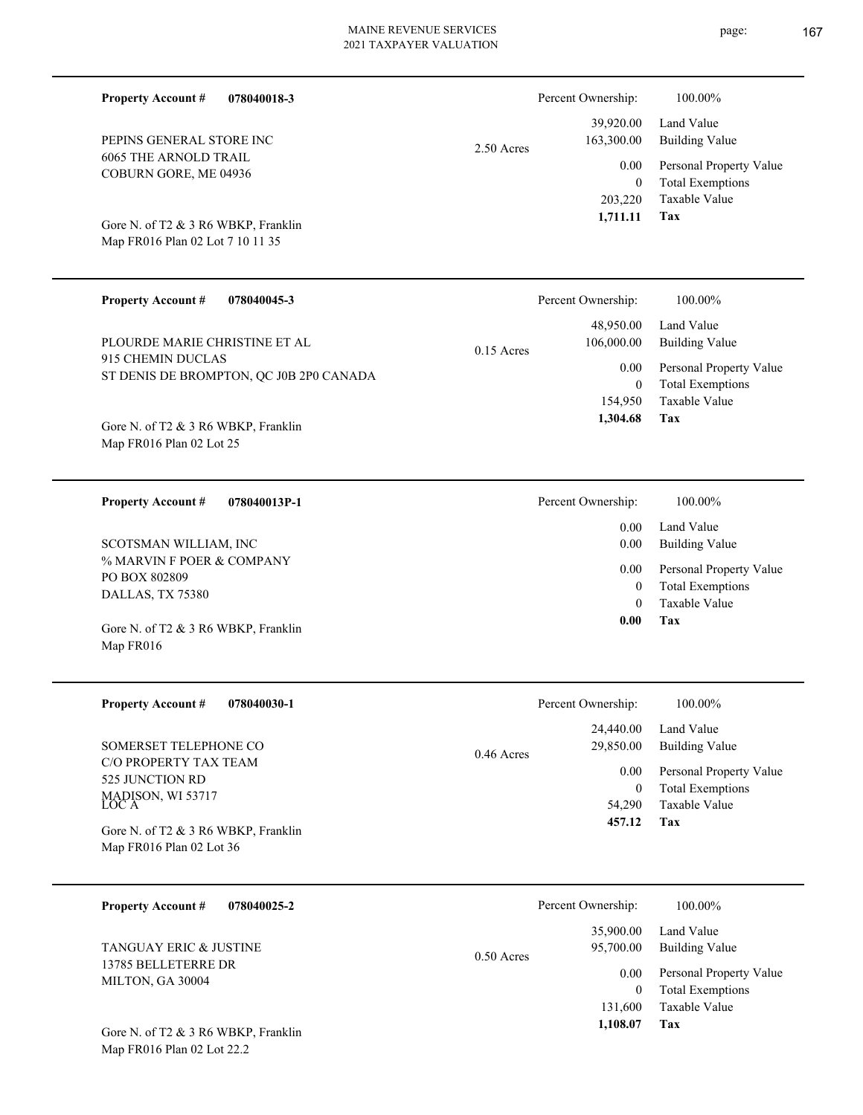|                                                                         |              | Percent Ownership:                | 100.00%                                                             |
|-------------------------------------------------------------------------|--------------|-----------------------------------|---------------------------------------------------------------------|
| PEPINS GENERAL STORE INC                                                | 2.50 Acres   | 39,920.00<br>163,300.00           | Land Value<br><b>Building Value</b>                                 |
| <b>6065 THE ARNOLD TRAIL</b><br>COBURN GORE, ME 04936                   |              | 0.00<br>$\overline{0}$<br>203,220 | Personal Property Value<br><b>Total Exemptions</b><br>Taxable Value |
| Gore N. of T2 & 3 R6 WBKP, Franklin<br>Map FR016 Plan 02 Lot 7 10 11 35 |              | 1,711.11                          | Tax                                                                 |
| <b>Property Account #</b><br>078040045-3                                |              | Percent Ownership:                | 100.00%                                                             |
| PLOURDE MARIE CHRISTINE ET AL                                           | $0.15$ Acres | 48,950.00<br>106,000.00           | Land Value<br><b>Building Value</b>                                 |
| 915 CHEMIN DUCLAS<br>ST DENIS DE BROMPTON, QC J0B 2P0 CANADA            |              | 0.00<br>$\overline{0}$<br>154,950 | Personal Property Value<br><b>Total Exemptions</b><br>Taxable Value |
| Gore N. of T2 & 3 R6 WBKP, Franklin<br>Map FR016 Plan 02 Lot 25         |              | 1,304.68                          | Tax                                                                 |
| <b>Property Account #</b><br>078040013P-1                               |              | Percent Ownership:                | 100.00%                                                             |
| SCOTSMAN WILLIAM, INC                                                   |              | 0.00<br>0.00                      | Land Value<br><b>Building Value</b>                                 |
| % MARVIN F POER & COMPANY<br>PO BOX 802809                              |              | 0.00<br>$\overline{0}$            | Personal Property Value<br><b>Total Exemptions</b>                  |
| DALLAS, TX 75380<br>Gore N. of T2 & 3 R6 WBKP, Franklin<br>Map FR016    |              | $\theta$<br>0.00                  | Taxable Value<br>Tax                                                |
|                                                                         |              |                                   |                                                                     |
| <b>Property Account #</b><br>078040030-1                                |              | Percent Ownership:                | 100.00%                                                             |
| SOMERSET TELEPHONE CO                                                   |              | 24,440.00<br>29,850.00            | Land Value<br><b>Building Value</b>                                 |
| C/O PROPERTY TAX TEAM<br>525 JUNCTION RD                                | 0.46 Acres   | 0.00<br>$\boldsymbol{0}$          | Personal Property Value<br><b>Total Exemptions</b>                  |
| MADISON, WI 53717<br>LOC A                                              |              | 54,290<br>457.12                  | Taxable Value<br>Tax                                                |
| Gore N. of T2 & 3 R6 WBKP, Franklin<br>Map FR016 Plan 02 Lot 36         |              |                                   |                                                                     |
| <b>Property Account #</b><br>078040025-2                                |              | Percent Ownership:                | 100.00%                                                             |
| TANGUAY ERIC & JUSTINE                                                  | $0.50$ Acres | 35,900.00<br>95,700.00            | Land Value<br><b>Building Value</b>                                 |
| 13785 BELLETERRE DR<br>MILTON, GA 30004                                 |              | 0.00<br>$\mathbf{0}$              | Personal Property Value<br><b>Total Exemptions</b>                  |
| Gore N. of T2 & 3 R6 WBKP, Franklin<br>Map FR016 Plan 02 Lot 22.2       |              | 131,600<br>1,108.07               | Taxable Value<br>Tax                                                |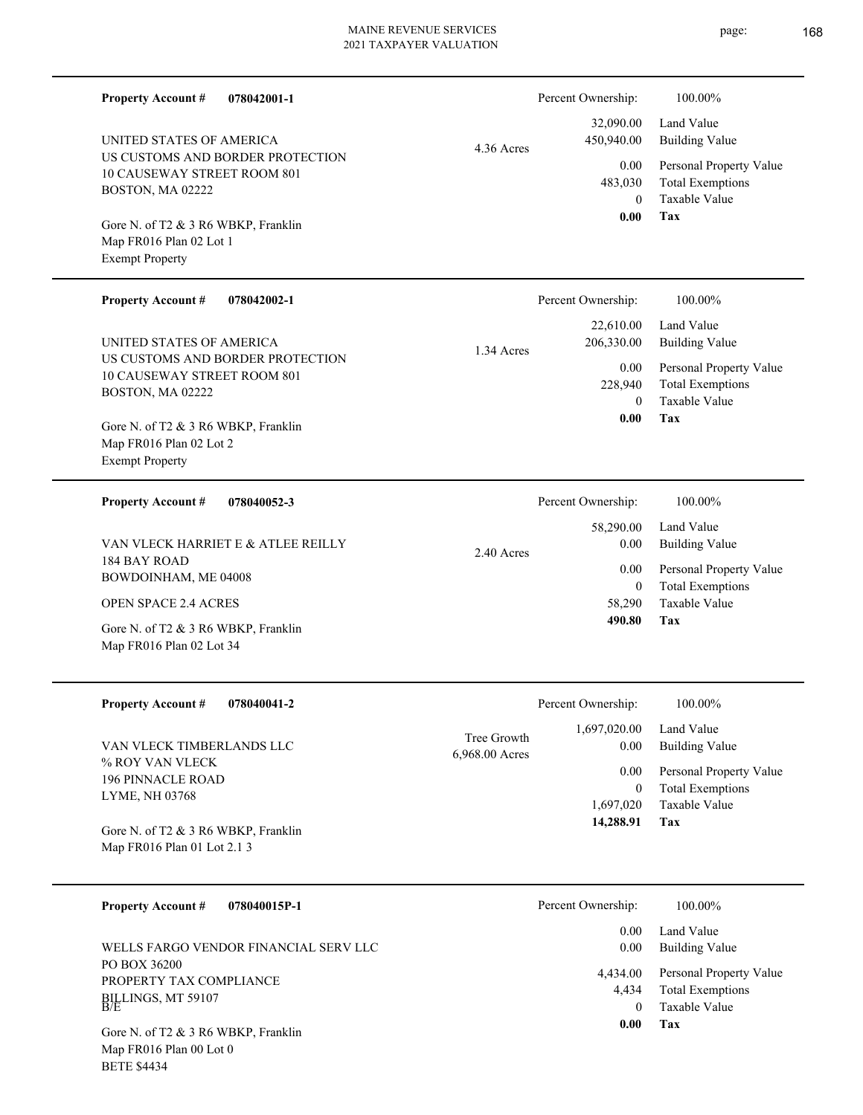page: 168

| <b>Property Account #</b><br>078042001-1                           |                | Percent Ownership:      | 100.00%                                            |
|--------------------------------------------------------------------|----------------|-------------------------|----------------------------------------------------|
| UNITED STATES OF AMERICA                                           | 4.36 Acres     | 32,090.00<br>450,940.00 | Land Value<br><b>Building Value</b>                |
| US CUSTOMS AND BORDER PROTECTION<br>10 CAUSEWAY STREET ROOM 801    |                | 0.00                    | Personal Property Value                            |
| BOSTON, MA 02222                                                   |                | 483,030<br>$\theta$     | <b>Total Exemptions</b><br>Taxable Value           |
| Gore N. of T2 & 3 R6 WBKP, Franklin                                |                | 0.00                    | Tax                                                |
| Map FR016 Plan 02 Lot 1<br><b>Exempt Property</b>                  |                |                         |                                                    |
|                                                                    |                |                         |                                                    |
| <b>Property Account #</b><br>078042002-1                           |                | Percent Ownership:      | 100.00%                                            |
| UNITED STATES OF AMERICA                                           |                | 22,610.00<br>206,330.00 | Land Value<br><b>Building Value</b>                |
| US CUSTOMS AND BORDER PROTECTION                                   | 1.34 Acres     | 0.00                    | Personal Property Value                            |
| 10 CAUSEWAY STREET ROOM 801<br>BOSTON, MA 02222                    |                | 228,940                 | <b>Total Exemptions</b>                            |
|                                                                    |                | $\theta$<br>0.00        | Taxable Value<br>Tax                               |
| Gore N. of T2 & 3 R6 WBKP, Franklin<br>Map FR016 Plan 02 Lot 2     |                |                         |                                                    |
| <b>Exempt Property</b>                                             |                |                         |                                                    |
| <b>Property Account #</b><br>078040052-3                           |                | Percent Ownership:      | 100.00%                                            |
|                                                                    |                | 58,290.00               | Land Value                                         |
| VAN VLECK HARRIET E & ATLEE REILLY<br>184 BAY ROAD                 | 2.40 Acres     | 0.00<br>0.00            | <b>Building Value</b>                              |
| BOWDOINHAM, ME 04008                                               |                | $\overline{0}$          | Personal Property Value<br><b>Total Exemptions</b> |
| <b>OPEN SPACE 2.4 ACRES</b>                                        |                | 58,290<br>490.80        | Taxable Value<br>Tax                               |
| Gore N. of T2 & 3 R6 WBKP, Franklin<br>Map FR016 Plan 02 Lot 34    |                |                         |                                                    |
| <b>Property Account #</b><br>078040041-2                           |                | Percent Ownership:      | 100.00%                                            |
| VAN VLECK TIMBERLANDS LLC                                          | Tree Growth    | 1,697,020.00<br>0.00    | Land Value<br><b>Building Value</b>                |
| % ROY VAN VLECK                                                    | 6,968.00 Acres | 0.00                    | Personal Property Value                            |
| <b>196 PINNACLE ROAD</b><br>LYME, NH 03768                         |                | $\overline{0}$          | <b>Total Exemptions</b>                            |
|                                                                    |                | 1,697,020<br>14,288.91  | Taxable Value<br>Tax                               |
| Gore N. of T2 & 3 R6 WBKP, Franklin<br>Map FR016 Plan 01 Lot 2.1 3 |                |                         |                                                    |
|                                                                    |                |                         |                                                    |
| 078040015P-1<br><b>Property Account #</b>                          |                | Percent Ownership:      | 100.00%                                            |
| WELLS FARGO VENDOR FINANCIAL SERV LLC                              |                | 0.00<br>0.00            | Land Value<br><b>Building Value</b>                |
| PO BOX 36200<br>PROPERTY TAX COMPLIANCE                            |                | 4,434.00                | Personal Property Value                            |
| BILLINGS, MT 59107<br>B/E                                          |                | 4,434<br>$\overline{0}$ | <b>Total Exemptions</b><br>Taxable Value           |
| Gore N. of T2 & 3 R6 WBKP, Franklin                                |                | 0.00                    | Tax                                                |
| Map FR016 Plan 00 Lot 0                                            |                |                         |                                                    |

BETE \$4434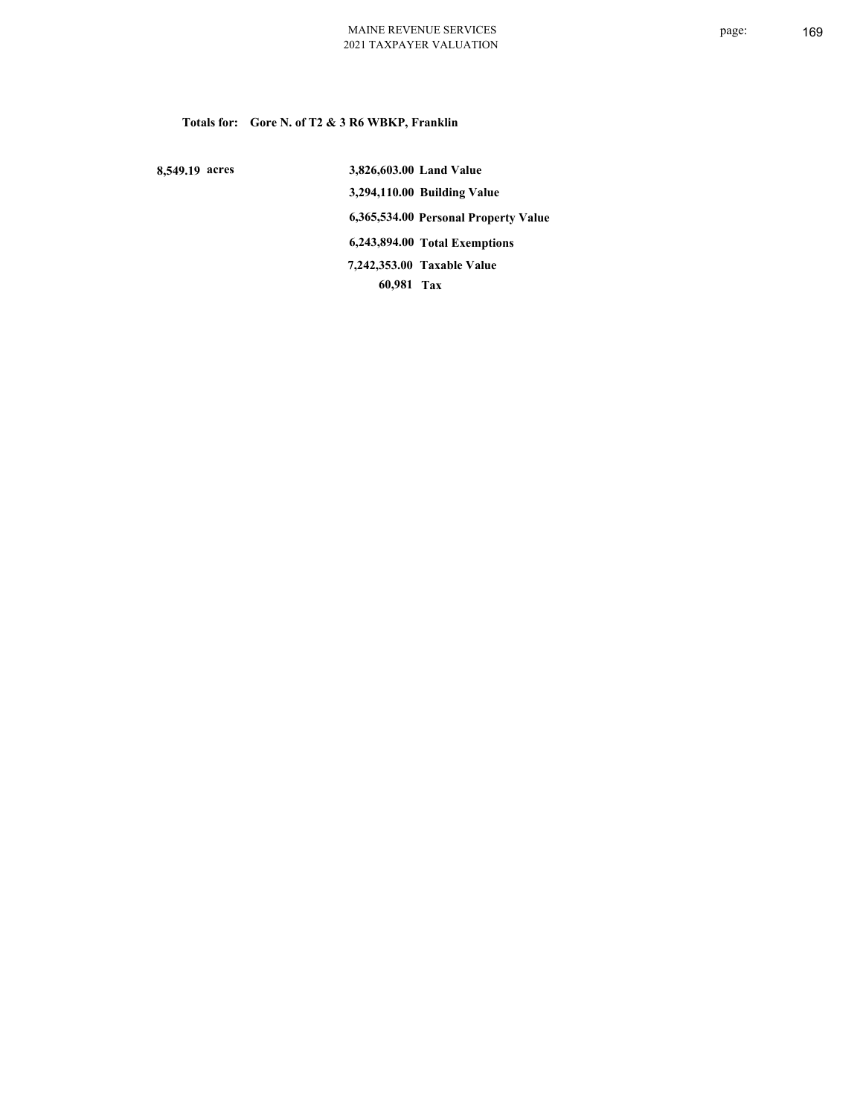**Totals for: Gore N. of T2 & 3 R6 WBKP, Franklin**

 **8,549.19 acres**

 **3,826,603.00 Land Value 3,294,110.00 Building Value 6,365,534.00 Personal Property Value 6,243,894.00 Total Exemptions 60,981 Tax Taxable Value 7,242,353.00**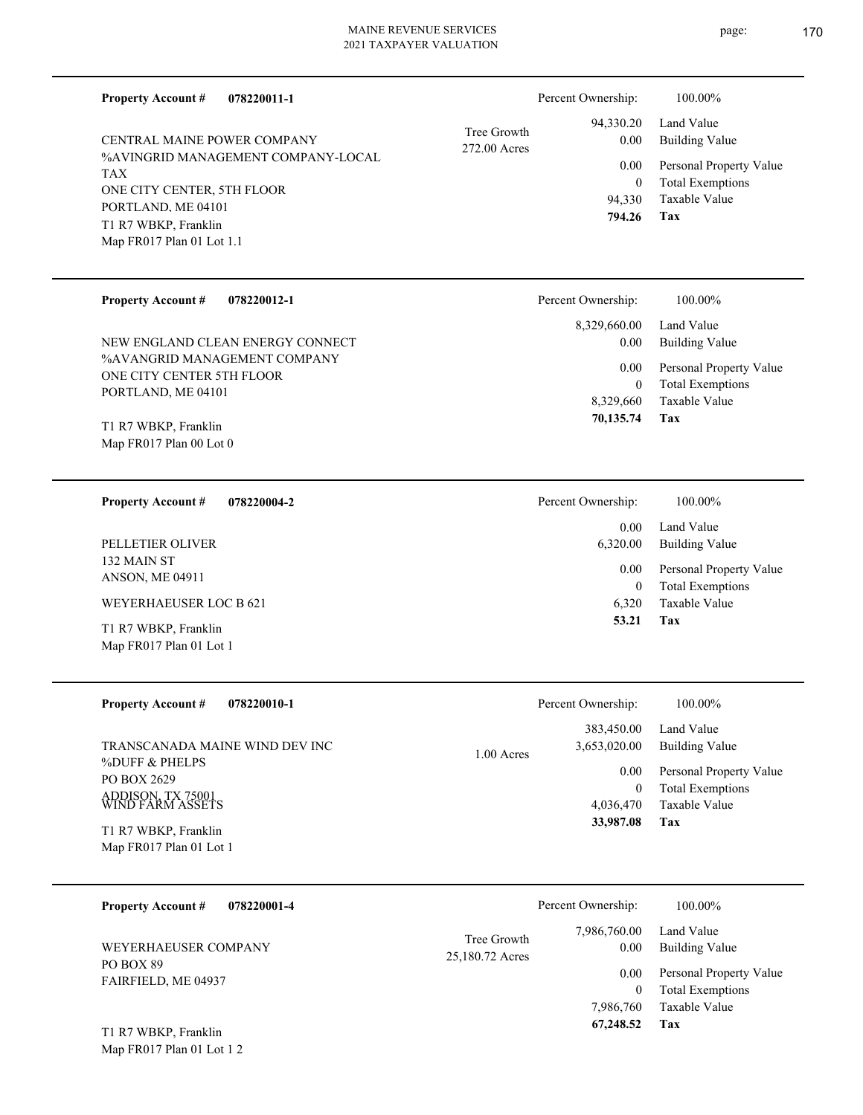| 078220011-1<br><b>Property Account #</b>                  |                 | Percent Ownership:        | 100.00%                                            |
|-----------------------------------------------------------|-----------------|---------------------------|----------------------------------------------------|
| <b>CENTRAL MAINE POWER COMPANY</b>                        | Tree Growth     | 94,330.20<br>0.00         | Land Value<br><b>Building Value</b>                |
| %AVINGRID MANAGEMENT COMPANY-LOCAL                        | 272.00 Acres    | 0.00                      | Personal Property Value                            |
| TAX<br>ONE CITY CENTER, 5TH FLOOR                         |                 | $\boldsymbol{0}$          | <b>Total Exemptions</b>                            |
| PORTLAND, ME 04101                                        |                 | 94,330<br>794.26          | <b>Taxable Value</b><br>Tax                        |
| T1 R7 WBKP, Franklin<br>Map FR017 Plan 01 Lot 1.1         |                 |                           |                                                    |
|                                                           |                 |                           |                                                    |
| <b>Property Account #</b><br>078220012-1                  |                 | Percent Ownership:        | 100.00%                                            |
|                                                           |                 | 8,329,660.00              | Land Value                                         |
| NEW ENGLAND CLEAN ENERGY CONNECT                          |                 | 0.00                      | <b>Building Value</b>                              |
| %AVANGRID MANAGEMENT COMPANY<br>ONE CITY CENTER 5TH FLOOR |                 | 0.00                      | Personal Property Value                            |
| PORTLAND, ME 04101                                        |                 | $\mathbf{0}$<br>8,329,660 | <b>Total Exemptions</b><br>Taxable Value           |
| T1 R7 WBKP, Franklin                                      |                 | 70,135.74                 | Tax                                                |
| Map FR017 Plan 00 Lot 0                                   |                 |                           |                                                    |
|                                                           |                 |                           |                                                    |
| <b>Property Account #</b><br>078220004-2                  |                 | Percent Ownership:        | 100.00%                                            |
| PELLETIER OLIVER                                          |                 | 0.00<br>6,320.00          | Land Value<br><b>Building Value</b>                |
| 132 MAIN ST<br>ANSON, ME 04911                            |                 | 0.00                      | Personal Property Value                            |
| <b>WEYERHAEUSER LOC B 621</b>                             |                 | $\mathbf{0}$<br>6,320     | <b>Total Exemptions</b><br>Taxable Value           |
| T1 R7 WBKP, Franklin                                      |                 | 53.21                     | Tax                                                |
| Map FR017 Plan 01 Lot 1                                   |                 |                           |                                                    |
|                                                           |                 |                           |                                                    |
| <b>Property Account #</b><br>078220010-1                  |                 | Percent Ownership:        | 100.00%                                            |
|                                                           |                 | 383,450.00                | Land Value                                         |
| TRANSCANADA MAINE WIND DEV INC<br>%DUFF & PHELPS          | 1.00 Acres      | 3,653,020.00              | <b>Building Value</b>                              |
| PO BOX 2629                                               |                 | 0.00<br>$\boldsymbol{0}$  | Personal Property Value<br><b>Total Exemptions</b> |
| ADDISON, TX 75001<br>WIND FARM ASSETS                     |                 | 4,036,470                 | <b>Taxable Value</b>                               |
| T1 R7 WBKP, Franklin                                      |                 | 33,987.08                 | Tax                                                |
| Map FR017 Plan 01 Lot 1                                   |                 |                           |                                                    |
|                                                           |                 |                           |                                                    |
| <b>Property Account #</b><br>078220001-4                  |                 | Percent Ownership:        | 100.00%                                            |
| WEYERHAEUSER COMPANY                                      | Tree Growth     | 7,986,760.00<br>0.00      | Land Value<br><b>Building Value</b>                |
| PO BOX 89                                                 | 25,180.72 Acres | 0.00                      | Personal Property Value                            |
| FAIRFIELD, ME 04937                                       |                 | $\boldsymbol{0}$          | <b>Total Exemptions</b>                            |

**Tax 67,248.52**

7,986,760

Taxable Value

Map FR017 Plan 01 Lot 1 2 T1 R7 WBKP, Franklin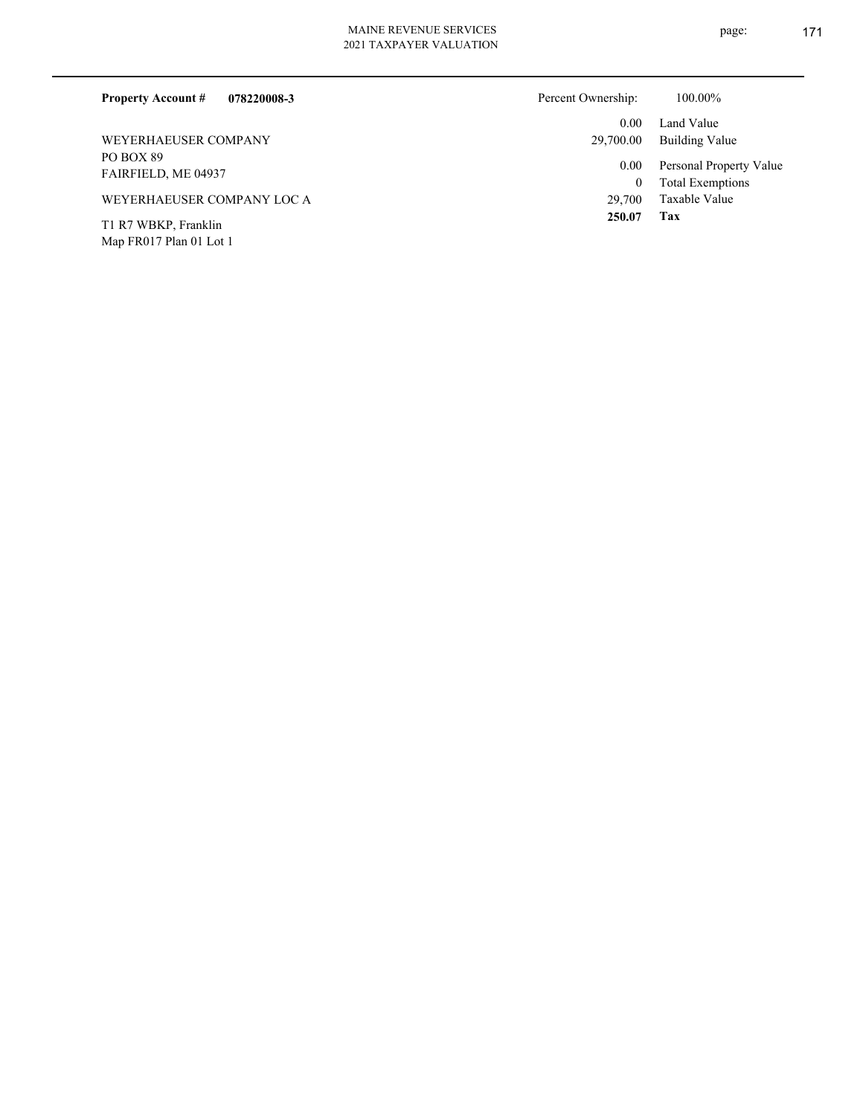Map FR017 Plan 01 Lot 1

| 078220008-3<br><b>Property Account #</b> | Percent Ownership:             | 100.00%                                            |
|------------------------------------------|--------------------------------|----------------------------------------------------|
| WEYERHAEUSER COMPANY                     | 0.00 <sub>1</sub><br>29,700.00 | Land Value<br>Building Value                       |
| PO BOX 89<br>FAIRFIELD, ME 04937         | 0.00<br>$\theta$               | Personal Property Value<br><b>Total Exemptions</b> |
| WEYERHAEUSER COMPANY LOC A               | 29,700                         | Taxable Value                                      |
| T1 R7 WBKP, Franklin                     | 250.07                         | Tax                                                |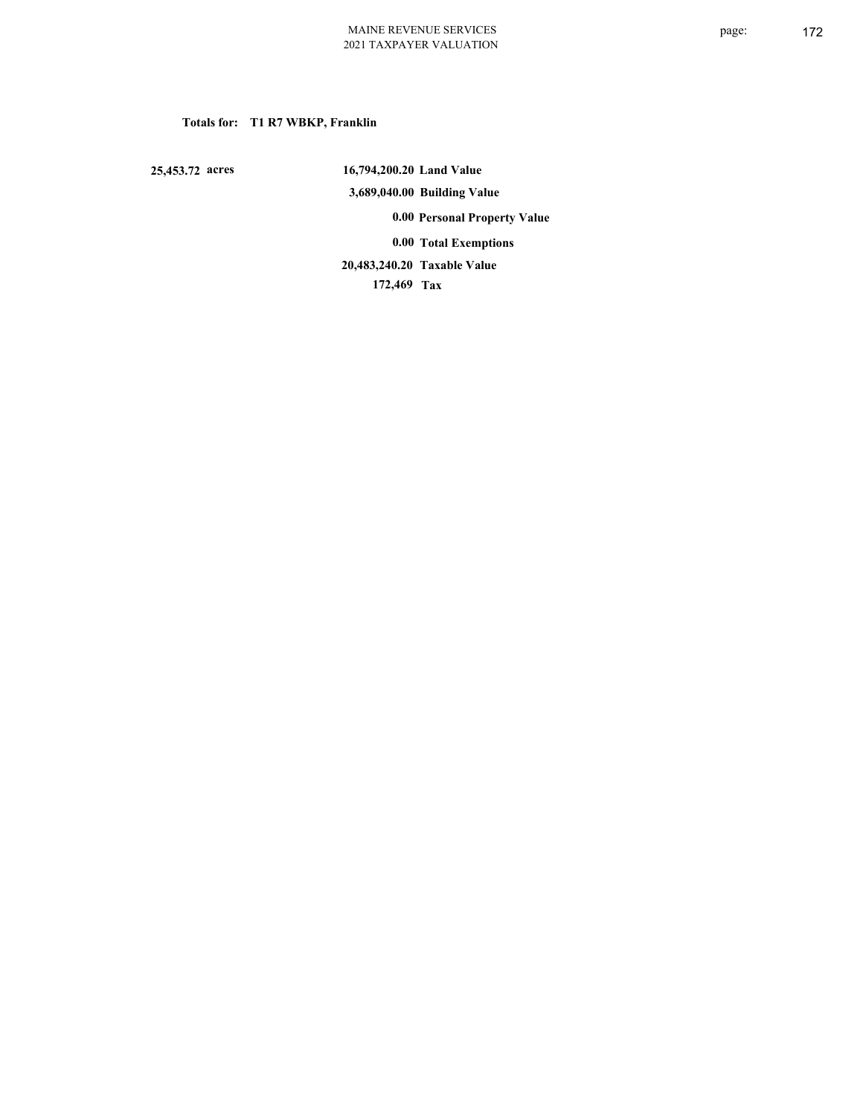# **Totals for: T1 R7 WBKP, Franklin**

 **25,453.72 acres**

 **16,794,200.20 Land Value 3,689,040.00 Building Value 0.00 Personal Property Value 0.00 Total Exemptions Taxable Value 20,483,240.20**

 **172,469 Tax**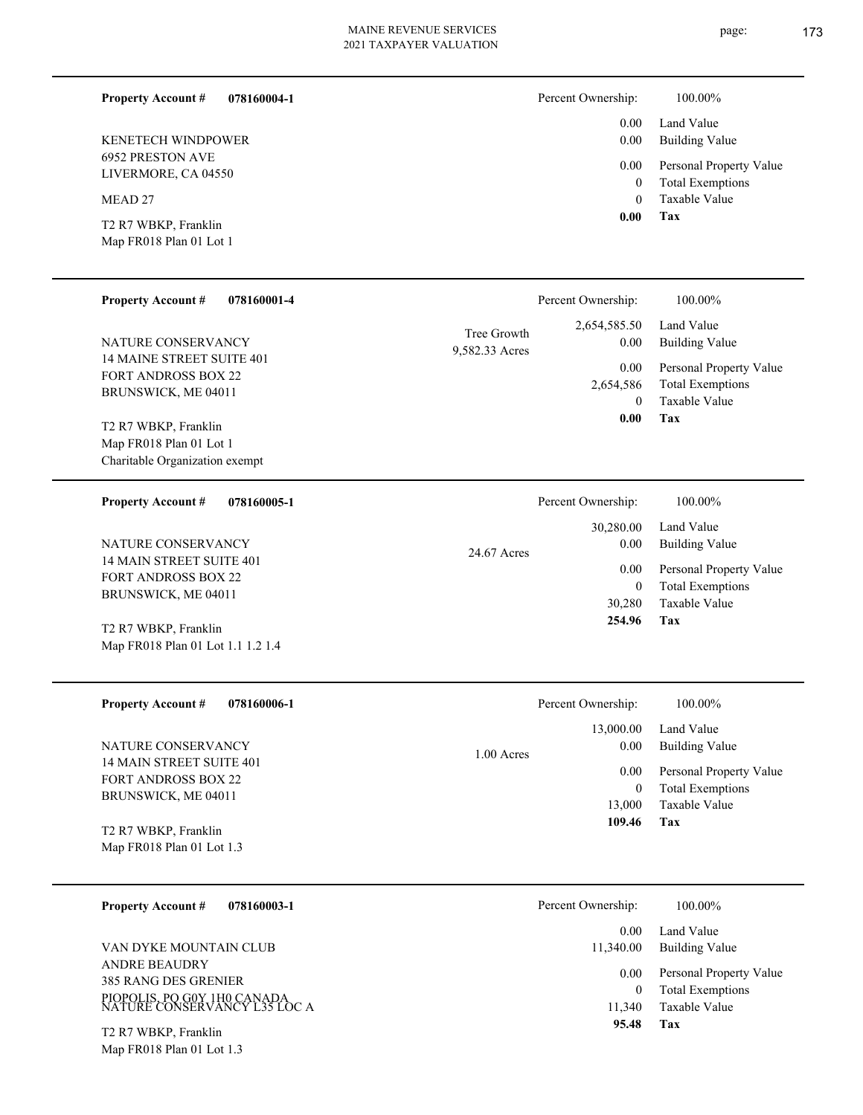page: 173

| <b>Property Account #</b><br>078160004-1            |                | Percent Ownership: | 100.00%                                         |
|-----------------------------------------------------|----------------|--------------------|-------------------------------------------------|
|                                                     |                | 0.00               | Land Value                                      |
| <b>KENETECH WINDPOWER</b>                           |                | 0.00               | <b>Building Value</b>                           |
| <b>6952 PRESTON AVE</b><br>LIVERMORE, CA 04550      |                | 0.00               | Personal Property Value                         |
|                                                     |                | $\mathbf{0}$       | <b>Total Exemptions</b><br><b>Taxable Value</b> |
| MEAD <sub>27</sub>                                  |                | $\theta$<br>0.00   | Tax                                             |
| T2 R7 WBKP, Franklin                                |                |                    |                                                 |
| Map FR018 Plan 01 Lot 1                             |                |                    |                                                 |
| <b>Property Account #</b><br>078160001-4            |                | Percent Ownership: | 100.00%                                         |
|                                                     |                | 2,654,585.50       | Land Value                                      |
| NATURE CONSERVANCY                                  | Tree Growth    | 0.00               | <b>Building Value</b>                           |
| <b>14 MAINE STREET SUITE 401</b>                    | 9,582.33 Acres | 0.00               | Personal Property Value                         |
| <b>FORT ANDROSS BOX 22</b>                          |                | 2,654,586          | <b>Total Exemptions</b>                         |
| BRUNSWICK, ME 04011                                 |                | $\Omega$           | <b>Taxable Value</b>                            |
| T2 R7 WBKP, Franklin                                |                | 0.00               | Tax                                             |
| Map FR018 Plan 01 Lot 1                             |                |                    |                                                 |
| Charitable Organization exempt                      |                |                    |                                                 |
| <b>Property Account #</b><br>078160005-1            |                | Percent Ownership: | 100.00%                                         |
|                                                     |                | 30,280.00          | Land Value                                      |
| NATURE CONSERVANCY                                  | 24.67 Acres    | 0.00               | <b>Building Value</b>                           |
| 14 MAIN STREET SUITE 401                            |                | 0.00               | Personal Property Value                         |
| <b>FORT ANDROSS BOX 22</b><br>BRUNSWICK, ME 04011   |                | $\boldsymbol{0}$   | <b>Total Exemptions</b>                         |
|                                                     |                | 30,280             | Taxable Value                                   |
| $\mathbb{R}^n$ be winter $\mathbb{R}^n$<br>$\cdots$ |                | 254.96             | Tax                                             |

| T2 R7 WBKP, Franklin              |
|-----------------------------------|
| Map FR018 Plan 01 Lot 1.1 1.2 1.4 |

| <b>Property Account #</b><br>078160006-1          | Percent Ownership:                | 100.00%                                                             |
|---------------------------------------------------|-----------------------------------|---------------------------------------------------------------------|
| NATURE CONSERVANCY<br>14 MAIN STREET SUITE 401    | 13,000.00<br>0.00<br>$1.00$ Acres | Land Value<br>Building Value                                        |
| <b>FORT ANDROSS BOX 22</b><br>BRUNSWICK, ME 04011 | 0.00<br>$\mathbf{0}$<br>13,000    | Personal Property Value<br><b>Total Exemptions</b><br>Taxable Value |
| T2 R7 WBKP, Franklin<br>Map FR018 Plan 01 Lot 1.3 | 109.46                            | Tax                                                                 |

| <b>Property Account #</b><br>078160003-1                                                                    | Percent Ownership:               | 100.00%                                                             |
|-------------------------------------------------------------------------------------------------------------|----------------------------------|---------------------------------------------------------------------|
|                                                                                                             | 0.00                             | Land Value                                                          |
| VAN DYKE MOUNTAIN CLUB                                                                                      | 11,340.00                        | Building Value                                                      |
| <b>ANDRE BEAUDRY</b><br>385 RANG DES GRENIER<br>PIOPOLIS, PO G0Y 1H0 CANADA<br>NATURE CONSERVANCY L35 LOC A | 0.00 <sub>1</sub><br>0<br>11.340 | Personal Property Value<br><b>Total Exemptions</b><br>Taxable Value |
| $T^{\prime}$ D $T$ WD $V$ D $\Gamma_{\text{max}}$ let $\Gamma_{\text{max}}$                                 | 95.48                            | Tax                                                                 |

Map FR018 Plan 01 Lot 1.3 T2 R7 WBKP, Franklin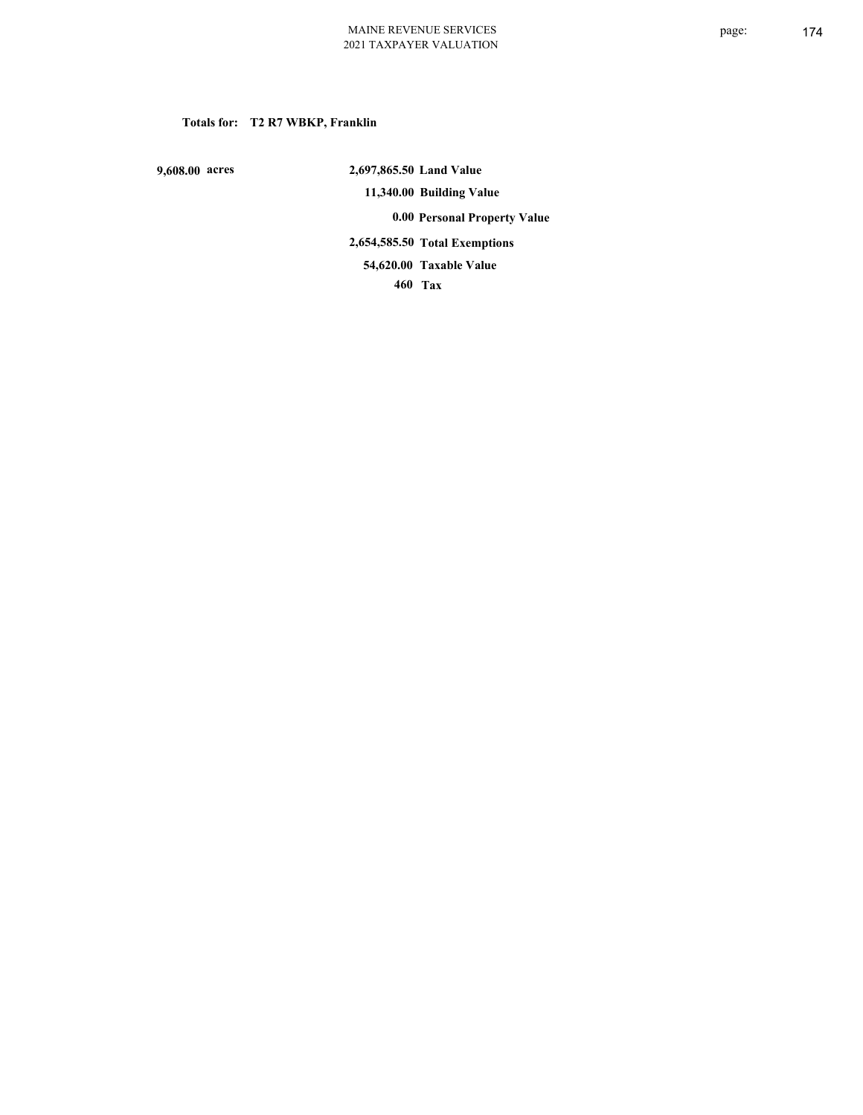# **Totals for: T2 R7 WBKP, Franklin**

 **9,608.00 acres**

 **2,697,865.50 Land Value 11,340.00 Building Value 0.00 Personal Property Value 2,654,585.50 Total Exemptions 460 Tax Taxable Value 54,620.00**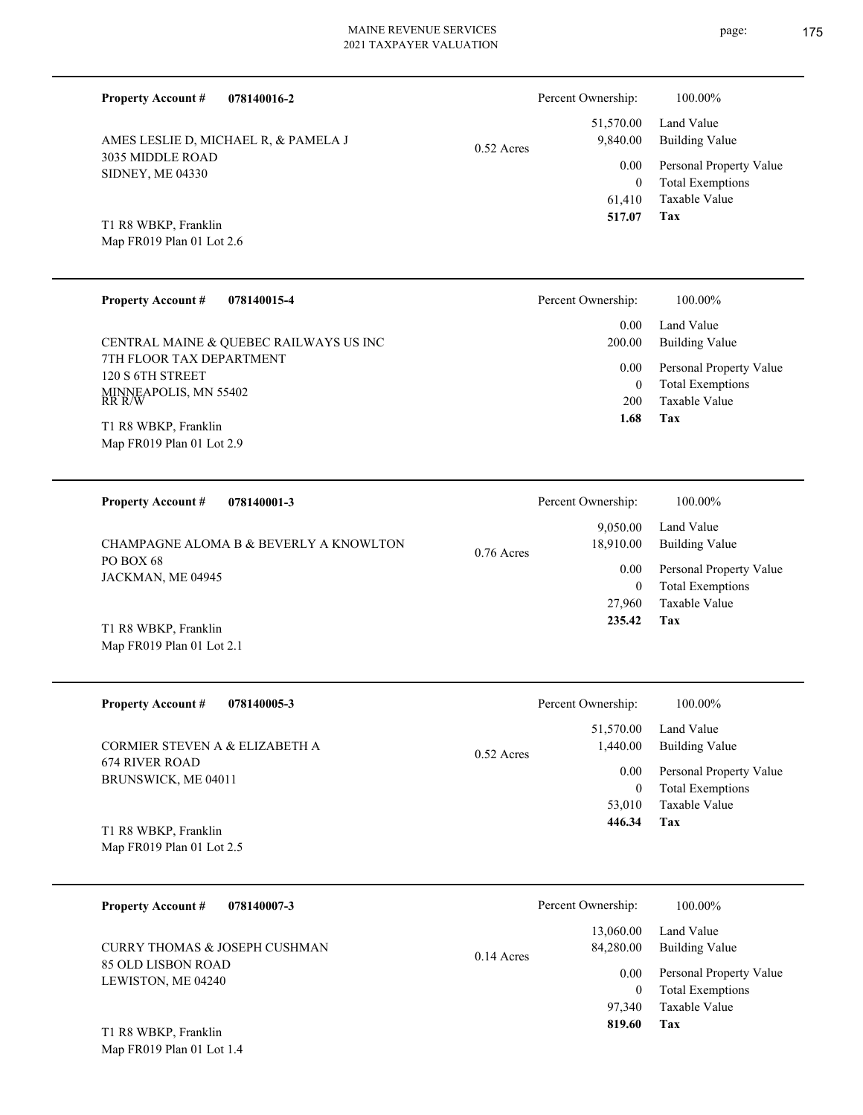**078140016-2 Tax** Taxable Value Total Exemptions Personal Property Value Building Value Land Value 3035 MIDDLE ROAD SIDNEY, ME 04330 **Property Account #** Map FR019 Plan 01 Lot 2.6 T1 R8 WBKP, Franklin AMES LESLIE D, MICHAEL R, & PAMELA J 61,410 0  **517.07** 51,570.00 9,840.00 0.00 0.52 Acres Percent Ownership:  $100.00\%$ **078140015-4 Tax** Taxable Value Total Exemptions Personal Property Value Building Value Land Value 7TH FLOOR TAX DEPARTMENT 120 S 6TH STREET MINNEAPOLIS, MN 55402 RR R/W **Property Account #** Map FR019 Plan 01 Lot 2.9 T1 R8 WBKP, Franklin CENTRAL MAINE & QUEBEC RAILWAYS US INC 200 0  **1.68** 0.00 200.00 0.00 Percent Ownership:  $100.00\%$ **078140001-3** Land Value **Property Account #** Percent Ownership:  $100.00\%$ 

**Tax** Taxable Value Total Exemptions Personal Property Value Building Value PO BOX 68 JACKMAN, ME 04945 CHAMPAGNE ALOMA B & BEVERLY A KNOWLTON 27,960 0  **235.42** 9,050.00 18,910.00 0.00 0.76 Acres

Map FR019 Plan 01 Lot 2.1 T1 R8 WBKP, Franklin

| <b>Property Account #</b><br>078140005-3     | Percent Ownership:                    | 100.00%                      |
|----------------------------------------------|---------------------------------------|------------------------------|
| CORMIER STEVEN A & ELIZABETH A               | 51,570.00<br>1,440.00<br>$0.52$ Acres | Land Value<br>Building Value |
| <b>674 RIVER ROAD</b><br>BRUNSWICK, ME 04011 | 0.00                                  | Personal Property Value      |
|                                              | $\overline{0}$                        | <b>Total Exemptions</b>      |
|                                              | 53,010                                | Taxable Value                |
| T1 R8 WBKP, Franklin                         | 446.34                                | Tax                          |
| Map FR019 Plan 01 Lot 2.5                    |                                       |                              |

| 078140007-3<br><b>Property Account #</b>                                  | Percent Ownership:                                  | 100.00%                                                                            |
|---------------------------------------------------------------------------|-----------------------------------------------------|------------------------------------------------------------------------------------|
| CURRY THOMAS & JOSEPH CUSHMAN<br>85 OLD LISBON ROAD<br>LEWISTON, ME 04240 | 13,060.00<br>84,280.00<br>$0.14$ Acres<br>0.00<br>0 | Land Value<br>Building Value<br>Personal Property Value<br><b>Total Exemptions</b> |
| T1 R8 WBKP, Franklin                                                      | 97.340<br>819.60                                    | Taxable Value<br>Tax                                                               |

Map FR019 Plan 01 Lot 1.4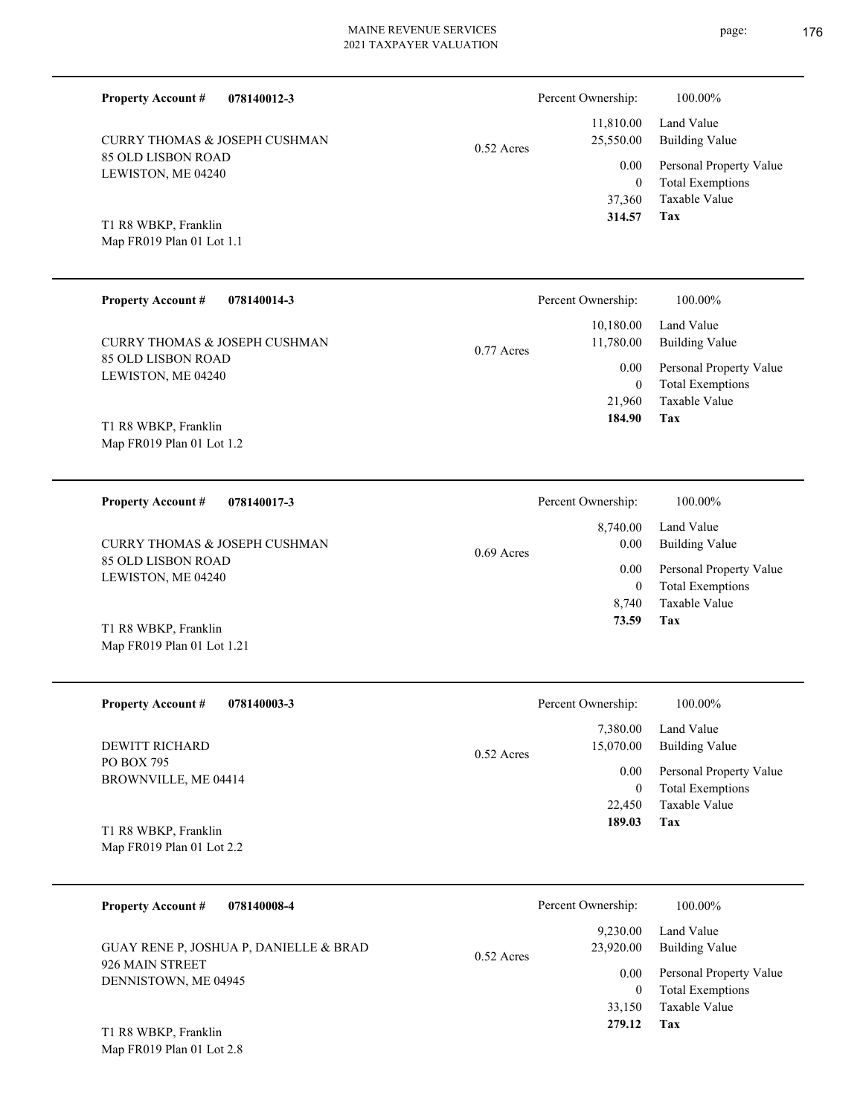| <u>02 ULD LIDDUN NUAD</u><br>LEWISTON, ME 04240 | 0.00                      |
|-------------------------------------------------|---------------------------|
|                                                 | $\theta$                  |
|                                                 | 37,360                    |
| T1 R8 WBKP, Franklin                            | 314.57                    |
| Map FR019 Plan 01 Lot 1.1                       |                           |
|                                                 |                           |
| <b>Property Account #</b><br>078140014-3        | Percent Ownership:        |
|                                                 | 10,180.00                 |
| <b>CURRY THOMAS &amp; JOSEPH CUSHMAN</b>        | 11,780.00<br>$0.77$ Acres |
| 85 OLD LISBON ROAD                              |                           |
| LEWISTON, ME 04240                              | 0.00                      |
|                                                 | $\Omega$                  |
|                                                 | 21,960                    |

0.52 Acres

Map FR019 Plan 01 Lot 1.2 T1 R8 WBKP, Franklin

Map FR019 Plan 01 Lot 1.21

85 OLD LISBON ROAD

CURRY THOMAS & JOSEPH CUSHMAN

**Property Account #**

**078140012-3**

**078140017-3 Tax** Taxable Value Total Exemptions Personal Property Value Building Value Land Value 85 OLD LISBON ROAD LEWISTON, ME 04240 **Property Account #** T1 R8 WBKP, Franklin CURRY THOMAS & JOSEPH CUSHMAN 8,740 0  **73.59** 8,740.00 0.00 0.00 0.69 Acres Percent Ownership:  $100.00\%$ 

| <b>Property Account #</b><br>078140003-3            | Percent Ownership:                    | 100.00%                                            |
|-----------------------------------------------------|---------------------------------------|----------------------------------------------------|
| DEWITT RICHARD                                      | 7,380.00<br>15,070.00<br>$0.52$ Acres | Land Value<br>Building Value                       |
| PO BOX 795<br>BROWNVILLE, ME 04414                  | 0.00<br>$\bf{0}$                      | Personal Property Value<br><b>Total Exemptions</b> |
|                                                     | 22,450                                | Taxable Value                                      |
| T1 R8 WBKP, Franklin<br>Map $FR019$ Plan 01 Lot 2.2 | 189.03                                | Tax                                                |

| 078140008-4<br><b>Property Account #</b>                  | Percent Ownership:                    | 100.00%                                            |
|-----------------------------------------------------------|---------------------------------------|----------------------------------------------------|
| GUAY RENE P, JOSHUA P, DANIELLE & BRAD<br>926 MAIN STREET | 9,230.00<br>23,920.00<br>$0.52$ Acres | Land Value<br><b>Building Value</b>                |
| DENNISTOWN, ME 04945                                      | 0.00<br>$\Omega$                      | Personal Property Value<br><b>Total Exemptions</b> |
|                                                           | 33.150                                | Taxable Value                                      |
| T1 R8 WBKP, Franklin                                      | 279.12                                | Tax                                                |

Map FR019 Plan 01 Lot 2.8

**Tax**

**Tax**

 **184.90**

Taxable Value Total Exemptions Personal Property Value

Building Value Land Value

100.00%

 11,810.00 25,550.00

Percent Ownership:  $100.00\%$ 

Taxable Value Total Exemptions Personal Property Value

Building Value Land Value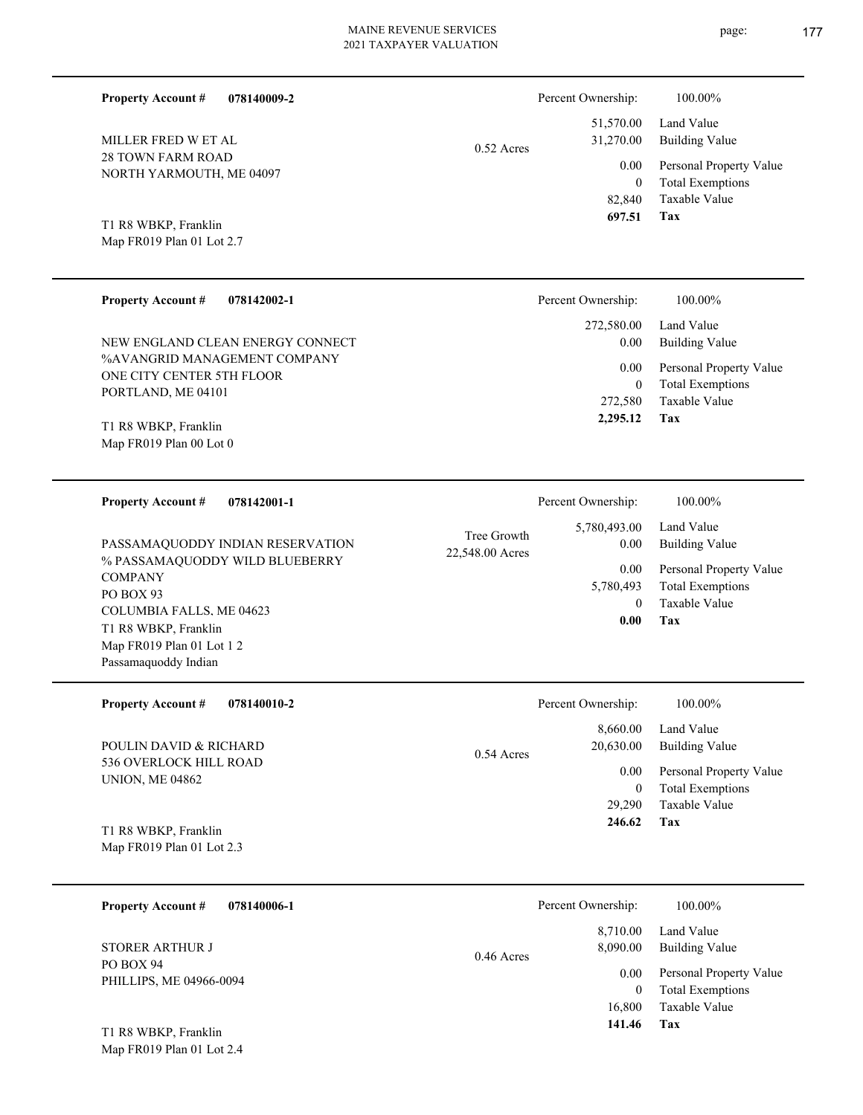**078140009-2 Tax** Taxable Value Total Exemptions Personal Property Value Building Value Land Value 28 TOWN FARM ROAD NORTH YARMOUTH, ME 04097 **Property Account #** Map FR019 Plan 01 Lot 2.7 T1 R8 WBKP, Franklin MILLER FRED W ET AL 82,840 0  **697.51** 51,570.00 31,270.00 0.00 0.52 Acres Percent Ownership:  $100.00\%$ **078142002-1 Tax** Taxable Value Total Exemptions Personal Property Value Building Value Land Value %AVANGRID MANAGEMENT COMPANY ONE CITY CENTER 5TH FLOOR PORTLAND, ME 04101 **Property Account #** Map FR019 Plan 00 Lot 0 T1 R8 WBKP, Franklin NEW ENGLAND CLEAN ENERGY CONNECT 272,580 0  **2,295.12** 272,580.00 0.00 0.00 Percent Ownership:  $100.00\%$ **078142001-1** Personal Property Value Building Value Land Value % PASSAMAQUODDY WILD BLUEBERRY **Property Account #** PASSAMAQUODDY INDIAN RESERVATION 5,780,493.00 0.00 0.00 22,548.00 Acres Tree Growth Percent Ownership:  $100.00\%$ 

**COMPANY** PO BOX 93 COLUMBIA FALLS, ME 04623 Map FR019 Plan 01 Lot 1 2 Passamaquoddy Indian T1 R8 WBKP, Franklin

| <b>Property Account #</b><br>078140010-2                | Percent Ownership:                    | 100.00%                                            |
|---------------------------------------------------------|---------------------------------------|----------------------------------------------------|
| POULIN DAVID & RICHARD                                  | 8,660.00<br>20,630.00<br>$0.54$ Acres | Land Value<br>Building Value                       |
| <b>536 OVERLOCK HILL ROAD</b><br><b>UNION, ME 04862</b> | 0.00<br>$\theta$                      | Personal Property Value<br><b>Total Exemptions</b> |
|                                                         | 29.290                                | Taxable Value                                      |
| T1 R8 WBKP, Franklin<br>Map $FR019$ Plan 01 Lot 2.3     | 246.62                                | Tax                                                |

| 078140006-1<br><b>Property Account #</b> | Percent Ownership:                   | 100.00%                                            |
|------------------------------------------|--------------------------------------|----------------------------------------------------|
| <b>STORER ARTHUR J</b>                   | 8,710.00<br>8,090.00<br>$0.46$ Acres | Land Value<br><b>Building Value</b>                |
| PO BOX 94<br>PHILLIPS, ME 04966-0094     | 0.00                                 | Personal Property Value<br><b>Total Exemptions</b> |
| T1 R8 WBKP, Franklin                     | 16,800<br>141.46                     | Taxable Value<br>Tax                               |

Map FR019 Plan 01 Lot 2.4

**Tax**

 0 5,780,493

 **0.00**

Taxable Value Total Exemptions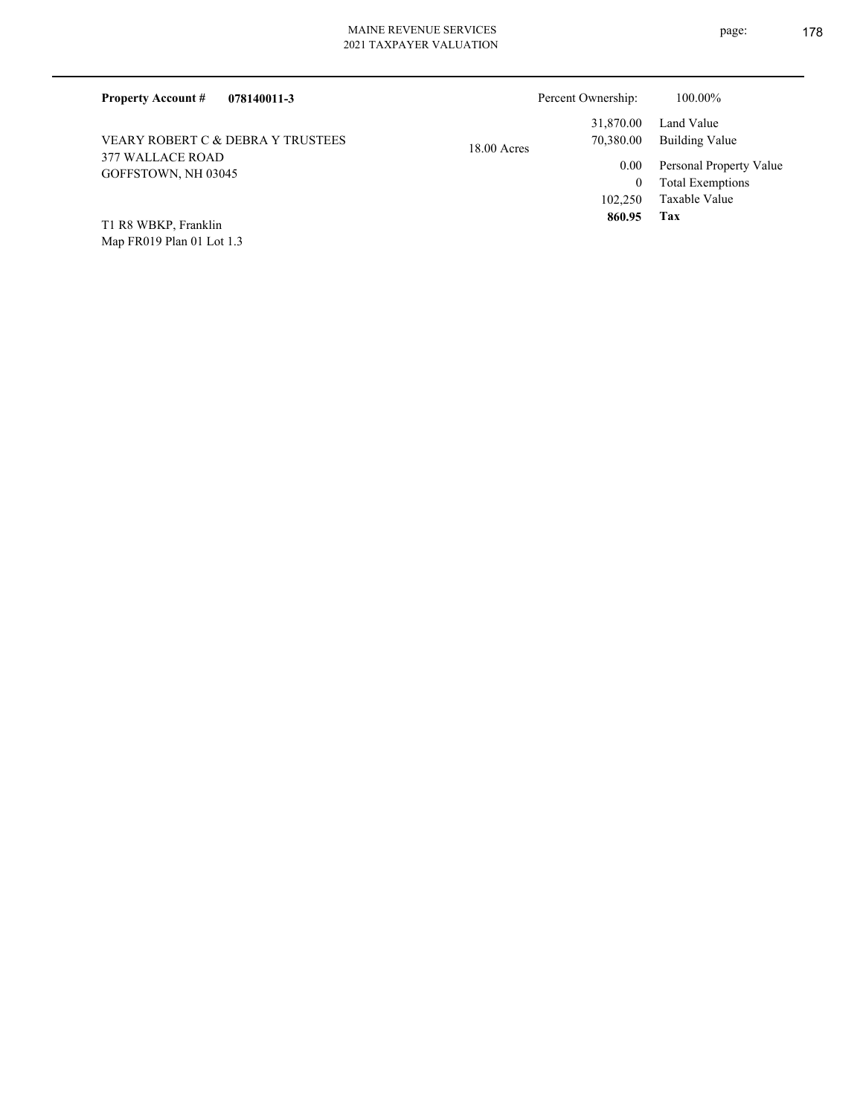| 078140011-3<br><b>Property Account #</b> | Percent Ownership:                      | 100.00%                                                             |
|------------------------------------------|-----------------------------------------|---------------------------------------------------------------------|
| VEARY ROBERT C & DEBRA Y TRUSTEES        | 31,870.00<br>70,380.00<br>$18.00$ Acres | Land Value<br>Building Value                                        |
| 377 WALLACE ROAD<br>GOFFSTOWN, NH 03045  | 0.00<br>0<br>102,250                    | Personal Property Value<br><b>Total Exemptions</b><br>Taxable Value |
| T1 R8 WBKP, Franklin                     | 860.95                                  | Tax                                                                 |

Map FR019 Plan 01 Lot 1.3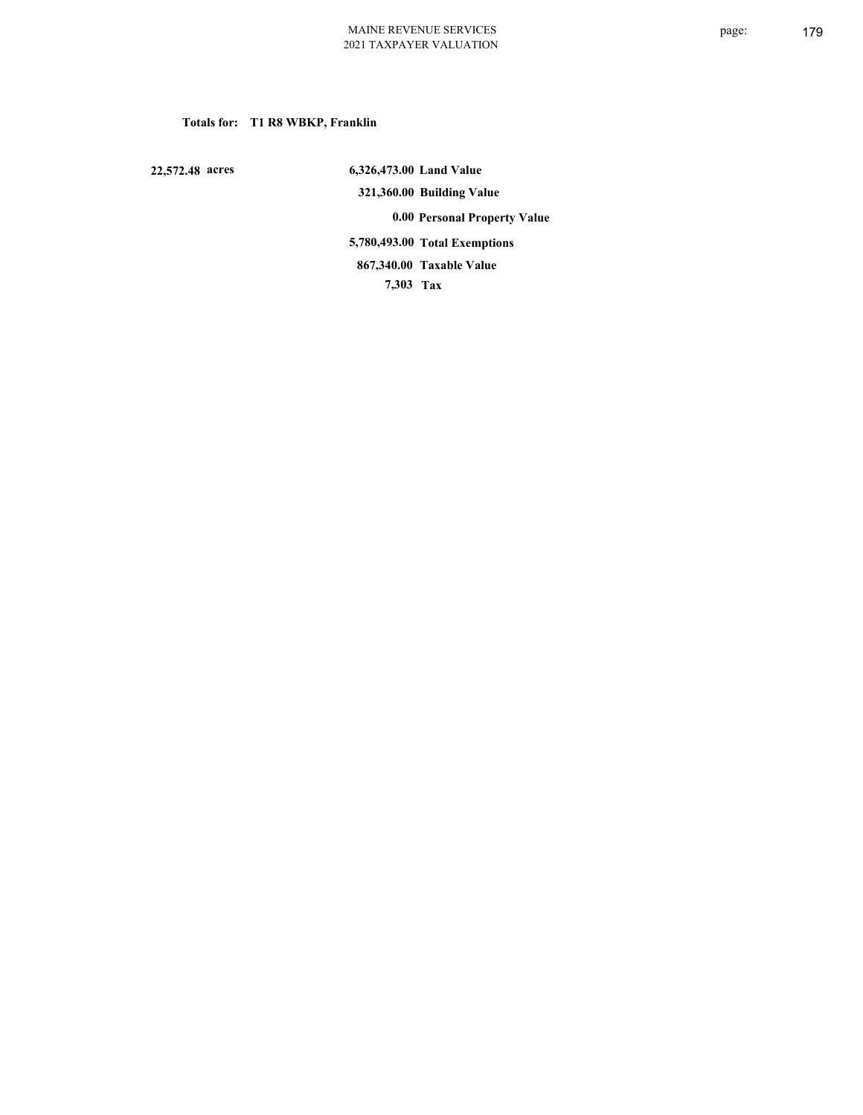# **Totals for: T1 R8 WBKP, Franklin**

 **22,572.48 acres**

 **6,326,473.00 Land Value 321,360.00 Building Value 0.00 Personal Property Value 5,780,493.00 Total Exemptions 7,303 Tax Taxable Value 867,340.00**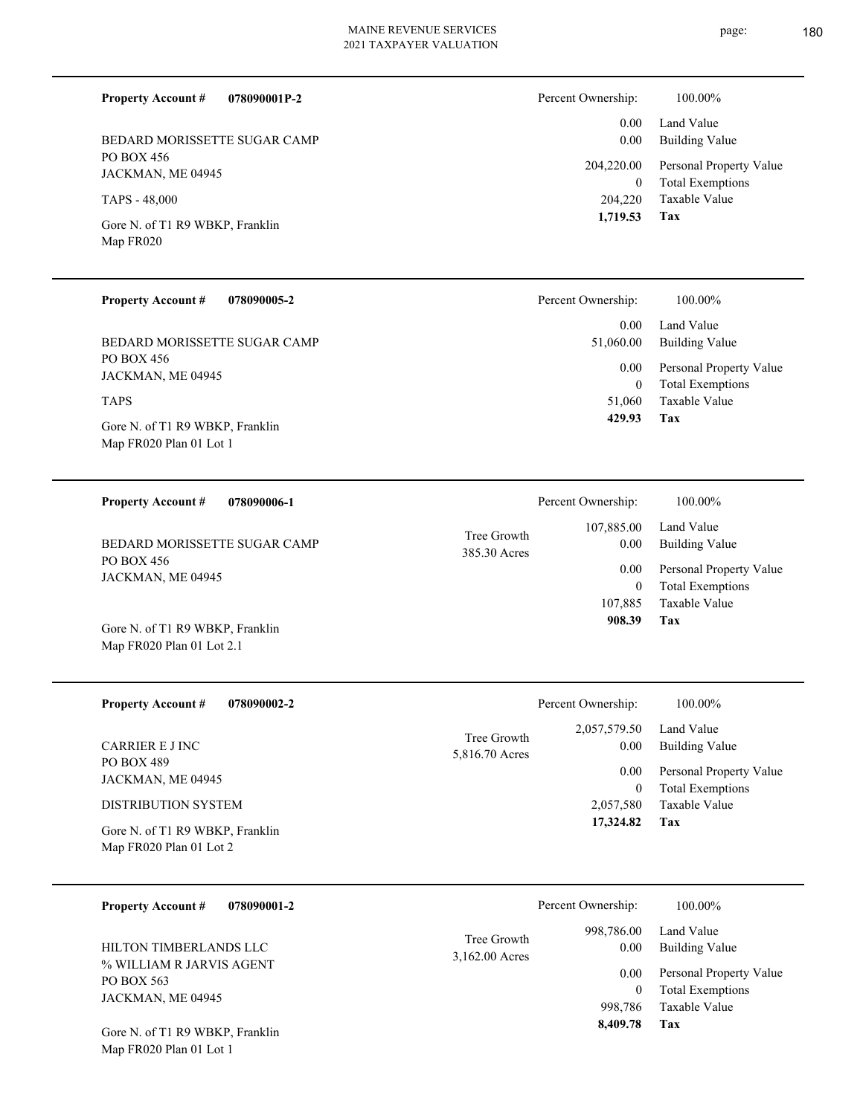page: 180

| <b>Property Account #</b><br>078090001P-2    | Percent Ownership:           | 100.00%                                            |
|----------------------------------------------|------------------------------|----------------------------------------------------|
| BEDARD MORISSETTE SUGAR CAMP                 | 0.00<br>0.00                 | Land Value<br>Building Value                       |
| PO BOX 456<br>JACKMAN, ME 04945              | 204,220.00<br>$\overline{0}$ | Personal Property Value<br><b>Total Exemptions</b> |
| TAPS - 48,000                                | 204,220                      | Taxable Value                                      |
| Gore N. of T1 R9 WBKP, Franklin<br>Map FR020 | 1,719.53                     | Tax                                                |

| <b>Property Account #</b><br>078090005-2                   | Percent Ownership:       | 100.00%                                     |
|------------------------------------------------------------|--------------------------|---------------------------------------------|
|                                                            | 0.00                     | Land Value                                  |
| BEDARD MORISSETTE SUGAR CAMP                               | 51,060.00                | Building Value                              |
| PO BOX 456<br>JACKMAN, ME 04945                            | 0.00<br>$\boldsymbol{0}$ | Personal Property Value<br>Total Exemptions |
| <b>TAPS</b>                                                | 51,060                   | Taxable Value                               |
| Gore N. of T1 R9 WBKP, Franklin<br>Map FR020 Plan 01 Lot 1 | 429.93                   | Tax                                         |
|                                                            |                          |                                             |

| <b>Property Account #</b><br>078090006-1 | Percent Ownership:                                | 100.00%                      |
|------------------------------------------|---------------------------------------------------|------------------------------|
| BEDARD MORISSETTE SUGAR CAMP             | 107,885.00<br>Tree Growth<br>0.00<br>385.30 Acres | Land Value<br>Building Value |
| PO BOX 456<br>JACKMAN, ME 04945          | 0.00                                              | Personal Property Value      |
|                                          | $\theta$                                          | <b>Total Exemptions</b>      |
|                                          | 107.885                                           | Taxable Value                |
| Gore N. of T1 R9 WBKP, Franklin          | 908.39                                            | Tax                          |

| <b>Property Account #</b><br>078090002-2                   | Percent Ownership:                                    | 100.00%                                            |
|------------------------------------------------------------|-------------------------------------------------------|----------------------------------------------------|
| CARRIER E J INC                                            | 2,057,579.50<br>Tree Growth<br>0.00<br>5,816.70 Acres | Land Value<br>Building Value                       |
| <b>PO BOX 489</b><br>JACKMAN, ME 04945                     | 0.00                                                  | Personal Property Value<br><b>Total Exemptions</b> |
| <b>DISTRIBUTION SYSTEM</b>                                 | 2,057,580                                             | Taxable Value                                      |
| Gore N. of T1 R9 WBKP, Franklin<br>Map FR020 Plan 01 Lot 2 | 17,324.82                                             | Tax                                                |

| 078090001-2<br><b>Property Account #</b>                                                                                 |                               | Percent Ownership:                                                | 100.00%                                                                                                    |
|--------------------------------------------------------------------------------------------------------------------------|-------------------------------|-------------------------------------------------------------------|------------------------------------------------------------------------------------------------------------|
| HILTON TIMBERLANDS LLC<br>% WILLIAM R JARVIS AGENT<br>PO BOX 563<br>JACKMAN, ME 04945<br>Gore N. of T1 R9 WBKP, Franklin | Tree Growth<br>3,162.00 Acres | 998,786.00<br>0.00<br>0.00<br>$\mathbf{0}$<br>998.786<br>8,409.78 | Land Value<br>Building Value<br>Personal Property Value<br><b>Total Exemptions</b><br>Taxable Value<br>Tax |

Map FR020 Plan 01 Lot 1

Map FR020 Plan 01 Lot 2.1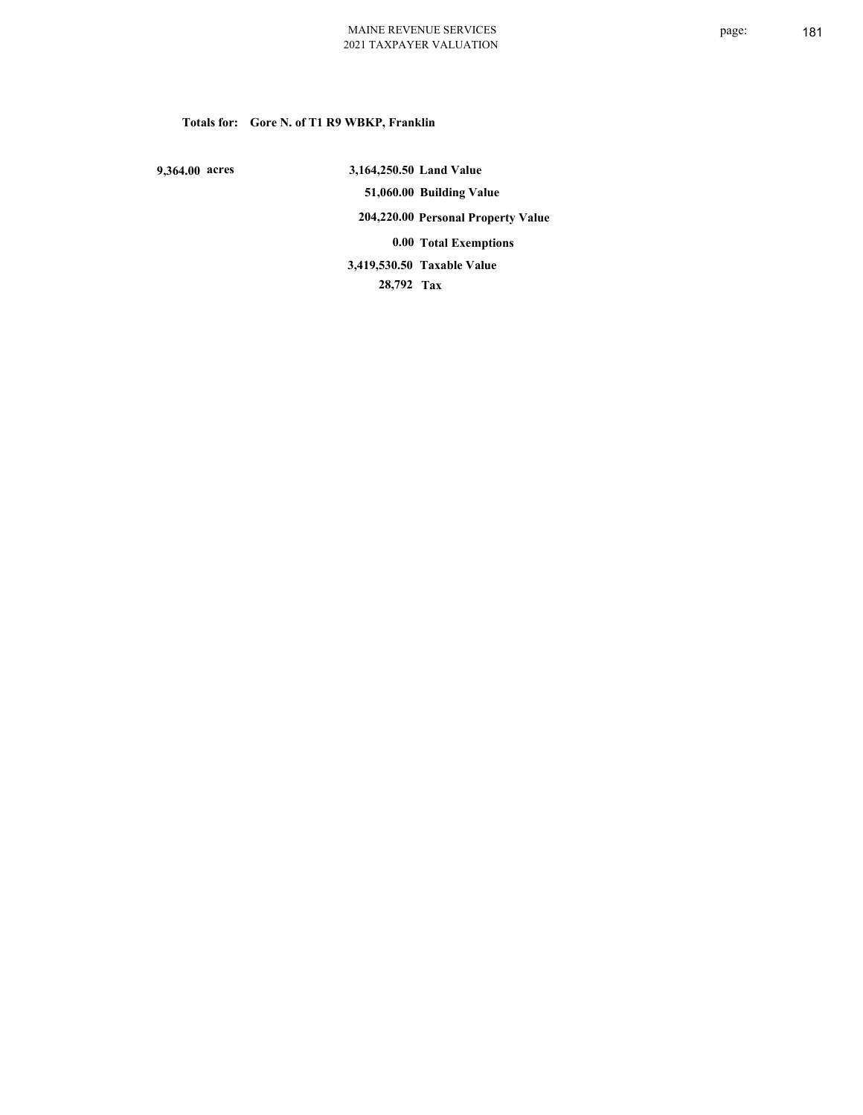## **Totals for: Gore N. of T1 R9 WBKP, Franklin**

 **9,364.00 acres**

 **3,164,250.50 Land Value 51,060.00 Building Value 204,220.00 Personal Property Value 0.00 Total Exemptions 28,792 Tax Taxable Value 3,419,530.50**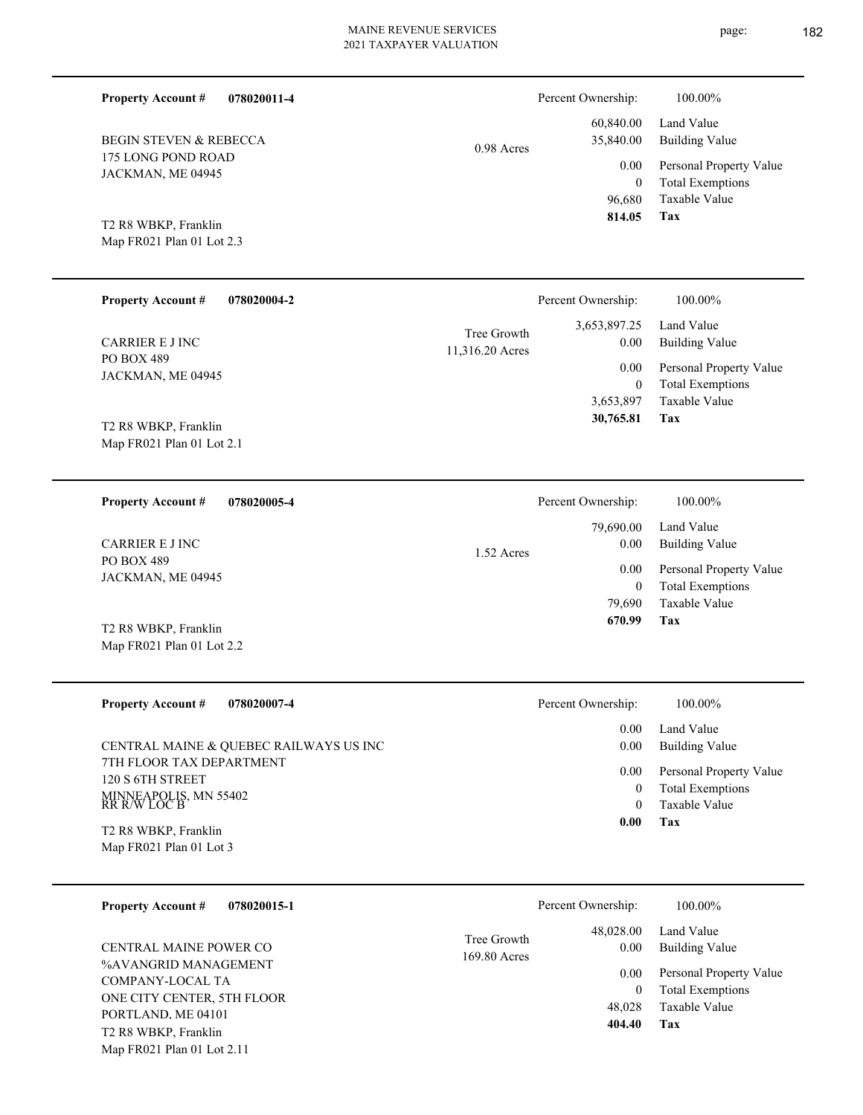page: 182

| <b>Property Account #</b><br>078020011-4           |                                | Percent Ownership:                 | 100.00%                                                             |
|----------------------------------------------------|--------------------------------|------------------------------------|---------------------------------------------------------------------|
| <b>BEGIN STEVEN &amp; REBECCA</b>                  | 0.98 Acres                     | 60,840.00<br>35,840.00             | Land Value<br><b>Building Value</b>                                 |
| 175 LONG POND ROAD<br>JACKMAN, ME 04945            |                                | 0.00<br>$\boldsymbol{0}$<br>96,680 | Personal Property Value<br><b>Total Exemptions</b><br>Taxable Value |
| T2 R8 WBKP, Franklin<br>Map FR021 Plan 01 Lot 2.3  |                                | 814.05                             | Tax                                                                 |
| <b>Property Account #</b><br>078020004-2           |                                | Percent Ownership:                 | 100.00%                                                             |
| <b>CARRIER E J INC</b>                             | Tree Growth<br>11,316.20 Acres | 3,653,897.25<br>0.00               | Land Value<br><b>Building Value</b>                                 |
| PO BOX 489<br>JACKMAN, ME 04945                    |                                | 0.00<br>$\boldsymbol{0}$           | Personal Property Value<br><b>Total Exemptions</b>                  |
| T2 R8 WBKP, Franklin<br>Map FR021 Plan 01 Lot 2.1  |                                | 3,653,897<br>30,765.81             | Taxable Value<br>Tax                                                |
| <b>Property Account #</b><br>078020005-4           |                                | Percent Ownership:                 | 100.00%                                                             |
| <b>CARRIER E J INC</b>                             | 1.52 Acres                     | 79,690.00<br>0.00                  | Land Value<br><b>Building Value</b>                                 |
| PO BOX 489<br>JACKMAN, ME 04945                    |                                | 0.00<br>$\boldsymbol{0}$           | Personal Property Value<br><b>Total Exemptions</b>                  |
| T2 R8 WBKP, Franklin<br>Map FR021 Plan 01 Lot 2.2  |                                | 79,690<br>670.99                   | Taxable Value<br>Tax                                                |
| <b>Property Account #</b><br>078020007-4           |                                | Percent Ownership:                 | 100.00%                                                             |
| CENTRAL MAINE & QUEBEC RAILWAYS US INC             |                                | 0.00<br>0.00                       | Land Value<br><b>Building Value</b>                                 |
| 7TH FLOOR TAX DEPARTMENT<br>120 S 6TH STREET       |                                | 0.00<br>$\overline{0}$             | Personal Property Value<br><b>Total Exemptions</b>                  |
| MINNEAPOLIS, MN 55402<br>RR R/W LOC B              |                                | $\mathbf{0}$<br>0.00               | <b>Taxable Value</b><br>Tax                                         |
| T2 R8 WBKP, Franklin<br>Map FR021 Plan 01 Lot 3    |                                |                                    |                                                                     |
| 078020015-1<br><b>Property Account #</b>           |                                | Percent Ownership:                 | 100.00%                                                             |
| CENTRAL MAINE POWER CO                             | Tree Growth<br>169.80 Acres    | 48,028.00<br>0.00                  | Land Value<br><b>Building Value</b>                                 |
| %AVANGRID MANAGEMENT<br>COMPANY-LOCAL TA           |                                | 0.00<br>$\boldsymbol{0}$           | Personal Property Value<br><b>Total Exemptions</b>                  |
| ONE CITY CENTER, 5TH FLOOR<br>PORTLAND. ME 04101   |                                | 48,028<br>404.40                   | Taxable Value<br>Tax                                                |
| T2 R8 WBKP, Franklin<br>Map FR021 Plan 01 Lot 2.11 |                                |                                    |                                                                     |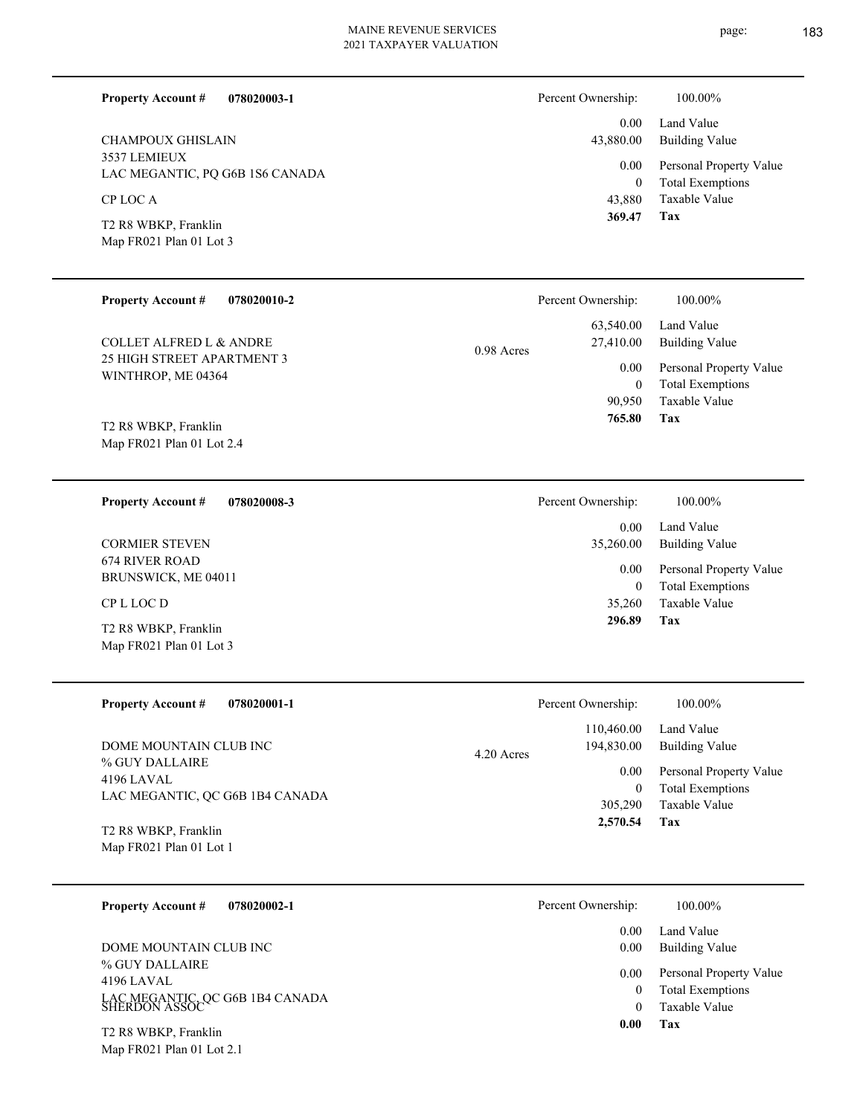page: 183

| <b>Property Account #</b><br>078020003-1<br><b>CHAMPOUX GHISLAIN</b><br>3537 LEMIEUX<br>LAC MEGANTIC, PQ G6B 1S6 CANADA<br>CP LOC A<br>T2 R8 WBKP, Franklin<br>Map FR021 Plan 01 Lot 3 | Percent Ownership:<br>0.00<br>43,880.00<br>0.00<br>$\mathbf{0}$<br>43,880<br>369.47 | 100.00%<br>Land Value<br><b>Building Value</b><br>Personal Property Value<br><b>Total Exemptions</b><br>Taxable Value<br>Tax |
|----------------------------------------------------------------------------------------------------------------------------------------------------------------------------------------|-------------------------------------------------------------------------------------|------------------------------------------------------------------------------------------------------------------------------|
|                                                                                                                                                                                        |                                                                                     |                                                                                                                              |
| <b>Property Account #</b><br>078020010-2                                                                                                                                               | Percent Ownership:                                                                  | 100.00%                                                                                                                      |
| <b>COLLET ALFRED L &amp; ANDRE</b>                                                                                                                                                     | 63,540.00<br>27,410.00<br>0.98 Acres                                                | Land Value<br><b>Building Value</b>                                                                                          |
| 25 HIGH STREET APARTMENT 3<br>WINTHROP, ME 04364                                                                                                                                       | 0.00<br>$\boldsymbol{0}$<br>90,950                                                  | Personal Property Value<br><b>Total Exemptions</b><br>Taxable Value                                                          |
| T2 R8 WBKP, Franklin<br>Map FR021 Plan 01 Lot 2.4                                                                                                                                      | 765.80                                                                              | Tax                                                                                                                          |
| <b>Property Account #</b><br>078020008-3                                                                                                                                               | Percent Ownership:                                                                  | 100.00%                                                                                                                      |
| <b>CORMIER STEVEN</b>                                                                                                                                                                  | 0.00<br>35,260.00                                                                   | Land Value<br><b>Building Value</b>                                                                                          |
| <b>674 RIVER ROAD</b><br>BRUNSWICK, ME 04011                                                                                                                                           | $0.00\,$<br>$\mathbf{0}$                                                            | Personal Property Value<br><b>Total Exemptions</b>                                                                           |
| CP L LOC D                                                                                                                                                                             | 35,260                                                                              | <b>Taxable Value</b>                                                                                                         |
| T2 R8 WBKP, Franklin<br>Map FR021 Plan 01 Lot 3                                                                                                                                        | 296.89                                                                              | Tax                                                                                                                          |
| <b>Property Account #</b><br>078020001-1                                                                                                                                               | Percent Ownership:                                                                  | 100.00%                                                                                                                      |
| DOME MOUNTAIN CLUB INC                                                                                                                                                                 | 110,460.00<br>194,830.00<br>4.20 Acres                                              | Land Value<br><b>Building Value</b>                                                                                          |
| % GUY DALLAIRE<br>4196 LAVAL<br>LAC MEGANTIC, QC G6B 1B4 CANADA                                                                                                                        | 0.00<br>$\overline{0}$<br>305,290                                                   | Personal Property Value<br><b>Total Exemptions</b><br>Taxable Value                                                          |

Map FR021 Plan 01 Lot 1 T2 R8 WBKP, Franklin

Map FR021 Plan 01 Lot 2.1

| <b>Property Account #</b><br>078020002-1                                         | Percent Ownership: | 100.00%                                                             |
|----------------------------------------------------------------------------------|--------------------|---------------------------------------------------------------------|
| DOME MOUNTAIN CLUB INC                                                           | 0.00<br>0.00       | Land Value<br>Building Value                                        |
| % GUY DALLAIRE<br>4196 LAVAL<br>LAC MEGANTIC, QC G6B 1B4 CANADA<br>SHERDON ASSOC | 0.00               | Personal Property Value<br><b>Total Exemptions</b><br>Taxable Value |
| T2 R8 WBKP, Franklin                                                             | 0.00               | Tax                                                                 |

**Tax 2,570.54**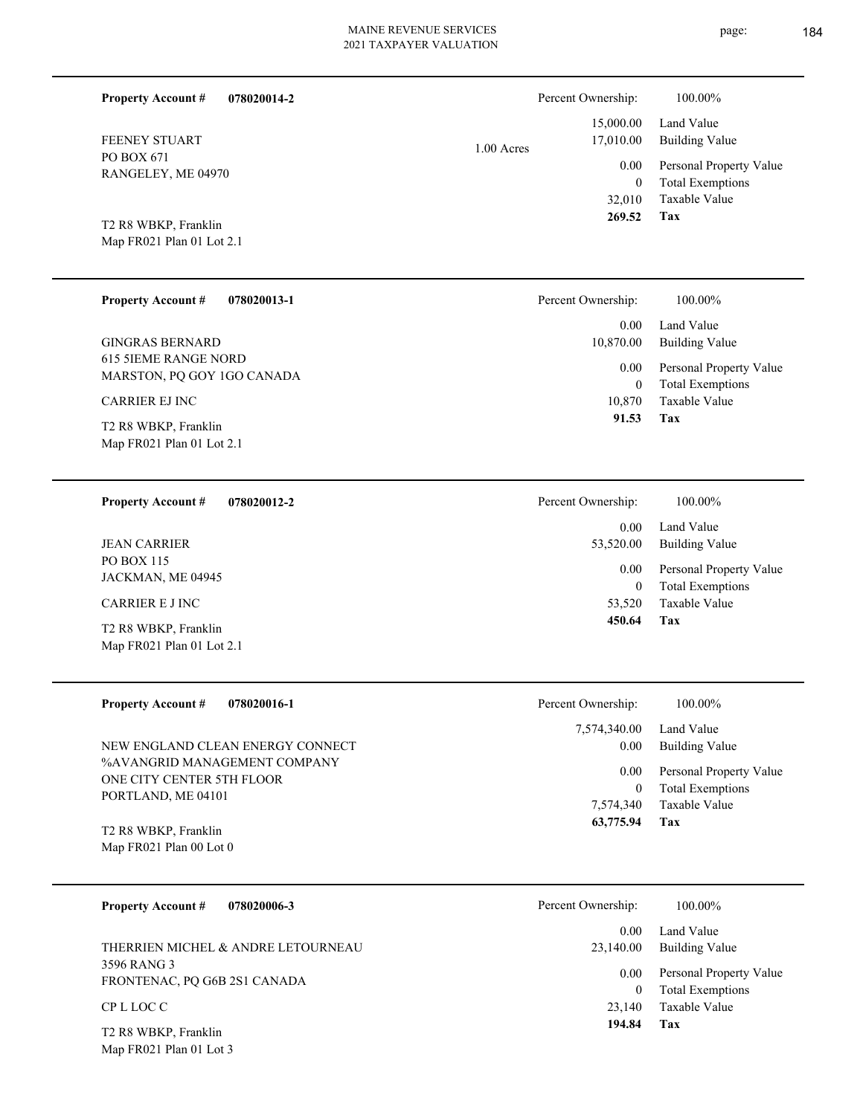÷,

 $\overline{\phantom{0}}$ 

L

| <b>Property Account #</b><br>078020014-2                  | Percent Ownership:                   | 100.00%                                                             |
|-----------------------------------------------------------|--------------------------------------|---------------------------------------------------------------------|
| FEENEY STUART                                             | 15,000.00<br>17,010.00<br>1.00 Acres | Land Value<br><b>Building Value</b>                                 |
| PO BOX 671<br>RANGELEY, ME 04970                          | 0.00<br>$\theta$<br>32,010           | Personal Property Value<br><b>Total Exemptions</b><br>Taxable Value |
| T2 R8 WBKP, Franklin<br>Map FR021 Plan 01 Lot 2.1         | 269.52                               | Tax                                                                 |
| <b>Property Account #</b><br>078020013-1                  | Percent Ownership:                   | 100.00%                                                             |
| <b>GINGRAS BERNARD</b>                                    | 0.00<br>10,870.00                    | Land Value<br><b>Building Value</b>                                 |
| <b>615 5IEME RANGE NORD</b><br>MARSTON, PQ GOY 1GO CANADA | 0.00<br>$\overline{0}$               | Personal Property Value<br><b>Total Exemptions</b>                  |
| <b>CARRIER EJ INC</b><br>T2 R8 WBKP, Franklin             | 10,870<br>91.53                      | Taxable Value<br>Tax                                                |
| Map FR021 Plan 01 Lot 2.1                                 |                                      |                                                                     |
| <b>Property Account #</b><br>078020012-2                  | Percent Ownership:                   | 100.00%                                                             |
| <b>JEAN CARRIER</b>                                       | 0.00<br>53,520.00                    | Land Value<br><b>Building Value</b>                                 |
| PO BOX 115<br>JACKMAN, ME 04945                           | 0.00<br>$\overline{0}$               | Personal Property Value<br><b>Total Exemptions</b>                  |
| <b>CARRIER E J INC</b><br>T2 R8 WBKP, Franklin            | 53,520<br>450.64                     | Taxable Value<br>Tax                                                |
| Map FR021 Plan 01 Lot 2.1                                 |                                      |                                                                     |
| <b>Property Account #</b><br>078020016-1                  | Percent Ownership:                   | 100.00%                                                             |
| NEW ENGLAND CLEAN ENERGY CONNECT                          | 7,574,340.00<br>0.00                 | Land Value<br><b>Building Value</b>                                 |
| %AVANGRID MANAGEMENT COMPANY<br>ONE CITY CENTER 5TH FLOOR | 0.00<br>$\overline{0}$               | Personal Property Value<br><b>Total Exemptions</b>                  |
| PORTLAND, ME 04101                                        | 7,574,340<br>63,775.94               | Taxable Value<br><b>Tax</b>                                         |
| T2 R8 WBKP, Franklin<br>Map FR021 Plan 00 Lot 0           |                                      |                                                                     |
| 078020006-3<br><b>Property Account #</b>                  | Percent Ownership:                   | 100.00%                                                             |
| THERRIEN MICHEL & ANDRE LETOURNEAU                        | 0.00<br>23,140.00                    | Land Value<br><b>Building Value</b>                                 |
| 3596 RANG 3<br>FRONTENAC, PQ G6B 2S1 CANADA               | 0.00                                 | Personal Property Value                                             |
| CP L LOC C                                                | $\overline{0}$<br>23,140             | <b>Total Exemptions</b><br>Taxable Value                            |
| T2 R8 WBKP, Franklin<br>Map FR021 Plan 01 Lot 3           | 194.84                               | Tax                                                                 |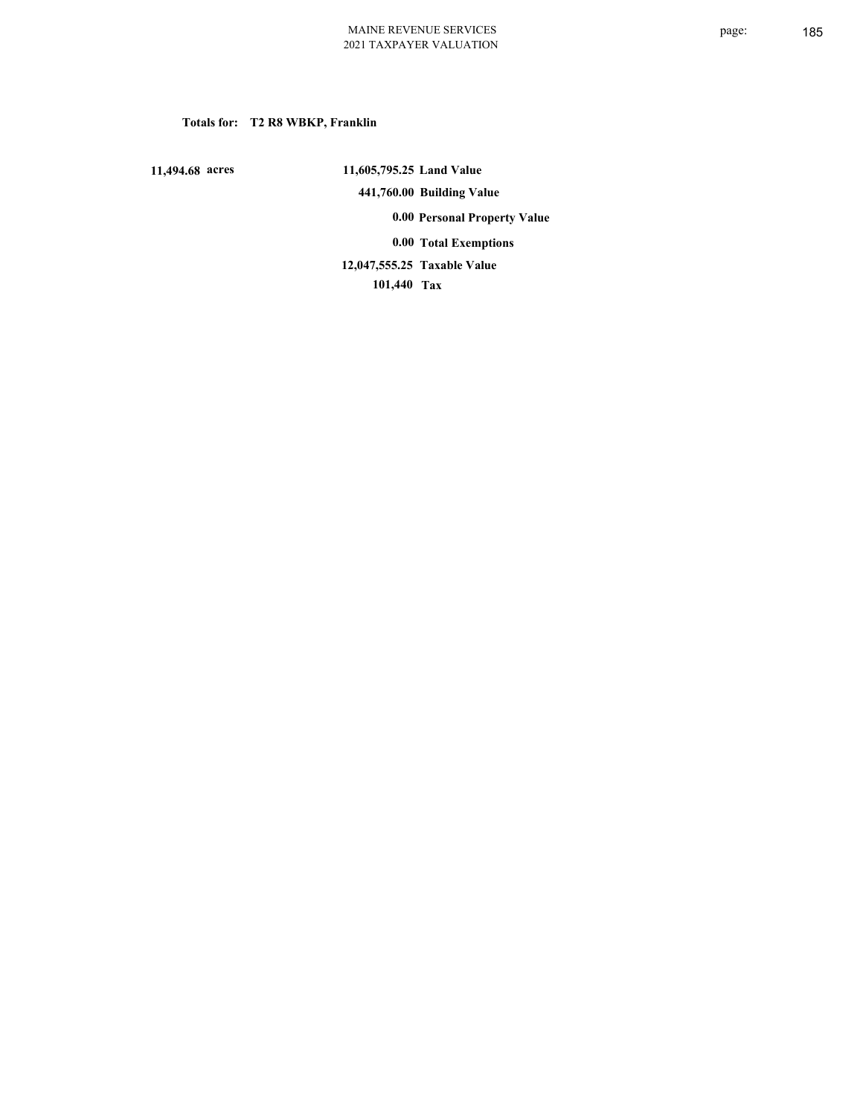## **Totals for: T2 R8 WBKP, Franklin**

 **11,494.68 acres**

 **11,605,795.25 Land Value 441,760.00 Building Value 0.00 Personal Property Value 0.00 Total Exemptions Taxable Value 12,047,555.25**

 **101,440 Tax**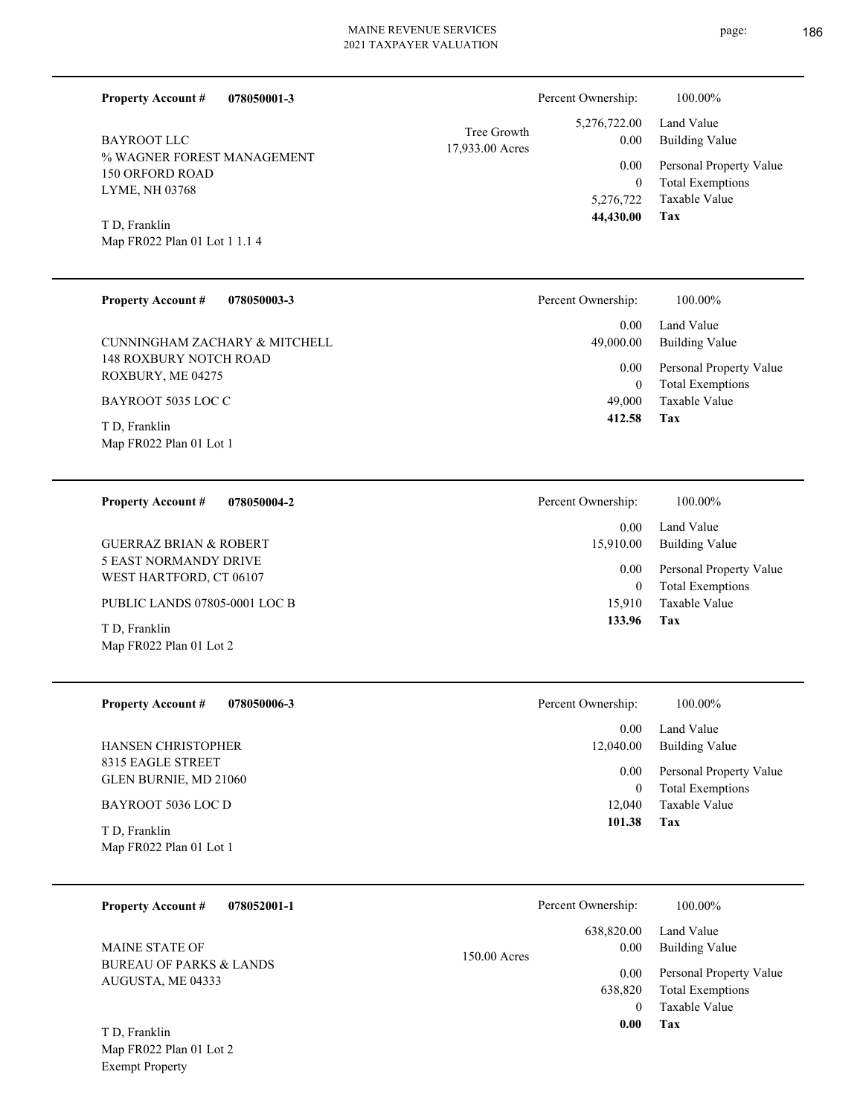| 078050001-3<br><b>Property Account #</b>             | Percent Ownership:                                     | 100.00%                     |
|------------------------------------------------------|--------------------------------------------------------|-----------------------------|
| <b>BAYROOT LLC</b>                                   | 5,276,722.00<br>Tree Growth<br>0.00<br>17,933.00 Acres | Land Value<br>Building Va   |
| % WAGNER FOREST MANAGEMENT<br><b>150 ORFORD ROAD</b> | 0.00<br>$\theta$                                       | Personal Pro<br>Total Exemp |
| LYME, NH 03768                                       | 5,276,722                                              | Taxable Val                 |
| T D, Franklin<br>Map FR022 Plan 01 Lot 1 1.1 4       | 44,430.00                                              | Tax                         |
|                                                      |                                                        |                             |
| <b>Property Account #</b><br>078050003-3             | Percent Ownership:                                     | 100.00%                     |
| CUNNINGHAM ZACHARY & MITCHELL                        | 0.00<br>49,000.00                                      | Land Value<br>Building Va   |

148 ROXBURY NOTCH ROAD ROXBURY, ME 04275 CUNNINGHAM ZACH

BAYROOT 5035 LOC C

Map FR022 Plan 01 Lot 1 T D, Franklin

| <b>Property Account #</b> | 078050004-2 |
|---------------------------|-------------|
|                           |             |

5 EAST NORMANDY DRIVE WEST HARTFORD, CT 06107 GUERRAZ BRIAN & ROBERT

PUBLIC LANDS 07805-0001 LOC B

Map FR022 Plan 01 Lot 2 T D, Franklin

**078050006-3 Property Account #**

8315 EAGLE STREET GLEN BURNIE, MD 21060 HANSEN CHRISTOPHER

#### BAYROOT 5036 LOC D

Map FR022 Plan 01 Lot 1 T D, Franklin

Exempt Property

| 078052001-1<br><b>Property Account #</b>                | Percent Ownership:                 | 100.00%                                                             |
|---------------------------------------------------------|------------------------------------|---------------------------------------------------------------------|
| <b>MAINE STATE OF</b>                                   | 638,820.00<br>0.00<br>150.00 Acres | Land Value<br><b>Building Value</b>                                 |
| <b>BUREAU OF PARKS &amp; LANDS</b><br>AUGUSTA, ME 04333 | 0.00<br>638,820<br>$\theta$        | Personal Property Value<br><b>Total Exemptions</b><br>Taxable Value |
| T D, Franklin<br>Map FR022 Plan 01 Lot 2                | 0.00                               | Tax                                                                 |

# **Property Account #**

page: 186

|                      | Percent Ownership:              | 100.00%                 |
|----------------------|---------------------------------|-------------------------|
| e Growth<br>00 Acres | 5,276,722.00 Land Value<br>0.00 | Building Value          |
|                      | 0.00                            | Personal Property Value |
|                      | $\theta$                        | <b>Total Exemptions</b> |
|                      |                                 | 5,276,722 Taxable Value |
|                      | 44,430.00                       | Tax                     |

| 0.00      | Land Value              |
|-----------|-------------------------|
| 49,000.00 | Building Value          |
| $0.00\,$  | Personal Property Value |
| 0         | <b>Total Exemptions</b> |
| 49,000    | Taxable Value           |
| 412.58    | Tax                     |

| Percent Ownership:    | 100.00%                                            |
|-----------------------|----------------------------------------------------|
| $0.00 -$<br>15,910.00 | Land Value<br><b>Building Value</b>                |
| $0.00\,$<br>0         | Personal Property Value<br><b>Total Exemptions</b> |
| 15,910                | Taxable Value                                      |
| 133.96                | Tax                                                |

| 101.38                | Tax                          |
|-----------------------|------------------------------|
|                       | 12.040 Taxable Value         |
| $\theta$              | <b>Total Exemptions</b>      |
| $0.00\,$              | Personal Property Value      |
| $0.00 -$<br>12,040.00 | Land Value<br>Building Value |
| Percent Ownership:    | 100.00%                      |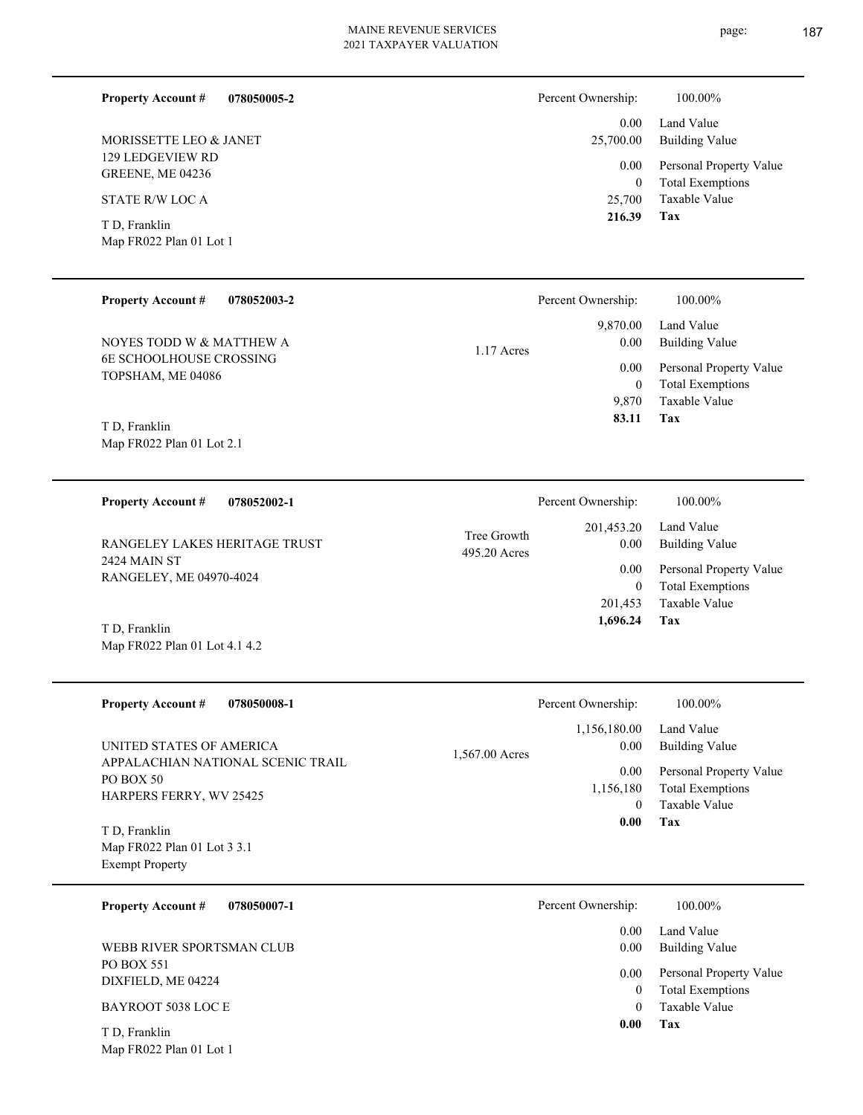# 2021 TAXPAYER VALUATION

**078050005-2**

**078052003-2**

129 LEDGEVIEW RD GREENE, ME 04236 MORISSETTE LEO & JANET

STATE R/W LOC A

**Property Account #**

**Property Account #**

Map FR022 Plan 01 Lot 1 T D, Franklin

| Percent Ownership:    | 100.00%                             |
|-----------------------|-------------------------------------|
| $0.00 -$<br>25,700.00 | Land Value<br><b>Building Value</b> |
| $0.00\,$              | Personal Property Value             |
| $\theta$              | <b>Total Exemptions</b>             |
|                       | 25,700 Taxable Value                |

**Tax**

 **216.39**

|            | Percent Ownership: | 100.00%                 |
|------------|--------------------|-------------------------|
| 1.17 Acres |                    | 9,870.00 Land Value     |
|            | 0.00               | <b>Building Value</b>   |
|            | 0.00 <sub>1</sub>  | Personal Property Value |
|            | 0                  | <b>Total Exemptions</b> |
|            | 9.870              | Taxable Value           |
|            | 83.11              | Tax                     |

Map FR022 Plan 01 Lot 2.1 T D, Franklin

Map FR022 Plan 01 Lot 4.1 4.2

TOPSHAM, ME 04086

6E SCHOOLHOUSE CROSSING

NOYES TODD W & MATTHEW A

**078052002-1 Tax** Taxable Value Total Exemptions Personal Property Value Building Value Land Value 2424 MAIN ST RANGELEY, ME 04970-4024 **Property Account #** T D, Franklin RANGELEY LAKES HERITAGE TRUST 201,453 0  **1,696.24** 201,453.20 0.00 0.00 495.20 Acres Tree Growth Percent Ownership:  $100.00\%$ 

| <b>Property Account #</b><br>078050008-1                      |                | Percent Ownership: | 100.00%                 |
|---------------------------------------------------------------|----------------|--------------------|-------------------------|
|                                                               |                | 1,156,180.00       | Land Value              |
| UNITED STATES OF AMERICA<br>APPALACHIAN NATIONAL SCENIC TRAIL | 1,567.00 Acres | 0.00               | <b>Building Value</b>   |
| <b>PO BOX 50</b>                                              |                | 0.00               | Personal Property Value |
|                                                               |                | 1,156,180          | <b>Total Exemptions</b> |
| <b>HARPERS FERRY, WV 25425</b>                                |                | $\Omega$           | Taxable Value           |
| T D, Franklin                                                 |                | 0.00               | Tax                     |
| Map FR022 Plan 01 Lot 3 3.1                                   |                |                    |                         |
| <b>Exempt Property</b>                                        |                |                    |                         |

| <b>Property Account #</b><br>078050007-1 | Percent Ownership:<br>100.00%   |  |
|------------------------------------------|---------------------------------|--|
|                                          | Land Value<br>0.00              |  |
| WEBB RIVER SPORTSMAN CLUB                | <b>Building Value</b><br>0.00   |  |
| PO BOX 551                               | Personal Property Value<br>0.00 |  |
| DIXFIELD, ME 04224                       | <b>Total Exemptions</b><br>0    |  |
| BAYROOT 5038 LOC E                       | Taxable Value<br>0              |  |
| T D, Franklin                            | Tax<br>0.00                     |  |

Map FR022 Plan 01 Lot 1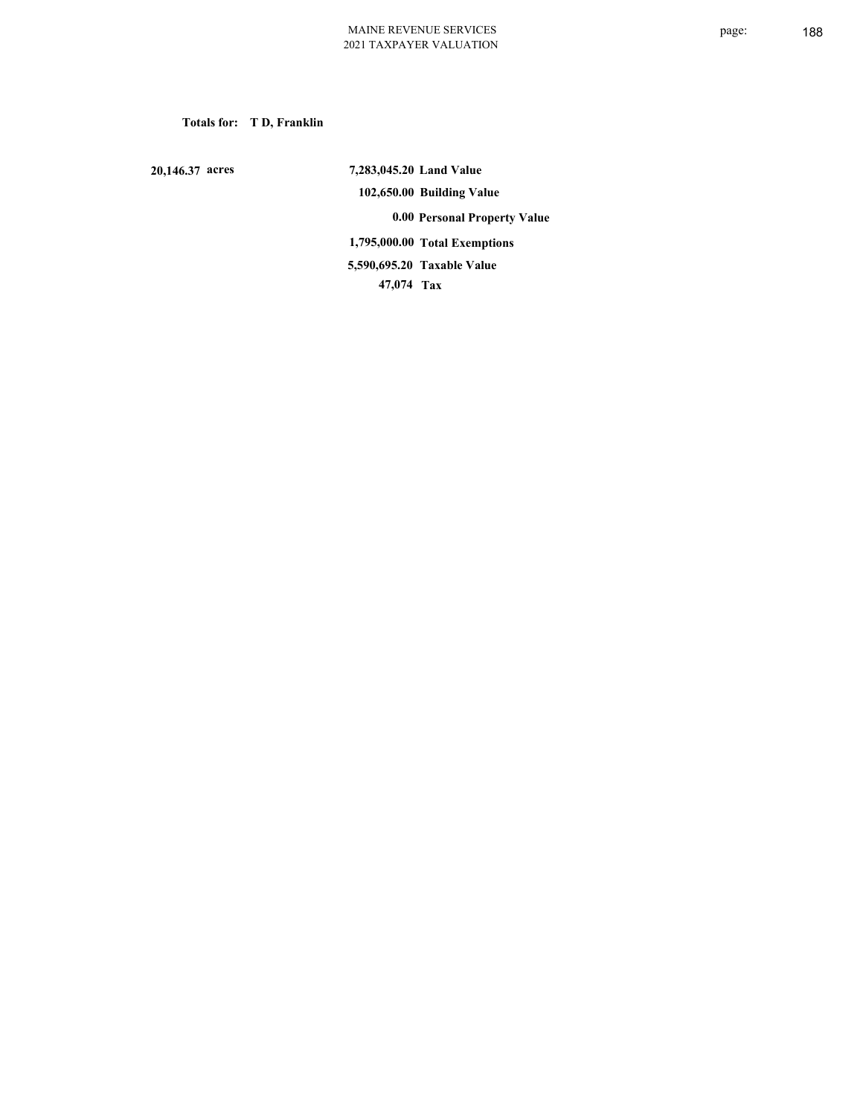**Totals for: T D, Franklin**

 **20,146.37 acres**

 **7,283,045.20 Land Value 102,650.00 Building Value 0.00 Personal Property Value 1,795,000.00 Total Exemptions 47,074 Tax Taxable Value 5,590,695.20**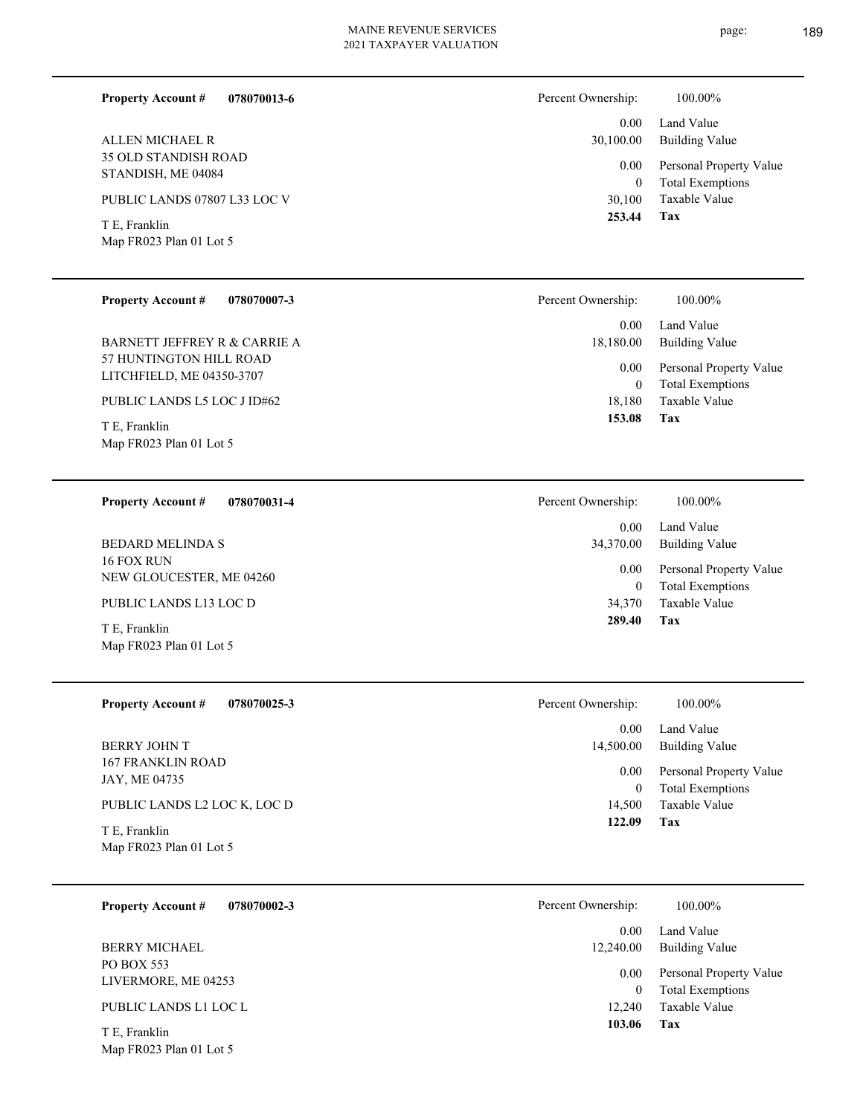**078070013-6**

**Property Account #**

Percent Ownership:  $100.00\%$ 

page: 189

| ALLEN MICHAEL R<br>35 OLD STANDISH ROAD<br>STANDISH, ME 04084<br>PUBLIC LANDS 07807 L33 LOC V<br>T E, Franklin<br>Map FR023 Plan 01 Lot 5<br><b>Property Account #</b><br>078070007-3<br><b>BARNETT JEFFREY R &amp; CARRIE A</b><br>57 HUNTINGTON HILL ROAD<br>LITCHFIELD, ME 04350-3707<br>PUBLIC LANDS L5 LOC J ID#62<br>T E, Franklin<br>Map FR023 Plan 01 Lot 5 | 0.00<br>30,100.00<br>0.00<br>$\mathbf{0}$<br>30,100<br>253.44<br>Percent Ownership:<br>0.00<br>18,180.00<br>0.00<br>$\boldsymbol{0}$<br>18,180<br>153.08 | Land Value<br><b>Building Value</b><br>Personal Property Value<br><b>Total Exemptions</b><br>Taxable Value<br>Tax<br>100.00%<br>Land Value<br><b>Building Value</b><br>Personal Property Value<br><b>Total Exemptions</b><br>Taxable Value<br>Tax |
|---------------------------------------------------------------------------------------------------------------------------------------------------------------------------------------------------------------------------------------------------------------------------------------------------------------------------------------------------------------------|----------------------------------------------------------------------------------------------------------------------------------------------------------|---------------------------------------------------------------------------------------------------------------------------------------------------------------------------------------------------------------------------------------------------|
| <b>Property Account #</b><br>078070031-4<br><b>BEDARD MELINDA S</b><br>16 FOX RUN<br>NEW GLOUCESTER, ME 04260<br>PUBLIC LANDS L13 LOC D<br>T E, Franklin<br>Map FR023 Plan 01 Lot 5                                                                                                                                                                                 | Percent Ownership:<br>0.00<br>34,370.00<br>0.00<br>$\boldsymbol{0}$<br>34,370<br>289.40                                                                  | 100.00%<br>Land Value<br><b>Building Value</b><br>Personal Property Value<br><b>Total Exemptions</b><br>Taxable Value<br>Tax                                                                                                                      |
| <b>Property Account #</b><br>078070025-3<br><b>BERRY JOHN T</b><br><b>167 FRANKLIN ROAD</b><br>JAY, ME 04735<br>PUBLIC LANDS L2 LOC K, LOC D<br>T E, Franklin<br>Map FR023 Plan 01 Lot 5                                                                                                                                                                            | Percent Ownership:<br>0.00<br>14,500.00<br>0.00<br>$\boldsymbol{0}$<br>14,500<br>122.09                                                                  | 100.00%<br>Land Value<br><b>Building Value</b><br>Personal Property Value<br><b>Total Exemptions</b><br>Taxable Value<br>Tax                                                                                                                      |
| <b>Property Account #</b><br>078070002-3<br><b>BERRY MICHAEL</b><br>PO BOX 553<br>LIVERMORE, ME 04253<br>PUBLIC LANDS L1 LOC L<br>T E, Franklin<br>Map FR023 Plan 01 Lot 5                                                                                                                                                                                          | Percent Ownership:<br>0.00<br>12,240.00<br>0.00<br>$\boldsymbol{0}$<br>12,240<br>103.06                                                                  | 100.00%<br>Land Value<br><b>Building Value</b><br>Personal Property Value<br><b>Total Exemptions</b><br>Taxable Value<br>Tax                                                                                                                      |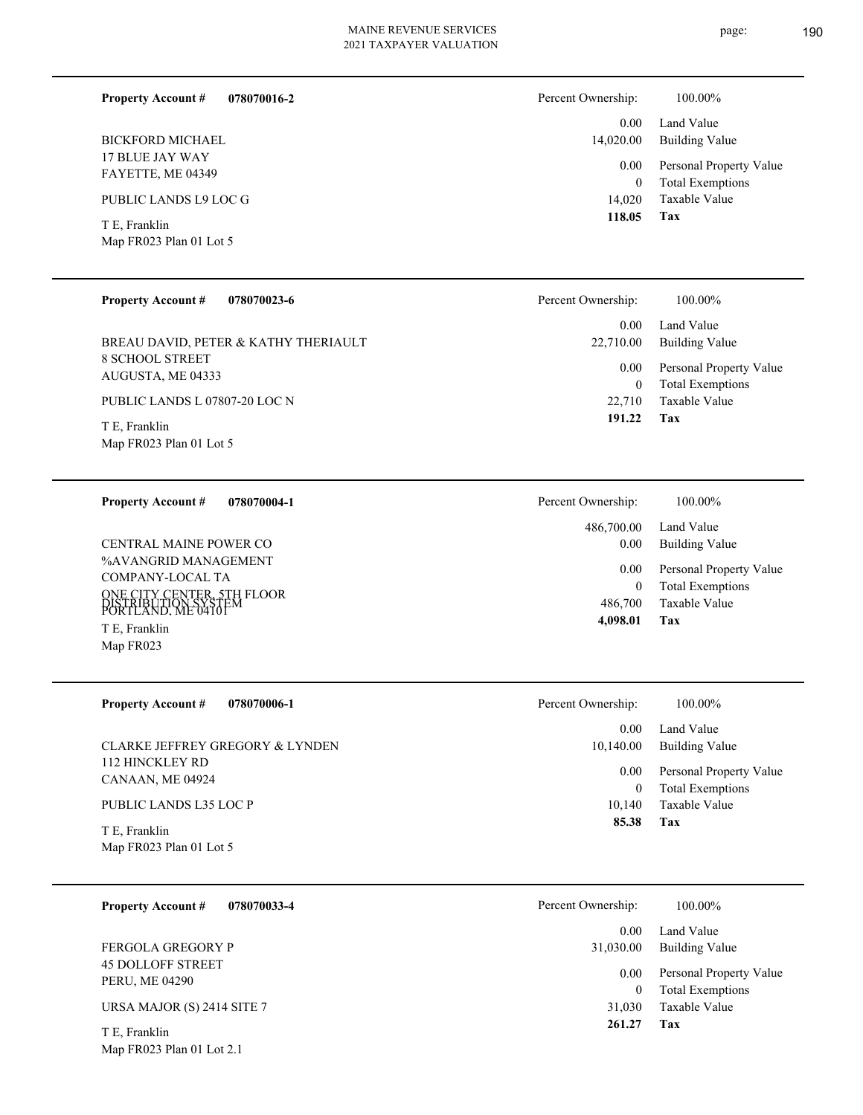| 078070016-2<br><b>Property Account #</b> | Percent Ownership:     | 100.00%                                  |
|------------------------------------------|------------------------|------------------------------------------|
| <b>BICKFORD MICHAEL</b>                  | 0.00<br>14,020.00      | Land Value<br>Building Value             |
| 17 BLUE JAY WAY<br>FAYETTE, ME 04349     | 0.00                   | Personal Property Value                  |
| PUBLIC LANDS L9 LOC G                    | $\mathbf{0}$<br>14,020 | <b>Total Exemptions</b><br>Taxable Value |
| T E, Franklin<br>Map FR023 Plan 01 Lot 5 | 118.05                 | Tax                                      |
|                                          |                        |                                          |

| <b>Property Account #</b><br>078070023-6    | Percent Ownership: | 100.00%                                            |
|---------------------------------------------|--------------------|----------------------------------------------------|
|                                             | 0.00               | Land Value                                         |
| BREAU DAVID, PETER & KATHY THERIAULT        | 22,710.00          | Building Value                                     |
| <b>8 SCHOOL STREET</b><br>AUGUSTA, ME 04333 | 0.00<br>$\bf{0}$   | Personal Property Value<br><b>Total Exemptions</b> |
| PUBLIC LANDS L 07807-20 LOC N               | 22.710             | Taxable Value                                      |
| T E, Franklin<br>Map FR023 Plan 01 Lot 5    | 191.22             | Tax                                                |

| 078070004-1<br><b>Property Account #</b>                                                                                                          | Percent Ownership:               | 100.00%                                                                    |
|---------------------------------------------------------------------------------------------------------------------------------------------------|----------------------------------|----------------------------------------------------------------------------|
|                                                                                                                                                   | 486,700.00                       | Land Value                                                                 |
| <b>CENTRAL MAINE POWER CO</b>                                                                                                                     | 0.00                             | Building Value                                                             |
| %AVANGRID MANAGEMENT<br>COMPANY-LOCAL TA<br>ONE CITY CENTER, 5TH FLOOR<br>ĎISTRIBÚTION SÝŠŤĖM<br>PORTLAND, ME 04101<br>T E, Franklin<br>Map FR023 | 0.00<br>0<br>486,700<br>4,098.01 | Personal Property Value<br><b>Total Exemptions</b><br>Taxable Value<br>Tax |

| <b>Property Account #</b><br>078070006-1 | Percent Ownership: | 100.00%                                            |
|------------------------------------------|--------------------|----------------------------------------------------|
|                                          | 0.00               | Land Value                                         |
| CLARKE JEFFREY GREGORY & LYNDEN          | 10,140.00          | <b>Building Value</b>                              |
| 112 HINCKLEY RD<br>CANAAN, ME 04924      | 0.00               | Personal Property Value<br><b>Total Exemptions</b> |
| PUBLIC LANDS L35 LOC P                   | 10.140             | Taxable Value                                      |
| T E, Franklin<br>Map FR023 Plan 01 Lot 5 | 85.38              | Tax                                                |

| 078070033-4<br><b>Property Account #</b>   | Percent Ownership: | 100.00%                 |
|--------------------------------------------|--------------------|-------------------------|
|                                            | 0.00               | Land Value              |
| FERGOLA GREGORY P                          | 31,030.00          | <b>Building Value</b>   |
| <b>45 DOLLOFF STREET</b><br>PERU, ME 04290 | 0.00               | Personal Property Value |
|                                            | $\Omega$           | <b>Total Exemptions</b> |
| URSA MAJOR (S) 2414 SITE 7                 | 31,030             | Taxable Value           |
| T E, Franklin                              | 261.27             | Tax                     |

Map FR023 Plan 01 Lot 2.1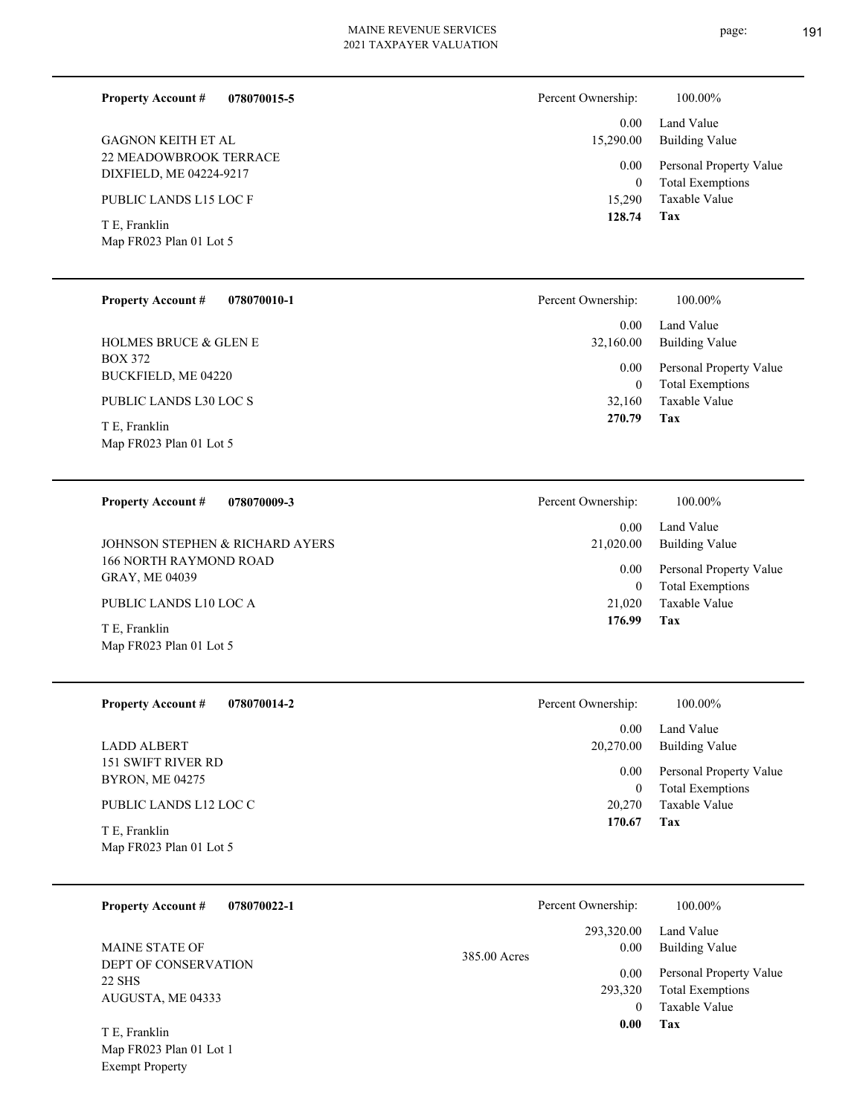**Tax**

**Tax**

Taxable Value Total Exemptions Personal Property Value

Building Value Land Value

 21,020 0

 0.00 21,020.00

Percent Ownership:  $100.00\%$ 

0.00

 **176.99**

 20,270 0

 0.00 20,270.00

Percent Ownership:  $100.00\%$ 

0.00

 **170.67**

Taxable Value Total Exemptions Personal Property Value

Building Value Land Value

| <b>Property Account #</b><br>078070015-5 | Percent Ownership: | 100.00%                 |
|------------------------------------------|--------------------|-------------------------|
|                                          | 0.00               | Land Value              |
| <b>GAGNON KEITH ET AL</b>                | 15,290.00          | <b>Building Value</b>   |
| <b>22 MEADOWBROOK TERRACE</b>            | 0.00               | Personal Property Value |
| DIXFIELD, ME 04224-9217                  | $\theta$           | <b>Total Exemptions</b> |
| PUBLIC LANDS L15 LOC F                   | 15,290             | Taxable Value           |
| T E, Franklin                            | 128.74             | Tax                     |
| Map FR023 Plan 01 Lot 5                  |                    |                         |
|                                          |                    |                         |
| <b>Property Account #</b><br>078070010-1 | Percent Ownership: | 100.00%                 |
|                                          | 0.00               | Land Value              |
| <b>HOLMES BRUCE &amp; GLEN E</b>         | 32,160.00          | <b>Building Value</b>   |
| <b>BOX 372</b>                           | $0.00\,$           | Personal Property Value |
| <b>BUCKFIELD, ME 04220</b>               | $\theta$           | <b>Total Exemptions</b> |
| PUBLIC LANDS L30 LOC S                   | 32,160             | Taxable Value           |
|                                          |                    |                         |

Map FR023 Plan 01 Lot 5 T E, Franklin

#### **078070009-3 Property Account #**

166 NORTH RAYMOND ROAD GRAY, ME 04039 JOHNSON STEPHEN & RICHARD AYERS

PUBLIC LANDS L10 LOC A

Map FR023 Plan 01 Lot 5 T E, Franklin

| <b>Property Account #</b> | 078070014-2 |
|---------------------------|-------------|
|---------------------------|-------------|

151 SWIFT RIVER RD BYRON, ME 04275 LADD ALBERT

## PUBLIC LANDS L12 LOC C

Map FR023 Plan 01 Lot 5 T E, Franklin

| <b>Property Account #</b><br>078070022-1 |              | Percent Ownership: | 100.00%                 |
|------------------------------------------|--------------|--------------------|-------------------------|
|                                          |              | 293,320.00         | Land Value              |
| <b>MAINE STATE OF</b>                    | 385.00 Acres | 0.00               | <b>Building Value</b>   |
| DEPT OF CONSERVATION<br>22 SHS           |              | 0.00               | Personal Property Value |
| AUGUSTA, ME 04333                        |              | 293,320            | <b>Total Exemptions</b> |
|                                          |              | $\theta$           | Taxable Value           |
| T E. Franklin<br>16.500000101017         |              | 0.00               | Tax                     |

# Map FR023 Plan 01 Lot 1 Exempt Property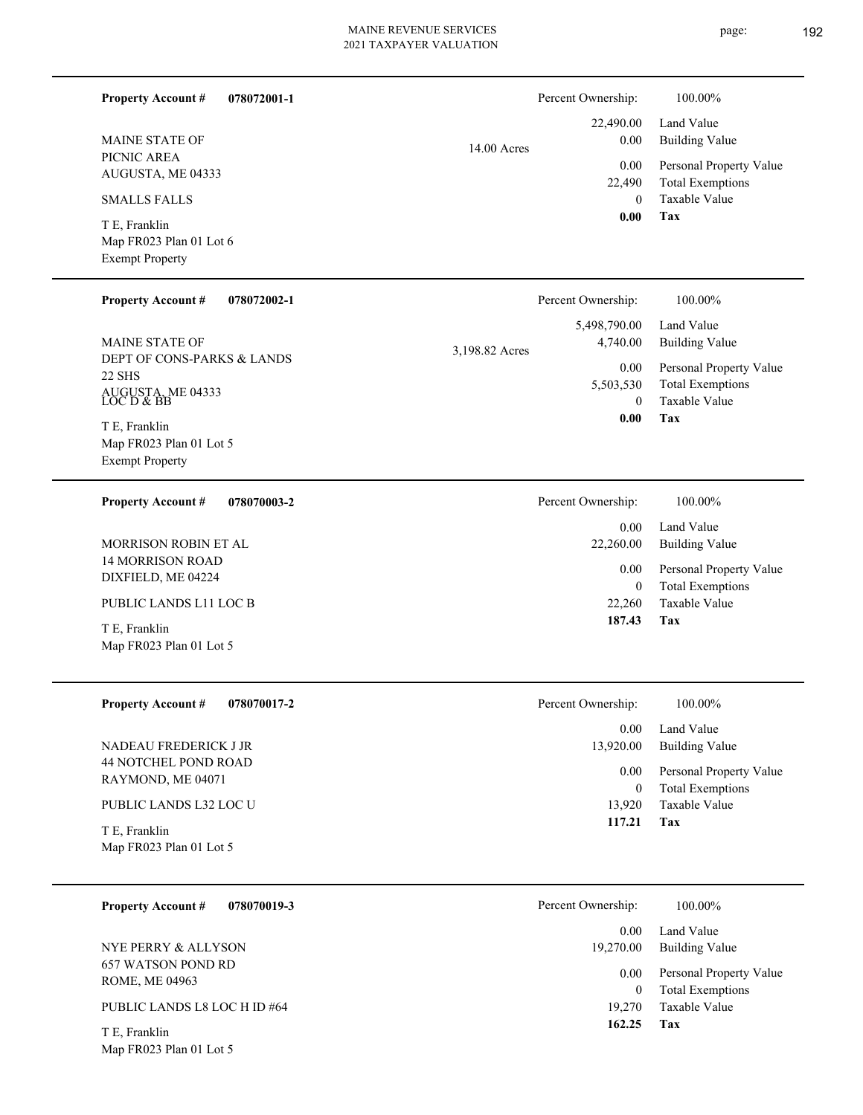| <b>Property Account #</b><br>078072001-1            | Percent Ownership:                 | 100.00%                                            |
|-----------------------------------------------------|------------------------------------|----------------------------------------------------|
| <b>MAINE STATE OF</b>                               | 22,490.00<br>0.00<br>14.00 Acres   | Land Value<br><b>Building Value</b>                |
| PICNIC AREA<br>AUGUSTA, ME 04333                    | 0.00                               | Personal Property Value                            |
| <b>SMALLS FALLS</b>                                 | 22,490<br>$\mathbf{0}$             | <b>Total Exemptions</b><br>Taxable Value           |
| T E, Franklin                                       | 0.00                               | Tax                                                |
| Map FR023 Plan 01 Lot 6<br><b>Exempt Property</b>   |                                    |                                                    |
| <b>Property Account #</b><br>078072002-1            | Percent Ownership:                 | 100.00%                                            |
|                                                     | 5,498,790.00                       | Land Value                                         |
| <b>MAINE STATE OF</b><br>DEPT OF CONS-PARKS & LANDS | 4,740.00<br>3,198.82 Acres<br>0.00 | <b>Building Value</b><br>Personal Property Value   |
| 22 SHS                                              | 5,503,530                          | <b>Total Exemptions</b>                            |
| AUGUSTA, ME 04333<br>LOC D & BB                     | $\Omega$<br>0.00                   | Taxable Value<br>Tax                               |
| T E, Franklin<br>Map FR023 Plan 01 Lot 5            |                                    |                                                    |
| <b>Exempt Property</b>                              |                                    |                                                    |
| 078070003-2<br><b>Property Account #</b>            | Percent Ownership:                 | 100.00%                                            |
| MORRISON ROBIN ET AL                                | 0.00<br>22,260.00                  | Land Value<br><b>Building Value</b>                |
| <b>14 MORRISON ROAD</b><br>DIXFIELD, ME 04224       | 0.00<br>$\boldsymbol{0}$           | Personal Property Value<br><b>Total Exemptions</b> |
| PUBLIC LANDS L11 LOC B                              | 22,260                             | Taxable Value                                      |
| T E, Franklin                                       | 187.43                             | Tax                                                |
| Map FR023 Plan 01 Lot 5                             |                                    |                                                    |
| <b>Property Account #</b><br>078070017-2            | Percent Ownership:                 | 100.00%                                            |
|                                                     | 0.00                               | Land Value                                         |
| NADEAU FREDERICK J JR<br>44 NOTCHEL POND ROAD       | 13,920.00                          | <b>Building Value</b>                              |
| RAYMOND, ME 04071                                   | 0.00<br>$\boldsymbol{0}$           | Personal Property Value<br><b>Total Exemptions</b> |
| PUBLIC LANDS L32 LOC U                              | 13,920                             | Taxable Value                                      |
| T E, Franklin                                       | 117.21                             | Tax                                                |
| Map FR023 Plan 01 Lot 5                             |                                    |                                                    |
| 078070019-3<br><b>Property Account #</b>            | Percent Ownership:                 | 100.00%                                            |
|                                                     | 0.00                               | Land Value                                         |
| NYE PERRY & ALLYSON<br>657 WATSON POND RD           | 19,270.00                          | <b>Building Value</b>                              |
| ROME, ME 04963                                      | 0.00<br>$\boldsymbol{0}$           | Personal Property Value<br><b>Total Exemptions</b> |
| PUBLIC LANDS L8 LOC H ID #64                        | 19,270                             | Taxable Value                                      |
| T E, Franklin                                       | 162.25                             | Tax                                                |
| Map FR023 Plan 01 Lot 5                             |                                    |                                                    |
|                                                     |                                    |                                                    |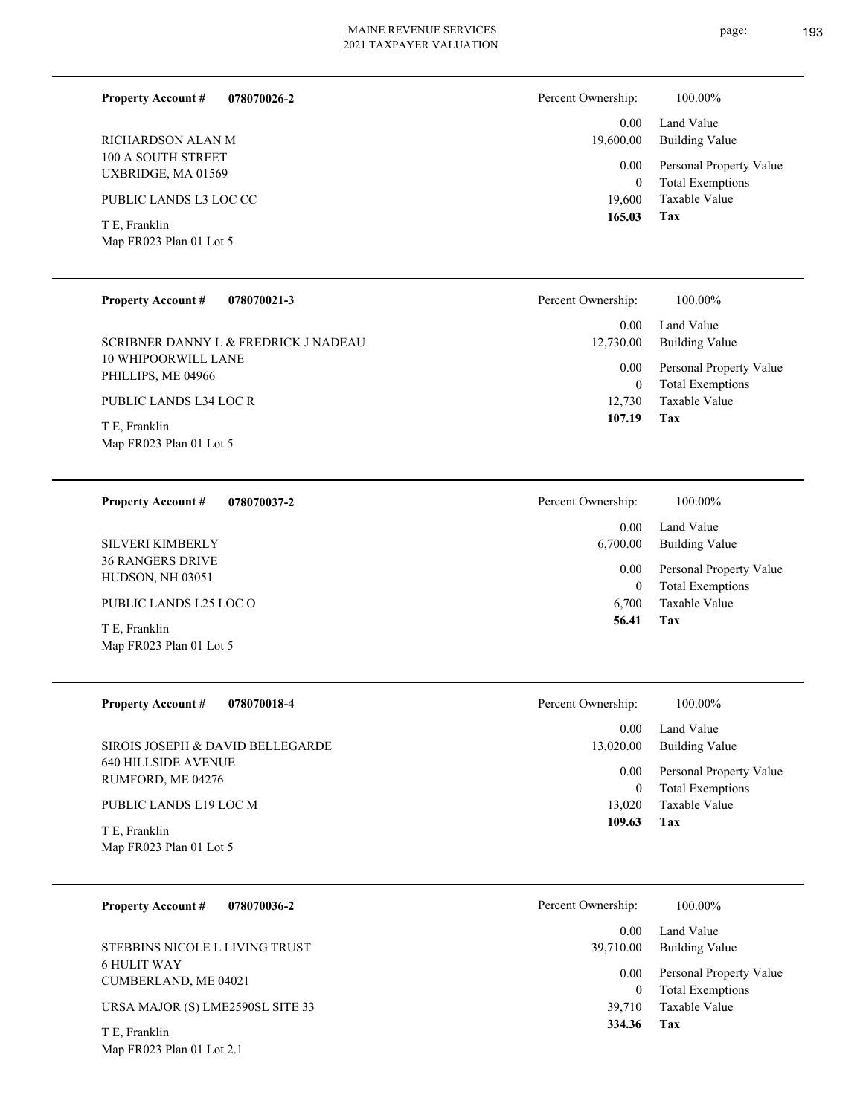| 078070026-2<br><b>Property Account #</b> | Percent Ownership: | 100.00%                 |
|------------------------------------------|--------------------|-------------------------|
| RICHARDSON ALAN M                        | 0.00 <sub>1</sub>  | Land Value              |
| 100 A SOUTH STREET                       | 19,600.00          | <b>Building Value</b>   |
| UXBRIDGE, MA 01569                       | 0.00               | Personal Property Value |
| PUBLIC LANDS L3 LOC CC                   | $\overline{0}$     | <b>Total Exemptions</b> |
| T E, Franklin                            | 19.600             | Taxable Value           |
| Map FR023 Plan 01 Lot 5                  | 165.03             | Tax                     |
| <b>Property Account #</b>                | Percent Ownership: | 100.00%                 |
| 078070021-3                              | 0.00               | Land Value              |

10 WHIPOORWILL LANE PHILLIPS, ME 04966 SCRIBNER DANNY L & FREDRICK J NADEAU

PUBLIC LANDS L34 LOC R

Map FR023 Plan 01 Lot 5 T E, Franklin

**078070037-2 Property Account #**

36 RANGERS DRIVE HUDSON, NH 03051 SILVERI KIMBERLY

PUBLIC LANDS L25 LOC O

T E, Franklin

| Map FR023 Plan 01 Lot 5                         |                      |                                                    |
|-------------------------------------------------|----------------------|----------------------------------------------------|
| <b>Property Account #</b><br>078070018-4        | Percent Ownership:   | 100.00%                                            |
|                                                 | 0.00 <sub>1</sub>    | Land Value                                         |
| SIROIS JOSEPH & DAVID BELLEGARDE                | 13,020.00            | Building Value                                     |
| <b>640 HILLSIDE AVENUE</b><br>RUMFORD, ME 04276 | $0.00\,$<br>$\theta$ | Personal Property Value<br><b>Total Exemptions</b> |
| PUBLIC LANDS L19 LOC M                          | 13,020               | Taxable Value                                      |
| T E, Franklin                                   | 109.63               | Tax                                                |
| Map FR023 Plan 01 Lot 5                         |                      |                                                    |

| 078070036-2<br><b>Property Account #</b>   | Percent Ownership: | 100.00%                                            |
|--------------------------------------------|--------------------|----------------------------------------------------|
|                                            | 0.00               | Land Value                                         |
| STEBBINS NICOLE L LIVING TRUST             | 39,710.00          | Building Value                                     |
| <b>6 HULIT WAY</b><br>CUMBERLAND, ME 04021 | 0.00<br>$\Omega$   | Personal Property Value<br><b>Total Exemptions</b> |
| URSA MAJOR (S) LME2590SL SITE 33           | 39.710             | Taxable Value                                      |
| T E. Franklin                              | 334.36             | Tax                                                |

Map FR023 Plan 01 Lot 2.1

|        | 12,730.00 Building Value     |
|--------|------------------------------|
|        | 0.00 Personal Property Value |
| 0      | <b>Total Exemptions</b>      |
| 12,730 | Taxable Value                |
| 107.19 | Tax                          |

| Ownership: | 100.00%                 |
|------------|-------------------------|
| 0.00       | Land Value              |
| 6,700.00   | <b>Building Value</b>   |
| 0.00       | Personal Property Value |
| 0          | <b>Total Exemptions</b> |
| 6,700      | Taxable Value           |
| 56.41      | Tax                     |

Percent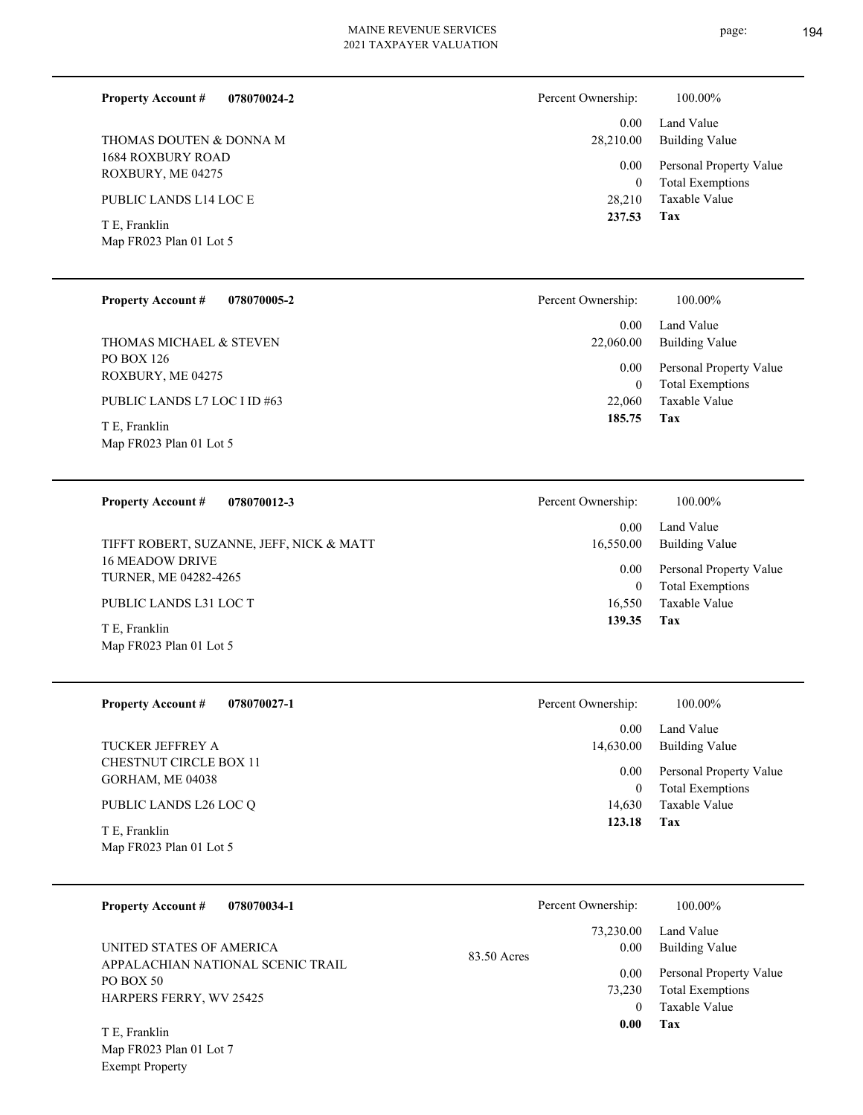| <b>Property Account #</b><br>078070024-2                                                                                                | Percent Ownership:                                                         | 100.00%                                                                                                    |
|-----------------------------------------------------------------------------------------------------------------------------------------|----------------------------------------------------------------------------|------------------------------------------------------------------------------------------------------------|
| THOMAS DOUTEN & DONNA M<br>1684 ROXBURY ROAD<br>ROXBURY, ME 04275<br>PUBLIC LANDS L14 LOC E<br>T E, Franklin<br>Map FR023 Plan 01 Lot 5 | 0.00 <sub>1</sub><br>28,210.00<br>0.00<br>$\mathbf{0}$<br>28,210<br>237.53 | Land Value<br>Building Value<br>Personal Property Value<br><b>Total Exemptions</b><br>Taxable Value<br>Tax |
|                                                                                                                                         |                                                                            |                                                                                                            |
| <b>Property Account #</b><br>078070005-2                                                                                                | Percent Ownership:                                                         | 100.00%                                                                                                    |
|                                                                                                                                         | 0.00                                                                       | Land Value                                                                                                 |
| THOMAS MICHAEL & STEVEN                                                                                                                 | 22,060.00                                                                  | Building Value                                                                                             |

PO BOX 126 ROXBURY, ME 04275

PUBLIC LANDS L7 LOC I ID #63

Map FR023 Plan 01 Lot 5 T E, Franklin

**078070012-3 Property Account #**

16 MEADOW DRIVE TURNER, ME 04282-4265 TIFFT ROBERT, SUZANNE, JEFF, NICK & MATT

PUBLIC LANDS L31 LOC T

Map FR023 Plan 01 Lot 5 T E, Franklin

**078070027-1 Property Account #**

CHESTNUT CIRCLE BOX 11 GORHAM, ME 04038 TUCKER JEFFREY A

PUBLIC LANDS L26 LOC Q

Map FR023 Plan 01 Lot 5 T E, Franklin

| <b>Property Account #</b><br>078070034-1       |             | Percent Ownership: | 100.00%                 |
|------------------------------------------------|-------------|--------------------|-------------------------|
|                                                |             | 73,230.00          | Land Value              |
| UNITED STATES OF AMERICA                       | 83.50 Acres | 0.00               | Building Value          |
| APPALACHIAN NATIONAL SCENIC TRAIL<br>PO BOX 50 |             | 0.00               | Personal Property Value |
| HARPERS FERRY, WV 25425                        |             | 73,230             | <b>Total Exemptions</b> |
|                                                |             |                    | Taxable Value           |
| T E, Franklin                                  |             | 0.00               | Tax                     |

Map FR023 Plan 01 Lot 7 Exempt Property

| 22,060.00     | 0.00 Land Value<br>Building Value                  |
|---------------|----------------------------------------------------|
| $0.00\,$<br>0 | Personal Property Value<br><b>Total Exemptions</b> |
| 22,060        | Taxable Value                                      |
| 185.75        | Tax                                                |

| Percent Ownership:    | 100.00%                                            |
|-----------------------|----------------------------------------------------|
| $0.00 -$<br>16,550.00 | Land Value<br>Building Value                       |
| $0.00\,$<br>0         | Personal Property Value<br><b>Total Exemptions</b> |
| 16,550                | Taxable Value                                      |
| 139.35                | Tax                                                |

| Percent Ownership:    | 100.00%                                         |
|-----------------------|-------------------------------------------------|
| $0.00\,$<br>14,630.00 | Land Value<br><b>Building Value</b>             |
| $0.00\,$              | Personal Property Value                         |
| $\theta$              | <b>Total Exemptions</b><br>14,630 Taxable Value |
| 123.18                | Tax                                             |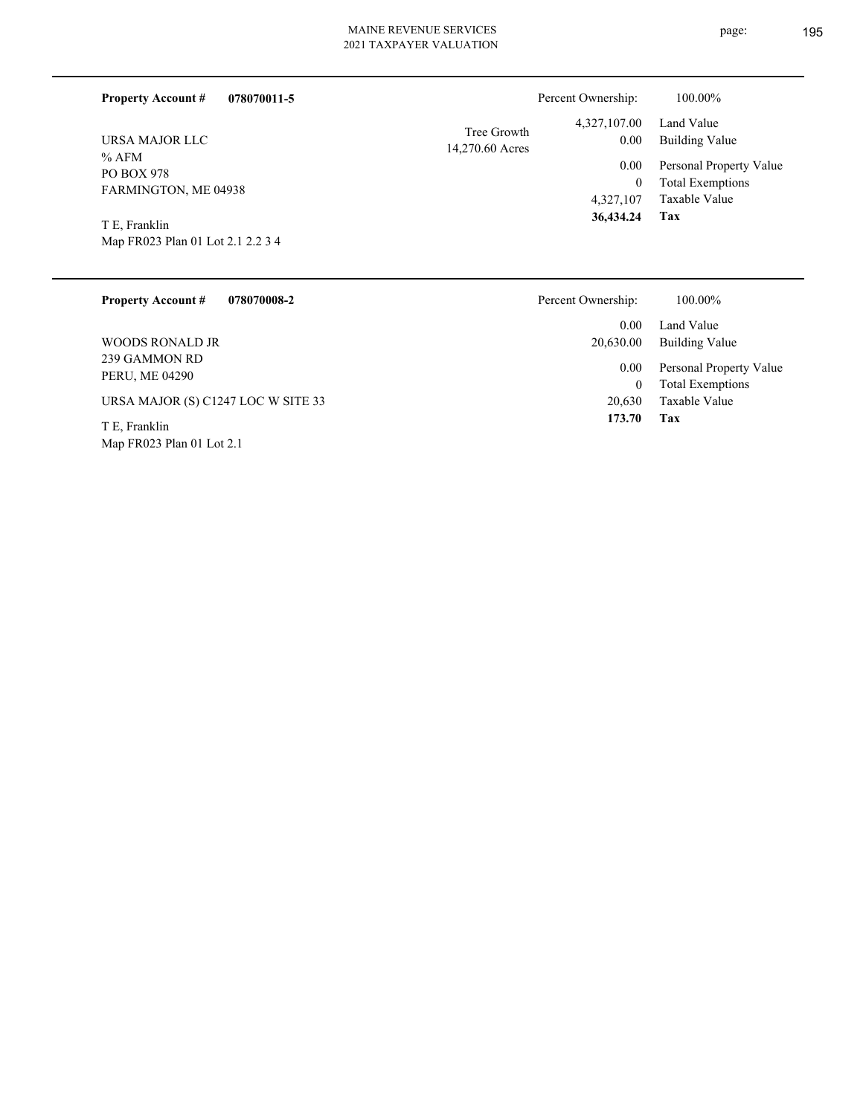| 078070011-5<br><b>Property Account #</b>                                                                                   | Percent Ownership:                                                                                       | 100.00%                                                                                                           |  |
|----------------------------------------------------------------------------------------------------------------------------|----------------------------------------------------------------------------------------------------------|-------------------------------------------------------------------------------------------------------------------|--|
| URSA MAJOR LLC<br>% AFM<br><b>PO BOX 978</b><br>FARMINGTON, ME 04938<br>T E, Franklin<br>Map FR023 Plan 01 Lot 2.1 2.2 3 4 | 4,327,107.00<br>Tree Growth<br>0.00<br>14,270.60 Acres<br>0.00<br>$\mathbf{0}$<br>4,327,107<br>36,434.24 | Land Value<br><b>Building Value</b><br>Personal Property Value<br><b>Total Exemptions</b><br>Taxable Value<br>Tax |  |
| <b>Property Account #</b><br>078070008-2                                                                                   | Percent Ownership:                                                                                       | 100.00%                                                                                                           |  |
|                                                                                                                            | 0.00<br>$\sim$ $\sim$ $\sim$ $\sim$                                                                      | Land Value<br>$T = 111$                                                                                           |  |

239 GAMMON RD PERU, ME 04290 WOODS RONALD JR

URSA MAJOR (S) C1247 LOC W SITE 33

Map FR023 Plan 01 Lot 2.1 T E, Franklin

Taxable Value 0 Total Exemptions 0.00 Personal Property Value 20,630.00 Building Value 20,630

**Tax 173.70**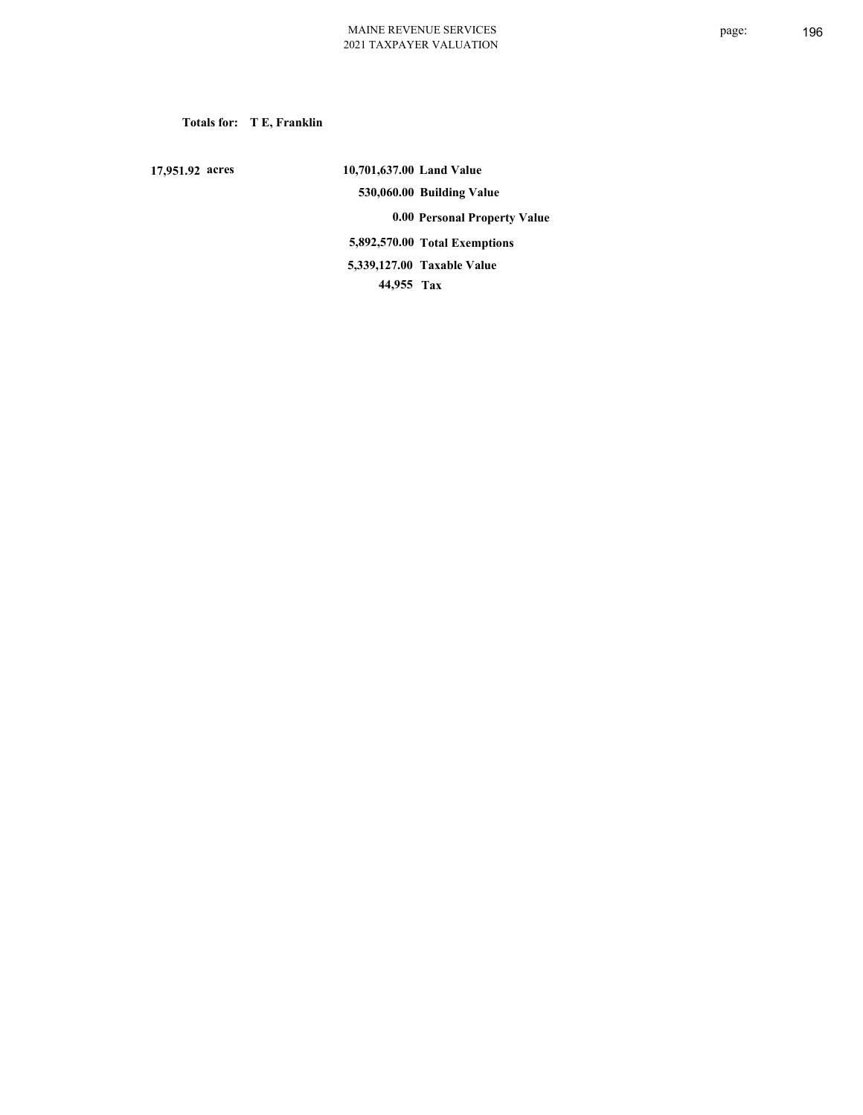**Totals for: T E, Franklin**

 **17,951.92 acres**

 **10,701,637.00 Land Value 530,060.00 Building Value 0.00 Personal Property Value 5,892,570.00 Total Exemptions 44,955 Tax Taxable Value 5,339,127.00**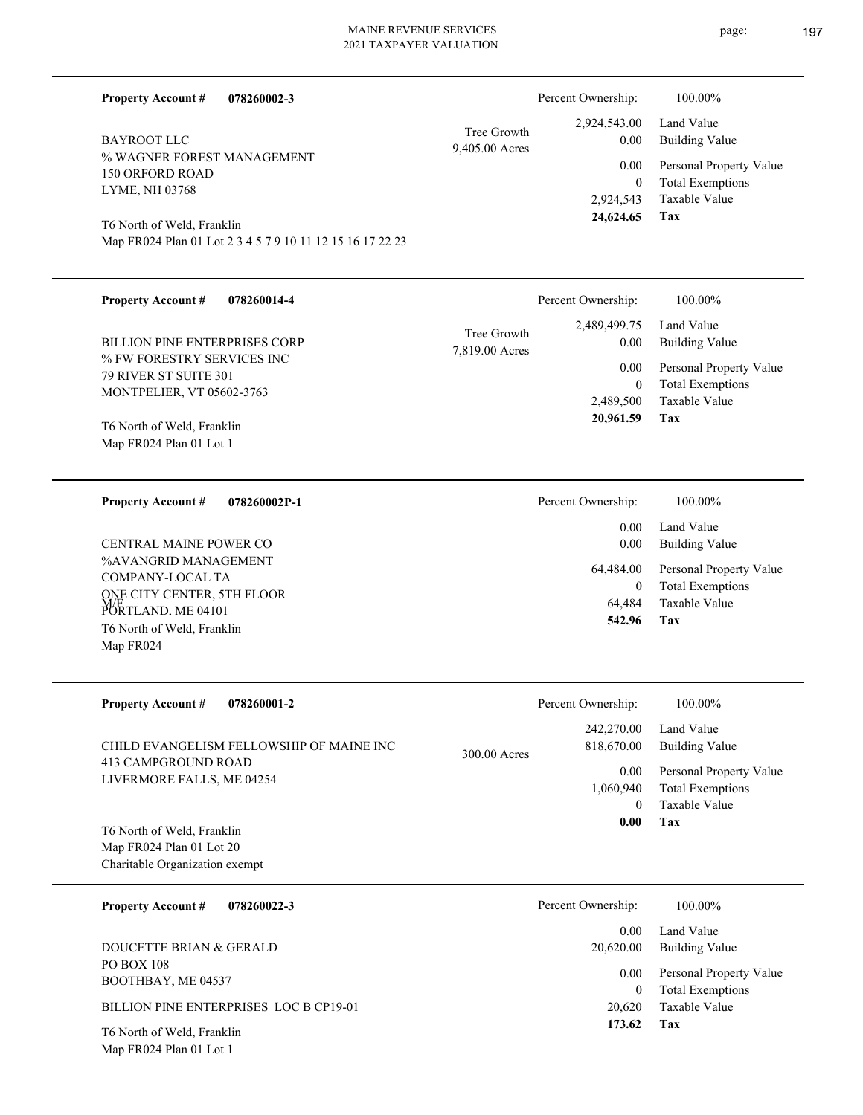9,405.00 Acres Tree Growth

% WAGNER FOREST MANAGEMENT 150 ORFORD ROAD LYME, NH 03768 BAYROOT LLC

**Property Account #**

Map FR024 Plan 01 Lot 1

Map FR024 Plan 01 Lot 2 3 4 5 7 9 10 11 12 15 16 17 22 23 T6 North of Weld, Franklin

**078260002-3**

| <b>Property Account #</b><br>078260014-4<br><b>BILLION PINE ENTERPRISES CORP</b><br>% FW FORESTRY SERVICES INC<br><b>79 RIVER ST SUITE 301</b><br>MONTPELIER, VT 05602-3763<br>T6 North of Weld, Franklin<br>Map FR024 Plan 01 Lot 1 | Percent Ownership:<br>2,489,499.75<br>Tree Growth<br>0.00<br>7,819.00 Acres<br>0.00<br>$\theta$<br>2,489,500<br>20,961.59 | 100.00%<br>Land Value<br><b>Building Value</b><br>Personal Property Value<br><b>Total Exemptions</b><br><b>Taxable Value</b><br>Tax |
|--------------------------------------------------------------------------------------------------------------------------------------------------------------------------------------------------------------------------------------|---------------------------------------------------------------------------------------------------------------------------|-------------------------------------------------------------------------------------------------------------------------------------|
| <b>Property Account #</b><br>078260002P-1<br>CENTRAL MAINE POWER CO<br>%AVANGRID MANAGEMENT<br>COMPANY-LOCAL TA<br>ONE CITY CENTER, 5TH FLOOR<br>ME<br>PORTLAND, ME 04101<br>T6 North of Weld, Franklin<br>Map FR024                 | Percent Ownership:<br>0.00<br>0.00<br>64,484.00<br>$\theta$<br>64,484<br>542.96                                           | 100.00%<br>Land Value<br><b>Building Value</b><br>Personal Property Value<br><b>Total Exemptions</b><br><b>Taxable Value</b><br>Tax |
| <b>Property Account #</b><br>078260001-2                                                                                                                                                                                             | Percent Ownership:                                                                                                        | 100.00%                                                                                                                             |

| CHILD EVANGELISM FELLOWSHIP OF MAINE INC<br>413 CAMPGROUND ROAD | 300.00 Acres | 242,270.00<br>818,670.00 | Land Value<br>Building Value |
|-----------------------------------------------------------------|--------------|--------------------------|------------------------------|
| LIVERMORE FALLS, ME 04254                                       |              | 0.00                     | Personal Property Value      |
|                                                                 |              | 1,060,940                | <b>Total Exemptions</b>      |
|                                                                 |              | 0                        | Taxable Value                |
| T6 North of Weld, Franklin                                      |              | 0.00                     | Tax                          |
| Map FR024 Plan 01 Lot 20                                        |              |                          |                              |
| Charitable Organization exempt                                  |              |                          |                              |

| 078260022-3<br><b>Property Account #</b> | Percent Ownership: | 100.00%                                            |
|------------------------------------------|--------------------|----------------------------------------------------|
| DOUCETTE BRIAN & GERALD                  | 0.00<br>20.620.00  | Land Value<br><b>Building Value</b>                |
| <b>PO BOX 108</b><br>BOOTHBAY, ME 04537  | 0.00<br>$\theta$   | Personal Property Value<br><b>Total Exemptions</b> |
| BILLION PINE ENTERPRISES LOC B CP19-01   | 20,620             | Taxable Value                                      |
| T6 North of Weld, Franklin               | 173.62             | Tax                                                |

Land Value 2,924,543.00 Percent Ownership:  $100.00\%$ 

**Tax**

2,924,543

 **24,624.65**

0

 0.00 0.00

Taxable Value Total Exemptions Personal Property Value

Building Value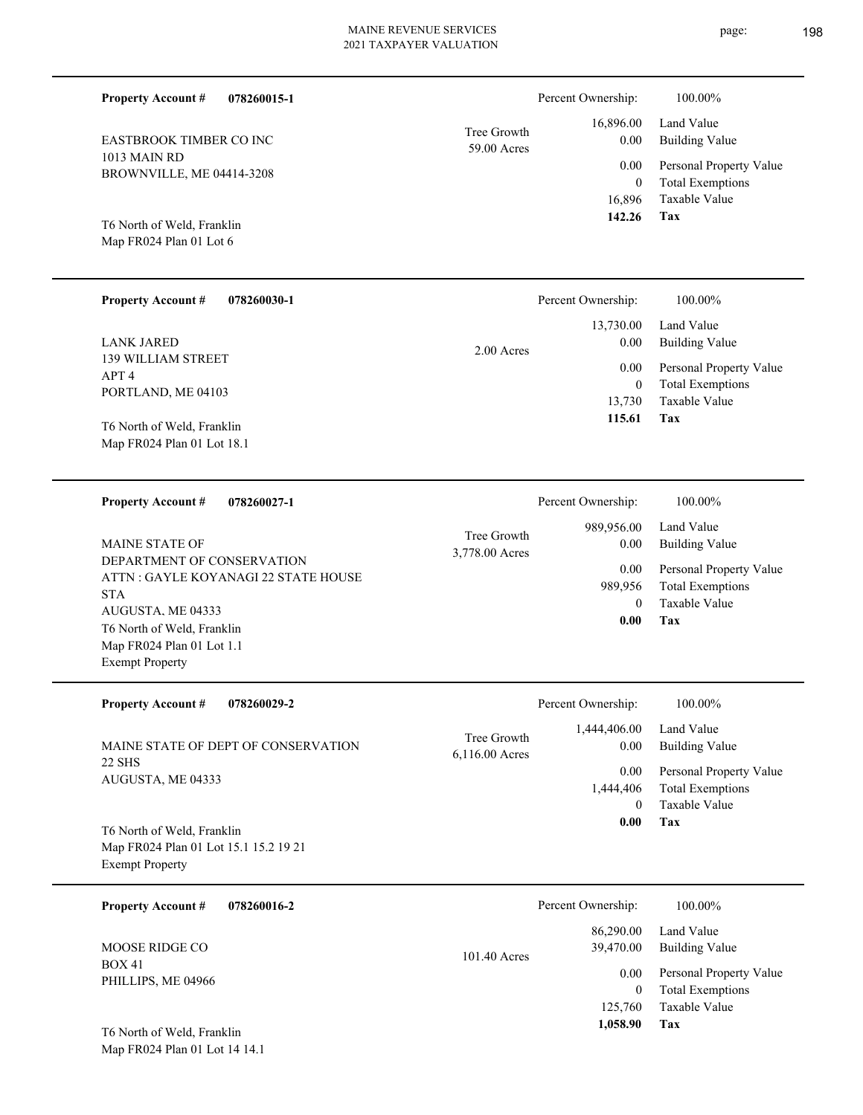Tree Growth Percent Ownership: 100.00%

|             | 142.26 Tax |                              |
|-------------|------------|------------------------------|
|             |            | 16,896 Taxable Value         |
|             |            | 0 Total Exemptions           |
|             |            | 0.00 Personal Property Value |
| 59.00 Acres | 0.00       | Building Value               |
| Tree Growth |            | 16,896.00 Land Value         |

BROWNVILLE, ME 04414-3208

EASTBROOK TIMBER CO INC

**078260015-1**

Map FR024 Plan 01 Lot 6 T6 North of Weld, Franklin

Map FR024 Plan 01 Lot 18.1

1013 MAIN RD

**Property Account #**

| <b>Property Account #</b><br>078260030-1 | Percent Ownership: | 100.00%                 |
|------------------------------------------|--------------------|-------------------------|
|                                          | 13,730.00          | Land Value              |
| <b>LANK JARED</b>                        | 0.00<br>2.00 Acres | Building Value          |
| <b>139 WILLIAM STREET</b>                | 0.00               | Personal Property Value |
| APT <sub>4</sub><br>PORTLAND, ME 04103   | $\mathbf{0}$       | <b>Total Exemptions</b> |
|                                          | 13.730             | Taxable Value           |
| T6 North of Weld, Franklin               | 115.61             | Tax                     |

**078260027-1 Tax** Taxable Value Total Exemptions Personal Property Value Building Value Land Value DEPARTMENT OF CONSERVATION ATTN : GAYLE KOYANAGI 22 STATE HOUSE STA AUGUSTA, ME 04333 **Property Account #** Map FR024 Plan 01 Lot 1.1 Exempt Property T6 North of Weld, Franklin MAINE STATE OF 0 989,956  **0.00** 989,956.00 0.00 0.00 3,778.00 Acres Tree Growth Percent Ownership:  $100.00\%$ 

| <b>Property Account #</b><br>078260029-2                                                      | Percent Ownership:                                                                               | 100.00%                                                                        |
|-----------------------------------------------------------------------------------------------|--------------------------------------------------------------------------------------------------|--------------------------------------------------------------------------------|
| MAINE STATE OF DEPT OF CONSERVATION<br>22 SHS<br>AUGUSTA, ME 04333                            | 1,444,406.00<br>Tree Growth<br>$6,116.00$ Acres                                                  | Land Value<br><b>Building Value</b><br>0.00<br>Personal Property Value<br>0.00 |
|                                                                                               | 1,444,406                                                                                        | <b>Total Exemptions</b><br>Taxable Value<br>$\Omega$                           |
| T6 North of Weld, Franklin<br>Map FR024 Plan 01 Lot 15.1 15.2 19 21<br><b>Exempt Property</b> |                                                                                                  | Tax<br>0.00                                                                    |
| <b>Property Account #</b><br>078260016-2                                                      | Percent Ownership:                                                                               | 100.00%                                                                        |
| <b>MOOSE RIDGE CO</b>                                                                         | 86,290.00<br>39,470.00<br>$\begin{array}{ccccccccccccccccc}\n1 & 0 & 1 & 1 & 0 & 1\n\end{array}$ | Land Value<br>Building Value                                                   |

BOX 41 PHILLIPS, ME 04966

Map FR024 Plan 01 Lot 14 14.1 T6 North of Weld, Franklin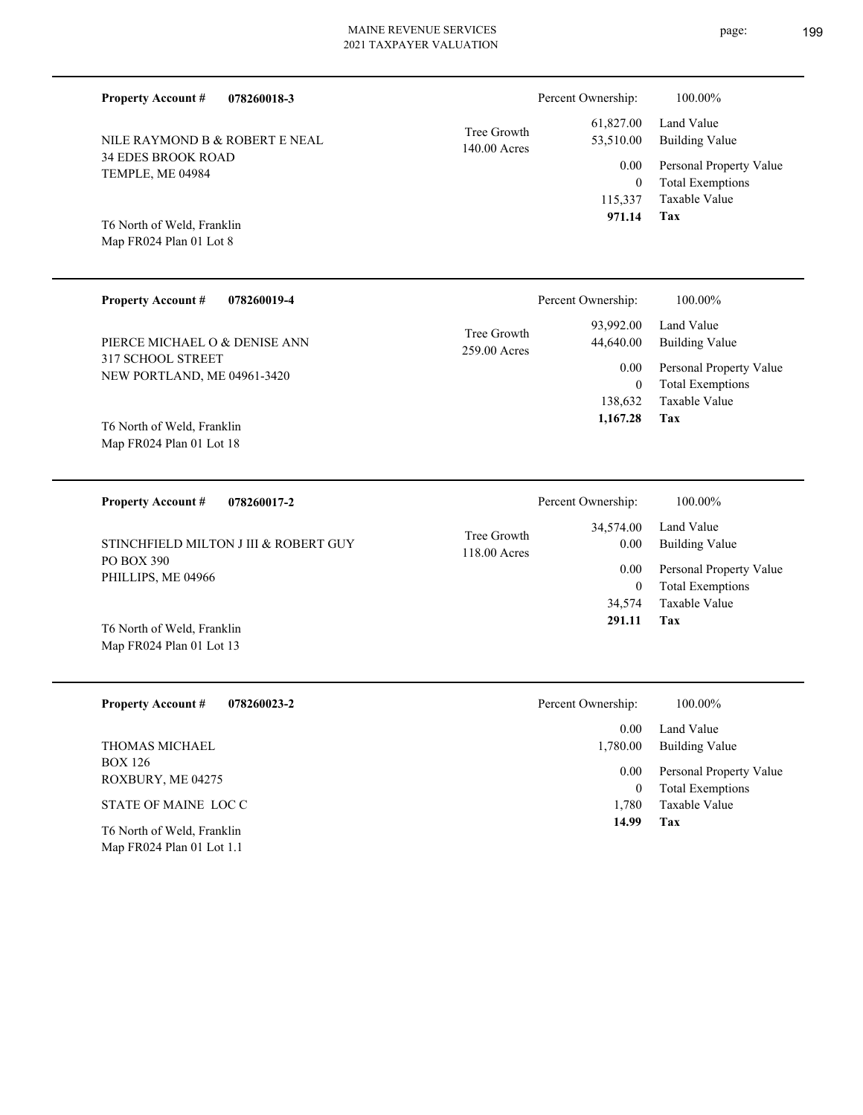| <b>Property Account #</b><br>078260018-3         |                             | Percent Ownership:       | 100.00%                                            |
|--------------------------------------------------|-----------------------------|--------------------------|----------------------------------------------------|
| NILE RAYMOND B & ROBERT E NEAL                   | Tree Growth<br>140.00 Acres | 61,827.00<br>53,510.00   | Land Value<br><b>Building Value</b>                |
| <b>34 EDES BROOK ROAD</b><br>TEMPLE, ME 04984    |                             | 0.00<br>$\boldsymbol{0}$ | Personal Property Value<br><b>Total Exemptions</b> |
| T6 North of Weld, Franklin                       |                             | 115,337<br>971.14        | Taxable Value<br>Tax                               |
| Map FR024 Plan 01 Lot 8                          |                             |                          |                                                    |
| <b>Property Account #</b><br>078260019-4         |                             | Percent Ownership:       | 100.00%                                            |
| PIERCE MICHAEL O & DENISE ANN                    | Tree Growth<br>259.00 Acres | 93,992.00<br>44,640.00   | Land Value<br><b>Building Value</b>                |
| 317 SCHOOL STREET<br>NEW PORTLAND, ME 04961-3420 |                             | 0.00<br>$\boldsymbol{0}$ | Personal Property Value<br><b>Total Exemptions</b> |
| T6 North of Weld, Franklin                       |                             | 138,632<br>1,167.28      | Taxable Value<br>Tax                               |
| Map FR024 Plan 01 Lot 18                         |                             |                          |                                                    |
| <b>Property Account #</b><br>078260017-2         |                             | Percent Ownership:       | 100.00%                                            |
| STINCHFIELD MILTON J III & ROBERT GUY            | Tree Growth<br>118.00 Acres | 34,574.00<br>$0.00\,$    | Land Value<br><b>Building Value</b>                |
| PO BOX 390<br>PHILLIPS, ME 04966                 |                             | $0.00\,$<br>$\mathbf{0}$ | Personal Property Value<br><b>Total Exemptions</b> |
| T6 North of Weld, Franklin                       |                             | 34,574<br>291.11         | Taxable Value<br>Tax                               |
| Map FR024 Plan 01 Lot 13                         |                             |                          |                                                    |
| <b>Property Account #</b><br>078260023-2         |                             | Percent Ownership:       | 100.00%                                            |
| THOMAS MICHAEL                                   |                             | 0.00<br>1,780.00         | Land Value<br><b>Building Value</b>                |

BOX 126 ROXBURY, ME 04275 THOMAS MICHAEL

STATE OF MAINE LOC C

Map FR024 Plan 01 Lot 1.1 T6 North of Weld, Franklin **Tax**

 1,780  **14.99**

Taxable Value 0 Total Exemptions 0.00 Personal Property Value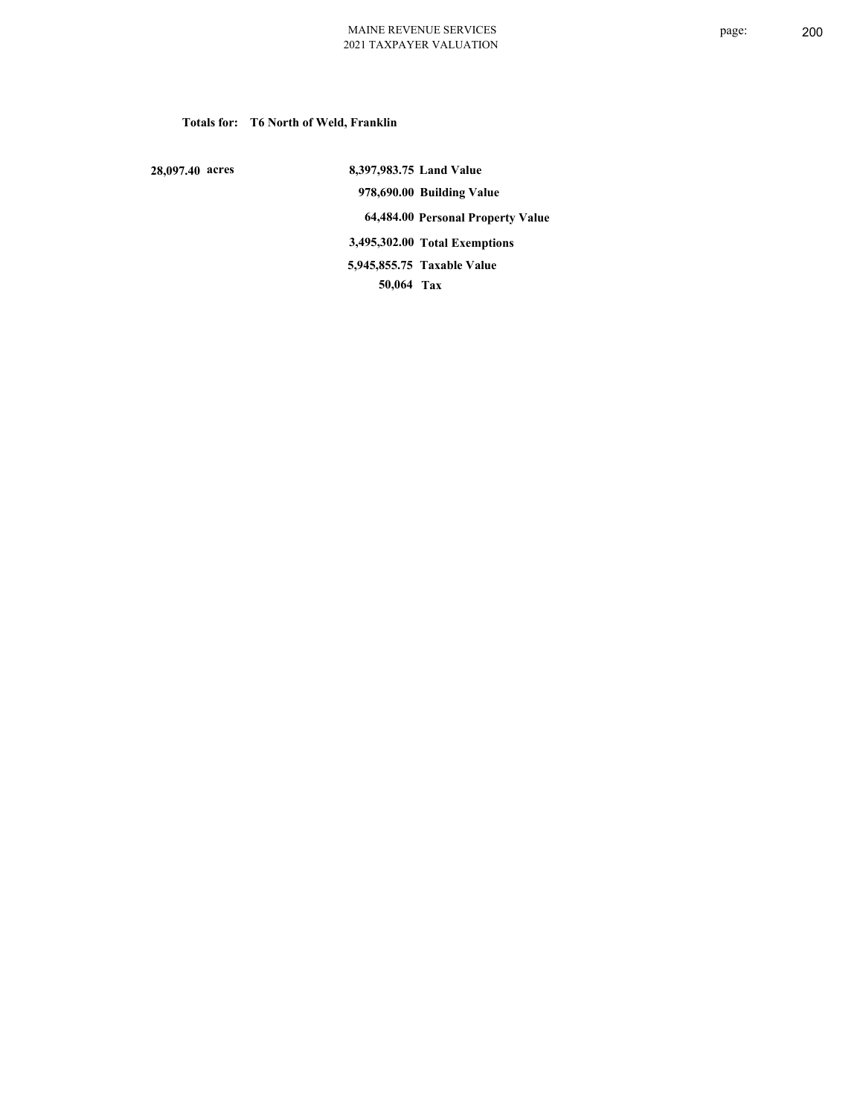## **Totals for: T6 North of Weld, Franklin**

 **28,097.40 acres**

 **8,397,983.75 Land Value 978,690.00 Building Value 64,484.00 Personal Property Value 3,495,302.00 Total Exemptions 50,064 Tax Taxable Value 5,945,855.75**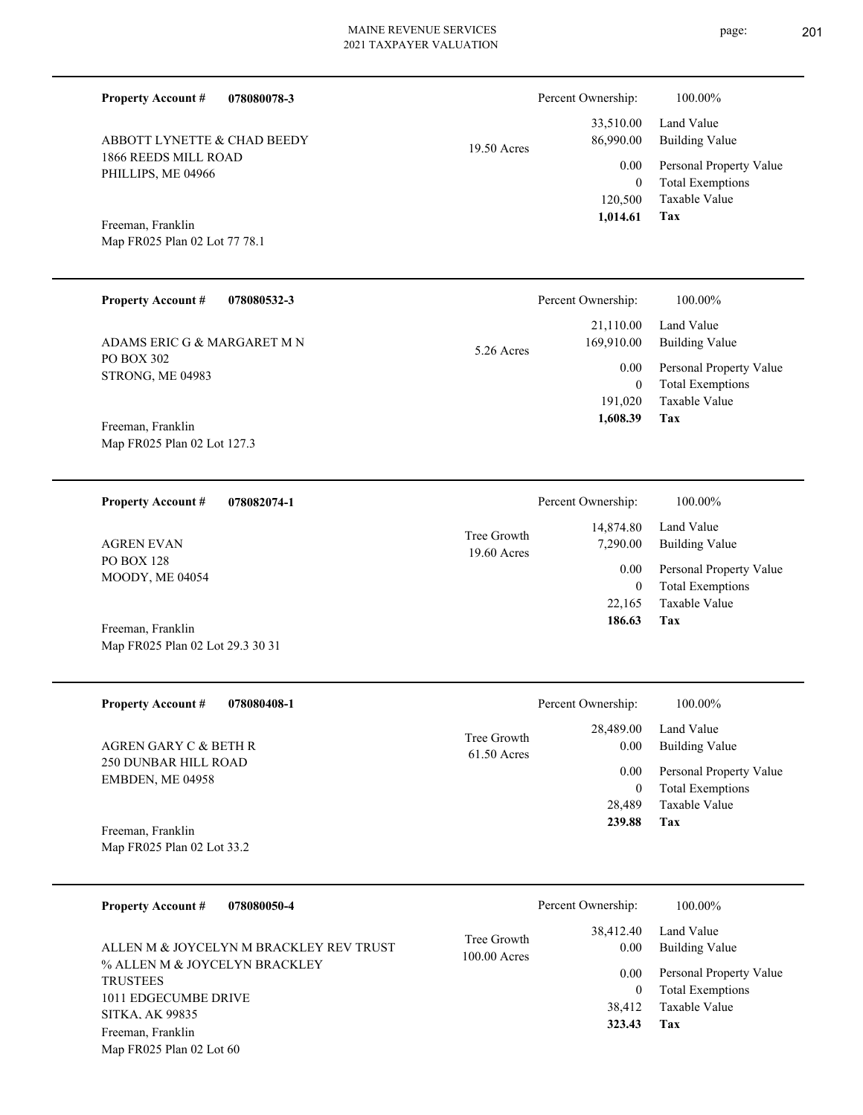| <b>Property Account #</b>                             | 078080078-3                             |                               | Percent Ownership:                | 100.00%                                                             |
|-------------------------------------------------------|-----------------------------------------|-------------------------------|-----------------------------------|---------------------------------------------------------------------|
| ABBOTT LYNETTE & CHAD BEEDY                           |                                         | 19.50 Acres                   | 33,510.00<br>86,990.00            | Land Value<br><b>Building Value</b>                                 |
| 1866 REEDS MILL ROAD<br>PHILLIPS, ME 04966            |                                         |                               | 0.00<br>$\overline{0}$<br>120,500 | Personal Property Value<br><b>Total Exemptions</b><br>Taxable Value |
| Freeman, Franklin                                     |                                         |                               | 1,014.61                          | Tax                                                                 |
| Map FR025 Plan 02 Lot 77 78.1                         |                                         |                               |                                   |                                                                     |
| <b>Property Account #</b>                             | 078080532-3                             |                               | Percent Ownership:                | 100.00%                                                             |
| ADAMS ERIC G & MARGARET M N                           |                                         | $5.26$ Acres                  | 21,110.00<br>169,910.00           | Land Value<br><b>Building Value</b>                                 |
| PO BOX 302<br>STRONG, ME 04983                        |                                         |                               | 0.00<br>$\overline{0}$            | Personal Property Value<br><b>Total Exemptions</b>                  |
| Freeman, Franklin                                     |                                         |                               | 191,020<br>1,608.39               | <b>Taxable Value</b><br>Tax                                         |
| Map FR025 Plan 02 Lot 127.3                           |                                         |                               |                                   |                                                                     |
| <b>Property Account #</b>                             | 078082074-1                             |                               | Percent Ownership:                | 100.00%                                                             |
| <b>AGREN EVAN</b>                                     |                                         | Tree Growth<br>19.60 Acres    | 14,874.80<br>7,290.00             | Land Value<br><b>Building Value</b>                                 |
| <b>PO BOX 128</b><br>MOODY, ME 04054                  |                                         |                               | 0.00<br>$\overline{0}$            | Personal Property Value<br><b>Total Exemptions</b>                  |
|                                                       |                                         |                               | 22,165<br>186.63                  | <b>Taxable Value</b><br>Tax                                         |
| Freeman, Franklin<br>Map FR025 Plan 02 Lot 29.3 30 31 |                                         |                               |                                   |                                                                     |
| <b>Property Account #</b>                             | 078080408-1                             |                               | Percent Ownership:                | 100.00%                                                             |
| AGREN GARY C & BETH R                                 |                                         | Tree Growth<br>61.50 Acres    | 28,489.00<br>0.00                 | Land Value<br><b>Building Value</b>                                 |
| <b>250 DUNBAR HILL ROAD</b><br>EMBDEN, ME 04958       |                                         |                               | 0.00<br>$\mathbf{0}$              | Personal Property Value<br><b>Total Exemptions</b>                  |
|                                                       |                                         |                               | 28,489<br>239.88                  | Taxable Value<br>Tax                                                |
| Freeman, Franklin<br>Map FR025 Plan 02 Lot 33.2       |                                         |                               |                                   |                                                                     |
| <b>Property Account #</b>                             | 078080050-4                             |                               | Percent Ownership:                | 100.00%                                                             |
|                                                       | ALLEN M & JOYCELYN M BRACKLEY REV TRUST | Tree Growth<br>$100.00$ Acres | 38,412.40<br>0.00                 | Land Value<br><b>Building Value</b>                                 |
| % ALLEN M & JOYCELYN BRACKLEY<br><b>TRUSTEES</b>      |                                         |                               | 0.00<br>$\mathbf{0}$              | Personal Property Value<br><b>Total Exemptions</b>                  |
| 1011 EDGECUMBE DRIVE<br><b>SITKA. AK 99835</b>        |                                         |                               | 38,412                            | Taxable Value                                                       |
| Freeman, Franklin<br>Map FR025 Plan 02 Lot 60         |                                         |                               | 323.43                            | Tax                                                                 |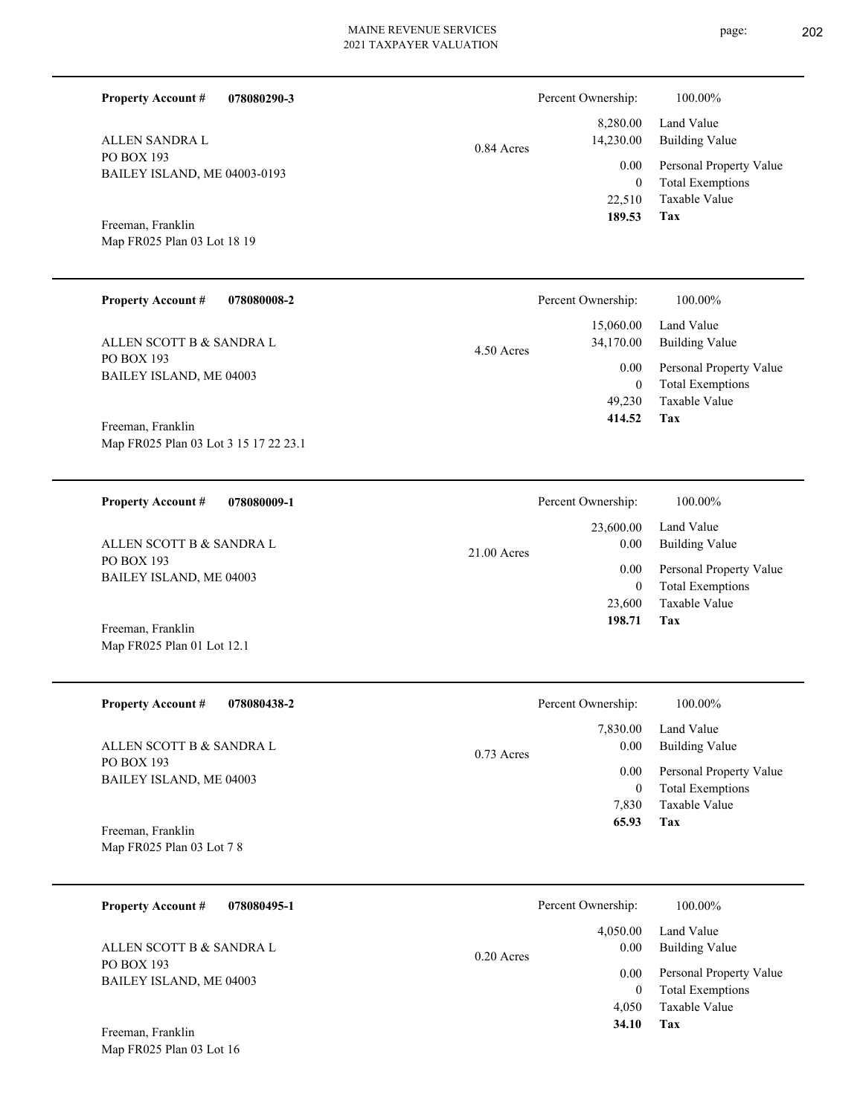| <b>Property Account #</b><br>078080290-3                   |               | Percent Ownership:       | 100.00%                                            |
|------------------------------------------------------------|---------------|--------------------------|----------------------------------------------------|
| ALLEN SANDRA L                                             | 0.84 Acres    | 8,280.00<br>14,230.00    | Land Value<br><b>Building Value</b>                |
| <b>PO BOX 193</b><br>BAILEY ISLAND, ME 04003-0193          |               | 0.00<br>$\boldsymbol{0}$ | Personal Property Value<br><b>Total Exemptions</b> |
|                                                            |               | 22,510<br>189.53         | Taxable Value<br>Tax                               |
| Freeman, Franklin<br>Map FR025 Plan 03 Lot 18 19           |               |                          |                                                    |
| <b>Property Account #</b><br>078080008-2                   |               | Percent Ownership:       | 100.00%                                            |
| ALLEN SCOTT B & SANDRA L                                   | $4.50$ Acres  | 15,060.00<br>34,170.00   | Land Value<br><b>Building Value</b>                |
| PO BOX 193<br>BAILEY ISLAND, ME 04003                      |               | 0.00<br>$\mathbf{0}$     | Personal Property Value<br><b>Total Exemptions</b> |
|                                                            |               | 49,230<br>414.52         | Taxable Value<br><b>Tax</b>                        |
| Freeman, Franklin<br>Map FR025 Plan 03 Lot 3 15 17 22 23.1 |               |                          |                                                    |
| <b>Property Account #</b><br>078080009-1                   |               | Percent Ownership:       | 100.00%                                            |
| ALLEN SCOTT B & SANDRA L                                   | $21.00$ Acres | 23,600.00<br>0.00        | Land Value<br><b>Building Value</b>                |
| PO BOX 193<br>BAILEY ISLAND, ME 04003                      |               | 0.00<br>$\mathbf{0}$     | Personal Property Value<br><b>Total Exemptions</b> |
|                                                            |               | 23,600<br>198.71         | Taxable Value<br>Tax                               |
| Freeman, Franklin<br>Map FR025 Plan 01 Lot 12.1            |               |                          |                                                    |
| <b>Property Account #</b><br>078080438-2                   |               | Percent Ownership:       | 100.00%                                            |
| ALLEN SCOTT B & SANDRA L                                   |               | 7,830.00<br>0.00         | Land Value<br><b>Building Value</b>                |
| PO BOX 193<br>BAILEY ISLAND, ME 04003                      | $0.73$ Acres  | 0.00<br>$\overline{0}$   | Personal Property Value<br><b>Total Exemptions</b> |

Map FR025 Plan 03 Lot 7 8 Freeman, Franklin

Map FR025 Plan 03 Lot 16

| <b>Property Account #</b><br>078080495-1 | Percent Ownership:   | 100.00%                 |
|------------------------------------------|----------------------|-------------------------|
|                                          | 4.050.00             | Land Value              |
| ALLEN SCOTT B & SANDRA L                 | 0.00<br>$0.20$ Acres | <b>Building Value</b>   |
| PO BOX 193                               | 0.00                 | Personal Property Value |
| BAILEY ISLAND, ME 04003                  |                      | <b>Total Exemptions</b> |
|                                          | 4.050                | Taxable Value           |
| Freeman, Franklin                        | 34.10                | Tax                     |

**Tax 65.93**

Taxable Value 7,830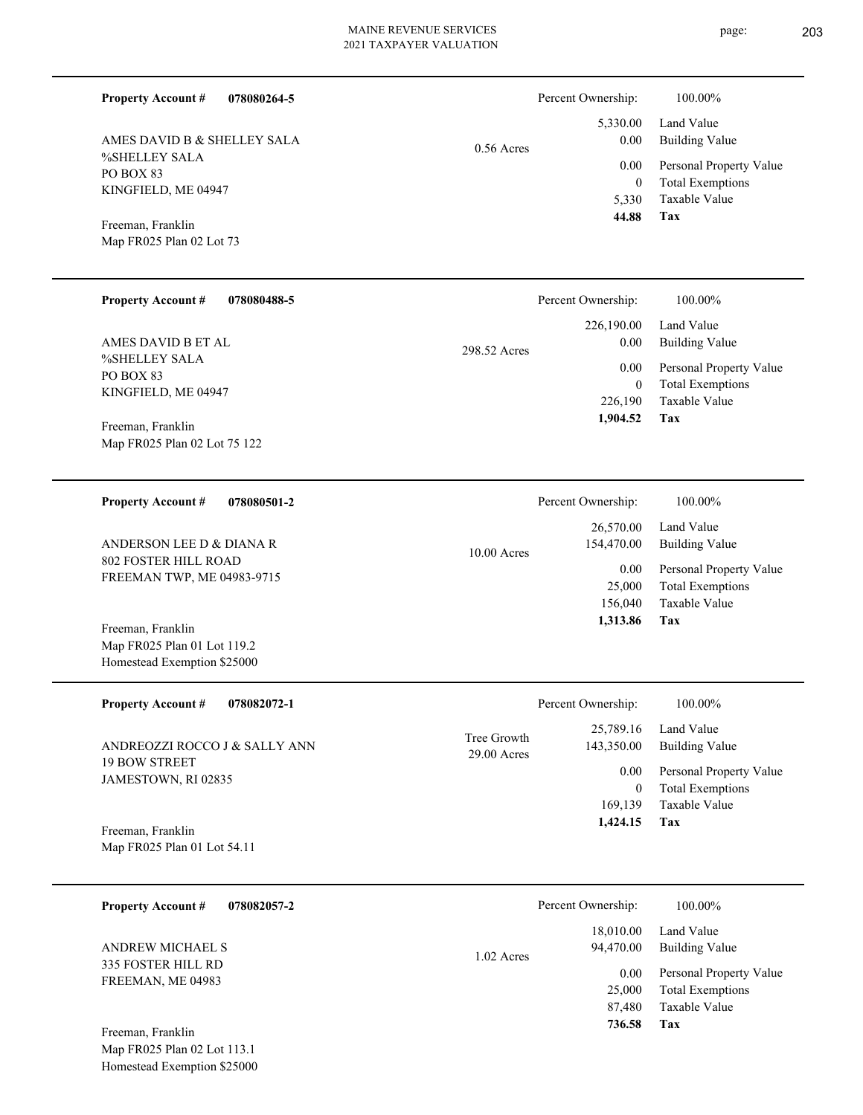**078080264-5**

%SHELLEY SALA PO BOX 83 KINGFIELD, ME 04947 AMES DAVID B & SHELLEY SALA

Map FR025 Plan 02 Lot 73 Freeman, Franklin

**Property Account #**

| <b>Property Account #</b> | 078080488-5 |
|---------------------------|-------------|
|                           |             |

%SHELLEY SALA PO BOX 83 KINGFIELD, ME 04947 AMES DAVID B ET AL

Map FR025 Plan 02 Lot 75 122 Freeman, Franklin

#### **078080501-2 Property Account #**

802 FOSTER HILL ROAD FREEMAN TWP, ME 04983-9715 ANDERSON LEE D & DIANA R

Map FR025 Plan 01 Lot 119.2 Homestead Exemption \$25000 Freeman, Franklin

| <b>Property Account #</b><br>078082072-1    | Percent Ownership:                                      | 100.00%                             |
|---------------------------------------------|---------------------------------------------------------|-------------------------------------|
| ANDREOZZI ROCCO J & SALLY ANN               | 25,789.16<br>Tree Growth<br>143,350.00<br>$29.00$ Acres | Land Value<br><b>Building Value</b> |
| <b>19 BOW STREET</b><br>JAMESTOWN, RI 02835 | 0.00                                                    | Personal Property Value             |
|                                             | $\mathbf{0}$                                            | <b>Total Exemptions</b>             |
|                                             | 169,139                                                 | Taxable Value                       |
| Freeman, Franklin                           | 1,424.15                                                | Tax                                 |
| Map FR025 Plan 01 Lot 54.11                 |                                                         |                                     |
|                                             |                                                         |                                     |

| 078082057-2<br><b>Property Account #</b>         | Percent Ownership:                     | 100.00%                                            |
|--------------------------------------------------|----------------------------------------|----------------------------------------------------|
| ANDREW MICHAEL S                                 | 18,010.00<br>94,470.00<br>$1.02$ Acres | Land Value<br>Building Value                       |
| 335 FOSTER HILL RD<br>FREEMAN, ME 04983          | 0.00<br>25,000                         | Personal Property Value<br><b>Total Exemptions</b> |
|                                                  | 87.480                                 | Taxable Value                                      |
| Freeman, Franklin<br>Map FR025 Plan 02 Lot 113.1 | 736.58                                 | Tax                                                |

Homestead Exemption \$25000

|              | Percent Ownership: | 100.00%                 |
|--------------|--------------------|-------------------------|
|              |                    | 5,330.00 Land Value     |
| $0.56$ Acres | 0.00               | <b>Building Value</b>   |
|              | $0.00\,$           | Personal Property Value |
|              | $\theta$           | <b>Total Exemptions</b> |
|              | 5.330              | Taxable Value           |
|              | 44.88              | Tax                     |

|    | Percent Ownership: | 100.00%                 |
|----|--------------------|-------------------------|
|    | 26,570.00          | Land Value              |
| .s | 154,470.00         | <b>Building Value</b>   |
|    | 0.00               | Personal Property Value |
|    | 25,000             | <b>Total Exemptions</b> |
|    | 156,040            | Taxable Value           |
|    | 1.313.86           | Tax                     |

**Tax**

 226,190  $\boldsymbol{0}$ 

 226,190.00 0.00 0.00

Percent Ownership: 100.00%

298.52 Acres

 **1,904.52**

Taxable Value Total Exemptions Personal Property Value

Building Value Land Value

| $10.00$ Acres | 154,470.00<br>0.00<br>25,000<br>156,040 | 26,570.00 Land Value<br><b>Building Value</b><br>Personal Property Value<br><b>Total Exemptions</b><br>Taxable Value |
|---------------|-----------------------------------------|----------------------------------------------------------------------------------------------------------------------|
|               | 1,313.86                                | Tax                                                                                                                  |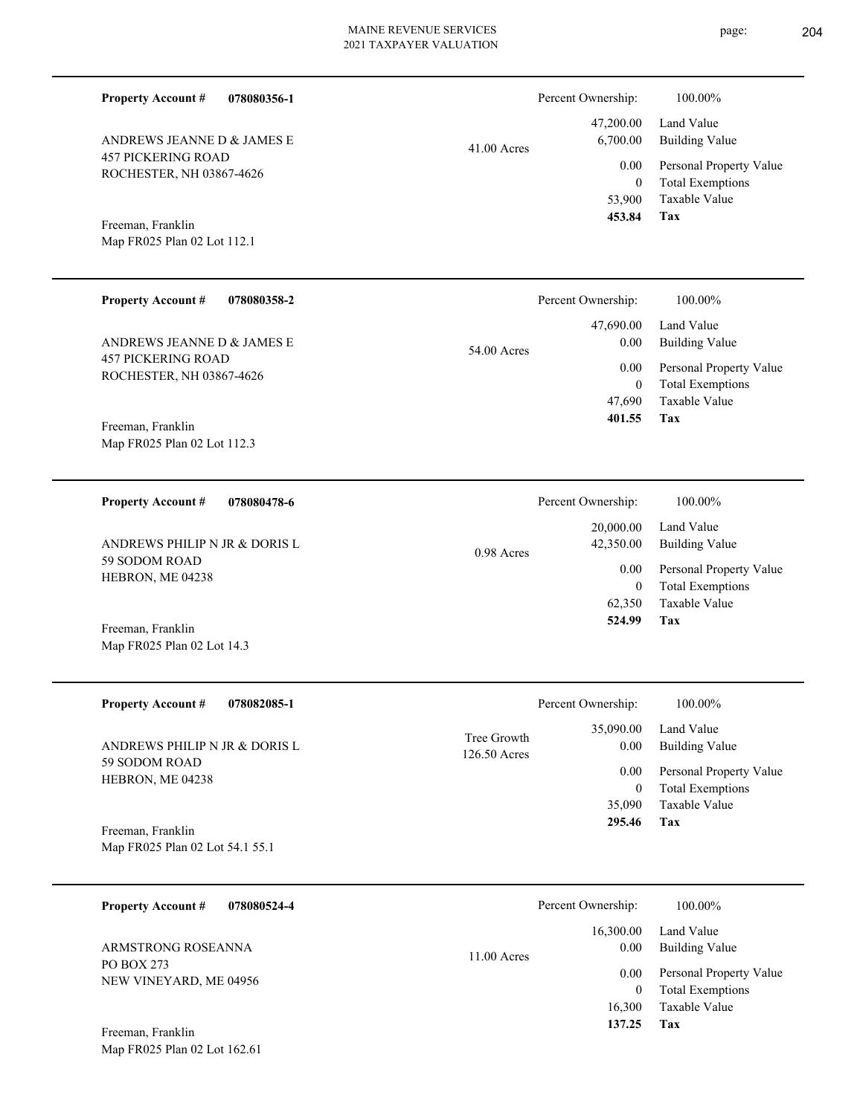| <b>Property Account #</b><br>078080356-1              |                             | Percent Ownership:                   | 100.00%                                                                    |
|-------------------------------------------------------|-----------------------------|--------------------------------------|----------------------------------------------------------------------------|
| ANDREWS JEANNE D & JAMES E                            | $41.00$ Acres               | 47,200.00<br>6,700.00                | Land Value<br><b>Building Value</b>                                        |
| <b>457 PICKERING ROAD</b><br>ROCHESTER, NH 03867-4626 |                             | 0.00<br>$\theta$<br>53,900           | Personal Property Value<br><b>Total Exemptions</b><br>Taxable Value        |
| Freeman, Franklin<br>Map FR025 Plan 02 Lot 112.1      |                             | 453.84                               | Tax                                                                        |
| <b>Property Account #</b><br>078080358-2              |                             | Percent Ownership:                   | 100.00%                                                                    |
| ANDREWS JEANNE D & JAMES E                            | 54.00 Acres                 | 47,690.00<br>0.00                    | Land Value<br><b>Building Value</b>                                        |
| <b>457 PICKERING ROAD</b><br>ROCHESTER, NH 03867-4626 |                             | 0.00<br>$\theta$<br>47,690<br>401.55 | Personal Property Value<br><b>Total Exemptions</b><br>Taxable Value<br>Tax |
| Freeman, Franklin<br>Map FR025 Plan 02 Lot 112.3      |                             |                                      |                                                                            |
| <b>Property Account #</b><br>078080478-6              |                             | Percent Ownership:                   | 100.00%                                                                    |
| ANDREWS PHILIP N JR & DORIS L                         | $0.98$ Acres                | 20,000.00<br>42,350.00               | Land Value<br><b>Building Value</b>                                        |
| 59 SODOM ROAD<br>HEBRON, ME 04238                     |                             | 0.00<br>$\theta$<br>62,350           | Personal Property Value<br><b>Total Exemptions</b><br>Taxable Value        |
| Freeman, Franklin<br>Map FR025 Plan 02 Lot 14.3       |                             | 524.99                               | Tax                                                                        |
| <b>Property Account #</b><br>078082085-1              |                             | Percent Ownership:                   | $100.00\%$                                                                 |
| ANDREWS PHILIP N JR & DORIS L                         | Tree Growth<br>126.50 Acres | 35,090.00<br>0.00                    | Land Value<br><b>Building Value</b>                                        |
| 59 SODOM ROAD<br>HEBRON, ME 04238                     |                             | 0.00<br>$\boldsymbol{0}$<br>35,090   | Personal Property Value<br><b>Total Exemptions</b><br>Taxable Value        |
| Freeman, Franklin<br>Map FR025 Plan 02 Lot 54.1 55.1  |                             | 295.46                               | Tax                                                                        |
| <b>Property Account #</b><br>078080524-4              |                             | Percent Ownership:                   | 100.00%                                                                    |
| ARMSTRONG ROSEANNA                                    | 11.00 Acres                 | 16,300.00<br>0.00                    | Land Value<br><b>Building Value</b>                                        |
| PO BOX 273<br>NEW VINEYARD, ME 04956                  |                             | 0.00<br>$\boldsymbol{0}$<br>16,300   | Personal Property Value<br><b>Total Exemptions</b><br>Taxable Value        |
| Freeman, Franklin                                     |                             | 137.25                               | Tax                                                                        |

Map FR025 Plan 02 Lot 162.61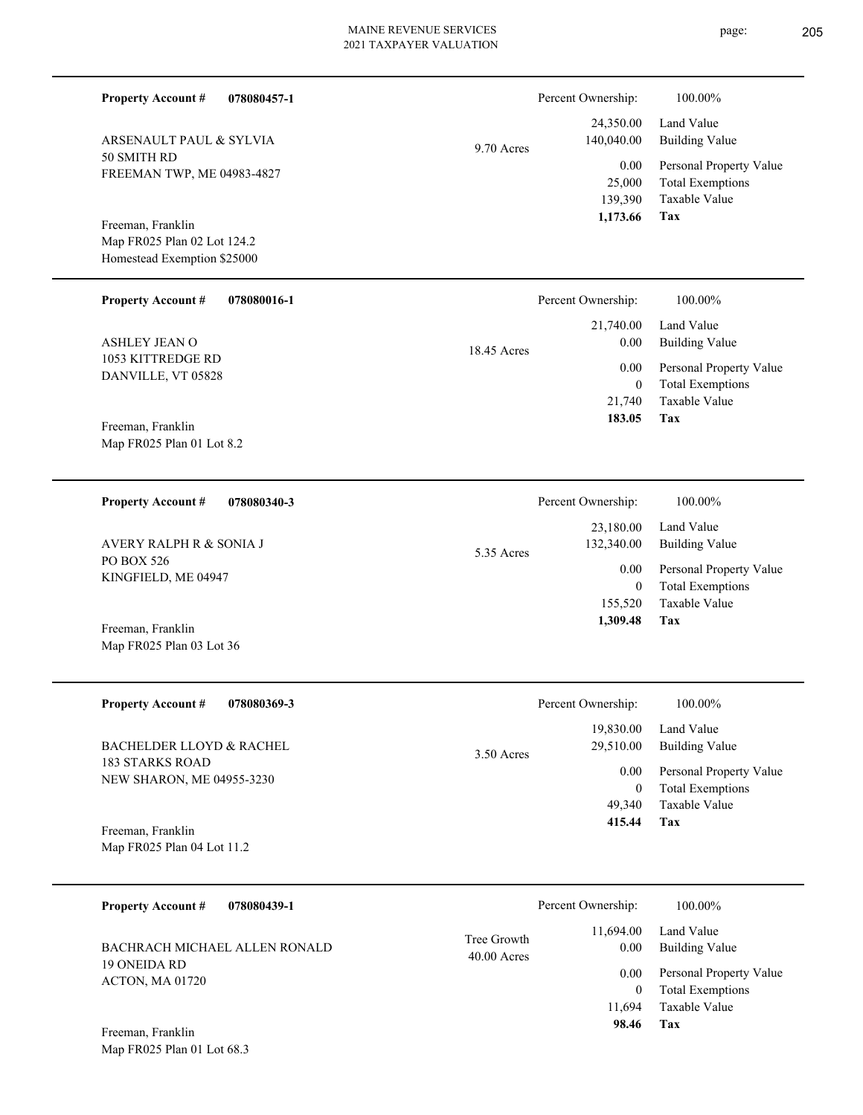| <b>Property Account #</b><br>078080457-1                                        |                            | Percent Ownership:                          | 100.00%                                                                           |
|---------------------------------------------------------------------------------|----------------------------|---------------------------------------------|-----------------------------------------------------------------------------------|
| ARSENAULT PAUL & SYLVIA                                                         | 9.70 Acres                 | 24,350.00<br>140,040.00                     | Land Value<br><b>Building Value</b>                                               |
| 50 SMITH RD<br>FREEMAN TWP, ME 04983-4827                                       |                            | 0.00<br>25,000<br>139,390<br>1,173.66       | Personal Property Value<br><b>Total Exemptions</b><br>Taxable Value<br><b>Tax</b> |
| Freeman, Franklin<br>Map FR025 Plan 02 Lot 124.2<br>Homestead Exemption \$25000 |                            |                                             |                                                                                   |
| <b>Property Account #</b><br>078080016-1                                        |                            | Percent Ownership:                          | 100.00%                                                                           |
| ASHLEY JEAN O                                                                   | 18.45 Acres                | 21,740.00<br>0.00                           | Land Value<br><b>Building Value</b>                                               |
| 1053 KITTREDGE RD<br>DANVILLE, VT 05828                                         |                            | 0.00<br>$\mathbf{0}$<br>21,740<br>183.05    | Personal Property Value<br><b>Total Exemptions</b><br>Taxable Value<br>Tax        |
| Freeman, Franklin<br>Map FR025 Plan 01 Lot 8.2                                  |                            |                                             |                                                                                   |
| <b>Property Account #</b><br>078080340-3                                        |                            | Percent Ownership:                          | 100.00%                                                                           |
| <b>AVERY RALPH R &amp; SONIA J</b>                                              | 5.35 Acres                 | 23,180.00<br>132,340.00                     | Land Value<br><b>Building Value</b>                                               |
| PO BOX 526<br>KINGFIELD, ME 04947                                               |                            | 0.00<br>$\mathbf{0}$<br>155,520<br>1,309.48 | Personal Property Value<br><b>Total Exemptions</b><br>Taxable Value<br>Tax        |
| Freeman, Franklin<br>Map FR025 Plan 03 Lot 36                                   |                            |                                             |                                                                                   |
| <b>Property Account #</b><br>078080369-3                                        |                            | Percent Ownership:                          | 100.00%                                                                           |
| <b>BACHELDER LLOYD &amp; RACHEL</b>                                             | 3.50 Acres                 | 19,830.00<br>29,510.00                      | Land Value<br><b>Building Value</b>                                               |
| <b>183 STARKS ROAD</b><br>NEW SHARON, ME 04955-3230                             |                            | 0.00<br>$\overline{0}$<br>49,340<br>415.44  | Personal Property Value<br><b>Total Exemptions</b><br>Taxable Value<br>Tax        |
| Freeman, Franklin<br>Map FR025 Plan 04 Lot 11.2                                 |                            |                                             |                                                                                   |
| 078080439-1<br><b>Property Account #</b>                                        |                            | Percent Ownership:                          | 100.00%                                                                           |
| BACHRACH MICHAEL ALLEN RONALD                                                   | Tree Growth<br>40.00 Acres | 11,694.00<br>0.00                           | Land Value<br><b>Building Value</b>                                               |
| 19 ONEIDA RD<br>ACTON, MA 01720                                                 |                            | 0.00<br>$\mathbf{0}$<br>11,694<br>98.46     | Personal Property Value<br><b>Total Exemptions</b><br>Taxable Value<br>Tax        |
| Freeman, Franklin                                                               |                            |                                             |                                                                                   |

Map FR025 Plan 01 Lot 68.3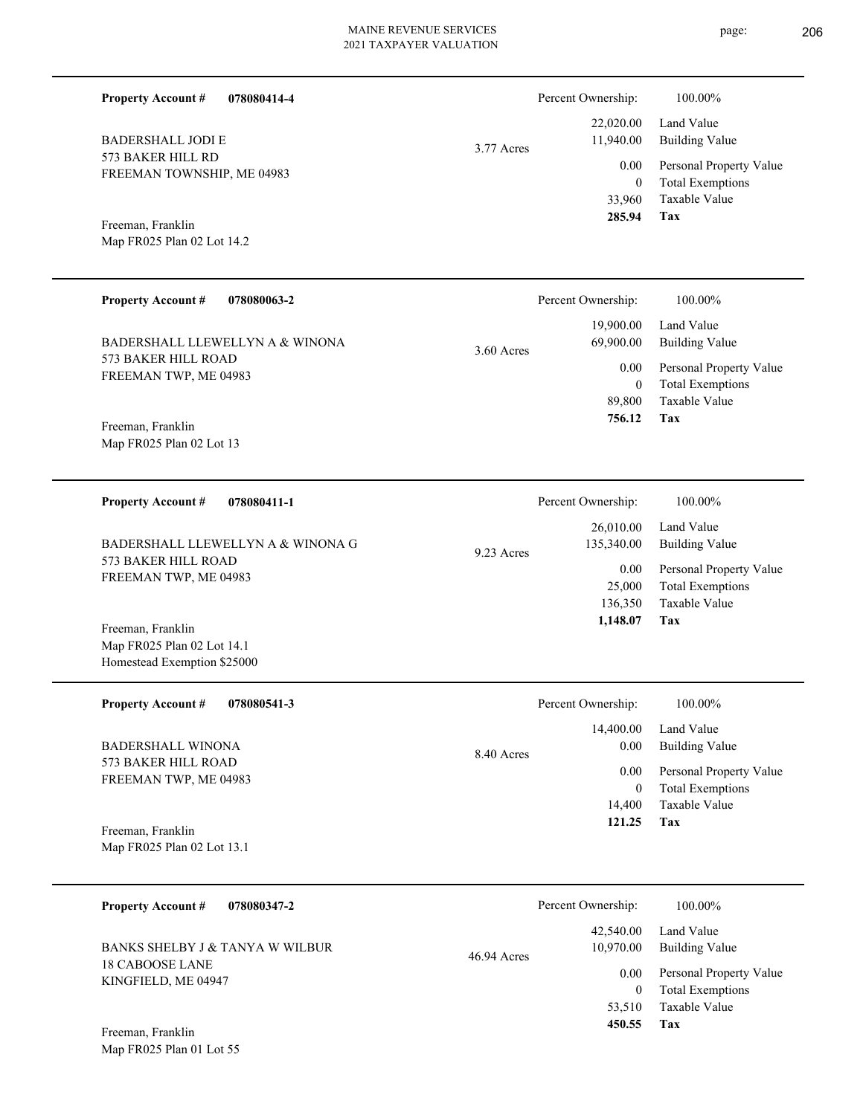Percent Ownership:  $100.00\%$ 

|            | 285.94                | Tax                          |
|------------|-----------------------|------------------------------|
|            |                       | 33,960 Taxable Value         |
|            | $\theta$              | <b>Total Exemptions</b>      |
|            |                       | 0.00 Personal Property Value |
| 3.77 Acres | 11,940.00             | Building Value               |
|            |                       | $22,020.00$ Land Value       |
|            | I CIUCIII OWIICISHID. | 100.0070                     |

**078080414-4 Property Account #**

573 BAKER HILL RD FREEMAN TOWNSHIP, ME 04983 BADERSHALL JODI E

Map FR025 Plan 02 Lot 14.2 Freeman, Franklin

| <b>Property Account #</b><br>078080063-2      | Percent Ownership:        | 100.00%                 |
|-----------------------------------------------|---------------------------|-------------------------|
|                                               | 19,900.00                 | Land Value              |
| BADERSHALL LLEWELLYN A & WINONA               | 69,900.00<br>$3.60$ Acres | Building Value          |
| 573 BAKER HILL ROAD                           | 0.00                      | Personal Property Value |
| FREEMAN TWP, ME 04983                         |                           | <b>Total Exemptions</b> |
|                                               | 89,800                    | Taxable Value           |
| Freeman, Franklin<br>Map FR025 Plan 02 Lot 13 | 756.12                    | Tax                     |

| 078080411-1<br><b>Property Account #</b> | Percent Ownership:       | 100.00%                 |
|------------------------------------------|--------------------------|-------------------------|
|                                          | 26,010.00                | Land Value              |
| BADERSHALL LLEWELLYN A & WINONA G        | 135,340.00<br>9.23 Acres | Building Value          |
| 573 BAKER HILL ROAD                      | 0.00                     | Personal Property Value |
| FREEMAN TWP, ME 04983                    | 25,000                   | <b>Total Exemptions</b> |
|                                          | 136.350                  | Taxable Value           |
| T.<br>$\mathbf{r}$ 11                    | 1,148.07                 | Tax                     |

Map FR025 Plan 02 Lot 14.1 Homestead Exemption \$25000 Freeman, Franklin

| <b>Property Account #</b><br>078080541-3        | Percent Ownership:   | 100.00%                                            |
|-------------------------------------------------|----------------------|----------------------------------------------------|
|                                                 | 14,400.00            | Land Value                                         |
| BADERSHALL WINONA                               | 0.00<br>8.40 Acres   | Building Value                                     |
| 573 BAKER HILL ROAD<br>FREEMAN TWP, ME 04983    | 0.00<br>$\mathbf{0}$ | Personal Property Value<br><b>Total Exemptions</b> |
|                                                 | 14,400               | Taxable Value                                      |
| Freeman, Franklin<br>Map FR025 Plan 02 Lot 13.1 | 121.25               | Tax                                                |

| <b>Property Account #</b><br>078080347-2      | Percent Ownership:                    | 100.00%                                            |
|-----------------------------------------------|---------------------------------------|----------------------------------------------------|
| BANKS SHELBY J & TANYA W WILBUR               | 42,540.00<br>10.970.00<br>46.94 Acres | Land Value<br><b>Building Value</b>                |
| <b>18 CABOOSE LANE</b><br>KINGFIELD, ME 04947 | 0.00<br>0                             | Personal Property Value<br><b>Total Exemptions</b> |
| Freeman Franklin                              | 53,510<br>450.55                      | Taxable Value<br>Tax                               |

Map FR025 Plan 01 Lot 55 Freeman, Franklin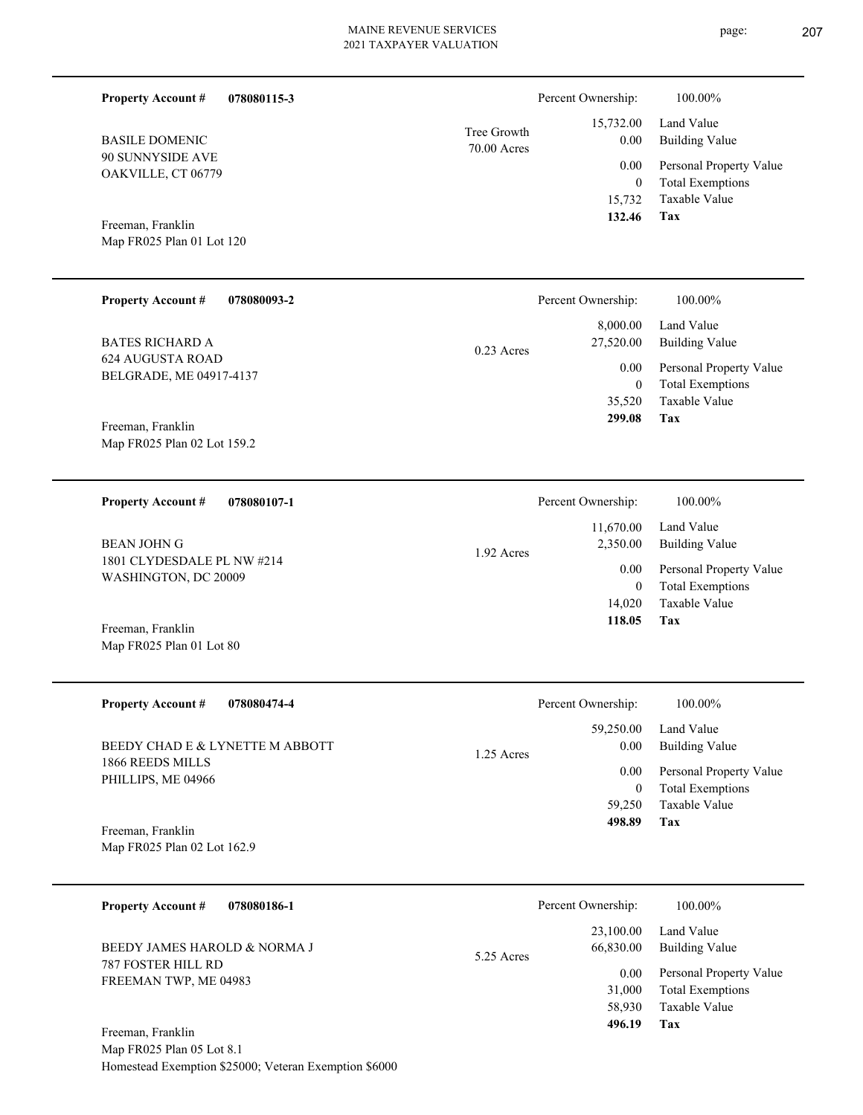| <b>Property Account #</b><br>078080115-3          |                            | Percent Ownership:     | 100.00%                                            |
|---------------------------------------------------|----------------------------|------------------------|----------------------------------------------------|
| <b>BASILE DOMENIC</b>                             | Tree Growth<br>70.00 Acres | 15,732.00<br>0.00      | Land Value<br><b>Building Value</b>                |
| 90 SUNNYSIDE AVE<br>OAKVILLE, CT 06779            |                            | 0.00                   | Personal Property Value                            |
|                                                   |                            | $\mathbf{0}$           | <b>Total Exemptions</b><br>Taxable Value           |
| Freeman, Franklin                                 |                            | 15,732<br>132.46       | Tax                                                |
| Map FR025 Plan 01 Lot 120                         |                            |                        |                                                    |
|                                                   |                            |                        |                                                    |
| <b>Property Account #</b><br>078080093-2          |                            | Percent Ownership:     | 100.00%                                            |
|                                                   |                            | 8,000.00               | Land Value                                         |
| <b>BATES RICHARD A</b><br><b>624 AUGUSTA ROAD</b> | $0.23$ Acres               | 27,520.00              | <b>Building Value</b>                              |
| BELGRADE, ME 04917-4137                           |                            | 0.00<br>$\mathbf{0}$   | Personal Property Value<br><b>Total Exemptions</b> |
|                                                   |                            | 35,520                 | Taxable Value                                      |
| Freeman, Franklin                                 |                            | 299.08                 | Tax                                                |
| Map FR025 Plan 02 Lot 159.2                       |                            |                        |                                                    |
|                                                   |                            |                        |                                                    |
| <b>Property Account #</b><br>078080107-1          |                            | Percent Ownership:     | 100.00%                                            |
|                                                   |                            | 11,670.00              | Land Value                                         |
| <b>BEAN JOHN G</b><br>1801 CLYDESDALE PL NW #214  | 1.92 Acres                 | 2,350.00               | <b>Building Value</b>                              |
| WASHINGTON, DC 20009                              |                            | 0.00<br>$\overline{0}$ | Personal Property Value<br><b>Total Exemptions</b> |
|                                                   |                            | 14,020                 | Taxable Value                                      |
| Freeman, Franklin                                 |                            | 118.05                 | Tax                                                |
| Map FR025 Plan 01 Lot 80                          |                            |                        |                                                    |
|                                                   |                            |                        |                                                    |
| <b>Property Account #</b><br>078080474-4          |                            | Percent Ownership:     | 100.00%                                            |
| BEEDY CHAD E & LYNETTE M ABBOTT                   |                            | 59,250.00<br>0.00      | Land Value<br><b>Building Value</b>                |
| 1866 REEDS MILLS                                  | 1.25 Acres                 | 0.00                   | Personal Property Value                            |
| PHILLIPS, ME 04966                                |                            | $\boldsymbol{0}$       | <b>Total Exemptions</b>                            |
|                                                   |                            | 59,250<br>498.89       | Taxable Value<br>Tax                               |
| Freeman, Franklin<br>Map FR025 Plan 02 Lot 162.9  |                            |                        |                                                    |
|                                                   |                            |                        |                                                    |
| <b>Property Account #</b><br>078080186-1          |                            | Percent Ownership:     | 100.00%                                            |
|                                                   |                            | 23,100.00              | Land Value                                         |
| BEEDY JAMES HAROLD & NORMA J                      | 5.25 Acres                 | 66,830.00              | <b>Building Value</b>                              |
| 787 FOSTER HILL RD<br>FREEMAN TWP, ME 04983       |                            | 0.00<br>31,000         | Personal Property Value<br><b>Total Exemptions</b> |
|                                                   |                            |                        |                                                    |

**Tax**

58,930

 **496.19**

Taxable Value

Map FR025 Plan 05 Lot 8.1 Homestead Exemption \$25000; Veteran Exemption \$6000 Freeman, Franklin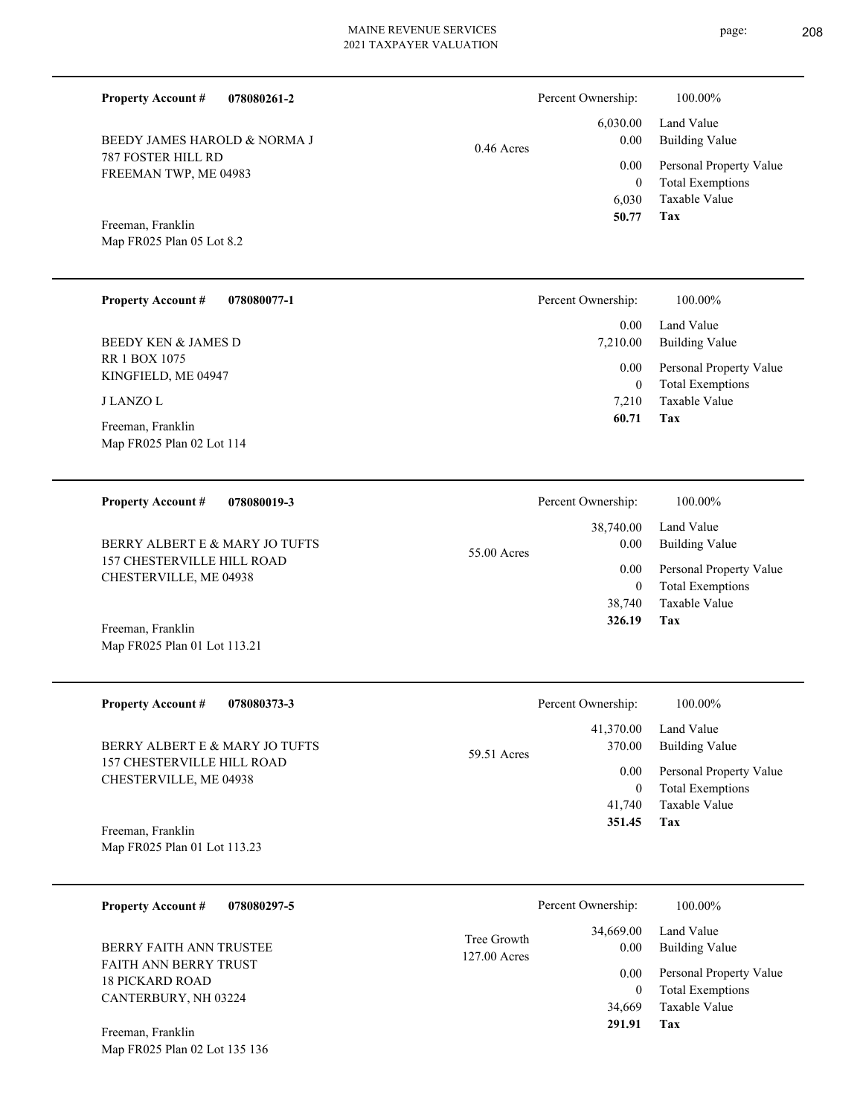Percent Ownership: 100.00%

|              |                   | $6,030.00$ Land Value        |
|--------------|-------------------|------------------------------|
| $0.46$ Acres | 0.00 <sub>1</sub> | Building Value               |
|              |                   | 0.00 Personal Property Value |
|              | $\theta$          | <b>Total Exemptions</b>      |
|              |                   | 6,030 Taxable Value          |
|              | 50.77 Tax         |                              |

Map FR025 Plan 05 Lot 8.2 Freeman, Franklin

787 FOSTER HILL RD FREEMAN TWP, ME 04983

BEEDY JAMES HAROLD & NORMA J

**Property Account #**

**078080261-2**

| <b>Property Account #</b><br>078080077-1       | Percent Ownership: | 100.00%                                            |
|------------------------------------------------|--------------------|----------------------------------------------------|
|                                                | 0.00               | Land Value                                         |
| <b>BEEDY KEN &amp; JAMES D</b>                 | 7.210.00           | <b>Building Value</b>                              |
| <b>RR 1 BOX 1075</b><br>KINGFIELD, ME 04947    | 0.00<br>$\theta$   | Personal Property Value<br><b>Total Exemptions</b> |
| <b>J LANZO L</b>                               | 7.210              | Taxable Value                                      |
| Freeman, Franklin<br>Map FR025 Plan 02 Lot 114 | 60.71              | Tax                                                |

| <b>Property Account #</b><br>078080019-3                     | Percent Ownership:               | 100.00%                                                             |
|--------------------------------------------------------------|----------------------------------|---------------------------------------------------------------------|
| BERRY ALBERT E & MARY JO TUFTS<br>157 CHESTERVILLE HILL ROAD | 38,740.00<br>0.00<br>55.00 Acres | Land Value<br>Building Value                                        |
| CHESTERVILLE, ME 04938                                       | 0.00<br>38,740                   | Personal Property Value<br><b>Total Exemptions</b><br>Taxable Value |
| Freeman, Franklin                                            | 326.19                           | Tax                                                                 |

| <b>Property Account #</b>      | 078080373-3 |             | Percent Ownership: | 100.00%     |
|--------------------------------|-------------|-------------|--------------------|-------------|
|                                |             |             | 41.370.00          | Land Value  |
| BERRY ALBERT E & MARY JO TUFTS |             | 59.51 Acres | 370.00             | Building Va |
| 157 CHESTERVILLE HILL ROAD     |             |             |                    |             |

**Tax** Taxable Value Total Exemptions Personal Property Value Building Value Land Value 41,740 0  **351.45** 41,370.00 370.00 0.00

**078080297-5 Tax** Taxable Value Total Exemptions Personal Property Value Building Value Land Value FAITH ANN BERRY TRUST 18 PICKARD ROAD CANTERBURY, NH 03224 **Property Account #** BERRY FAITH ANN TRUSTEE 34,669 0  **291.91** 34,669.00 0.00 0.00 127.00 Acres Tree Growth Percent Ownership:  $100.00\%$ 

Map FR025 Plan 02 Lot 135 136 Freeman, Franklin

Map FR025 Plan 01 Lot 113.21

CHESTERVILLE, ME 04938

Map FR025 Plan 01 Lot 113.23

Freeman, Franklin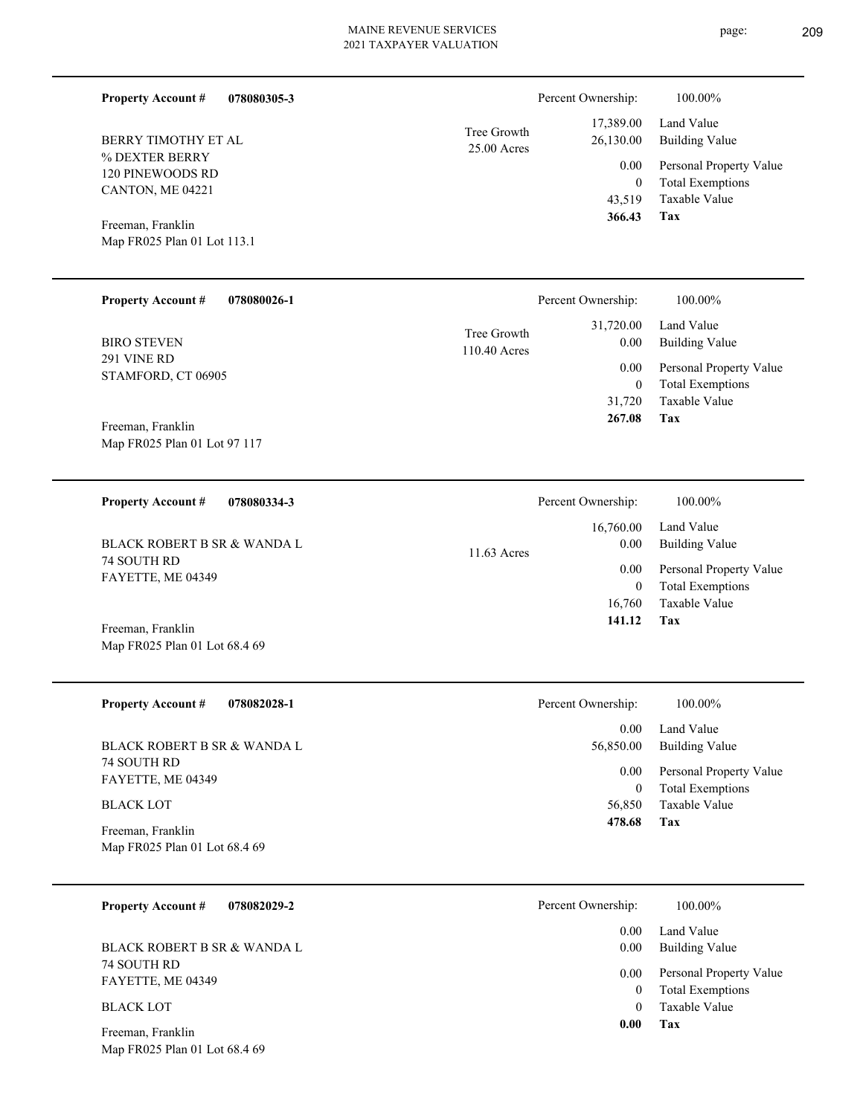| 113.1       |             | 43,519<br>366.43   | Taxable Val<br>Tax |
|-------------|-------------|--------------------|--------------------|
| 078080026-1 |             | Percent Ownership: | 100.00%            |
|             | Tree Growth | 31,720.00          | Land Value         |

25.00 Acres Tree Growth

110.40 Acres

291 VINE RD STAMFORD, CT 06905 BIRO STEVEN

Map FR025 Plan 01 Lot 113.1

% DEXTER BERRY 120 PINEWOODS RD CANTON, ME 04221

BERRY TIMOTHY ET AL

Freeman, Franklin

**Property Account #**

**Property Account #**

Map FR025 Plan 01 Lot 97 117 Freeman, Franklin

**078080305-3**

**078080334-3 Tax** Taxable Value Total Exemptions Personal Property Value Building Value Land Value 74 SOUTH RD FAYETTE, ME 04349 **Property Account #** BLACK ROBERT B SR & WANDA L 16,760 0  **141.12** 16,760.00 0.00 0.00 11.63 Acres Percent Ownership:  $100.00\%$ 

Map FR025 Plan 01 Lot 68.4 69 Freeman, Franklin

| <b>Property Account #</b><br>078082028-1           | Percent Ownership: | 100.00%                                            |
|----------------------------------------------------|--------------------|----------------------------------------------------|
|                                                    | 0.00               | Land Value                                         |
| BLACK ROBERT B SR & WANDA L                        | 56,850.00          | Building Value                                     |
| 74 SOUTH RD<br>FAYETTE, ME 04349                   | 0.00<br>0          | Personal Property Value<br><b>Total Exemptions</b> |
| <b>BLACK LOT</b>                                   | 56,850             | Taxable Value                                      |
| Freeman, Franklin<br>Map FR025 Plan 01 Lot 68.4 69 | 478.68<br>Tax      |                                                    |

| <b>Property Account #</b><br>078082029-2 | Percent Ownership: | 100.00%                                            |
|------------------------------------------|--------------------|----------------------------------------------------|
|                                          | 0.00               | Land Value                                         |
| BLACK ROBERT B SR & WANDA L              | 0.00               | <b>Building Value</b>                              |
| 74 SOUTH RD<br>FAYETTE, ME 04349         | 0.00               | Personal Property Value<br><b>Total Exemptions</b> |
| <b>BLACK LOT</b>                         |                    | Taxable Value                                      |
| Ereeman Franklin                         | 0.00               | Tax                                                |

Map FR025 Plan 01 Lot 68.4 69 Freeman, Franklin

**Tax**

Taxable Value Total Exemptions Personal Property Value

Building Value Land Value

 43,519 0

0.00

Percent Ownership:  $100.00\%$ 

 17,389.00 26,130.00

 31,720 0

 0.00 0.00

 **267.08**

Taxable Value Total Exemptions Personal Property Value

Building Value Land Value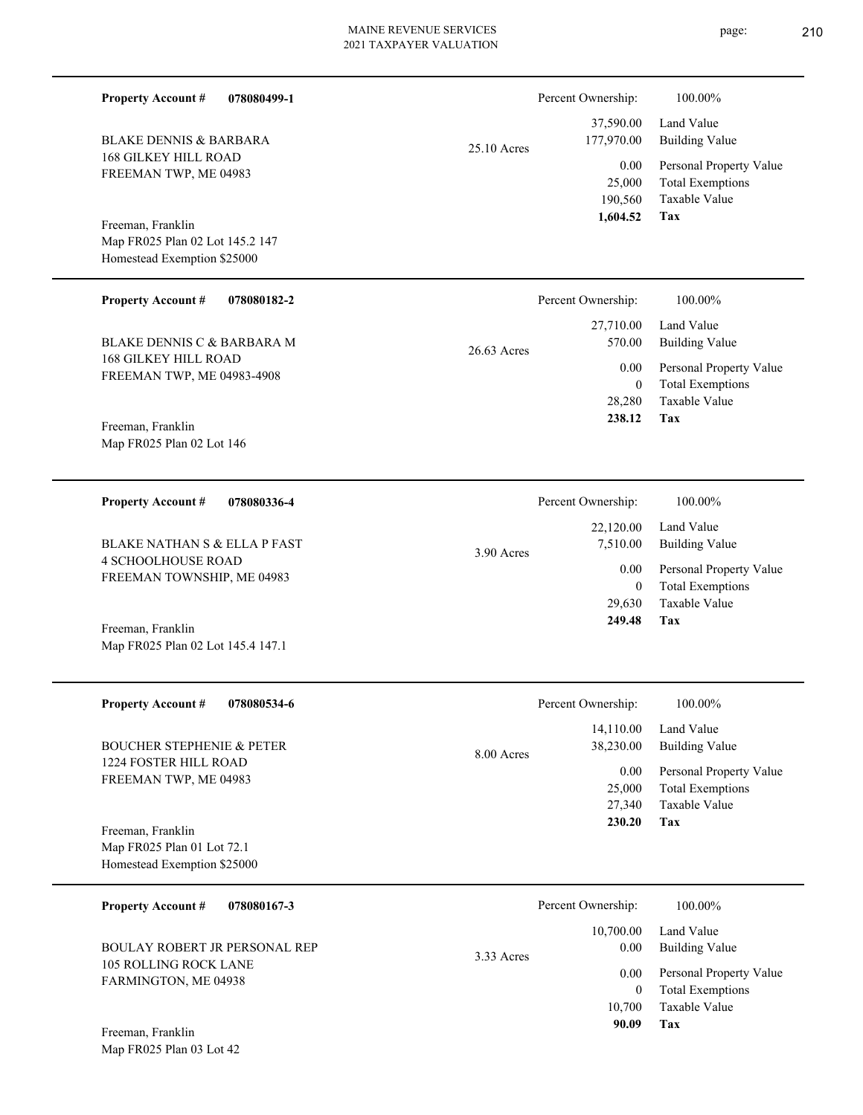page: 210

| <b>Property Account #</b><br>078080499-1                      |               | Percent Ownership:                    | 100.00%                                                                    |
|---------------------------------------------------------------|---------------|---------------------------------------|----------------------------------------------------------------------------|
| <b>BLAKE DENNIS &amp; BARBARA</b>                             | 25.10 Acres   | 37,590.00<br>177,970.00               | Land Value<br><b>Building Value</b>                                        |
| <b>168 GILKEY HILL ROAD</b><br>FREEMAN TWP, ME 04983          |               | 0.00<br>25,000<br>190,560<br>1,604.52 | Personal Property Value<br><b>Total Exemptions</b><br>Taxable Value<br>Tax |
| Freeman, Franklin<br>Map FR025 Plan 02 Lot 145.2 147          |               |                                       |                                                                            |
| Homestead Exemption \$25000                                   |               |                                       |                                                                            |
| <b>Property Account #</b><br>078080182-2                      |               | Percent Ownership:                    | 100.00%                                                                    |
| <b>BLAKE DENNIS C &amp; BARBARA M</b>                         | $26.63$ Acres | 27,710.00<br>570.00                   | Land Value<br><b>Building Value</b>                                        |
| <b>168 GILKEY HILL ROAD</b><br>FREEMAN TWP, ME 04983-4908     |               | 0.00                                  | Personal Property Value                                                    |
|                                                               |               | $\mathbf{0}$<br>28,280                | <b>Total Exemptions</b><br><b>Taxable Value</b>                            |
| Freeman, Franklin<br>Map FR025 Plan 02 Lot 146                |               | 238.12                                | Tax                                                                        |
|                                                               |               |                                       |                                                                            |
| <b>Property Account #</b><br>078080336-4                      |               | Percent Ownership:                    | 100.00%                                                                    |
| <b>BLAKE NATHAN S &amp; ELLA P FAST</b>                       | 3.90 Acres    | 22,120.00<br>7,510.00                 | Land Value<br><b>Building Value</b>                                        |
| <b>4 SCHOOLHOUSE ROAD</b><br>FREEMAN TOWNSHIP, ME 04983       |               | 0.00                                  | Personal Property Value                                                    |
|                                                               |               | $\overline{0}$<br>29,630              | <b>Total Exemptions</b><br>Taxable Value                                   |
| Freeman, Franklin<br>Map FR025 Plan 02 Lot 145.4 147.1        |               | 249.48                                | Tax                                                                        |
| 078080534-6<br><b>Property Account #</b>                      |               | Percent Ownership:                    | 100.00%                                                                    |
|                                                               |               | 14,110.00                             | Land Value                                                                 |
| <b>BOUCHER STEPHENIE &amp; PETER</b><br>1224 FOSTER HILL ROAD | 8.00 Acres    | 38,230.00                             | <b>Building Value</b>                                                      |
| FREEMAN TWP, ME 04983                                         |               | 0.00<br>25,000<br>27,340              | Personal Property Value<br><b>Total Exemptions</b><br>Taxable Value        |
| Freeman, Franklin                                             |               | 230.20                                | Tax                                                                        |
| Map FR025 Plan 01 Lot 72.1<br>Homestead Exemption \$25000     |               |                                       |                                                                            |
| <b>Property Account #</b><br>078080167-3                      |               | Percent Ownership:                    | 100.00%                                                                    |
| BOULAY ROBERT JR PERSONAL REP                                 | 3.33 Acres    | 10,700.00<br>0.00                     | Land Value<br><b>Building Value</b>                                        |
| 105 ROLLING ROCK LANE<br>FARMINGTON, ME 04938                 |               | 0.00                                  | Personal Property Value                                                    |
|                                                               |               | $\mathbf{0}$<br>10,700                | <b>Total Exemptions</b><br>Taxable Value                                   |
| Freeman, Franklin<br>Map FR025 Plan 03 Lot 42                 |               | 90.09                                 | Tax                                                                        |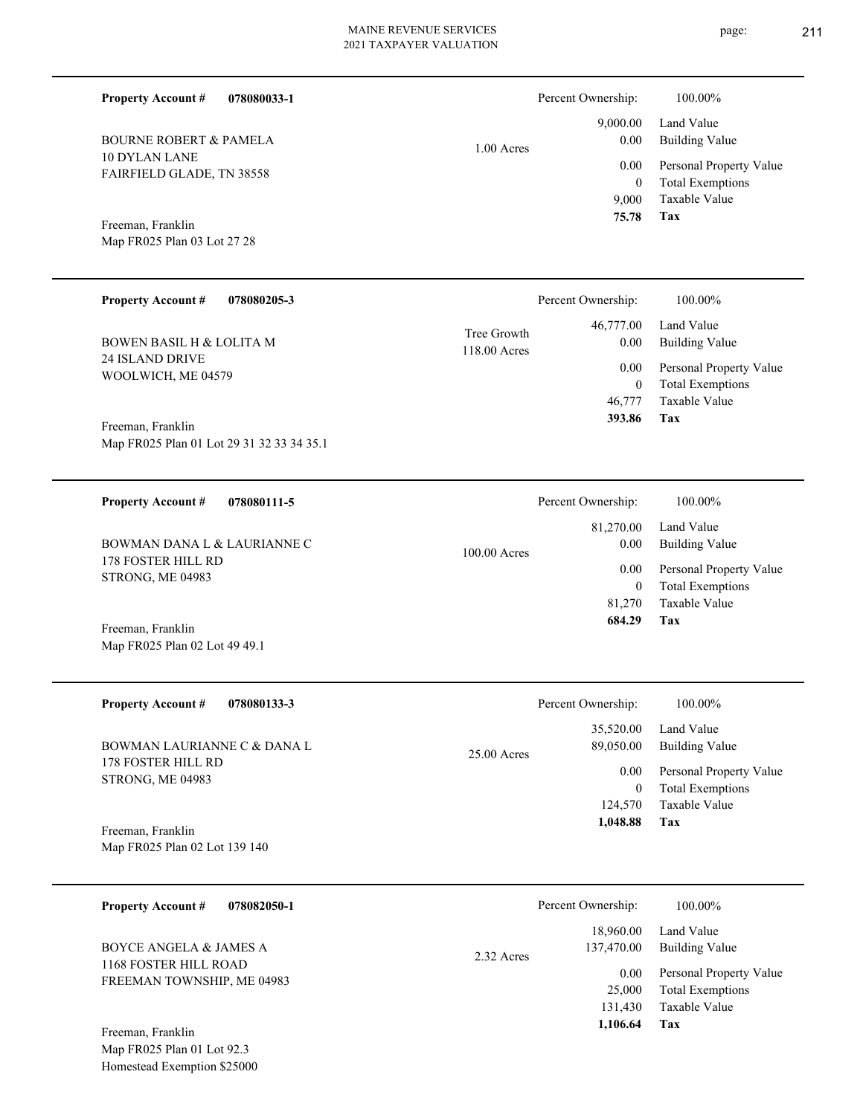page: 211

| <b>Property Account #</b><br>078080033-1                                                     |                             | Percent Ownership:                                                | 100.00%                                                                                                           |
|----------------------------------------------------------------------------------------------|-----------------------------|-------------------------------------------------------------------|-------------------------------------------------------------------------------------------------------------------|
| <b>BOURNE ROBERT &amp; PAMELA</b><br><b>10 DYLAN LANE</b><br>FAIRFIELD GLADE, TN 38558       | $1.00$ Acres                | 9,000.00<br>0.00<br>0.00<br>$\boldsymbol{0}$<br>9,000             | Land Value<br><b>Building Value</b><br>Personal Property Value<br><b>Total Exemptions</b><br>Taxable Value        |
| Freeman, Franklin<br>Map FR025 Plan 03 Lot 27 28                                             |                             | 75.78                                                             | Tax                                                                                                               |
| <b>Property Account #</b><br>078080205-3                                                     |                             | Percent Ownership:                                                | 100.00%                                                                                                           |
| <b>BOWEN BASIL H &amp; LOLITA M</b><br>24 ISLAND DRIVE<br>WOOLWICH, ME 04579                 | Tree Growth<br>118.00 Acres | 46,777.00<br>0.00<br>0.00<br>$\boldsymbol{0}$<br>46,777<br>393.86 | Land Value<br><b>Building Value</b><br>Personal Property Value<br><b>Total Exemptions</b><br>Taxable Value<br>Tax |
| Freeman, Franklin<br>Map FR025 Plan 01 Lot 29 31 32 33 34 35.1                               |                             |                                                                   |                                                                                                                   |
| <b>Property Account #</b><br>078080111-5                                                     |                             | Percent Ownership:                                                | 100.00%                                                                                                           |
| BOWMAN DANA L & LAURIANNE C                                                                  | 100.00 Acres                | 81,270.00<br>0.00                                                 | Land Value<br><b>Building Value</b>                                                                               |
| 178 FOSTER HILL RD<br>STRONG, ME 04983<br>Freeman, Franklin<br>Map FR025 Plan 02 Lot 49 49.1 |                             | 0.00<br>$\boldsymbol{0}$<br>81,270<br>684.29                      | Personal Property Value<br><b>Total Exemptions</b><br>Taxable Value<br>Tax                                        |
| <b>Property Account #</b><br>078080133-3                                                     |                             | Percent Ownership:                                                | 100.00%                                                                                                           |
| BOWMAN LAURIANNE C & DANA L                                                                  | 25.00 Acres                 | 35,520.00<br>89,050.00                                            | Land Value<br><b>Building Value</b>                                                                               |
| 178 FOSTER HILL RD<br>STRONG, ME 04983<br>Freeman, Franklin<br>Map FR025 Plan 02 Lot 139 140 |                             | 0.00<br>$\boldsymbol{0}$<br>124,570<br>1,048.88                   | Personal Property Value<br><b>Total Exemptions</b><br>Taxable Value<br>Tax                                        |
| <b>Property Account #</b><br>078082050-1                                                     |                             | Percent Ownership:                                                | 100.00%                                                                                                           |
| <b>BOYCE ANGELA &amp; JAMES A</b>                                                            | 2.32 Acres                  | 18,960.00<br>137,470.00                                           | Land Value<br><b>Building Value</b>                                                                               |
| 1168 FOSTER HILL ROAD<br>FREEMAN TOWNSHIP, ME 04983                                          |                             | 0.00<br>25,000<br>131,430<br>1,106.64                             | Personal Property Value<br><b>Total Exemptions</b><br>Taxable Value<br>Tax                                        |
| Freeman, Franklin<br>Map FR025 Plan 01 Lot 92.3<br>Homestead Exemption \$25000               |                             |                                                                   |                                                                                                                   |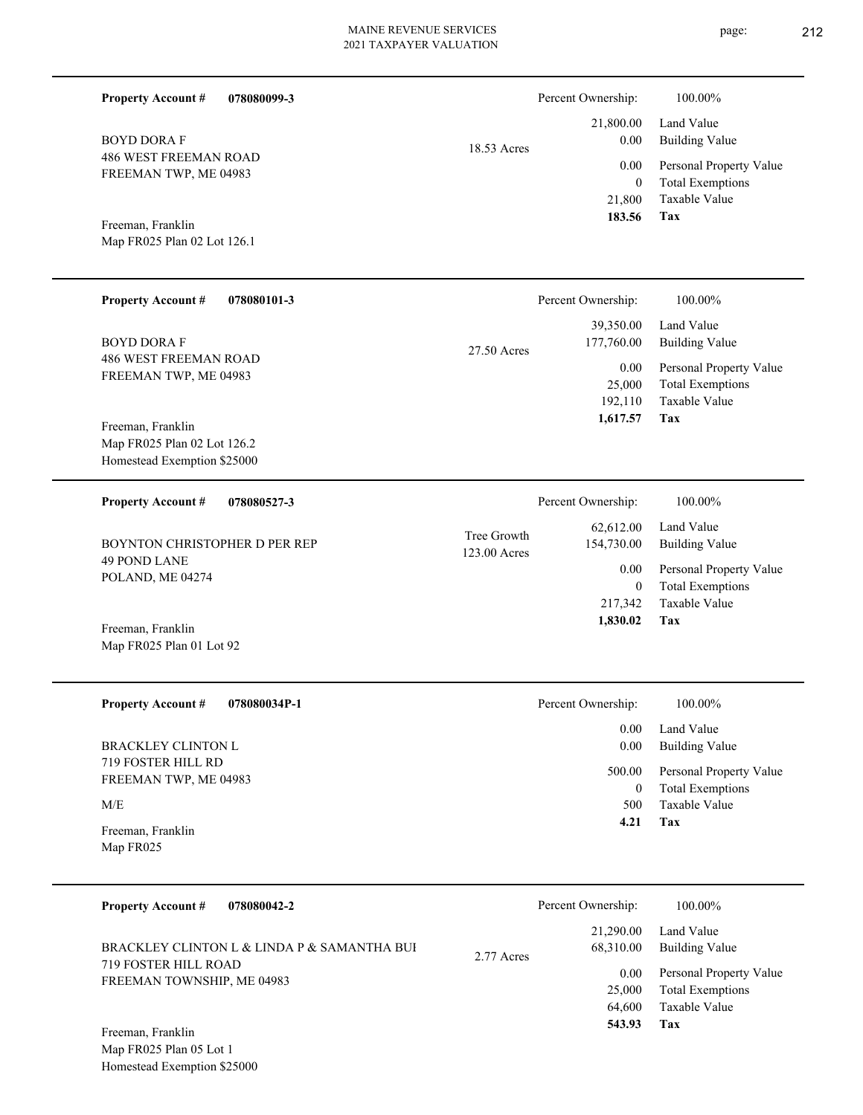| <b>Property Account #</b><br>078080099-3                                                                               |                             | Percent Ownership:                                                | 100.00%                                                                                                                  |
|------------------------------------------------------------------------------------------------------------------------|-----------------------------|-------------------------------------------------------------------|--------------------------------------------------------------------------------------------------------------------------|
| <b>BOYD DORA F</b><br>486 WEST FREEMAN ROAD<br>FREEMAN TWP, ME 04983<br>Freeman, Franklin                              | 18.53 Acres                 | 21,800.00<br>0.00<br>0.00<br>$\boldsymbol{0}$<br>21,800<br>183.56 | Land Value<br><b>Building Value</b><br>Personal Property Value<br><b>Total Exemptions</b><br>Taxable Value<br><b>Tax</b> |
| Map FR025 Plan 02 Lot 126.1                                                                                            |                             |                                                                   |                                                                                                                          |
| <b>Property Account #</b><br>078080101-3                                                                               |                             | Percent Ownership:                                                | 100.00%                                                                                                                  |
| <b>BOYD DORA F</b>                                                                                                     | 27.50 Acres                 | 39,350.00<br>177,760.00                                           | Land Value<br><b>Building Value</b>                                                                                      |
| 486 WEST FREEMAN ROAD<br>FREEMAN TWP, ME 04983                                                                         |                             | 0.00<br>25,000<br>192,110                                         | Personal Property Value<br><b>Total Exemptions</b><br>Taxable Value<br>Tax                                               |
| Freeman, Franklin<br>Map FR025 Plan 02 Lot 126.2<br>Homestead Exemption \$25000                                        |                             | 1,617.57                                                          |                                                                                                                          |
| <b>Property Account #</b><br>078080527-3                                                                               |                             | Percent Ownership:                                                | 100.00%                                                                                                                  |
| BOYNTON CHRISTOPHER D PER REP<br>49 POND LANE<br>POLAND, ME 04274                                                      | Tree Growth<br>123.00 Acres | 62,612.00<br>154,730.00<br>0.00<br>$\mathbf{0}$<br>217,342        | Land Value<br><b>Building Value</b><br>Personal Property Value<br><b>Total Exemptions</b><br>Taxable Value               |
| Freeman, Franklin<br>Map FR025 Plan 01 Lot 92                                                                          |                             | 1,830.02                                                          | Tax                                                                                                                      |
| <b>Property Account #</b><br>078080034P-1                                                                              |                             | Percent Ownership:                                                | 100.00%                                                                                                                  |
| <b>BRACKLEY CLINTON L</b><br>719 FOSTER HILL RD                                                                        |                             | 0.00<br>0.00                                                      | Land Value<br><b>Building Value</b>                                                                                      |
| FREEMAN TWP, ME 04983<br>M/E                                                                                           |                             | 500.00<br>$\boldsymbol{0}$<br>500                                 | Personal Property Value<br><b>Total Exemptions</b><br>Taxable Value                                                      |
| Freeman, Franklin<br>Map FR025                                                                                         |                             | 4.21                                                              | Tax                                                                                                                      |
| 078080042-2<br><b>Property Account #</b>                                                                               |                             | Percent Ownership:                                                | 100.00%                                                                                                                  |
| BRACKLEY CLINTON L & LINDA P & SAMANTHA BUI<br>719 FOSTER HILL ROAD<br>FREEMAN TOWNSHIP, ME 04983<br>Freeman, Franklin | 2.77 Acres                  | 21,290.00<br>68,310.00<br>0.00<br>25,000<br>64,600<br>543.93      | Land Value<br><b>Building Value</b><br>Personal Property Value<br><b>Total Exemptions</b><br>Taxable Value<br>Tax        |
|                                                                                                                        |                             |                                                                   |                                                                                                                          |

Map FR025 Plan 05 Lot 1 Homestead Exemption \$25000 page: 212

L

۰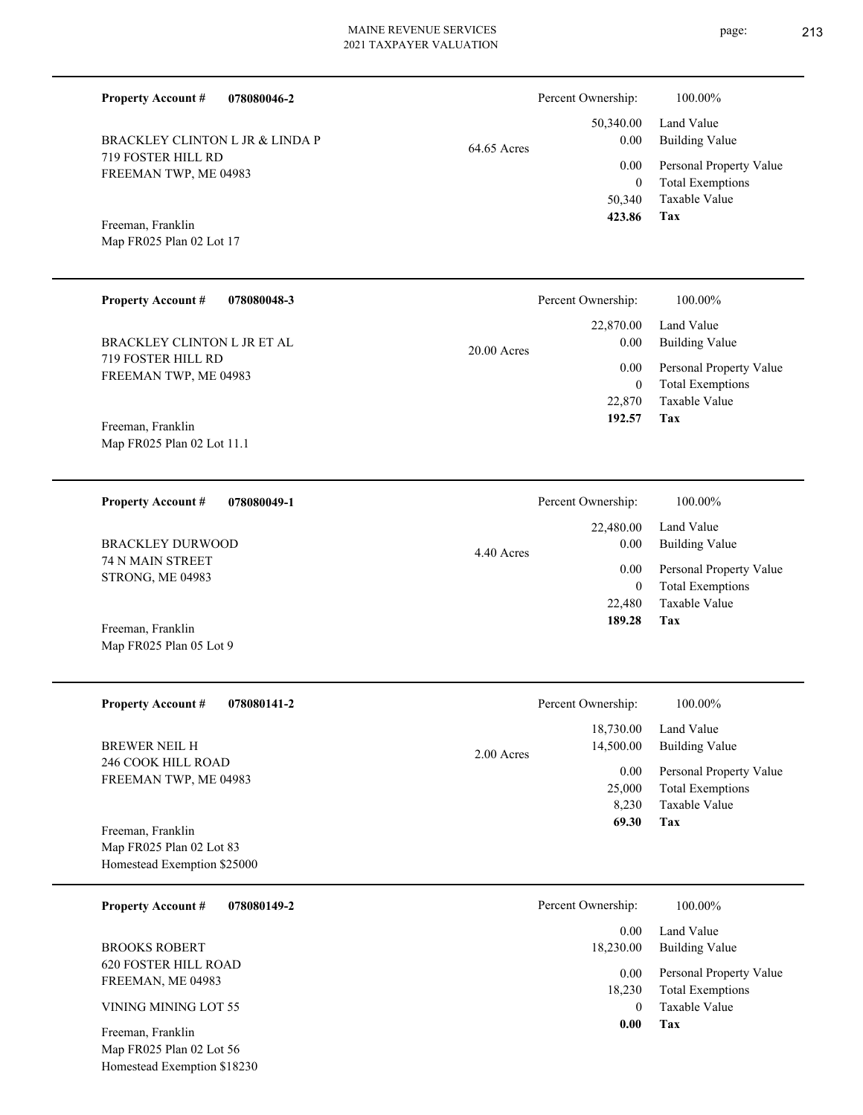| 078080046-2<br><b>Property Account #</b>                     | Percent Ownership:               | 100.00%                                                             |
|--------------------------------------------------------------|----------------------------------|---------------------------------------------------------------------|
| BRACKLEY CLINTON L JR & LINDA P<br><b>719 FOSTER HILL RD</b> | 50,340.00<br>0.00<br>64.65 Acres | Land Value<br><b>Building Value</b>                                 |
| FREEMAN TWP, ME 04983                                        | 0.00<br>$\Omega$<br>50,340       | Personal Property Value<br><b>Total Exemptions</b><br>Taxable Value |
| Freeman, Franklin<br>Map FR025 Plan 02 Lot 17                | 423.86                           | Tax                                                                 |
| <b>Property Account #</b><br>078080048-3                     | Percent Ownership:               | 100.00%                                                             |

20.00 Acres

719 FOSTER HILL RD FREEMAN TWP, ME 04983 BRACKLEY CLINTON L JR ET AL

Map FR025 Plan 02 Lot 11.1 Freeman, Franklin

Map FR025 Plan 05 Lot 9

**078080049-1 Tax** Taxable Value Total Exemptions Personal Property Value Building Value Land Value 74 N MAIN STREET STRONG, ME 04983 **Property Account #** Freeman, Franklin BRACKLEY DURWOOD 22,480 0  **189.28** 22,480.00 0.00 0.00 4.40 Acres Percent Ownership:  $100.00\%$ 

| <b>Property Account #</b><br>078080141-2                                     | Percent Ownership:                     | 100.00%                                                             |
|------------------------------------------------------------------------------|----------------------------------------|---------------------------------------------------------------------|
| <b>BREWER NEIL H</b>                                                         | 18,730.00<br>14,500.00<br>$2.00$ Acres | Land Value<br><b>Building Value</b>                                 |
| 246 COOK HILL ROAD<br>FREEMAN TWP, ME 04983                                  | 0.00<br>25,000<br>8,230                | Personal Property Value<br><b>Total Exemptions</b><br>Taxable Value |
| Freeman, Franklin<br>Map FR025 Plan 02 Lot 83<br>Homestead Exemption \$25000 | 69.30                                  | Tax                                                                 |

| 078080149-2<br><b>Property Account #</b>                                 | Percent Ownership:<br>100.00%                                                         |  |
|--------------------------------------------------------------------------|---------------------------------------------------------------------------------------|--|
|                                                                          | Land Value<br>0.00                                                                    |  |
| <b>BROOKS ROBERT</b>                                                     | Building Value<br>18,230.00                                                           |  |
| <b>620 FOSTER HILL ROAD</b><br>FREEMAN, ME 04983<br>VINING MINING LOT 55 | Personal Property Value<br>0.00<br><b>Total Exemptions</b><br>18,230<br>Taxable Value |  |
| Freeman, Franklin<br>Map FR025 Plan 02 Lot 56                            | 0.00<br>Tax                                                                           |  |

Homestead Exemption \$18230

**Tax**

 22,870 0

 22,870.00 0.00 0.00

 **192.57**

Taxable Value Total Exemptions Personal Property Value

Building Value Land Value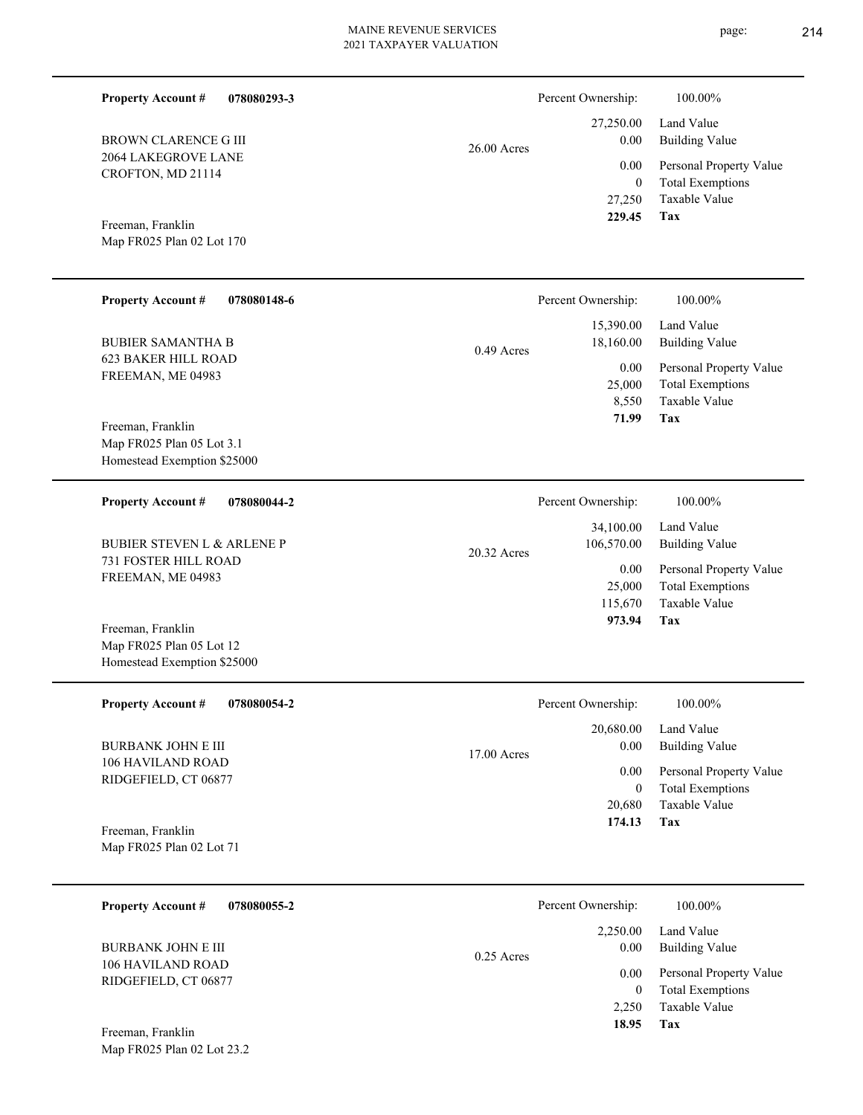| $26.00$ Acres |
|---------------|
|               |

CROFTON, MD 21114

**078080293-3**

#### **Tax** Taxable Value Total Exemptions Personal Property Value Building Value Land Value 27,250 0  **229.45** 27,250.00 0.00 0.00 Percent Ownership:  $100.00\%$

Map FR025 Plan 02 Lot 170 Freeman, Franklin

2064 LAKEGROVE LANE

BROWN CLARENCE G III

**Property Account #**

| <b>Property Account #</b><br>078080148-6        | Percent Ownership:                     | 100.00%                                                             |
|-------------------------------------------------|----------------------------------------|---------------------------------------------------------------------|
| <b>BUBIER SAMANTHA B</b>                        | 15,390.00<br>18,160.00<br>$0.49$ Acres | Land Value<br>Building Value                                        |
| <b>623 BAKER HILL ROAD</b><br>FREEMAN, ME 04983 | 0.00<br>25,000<br>8,550                | Personal Property Value<br><b>Total Exemptions</b><br>Taxable Value |
| Freeman, Franklin<br>Map FR025 Plan 05 Lot 3.1  | 71.99                                  | Tax                                                                 |

Homestead Exemption \$25000

Map FR025 Plan 05 Lot 12 Homestead Exemption \$25000

Map FR025 Plan 02 Lot 23.2

| <b>Property Account #</b><br>078080044-2  | Percent Ownership:                       | 100.00%                                  |
|-------------------------------------------|------------------------------------------|------------------------------------------|
| <b>BUBIER STEVEN L &amp; ARLENE P</b>     | 34,100.00<br>106,570.00<br>$20.32$ Acres | Land Value<br>Building Value             |
| 731 FOSTER HILL ROAD<br>FREEMAN, ME 04983 | 0.00                                     | Personal Property Value                  |
|                                           | 25,000<br>115,670                        | <b>Total Exemptions</b><br>Taxable Value |
| Freeman, Franklin                         | 973.94                                   | Tax                                      |

| <b>Property Account #</b><br>078080054-2  | Percent Ownership:    | 100.00%                 |
|-------------------------------------------|-----------------------|-------------------------|
|                                           | 20,680.00             | Land Value              |
| <b>BURBANK JOHN E III</b>                 | 0.00<br>$17.00$ Acres | Building Value          |
| 106 HAVILAND ROAD<br>RIDGEFIELD, CT 06877 | 0.00                  | Personal Property Value |
|                                           | $\overline{0}$        | <b>Total Exemptions</b> |
|                                           | 20,680                | Taxable Value           |
| Freeman, Franklin                         | 174.13                | Tax                     |
| Map FR025 Plan 02 Lot 71                  |                       |                         |

| 078080055-2<br><b>Property Account #</b> | Percent Ownership:               | 100.00%                                                             |
|------------------------------------------|----------------------------------|---------------------------------------------------------------------|
| BURBANK JOHN E III<br>106 HAVILAND ROAD  | 2,250.00<br>0.00<br>$0.25$ Acres | Land Value<br>Building Value                                        |
| RIDGEFIELD, CT 06877                     | 0.00<br>0<br>2.250               | Personal Property Value<br><b>Total Exemptions</b><br>Taxable Value |
| Freeman, Franklin                        | 18.95                            | Tax                                                                 |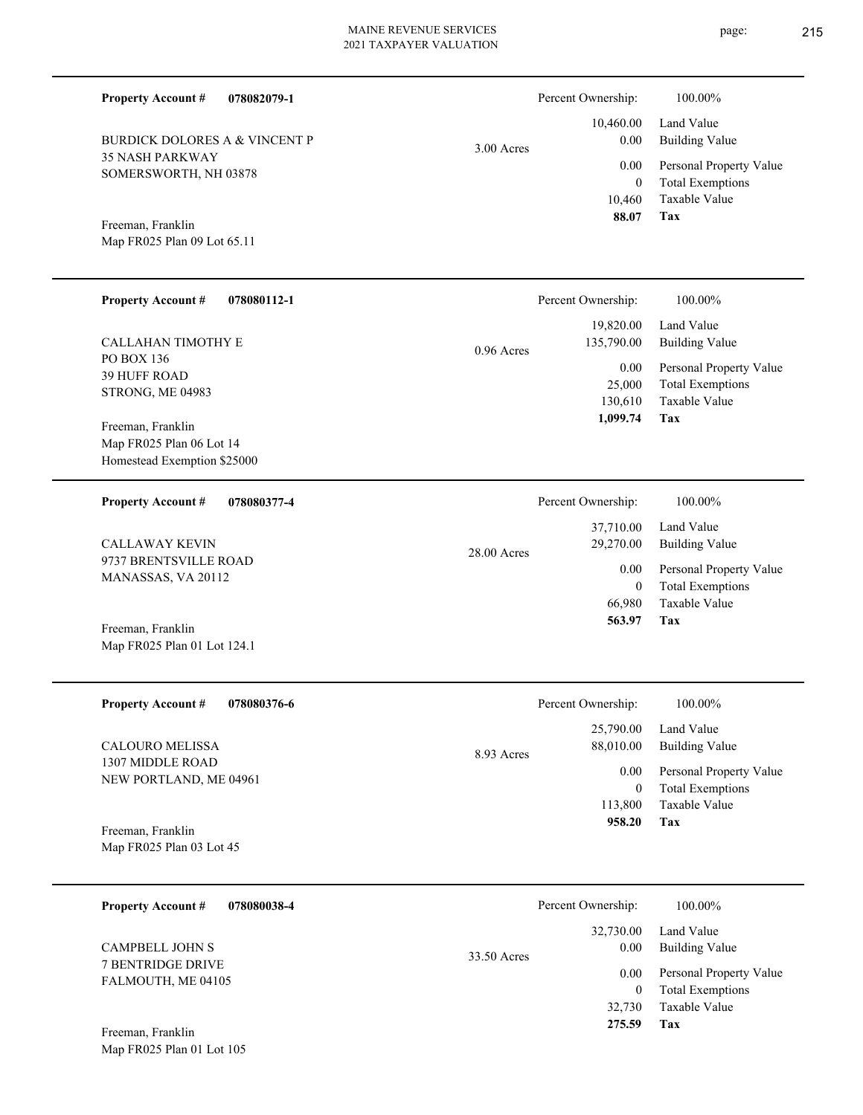| <b>Property Account #</b>                               | 078082079-1 |              | Percent Ownership:                         | 100.00%                                                                    |
|---------------------------------------------------------|-------------|--------------|--------------------------------------------|----------------------------------------------------------------------------|
| <b>BURDICK DOLORES A &amp; VINCENT P</b>                |             |              | 10,460.00<br>0.00                          | Land Value<br><b>Building Value</b>                                        |
| <b>35 NASH PARKWAY</b>                                  |             | $3.00$ Acres | 0.00                                       | Personal Property Value                                                    |
| SOMERSWORTH, NH 03878<br>Freeman, Franklin              |             |              | $\overline{0}$<br>10,460<br>88.07          | <b>Total Exemptions</b><br>Taxable Value<br><b>Tax</b>                     |
| Map FR025 Plan 09 Lot 65.11                             |             |              |                                            |                                                                            |
| <b>Property Account #</b>                               | 078080112-1 |              | Percent Ownership:                         | 100.00%                                                                    |
| CALLAHAN TIMOTHY E                                      |             | $0.96$ Acres | 19,820.00<br>135,790.00                    | Land Value<br><b>Building Value</b>                                        |
| PO BOX 136<br><b>39 HUFF ROAD</b>                       |             |              | $0.00\,$                                   | Personal Property Value                                                    |
| STRONG, ME 04983                                        |             |              | 25,000<br>130,610                          | <b>Total Exemptions</b><br><b>Taxable Value</b>                            |
| Freeman, Franklin                                       |             |              | 1,099.74                                   | Tax                                                                        |
| Map FR025 Plan 06 Lot 14<br>Homestead Exemption \$25000 |             |              |                                            |                                                                            |
|                                                         |             |              |                                            |                                                                            |
| <b>Property Account #</b>                               | 078080377-4 |              | Percent Ownership:                         | 100.00%                                                                    |
| <b>CALLAWAY KEVIN</b>                                   |             | 28.00 Acres  | 37,710.00<br>29,270.00                     | Land Value<br><b>Building Value</b>                                        |
| 9737 BRENTSVILLE ROAD<br>MANASSAS, VA 20112             |             |              | 0.00<br>$\overline{0}$<br>66,980           | Personal Property Value<br><b>Total Exemptions</b><br>Taxable Value        |
| Freeman, Franklin<br>Map FR025 Plan 01 Lot 124.1        |             |              | 563.97                                     | Tax                                                                        |
| <b>Property Account #</b>                               | 078080376-6 |              | Percent Ownership:                         | 100.00%                                                                    |
| <b>CALOURO MELISSA</b>                                  |             |              | 25,790.00<br>88,010.00                     | Land Value<br><b>Building Value</b>                                        |
| 1307 MIDDLE ROAD                                        |             | 8.93 Acres   | $0.00\,$                                   | Personal Property Value                                                    |
| NEW PORTLAND, ME 04961                                  |             |              | $\overline{0}$<br>113,800                  | <b>Total Exemptions</b><br>Taxable Value                                   |
| Freeman, Franklin<br>Map FR025 Plan 03 Lot 45           |             |              | 958.20                                     | Tax                                                                        |
| <b>Property Account #</b>                               | 078080038-4 |              | Percent Ownership:                         | 100.00%                                                                    |
| <b>CAMPBELL JOHN S</b>                                  |             | 33.50 Acres  | 32,730.00<br>0.00                          | Land Value<br><b>Building Value</b>                                        |
| 7 BENTRIDGE DRIVE<br>FALMOUTH, ME 04105                 |             |              | 0.00<br>$\overline{0}$<br>32,730<br>275.59 | Personal Property Value<br><b>Total Exemptions</b><br>Taxable Value<br>Tax |
| Freeman, Franklin<br>Map FR025 Plan 01 Lot 105          |             |              |                                            |                                                                            |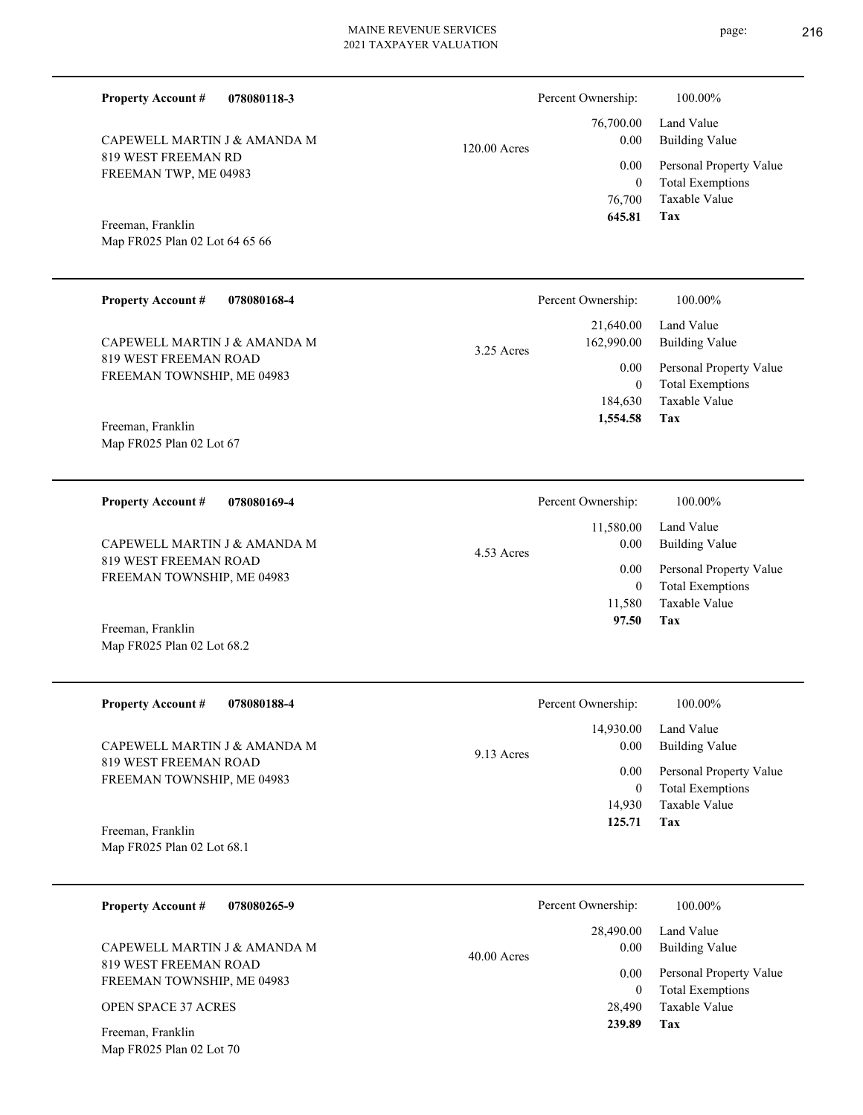| 078080118-3<br><b>Property Account #</b>                   |              | Percent Ownership:                       | 100.00%                                                                           |
|------------------------------------------------------------|--------------|------------------------------------------|-----------------------------------------------------------------------------------|
| CAPEWELL MARTIN J & AMANDA M                               | 120.00 Acres | 76,700.00<br>0.00                        | Land Value<br><b>Building Value</b>                                               |
| 819 WEST FREEMAN RD<br>FREEMAN TWP, ME 04983               |              | 0.00<br>$\mathbf{0}$<br>76,700<br>645.81 | Personal Property Value<br><b>Total Exemptions</b><br><b>Taxable Value</b><br>Tax |
| Freeman, Franklin<br>Map FR025 Plan 02 Lot 64 65 66        |              |                                          |                                                                                   |
| <b>Property Account #</b><br>078080168-4                   |              | Percent Ownership:                       | 100.00%                                                                           |
| CAPEWELL MARTIN J & AMANDA M                               | 3.25 Acres   | 21,640.00<br>162,990.00                  | Land Value<br><b>Building Value</b>                                               |
| <b>819 WEST FREEMAN ROAD</b><br>FREEMAN TOWNSHIP, ME 04983 |              | 0.00<br>$\theta$<br>184,630              | Personal Property Value<br><b>Total Exemptions</b><br>Taxable Value               |
| Freeman, Franklin<br>Map FR025 Plan 02 Lot 67              |              | 1,554.58                                 | Tax                                                                               |
| <b>Property Account #</b><br>078080169-4                   |              | Percent Ownership:                       | 100.00%                                                                           |
| CAPEWELL MARTIN J & AMANDA M                               | 4.53 Acres   | 11,580.00<br>0.00                        | Land Value<br><b>Building Value</b>                                               |
| 819 WEST FREEMAN ROAD<br>FREEMAN TOWNSHIP, ME 04983        |              | 0.00<br>$\mathbf{0}$<br>11,580           | Personal Property Value<br><b>Total Exemptions</b><br>Taxable Value               |
| Freeman, Franklin<br>Map FR025 Plan 02 Lot 68.2            |              | 97.50                                    | <b>Tax</b>                                                                        |
| <b>Property Account #</b><br>078080188-4                   |              | Percent Ownership:                       | 100.00%                                                                           |
| CAPEWELL MARTIN J & AMANDA M                               | 9.13 Acres   | 14,930.00<br>0.00                        | Land Value<br><b>Building Value</b>                                               |
| 819 WEST FREEMAN ROAD<br>FREEMAN TOWNSHIP, ME 04983        |              | 0.00<br>$\boldsymbol{0}$                 | Personal Property Value<br><b>Total Exemptions</b>                                |

Map FR025 Plan 02 Lot 68.1 Freeman, Franklin

| 078080265-9<br><b>Property Account #</b>            | Percent Ownership:    | 100.00%                 |
|-----------------------------------------------------|-----------------------|-------------------------|
|                                                     | 28,490.00             | Land Value              |
| CAPEWELL MARTIN J & AMANDA M                        | 0.00<br>$40.00$ Acres | Building Value          |
| 819 WEST FREEMAN ROAD<br>FREEMAN TOWNSHIP, ME 04983 | 0.00                  | Personal Property Value |
|                                                     | 0                     | <b>Total Exemptions</b> |
| <b>OPEN SPACE 37 ACRES</b>                          | 28,490                | Taxable Value           |
| Freeman, Franklin                                   | 239.89                | Tax                     |
| Map FR025 Plan 02 Lot 70                            |                       |                         |

**Tax**

14,930

 **125.71**

Taxable Value

page: 216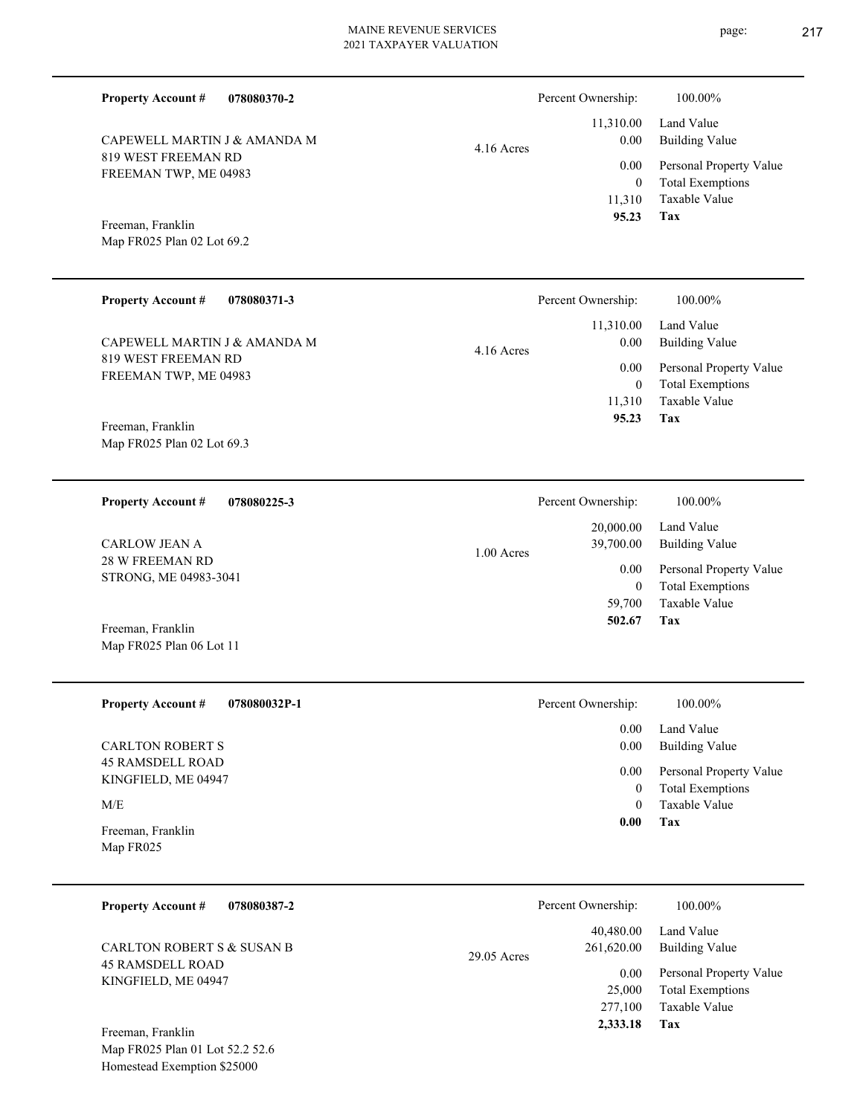| <b>Property Account #</b><br>078080370-2           | Percent Ownership:                     | 100.00%                                                             |
|----------------------------------------------------|----------------------------------------|---------------------------------------------------------------------|
| CAPEWELL MARTIN J & AMANDA M                       | 11,310.00<br>0.00<br>$4.16$ Acres      | Land Value<br><b>Building Value</b>                                 |
| 819 WEST FREEMAN RD<br>FREEMAN TWP, ME 04983       | 0.00<br>$\boldsymbol{0}$<br>11,310     | Personal Property Value<br><b>Total Exemptions</b><br>Taxable Value |
| Freeman, Franklin                                  | 95.23                                  | Tax                                                                 |
| Map FR025 Plan 02 Lot 69.2                         |                                        |                                                                     |
| <b>Property Account #</b><br>078080371-3           | Percent Ownership:                     | 100.00%                                                             |
| CAPEWELL MARTIN J & AMANDA M                       | 11,310.00<br>0.00<br>4.16 Acres        | Land Value<br><b>Building Value</b>                                 |
| 819 WEST FREEMAN RD<br>FREEMAN TWP, ME 04983       | 0.00<br>$\overline{0}$                 | Personal Property Value<br><b>Total Exemptions</b>                  |
| Freeman, Franklin                                  | 11,310<br>95.23                        | Taxable Value<br>Tax                                                |
| Map FR025 Plan 02 Lot 69.3                         |                                        |                                                                     |
| 078080225-3<br><b>Property Account #</b>           | Percent Ownership:                     | 100.00%                                                             |
| <b>CARLOW JEAN A</b>                               | 20,000.00<br>39,700.00<br>1.00 Acres   | Land Value<br><b>Building Value</b>                                 |
| 28 W FREEMAN RD<br>STRONG, ME 04983-3041           | 0.00<br>$\mathbf{0}$                   | Personal Property Value<br><b>Total Exemptions</b>                  |
|                                                    | 59,700<br>502.67                       | Taxable Value<br>Tax                                                |
| Freeman, Franklin<br>Map FR025 Plan 06 Lot 11      |                                        |                                                                     |
| <b>Property Account #</b><br>078080032P-1          | Percent Ownership:                     | 100.00%                                                             |
|                                                    | 0.00                                   | Land Value<br><b>Building Value</b>                                 |
| <b>CARLTON ROBERT S</b><br><b>45 RAMSDELL ROAD</b> | 0.00<br>0.00                           | Personal Property Value                                             |
| KINGFIELD, ME 04947<br>M/E                         | $\overline{0}$<br>$\theta$             | <b>Total Exemptions</b><br>Taxable Value                            |
| Freeman, Franklin<br>Map FR025                     | 0.00                                   | Tax                                                                 |
|                                                    |                                        |                                                                     |
| <b>Property Account #</b><br>078080387-2           | Percent Ownership:                     | 100.00%                                                             |
| <b>CARLTON ROBERT S &amp; SUSAN B</b>              | 40,480.00<br>261,620.00<br>29.05 Acres | Land Value<br><b>Building Value</b>                                 |
| <b>45 RAMSDELL ROAD</b><br>KINGFIELD, ME 04947     | 0.00<br>25,000<br>277,100              | Personal Property Value<br><b>Total Exemptions</b><br>Taxable Value |

**Tax 2,333.18**

Map FR025 Plan 01 Lot 52.2 52.6 Homestead Exemption \$25000 Freeman, Franklin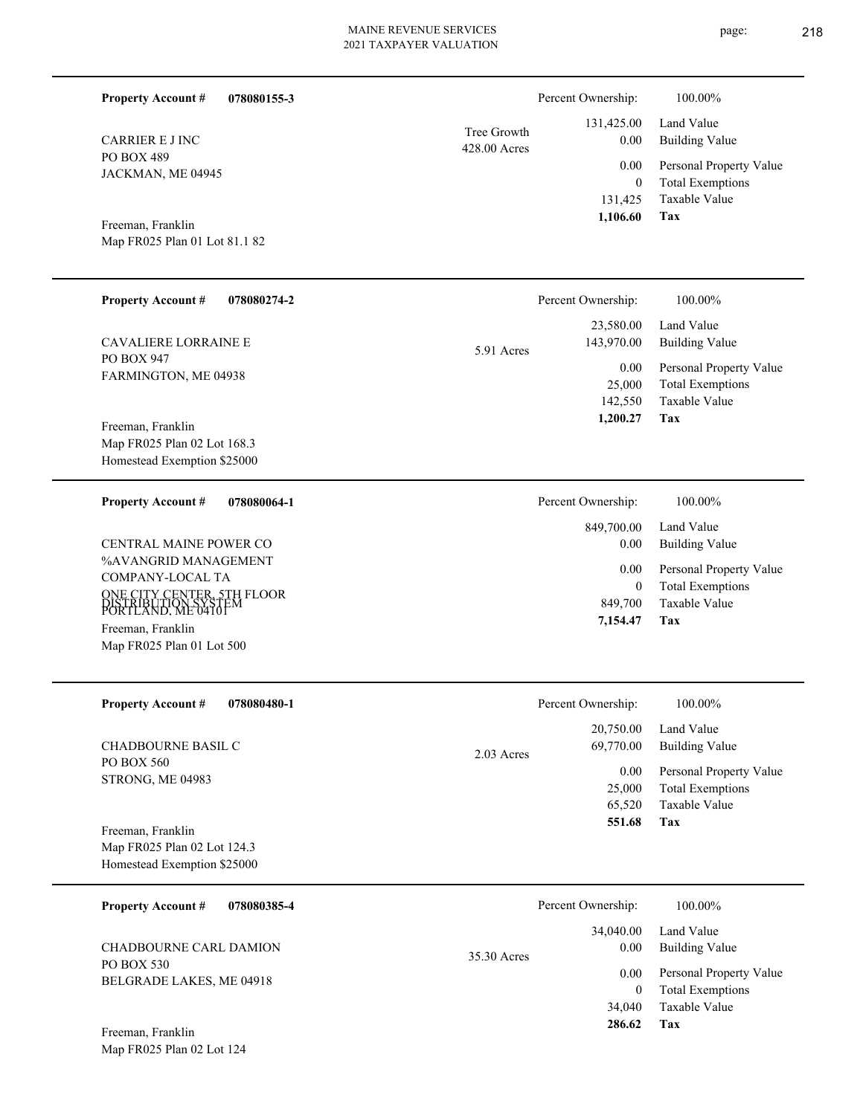| <b>Property Account #</b><br>078080155-3                                                                                 |                             | Percent Ownership:                                 | 100.00%                                                                    |
|--------------------------------------------------------------------------------------------------------------------------|-----------------------------|----------------------------------------------------|----------------------------------------------------------------------------|
| <b>CARRIER E J INC</b>                                                                                                   | Tree Growth<br>428.00 Acres | 131,425.00<br>0.00                                 | Land Value<br><b>Building Value</b>                                        |
| <b>PO BOX 489</b><br>JACKMAN, ME 04945                                                                                   |                             | 0.00                                               | Personal Property Value                                                    |
| Freeman, Franklin<br>Map FR025 Plan 01 Lot 81.1 82                                                                       |                             | $\overline{0}$<br>131,425<br>1,106.60              | <b>Total Exemptions</b><br><b>Taxable Value</b><br>Tax                     |
| <b>Property Account #</b><br>078080274-2                                                                                 |                             | Percent Ownership:                                 | 100.00%                                                                    |
| <b>CAVALIERE LORRAINE E</b>                                                                                              | 5.91 Acres                  | 23,580.00<br>143,970.00                            | Land Value<br><b>Building Value</b>                                        |
| PO BOX 947<br>FARMINGTON, ME 04938                                                                                       |                             | 0.00<br>25,000<br>142,550<br>1,200.27              | Personal Property Value<br><b>Total Exemptions</b><br>Taxable Value<br>Tax |
| Freeman, Franklin<br>Map FR025 Plan 02 Lot 168.3<br>Homestead Exemption \$25000                                          |                             |                                                    |                                                                            |
| <b>Property Account #</b><br>078080064-1                                                                                 |                             | Percent Ownership:                                 | 100.00%                                                                    |
| CENTRAL MAINE POWER CO                                                                                                   |                             | 849,700.00<br>0.00                                 | Land Value<br><b>Building Value</b>                                        |
| %AVANGRID MANAGEMENT<br>COMPANY-LOCAL TA                                                                                 |                             | 0.00<br>$\overline{0}$                             | Personal Property Value<br><b>Total Exemptions</b>                         |
| ONE CITY CENTER, 5TH FLOOR<br>DISTRIBUTION SYSTEM<br>PORTLAND, ME04101<br>Freeman, Franklin<br>Map FR025 Plan 01 Lot 500 |                             | 849,700<br>7,154.47                                | <b>Taxable Value</b><br>Tax                                                |
|                                                                                                                          |                             |                                                    |                                                                            |
| <b>Property Account #</b><br>078080480-1                                                                                 |                             | Percent Ownership:                                 | 100.00%                                                                    |
| CHADBOURNE BASIL C                                                                                                       | $2.03$ Acres                | 20,750.00<br>69,770.00                             | Land Value<br><b>Building Value</b>                                        |
| PO BOX 560<br>STRONG, ME 04983                                                                                           |                             | 0.00<br>25,000<br>65,520<br>551.68                 | Personal Property Value<br><b>Total Exemptions</b><br>Taxable Value<br>Tax |
| Freeman, Franklin<br>Map FR025 Plan 02 Lot 124.3<br>Homestead Exemption \$25000                                          |                             |                                                    |                                                                            |
| <b>Property Account #</b><br>078080385-4                                                                                 |                             | Percent Ownership:                                 | 100.00%                                                                    |
| CHADBOURNE CARL DAMION                                                                                                   | 35.30 Acres                 | 34,040.00<br>0.00                                  | Land Value<br><b>Building Value</b>                                        |
| PO BOX 530<br>BELGRADE LAKES, ME 04918                                                                                   | 0.00<br>$\mathbf{0}$        | Personal Property Value<br><b>Total Exemptions</b> |                                                                            |
|                                                                                                                          |                             | 34,040<br>286.62                                   | Taxable Value<br>Tax                                                       |

Map FR025 Plan 02 Lot 124 Freeman, Franklin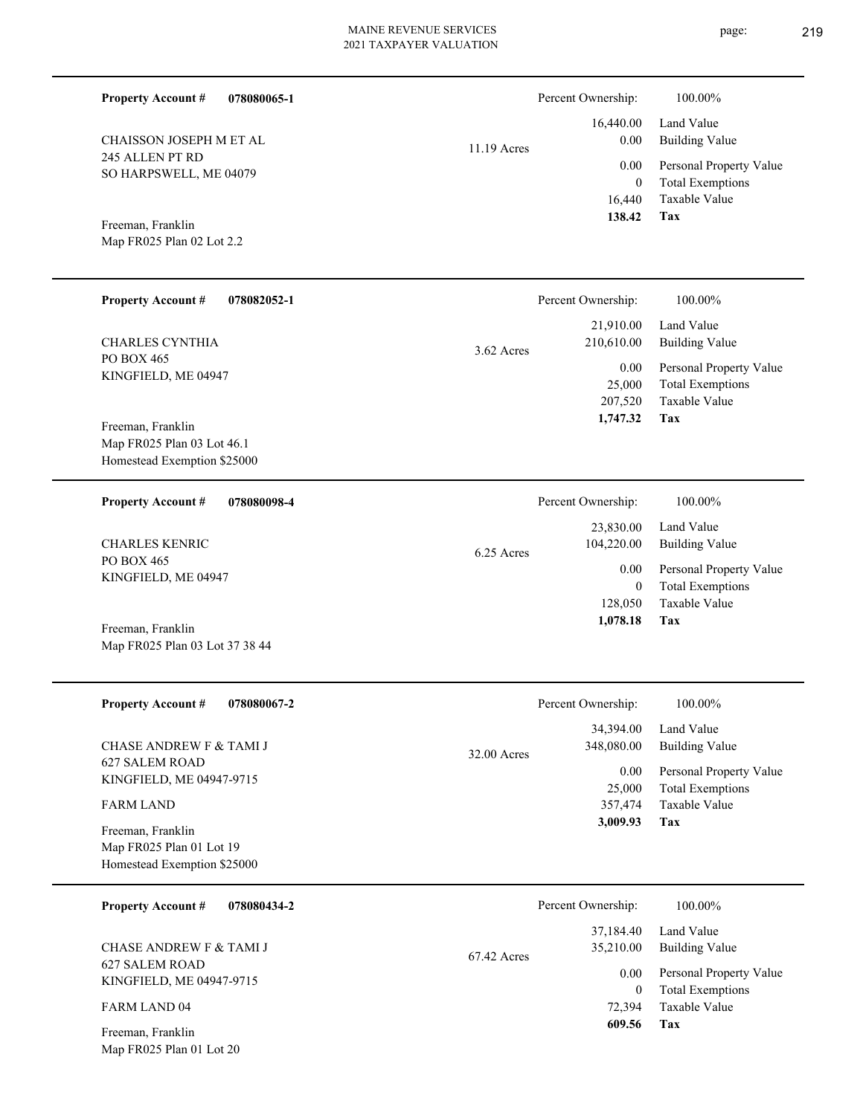| <b>Property Account #</b><br>078080065-1                  |             | Percent Ownership:                         | 100.00%                                                                    |
|-----------------------------------------------------------|-------------|--------------------------------------------|----------------------------------------------------------------------------|
| CHAISSON JOSEPH M ET AL                                   | 11.19 Acres | 16,440.00<br>0.00                          | Land Value<br><b>Building Value</b>                                        |
| 245 ALLEN PT RD<br>SO HARPSWELL, ME 04079                 |             | 0.00<br>$\overline{0}$<br>16,440<br>138.42 | Personal Property Value<br><b>Total Exemptions</b><br>Taxable Value<br>Tax |
| Freeman, Franklin<br>Map FR025 Plan 02 Lot 2.2            |             |                                            |                                                                            |
| <b>Property Account #</b><br>078082052-1                  |             | Percent Ownership:                         | 100.00%                                                                    |
| <b>CHARLES CYNTHIA</b>                                    | 3.62 Acres  | 21,910.00<br>210,610.00                    | Land Value<br><b>Building Value</b>                                        |
| PO BOX 465<br>KINGFIELD, ME 04947<br>Freeman, Franklin    |             | 0.00<br>25,000<br>207,520<br>1,747.32      | Personal Property Value<br><b>Total Exemptions</b><br>Taxable Value<br>Tax |
| Map FR025 Plan 03 Lot 46.1<br>Homestead Exemption \$25000 |             |                                            |                                                                            |
| <b>Property Account #</b><br>078080098-4                  |             | Percent Ownership:                         | 100.00%                                                                    |
| <b>CHARLES KENRIC</b>                                     | 6.25 Acres  | 23,830.00<br>104,220.00                    | Land Value<br><b>Building Value</b>                                        |
| PO BOX 465<br>KINGFIELD, ME 04947                         |             | 0.00<br>$\overline{0}$                     | Personal Property Value<br><b>Total Exemptions</b>                         |
| Freeman, Franklin<br>Map FR025 Plan 03 Lot 37 38 44       |             | 128,050<br>1,078.18                        | Taxable Value<br>Tax                                                       |
| <b>Property Account #</b><br>078080067-2                  |             | Percent Ownership:                         | 100.00%                                                                    |
| <b>CHASE ANDREW F &amp; TAMI J</b>                        | 32.00 Acres | 34,394.00<br>348,080.00                    | Land Value<br><b>Building Value</b>                                        |
| <b>627 SALEM ROAD</b><br>KINGFIELD, ME 04947-9715         |             | 0.00<br>25,000                             | Personal Property Value<br><b>Total Exemptions</b>                         |
| <b>FARM LAND</b><br>Freeman, Franklin                     |             | 357,474<br>3,009.93                        | Taxable Value<br>Tax                                                       |
| Map FR025 Plan 01 Lot 19<br>Homestead Exemption \$25000   |             |                                            |                                                                            |
| <b>Property Account #</b><br>078080434-2                  |             | Percent Ownership:                         | 100.00%                                                                    |
| CHASE ANDREW F & TAMI J                                   | 67.42 Acres | 37,184.40<br>35,210.00                     | Land Value<br><b>Building Value</b>                                        |
| 627 SALEM ROAD<br>KINGFIELD, ME 04947-9715                |             | 0.00<br>$\overline{0}$                     | Personal Property Value<br><b>Total Exemptions</b>                         |
| FARM LAND 04                                              |             | 72,394<br>609.56                           | Taxable Value<br>Tax                                                       |
| Freeman, Franklin<br>Map FR025 Plan 01 Lot 20             |             |                                            |                                                                            |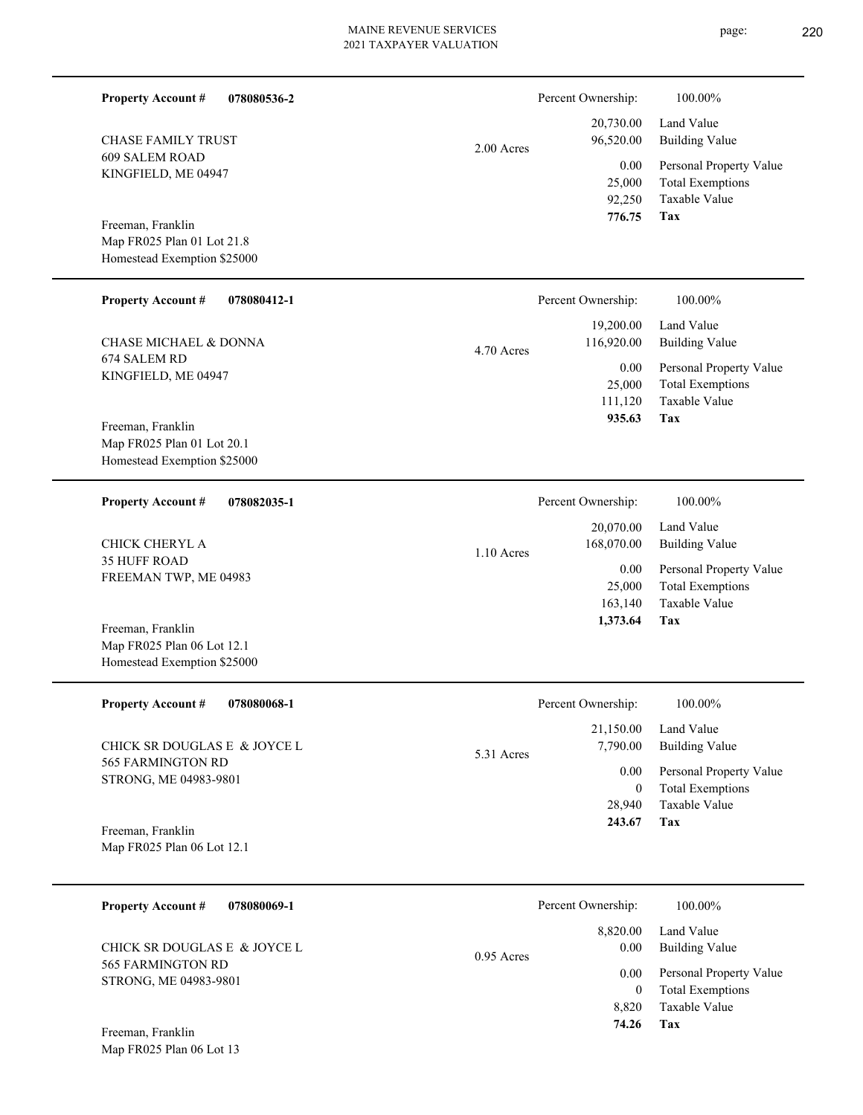page: 220

| <b>Property Account #</b>                                                      | 078080536-2                  |              | Percent Ownership:                         | 100.00%                                                                    |
|--------------------------------------------------------------------------------|------------------------------|--------------|--------------------------------------------|----------------------------------------------------------------------------|
| <b>CHASE FAMILY TRUST</b>                                                      |                              | $2.00$ Acres | 20,730.00<br>96,520.00                     | Land Value<br><b>Building Value</b>                                        |
| <b>609 SALEM ROAD</b><br>KINGFIELD, ME 04947                                   |                              |              | 0.00<br>25,000<br>92,250                   | Personal Property Value<br><b>Total Exemptions</b><br>Taxable Value        |
| Freeman, Franklin                                                              |                              |              | 776.75                                     | Tax                                                                        |
| Map FR025 Plan 01 Lot 21.8<br>Homestead Exemption \$25000                      |                              |              |                                            |                                                                            |
| <b>Property Account #</b>                                                      | 078080412-1                  |              | Percent Ownership:                         | 100.00%                                                                    |
| <b>CHASE MICHAEL &amp; DONNA</b>                                               |                              | 4.70 Acres   | 19,200.00<br>116,920.00                    | Land Value<br><b>Building Value</b>                                        |
| 674 SALEM RD<br>KINGFIELD, ME 04947                                            |                              |              | 0.00<br>25,000<br>111,120                  | Personal Property Value<br><b>Total Exemptions</b><br>Taxable Value        |
| Freeman, Franklin<br>Map FR025 Plan 01 Lot 20.1<br>Homestead Exemption \$25000 |                              |              | 935.63                                     | Tax                                                                        |
| <b>Property Account #</b>                                                      | 078082035-1                  |              | Percent Ownership:                         | 100.00%                                                                    |
| CHICK CHERYL A                                                                 |                              | $1.10$ Acres | 20,070.00<br>168,070.00                    | Land Value<br><b>Building Value</b>                                        |
| <b>35 HUFF ROAD</b><br>FREEMAN TWP, ME 04983                                   |                              |              | 0.00<br>25,000<br>163,140                  | Personal Property Value<br><b>Total Exemptions</b><br>Taxable Value        |
| Freeman, Franklin<br>Map FR025 Plan 06 Lot 12.1<br>Homestead Exemption \$25000 |                              |              | 1,373.64                                   | Tax                                                                        |
| <b>Property Account #</b>                                                      | 078080068-1                  |              | Percent Ownership:                         | 100.00%                                                                    |
|                                                                                | CHICK SR DOUGLAS E & JOYCE L | 5.31 Acres   | 21,150.00<br>7,790.00                      | Land Value<br><b>Building Value</b>                                        |
| 565 FARMINGTON RD<br>STRONG, ME 04983-9801                                     |                              |              | 0.00<br>$\overline{0}$<br>28,940<br>243.67 | Personal Property Value<br><b>Total Exemptions</b><br>Taxable Value<br>Tax |
| Freeman, Franklin<br>Map FR025 Plan 06 Lot 12.1                                |                              |              |                                            |                                                                            |
| <b>Property Account #</b>                                                      | 078080069-1                  |              | Percent Ownership:                         | 100.00%                                                                    |
|                                                                                | CHICK SR DOUGLAS E & JOYCE L |              | 8,820.00<br>0.00                           | Land Value<br><b>Building Value</b>                                        |
| 565 FARMINGTON RD<br>STRONG, ME 04983-9801<br>Freeman, Franklin                |                              | 0.95 Acres   | 0.00<br>$\mathbf{0}$<br>8,820<br>74.26     | Personal Property Value<br><b>Total Exemptions</b><br>Taxable Value<br>Tax |
| Map FR025 Plan 06 Lot 13                                                       |                              |              |                                            |                                                                            |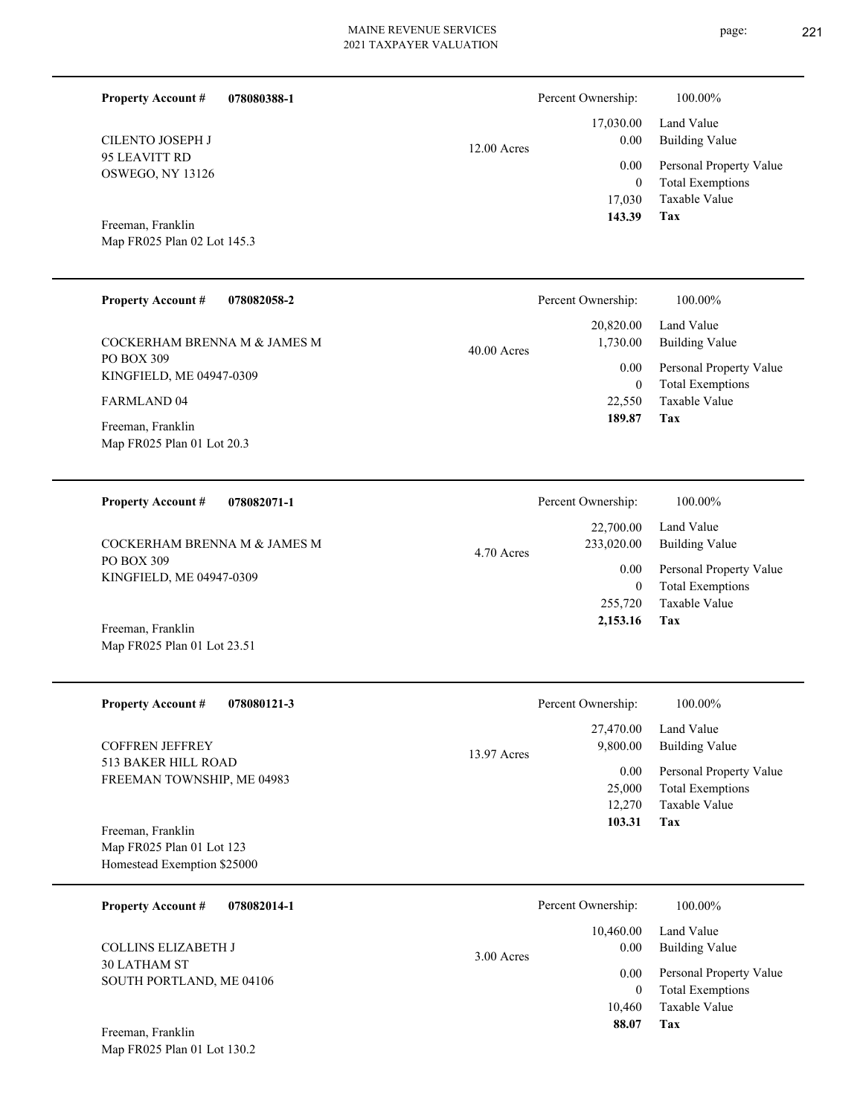12.00 Acres

**078080388-1 Property Account #**

95 LEAVITT RD OSWEGO, NY 13126 CILENTO JOSEPH J

Map FR025 Plan 02 Lot 145.3 Freeman, Franklin

Map FR025 Plan 01 Lot 23.51

| <b>Property Account #</b><br>078082058-2        | Percent Ownership:        | 100.00%                 |
|-------------------------------------------------|---------------------------|-------------------------|
|                                                 | 20,820.00                 | Land Value              |
| COCKERHAM BRENNA M & JAMES M<br>PO BOX 309      | 1,730.00<br>$40.00$ Acres | Building Value          |
| KINGFIELD, ME 04947-0309                        | 0.00                      | Personal Property Value |
|                                                 | $\overline{0}$            | <b>Total Exemptions</b> |
| <b>FARMLAND 04</b>                              | 22,550                    | Taxable Value           |
| Freeman, Franklin<br>Map FR025 Plan 01 Lot 20.3 | 189.87                    | Tax                     |
|                                                 |                           |                         |
|                                                 |                           |                         |

| <b>Property Account #</b><br>078082071-1   | Percent Ownership:                    | 100.00%                                            |
|--------------------------------------------|---------------------------------------|----------------------------------------------------|
| COCKERHAM BRENNA M & JAMES M<br>PO BOX 309 | 22,700.00<br>233,020.00<br>4.70 Acres | Land Value<br>Building Value                       |
| KINGFIELD, ME 04947-0309                   | 0.00<br>$\overline{0}$                | Personal Property Value<br><b>Total Exemptions</b> |
|                                            | 255,720                               | Taxable Value                                      |
| Freeman, Franklin                          | 2,153.16                              | Tax                                                |

| <b>Property Account #</b><br>078080121-3 |             | Percent Ownership: | 100.00%                 |
|------------------------------------------|-------------|--------------------|-------------------------|
|                                          |             | 27,470.00          | Land Value              |
| <b>COFFREN JEFFREY</b>                   | 13.97 Acres | 9,800.00           | <b>Building Value</b>   |
| 513 BAKER HILL ROAD                      |             | 0.00               | Personal Property Value |
| FREEMAN TOWNSHIP, ME 04983               |             | 25,000             | <b>Total Exemptions</b> |
|                                          |             | 12,270             | Taxable Value           |
| Freeman, Franklin                        |             | 103.31             | Tax                     |
| Map FR025 Plan 01 Lot 123                |             |                    |                         |
| Homestead Exemption \$25000              |             |                    |                         |

| <b>Property Account #</b><br>078082014-1 | Percent Ownership: | 100.00%                 |
|------------------------------------------|--------------------|-------------------------|
|                                          | 10.460.00          | Land Value              |
| <b>COLLINS ELIZABETH J</b>               | 0.00<br>3.00 Acres | <b>Building Value</b>   |
| 30 LATHAM ST<br>SOUTH PORTLAND, ME 04106 | 0.00               | Personal Property Value |
|                                          |                    | <b>Total Exemptions</b> |
|                                          | 10.460             | Taxable Value           |
| Freeman, Franklin                        | 88.07              | Tax                     |

Map FR025 Plan 01 Lot 130.2

**Tax**

 17,030 0

 17,030.00 0.00 0.00

Percent Ownership:  $100.00\%$ 

 **143.39**

Taxable Value Total Exemptions Personal Property Value

Building Value Land Value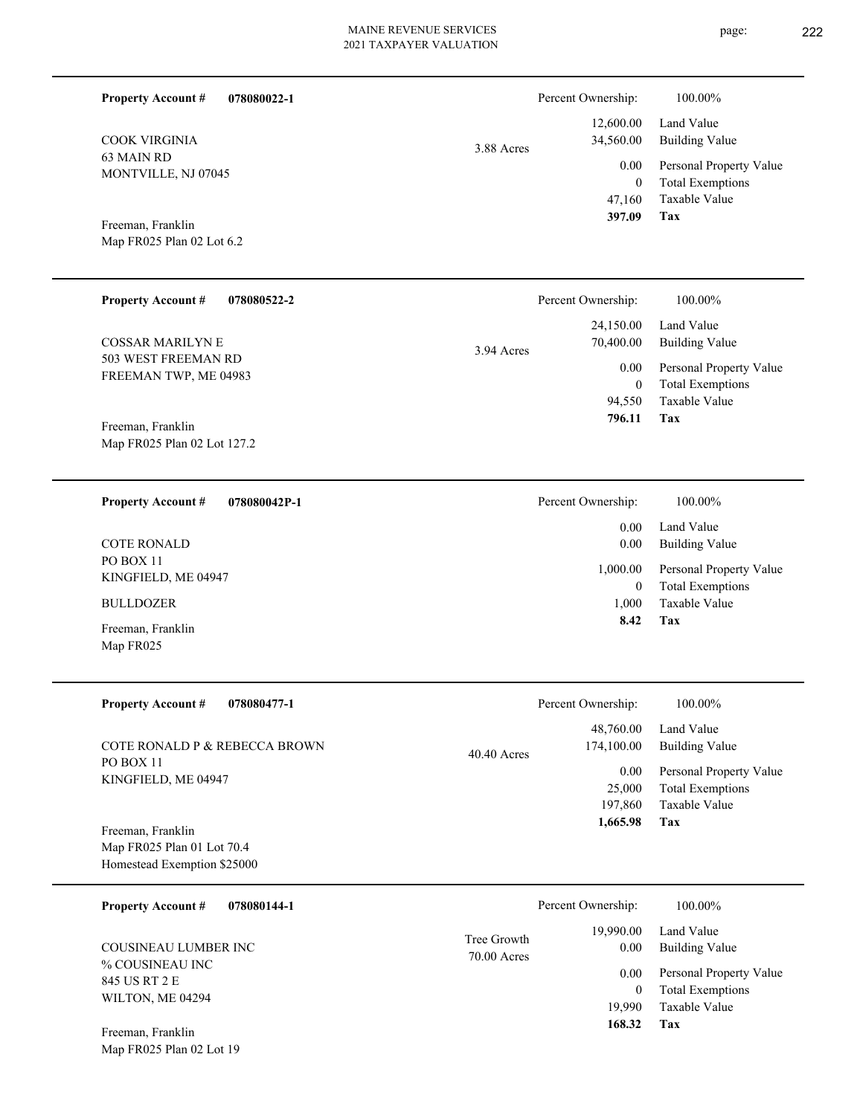| <b>Property Account #</b><br>078080022-1                                  |                            | Percent Ownership:                                                   | 100.00%                                                                                                           |
|---------------------------------------------------------------------------|----------------------------|----------------------------------------------------------------------|-------------------------------------------------------------------------------------------------------------------|
| <b>COOK VIRGINIA</b><br>63 MAIN RD<br>MONTVILLE, NJ 07045                 | 3.88 Acres                 | 12,600.00<br>34,560.00<br>0.00<br>$\overline{0}$<br>47,160<br>397.09 | Land Value<br><b>Building Value</b><br>Personal Property Value<br><b>Total Exemptions</b><br>Taxable Value<br>Tax |
| Freeman, Franklin<br>Map FR025 Plan 02 Lot 6.2                            |                            |                                                                      |                                                                                                                   |
| <b>Property Account #</b><br>078080522-2                                  |                            | Percent Ownership:                                                   | 100.00%                                                                                                           |
| <b>COSSAR MARILYN E</b><br>503 WEST FREEMAN RD                            | 3.94 Acres                 | 24,150.00<br>70,400.00<br>0.00                                       | Land Value<br><b>Building Value</b><br>Personal Property Value                                                    |
| FREEMAN TWP, ME 04983<br>Freeman, Franklin<br>Map FR025 Plan 02 Lot 127.2 |                            | $\boldsymbol{0}$<br>94,550<br>796.11                                 | <b>Total Exemptions</b><br>Taxable Value<br>Tax                                                                   |
| 078080042P-1<br><b>Property Account #</b>                                 |                            | Percent Ownership:                                                   | 100.00%                                                                                                           |
| <b>COTE RONALD</b>                                                        |                            | 0.00<br>0.00                                                         | Land Value<br><b>Building Value</b>                                                                               |
| PO BOX 11<br>KINGFIELD, ME 04947<br><b>BULLDOZER</b>                      |                            | 1,000.00<br>$\boldsymbol{0}$<br>1,000<br>8.42                        | Personal Property Value<br><b>Total Exemptions</b><br>Taxable Value<br>Tax                                        |
| Freeman, Franklin<br>Map FR025                                            |                            |                                                                      |                                                                                                                   |
| <b>Property Account #</b><br>078080477-1                                  |                            | Percent Ownership:                                                   | 100.00%                                                                                                           |
| COTE RONALD P & REBECCA BROWN                                             | 40.40 Acres                | 48,760.00<br>174,100.00                                              | Land Value<br><b>Building Value</b>                                                                               |
| PO BOX 11<br>KINGFIELD, ME 04947<br>Freeman, Franklin                     |                            | 0.00<br>25,000<br>197,860<br>1,665.98                                | Personal Property Value<br><b>Total Exemptions</b><br>Taxable Value<br>Tax                                        |
| Map FR025 Plan 01 Lot 70.4<br>Homestead Exemption \$25000                 |                            |                                                                      |                                                                                                                   |
| <b>Property Account #</b><br>078080144-1                                  |                            | Percent Ownership:                                                   | 100.00%                                                                                                           |
| COUSINEAU LUMBER INC                                                      | Tree Growth<br>70.00 Acres | 19,990.00<br>0.00                                                    | Land Value<br><b>Building Value</b>                                                                               |
| % COUSINEAU INC<br>845 US RT 2 E<br>WILTON, ME 04294                      |                            | 0.00<br>$\boldsymbol{0}$<br>19,990<br>168.32                         | Personal Property Value<br><b>Total Exemptions</b><br>Taxable Value<br>Tax                                        |
| Freeman, Franklin<br>Map FR025 Plan 02 Lot 19                             |                            |                                                                      |                                                                                                                   |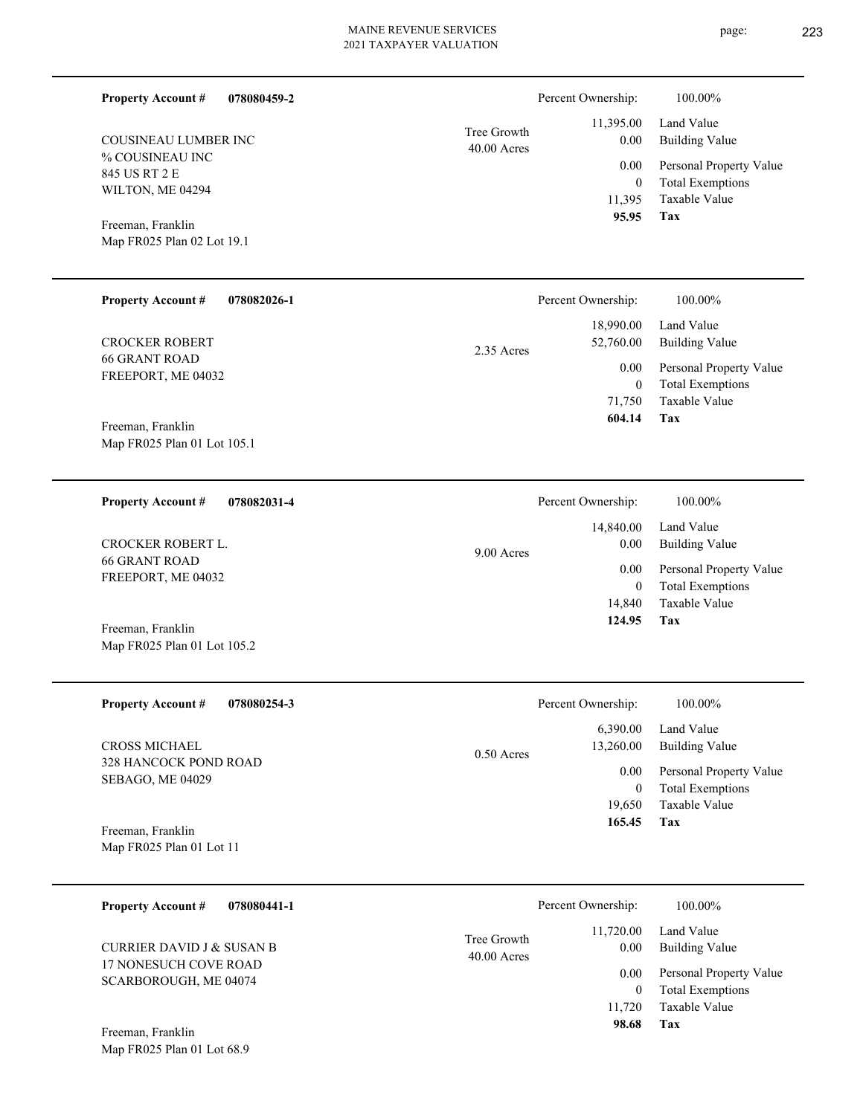| <b>Property Account #</b><br>078080459-2         |                              | Percent Ownership:       | 100.00%                                            |
|--------------------------------------------------|------------------------------|--------------------------|----------------------------------------------------|
| <b>COUSINEAU LUMBER INC</b>                      | Tree Growth<br>$40.00$ Acres | 11,395.00<br>0.00        | Land Value<br><b>Building Value</b>                |
| % COUSINEAU INC<br>845 US RT 2 E                 |                              | 0.00                     | Personal Property Value                            |
| WILTON, ME 04294                                 |                              | $\overline{0}$           | <b>Total Exemptions</b>                            |
|                                                  |                              | 11,395<br>95.95          | <b>Taxable Value</b><br>Tax                        |
| Freeman, Franklin<br>Map FR025 Plan 02 Lot 19.1  |                              |                          |                                                    |
|                                                  |                              |                          |                                                    |
| <b>Property Account #</b><br>078082026-1         |                              | Percent Ownership:       | 100.00%                                            |
|                                                  |                              | 18,990.00                | Land Value                                         |
| <b>CROCKER ROBERT</b><br><b>66 GRANT ROAD</b>    | 2.35 Acres                   | 52,760.00                | <b>Building Value</b>                              |
| FREEPORT, ME 04032                               |                              | 0.00                     | Personal Property Value                            |
|                                                  |                              | $\overline{0}$<br>71,750 | <b>Total Exemptions</b><br><b>Taxable Value</b>    |
| Freeman, Franklin                                |                              | 604.14                   | Tax                                                |
| Map FR025 Plan 01 Lot 105.1                      |                              |                          |                                                    |
|                                                  |                              |                          |                                                    |
| <b>Property Account #</b><br>078082031-4         |                              | Percent Ownership:       | 100.00%                                            |
|                                                  |                              | 14,840.00                | Land Value                                         |
| <b>CROCKER ROBERT L.</b><br><b>66 GRANT ROAD</b> | 9.00 Acres                   | 0.00                     | <b>Building Value</b>                              |
| FREEPORT, ME 04032                               |                              | 0.00<br>$\overline{0}$   | Personal Property Value<br><b>Total Exemptions</b> |
|                                                  |                              | 14,840                   | <b>Taxable Value</b>                               |
| Freeman, Franklin                                |                              | 124.95                   | Tax                                                |
| Map FR025 Plan 01 Lot 105.2                      |                              |                          |                                                    |
|                                                  |                              |                          |                                                    |
| <b>Property Account #</b><br>078080254-3         |                              | Percent Ownership:       | 100.00%                                            |
| CROSS MICHAEL                                    |                              | 6,390.00<br>13,260.00    | Land Value<br><b>Building Value</b>                |
| 328 HANCOCK POND ROAD                            | $0.50$ Acres                 |                          |                                                    |
| SEBAGO, ME 04029                                 |                              | 0.00<br>$\boldsymbol{0}$ | Personal Property Value<br><b>Total Exemptions</b> |
|                                                  |                              | 19,650                   | Taxable Value                                      |
| Freeman, Franklin                                |                              | 165.45                   | Tax                                                |
| Map FR025 Plan 01 Lot 11                         |                              |                          |                                                    |
| <b>Property Account #</b><br>078080441-1         |                              | Percent Ownership:       | 100.00%                                            |
|                                                  |                              | 11,720.00                | Land Value                                         |
| <b>CURRIER DAVID J &amp; SUSAN B</b>             | Tree Growth<br>40.00 Acres   | 0.00                     | <b>Building Value</b>                              |
| 17 NONESUCH COVE ROAD                            |                              | 0.00                     | Personal Property Value                            |
| SCARBOROUGH, ME 04074                            |                              | $\mathbf{0}$             | <b>Total Exemptions</b>                            |
|                                                  |                              | 11,720                   | Taxable Value                                      |

**Tax 98.68**

Map FR025 Plan 01 Lot 68.9 Freeman, Franklin

- page: 223
	-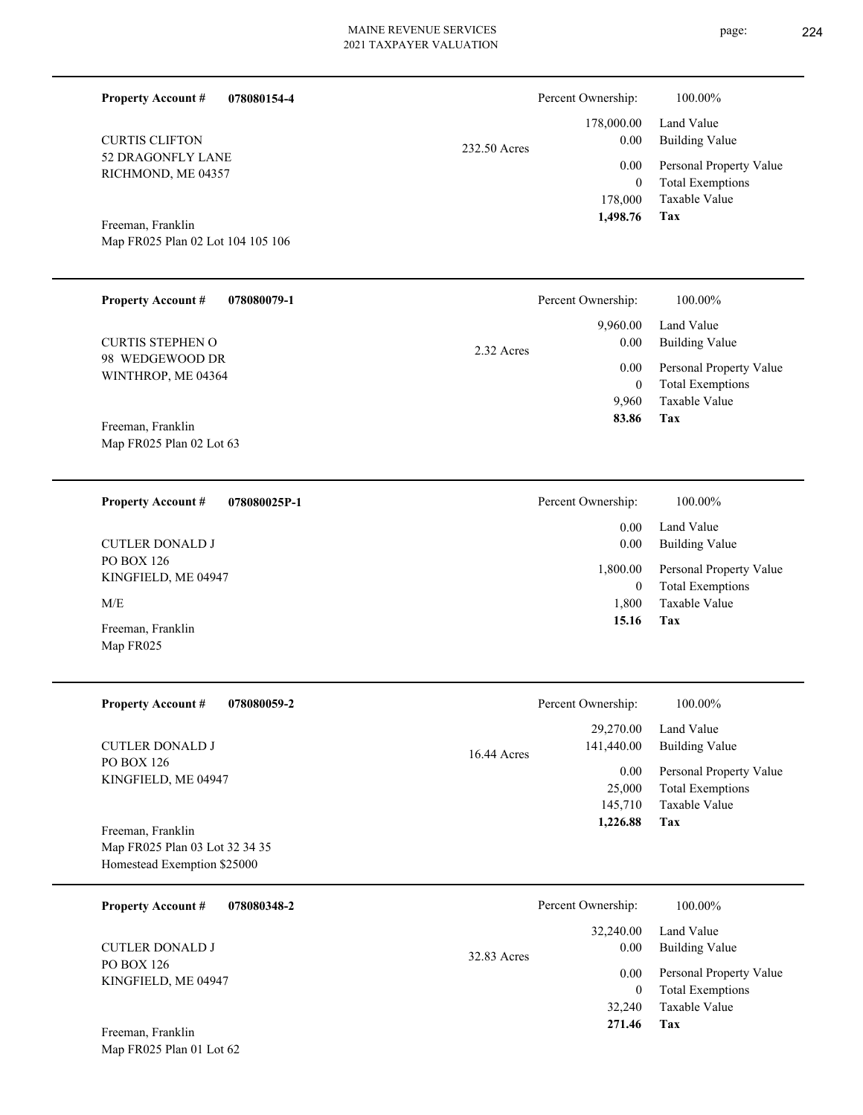| <b>Property Account #</b><br>078080154-4                                           |              | Percent Ownership:                            | 100.00%                                                                           |
|------------------------------------------------------------------------------------|--------------|-----------------------------------------------|-----------------------------------------------------------------------------------|
| <b>CURTIS CLIFTON</b>                                                              | 232.50 Acres | 178,000.00<br>$0.00\,$                        | Land Value<br><b>Building Value</b>                                               |
| 52 DRAGONFLY LANE<br>RICHMOND, ME 04357                                            |              | 0.00<br>$\overline{0}$<br>178,000<br>1,498.76 | Personal Property Value<br><b>Total Exemptions</b><br>Taxable Value<br>Tax        |
| Freeman, Franklin<br>Map FR025 Plan 02 Lot 104 105 106                             |              |                                               |                                                                                   |
| <b>Property Account #</b><br>078080079-1                                           |              | Percent Ownership:                            | 100.00%                                                                           |
| <b>CURTIS STEPHEN O</b>                                                            | 2.32 Acres   | 9,960.00<br>0.00                              | Land Value<br><b>Building Value</b>                                               |
| 98 WEDGEWOOD DR<br>WINTHROP, ME 04364<br>Freeman, Franklin                         |              | 0.00<br>$\mathbf{0}$<br>9,960<br>83.86        | Personal Property Value<br><b>Total Exemptions</b><br>Taxable Value<br><b>Tax</b> |
| Map FR025 Plan 02 Lot 63                                                           |              |                                               |                                                                                   |
| <b>Property Account #</b><br>078080025P-1                                          |              | Percent Ownership:                            | 100.00%                                                                           |
| <b>CUTLER DONALD J</b>                                                             |              | 0.00<br>0.00                                  | Land Value<br><b>Building Value</b>                                               |
| PO BOX 126<br>KINGFIELD, ME 04947                                                  |              | 1,800.00<br>$\overline{0}$                    | Personal Property Value<br><b>Total Exemptions</b>                                |
| M/E                                                                                |              | 1,800<br>15.16                                | Taxable Value<br>Tax                                                              |
| Freeman, Franklin<br>Map FR025                                                     |              |                                               |                                                                                   |
| <b>Property Account #</b><br>078080059-2                                           |              | Percent Ownership:                            | 100.00%                                                                           |
| <b>CUTLER DONALD J</b>                                                             | 16.44 Acres  | 29,270.00<br>141,440.00                       | Land Value<br><b>Building Value</b>                                               |
| PO BOX 126<br>KINGFIELD, ME 04947                                                  |              | 0.00<br>25,000<br>145,710                     | Personal Property Value<br><b>Total Exemptions</b><br>Taxable Value               |
| Freeman, Franklin<br>Map FR025 Plan 03 Lot 32 34 35<br>Homestead Exemption \$25000 |              | 1,226.88                                      | Tax                                                                               |
| <b>Property Account #</b><br>078080348-2                                           |              | Percent Ownership:                            | 100.00%                                                                           |
| <b>CUTLER DONALD J</b>                                                             |              | 32,240.00<br>0.00                             | Land Value<br><b>Building Value</b>                                               |
| PO BOX 126<br>KINGFIELD, ME 04947<br>Freeman, Franklin                             | 32.83 Acres  | 0.00<br>$\overline{0}$<br>32,240<br>271.46    | Personal Property Value<br><b>Total Exemptions</b><br>Taxable Value<br>Tax        |
| Map FR025 Plan 01 Lot 62                                                           |              |                                               |                                                                                   |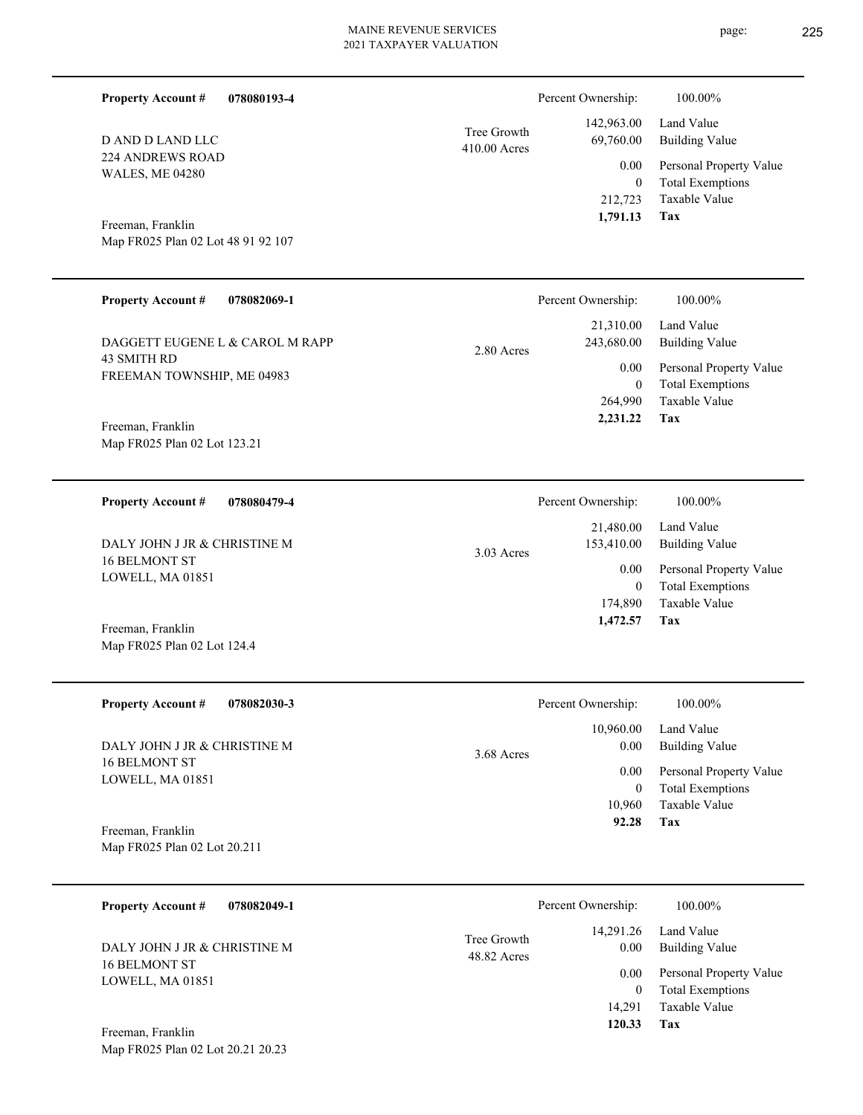| <b>Property Account #</b><br>078080193-4                |                             | Percent Ownership:        | 100.00%                                            |
|---------------------------------------------------------|-----------------------------|---------------------------|----------------------------------------------------|
| D AND D LAND LLC                                        | Tree Growth<br>410.00 Acres | 142,963.00<br>69,760.00   | Land Value<br><b>Building Value</b>                |
| <b>224 ANDREWS ROAD</b>                                 |                             | 0.00                      | Personal Property Value                            |
| <b>WALES, ME 04280</b>                                  |                             | $\overline{0}$            | <b>Total Exemptions</b>                            |
|                                                         |                             | 212,723<br>1,791.13       | <b>Taxable Value</b><br><b>Tax</b>                 |
| Freeman, Franklin<br>Map FR025 Plan 02 Lot 48 91 92 107 |                             |                           |                                                    |
|                                                         |                             |                           |                                                    |
| <b>Property Account #</b><br>078082069-1                |                             | Percent Ownership:        | 100.00%                                            |
|                                                         |                             | 21,310.00                 | Land Value                                         |
| DAGGETT EUGENE L & CAROL M RAPP                         | 2.80 Acres                  | 243,680.00                | <b>Building Value</b>                              |
| 43 SMITH RD<br>FREEMAN TOWNSHIP, ME 04983               |                             | 0.00                      | Personal Property Value                            |
|                                                         |                             | $\overline{0}$<br>264,990 | <b>Total Exemptions</b><br><b>Taxable Value</b>    |
| Freeman, Franklin                                       |                             | 2,231.22                  | Tax                                                |
| Map FR025 Plan 02 Lot 123.21                            |                             |                           |                                                    |
|                                                         |                             |                           |                                                    |
| <b>Property Account #</b><br>078080479-4                |                             | Percent Ownership:        | 100.00%                                            |
|                                                         |                             | 21,480.00                 | Land Value                                         |
| DALY JOHN J JR & CHRISTINE M<br><b>16 BELMONT ST</b>    | 3.03 Acres                  | 153,410.00                | <b>Building Value</b>                              |
| LOWELL, MA 01851                                        |                             | 0.00<br>$\mathbf{0}$      | Personal Property Value<br><b>Total Exemptions</b> |
|                                                         |                             | 174,890                   | Taxable Value                                      |
| Freeman, Franklin                                       |                             | 1,472.57                  | Tax                                                |
| Map FR025 Plan 02 Lot 124.4                             |                             |                           |                                                    |
|                                                         |                             |                           |                                                    |
| <b>Property Account #</b><br>078082030-3                |                             | Percent Ownership:        | 100.00%                                            |
| DALY JOHN J JR & CHRISTINE M                            |                             | 10,960.00<br>0.00         | Land Value<br><b>Building Value</b>                |
| <b>16 BELMONT ST</b>                                    | 3.68 Acres                  | 0.00                      | Personal Property Value                            |
| LOWELL, MA 01851                                        |                             | $\boldsymbol{0}$          | <b>Total Exemptions</b>                            |
|                                                         |                             | 10,960<br>92.28           | Taxable Value<br>Tax                               |
| Freeman, Franklin<br>Map FR025 Plan 02 Lot 20.211       |                             |                           |                                                    |
|                                                         |                             |                           |                                                    |
| 078082049-1<br><b>Property Account #</b>                |                             | Percent Ownership:        | 100.00%                                            |
|                                                         | Tree Growth                 | 14,291.26                 | Land Value                                         |
| DALY JOHN J JR & CHRISTINE M<br>16 BELMONT ST           | 48.82 Acres                 | 0.00                      | <b>Building Value</b>                              |
| LOWELL, MA 01851                                        |                             | 0.00<br>$\mathbf{0}$      | Personal Property Value<br><b>Total Exemptions</b> |

**Tax 120.33**

14,291

Taxable Value

Map FR025 Plan 02 Lot 20.21 20.23 Freeman, Franklin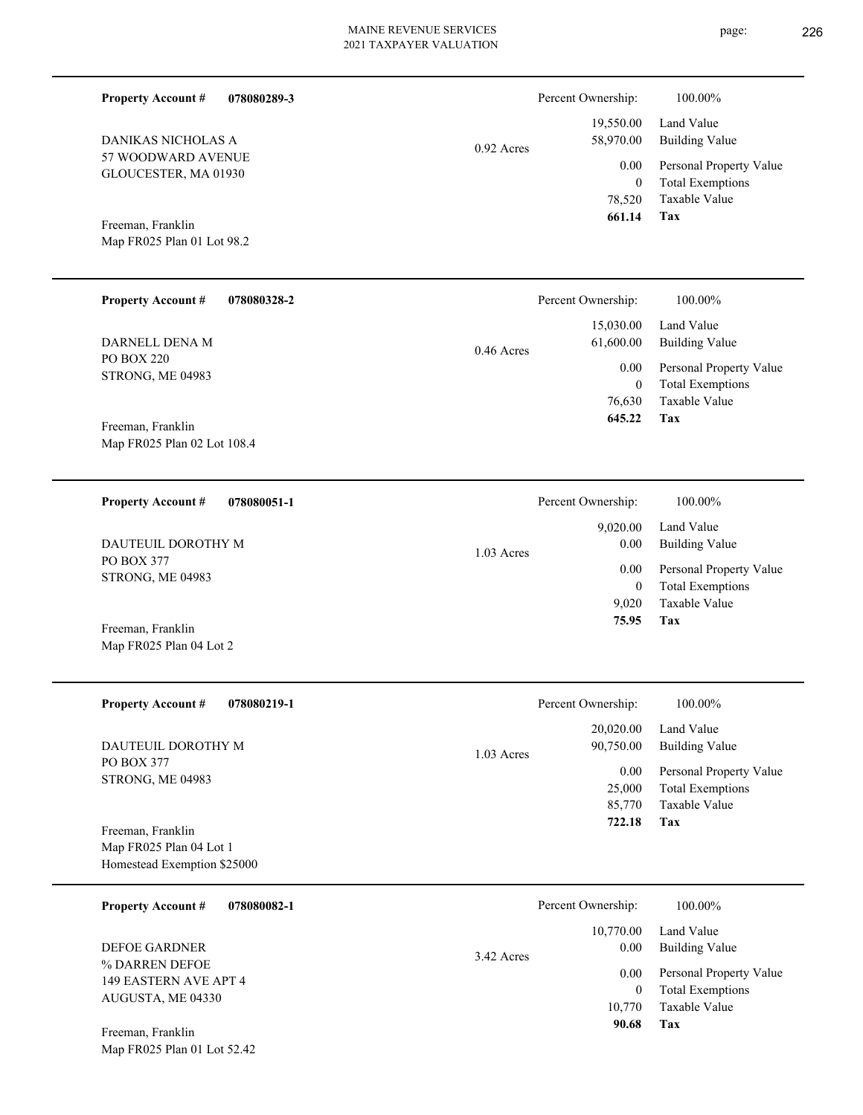**078080289-3**

57 WOODWARD AVENUE GLOUCESTER, MA 01930 DANIKAS NICHOLAS A

**Property Account #**

Map FR025 Plan 01 Lot 98.2 Freeman, Franklin

|       | Percent Ownership: | 100.00%                 |
|-------|--------------------|-------------------------|
|       |                    | 19,550.00 Land Value    |
| Acres | 58,970.00          | <b>Building Value</b>   |
|       | 0.00               | Personal Property Value |
|       | 0                  | <b>Total Exemptions</b> |
|       | 78.520             | Taxable Value           |
|       | 661.14             | Tax                     |

**Tax**

 9,020 0

 9,020.00 0.00 0.00

Percent Ownership:  $100.00\%$ 

 **75.95**

Taxable Value Total Exemptions Personal Property Value

Building Value Land Value

| <b>Property Account #</b>             | 078080328-2 |              | Percent Ownership:                 | 100.00%                                                             |
|---------------------------------------|-------------|--------------|------------------------------------|---------------------------------------------------------------------|
| DARNELL DENA M                        |             | $0.46$ Acres | 15,030.00<br>61,600.00             | Land Value<br>Building Value                                        |
| PO BOX 220<br><b>STRONG, ME 04983</b> |             |              | 0.00<br>$\boldsymbol{0}$<br>76.630 | Personal Property Value<br><b>Total Exemptions</b><br>Taxable Value |
| Freeman, Franklin                     |             |              | 645.22                             | Tax                                                                 |

0.92

1.03 Acres

Map FR025 Plan 02 Lot 108.4

**078080051-1 Property Account #**

PO BOX 377 STRONG, ME 04983 DAUTEUIL DOROTHY M

Map FR025 Plan 04 Lot 2 Freeman, Franklin

| <b>Property Account #</b><br>078080219-1                                                                                                                                                                                                                                                                       | Percent Ownership:                     | 100.00%                 |
|----------------------------------------------------------------------------------------------------------------------------------------------------------------------------------------------------------------------------------------------------------------------------------------------------------------|----------------------------------------|-------------------------|
|                                                                                                                                                                                                                                                                                                                | 20,020.00                              | Land Value              |
| DAUTEUIL DOROTHY M<br><b>PO BOX 377</b>                                                                                                                                                                                                                                                                        | 90,750.00<br>$1.03$ Acres              | <b>Building Value</b>   |
| <b>STRONG, ME 04983</b>                                                                                                                                                                                                                                                                                        | 0.00                                   | Personal Property Value |
|                                                                                                                                                                                                                                                                                                                | 25,000                                 | <b>Total Exemptions</b> |
|                                                                                                                                                                                                                                                                                                                | 85,770                                 | Taxable Value           |
| Freeman, Franklin                                                                                                                                                                                                                                                                                              | 722.18                                 | Tax                     |
| Map FR025 Plan 04 Lot 1                                                                                                                                                                                                                                                                                        |                                        |                         |
| Homestead Exemption \$25000                                                                                                                                                                                                                                                                                    |                                        |                         |
| $\mathbf{R}$ and $\mathbf{R}$ and $\mathbf{R}$ and $\mathbf{R}$ and $\mathbf{R}$ and $\mathbf{R}$ and $\mathbf{R}$ and $\mathbf{R}$ and $\mathbf{R}$ and $\mathbf{R}$ and $\mathbf{R}$ and $\mathbf{R}$ and $\mathbf{R}$ and $\mathbf{R}$ and $\mathbf{R}$ and $\mathbf{R}$ and $\mathbf{R}$ and<br>AROOQOOA 1 | $\mathbf{n}$ $\alpha$ $\alpha$ $\beta$ | 100000                  |

| 078080082-1<br><b>Property Account #</b> | Percent Ownership: | 100.00%                 |
|------------------------------------------|--------------------|-------------------------|
|                                          | 10,770.00          | Land Value              |
| <b>DEFOE GARDNER</b>                     | 0.00<br>3.42 Acres | <b>Building Value</b>   |
| % DARREN DEFOE<br>149 EASTERN AVE APT 4  | 0.00               | Personal Property Value |
| AUGUSTA, ME 04330                        | 0                  | <b>Total Exemptions</b> |
|                                          | 10.770             | Taxable Value           |
| Freeman, Franklin                        | 90.68              | Tax                     |
| Map FR025 Plan 01 Lot 52.42              |                    |                         |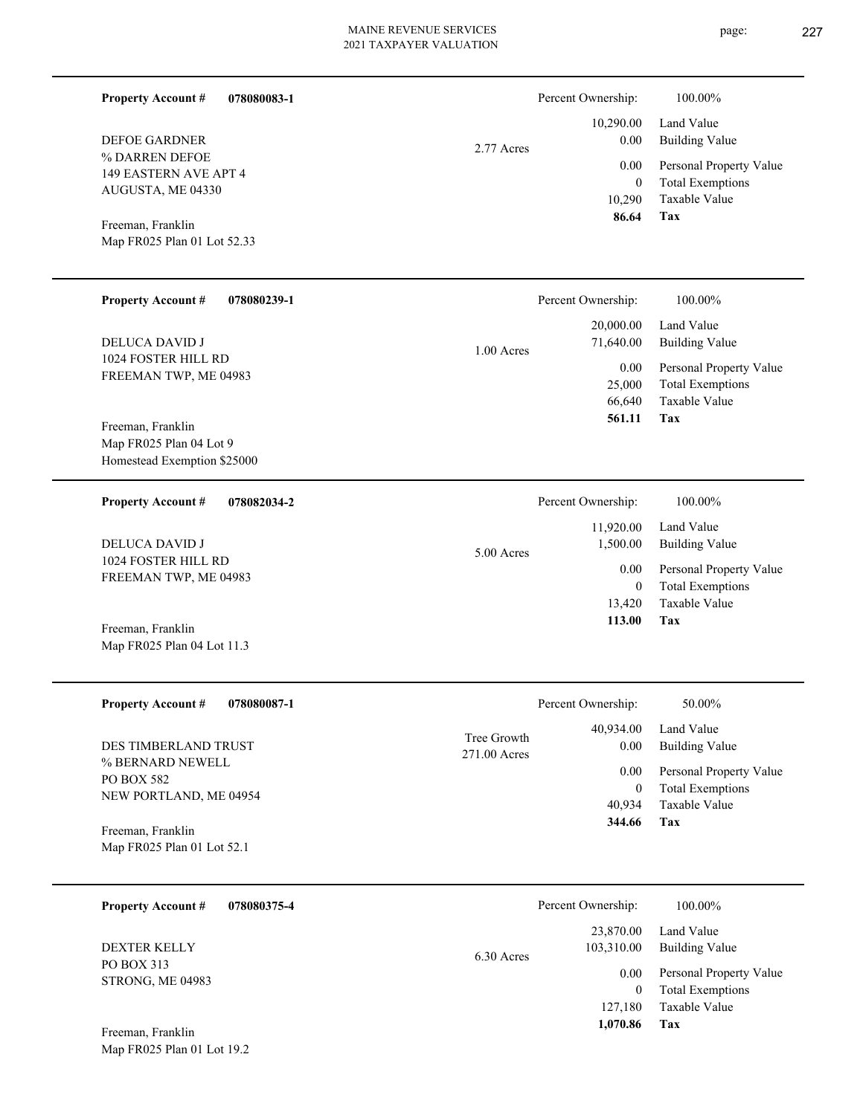page: 227

| 078080083-1<br><b>Property Account #</b>         |              | Percent Ownership:       | 100.00%                                            |
|--------------------------------------------------|--------------|--------------------------|----------------------------------------------------|
| <b>DEFOE GARDNER</b>                             | 2.77 Acres   | 10,290.00<br>0.00        | Land Value<br><b>Building Value</b>                |
| % DARREN DEFOE<br>149 EASTERN AVE APT 4          |              | 0.00                     | Personal Property Value                            |
| AUGUSTA, ME 04330                                |              | $\overline{0}$<br>10,290 | <b>Total Exemptions</b><br>Taxable Value           |
|                                                  |              | 86.64                    | Tax                                                |
| Freeman, Franklin<br>Map FR025 Plan 01 Lot 52.33 |              |                          |                                                    |
|                                                  |              |                          |                                                    |
| <b>Property Account #</b><br>078080239-1         |              | Percent Ownership:       | 100.00%                                            |
|                                                  |              | 20,000.00                | Land Value                                         |
| DELUCA DAVID J<br>1024 FOSTER HILL RD            | 1.00 Acres   | 71,640.00                | <b>Building Value</b>                              |
| FREEMAN TWP, ME 04983                            |              | 0.00<br>25,000           | Personal Property Value<br><b>Total Exemptions</b> |
|                                                  |              | 66,640                   | Taxable Value                                      |
| Freeman, Franklin                                |              | 561.11                   | Tax                                                |
| Map FR025 Plan 04 Lot 9                          |              |                          |                                                    |
| Homestead Exemption \$25000                      |              |                          |                                                    |
| <b>Property Account #</b><br>078082034-2         |              | Percent Ownership:       | 100.00%                                            |
|                                                  |              | 11,920.00                | Land Value                                         |
| <b>DELUCA DAVID J</b><br>1024 FOSTER HILL RD     | 5.00 Acres   | 1,500.00                 | <b>Building Value</b>                              |
| FREEMAN TWP, ME 04983                            |              | 0.00                     | Personal Property Value                            |
|                                                  |              | $\overline{0}$<br>13,420 | <b>Total Exemptions</b><br>Taxable Value           |
| Freeman, Franklin                                |              | 113.00                   | Tax                                                |
| Map FR025 Plan 04 Lot 11.3                       |              |                          |                                                    |
|                                                  |              |                          |                                                    |
| <b>Property Account #</b><br>078080087-1         |              | Percent Ownership:       | 50.00%                                             |
|                                                  | Tree Growth  | 40,934.00                | Land Value                                         |
| DES TIMBERLAND TRUST<br>% BERNARD NEWELL         | 271.00 Acres | 0.00                     | <b>Building Value</b>                              |
| PO BOX 582                                       |              | 0.00<br>$\overline{0}$   | Personal Property Value<br><b>Total Exemptions</b> |
| NEW PORTLAND, ME 04954                           |              | 40,934                   | Taxable Value                                      |
| Freeman, Franklin                                |              | 344.66                   | Tax                                                |
| Map FR025 Plan 01 Lot 52.1                       |              |                          |                                                    |
|                                                  |              |                          |                                                    |
| <b>Property Account #</b><br>078080375-4         |              | Percent Ownership:       | 100.00%                                            |
| DEXTER KELLY                                     | 6.30 Acres   | 23,870.00<br>103,310.00  | Land Value<br><b>Building Value</b>                |
| PO BOX 313                                       |              | 0.00                     | Personal Property Value                            |
| STRONG, ME 04983                                 |              | $\mathbf{0}$             | <b>Total Exemptions</b>                            |
|                                                  |              | 127,180                  | Taxable Value                                      |
| Freeman, Franklin                                |              | 1,070.86                 | <b>Tax</b>                                         |

Map FR025 Plan 01 Lot 19.2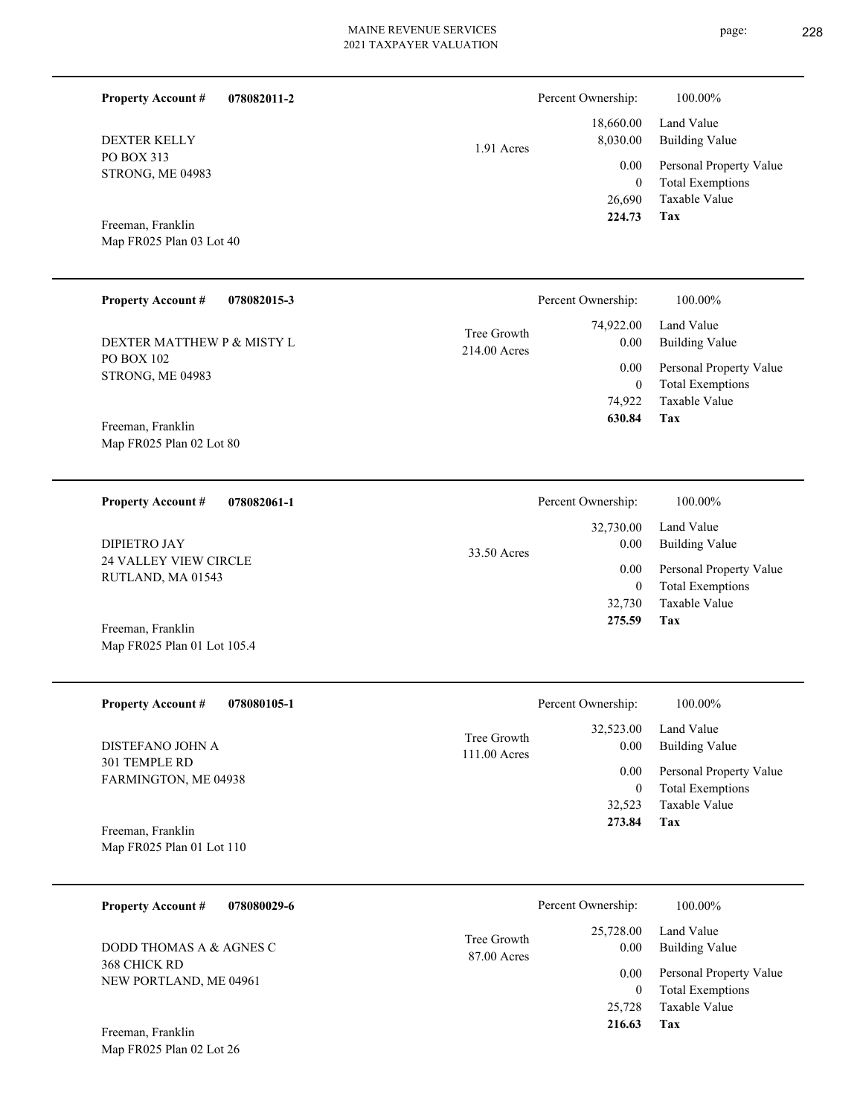1.91 Acres

STRONG, ME 04983

| <b>Property Account #</b><br>078082015-3          | 100.00%<br>Percent Ownership:                                                           |  |
|---------------------------------------------------|-----------------------------------------------------------------------------------------|--|
| DEXTER MATTHEW P & MISTY L<br>PO BOX 102          | 74,922.00<br>Land Value<br>Tree Growth<br>0.00<br><b>Building Value</b><br>214.00 Acres |  |
| STRONG, ME 04983                                  | 0.00<br>Personal Property Value                                                         |  |
|                                                   | $\mathbf{0}$<br><b>Total Exemptions</b>                                                 |  |
|                                                   | Taxable Value<br>74,922                                                                 |  |
| Freeman, Franklin<br>Map FR025 Plan 02 Lot 80     | Tax<br>630.84                                                                           |  |
| <b>Property Account #</b><br>078082061-1          | 100.00%<br>Percent Ownership:                                                           |  |
|                                                   | 32,730.00<br>Land Value                                                                 |  |
| <b>DIPIETRO JAY</b>                               | 0.00<br><b>Building Value</b><br>33.50 Acres                                            |  |
| <b>24 VALLEY VIEW CIRCLE</b><br>RUTLAND, MA 01543 | 0.00<br>Personal Property Value                                                         |  |
|                                                   | m 1 m 1                                                                                 |  |

Map FR025 Plan 01 Lot 105.4 Freeman, Franklin

| <b>Property Account #</b><br>078080105-1       | Percent Ownership:                               | 100.00%                                            |
|------------------------------------------------|--------------------------------------------------|----------------------------------------------------|
| DISTEFANO JOHN A                               | 32,523.00<br>Tree Growth<br>0.00<br>111.00 Acres | Land Value<br>Building Value                       |
| 301 TEMPLE RD<br>FARMINGTON, ME 04938          | 0.00<br>0                                        | Personal Property Value<br><b>Total Exemptions</b> |
|                                                | 32,523                                           | Taxable Value                                      |
| Freeman, Franklin<br>Map FR025 Plan 01 Lot 110 | 273.84                                           | Tax                                                |

| 078080029-6<br><b>Property Account #</b> | Percent Ownership:                              | 100.00%                      |
|------------------------------------------|-------------------------------------------------|------------------------------|
| DODD THOMAS A & AGNES C<br>368 CHICK RD  | 25,728.00<br>Tree Growth<br>0.00<br>87.00 Acres | Land Value<br>Building Value |
|                                          | 0.00                                            | Personal Property Value      |
| NEW PORTLAND, ME 04961                   |                                                 | <b>Total Exemptions</b>      |
|                                          | 25,728                                          | Taxable Value                |
| Freeman, Franklin                        | 216.63                                          | Tax                          |

DEXTER KELLY

**Property Account #**

PO BOX 313

Map FR025 Plan 03 Lot 40 Freeman, Franklin

**078082011-2**

Map FR025 Plan 02 Lot 26

page: 228

**Tax**

**Tax**

 32,730  **275.59**

Taxable Value 0 Total Exemptions

 26,690 0

 18,660.00 8,030.00 0.00

Percent Ownership:  $100.00\%$ 

 **224.73**

Taxable Value Total Exemptions Personal Property Value

Building Value Land Value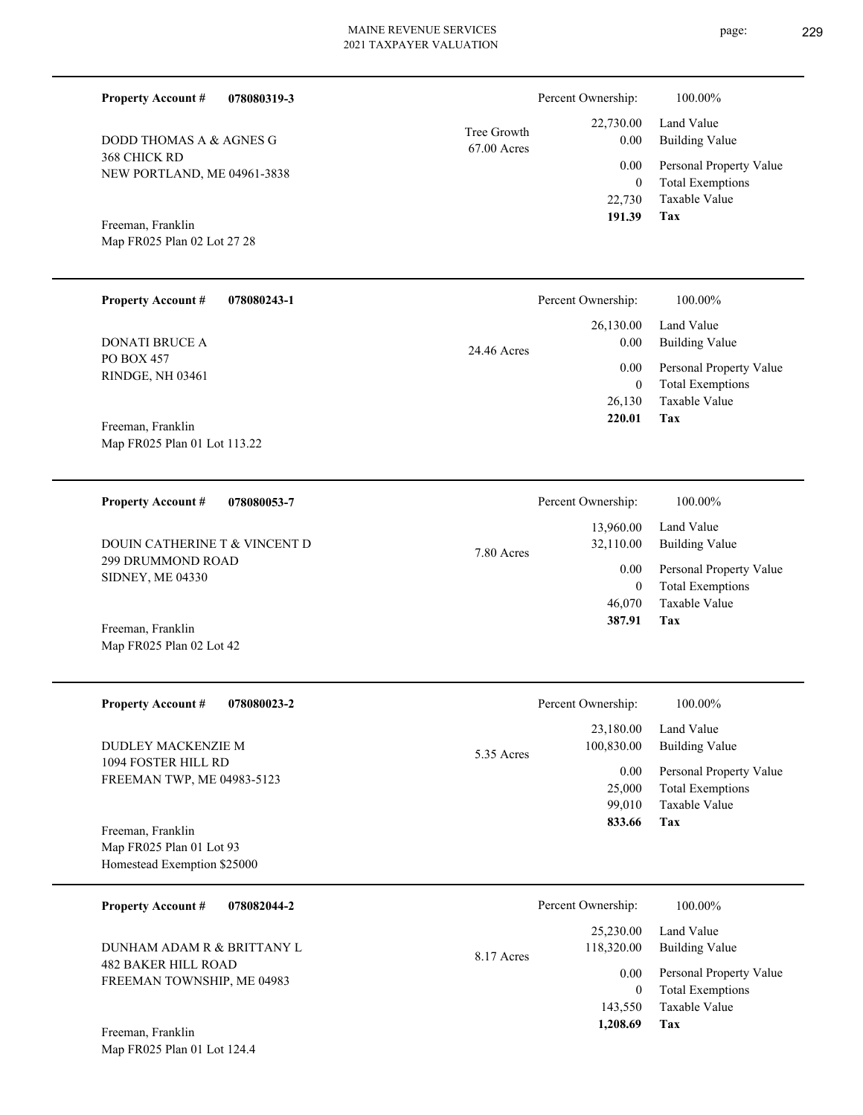| 078080319-3 |               |
|-------------|---------------|
| AGNES G     | Tree Growth   |
|             | $67.00$ Acres |

368 CHICK RD NEW PORTLAND, ME 04961-3838 DODD THOMAS A  $\&$ 

Map FR025 Plan 02 Lot 27 28 Freeman, Franklin

**Property Account #**

| <b>Property Account #</b>                         | 078080243-1 | Percent Ownership:  | 100.00%                                                        |
|---------------------------------------------------|-------------|---------------------|----------------------------------------------------------------|
| <b>DONATI BRUCE A</b>                             |             | 26,130.00<br>0.00   | Land Value<br>Building Value                                   |
| PO BOX 457<br>RINDGE, NH 03461                    |             | 24.46 Acres<br>0.00 | Personal Property Value<br><b>Total Exemptions</b><br>$\theta$ |
|                                                   |             | 26,130              | Taxable Value                                                  |
| Freeman, Franklin<br>Map FR025 Plan 01 Lot 113.22 |             | 220.01              | Tax                                                            |

| 078080053-7<br><b>Property Account #</b>     | Percent Ownership:                   | 100.00%                                            |
|----------------------------------------------|--------------------------------------|----------------------------------------------------|
| DOUIN CATHERINE T & VINCENT D                | 13,960.00<br>32,110.00<br>7.80 Acres | Land Value<br>Building Value                       |
| 299 DRUMMOND ROAD<br><b>SIDNEY, ME 04330</b> | 0.00<br>0                            | Personal Property Value<br><b>Total Exemptions</b> |
| Freeman, Franklin                            | 46,070<br>387.91                     | Taxable Value<br>Tax                               |

| <b>Property Account #</b><br>078080023-2  | Percent Ownership:       | 100.00%                 |
|-------------------------------------------|--------------------------|-------------------------|
|                                           | 23,180.00                | Land Value              |
| DUDLEY MACKENZIE M<br>1094 FOSTER HILL RD | 100,830.00<br>5.35 Acres | Building Value          |
| FREEMAN TWP, ME 04983-5123                | 0.00                     | Personal Property Value |
|                                           | 25,000                   | <b>Total Exemptions</b> |
|                                           | 99,010                   | Taxable Value           |
| Freeman, Franklin                         | 833.66                   | Tax                     |
| Map FR025 Plan 01 Lot 93                  |                          |                         |
| Homestead Exemption \$25000               |                          |                         |

| <b>Property Account #</b><br>078082044-2                 | Percent Ownership:                    | 100.00%                             |
|----------------------------------------------------------|---------------------------------------|-------------------------------------|
| DUNHAM ADAM R & BRITTANY L<br><b>482 BAKER HILL ROAD</b> | 25,230.00<br>118,320.00<br>8.17 Acres | Land Value<br><b>Building Value</b> |
| FREEMAN TOWNSHIP, ME 04983                               | 0.00                                  | Personal Property Value             |
|                                                          | $\theta$                              | <b>Total Exemptions</b>             |
|                                                          | 143,550                               | Taxable Value                       |
| Freeman, Franklin                                        | 1,208.69                              | Tax                                 |

Map FR025 Plan 01 Lot 124.4

Map FR025 Plan 02 Lot 42

**Tax**

 22,730 0

 22,730.00 0.00 0.00

Percent Ownership:  $100.00\%$ 

 **191.39**

Taxable Value Total Exemptions Personal Property Value

Building Value Land Value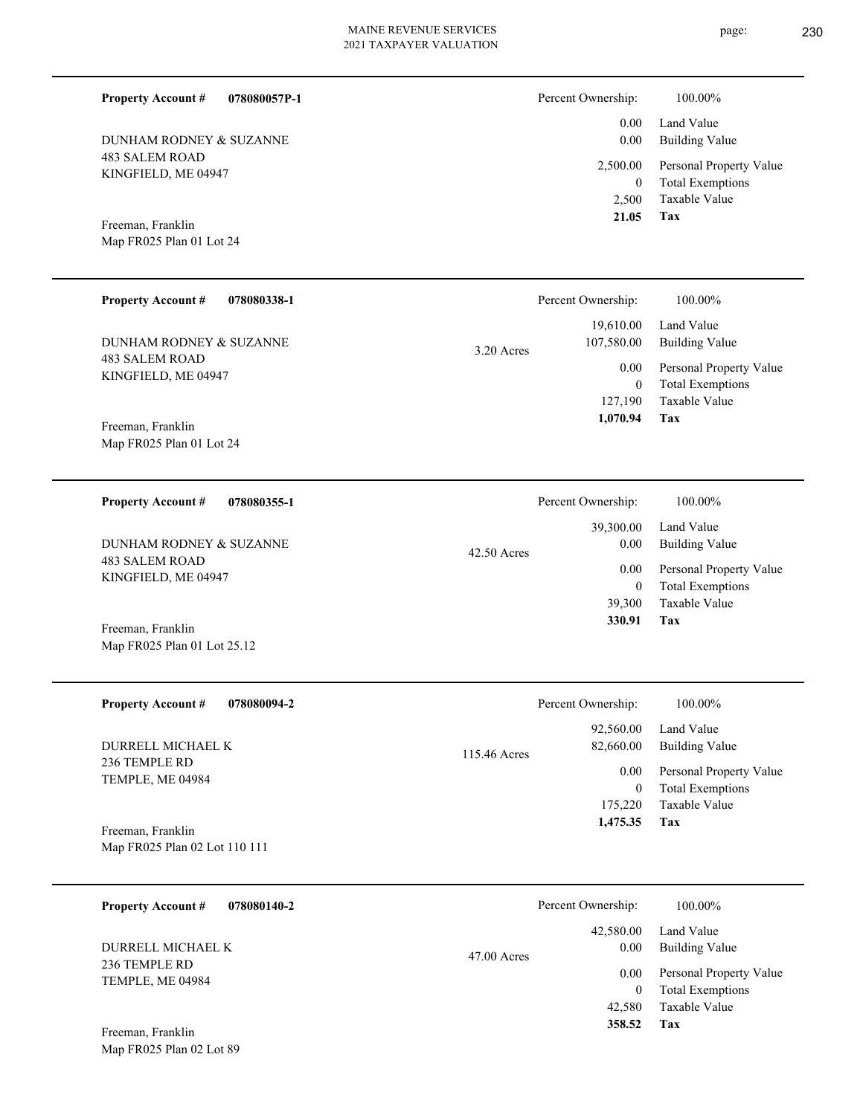**078080057P-1**

483 SALEM ROAD KINGFIELD, ME 04947 DUNHAM RODNEY & SUZANNE

**078080338-1**

Map FR025 Plan 01 Lot 24 Freeman, Franklin

**Property Account #**

| Percent Ownership: | 100.00%                           |
|--------------------|-----------------------------------|
| $0.00\,$           | 0.00 Land Value<br>Building Value |
|                    | 2,500.00 Personal Property Value  |
| 0                  | <b>Total Exemptions</b>           |
|                    | 2,500 Taxable Value               |

**Tax**

 **21.05**

|              | Percent Ownership: | 100.00%                 |
|--------------|--------------------|-------------------------|
|              | 19,610.00          | Land Value              |
| $3.20$ Acres | 107,580.00         | <b>Building Value</b>   |
|              | 0.00               | Personal Property Value |
|              | 0                  | <b>Total Exemptions</b> |
|              | 127,190            | Taxable Value           |
|              | 1,070.94           | Tax                     |

Map FR025 Plan 01 Lot 24 Freeman, Franklin

483 SALEM ROAD KINGFIELD, ME 04947

**Property Account #**

**078080355-1 Property Account #**

DUNHAM RODNEY & SUZANNE

483 SALEM ROAD KINGFIELD, ME 04947 DUNHAM RODNEY & SUZANNE

Map FR025 Plan 01 Lot 25.12 Freeman, Franklin

| <b>Property Account #</b><br>078080094-2 | Percent Ownership:        | 100.00%                                  |
|------------------------------------------|---------------------------|------------------------------------------|
| DURRELL MICHAEL K                        | 92,560.00<br>82,660.00    | Land Value<br><b>Building Value</b>      |
| 236 TEMPLE RD<br>TEMPLE, ME 04984        | 115.46 Acres<br>0.00      | Personal Property Value                  |
|                                          | $\overline{0}$<br>175,220 | <b>Total Exemptions</b><br>Taxable Value |
| Freeman, Franklin                        | 1,475.35                  | Tax                                      |
| Map FR025 Plan 02 Lot 110 111            |                           |                                          |

42.50 Acres

| 078080140-2<br><b>Property Account #</b>               | Percent Ownership:                 | 100.00%                                            |
|--------------------------------------------------------|------------------------------------|----------------------------------------------------|
| DURRELL MICHAEL K<br>236 TEMPLE RD<br>TEMPLE, ME 04984 | 42,580.00<br>0.00<br>$47.00$ Acres | Land Value<br><b>Building Value</b>                |
|                                                        | 0.00                               | Personal Property Value<br><b>Total Exemptions</b> |
|                                                        | 42,580                             | Taxable Value                                      |
| Freeman, Franklin                                      | 358.52                             | Tax                                                |

page: 230

Percent Ownership:  $100.00\%$ 

|          | 39,300.00 Land Value         |
|----------|------------------------------|
| $0.00\,$ | <b>Building Value</b>        |
|          | 0.00 Personal Property Value |
| 0        | <b>Total Exemptions</b>      |
| 39,300   | Taxable Value                |
| 330.91   | Тях                          |

| <b>Property Account #</b> | 078080140-2 |
|---------------------------|-------------|
|                           |             |

Map FR025 Plan 02 Lot 89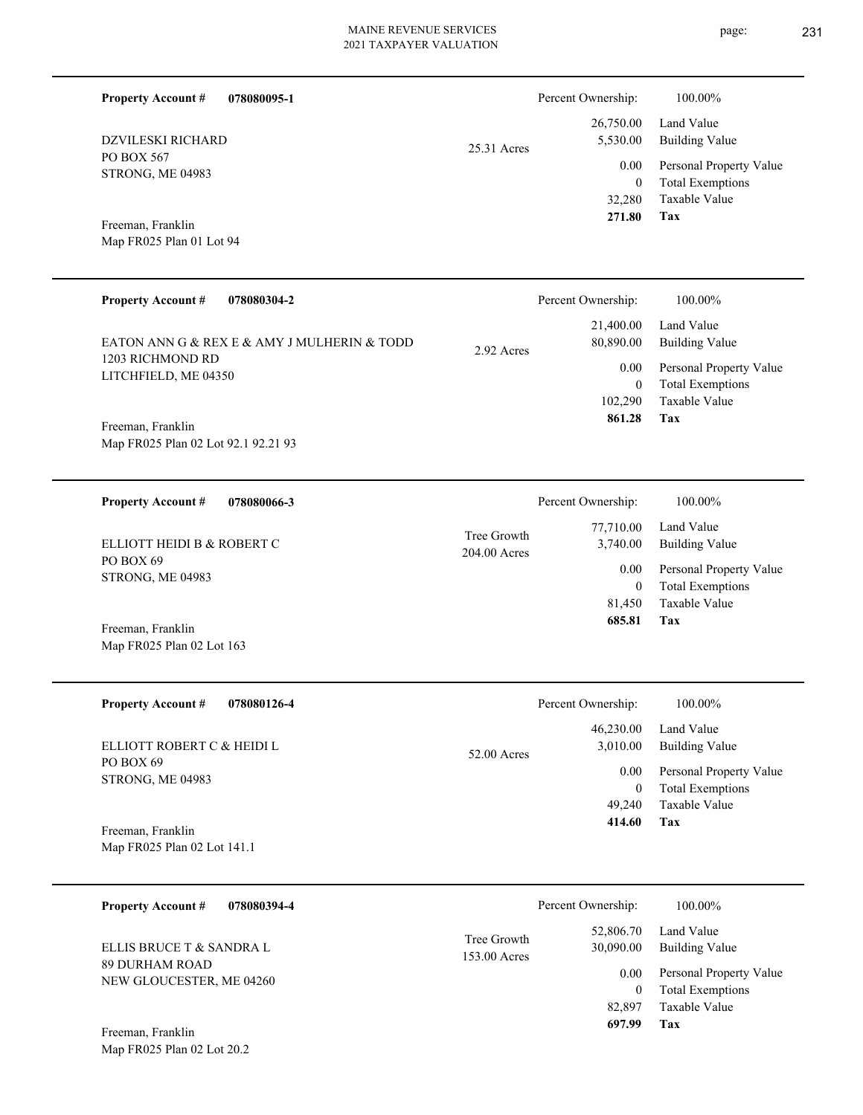| <b>Property Account #</b><br>078080095-1                        |                             | Percent Ownership:                                | 100.00%                                                                                   |
|-----------------------------------------------------------------|-----------------------------|---------------------------------------------------|-------------------------------------------------------------------------------------------|
| <b>DZVILESKI RICHARD</b><br>PO BOX 567<br>STRONG, ME 04983      | 25.31 Acres                 | 26,750.00<br>5,530.00<br>0.00<br>$\boldsymbol{0}$ | Land Value<br><b>Building Value</b><br>Personal Property Value<br><b>Total Exemptions</b> |
| Freeman, Franklin<br>Map FR025 Plan 01 Lot 94                   |                             | 32,280<br>271.80                                  | Taxable Value<br>Tax                                                                      |
| <b>Property Account #</b><br>078080304-2                        |                             | Percent Ownership:                                | 100.00%                                                                                   |
| EATON ANN G & REX E & AMY J MULHERIN & TODD<br>1203 RICHMOND RD | 2.92 Acres                  | 21,400.00<br>80,890.00                            | Land Value<br><b>Building Value</b>                                                       |
| LITCHFIELD, ME 04350<br>Freeman, Franklin                       |                             | 0.00<br>$\boldsymbol{0}$<br>102,290<br>861.28     | Personal Property Value<br><b>Total Exemptions</b><br><b>Taxable Value</b><br>Tax         |
| Map FR025 Plan 02 Lot 92.1 92.21 93                             |                             |                                                   |                                                                                           |
| 078080066-3<br><b>Property Account #</b>                        |                             | Percent Ownership:                                | 100.00%                                                                                   |
| ELLIOTT HEIDI B & ROBERT C                                      | Tree Growth<br>204.00 Acres | 77,710.00<br>3,740.00                             | Land Value<br><b>Building Value</b>                                                       |
| PO BOX 69<br>STRONG, ME 04983                                   |                             | 0.00<br>$\mathbf{0}$<br>81,450<br>685.81          | Personal Property Value<br><b>Total Exemptions</b><br>Taxable Value<br>Tax                |
| Freeman, Franklin<br>Map FR025 Plan 02 Lot 163                  |                             |                                                   |                                                                                           |
| <b>Property Account #</b><br>078080126-4                        |                             | Percent Ownership:                                | 100.00%                                                                                   |
| ELLIOTT ROBERT C & HEIDI L                                      | 52.00 Acres                 | 46,230.00<br>3,010.00                             | Land Value<br><b>Building Value</b>                                                       |
| PO BOX 69<br>STRONG, ME 04983                                   |                             | 0.00<br>$\bf{0}$<br>49,240                        | Personal Property Value<br><b>Total Exemptions</b><br>Taxable Value                       |
| Freeman, Franklin<br>Map FR025 Plan 02 Lot 141.1                |                             | 414.60                                            | Tax                                                                                       |
| <b>Property Account #</b><br>078080394-4                        |                             | Percent Ownership:                                | 100.00%                                                                                   |
| ELLIS BRUCE T & SANDRA L                                        | Tree Growth<br>153.00 Acres | 52,806.70<br>30,090.00                            | Land Value<br><b>Building Value</b>                                                       |
| 89 DURHAM ROAD<br>NEW GLOUCESTER, ME 04260<br>Freeman, Franklin |                             | 0.00<br>$\boldsymbol{0}$<br>82,897<br>697.99      | Personal Property Value<br><b>Total Exemptions</b><br>Taxable Value<br>Tax                |
| Map FR025 Plan 02 Lot 20.2                                      |                             |                                                   |                                                                                           |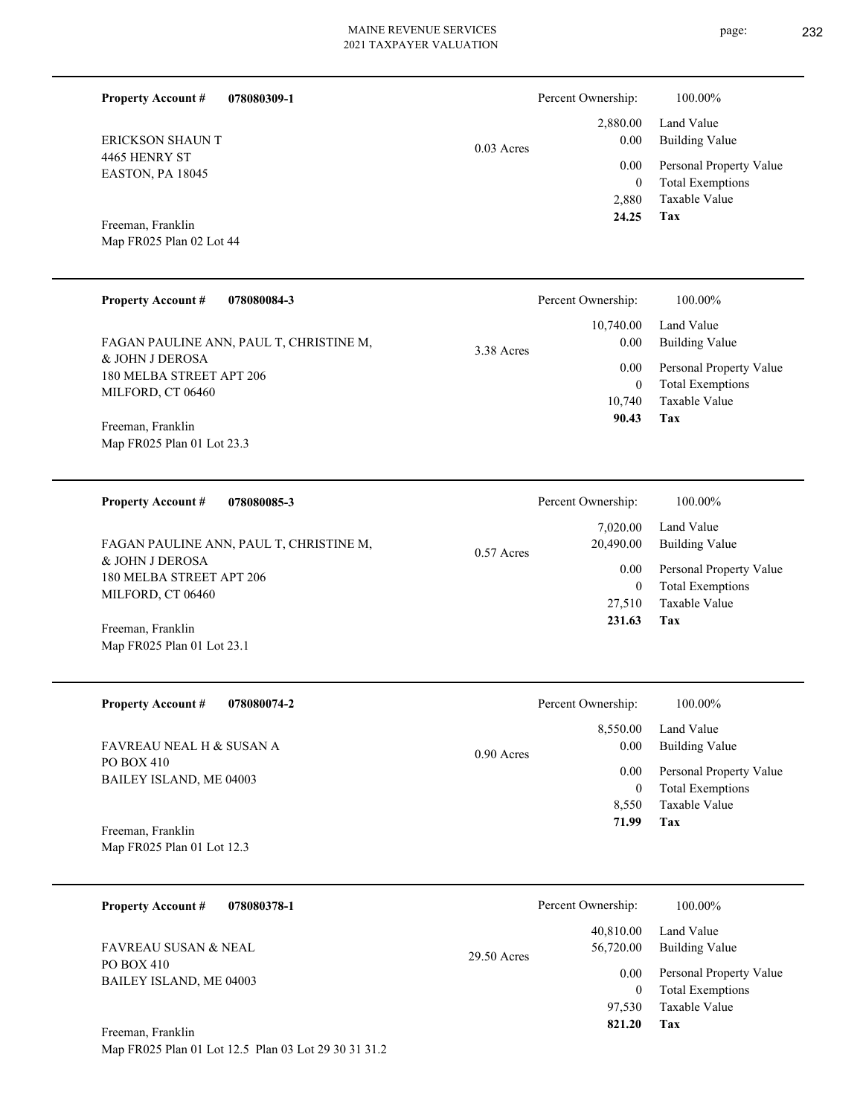|              | Percent Ownership: | 100.00%                 |
|--------------|--------------------|-------------------------|
|              |                    | 2,880.00 Land Value     |
| $0.03$ Acres | 0.00               | <b>Building Value</b>   |
|              | 0.00               | Personal Property Value |
|              | 0                  | <b>Total Exemptions</b> |
|              | 2,880              | Taxable Value           |
|              | 24.25              | Tax                     |

**Tax**

 27,510 0

0.00

 **231.63**

Taxable Value Total Exemptions Personal Property Value

4465 HENRY ST EASTON, PA 18045 ERICKSON SHAUN T

**Property Account #**

**078080309-1**

Map FR025 Plan 02 Lot 44 Freeman, Franklin

| <b>Property Account #</b><br>078080084-3                                                                    | Percent Ownership:                                                         | 100.00%                                                                                                           |
|-------------------------------------------------------------------------------------------------------------|----------------------------------------------------------------------------|-------------------------------------------------------------------------------------------------------------------|
| FAGAN PAULINE ANN, PAUL T, CHRISTINE M,<br>& JOHN J DEROSA<br>180 MELBA STREET APT 206<br>MILFORD, CT 06460 | 10,740.00<br>0.00<br>3.38 Acres<br>0.00<br>$\mathbf{0}$<br>10.740<br>90.43 | Land Value<br><b>Building Value</b><br>Personal Property Value<br><b>Total Exemptions</b><br>Taxable Value<br>Tax |
| Freeman, Franklin<br>Map FR025 Plan 01 Lot 23.3                                                             |                                                                            |                                                                                                                   |
| <b>Property Account #</b><br>078080085-3                                                                    | Percent Ownership:                                                         | 100.00%                                                                                                           |
| FAGAN PAULINE ANN, PAUL T, CHRISTINE M,<br>$\alpha$ rather than $\alpha \alpha$ .                           | 7,020.00<br>20,490.00<br>$0.57$ Acres                                      | Land Value<br><b>Building Value</b>                                                                               |

& JOHN J DEROSA 180 MELBA STREET APT 206 MILFORD, CT 06460

Map FR025 Plan 01 Lot 23.1 Freeman, Franklin

| <b>Property Account #</b><br>078080074-2 | Percent Ownership:   | 100.00%                 |
|------------------------------------------|----------------------|-------------------------|
|                                          | 8.550.00             | Land Value              |
| FAVREAU NEAL H & SUSAN A                 | 0.00<br>$0.90$ Acres | Building Value          |
| PO BOX 410<br>BAILEY ISLAND, ME 04003    | 0.00                 | Personal Property Value |
|                                          | $\bf{0}$             | <b>Total Exemptions</b> |
|                                          | 8.550                | Taxable Value           |
| Freeman, Franklin                        | 71.99                | Tax                     |
| Map FR025 Plan 01 Lot 12.3               |                      |                         |

| 078080378-1<br><b>Property Account #</b> | Percent Ownership:                    | 100.00%                                            |
|------------------------------------------|---------------------------------------|----------------------------------------------------|
| FAVREAU SUSAN & NEAL<br>PO BOX 410       | 40,810.00<br>56,720.00<br>29.50 Acres | Land Value<br><b>Building Value</b>                |
| BAILEY ISLAND, ME 04003                  | 0.00<br>$\mathbf{0}$                  | Personal Property Value<br><b>Total Exemptions</b> |
| Freeman, Franklin                        | 97.530<br>821.20                      | Taxable Value<br>Tax                               |

Map FR025 Plan 01 Lot 12.5 Plan 03 Lot 29 30 31 31.2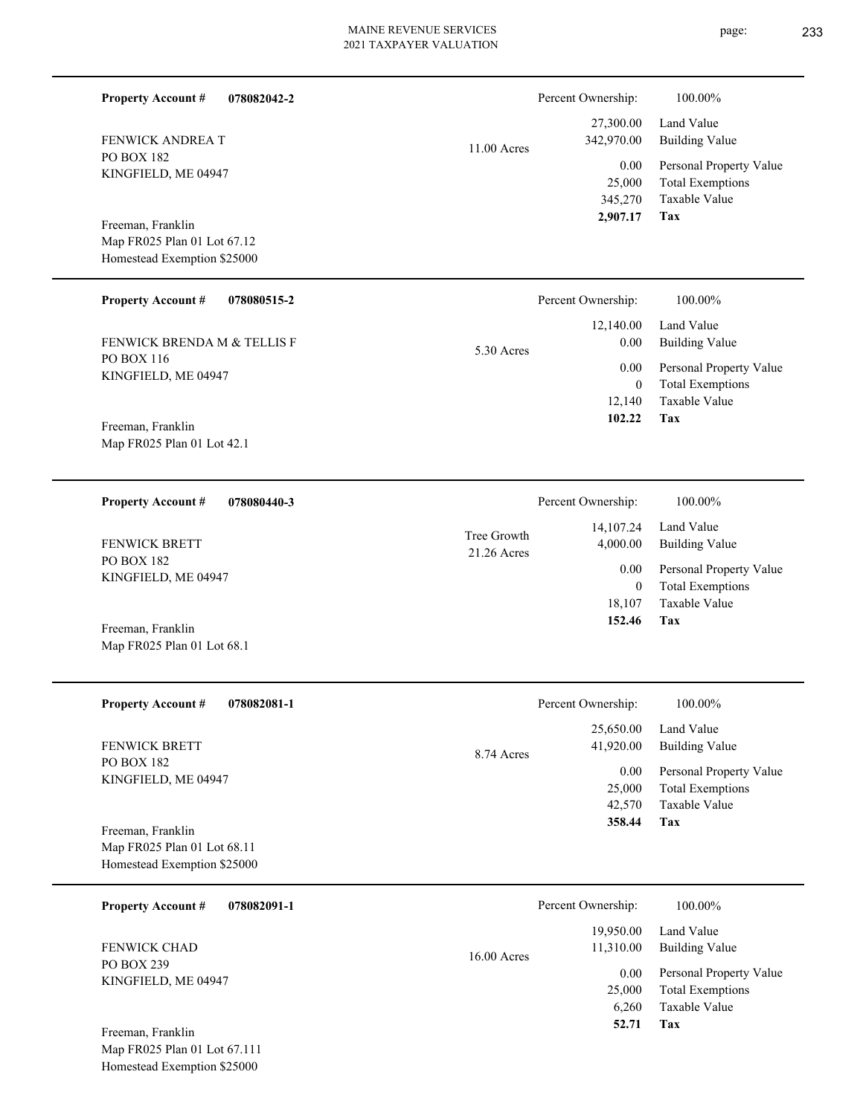| <b>Property Account #</b><br>078082042-2<br>FENWICK ANDREA T<br><b>PO BOX 182</b><br>KINGFIELD, ME 04947<br>Freeman, Franklin<br>Map FR025 Plan 01 Lot 67.12<br>Homestead Exemption \$25000 | $11.00$ Acres              | Percent Ownership:<br>27,300.00<br>342,970.00<br>0.00<br>25,000<br>345,270<br>2,907.17      | 100.00%<br>Land Value<br><b>Building Value</b><br>Personal Property Value<br><b>Total Exemptions</b><br>Taxable Value<br>Tax |
|---------------------------------------------------------------------------------------------------------------------------------------------------------------------------------------------|----------------------------|---------------------------------------------------------------------------------------------|------------------------------------------------------------------------------------------------------------------------------|
| <b>Property Account #</b><br>078080515-2<br><b>FENWICK BRENDA M &amp; TELLIS F</b><br>PO BOX 116<br>KINGFIELD, ME 04947<br>Freeman, Franklin<br>Map FR025 Plan 01 Lot 42.1                  | 5.30 Acres                 | Percent Ownership:<br>12,140.00<br>0.00<br>0.00<br>$\boldsymbol{0}$<br>12,140<br>102.22     | 100.00%<br>Land Value<br><b>Building Value</b><br>Personal Property Value<br><b>Total Exemptions</b><br>Taxable Value<br>Tax |
| <b>Property Account #</b><br>078080440-3<br>FENWICK BRETT<br>PO BOX 182<br>KINGFIELD, ME 04947<br>Freeman, Franklin<br>Map FR025 Plan 01 Lot 68.1                                           | Tree Growth<br>21.26 Acres | Percent Ownership:<br>14,107.24<br>4,000.00<br>0.00<br>$\boldsymbol{0}$<br>18,107<br>152.46 | 100.00%<br>Land Value<br><b>Building Value</b><br>Personal Property Value<br><b>Total Exemptions</b><br>Taxable Value<br>Tax |
| <b>Property Account#</b><br>078082081-1<br>FENWICK BRETT<br>PO BOX 182<br>KINGFIELD, ME 04947<br>Freeman, Franklin<br>Map FR025 Plan 01 Lot 68.11<br>Homestead Exemption \$25000            | 8.74 Acres                 | Percent Ownership:<br>25,650.00<br>41,920.00<br>0.00<br>25,000<br>42,570<br>358.44          | 100.00%<br>Land Value<br><b>Building Value</b><br>Personal Property Value<br><b>Total Exemptions</b><br>Taxable Value<br>Tax |
| <b>Property Account #</b><br>078082091-1<br><b>FENWICK CHAD</b><br>PO BOX 239<br>KINGFIELD, ME 04947<br>Freeman, Franklin<br>Map FR025 Plan 01 Lot 67.111<br>Homestead Exemption \$25000    | 16.00 Acres                | Percent Ownership:<br>19,950.00<br>11,310.00<br>0.00<br>25,000<br>6,260<br>52.71            | 100.00%<br>Land Value<br><b>Building Value</b><br>Personal Property Value<br><b>Total Exemptions</b><br>Taxable Value<br>Tax |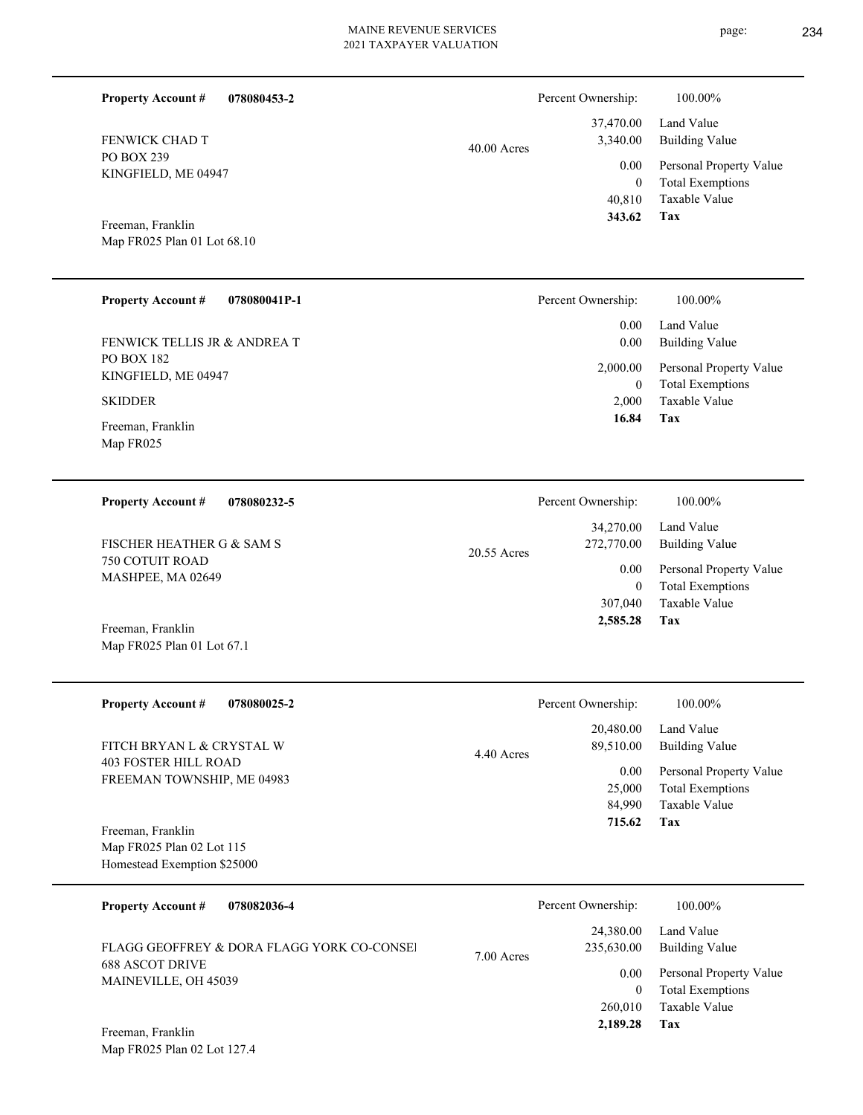37,470.00 Percent Ownership:  $100.00\%$ 

40.00 Acres

| 343.62   | Tax                     |
|----------|-------------------------|
|          | 40,810 Taxable Value    |
| $\theta$ | <b>Total Exemptions</b> |
| 0.00     | Personal Property Value |
| 3,340.00 | Building Value          |
|          | 37,470.00 Land Value    |

Map FR025 Plan 01 Lot 68.10 Freeman, Franklin

Map FR025 Plan 01 Lot 67.1

KINGFIELD, ME 04947

**Property Account #**

FENWICK CHAD T

PO BOX 239

**078080453-2**

| Percent Ownership:       | 100.00%                                            |
|--------------------------|----------------------------------------------------|
| 0.00                     | Land Value                                         |
| 0.00                     | <b>Building Value</b>                              |
| 2,000.00<br>$\mathbf{0}$ | Personal Property Value<br><b>Total Exemptions</b> |
| 2.000                    | Taxable Value                                      |
| 16.84                    | Tax                                                |
|                          |                                                    |

| 078080232-5<br><b>Property Account #</b> | Percent Ownership:                     | 100.00%                      |
|------------------------------------------|----------------------------------------|------------------------------|
| FISCHER HEATHER G & SAM S                | 34,270.00<br>272,770.00<br>20.55 Acres | Land Value<br>Building Value |
| 750 COTUIT ROAD<br>MASHPEE, MA 02649     | 0.00                                   | Personal Property Value      |
|                                          | $\theta$                               | <b>Total Exemptions</b>      |
|                                          | 307,040                                | Taxable Value                |
| Freeman, Franklin                        | 2,585.28                               | Tax                          |

| <b>Property Account #</b><br>078080025-2 | Percent Ownership:              | 100.00%                                   |
|------------------------------------------|---------------------------------|-------------------------------------------|
| FITCH BRYAN L & CRYSTAL W                | 20,480.00                       | Land Value                                |
| <b>403 FOSTER HILL ROAD</b>              | 89,510.00<br>4.40 Acres<br>0.00 | Building Value<br>Personal Property Value |
| FREEMAN TOWNSHIP, ME 04983               | 25,000                          | <b>Total Exemptions</b>                   |
|                                          | 84,990                          | Taxable Value                             |
| Freeman, Franklin                        | 715.62                          | Tax                                       |
| Map FR025 Plan 02 Lot 115                |                                 |                                           |
| Homestead Exemption \$25000              |                                 |                                           |

| <b>Property Account #</b><br>078082036-4       | Percent Ownership:                      | 100.00%                                            |
|------------------------------------------------|-----------------------------------------|----------------------------------------------------|
| FLAGG GEOFFREY & DORA FLAGG YORK CO-CONSEL     | 24,380.00<br>235,630.00<br>$7.00$ Acres | Land Value<br><b>Building Value</b>                |
| <b>688 ASCOT DRIVE</b><br>MAINEVILLE, OH 45039 | 0.00                                    | Personal Property Value<br><b>Total Exemptions</b> |
|                                                | 260,010                                 | Taxable Value                                      |
| $E$ rooman $E$ ranklin                         | 2,189.28                                | Tax                                                |

Map FR025 Plan 02 Lot 127.4 Freeman, Franklin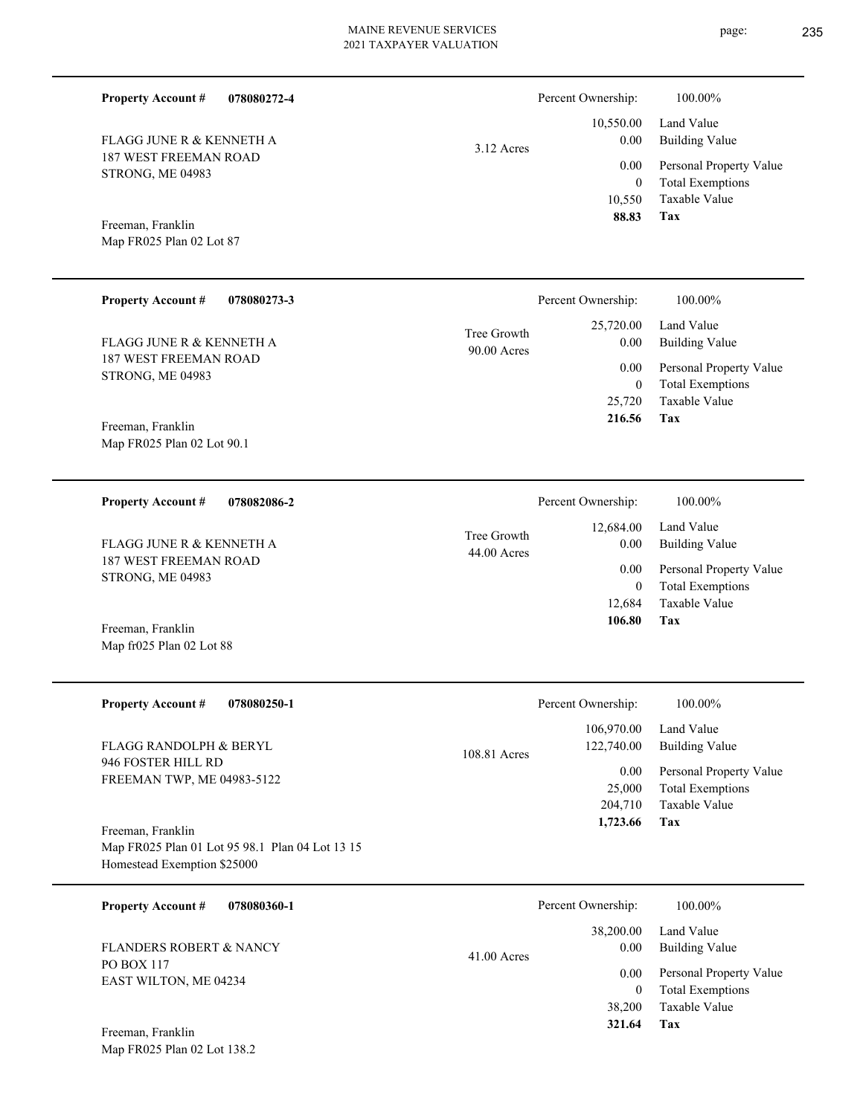page: 235

| <b>Property Account #</b><br>078080272-4                                                            |                            | Percent Ownership:                      | 100.00%                                                                    |
|-----------------------------------------------------------------------------------------------------|----------------------------|-----------------------------------------|----------------------------------------------------------------------------|
| FLAGG JUNE R & KENNETH A                                                                            | $3.12$ Acres               | 10,550.00<br>0.00                       | Land Value<br><b>Building Value</b>                                        |
| 187 WEST FREEMAN ROAD<br>STRONG, ME 04983                                                           |                            | 0.00<br>$\mathbf{0}$<br>10,550<br>88.83 | Personal Property Value<br><b>Total Exemptions</b><br>Taxable Value<br>Tax |
| Freeman, Franklin<br>Map FR025 Plan 02 Lot 87                                                       |                            |                                         |                                                                            |
| <b>Property Account #</b><br>078080273-3                                                            |                            | Percent Ownership:                      | 100.00%                                                                    |
| <b>FLAGG JUNE R &amp; KENNETH A</b>                                                                 | Tree Growth<br>90.00 Acres | 25,720.00<br>0.00                       | Land Value<br><b>Building Value</b>                                        |
| <b>187 WEST FREEMAN ROAD</b><br>STRONG, ME 04983                                                    |                            | 0.00<br>$\bf{0}$<br>25,720              | Personal Property Value<br><b>Total Exemptions</b><br>Taxable Value        |
| Freeman, Franklin<br>Map FR025 Plan 02 Lot 90.1                                                     |                            | 216.56                                  | Tax                                                                        |
| <b>Property Account #</b><br>078082086-2                                                            |                            | Percent Ownership:                      | 100.00%                                                                    |
| FLAGG JUNE R & KENNETH A                                                                            | Tree Growth<br>44.00 Acres | 12,684.00<br>0.00                       | Land Value<br><b>Building Value</b>                                        |
| <b>187 WEST FREEMAN ROAD</b><br>STRONG, ME 04983                                                    |                            | 0.00<br>$\mathbf{0}$                    | Personal Property Value<br><b>Total Exemptions</b>                         |
| Freeman, Franklin<br>Map fr025 Plan 02 Lot 88                                                       |                            | 12,684<br>106.80                        | <b>Taxable Value</b><br>Tax                                                |
| <b>Property Account #</b><br>078080250-1                                                            |                            | Percent Ownership:                      | 100.00%                                                                    |
| FLAGG RANDOLPH & BERYL                                                                              | 108.81 Acres               | 106,970.00<br>122,740.00                | Land Value<br><b>Building Value</b>                                        |
| 946 FOSTER HILL RD<br>FREEMAN TWP, ME 04983-5122                                                    |                            | 0.00<br>25,000<br>204,710<br>1,723.66   | Personal Property Value<br><b>Total Exemptions</b><br>Taxable Value<br>Tax |
| Freeman, Franklin<br>Map FR025 Plan 01 Lot 95 98.1 Plan 04 Lot 13 15<br>Homestead Exemption \$25000 |                            |                                         |                                                                            |
| <b>Property Account #</b><br>078080360-1                                                            |                            | Percent Ownership:                      | 100.00%                                                                    |
| <b>FLANDERS ROBERT &amp; NANCY</b>                                                                  | $41.00$ Acres              | 38,200.00<br>0.00                       | Land Value<br><b>Building Value</b>                                        |
| PO BOX 117<br>EAST WILTON, ME 04234<br>Freeman, Franklin                                            |                            | 0.00<br>$\bf{0}$<br>38,200<br>321.64    | Personal Property Value<br><b>Total Exemptions</b><br>Taxable Value<br>Tax |
| Map FR025 Plan 02 Lot 138.2                                                                         |                            |                                         |                                                                            |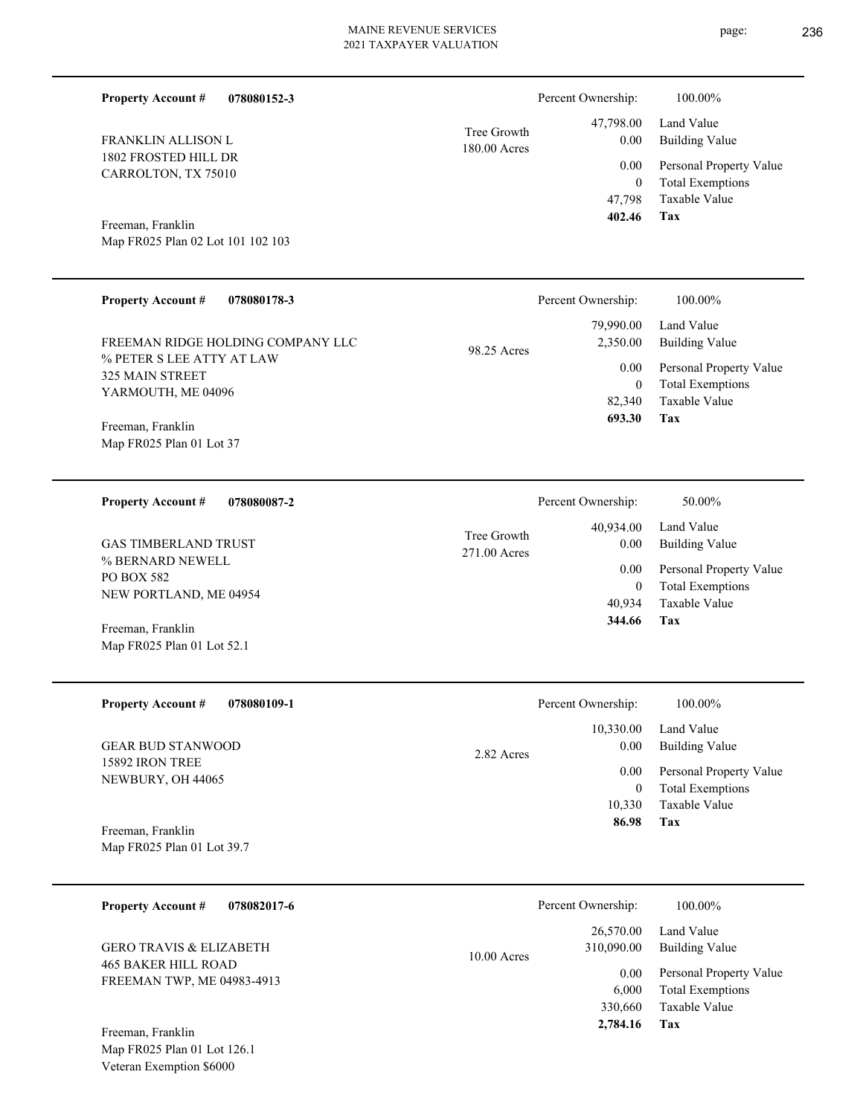| <b>Property Account #</b><br>078080152-3                           |                             | Percent Ownership:             | 100.00%                                                                    |
|--------------------------------------------------------------------|-----------------------------|--------------------------------|----------------------------------------------------------------------------|
| FRANKLIN ALLISON L                                                 | Tree Growth<br>180.00 Acres | 47,798.00<br>0.00              | Land Value<br><b>Building Value</b>                                        |
| 1802 FROSTED HILL DR<br>CARROLTON, TX 75010                        |                             | 0.00<br>$\theta$<br>47,798     | Personal Property Value<br><b>Total Exemptions</b><br>Taxable Value        |
| Freeman, Franklin<br>Map FR025 Plan 02 Lot 101 102 103             |                             | 402.46                         | Tax                                                                        |
| <b>Property Account #</b><br>078080178-3                           |                             | Percent Ownership:             | 100.00%                                                                    |
| FREEMAN RIDGE HOLDING COMPANY LLC                                  | 98.25 Acres                 | 79,990.00<br>2,350.00          | Land Value<br><b>Building Value</b>                                        |
| % PETER S LEE ATTY AT LAW<br>325 MAIN STREET<br>YARMOUTH, ME 04096 |                             | 0.00<br>$\mathbf{0}$<br>82,340 | Personal Property Value<br><b>Total Exemptions</b><br><b>Taxable Value</b> |
| Freeman, Franklin<br>Map FR025 Plan 01 Lot 37                      |                             | 693.30                         | Tax                                                                        |
| <b>Property Account #</b><br>078080087-2                           |                             | Percent Ownership:             | 50.00%                                                                     |
| <b>GAS TIMBERLAND TRUST</b>                                        | Tree Growth<br>271.00 Acres | 40,934.00<br>0.00              | Land Value<br><b>Building Value</b>                                        |
| % BERNARD NEWELL<br>PO BOX 582<br>NEW PORTLAND, ME 04954           |                             | 0.00<br>$\mathbf{0}$<br>40.934 | Personal Property Value<br><b>Total Exemptions</b><br><b>Taxable Value</b> |
| Freeman, Franklin<br>Map FR025 Plan 01 Lot 52.1                    |                             | 344.66                         | Tax                                                                        |

| <b>Property Account #</b><br>078080109-1    | Percent Ownership: | 100.00%                 |
|---------------------------------------------|--------------------|-------------------------|
|                                             | 10,330.00          | Land Value              |
| <b>GEAR BUD STANWOOD</b><br>15892 IRON TREE | 0.00<br>2.82 Acres | Building Value          |
| NEWBURY, OH 44065                           | 0.00               | Personal Property Value |
|                                             | 0                  | <b>Total Exemptions</b> |
|                                             | 10.330             | Taxable Value           |
| Freeman, Franklin                           | 86.98              | Tax                     |
| Map FR025 Plan 01 Lot 39.7                  |                    |                         |

| <b>Property Account #</b><br>078082017-6                 | Percent Ownership:                       | 100.00%                                            |
|----------------------------------------------------------|------------------------------------------|----------------------------------------------------|
| <b>GERO TRAVIS &amp; ELIZABETH</b>                       | 26,570.00<br>310,090.00<br>$10.00$ Acres | Land Value<br>Building Value                       |
| <b>465 BAKER HILL ROAD</b><br>FREEMAN TWP, ME 04983-4913 | 0.00<br>6.000                            | Personal Property Value<br><b>Total Exemptions</b> |
| Freeman, Franklin                                        | 330,660<br>2,784.16                      | Taxable Value<br>Tax                               |

Map FR025 Plan 01 Lot 126.1 Veteran Exemption \$6000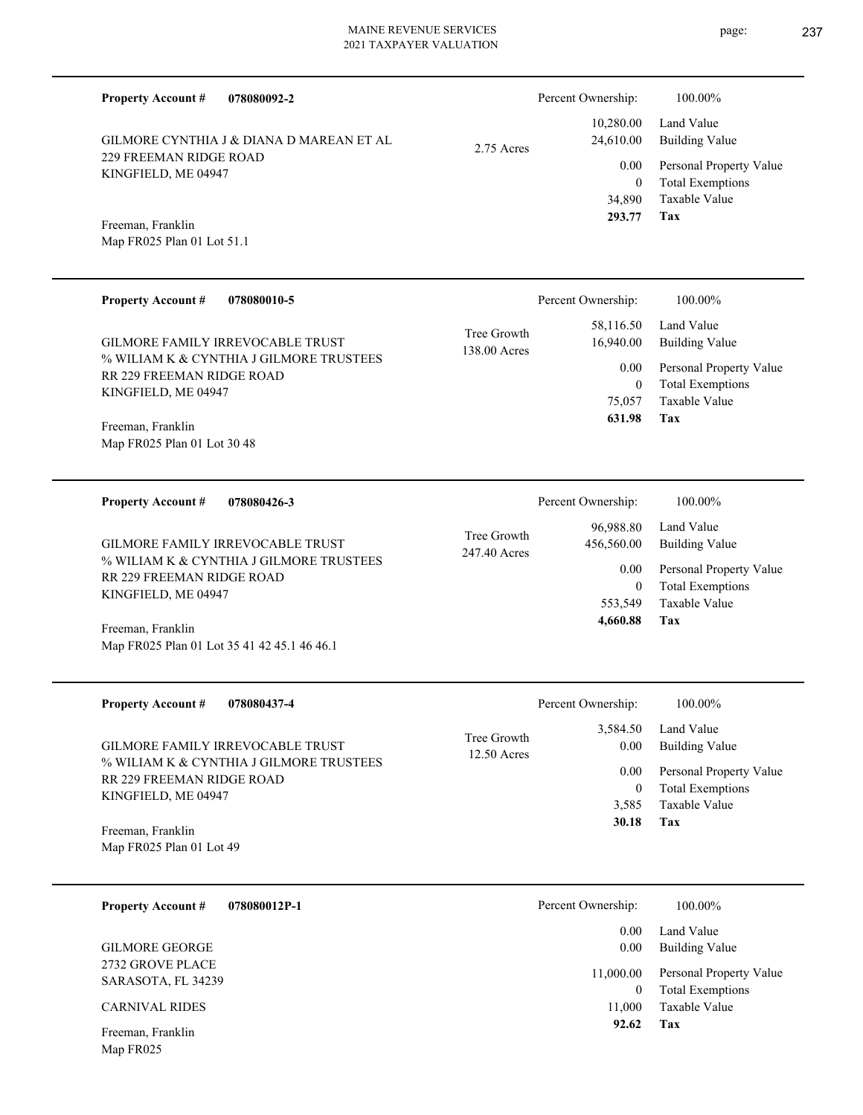| <b>Property Account #</b><br>078080092-2                                    |                             | Percent Ownership:          | 100.00%                                            |
|-----------------------------------------------------------------------------|-----------------------------|-----------------------------|----------------------------------------------------|
| GILMORE CYNTHIA J & DIANA D MAREAN ET AL                                    | 2.75 Acres                  | 10,280.00<br>24,610.00      | Land Value<br><b>Building Value</b>                |
| 229 FREEMAN RIDGE ROAD<br>KINGFIELD, ME 04947                               |                             | 0.00<br>$\overline{0}$      | Personal Property Value<br><b>Total Exemptions</b> |
| Freeman, Franklin                                                           |                             | 34,890<br>293.77            | Taxable Value<br>Tax                               |
| Map FR025 Plan 01 Lot 51.1                                                  |                             |                             |                                                    |
| <b>Property Account #</b><br>078080010-5                                    |                             | Percent Ownership:          | 100.00%                                            |
| GILMORE FAMILY IRREVOCABLE TRUST                                            | Tree Growth<br>138.00 Acres | 58,116.50<br>16,940.00      | Land Value<br><b>Building Value</b>                |
| % WILIAM K & CYNTHIA J GILMORE TRUSTEES<br>RR 229 FREEMAN RIDGE ROAD        |                             | 0.00<br>$\overline{0}$      | Personal Property Value<br><b>Total Exemptions</b> |
| KINGFIELD, ME 04947                                                         |                             | 75,057<br>631.98            | <b>Taxable Value</b><br>Tax                        |
| Freeman, Franklin<br>Map FR025 Plan 01 Lot 30 48                            |                             |                             |                                                    |
| 078080426-3<br><b>Property Account #</b>                                    |                             | Percent Ownership:          | 100.00%                                            |
|                                                                             | Tree Growth                 | 96,988.80                   | Land Value                                         |
| GILMORE FAMILY IRREVOCABLE TRUST<br>% WILIAM K & CYNTHIA J GILMORE TRUSTEES | 247.40 Acres                | 456,560.00<br>0.00          | <b>Building Value</b><br>Personal Property Value   |
| RR 229 FREEMAN RIDGE ROAD<br>KINGFIELD, ME 04947                            |                             | $\overline{0}$<br>553,549   | <b>Total Exemptions</b><br><b>Taxable Value</b>    |
| Freeman, Franklin                                                           |                             | 4,660.88                    | Tax                                                |
| Map FR025 Plan 01 Lot 35 41 42 45.1 46 46.1                                 |                             |                             |                                                    |
| <b>Property Account #</b><br>078080437-4                                    |                             | Percent Ownership:          | 100.00%                                            |
| GILMORE FAMILY IRREVOCABLE TRUST                                            | Tree Growth                 | 3,584.50<br>0.00            | Land Value<br><b>Building Value</b>                |
| % WILIAM K & CYNTHIA J GILMORE TRUSTEES<br>RR 229 FREEMAN RIDGE ROAD        | 12.50 Acres                 | 0.00                        | Personal Property Value                            |
| KINGFIELD, ME 04947                                                         |                             | $\boldsymbol{0}$<br>3,585   | <b>Total Exemptions</b><br>Taxable Value           |
| Freeman, Franklin<br>Map FR025 Plan 01 Lot 49                               |                             | 30.18                       | Tax                                                |
|                                                                             |                             |                             |                                                    |
| <b>Property Account #</b><br>078080012P-1                                   |                             | Percent Ownership:          | 100.00%                                            |
| <b>GILMORE GEORGE</b>                                                       |                             | 0.00<br>0.00                | Land Value<br><b>Building Value</b>                |
| 2732 GROVE PLACE<br>SARASOTA, FL 34239                                      |                             | 11,000.00<br>$\overline{0}$ | Personal Property Value<br><b>Total Exemptions</b> |
| <b>CARNIVAL RIDES</b>                                                       |                             | 11,000<br>92.62             | Taxable Value<br>Tax                               |
| Freeman, Franklin                                                           |                             |                             |                                                    |

Map FR025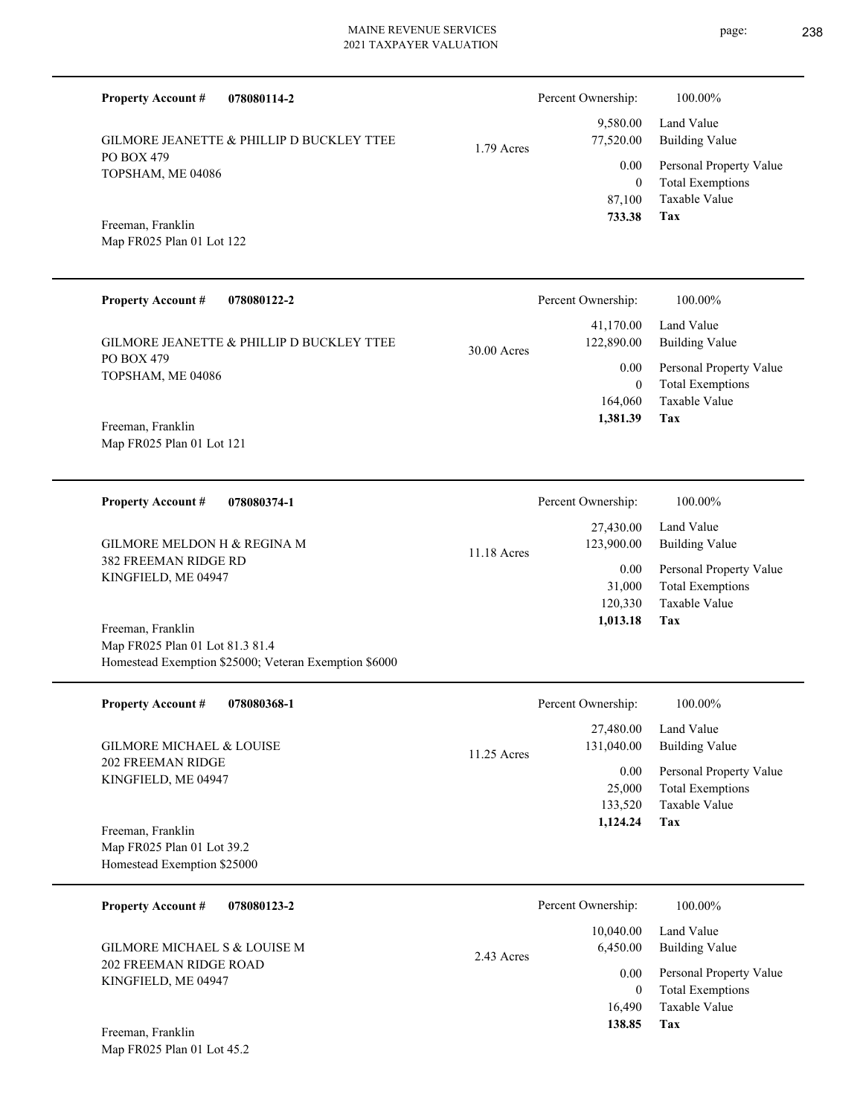| <b>Property Account #</b><br>078080114-2                                                                      |             | Percent Ownership:                             | 100.00%                                                                    |
|---------------------------------------------------------------------------------------------------------------|-------------|------------------------------------------------|----------------------------------------------------------------------------|
| GILMORE JEANETTE & PHILLIP D BUCKLEY TTEE                                                                     | 1.79 Acres  | 9,580.00<br>77,520.00                          | Land Value<br><b>Building Value</b>                                        |
| PO BOX 479<br>TOPSHAM, ME 04086                                                                               |             | 0.00                                           | Personal Property Value                                                    |
| Freeman, Franklin<br>Map FR025 Plan 01 Lot 122                                                                |             | $\mathbf{0}$<br>87,100<br>733.38               | <b>Total Exemptions</b><br>Taxable Value<br>Tax                            |
|                                                                                                               |             |                                                |                                                                            |
| <b>Property Account #</b><br>078080122-2                                                                      |             | Percent Ownership:                             | 100.00%                                                                    |
| GILMORE JEANETTE & PHILLIP D BUCKLEY TTEE                                                                     | 30.00 Acres | 41,170.00<br>122,890.00                        | Land Value<br><b>Building Value</b>                                        |
| PO BOX 479<br>TOPSHAM, ME 04086                                                                               |             | 0.00<br>$\mathbf{0}$                           | Personal Property Value<br><b>Total Exemptions</b>                         |
| Freeman, Franklin<br>Map FR025 Plan 01 Lot 121                                                                |             | 164,060<br>1,381.39                            | <b>Taxable Value</b><br>Tax                                                |
|                                                                                                               |             |                                                |                                                                            |
| 078080374-1<br><b>Property Account #</b>                                                                      |             | Percent Ownership:                             | 100.00%                                                                    |
| GILMORE MELDON H & REGINA M                                                                                   | 11.18 Acres | 27,430.00<br>123,900.00                        | Land Value<br><b>Building Value</b>                                        |
| <b>382 FREEMAN RIDGE RD</b><br>KINGFIELD, ME 04947                                                            |             | 0.00<br>31,000<br>120,330                      | Personal Property Value<br><b>Total Exemptions</b><br>Taxable Value<br>Tax |
| Freeman, Franklin<br>Map FR025 Plan 01 Lot 81.3 81.4<br>Homestead Exemption \$25000; Veteran Exemption \$6000 |             | 1,013.18                                       |                                                                            |
| <b>Property Account #</b><br>078080368-1                                                                      |             | Percent Ownership:                             | 100.00%                                                                    |
| GILMORE MICHAEL & LOUISE                                                                                      | 11.25 Acres | 27,480.00<br>131,040.00                        | Land Value<br><b>Building Value</b>                                        |
| 202 FREEMAN RIDGE<br>KINGFIELD, ME 04947                                                                      |             | $0.00\,$<br>25,000<br>133,520<br>1,124.24      | Personal Property Value<br><b>Total Exemptions</b><br>Taxable Value<br>Tax |
| Freeman, Franklin<br>Map FR025 Plan 01 Lot 39.2<br>Homestead Exemption \$25000                                |             |                                                |                                                                            |
| <b>Property Account #</b><br>078080123-2                                                                      |             | Percent Ownership:                             | 100.00%                                                                    |
| GILMORE MICHAEL S & LOUISE M                                                                                  | 2.43 Acres  | 10,040.00<br>6,450.00                          | Land Value<br><b>Building Value</b>                                        |
| <b>202 FREEMAN RIDGE ROAD</b><br>KINGFIELD, ME 04947                                                          |             | $0.00\,$<br>$\overline{0}$<br>16,490<br>138.85 | Personal Property Value<br><b>Total Exemptions</b><br>Taxable Value<br>Tax |
| Freeman, Franklin                                                                                             |             |                                                |                                                                            |

Map FR025 Plan 01 Lot 45.2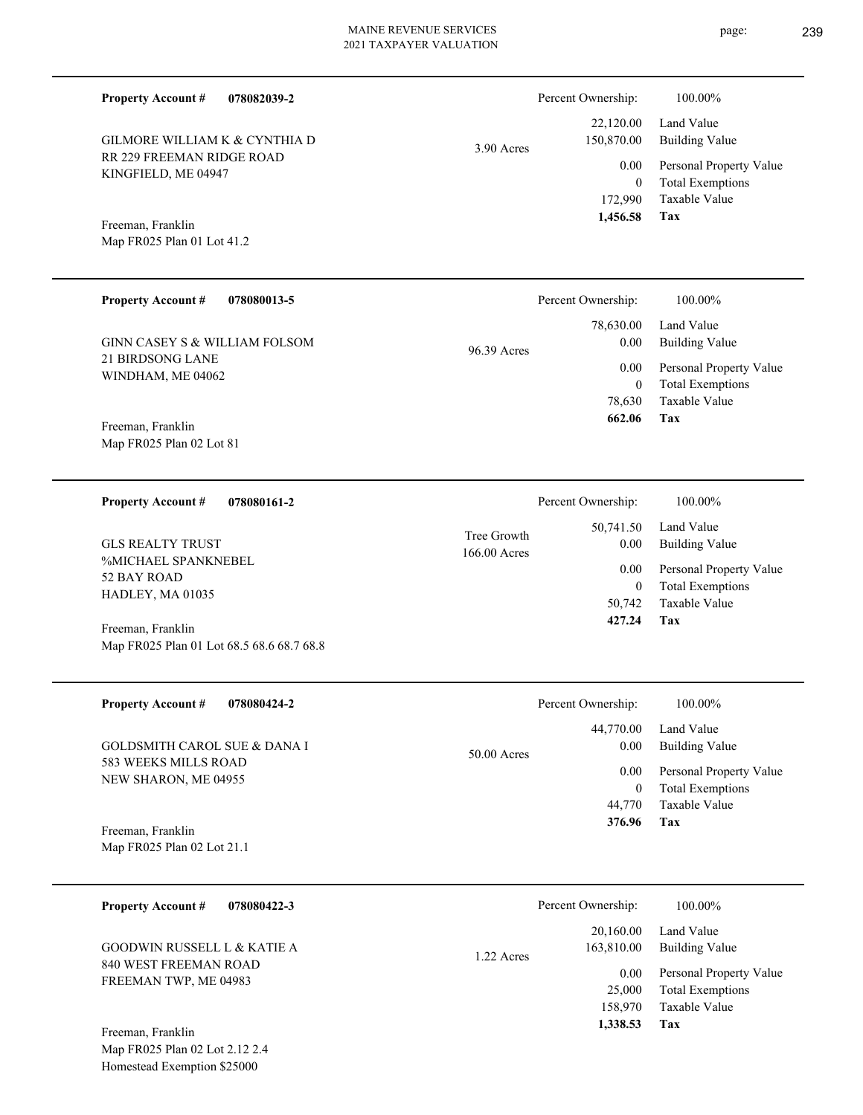RR 229 FREEMAN RIDGE ROAD KINGFIELD, ME 04947 GILMORE WILLIAM K & CYNTHIA D

**078082039-2**

# 3.90 Acres

**Tax** Taxable Value Total Exemptions Personal Property Value Building Value Land Value 172,990 0  **1,456.58** 22,120.00 150,870.00 0.00

Percent Ownership:  $100.00\%$ 

Map FR025 Plan 01 Lot 41.2 Freeman, Franklin

**Property Account #**

| <b>Property Account #</b><br>078080013-5                               | Percent Ownership:                                     | 100.00%                 |
|------------------------------------------------------------------------|--------------------------------------------------------|-------------------------|
| GINN CASEY S & WILLIAM FOLSOM<br>21 BIRDSONG LANE<br>WINDHAM, ME 04062 | 78,630.00<br>Land Value<br>0.00<br>96.39 Acres<br>0.00 | <b>Building Value</b>   |
|                                                                        |                                                        | Personal Property Value |
|                                                                        | 0                                                      | <b>Total Exemptions</b> |
|                                                                        | 78.630                                                 | Taxable Value           |
| Freeman, Franklin                                                      | 662.06                                                 | Tax                     |
| Map FR025 Plan 02 Lot 81                                               |                                                        |                         |

| 078080161-2<br><b>Property Account #</b>                             | Percent Ownership:                                       | 100.00%                                                 |
|----------------------------------------------------------------------|----------------------------------------------------------|---------------------------------------------------------|
| <b>GLS REALTY TRUST</b><br><b>%MICHAEL SPANKNEBEL</b><br>52 BAY ROAD | 50,741.50<br>Tree Growth<br>0.00<br>166.00 Acres<br>0.00 | Land Value<br>Building Value<br>Personal Property Value |
| HADLEY, MA 01035                                                     | 0<br>50,742                                              | <b>Total Exemptions</b><br>Taxable Value                |
| Freeman, Franklin                                                    | 427.24                                                   | Tax                                                     |
| Map FR025 Plan 01 Lot 68.5 68.6 68.7 68.8                            |                                                          |                                                         |

| <b>Property Account #</b><br>078080424-2        |               | Percent Ownership: | 100.00%                                            |
|-------------------------------------------------|---------------|--------------------|----------------------------------------------------|
|                                                 |               | 44,770.00          | Land Value                                         |
| GOLDSMITH CAROL SUE & DANA I                    | $50.00$ Acres | 0.00               | Building Value                                     |
| 583 WEEKS MILLS ROAD<br>NEW SHARON, ME 04955    |               | 0.00               | Personal Property Value<br><b>Total Exemptions</b> |
|                                                 |               | 44,770             | Taxable Value                                      |
| Freeman, Franklin<br>Map FR025 Plan 02 Lot 21.1 |               | 376.96             | Tax                                                |

| <b>Property Account #</b><br>078080422-3       | Percent Ownership:                    | 100.00%                      |
|------------------------------------------------|---------------------------------------|------------------------------|
| GOODWIN RUSSELL L & KATIE A                    | 20,160.00<br>163,810.00<br>1.22 Acres | Land Value<br>Building Value |
| 840 WEST FREEMAN ROAD<br>FREEMAN TWP, ME 04983 | 0.00                                  | Personal Property Value      |
|                                                | 25,000                                | <b>Total Exemptions</b>      |
|                                                | 158,970                               | Taxable Value                |
| Freeman, Franklin                              | 1,338.53                              | Tax                          |

Map FR025 Plan 02 Lot 2.12 2.4 Homestead Exemption \$25000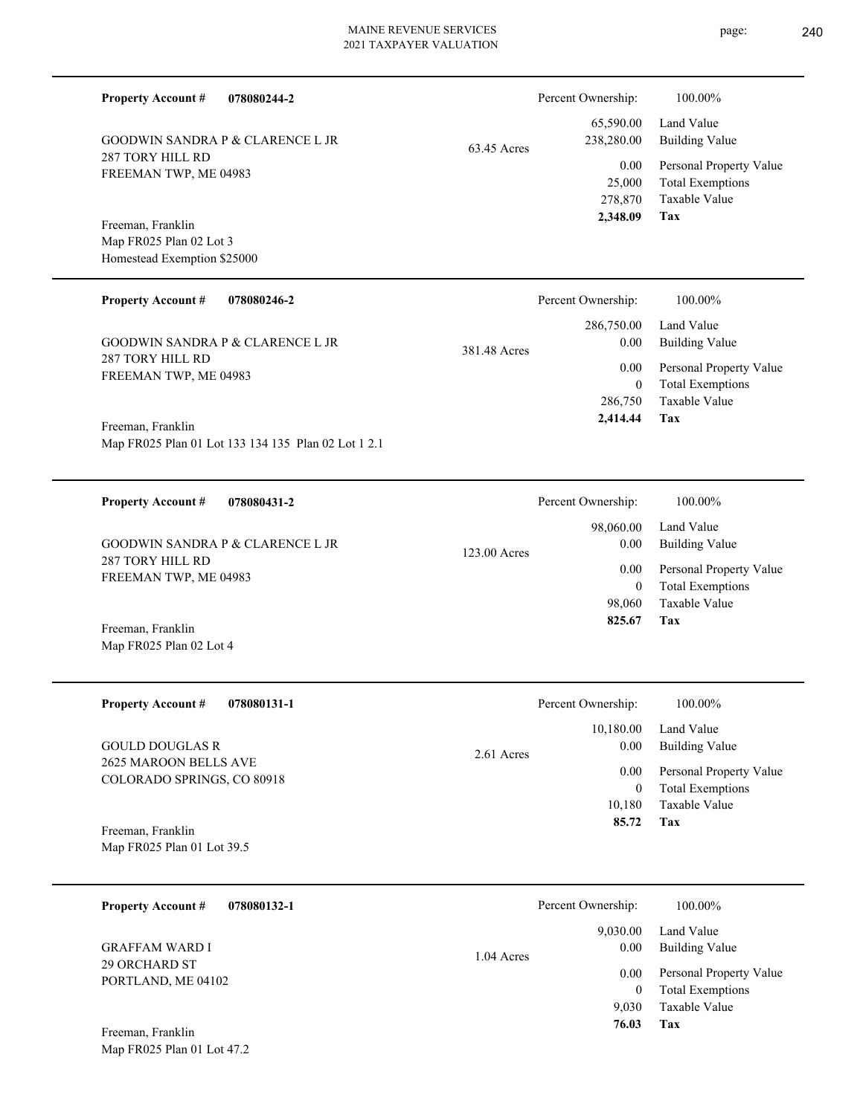FREEMAN TWP, ME 04983 Homestead Exemption \$25000 **078080246-2** GOODWIN SANDRA P & CLARENCE L JR 286,750.00 381.48 A Percent Ownership: 100.00%

Map FR025 Plan 01 Lot 133 134 135 Plan 02 Lot 1 2.1 Freeman, Franklin

**078080244-2**

GOODWIN SANDRA P & CLARENCE L JR

**078080431-2 Property Account #**

287 TORY HILL RD FREEMAN TWP, ME 04983 GOODWIN SANDRA P & CLARENCE L JR

Map FR025 Plan 02 Lot 4 Freeman, Franklin

287 TORY HILL RD

Freeman, Franklin

287 TORY HILL RD FREEMAN TWP, ME 04983

**Property Account #**

Map FR025 Plan 02 Lot 3

**Property Account #**

**078080131-1 Property Account #**

2625 MAROON BELLS AVE COLORADO SPRINGS, CO 80918 GOULD DOUGLAS R

Map FR025 Plan 01 Lot 39.5 Freeman, Franklin

| 078080132-1<br><b>Property Account #</b> | Percent Ownership:               | 100.00%                                     |
|------------------------------------------|----------------------------------|---------------------------------------------|
| <b>GRAFFAM WARD I</b>                    | 9,030.00<br>0.00<br>$1.04$ Acres | Land Value<br><b>Building Value</b>         |
| 29 ORCHARD ST<br>PORTLAND, ME 04102      | 0.00<br>0                        | Personal Property Value<br>Total Exemptions |
|                                          | 9.030                            | Taxable Value                               |
| Freeman, Franklin                        | 76.03                            | Tax                                         |

| 63.45 Acres | 238,280.00 | <b>Building Value</b>   |
|-------------|------------|-------------------------|
|             | 0.00       | Personal Property Value |
|             | 25,000     | <b>Total Exemptions</b> |
|             | 278,870    | Taxable Value           |
|             | 2,348.09   | Tax                     |
|             |            |                         |
|             |            |                         |
|             |            |                         |

65,590.00

Percent Ownership: 100.00%

Land Value

Building Value Land Value

| Acres |          |                         |
|-------|----------|-------------------------|
|       | $0.00\,$ | Personal Property Value |
|       | $\theta$ | <b>Total Exemptions</b> |
|       |          | 286,750 Taxable Value   |
|       | 2,414.44 | Tax                     |
|       |          |                         |
|       |          |                         |
|       |          |                         |

0.00

| Percent Ownership: | 100.00%                 |
|--------------------|-------------------------|
|                    | 98,060.00 Land Value    |
| 0.00               | Building Value          |
| 0.00 <sub>1</sub>  | Personal Property Value |
| 0                  | <b>Total Exemptions</b> |
|                    | 98,060 Taxable Value    |
| 825.67             | Tax                     |
|                    |                         |

|              | Percent Ownership: | 100.00%                 |
|--------------|--------------------|-------------------------|
|              |                    | 10,180.00 Land Value    |
| $2.61$ Acres | 0.00               | Building Value          |
|              | 0.00               | Personal Property Value |
|              | 0                  | <b>Total Exemptions</b> |
|              | 10,180             | Taxable Value           |
|              | 85.72              | Tax                     |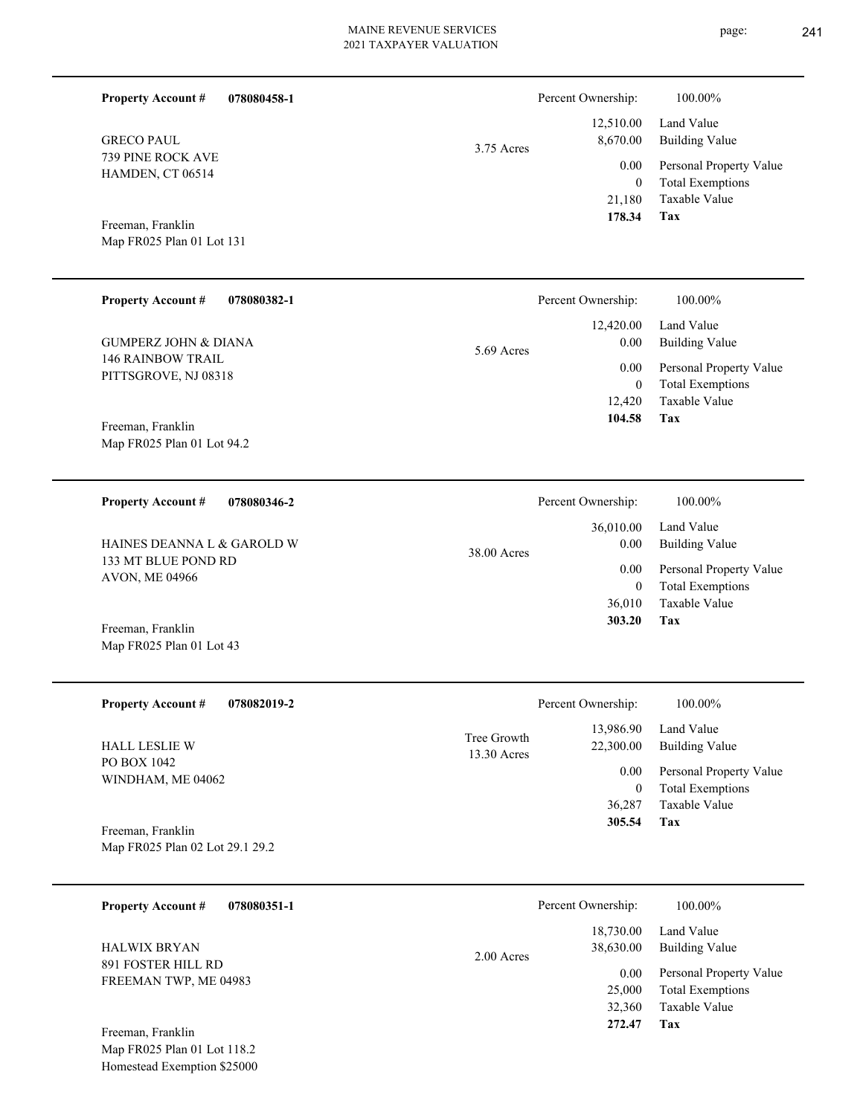| <b>Property Account #</b><br>078080458-1         |                            | Percent Ownership:       | 100.00%                                            |
|--------------------------------------------------|----------------------------|--------------------------|----------------------------------------------------|
| <b>GRECO PAUL</b>                                | 3.75 Acres                 | 12,510.00<br>8,670.00    | Land Value<br><b>Building Value</b>                |
| 739 PINE ROCK AVE<br>HAMDEN, CT 06514            |                            | 0.00<br>$\mathbf{0}$     | Personal Property Value<br><b>Total Exemptions</b> |
| Freeman, Franklin                                |                            | 21,180<br>178.34         | Taxable Value<br>Tax                               |
| Map FR025 Plan 01 Lot 131                        |                            |                          |                                                    |
| <b>Property Account #</b><br>078080382-1         |                            | Percent Ownership:       | 100.00%                                            |
| <b>GUMPERZ JOHN &amp; DIANA</b>                  | 5.69 Acres                 | 12,420.00<br>0.00        | Land Value<br><b>Building Value</b>                |
| <b>146 RAINBOW TRAIL</b><br>PITTSGROVE, NJ 08318 |                            | 0.00<br>$\boldsymbol{0}$ | Personal Property Value<br><b>Total Exemptions</b> |
| Freeman, Franklin                                |                            | 12,420<br>104.58         | Taxable Value<br>Tax                               |
| Map FR025 Plan 01 Lot 94.2                       |                            |                          |                                                    |
| <b>Property Account #</b><br>078080346-2         |                            | Percent Ownership:       | 100.00%                                            |
| HAINES DEANNA L & GAROLD W                       | 38.00 Acres                | 36,010.00<br>0.00        | Land Value<br><b>Building Value</b>                |
| 133 MT BLUE POND RD<br>AVON, ME 04966            |                            | 0.00<br>$\mathbf{0}$     | Personal Property Value<br><b>Total Exemptions</b> |
|                                                  |                            | 36,010<br>303.20         | Taxable Value<br>Tax                               |
| Freeman, Franklin<br>Map FR025 Plan 01 Lot 43    |                            |                          |                                                    |
| <b>Property Account #</b><br>078082019-2         |                            | Percent Ownership:       | 100.00%                                            |
| HALL LESLIE W                                    | Tree Growth<br>13.30 Acres | 13,986.90<br>22,300.00   | Land Value<br><b>Building Value</b>                |
| PO BOX 1042<br>WINDHAM, ME 04062                 |                            | 0.00<br>$\boldsymbol{0}$ | Personal Property Value<br><b>Total Exemptions</b> |
| Freeman, Franklin                                |                            | 36,287<br>305.54         | Taxable Value<br>Tax                               |
| Map FR025 Plan 02 Lot 29.1 29.2                  |                            |                          |                                                    |
| <b>Property Account #</b><br>078080351-1         |                            | Percent Ownership:       | 100.00%                                            |
| <b>HALWIX BRYAN</b>                              | 2.00 Acres                 | 18,730.00<br>38,630.00   | Land Value<br><b>Building Value</b>                |
| 891 FOSTER HILL RD<br>FREEMAN TWP, ME 04983      |                            | 0.00<br>25,000           | Personal Property Value<br><b>Total Exemptions</b> |

**Tax 272.47**

32,360

Taxable Value

Map FR025 Plan 01 Lot 118.2 Homestead Exemption \$25000 Freeman, Franklin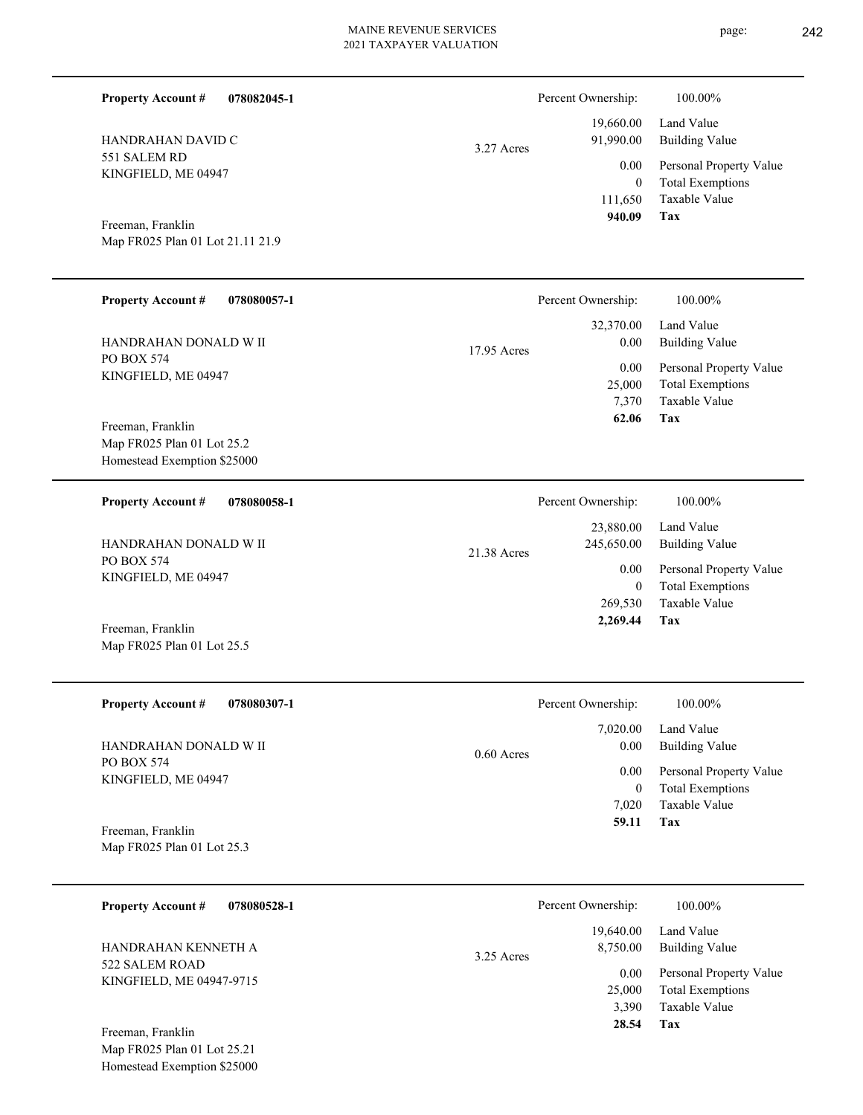| <b>Property Account #</b><br>078082045-1                                        |              | Percent Ownership:                          | 100.00%                                                                           |
|---------------------------------------------------------------------------------|--------------|---------------------------------------------|-----------------------------------------------------------------------------------|
| HANDRAHAN DAVID C                                                               | 3.27 Acres   | 19,660.00<br>91,990.00                      | Land Value<br><b>Building Value</b>                                               |
| 551 SALEM RD<br>KINGFIELD, ME 04947                                             |              | 0.00<br>$\mathbf{0}$<br>111,650<br>940.09   | Personal Property Value<br><b>Total Exemptions</b><br>Taxable Value<br><b>Tax</b> |
| Freeman, Franklin<br>Map FR025 Plan 01 Lot 21.11 21.9                           |              |                                             |                                                                                   |
| <b>Property Account #</b><br>078080057-1                                        |              | Percent Ownership:                          | 100.00%                                                                           |
| HANDRAHAN DONALD W II                                                           | 17.95 Acres  | 32,370.00<br>0.00                           | Land Value<br><b>Building Value</b>                                               |
| PO BOX 574<br>KINGFIELD, ME 04947                                               |              | 0.00<br>25,000<br>7,370<br>62.06            | Personal Property Value<br><b>Total Exemptions</b><br>Taxable Value<br>Tax        |
| Freeman, Franklin<br>Map FR025 Plan 01 Lot 25.2<br>Homestead Exemption \$25000  |              |                                             |                                                                                   |
| <b>Property Account #</b><br>078080058-1                                        |              | Percent Ownership:                          | $100.00\%$                                                                        |
| HANDRAHAN DONALD W II                                                           | 21.38 Acres  | 23,880.00<br>245,650.00                     | Land Value<br><b>Building Value</b>                                               |
| PO BOX 574<br>KINGFIELD, ME 04947                                               |              | 0.00<br>$\mathbf{0}$<br>269,530<br>2,269.44 | Personal Property Value<br><b>Total Exemptions</b><br>Taxable Value<br>Tax        |
| Freeman, Franklin<br>Map FR025 Plan 01 Lot 25.5                                 |              |                                             |                                                                                   |
| <b>Property Account #</b><br>078080307-1                                        |              | Percent Ownership:                          | 100.00%                                                                           |
| HANDRAHAN DONALD W II                                                           | $0.60$ Acres | 7,020.00<br>0.00                            | Land Value<br><b>Building Value</b>                                               |
| PO BOX 574<br>KINGFIELD, ME 04947                                               |              | 0.00<br>$\overline{0}$<br>7,020<br>59.11    | Personal Property Value<br><b>Total Exemptions</b><br>Taxable Value<br>Tax        |
| Freeman, Franklin<br>Map FR025 Plan 01 Lot 25.3                                 |              |                                             |                                                                                   |
| <b>Property Account #</b><br>078080528-1                                        |              | Percent Ownership:                          | 100.00%                                                                           |
| HANDRAHAN KENNETH A                                                             | 3.25 Acres   | 19,640.00<br>8,750.00                       | Land Value<br><b>Building Value</b>                                               |
| 522 SALEM ROAD<br>KINGFIELD, ME 04947-9715                                      |              | 0.00<br>25,000<br>3,390<br>28.54            | Personal Property Value<br><b>Total Exemptions</b><br>Taxable Value<br>Tax        |
| Freeman, Franklin<br>Map FR025 Plan 01 Lot 25.21<br>Homestead Exemption \$25000 |              |                                             |                                                                                   |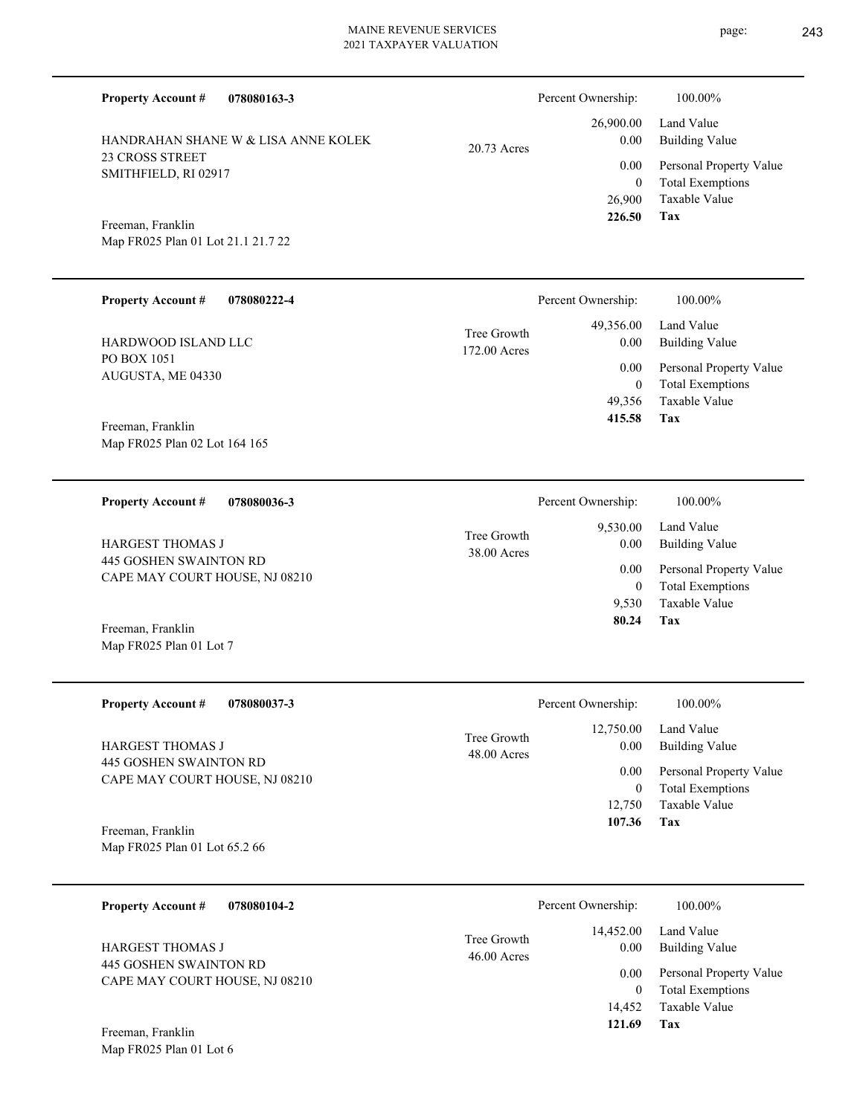SMITHFIELD, RI 02917 Map FR025 Plan 01 Lot 21.1 21.7 22 26,900  **226.50** 0.00 20.73 Acres **078080222-4** 49,356.00 0.00 Tree Growth Percent Ownership: 100.00%

172.00 Acres

PO BOX 1051 AUGUSTA, ME 04330 HARDWOOD ISLAND LLC

23 CROSS STREET

Freeman, Franklin

**Property Account #**

**Property Account #**

**078080163-3**

HANDRAHAN SHANE W & LISA ANNE KOLEK

Map FR025 Plan 02 Lot 164 165 Freeman, Franklin

**078080036-3 Tax** Taxable Value Total Exemptions Personal Property Value Building Value Land Value 445 GOSHEN SWAINTON RD CAPE MAY COURT HOUSE, NJ 08210 **Property Account #** Freeman, Franklin HARGEST THOMAS J 9,530 0  **80.24** 9,530.00 0.00 0.00 38.00 Acres Tree Growth Percent Ownership:  $100.00\%$ 

Map FR025 Plan 01 Lot 7

| <b>Property Account #</b><br>078080037-3                 | Percent Ownership:                                | 100.00%                      |
|----------------------------------------------------------|---------------------------------------------------|------------------------------|
| <b>HARGEST THOMAS J</b>                                  | 12,750.00<br>Tree Growth<br>0.00<br>$48.00$ Acres | Land Value<br>Building Value |
| 445 GOSHEN SWAINTON RD<br>CAPE MAY COURT HOUSE, NJ 08210 | 0.00                                              | Personal Property Value      |
|                                                          | $\theta$                                          | <b>Total Exemptions</b>      |
|                                                          | 12.750                                            | Taxable Value                |
| Freeman, Franklin                                        | 107.36                                            | Tax                          |
| Map FR025 Plan 01 Lot 65.2 66                            |                                                   |                              |

| 078080104-2<br><b>Property Account #</b>                 | Percent Ownership:                                | 100.00%                                            |
|----------------------------------------------------------|---------------------------------------------------|----------------------------------------------------|
| <b>HARGEST THOMAS J</b>                                  | 14,452.00<br>Tree Growth<br>0.00<br>$46.00$ Acres | Land Value<br>Building Value                       |
| 445 GOSHEN SWAINTON RD<br>CAPE MAY COURT HOUSE, NJ 08210 | 0.00<br>0                                         | Personal Property Value<br><b>Total Exemptions</b> |
|                                                          | 14.452                                            | Taxable Value                                      |
| Freeman, Franklin                                        | 121.69                                            | Tax                                                |

Map FR025 Plan 01 Lot 6

**Tax**

**Tax**

 49,356 0

0.00

 **415.58**

Taxable Value Total Exemptions Personal Property Value

Building Value Land Value

0

 26,900.00 0.00

Percent Ownership: 100.00%

Taxable Value Total Exemptions Personal Property Value

Building Value Land Value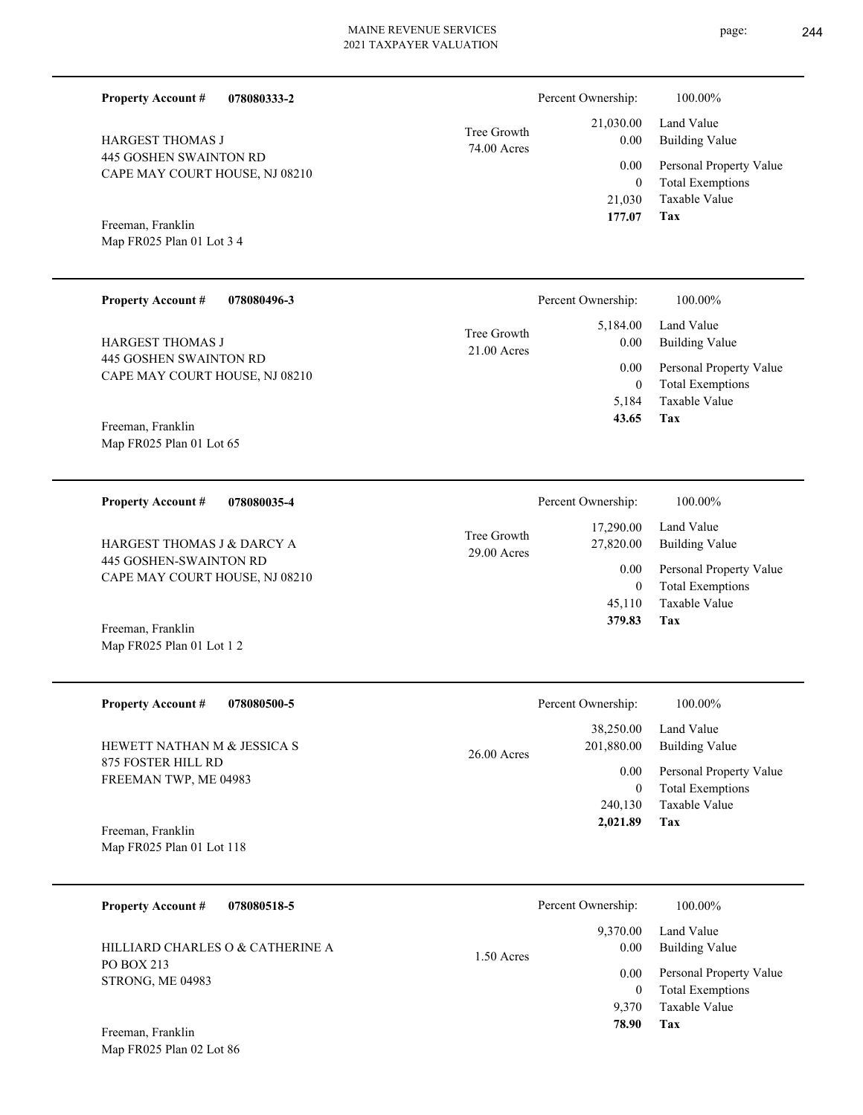| <b>Property Account #</b><br>078080333-2                        |                            | Percent Ownership:                           | 100.00%                                                                    |
|-----------------------------------------------------------------|----------------------------|----------------------------------------------|----------------------------------------------------------------------------|
| HARGEST THOMAS J                                                | Tree Growth<br>74.00 Acres | 21,030.00<br>0.00                            | Land Value<br><b>Building Value</b>                                        |
| <b>445 GOSHEN SWAINTON RD</b><br>CAPE MAY COURT HOUSE, NJ 08210 |                            | 0.00<br>$\boldsymbol{0}$<br>21,030<br>177.07 | Personal Property Value<br><b>Total Exemptions</b><br>Taxable Value<br>Tax |
| Freeman, Franklin<br>Map FR025 Plan 01 Lot 3 4                  |                            |                                              |                                                                            |
| <b>Property Account #</b><br>078080496-3                        |                            | Percent Ownership:                           | 100.00%                                                                    |
| HARGEST THOMAS J                                                | Tree Growth<br>21.00 Acres | 5,184.00<br>0.00                             | Land Value<br><b>Building Value</b>                                        |
| 445 GOSHEN SWAINTON RD<br>CAPE MAY COURT HOUSE, NJ 08210        |                            | 0.00<br>$\mathbf{0}$<br>5,184<br>43.65       | Personal Property Value<br><b>Total Exemptions</b><br>Taxable Value<br>Tax |
| Freeman, Franklin<br>Map FR025 Plan 01 Lot 65                   |                            |                                              |                                                                            |
| <b>Property Account #</b><br>078080035-4                        |                            | Percent Ownership:                           | 100.00%                                                                    |
| HARGEST THOMAS J & DARCY A                                      | Tree Growth<br>29.00 Acres | 17,290.00<br>27,820.00                       | Land Value<br><b>Building Value</b>                                        |
| 445 GOSHEN-SWAINTON RD<br>CAPE MAY COURT HOUSE, NJ 08210        |                            | 0.00<br>$\mathbf{0}$                         | Personal Property Value<br><b>Total Exemptions</b>                         |
| Freeman, Franklin<br>Map FR025 Plan 01 Lot 12                   |                            | 45,110<br>379.83                             | Taxable Value<br>Tax                                                       |
| 078080500-5<br><b>Property Account #</b>                        |                            | Percent Ownership:                           | 100.00%                                                                    |
| HEWETT NATHAN M & JESSICA S                                     | 26.00 Acres                | 38,250.00<br>201,880.00                      | Land Value<br><b>Building Value</b>                                        |
| 875 FOSTER HILL RD<br>FREEMAN TWP, ME 04983                     |                            | 0.00<br>$\overline{0}$                       | Personal Property Value<br><b>Total Exemptions</b>                         |
| Freeman, Franklin<br>Map FR025 Plan 01 Lot 118                  |                            | 240,130<br>2,021.89                          | Taxable Value<br>Tax                                                       |
| <b>Property Account #</b><br>078080518-5                        |                            | Percent Ownership:                           | 100.00%                                                                    |
| HILLIARD CHARLES O & CATHERINE A                                |                            | 9,370.00<br>0.00                             | Land Value<br><b>Building Value</b>                                        |
| PO BOX 213<br>STRONG, ME 04983                                  | 1.50 Acres                 | 0.00<br>$\overline{0}$                       | Personal Property Value<br><b>Total Exemptions</b>                         |
|                                                                 |                            | 9,370<br>78.90                               | Taxable Value<br>Tax                                                       |

Map FR025 Plan 02 Lot 86 Freeman, Franklin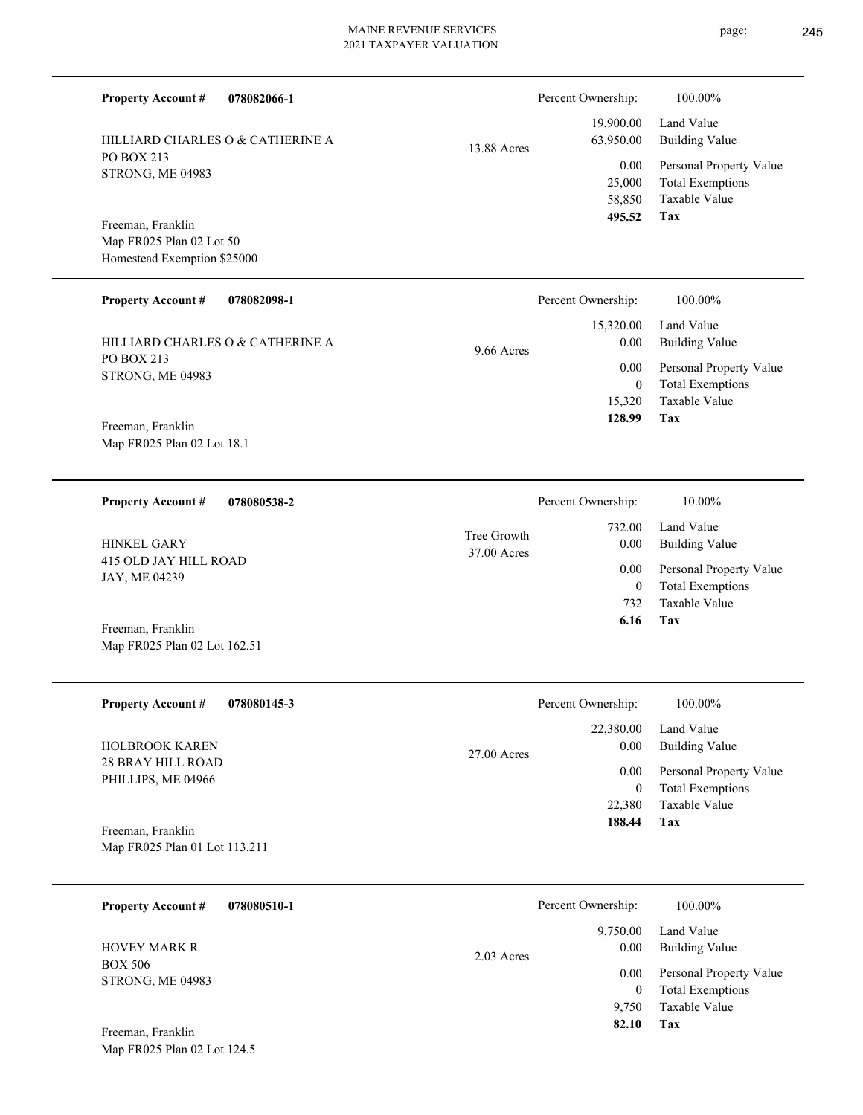Percent Ownership: 100.00%

|             | Percent Ownership: | 100.00%                 |
|-------------|--------------------|-------------------------|
|             |                    | 19,900.00 Land Value    |
| 13.88 Acres | 63,950.00          | <b>Building Value</b>   |
|             | 0.00               | Personal Property Value |
|             | 25,000             | <b>Total Exemptions</b> |
|             | 58,850             | Taxable Value           |
|             | 495.52             | Tax                     |

**Tax**

 732 0

 732.00 0.00 0.00

Percent Ownership:  $10.00\%$ 

 **6.16**

Taxable Value Total Exemptions Personal Property Value

Building Value Land Value

Map FR025 Plan 02 Lot 50 Homestead Exemption \$25000 Freeman, Franklin

PO BOX 213 STRONG, ME 04983

**Property Account #**

**078082066-1**

HILLIARD CHARLES O & CATHERINE A

| <b>Property Account #</b><br>078082098-1 | Percent Ownership:                | 100.00%                      |
|------------------------------------------|-----------------------------------|------------------------------|
| HILLIARD CHARLES O & CATHERINE A         | 15,320.00<br>0.00<br>$9.66$ Acres | Land Value<br>Building Value |
| PO BOX 213<br>STRONG, ME 04983           | 0.00                              | Personal Property Value      |
|                                          | 0                                 | <b>Total Exemptions</b>      |
|                                          | 15.320                            | Taxable Value                |
| $E$ rooman $E$ ron $\overline{E}$        | 128.99                            | Tax                          |

37.00 Acres Tree Growth

Map FR025 Plan 02 Lot 18.1 Freeman, Franklin

**078080538-2 Property Account #**

415 OLD JAY HILL ROAD JAY, ME 04239 HINKEL GARY

Map FR025 Plan 02 Lot 162.51 Freeman, Franklin

Map FR025 Plan 02 Lot 124.5

| <b>Property Account #</b><br>078080145-3 | Percent Ownership:    | 100.00%                 |
|------------------------------------------|-----------------------|-------------------------|
|                                          | 22,380.00             | Land Value              |
| <b>HOLBROOK KAREN</b>                    | 0.00<br>$27.00$ Acres | Building Value          |
| 28 BRAY HILL ROAD<br>PHILLIPS, ME 04966  | 0.00                  | Personal Property Value |
|                                          | 0                     | <b>Total Exemptions</b> |
|                                          | 22,380                | Taxable Value           |
| Freeman, Franklin                        | 188.44                | Tax                     |
| Map FR025 Plan 01 Lot 113.211            |                       |                         |

| <b>Property Account #</b>          | 078080510-1 |              | Percent Ownership: | 100.00%                                            |
|------------------------------------|-------------|--------------|--------------------|----------------------------------------------------|
| <b>HOVEY MARK R</b>                |             | $2.03$ Acres | 9,750.00<br>0.00   | Land Value<br><b>Building Value</b>                |
| <b>BOX 506</b><br>STRONG, ME 04983 |             |              | 0.00<br>$\theta$   | Personal Property Value<br><b>Total Exemptions</b> |
|                                    |             |              | 9.750              | Taxable Value                                      |
| Freeman, Franklin                  |             |              | 82.10              | Tax                                                |

# page: 245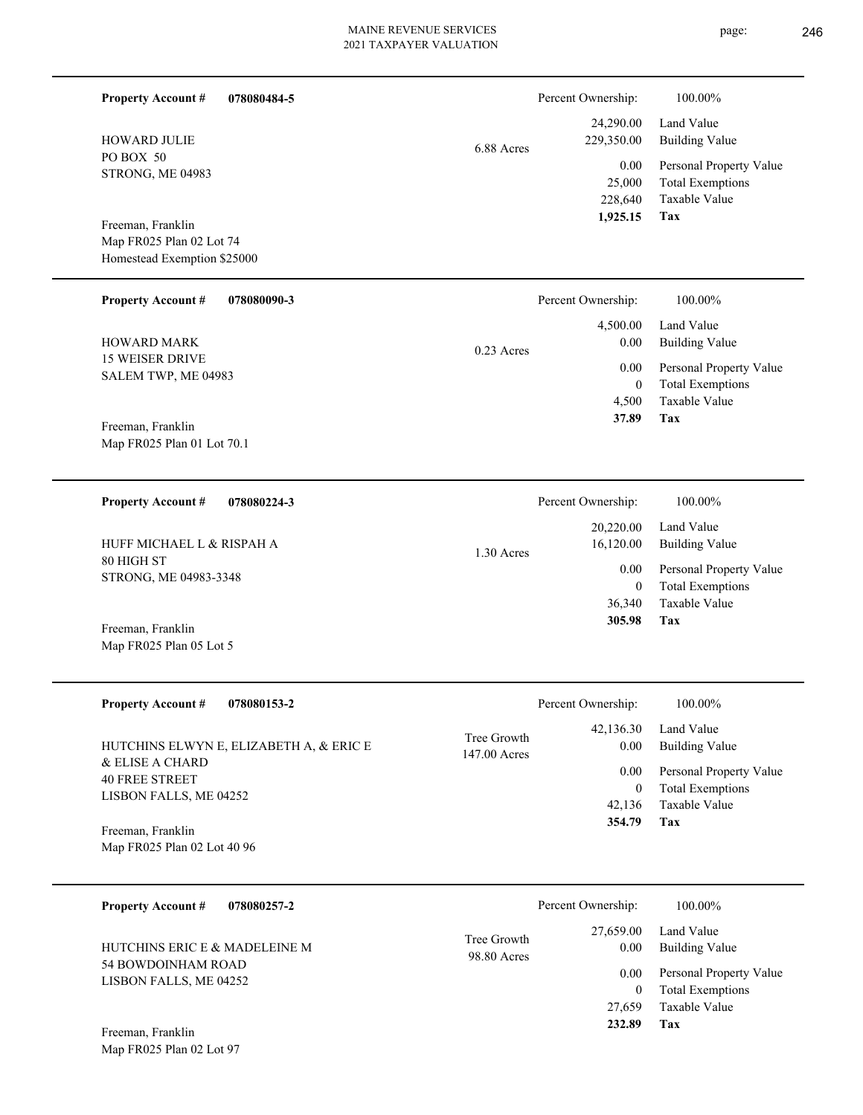Percent Ownership:  $100.00\%$ 

1.30 Acres

|            | 24,290.00  | Land Value              |
|------------|------------|-------------------------|
| 6.88 Acres | 229,350.00 | Building Value          |
|            | 0.00       | Personal Property Value |
|            |            | 25,000 Total Exemptions |
|            | 228,640    | Taxable Value           |
|            | 1,925.15   | Tax                     |

Map FR025 Plan 02 Lot 74 Homestead Exemption \$25000 Freeman, Franklin

PO BOX 50

STRONG, ME 04983

**Property Account #**

HOWARD JULIE

**078080484-5**

| <b>Property Account #</b><br>078080090-3                            | Percent Ownership: |          | 100.00%                 |
|---------------------------------------------------------------------|--------------------|----------|-------------------------|
|                                                                     |                    | 4.500.00 | Land Value              |
| <b>HOWARD MARK</b><br><b>15 WEISER DRIVE</b><br>SALEM TWP, ME 04983 |                    | 0.00     | Building Value          |
|                                                                     | $0.23$ Acres       | 0.00     | Personal Property Value |
|                                                                     |                    |          | <b>Total Exemptions</b> |
|                                                                     |                    | 4.500    | Taxable Value           |

Map FR025 Plan 01 Lot 70.1 Freeman, Franklin

**078080224-3 Property Account #**

80 HIGH ST STRONG, ME 04983-3348 HUFF MICHAEL L & RISPAH A

Map FR025 Plan 05 Lot 5 Freeman, Franklin

| <b>Property Account #</b><br>078080153-2                   | Percent Ownership:                               | 100.00%                                 |
|------------------------------------------------------------|--------------------------------------------------|-----------------------------------------|
| HUTCHINS ELWYN E, ELIZABETH A, & ERIC E<br>& ELISE A CHARD | 42,136.30<br>Tree Growth<br>0.00<br>147.00 Acres | Land Value<br>Building Value            |
| <b>40 FREE STREET</b>                                      | 0.00                                             | Personal Property Value                 |
| LISBON FALLS, ME 04252                                     |                                                  | <b>Total Exemptions</b><br>$\mathbf{0}$ |
|                                                            | 42.136                                           | Taxable Value                           |
| Freeman, Franklin<br>Map FR025 Plan 02 Lot 40 96           | 354.79                                           | Tax                                     |

| 078080257-2<br><b>Property Account #</b>     |                            | Percent Ownership: | 100.00%                                            |
|----------------------------------------------|----------------------------|--------------------|----------------------------------------------------|
| HUTCHINS ERIC E & MADELEINE M                | Tree Growth<br>98.80 Acres | 27,659.00<br>0.00  | Land Value<br>Building Value                       |
| 54 BOWDOINHAM ROAD<br>LISBON FALLS, ME 04252 |                            | 0.00               | Personal Property Value<br><b>Total Exemptions</b> |
|                                              |                            | 27.659             | Taxable Value                                      |
| Freeman, Franklin                            |                            | 232.89             | Tax                                                |

Map FR025 Plan 02 Lot 97

**Tax 37.89** Percent Ownership:  $100.00\%$ 

| 20,220.00 | Land Value              |
|-----------|-------------------------|
| 16,120.00 | Building Value          |
| 0.00      | Personal Property Value |
| 0         | <b>Total Exemptions</b> |
| 36,340    | Taxable Value           |
| 305.98    | Tax                     |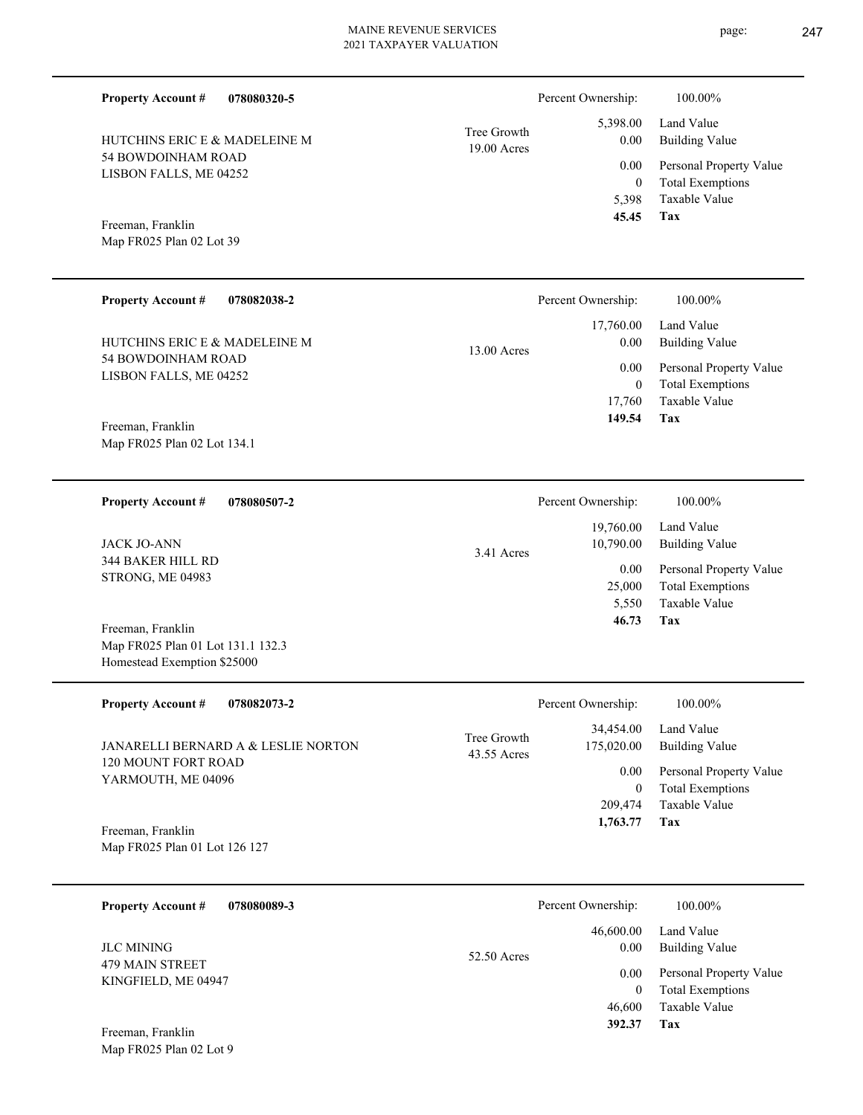| <b>Property Account #</b><br>078080320-5         |                              | Percent Ownership:      | 100.00%                                            |
|--------------------------------------------------|------------------------------|-------------------------|----------------------------------------------------|
| HUTCHINS ERIC E & MADELEINE M                    | Tree Growth<br>$19.00$ Acres | 5,398.00<br>0.00        | Land Value<br><b>Building Value</b>                |
| 54 BOWDOINHAM ROAD<br>LISBON FALLS, ME 04252     |                              | 0.00<br>$\overline{0}$  | Personal Property Value<br><b>Total Exemptions</b> |
|                                                  |                              | 5,398<br>45.45          | <b>Taxable Value</b><br>Tax                        |
| Freeman, Franklin<br>Map FR025 Plan 02 Lot 39    |                              |                         |                                                    |
|                                                  |                              |                         |                                                    |
| <b>Property Account #</b><br>078082038-2         |                              | Percent Ownership:      | 100.00%                                            |
| HUTCHINS ERIC E & MADELEINE M                    |                              | 17,760.00<br>0.00       | Land Value<br><b>Building Value</b>                |
| 54 BOWDOINHAM ROAD                               | 13.00 Acres                  | 0.00                    | Personal Property Value                            |
| LISBON FALLS, ME 04252                           |                              | $\overline{0}$          | <b>Total Exemptions</b>                            |
|                                                  |                              | 17,760<br>149.54        | Taxable Value<br>Tax                               |
| Freeman, Franklin<br>Map FR025 Plan 02 Lot 134.1 |                              |                         |                                                    |
|                                                  |                              |                         |                                                    |
| <b>Property Account #</b><br>078080507-2         |                              | Percent Ownership:      | 100.00%                                            |
|                                                  |                              | 19,760.00               | Land Value                                         |
| <b>JACK JO-ANN</b>                               | 3.41 Acres                   | 10,790.00               | <b>Building Value</b>                              |
| 344 BAKER HILL RD<br>STRONG, ME 04983            |                              | 0.00                    | Personal Property Value                            |
|                                                  |                              | 25,000<br>5,550         | <b>Total Exemptions</b><br><b>Taxable Value</b>    |
| Freeman, Franklin                                |                              | 46.73                   | Tax                                                |
| Map FR025 Plan 01 Lot 131.1 132.3                |                              |                         |                                                    |
| Homestead Exemption \$25000                      |                              |                         |                                                    |
| <b>Property Account #</b><br>078082073-2         |                              | Percent Ownership:      | 100.00%                                            |
| JANARELLI BERNARD A & LESLIE NORTON              | Tree Growth                  | 34,454.00<br>175,020.00 | Land Value<br><b>Building Value</b>                |
| 120 MOUNT FORT ROAD                              | 43.55 Acres                  | $0.00\,$                |                                                    |
| YARMOUTH, ME 04096                               |                              | $\mathbf{0}$            | Personal Property Value<br><b>Total Exemptions</b> |
|                                                  |                              | 209,474                 | Taxable Value                                      |
| Freeman, Franklin                                |                              | 1,763.77                | Tax                                                |
| Map FR025 Plan 01 Lot 126 127                    |                              |                         |                                                    |
| 078080089-3<br><b>Property Account #</b>         |                              | Percent Ownership:      | 100.00%                                            |
|                                                  |                              | 46,600.00               | Land Value                                         |
| <b>JLC MINING</b>                                | 52.50 Acres                  | 0.00                    | <b>Building Value</b>                              |
| <b>479 MAIN STREET</b><br>KINGFIELD, ME 04947    |                              | 0.00<br>$\overline{0}$  | Personal Property Value<br><b>Total Exemptions</b> |
|                                                  |                              |                         |                                                    |

**Tax 392.37**

46,600

Taxable Value

Map FR025 Plan 02 Lot 9 Freeman, Franklin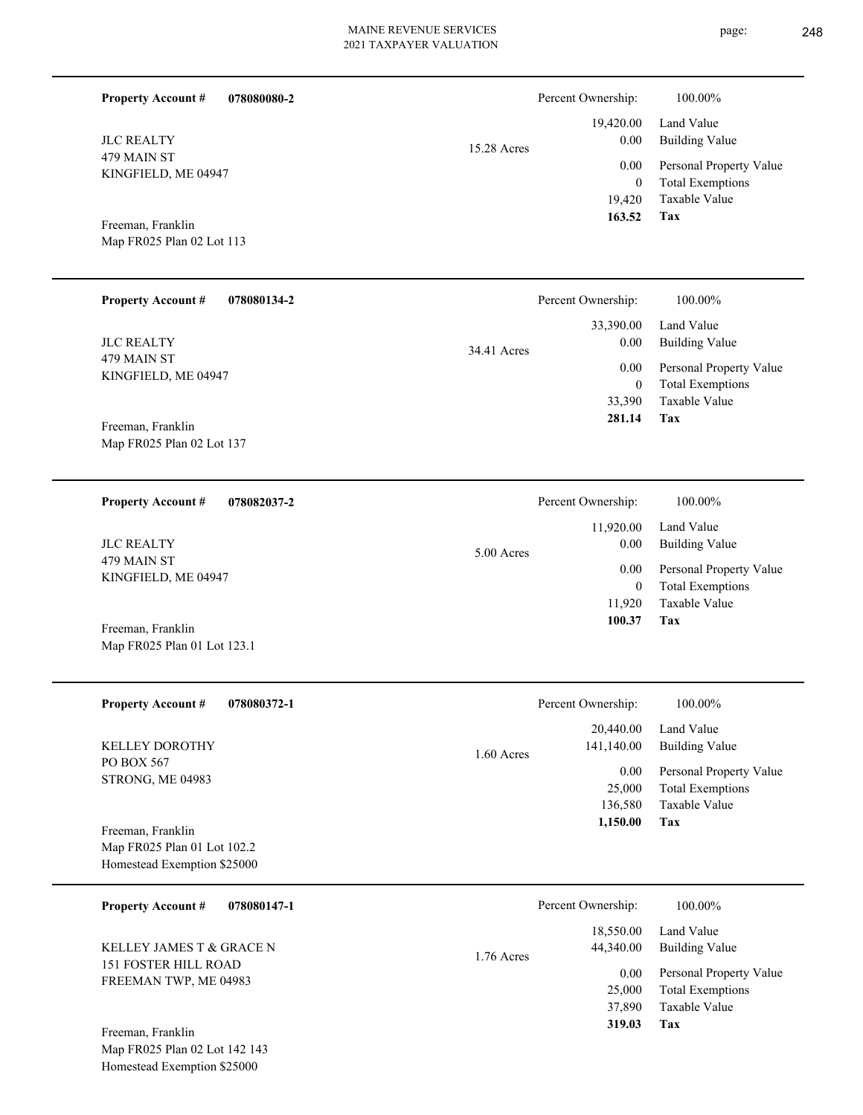| <b>Property Account #</b> | 078080080-2 |
|---------------------------|-------------|
|                           |             |

479 MAIN ST KINGFIELD, ME 04947 JLC REALTY

Map FR025 Plan 02 Lot 113 Freeman, Franklin

**078080134-2 Property Account #**

479 MAIN ST KINGFIELD, ME 04947 JLC REALTY

Map FR025 Plan 02 Lot 137 Freeman, Franklin

**078082037-2 Property Account #**

479 MAIN ST KINGFIELD, ME 04947 JLC REALTY

Map FR025 Plan 01 Lot 123.1 Freeman, Franklin

| <b>Property Account #</b><br>078080372-1 | Percent Ownership:         | 100.00%                 |
|------------------------------------------|----------------------------|-------------------------|
|                                          | 20,440.00                  | Land Value              |
| <b>KELLEY DOROTHY</b>                    | 141,140.00<br>$1.60$ Acres | Building Value          |
| PO BOX 567<br><b>STRONG, ME 04983</b>    | 0.00                       | Personal Property Value |
|                                          | 25,000                     | <b>Total Exemptions</b> |
|                                          | 136,580                    | Taxable Value           |
| Freeman, Franklin                        | 1,150.00                   | Tax                     |
| Map FR025 Plan 01 Lot 102.2              |                            |                         |
| Homestead Exemption \$25000              |                            |                         |

| 078080147-1<br><b>Property Account #</b>                                                                                                                             | Percent Ownership:                     | 100.00%                             |
|----------------------------------------------------------------------------------------------------------------------------------------------------------------------|----------------------------------------|-------------------------------------|
| KELLEY JAMES T & GRACE N                                                                                                                                             | 18,550.00<br>44,340.00<br>$1.76$ Acres | Land Value<br><b>Building Value</b> |
| <b>151 FOSTER HILL ROAD</b><br>FREEMAN TWP, ME 04983                                                                                                                 |                                        | Personal Property Value<br>0.00     |
|                                                                                                                                                                      | 25,000                                 | <b>Total Exemptions</b>             |
|                                                                                                                                                                      | 37,890                                 | Taxable Value                       |
| Freeman, Franklin<br>$\mathbf{M} = \mathbf{F} \mathbf{D} \mathbf{A} \mathbf{C} \mathbf{D} \mathbf{I}$ and $\mathbf{A} \mathbf{A} = \mathbf{A} \mathbf{A} \mathbf{A}$ | 319.03                                 | Tax                                 |

Map FR025 Plan 02 Lot 142 143 Homestead Exemption \$25000

|             | Percent Ownership: | 100.00%                 |
|-------------|--------------------|-------------------------|
|             |                    | 19,420.00 Land Value    |
| 15.28 Acres | 0.00               | Building Value          |
|             | 0.00               | Personal Property Value |
|             | $\theta$           | <b>Total Exemptions</b> |
|             |                    | 19.420 Taxable Value    |
|             | 163.52             | Tax                     |

|             | Percent Ownership: | 100.00%                 |
|-------------|--------------------|-------------------------|
|             |                    | 33,390.00 Land Value    |
| 34.41 Acres | 0.00               | Building Value          |
|             | 0.00               | Personal Property Value |
|             | 0                  | <b>Total Exemptions</b> |
|             | 33,390             | Taxable Value           |
|             | 281.14             | Tax                     |
|             |                    |                         |

|              | Percent Ownership:            | 100.00%                                                                    |
|--------------|-------------------------------|----------------------------------------------------------------------------|
| $5.00$ Acres | 0.00                          | 11,920.00 Land Value<br>Building Value                                     |
|              | 0.00<br>0<br>11,920<br>100.37 | Personal Property Value<br><b>Total Exemptions</b><br>Taxable Value<br>Tax |

|          | Percent Ownership: | 100.00%                 |
|----------|--------------------|-------------------------|
|          | 20,440.00          | Land Value              |
| 60 Acres | 141,140.00         | <b>Building Value</b>   |
|          | 0.00               | Personal Property Value |
|          | 25,000             | <b>Total Exemptions</b> |
|          | 136,580            | Taxable Value           |
|          | 1,150.00           | Tax                     |
|          |                    |                         |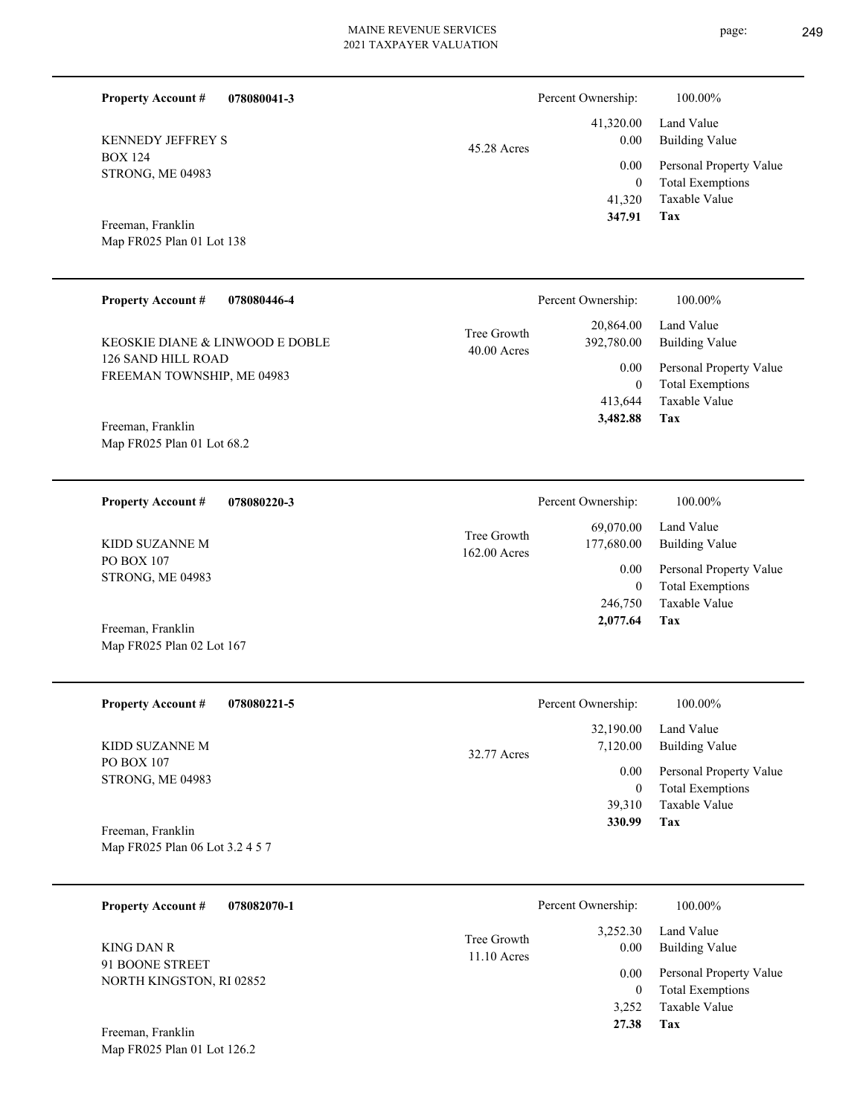| <b>Property Account #</b>                                      | 078080041-3 |                              | Percent Ownership:                                  | 100.00%                                                                                                    |
|----------------------------------------------------------------|-------------|------------------------------|-----------------------------------------------------|------------------------------------------------------------------------------------------------------------|
| <b>KENNEDY JEFFREY S</b><br><b>BOX 124</b><br>STRONG, ME 04983 |             | 45.28 Acres                  | 41,320.00<br>0.00<br>0.00<br>$\mathbf{0}$<br>41,320 | Land Value<br><b>Building Value</b><br>Personal Property Value<br><b>Total Exemptions</b><br>Taxable Value |
| Freeman, Franklin<br>Map FR025 Plan 01 Lot 138                 |             |                              | 347.91                                              | Tax                                                                                                        |
| <b>Property Account #</b>                                      | 078080446-4 |                              | Percent Ownership:                                  | 100.00%                                                                                                    |
| KEOSKIE DIANE & LINWOOD E DOBLE<br>126 SAND HILL ROAD          |             | Tree Growth<br>$40.00$ Acres | 20,864.00<br>392,780.00                             | Land Value<br><b>Building Value</b>                                                                        |
| FREEMAN TOWNSHIP, ME 04983                                     |             |                              | 0.00<br>$\mathbf{0}$<br>413,644                     | Personal Property Value<br><b>Total Exemptions</b><br>Taxable Value                                        |
| Freeman, Franklin<br>Map FR025 Plan 01 Lot 68.2                |             |                              | 3,482.88                                            | Tax                                                                                                        |
| <b>Property Account #</b>                                      | 078080220-3 |                              | Percent Ownership:                                  | 100.00%                                                                                                    |
| KIDD SUZANNE M                                                 |             | Tree Growth<br>162.00 Acres  | 69,070.00<br>177,680.00                             | Land Value<br><b>Building Value</b>                                                                        |
| PO BOX 107<br>STRONG, ME 04983                                 |             |                              | 0.00<br>$\mathbf{0}$                                | Personal Property Value<br><b>Total Exemptions</b>                                                         |
| Freeman, Franklin<br>Map FR025 Plan 02 Lot 167                 |             |                              | 246,750<br>2,077.64                                 | Taxable Value<br>Tax                                                                                       |
| <b>Property Account #</b>                                      | 078080221-5 |                              | Percent Ownership:                                  | 100.00%                                                                                                    |
| KIDD SUZANNE M                                                 |             | 32.77 Acres                  | 32,190.00<br>7,120.00                               | Land Value<br><b>Building Value</b>                                                                        |
| PO BOX 107<br>STRONG, ME 04983<br>Freeman, Franklin            |             |                              | 0.00<br>$\mathbf{0}$<br>39,310<br>330.99            | Personal Property Value<br><b>Total Exemptions</b><br>Taxable Value<br>Tax                                 |
| Map FR025 Plan 06 Lot 3.2 4 5 7                                |             |                              |                                                     |                                                                                                            |
| <b>Property Account #</b>                                      | 078082070-1 |                              | Percent Ownership:                                  | 100.00%                                                                                                    |
| <b>KING DAN R</b>                                              |             | Tree Growth<br>11.10 Acres   | 3,252.30<br>0.00                                    | Land Value<br><b>Building Value</b>                                                                        |
| 91 BOONE STREET<br>NORTH KINGSTON, RI 02852                    |             |                              | 0.00<br>$\mathbf{0}$<br>3,252                       | Personal Property Value<br><b>Total Exemptions</b><br>Taxable Value                                        |
| Freeman, Franklin<br>Map FR025 Plan 01 Lot 126.2               |             |                              | 27.38                                               | Tax                                                                                                        |
|                                                                |             |                              |                                                     |                                                                                                            |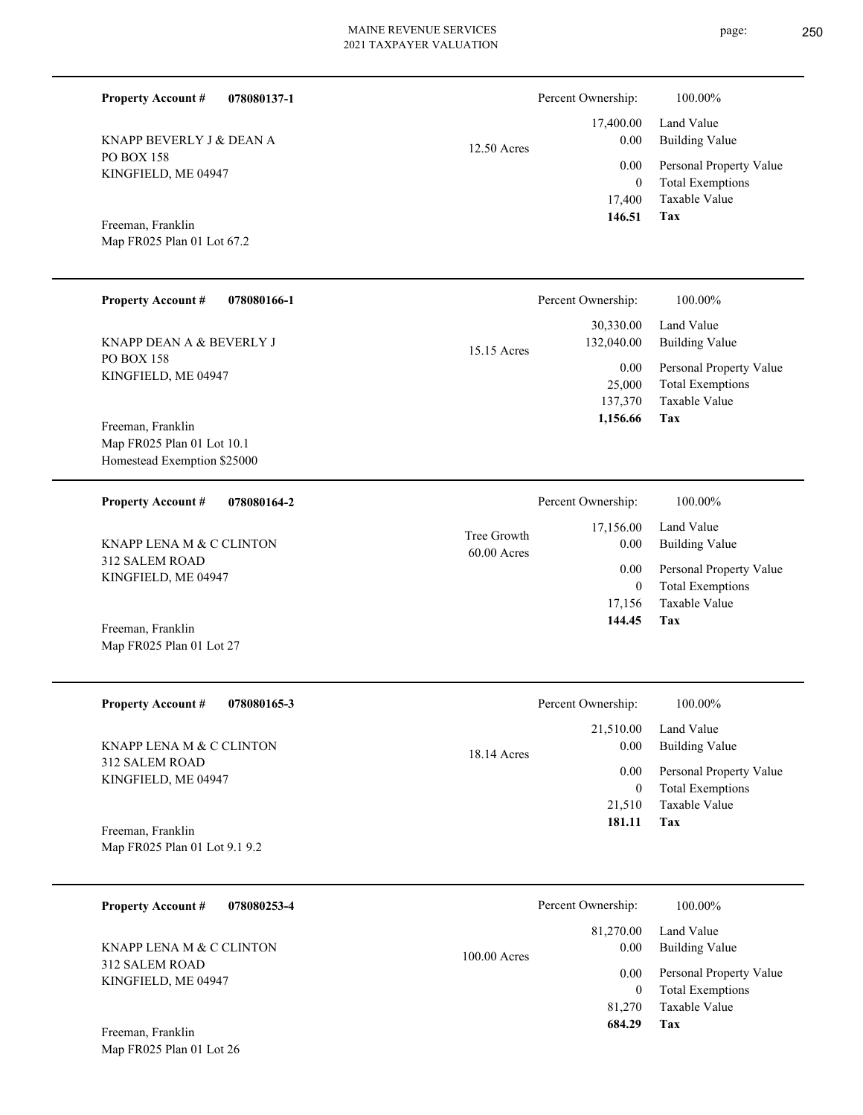| <b>Property Account #</b><br>078080137-1                                       |                              | Percent Ownership:                       | 100.00%                                                                    |
|--------------------------------------------------------------------------------|------------------------------|------------------------------------------|----------------------------------------------------------------------------|
| KNAPP BEVERLY J & DEAN A                                                       | 12.50 Acres                  | 17,400.00<br>0.00                        | Land Value<br><b>Building Value</b>                                        |
| <b>PO BOX 158</b><br>KINGFIELD, ME 04947                                       |                              | 0.00<br>$\mathbf{0}$<br>17,400           | Personal Property Value<br><b>Total Exemptions</b><br>Taxable Value        |
| Freeman, Franklin<br>Map FR025 Plan 01 Lot 67.2                                |                              | 146.51                                   | Tax                                                                        |
| <b>Property Account #</b><br>078080166-1                                       |                              | Percent Ownership:                       | 100.00%                                                                    |
| KNAPP DEAN A & BEVERLY J                                                       | 15.15 Acres                  | 30,330.00<br>132,040.00                  | Land Value<br><b>Building Value</b>                                        |
| <b>PO BOX 158</b><br>KINGFIELD, ME 04947                                       |                              | 0.00<br>25,000<br>137,370<br>1,156.66    | Personal Property Value<br><b>Total Exemptions</b><br>Taxable Value<br>Tax |
| Freeman, Franklin<br>Map FR025 Plan 01 Lot 10.1<br>Homestead Exemption \$25000 |                              |                                          |                                                                            |
| <b>Property Account #</b><br>078080164-2                                       |                              | Percent Ownership:                       | 100.00%                                                                    |
| KNAPP LENA M & C CLINTON                                                       | Tree Growth<br>$60.00$ Acres | 17,156.00<br>0.00                        | Land Value<br><b>Building Value</b>                                        |
| 312 SALEM ROAD<br>KINGFIELD, ME 04947                                          |                              |                                          | Personal Property Value<br><b>Total Exemptions</b><br>Taxable Value        |
| Freeman, Franklin<br>Map FR025 Plan 01 Lot 27                                  |                              | 144.45                                   | Tax                                                                        |
| <b>Property Account #</b><br>078080165-3                                       |                              | Percent Ownership:                       | 100.00%                                                                    |
| KNAPP LENA M & C CLINTON                                                       | 18.14 Acres                  | 21,510.00<br>0.00                        | Land Value<br><b>Building Value</b>                                        |
| <b>312 SALEM ROAD</b><br>KINGFIELD, ME 04947                                   |                              | 0.00<br>$\boldsymbol{0}$                 | Personal Property Value<br><b>Total Exemptions</b>                         |
| Freeman, Franklin                                                              |                              | 21,510<br>181.11                         | Taxable Value<br>Tax                                                       |
| Map FR025 Plan 01 Lot 9.1 9.2                                                  |                              |                                          |                                                                            |
| <b>Property Account #</b><br>078080253-4                                       |                              | Percent Ownership:                       | 100.00%                                                                    |
| KNAPP LENA M & C CLINTON                                                       | 100.00 Acres                 | 81,270.00<br>0.00                        | Land Value<br><b>Building Value</b>                                        |
| 312 SALEM ROAD<br>KINGFIELD, ME 04947                                          |                              | 0.00<br>$\mathbf{0}$<br>81,270<br>684.29 | Personal Property Value<br><b>Total Exemptions</b><br>Taxable Value<br>Tax |
| Freeman, Franklin<br>Map FR025 Plan 01 Lot 26                                  |                              |                                          |                                                                            |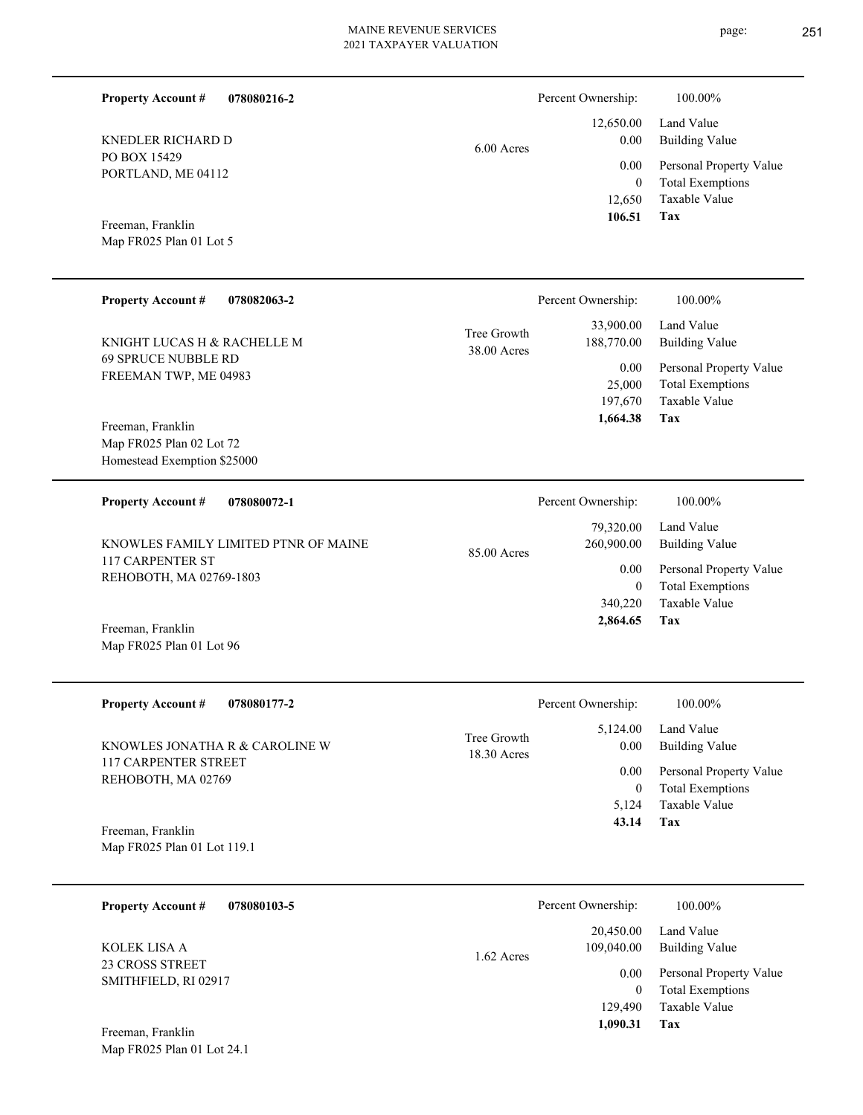**078080216-2**

 12,650 0  **106.51** 0.00

6.00 Acres

| <b>Property Account #</b><br>078082063-2                                     | Percent Ownership:         |                                                      | 100.00%                                                                                             |
|------------------------------------------------------------------------------|----------------------------|------------------------------------------------------|-----------------------------------------------------------------------------------------------------|
| KNIGHT LUCAS H & RACHELLE M<br>69 SPRUCE NUBBLE RD<br>FREEMAN TWP, ME 04983  | Tree Growth<br>38.00 Acres | 33,900.00<br>188,770.00<br>0.00<br>25,000<br>197,670 | Land Value<br>Building Value<br>Personal Property Value<br><b>Total Exemptions</b><br>Taxable Value |
| Freeman, Franklin<br>Map FR025 Plan 02 Lot 72<br>Homestead Exemption \$25000 |                            | 1,664.38                                             | Tax                                                                                                 |

| <b>Property Account #</b><br>078080072-1                                            | Percent Ownership:                     | 100.00%                                            |
|-------------------------------------------------------------------------------------|----------------------------------------|----------------------------------------------------|
| KNOWLES FAMILY LIMITED PTNR OF MAINE<br>117 CARPENTER ST<br>REHOBOTH, MA 02769-1803 | 79,320.00<br>260,900.00<br>85.00 Acres | Land Value<br>Building Value                       |
|                                                                                     | 0.00<br>0                              | Personal Property Value<br><b>Total Exemptions</b> |
|                                                                                     | 340,220                                | Taxable Value                                      |
| $-1$ $-1$                                                                           | 2,864.65                               | Tax                                                |

Map FR025 Plan 01 Lot 96 Freeman, Franklin

PO BOX 15429

**Property Account #**

PORTLAND, ME 04112

KNEDLER RICHARD D

Map FR025 Plan 01 Lot 5 Freeman, Franklin

| <b>Property Account #</b><br>078080177-2                                            | Percent Ownership:                                                            | 100.00%                                                                                             |
|-------------------------------------------------------------------------------------|-------------------------------------------------------------------------------|-----------------------------------------------------------------------------------------------------|
| KNOWLES JONATHA R & CAROLINE W<br><b>117 CARPENTER STREET</b><br>REHOBOTH, MA 02769 | 5,124.00<br>Tree Growth<br>0.00<br>$18.30$ Acres<br>0.00<br>$\theta$<br>5.124 | Land Value<br>Building Value<br>Personal Property Value<br><b>Total Exemptions</b><br>Taxable Value |
| Freeman, Franklin<br>Map FR025 Plan 01 Lot 119.1                                    | 43.14                                                                         | Tax                                                                                                 |
| <b>Property Account #</b><br>078080103-5                                            | Percent Ownership:                                                            | 100.00%                                                                                             |
|                                                                                     | 20.450.00                                                                     | Land Value                                                                                          |

1.62 Acres

23 CROSS STREET SMITHFIELD, RI 02917 KOLEK LISA A

Map FR025 Plan 01 Lot 24.1 Freeman, Franklin

**Tax**

**Tax**

 129,490  $\boldsymbol{0}$ 

0.00

109,040.00

 **1,090.31**

Taxable Value Total Exemptions Personal Property Value

Building Value

 12,650.00 0.00

Percent Ownership:  $100.00\%$ 

Taxable Value Total Exemptions Personal Property Value

Building Value Land Value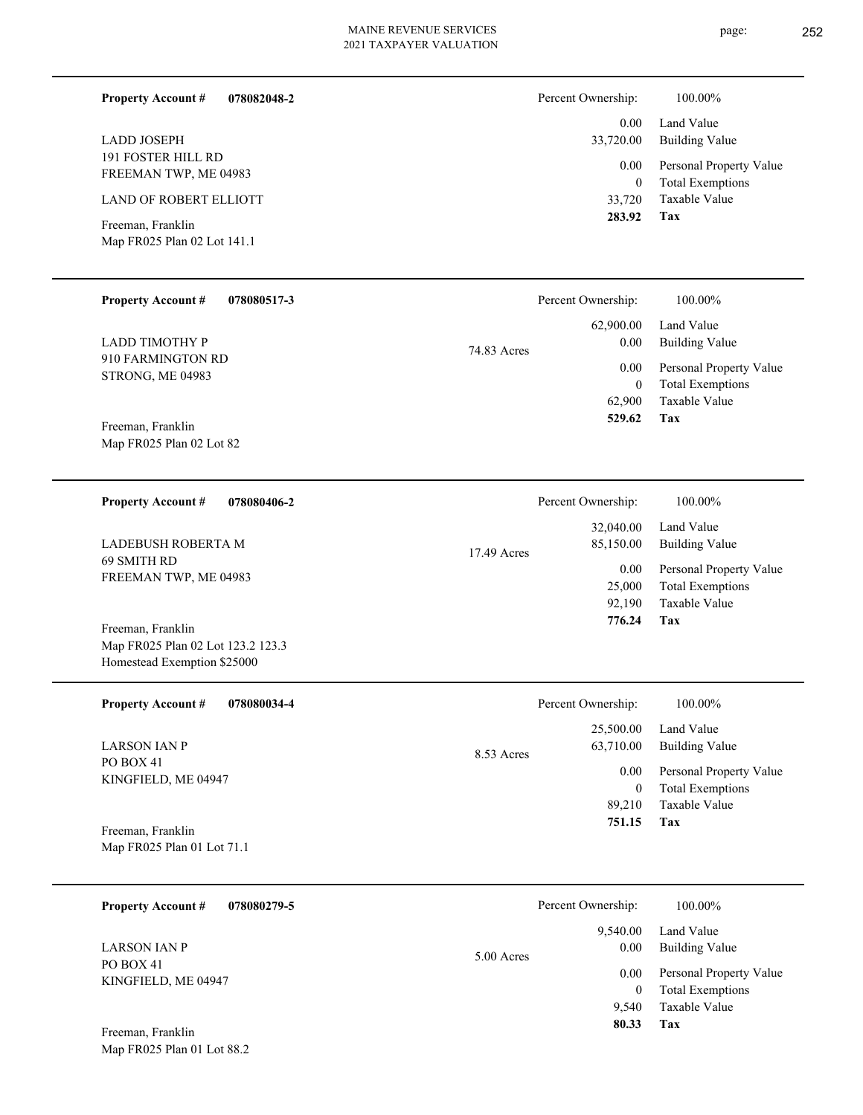**078082048-2**

| LADD JOSEPH               |  |
|---------------------------|--|
| <b>191 FOSTER HILL RD</b> |  |
| FREEMAN TWP, ME 04983     |  |
|                           |  |

LAND OF ROBERT ELLIOTT

**Property Account #**

Map FR025 Plan 02 Lot 141.1 Freeman, Franklin

Map FR025 Plan 02 Lot 123.2 123.3 Homestead Exemption \$25000

Map FR025 Plan 01 Lot 88.2

| Percent Ownership:    | 100.00%                                            |
|-----------------------|----------------------------------------------------|
| $0.00 -$<br>33,720.00 | Land Value<br>Building Value                       |
| $0.00\,$<br>0         | Personal Property Value<br><b>Total Exemptions</b> |
| 33,720                | Taxable Value                                      |
| 283.92                | Tax                                                |

| <b>Property Account #</b><br>078080517-3     | Percent Ownership:  | 100.00%                                            |
|----------------------------------------------|---------------------|----------------------------------------------------|
|                                              | 62,900.00           | Land Value                                         |
| <b>LADD TIMOTHY P</b>                        | 0.00<br>74.83 Acres | Building Value                                     |
| 910 FARMINGTON RD<br><b>STRONG, ME 04983</b> | 0.00<br>0           | Personal Property Value<br><b>Total Exemptions</b> |
|                                              | 62,900              | Taxable Value                                      |
| Freeman, Franklin                            | 529.62              | Tax                                                |
| Map FR025 Plan 02 Lot 82                     |                     |                                                    |

| 078080406-2<br><b>Property Account #</b>                   | Percent Ownership:                      | 100.00%                                            |
|------------------------------------------------------------|-----------------------------------------|----------------------------------------------------|
| LADEBUSH ROBERTA M<br>69 SMITH RD<br>FREEMAN TWP, ME 04983 | 32,040.00<br>85,150.00<br>$17.49$ Acres | Land Value<br>Building Value                       |
|                                                            | 0.00<br>25,000                          | Personal Property Value<br><b>Total Exemptions</b> |
| Freeman, Franklin                                          | 92,190<br>776.24                        | Taxable Value<br>Tax                               |

| <b>Property Account #</b><br>078080034-4 | Percent Ownership:      | 100.00%                 |
|------------------------------------------|-------------------------|-------------------------|
|                                          | 25,500.00               | Land Value              |
| <b>LARSON JAN P</b>                      | 63,710.00<br>8.53 Acres | <b>Building Value</b>   |
| PO BOX 41<br>KINGFIELD, ME 04947         | 0.00                    | Personal Property Value |
|                                          | 0                       | <b>Total Exemptions</b> |
|                                          | 89.210                  | Taxable Value           |
| Freeman, Franklin                        | 751.15                  | Tax                     |
| Map FR025 Plan 01 Lot 71.1               |                         |                         |

| 078080279-5<br><b>Property Account #</b>                | Percent Ownership:               | 100.00%                                            |
|---------------------------------------------------------|----------------------------------|----------------------------------------------------|
| <b>LARSON JAN P</b><br>PO BOX 41<br>KINGFIELD, ME 04947 | 9.540.00<br>0.00<br>$5.00$ Acres | Land Value<br><b>Building Value</b>                |
|                                                         | 0.00<br>$\overline{0}$           | Personal Property Value<br><b>Total Exemptions</b> |
| Freeman, Franklin                                       | 9.540<br>80.33                   | Taxable Value<br>Tax                               |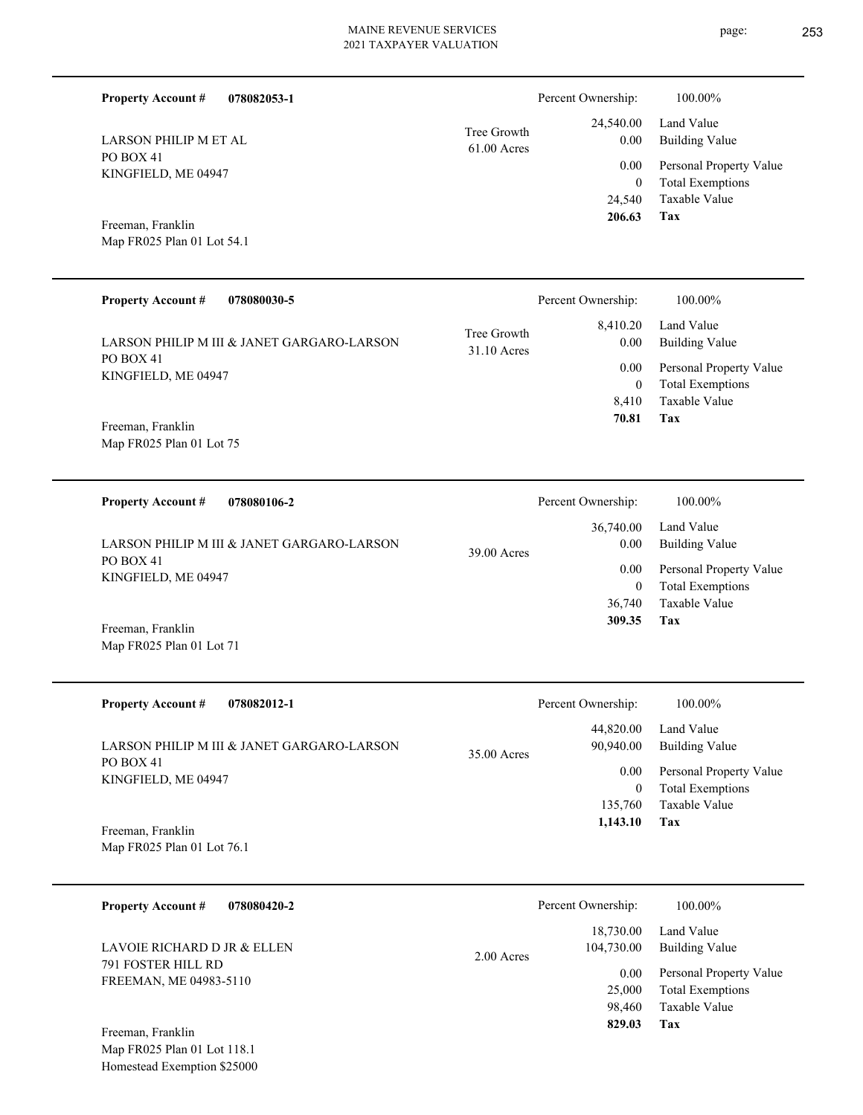**078082053-1**

PO BOX 41

**Property Account #**

LARSON PHILIP M ET AL

| PO BOX 41<br>KINGFIELD, ME 04947                |                            | 0.00<br>$\mathbf{0}$<br>24,540 | Personal Property Value<br><b>Total Exemptions</b><br>Taxable Value |
|-------------------------------------------------|----------------------------|--------------------------------|---------------------------------------------------------------------|
| Freeman, Franklin<br>Map FR025 Plan 01 Lot 54.1 |                            | 206.63                         | Tax                                                                 |
| <b>Property Account #</b><br>078080030-5        |                            | Percent Ownership:             | 100.00%                                                             |
| LARSON PHILIP M III & JANET GARGARO-LARSON      | Tree Growth<br>31.10 Acres | 8,410.20<br>0.00               | Land Value<br><b>Building Value</b>                                 |
| PO BOX 41                                       |                            | 0.00                           | Personal Property Value                                             |
| KINGFIELD, ME 04947                             |                            | $\mathbf{0}$                   | <b>Total Exemptions</b>                                             |
|                                                 |                            | 8,410                          | Taxable Value                                                       |
| Freeman, Franklin                               |                            | 70.81                          | Tax                                                                 |
| Map FR025 Plan 01 Lot 75                        |                            |                                |                                                                     |

61.00 Acres Tree Growth

| 078080106-2<br><b>Property Account #</b>                | Percent Ownership:  | 100.00%                 |
|---------------------------------------------------------|---------------------|-------------------------|
|                                                         | 36,740.00           | Land Value              |
| LARSON PHILIP M III & JANET GARGARO-LARSON<br>PO BOX 41 | 0.00<br>39.00 Acres | <b>Building Value</b>   |
| KINGFIELD, ME 04947                                     | 0.00                | Personal Property Value |
|                                                         | 0                   | <b>Total Exemptions</b> |
|                                                         | 36,740              | Taxable Value           |
| Freeman, Franklin                                       | 309.35              | Tax                     |

| <b>Property Account #</b><br>078082012-1   | Percent Ownership:                      | 100.00%                                            |
|--------------------------------------------|-----------------------------------------|----------------------------------------------------|
| LARSON PHILIP M III & JANET GARGARO-LARSON | 44,820.00<br>90,940.00<br>$35.00$ Acres | Land Value<br>Building Value                       |
| PO BOX 41<br>KINGFIELD, ME 04947           | 0.00<br>0                               | Personal Property Value<br><b>Total Exemptions</b> |
|                                            | 135,760                                 | Taxable Value                                      |
| Freeman, Franklin                          | 1,143.10                                | Tax                                                |

Map FR025 Plan 01 Lot 76.1

Map FR025 Plan 01 Lot 71

| 078080420-2<br><b>Property Account #</b>                                                         | Percent Ownership:                                                            | 100.00%                                                                                                           |
|--------------------------------------------------------------------------------------------------|-------------------------------------------------------------------------------|-------------------------------------------------------------------------------------------------------------------|
| LAVOIE RICHARD D JR & ELLEN<br>791 FOSTER HILL RD<br>FREEMAN, ME 04983-5110<br>Freeman, Franklin | 18,730.00<br>104,730.00<br>$2.00$ Acres<br>0.00<br>25,000<br>98,460<br>829.03 | Land Value<br><b>Building Value</b><br>Personal Property Value<br><b>Total Exemptions</b><br>Taxable Value<br>Tax |

Map FR025 Plan 01 Lot 118.1 Homestead Exemption \$25000 Building Value Land Value

 24,540.00 0.00

Percent Ownership:  $100.00\%$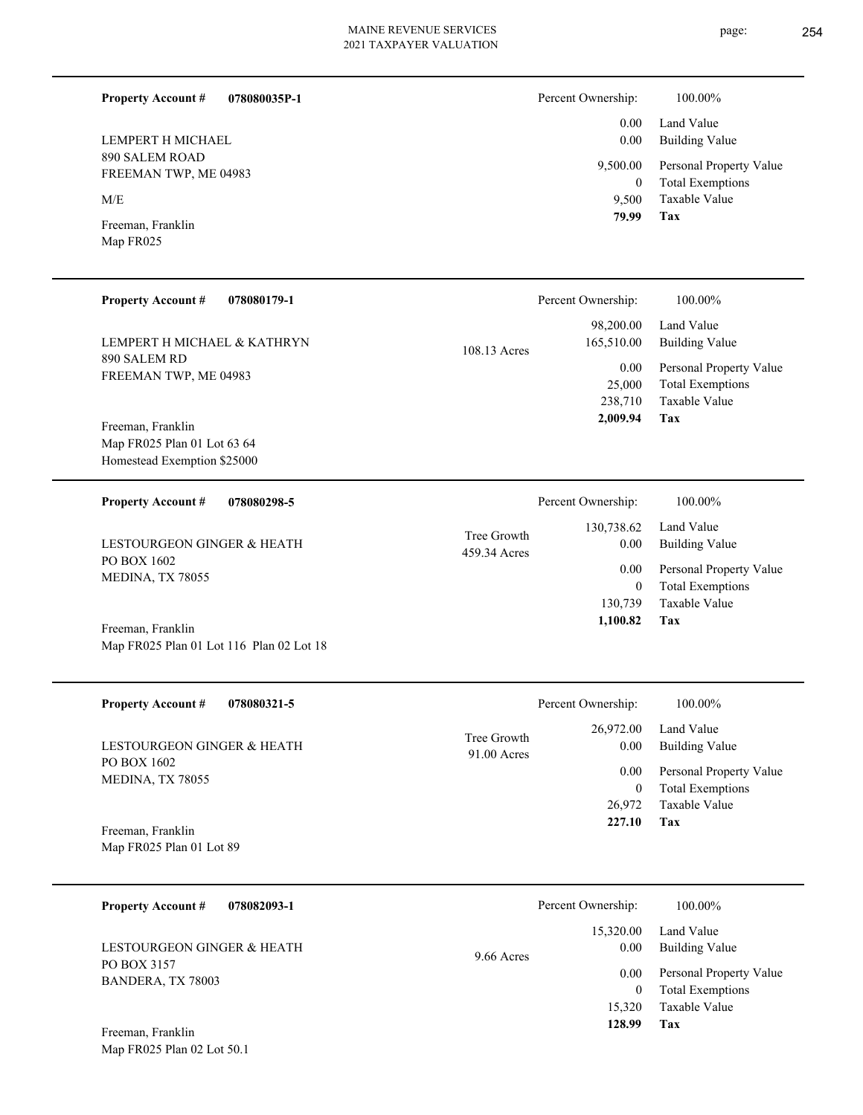Percent Ownership:  $100.00\%$ 

**Tax 128.99**

| page: | 254 |
|-------|-----|
|       |     |

| LEMPERT H MICHAEL                                                               |                             | 0.00<br>0.00                                 | Land Value<br><b>Building Value</b>                                        |
|---------------------------------------------------------------------------------|-----------------------------|----------------------------------------------|----------------------------------------------------------------------------|
| 890 SALEM ROAD<br>FREEMAN TWP, ME 04983                                         |                             | 9,500.00<br>$\boldsymbol{0}$                 | Personal Property Value<br><b>Total Exemptions</b>                         |
| M/E                                                                             |                             | 9,500                                        | Taxable Value                                                              |
| Freeman, Franklin<br>Map FR025                                                  |                             | 79.99                                        | Tax                                                                        |
| <b>Property Account #</b><br>078080179-1                                        |                             | Percent Ownership:                           | 100.00%                                                                    |
| LEMPERT H MICHAEL & KATHRYN                                                     | 108.13 Acres                | 98,200.00<br>165,510.00                      | Land Value<br><b>Building Value</b>                                        |
| 890 SALEM RD<br>FREEMAN TWP, ME 04983                                           |                             | 0.00<br>25,000<br>238,710<br>2,009.94        | Personal Property Value<br><b>Total Exemptions</b><br>Taxable Value<br>Tax |
| Freeman, Franklin<br>Map FR025 Plan 01 Lot 63 64<br>Homestead Exemption \$25000 |                             |                                              |                                                                            |
| <b>Property Account #</b><br>078080298-5                                        |                             | Percent Ownership:                           | 100.00%                                                                    |
| LESTOURGEON GINGER & HEATH                                                      | Tree Growth<br>459.34 Acres | 130,738.62<br>0.00                           | Land Value<br><b>Building Value</b>                                        |
| PO BOX 1602<br>MEDINA, TX 78055                                                 |                             | 0.00<br>$\mathbf{0}$<br>130,739              | Personal Property Value<br><b>Total Exemptions</b><br>Taxable Value        |
| Freeman, Franklin<br>Map FR025 Plan 01 Lot 116 Plan 02 Lot 18                   |                             | 1,100.82                                     | <b>Tax</b>                                                                 |
| <b>Property Account #</b><br>078080321-5                                        |                             | Percent Ownership:                           | 100.00%                                                                    |
| LESTOURGEON GINGER & HEATH                                                      | Tree Growth<br>91.00 Acres  | 26,972.00                                    | Land Value<br>0.00 Building Value                                          |
| PO BOX 1602<br>MEDINA, TX 78055<br>Freeman, Franklin                            |                             | 0.00<br>$\boldsymbol{0}$<br>26,972<br>227.10 | Personal Property Value<br><b>Total Exemptions</b><br>Taxable Value<br>Tax |
| Map FR025 Plan 01 Lot 89                                                        |                             |                                              |                                                                            |
| <b>Property Account #</b><br>078082093-1                                        |                             | Percent Ownership:                           | 100.00%                                                                    |
| LESTOURGEON GINGER & HEATH                                                      | 9.66 Acres                  | 15,320.00<br>0.00                            | Land Value<br><b>Building Value</b>                                        |
| PO BOX 3157<br>BANDERA, TX 78003                                                |                             | 0.00<br>$\boldsymbol{0}$<br>15,320           | Personal Property Value<br><b>Total Exemptions</b><br>Taxable Value        |

Map FR025 Plan 02 Lot 50.1 Freeman, Franklin

**078080035P-1**

**Property Account #**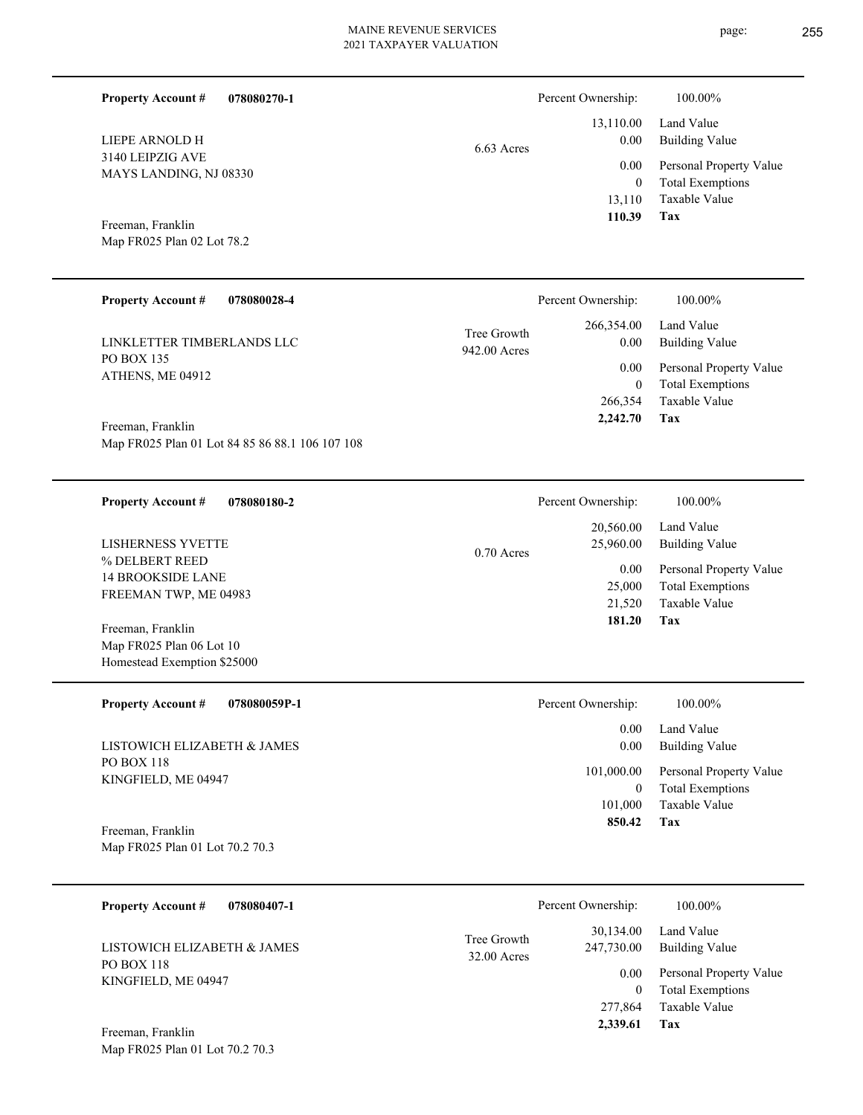Percent Ownership:  $100.00\%$ 

942.00 Acres Tree Growth

|            | $\mathbf{r}$ creamed with $\mathbf{r}$ . | 1 0 0 1 0 0 7 0              |
|------------|------------------------------------------|------------------------------|
|            |                                          | 13,110.00 Land Value         |
| 6.63 Acres | $0.00\,$                                 | <b>Building Value</b>        |
|            |                                          | 0.00 Personal Property Value |
|            | $\theta$                                 | <b>Total Exemptions</b>      |
|            |                                          | 13,110 Taxable Value         |
|            | 110.39                                   | Tax                          |

**Tax**

 266,354 0

 266,354.00 0.00 0.00

Percent Ownership:  $100.00\%$ 

 **2,242.70**

Taxable Value Total Exemptions Personal Property Value

Building Value Land Value

Map FR025 Plan 02 Lot 78.2 Freeman, Franklin

MAYS LANDING, NJ 08330

3140 LEIPZIG AVE

LIEPE ARNOLD H

**Property Account #**

**078080028-4 Property Account #**

**078080270-1**

PO BOX 135 ATHENS, ME 04912 LINKLETTER TIMBERLANDS LLC

Map FR025 Plan 01 Lot 84 85 86 88.1 106 107 108 Freeman, Franklin

**078080180-2 Tax** Taxable Value Total Exemptions Personal Property Value Building Value Land Value % DELBERT REED 14 BROOKSIDE LANE FREEMAN TWP, ME 04983 **Property Account #** Map FR025 Plan 06 Lot 10 Freeman, Franklin LISHERNESS YVETTE 21,520 25,000  **181.20** 20,560.00 25,960.00 0.00 0.70 Acres Percent Ownership:  $100.00\%$ 

**078080059P-1 Tax** Taxable Value Total Exemptions Personal Property Value Building Value Land Value PO BOX 118 KINGFIELD, ME 04947 **Property Account #** Freeman, Franklin LISTOWICH ELIZABETH & JAMES 101,000 0  **850.42** 0.00 0.00 101,000.00 Percent Ownership:  $100.00\%$ 

Map FR025 Plan 01 Lot 70.2 70.3

Homestead Exemption \$25000

| <b>Property Account #</b><br>078080407-1          |                              | Percent Ownership:      | 100.00%                                            |
|---------------------------------------------------|------------------------------|-------------------------|----------------------------------------------------|
| LISTOWICH ELIZABETH & JAMES                       | Tree Growth<br>$32.00$ Acres | 30.134.00<br>247,730.00 | Land Value<br>Building Value                       |
| PO BOX 118<br>KINGFIELD, ME 04947                 |                              | 0.00                    | Personal Property Value<br><b>Total Exemptions</b> |
|                                                   |                              | 277,864                 | Taxable Value                                      |
| $\Gamma_{\text{max}}$ $\Gamma_{\text{max}}$ 1.11. |                              | 2.339.61                | Tax                                                |

Map FR025 Plan 01 Lot 70.2 70.3 Freeman, Franklin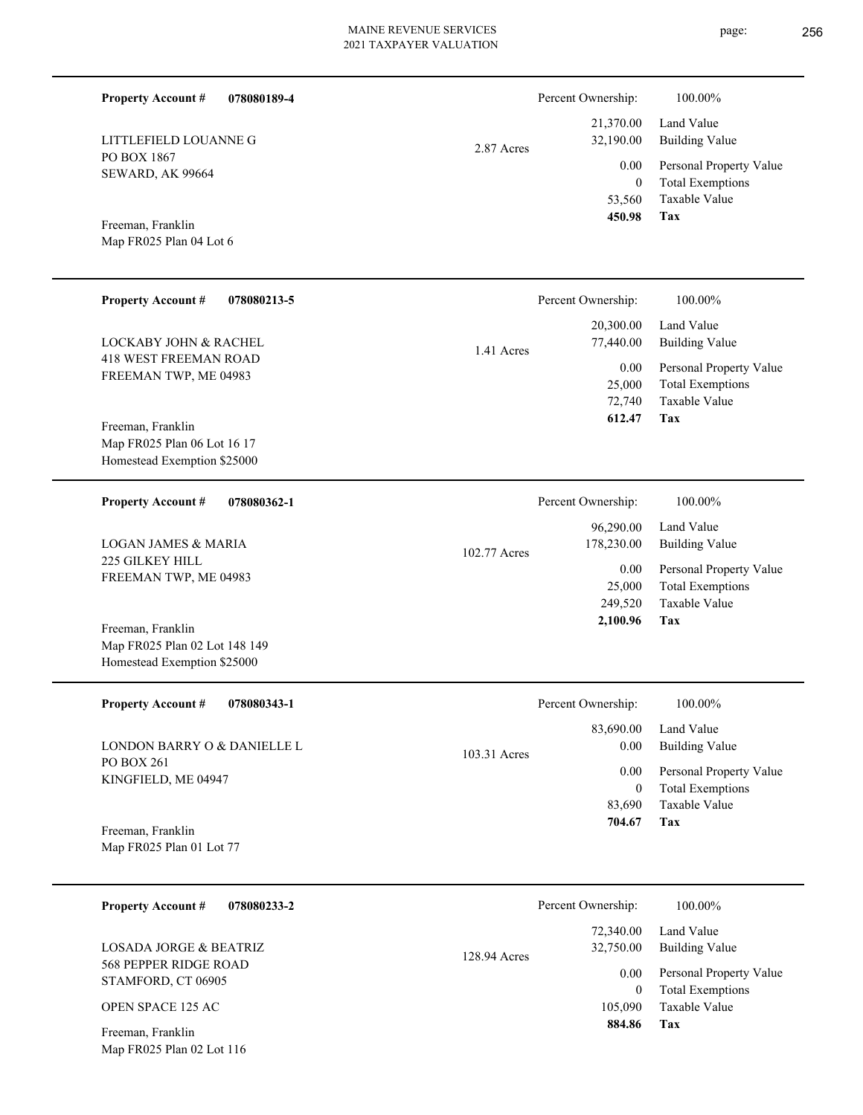| <b>Property Account #</b>                                                         | 078080189-4 |              | Percent Ownership:                           | 100.00%                                                                           |
|-----------------------------------------------------------------------------------|-------------|--------------|----------------------------------------------|-----------------------------------------------------------------------------------|
| LITTLEFIELD LOUANNE G                                                             |             | 2.87 Acres   | 21,370.00<br>32,190.00                       | Land Value<br><b>Building Value</b>                                               |
| PO BOX 1867<br>SEWARD, AK 99664                                                   |             |              | 0.00<br>$\mathbf{0}$<br>53,560<br>450.98     | Personal Property Value<br><b>Total Exemptions</b><br>Taxable Value<br>Tax        |
| Freeman, Franklin<br>Map FR025 Plan 04 Lot 6                                      |             |              |                                              |                                                                                   |
| <b>Property Account #</b>                                                         | 078080213-5 |              | Percent Ownership:                           | 100.00%                                                                           |
| <b>LOCKABY JOHN &amp; RACHEL</b>                                                  |             | 1.41 Acres   | 20,300.00<br>77,440.00                       | Land Value<br><b>Building Value</b>                                               |
| <b>418 WEST FREEMAN ROAD</b><br>FREEMAN TWP, ME 04983                             |             |              | 0.00<br>25,000<br>72,740<br>612.47           | Personal Property Value<br><b>Total Exemptions</b><br>Taxable Value<br><b>Tax</b> |
| Freeman, Franklin<br>Map FR025 Plan 06 Lot 16 17<br>Homestead Exemption \$25000   |             |              |                                              |                                                                                   |
| <b>Property Account #</b>                                                         | 078080362-1 |              | Percent Ownership:                           | 100.00%                                                                           |
| <b>LOGAN JAMES &amp; MARIA</b>                                                    |             | 102.77 Acres | 96,290.00<br>178,230.00                      | Land Value<br><b>Building Value</b>                                               |
| 225 GILKEY HILL<br>FREEMAN TWP, ME 04983                                          |             |              | 0.00<br>25,000<br>249,520<br>2,100.96        | Personal Property Value<br><b>Total Exemptions</b><br>Taxable Value<br>Tax        |
| Freeman, Franklin<br>Map FR025 Plan 02 Lot 148 149<br>Homestead Exemption \$25000 |             |              |                                              |                                                                                   |
| <b>Property Account #</b>                                                         | 078080343-1 |              | Percent Ownership:                           | 100.00%                                                                           |
| LONDON BARRY O & DANIELLE L                                                       |             | 103.31 Acres | 83,690.00<br>$0.00\,$                        | Land Value<br><b>Building Value</b>                                               |
| PO BOX 261<br>KINGFIELD, ME 04947<br>Freeman, Franklin                            |             |              | 0.00<br>$\boldsymbol{0}$<br>83,690<br>704.67 | Personal Property Value<br><b>Total Exemptions</b><br>Taxable Value<br><b>Tax</b> |
| Map FR025 Plan 01 Lot 77                                                          |             |              |                                              |                                                                                   |
| <b>Property Account #</b>                                                         | 078080233-2 |              | Percent Ownership:<br>72.240.00              | 100.00%<br>Lond Volue                                                             |

**Tax** Taxable Value Total Exemptions Personal Property Value Building Value Land Value 105,090 0  **884.86** 72,340.00 32,750.00 0.00 128.94 Acres  $.00\%$ 

STAMFORD, CT 06905 OPEN SPACE 125 AC

Map FR025 Plan 02 Lot 116 Freeman, Franklin

568 PEPPER RIDGE ROAD

LOSADA JORGE & BEATRIZ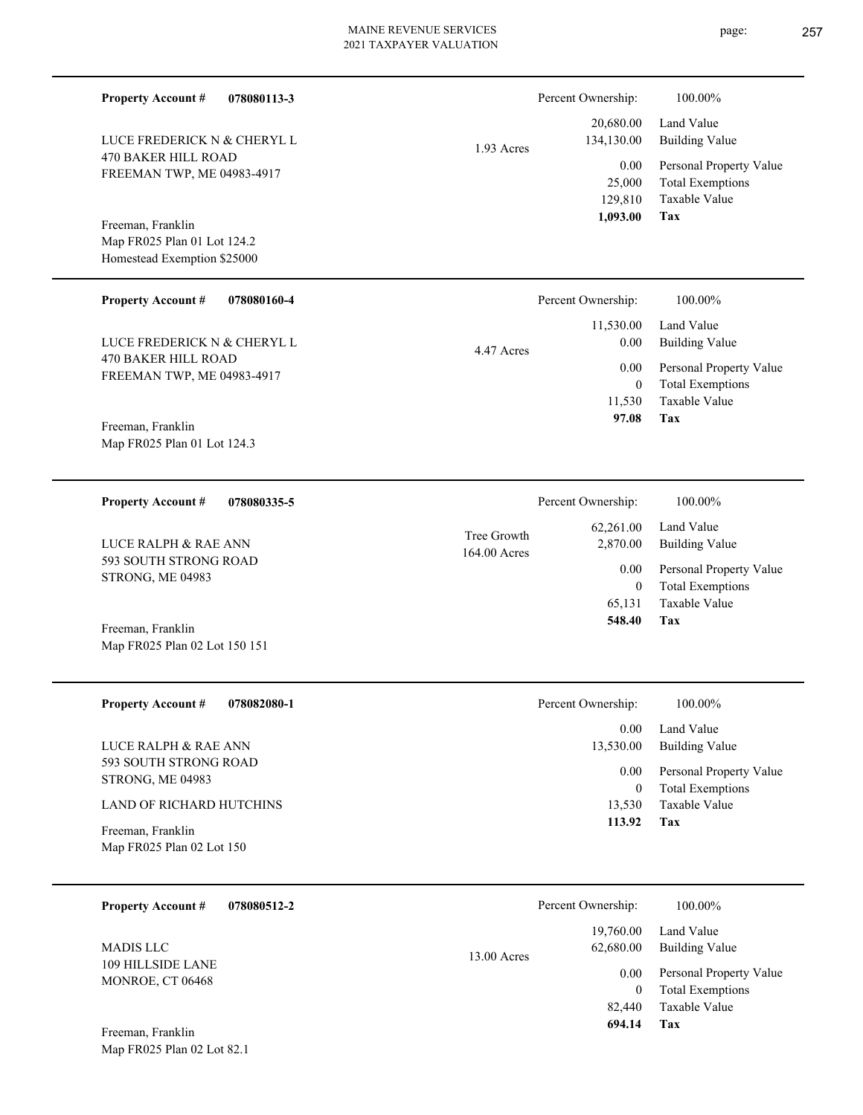÷.

 $\overline{\phantom{0}}$ 

L,

| <b>Property Account #</b><br>078080113-3                               |                             | Percent Ownership:                      | 100.00%                                                                    |
|------------------------------------------------------------------------|-----------------------------|-----------------------------------------|----------------------------------------------------------------------------|
| LUCE FREDERICK N & CHERYL L                                            | 1.93 Acres                  | 20,680.00<br>134,130.00                 | Land Value<br><b>Building Value</b>                                        |
| 470 BAKER HILL ROAD<br>FREEMAN TWP, ME 04983-4917<br>Freeman, Franklin |                             | 0.00<br>25,000<br>129,810<br>1,093.00   | Personal Property Value<br><b>Total Exemptions</b><br>Taxable Value<br>Tax |
| Map FR025 Plan 01 Lot 124.2<br>Homestead Exemption \$25000             |                             |                                         |                                                                            |
| Property Account #<br>078080160-4                                      |                             | Percent Ownership:                      | 100.00%                                                                    |
| LUCE FREDERICK N & CHERYL L                                            | 4.47 Acres                  | 11,530.00<br>0.00                       | Land Value<br><b>Building Value</b>                                        |
| 470 BAKER HILL ROAD<br>FREEMAN TWP, ME 04983-4917<br>Freeman, Franklin |                             | 0.00<br>$\mathbf{0}$<br>11,530<br>97.08 | Personal Property Value<br><b>Total Exemptions</b><br>Taxable Value<br>Tax |
| Map FR025 Plan 01 Lot 124.3                                            |                             |                                         |                                                                            |
| <b>Property Account #</b><br>078080335-5                               |                             | Percent Ownership:                      | 100.00%                                                                    |
| LUCE RALPH & RAE ANN                                                   | Tree Growth<br>164.00 Acres | 62,261.00<br>2,870.00                   | Land Value<br><b>Building Value</b>                                        |
| 593 SOUTH STRONG ROAD<br>STRONG, ME 04983                              |                             | 0.00<br>$\mathbf{0}$<br>65,131          | Personal Property Value<br><b>Total Exemptions</b><br>Taxable Value        |
| Freeman, Franklin<br>Map FR025 Plan 02 Lot 150 151                     |                             | 548.40                                  | Tax                                                                        |
| <b>Property Account #</b><br>078082080-1                               |                             | Percent Ownership:                      | 100.00%                                                                    |
| LUCE RALPH & RAE ANN                                                   |                             | 0.00<br>13,530.00                       | Land Value<br><b>Building Value</b>                                        |
| 593 SOUTH STRONG ROAD<br>STRONG, ME 04983                              |                             | 0.00<br>$\mathbf{0}$                    | Personal Property Value<br><b>Total Exemptions</b>                         |
| LAND OF RICHARD HUTCHINS<br>Freeman, Franklin                          |                             | 13,530<br>113.92                        | Taxable Value<br>Tax                                                       |
| Map FR025 Plan 02 Lot 150                                              |                             |                                         |                                                                            |
| <b>Property Account #</b><br>078080512-2                               |                             | Percent Ownership:                      | 100.00%                                                                    |
| <b>MADIS LLC</b>                                                       | 13.00 Acres                 | 19,760.00<br>62,680.00                  | Land Value<br><b>Building Value</b>                                        |
| 109 HILLSIDE LANE<br>MONROE, CT 06468                                  |                             | 0.00<br>$\mathbf{0}$<br>82,440          | Personal Property Value<br><b>Total Exemptions</b><br>Taxable Value        |
| Freeman, Franklin<br>Map FR025 Plan 02 Lot 82.1                        |                             | 694.14                                  | Tax                                                                        |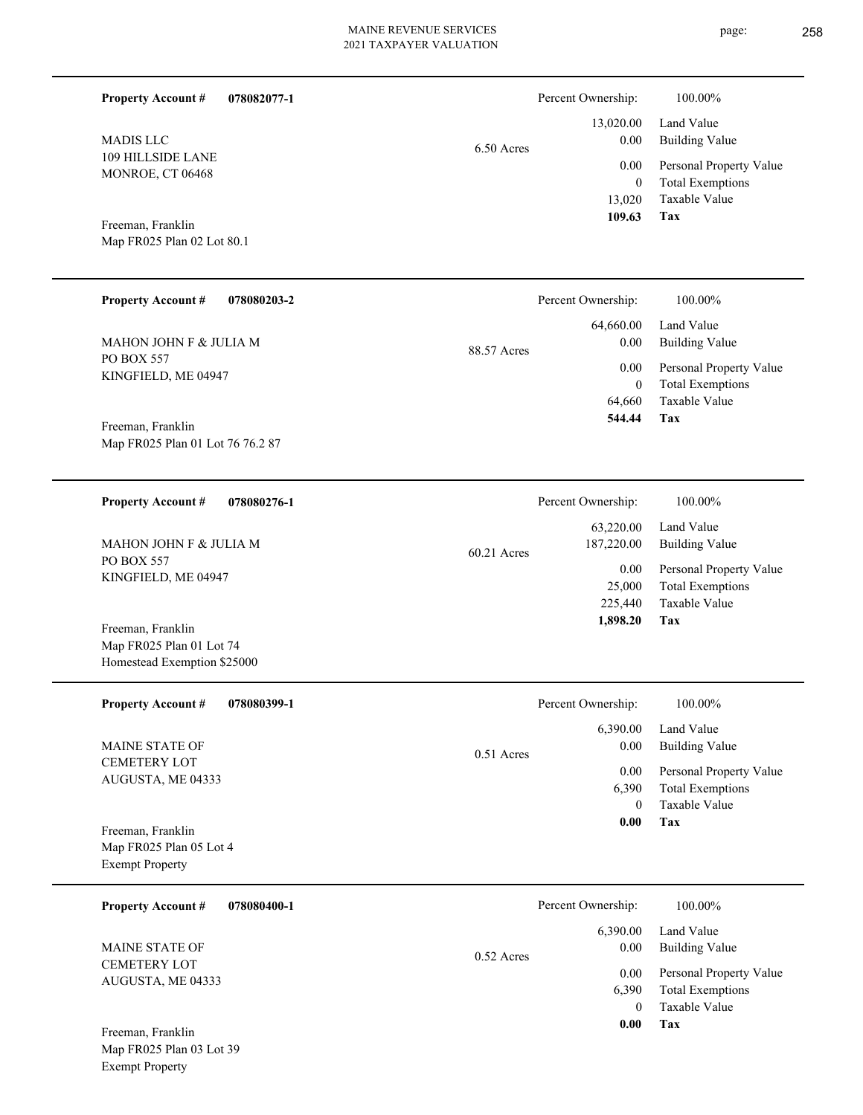| <b>Property Account #</b><br>078082077-1                                     |             | Percent Ownership:                      | 100.00%                                                                           |
|------------------------------------------------------------------------------|-------------|-----------------------------------------|-----------------------------------------------------------------------------------|
| <b>MADIS LLC</b><br>109 HILLSIDE LANE                                        | 6.50 Acres  | 13,020.00<br>0.00                       | Land Value<br><b>Building Value</b>                                               |
| MONROE, CT 06468                                                             |             | 0.00<br>$\boldsymbol{0}$<br>13,020      | Personal Property Value<br><b>Total Exemptions</b><br>Taxable Value               |
| Freeman, Franklin<br>Map FR025 Plan 02 Lot 80.1                              |             | 109.63                                  | Tax                                                                               |
| <b>Property Account #</b><br>078080203-2                                     |             | Percent Ownership:                      | 100.00%                                                                           |
| MAHON JOHN F & JULIA M                                                       | 88.57 Acres | 64,660.00<br>0.00                       | Land Value<br><b>Building Value</b>                                               |
| PO BOX 557<br>KINGFIELD, ME 04947                                            |             | 0.00<br>$\boldsymbol{0}$<br>64,660      | Personal Property Value<br><b>Total Exemptions</b><br>Taxable Value               |
| Freeman, Franklin<br>Map FR025 Plan 01 Lot 76 76.2 87                        |             | 544.44                                  | Tax                                                                               |
| <b>Property Account #</b><br>078080276-1                                     |             | Percent Ownership:                      | 100.00%                                                                           |
| MAHON JOHN F & JULIA M                                                       | 60.21 Acres | 63,220.00<br>187,220.00                 | Land Value<br><b>Building Value</b>                                               |
| PO BOX 557<br>KINGFIELD, ME 04947                                            |             | 0.00<br>25,000<br>225,440<br>1,898.20   | Personal Property Value<br><b>Total Exemptions</b><br>Taxable Value<br><b>Tax</b> |
| Freeman, Franklin<br>Map FR025 Plan 01 Lot 74<br>Homestead Exemption \$25000 |             |                                         |                                                                                   |
| <b>Property Account #</b><br>078080399-1                                     |             | Percent Ownership:                      | 100.00%                                                                           |
| MAINE STATE OF                                                               | 0.51 Acres  | 6,390.00<br>0.00                        | Land Value<br><b>Building Value</b>                                               |
| <b>CEMETERY LOT</b><br>AUGUSTA, ME 04333                                     |             | 0.00<br>6,390<br>$\overline{0}$<br>0.00 | Personal Property Value<br><b>Total Exemptions</b><br><b>Taxable Value</b><br>Tax |
| Freeman, Franklin<br>Map FR025 Plan 05 Lot 4<br><b>Exempt Property</b>       |             |                                         |                                                                                   |
| 078080400-1<br><b>Property Account #</b>                                     |             | Percent Ownership:                      | 100.00%                                                                           |
| MAINE STATE OF                                                               | 0.52 Acres  | 6,390.00<br>0.00                        | Land Value<br><b>Building Value</b>                                               |
| <b>CEMETERY LOT</b><br>AUGUSTA, ME 04333                                     |             | 0.00<br>6,390<br>$\overline{0}$         | Personal Property Value<br><b>Total Exemptions</b><br>Taxable Value               |
| Freeman, Franklin<br>Map FR025 Plan 03 Lot 39<br><b>Exempt Property</b>      |             | 0.00                                    | Tax                                                                               |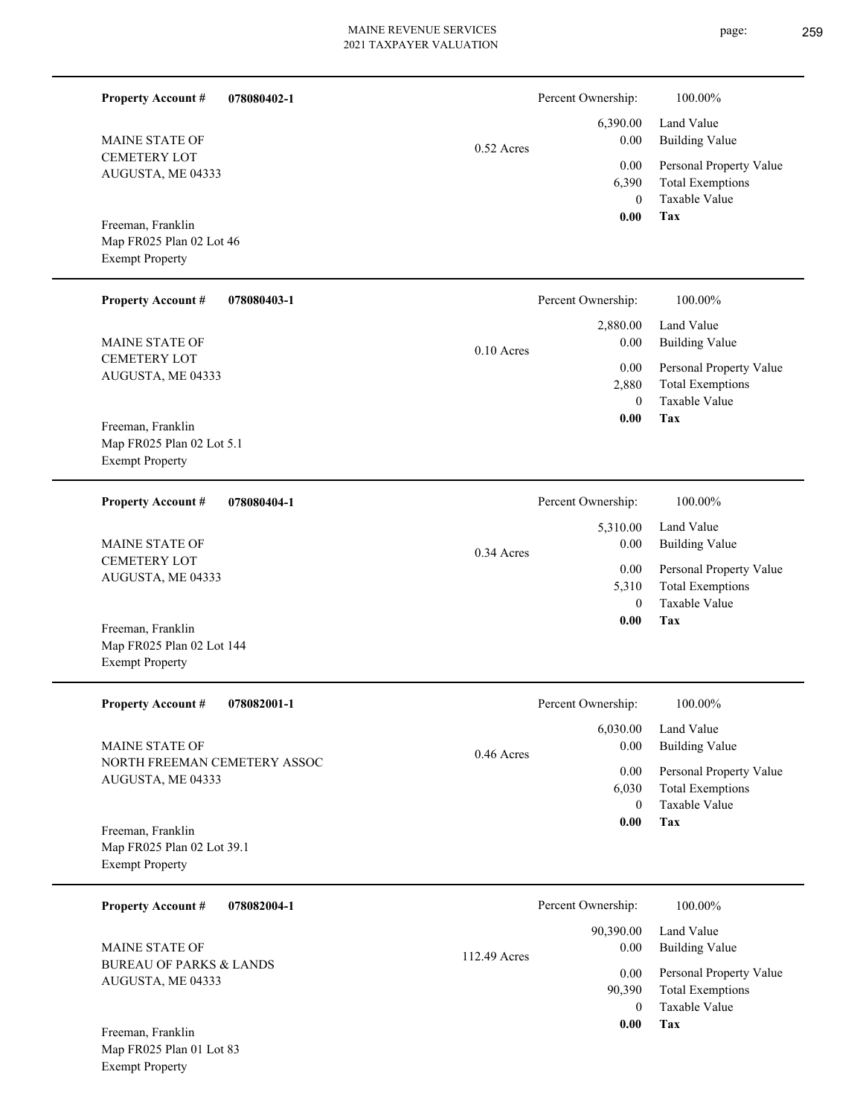| <b>Property Account #</b>                                                 | 078080402-1 |              | Percent Ownership:                           | 100.00%                                                                    |
|---------------------------------------------------------------------------|-------------|--------------|----------------------------------------------|----------------------------------------------------------------------------|
| <b>MAINE STATE OF</b>                                                     |             | $0.52$ Acres | 6,390.00<br>0.00                             | Land Value<br><b>Building Value</b>                                        |
| <b>CEMETERY LOT</b><br>AUGUSTA, ME 04333                                  |             |              | 0.00<br>6,390<br>$\theta$                    | Personal Property Value<br><b>Total Exemptions</b><br>Taxable Value        |
| Freeman, Franklin<br>Map FR025 Plan 02 Lot 46<br><b>Exempt Property</b>   |             |              | 0.00                                         | Tax                                                                        |
| <b>Property Account #</b>                                                 | 078080403-1 |              | Percent Ownership:                           | 100.00%                                                                    |
| MAINE STATE OF                                                            |             | $0.10$ Acres | 2,880.00<br>0.00                             | Land Value<br><b>Building Value</b>                                        |
| <b>CEMETERY LOT</b><br>AUGUSTA, ME 04333                                  |             |              | 0.00<br>2,880<br>$\theta$                    | Personal Property Value<br><b>Total Exemptions</b><br>Taxable Value        |
| Freeman, Franklin<br>Map FR025 Plan 02 Lot 5.1<br><b>Exempt Property</b>  |             |              | 0.00                                         | Tax                                                                        |
| <b>Property Account #</b>                                                 | 078080404-1 |              | Percent Ownership:                           | 100.00%                                                                    |
| <b>MAINE STATE OF</b>                                                     |             | $0.34$ Acres | 5,310.00<br>0.00                             | Land Value<br><b>Building Value</b>                                        |
| <b>CEMETERY LOT</b><br>AUGUSTA, ME 04333                                  |             |              | 0.00<br>5,310<br>$\theta$<br>0.00            | Personal Property Value<br><b>Total Exemptions</b><br>Taxable Value<br>Tax |
| Freeman, Franklin<br>Map FR025 Plan 02 Lot 144<br><b>Exempt Property</b>  |             |              |                                              |                                                                            |
| <b>Property Account #</b>                                                 | 078082001-1 |              | Percent Ownership:                           | 100.00%                                                                    |
| MAINE STATE OF                                                            |             | 0.46 Acres   | 6,030.00<br>0.00                             | Land Value<br><b>Building Value</b>                                        |
| NORTH FREEMAN CEMETERY ASSOC<br>AUGUSTA, ME 04333                         |             |              | 0.00<br>6,030<br>$\overline{0}$              | Personal Property Value<br><b>Total Exemptions</b><br>Taxable Value        |
| Freeman, Franklin<br>Map FR025 Plan 02 Lot 39.1<br><b>Exempt Property</b> |             |              | 0.00                                         | Tax                                                                        |
| <b>Property Account #</b>                                                 | 078082004-1 |              | Percent Ownership:                           | 100.00%                                                                    |
| MAINE STATE OF                                                            |             | 112.49 Acres | 90,390.00<br>0.00                            | Land Value<br><b>Building Value</b>                                        |
| <b>BUREAU OF PARKS &amp; LANDS</b><br>AUGUSTA, ME 04333                   |             |              | $0.00\,$<br>90,390<br>$\overline{0}$<br>0.00 | Personal Property Value<br><b>Total Exemptions</b><br>Taxable Value<br>Tax |
| Freeman, Franklin<br>Map FR025 Plan 01 Lot 83<br><b>Exempt Property</b>   |             |              |                                              |                                                                            |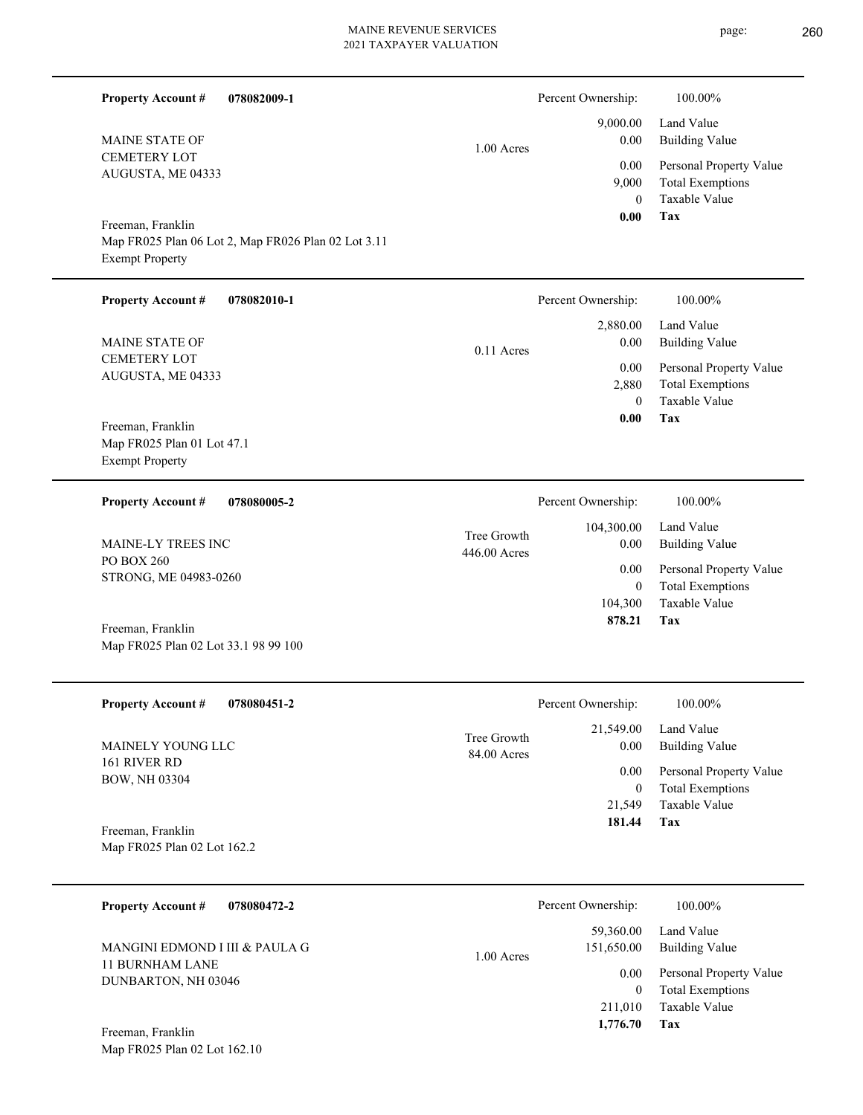page: 260

| <b>Property Account #</b>                                                 | 078082009-1                                         |                             | Percent Ownership:                    | 100.00%                                                                    |
|---------------------------------------------------------------------------|-----------------------------------------------------|-----------------------------|---------------------------------------|----------------------------------------------------------------------------|
| MAINE STATE OF                                                            |                                                     | 1.00 Acres                  | 9,000.00<br>0.00                      | Land Value<br><b>Building Value</b>                                        |
| <b>CEMETERY LOT</b><br>AUGUSTA, ME 04333                                  |                                                     |                             | 0.00<br>9,000<br>$\mathbf{0}$<br>0.00 | Personal Property Value<br><b>Total Exemptions</b><br>Taxable Value<br>Tax |
| Freeman, Franklin<br><b>Exempt Property</b>                               | Map FR025 Plan 06 Lot 2, Map FR026 Plan 02 Lot 3.11 |                             |                                       |                                                                            |
| <b>Property Account #</b>                                                 | 078082010-1                                         |                             | Percent Ownership:                    | 100.00%                                                                    |
| MAINE STATE OF                                                            |                                                     | $0.11$ Acres                | 2,880.00<br>0.00                      | Land Value<br><b>Building Value</b>                                        |
| <b>CEMETERY LOT</b><br>AUGUSTA, ME 04333                                  |                                                     |                             | 0.00<br>2,880<br>$\Omega$             | Personal Property Value<br><b>Total Exemptions</b><br>Taxable Value        |
| Freeman, Franklin<br>Map FR025 Plan 01 Lot 47.1<br><b>Exempt Property</b> |                                                     |                             | 0.00                                  | Tax                                                                        |
| <b>Property Account #</b>                                                 | 078080005-2                                         |                             | Percent Ownership:                    | 100.00%                                                                    |
| MAINE-LY TREES INC                                                        |                                                     | Tree Growth<br>446.00 Acres | 104,300.00<br>0.00                    | Land Value<br><b>Building Value</b>                                        |
| PO BOX 260<br>STRONG, ME 04983-0260                                       |                                                     |                             | 0.00<br>$\mathbf{0}$<br>104,300       | Personal Property Value<br><b>Total Exemptions</b><br>Taxable Value        |
| Freeman, Franklin<br>Map FR025 Plan 02 Lot 33.1 98 99 100                 |                                                     |                             | 878.21                                | Tax                                                                        |
| <b>Property Account #</b>                                                 | 078080451-2                                         |                             | Percent Ownership:                    | $100.00\%$                                                                 |
| MAINELY YOUNG LLC                                                         |                                                     | Tree Growth<br>84.00 Acres  | 21,549.00<br>0.00                     | Land Value<br><b>Building Value</b>                                        |
| 161 RIVER RD<br>BOW, NH 03304                                             |                                                     |                             | 0.00<br>$\boldsymbol{0}$              | Personal Property Value<br><b>Total Exemptions</b>                         |
| Freeman, Franklin                                                         |                                                     |                             | 21,549<br>181.44                      | Taxable Value<br>Tax                                                       |
| Map FR025 Plan 02 Lot 162.2                                               |                                                     |                             |                                       |                                                                            |
| <b>Property Account #</b>                                                 | 078080472-2                                         |                             | Percent Ownership:                    | 100.00%                                                                    |
| MANGINI EDMOND I III & PAULA G                                            |                                                     | 1.00 Acres                  | 59,360.00<br>151,650.00               | Land Value<br><b>Building Value</b>                                        |
| <b>11 BURNHAM LANE</b><br>DUNBARTON, NH 03046                             |                                                     |                             | 0.00<br>$\boldsymbol{0}$<br>211,010   | Personal Property Value<br><b>Total Exemptions</b><br>Taxable Value        |
| Freeman, Franklin<br>Map FR025 Plan 02 Lot 162.10                         |                                                     |                             | 1,776.70                              | <b>Tax</b>                                                                 |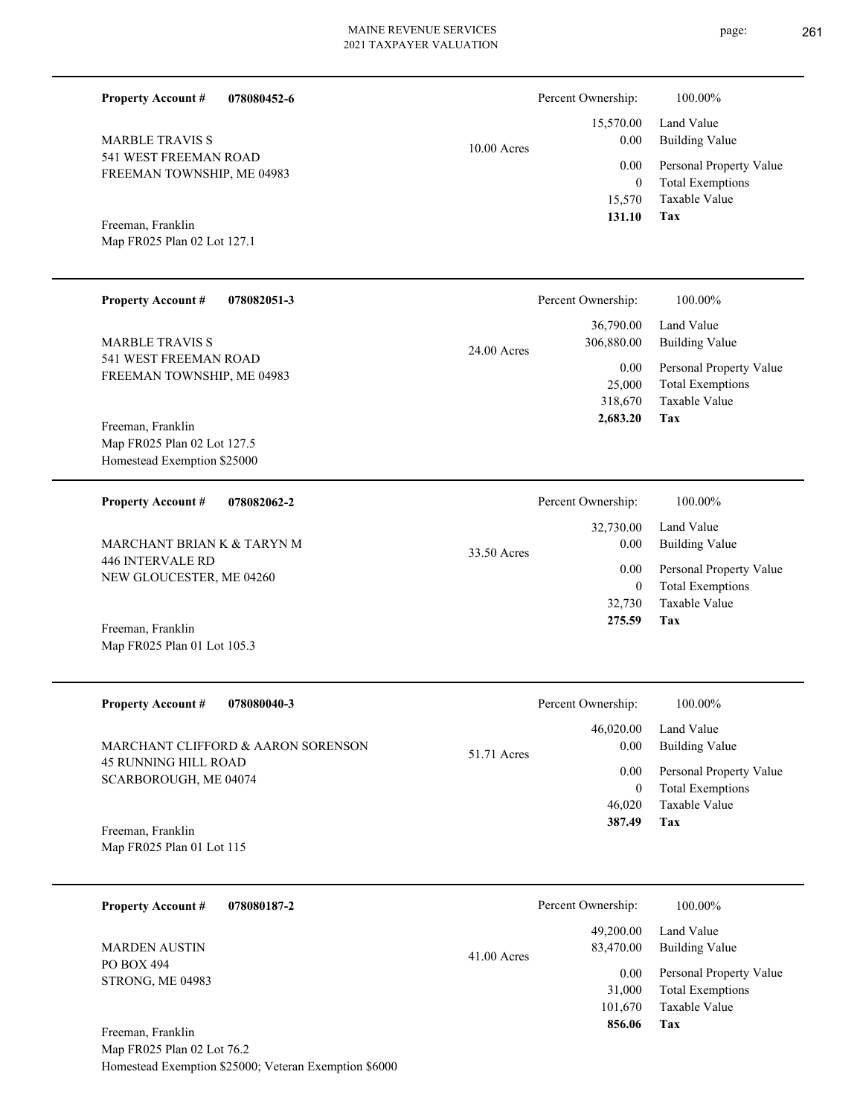page: 261

| <b>Property Account #</b><br>078080452-6                                        |             | Percent Ownership:                       | 100.00%                                                                           |
|---------------------------------------------------------------------------------|-------------|------------------------------------------|-----------------------------------------------------------------------------------|
| <b>MARBLE TRAVIS S</b>                                                          | 10.00 Acres | 15,570.00<br>0.00                        | Land Value<br><b>Building Value</b>                                               |
| 541 WEST FREEMAN ROAD<br>FREEMAN TOWNSHIP, ME 04983                             |             | 0.00<br>$\mathbf{0}$<br>15,570<br>131.10 | Personal Property Value<br><b>Total Exemptions</b><br>Taxable Value<br><b>Tax</b> |
| Freeman, Franklin<br>Map FR025 Plan 02 Lot 127.1                                |             |                                          |                                                                                   |
| <b>Property Account #</b><br>078082051-3                                        |             | Percent Ownership:                       | 100.00%                                                                           |
| <b>MARBLE TRAVIS S</b>                                                          | 24.00 Acres | 36,790.00<br>306,880.00                  | Land Value<br><b>Building Value</b>                                               |
| 541 WEST FREEMAN ROAD<br>FREEMAN TOWNSHIP, ME 04983                             |             | 0.00<br>25,000<br>318,670<br>2,683.20    | Personal Property Value<br><b>Total Exemptions</b><br>Taxable Value<br>Tax        |
| Freeman, Franklin<br>Map FR025 Plan 02 Lot 127.5<br>Homestead Exemption \$25000 |             |                                          |                                                                                   |
| <b>Property Account #</b><br>078082062-2                                        |             | Percent Ownership:                       | 100.00%                                                                           |
| MARCHANT BRIAN K & TARYN M                                                      | 33.50 Acres | 32,730.00<br>0.00                        | Land Value<br><b>Building Value</b>                                               |
| 446 INTERVALE RD<br>NEW GLOUCESTER, ME 04260                                    |             | 0.00<br>$\mathbf{0}$<br>32,730<br>275.59 | Personal Property Value<br><b>Total Exemptions</b><br>Taxable Value<br>Tax        |
| Freeman, Franklin<br>Map FR025 Plan 01 Lot 105.3                                |             |                                          |                                                                                   |
| <b>Property Account #</b><br>078080040-3                                        |             | Percent Ownership:                       | $100.00\%$                                                                        |
| MARCHANT CLIFFORD & AARON SORENSON                                              | 51.71 Acres | 46,020.00<br>0.00                        | Land Value<br><b>Building Value</b>                                               |
| <b>45 RUNNING HILL ROAD</b><br>SCARBOROUGH, ME 04074                            |             | 0.00<br>$\overline{0}$<br>46,020         | Personal Property Value<br><b>Total Exemptions</b><br>Taxable Value               |
| Freeman, Franklin<br>Map FR025 Plan 01 Lot 115                                  |             | 387.49                                   | Tax                                                                               |
| 078080187-2<br><b>Property Account #</b>                                        |             | Percent Ownership:                       | 100.00%                                                                           |
| <b>MARDEN AUSTIN</b>                                                            | 41.00 Acres | 49,200.00<br>83,470.00                   | Land Value<br><b>Building Value</b>                                               |
| PO BOX 494<br>STRONG, ME 04983                                                  |             | 0.00<br>31,000<br>101,670<br>856.06      | Personal Property Value<br><b>Total Exemptions</b><br>Taxable Value<br>Tax        |
| Freeman, Franklin<br>Man $FR025$ Plan 02 Lot 76.2                               |             |                                          |                                                                                   |

Map FR025 Plan 02 Lot 76.2 Homestead Exemption \$25000; Veteran Exemption \$6000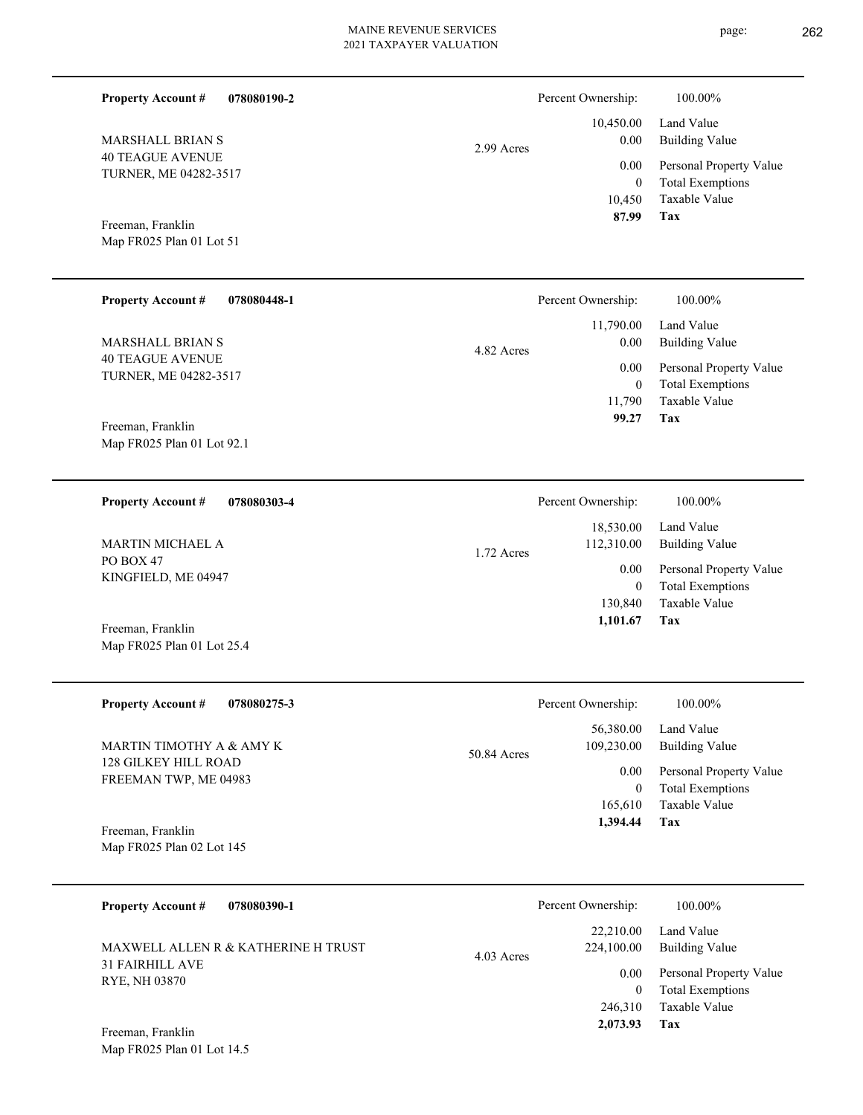| <b>Property Account #</b><br>078080190-2         |             | Percent Ownership:                      | 100.00%                                                                    |
|--------------------------------------------------|-------------|-----------------------------------------|----------------------------------------------------------------------------|
| <b>MARSHALL BRIAN S</b>                          | 2.99 Acres  | 10,450.00<br>0.00                       | Land Value<br><b>Building Value</b>                                        |
| <b>40 TEAGUE AVENUE</b><br>TURNER, ME 04282-3517 |             | 0.00<br>$\overline{0}$<br>10,450        | Personal Property Value<br><b>Total Exemptions</b><br>Taxable Value        |
| Freeman, Franklin<br>Map FR025 Plan 01 Lot 51    |             | 87.99                                   | Tax                                                                        |
| <b>Property Account #</b><br>078080448-1         |             | Percent Ownership:                      | 100.00%                                                                    |
| <b>MARSHALL BRIAN S</b>                          | 4.82 Acres  | 11,790.00<br>0.00                       | Land Value<br><b>Building Value</b>                                        |
| <b>40 TEAGUE AVENUE</b><br>TURNER, ME 04282-3517 |             | 0.00<br>$\mathbf{0}$<br>11,790<br>99.27 | Personal Property Value<br><b>Total Exemptions</b><br>Taxable Value<br>Tax |
| Freeman, Franklin<br>Map FR025 Plan 01 Lot 92.1  |             |                                         |                                                                            |
| <b>Property Account #</b><br>078080303-4         |             | Percent Ownership:                      | 100.00%                                                                    |
| MARTIN MICHAEL A                                 | 1.72 Acres  | 18,530.00<br>112,310.00                 | Land Value<br><b>Building Value</b>                                        |
| PO BOX 47<br>KINGFIELD, ME 04947                 |             | 0.00<br>$\mathbf{0}$<br>130,840         | Personal Property Value<br><b>Total Exemptions</b><br>Taxable Value        |
| Freeman, Franklin<br>Map FR025 Plan 01 Lot 25.4  |             | 1,101.67                                | Tax                                                                        |
| <b>Property Account #</b><br>078080275-3         |             | Percent Ownership:                      | 100.00%                                                                    |
| MARTIN TIMOTHY A & AMY K                         | 50.84 Acres | 56,380.00<br>109,230.00                 | Land Value<br><b>Building Value</b>                                        |
| 128 GILKEY HILL ROAD<br>FREEMAN TWP, ME 04983    |             | 0.00<br>$\mathbf{0}$<br>165,610         | Personal Property Value<br><b>Total Exemptions</b><br>Taxable Value<br>Tax |
| Freeman, Franklin<br>Map FR025 Plan 02 Lot 145   |             | 1,394.44                                |                                                                            |
| 078080390-1<br><b>Property Account #</b>         |             | Percent Ownership:                      | 100.00%                                                                    |
| MAXWELL ALLEN R & KATHERINE H TRUST              | 4.03 Acres  | 22,210.00<br>224,100.00                 | Land Value<br><b>Building Value</b>                                        |
| <b>31 FAIRHILL AVE</b><br>RYE, NH 03870          |             | 0.00<br>$\boldsymbol{0}$<br>246,310     | Personal Property Value<br><b>Total Exemptions</b><br>Taxable Value        |
| Freeman Franklin                                 |             | 2,073.93                                | Tax                                                                        |

Map FR025 Plan 01 Lot 14.5 Freeman, Franklin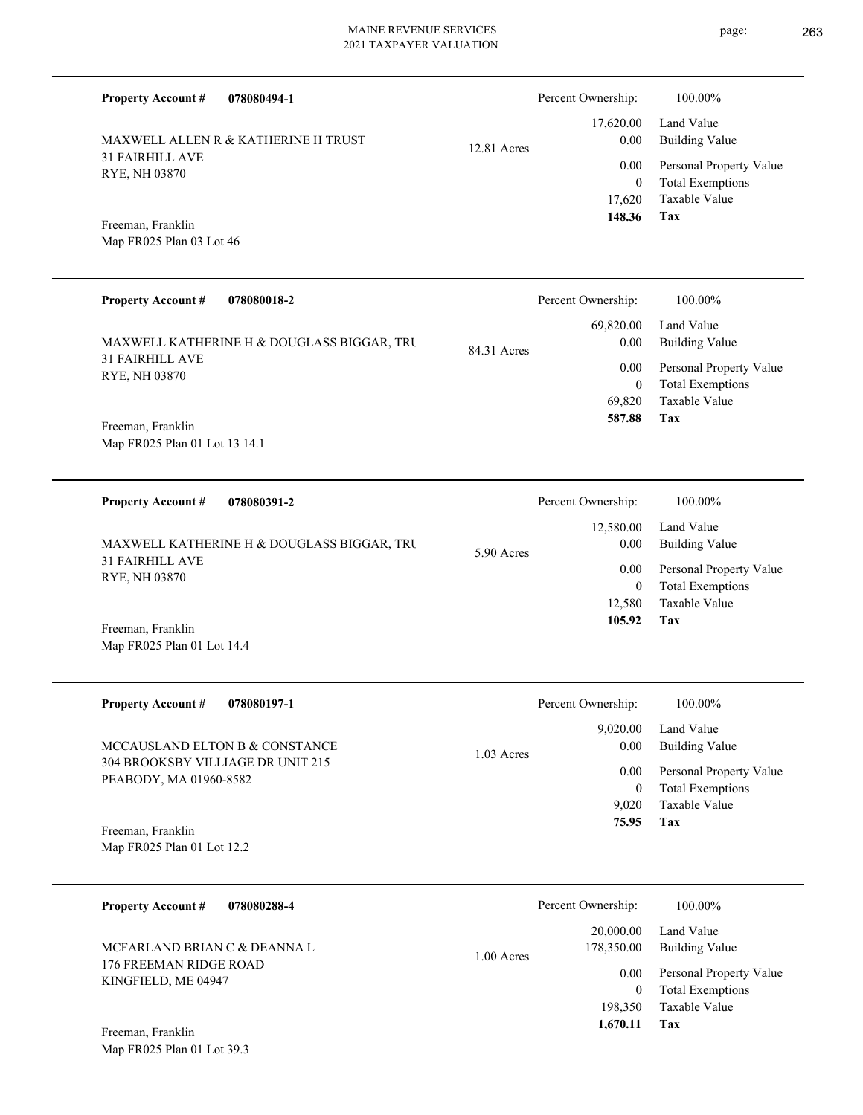**078080494-1 Tax** Taxable Value Total Exemptions Personal Property Value Building Value Land Value 31 FAIRHILL AVE RYE, NH 03870 **Property Account #** Map FR025 Plan 03 Lot 46 Freeman, Franklin MAXWELL ALLEN R & KATHERINE H TRUST 17,620 0  **148.36** 17,620.00 0.00 0.00 12.81 Acres Percent Ownership:  $100.00\%$ **078080018-2 Tax** Taxable Value Total Exemptions Personal Property Value Building Value Land Value 31 FAIRHILL AVE RYE, NH 03870 **Property Account #** Map FR025 Plan 01 Lot 13 14.1 Freeman, Franklin MAXWELL KATHERINE H & DOUGLASS BIGGAR, TRU 69,820 0  **587.88** 69,820.00 0.00 0.00 84.31 Acres Percent Ownership:  $100.00\%$ **078080391-2 Tax** Taxable Value Total Exemptions Personal Property Value Building Value Land Value 31 FAIRHILL AVE RYE, NH 03870 **Property Account #** Map FR025 Plan 01 Lot 14.4 Freeman, Franklin MAXWELL KATHERINE H & DOUGLASS BIGGAR, TRU 12,580 0  **105.92** 12,580.00 0.00 0.00 5.90 Acres Percent Ownership:  $100.00\%$ **078080197-1 Tax** Taxable Value Total Exemptions Personal Property Value Building Value Land Value 304 BROOKSBY VILLIAGE DR UNIT 215 PEABODY, MA 01960-8582 **Property Account #** Map FR025 Plan 01 Lot 12.2 Freeman, Franklin MCCAUSLAND ELTON B & CONSTANCE 9,020 0  **75.95** 9,020.00 0.00 0.00 1.03 Acres Percent Ownership:  $100.00\%$ **078080288-4** Taxable Value Total Exemptions Personal Property Value Building Value Land Value 176 FREEMAN RIDGE ROAD KINGFIELD, ME 04947 **Property Account #** MCFARLAND BRIAN C & DEANNA L 198,350 0 20,000.00 178,350.00 0.00 1.00 Acres Percent Ownership:  $100.00\%$ 

**Tax**

 **1,670.11**

Map FR025 Plan 01 Lot 39.3 Freeman, Franklin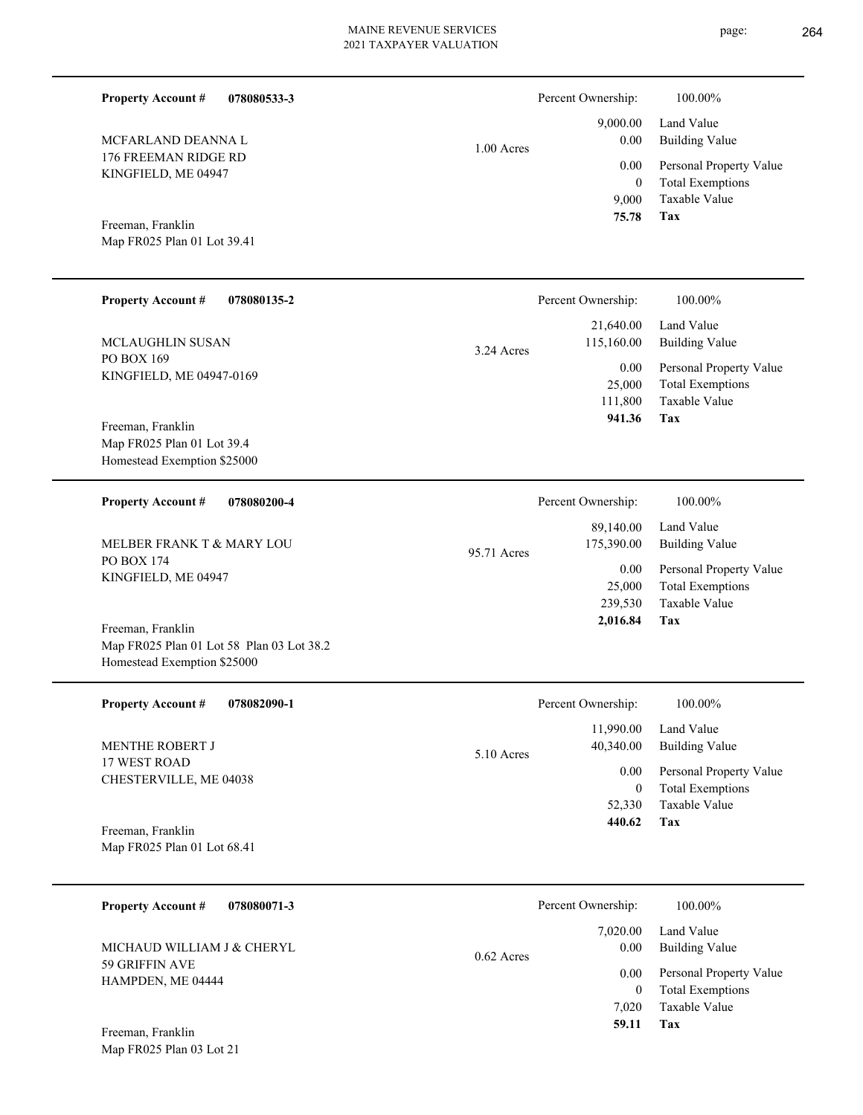page: 264

| <b>Property Account #</b><br>078080533-3                                                      |              | Percent Ownership:                             | 100.00%                                                                    |
|-----------------------------------------------------------------------------------------------|--------------|------------------------------------------------|----------------------------------------------------------------------------|
| MCFARLAND DEANNA L                                                                            | $1.00$ Acres | 9,000.00<br>0.00                               | Land Value<br><b>Building Value</b>                                        |
| 176 FREEMAN RIDGE RD<br>KINGFIELD, ME 04947                                                   |              | 0.00<br>$\mathbf{0}$<br>9,000                  | Personal Property Value<br><b>Total Exemptions</b><br>Taxable Value        |
| Freeman, Franklin<br>Map FR025 Plan 01 Lot 39.41                                              |              | 75.78                                          | <b>Tax</b>                                                                 |
| <b>Property Account #</b><br>078080135-2                                                      |              | Percent Ownership:                             | 100.00%                                                                    |
| MCLAUGHLIN SUSAN                                                                              | 3.24 Acres   | 21,640.00<br>115,160.00                        | Land Value<br><b>Building Value</b>                                        |
| PO BOX 169<br>KINGFIELD, ME 04947-0169                                                        |              | 0.00<br>25,000<br>111,800                      | Personal Property Value<br><b>Total Exemptions</b><br>Taxable Value        |
| Freeman, Franklin<br>Map FR025 Plan 01 Lot 39.4<br>Homestead Exemption \$25000                |              | 941.36                                         | Tax                                                                        |
| <b>Property Account #</b><br>078080200-4                                                      |              | Percent Ownership:                             | 100.00%                                                                    |
| MELBER FRANK T & MARY LOU                                                                     | 95.71 Acres  | 89,140.00<br>175,390.00                        | Land Value<br><b>Building Value</b>                                        |
| PO BOX 174<br>KINGFIELD, ME 04947                                                             |              | 0.00<br>25,000<br>239,530<br>2,016.84          | Personal Property Value<br><b>Total Exemptions</b><br>Taxable Value<br>Tax |
| Freeman, Franklin<br>Map FR025 Plan 01 Lot 58 Plan 03 Lot 38.2<br>Homestead Exemption \$25000 |              |                                                |                                                                            |
| <b>Property Account #</b><br>078082090-1                                                      |              | Percent Ownership:                             | 100.00%                                                                    |
| MENTHE ROBERT J                                                                               | 5.10 Acres   | 11,990.00<br>40,340.00                         | Land Value<br><b>Building Value</b>                                        |
| 17 WEST ROAD<br>CHESTERVILLE, ME 04038                                                        |              | $0.00\,$<br>$\overline{0}$<br>52,330<br>440.62 | Personal Property Value<br><b>Total Exemptions</b><br>Taxable Value<br>Tax |
| Freeman, Franklin<br>Map FR025 Plan 01 Lot 68.41                                              |              |                                                |                                                                            |
| 078080071-3<br><b>Property Account #</b>                                                      |              | Percent Ownership:                             | 100.00%                                                                    |
| MICHAUD WILLIAM J & CHERYL                                                                    |              | 7,020.00<br>0.00                               | Land Value<br><b>Building Value</b>                                        |
| 59 GRIFFIN AVE<br>HAMPDEN, ME 04444                                                           | 0.62 Acres   | $0.00\,$<br>$\overline{0}$<br>7,020            | Personal Property Value<br><b>Total Exemptions</b><br>Taxable Value        |
| Freeman, Franklin<br>Map FR025 Plan 03 Lot 21                                                 |              | 59.11                                          | Tax                                                                        |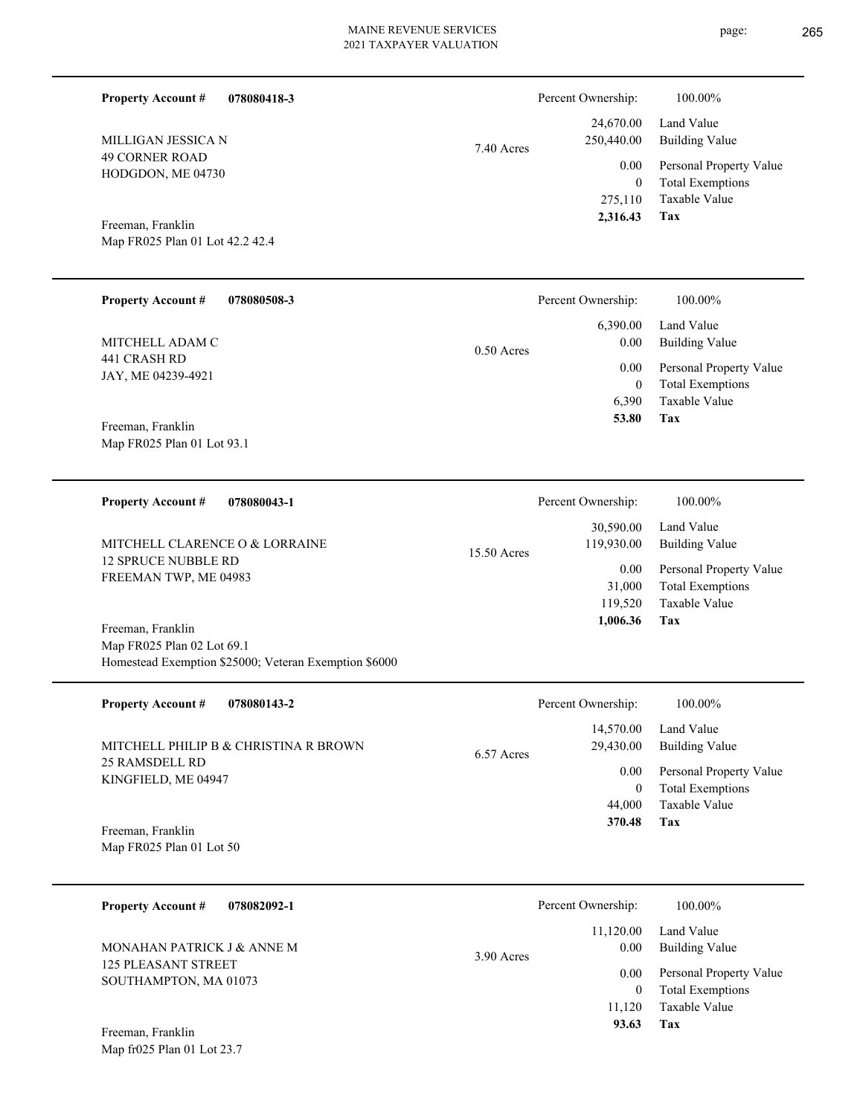**Tax**

 6,390  $\boldsymbol{0}$ 

 **53.80**

Taxable Value Total Exemptions

| 078080418-3<br><b>Property Account #</b>   | Percent Ownership:       | 100.00%                 |
|--------------------------------------------|--------------------------|-------------------------|
|                                            | 24,670.00                | Land Value              |
| MILLIGAN JESSICA N                         | 250,440.00<br>7.40 Acres | <b>Building Value</b>   |
| <b>49 CORNER ROAD</b><br>HODGDON, ME 04730 | $0.00\,$                 | Personal Property Value |
|                                            | $\bf{0}$                 | <b>Total Exemptions</b> |
|                                            | 275,110                  | Taxable Value           |
| Freeman, Franklin                          | 2,316.43                 | Tax                     |
| Map FR025 Plan 01 Lot 42.2 42.4            |                          |                         |
|                                            |                          |                         |
| <b>Property Account #</b><br>078080508-3   | Percent Ownership:       | 100.00%                 |
|                                            | 6,390.00                 | Land Value              |
| MITCHELL ADAM C                            | $0.00\,$<br>$0.50$ Acres | <b>Building Value</b>   |
| 441 CRASH RD<br>$TAY$ ME 04220 4021        | 0.00                     | Personal Property Value |

Map FR025 Plan 01 Lot 93.1 Freeman, Franklin

Homestead Exemption \$25000; Veteran Exemption \$6000

JAY, ME 04239-4921

| <b>Property Account #</b><br>078080043-1              | Percent Ownership:                     | 100.00%                      |
|-------------------------------------------------------|----------------------------------------|------------------------------|
| MITCHELL CLARENCE O & LORRAINE<br>12 SPRUCE NUBBLE RD | 30,590.00<br>119,930.00<br>15.50 Acres | Land Value<br>Building Value |
| FREEMAN TWP, ME 04983                                 | 0.00                                   | Personal Property Value      |
|                                                       | 31,000                                 | <b>Total Exemptions</b>      |
|                                                       | 119.520                                | Taxable Value                |
| Freeman, Franklin                                     | 1,006.36                               | Tax                          |
| Map FR025 Plan 02 Lot 69.1                            |                                        |                              |

| <b>Property Account #</b><br>078080143-2                | Percent Ownership:                   | $100.00\%$                                         |
|---------------------------------------------------------|--------------------------------------|----------------------------------------------------|
| MITCHELL PHILIP B & CHRISTINA R BROWN<br>25 RAMSDELL RD | 14,570.00<br>29,430.00<br>6.57 Acres | Land Value<br>Building Value                       |
| KINGFIELD, ME 04947                                     | 0.00<br>0                            | Personal Property Value<br><b>Total Exemptions</b> |
|                                                         | 44,000                               | Taxable Value                                      |
| Freeman, Franklin<br>Map FR025 Plan 01 Lot 50           | 370.48                               | Tax                                                |

| <b>Property Account #</b><br>078082092-1            | Percent Ownership:                | 100.00%                                            |
|-----------------------------------------------------|-----------------------------------|----------------------------------------------------|
| MONAHAN PATRICK J & ANNE M                          | 11,120.00<br>0.00<br>$3.90$ Acres | Land Value<br>Building Value                       |
| <b>125 PLEASANT STREET</b><br>SOUTHAMPTON, MA 01073 | 0.00<br>$\boldsymbol{0}$          | Personal Property Value<br><b>Total Exemptions</b> |
| Freeman, Franklin                                   | 11.120<br>93.63                   | Taxable Value<br>Tax                               |

Map fr025 Plan 01 Lot 23.7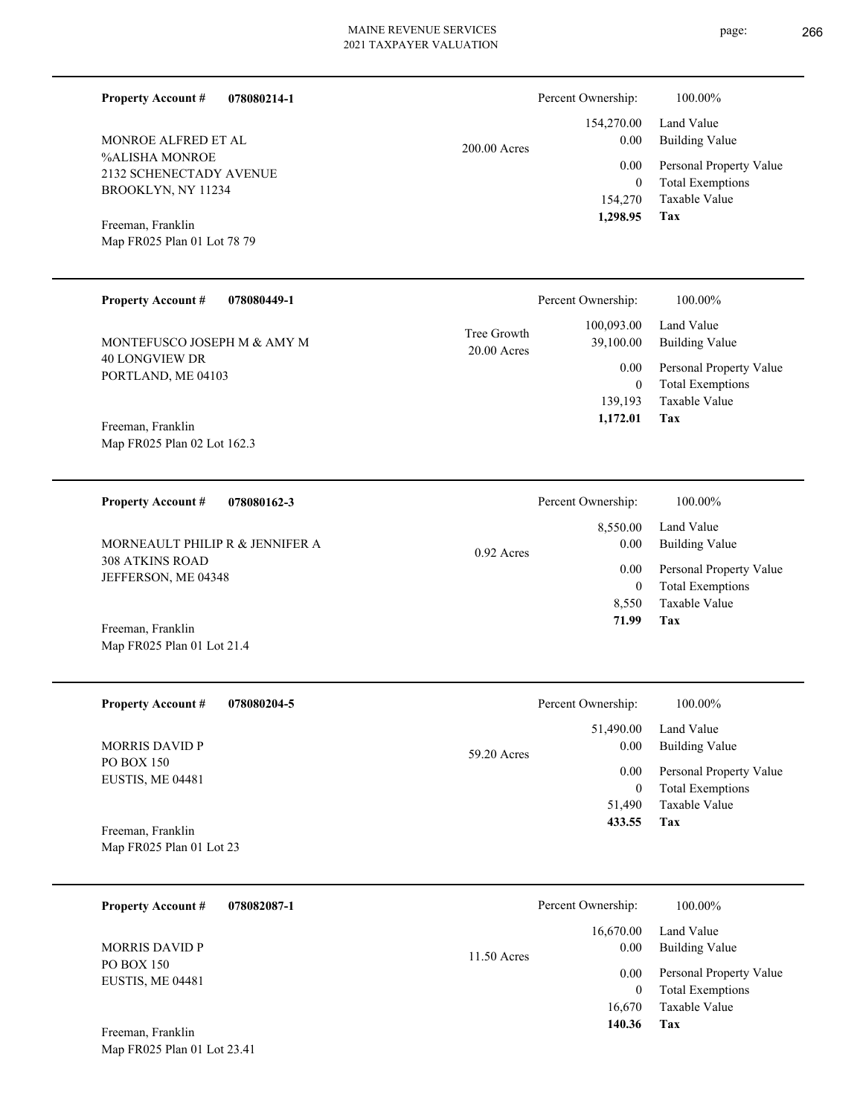| <b>Property Account #</b>                                       | 078080214-1 |                            | Percent Ownership:              | 100.00%                                                             |
|-----------------------------------------------------------------|-------------|----------------------------|---------------------------------|---------------------------------------------------------------------|
| MONROE ALFRED ET AL                                             |             | 200.00 Acres               | 154,270.00<br>0.00              | Land Value<br><b>Building Value</b>                                 |
| %ALISHA MONROE<br>2132 SCHENECTADY AVENUE<br>BROOKLYN, NY 11234 |             |                            | 0.00<br>$\mathbf{0}$<br>154,270 | Personal Property Value<br><b>Total Exemptions</b><br>Taxable Value |
| Freeman, Franklin                                               |             |                            | 1,298.95                        | Tax                                                                 |
| Map FR025 Plan 01 Lot 78 79                                     |             |                            |                                 |                                                                     |
| <b>Property Account #</b>                                       | 078080449-1 |                            | Percent Ownership:              | 100.00%                                                             |
| MONTEFUSCO JOSEPH M & AMY M                                     |             | Tree Growth<br>20.00 Acres | 100,093.00<br>39,100.00         | Land Value<br><b>Building Value</b>                                 |
| <b>40 LONGVIEW DR</b><br>PORTLAND, ME 04103                     |             |                            | 0.00<br>$\mathbf{0}$            | Personal Property Value<br><b>Total Exemptions</b>                  |
|                                                                 |             |                            | 139,193<br>1,172.01             | Taxable Value<br>Tax                                                |
| Freeman, Franklin<br>Map FR025 Plan 02 Lot 162.3                |             |                            |                                 |                                                                     |
| <b>Property Account #</b>                                       | 078080162-3 |                            | Percent Ownership:              | 100.00%                                                             |
| MORNEAULT PHILIP R & JENNIFER A                                 |             | 0.92 Acres                 | 8,550.00<br>0.00                | Land Value<br><b>Building Value</b>                                 |
| <b>308 ATKINS ROAD</b><br>JEFFERSON, ME 04348                   |             |                            | 0.00<br>$\overline{0}$          | Personal Property Value<br><b>Total Exemptions</b>                  |
|                                                                 |             |                            | 8,550<br>71.99                  | Taxable Value<br>Tax                                                |
| Freeman, Franklin<br>Map FR025 Plan 01 Lot 21.4                 |             |                            |                                 |                                                                     |
| <b>Property Account #</b>                                       | 078080204-5 |                            | Percent Ownership:              | 100.00%                                                             |
| MORRIS DAVID P                                                  |             | 59.20 Acres                | 51,490.00<br>0.00               | Land Value<br><b>Building Value</b>                                 |
| PO BOX 150<br>EUSTIS, ME 04481                                  |             |                            | 0.00<br>$\overline{0}$          | Personal Property Value<br><b>Total Exemptions</b>                  |
|                                                                 |             |                            | 51,490<br>433.55                | Taxable Value<br>Tax                                                |
| Freeman, Franklin<br>Map FR025 Plan 01 Lot 23                   |             |                            |                                 |                                                                     |
| <b>Property Account #</b>                                       | 078082087-1 |                            | Percent Ownership:              | 100.00%                                                             |
| <b>MORRIS DAVID P</b>                                           |             | 11.50 Acres                | 16,670.00<br>0.00               | Land Value<br><b>Building Value</b>                                 |
| PO BOX 150<br>EUSTIS, ME 04481                                  |             |                            | 0.00<br>$\overline{0}$          | Personal Property Value<br><b>Total Exemptions</b>                  |
|                                                                 |             |                            | 16,670                          | Taxable Value                                                       |
| Freeman, Franklin<br>Map FR025 Plan 01 Lot 23.41                |             |                            | 140.36                          | Tax                                                                 |

page: 266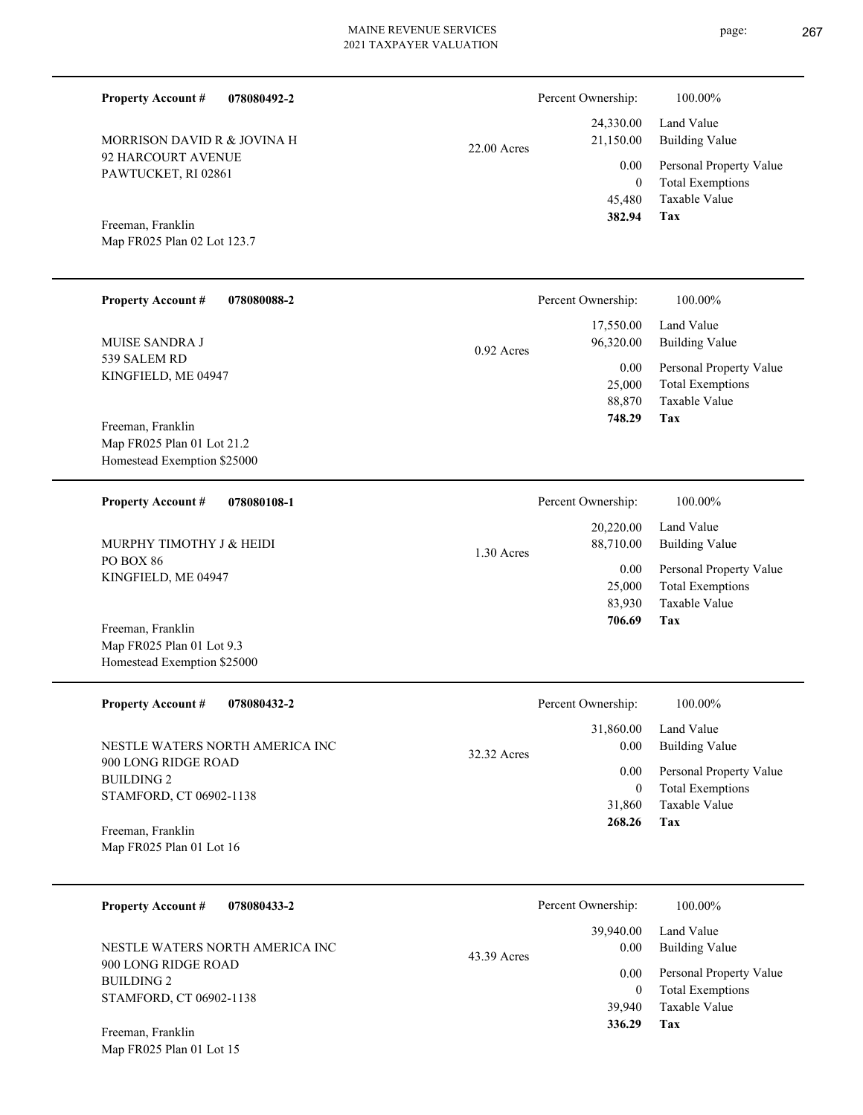Percent Ownership: 100.00%

|               | I CIUCIII OWIICISHID. | 100.0070                |
|---------------|-----------------------|-------------------------|
|               |                       | 24,330.00 Land Value    |
| $22.00$ Acres | 21,150.00             | Building Value          |
|               | 0.00                  | Personal Property Value |
|               | $\theta$              | <b>Total Exemptions</b> |
|               |                       | 45,480 Taxable Value    |
|               | 382.94                | Tax                     |

**Tax**

 **706.69**

Map FR025 Plan 02 Lot 123.7 Freeman, Franklin

92 HARCOURT AVENUE PAWTUCKET, RI 02861

MORRISON DAVID R & JOVINA H

**Property Account #**

**078080492-2**

| <b>Property Account #</b><br>078080088-2 |            | Percent Ownership: | 100.00%                 |
|------------------------------------------|------------|--------------------|-------------------------|
|                                          |            | 17,550.00          | Land Value              |
| <b>MUISE SANDRA J</b>                    | 0.92 Acres | 96,320.00          | <b>Building Value</b>   |
| 539 SALEM RD                             |            | $0.00\,$           | Personal Property Value |
| KINGFIELD, ME 04947                      |            | 25,000             | <b>Total Exemptions</b> |
|                                          |            | 88,870             | Taxable Value           |
|                                          |            | 748.29             | Tax                     |
| Freeman, Franklin                        |            |                    |                         |
| Map FR025 Plan 01 Lot 21.2               |            |                    |                         |
| Homestead Exemption \$25000              |            |                    |                         |
| <b>Property Account #</b><br>078080108-1 |            | Percent Ownership: | 100.00%                 |
|                                          |            | 20,220.00          | Land Value              |
| MURPHY TIMOTHY J & HEIDI                 | 1.30 Acres | 88,710.00          | <b>Building Value</b>   |
| PO BOX 86                                |            | 0.00               |                         |
| KINGFIELD, ME 04947                      |            |                    | Personal Property Value |
|                                          |            | 25,000             | <b>Total Exemptions</b> |
|                                          |            | 83,930             | Taxable Value           |

Map FR025 Plan 01 Lot 9.3 Homestead Exemption \$25000 Freeman, Franklin

Map FR025 Plan 01 Lot 15

| <b>Property Account #</b><br>078080432-2               | Percent Ownership:               | 100.00%                                                             |
|--------------------------------------------------------|----------------------------------|---------------------------------------------------------------------|
| NESTLE WATERS NORTH AMERICA INC<br>900 LONG RIDGE ROAD | 31,860.00<br>0.00<br>32.32 Acres | Land Value<br>Building Value                                        |
| <b>BUILDING 2</b><br>STAMFORD, CT 06902-1138           | 0.00<br>0<br>31,860              | Personal Property Value<br><b>Total Exemptions</b><br>Taxable Value |
| Freeman, Franklin<br>Map FR025 Plan 01 Lot 16          | 268.26                           | Tax                                                                 |

| <b>Property Account #</b><br>078080433-2               | Percent Ownership:                       | 100.00%                                                 |
|--------------------------------------------------------|------------------------------------------|---------------------------------------------------------|
| NESTLE WATERS NORTH AMERICA INC<br>900 LONG RIDGE ROAD | 39,940.00<br>0.00<br>43.39 Acres<br>0.00 | Land Value<br>Building Value<br>Personal Property Value |
| <b>BUILDING 2</b><br>STAMFORD, CT 06902-1138           | 39,940                                   | <b>Total Exemptions</b><br>Taxable Value                |
| Freeman, Franklin                                      | 336.29                                   | Tax                                                     |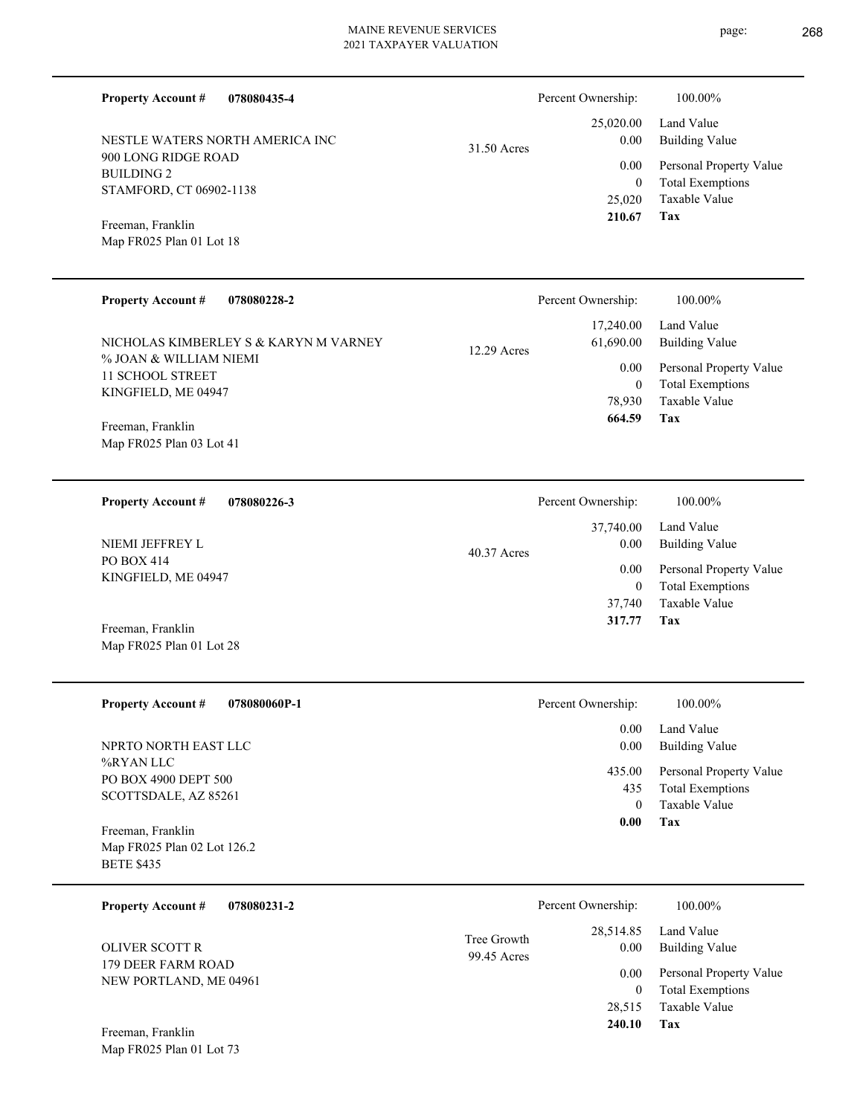31.50 Acres

**078080435-4**

900 LONG RIDGE ROAD BUILDING 2 STAMFORD, CT 06902-1138 NESTLE WATERS NORTH AMERICA INC

Map FR025 Plan 01 Lot 18 Freeman, Franklin

**Property Account #**

| <b>Property Account #</b><br>078080228-2                                                                                                                    | Percent Ownership:                                                       | 100.00%                                                                                                           |
|-------------------------------------------------------------------------------------------------------------------------------------------------------------|--------------------------------------------------------------------------|-------------------------------------------------------------------------------------------------------------------|
| NICHOLAS KIMBERLEY S & KARYN M VARNEY<br>% JOAN & WILLIAM NIEMI<br>11 SCHOOL STREET<br>KINGFIELD, ME 04947<br>Freeman, Franklin<br>Map FR025 Plan 03 Lot 41 | 17,240.00<br>61,690.00<br>$12.29$ Acres<br>0.00<br>0<br>78,930<br>664.59 | Land Value<br><b>Building Value</b><br>Personal Property Value<br><b>Total Exemptions</b><br>Taxable Value<br>Tax |
| <b>Property Account #</b><br>078080226-3                                                                                                                    | Percent Ownership:                                                       | 100.00%                                                                                                           |
| NIEMI JEFFREY L<br><b>PO BOX 414</b><br>KINGFIELD, ME 04947                                                                                                 | 37,740.00<br>0.00<br>$40.37$ Acres<br>0.00<br>0<br>37,740                | Land Value<br><b>Building Value</b><br>Personal Property Value<br><b>Total Exemptions</b><br>Taxable Value        |
| Freeman, Franklin                                                                                                                                           | 317.77                                                                   | Tax                                                                                                               |

Map FR025 Plan 01 Lot 28

| <b>Property Account #</b><br>078080060P-1                             | Percent Ownership:<br>100.00%                                                                    |  |
|-----------------------------------------------------------------------|--------------------------------------------------------------------------------------------------|--|
| NPRTO NORTH EAST LLC                                                  | Land Value<br>0.00<br>0.00<br><b>Building Value</b>                                              |  |
| %RYAN LLC<br>PO BOX 4900 DEPT 500<br>SCOTTSDALE, AZ 85261             | 435.00<br>Personal Property Value<br><b>Total Exemptions</b><br>435<br>Taxable Value<br>$\theta$ |  |
| Freeman, Franklin<br>Map FR025 Plan 02 Lot 126.2<br><b>BETE \$435</b> | Tax<br>0.00                                                                                      |  |
| <b>Property Account #</b><br>078080231-2                              | Percent Ownership:<br>100.00%<br>Land Value<br>28.514.85                                         |  |

**Tax** Taxable Value Total Exemptions Personal Property Value Building Value Land Value 179 DEER FARM ROAD NEW PORTLAND, ME 04961 Freeman, Franklin OLIVER SCOTT R 28,515  $\boldsymbol{0}$  **240.10** 28,514.85 0.00 0.00 99.45 Acres Tree Growth

Map FR025 Plan 01 Lot 73

**Tax**

 25,020 0

 25,020.00 0.00 0.00

Percent Ownership:  $100.00\%$ 

 **210.67**

Taxable Value Total Exemptions Personal Property Value

Building Value Land Value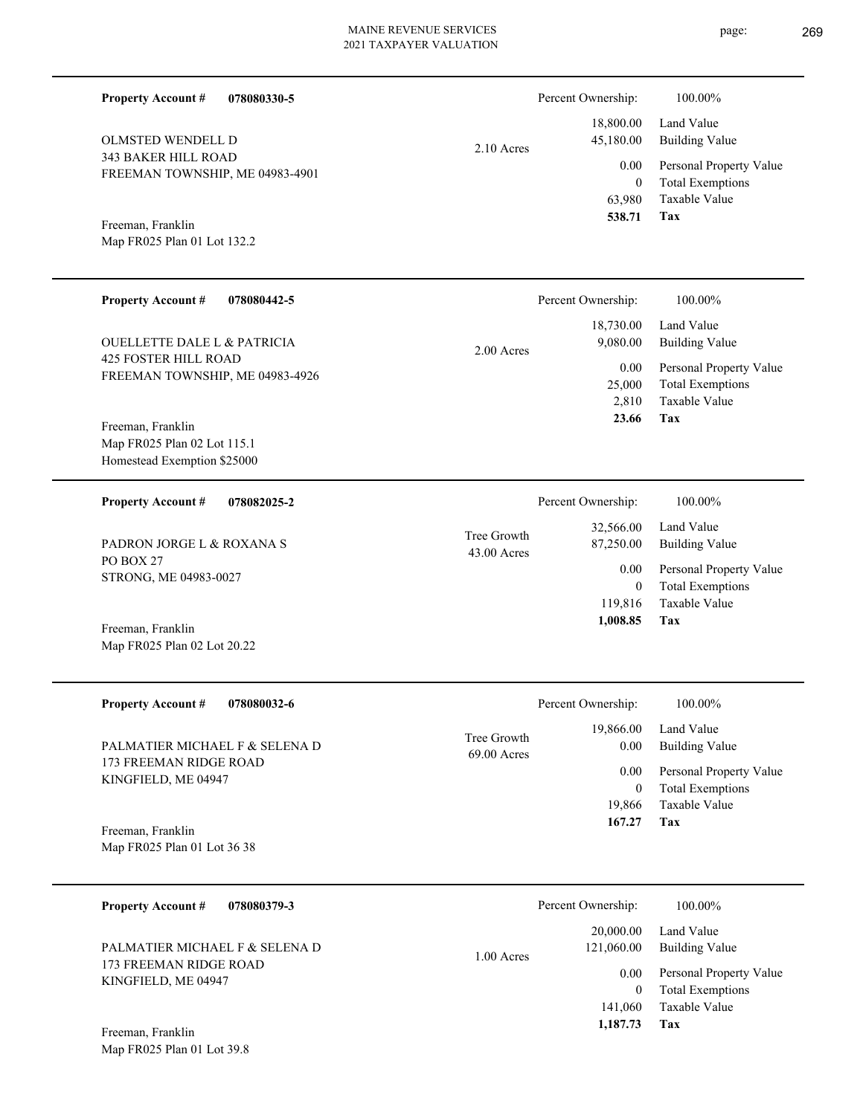| <b>Property Account #</b><br>078080330-5                      |               | Percent Ownership:       | 100.00%                                            |
|---------------------------------------------------------------|---------------|--------------------------|----------------------------------------------------|
| OLMSTED WENDELL D                                             | $2.10$ Acres  | 18,800.00<br>45,180.00   | Land Value<br><b>Building Value</b>                |
| <b>343 BAKER HILL ROAD</b><br>FREEMAN TOWNSHIP, ME 04983-4901 |               | 0.00                     | Personal Property Value                            |
|                                                               |               | $\mathbf{0}$<br>63,980   | <b>Total Exemptions</b><br>Taxable Value           |
| Freeman, Franklin                                             |               | 538.71                   | Tax                                                |
| Map FR025 Plan 01 Lot 132.2                                   |               |                          |                                                    |
|                                                               |               |                          |                                                    |
| <b>Property Account #</b><br>078080442-5                      |               | Percent Ownership:       | 100.00%                                            |
| <b>OUELLETTE DALE L &amp; PATRICIA</b>                        |               | 18,730.00<br>9,080.00    | Land Value<br><b>Building Value</b>                |
| <b>425 FOSTER HILL ROAD</b>                                   | $2.00$ Acres  | 0.00                     | Personal Property Value                            |
| FREEMAN TOWNSHIP, ME 04983-4926                               |               | 25,000                   | <b>Total Exemptions</b>                            |
| Freeman, Franklin                                             |               | 2,810<br>23.66           | Taxable Value<br>Tax                               |
| Map FR025 Plan 02 Lot 115.1                                   |               |                          |                                                    |
| Homestead Exemption \$25000                                   |               |                          |                                                    |
| <b>Property Account #</b><br>078082025-2                      |               | Percent Ownership:       | 100.00%                                            |
|                                                               | Tree Growth   | 32,566.00                | Land Value                                         |
| PADRON JORGE L & ROXANA S<br>PO BOX 27                        | $43.00$ Acres | 87,250.00                | <b>Building Value</b>                              |
| STRONG, ME 04983-0027                                         |               | 0.00<br>$\mathbf{0}$     | Personal Property Value<br><b>Total Exemptions</b> |
|                                                               |               | 119,816<br>1,008.85      | Taxable Value<br>Tax                               |
| Freeman, Franklin<br>Map FR025 Plan 02 Lot 20.22              |               |                          |                                                    |
|                                                               |               |                          |                                                    |
| <b>Property Account #</b><br>078080032-6                      |               | Percent Ownership:       | 100.00%                                            |
|                                                               | Tree Growth   | 19,866.00                | Land Value                                         |
| PALMATIER MICHAEL F & SELENA D<br>173 FREEMAN RIDGE ROAD      | 69.00 Acres   | 0.00                     | <b>Building Value</b>                              |
| KINGFIELD, ME 04947                                           |               | 0.00<br>$\boldsymbol{0}$ | Personal Property Value<br><b>Total Exemptions</b> |
|                                                               |               | 19,866                   | Taxable Value                                      |
| Freeman, Franklin<br>Map FR025 Plan 01 Lot 36 38              |               | 167.27                   | Tax                                                |
|                                                               |               |                          |                                                    |
| <b>Property Account #</b><br>078080379-3                      |               | Percent Ownership:       | 100.00%                                            |
|                                                               |               | 20,000.00                | Land Value                                         |
| PALMATIER MICHAEL F & SELENA D<br>173 FREEMAN RIDGE ROAD      | 1.00 Acres    | 121,060.00               | <b>Building Value</b>                              |
| KINGFIELD, ME 04947                                           |               | 0.00<br>$\mathbf{0}$     | Personal Property Value<br><b>Total Exemptions</b> |
|                                                               |               | 141,060                  | Taxable Value                                      |

**Tax 1,187.73**

Map FR025 Plan 01 Lot 39.8 Freeman, Franklin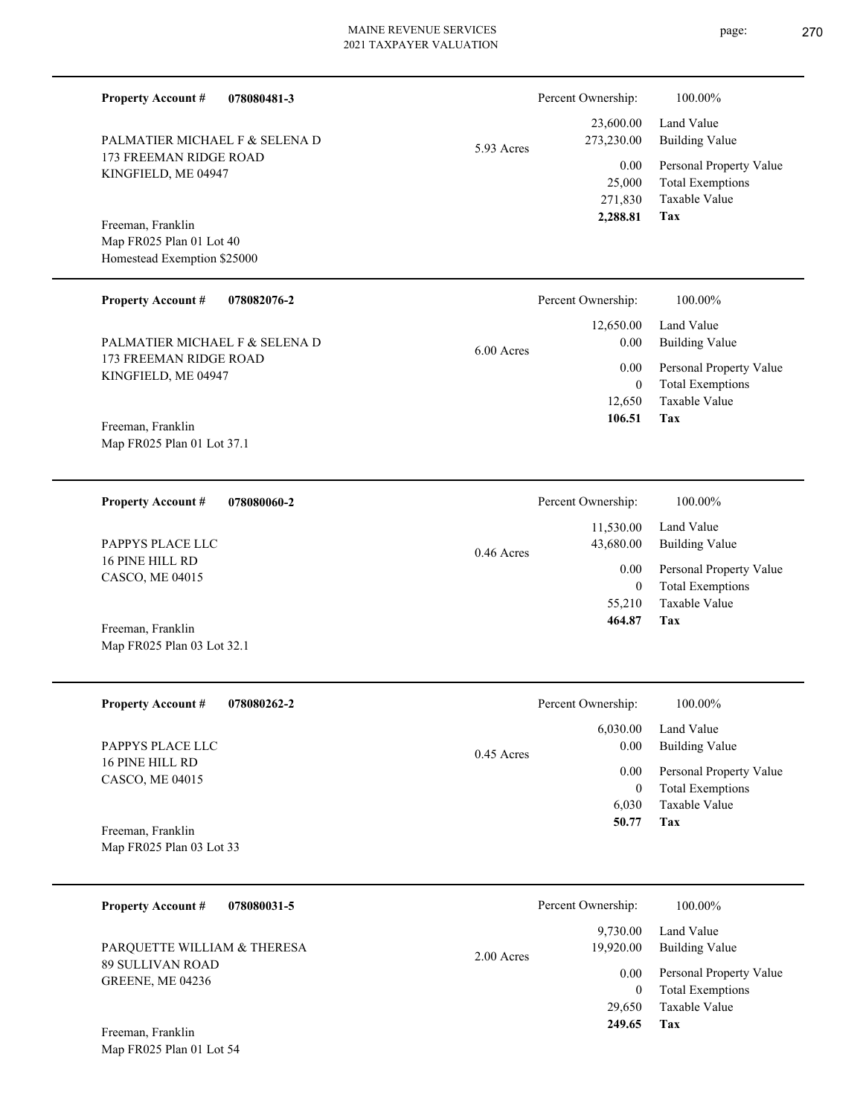**078080481-3**

173 FREEMAN RIDGE ROAD KINGFIELD, ME 04947

PALMATIER MICHAEL F & SELENA D

**Property Account #**

Freeman, Franklin

| 5.93 Acres | 273,230.00 |
|------------|------------|
|            | 0.00       |
|            | 25,000     |
|            | 271,830    |
|            | 2,288.81   |
|            |            |
|            |            |
|            |            |

**Tax**

**Tax**

 **249.65**

 23,600.00 273,230.00

Percent Ownership:  $100.00\%$ 

Taxable Value Total Exemptions Personal Property Value

Building Value Land Value

| Map FR025 Plan 01 Lot 40<br>Homestead Exemption \$25000                                          |                                              |                                                                            |
|--------------------------------------------------------------------------------------------------|----------------------------------------------|----------------------------------------------------------------------------|
| <b>Property Account #</b><br>078082076-2                                                         | Percent Ownership:                           | 100.00%                                                                    |
| PALMATIER MICHAEL F & SELENA D                                                                   | 12,650.00<br>0.00<br>6.00 Acres              | Land Value<br><b>Building Value</b>                                        |
| 173 FREEMAN RIDGE ROAD<br>KINGFIELD, ME 04947<br>Freeman, Franklin<br>Map FR025 Plan 01 Lot 37.1 | 0.00<br>$\boldsymbol{0}$<br>12,650<br>106.51 | Personal Property Value<br><b>Total Exemptions</b><br>Taxable Value<br>Tax |
| 078080060-2<br><b>Property Account #</b>                                                         | Percent Ownership:                           | 100.00%                                                                    |
| PAPPYS PLACE LLC                                                                                 | 11,530.00<br>43,680.00<br>0.46 Acres         | Land Value<br><b>Building Value</b>                                        |
| 16 PINE HILL RD<br>CASCO, ME 04015                                                               | 0.00<br>$\boldsymbol{0}$<br>55,210<br>464.87 | Personal Property Value<br><b>Total Exemptions</b><br>Taxable Value<br>Tax |
| Freeman, Franklin<br>Map FR025 Plan 03 Lot 32.1                                                  |                                              |                                                                            |
| <b>Property Account #</b><br>078080262-2                                                         | Percent Ownership:                           | 100.00%                                                                    |
| PAPPYS PLACE LLC                                                                                 | 6,030.00<br>0.00<br>$0.45$ Acres             | Land Value<br><b>Building Value</b>                                        |
| <b>16 PINE HILL RD</b><br>CASCO, ME 04015                                                        | 0.00<br>$\mathbf{0}$<br>6,030                | Personal Property Value<br><b>Total Exemptions</b><br>Taxable Value        |
| Freeman, Franklin<br>Map FR025 Plan 03 Lot 33                                                    | 50.77                                        | Tax                                                                        |
| <b>Property Account #</b><br>078080031-5                                                         | Percent Ownership:                           | 100.00%                                                                    |
| PARQUETTE WILLIAM & THERESA<br>89 SULLIVAN ROAD                                                  | 9,730.00<br>19,920.00<br>2.00 Acres          | Land Value<br><b>Building Value</b>                                        |
| GREENE, ME 04236                                                                                 | 0.00<br>$\boldsymbol{0}$<br>29,650           | Personal Property Value<br><b>Total Exemptions</b><br>Taxable Value        |

Map FR025 Plan 01 Lot 54 Freeman, Franklin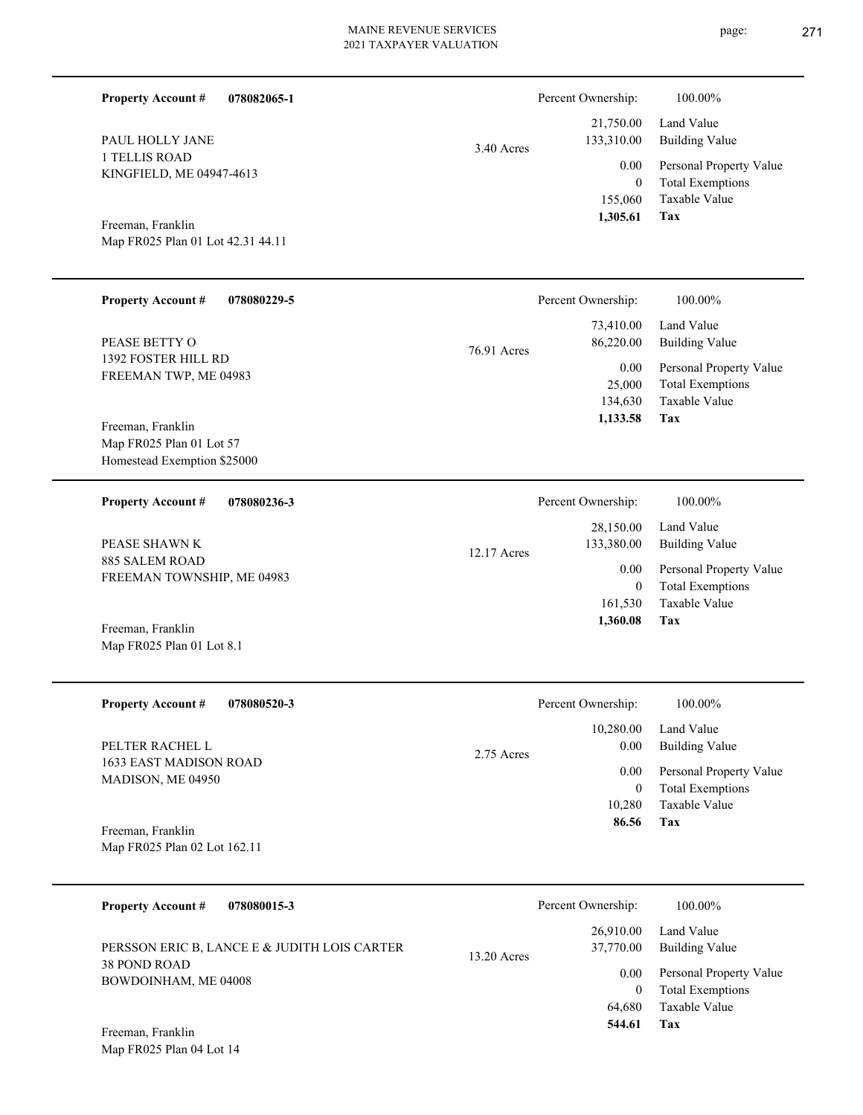| <b>Property Account #</b><br>078082065-1                                     |             | Percent Ownership:                              | 100.00%                                                                    |
|------------------------------------------------------------------------------|-------------|-------------------------------------------------|----------------------------------------------------------------------------|
| PAUL HOLLY JANE                                                              | 3.40 Acres  | 21,750.00<br>133,310.00                         | Land Value<br><b>Building Value</b>                                        |
| 1 TELLIS ROAD<br>KINGFIELD, ME 04947-4613                                    |             | 0.00<br>$\mathbf{0}$<br>155,060                 | Personal Property Value<br><b>Total Exemptions</b><br>Taxable Value        |
| Freeman, Franklin<br>Map FR025 Plan 01 Lot 42.31 44.11                       |             | 1,305.61                                        | Tax                                                                        |
| <b>Property Account #</b><br>078080229-5                                     |             | Percent Ownership:                              | 100.00%                                                                    |
| PEASE BETTY O                                                                | 76.91 Acres | 73,410.00<br>86,220.00                          | Land Value<br><b>Building Value</b>                                        |
| 1392 FOSTER HILL RD<br>FREEMAN TWP, ME 04983                                 |             | 0.00<br>25,000<br>134,630<br>1,133.58           | Personal Property Value<br><b>Total Exemptions</b><br>Taxable Value<br>Tax |
| Freeman, Franklin<br>Map FR025 Plan 01 Lot 57<br>Homestead Exemption \$25000 |             |                                                 |                                                                            |
| 078080236-3<br><b>Property Account #</b>                                     |             | Percent Ownership:                              | 100.00%                                                                    |
| PEASE SHAWN K                                                                | 12.17 Acres | 28,150.00<br>133,380.00                         | Land Value<br><b>Building Value</b>                                        |
| 885 SALEM ROAD<br>FREEMAN TOWNSHIP, ME 04983                                 |             | 0.00<br>$\boldsymbol{0}$<br>161,530<br>1,360.08 | Personal Property Value<br><b>Total Exemptions</b><br>Taxable Value<br>Tax |
| Freeman, Franklin<br>Map FR025 Plan 01 Lot 8.1                               |             |                                                 |                                                                            |
| <b>Property Account #</b><br>078080520-3                                     |             | Percent Ownership:                              | 100.00%                                                                    |
| PELTER RACHEL L                                                              | 2.75 Acres  | 10,280.00<br>0.00                               | Land Value<br><b>Building Value</b>                                        |
| 1633 EAST MADISON ROAD<br>MADISON, ME 04950                                  |             | 0.00<br>$\overline{0}$<br>10,280                | Personal Property Value<br><b>Total Exemptions</b><br>Taxable Value        |
| Freeman, Franklin<br>Map FR025 Plan 02 Lot 162.11                            |             | 86.56                                           | Tax                                                                        |
| 078080015-3<br><b>Property Account #</b>                                     |             | Percent Ownership:                              | 100.00%                                                                    |
| PERSSON ERIC B, LANCE E & JUDITH LOIS CARTER                                 | 13.20 Acres | 26,910.00<br>37,770.00                          | Land Value<br><b>Building Value</b>                                        |
| 38 POND ROAD<br>BOWDOINHAM, ME 04008                                         |             | 0.00<br>$\overline{0}$<br>64,680<br>544.61      | Personal Property Value<br><b>Total Exemptions</b><br>Taxable Value<br>Tax |
| Freeman, Franklin                                                            |             |                                                 |                                                                            |

Map FR025 Plan 04 Lot 14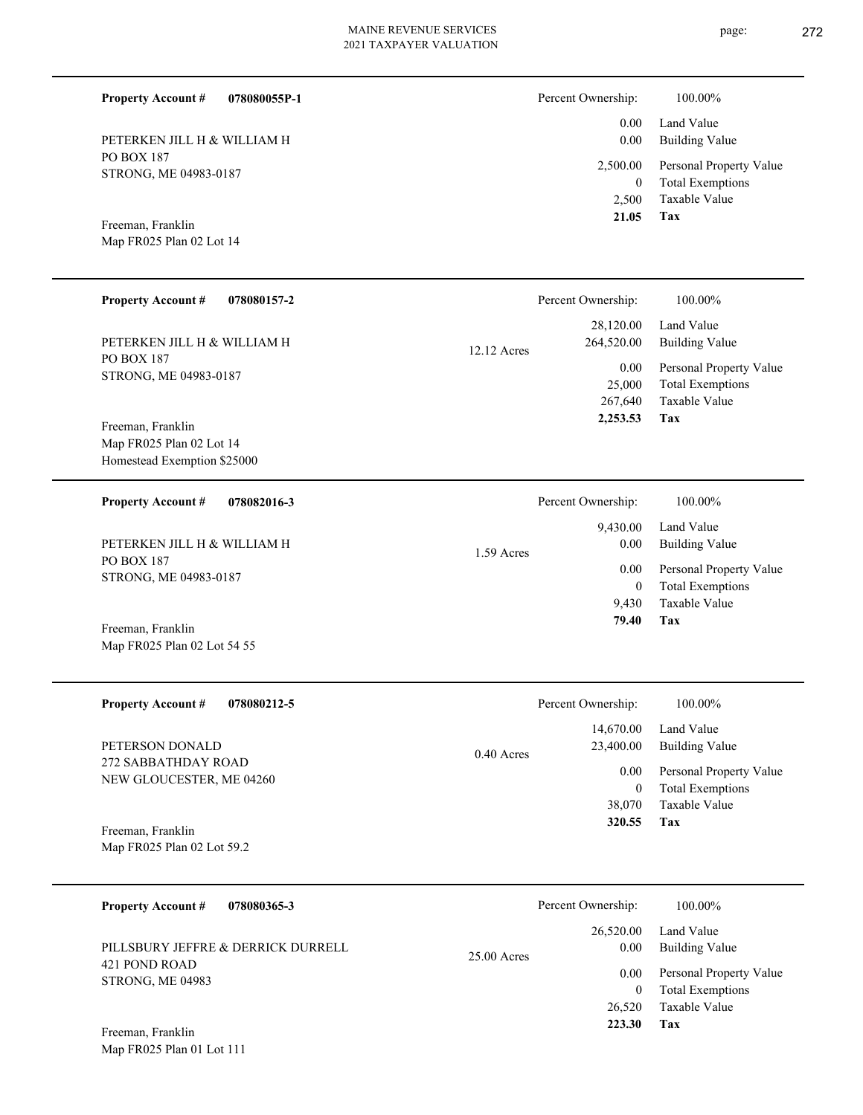| <b>Property Account #</b><br>078080055P-1                       |             | Percent Ownership:                       | 100.00%                                                                    |
|-----------------------------------------------------------------|-------------|------------------------------------------|----------------------------------------------------------------------------|
| PETERKEN JILL H & WILLIAM H                                     |             | 0.00<br>0.00                             | Land Value<br><b>Building Value</b>                                        |
| <b>PO BOX 187</b><br>STRONG, ME 04983-0187                      |             | 2,500.00<br>$\overline{0}$<br>2,500      | Personal Property Value<br><b>Total Exemptions</b><br>Taxable Value        |
| Freeman, Franklin<br>Map FR025 Plan 02 Lot 14                   |             | 21.05                                    | Tax                                                                        |
| <b>Property Account #</b><br>078080157-2                        |             | Percent Ownership:                       | 100.00%                                                                    |
| PETERKEN JILL H & WILLIAM H                                     | 12.12 Acres | 28,120.00<br>264,520.00                  | Land Value<br><b>Building Value</b>                                        |
| <b>PO BOX 187</b><br>STRONG, ME 04983-0187<br>Freeman, Franklin |             | 0.00<br>25,000<br>267,640<br>2,253.53    | Personal Property Value<br><b>Total Exemptions</b><br>Taxable Value<br>Tax |
| Map FR025 Plan 02 Lot 14<br>Homestead Exemption \$25000         |             |                                          |                                                                            |
| <b>Property Account #</b><br>078082016-3                        |             | Percent Ownership:                       | 100.00%                                                                    |
| PETERKEN JILL H & WILLIAM H                                     | 1.59 Acres  | 9,430.00<br>0.00                         | Land Value<br><b>Building Value</b>                                        |
| <b>PO BOX 187</b><br>STRONG, ME 04983-0187                      |             | 0.00<br>$\overline{0}$<br>9,430          | Personal Property Value<br><b>Total Exemptions</b><br>Taxable Value        |
| Freeman, Franklin<br>Map FR025 Plan 02 Lot 54 55                |             | 79.40                                    | Tax                                                                        |
| <b>Property Account #</b><br>078080212-5                        |             | Percent Ownership:                       | 100.00%                                                                    |
| PETERSON DONALD                                                 | 0.40 Acres  | 14,670.00<br>23,400.00                   | Land Value<br><b>Building Value</b>                                        |
| 272 SABBATHDAY ROAD<br>NEW GLOUCESTER, ME 04260                 |             | 0.00<br>$\mathbf{0}$<br>38,070<br>320.55 | Personal Property Value<br><b>Total Exemptions</b><br>Taxable Value<br>Tax |
| Freeman, Franklin<br>Map FR025 Plan 02 Lot 59.2                 |             |                                          |                                                                            |
| <b>Property Account #</b><br>078080365-3                        |             | Percent Ownership:                       | 100.00%                                                                    |
| PILLSBURY JEFFRE & DERRICK DURRELL                              | 25.00 Acres | 26,520.00<br>0.00                        | Land Value<br><b>Building Value</b>                                        |
| 421 POND ROAD<br>STRONG, ME 04983                               |             | 0.00<br>$\boldsymbol{0}$<br>26,520       | Personal Property Value<br><b>Total Exemptions</b><br>Taxable Value        |
| Freeman, Franklin<br>Map FR025 Plan 01 Lot 111                  |             | 223.30                                   | Tax                                                                        |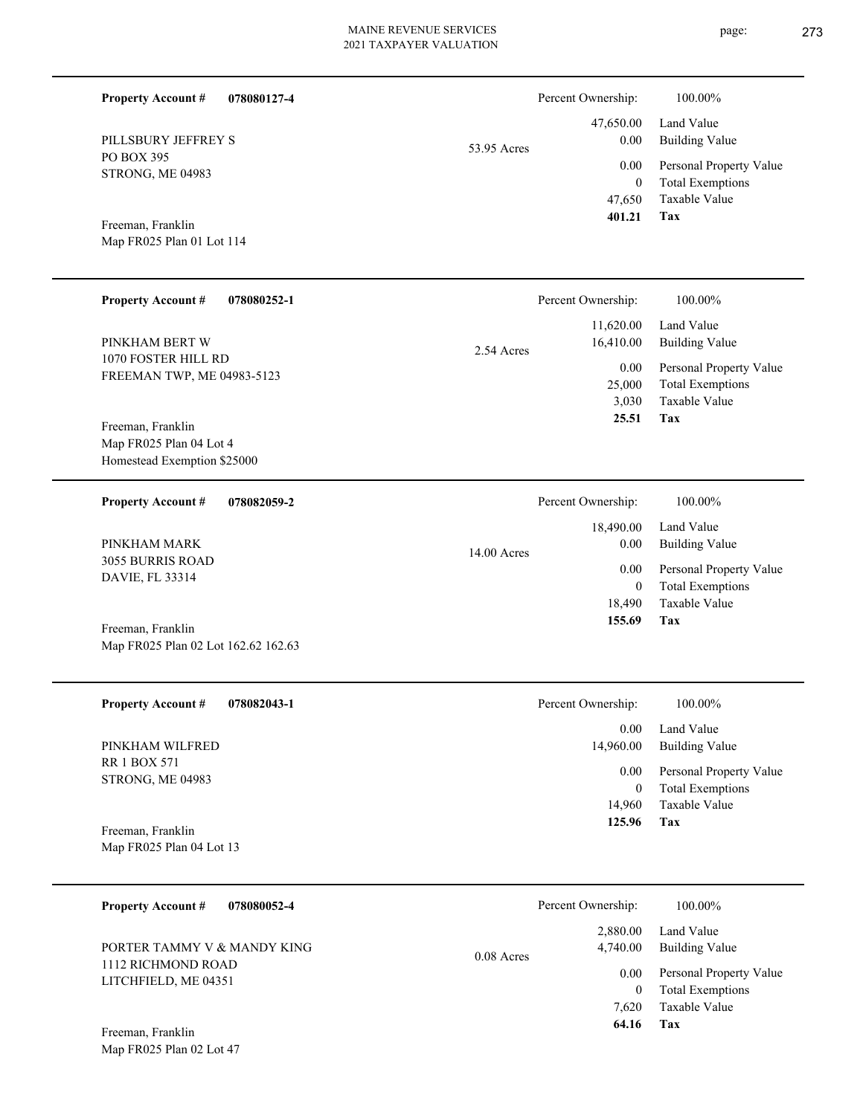| <b>Property Account #</b><br>078080127-4                                    |               | Percent Ownership:                       | 100.00%                                                                    |
|-----------------------------------------------------------------------------|---------------|------------------------------------------|----------------------------------------------------------------------------|
| PILLSBURY JEFFREY S                                                         | 53.95 Acres   | 47,650.00<br>0.00                        | Land Value<br><b>Building Value</b>                                        |
| <b>PO BOX 395</b><br>STRONG, ME 04983                                       |               | 0.00<br>$\overline{0}$<br>47,650         | Personal Property Value<br><b>Total Exemptions</b><br>Taxable Value        |
| Freeman, Franklin<br>Map FR025 Plan 01 Lot 114                              |               | 401.21                                   | Tax                                                                        |
| <b>Property Account #</b><br>078080252-1                                    |               | Percent Ownership:                       | 100.00%                                                                    |
| PINKHAM BERT W                                                              | 2.54 Acres    | 11,620.00<br>16,410.00                   | Land Value<br><b>Building Value</b>                                        |
| 1070 FOSTER HILL RD<br>FREEMAN TWP, ME 04983-5123                           |               | 0.00<br>25,000<br>3,030<br>25.51         | Personal Property Value<br><b>Total Exemptions</b><br>Taxable Value<br>Tax |
| Freeman, Franklin<br>Map FR025 Plan 04 Lot 4<br>Homestead Exemption \$25000 |               |                                          |                                                                            |
| <b>Property Account #</b><br>078082059-2                                    |               | Percent Ownership:                       | 100.00%                                                                    |
| PINKHAM MARK                                                                | $14.00$ Acres | 18,490.00<br>0.00                        | Land Value<br><b>Building Value</b>                                        |
| 3055 BURRIS ROAD<br>DAVIE, FL 33314                                         |               | 0.00<br>$\overline{0}$<br>18,490         | Personal Property Value<br><b>Total Exemptions</b><br>Taxable Value        |
| Freeman, Franklin<br>Map FR025 Plan 02 Lot 162.62 162.63                    |               | 155.69                                   | Tax                                                                        |
| <b>Property Account #</b><br>078082043-1                                    |               | Percent Ownership:                       | $100.00\%$                                                                 |
| PINKHAM WILFRED                                                             |               | 0.00<br>14,960.00                        | Land Value<br><b>Building Value</b>                                        |
| <b>RR 1 BOX 571</b><br>STRONG, ME 04983                                     |               | 0.00<br>$\overline{0}$                   | Personal Property Value<br><b>Total Exemptions</b>                         |
| Freeman, Franklin<br>Map FR025 Plan 04 Lot 13                               |               | 14,960<br>125.96                         | Taxable Value<br>Tax                                                       |
| <b>Property Account #</b><br>078080052-4                                    |               | Percent Ownership:                       | 100.00%                                                                    |
| PORTER TAMMY V & MANDY KING                                                 |               | 2,880.00<br>4,740.00                     | Land Value<br><b>Building Value</b>                                        |
| 1112 RICHMOND ROAD<br>LITCHFIELD, ME 04351                                  | 0.08 Acres    | 0.00<br>$\overline{0}$<br>7,620<br>64.16 | Personal Property Value<br><b>Total Exemptions</b><br>Taxable Value<br>Tax |
| Freeman, Franklin<br>Map FR025 Plan 02 Lot 47                               |               |                                          |                                                                            |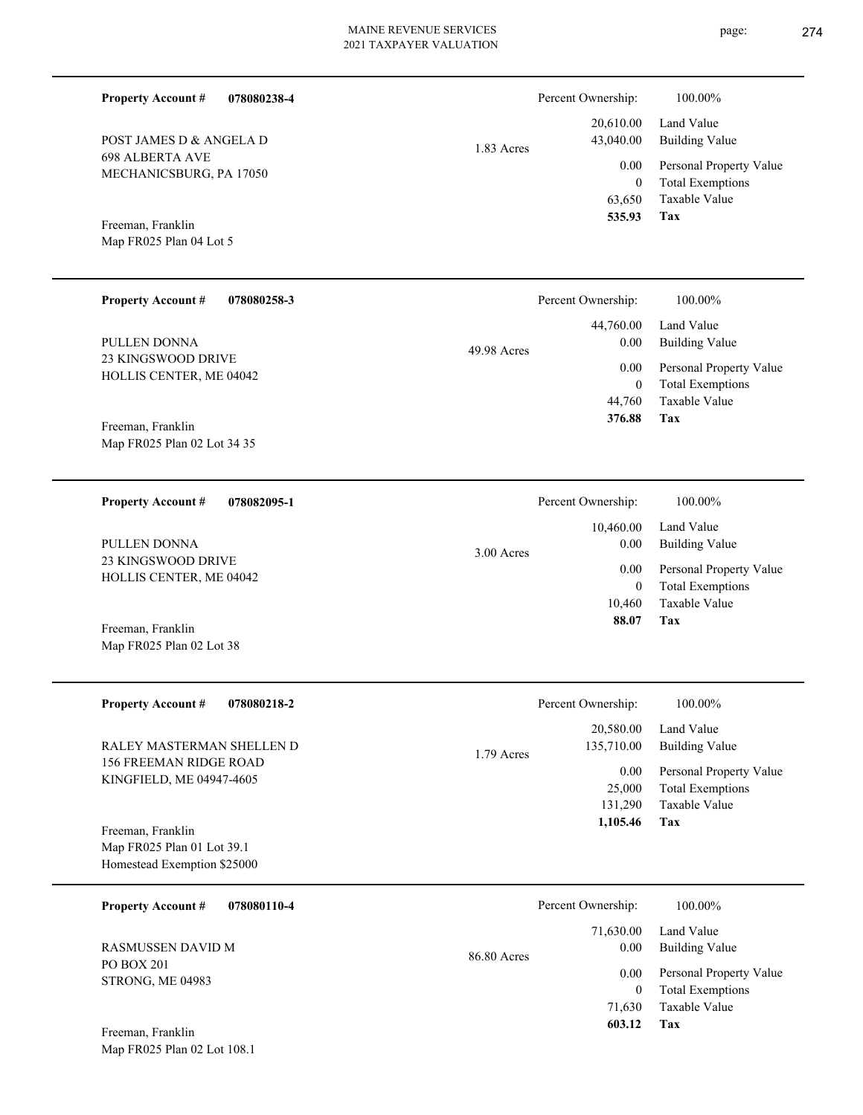| <b>Property Account #</b><br>078080238-4                  |             | Percent Ownership:       | 100.00%                                            |
|-----------------------------------------------------------|-------------|--------------------------|----------------------------------------------------|
| POST JAMES D & ANGELA D                                   |             | 20,610.00<br>43,040.00   | Land Value<br><b>Building Value</b>                |
| <b>698 ALBERTA AVE</b>                                    | 1.83 Acres  | 0.00                     | Personal Property Value                            |
| MECHANICSBURG, PA 17050                                   |             | $\overline{0}$           | <b>Total Exemptions</b>                            |
|                                                           |             | 63,650<br>535.93         | Taxable Value<br>Tax                               |
| Freeman, Franklin<br>Map FR025 Plan 04 Lot 5              |             |                          |                                                    |
|                                                           |             |                          |                                                    |
| <b>Property Account #</b><br>078080258-3                  |             | Percent Ownership:       | 100.00%                                            |
|                                                           |             | 44,760.00                | Land Value                                         |
| PULLEN DONNA<br><b>23 KINGSWOOD DRIVE</b>                 | 49.98 Acres | 0.00                     | <b>Building Value</b>                              |
| HOLLIS CENTER, ME 04042                                   |             | 0.00<br>$\overline{0}$   | Personal Property Value<br><b>Total Exemptions</b> |
|                                                           |             | 44,760                   | <b>Taxable Value</b>                               |
| Freeman, Franklin                                         |             | 376.88                   | Tax                                                |
| Map FR025 Plan 02 Lot 34 35                               |             |                          |                                                    |
| <b>Property Account #</b><br>078082095-1                  |             | Percent Ownership:       | 100.00%                                            |
|                                                           |             | 10,460.00                | Land Value                                         |
| PULLEN DONNA                                              | 3.00 Acres  | $0.00\,$                 | <b>Building Value</b>                              |
| 23 KINGSWOOD DRIVE<br>HOLLIS CENTER, ME 04042             |             | 0.00                     | Personal Property Value                            |
|                                                           |             | $\overline{0}$<br>10,460 | <b>Total Exemptions</b><br>Taxable Value           |
| Freeman, Franklin                                         |             | 88.07                    | Tax                                                |
| Map FR025 Plan 02 Lot 38                                  |             |                          |                                                    |
|                                                           |             |                          |                                                    |
| <b>Property Account #</b><br>078080218-2                  |             | Percent Ownership:       | 100.00%                                            |
|                                                           |             | 20,580.00                | Land Value                                         |
| RALEY MASTERMAN SHELLEN D<br>156 FREEMAN RIDGE ROAD       | 1.79 Acres  | 135,710.00               | <b>Building Value</b>                              |
| KINGFIELD, ME 04947-4605                                  |             | 0.00<br>25,000           | Personal Property Value<br><b>Total Exemptions</b> |
|                                                           |             | 131,290                  | Taxable Value                                      |
| Freeman, Franklin                                         |             | 1,105.46                 | Tax                                                |
| Map FR025 Plan 01 Lot 39.1<br>Homestead Exemption \$25000 |             |                          |                                                    |
|                                                           |             |                          |                                                    |
| <b>Property Account #</b><br>078080110-4                  |             | Percent Ownership:       | 100.00%                                            |
| RASMUSSEN DAVID M                                         |             | 71,630.00<br>0.00        | Land Value<br><b>Building Value</b>                |
| PO BOX 201                                                | 86.80 Acres | 0.00                     | Personal Property Value                            |
| STRONG, ME 04983                                          |             | $\overline{0}$           | <b>Total Exemptions</b>                            |

**Tax 603.12**

71,630

Taxable Value

Map FR025 Plan 02 Lot 108.1 Freeman, Franklin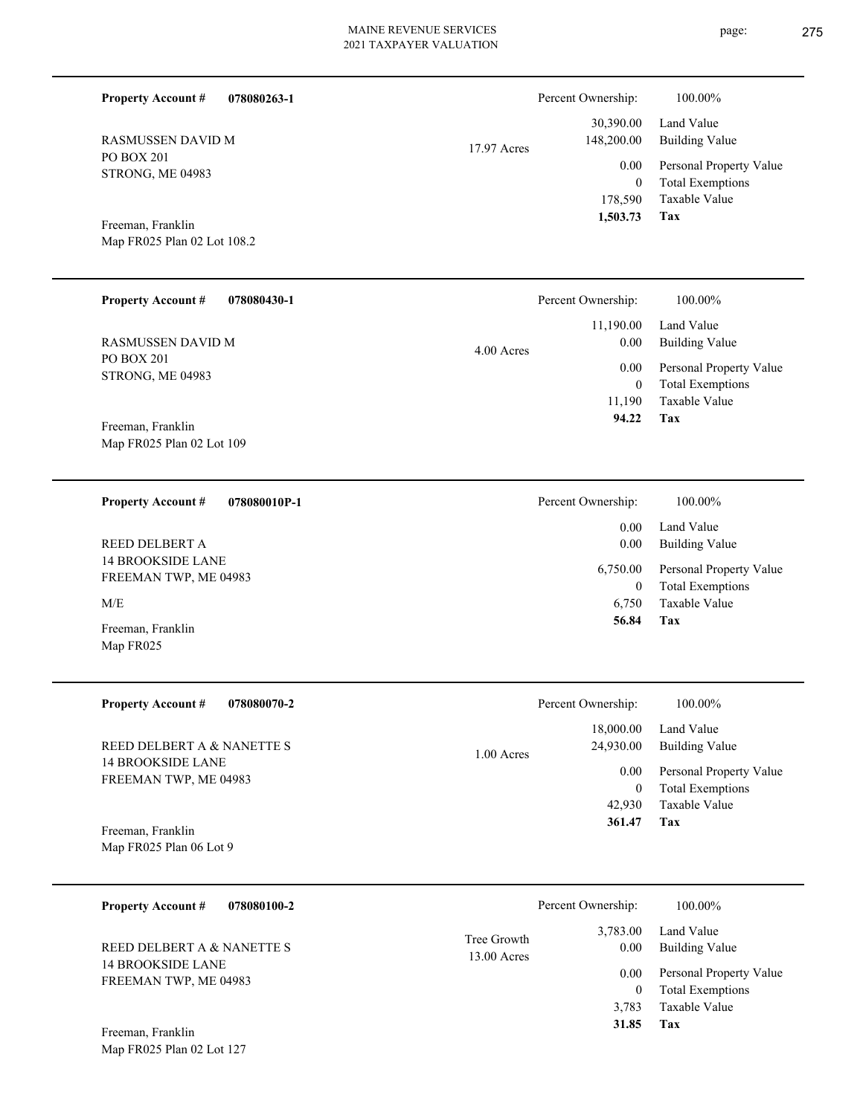| <b>Property Account #</b>                              | 078080263-1  |              | Percent Ownership:          | 100.00%                                            |
|--------------------------------------------------------|--------------|--------------|-----------------------------|----------------------------------------------------|
| <b>RASMUSSEN DAVID M</b>                               |              | 17.97 Acres  | 30,390.00<br>148,200.00     | Land Value<br><b>Building Value</b>                |
| PO BOX 201<br>STRONG, ME 04983                         |              |              | 0.00                        | Personal Property Value                            |
|                                                        |              |              | $\boldsymbol{0}$<br>178,590 | <b>Total Exemptions</b><br>Taxable Value           |
| Freeman, Franklin                                      |              |              | 1,503.73                    | Tax                                                |
| Map FR025 Plan 02 Lot 108.2                            |              |              |                             |                                                    |
|                                                        |              |              |                             |                                                    |
| <b>Property Account #</b>                              | 078080430-1  |              | Percent Ownership:          | 100.00%                                            |
|                                                        |              |              | 11,190.00                   | Land Value                                         |
| <b>RASMUSSEN DAVID M</b><br>PO BOX 201                 |              | 4.00 Acres   | 0.00                        | <b>Building Value</b>                              |
| STRONG, ME 04983                                       |              |              | 0.00                        | Personal Property Value                            |
|                                                        |              |              | $\boldsymbol{0}$<br>11,190  | <b>Total Exemptions</b><br>Taxable Value           |
| Freeman, Franklin                                      |              |              | 94.22                       | Tax                                                |
| Map FR025 Plan 02 Lot 109                              |              |              |                             |                                                    |
|                                                        |              |              |                             |                                                    |
| <b>Property Account #</b>                              | 078080010P-1 |              | Percent Ownership:          | 100.00%                                            |
| REED DELBERT A                                         |              |              | 0.00<br>0.00                | Land Value<br><b>Building Value</b>                |
| <b>14 BROOKSIDE LANE</b>                               |              |              | 6,750.00                    | Personal Property Value                            |
| FREEMAN TWP, ME 04983                                  |              |              | $\mathbf{0}$                | <b>Total Exemptions</b>                            |
| M/E                                                    |              |              | 6,750<br>56.84              | Taxable Value<br>Tax                               |
| Freeman, Franklin<br>Map FR025                         |              |              |                             |                                                    |
|                                                        |              |              |                             |                                                    |
| <b>Property Account #</b>                              | 078080070-2  |              | Percent Ownership:          | 100.00%                                            |
|                                                        |              |              | 18,000.00                   | Land Value                                         |
| REED DELBERT A & NANETTE S<br><b>14 BROOKSIDE LANE</b> |              | $1.00$ Acres | 24,930.00                   | <b>Building Value</b>                              |
| FREEMAN TWP, ME 04983                                  |              |              | 0.00                        | Personal Property Value                            |
|                                                        |              |              | $\boldsymbol{0}$<br>42,930  | <b>Total Exemptions</b><br>Taxable Value           |
| Freeman, Franklin                                      |              |              | 361.47                      | Tax                                                |
| Map FR025 Plan 06 Lot 9                                |              |              |                             |                                                    |
|                                                        |              |              |                             |                                                    |
| <b>Property Account #</b>                              | 078080100-2  |              | Percent Ownership:          | 100.00%                                            |
|                                                        |              | Tree Growth  | 3,783.00                    | Land Value                                         |
| REED DELBERT A & NANETTE S<br><b>14 BROOKSIDE LANE</b> |              | 13.00 Acres  | 0.00                        | <b>Building Value</b>                              |
| FREEMAN TWP, ME 04983                                  |              |              | 0.00<br>$\boldsymbol{0}$    | Personal Property Value<br><b>Total Exemptions</b> |
|                                                        |              |              | 3,783                       | Taxable Value                                      |
| Freeman, Franklin                                      |              |              | 31.85                       | Tax                                                |
| Map FR025 Plan 02 Lot 127                              |              |              |                             |                                                    |
|                                                        |              |              |                             |                                                    |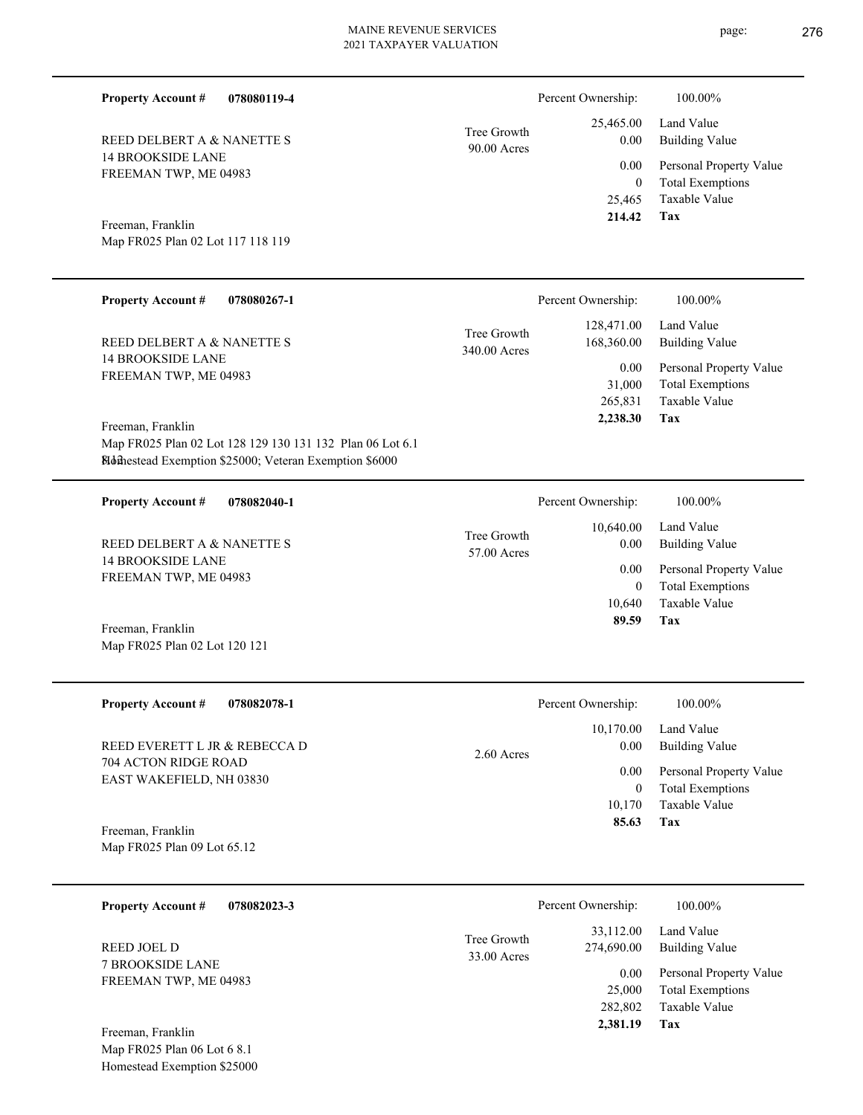**078080119-4**

**Property Account #**

| REED DELBERT A & NANETTE S<br>14 BROOKSIDE LANE<br>FREEMAN TWP, ME 04983 | TICC VIIOWIII<br>$90.00$ Acres |
|--------------------------------------------------------------------------|--------------------------------|
| Freeman, Franklin<br>Map FR025 Plan 02 Lot 117 118 119                   |                                |

Tree Growth

| <b>Property Account #</b><br>078080267-1                                       |                             | Percent Ownership:       | 100.00%                                            |
|--------------------------------------------------------------------------------|-----------------------------|--------------------------|----------------------------------------------------|
| REED DELBERT A & NANETTE S                                                     | Tree Growth<br>340.00 Acres | 128,471.00<br>168,360.00 | Land Value<br>Building Value                       |
| <b>14 BROOKSIDE LANE</b><br>FREEMAN TWP, ME 04983                              |                             | 0.00<br>31,000           | Personal Property Value<br><b>Total Exemptions</b> |
|                                                                                |                             | 265,831<br>2,238.30      | Taxable Value<br>Tax                               |
| Freeman, Franklin<br>Map FR025 Plan 02 Lot 128 129 130 131 132 Plan 06 Lot 6.1 |                             |                          |                                                    |
| <b>Blomestead Exemption \$25000; Veteran Exemption \$6000</b>                  |                             |                          |                                                    |

| 078082040-1<br><b>Property Account #</b>          | Percent Ownership:                              | 100.00%                      |
|---------------------------------------------------|-------------------------------------------------|------------------------------|
| REED DELBERT A & NANETTE S                        | 10.640.00<br>Tree Growth<br>0.00<br>57.00 Acres | Land Value<br>Building Value |
| <b>14 BROOKSIDE LANE</b><br>FREEMAN TWP, ME 04983 | 0.00                                            | Personal Property Value      |
|                                                   |                                                 | <b>Total Exemptions</b>      |
|                                                   | 10.640                                          | Taxable Value                |
| Freeman, Franklin                                 | 89.59                                           | Tax                          |

| <b>Property Account #</b><br>078082078-1              | Percent Ownership:   | $100.00\%$              |
|-------------------------------------------------------|----------------------|-------------------------|
|                                                       | 10,170.00            | Land Value              |
| REED EVERETT L JR & REBECCA D<br>704 ACTON RIDGE ROAD | 0.00<br>$2.60$ Acres | <b>Building Value</b>   |
| EAST WAKEFIELD, NH 03830                              | 0.00                 | Personal Property Value |
|                                                       | $\boldsymbol{0}$     | <b>Total Exemptions</b> |
|                                                       | 10.170               | Taxable Value           |
| Freeman, Franklin                                     | 85.63                | Tax                     |

Map FR025 Plan 09 Lot 65.12

Map FR025 Plan 02 Lot 120 121

| 078082023-3<br><b>Property Account #</b>                        | Percent Ownership:         |                                 | 100.00%                                                 |
|-----------------------------------------------------------------|----------------------------|---------------------------------|---------------------------------------------------------|
| REED JOEL D<br><b>7 BROOKSIDE LANE</b><br>FREEMAN TWP, ME 04983 | Tree Growth<br>33.00 Acres | 33,112.00<br>274,690.00<br>0.00 | Land Value<br>Building Value<br>Personal Property Value |
|                                                                 |                            | 25,000                          | <b>Total Exemptions</b>                                 |
| Freeman, Franklin                                               |                            | 282,802<br>2,381.19             | Taxable Value<br>Tax                                    |

Map FR025 Plan 06 Lot 6 8.1 Homestead Exemption \$25000 **Tax**

 25,465 0

 25,465.00 0.00 0.00

Percent Ownership:  $100.00\%$ 

 **214.42**

Taxable Value Total Exemptions Personal Property Value

Building Value Land Value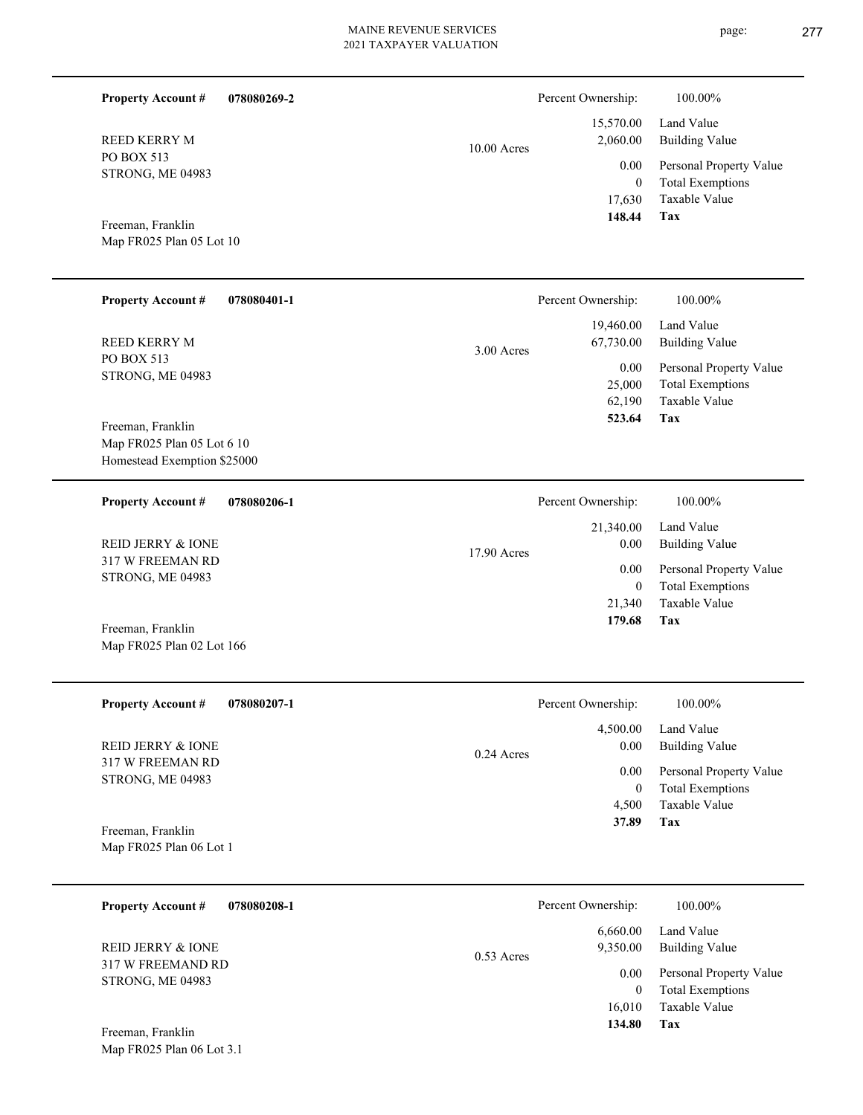17,630  **148.44** 15,570.00 2,060.00 0.00 10.00 Acres **078080401-1** 62,190 25,000 19,460.00 67,730.00 0.00 3.00 Acres Percent Ownership:  $100.00\%$ 

Map FR025 Plan 05 Lot 6 10 Homestead Exemption \$25000 Freeman, Franklin

PO BOX 513 STRONG, ME 04983

**Property Account #**

REED KERRY M

Map FR025 Plan 05 Lot 10

Freeman, Franklin

**Property Account #**

REED KERRY M

PO BOX 513 STRONG, ME 04983 **078080269-2**

| 078080206-1<br><b>Property Account #</b>    | Percent Ownership:    | 100.00%                 |
|---------------------------------------------|-----------------------|-------------------------|
|                                             | 21,340.00             | Land Value              |
| REID JERRY & IONE                           | 0.00<br>$17.90$ Acres | <b>Building Value</b>   |
| 317 W FREEMAN RD<br><b>STRONG, ME 04983</b> | 0.00                  | Personal Property Value |
|                                             | 0                     | <b>Total Exemptions</b> |
|                                             | 21,340                | Taxable Value           |
| Freeman, Franklin                           | 179.68                | Tax                     |
| Map FR025 Plan 02 Lot 166                   |                       |                         |

| <b>Property Account #</b><br>078080207-1    | Percent Ownership:               | 100.00%                                            |
|---------------------------------------------|----------------------------------|----------------------------------------------------|
| REID JERRY & IONE                           | 4,500.00<br>0.00<br>$0.24$ Acres | Land Value<br><b>Building Value</b>                |
| 317 W FREEMAN RD<br><b>STRONG, ME 04983</b> | 0.00                             | Personal Property Value<br><b>Total Exemptions</b> |
|                                             | 4.500                            | Taxable Value                                      |
| Freeman, Franklin                           | 37.89                            | Tax                                                |
| Map FR025 Plan 06 Lot 1                     |                                  |                                                    |

| 078080208-1<br><b>Property Account #</b> | Percent Ownership:                   | 100.00%                      |
|------------------------------------------|--------------------------------------|------------------------------|
| REID JERRY & JONE<br>317 W FREEMAND RD   | 6,660.00<br>9,350.00<br>$0.53$ Acres | Land Value<br>Building Value |
|                                          | 0.00                                 | Personal Property Value      |
| STRONG, ME 04983                         | 0                                    | <b>Total Exemptions</b>      |
|                                          | 16.010                               | Taxable Value                |
| Freeman, Franklin                        | 134.80                               | Tax                          |
| Map FR025 Plan 06 Lot 3.1                |                                      |                              |

**Tax**

**Tax**

 **523.64**

Taxable Value Total Exemptions Personal Property Value

Building Value Land Value

0

Percent Ownership:  $100.00\%$ 

Taxable Value Total Exemptions Personal Property Value

Building Value Land Value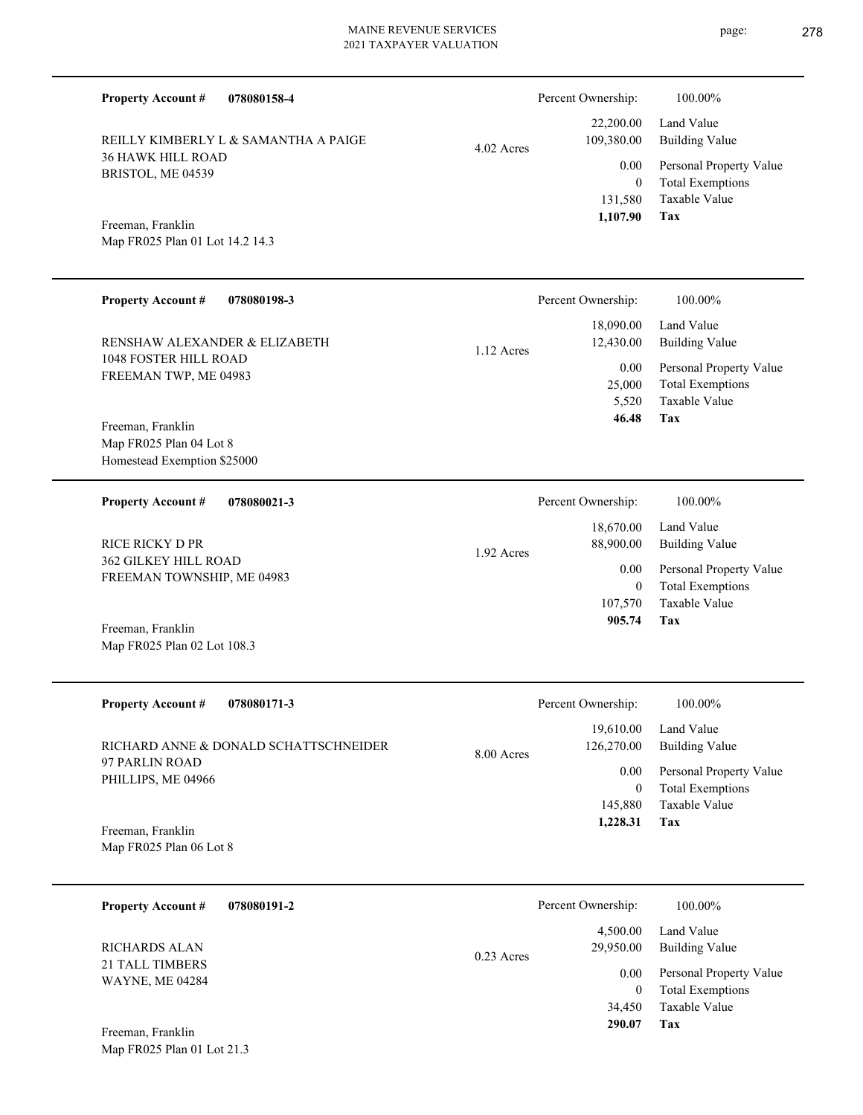| 078080158-4<br><b>Property Account #</b> |            | Percent Ownership:      | 100.00%                                            |
|------------------------------------------|------------|-------------------------|----------------------------------------------------|
| REILLY KIMBERLY L & SAMANTHA A PAIGE     |            | 22,200.00<br>109,380.00 | Land Value<br><b>Building Value</b>                |
| <b>36 HAWK HILL ROAD</b>                 | 4.02 Acres | 0.00                    |                                                    |
| BRISTOL, ME 04539                        |            | $\overline{0}$          | Personal Property Value<br><b>Total Exemptions</b> |
|                                          |            | 131,580                 | <b>Taxable Value</b>                               |
| Freeman, Franklin                        |            | 1,107.90                | Tax                                                |
| Map FR025 Plan 01 Lot 14.2 14.3          |            |                         |                                                    |
|                                          |            |                         |                                                    |
| <b>Property Account #</b><br>078080198-3 |            | Percent Ownership:      | 100.00%                                            |
|                                          |            | 18,090.00               | Land Value                                         |
| RENSHAW ALEXANDER & ELIZABETH            |            | 12,430.00               | <b>Building Value</b>                              |
| 1048 FOSTER HILL ROAD                    | 1.12 Acres | 0.00                    | Personal Property Value                            |
| FREEMAN TWP, ME 04983                    |            | 25,000                  | <b>Total Exemptions</b>                            |
|                                          |            | 5,520                   | <b>Taxable Value</b>                               |
| Freeman, Franklin                        |            | 46.48                   | Tax                                                |
| Map FR025 Plan 04 Lot 8                  |            |                         |                                                    |
| Homestead Exemption \$25000              |            |                         |                                                    |
| <b>Property Account #</b><br>078080021-3 |            | Percent Ownership:      | 100.00%                                            |
|                                          |            | 18,670.00               | Land Value                                         |
| <b>RICE RICKY D PR</b>                   | 1.92 Acres | 88,900.00               | <b>Building Value</b>                              |
| <b>362 GILKEY HILL ROAD</b>              |            | 0.00                    | Personal Property Value                            |
| FREEMAN TOWNSHIP, ME 04983               |            | $\theta$                | <b>Total Exemptions</b>                            |
|                                          |            | 107,570                 | Taxable Value                                      |
| Freeman, Franklin                        |            | 905.74                  | Tax                                                |
| Map FR025 Plan 02 Lot 108.3              |            |                         |                                                    |
|                                          |            |                         |                                                    |
| <b>Property Account #</b><br>078080171-3 |            | Percent Ownership:      | 100.00%                                            |
|                                          |            | 19,610.00               | Land Value                                         |
| RICHARD ANNE & DONALD SCHATTSCHNEIDER    | 8.00 Acres | 126,270.00              | <b>Building Value</b>                              |
| 97 PARLIN ROAD<br>PHILLIPS, ME 04966     |            | 0.00                    | Personal Property Value                            |
|                                          |            | $\boldsymbol{0}$        | <b>Total Exemptions</b>                            |
|                                          |            | 145,880                 | Taxable Value<br>Tax                               |
| Freeman, Franklin                        |            | 1,228.31                |                                                    |
| Map FR025 Plan 06 Lot 8                  |            |                         |                                                    |
|                                          |            |                         |                                                    |
| <b>Property Account #</b><br>078080191-2 |            | Percent Ownership:      | 100.00%                                            |
|                                          |            | 4,500.00                | Land Value                                         |
| RICHARDS ALAN<br><b>21 TALL TIMBERS</b>  | 0.23 Acres | 29,950.00               | <b>Building Value</b>                              |
| <b>WAYNE, ME 04284</b>                   |            | 0.00                    | Personal Property Value                            |
|                                          |            | $\mathbf{0}$            | <b>Total Exemptions</b><br>Taxable Value           |
|                                          |            | 34,450<br>290.07        | <b>Tax</b>                                         |
|                                          |            |                         |                                                    |

Map FR025 Plan 01 Lot 21.3 Freeman, Franklin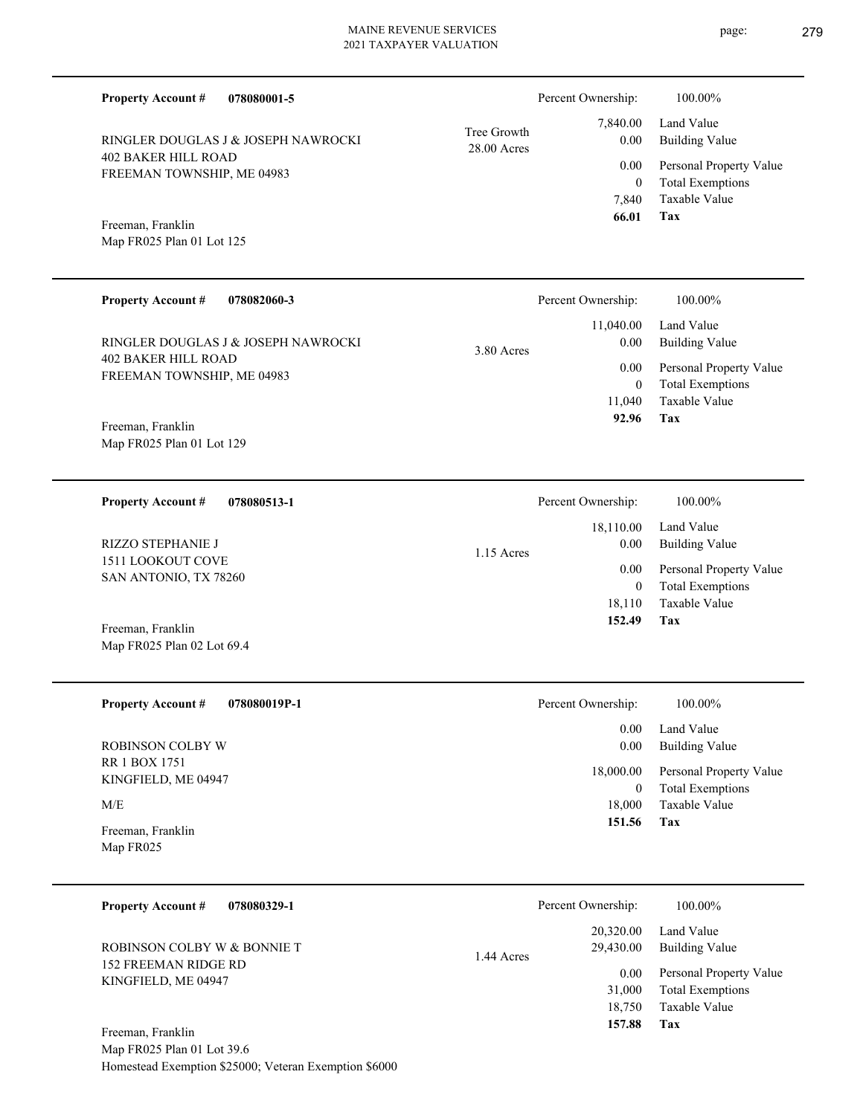| 078080001-5<br><b>Property Account #</b>                 |                            | Percent Ownership:                                              | 100.00%                                            |
|----------------------------------------------------------|----------------------------|-----------------------------------------------------------------|----------------------------------------------------|
| RINGLER DOUGLAS J & JOSEPH NAWROCKI                      | Tree Growth<br>28.00 Acres | 7,840.00<br>0.00                                                | Land Value<br><b>Building Value</b>                |
| <b>402 BAKER HILL ROAD</b><br>FREEMAN TOWNSHIP, ME 04983 |                            | 0.00<br>$\overline{0}$                                          | Personal Property Value<br><b>Total Exemptions</b> |
| Freeman, Franklin<br>Map FR025 Plan 01 Lot 125           |                            | 7,840<br>66.01                                                  | Taxable Value<br>Tax                               |
| <b>Property Account #</b><br>078082060-3                 |                            | Percent Ownership:                                              | 100.00%                                            |
| RINGLER DOUGLAS J & JOSEPH NAWROCKI                      | 3.80 Acres                 | 11,040.00<br>0.00                                               | Land Value<br><b>Building Value</b>                |
| <b>402 BAKER HILL ROAD</b><br>FREEMAN TOWNSHIP, ME 04983 |                            | 0.00<br>$\overline{0}$                                          | Personal Property Value<br><b>Total Exemptions</b> |
| Freeman, Franklin                                        |                            | 11,040<br>92.96                                                 | <b>Taxable Value</b><br>Tax                        |
| Map FR025 Plan 01 Lot 129                                |                            |                                                                 |                                                    |
| <b>Property Account #</b><br>078080513-1                 |                            | Percent Ownership:                                              | 100.00%                                            |
| <b>RIZZO STEPHANIE J</b>                                 | $1.15$ Acres               | 18,110.00<br>0.00<br>0.00<br>$\overline{0}$<br>18,110<br>152.49 | Land Value<br><b>Building Value</b>                |
| 1511 LOOKOUT COVE<br>SAN ANTONIO, TX 78260               |                            |                                                                 | Personal Property Value<br><b>Total Exemptions</b> |
| Freeman, Franklin                                        |                            |                                                                 | Taxable Value<br>Tax                               |
| Map FR025 Plan 02 Lot 69.4                               |                            |                                                                 |                                                    |
| <b>Property Account #</b><br>078080019P-1                |                            | Percent Ownership:                                              | 100.00%                                            |
| ROBINSON COLBY W                                         |                            | 0.00<br>0.00                                                    | Land Value<br><b>Building Value</b>                |
| RR 1 BOX 1751<br>KINGFIELD, ME 04947                     |                            | 18,000.00<br>$\mathbf{0}$                                       | Personal Property Value<br><b>Total Exemptions</b> |
| M/E                                                      |                            | 18,000<br>151.56                                                | Taxable Value<br>Tax                               |
| Freeman, Franklin<br>Map FR025                           |                            |                                                                 |                                                    |
| <b>Property Account #</b><br>078080329-1                 |                            | Percent Ownership:                                              | 100.00%                                            |
| ROBINSON COLBY W & BONNIE T                              | 1.44 Acres                 | 20,320.00<br>29,430.00                                          | Land Value<br><b>Building Value</b>                |
| <b>152 FREEMAN RIDGE RD</b><br>KINGFIELD, ME 04947       |                            | 0.00<br>31,000                                                  | Personal Property Value<br><b>Total Exemptions</b> |
|                                                          |                            | 18,750<br>157.88                                                | Taxable Value<br>Tax                               |

Map FR025 Plan 01 Lot 39.6 Homestead Exemption \$25000; Veteran Exemption \$6000 Freeman, Franklin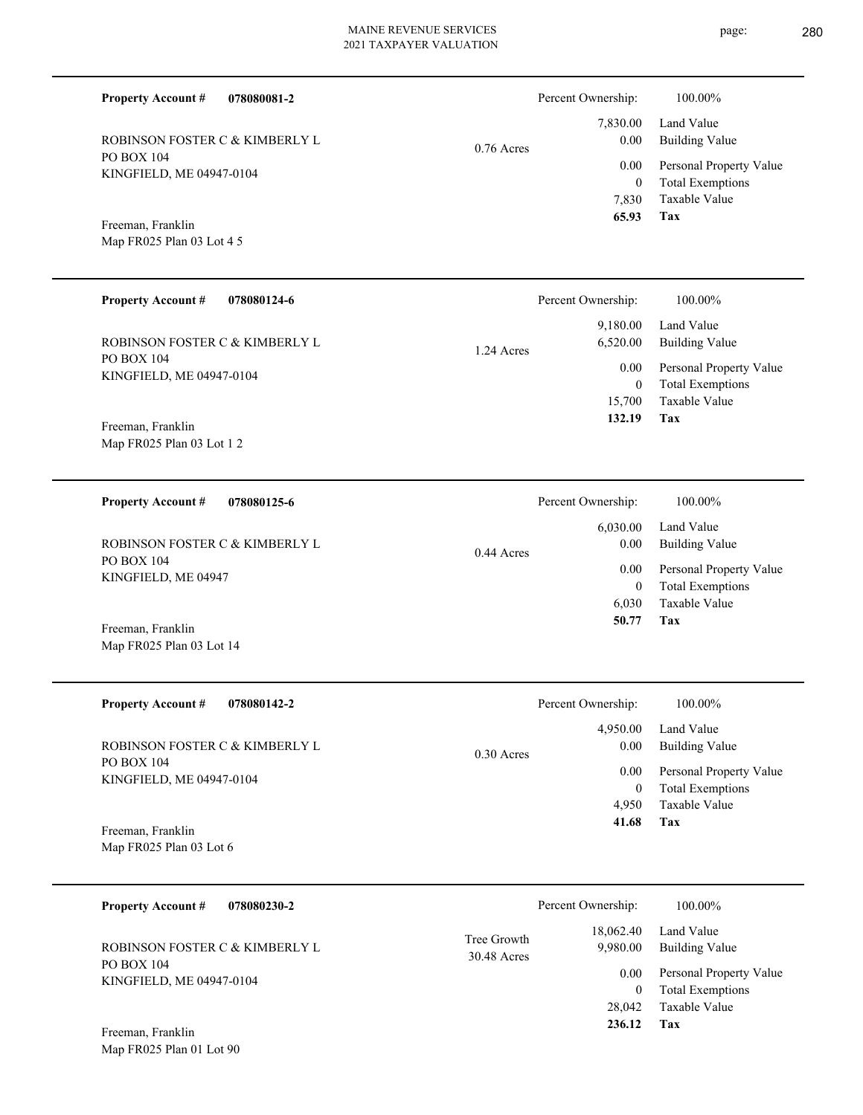| 078080081-2<br><b>Property Account #</b>      |              | Percent Ownership:       | 100.00%                                         |
|-----------------------------------------------|--------------|--------------------------|-------------------------------------------------|
|                                               |              | 7,830.00                 | Land Value                                      |
| ROBINSON FOSTER C & KIMBERLY L<br>PO BOX 104  | $0.76$ Acres | 0.00                     | <b>Building Value</b>                           |
| KINGFIELD, ME 04947-0104                      |              | 0.00                     | Personal Property Value                         |
|                                               |              | $\mathbf{0}$<br>7,830    | <b>Total Exemptions</b><br>Taxable Value        |
| Freeman, Franklin                             |              | 65.93                    | Tax                                             |
| Map FR025 Plan 03 Lot 4 5                     |              |                          |                                                 |
| <b>Property Account #</b><br>078080124-6      |              | Percent Ownership:       | 100.00%                                         |
|                                               |              | 9,180.00                 | Land Value                                      |
| ROBINSON FOSTER C & KIMBERLY L                | 1.24 Acres   | 6,520.00                 | <b>Building Value</b>                           |
| <b>PO BOX 104</b><br>KINGFIELD, ME 04947-0104 |              | 0.00                     | Personal Property Value                         |
|                                               |              | $\overline{0}$<br>15,700 | <b>Total Exemptions</b><br>Taxable Value        |
| Freeman, Franklin                             |              | 132.19                   | Tax                                             |
| Map FR025 Plan 03 Lot 1 2                     |              |                          |                                                 |
| <b>Property Account #</b><br>078080125-6      |              | Percent Ownership:       | 100.00%                                         |
|                                               |              | 6,030.00                 | Land Value                                      |
| ROBINSON FOSTER C & KIMBERLY L                | $0.44$ Acres | 0.00                     | <b>Building Value</b>                           |
| PO BOX 104<br>KINGFIELD, ME 04947             |              | $0.00\,$                 | Personal Property Value                         |
|                                               |              | $\overline{0}$<br>6,030  | <b>Total Exemptions</b><br><b>Taxable Value</b> |
|                                               |              | 50.77                    | <b>Tax</b>                                      |
| Freeman, Franklin<br>Map FR025 Plan 03 Lot 14 |              |                          |                                                 |
| <b>Property Account #</b><br>078080142-2      |              | Percent Ownership:       | 100.00%                                         |

| ROBINSON FOSTER C & KIMBERLY L |
|--------------------------------|
| PO BOX 104                     |
| KINGFIELD, ME 04947-0104       |

**Tax** Taxable Value Total Exemptions Personal Property Value Building Value Land Value 4,950  $\boldsymbol{0}$  **41.68** 4,950.00 0.00 0.00 0.30 Acres Percent Ownership:  $100.00\%$ 

Map FR025 Plan 03 Lot 6 Freeman, Franklin

| 078080230-2<br><b>Property Account #</b> |                            | Percent Ownership:    | 100.00%                                            |
|------------------------------------------|----------------------------|-----------------------|----------------------------------------------------|
| ROBINSON FOSTER C & KIMBERLY L           | Tree Growth<br>30.48 Acres | 18,062.40<br>9.980.00 | Land Value<br>Building Value                       |
| PO BOX 104<br>KINGFIELD, ME 04947-0104   |                            | 0.00                  | Personal Property Value<br><b>Total Exemptions</b> |
|                                          |                            | 28,042                | Taxable Value                                      |
| Freeman, Franklin                        |                            | 236.12                | Tax                                                |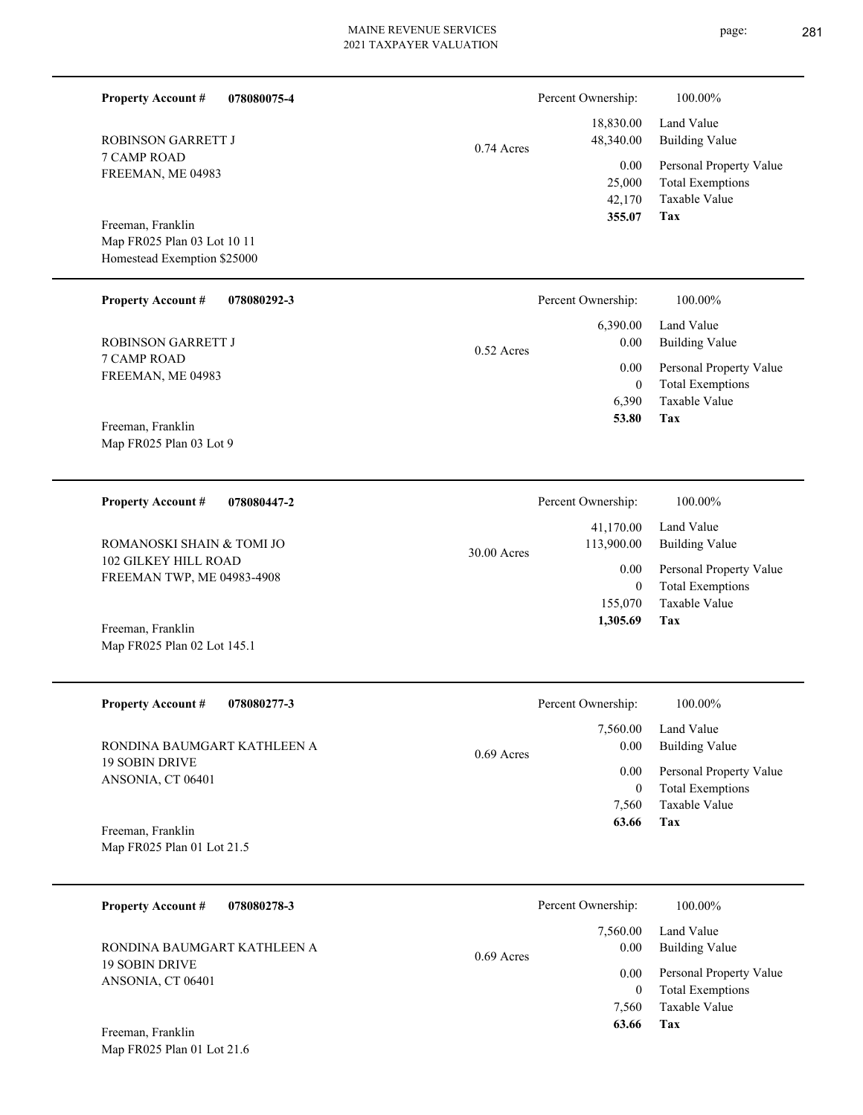page: 281

| <b>Property Account #</b><br>078080075-4                                        |             |              | Percent Ownership:                 | 100.00%                                                                    |
|---------------------------------------------------------------------------------|-------------|--------------|------------------------------------|----------------------------------------------------------------------------|
| <b>ROBINSON GARRETT J</b>                                                       |             | 0.74 Acres   | 18,830.00<br>48,340.00             | Land Value<br><b>Building Value</b>                                        |
| 7 CAMP ROAD<br>FREEMAN, ME 04983                                                |             |              | 0.00<br>25,000<br>42,170<br>355.07 | Personal Property Value<br><b>Total Exemptions</b><br>Taxable Value<br>Tax |
| Freeman, Franklin<br>Map FR025 Plan 03 Lot 10 11<br>Homestead Exemption \$25000 |             |              |                                    |                                                                            |
| Property Account #                                                              | 078080292-3 |              | Percent Ownership:                 | 100.00%                                                                    |
| <b>ROBINSON GARRETT J</b>                                                       |             | $0.52$ Acres | 6,390.00<br>0.00                   | Land Value<br><b>Building Value</b>                                        |
| <b>7 CAMP ROAD</b><br>FREEMAN, ME 04983                                         |             |              | 0.00<br>$\overline{0}$<br>6,390    | Personal Property Value<br><b>Total Exemptions</b><br>Taxable Value        |
| Freeman, Franklin<br>Map FR025 Plan 03 Lot 9                                    |             |              | 53.80                              | Tax                                                                        |
| <b>Property Account #</b>                                                       | 078080447-2 |              | Percent Ownership:                 | 100.00%                                                                    |
| ROMANOSKI SHAIN & TOMI JO                                                       |             | 30.00 Acres  | 41,170.00<br>113,900.00            | Land Value<br><b>Building Value</b>                                        |
| 102 GILKEY HILL ROAD<br>FREEMAN TWP, ME 04983-4908                              |             |              | 0.00<br>$\overline{0}$<br>155,070  | Personal Property Value<br><b>Total Exemptions</b><br>Taxable Value        |
| Freeman, Franklin<br>Map FR025 Plan 02 Lot 145.1                                |             |              | 1,305.69                           | Tax                                                                        |
| <b>Property Account #</b><br>078080277-3                                        |             |              | Percent Ownership:                 | 100.00%                                                                    |
| RONDINA BAUMGART KATHLEEN A                                                     |             | $0.69$ Acres | 7,560.00<br>0.00                   | Land Value<br><b>Building Value</b>                                        |
| <b>19 SOBIN DRIVE</b><br>ANSONIA, CT 06401                                      |             |              | 0.00<br>$\mathbf{0}$               | Personal Property Value<br><b>Total Exemptions</b>                         |
| Freeman, Franklin<br>Map FR025 Plan 01 Lot 21.5                                 |             |              | 7,560<br>63.66                     | Taxable Value<br>Tax                                                       |
|                                                                                 |             |              |                                    |                                                                            |
| <b>Property Account #</b><br>078080278-3                                        |             |              | Percent Ownership:<br>7,560.00     | 100.00%<br>Land Value                                                      |
| RONDINA BAUMGART KATHLEEN A<br><b>19 SOBIN DRIVE</b>                            |             | $0.69$ Acres | 0.00                               | <b>Building Value</b>                                                      |
| ANSONIA, CT 06401                                                               |             |              | 0.00<br>$\overline{0}$<br>7,560    | Personal Property Value<br><b>Total Exemptions</b><br>Taxable Value        |
| Freeman, Franklin<br>Map FR025 Plan 01 Lot 21.6                                 |             |              | 63.66                              | Tax                                                                        |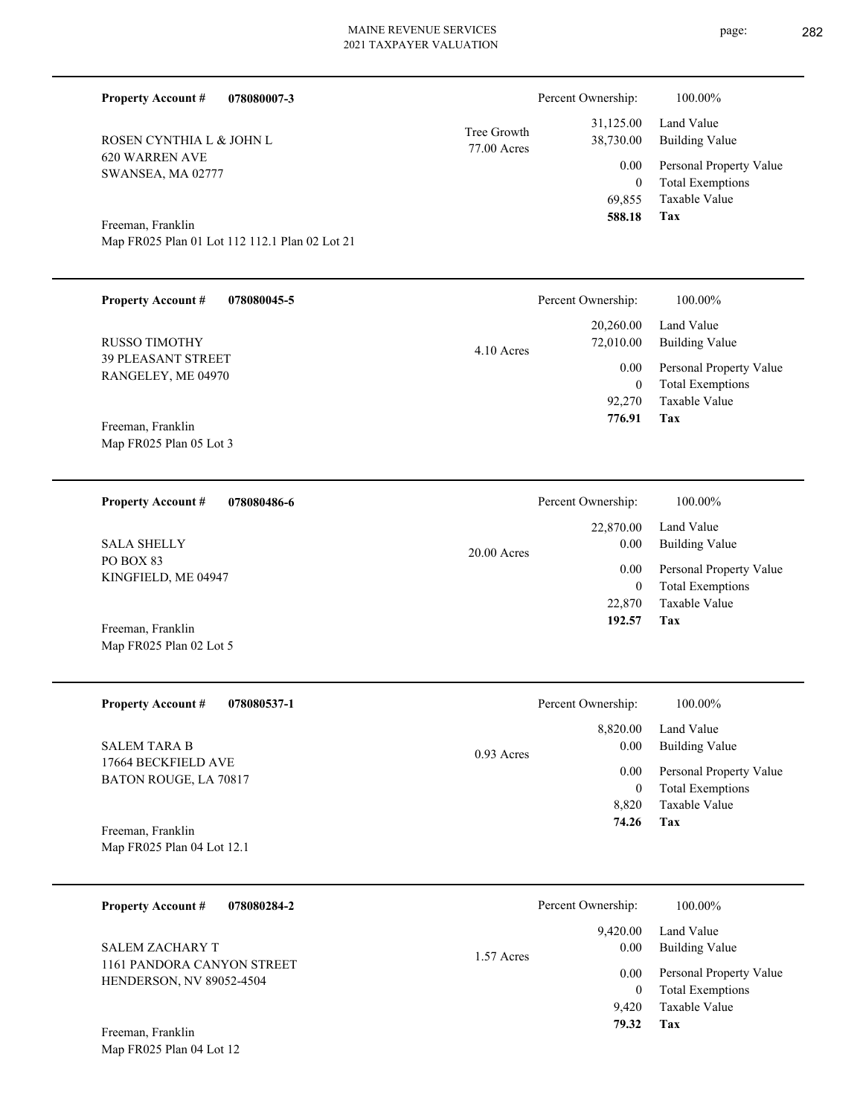| <b>Property Account #</b>                       | 078080007-3                                    |                            | Percent Ownership:                           | 100.00%                                                                    |
|-------------------------------------------------|------------------------------------------------|----------------------------|----------------------------------------------|----------------------------------------------------------------------------|
| ROSEN CYNTHIA L & JOHN L                        |                                                | Tree Growth<br>77.00 Acres | 31,125.00<br>38,730.00                       | Land Value<br><b>Building Value</b>                                        |
| <b>620 WARREN AVE</b><br>SWANSEA, MA 02777      |                                                |                            | 0.00<br>$\boldsymbol{0}$<br>69,855<br>588.18 | Personal Property Value<br><b>Total Exemptions</b><br>Taxable Value<br>Tax |
| Freeman, Franklin                               | Map FR025 Plan 01 Lot 112 112.1 Plan 02 Lot 21 |                            |                                              |                                                                            |
| <b>Property Account #</b>                       | 078080045-5                                    |                            | Percent Ownership:                           | 100.00%                                                                    |
| <b>RUSSO TIMOTHY</b>                            |                                                | 4.10 Acres                 | 20,260.00<br>72,010.00                       | Land Value<br><b>Building Value</b>                                        |
| <b>39 PLEASANT STREET</b><br>RANGELEY, ME 04970 |                                                |                            | 0.00<br>$\boldsymbol{0}$<br>92,270           | Personal Property Value<br><b>Total Exemptions</b><br><b>Taxable Value</b> |
| Freeman, Franklin<br>Map FR025 Plan 05 Lot 3    |                                                |                            | 776.91                                       | <b>Tax</b>                                                                 |
| <b>Property Account #</b>                       | 078080486-6                                    |                            | Percent Ownership:                           | 100.00%                                                                    |
| <b>SALA SHELLY</b>                              |                                                | 20.00 Acres                | 22,870.00<br>0.00                            | Land Value<br><b>Building Value</b>                                        |
| PO BOX 83<br>KINGFIELD, ME 04947                |                                                |                            | 0.00<br>$\boldsymbol{0}$<br>22,870           | Personal Property Value<br><b>Total Exemptions</b><br>Taxable Value        |
| Freeman, Franklin<br>Map FR025 Plan 02 Lot 5    |                                                |                            | 192.57                                       | <b>Tax</b>                                                                 |
| <b>Property Account #</b>                       | 078080537-1                                    |                            | Percent Ownership:                           | 100.00%                                                                    |
| <b>SALEM TARA B</b>                             |                                                | 0.93 Acres                 | 8,820.00<br>0.00                             | Land Value<br><b>Building Value</b>                                        |
| 17664 BECKFIELD AVE<br>BATON ROUGE, LA 70817    |                                                |                            | 0.00<br>$\boldsymbol{0}$<br>8,820            | Personal Property Value<br><b>Total Exemptions</b><br>Taxable Value        |
| Freeman, Franklin<br>Map FR025 Plan 04 Lot 12.1 |                                                |                            | 74.26                                        | Tax                                                                        |
| <b>Property Account #</b>                       | 078080284-2                                    |                            | Percent Ownership:                           | 100.00%                                                                    |
| SALEM ZACHARY T                                 |                                                | 1 <sub>5</sub>             | 9,420.00<br>$0.00\,$                         | Land Value<br><b>Building Value</b>                                        |

**Tax** Taxable Value Total Exemptions Personal Property Value 9,420  $\boldsymbol{0}$  **79.32** 0.00 0.00 1.57 Acres

Map FR025 Plan 04 Lot 12 Freeman, Franklin

1161 PANDORA CANYON STREET HENDERSON, NV 89052-4504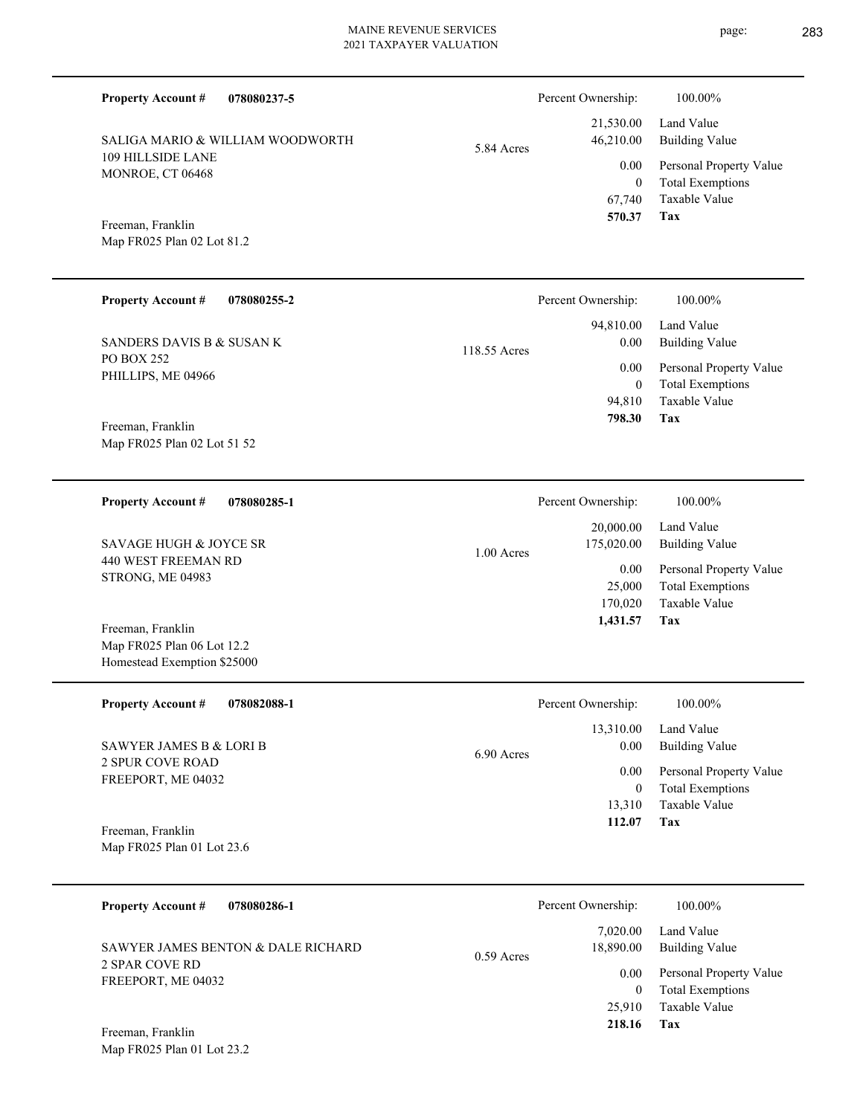| <b>Property Account #</b><br>078080237-5                            |              | Percent Ownership:                       | 100.00%                                                                    |
|---------------------------------------------------------------------|--------------|------------------------------------------|----------------------------------------------------------------------------|
| SALIGA MARIO & WILLIAM WOODWORTH                                    | 5.84 Acres   | 21,530.00<br>46,210.00                   | Land Value<br><b>Building Value</b>                                        |
| 109 HILLSIDE LANE<br>MONROE, CT 06468                               |              | 0.00<br>$\mathbf{0}$<br>67,740<br>570.37 | Personal Property Value<br><b>Total Exemptions</b><br>Taxable Value<br>Tax |
| Freeman, Franklin<br>Map FR025 Plan 02 Lot 81.2                     |              |                                          |                                                                            |
| <b>Property Account #</b><br>078080255-2                            |              | Percent Ownership:                       | 100.00%                                                                    |
| SANDERS DAVIS B & SUSAN K                                           | 118.55 Acres | 94,810.00<br>0.00                        | Land Value<br><b>Building Value</b>                                        |
| <b>PO BOX 252</b><br>PHILLIPS, ME 04966<br>Freeman, Franklin        |              | 0.00<br>$\mathbf{0}$<br>94,810<br>798.30 | Personal Property Value<br><b>Total Exemptions</b><br>Taxable Value<br>Tax |
| Map FR025 Plan 02 Lot 51 52                                         |              |                                          |                                                                            |
| <b>Property Account #</b><br>078080285-1                            |              | Percent Ownership:                       | 100.00%                                                                    |
| <b>SAVAGE HUGH &amp; JOYCE SR</b>                                   | $1.00$ Acres | 20,000.00<br>175,020.00                  | Land Value<br><b>Building Value</b>                                        |
| <b>440 WEST FREEMAN RD</b><br>STRONG, ME 04983<br>Freeman, Franklin |              | 0.00<br>25,000<br>170,020<br>1,431.57    | Personal Property Value<br><b>Total Exemptions</b><br>Taxable Value<br>Tax |
| Map FR025 Plan 06 Lot 12.2<br>Homestead Exemption \$25000           |              |                                          |                                                                            |
| <b>Property Account #</b><br>078082088-1                            |              | Percent Ownership:                       | 100.00%                                                                    |
| <b>SAWYER JAMES B &amp; LORI B</b>                                  | 6.90 Acres   | 13,310.00<br>0.00                        | Land Value<br><b>Building Value</b>                                        |
| <b>2 SPUR COVE ROAD</b><br>FREEPORT, ME 04032                       |              | 0.00<br>$\mathbf{0}$<br>13,310<br>112.07 | Personal Property Value<br><b>Total Exemptions</b><br>Taxable Value<br>Tax |
| Freeman, Franklin<br>Map FR025 Plan 01 Lot 23.6                     |              |                                          |                                                                            |
| <b>Property Account #</b><br>078080286-1                            |              | Percent Ownership:                       | 100.00%                                                                    |
| SAWYER JAMES BENTON & DALE RICHARD                                  | $0.59$ Acres | 7,020.00<br>18,890.00                    | Land Value<br><b>Building Value</b>                                        |
| <b>2 SPAR COVE RD</b><br>FREEPORT, ME 04032                         |              | 0.00<br>$\theta$<br>25,910               | Personal Property Value<br><b>Total Exemptions</b><br>Taxable Value        |

**Tax 218.16**

Map FR025 Plan 01 Lot 23.2 Freeman, Franklin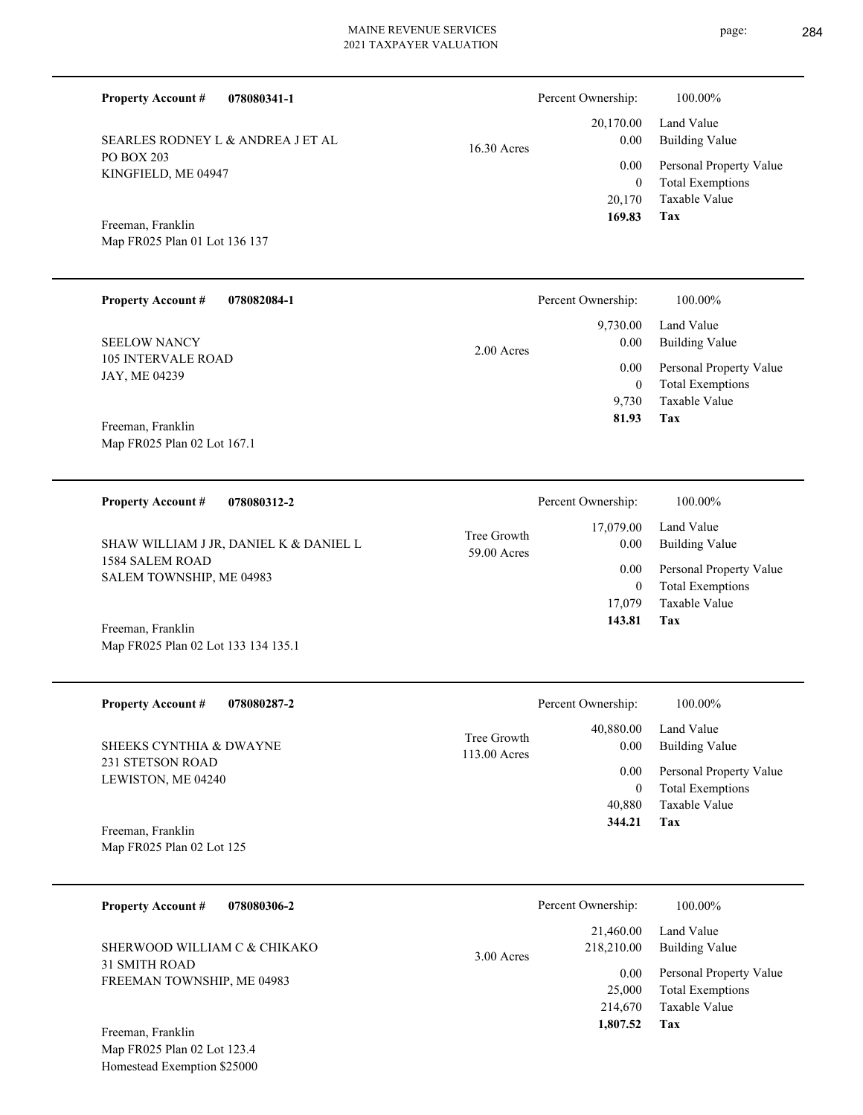| 078080341-1<br><b>Property Account #</b>        |               | Percent Ownership: | 100.00%                 |
|-------------------------------------------------|---------------|--------------------|-------------------------|
|                                                 |               | 20,170.00          | Land Value              |
| SEARLES RODNEY L & ANDREA J ET AL<br>PO BOX 203 | $16.30$ Acres | 0.00               | Building Value          |
| KINGFIELD, ME 04947                             |               | 0.00               | Personal Property Value |
|                                                 |               |                    | <b>Total Exemptions</b> |
|                                                 |               | 20,170             | Taxable Value           |
| $E = E = 11'$                                   |               | 169.83             | Tax                     |

Map FR025 Plan 01 Lot 136 137 Freeman, Franklin

| <b>Property Account #</b><br>078082084-1 | Percent Ownership:   | 100.00%                 |
|------------------------------------------|----------------------|-------------------------|
|                                          | 9,730.00             | Land Value              |
| <b>SEELOW NANCY</b>                      | 0.00<br>$2.00$ Acres | Building Value          |
| <b>105 INTERVALE ROAD</b>                | 0.00                 | Personal Property Value |
| JAY, ME 04239                            | 0                    | <b>Total Exemptions</b> |
|                                          | 9.730                | Taxable Value           |
| Freeman Franklin                         | 81.93                | Tax                     |

Map FR025 Plan 02 Lot 167.1 Freeman, Franklin

Map FR025 Plan 02 Lot 133 134 135.1

**078080312-2 Tax** Taxable Value Total Exemptions Personal Property Value Building Value Land Value 1584 SALEM ROAD SALEM TOWNSHIP, ME 04983 **Property Account #** Freeman, Franklin SHAW WILLIAM J JR, DANIEL K & DANIEL L 17,079 0  **143.81** 17,079.00 0.00 0.00 59.00 Acres Tree Growth Percent Ownership:  $100.00\%$ 

**078080287-2 Tax** Taxable Value Total Exemptions Personal Property Value Building Value Land Value 231 STETSON ROAD LEWISTON, ME 04240 **Property Account #** Map FR025 Plan 02 Lot 125 Freeman, Franklin SHEEKS CYNTHIA & DWAYNE 40,880 0  **344.21** 40,880.00 0.00 0.00 113.00 Acres Tree Growth Percent Ownership:  $100.00\%$ 

| 078080306-2<br><b>Property Account #</b>                                             | Percent Ownership:                      | 100.00%                             |
|--------------------------------------------------------------------------------------|-----------------------------------------|-------------------------------------|
| SHERWOOD WILLIAM C & CHIKAKO                                                         | 21,460.00<br>218,210.00<br>$3.00$ Acres | Land Value<br><b>Building Value</b> |
| 31 SMITH ROAD<br>FREEMAN TOWNSHIP, ME 04983                                          | 0.00                                    | Personal Property Value             |
|                                                                                      | 25,000                                  | <b>Total Exemptions</b>             |
|                                                                                      | 214,670                                 | Taxable Value                       |
| Freeman, Franklin<br>$\mathbf{r}$ and $\mathbf{r}$ and $\mathbf{r}$ and $\mathbf{r}$ | 1,807.52                                | Tax                                 |

Map FR025 Plan 02 Lot 123.4 Homestead Exemption \$25000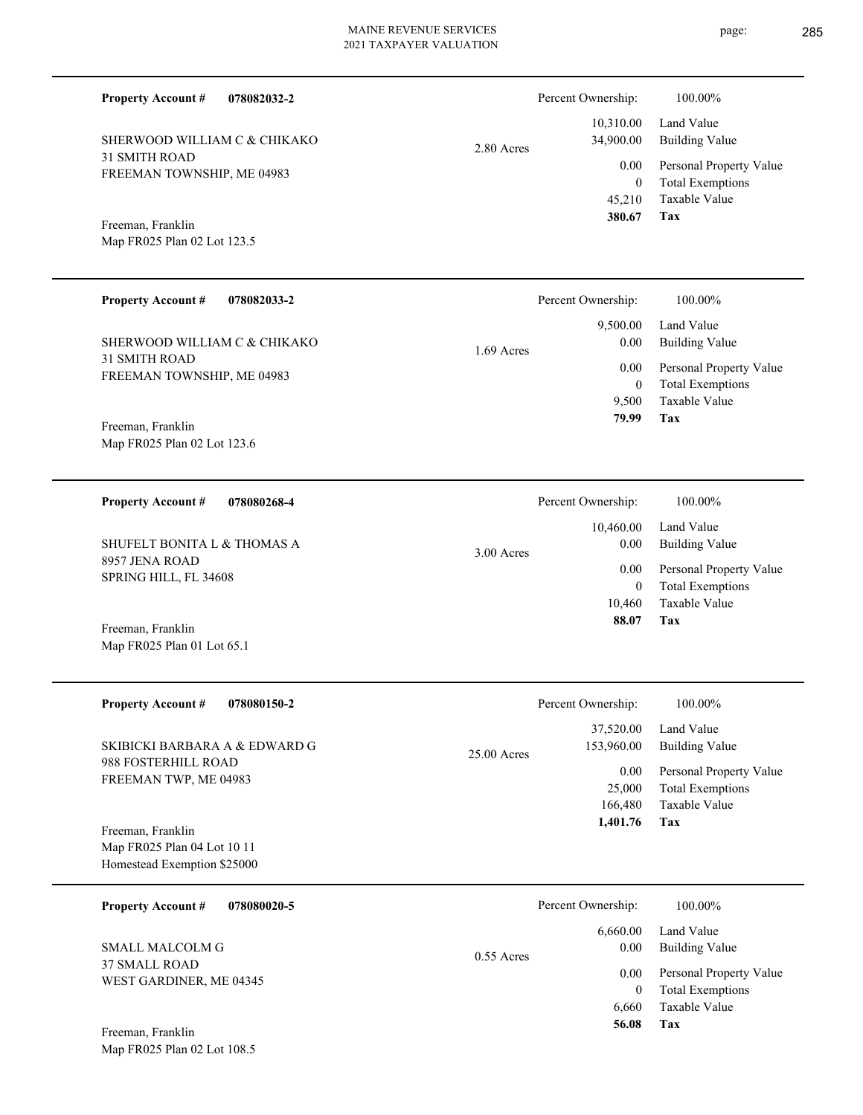2.80 Acres

31 SMITH ROAD FREEMAN TOWNSHIP, ME 04983 SHERWOOD WILLIAM C & CHIKAKO

**078082032-2**

Map FR025 Plan 02 Lot 123.5 Freeman, Franklin

**Property Account #**

#### **078082033-2 Tax** Taxable Value Total Exemptions Personal Property Value Building Value Land Value 31 SMITH ROAD FREEMAN TOWNSHIP, ME 04983 **Property Account #** Map FR025 Plan 02 Lot 123.6 Freeman, Franklin SHERWOOD WILLIAM C & CHIKAKO 9,500 0  **79.99** 9,500.00 0.00 0.00 1.69 Acres Percent Ownership:  $100.00\%$

**078080268-4 Tax** Taxable Value Total Exemptions Personal Property Value Building Value Land Value 8957 JENA ROAD SPRING HILL, FL 34608 **Property Account #** Freeman, Franklin SHUFELT BONITA L & THOMAS A 10,460 0  **88.07** 10,460.00 0.00 0.00 3.00 Acres Percent Ownership:  $100.00\%$ 

| <b>Property Account #</b><br>078080150-2                                        | Percent Ownership:                                                    | 100.00%                                                                                             |
|---------------------------------------------------------------------------------|-----------------------------------------------------------------------|-----------------------------------------------------------------------------------------------------|
| SKIBICKI BARBARA A & EDWARD G<br>988 FOSTERHILL ROAD<br>FREEMAN TWP, ME 04983   | 37,520.00<br>153,960.00<br>$25.00$ Acres<br>0.00<br>25,000<br>166,480 | Land Value<br>Building Value<br>Personal Property Value<br><b>Total Exemptions</b><br>Taxable Value |
| Freeman, Franklin<br>Map FR025 Plan 04 Lot 10 11<br>Homestead Exemption \$25000 | 1,401.76                                                              | Tax                                                                                                 |
| <b>Property Account #</b><br>078080020-5                                        | Percent Ownership:<br>6.660.00                                        | 100.00%<br>Land Value                                                                               |

0.55 Acres

37 SMALL ROAD WEST GARDINER, ME 04345 SMALL MALCOLM G

Map FR025 Plan 01 Lot 65.1

Map FR025 Plan 02 Lot 108.5 Freeman, Franklin

**Tax**

**Tax**

 6,660 0

 0.00 0.00

 **56.08**

Taxable Value Total Exemptions Personal Property Value

Building Value

 45,210 0

0.00

Percent Ownership:  $100.00\%$ 

 10,310.00 34,900.00

 **380.67**

Taxable Value Total Exemptions Personal Property Value

Building Value Land Value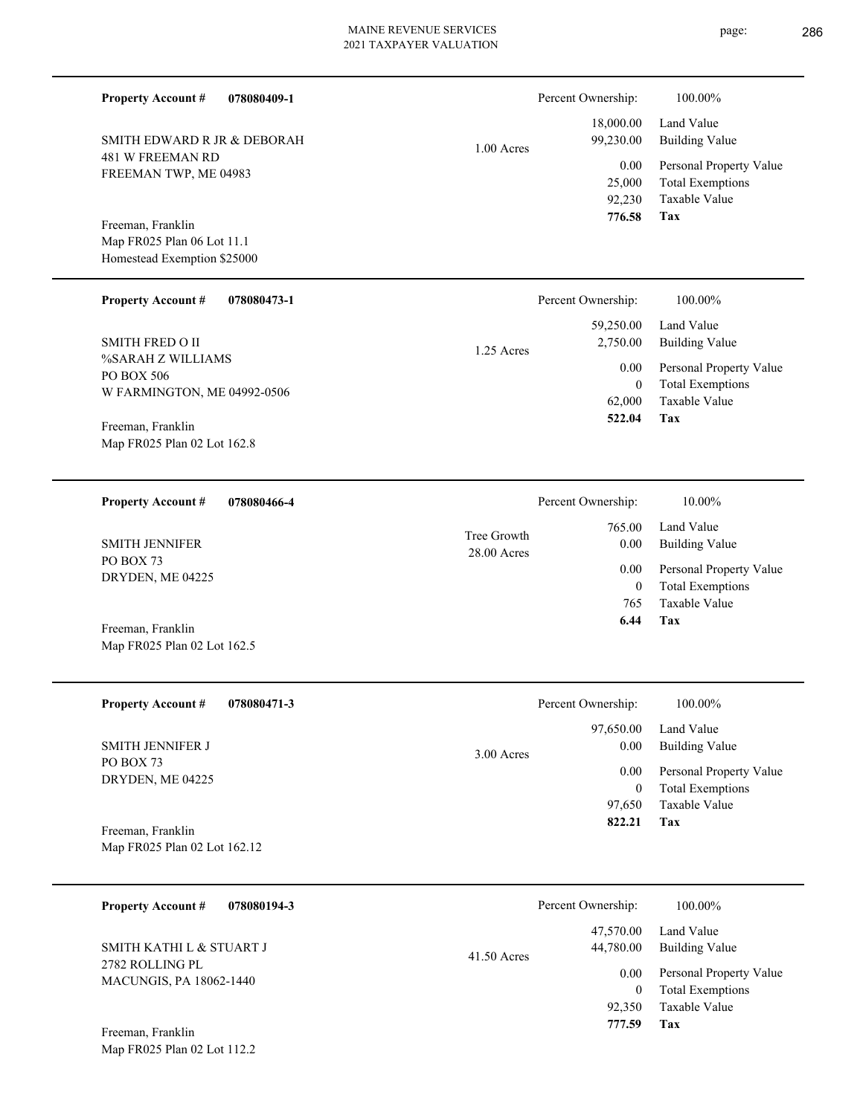1.00 Acres

| Percent Ownership: | 100.00%                 |
|--------------------|-------------------------|
| 18,000.00          | Land Value              |
| 99,230.00          | <b>Building Value</b>   |
| 0.00               | Personal Property Value |
| 25,000             | <b>Total Exemptions</b> |
| 92,230             | Taxable Value           |
| 776.58             | Tax                     |

Map FR025 Plan 06 Lot 11.1 Homestead Exemption \$25000 Freeman, Franklin

SMITH EDWARD R JR & DEBORAH

481 W FREEMAN RD FREEMAN TWP, ME 04983

**Property Account #**

**078080409-1**

| <b>Property Account #</b><br>078080473-1 | Percent Ownership:     | 100.00%                 |
|------------------------------------------|------------------------|-------------------------|
|                                          | 59,250.00              | Land Value              |
| <b>SMITH FRED O II</b>                   | 2,750.00<br>1.25 Acres | Building Value          |
| %SARAH Z WILLIAMS<br>PO BOX 506          | 0.00                   | Personal Property Value |
| W FARMINGTON, ME 04992-0506              | $\theta$               | <b>Total Exemptions</b> |
|                                          | 62,000                 | Taxable Value           |
| Freeman Franklin                         | 522.04                 | Tax                     |

Map FR025 Plan 02 Lot 162.8 Freeman, Franklin

Map FR025 Plan 02 Lot 162.5

Map FR025 Plan 02 Lot 112.2

**078080466-4 Tax** Taxable Value Total Exemptions Personal Property Value Building Value Land Value PO BOX 73 DRYDEN, ME 04225 **Property Account #** Freeman, Franklin SMITH JENNIFER 765 0  **6.44** 765.00 0.00 0.00 28.00 Acres Tree Growth Percent Ownership:  $10.00\%$ 

| <b>Property Account #</b><br>078080471-3          | Percent Ownership:                | 100.00%                                                 |
|---------------------------------------------------|-----------------------------------|---------------------------------------------------------|
| <b>SMITH JENNIFER J</b>                           | 97,650.00<br>0.00<br>$3.00$ Acres | Land Value<br>Building Value                            |
| PO BOX 73<br>DRYDEN, ME 04225                     | 0.00                              | Personal Property Value<br><b>Total Exemptions</b><br>0 |
|                                                   | 97,650                            | Taxable Value                                           |
| Freeman, Franklin<br>Map FR025 Plan 02 Lot 162.12 | 822.21                            | Tax                                                     |

| 078080194-3<br><b>Property Account #</b>    | Percent Ownership:                      | 100.00%                                                             |
|---------------------------------------------|-----------------------------------------|---------------------------------------------------------------------|
| SMITH KATHI L & STUART J<br>2782 ROLLING PL | 47,570.00<br>44,780.00<br>$41.50$ Acres | Land Value<br><b>Building Value</b>                                 |
| <b>MACUNGIS, PA 18062-1440</b>              | 0.00<br>92,350                          | Personal Property Value<br><b>Total Exemptions</b><br>Taxable Value |
| Freeman, Franklin                           | 777.59                                  | Tax                                                                 |

page: 286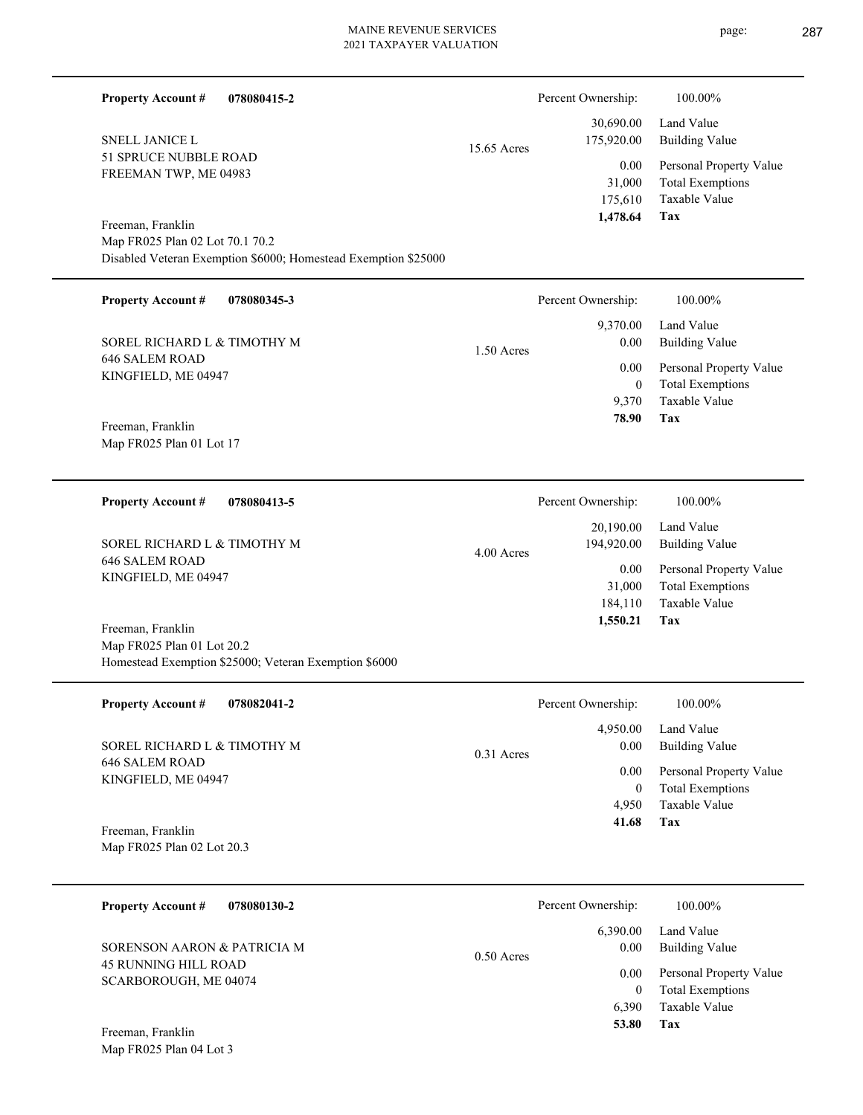| <b>Property Account #</b><br>078080415-2                                                                 |              | Percent Ownership:                    | 100.00%                                                                    |
|----------------------------------------------------------------------------------------------------------|--------------|---------------------------------------|----------------------------------------------------------------------------|
| <b>SNELL JANICE L</b>                                                                                    | 15.65 Acres  | 30,690.00<br>175,920.00               | Land Value<br><b>Building Value</b>                                        |
| 51 SPRUCE NUBBLE ROAD<br>FREEMAN TWP, ME 04983                                                           |              | 0.00<br>31,000<br>175,610             | Personal Property Value<br><b>Total Exemptions</b><br>Taxable Value        |
| Freeman, Franklin                                                                                        |              | 1,478.64                              | Tax                                                                        |
| Map FR025 Plan 02 Lot 70.1 70.2<br>Disabled Veteran Exemption \$6000; Homestead Exemption \$25000        |              |                                       |                                                                            |
| <b>Property Account #</b><br>078080345-3                                                                 |              | Percent Ownership:                    | 100.00%                                                                    |
| SOREL RICHARD L & TIMOTHY M                                                                              |              | 9,370.00<br>0.00                      | Land Value<br><b>Building Value</b>                                        |
| <b>646 SALEM ROAD</b>                                                                                    | $1.50$ Acres | 0.00                                  | Personal Property Value                                                    |
| KINGFIELD, ME 04947                                                                                      |              | $\boldsymbol{0}$<br>9,370<br>78.90    | <b>Total Exemptions</b><br>Taxable Value<br>Tax                            |
| Freeman, Franklin<br>Map FR025 Plan 01 Lot 17                                                            |              |                                       |                                                                            |
|                                                                                                          |              |                                       |                                                                            |
| <b>Property Account #</b><br>078080413-5                                                                 |              | Percent Ownership:                    | 100.00%                                                                    |
| SOREL RICHARD L & TIMOTHY M                                                                              | 4.00 Acres   | 20,190.00<br>194,920.00               | Land Value<br><b>Building Value</b>                                        |
| <b>646 SALEM ROAD</b><br>KINGFIELD, ME 04947                                                             |              | 0.00<br>31,000<br>184,110<br>1,550.21 | Personal Property Value<br><b>Total Exemptions</b><br>Taxable Value<br>Tax |
| Freeman, Franklin<br>Map FR025 Plan 01 Lot 20.2<br>Homestead Exemption \$25000; Veteran Exemption \$6000 |              |                                       |                                                                            |
| 078082041-2<br><b>Property Account #</b>                                                                 |              | Percent Ownership:                    | 100.00%                                                                    |
| SOREL RICHARD L & TIMOTHY M                                                                              | 0.31 Acres   | 4,950.00<br>0.00                      | Land Value<br><b>Building Value</b>                                        |
| <b>646 SALEM ROAD</b><br>KINGFIELD, ME 04947                                                             |              | 0.00                                  | Personal Property Value                                                    |
|                                                                                                          |              | $\overline{0}$<br>4,950<br>41.68      | <b>Total Exemptions</b><br>Taxable Value<br>Tax                            |
| Freeman, Franklin<br>Map FR025 Plan 02 Lot 20.3                                                          |              |                                       |                                                                            |
| <b>Property Account #</b><br>078080130-2                                                                 |              | Percent Ownership:                    | 100.00%                                                                    |
| SORENSON AARON & PATRICIA M                                                                              |              | 6,390.00<br>0.00                      | Land Value<br><b>Building Value</b>                                        |
| <b>45 RUNNING HILL ROAD</b><br>SCARBOROUGH, ME 04074                                                     | 0.50 Acres   | 0.00                                  | Personal Property Value                                                    |
|                                                                                                          |              | $\overline{0}$<br>6,390               | <b>Total Exemptions</b><br>Taxable Value                                   |
| Freeman, Franklin<br>Map FR025 Plan 04 Lot 3                                                             |              | 53.80                                 | Tax                                                                        |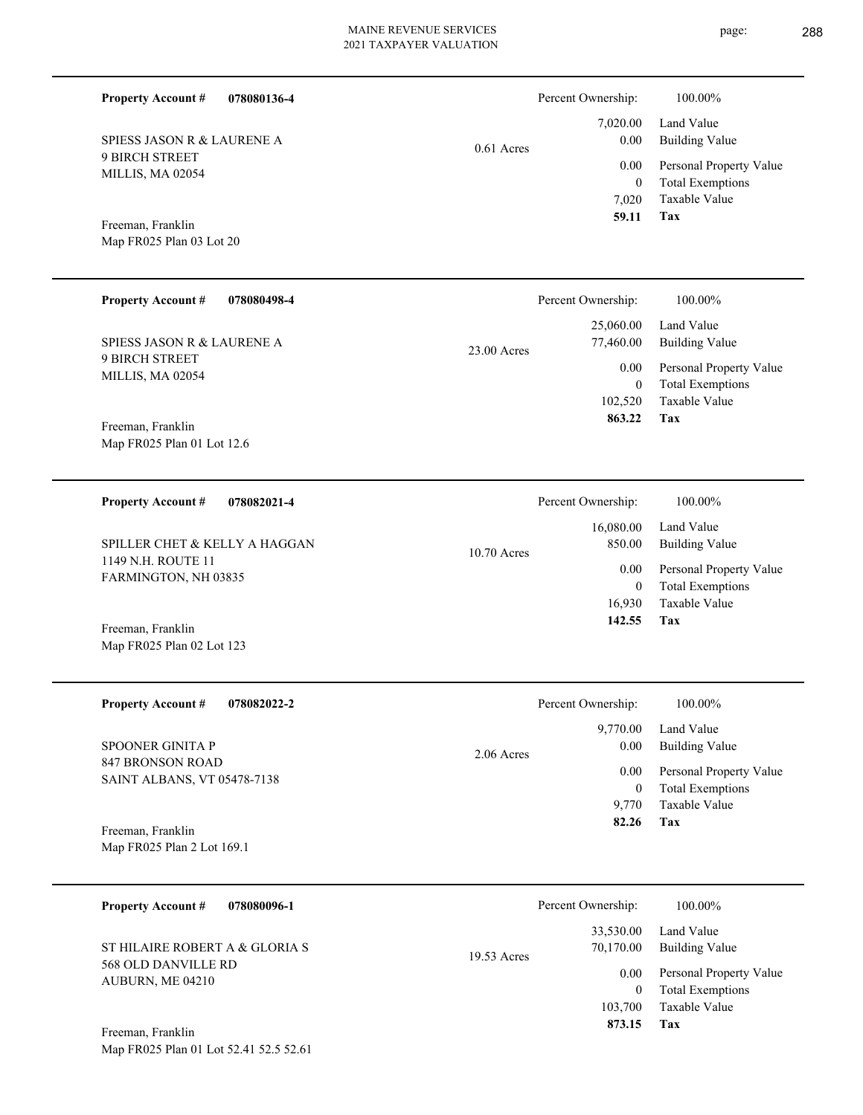7,020.00 Percent Ownership:  $100.00\%$ 

0.61 Acres

| 59.11 Tax      |                              |
|----------------|------------------------------|
|                | 7.020 Taxable Value          |
| $\overline{0}$ | <b>Total Exemptions</b>      |
|                | 0.00 Personal Property Value |
|                | 0.00 Building Value          |
|                | $7,020.00$ Land Value        |

Map FR025 Plan 03 Lot 20 Freeman, Franklin

Map FR025 Plan 02 Lot 123

SPIESS JASON R & LAURENE A

9 BIRCH STREET MILLIS, MA 02054

**Property Account #**

**078080136-4**

| <b>Property Account #</b><br>078080498-4                                | Percent Ownership:         | 100.00%                 |
|-------------------------------------------------------------------------|----------------------------|-------------------------|
|                                                                         | 25,060.00                  | Land Value              |
| SPIESS JASON R & LAURENE A<br><b>9 BIRCH STREET</b><br>MILLIS, MA 02054 | 77,460.00<br>$23.00$ Acres | Building Value          |
|                                                                         | 0.00                       | Personal Property Value |
|                                                                         | $\mathbf{0}$               | <b>Total Exemptions</b> |
|                                                                         | 102,520                    | Taxable Value           |
| Freeman, Franklin                                                       | 863.22                     | Tax                     |
| Map FR025 Plan 01 Lot 12.6                                              |                            |                         |

| <b>Property Account #</b><br>078082021-4                                    | Percent Ownership:                   | 100.00%                                            |
|-----------------------------------------------------------------------------|--------------------------------------|----------------------------------------------------|
| SPILLER CHET & KELLY A HAGGAN<br>1149 N.H. ROUTE 11<br>FARMINGTON, NH 03835 | 16,080.00<br>850.00<br>$10.70$ Acres | Land Value<br>Building Value                       |
|                                                                             | 0.00<br>0                            | Personal Property Value<br><b>Total Exemptions</b> |
|                                                                             | 16.930                               | Taxable Value                                      |
| Freeman, Franklin                                                           | 142.55                               | Tax                                                |

| <b>Property Account #</b><br>078082022-2                            | Percent Ownership:   | 100.00%                 |
|---------------------------------------------------------------------|----------------------|-------------------------|
|                                                                     | 9,770.00             | Land Value              |
| SPOONER GINITA P<br>847 BRONSON ROAD<br>SAINT ALBANS, VT 05478-7138 | 0.00<br>$2.06$ Acres | <b>Building Value</b>   |
|                                                                     | 0.00                 | Personal Property Value |
|                                                                     | 0                    | <b>Total Exemptions</b> |
|                                                                     | 9.770                | Taxable Value           |
| Freeman, Franklin                                                   | 82.26                | Tax                     |
| Map FR025 Plan 2 Lot 169.1                                          |                      |                         |

| <b>Property Account #</b><br>078080096-1                                  | Percent Ownership:                      | 100.00%                                            |
|---------------------------------------------------------------------------|-----------------------------------------|----------------------------------------------------|
| ST HILAIRE ROBERT A & GLORIA S<br>568 OLD DANVILLE RD<br>AUBURN, ME 04210 | 33,530.00<br>70,170.00<br>$19.53$ Acres | Land Value<br><b>Building Value</b>                |
|                                                                           | 0.00<br>0                               | Personal Property Value<br><b>Total Exemptions</b> |
|                                                                           | 103,700                                 | Taxable Value                                      |
| Freeman, Franklin                                                         | 873.15                                  | Tax                                                |

Map FR025 Plan 01 Lot 52.41 52.5 52.61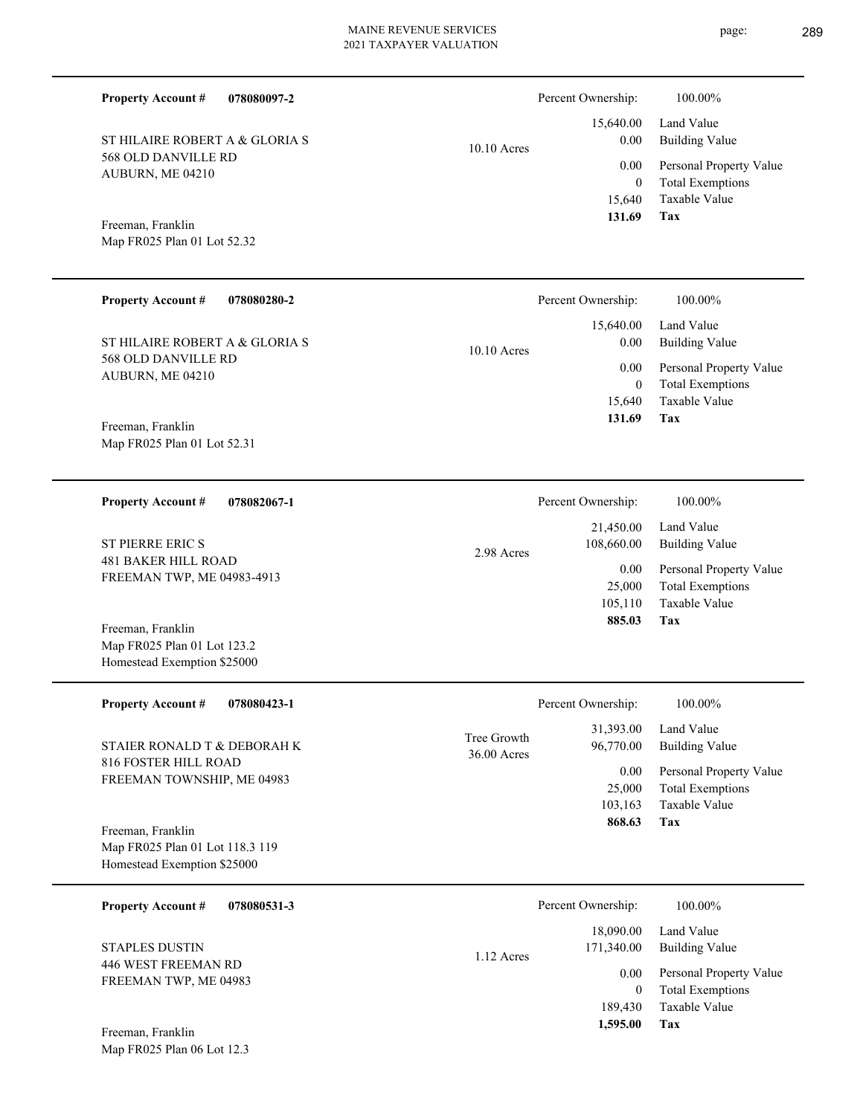**078080097-2**

568 OLD DANVILLE RD AUBURN, ME 04210 ST HILAIRE ROBERT A & GLORIA S

|               | 131.69   | <b>Tax</b>                             |
|---------------|----------|----------------------------------------|
|               |          | 15,640 Taxable Value                   |
|               |          | 0 Total Exemptions                     |
|               |          | 0.00 Personal Property Value           |
| $10.10$ Acres | $0.00\,$ | 15,640.00 Land Value<br>Building Value |
|               |          |                                        |

Percent Ownership: 100.00%

Map FR025 Plan 01 Lot 52.32 Freeman, Franklin

Map FR025 Plan 01 Lot 123.2 Homestead Exemption \$25000

Map FR025 Plan 06 Lot 12.3

**Property Account #**

| <b>Property Account #</b><br>078080280-2 | Percent Ownership:    | $100.00\%$              |
|------------------------------------------|-----------------------|-------------------------|
|                                          | 15,640.00             | Land Value              |
| ST HILAIRE ROBERT A & GLORIA S           | 0.00<br>$10.10$ Acres | <b>Building Value</b>   |
| 568 OLD DANVILLE RD<br>AUBURN, ME 04210  | 0.00                  | Personal Property Value |
|                                          | 0                     | <b>Total Exemptions</b> |
|                                          | 15.640                | Taxable Value           |
| Freeman, Franklin                        | 131.69                | Tax                     |
| Map FR025 Plan 01 Lot 52.31              |                       |                         |
|                                          |                       |                         |
| 078082067-1<br><b>Property Account #</b> | Percent Ownership:    | 100.00%                 |

| <b>Property Account #</b><br>078082067-1 | Percent Ownership:       | 100.00%                 |
|------------------------------------------|--------------------------|-------------------------|
|                                          | 21.450.00                | Land Value              |
| <b>ST PIERRE ERIC S</b>                  | 108,660.00<br>2.98 Acres | Building Value          |
| <b>481 BAKER HILL ROAD</b>               | 0.00                     | Personal Property Value |
| FREEMAN TWP, ME 04983-4913               | 25,000                   | <b>Total Exemptions</b> |
|                                          | 105,110                  | Taxable Value           |
| Freeman, Franklin                        | 885.03                   | Tax                     |

| <b>Property Account #</b><br>078080423-1 | Percent Ownership:           |                        | 100.00%                      |
|------------------------------------------|------------------------------|------------------------|------------------------------|
| STAIER RONALD T & DEBORAH K              | Tree Growth<br>$36.00$ Acres | 31,393.00<br>96,770.00 | Land Value<br>Building Value |
| 816 FOSTER HILL ROAD                     |                              | 0.00                   | Personal Property Value      |
| FREEMAN TOWNSHIP, ME 04983               |                              | 25,000                 | <b>Total Exemptions</b>      |
|                                          |                              | 103,163                | Taxable Value                |
| Freeman, Franklin                        |                              | 868.63                 | Tax                          |
| Map FR025 Plan 01 Lot 118.3 119          |                              |                        |                              |
| Homestead Exemption \$25000              |                              |                        |                              |

| 078080531-3<br><b>Property Account #</b>     | Percent Ownership:                    | 100.00%                                            |
|----------------------------------------------|---------------------------------------|----------------------------------------------------|
| <b>STAPLES DUSTIN</b>                        | 18,090.00<br>171,340.00<br>1.12 Acres | Land Value<br>Building Value                       |
| 446 WEST FREEMAN RD<br>FREEMAN TWP, ME 04983 | 0.00                                  | Personal Property Value<br><b>Total Exemptions</b> |
| Freeman, Franklin                            | 189,430<br>1,595.00                   | Taxable Value<br>Tax                               |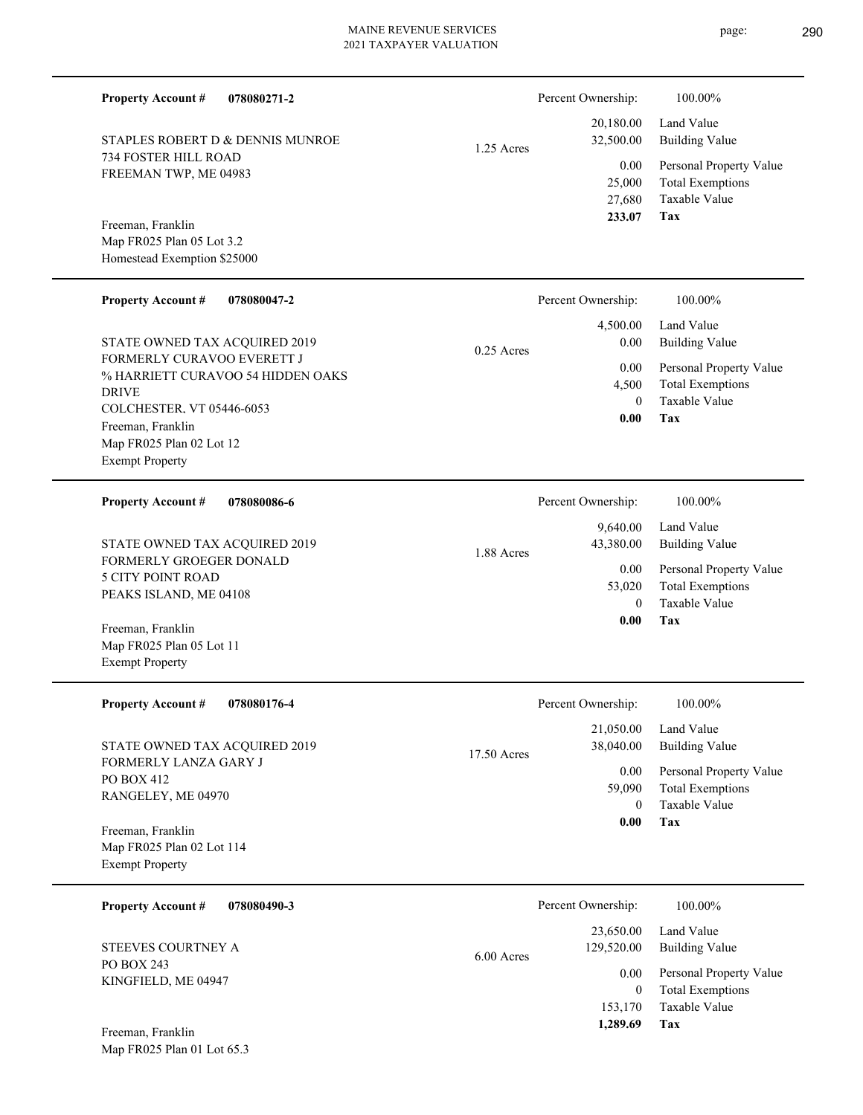1.25 Acres

1.88 Acres

**078080271-2**

734 FOSTER HILL ROAD FREEMAN TWP, ME 04983 STAPLES ROBERT D & DENNIS MUNROE

Map FR025 Plan 05 Lot 3.2 Homestead Exemption \$25000 Freeman, Franklin

**Property Account #**

#### **078080047-2 Tax** Taxable Value Total Exemptions Personal Property Value Building Value Land Value FORMERLY CURAVOO EVERETT J % HARRIETT CURAVOO 54 HIDDEN OAKS DRIVE COLCHESTER, VT 05446-6053 **Property Account #** Map FR025 Plan 02 Lot 12 Exempt Property Freeman, Franklin STATE OWNED TAX ACQUIRED 2019 0 4,500  **0.00** 4,500.00 0.00 0.00 0.25 Acres Percent Ownership:  $100.00\%$ **078080086-6** Land Value **Property Account #** 9,640.00 Percent Ownership:  $100.00\%$

FORMERLY GROEGER DONALD 5 CITY POINT ROAD PEAKS ISLAND, ME 04108 STATE OWNED TAX ACQUIRED 2019

Map FR025 Plan 05 Lot 11 Exempt Property Freeman, Franklin

| <b>Property Account #</b>                                                                                                                           | Percent Ownership:                                                                                               |
|-----------------------------------------------------------------------------------------------------------------------------------------------------|------------------------------------------------------------------------------------------------------------------|
| 078080176-4                                                                                                                                         | 100.00%                                                                                                          |
| STATE OWNED TAX ACQUIRED 2019                                                                                                                       | 21,050.00<br>Land Value<br>38,040.00<br><b>Building Value</b><br>17.50 Acres                                     |
| <b>FORMERLY LANZA GARY J</b><br><b>PO BOX 412</b><br>RANGELEY, ME 04970<br>Freeman, Franklin<br>Map FR025 Plan 02 Lot 114<br><b>Exempt Property</b> | Personal Property Value<br>0.00<br><b>Total Exemptions</b><br>59,090<br>Taxable Value<br>$\Omega$<br>Tax<br>0.00 |
| <b>Property Account #</b>                                                                                                                           | Percent Ownership:                                                                                               |
| 078080490-3                                                                                                                                         | 100.00%                                                                                                          |
| STEEVES COURTNEY A                                                                                                                                  | Land Value<br>23,650.00<br><b>Building Value</b><br>129,520.00<br>$6.00$ Acres                                   |
| PO BOX 243                                                                                                                                          | Personal Property Value                                                                                          |
| VINCEIEI D ME 04047                                                                                                                                 | 0.00                                                                                                             |

Map FR025 Plan 01 Lot 65.3 Freeman, Franklin

KINGFIELD, ME 04947

**Tax**

**Tax**

**Tax**

 153,170  $\Omega$ 

 **1,289.69**

Taxable Value Total Exemptions

 0 53,020

 **0.00**

0.00

43,380.00

Taxable Value Total Exemptions Personal Property Value

Building Value

 27,680 25,000

0.00

Percent Ownership:  $100.00\%$ 

 20,180.00 32,500.00

 **233.07**

Taxable Value Total Exemptions Personal Property Value

Building Value Land Value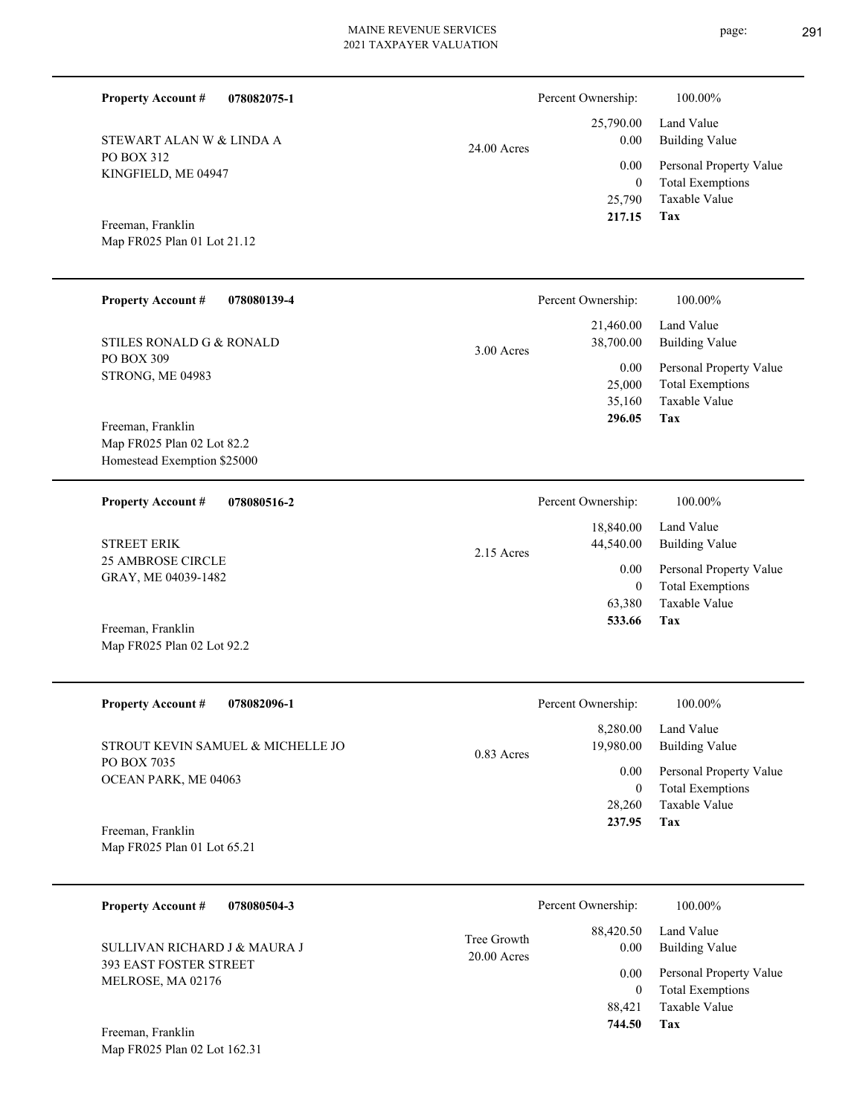$\overline{\phantom{0}}$ 

page: 291

| <b>Property Account #</b><br>078082075-1                                       |                              | Percent Ownership:                             | 100.00%                                                                    |
|--------------------------------------------------------------------------------|------------------------------|------------------------------------------------|----------------------------------------------------------------------------|
| STEWART ALAN W & LINDA A                                                       | 24.00 Acres                  | 25,790.00<br>0.00                              | Land Value<br><b>Building Value</b>                                        |
| PO BOX 312<br>KINGFIELD, ME 04947                                              |                              | 0.00<br>$\mathbf{0}$<br>25,790<br>217.15       | Personal Property Value<br><b>Total Exemptions</b><br>Taxable Value        |
| Freeman, Franklin<br>Map FR025 Plan 01 Lot 21.12                               |                              |                                                | Tax                                                                        |
| Property Account #<br>078080139-4                                              |                              | Percent Ownership:                             | 100.00%                                                                    |
| STILES RONALD G & RONALD                                                       | 3.00 Acres                   | 21,460.00<br>38,700.00                         | Land Value<br><b>Building Value</b>                                        |
| PO BOX 309<br>STRONG, ME 04983                                                 |                              | 0.00<br>25,000<br>35,160<br>296.05             | Personal Property Value<br><b>Total Exemptions</b><br>Taxable Value<br>Tax |
| Freeman, Franklin<br>Map FR025 Plan 02 Lot 82.2<br>Homestead Exemption \$25000 |                              |                                                |                                                                            |
| 078080516-2<br><b>Property Account #</b>                                       |                              | Percent Ownership:                             | 100.00%                                                                    |
| <b>STREET ERIK</b>                                                             | 2.15 Acres                   | 18,840.00<br>44,540.00                         | Land Value<br><b>Building Value</b>                                        |
| <b>25 AMBROSE CIRCLE</b><br>GRAY, ME 04039-1482                                |                              | 0.00<br>$\boldsymbol{0}$<br>63,380             | Personal Property Value<br><b>Total Exemptions</b><br>Taxable Value        |
| Freeman, Franklin<br>Map FR025 Plan 02 Lot 92.2                                |                              | 533.66                                         | Tax                                                                        |
| <b>Property Account #</b><br>078082096-1                                       |                              | Percent Ownership:                             | 100.00%                                                                    |
| STROUT KEVIN SAMUEL & MICHELLE JO                                              | 0.83 Acres                   | 8,280.00<br>19,980.00                          | Land Value<br><b>Building Value</b>                                        |
| PO BOX 7035<br>OCEAN PARK, ME 04063                                            |                              | $0.00\,$<br>$\overline{0}$                     | Personal Property Value<br><b>Total Exemptions</b>                         |
| Freeman, Franklin<br>Map FR025 Plan 01 Lot 65.21                               |                              | 28,260<br>237.95                               | Taxable Value<br>Tax                                                       |
|                                                                                |                              |                                                |                                                                            |
| <b>Property Account #</b><br>078080504-3                                       |                              | Percent Ownership:                             | 100.00%                                                                    |
| SULLIVAN RICHARD J & MAURA J                                                   | Tree Growth<br>$20.00$ Acres | 88,420.50<br>$0.00\,$                          | Land Value<br><b>Building Value</b>                                        |
| 393 EAST FOSTER STREET<br>MELROSE, MA 02176                                    |                              | $0.00\,$<br>$\overline{0}$<br>88,421<br>744.50 | Personal Property Value<br><b>Total Exemptions</b><br>Taxable Value<br>Tax |
| Freeman, Franklin<br>Map FR025 Plan 02 Lot 162.31                              |                              |                                                |                                                                            |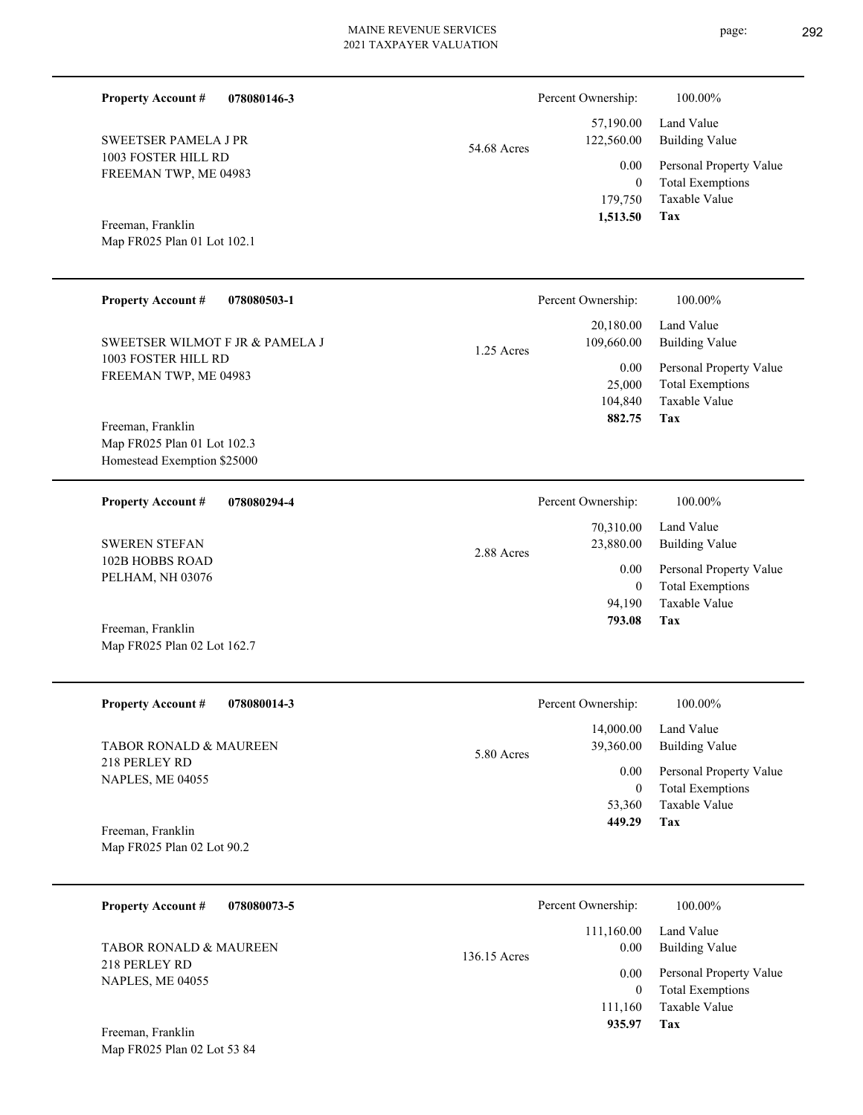| 078080146-3<br><b>Property Account #</b>                                        |              | Percent Ownership:                          | 100.00%                                                                    |
|---------------------------------------------------------------------------------|--------------|---------------------------------------------|----------------------------------------------------------------------------|
| <b>SWEETSER PAMELA J PR</b>                                                     | 54.68 Acres  | 57,190.00<br>122,560.00                     | Land Value<br><b>Building Value</b>                                        |
| 1003 FOSTER HILL RD<br>FREEMAN TWP, ME 04983                                    |              | 0.00<br>$\mathbf{0}$<br>179,750<br>1,513.50 | Personal Property Value<br><b>Total Exemptions</b><br>Taxable Value<br>Tax |
| Freeman, Franklin<br>Map FR025 Plan 01 Lot 102.1                                |              |                                             |                                                                            |
| <b>Property Account #</b><br>078080503-1                                        |              | Percent Ownership:                          | 100.00%                                                                    |
| SWEETSER WILMOT F JR & PAMELA J                                                 | 1.25 Acres   | 20,180.00<br>109,660.00                     | Land Value<br><b>Building Value</b>                                        |
| 1003 FOSTER HILL RD<br>FREEMAN TWP, ME 04983                                    |              | 0.00<br>25,000<br>104,840<br>882.75         | Personal Property Value<br><b>Total Exemptions</b><br>Taxable Value<br>Tax |
| Freeman, Franklin<br>Map FR025 Plan 01 Lot 102.3<br>Homestead Exemption \$25000 |              |                                             |                                                                            |
| 078080294-4<br><b>Property Account #</b>                                        |              | Percent Ownership:                          | 100.00%                                                                    |
| <b>SWEREN STEFAN</b>                                                            | 2.88 Acres   | 70,310.00<br>23,880.00                      | Land Value<br><b>Building Value</b>                                        |
| 102B HOBBS ROAD<br>PELHAM, NH 03076                                             |              | 0.00<br>$\overline{0}$<br>94,190            | Personal Property Value<br><b>Total Exemptions</b><br>Taxable Value        |
| Freeman, Franklin<br>Map FR025 Plan 02 Lot 162.7                                |              | 793.08                                      | Tax                                                                        |
| <b>Property Account #</b><br>078080014-3                                        |              | Percent Ownership:                          | 100.00%                                                                    |
| TABOR RONALD & MAUREEN                                                          | 5.80 Acres   | 14,000.00<br>39,360.00                      | Land Value<br><b>Building Value</b>                                        |
| 218 PERLEY RD<br>NAPLES, ME 04055                                               |              | 0.00<br>$\overline{0}$                      | Personal Property Value<br><b>Total Exemptions</b>                         |
| Freeman, Franklin<br>Map FR025 Plan 02 Lot 90.2                                 |              | 53,360<br>449.29                            | Taxable Value<br>Tax                                                       |
| <b>Property Account #</b><br>078080073-5                                        |              | Percent Ownership:                          | 100.00%                                                                    |
| TABOR RONALD & MAUREEN                                                          | 136.15 Acres | 111,160.00<br>0.00                          | Land Value<br><b>Building Value</b>                                        |
| 218 PERLEY RD<br>NAPLES, ME 04055                                               |              | 0.00<br>$\overline{0}$<br>111,160           | Personal Property Value<br><b>Total Exemptions</b><br>Taxable Value        |
| Freeman, Franklin<br>Map FR025 Plan 02 Lot 53 84                                |              | 935.97                                      | Tax                                                                        |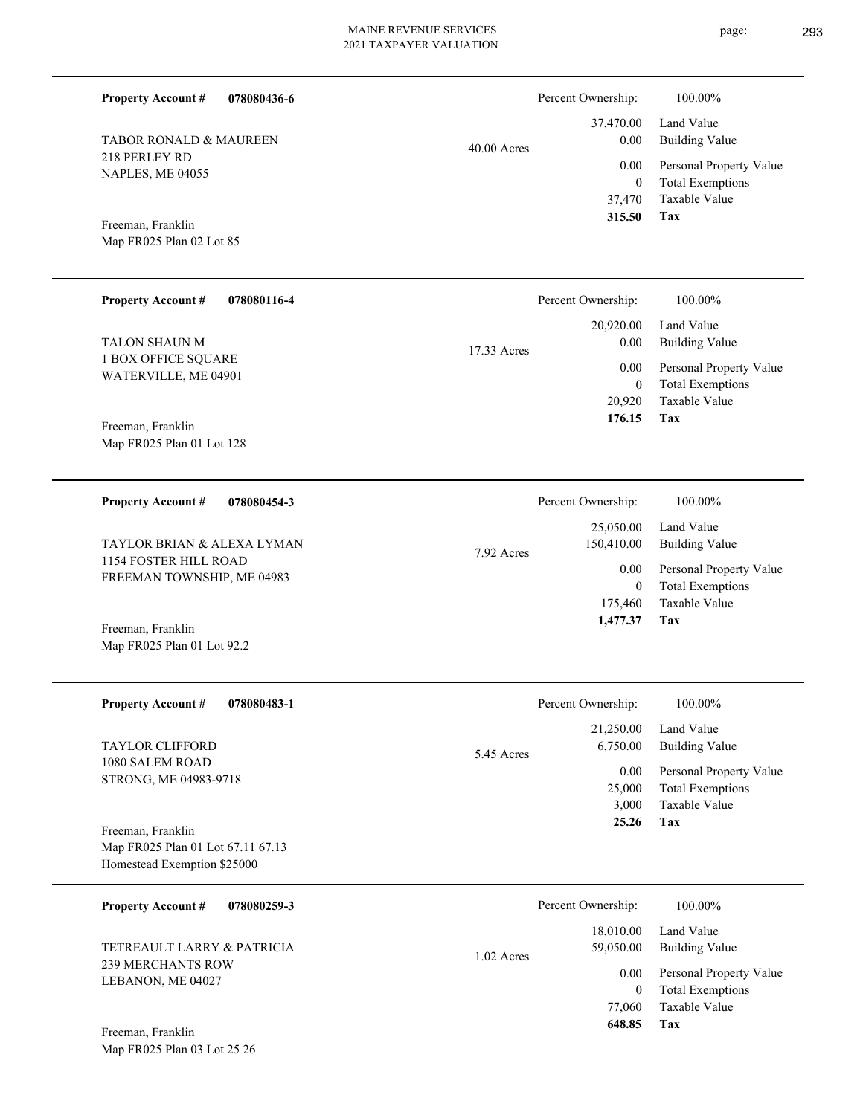**078080436-6**

Map FR025 Plan 01 Lot 92.2

**Property Account #**

| <b>TABOR RONALD &amp; MAUREEN</b> | $40.00$ Acres | 0.00             |
|-----------------------------------|---------------|------------------|
| 218 PERLEY RD<br>NAPLES, ME 04055 |               | 0.00<br>$\Omega$ |
|                                   |               | 37,470           |
| Freeman, Franklin                 |               | 315.50           |
| Map FR025 Plan 02 Lot 85          |               |                  |

| <b>Property Account #</b><br>078080116-4    | Percent Ownership:  | 100.00%                 |
|---------------------------------------------|---------------------|-------------------------|
|                                             | 20,920.00           | Land Value              |
| TALON SHAUN M                               | 0.00<br>17.33 Acres | Building Value          |
| 1 BOX OFFICE SQUARE<br>WATERVILLE, ME 04901 | 0.00                | Personal Property Value |
|                                             | $\mathbf{0}$        | <b>Total Exemptions</b> |
|                                             | 20,920              | Taxable Value           |
| Freeman, Franklin                           | 176.15              | Tax                     |
| Map FR025 Plan 01 Lot 128                   |                     |                         |

| <b>Property Account #</b><br>078080454-3            | Percent Ownership:                    | 100.00%                                            |
|-----------------------------------------------------|---------------------------------------|----------------------------------------------------|
| TAYLOR BRIAN & ALEXA LYMAN                          | 25,050.00<br>150,410.00<br>7.92 Acres | Land Value<br>Building Value                       |
| 1154 FOSTER HILL ROAD<br>FREEMAN TOWNSHIP, ME 04983 | 0.00                                  | Personal Property Value<br><b>Total Exemptions</b> |
|                                                     | 175,460<br>1,477.37                   | Taxable Value<br>Tax                               |
| Freeman, Franklin                                   |                                       |                                                    |

| <b>Property Account #</b><br>078080483-1                                              | Percent Ownership:                                             | 100.00%                                                                                                    |
|---------------------------------------------------------------------------------------|----------------------------------------------------------------|------------------------------------------------------------------------------------------------------------|
| <b>TAYLOR CLIFFORD</b><br>1080 SALEM ROAD<br>STRONG, ME 04983-9718                    | 21,250.00<br>6.750.00<br>5.45 Acres<br>0.00<br>25,000<br>3.000 | Land Value<br><b>Building Value</b><br>Personal Property Value<br><b>Total Exemptions</b><br>Taxable Value |
| Freeman, Franklin<br>Map FR025 Plan 01 Lot 67.11 67.13<br>Homestead Exemption \$25000 | 25.26                                                          | Tax                                                                                                        |

| 078080259-3<br><b>Property Account #</b>               | Percent Ownership:        | 100.00%                 |
|--------------------------------------------------------|---------------------------|-------------------------|
|                                                        | 18,010.00                 | Land Value              |
| TETREAULT LARRY & PATRICIA<br><b>239 MERCHANTS ROW</b> | 59,050.00<br>$1.02$ Acres | <b>Building Value</b>   |
| LEBANON, ME 04027                                      | 0.00                      | Personal Property Value |
|                                                        | $\mathbf{0}$              | <b>Total Exemptions</b> |
|                                                        | 77,060                    | Taxable Value           |
| Freeman, Franklin                                      | 648.85                    | Tax                     |
| Map FR025 Plan 03 Lot 25 26                            |                           |                         |

page: 293

**Tax**

37,470.00

Percent Ownership:  $100.00\%$ 

Taxable Value Total Exemptions Personal Property Value

Building Value Land Value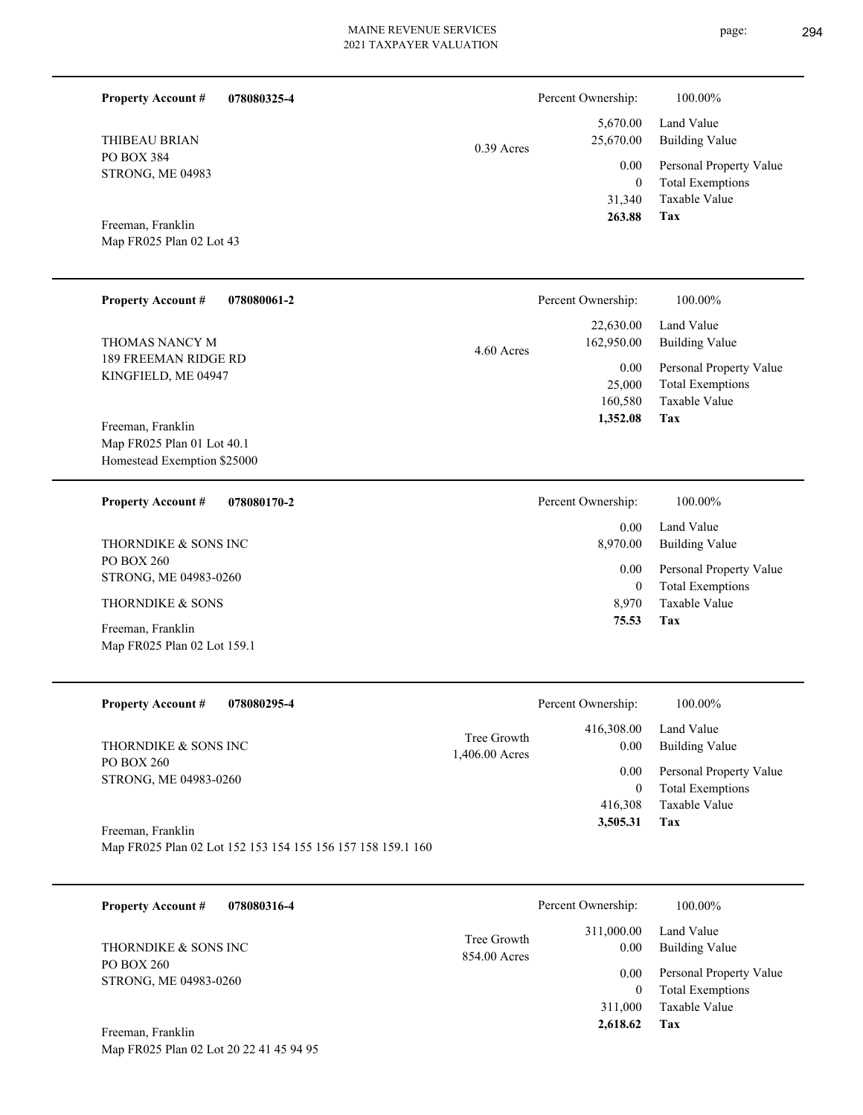**Tax 2,618.62**

| <b>Property Account #</b><br>078080325-4                                         |                             | Percent Ownership:                    | 100.00%                                                                    |
|----------------------------------------------------------------------------------|-----------------------------|---------------------------------------|----------------------------------------------------------------------------|
| <b>THIBEAU BRIAN</b>                                                             | $0.39$ Acres                | 5,670.00<br>25,670.00                 | Land Value<br><b>Building Value</b>                                        |
| <b>PO BOX 384</b><br>STRONG, ME 04983                                            |                             | 0.00<br>$\theta$                      | Personal Property Value<br><b>Total Exemptions</b>                         |
| Freeman, Franklin<br>Map FR025 Plan 02 Lot 43                                    |                             | 31,340<br>263.88                      | Taxable Value<br><b>Tax</b>                                                |
| <b>Property Account #</b><br>078080061-2                                         |                             | Percent Ownership:                    | 100.00%                                                                    |
| THOMAS NANCY M                                                                   | 4.60 Acres                  | 22,630.00<br>162,950.00               | Land Value<br><b>Building Value</b>                                        |
| 189 FREEMAN RIDGE RD<br>KINGFIELD, ME 04947<br>Freeman, Franklin                 |                             | 0.00<br>25,000<br>160,580<br>1,352.08 | Personal Property Value<br><b>Total Exemptions</b><br>Taxable Value<br>Tax |
| Map FR025 Plan 01 Lot 40.1<br>Homestead Exemption \$25000                        |                             |                                       |                                                                            |
| <b>Property Account #</b><br>078080170-2                                         |                             | Percent Ownership:                    | 100.00%                                                                    |
| THORNDIKE & SONS INC                                                             |                             | 0.00<br>8,970.00                      | Land Value<br><b>Building Value</b>                                        |
| PO BOX 260<br>STRONG, ME 04983-0260                                              |                             | 0.00<br>$\overline{0}$                | Personal Property Value<br><b>Total Exemptions</b>                         |
| THORNDIKE & SONS                                                                 |                             | 8,970<br>75.53                        | Taxable Value<br>Tax                                                       |
| Freeman, Franklin<br>Map FR025 Plan 02 Lot 159.1                                 |                             |                                       |                                                                            |
| <b>Property Account #</b><br>078080295-4                                         |                             | Percent Ownership:                    | $100.00\%$                                                                 |
| THORNDIKE & SONS INC                                                             | Tree Growth                 | 416,308.00<br>0.00                    | Land Value<br><b>Building Value</b>                                        |
| PO BOX 260<br>STRONG, ME 04983-0260                                              | 1,406.00 Acres              | 0.00<br>$\overline{0}$<br>416,308     | Personal Property Value<br><b>Total Exemptions</b><br>Taxable Value        |
| Freeman, Franklin<br>Map FR025 Plan 02 Lot 152 153 154 155 156 157 158 159.1 160 |                             | 3,505.31                              | Tax                                                                        |
| 078080316-4<br><b>Property Account #</b>                                         |                             | Percent Ownership:                    | 100.00%                                                                    |
| THORNDIKE & SONS INC                                                             | Tree Growth<br>854.00 Acres | 311,000.00<br>0.00                    | Land Value<br><b>Building Value</b>                                        |
| PO BOX 260<br>STRONG, ME 04983-0260                                              |                             | 0.00<br>$\overline{0}$<br>311,000     | Personal Property Value<br><b>Total Exemptions</b><br>Taxable Value        |

Map FR025 Plan 02 Lot 20 22 41 45 94 95 Freeman, Franklin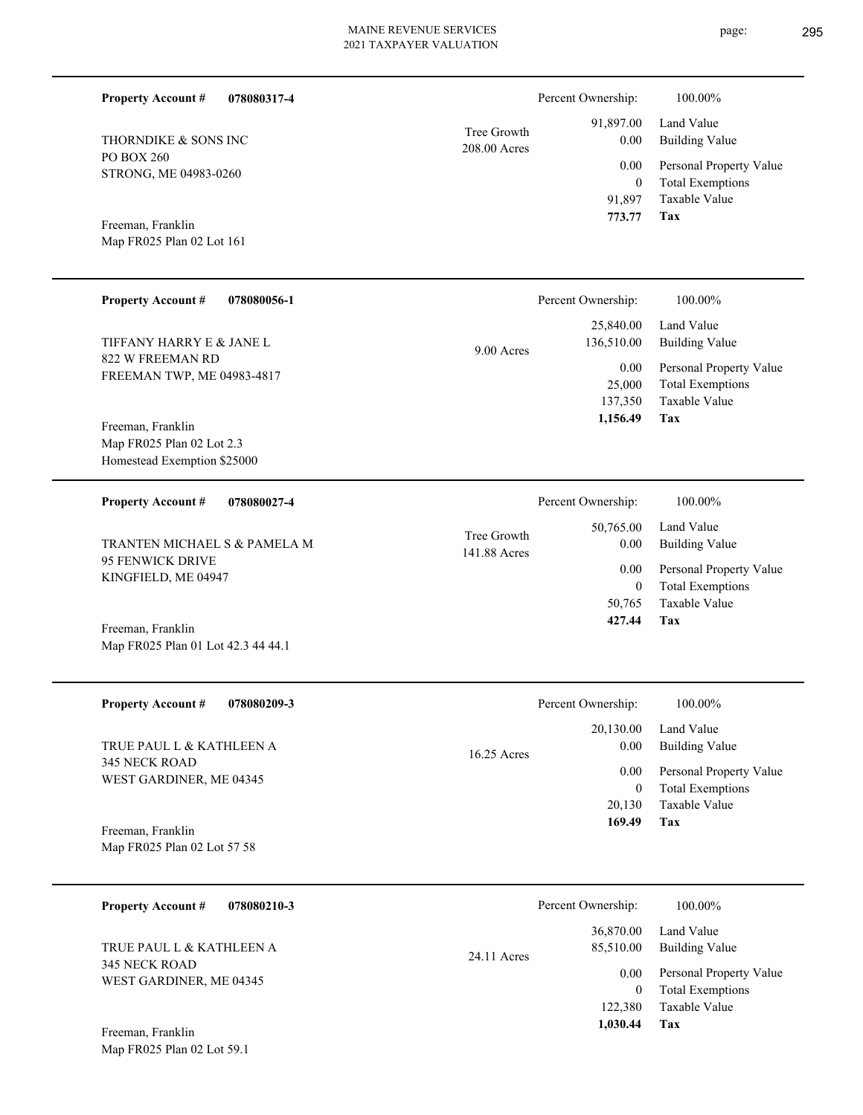| 078080317-4<br><b>Property Account #</b>                 |                             | Percent Ownership:              | 100.00%                                            |
|----------------------------------------------------------|-----------------------------|---------------------------------|----------------------------------------------------|
| THORNDIKE & SONS INC                                     | Tree Growth<br>208.00 Acres | 91,897.00<br>0.00               | Land Value<br><b>Building Value</b>                |
| PO BOX 260<br>STRONG, ME 04983-0260                      |                             | 0.00                            | Personal Property Value                            |
|                                                          |                             | $\mathbf{0}$<br>91,897          | <b>Total Exemptions</b><br><b>Taxable Value</b>    |
| Freeman, Franklin                                        |                             | 773.77                          | Tax                                                |
| Map FR025 Plan 02 Lot 161                                |                             |                                 |                                                    |
| <b>Property Account #</b><br>078080056-1                 |                             | Percent Ownership:              | 100.00%                                            |
| TIFFANY HARRY E & JANE L                                 | $9.00$ Acres                | 25,840.00<br>136,510.00         | Land Value<br><b>Building Value</b>                |
| 822 W FREEMAN RD<br>FREEMAN TWP, ME 04983-4817           |                             | 0.00                            | Personal Property Value                            |
|                                                          |                             | 25,000<br>137,350               | <b>Total Exemptions</b><br>Taxable Value           |
| Freeman, Franklin                                        |                             | 1,156.49                        | Tax                                                |
| Map FR025 Plan 02 Lot 2.3<br>Homestead Exemption \$25000 |                             |                                 |                                                    |
|                                                          |                             |                                 |                                                    |
| <b>Property Account #</b><br>078080027-4                 |                             | Percent Ownership:<br>50,765.00 | 100.00%<br>Land Value                              |
| TRANTEN MICHAEL S & PAMELA M                             | Tree Growth<br>141.88 Acres | 0.00                            | <b>Building Value</b>                              |
| <b>95 FENWICK DRIVE</b><br>KINGFIELD, ME 04947           |                             | 0.00<br>$\mathbf{0}$            | Personal Property Value<br><b>Total Exemptions</b> |
|                                                          |                             | 50,765                          | Taxable Value                                      |
| Freeman, Franklin<br>Map FR025 Plan 01 Lot 42.3 44 44.1  |                             | 427.44                          | Tax                                                |
|                                                          |                             |                                 |                                                    |
| <b>Property Account #</b><br>078080209-3                 |                             | Percent Ownership:              | $100.00\%$                                         |
| TRUE PAUL L & KATHLEEN A                                 |                             | 20,130.00<br>0.00               | Land Value<br><b>Building Value</b>                |
| 345 NECK ROAD                                            | 16.25 Acres                 | 0.00                            | Personal Property Value                            |
| WEST GARDINER, ME 04345                                  |                             | $\overline{0}$<br>20,130        | <b>Total Exemptions</b><br>Taxable Value           |
| Freeman, Franklin                                        |                             | 169.49                          | Tax                                                |
| Map FR025 Plan 02 Lot 57 58                              |                             |                                 |                                                    |
| <b>Property Account #</b><br>078080210-3                 |                             | Percent Ownership:              | 100.00%                                            |
|                                                          |                             | 36,870.00                       | Land Value                                         |
| TRUE PAUL L & KATHLEEN A<br><b>345 NECK ROAD</b>         | 24.11 Acres                 | 85,510.00                       | <b>Building Value</b>                              |
| WEST GARDINER, ME 04345                                  |                             | 0.00<br>$\overline{0}$          | Personal Property Value<br><b>Total Exemptions</b> |

**Tax 1,030.44**

122,380

Taxable Value

Map FR025 Plan 02 Lot 59.1 Freeman, Franklin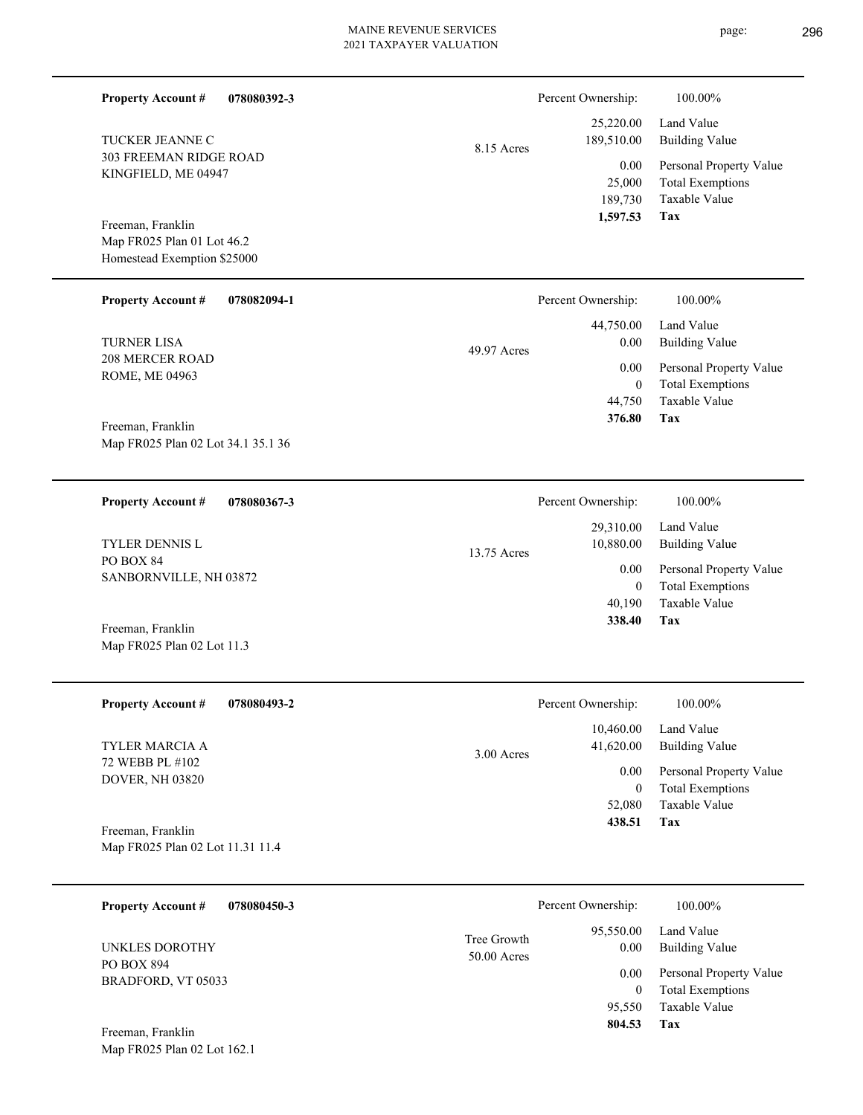page: 296

| <b>Property Account #</b><br>078080392-3                                       |                            | Percent Ownership:                             | 100.00%                                                                    |
|--------------------------------------------------------------------------------|----------------------------|------------------------------------------------|----------------------------------------------------------------------------|
| TUCKER JEANNE C                                                                | 8.15 Acres                 | 25,220.00<br>189,510.00                        | Land Value<br><b>Building Value</b>                                        |
| 303 FREEMAN RIDGE ROAD<br>KINGFIELD, ME 04947                                  |                            | 0.00<br>25,000<br>189,730                      | Personal Property Value<br><b>Total Exemptions</b><br>Taxable Value        |
| Freeman, Franklin<br>Map FR025 Plan 01 Lot 46.2<br>Homestead Exemption \$25000 |                            | 1,597.53                                       | Tax                                                                        |
| <b>Property Account #</b><br>078082094-1                                       |                            | Percent Ownership:                             | 100.00%                                                                    |
| <b>TURNER LISA</b>                                                             | 49.97 Acres                | 44,750.00<br>0.00                              | Land Value<br><b>Building Value</b>                                        |
| <b>208 MERCER ROAD</b><br>ROME, ME 04963                                       |                            | 0.00<br>$\mathbf{0}$                           | Personal Property Value<br><b>Total Exemptions</b>                         |
| Freeman, Franklin                                                              |                            | 44,750<br>376.80                               | Taxable Value<br><b>Tax</b>                                                |
| Map FR025 Plan 02 Lot 34.1 35.1 36                                             |                            |                                                |                                                                            |
| <b>Property Account #</b><br>078080367-3                                       |                            | Percent Ownership:                             | 100.00%                                                                    |
| TYLER DENNIS L                                                                 | 13.75 Acres                | 29,310.00<br>10,880.00<br>0.00<br>$\mathbf{0}$ | Land Value<br><b>Building Value</b>                                        |
| PO BOX 84<br>SANBORNVILLE, NH 03872                                            |                            |                                                | Personal Property Value<br><b>Total Exemptions</b>                         |
| Freeman, Franklin<br>Map FR025 Plan 02 Lot 11.3                                |                            | 40,190<br>338.40                               | Taxable Value<br><b>Tax</b>                                                |
| <b>Property Account #</b><br>078080493-2                                       |                            | Percent Ownership:                             | 100.00%                                                                    |
| TYLER MARCIA A                                                                 | 3.00 Acres                 | 10,460.00<br>41,620.00                         | Land Value<br><b>Building Value</b>                                        |
| 72 WEBB PL #102<br>DOVER, NH 03820                                             |                            | 0.00<br>$\mathbf{0}$<br>52,080                 | Personal Property Value<br><b>Total Exemptions</b><br>Taxable Value        |
| Freeman, Franklin<br>Map FR025 Plan 02 Lot 11.31 11.4                          |                            | 438.51                                         | Tax                                                                        |
| <b>Property Account #</b><br>078080450-3                                       |                            | Percent Ownership:                             | 100.00%                                                                    |
| <b>UNKLES DOROTHY</b>                                                          | Tree Growth<br>50.00 Acres | 95,550.00<br>0.00                              | Land Value<br><b>Building Value</b>                                        |
| PO BOX 894<br>BRADFORD, VT 05033                                               |                            | 0.00<br>$\overline{0}$<br>95,550<br>804.53     | Personal Property Value<br><b>Total Exemptions</b><br>Taxable Value<br>Tax |
| Freeman, Franklin<br>Map FR025 Plan 02 Lot 162.1                               |                            |                                                |                                                                            |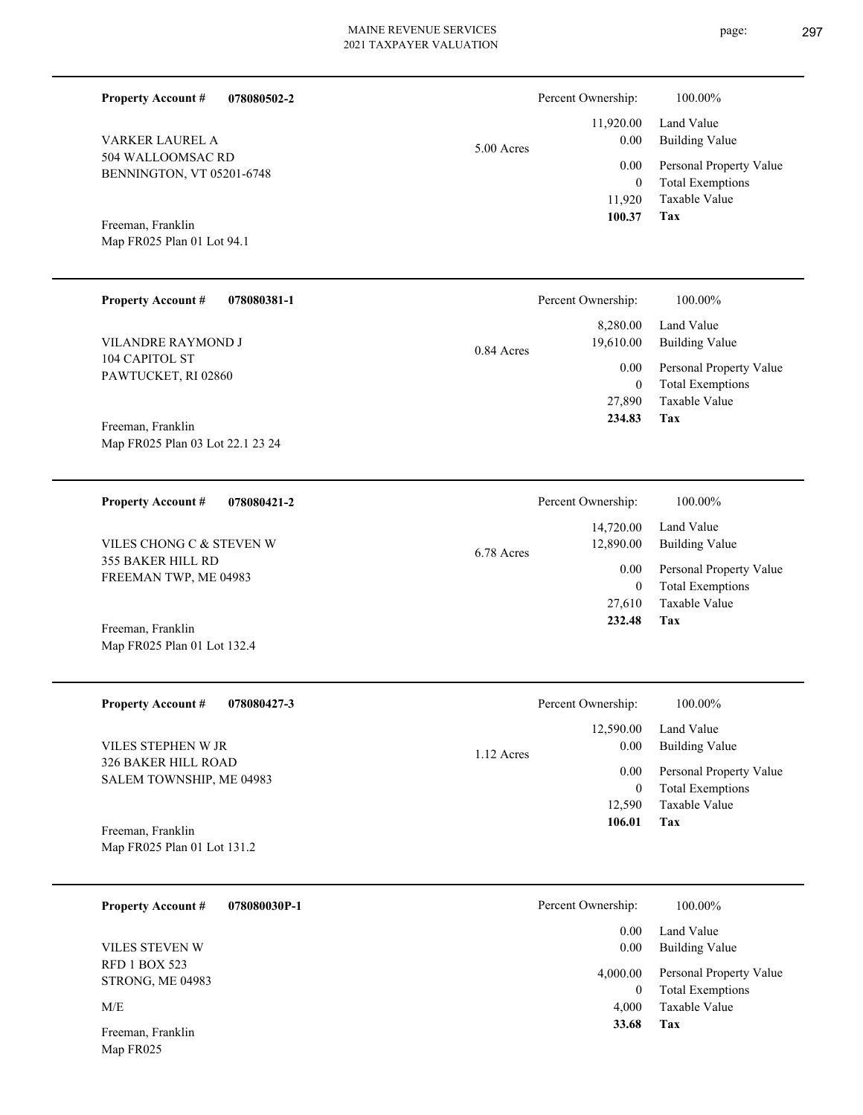**078080502-2**

**Property Account #**

Percent Ownership:  $100.00\%$ 

| VARKER LAUREL A<br>504 WALLOOMSAC RD<br>BENNINGTON, VT 05201-6748<br>Freeman, Franklin<br>Map FR025 Plan 01 Lot 94.1 | 5.00 Acres | 11,920.00<br>0.00<br>0.00<br>$\boldsymbol{0}$<br>11,920<br>100.37    | Land Value<br><b>Building Value</b><br>Personal Property Value<br><b>Total Exemptions</b><br>Taxable Value<br>Tax |
|----------------------------------------------------------------------------------------------------------------------|------------|----------------------------------------------------------------------|-------------------------------------------------------------------------------------------------------------------|
| <b>Property Account #</b><br>078080381-1                                                                             |            | Percent Ownership:                                                   | 100.00%                                                                                                           |
| VILANDRE RAYMOND J                                                                                                   | 0.84 Acres | 8,280.00<br>19,610.00                                                | Land Value<br><b>Building Value</b>                                                                               |
| 104 CAPITOL ST<br>PAWTUCKET, RI 02860<br>Freeman, Franklin                                                           |            | 0.00<br>$\boldsymbol{0}$<br>27,890<br>234.83                         | Personal Property Value<br><b>Total Exemptions</b><br>Taxable Value<br>Tax                                        |
| Map FR025 Plan 03 Lot 22.1 23 24                                                                                     |            |                                                                      |                                                                                                                   |
| <b>Property Account #</b><br>078080421-2                                                                             |            | Percent Ownership:                                                   | 100.00%                                                                                                           |
| VILES CHONG C & STEVEN W                                                                                             | 6.78 Acres | 14,720.00<br>12,890.00<br>0.00<br>$\overline{0}$<br>27,610<br>232.48 | Land Value<br><b>Building Value</b>                                                                               |
| 355 BAKER HILL RD<br>FREEMAN TWP, ME 04983                                                                           |            |                                                                      | Personal Property Value<br><b>Total Exemptions</b><br>Taxable Value<br>Tax                                        |
| Freeman, Franklin<br>Map FR025 Plan 01 Lot 132.4                                                                     |            |                                                                      |                                                                                                                   |
| <b>Property Account #</b><br>078080427-3                                                                             |            | Percent Ownership:                                                   | 100.00%                                                                                                           |
| VILES STEPHEN W JR                                                                                                   | 1.12 Acres | 12,590.00<br>0.00                                                    | Land Value<br><b>Building Value</b>                                                                               |
| 326 BAKER HILL ROAD<br>SALEM TOWNSHIP, ME 04983<br>Freeman, Franklin                                                 |            | 0.00<br>$\mathbf{0}$<br>12,590<br>106.01                             | Personal Property Value<br><b>Total Exemptions</b><br>Taxable Value<br>Tax                                        |
| Map FR025 Plan 01 Lot 131.2                                                                                          |            |                                                                      |                                                                                                                   |
| <b>Property Account #</b><br>078080030P-1                                                                            |            | Percent Ownership:                                                   | 100.00%                                                                                                           |
| VILES STEVEN W                                                                                                       |            | 0.00<br>0.00                                                         | Land Value<br><b>Building Value</b>                                                                               |
| <b>RFD 1 BOX 523</b><br>STRONG, ME 04983                                                                             |            | 4,000.00<br>$\overline{0}$                                           | Personal Property Value<br><b>Total Exemptions</b>                                                                |
| M/E                                                                                                                  |            | 4,000<br>33.68                                                       | Taxable Value<br>Tax                                                                                              |
| Freeman, Franklin<br>Map FR025                                                                                       |            |                                                                      |                                                                                                                   |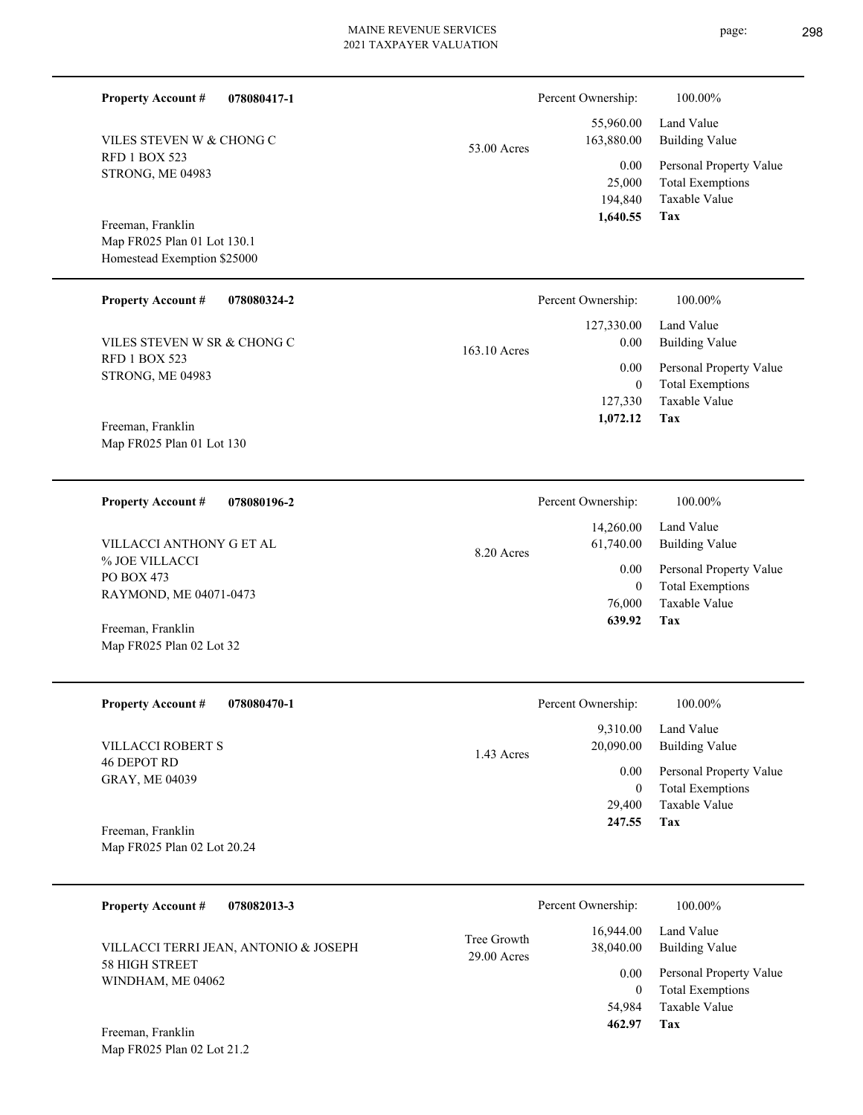| <b>Property Account #</b><br>078080417-1         |                            | Percent Ownership:                    | 100.00%                                                                    |
|--------------------------------------------------|----------------------------|---------------------------------------|----------------------------------------------------------------------------|
| VILES STEVEN W & CHONG C                         | 53.00 Acres                | 55,960.00<br>163,880.00               | Land Value<br><b>Building Value</b>                                        |
| <b>RFD 1 BOX 523</b><br>STRONG, ME 04983         |                            | 0.00<br>25,000<br>194,840<br>1,640.55 | Personal Property Value<br><b>Total Exemptions</b><br>Taxable Value<br>Tax |
| Freeman, Franklin<br>Map FR025 Plan 01 Lot 130.1 |                            |                                       |                                                                            |
| Homestead Exemption \$25000                      |                            |                                       |                                                                            |
| <b>Property Account #</b><br>078080324-2         |                            | Percent Ownership:                    | 100.00%                                                                    |
| VILES STEVEN W SR & CHONG C                      | 163.10 Acres               | 127,330.00<br>0.00                    | Land Value<br><b>Building Value</b>                                        |
| <b>RFD 1 BOX 523</b><br>STRONG, ME 04983         |                            | 0.00                                  | Personal Property Value                                                    |
|                                                  |                            | $\mathbf{0}$<br>127,330               | <b>Total Exemptions</b><br>Taxable Value                                   |
| Freeman, Franklin<br>Map FR025 Plan 01 Lot 130   |                            | 1,072.12                              | Tax                                                                        |
| <b>Property Account #</b><br>078080196-2         |                            | Percent Ownership:                    | 100.00%                                                                    |
| VILLACCI ANTHONY G ET AL                         |                            | 14,260.00<br>61,740.00                | Land Value<br><b>Building Value</b>                                        |
| % JOE VILLACCI<br>PO BOX 473                     | 8.20 Acres                 | 0.00                                  | Personal Property Value                                                    |
| RAYMOND, ME 04071-0473                           |                            | $\mathbf{0}$<br>76,000                | <b>Total Exemptions</b><br>Taxable Value                                   |
| Freeman, Franklin<br>Map FR025 Plan 02 Lot 32    |                            | 639.92                                | Tax                                                                        |
| 078080470-1<br><b>Property Account #</b>         |                            | Percent Ownership:                    | 100.00%                                                                    |
| VILLACCI ROBERT S                                |                            | 9,310.00<br>20,090.00                 | Land Value<br><b>Building Value</b>                                        |
| <b>46 DEPOT RD</b><br>GRAY, ME 04039             | 1.43 Acres                 | 0.00                                  | Personal Property Value                                                    |
|                                                  |                            | $\overline{0}$<br>29,400              | <b>Total Exemptions</b><br>Taxable Value                                   |
| Freeman, Franklin                                |                            | 247.55                                | Tax                                                                        |
| Map FR025 Plan 02 Lot 20.24                      |                            |                                       |                                                                            |
| <b>Property Account #</b><br>078082013-3         |                            | Percent Ownership:                    | 100.00%                                                                    |
| VILLACCI TERRI JEAN, ANTONIO & JOSEPH            | Tree Growth<br>29.00 Acres | 16,944.00<br>38,040.00                | Land Value<br><b>Building Value</b>                                        |
| 58 HIGH STREET<br>WINDHAM, ME 04062              |                            | 0.00                                  | Personal Property Value                                                    |
|                                                  |                            | $\overline{0}$<br>54,984              | <b>Total Exemptions</b><br>Taxable Value                                   |
| Freeman, Franklin<br>Map FR025 Plan 02 Lot 21.2  |                            | 462.97                                | Tax                                                                        |

page: 298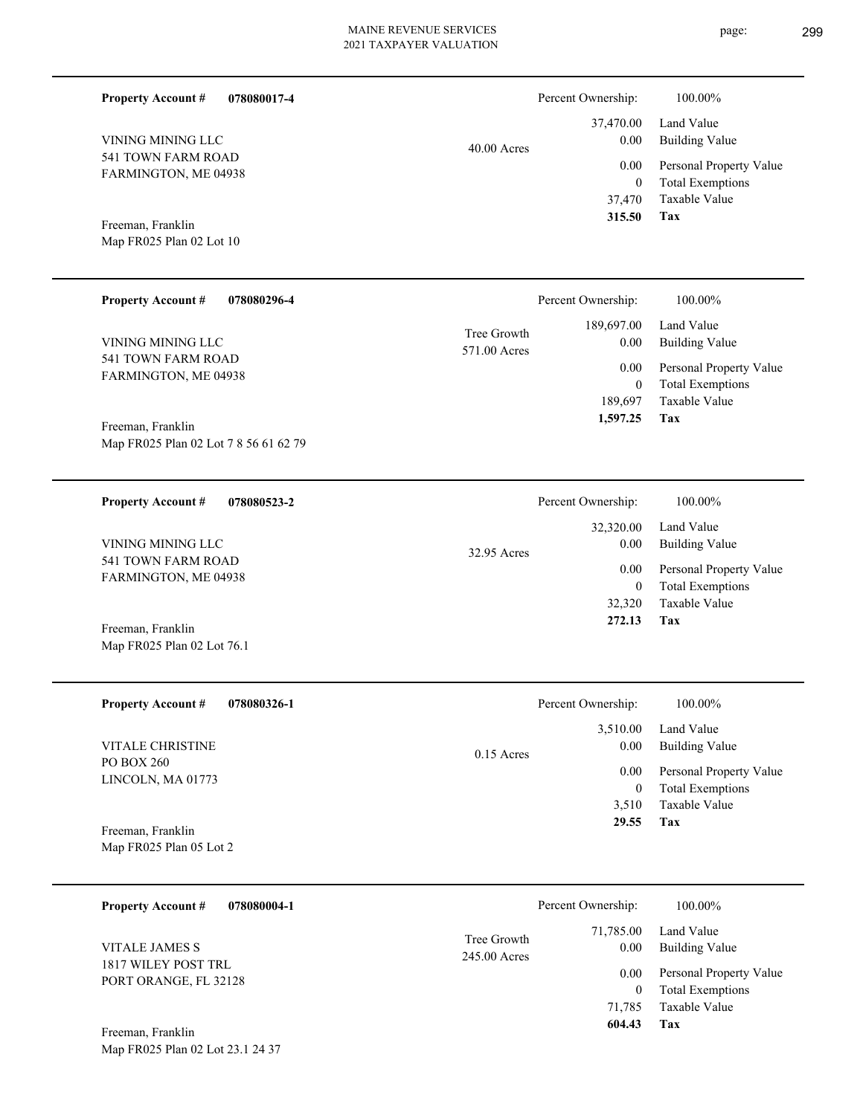page: 299

| <b>Property Account #</b><br>078080017-4<br>VINING MINING LLC<br>541 TOWN FARM ROAD<br>FARMINGTON, ME 04938<br>Freeman, Franklin<br>Map FR025 Plan 02 Lot 10<br><b>Property Account #</b><br>078080296-4<br>VINING MINING LLC<br>541 TOWN FARM ROAD | $40.00$ Acres<br>Tree Growth<br>571.00 Acres | Percent Ownership:<br>37,470.00<br>0.00<br>0.00<br>$\boldsymbol{0}$<br>37,470<br>315.50<br>Percent Ownership:<br>189,697.00<br>0.00 | 100.00%<br>Land Value<br><b>Building Value</b><br>Personal Property Value<br><b>Total Exemptions</b><br>Taxable Value<br>Tax<br>100.00%<br>Land Value<br><b>Building Value</b> |
|-----------------------------------------------------------------------------------------------------------------------------------------------------------------------------------------------------------------------------------------------------|----------------------------------------------|-------------------------------------------------------------------------------------------------------------------------------------|--------------------------------------------------------------------------------------------------------------------------------------------------------------------------------|
| FARMINGTON, ME 04938<br>Freeman, Franklin<br>Map FR025 Plan 02 Lot 7 8 56 61 62 79                                                                                                                                                                  |                                              | 0.00<br>$\boldsymbol{0}$<br>189,697<br>1,597.25                                                                                     | Personal Property Value<br><b>Total Exemptions</b><br>Taxable Value<br>Tax                                                                                                     |
| <b>Property Account #</b><br>078080523-2<br>VINING MINING LLC<br>541 TOWN FARM ROAD<br>FARMINGTON, ME 04938<br>Freeman, Franklin<br>Map FR025 Plan 02 Lot 76.1                                                                                      | 32.95 Acres                                  | Percent Ownership:<br>32,320.00<br>0.00<br>0.00<br>$\boldsymbol{0}$<br>32,320<br>272.13                                             | 100.00%<br>Land Value<br><b>Building Value</b><br>Personal Property Value<br><b>Total Exemptions</b><br>Taxable Value<br>Tax                                                   |
| <b>Property Account #</b><br>078080326-1<br><b>VITALE CHRISTINE</b><br>PO BOX 260<br>LINCOLN, MA 01773<br>Freeman, Franklin<br>Map FR025 Plan 05 Lot 2                                                                                              | $0.15$ Acres                                 | Percent Ownership:<br>3,510.00<br>0.00<br>0.00<br>$\mathbf{0}$<br>3,510<br>29.55                                                    | 100.00%<br>Land Value<br><b>Building Value</b><br>Personal Property Value<br><b>Total Exemptions</b><br>Taxable Value<br>Tax                                                   |
| 078080004-1<br><b>Property Account #</b><br><b>VITALE JAMES S</b><br>1817 WILEY POST TRL<br>PORT ORANGE, FL 32128<br>Freeman, Franklin<br>Map FR025 Plan 02 Lot 23.1 24 37                                                                          | Tree Growth<br>245.00 Acres                  | Percent Ownership:<br>71,785.00<br>0.00<br>0.00<br>$\overline{0}$<br>71,785<br>604.43                                               | 100.00%<br>Land Value<br><b>Building Value</b><br>Personal Property Value<br><b>Total Exemptions</b><br>Taxable Value<br>Tax                                                   |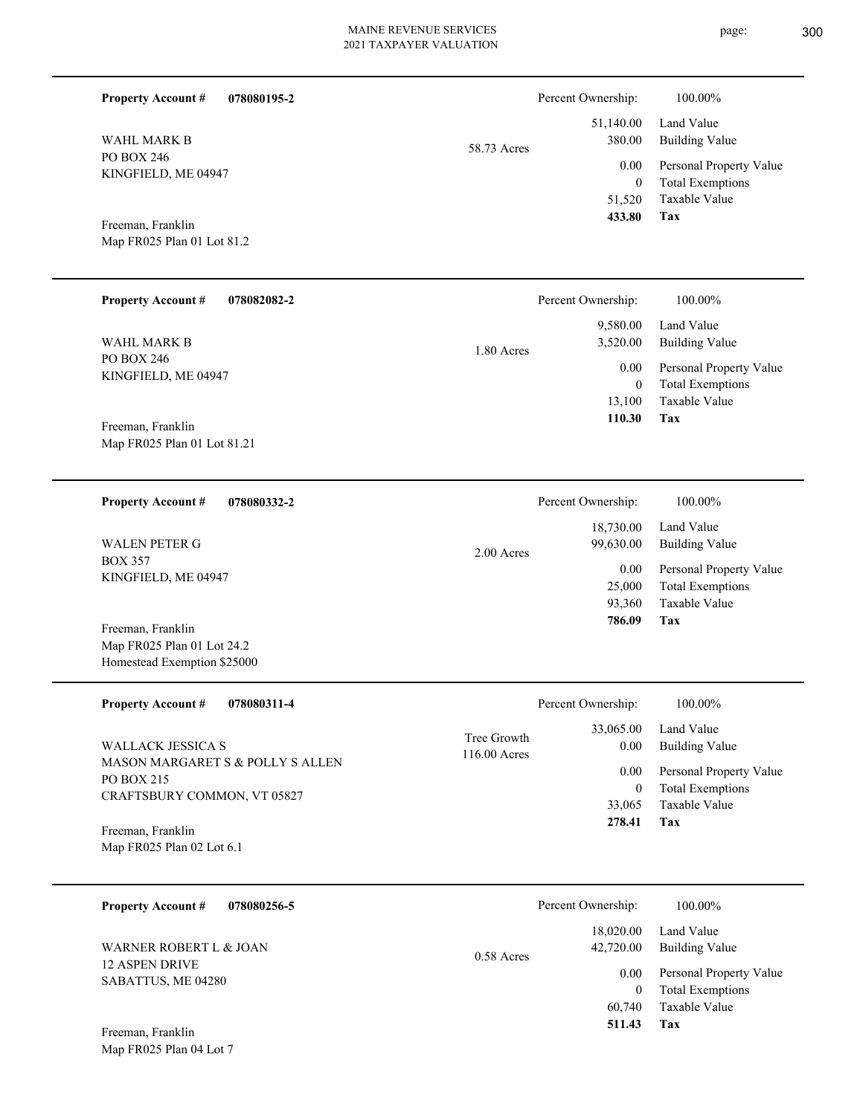$\overline{\phantom{0}}$ 

| <b>Property Account #</b>                        | 078080195-2 |             | Percent Ownership:             | 100.00%                                                             |
|--------------------------------------------------|-------------|-------------|--------------------------------|---------------------------------------------------------------------|
| <b>WAHL MARK B</b>                               |             | 58.73 Acres | 51,140.00<br>380.00            | Land Value<br><b>Building Value</b>                                 |
| PO BOX 246<br>KINGFIELD, ME 04947                |             |             | 0.00<br>$\mathbf{0}$<br>51,520 | Personal Property Value<br><b>Total Exemptions</b><br>Taxable Value |
| Freeman, Franklin                                |             |             | 433.80                         | Tax                                                                 |
| Map FR025 Plan 01 Lot 81.2                       |             |             |                                |                                                                     |
| <b>Property Account #</b>                        | 078082082-2 |             | Percent Ownership:             | 100.00%                                                             |
| WAHL MARK B                                      |             | 1.80 Acres  | 9,580.00<br>3,520.00           | Land Value<br><b>Building Value</b>                                 |
| PO BOX 246<br>KINGFIELD, ME 04947                |             |             | 0.00<br>$\theta$               | Personal Property Value<br><b>Total Exemptions</b>                  |
|                                                  |             |             | 13,100                         | Taxable Value                                                       |
| Freeman, Franklin<br>Map FR025 Plan 01 Lot 81.21 |             |             | 110.30                         | Tax                                                                 |
| <b>Property Account #</b>                        | 078080332-2 |             | Percent Ownership:             | 100.00%                                                             |
| <b>WALEN PETER G</b>                             |             | 2.00 Acres  | 18,730.00<br>99,630.00         | Land Value<br><b>Building Value</b>                                 |
| <b>BOX 357</b><br>KINGFIELD, ME 04947            |             |             | 0.00                           | Personal Property Value                                             |
|                                                  |             |             | 25,000<br>93,360               | <b>Total Exemptions</b><br>Taxable Value                            |
| Freeman, Franklin                                |             |             | 786.09                         | Tax                                                                 |
| Map FR025 Plan 01 Lot 24.2                       |             |             |                                |                                                                     |
| Homestead Exemption \$25000                      |             |             |                                |                                                                     |

| <b>Property Account #</b><br>078080311-4                                             | Percent Ownership:                                 | 100.00%                                                             |
|--------------------------------------------------------------------------------------|----------------------------------------------------|---------------------------------------------------------------------|
| WALLACK JESSICA S                                                                    | 33,065.00<br>Tree Growth<br>0.00<br>$116.00$ Acres | Land Value<br><b>Building Value</b>                                 |
| MASON MARGARET S & POLLY S ALLEN<br>PO BOX 215<br><b>CRAFTSBURY COMMON, VT 05827</b> | 0.00<br>0<br>33,065                                | Personal Property Value<br><b>Total Exemptions</b><br>Taxable Value |
| Freeman, Franklin<br>Map FR025 Plan 02 Lot 6.1                                       | 278.41                                             | Tax                                                                 |

| <b>Property Account #</b><br>078080256-5 | Percent Ownership:                     | 100.00%                                            |
|------------------------------------------|----------------------------------------|----------------------------------------------------|
| WARNER ROBERT L & JOAN<br>12 ASPEN DRIVE | 18,020.00<br>42,720.00<br>$0.58$ Acres | Land Value<br>Building Value                       |
| SABATTUS, ME 04280                       | 0.00<br>$\theta$                       | Personal Property Value<br><b>Total Exemptions</b> |
|                                          | 60,740                                 | Taxable Value                                      |
| Freeman, Franklin                        | 511.43                                 | Tax                                                |

Map FR025 Plan 04 Lot 7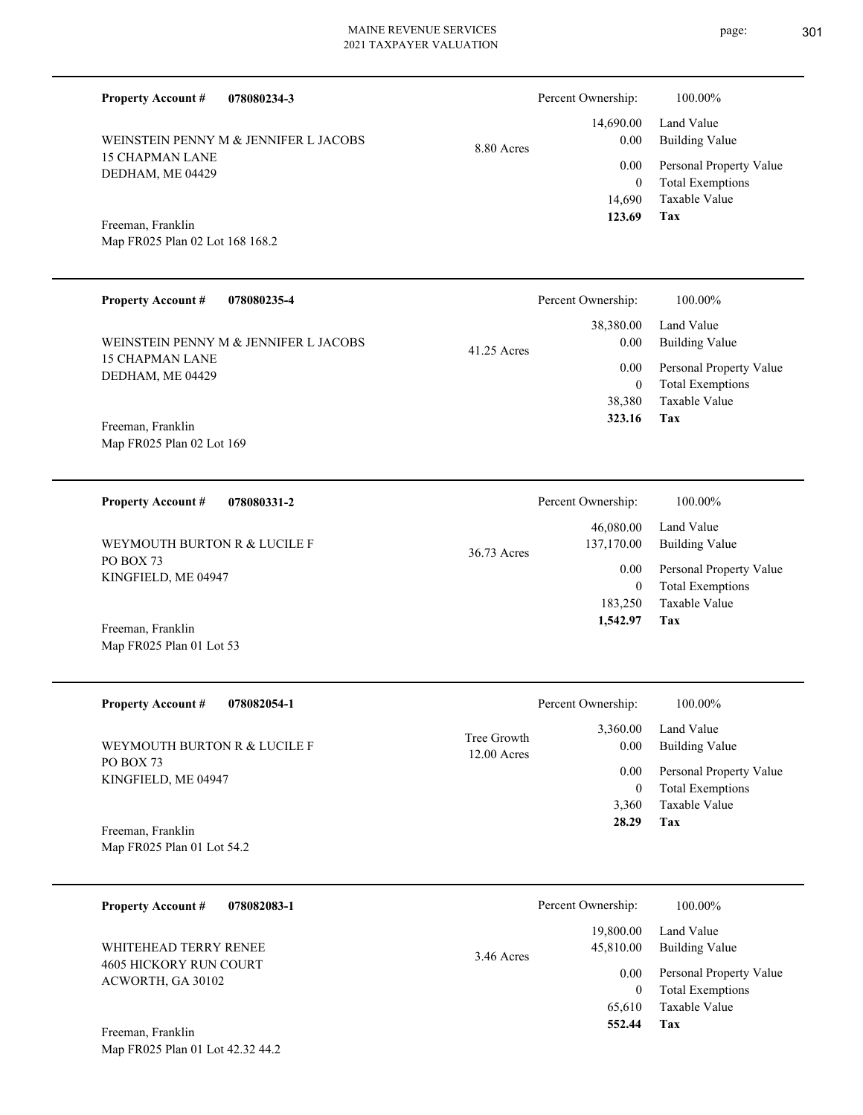**078080234-3 Tax** Taxable Value Total Exemptions Personal Property Value Building Value Land Value 15 CHAPMAN LANE DEDHAM, ME 04429 **Property Account #** Map FR025 Plan 02 Lot 168 168.2 Freeman, Franklin WEINSTEIN PENNY M & JENNIFER L JACOBS 14,690 0  **123.69** 14,690.00 0.00 0.00 8.80 Acres Percent Ownership:  $100.00\%$ **078080235-4 Tax** Taxable Value Total Exemptions Personal Property Value Building Value Land Value 15 CHAPMAN LANE DEDHAM, ME 04429 **Property Account #** Map FR025 Plan 02 Lot 169 Freeman, Franklin WEINSTEIN PENNY M & JENNIFER L JACOBS 38,380 0  **323.16** 38,380.00 0.00 0.00 41.25 Acres Percent Ownership:  $100.00\%$ **078080331-2 Tax** Taxable Value Total Exemptions Personal Property Value Building Value Land Value PO BOX 73 KINGFIELD, ME 04947 **Property Account #** Map FR025 Plan 01 Lot 53 Freeman, Franklin WEYMOUTH BURTON R & LUCILE F 183,250 0  **1,542.97** 46,080.00 137,170.00 0.00 36.73 Acres Percent Ownership:  $100.00\%$ **078082054-1 Tax** Taxable Value Total Exemptions Personal Property Value Building Value Land Value PO BOX 73 KINGFIELD, ME 04947 **Property Account #** Map FR025 Plan 01 Lot 54.2 Freeman, Franklin WEYMOUTH BURTON R & LUCILE F 3,360 0  **28.29** 3,360.00 0.00 0.00 12.00 Acres Tree Growth Percent Ownership:  $100.00\%$ **078082083-1** Personal Property Value Building Value Land Value 4605 HICKORY RUN COURT **Property Account #** WHITEHEAD TERRY RENEE 19,800.00 45,810.00 0.00 3.46 Acres Percent Ownership:  $100.00\%$ 

**Tax**

 65,610 0

 **552.44**

Taxable Value Total Exemptions

Map FR025 Plan 01 Lot 42.32 44.2 Freeman, Franklin

ACWORTH, GA 30102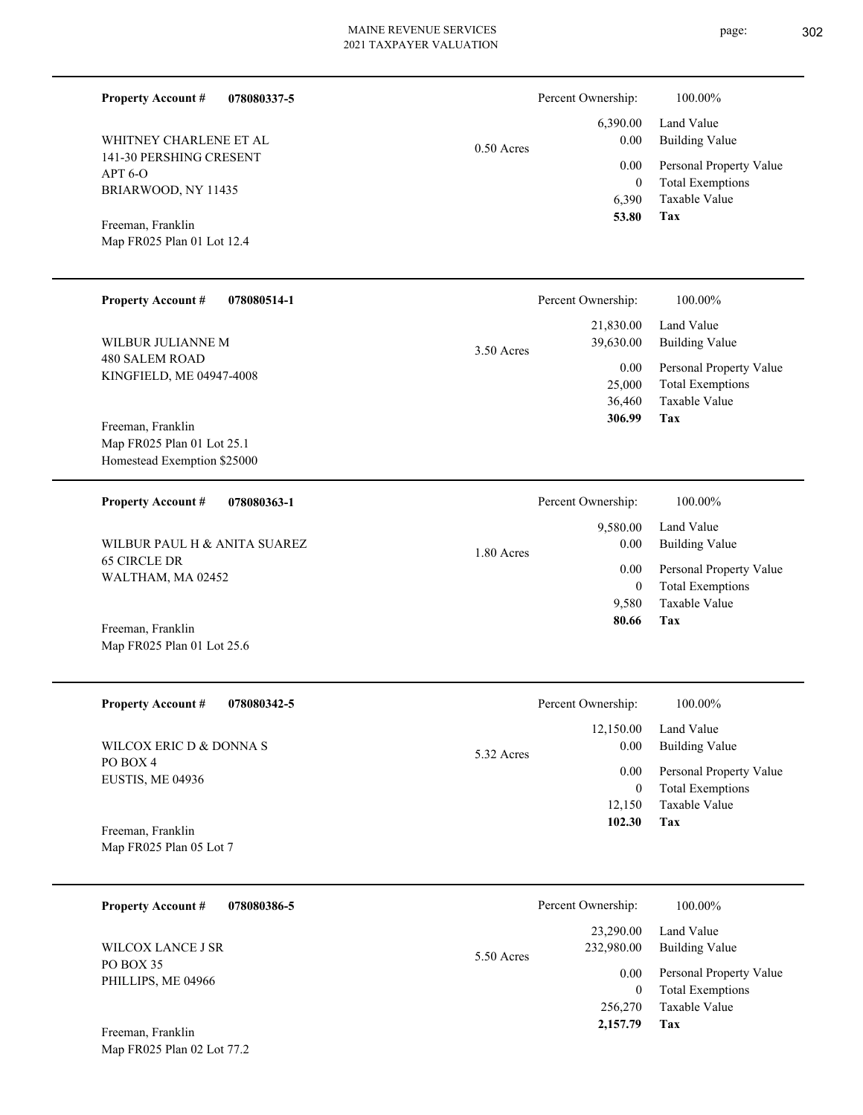| <b>Property Account #</b>                                                                                                                          | 078080337-5 |              | Percent Ownership:                                         | 100.00%                                                                                                           |                                     |
|----------------------------------------------------------------------------------------------------------------------------------------------------|-------------|--------------|------------------------------------------------------------|-------------------------------------------------------------------------------------------------------------------|-------------------------------------|
| WHITNEY CHARLENE ET AL<br>141-30 PERSHING CRESENT<br>APT <sub>6</sub> -O<br>BRIARWOOD, NY 11435<br>Freeman, Franklin<br>Map FR025 Plan 01 Lot 12.4 |             | $0.50$ Acres | 6,390.00<br>0.00<br>0.00<br>$\mathbf{0}$<br>6,390<br>53.80 | Land Value<br><b>Building Value</b><br>Personal Property Value<br><b>Total Exemptions</b><br>Taxable Value<br>Tax |                                     |
| <b>Property Account #</b>                                                                                                                          | 078080514-1 |              | Percent Ownership:                                         | 100.00%                                                                                                           |                                     |
| WILBUR JULIANNE M                                                                                                                                  |             | 3.50 Acres   | 21,830.00<br>39,630.00                                     | Land Value<br><b>Building Value</b>                                                                               |                                     |
| 480 SALEM ROAD<br>KINGFIELD, ME 04947-4008<br>Freeman, Franklin                                                                                    |             |              | 0.00<br>25,000<br>36,460<br>306.99                         | Personal Property Value<br><b>Total Exemptions</b><br>Taxable Value<br>Tax                                        |                                     |
| Map FR025 Plan 01 Lot 25.1<br>Homestead Exemption \$25000                                                                                          |             |              |                                                            |                                                                                                                   |                                     |
| <b>Property Account #</b>                                                                                                                          | 078080363-1 |              | Percent Ownership:                                         | 100.00%                                                                                                           |                                     |
| WILBUR PAUL H & ANITA SUAREZ                                                                                                                       |             | 1.80 Acres   |                                                            | 9,580.00<br>0.00                                                                                                  | Land Value<br><b>Building Value</b> |
| <b>65 CIRCLE DR</b><br>WALTHAM, MA 02452                                                                                                           |             |              | 0.00<br>$\mathbf{0}$                                       | Personal Property Value<br><b>Total Exemptions</b>                                                                |                                     |
| Freeman, Franklin<br>Map FR025 Plan 01 Lot 25.6                                                                                                    |             |              | 9,580<br>80.66                                             | Taxable Value<br>Tax                                                                                              |                                     |
| <b>Property Account #</b>                                                                                                                          | 078080342-5 |              | Percent Ownership:                                         | 100.00%                                                                                                           |                                     |
| WILCOX ERIC D & DONNA S                                                                                                                            |             | 5.32 Acres   | 12,150.00<br>0.00                                          | Land Value<br><b>Building Value</b>                                                                               |                                     |
| PO BOX 4<br>EUSTIS, ME 04936                                                                                                                       |             |              | $0.00\,$<br>$\mathbf{0}$<br>12,150<br>102.30               | Personal Property Value<br><b>Total Exemptions</b><br>Taxable Value<br>Tax                                        |                                     |
| Freeman, Franklin<br>Map FR025 Plan 05 Lot 7                                                                                                       |             |              |                                                            |                                                                                                                   |                                     |
| <b>Property Account #</b>                                                                                                                          | 078080386-5 |              | Percent Ownership:                                         | 100.00%                                                                                                           |                                     |
| WILCOX LANCE J SR                                                                                                                                  |             | 5.50 Acres   | 23,290.00<br>232,980.00                                    | Land Value<br><b>Building Value</b>                                                                               |                                     |
| PO BOX 35<br>PHILLIPS, ME 04966<br>Freeman, Franklin                                                                                               |             |              | 0.00<br>$\overline{0}$<br>256,270<br>2,157.79              | Personal Property Value<br><b>Total Exemptions</b><br>Taxable Value<br>Tax                                        |                                     |
| Map FR025 Plan 02 Lot 77.2                                                                                                                         |             |              |                                                            |                                                                                                                   |                                     |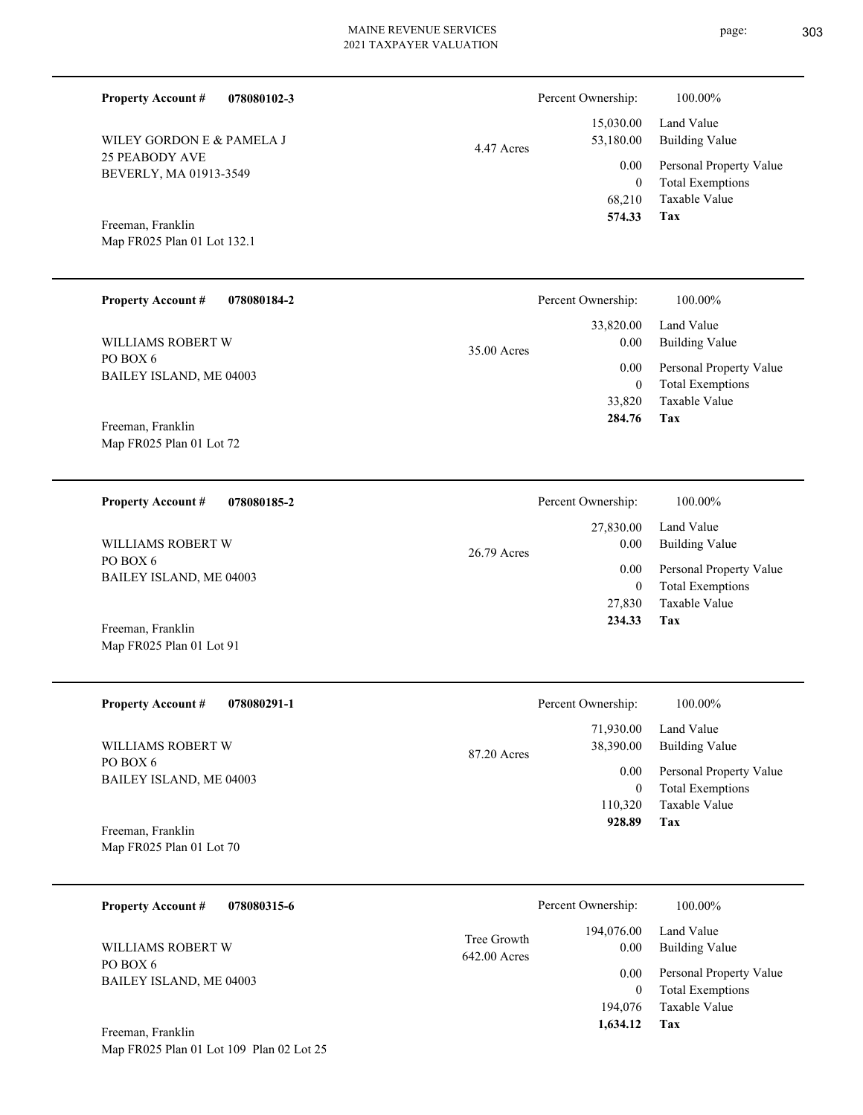Percent Ownership:  $100.00\%$ 

|            | 574.33    | Tax                          |
|------------|-----------|------------------------------|
|            |           | 68,210 Taxable Value         |
|            | $\theta$  | <b>Total Exemptions</b>      |
|            |           | 0.00 Personal Property Value |
| 4.47 Acres | 53,180.00 | Building Value               |
|            |           | 15,030.00 Land Value         |
|            |           |                              |

Map FR025 Plan 01 Lot 132.1 Freeman, Franklin

Map FR025 Plan 01 Lot 72

Map FR025 Plan 01 Lot 91

BEVERLY, MA 01913-3549

WILEY GORDON E & PAMELA J

25 PEABODY AVE

**Property Account #**

**078080102-3**

| <b>Property Account #</b><br>078080184-2 | Percent Ownership:                 | 100.00%                      |
|------------------------------------------|------------------------------------|------------------------------|
| WILLIAMS ROBERT W<br>PO BOX 6            | 33,820.00<br>0.00<br>$35.00$ Acres | Land Value<br>Building Value |
| BAILEY ISLAND, ME 04003                  | 0.00                               | Personal Property Value      |
|                                          |                                    | <b>Total Exemptions</b>      |
|                                          | 33,820                             | Taxable Value                |
| Freeman, Franklin                        | 284.76                             | Tax                          |

**078080185-2 Tax** Taxable Value Total Exemptions Personal Property Value Building Value Land Value PO BOX 6 BAILEY ISLAND, ME 04003 **Property Account #** Freeman, Franklin WILLIAMS ROBERT W 27,830 0  **234.33** 27,830.00 0.00 0.00 26.79 Acres Percent Ownership:  $100.00\%$ 

| <b>Property Account #</b><br>078080291-1      | Percent Ownership:                    | 100.00%                                            |
|-----------------------------------------------|---------------------------------------|----------------------------------------------------|
| WILLIAMS ROBERT W                             | 71,930.00<br>38,390.00<br>87.20 Acres | Land Value<br><b>Building Value</b>                |
| PO BOX 6<br>BAILEY ISLAND, ME 04003           | 0.00<br>0                             | Personal Property Value<br><b>Total Exemptions</b> |
|                                               | 110,320                               | Taxable Value                                      |
| Freeman, Franklin<br>Map FR025 Plan 01 Lot 70 | 928.89                                | Tax                                                |

| 078080315-6<br><b>Property Account #</b> | Percent Ownership: |                     | 100.00%                 |
|------------------------------------------|--------------------|---------------------|-------------------------|
| WILLIAMS ROBERT W                        | Tree Growth        | 194,076.00          | Land Value              |
|                                          | 642.00 Acres       | 0.00                | <b>Building Value</b>   |
| PO BOX 6                                 |                    | 0.00                | Personal Property Value |
| BAILEY ISLAND, ME 04003                  |                    | $\theta$            | <b>Total Exemptions</b> |
| Freeman, Franklin                        |                    | 194,076<br>1,634.12 | Taxable Value<br>Tax    |

Map FR025 Plan 01 Lot 109 Plan 02 Lot 25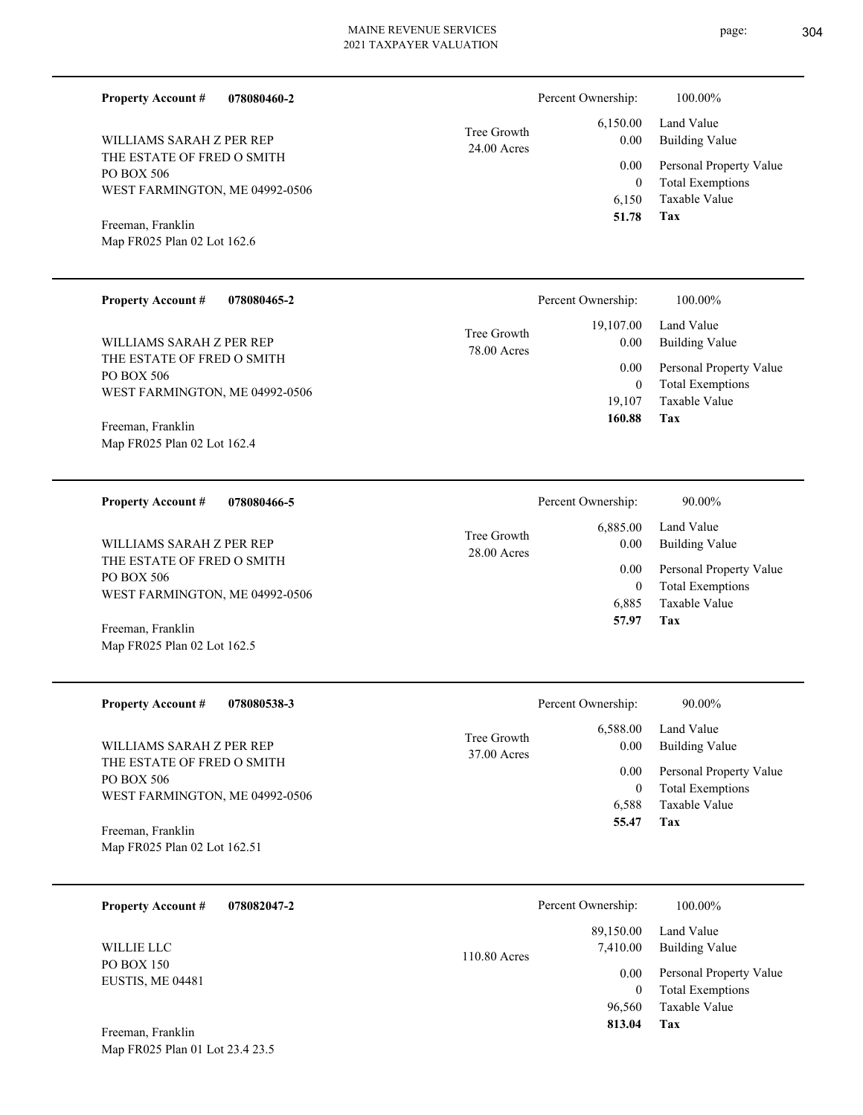24.00 Acres Tree Growth

**078080460-2**

THE ESTATE OF FRED O SMITH PO BOX 506 WEST FARMINGTON, ME 04992-0506 WILLIAMS SARAH Z PER REP

Map FR025 Plan 02 Lot 162.6 Freeman, Franklin

**Property Account #**

| <b>Property Account #</b><br>078080465-2                                   |                            | Percent Ownership: | 100.00%                                            |
|----------------------------------------------------------------------------|----------------------------|--------------------|----------------------------------------------------|
| WILLIAMS SARAH Z PER REP                                                   | Tree Growth<br>78.00 Acres | 19,107.00<br>0.00  | Land Value<br>Building Value                       |
| THE ESTATE OF FRED O SMITH<br>PO BOX 506<br>WEST FARMINGTON, ME 04992-0506 |                            | 0.00               | Personal Property Value<br><b>Total Exemptions</b> |
| Ereeman Franklin                                                           |                            | 19.107<br>160.88   | Taxable Value<br>Tax                               |

Map FR025 Plan 02 Lot 162.4 Freeman, Franklin

Map FR025 Plan 02 Lot 162.5

| <b>Property Account #</b><br>078080466-5               |                              | Percent Ownership: | 90.00%                       |
|--------------------------------------------------------|------------------------------|--------------------|------------------------------|
| WILLIAMS SARAH Z PER REP<br>THE ESTATE OF FRED O SMITH | Tree Growth<br>$28.00$ Acres | 6,885.00<br>0.00   | Land Value<br>Building Value |
| PO BOX 506                                             |                              | 0.00               | Personal Property Value      |
| WEST FARMINGTON, ME 04992-0506                         |                              | 0                  | <b>Total Exemptions</b>      |
|                                                        |                              | 6.885              | Taxable Value                |
| Freeman, Franklin                                      |                              | 57.97              | Tax                          |

| <b>Property Account #</b><br>078080538-3               | Percent Ownership:           |                          | 90.00%                                                  |
|--------------------------------------------------------|------------------------------|--------------------------|---------------------------------------------------------|
| WILLIAMS SARAH Z PER REP<br>THE ESTATE OF FRED O SMITH | Tree Growth<br>$37.00$ Acres | 6,588.00<br>0.00<br>0.00 | Land Value<br>Building Value<br>Personal Property Value |
| PO BOX 506<br>WEST FARMINGTON, ME 04992-0506           |                              | 6.588                    | <b>Total Exemptions</b><br>Taxable Value                |
| Freeman, Franklin                                      |                              | 55.47                    | Tax                                                     |
| Map FR025 Plan 02 Lot 162.51                           |                              |                          |                                                         |

| <b>Property Account #</b>      | 078082047-2 |              | Percent Ownership:    | 100.00%                                            |
|--------------------------------|-------------|--------------|-----------------------|----------------------------------------------------|
| WILLIE LLC                     |             | 110.80 Acres | 89,150.00<br>7,410.00 | Land Value<br><b>Building Value</b>                |
| PO BOX 150<br>EUSTIS, ME 04481 |             |              | 0.00<br>0             | Personal Property Value<br><b>Total Exemptions</b> |
| Freeman, Franklin              |             |              | 96,560<br>813.04      | Taxable Value<br>Tax                               |

Map FR025 Plan 01 Lot 23.4 23.5

**Tax**

 6,150 0

 6,150.00 0.00 0.00

Percent Ownership:  $100.00\%$ 

 **51.78**

Taxable Value Total Exemptions Personal Property Value

Building Value Land Value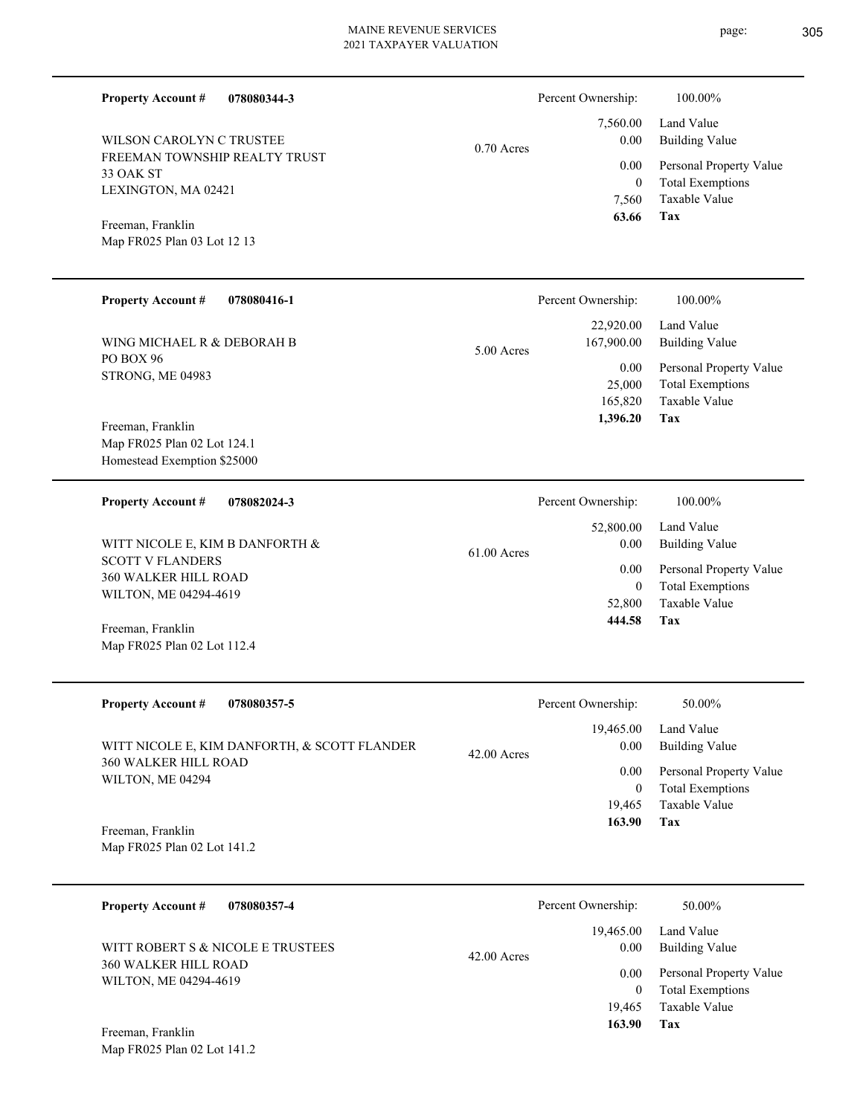| <b>Property Account #</b><br>WILSON CAROLYN C TRUSTEE<br>FREEMAN TOWNSHIP REALTY TRUST<br>33 OAK ST<br>LEXINGTON, MA 02421<br>Freeman, Franklin<br>Map FR025 Plan 03 Lot 12 13               | 078080344-3                                                 | $0.70$ Acres  | Percent Ownership:<br>7,560.00<br>0.00<br>0.00<br>$\overline{0}$<br>7,560<br>63.66            | 100.00%<br>Land Value<br><b>Building Value</b><br>Personal Property Value<br><b>Total Exemptions</b><br>Taxable Value<br>Tax        |
|----------------------------------------------------------------------------------------------------------------------------------------------------------------------------------------------|-------------------------------------------------------------|---------------|-----------------------------------------------------------------------------------------------|-------------------------------------------------------------------------------------------------------------------------------------|
| <b>Property Account #</b><br>WING MICHAEL R & DEBORAH B<br>PO BOX 96<br>STRONG, ME 04983<br>Freeman, Franklin<br>Map FR025 Plan 02 Lot 124.1<br>Homestead Exemption \$25000                  | 078080416-1                                                 | $5.00$ Acres  | Percent Ownership:<br>22,920.00<br>167,900.00<br>0.00<br>25,000<br>165,820<br>1,396.20        | 100.00%<br>Land Value<br><b>Building Value</b><br>Personal Property Value<br><b>Total Exemptions</b><br><b>Taxable Value</b><br>Tax |
| <b>Property Account #</b><br>WITT NICOLE E, KIM B DANFORTH &<br><b>SCOTT V FLANDERS</b><br>360 WALKER HILL ROAD<br>WILTON, ME 04294-4619<br>Freeman, Franklin<br>Map FR025 Plan 02 Lot 112.4 | 078082024-3                                                 | 61.00 Acres   | Percent Ownership:<br>52,800.00<br>0.00<br>0.00<br>$\overline{0}$<br>52,800<br>444.58         | 100.00%<br>Land Value<br><b>Building Value</b><br>Personal Property Value<br><b>Total Exemptions</b><br><b>Taxable Value</b><br>Tax |
| <b>Property Account #</b><br>360 WALKER HILL ROAD<br>WILTON, ME 04294<br>Freeman, Franklin<br>Map FR025 Plan 02 Lot 141.2                                                                    | 078080357-5<br>WITT NICOLE E, KIM DANFORTH, & SCOTT FLANDER | $42.00$ Acres | Percent Ownership:<br>19,465.00<br>0.00<br>$0.00\,$<br>$\mathbf{0}$<br>19,465<br>163.90       | 50.00%<br>Land Value<br><b>Building Value</b><br>Personal Property Value<br><b>Total Exemptions</b><br>Taxable Value<br>Tax         |
| <b>Property Account #</b><br>360 WALKER HILL ROAD<br>WILTON, ME 04294-4619<br>Ereeman Eranklin                                                                                               | 078080357-4<br>WITT ROBERT S & NICOLE E TRUSTEES            | 42.00 Acres   | Percent Ownership:<br>19,465.00<br>$0.00\,$<br>$0.00\,$<br>$\overline{0}$<br>19,465<br>163.90 | 50.00%<br>Land Value<br><b>Building Value</b><br>Personal Property Value<br><b>Total Exemptions</b><br>Taxable Value<br>Tax         |

Map FR025 Plan 02 Lot 141.2 Freeman, Franklin

page: 305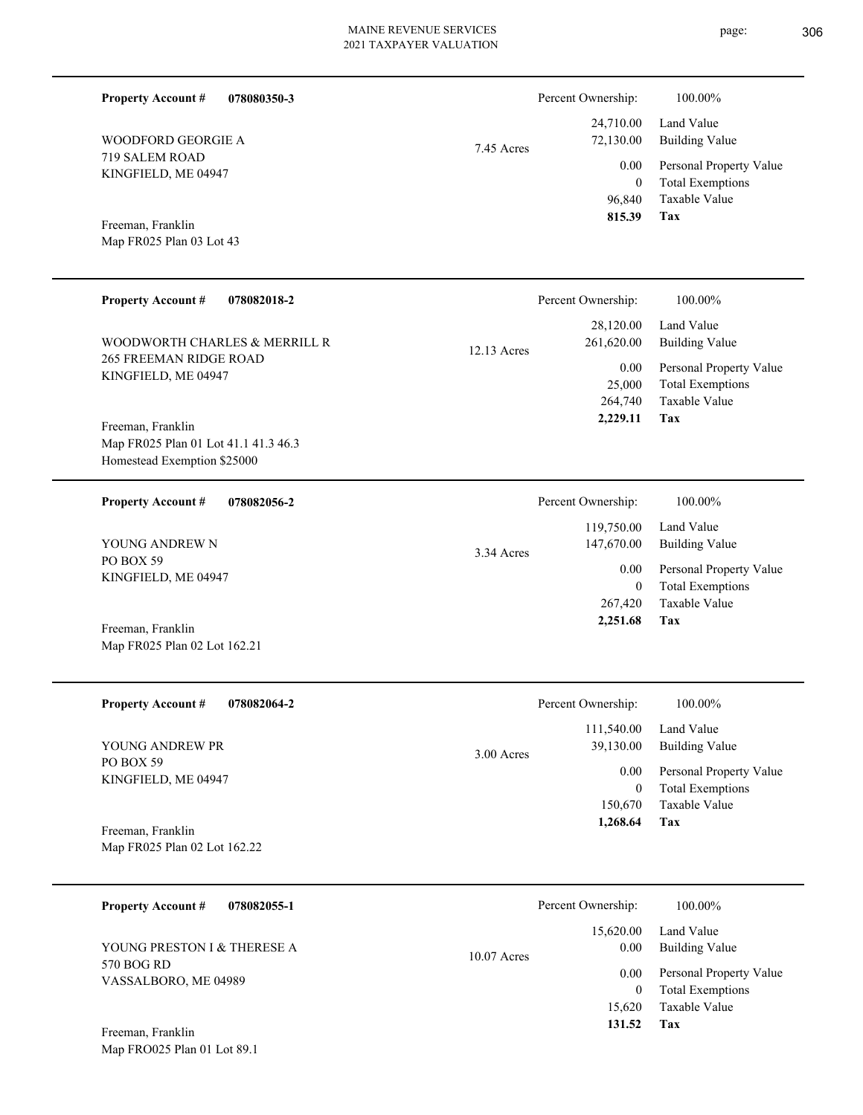**078080350-3 Tax** Taxable Value Total Exemptions Personal Property Value Building Value Land Value 719 SALEM ROAD KINGFIELD, ME 04947 **Property Account #** Map FR025 Plan 03 Lot 43 Freeman, Franklin WOODFORD GEORGIE A 96,840 0  **815.39** 24,710.00 72,130.00 0.00 7.45 Acres Percent Ownership:  $100.00\%$ **078082018-2 Tax** Taxable Value Total Exemptions Personal Property Value Building Value Land Value 265 FREEMAN RIDGE ROAD KINGFIELD, ME 04947 **Property Account #** Map FR025 Plan 01 Lot 41.1 41.3 46.3 Homestead Exemption \$25000 Freeman, Franklin WOODWORTH CHARLES & MERRILL R 264,740 25,000  **2,229.11** 28,120.00 261,620.00 0.00 12.13 Acres Percent Ownership:  $100.00\%$ **078082056-2 Tax** Taxable Value Total Exemptions Personal Property Value Building Value Land Value PO BOX 59 KINGFIELD, ME 04947 **Property Account #** Map FR025 Plan 02 Lot 162.21 Freeman, Franklin YOUNG ANDREW N 267,420 0  **2,251.68** 119,750.00 147,670.00 0.00 3.34 Acres Percent Ownership:  $100.00\%$ **078082064-2 Tax** Taxable Value Total Exemptions Personal Property Value Building Value Land Value PO BOX 59 KINGFIELD, ME 04947 **Property Account #** YOUNG ANDREW PR 150,670 0  **1,268.64** 111,540.00 39,130.00 0.00 3.00 Acres Percent Ownership:  $100.00\%$ 

Map FR025 Plan 02 Lot 162.22 Freeman, Franklin

| <b>Property Account #</b><br>078082055-1  | Percent Ownership: |           | 100.00%                                            |
|-------------------------------------------|--------------------|-----------|----------------------------------------------------|
|                                           |                    | 15,620.00 | Land Value                                         |
| YOUNG PRESTON I & THERESE A<br>570 BOG RD | $10.07$ Acres      | 0.00      | Building Value                                     |
| VASSALBORO, ME 04989                      |                    | 0.00<br>0 | Personal Property Value<br><b>Total Exemptions</b> |
|                                           |                    | 15.620    | Taxable Value                                      |
| T.<br>$\mathbf{r}$ 11                     |                    | 131.52    | Tax                                                |

Map FRO025 Plan 01 Lot 89.1 Freeman, Franklin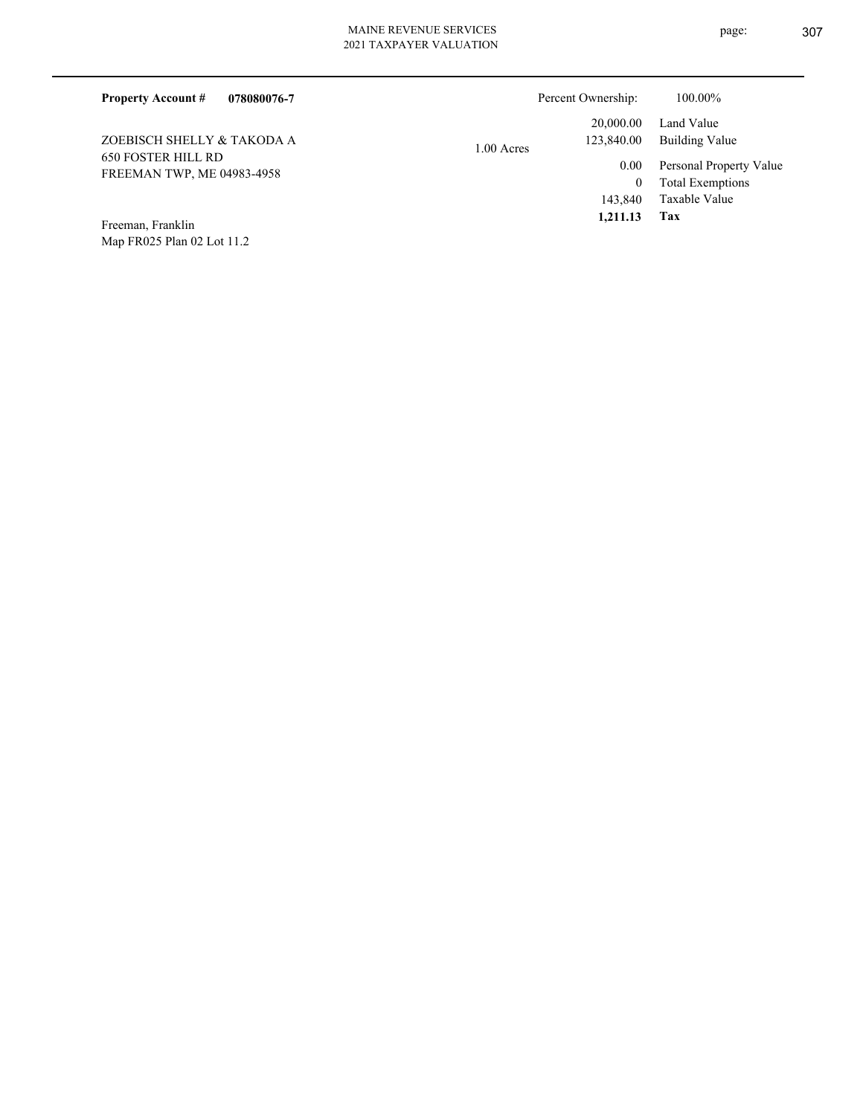| 078080076-7<br><b>Property Account #</b>                | Percent Ownership:       | 100.00%                             |
|---------------------------------------------------------|--------------------------|-------------------------------------|
|                                                         | 20,000.00                | Land Value                          |
| ZOEBISCH SHELLY & TAKODA A                              | 123,840.00<br>1.00 Acres | Building Value                      |
| <b>650 FOSTER HILL RD</b><br>FREEMAN TWP, ME 04983-4958 |                          | Personal Property Value<br>0.00     |
|                                                         |                          | <b>Total Exemptions</b><br>$^{(1)}$ |
|                                                         |                          | Taxable Value<br>143,840            |
| $\cdots$<br>$\mathbf{r}$<br>$\mathbf{r}$                |                          | 1,211.13<br>Tax                     |

Map FR025 Plan 02 Lot 11.2 Freeman, Franklin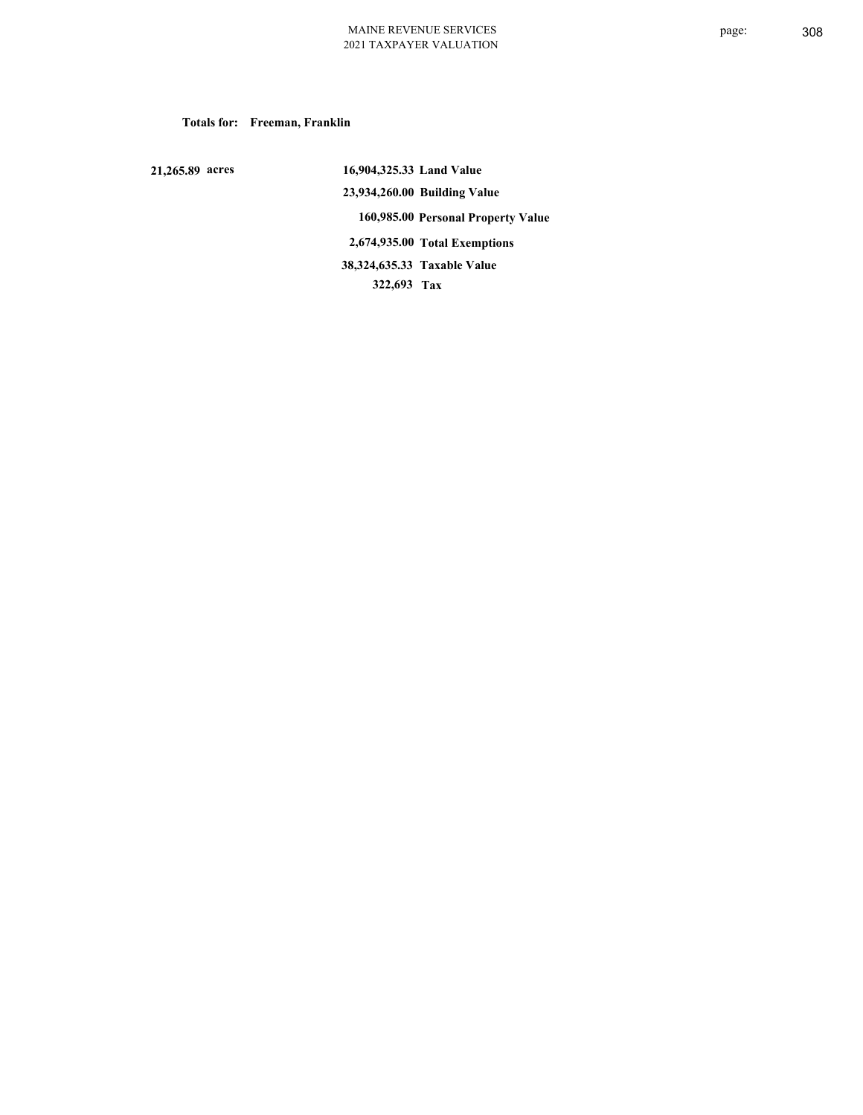### **Totals for: Freeman, Franklin**

 **21,265.89 acres**

 **16,904,325.33 Land Value 23,934,260.00 Building Value 160,985.00 Personal Property Value 2,674,935.00 Total Exemptions 322,693 Tax Taxable Value 38,324,635.33**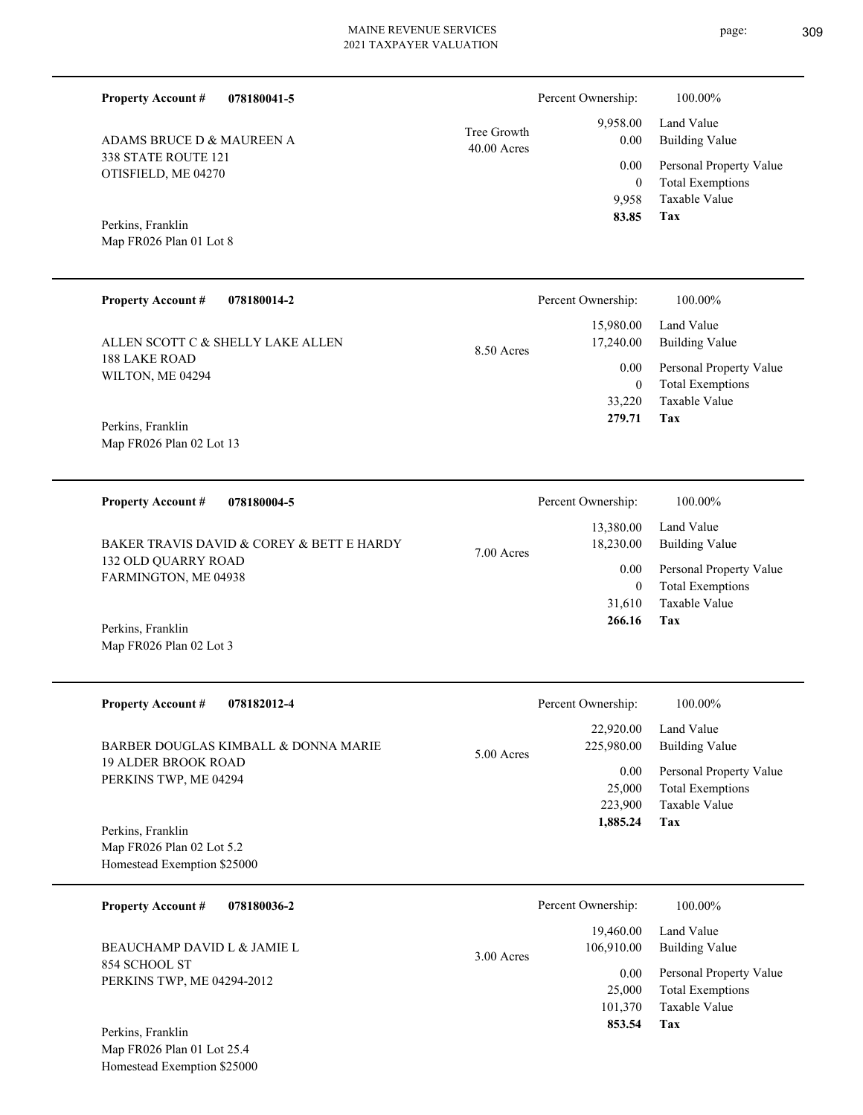|             | 2021 TAXPAYER VALUATION |                    |         |
|-------------|-------------------------|--------------------|---------|
| 078180041-5 |                         | Percent Ownership: | 100.00% |

40.00 Acres Tree Growth

| ADAMS BRUCE D & MAUREEN A |
|---------------------------|
| 338 STATE ROUTE 121       |
| OTISFIELD, ME 04270       |

# Map FR026 Plan 01 Lot 8 Perkins, Franklin

**Property Account #**

| <b>Property Account #</b><br>078180014-2 | Percent Ownership:                     | 100.00%                                            |
|------------------------------------------|----------------------------------------|----------------------------------------------------|
| ALLEN SCOTT C & SHELLY LAKE ALLEN        | 15,980.00<br>17,240.00<br>$8.50$ Acres | Land Value<br>Building Value                       |
| 188 LAKE ROAD<br>WILTON, ME 04294        | 0.00<br>0                              | Personal Property Value<br><b>Total Exemptions</b> |
| Perkins, Franklin                        | 33,220<br>279.71                       | Taxable Value<br>Tax                               |
| Map FR026 Plan 02 Lot 13                 |                                        |                                                    |

| 078180004-5<br><b>Property Account #</b>           | Percent Ownership:                   | 100.00%                                            |
|----------------------------------------------------|--------------------------------------|----------------------------------------------------|
| BAKER TRAVIS DAVID & COREY & BETT E HARDY          | 13,380.00<br>18,230.00<br>7.00 Acres | Land Value<br>Building Value                       |
| <b>132 OLD OUARRY ROAD</b><br>FARMINGTON, ME 04938 | 0.00                                 | Personal Property Value<br><b>Total Exemptions</b> |
|                                                    | 31,610                               | Taxable Value                                      |
| $n + 1$ $n + 1$                                    | 266.16                               | Tax                                                |

Map FR026 Plan 02 Lot 3 Perkins, Franklin

| <b>Property Account #</b><br>078182012-4                                                    | Percent Ownership:                              | 100.00%                                                 |
|---------------------------------------------------------------------------------------------|-------------------------------------------------|---------------------------------------------------------|
| BARBER DOUGLAS KIMBALL & DONNA MARIE<br><b>19 ALDER BROOK ROAD</b><br>PERKINS TWP, ME 04294 | 22,920.00<br>225,980.00<br>$5.00$ Acres<br>0.00 | Land Value<br>Building Value<br>Personal Property Value |
|                                                                                             | 25,000<br>223,900                               | <b>Total Exemptions</b><br>Taxable Value                |
| Perkins, Franklin<br>Map FR026 Plan 02 Lot 5.2                                              | 1,885.24                                        | Tax                                                     |
| Homestead Exemption \$25000                                                                 |                                                 |                                                         |

| 078180036-2<br><b>Property Account #</b>     | Percent Ownership:                      | 100.00%                                                             |
|----------------------------------------------|-----------------------------------------|---------------------------------------------------------------------|
| BEAUCHAMP DAVID L & JAMIE L<br>854 SCHOOL ST | 19,460.00<br>106,910.00<br>$3.00$ Acres | Land Value<br><b>Building Value</b>                                 |
| PERKINS TWP, ME 04294-2012                   | 0.00<br>25,000<br>101,370               | Personal Property Value<br><b>Total Exemptions</b><br>Taxable Value |
| Perkins, Franklin                            | 853.54                                  | Tax                                                                 |

Map FR026 Plan 01 Lot 25.4 Homestead Exemption \$25000 **Tax**

 9,958 0

 9,958.00 0.00 0.00

 **83.85**

Taxable Value Total Exemptions Personal Property Value

Building Value Land Value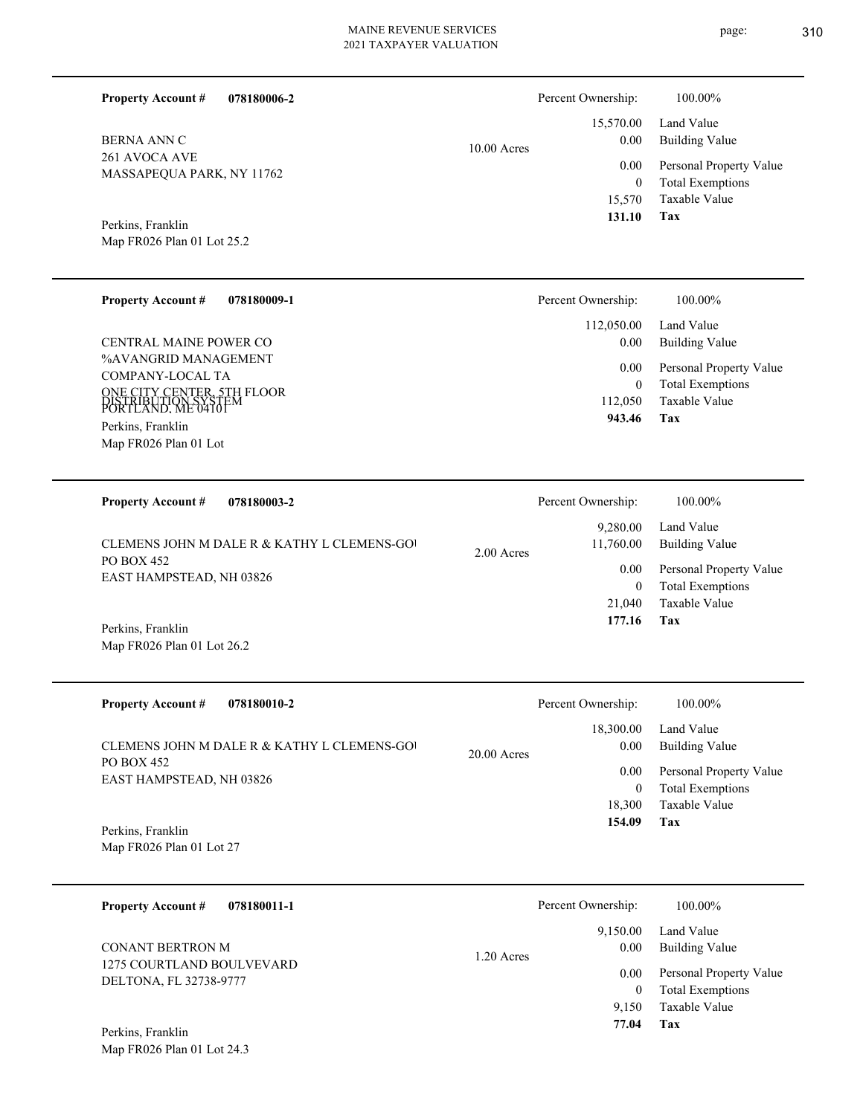**078180006-2**

**Property Account #**

Percent Ownership:  $100.00\%$ 

| <b>BERNA ANN C</b><br>261 AVOCA AVE<br>MASSAPEQUA PARK, NY 11762<br>Perkins, Franklin<br>Map FR026 Plan 01 Lot 25.2                        | 10.00 Acres   | 15,570.00<br>0.00<br>0.00<br>$\boldsymbol{0}$<br>15,570<br>131.10 | Land Value<br><b>Building Value</b><br>Personal Property Value<br><b>Total Exemptions</b><br><b>Taxable Value</b><br>Tax |
|--------------------------------------------------------------------------------------------------------------------------------------------|---------------|-------------------------------------------------------------------|--------------------------------------------------------------------------------------------------------------------------|
| <b>Property Account #</b><br>078180009-1                                                                                                   |               | Percent Ownership:                                                | 100.00%                                                                                                                  |
| CENTRAL MAINE POWER CO                                                                                                                     |               | 112,050.00<br>0.00                                                | Land Value<br><b>Building Value</b>                                                                                      |
| %AVANGRID MANAGEMENT<br>COMPANY-LOCAL TA<br>ONE CITY CENTER, 5TH FLOOR<br>PORTLAND. ME 04101<br>Perkins, Franklin<br>Map FR026 Plan 01 Lot |               | 0.00<br>$\boldsymbol{0}$<br>112,050<br>943.46                     | Personal Property Value<br><b>Total Exemptions</b><br>Taxable Value<br>Tax                                               |
| <b>Property Account #</b><br>078180003-2                                                                                                   |               | Percent Ownership:                                                | 100.00%                                                                                                                  |
| CLEMENS JOHN M DALE R & KATHY L CLEMENS-GOI                                                                                                |               | 9,280.00<br>11,760.00                                             | Land Value<br><b>Building Value</b>                                                                                      |
| <b>PO BOX 452</b><br>EAST HAMPSTEAD, NH 03826                                                                                              | 2.00 Acres    | 0.00<br>$\boldsymbol{0}$<br>21,040<br>177.16                      | Personal Property Value<br><b>Total Exemptions</b><br>Taxable Value<br>Tax                                               |
| Perkins, Franklin<br>Map FR026 Plan 01 Lot 26.2                                                                                            |               |                                                                   |                                                                                                                          |
| <b>Property Account #</b><br>078180010-2                                                                                                   |               | Percent Ownership:                                                | 100.00%                                                                                                                  |
| CLEMENS JOHN M DALE R & KATHY L CLEMENS-GOI                                                                                                |               | 18,300.00<br>0.00                                                 | Land Value<br><b>Building Value</b>                                                                                      |
| PO BOX 452<br>EAST HAMPSTEAD, NH 03826                                                                                                     | $20.00$ Acres | 0.00<br>$\overline{0}$<br>18,300<br>154.09                        | Personal Property Value<br><b>Total Exemptions</b><br>Taxable Value<br>Tax                                               |
| Perkins, Franklin<br>Map FR026 Plan 01 Lot 27                                                                                              |               |                                                                   |                                                                                                                          |
| <b>Property Account #</b><br>078180011-1                                                                                                   |               | Percent Ownership:                                                | 100.00%                                                                                                                  |
| <b>CONANT BERTRON M</b>                                                                                                                    |               | 9,150.00<br>0.00                                                  | Land Value<br><b>Building Value</b>                                                                                      |
| 1275 COURTLAND BOULVEVARD<br>DELTONA, FL 32738-9777                                                                                        | 1.20 Acres    | 0.00<br>$\mathbf{0}$<br>9,150<br>77.04                            | Personal Property Value<br><b>Total Exemptions</b><br>Taxable Value<br>Tax                                               |
| Perkins, Franklin<br>Map FR026 Plan 01 Lot 24.3                                                                                            |               |                                                                   |                                                                                                                          |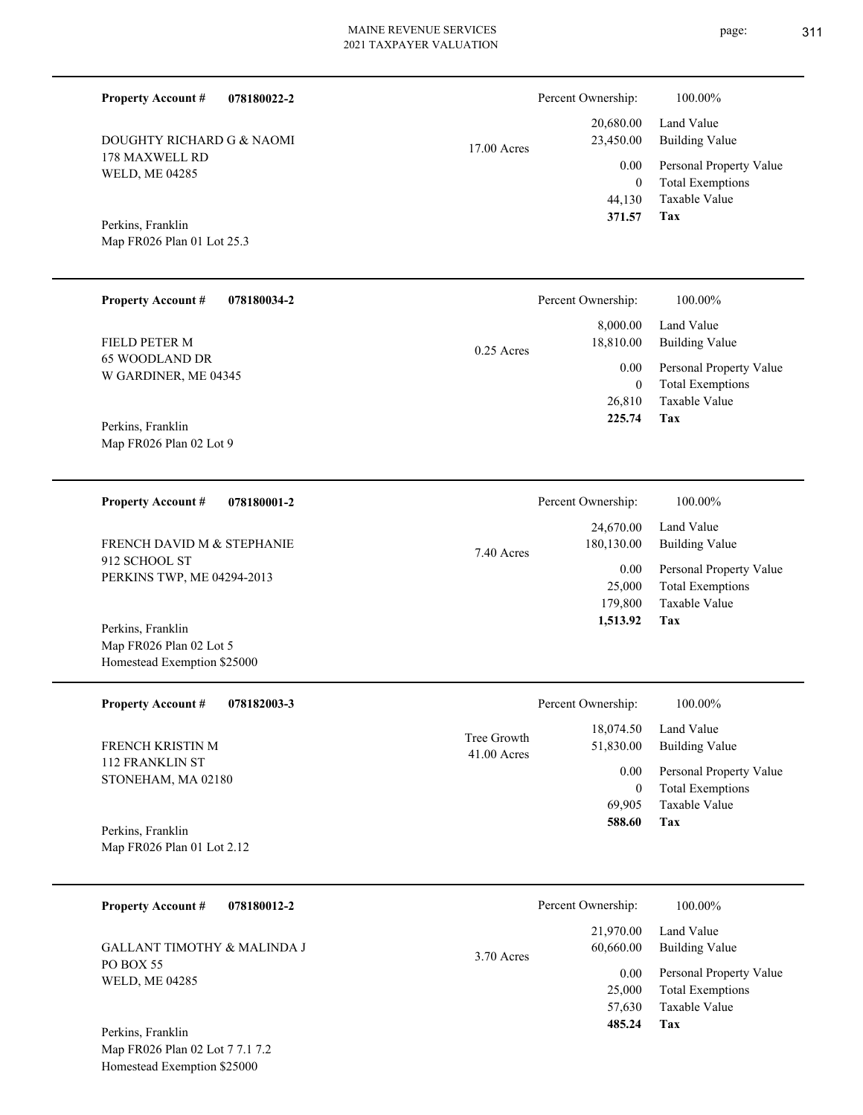17.00 Acres

 0 23,450.00 0.00

**Tax** Taxable Value Total Exemptions Personal Property Value Building Value Land Value 44,130  **371.57** 20,680.00

Percent Ownership: 100.00%

Map FR026 Plan 01 Lot 25.3 Perkins, Franklin

Map FR026 Plan 02 Lot 9

Map FR026 Plan 02 Lot 5 Homestead Exemption \$25000

DOUGHTY RICHARD G & NAOMI

178 MAXWELL RD WELD, ME 04285

**Property Account #**

**078180022-2**

| <b>Property Account #</b><br>078180034-2 | Percent Ownership:                    | 100.00%                                            |
|------------------------------------------|---------------------------------------|----------------------------------------------------|
| FIELD PETER M                            | 8,000.00<br>18.810.00<br>$0.25$ Acres | Land Value<br>Building Value                       |
| 65 WOODLAND DR<br>W GARDINER, ME 04345   | 0.00<br>$\boldsymbol{0}$              | Personal Property Value<br><b>Total Exemptions</b> |
| Perkins, Franklin                        | 26,810<br>225.74                      | Taxable Value<br>Tax                               |

**078180001-2 Tax** Taxable Value Total Exemptions Personal Property Value Building Value Land Value 912 SCHOOL ST PERKINS TWP, ME 04294-2013 **Property Account #** Perkins, Franklin FRENCH DAVID M & STEPHANIE 179,800 25,000  **1,513.92** 24,670.00 180,130.00 0.00 7.40 Acres Percent Ownership:  $100.00\%$ 

**078182003-3 Tax** Taxable Value Total Exemptions Personal Property Value Building Value Land Value 112 FRANKLIN ST STONEHAM, MA 02180 **Property Account #** Map FR026 Plan 01 Lot 2.12 Perkins, Franklin FRENCH KRISTIN M 69,905 0  **588.60** 18,074.50 51,830.00 0.00 41.00 Acres Tree Growth Percent Ownership:  $100.00\%$ 

| 078180012-2<br><b>Property Account #</b>                   | Percent Ownership:                           | 100.00%                                                        |
|------------------------------------------------------------|----------------------------------------------|----------------------------------------------------------------|
| <b>GALLANT TIMOTHY &amp; MALINDA J</b><br><b>PO BOX 55</b> | 21,970.00<br>60,660.00<br>3.70 Acres<br>0.00 | Land Value<br><b>Building Value</b><br>Personal Property Value |
| <b>WELD, ME 04285</b>                                      | 25,000<br>57,630                             | <b>Total Exemptions</b><br>Taxable Value                       |
| Perkins, Franklin                                          | 485.24                                       | Tax                                                            |

Map FR026 Plan 02 Lot 7 7.1 7.2 Homestead Exemption \$25000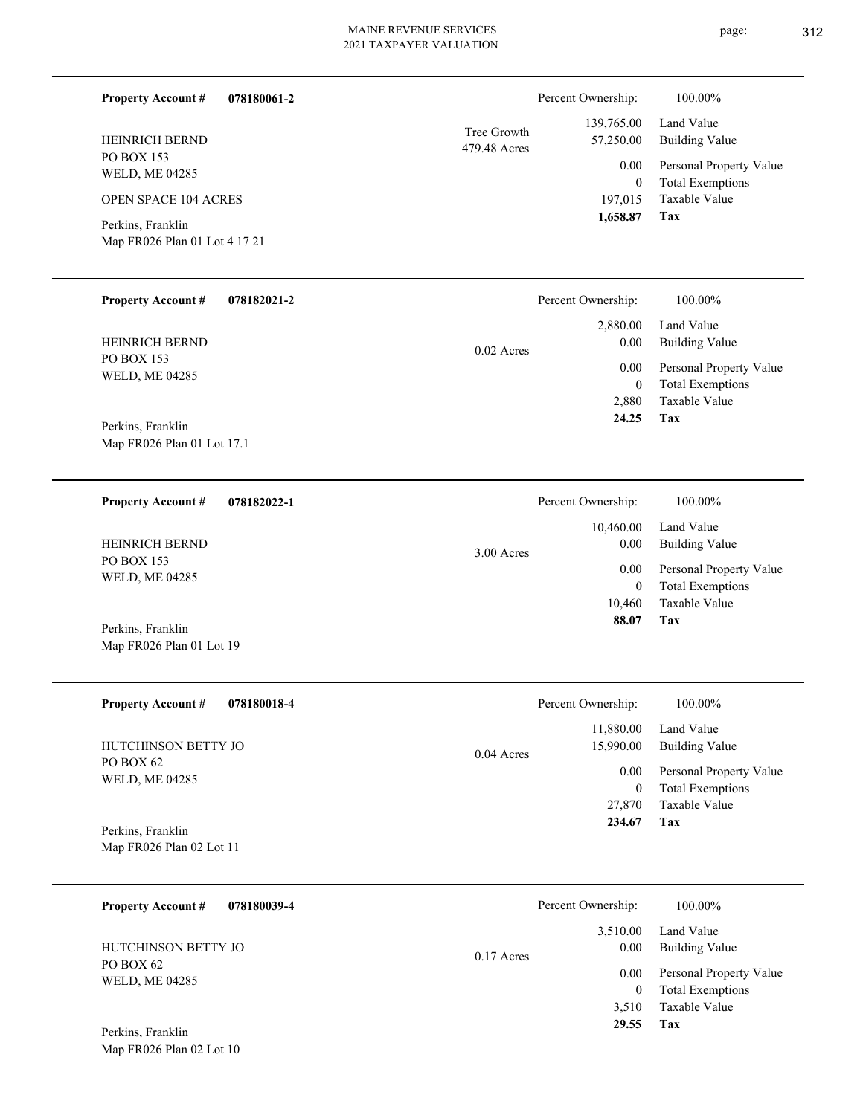| <b>HEIPINICH DEIVID</b><br><b>PO BOX 153</b><br><b>WELD, ME 04285</b><br><b>OPEN SPACE 104 ACRES</b><br>Perkins, Franklin<br>Map FR026 Plan 01 Lot 4 17 21 | 71.250.00<br>479.48 Acres<br>0.00<br>197,015<br>1,658.87 | $\mu$ Dunumg va<br>Personal Pro<br>Total Exemp<br>$\bf{0}$<br>Taxable Val<br>Tax |
|------------------------------------------------------------------------------------------------------------------------------------------------------------|----------------------------------------------------------|----------------------------------------------------------------------------------|
| <b>Property Account #</b><br>078182021-2                                                                                                                   | Percent Ownership:                                       | 100.00%                                                                          |
|                                                                                                                                                            | 2,880.00                                                 | Land Value                                                                       |
| <b>HEINRICH BERND</b>                                                                                                                                      | 0.00<br>0.02.1                                           | Building Va                                                                      |

0.02 Acres

PO BOX 153 WELD, ME 04285 HEINRICH BERND

**Property Account #**

HEINRICH BERND

Map FR026 Plan 01 Lot 17.1 Perkins, Franklin

**078182022-1 Property Account #**

**078180061-2**

PO BOX 153 WELD, ME 04285 HEINRICH BERND

Map FR026 Plan 01 Lot 19 Perkins, Franklin

Map FR026 Plan 02 Lot 10

| <b>Property Account #</b><br>078180018-4 | Percent Ownership:        | 100.00%                 |
|------------------------------------------|---------------------------|-------------------------|
|                                          | 11,880.00                 | Land Value              |
| HUTCHINSON BETTY JO<br>PO BOX 62         | 15,990.00<br>$0.04$ Acres | Building Value          |
| WELD, ME 04285                           | 0.00                      | Personal Property Value |
|                                          | $\bf{0}$                  | <b>Total Exemptions</b> |
|                                          | 27,870                    | Taxable Value           |
| Perkins, Franklin                        | 234.67                    | Tax                     |
| Map FR026 Plan 02 Lot 11                 |                           |                         |

| 078180039-4<br><b>Property Account #</b> | Percent Ownership:               | 100.00%                                                        |
|------------------------------------------|----------------------------------|----------------------------------------------------------------|
| HUTCHINSON BETTY JO                      | 3,510.00<br>0.00<br>$0.17$ Acres | Land Value<br><b>Building Value</b>                            |
| PO BOX 62<br><b>WELD, ME 04285</b>       | 0.00                             | Personal Property Value<br><b>Total Exemptions</b><br>$\theta$ |
|                                          | 3,510                            | Taxable Value                                                  |
| Perkins, Franklin                        | 29.55                            | Tax                                                            |

|                             | 1,658.87 Tax |                              |
|-----------------------------|--------------|------------------------------|
|                             |              | 197,015 Taxable Value        |
|                             | $\theta$     | Total Exemptions             |
|                             |              | 0.00 Personal Property Value |
| Tree Growth<br>479.48 Acres |              | 57,250.00 Building Value     |
|                             |              | 139,765.00 Land Value        |
|                             |              |                              |

Percent Ownership:  $100.00\%$ 

|              | Percent Ownership: | 100.00%                 |
|--------------|--------------------|-------------------------|
|              |                    | 10,460.00 Land Value    |
| $3.00$ Acres | 0.00               | Building Value          |
|              | 0.00 <sub>1</sub>  | Personal Property Value |
|              | 0                  | <b>Total Exemptions</b> |
|              | 10,460             | Taxable Value           |
|              | 88.07              | Tax                     |
|              |                    |                         |

**Tax**

 2,880  $\boldsymbol{0}$ 

0.00

 **24.25**

Taxable Value Total Exemptions Personal Property Value

Building Value Land Value

|              | Percent Ownership: | 100.00%                 |
|--------------|--------------------|-------------------------|
|              | 11,880.00          | Land Value              |
| $0.04$ Acres | 15,990.00          | <b>Building Value</b>   |
|              | 0.00               | Personal Property Value |
|              | 0                  | <b>Total Exemptions</b> |
|              | 27,870             | Taxable Value           |
|              | -----              |                         |

page: 312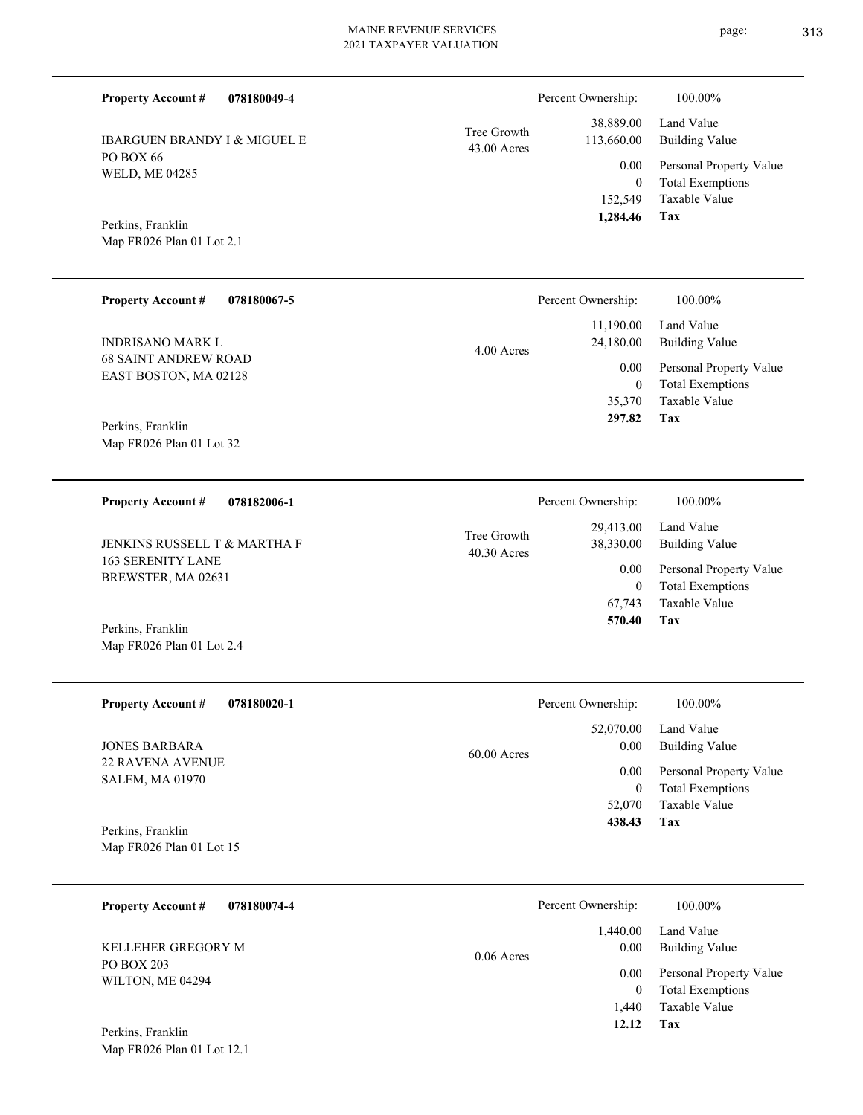| 078180049-4<br><b>Property Account #</b>                 |                            | Percent Ownership:         | 100.00%                                          |
|----------------------------------------------------------|----------------------------|----------------------------|--------------------------------------------------|
| <b>IBARGUEN BRANDY I &amp; MIGUEL E</b>                  | Tree Growth<br>43.00 Acres | 38,889.00<br>113,660.00    | Land Value<br><b>Building Value</b>              |
| PO BOX 66<br>WELD, ME 04285                              |                            | 0.00                       | Personal Property Value                          |
|                                                          |                            | $\overline{0}$<br>152,549  | <b>Total Exemptions</b><br>Taxable Value         |
| Perkins, Franklin<br>Map FR026 Plan 01 Lot 2.1           |                            | 1,284.46                   | Tax                                              |
|                                                          |                            |                            |                                                  |
| <b>Property Account #</b><br>078180067-5                 |                            | Percent Ownership:         | 100.00%                                          |
| <b>INDRISANO MARK L</b>                                  | 4.00 Acres                 | 11,190.00<br>24,180.00     | Land Value<br><b>Building Value</b>              |
| <b>68 SAINT ANDREW ROAD</b><br>EAST BOSTON, MA 02128     |                            | 0.00                       | Personal Property Value                          |
|                                                          |                            | $\overline{0}$<br>35,370   | <b>Total Exemptions</b><br>Taxable Value         |
| Perkins, Franklin                                        |                            | 297.82                     | Tax                                              |
| Map FR026 Plan 01 Lot 32                                 |                            |                            |                                                  |
| <b>Property Account #</b><br>078182006-1                 |                            | Percent Ownership:         | 100.00%                                          |
|                                                          | Tree Growth                | 29,413.00                  | Land Value                                       |
| JENKINS RUSSELL T & MARTHA F<br><b>163 SERENITY LANE</b> | 40.30 Acres                | 38,330.00<br>0.00          | <b>Building Value</b><br>Personal Property Value |
| BREWSTER, MA 02631                                       |                            | $\overline{0}$             | <b>Total Exemptions</b>                          |
|                                                          |                            | 67,743<br>570.40           | <b>Taxable Value</b><br>Tax                      |
| Perkins, Franklin<br>Map FR026 Plan 01 Lot 2.4           |                            |                            |                                                  |
|                                                          |                            |                            |                                                  |
| <b>Property Account #</b><br>078180020-1                 |                            | Percent Ownership:         | 100.00%                                          |
| <b>JONES BARBARA</b>                                     |                            | 52,070.00<br>0.00          | Land Value<br><b>Building Value</b>              |
| 22 RAVENA AVENUE                                         | $60.00$ Acres              | 0.00                       | Personal Property Value                          |
| <b>SALEM, MA 01970</b>                                   |                            | $\boldsymbol{0}$<br>52,070 | <b>Total Exemptions</b><br>Taxable Value         |
| Perkins, Franklin                                        |                            | 438.43                     | Tax                                              |
| Map FR026 Plan 01 Lot 15                                 |                            |                            |                                                  |
| <b>Property Account #</b><br>078180074-4                 |                            | Percent Ownership:         | 100.00%                                          |
| KELLEHER GREGORY M                                       |                            | 1,440.00<br>0.00           | Land Value<br><b>Building Value</b>              |
| PO BOX 203<br>WILTON, ME 04294                           | 0.06 Acres                 | 0.00                       | Personal Property Value                          |
|                                                          |                            | $\mathbf{0}$<br>1,440      | <b>Total Exemptions</b><br>Taxable Value         |

**Tax 12.12**

Map FR026 Plan 01 Lot 12.1 Perkins, Franklin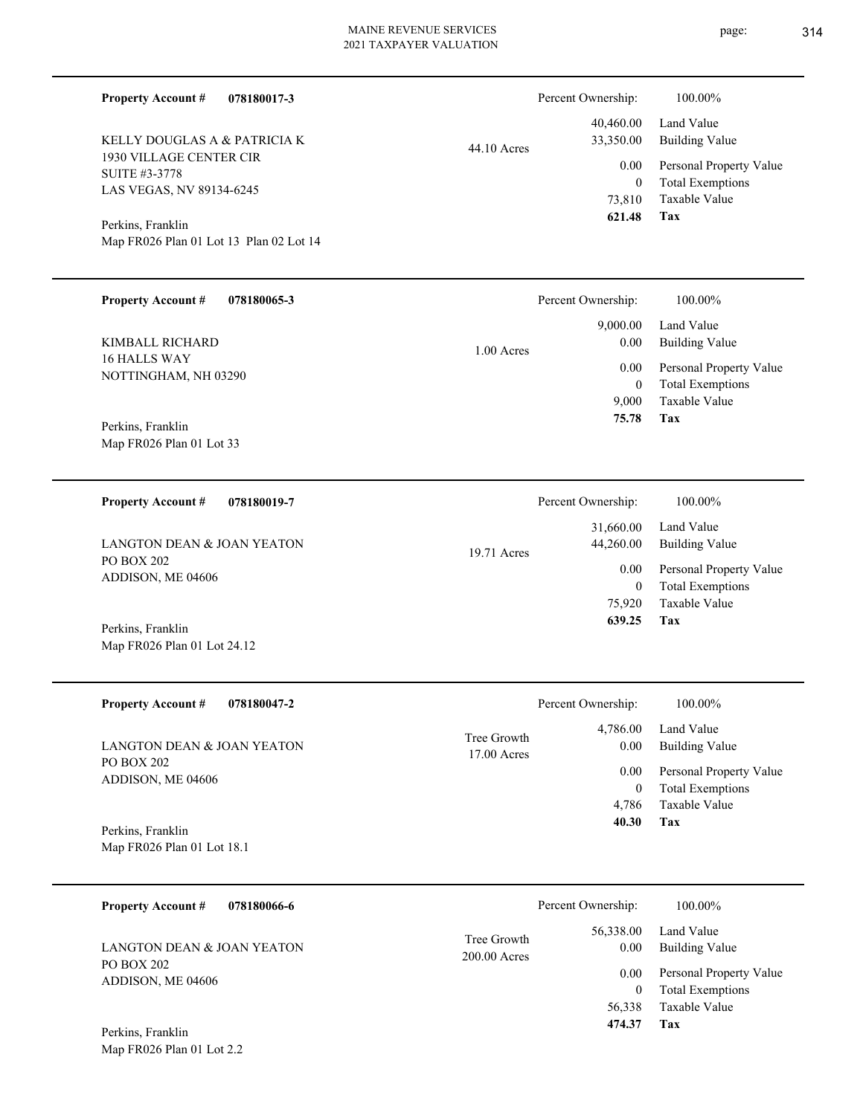| <b>MAINE REVENUE SERVICES</b><br>2021 TAXPAYER VALUATION |              | page:                                 |                         |
|----------------------------------------------------------|--------------|---------------------------------------|-------------------------|
| <b>Property Account #</b><br>078180017-3                 |              | Percent Ownership:                    | 100.00%                 |
|                                                          |              | 40,460.00                             | Land Value              |
| KELLY DOUGLAS A & PATRICIA K                             | 44.10 Acres  | 33,350.00                             | <b>Building Value</b>   |
| 1930 VILLAGE CENTER CIR<br><b>SUITE #3-3778</b>          |              | 0.00                                  | Personal Property Value |
|                                                          |              | $\mathbf{0}$                          | <b>Total Exemptions</b> |
| LAS VEGAS, NV 89134-6245                                 |              | 73,810                                | <b>Taxable Value</b>    |
| Perkins, Franklin                                        |              | 621.48                                | <b>Tax</b>              |
| Map FR026 Plan 01 Lot 13 Plan 02 Lot 14                  |              |                                       |                         |
| <b>Property Account #</b><br>078180065-3                 |              | Percent Ownership:                    | 100.00%                 |
|                                                          |              | 9,000.00                              | Land Value              |
| KIMBALL RICHARD                                          | $1.00$ Acres | 0.00                                  | <b>Building Value</b>   |
| 16 HALLS WAY                                             |              | 0.00                                  | Personal Property Value |
| NOTTINGHAM, NH 03290                                     |              | $\theta$                              | <b>Total Exemptions</b> |
|                                                          |              | 9,000                                 | <b>Taxable Value</b>    |
|                                                          |              | 75.78                                 | Tax                     |
| Perkins, Franklin                                        |              |                                       |                         |
| Map FR026 Plan 01 Lot 33                                 |              |                                       |                         |
| 070100010 7<br>Drawarte: A against $\mu$                 |              | $D_{\text{one}} \sim \text{O}$ $\sim$ | 100.000/                |

| 078180019-7<br><b>Property Account #</b> | Percent Ownership:                      | 100.00%                                            |
|------------------------------------------|-----------------------------------------|----------------------------------------------------|
| LANGTON DEAN & JOAN YEATON               | 31,660.00<br>44,260.00<br>$19.71$ Acres | Land Value<br>Building Value                       |
| PO BOX 202<br>ADDISON, ME 04606          | 0.00<br>$\mathbf{0}$                    | Personal Property Value<br><b>Total Exemptions</b> |
|                                          | 75,920                                  | Taxable Value                                      |
| Perkins, Franklin                        | 639.25                                  | Tax                                                |

| <b>Property Account #</b><br>078180047-2 | Percent Ownership:           |                   | 100.00%                                  |
|------------------------------------------|------------------------------|-------------------|------------------------------------------|
| LANGTON DEAN & JOAN YEATON               | Tree Growth<br>$17.00$ Acres | 4,786.00<br>0.00  | Land Value<br><b>Building Value</b>      |
| PO BOX 202<br>ADDISON, ME 04606          |                              | 0.00              | Personal Property Value                  |
|                                          |                              | $\theta$<br>4,786 | <b>Total Exemptions</b><br>Taxable Value |
| Perkins, Franklin                        |                              | 40.30             | Tax                                      |
| Map FR026 Plan 01 Lot 18.1               |                              |                   |                                          |

| 078180066-6<br><b>Property Account #</b> |                               | Percent Ownership:       | 100.00%                                            |
|------------------------------------------|-------------------------------|--------------------------|----------------------------------------------------|
| LANGTON DEAN & JOAN YEATON               | Tree Growth<br>$200.00$ Acres | 56,338.00<br>0.00        | Land Value<br>Building Value                       |
| PO BOX 202<br>ADDISON, ME 04606          |                               | 0.00<br>$\boldsymbol{0}$ | Personal Property Value<br><b>Total Exemptions</b> |
|                                          |                               | 56,338                   | Taxable Value                                      |
| Perkins, Franklin                        |                               | 474.37                   | Tax                                                |

Map FR026 Plan 01 Lot 2.2

Map FR026 Plan 01 Lot 24.12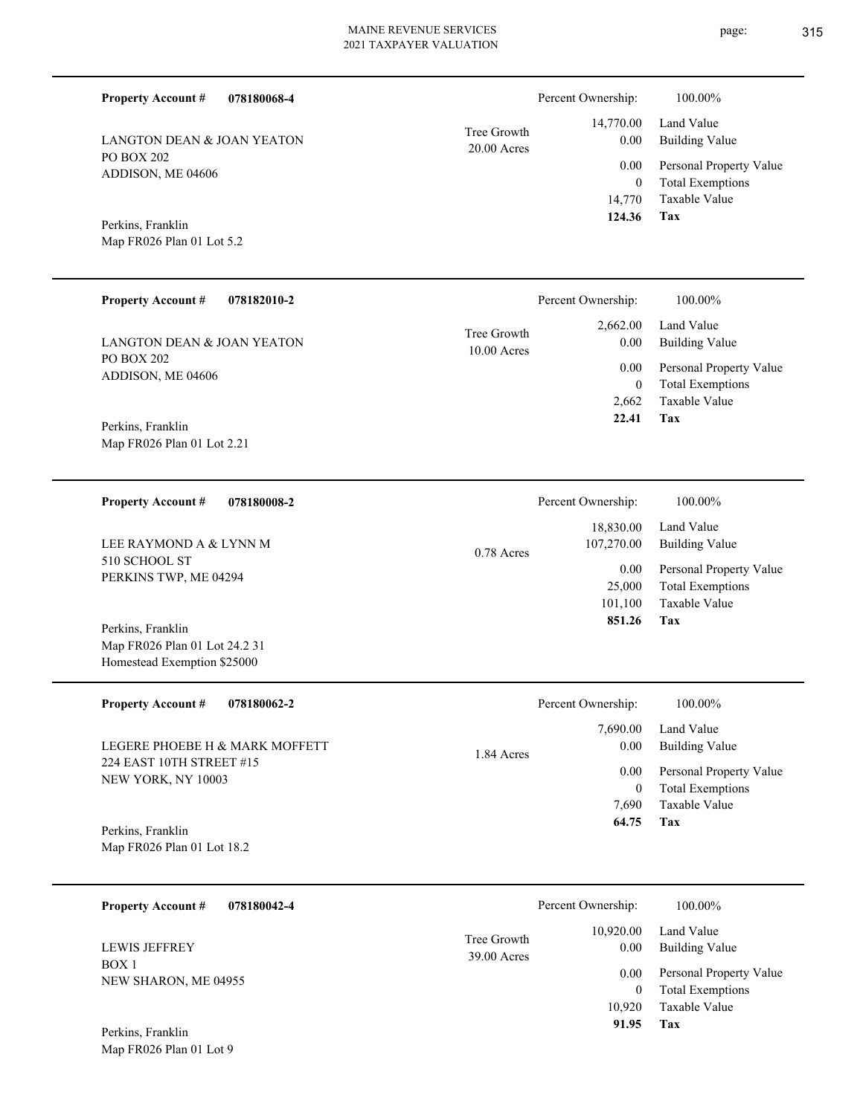| 078180068-4<br><b>Property Account #</b>                                          |                              | Percent Ownership:                     | 100.00%                                                                    |
|-----------------------------------------------------------------------------------|------------------------------|----------------------------------------|----------------------------------------------------------------------------|
| LANGTON DEAN & JOAN YEATON                                                        | Tree Growth<br>$20.00$ Acres | 14,770.00<br>0.00                      | Land Value<br><b>Building Value</b>                                        |
| <b>PO BOX 202</b><br>ADDISON, ME 04606                                            |                              | 0.00<br>$\boldsymbol{0}$<br>14,770     | Personal Property Value<br><b>Total Exemptions</b><br>Taxable Value        |
| Perkins, Franklin<br>Map FR026 Plan 01 Lot 5.2                                    |                              | 124.36                                 | Tax                                                                        |
| <b>Property Account #</b><br>078182010-2                                          |                              | Percent Ownership:                     | 100.00%                                                                    |
| <b>LANGTON DEAN &amp; JOAN YEATON</b>                                             | Tree Growth<br>$10.00$ Acres | 2,662.00<br>0.00                       | Land Value<br><b>Building Value</b>                                        |
| <b>PO BOX 202</b><br>ADDISON, ME 04606                                            |                              | 0.00<br>$\mathbf{0}$<br>2,662          | Personal Property Value<br><b>Total Exemptions</b><br>Taxable Value        |
| Perkins, Franklin<br>Map FR026 Plan 01 Lot 2.21                                   |                              | 22.41                                  | Tax                                                                        |
| <b>Property Account #</b><br>078180008-2                                          |                              | Percent Ownership:                     | 100.00%                                                                    |
| LEE RAYMOND A & LYNN M                                                            | 0.78 Acres                   | 18,830.00<br>107,270.00                | Land Value<br><b>Building Value</b>                                        |
| 510 SCHOOL ST<br>PERKINS TWP, ME 04294                                            |                              | 0.00<br>25,000<br>101,100<br>851.26    | Personal Property Value<br><b>Total Exemptions</b><br><b>Taxable Value</b> |
| Perkins, Franklin<br>Map FR026 Plan 01 Lot 24.2 31<br>Homestead Exemption \$25000 |                              |                                        | Tax                                                                        |
| <b>Property Account #</b><br>078180062-2                                          |                              | Percent Ownership:                     | 100.00%                                                                    |
| LEGERE PHOEBE H & MARK MOFFETT                                                    | 1.84 Acres                   | 7,690.00<br>0.00                       | Land Value<br><b>Building Value</b>                                        |
| 224 EAST 10TH STREET #15<br>NEW YORK, NY 10003                                    |                              | 0.00<br>$\mathbf{0}$<br>7,690<br>64.75 | Personal Property Value<br><b>Total Exemptions</b><br>Taxable Value<br>Tax |
| Perkins, Franklin<br>Map FR026 Plan 01 Lot 18.2                                   |                              |                                        |                                                                            |

| 078180042-4<br><b>Property Account #</b> | Percent Ownership:                                | 100.00%                                            |
|------------------------------------------|---------------------------------------------------|----------------------------------------------------|
| <b>LEWIS JEFFREY</b>                     | 10.920.00<br>Tree Growth<br>0.00<br>$39.00$ Acres | Land Value<br>Building Value                       |
| BOX 1<br>NEW SHARON, ME 04955            | 0.00<br>0                                         | Personal Property Value<br><b>Total Exemptions</b> |
|                                          | 10.920                                            | Taxable Value                                      |
| Perkins, Franklin                        | 91.95                                             | Tax                                                |

Map FR026 Plan 01 Lot 9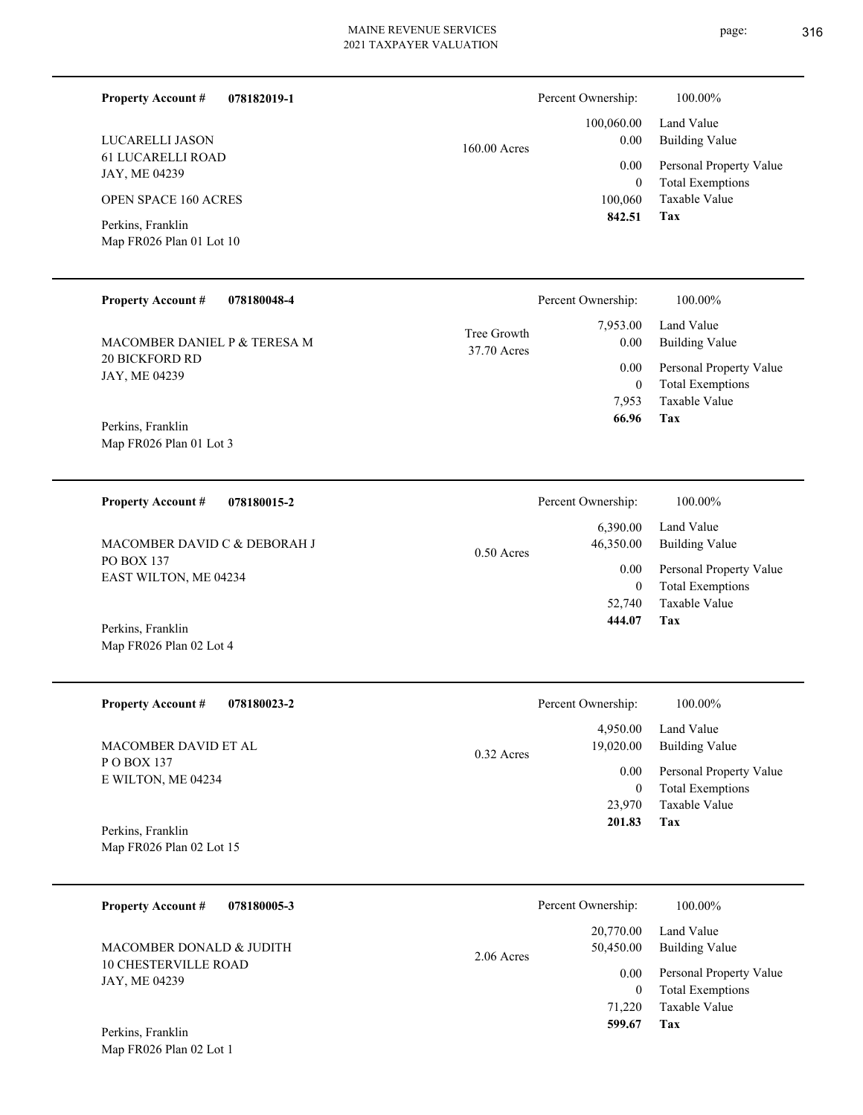page: 316

| <b>Property Account #</b>                     | 078182019-1 |                            | Percent Ownership:       | 100.00%                                            |
|-----------------------------------------------|-------------|----------------------------|--------------------------|----------------------------------------------------|
| LUCARELLI JASON                               |             | 160.00 Acres               | 100,060.00<br>0.00       | Land Value<br><b>Building Value</b>                |
| <b>61 LUCARELLI ROAD</b><br>JAY, ME 04239     |             |                            | 0.00<br>$\overline{0}$   | Personal Property Value<br><b>Total Exemptions</b> |
| <b>OPEN SPACE 160 ACRES</b>                   |             |                            | 100,060<br>842.51        | Taxable Value<br><b>Tax</b>                        |
| Perkins, Franklin<br>Map FR026 Plan 01 Lot 10 |             |                            |                          |                                                    |
| <b>Property Account #</b>                     | 078180048-4 |                            | Percent Ownership:       | 100.00%                                            |
| MACOMBER DANIEL P & TERESA M                  |             | Tree Growth<br>37.70 Acres | 7,953.00<br>0.00         | Land Value<br><b>Building Value</b>                |
| 20 BICKFORD RD<br>JAY, ME 04239               |             |                            | 0.00                     | Personal Property Value                            |
|                                               |             |                            | $\mathbf{0}$<br>7,953    | <b>Total Exemptions</b><br>Taxable Value           |
| Perkins, Franklin<br>Map FR026 Plan 01 Lot 3  |             |                            | 66.96                    | Tax                                                |
|                                               |             |                            |                          |                                                    |
| <b>Property Account #</b>                     | 078180015-2 |                            | Percent Ownership:       | 100.00%                                            |
| MACOMBER DAVID C & DEBORAH J                  |             | $0.50$ Acres               | 6,390.00<br>46,350.00    | Land Value<br><b>Building Value</b>                |
| PO BOX 137<br>EAST WILTON, ME 04234           |             |                            | 0.00                     | Personal Property Value                            |
|                                               |             |                            | $\overline{0}$<br>52,740 | <b>Total Exemptions</b><br>Taxable Value           |
| Perkins, Franklin                             |             |                            | 444.07                   | Tax                                                |
| Map FR026 Plan 02 Lot 4                       |             |                            |                          |                                                    |
| <b>Property Account #</b>                     | 078180023-2 |                            | Percent Ownership:       | 100.00%                                            |
| MACOMBER DAVID ET AL                          |             | $0.32$ Acres               | 4,950.00<br>19,020.00    | Land Value<br><b>Building Value</b>                |
| POBOX 137<br>E WILTON, ME 04234               |             |                            | $0.00\,$                 | Personal Property Value                            |
|                                               |             |                            | $\overline{0}$<br>23,970 | <b>Total Exemptions</b><br>Taxable Value           |
| Perkins, Franklin                             |             |                            | 201.83                   | Tax                                                |
| Map FR026 Plan 02 Lot 15                      |             |                            |                          |                                                    |
| <b>Property Account #</b>                     | 078180005-3 |                            | Percent Ownership:       | 100.00%                                            |
| MACOMBER DONALD & JUDITH                      |             | 2.06 Acres                 | 20,770.00<br>50,450.00   | Land Value<br><b>Building Value</b>                |
| 10 CHESTERVILLE ROAD<br>JAY, ME 04239         |             |                            | $0.00\,$                 | Personal Property Value                            |
|                                               |             |                            | $\overline{0}$<br>71,220 | <b>Total Exemptions</b><br>Taxable Value           |
| Perkins, Franklin                             |             |                            | 599.67                   | Tax                                                |
| Map FR026 Plan 02 Lot 1                       |             |                            |                          |                                                    |
|                                               |             |                            |                          |                                                    |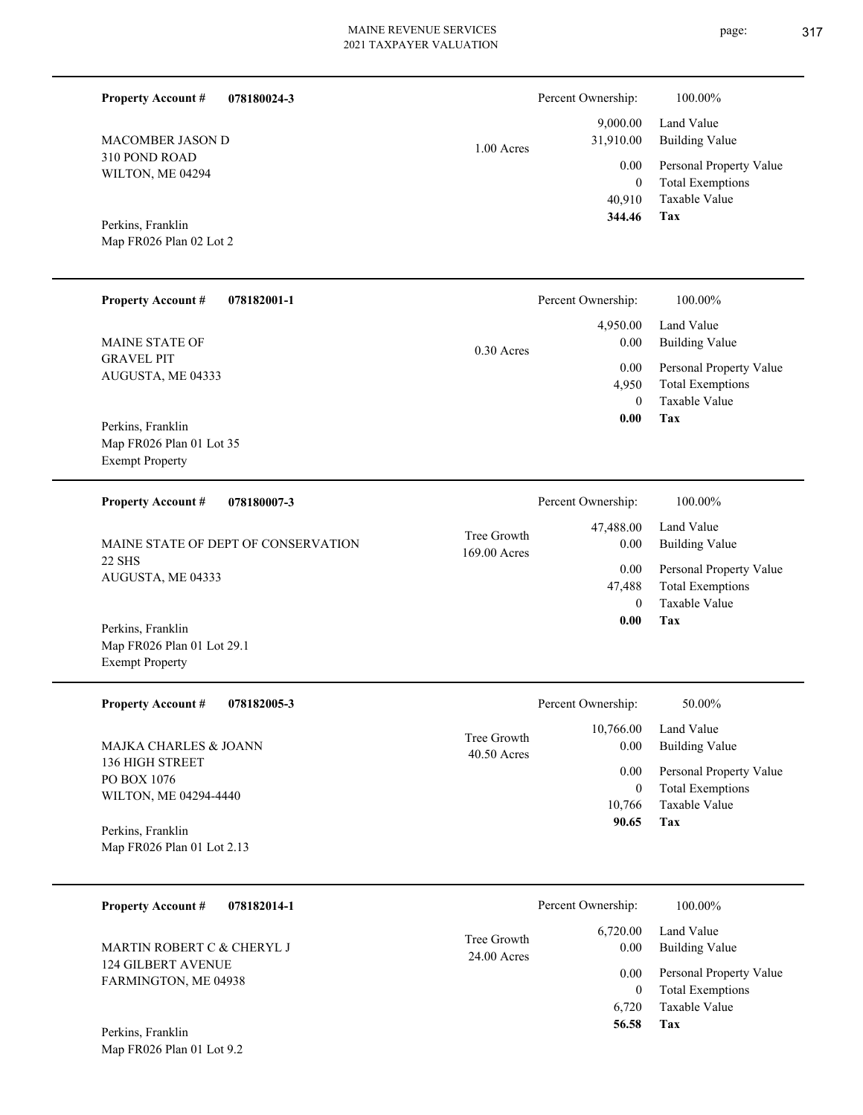1.00 Acres

310 POND ROAD WILTON, ME 04294 MACOMBER JASON D

**Property Account #**

**078180024-3**

Map FR026 Plan 02 Lot 2 Perkins, Franklin

| <b>Property Account #</b><br>078182001-1 | Percent Ownership:   | 100.00%                 |
|------------------------------------------|----------------------|-------------------------|
|                                          | 4,950.00             | Land Value              |
| <b>MAINE STATE OF</b>                    | 0.00<br>$0.30$ Acres | Building Value          |
| <b>GRAVEL PIT</b>                        | 0.00                 | Personal Property Value |
| AUGUSTA, ME 04333                        | 4,950                | <b>Total Exemptions</b> |
|                                          | 0                    | Taxable Value           |
| Perkins, Franklin                        | 0.00                 | Tax                     |
| Map FR026 Plan 01 Lot 35                 |                      |                         |
| <b>Exempt Property</b>                   |                      |                         |

| <b>Property Account #</b><br>078180007-3 | Percent Ownership:                               | 100.00%                             |
|------------------------------------------|--------------------------------------------------|-------------------------------------|
| MAINE STATE OF DEPT OF CONSERVATION      | 47,488.00<br>Tree Growth<br>0.00<br>169.00 Acres | Land Value<br><b>Building Value</b> |
| 22 SHS<br>AUGUSTA, ME 04333              | 0.00                                             | Personal Property Value             |
|                                          | 47,488                                           | <b>Total Exemptions</b>             |
|                                          | $\Omega$                                         | Taxable Value                       |
| Perkins Franklin                         | 0.00                                             | Tax                                 |

Map FR026 Plan 01 Lot 29.1 Exempt Property Perkins, Franklin

| <b>Property Account #</b><br>078182005-3        | Percent Ownership:                                | 50.00%                                             |
|-------------------------------------------------|---------------------------------------------------|----------------------------------------------------|
| MAJKA CHARLES & JOANN<br>136 HIGH STREET        | 10,766.00<br>Tree Growth<br>0.00<br>$40.50$ Acres | Land Value<br><b>Building Value</b>                |
| PO BOX 1076                                     | 0.00<br>0                                         | Personal Property Value<br><b>Total Exemptions</b> |
| WILTON, ME 04294-4440                           | 10.766                                            | Taxable Value                                      |
| Perkins, Franklin<br>Map FR026 Plan 01 Lot 2.13 | 90.65                                             | Tax                                                |

| 078182014-1<br><b>Property Account #</b>                |                              | Percent Ownership: | 100.00%                                            |
|---------------------------------------------------------|------------------------------|--------------------|----------------------------------------------------|
| MARTIN ROBERT C & CHERYL J<br><b>124 GILBERT AVENUE</b> | Tree Growth<br>$24.00$ Acres | 6,720.00<br>0.00   | Land Value<br>Building Value                       |
| FARMINGTON, ME 04938                                    |                              | 0.00               | Personal Property Value<br><b>Total Exemptions</b> |
|                                                         |                              | 6.720              | Taxable Value                                      |
| Perkins, Franklin                                       |                              | 56.58              | Tax                                                |

Map FR026 Plan 01 Lot 9.2

**Tax**

 40,910 0

0.00

 9,000.00 31,910.00

Percent Ownership:  $100.00\%$ 

 **344.46**

Taxable Value Total Exemptions Personal Property Value

Building Value Land Value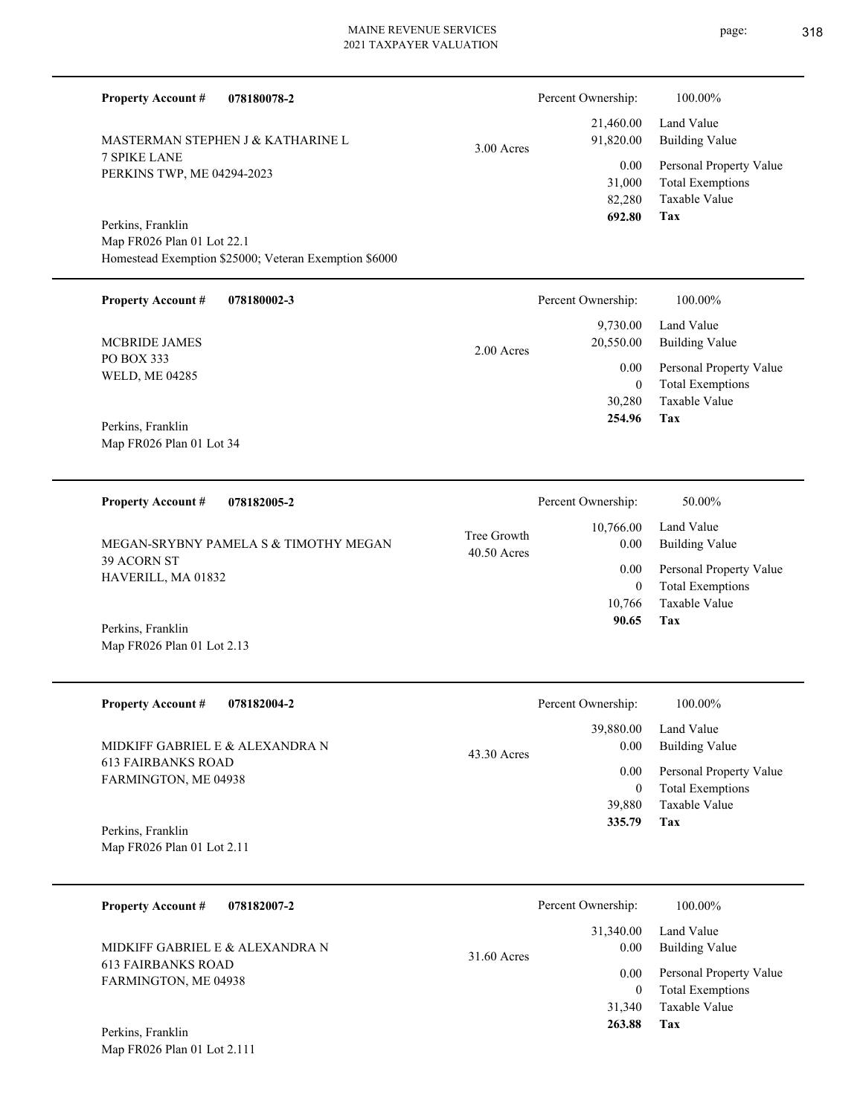| <b>Property Account #</b><br>078180078-2                                                                 |                              | Percent Ownership:                 | 100.00%                                                                    |
|----------------------------------------------------------------------------------------------------------|------------------------------|------------------------------------|----------------------------------------------------------------------------|
| MASTERMAN STEPHEN J & KATHARINE L                                                                        | 3.00 Acres                   | 21,460.00<br>91,820.00             | Land Value<br><b>Building Value</b>                                        |
| <b>7 SPIKE LANE</b><br>PERKINS TWP, ME 04294-2023                                                        |                              | 0.00<br>31,000<br>82,280<br>692.80 | Personal Property Value<br><b>Total Exemptions</b><br>Taxable Value<br>Tax |
| Perkins, Franklin<br>Map FR026 Plan 01 Lot 22.1<br>Homestead Exemption \$25000; Veteran Exemption \$6000 |                              |                                    |                                                                            |
| <b>Property Account #</b><br>078180002-3                                                                 |                              | Percent Ownership:                 | 100.00%                                                                    |
| <b>MCBRIDE JAMES</b>                                                                                     |                              | 9,730.00<br>20,550.00              | Land Value<br><b>Building Value</b>                                        |
| PO BOX 333<br>WELD, ME 04285                                                                             | 2.00 Acres                   | 0.00<br>$\boldsymbol{0}$           | Personal Property Value<br><b>Total Exemptions</b>                         |
| Perkins, Franklin<br>Map FR026 Plan 01 Lot 34                                                            |                              | 30,280<br>254.96                   | Taxable Value<br>Tax                                                       |
|                                                                                                          |                              |                                    |                                                                            |
| <b>Property Account #</b><br>078182005-2                                                                 |                              | Percent Ownership:                 | 50.00%                                                                     |
| MEGAN-SRYBNY PAMELA S & TIMOTHY MEGAN                                                                    | Tree Growth<br>$40.50$ Acres | 10,766.00<br>0.00                  | Land Value<br><b>Building Value</b>                                        |
| 39 ACORN ST<br>HAVERILL, MA 01832                                                                        |                              | 0.00<br>$\mathbf{0}$<br>10,766     | Personal Property Value<br><b>Total Exemptions</b><br>Taxable Value        |
| Perkins, Franklin<br>Map FR026 Plan 01 Lot 2.13                                                          |                              | 90.65                              | Tax                                                                        |
| <b>Property Account#</b><br>078182004-2                                                                  |                              | Percent Ownership:                 | 100.00%                                                                    |
| MIDKIFF GABRIEL E & ALEXANDRA N                                                                          | 43.30 Acres                  | 39,880.00<br>0.00                  | Land Value<br><b>Building Value</b>                                        |
| <b>613 FAIRBANKS ROAD</b><br>FARMINGTON, ME 04938                                                        |                              | 0.00<br>$\mathbf{0}$<br>39,880     | Personal Property Value<br><b>Total Exemptions</b><br>Taxable Value        |
| Perkins, Franklin<br>Map FR026 Plan 01 Lot 2.11                                                          |                              | 335.79                             | Tax                                                                        |
| <b>Property Account #</b><br>078182007-2                                                                 |                              | Percent Ownership:                 | 100.00%                                                                    |
| MIDKIFF GABRIEL E & ALEXANDRA N                                                                          | 31.60 Acres                  | 31,340.00<br>0.00                  | Land Value<br><b>Building Value</b>                                        |
| <b>613 FAIRBANKS ROAD</b><br>FARMINGTON, ME 04938                                                        |                              | 0.00                               | Personal Property Value<br>$-1$ $\Gamma$ .                                 |

**Tax**

 31,340  **263.88**

Taxable Value 0 Total Exemptions

Map FR026 Plan 01 Lot 2.111 Perkins, Franklin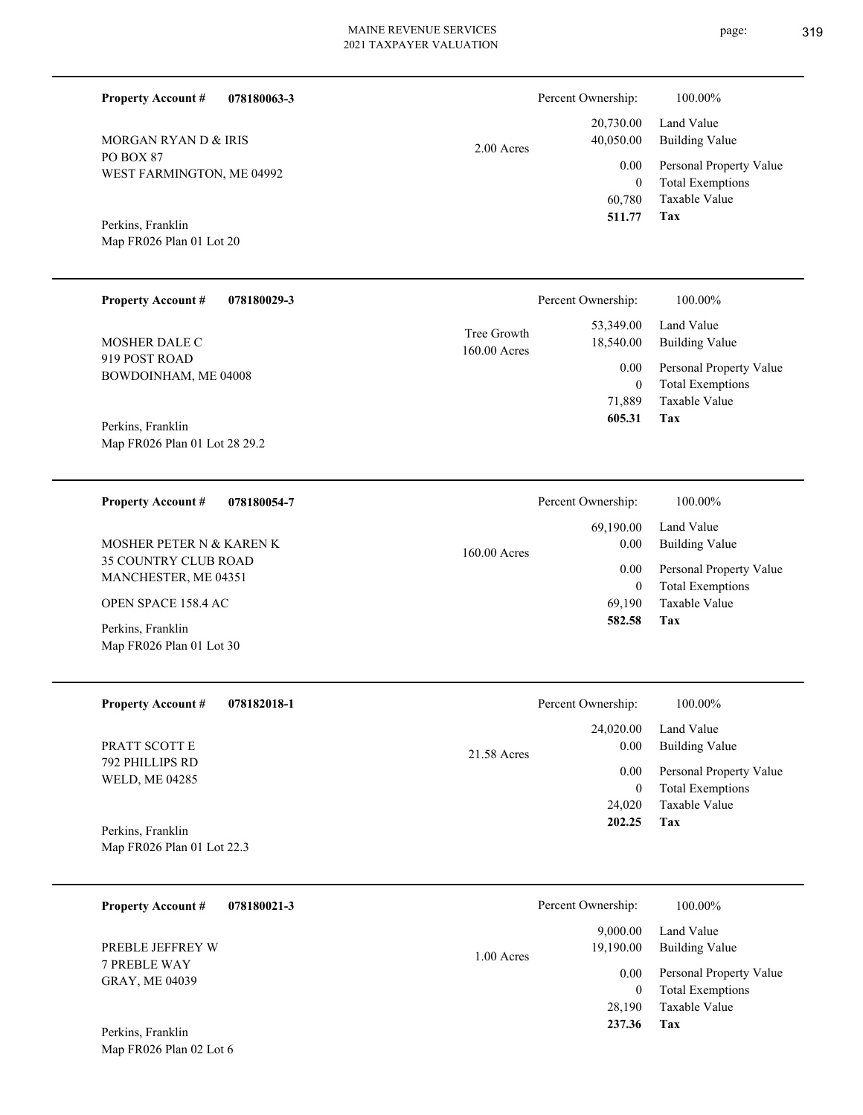|            | Percent Ownership: | 100.00%                                        |
|------------|--------------------|------------------------------------------------|
|            |                    | 20,730.00 Land Value<br>40,050.00 Building Val |
| 2.00 Acres |                    | $0.00$ Personal Pro                            |

WEST FARMINGTON, ME 04992 Map FR026 Plan 01 Lot 20 Perkins, Franklin

PO BOX 87

**Property Account #**

MORGAN RYAN D & IRIS

Map FR026 Plan 02 Lot 6

**078180063-3**

**Tax** Taxable Value Total Exemptions Personal Property Value 60,780 0  **511.77** 0.00

Building Value Land Value

| <b>Property Account #</b><br>078180029-3           |                               | Percent Ownership:     | 100.00%                                            |
|----------------------------------------------------|-------------------------------|------------------------|----------------------------------------------------|
| <b>MOSHER DALE C</b>                               | Tree Growth<br>$160.00$ Acres | 53,349.00<br>18,540.00 | Land Value<br>Building Value                       |
| 919 POST ROAD<br>BOWDOINHAM, ME 04008              |                               | $0.00\,$<br>$\bf{0}$   | Personal Property Value<br><b>Total Exemptions</b> |
|                                                    |                               | 71.889                 | Taxable Value                                      |
| Perkins, Franklin<br>Map FR026 Plan 01 Lot 28 29.2 |                               | 605.31                 | Tax                                                |
|                                                    |                               |                        |                                                    |

| 078180054-7<br><b>Property Account #</b>            | Percent Ownership:     | 100.00%                 |
|-----------------------------------------------------|------------------------|-------------------------|
|                                                     | 69,190.00              | Land Value              |
| <b>MOSHER PETER N &amp; KAREN K</b>                 | 0.00<br>$160.00$ Acres | Building Value          |
| <b>35 COUNTRY CLUB ROAD</b><br>MANCHESTER, ME 04351 | 0.00                   | Personal Property Value |
|                                                     | $\overline{0}$         | <b>Total Exemptions</b> |
| <b>OPEN SPACE 158.4 AC</b>                          | 69.190                 | Taxable Value           |
| Perkins, Franklin                                   | 582.58                 | Tax                     |
| Map FR026 Plan 01 Lot 30                            |                        |                         |

| <b>Property Account #</b><br>078182018-1 | Percent Ownership:               | 100.00%                                            |
|------------------------------------------|----------------------------------|----------------------------------------------------|
| PRATT SCOTT E                            | 24,020.00<br>0.00<br>21.58 Acres | Land Value<br><b>Building Value</b>                |
| 792 PHILLIPS RD<br><b>WELD, ME 04285</b> | 0.00<br>0                        | Personal Property Value<br><b>Total Exemptions</b> |
|                                          | 24,020                           | Taxable Value                                      |
| Perkins, Franklin                        | 202.25                           | Tax                                                |
| Map FR026 Plan 01 Lot 22.3               |                                  |                                                    |

| 078180021-3<br><b>Property Account #</b>     | Percent Ownership:                    | 100.00%                                            |
|----------------------------------------------|---------------------------------------|----------------------------------------------------|
| PREBLE JEFFREY W                             | 9,000.00<br>19,190.00<br>$1.00$ Acres | Land Value<br><b>Building Value</b>                |
| <b>7 PREBLE WAY</b><br><b>GRAY, ME 04039</b> | 0.00<br>$\bf{0}$                      | Personal Property Value<br><b>Total Exemptions</b> |
| Perkins, Franklin                            | 28,190<br>237.36                      | Taxable Value<br>Tax                               |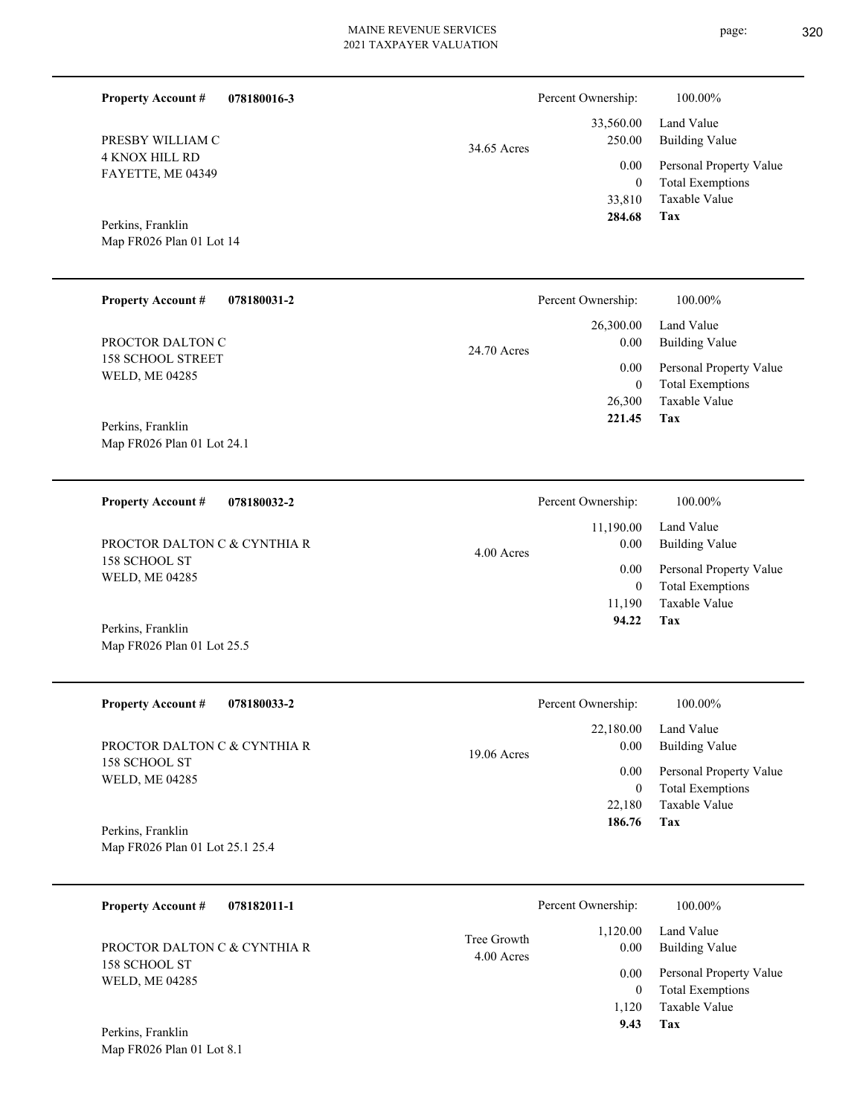| <b>Property Account #</b><br>078180016-3        |              | Percent Ownership:               | 100.00%                                                             |
|-------------------------------------------------|--------------|----------------------------------|---------------------------------------------------------------------|
| PRESBY WILLIAM C                                | 34.65 Acres  | 33,560.00<br>250.00              | Land Value<br><b>Building Value</b>                                 |
| <b>4 KNOX HILL RD</b><br>FAYETTE, ME 04349      |              | 0.00<br>$\overline{0}$<br>33,810 | Personal Property Value<br><b>Total Exemptions</b><br>Taxable Value |
| Perkins, Franklin<br>Map FR026 Plan 01 Lot 14   |              | 284.68                           | <b>Tax</b>                                                          |
| <b>Property Account #</b><br>078180031-2        |              | Percent Ownership:               | $100.00\%$                                                          |
| PROCTOR DALTON C                                | 24.70 Acres  | 26,300.00<br>0.00                | Land Value<br><b>Building Value</b>                                 |
| <b>158 SCHOOL STREET</b><br>WELD, ME 04285      |              | 0.00<br>$\overline{0}$<br>26,300 | Personal Property Value<br><b>Total Exemptions</b><br>Taxable Value |
| Perkins, Franklin<br>Map FR026 Plan 01 Lot 24.1 |              | 221.45                           | Tax                                                                 |
| <b>Property Account #</b><br>078180032-2        |              | Percent Ownership:               | 100.00%                                                             |
| PROCTOR DALTON C & CYNTHIA R                    | $4.00$ Acres | 11,190.00<br>0.00                | Land Value<br><b>Building Value</b>                                 |
| 158 SCHOOL ST<br>WELD, ME 04285                 |              | 0.00<br>$\mathbf{0}$<br>11,190   | Personal Property Value<br><b>Total Exemptions</b><br>Taxable Value |
| Perkins, Franklin<br>Map FR026 Plan 01 Lot 25.5 |              | 94.22                            | Tax                                                                 |
| 078180033-2<br><b>Property Account #</b>        |              | Percent Ownership:               | 100.00%                                                             |
| PROCTOR DALTON C & CYNTHIA R                    | 19.06 Acres  | 22,180.00<br>0.00                | Land Value<br><b>Building Value</b>                                 |
| 158 SCHOOL ST<br>WELD, ME 04285                 |              | 0.00<br>$\overline{0}$<br>22,180 | Personal Property Value<br><b>Total Exemptions</b><br>Taxable Value |

Map FR026 Plan 01 Lot 25.1 25.4 Perkins, Franklin

| 078182011-1<br><b>Property Account #</b> |                           | Percent Ownership: | 100.00%                      |
|------------------------------------------|---------------------------|--------------------|------------------------------|
| PROCTOR DALTON C & CYNTHIA R             | Tree Growth<br>4.00 Acres | 1,120.00<br>0.00   | Land Value<br>Building Value |
| 158 SCHOOL ST                            |                           | 0.00               | Personal Property Value      |
| <b>WELD, ME 04285</b>                    |                           | $\mathbf{0}$       | <b>Total Exemptions</b>      |
|                                          |                           | 1.120              | Taxable Value                |
| Perkins, Franklin                        |                           | 9.43               | Tax                          |
| Map FR026 Plan 01 Lot 8.1                |                           |                    |                              |

**Tax 186.76**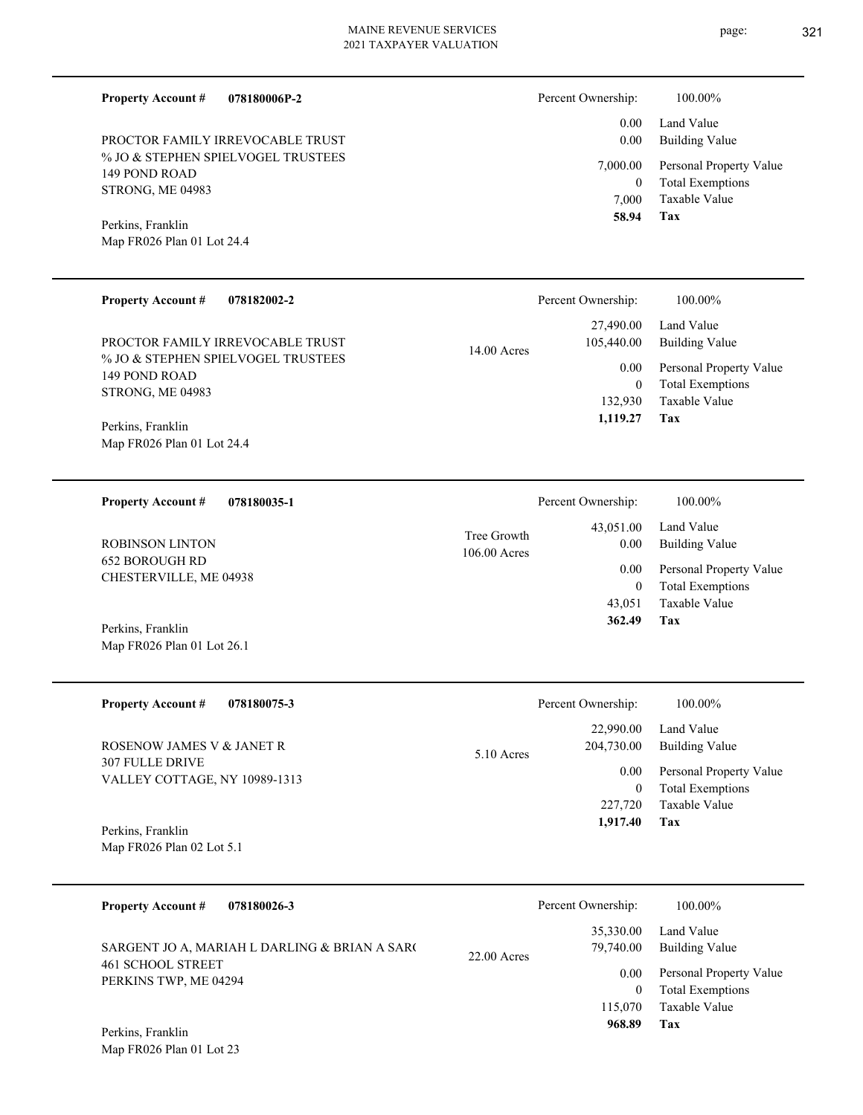| <b>Property Account #</b><br>078180006P-2 | Percent Ownership:          | 100.00%                                         |
|-------------------------------------------|-----------------------------|-------------------------------------------------|
|                                           | 0.00                        | Land Value                                      |
| PROCTOR FAMILY IRREVOCABLE TRUST          | 0.00                        | <b>Building Value</b>                           |
| % JO & STEPHEN SPIELVOGEL TRUSTEES        | 7,000.00                    | Personal Property Value                         |
| 149 POND ROAD                             | $\mathbf{0}$                | <b>Total Exemptions</b>                         |
| STRONG, ME 04983                          | 7,000                       | <b>Taxable Value</b>                            |
|                                           | 58.94                       | <b>Tax</b>                                      |
| Perkins, Franklin                         |                             |                                                 |
| Map FR026 Plan 01 Lot 24.4                |                             |                                                 |
|                                           |                             |                                                 |
| <b>Property Account #</b><br>078182002-2  | Percent Ownership:          | 100.00%                                         |
|                                           | 27,490.00                   | Land Value                                      |
| PROCTOR FAMILY IRREVOCABLE TRUST          | 105,440.00<br>$14.00$ Acres | <b>Building Value</b>                           |
| % JO & STEPHEN SPIELVOGEL TRUSTEES        | 0.00                        | Personal Property Value                         |
| 149 POND ROAD                             | $\Omega$                    | <b>Total Exemptions</b>                         |
| STRONG, ME 04983                          | 132,930                     | <b>Taxable Value</b>                            |
|                                           | 1,119.27                    | <b>Tax</b>                                      |
| Perkins, Franklin                         |                             |                                                 |
| Map FR026 Plan 01 Lot 24.4                |                             |                                                 |
|                                           |                             |                                                 |
| <b>Property Account #</b><br>078180035-1  | Percent Ownership:          | 100.00%                                         |
|                                           | 43,051.00                   | Land Value                                      |
| <b>ROBINSON LINTON</b>                    | Tree Growth<br>0.00         | <b>Building Value</b>                           |
| <b>652 BOROUGH RD</b>                     | 106.00 Acres                |                                                 |
| CHESTERVILLE, ME 04938                    | 0.00                        | Personal Property Value                         |
|                                           | $\theta$                    | <b>Total Exemptions</b><br><b>Taxable Value</b> |
|                                           | 43,051<br>362.49            | <b>Tax</b>                                      |
| Perkins, Franklin                         |                             |                                                 |

| <b>Property Account #</b><br>078180075-3                | Percent Ownership:         | 100.00%                 |
|---------------------------------------------------------|----------------------------|-------------------------|
|                                                         | 22,990.00                  | Land Value              |
| ROSENOW JAMES V & JANET R                               | 204,730.00<br>$5.10$ Acres | Building Value          |
| <b>307 FULLE DRIVE</b><br>VALLEY COTTAGE, NY 10989-1313 | 0.00                       | Personal Property Value |
|                                                         | $\bf{0}$                   | <b>Total Exemptions</b> |
|                                                         | 227,720                    | Taxable Value           |
| Perkins, Franklin                                       | 1,917.40                   | Tax                     |
| Map FR026 Plan 02 Lot 5.1                               |                            |                         |

| 078180026-3<br><b>Property Account #</b>                           | Percent Ownership:                      | 100.00%                                                             |
|--------------------------------------------------------------------|-----------------------------------------|---------------------------------------------------------------------|
| SARGENT JO A, MARIAH L DARLING & BRIAN A SARC<br>461 SCHOOL STREET | 35,330.00<br>79,740.00<br>$22.00$ Acres | Land Value<br><b>Building Value</b>                                 |
| PERKINS TWP, ME 04294                                              | 0.00<br>0<br>115,070                    | Personal Property Value<br><b>Total Exemptions</b><br>Taxable Value |
| Perkins, Franklin                                                  | 968.89                                  | Tax                                                                 |

Map FR026 Plan 01 Lot 23

Map FR026 Plan 01 Lot 26.1

page: 321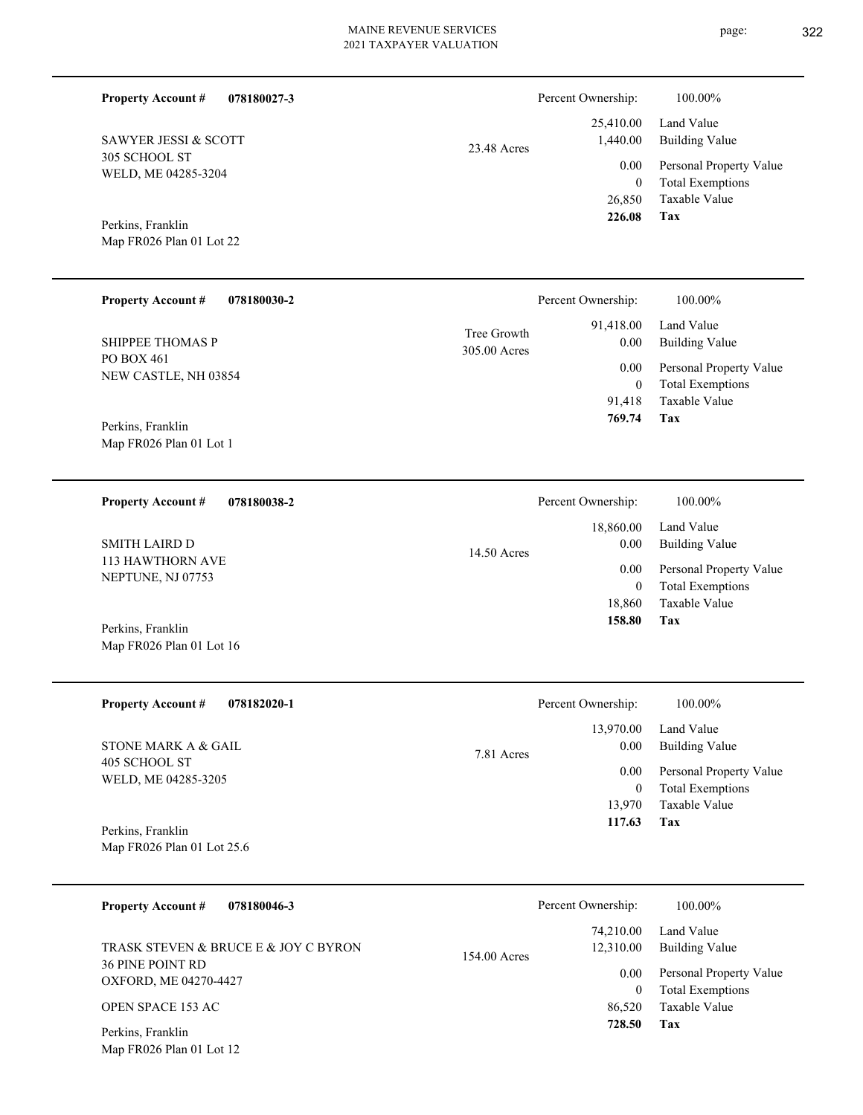| <b>Property Account #</b><br>078180027-3        |                                          | Percent Ownership:                                                | 100.00%                                            |
|-------------------------------------------------|------------------------------------------|-------------------------------------------------------------------|----------------------------------------------------|
| SAWYER JESSI & SCOTT                            | 23.48 Acres                              | 25,410.00<br>1,440.00                                             | Land Value<br><b>Building Value</b>                |
| 305 SCHOOL ST<br>WELD, ME 04285-3204            |                                          | 0.00<br>$\overline{0}$                                            | Personal Property Value<br><b>Total Exemptions</b> |
| Perkins, Franklin                               |                                          | 26,850<br>226.08                                                  | Taxable Value<br>Tax                               |
| Map FR026 Plan 01 Lot 22                        |                                          |                                                                   |                                                    |
| <b>Property Account #</b><br>078180030-2        |                                          | Percent Ownership:                                                | 100.00%                                            |
| <b>SHIPPEE THOMAS P</b>                         | 91,418.00<br>Tree Growth<br>305.00 Acres |                                                                   | Land Value<br><b>Building Value</b>                |
| PO BOX 461<br>NEW CASTLE, NH 03854              |                                          | 0.00<br>$\overline{0}$                                            | Personal Property Value<br><b>Total Exemptions</b> |
| Perkins, Franklin                               |                                          | 91,418<br>769.74                                                  | <b>Taxable Value</b><br>Tax                        |
| Map FR026 Plan 01 Lot 1                         |                                          |                                                                   |                                                    |
| 078180038-2<br><b>Property Account #</b>        |                                          | Percent Ownership:                                                | 100.00%                                            |
| <b>SMITH LAIRD D</b>                            | 14.50 Acres                              | 18,860.00<br>0.00                                                 | Land Value<br><b>Building Value</b>                |
| 113 HAWTHORN AVE<br>NEPTUNE, NJ 07753           |                                          | 0.00<br>$\overline{0}$<br>18,860<br>158.80                        | Personal Property Value<br><b>Total Exemptions</b> |
| Perkins, Franklin                               |                                          |                                                                   | Taxable Value<br>Tax                               |
| Map FR026 Plan 01 Lot 16                        |                                          |                                                                   |                                                    |
| <b>Property Account #</b><br>078182020-1        |                                          | Percent Ownership:                                                | 100.00%                                            |
| STONE MARK A & GAIL                             | 7.81 Acres                               | 13,970.00<br>0.00<br>0.00<br>$\boldsymbol{0}$<br>13,970<br>117.63 | Land Value<br><b>Building Value</b>                |
| 405 SCHOOL ST<br>WELD, ME 04285-3205            |                                          |                                                                   | Personal Property Value<br><b>Total Exemptions</b> |
|                                                 |                                          |                                                                   | Taxable Value<br>Tax                               |
| Perkins, Franklin<br>Map FR026 Plan 01 Lot 25.6 |                                          |                                                                   |                                                    |
| <b>Property Account #</b><br>078180046-3        |                                          | Percent Ownership:                                                | 100.00%                                            |
| TRASK STEVEN & BRUCE E & JOY C BYRON            |                                          | 74,210.00<br>12,310.00                                            | Land Value<br><b>Building Value</b>                |
| 36 PINE POINT RD<br>OXFORD, ME 04270-4427       | 154.00 Acres                             | 0.00<br>$\boldsymbol{0}$<br>86,520<br>728.50                      | Personal Property Value<br><b>Total Exemptions</b> |
| OPEN SPACE 153 AC                               |                                          |                                                                   | Taxable Value<br>Tax                               |
| Perkins, Franklin<br>Map FR026 Plan 01 Lot 12   |                                          |                                                                   |                                                    |
|                                                 |                                          |                                                                   |                                                    |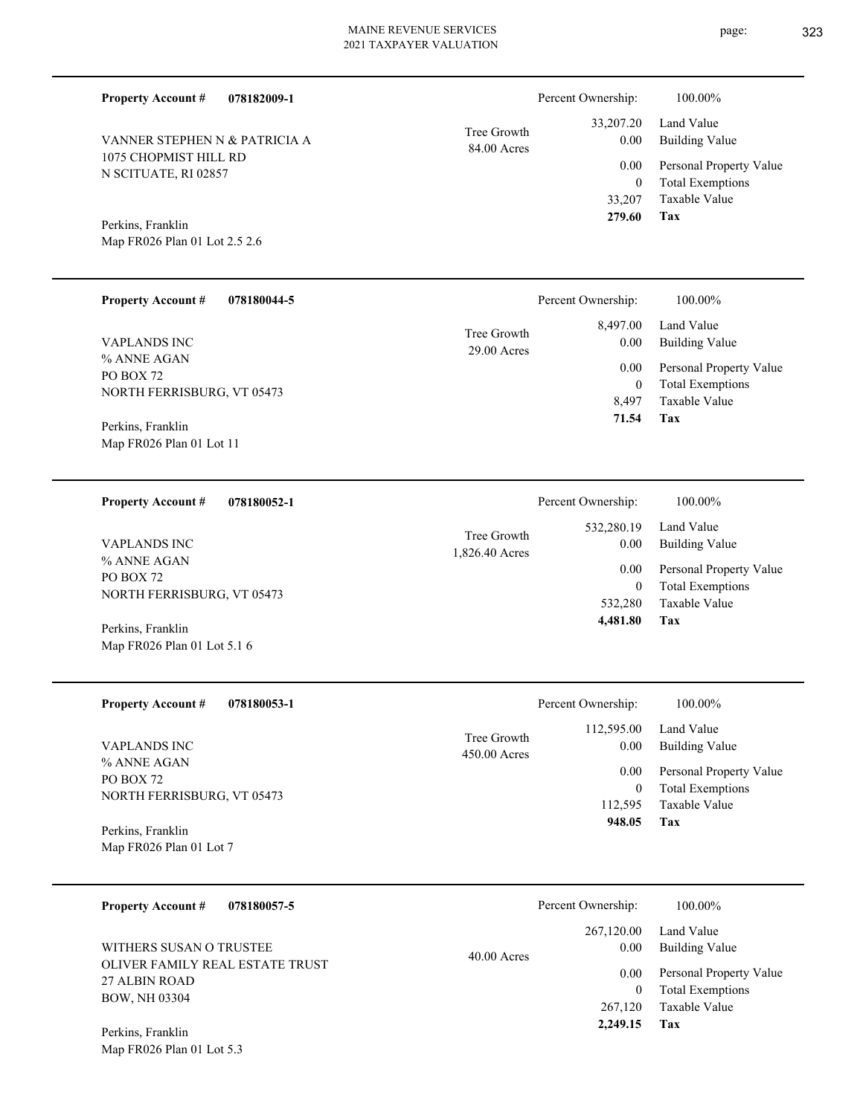84.00 Acres Tree Growth

1,826.40 Acres Tree Growth

| <b>Property Account #</b> | 078182009-1 |
|---------------------------|-------------|
|                           |             |

1075 CHOPMIST HILL RD N SCITUATE, RI 02857 VANNER STEPHEN N & PATRICIA A

Map FR026 Plan 01 Lot 2.5 2.6 Perkins, Franklin

| <b>Property Account #</b><br>078180044-5                                                    |                              | Percent Ownership:                       | 100.00%                                                                                   |
|---------------------------------------------------------------------------------------------|------------------------------|------------------------------------------|-------------------------------------------------------------------------------------------|
| VAPLANDS INC<br>% ANNE AGAN<br>PO BOX 72<br>NORTH FERRISBURG, VT 05473<br>Perkins, Franklin | Tree Growth<br>$29.00$ Acres | 8.497.00<br>0.00<br>0.00<br>$\mathbf{0}$ | Land Value<br><b>Building Value</b><br>Personal Property Value<br><b>Total Exemptions</b> |
|                                                                                             |                              | 8.497<br>71.54                           | Taxable Value<br>Tax                                                                      |

Map FR026 Plan 01 Lot 11

**078180052-1 Property Account #**

% ANNE AGAN PO BOX 72 NORTH FERRISBURG, VT 05473 VAPLANDS INC

Map FR026 Plan 01 Lot 5.1 6 Perkins, Franklin

| <b>Property Account #</b><br>078180053-1                                      | Percent Ownership:                                  | 100.00%                                                             |
|-------------------------------------------------------------------------------|-----------------------------------------------------|---------------------------------------------------------------------|
| <b>VAPLANDS INC</b><br>% ANNE AGAN<br>PO BOX 72<br>NORTH FERRISBURG, VT 05473 | 112,595.00<br>Tree Growth<br>0.00<br>$450.00$ Acres | Land Value<br>Building Value                                        |
|                                                                               | 0.00<br>0<br>112.595                                | Personal Property Value<br><b>Total Exemptions</b><br>Taxable Value |
| Perkins, Franklin                                                             | 948.05                                              | Tax                                                                 |
| Map FR026 Plan 01 Lot 7                                                       |                                                     |                                                                     |

| 078180057-5<br><b>Property Account #</b>         | Percent Ownership:                | 100.00%                                            |
|--------------------------------------------------|-----------------------------------|----------------------------------------------------|
| WITHERS SUSAN O TRUSTEE                          | 267,120.00<br>0.00                | Land Value<br><b>Building Value</b>                |
| OLIVER FAMILY REAL ESTATE TRUST<br>27 ALBIN ROAD | $40.00$ Acres<br>0.00<br>$\theta$ | Personal Property Value<br><b>Total Exemptions</b> |
| <b>BOW, NH 03304</b>                             | 267,120<br>2,249.15               | Taxable Value<br>Tax                               |
| Perkins, Franklin                                |                                   |                                                    |

Map FR026 Plan 01 Lot 5.3

**Tax**

**Tax**

 532,280 0

 532,280.19 0.00 0.00

Percent Ownership:  $100.00\%$ 

 **4,481.80**

Taxable Value Total Exemptions Personal Property Value

Building Value Land Value

 33,207 0

 33,207.20 0.00 0.00

Percent Ownership:  $100.00\%$ 

 **279.60**

Taxable Value Total Exemptions Personal Property Value

Building Value Land Value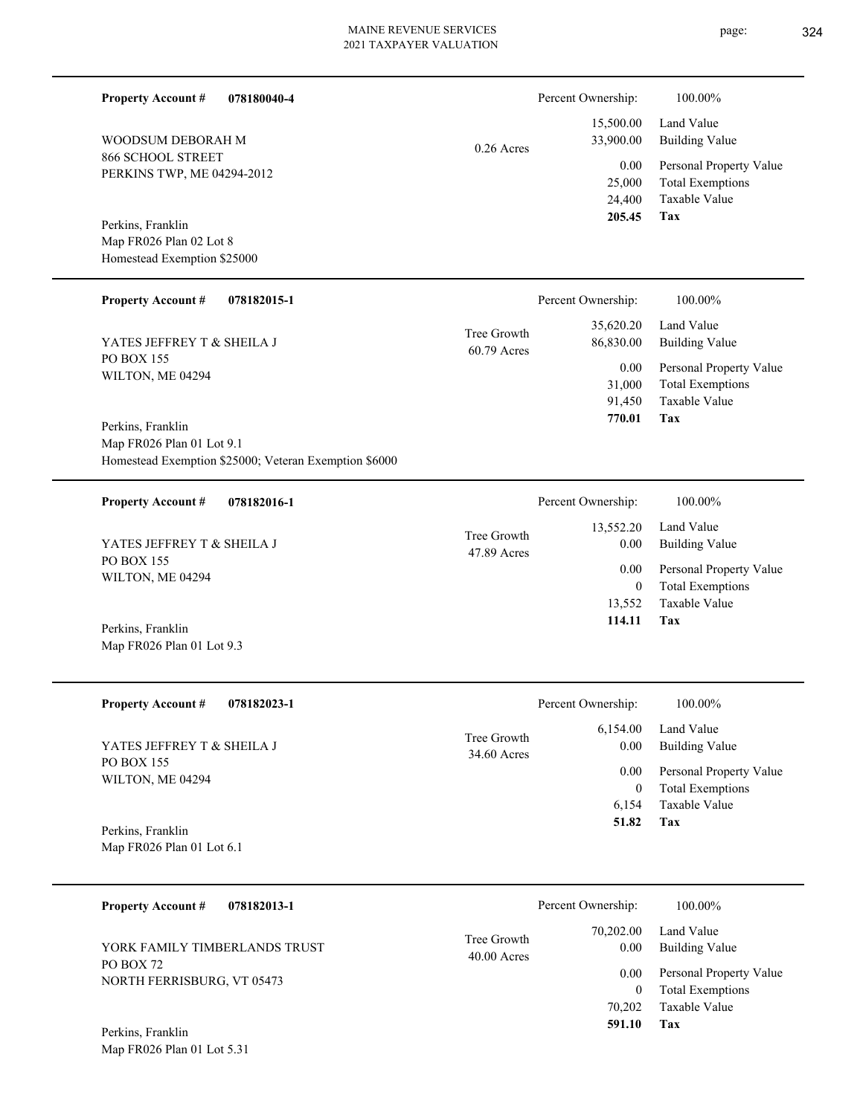**Tax 591.10**

0

70,202 Taxable Value

Total Exemptions

| <b>Property Account #</b>                                                        | 078180040-4                                           |                            | Percent Ownership:                 | 100.00%                                                                    |
|----------------------------------------------------------------------------------|-------------------------------------------------------|----------------------------|------------------------------------|----------------------------------------------------------------------------|
| WOODSUM DEBORAH M                                                                |                                                       | $0.26$ Acres               | 15,500.00<br>33,900.00             | Land Value<br><b>Building Value</b>                                        |
| 866 SCHOOL STREET<br>PERKINS TWP, ME 04294-2012<br>Perkins, Franklin             |                                                       |                            | 0.00<br>25,000<br>24,400<br>205.45 | Personal Property Value<br><b>Total Exemptions</b><br>Taxable Value<br>Tax |
| Map FR026 Plan 02 Lot 8<br>Homestead Exemption \$25000                           |                                                       |                            |                                    |                                                                            |
| <b>Property Account #</b>                                                        | 078182015-1                                           |                            | Percent Ownership:                 | 100.00%                                                                    |
| YATES JEFFREY T & SHEILA J                                                       |                                                       | Tree Growth<br>60.79 Acres | 35,620.20<br>86,830.00             | Land Value<br><b>Building Value</b>                                        |
| <b>PO BOX 155</b><br>WILTON, ME 04294                                            |                                                       |                            | 0.00<br>31,000<br>91,450<br>770.01 | Personal Property Value<br><b>Total Exemptions</b><br>Taxable Value<br>Tax |
| Perkins, Franklin<br>Map FR026 Plan 01 Lot 9.1                                   | Homestead Exemption \$25000; Veteran Exemption \$6000 |                            |                                    |                                                                            |
| <b>Property Account #</b>                                                        | 078182016-1                                           |                            | Percent Ownership:                 | 100.00%                                                                    |
| YATES JEFFREY T & SHEILA J                                                       |                                                       | Tree Growth<br>47.89 Acres | 13,552.20<br>0.00                  | Land Value<br><b>Building Value</b>                                        |
| <b>PO BOX 155</b><br>WILTON, ME 04294                                            |                                                       |                            | 0.00<br>$\boldsymbol{0}$<br>13,552 | Personal Property Value<br><b>Total Exemptions</b><br>Taxable Value        |
| Perkins, Franklin<br>Map FR026 Plan 01 Lot 9.3                                   |                                                       |                            | 114.11                             | Tax                                                                        |
| <b>Property Account #</b>                                                        | 078182023-1                                           |                            | Percent Ownership:                 | 100.00%                                                                    |
| YATES JEFFREY T & SHEILA J                                                       |                                                       | Tree Growth<br>34.60 Acres | 6,154.00<br>0.00                   | Land Value<br><b>Building Value</b>                                        |
| <b>PO BOX 155</b><br>WILTON, ME 04294                                            |                                                       |                            | 0.00<br>$\mathbf{0}$               | Personal Property Value<br><b>Total Exemptions</b>                         |
| Perkins, Franklin<br>Map FR026 Plan 01 Lot 6.1                                   |                                                       |                            | 6,154<br>51.82                     | <b>Taxable Value</b><br>Tax                                                |
| <b>Property Account #</b>                                                        | 078182013-1                                           |                            | Percent Ownership:                 | 100.00%                                                                    |
| YORK FAMILY TIMBERLANDS TRUST                                                    |                                                       | Tree Growth<br>40.00 Acres | 70,202.00<br>0.00                  | Land Value<br><b>Building Value</b>                                        |
| PO BOX 72<br>$B$ and perpendicular $\alpha$ , $\alpha$ and $\alpha$ and $\alpha$ |                                                       |                            | 0.00                               | Personal Property Value                                                    |

NORTH FERRISBURG, VT 05473

Map FR026 Plan 01 Lot 5.31 Perkins, Franklin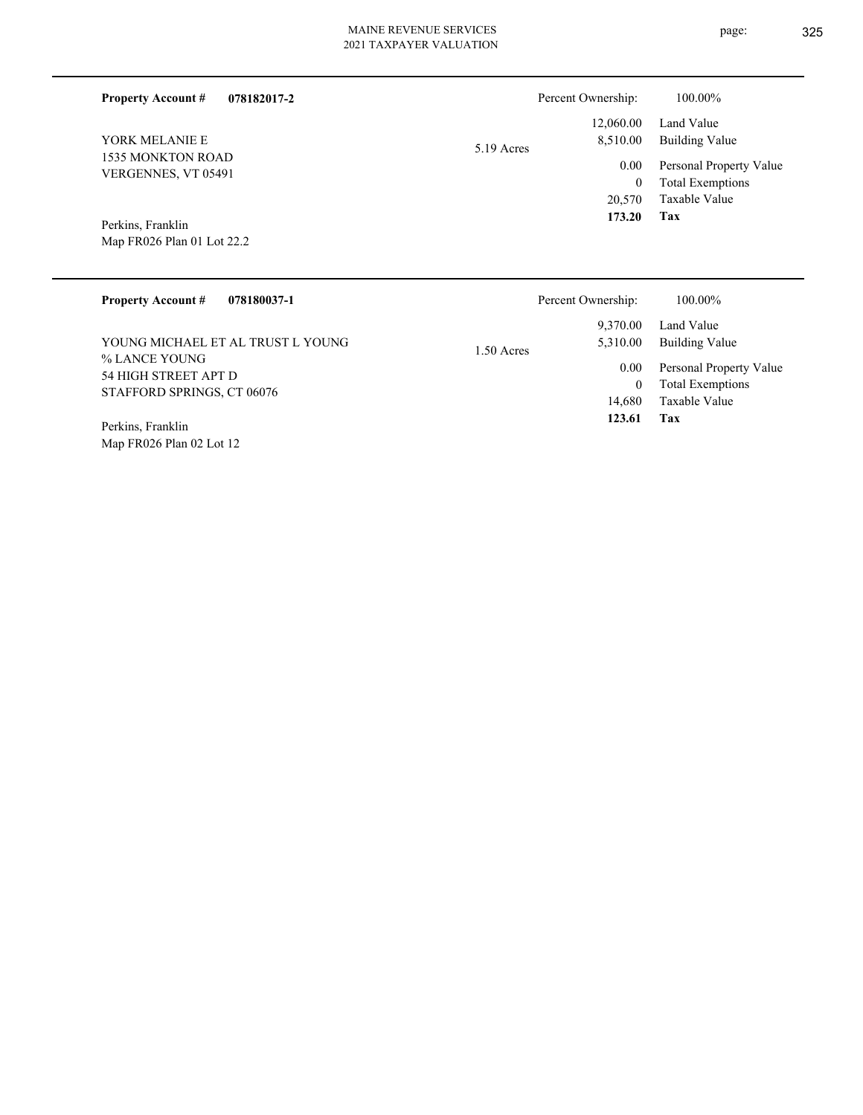| <b>Property Account #</b><br>078182017-2 | Percent Ownership:       | 100.00%                 |
|------------------------------------------|--------------------------|-------------------------|
|                                          | 12,060.00                | Land Value              |
| YORK MELANIE E                           | 8,510.00<br>$5.19$ Acres | <b>Building Value</b>   |
| 1535 MONKTON ROAD<br>VERGENNES, VT 05491 | 0.00                     | Personal Property Value |
|                                          | 0                        | <b>Total Exemptions</b> |
|                                          | 20,570                   | Taxable Value           |
| Perkins, Franklin                        | 173.20                   | Tax                     |
| Map FR026 Plan 01 Lot 22.2               |                          |                         |
|                                          |                          |                         |
|                                          |                          |                         |

| <b>Property Account #</b><br>078180037-1 | Percent Ownership:       | 100.00%                 |
|------------------------------------------|--------------------------|-------------------------|
|                                          | 9.370.00                 | Land Value              |
| YOUNG MICHAEL ET AL TRUST L YOUNG-       | 5,310.00<br>$1.50$ Acres | Building Value          |
| % LANCE YOUNG<br>54 HIGH STREET APT D    | 0.00                     | Personal Property Value |
| STAFFORD SPRINGS, CT 06076               | $\bf{0}$                 | <b>Total Exemptions</b> |
|                                          | 14.680                   | Taxable Value           |
| Perkins, Franklin                        | 123.61                   | Tax                     |
| Map FR026 Plan 02 Lot 12                 |                          |                         |

 $\overline{\phantom{a}}$ 

page: 325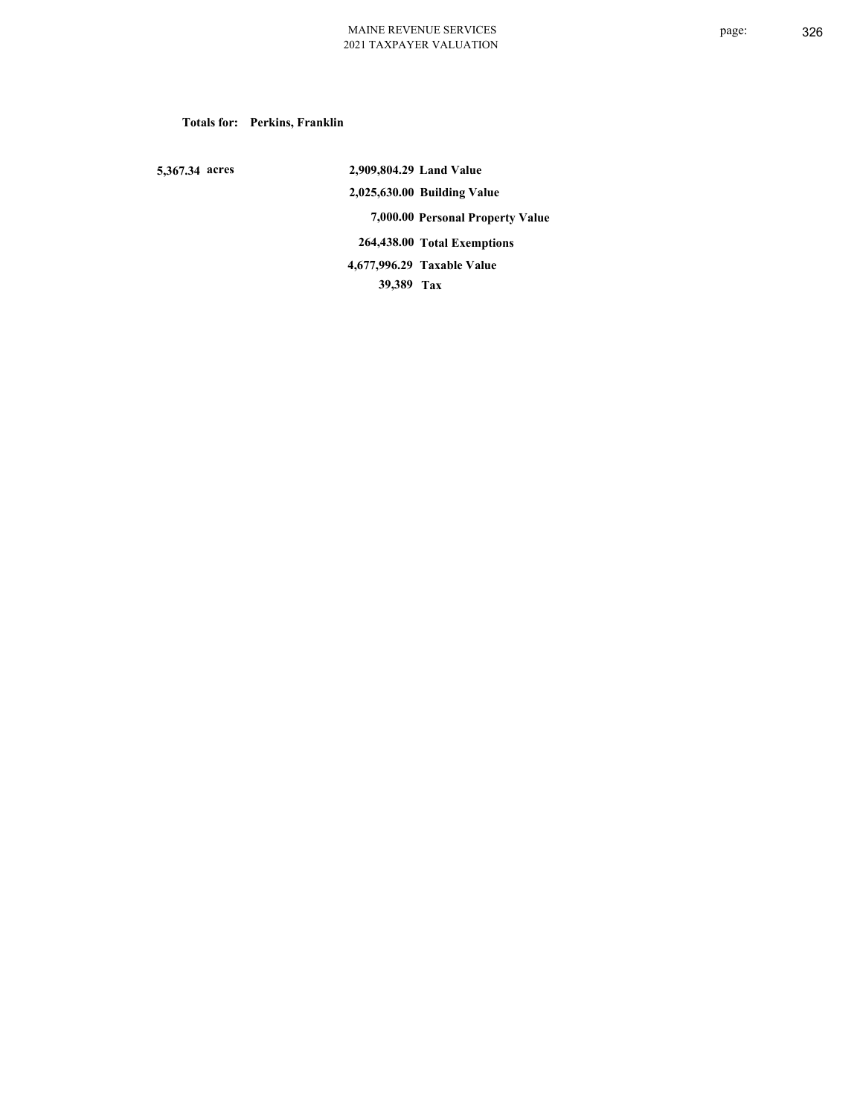## **Totals for: Perkins, Franklin**

 **5,367.34 acres**

 **2,909,804.29 Land Value 2,025,630.00 Building Value 7,000.00 Personal Property Value 264,438.00 Total Exemptions 39,389 Tax Taxable Value 4,677,996.29**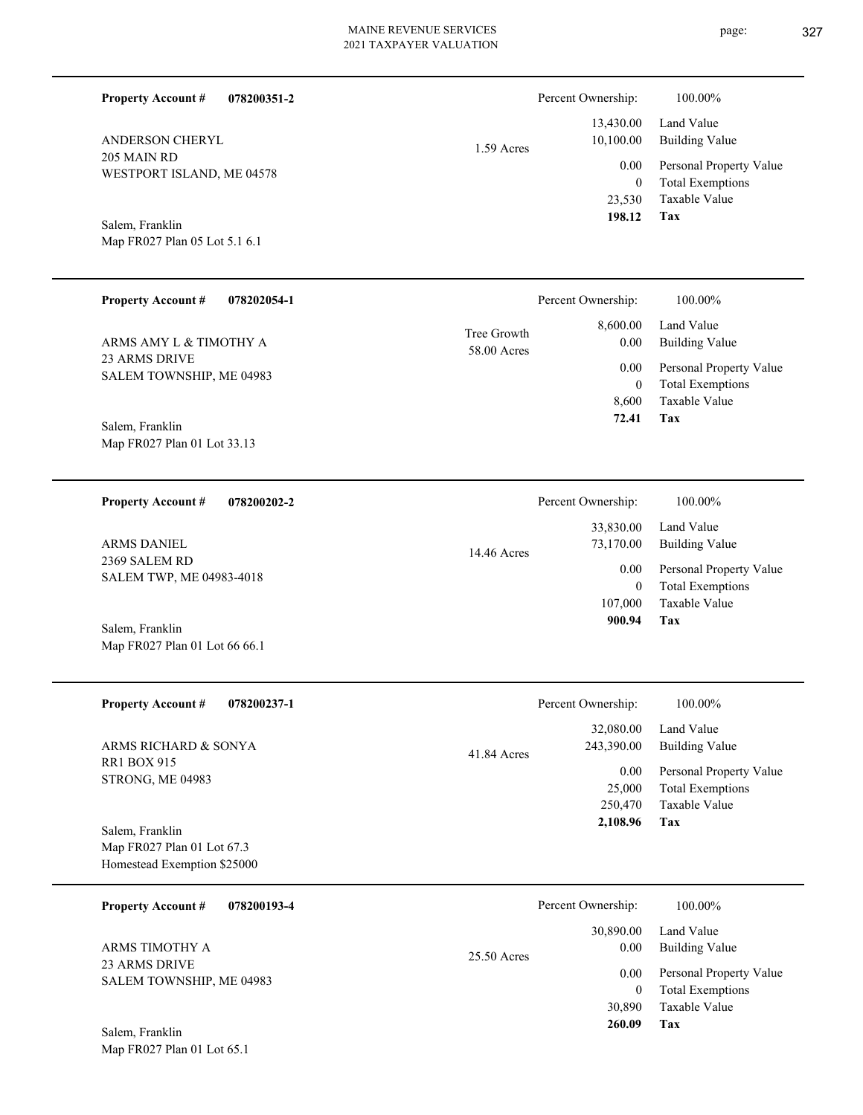| <b>Property Account #</b><br>078200351-2                                     |                            | Percent Ownership:                           | 100.00%                                                                    |
|------------------------------------------------------------------------------|----------------------------|----------------------------------------------|----------------------------------------------------------------------------|
| ANDERSON CHERYL                                                              | 1.59 Acres                 | 13,430.00<br>10,100.00                       | Land Value<br><b>Building Value</b>                                        |
| 205 MAIN RD<br>WESTPORT ISLAND, ME 04578                                     |                            | 0.00<br>$\mathbf{0}$<br>23,530               | Personal Property Value<br><b>Total Exemptions</b><br>Taxable Value        |
| Salem, Franklin<br>Map FR027 Plan 05 Lot 5.1 6.1                             |                            | 198.12                                       | Tax                                                                        |
| <b>Property Account #</b><br>078202054-1                                     |                            | Percent Ownership:                           | 100.00%                                                                    |
| ARMS AMY L & TIMOTHY A                                                       | Tree Growth<br>58.00 Acres | 8,600.00<br>0.00                             | Land Value<br><b>Building Value</b>                                        |
| 23 ARMS DRIVE<br>SALEM TOWNSHIP, ME 04983                                    |                            | 0.00<br>$\overline{0}$<br>8,600              | Personal Property Value<br><b>Total Exemptions</b><br>Taxable Value        |
| Salem, Franklin<br>Map FR027 Plan 01 Lot 33.13                               |                            | 72.41                                        | Tax                                                                        |
| <b>Property Account #</b><br>078200202-2                                     |                            | Percent Ownership:                           | 100.00%                                                                    |
| ARMS DANIEL                                                                  | 14.46 Acres                | 33,830.00<br>73,170.00                       | Land Value<br><b>Building Value</b>                                        |
| 2369 SALEM RD<br>SALEM TWP, ME 04983-4018                                    |                            | 0.00<br>$\overline{0}$<br>107,000            | Personal Property Value<br><b>Total Exemptions</b><br>Taxable Value        |
| Salem, Franklin<br>Map FR027 Plan 01 Lot 66 66.1                             |                            | 900.94                                       | Tax                                                                        |
| <b>Property Account #</b><br>078200237-1                                     |                            | Percent Ownership:                           | 100.00%                                                                    |
| ARMS RICHARD & SONYA                                                         | 41.84 Acres                | 32,080.00<br>243,390.00                      | Land Value<br><b>Building Value</b>                                        |
| <b>RR1 BOX 915</b><br>STRONG, ME 04983                                       |                            | 0.00<br>25,000<br>250,470                    | Personal Property Value<br><b>Total Exemptions</b><br>Taxable Value        |
| Salem, Franklin<br>Map FR027 Plan 01 Lot 67.3<br>Homestead Exemption \$25000 |                            | 2,108.96                                     | Tax                                                                        |
| 078200193-4<br><b>Property Account #</b>                                     |                            | Percent Ownership:                           | 100.00%                                                                    |
| ARMS TIMOTHY A                                                               | 25.50 Acres                | 30,890.00<br>0.00                            | Land Value<br><b>Building Value</b>                                        |
| 23 ARMS DRIVE<br>SALEM TOWNSHIP, ME 04983<br>Salem, Franklin                 |                            | 0.00<br>$\boldsymbol{0}$<br>30,890<br>260.09 | Personal Property Value<br><b>Total Exemptions</b><br>Taxable Value<br>Tax |
| Map FR027 Plan 01 Lot 65.1                                                   |                            |                                              |                                                                            |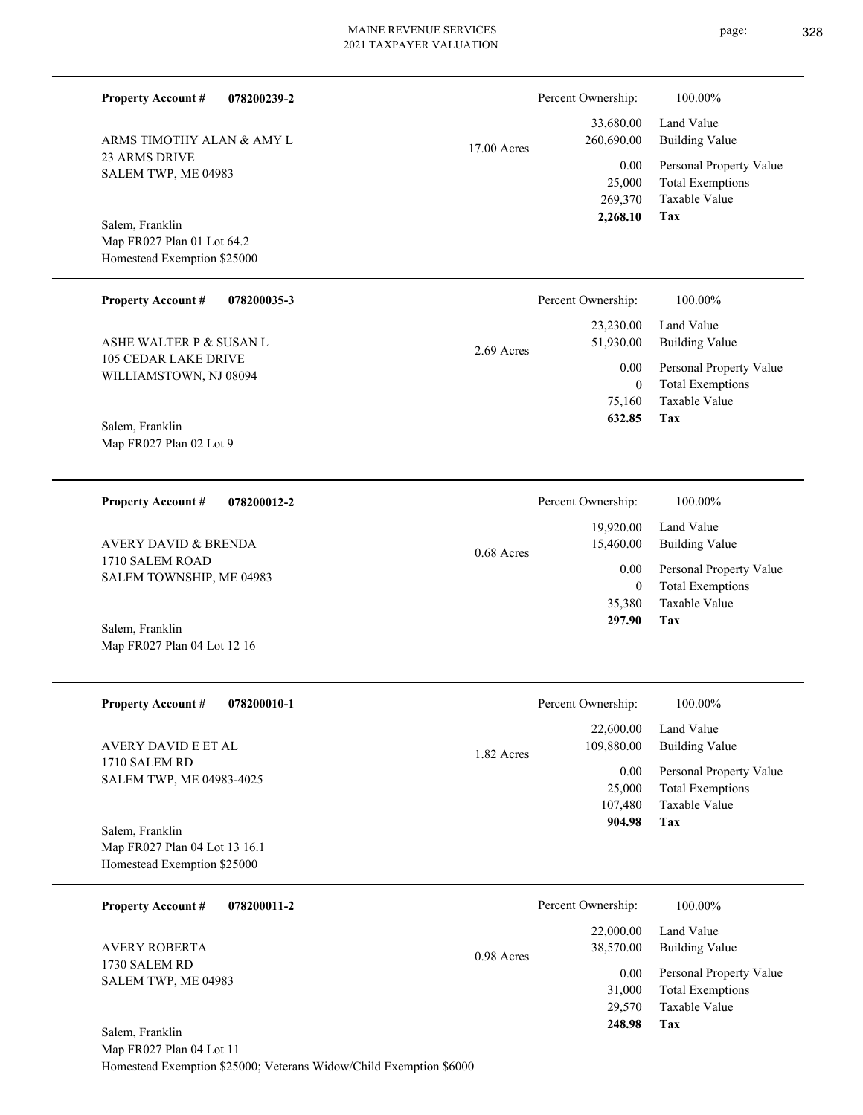page: 328

| <b>Property Account #</b><br>078200239-2                           |             | Percent Ownership:              | 100.00%                                            |
|--------------------------------------------------------------------|-------------|---------------------------------|----------------------------------------------------|
|                                                                    |             | 33,680.00                       | Land Value                                         |
| ARMS TIMOTHY ALAN & AMY L                                          | 17.00 Acres | 260,690.00                      | <b>Building Value</b>                              |
| <b>23 ARMS DRIVE</b><br>SALEM TWP, ME 04983                        |             | 0.00                            | Personal Property Value                            |
|                                                                    |             | 25,000                          | <b>Total Exemptions</b>                            |
|                                                                    |             | 269,370<br>2,268.10             | Taxable Value<br>Tax                               |
| Salem, Franklin                                                    |             |                                 |                                                    |
| Map FR027 Plan 01 Lot 64.2<br>Homestead Exemption \$25000          |             |                                 |                                                    |
|                                                                    |             |                                 |                                                    |
| <b>Property Account #</b><br>078200035-3                           |             | Percent Ownership:              | 100.00%                                            |
|                                                                    |             | 23,230.00                       | Land Value                                         |
| ASHE WALTER P & SUSAN L                                            | 2.69 Acres  | 51,930.00                       | <b>Building Value</b>                              |
| 105 CEDAR LAKE DRIVE                                               |             | 0.00                            | Personal Property Value                            |
| WILLIAMSTOWN, NJ 08094                                             |             | $\boldsymbol{0}$                | <b>Total Exemptions</b>                            |
|                                                                    |             | 75,160<br>632.85                | Taxable Value<br>Tax                               |
| Salem, Franklin                                                    |             |                                 |                                                    |
| Map FR027 Plan 02 Lot 9                                            |             |                                 |                                                    |
|                                                                    |             |                                 |                                                    |
| <b>Property Account #</b><br>078200012-2                           |             | Percent Ownership:              | 100.00%                                            |
|                                                                    |             | 19,920.00                       | Land Value                                         |
| <b>AVERY DAVID &amp; BRENDA</b>                                    | 0.68 Acres  | 15,460.00                       | <b>Building Value</b>                              |
| 1710 SALEM ROAD<br>SALEM TOWNSHIP, ME 04983                        |             | 0.00                            | Personal Property Value                            |
|                                                                    |             | $\overline{0}$                  | <b>Total Exemptions</b>                            |
|                                                                    |             | 35,380<br>297.90                | Taxable Value<br>Tax                               |
| Salem, Franklin<br>Map FR027 Plan 04 Lot 12 16                     |             |                                 |                                                    |
|                                                                    |             |                                 |                                                    |
|                                                                    |             |                                 |                                                    |
| <b>Property Account #</b><br>078200010-1                           |             | Percent Ownership:              | 100.00%                                            |
|                                                                    |             | 22,600.00                       | Land Value                                         |
| AVERY DAVID E ET AL<br>1710 SALEM RD                               | 1.82 Acres  | 109,880.00                      | <b>Building Value</b>                              |
| SALEM TWP, ME 04983-4025                                           |             | 0.00<br>25,000                  | Personal Property Value<br><b>Total Exemptions</b> |
|                                                                    |             | 107,480                         | Taxable Value                                      |
| Salem, Franklin                                                    |             | 904.98                          | Tax                                                |
| Map FR027 Plan 04 Lot 13 16.1                                      |             |                                 |                                                    |
| Homestead Exemption \$25000                                        |             |                                 |                                                    |
|                                                                    |             |                                 |                                                    |
| <b>Property Account #</b><br>078200011-2                           |             | Percent Ownership:<br>22,000.00 | 100.00%                                            |
|                                                                    |             |                                 | Land Value                                         |
| <b>AVERY ROBERTA</b><br>1730 SALEM RD                              | 0.98 Acres  | 38,570.00                       | <b>Building Value</b>                              |
| SALEM TWP, ME 04983                                                |             | 0.00                            | Personal Property Value                            |
|                                                                    |             | 31,000<br>29,570                | <b>Total Exemptions</b><br>Taxable Value           |
|                                                                    |             | 248.98                          | Tax                                                |
| Salem, Franklin<br>Map FR027 Plan 04 Lot 11                        |             |                                 |                                                    |
| Homestead Exemption \$25000; Veterans Widow/Child Exemption \$6000 |             |                                 |                                                    |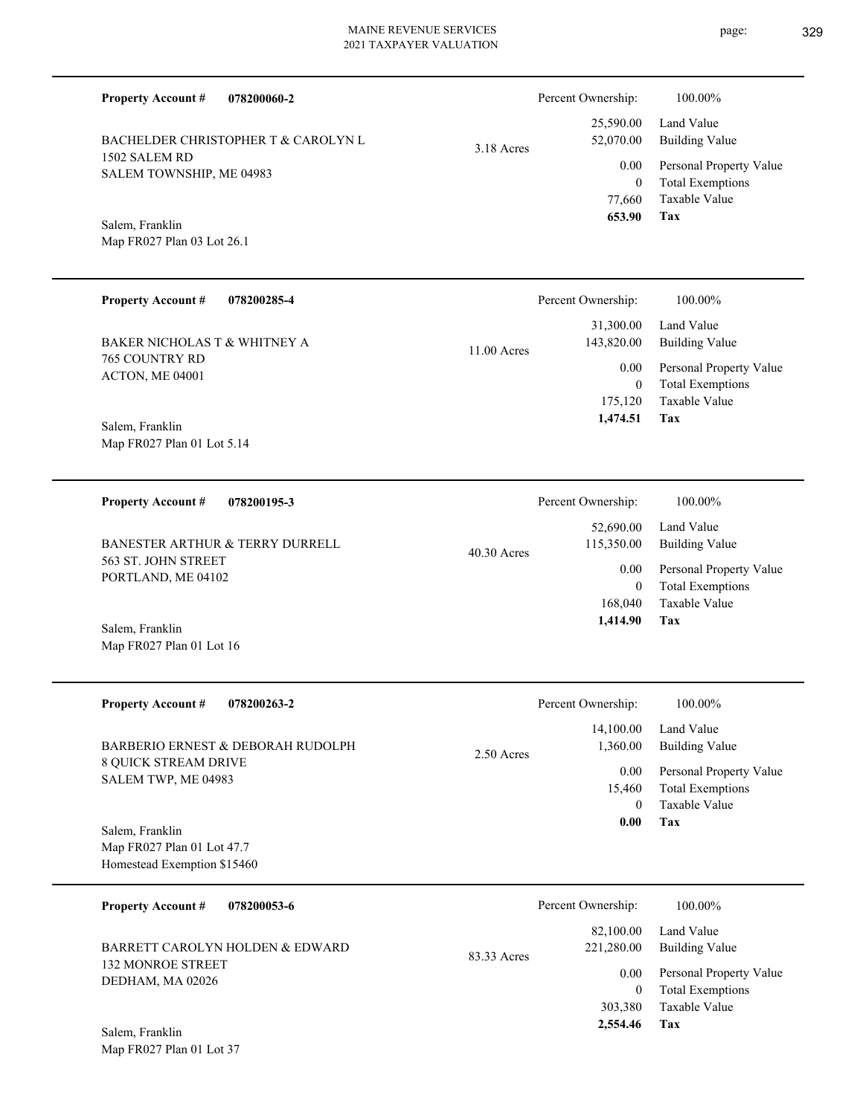| BACHELDER CHRISTOPHER T & CAROLYN L       | 3.18 Acres    | 52,070.00                    | <b>Building Value</b>                           |
|-------------------------------------------|---------------|------------------------------|-------------------------------------------------|
| 1502 SALEM RD<br>SALEM TOWNSHIP, ME 04983 |               | 0.00                         | Personal Property Value                         |
| Salem, Franklin                           |               | $\theta$<br>77,660<br>653.90 | <b>Total Exemptions</b><br>Taxable Value<br>Tax |
| Map FR027 Plan 03 Lot 26.1                |               |                              |                                                 |
| <b>Property Account #</b><br>078200285-4  |               | Percent Ownership:           | 100.00%                                         |
|                                           |               | 31,300.00                    | Land Value                                      |
| BAKER NICHOLAS T & WHITNEY A              | $11.00$ Acres | 143,820.00                   | <b>Building Value</b>                           |
| <b>765 COUNTRY RD</b><br>ACTON, ME 04001  |               | 0.00                         | Personal Property Value                         |
|                                           |               | $\theta$                     | <b>Total Exemptions</b>                         |
|                                           |               | 175,120<br>1,474.51          | Taxable Value<br>Tax                            |
| Salem, Franklin                           |               |                              |                                                 |
| Map FR027 Plan 01 Lot 5.14                |               |                              |                                                 |
| <b>Property Account #</b><br>078200195-3  |               | Percent Ownership:           | 100.00%                                         |
|                                           |               | 52,690.00                    | Land Value                                      |

40.30 Acres

563 ST. JOHN STREET PORTLAND, ME 04102 BANESTER ARTHUR & TERRY DURRELL

**078200060-2**

**Property Account #**

Map FR027 Plan 01 Lot 16 Salem, Franklin

| <b>Property Account #</b><br>078200263-2                                        | 100.00%<br>Percent Ownership:                                                                                                                                                       |
|---------------------------------------------------------------------------------|-------------------------------------------------------------------------------------------------------------------------------------------------------------------------------------|
| BARBERIO ERNEST & DEBORAH RUDOLPH                                               | 14,100.00<br>Land Value<br>1,360.00<br><b>Building Value</b><br>$2.50$ Acres                                                                                                        |
| <b>8 QUICK STREAM DRIVE</b><br>SALEM TWP, ME 04983                              | 0.00<br>Personal Property Value<br><b>Total Exemptions</b><br>15,460<br>Taxable Value<br>$\theta$                                                                                   |
| Salem, Franklin<br>Map FR027 Plan 01 Lot 47.7<br>Homestead Exemption \$15460    | Tax<br>0.00                                                                                                                                                                         |
| <b>Property Account #</b><br>078200053-6                                        | Percent Ownership:<br>100.00%                                                                                                                                                       |
| BARRETT CAROLYN HOLDEN & EDWARD<br><b>132 MONROE STREET</b><br>DEDHAM, MA 02026 | Land Value<br>82,100.00<br><b>Building Value</b><br>221,280.00<br>83.33 Acres<br>Personal Property Value<br>0.00<br><b>Total Exemptions</b><br>$\theta$<br>Taxable Value<br>303,380 |

Map FR027 Plan 01 Lot 37 Salem, Franklin



Land Value

**Tax**

 168,040 0

0.00

**Tax 2,554.46**

115,350.00

 **1,414.90**

Taxable Value Total Exemptions Personal Property Value

Building Value

25,590.00

Percent Ownership:  $100.00\%$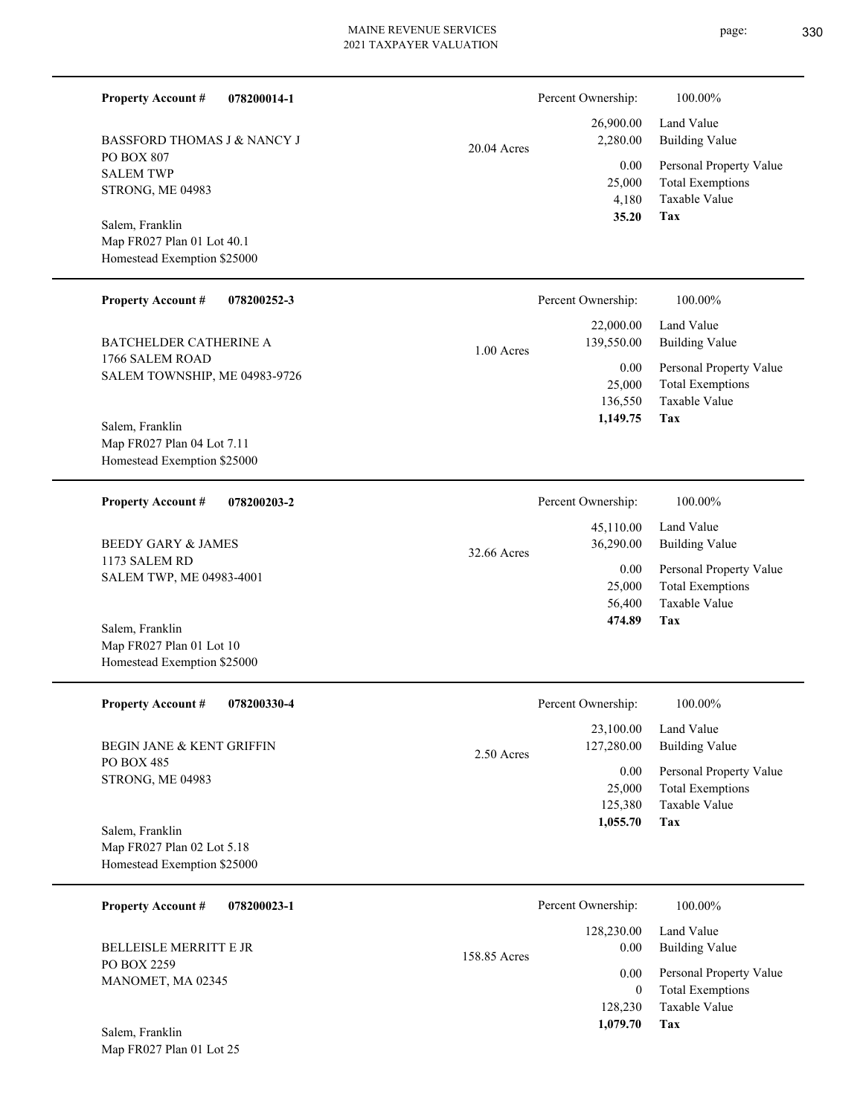page: 330

| <b>Property Account #</b><br>078200014-1                                     |              | Percent Ownership:                                  | 100.00%                                                                           |
|------------------------------------------------------------------------------|--------------|-----------------------------------------------------|-----------------------------------------------------------------------------------|
| BASSFORD THOMAS J & NANCY J                                                  | 20.04 Acres  | 26,900.00<br>2,280.00                               | Land Value<br><b>Building Value</b>                                               |
| PO BOX 807<br><b>SALEM TWP</b><br>STRONG, ME 04983                           |              | 0.00<br>25,000<br>4,180                             | Personal Property Value<br><b>Total Exemptions</b><br>Taxable Value               |
| Salem, Franklin<br>Map FR027 Plan 01 Lot 40.1<br>Homestead Exemption \$25000 |              | 35.20                                               | Tax                                                                               |
| <b>Property Account #</b><br>078200252-3                                     |              | Percent Ownership:                                  | 100.00%                                                                           |
| BATCHELDER CATHERINE A                                                       | $1.00$ Acres | 22,000.00<br>139,550.00                             | Land Value<br><b>Building Value</b>                                               |
| 1766 SALEM ROAD<br>SALEM TOWNSHIP, ME 04983-9726                             |              | 0.00<br>25,000<br>136,550<br>1,149.75               | Personal Property Value<br><b>Total Exemptions</b><br><b>Taxable Value</b><br>Tax |
| Salem, Franklin<br>Map FR027 Plan 04 Lot 7.11<br>Homestead Exemption \$25000 |              |                                                     |                                                                                   |
| <b>Property Account #</b><br>078200203-2                                     |              | Percent Ownership:                                  | 100.00%                                                                           |
| <b>BEEDY GARY &amp; JAMES</b>                                                | 32.66 Acres  | 45,110.00<br>36,290.00                              | Land Value<br><b>Building Value</b>                                               |
| 1173 SALEM RD<br>SALEM TWP, ME 04983-4001                                    |              | 0.00<br>25,000<br>56,400<br>474.89                  | Personal Property Value<br><b>Total Exemptions</b><br><b>Taxable Value</b><br>Tax |
| Salem, Franklin<br>Map FR027 Plan 01 Lot 10<br>Homestead Exemption \$25000   |              |                                                     |                                                                                   |
| <b>Property Account #</b><br>078200330-4                                     |              | Percent Ownership:                                  | 100.00%                                                                           |
| BEGIN JANE & KENT GRIFFIN                                                    | 2.50 Acres   | 23,100.00<br>127,280.00                             | Land Value<br><b>Building Value</b>                                               |
| PO BOX 485<br>STRONG, ME 04983                                               |              | 0.00<br>25,000<br>125,380<br>1,055.70               | Personal Property Value<br><b>Total Exemptions</b><br><b>Taxable Value</b><br>Tax |
| Salem, Franklin<br>Map FR027 Plan 02 Lot 5.18<br>Homestead Exemption \$25000 |              |                                                     |                                                                                   |
| <b>Property Account #</b><br>078200023-1                                     |              | Percent Ownership:                                  | 100.00%                                                                           |
| BELLEISLE MERRITT E JR                                                       | 158.85 Acres | 128,230.00<br>0.00                                  | Land Value<br><b>Building Value</b>                                               |
| PO BOX 2259<br>MANOMET, MA 02345<br>Salem, Franklin                          |              | $0.00\,$<br>$\boldsymbol{0}$<br>128,230<br>1,079.70 | Personal Property Value<br><b>Total Exemptions</b><br>Taxable Value<br>Tax        |
| Map FR027 Plan 01 Lot 25                                                     |              |                                                     |                                                                                   |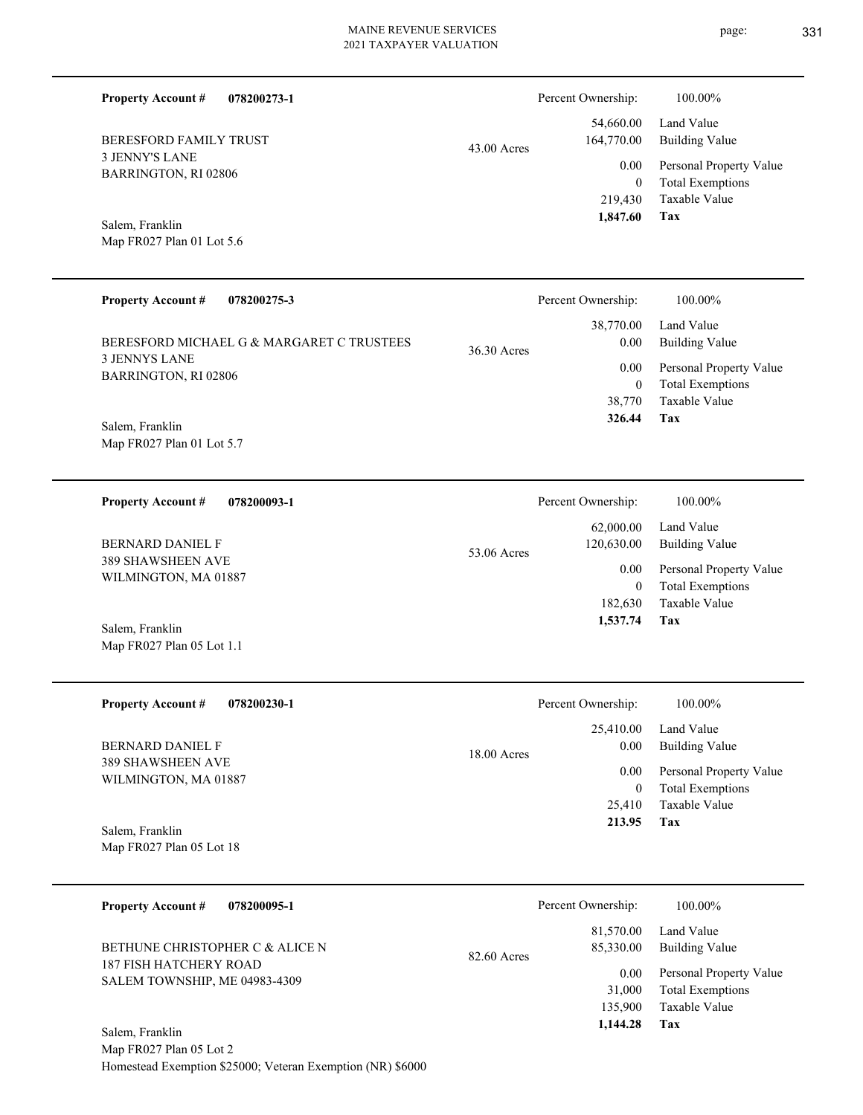Percent Ownership:  $100.00\%$ 

|               | 1,847.60             | Tax                     |
|---------------|----------------------|-------------------------|
|               |                      | 219,430 Taxable Value   |
|               | $\theta$             | <b>Total Exemptions</b> |
|               | 0.00                 | Personal Property Value |
| $43.00$ Acres | 164,770.00           | Building Value          |
|               |                      | 54,660.00 Land Value    |
|               | T CICCIII OWNCISHIP. | 100.0070                |

3 JENNY'S LANE BARRINGTON, RI 02806 BERESFORD FAMILY TRUST

**Property Account #**

**078200273-1**

Map FR027 Plan 01 Lot 5.6 Salem, Franklin

Map FR027 Plan 05 Lot 1.1

| <b>Property Account #</b><br>078200275-3     |             | Percent Ownership: | $100.00\%$                                         |
|----------------------------------------------|-------------|--------------------|----------------------------------------------------|
| BERESFORD MICHAEL G & MARGARET C TRUSTEES    | 36.30 Acres | 38,770.00<br>0.00  | Land Value<br><b>Building Value</b>                |
| <b>3 JENNYS LANE</b><br>BARRINGTON, RI 02806 |             | 0.00<br>$\theta$   | Personal Property Value<br><b>Total Exemptions</b> |
|                                              |             | 38,770             | Taxable Value                                      |
| Salem, Franklin                              |             | 326.44             | Tax                                                |
| Map FR027 Plan 01 Lot 5.7                    |             |                    |                                                    |

**078200093-1 Tax** Taxable Value Total Exemptions Personal Property Value Building Value Land Value 389 SHAWSHEEN AVE WILMINGTON, MA 01887 **Property Account #** Salem, Franklin BERNARD DANIEL F 182,630 0  **1,537.74** 62,000.00 120,630.00 0.00 53.06 Acres Percent Ownership:  $100.00\%$ 

| <b>Property Account #</b><br>078200230-1         | Percent Ownership:    | 100.00%                 |
|--------------------------------------------------|-----------------------|-------------------------|
|                                                  | 25,410.00             | Land Value              |
| BERNARD DANIEL F                                 | 0.00<br>$18.00$ Acres | Building Value          |
| <b>389 SHAWSHEEN AVE</b><br>WILMINGTON, MA 01887 | 0.00                  | Personal Property Value |
|                                                  | $\bf{0}$              | <b>Total Exemptions</b> |
|                                                  | 25,410                | Taxable Value           |
| Salem, Franklin                                  | 213.95                | Tax                     |
| Map FR027 Plan 05 Lot 18                         |                       |                         |

| <b>Property Account #</b><br>078200095-1                  | Percent Ownership:                    | 100.00%                                                             |
|-----------------------------------------------------------|---------------------------------------|---------------------------------------------------------------------|
| BETHUNE CHRISTOPHER C & ALICE N<br>187 FISH HATCHERY ROAD | 81,570.00<br>85,330.00<br>82.60 Acres | Land Value<br>Building Value                                        |
| SALEM TOWNSHIP, ME 04983-4309                             | 0.00<br>31,000<br>135,900             | Personal Property Value<br><b>Total Exemptions</b><br>Taxable Value |
| Salem, Franklin                                           | 1,144.28                              | Tax                                                                 |

Map FR027 Plan 05 Lot 2 Homestead Exemption \$25000; Veteran Exemption (NR) \$6000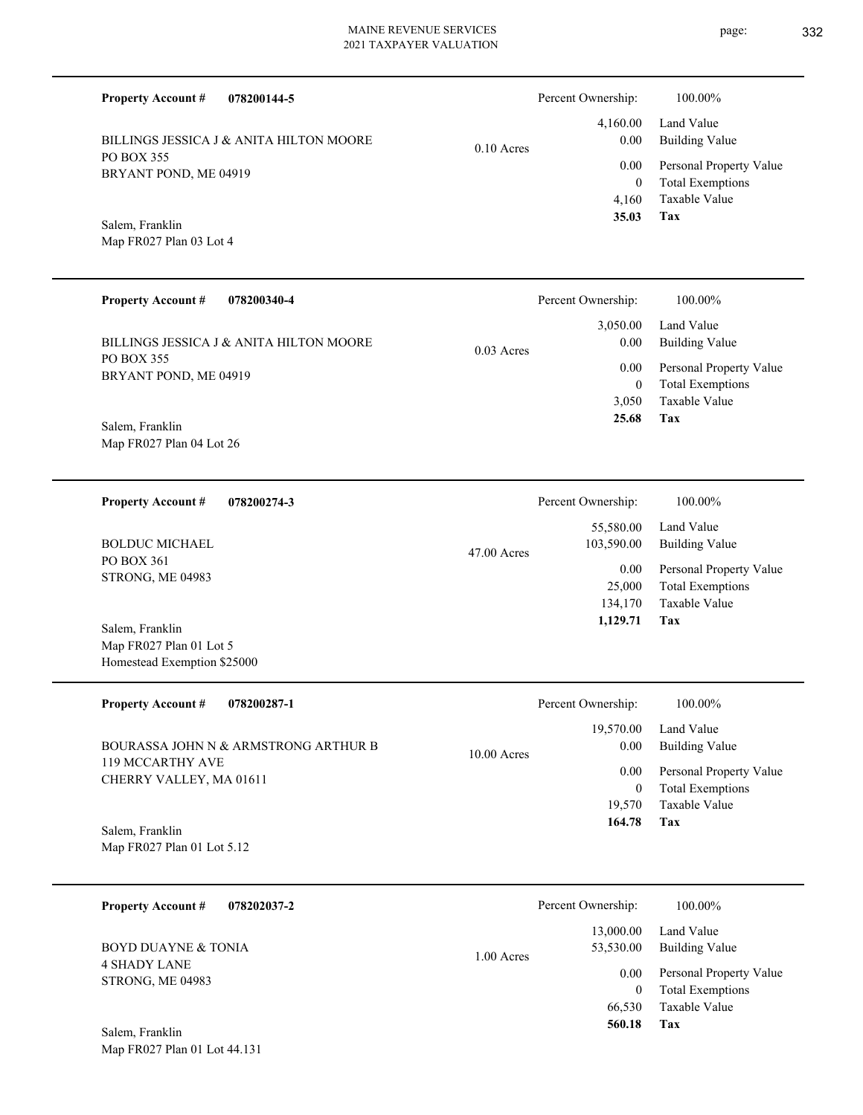**078200144-5 Tax** Taxable Value Total Exemptions Personal Property Value Building Value Land Value PO BOX 355 BRYANT POND, ME 04919 **Property Account #** Map FR027 Plan 03 Lot 4 Salem, Franklin BILLINGS JESSICA J & ANITA HILTON MOORE 4,160 0  **35.03** 4,160.00 0.00 0.00 0.10 Acres Percent Ownership:  $100.00\%$ **078200340-4 Tax** Taxable Value Total Exemptions Personal Property Value Building Value Land Value PO BOX 355 BRYANT POND, ME 04919 **Property Account #** Map FR027 Plan 04 Lot 26 Salem, Franklin BILLINGS JESSICA J & ANITA HILTON MOORE 3,050 0  **25.68** 3,050.00 0.00 0.00 0.03 Acres Percent Ownership:  $100.00\%$ **078200274-3 Tax** Taxable Value Total Exemptions Personal Property Value Building Value Land Value PO BOX 361 STRONG, ME 04983 **Property Account #** Map FR027 Plan 01 Lot 5 Homestead Exemption \$25000 Salem, Franklin BOLDUC MICHAEL 134,170 25,000  **1,129.71** 55,580.00 103,590.00 0.00 47.00 Acres Percent Ownership:  $100.00\%$ **078200287-1 Property Account #** 19,570.00 Percent Ownership:  $100.00\%$ 

**Tax** Taxable Value Total Exemptions Personal Property Value Building Value Land Value 119 MCCARTHY AVE CHERRY VALLEY, MA 01611 Salem, Franklin BOURASSA JOHN N & ARMSTRONG ARTHUR B 19,570 0  **164.78** 0.00 0.00 10.00 Acres

Map FR027 Plan 01 Lot 5.12

| 078202037-2<br><b>Property Account #</b>   | Percent Ownership:                     | 100.00%                                            |
|--------------------------------------------|----------------------------------------|----------------------------------------------------|
| BOYD DUAYNE & TONIA<br><b>4 SHADY LANE</b> | 13,000.00<br>53,530.00<br>$1.00$ Acres | Land Value<br>Building Value                       |
| STRONG, ME 04983                           | 0.00<br>0                              | Personal Property Value<br><b>Total Exemptions</b> |
| Salem, Franklin                            | 66,530<br>560.18                       | Taxable Value<br>Tax                               |

Map FR027 Plan 01 Lot 44.131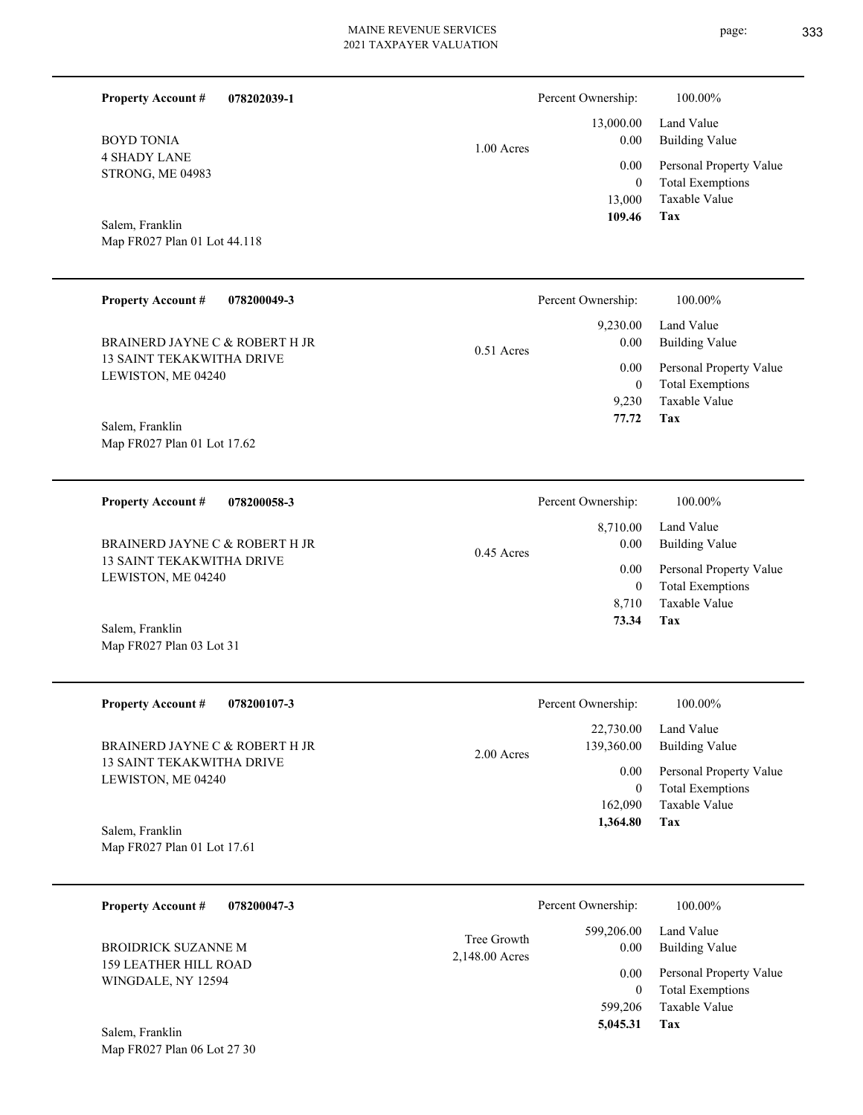|              | Percent Ownership:   | 100.00%                                            |
|--------------|----------------------|----------------------------------------------------|
|              |                      | 13,000.00 Land Value                               |
| $1.00$ Acres | 0.00                 | <b>Building Value</b>                              |
|              | $0.00\,$<br>$\theta$ | Personal Property Value<br><b>Total Exemptions</b> |
|              | 13,000               | Taxable Value                                      |
|              | 109.46               | Tax                                                |

Map FR027 Plan 01 Lot 44.118 Salem, Franklin

4 SHADY LANE STRONG, ME 04983

BOYD TONIA

**Property Account #**

**078202039-1**

| <b>Property Account #</b><br>078200049-3        | Percent Ownership:                   | 100.00%                                            |
|-------------------------------------------------|--------------------------------------|----------------------------------------------------|
| BRAINERD JAYNE C & ROBERT H JR                  | 9,230.00<br>0.00                     | Land Value<br>Building Value                       |
| 13 SAINT TEKAKWITHA DRIVE<br>LEWISTON, ME 04240 | $0.51$ Acres<br>0.00<br>$\mathbf{0}$ | Personal Property Value<br><b>Total Exemptions</b> |
|                                                 | 9.230                                | Taxable Value                                      |
| Salem, Franklin                                 | 77.72                                | Tax                                                |
| Map FR027 Plan 01 Lot 17.62                     |                                      |                                                    |

| 078200058-3<br><b>Property Account #</b>                                                             | Percent Ownership:                                              | 100.00%                                                                                                           |
|------------------------------------------------------------------------------------------------------|-----------------------------------------------------------------|-------------------------------------------------------------------------------------------------------------------|
| BRAINERD JAYNE C & ROBERT H JR<br>13 SAINT TEKAKWITHA DRIVE<br>LEWISTON, ME 04240<br>Salem, Franklin | 8.710.00<br>0.00<br>$0.45$ Acres<br>0.00<br>0<br>8.710<br>73.34 | Land Value<br><b>Building Value</b><br>Personal Property Value<br><b>Total Exemptions</b><br>Taxable Value<br>Tax |

| <b>Property Account #</b><br>078200107-3                    | Percent Ownership:                      | 100.00%                                                             |
|-------------------------------------------------------------|-----------------------------------------|---------------------------------------------------------------------|
| BRAINERD JAYNE C & ROBERT H JR<br>13 SAINT TEKAKWITHA DRIVE | 22,730.00<br>139,360.00<br>$2.00$ Acres | Land Value<br>Building Value                                        |
| LEWISTON, ME 04240                                          | 0.00<br>$\theta$<br>162,090             | Personal Property Value<br><b>Total Exemptions</b><br>Taxable Value |
| Salem, Franklin<br>Map FR027 Plan 01 Lot 17.61              | 1,364.80                                | Tax                                                                 |

| 078200047-3<br><b>Property Account #</b>           |                               | Percent Ownership:   | 100.00%                                            |
|----------------------------------------------------|-------------------------------|----------------------|----------------------------------------------------|
| BROIDRICK SUZANNE M                                | Tree Growth<br>2,148.00 Acres | 599,206.00<br>0.00   | Land Value<br>Building Value                       |
| <b>159 LEATHER HILL ROAD</b><br>WINGDALE, NY 12594 |                               | 0.00<br>$\mathbf{0}$ | Personal Property Value<br><b>Total Exemptions</b> |
|                                                    |                               | 599,206              | Taxable Value                                      |
| Salem, Franklin                                    |                               | 5,045.31             | Tax                                                |

Map FR027 Plan 06 Lot 27 30

Map FR027 Plan 03 Lot 31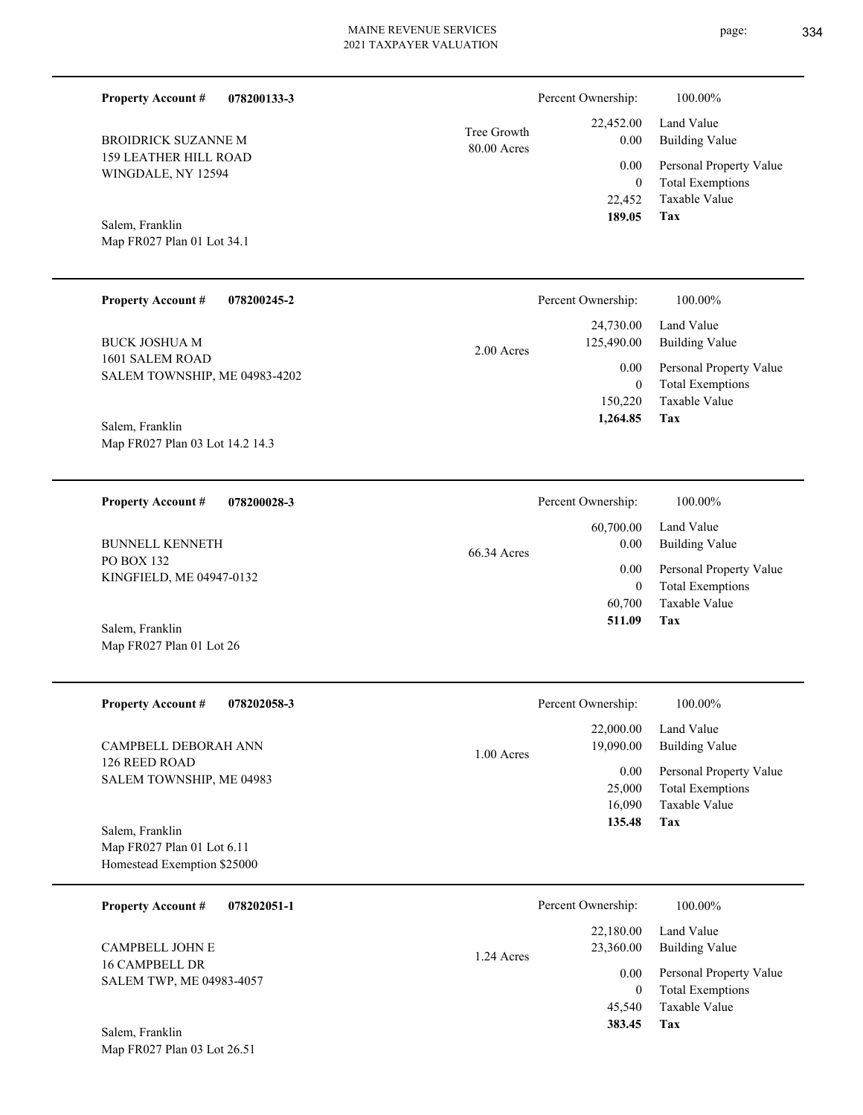| <b>Property Account #</b><br>078200133-3           |                            | Percent Ownership:          | 100.00%                                            |
|----------------------------------------------------|----------------------------|-----------------------------|----------------------------------------------------|
| <b>BROIDRICK SUZANNE M</b>                         | Tree Growth<br>80.00 Acres | 22,452.00<br>0.00           | Land Value<br><b>Building Value</b>                |
| <b>159 LEATHER HILL ROAD</b><br>WINGDALE, NY 12594 |                            | 0.00                        | Personal Property Value                            |
|                                                    |                            | $\mathbf{0}$                | <b>Total Exemptions</b>                            |
|                                                    |                            | 22,452<br>189.05            | <b>Taxable Value</b><br>Tax                        |
| Salem, Franklin<br>Map FR027 Plan 01 Lot 34.1      |                            |                             |                                                    |
|                                                    |                            |                             |                                                    |
| <b>Property Account #</b><br>078200245-2           |                            | Percent Ownership:          | 100.00%                                            |
|                                                    |                            | 24,730.00                   | Land Value                                         |
| <b>BUCK JOSHUA M</b>                               | 2.00 Acres                 | 125,490.00                  | <b>Building Value</b>                              |
| 1601 SALEM ROAD<br>SALEM TOWNSHIP, ME 04983-4202   |                            | 0.00                        | Personal Property Value                            |
|                                                    |                            | $\boldsymbol{0}$<br>150,220 | <b>Total Exemptions</b><br>Taxable Value           |
| Salem, Franklin                                    |                            | 1,264.85                    | Tax                                                |
| Map FR027 Plan 03 Lot 14.2 14.3                    |                            |                             |                                                    |
|                                                    |                            |                             |                                                    |
| <b>Property Account #</b><br>078200028-3           |                            | Percent Ownership:          | 100.00%                                            |
|                                                    |                            | 60,700.00                   | Land Value                                         |
| <b>BUNNELL KENNETH</b><br>PO BOX 132               | 66.34 Acres                | 0.00                        | <b>Building Value</b>                              |
| KINGFIELD, ME 04947-0132                           |                            | 0.00<br>$\mathbf{0}$        | Personal Property Value<br><b>Total Exemptions</b> |
|                                                    |                            | 60,700                      | <b>Taxable Value</b>                               |
| Salem, Franklin                                    |                            | 511.09                      | Tax                                                |
| Map FR027 Plan 01 Lot 26                           |                            |                             |                                                    |
|                                                    |                            |                             |                                                    |
| <b>Property Account #</b><br>078202058-3           |                            | Percent Ownership:          | 100.00%                                            |
|                                                    |                            | 22,000.00                   | Land Value                                         |
| CAMPBELL DEBORAH ANN<br>126 REED ROAD              | 1.00 Acres                 | 19,090.00                   | <b>Building Value</b>                              |
| SALEM TOWNSHIP, ME 04983                           |                            | 0.00<br>25,000              | Personal Property Value<br><b>Total Exemptions</b> |
|                                                    |                            | 16,090                      | Taxable Value                                      |
| Salem, Franklin                                    |                            | 135.48                      | Tax                                                |
| Map FR027 Plan 01 Lot 6.11                         |                            |                             |                                                    |
| Homestead Exemption \$25000                        |                            |                             |                                                    |
| 078202051-1<br><b>Property Account #</b>           |                            | Percent Ownership:          | 100.00%                                            |
|                                                    |                            | 22,180.00                   | Land Value                                         |
| CAMPBELL JOHN E<br>16 CAMPBELL DR                  | 1.24 Acres                 | 23,360.00                   | <b>Building Value</b>                              |
| SALEM TWP, ME 04983-4057                           |                            | 0.00<br>$\overline{0}$      | Personal Property Value<br><b>Total Exemptions</b> |

**Tax 383.45**

Taxable Value 45,540

Map FR027 Plan 03 Lot 26.51 Salem, Franklin

page: 334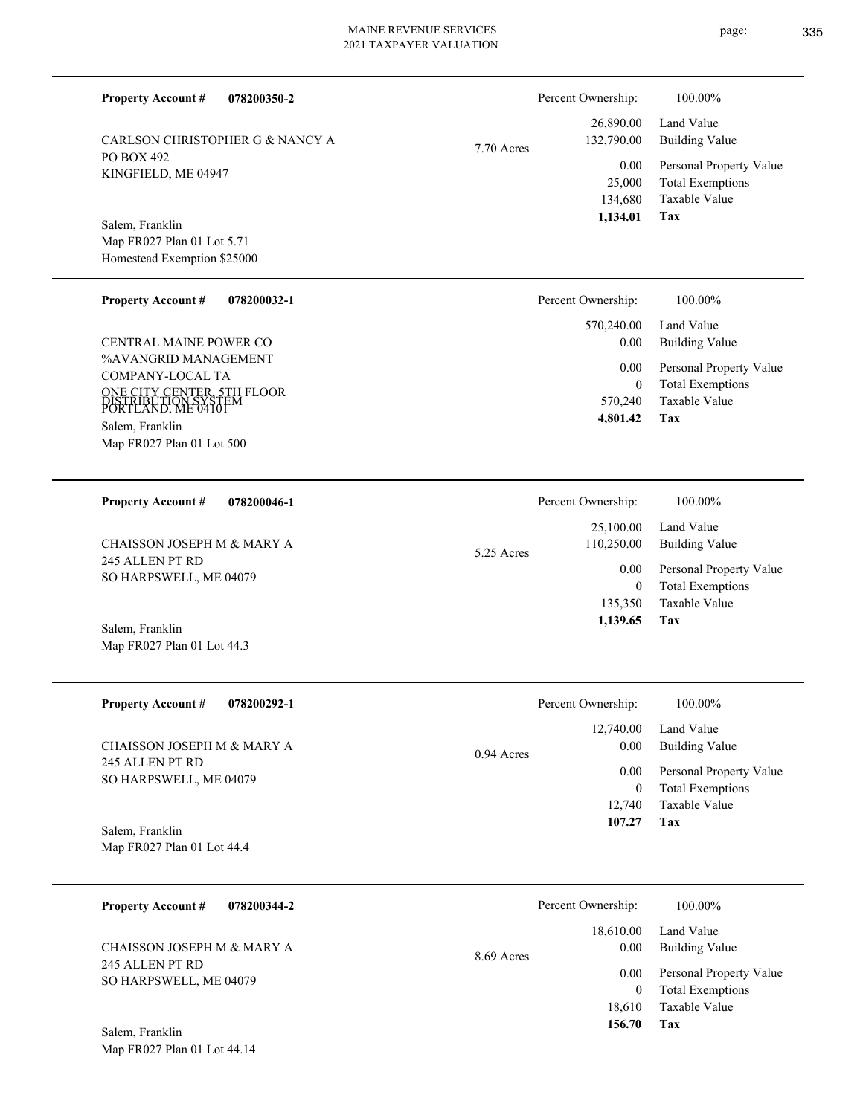**078200350-2**

CARLSON CHRISTOPHER G & NANCY A

PO BOX 492

Salem, Franklin

KINGFIELD, ME 04947

Map FR027 Plan 01 Lot 5.71 Homestead Exemption \$25000

**Property Account #**

7.70 Acres

| <b>Property Account #</b><br>078200032-1                                | Percent Ownership: | 100.00%                                  |
|-------------------------------------------------------------------------|--------------------|------------------------------------------|
|                                                                         | 570,240.00         | Land Value                               |
| <b>CENTRAL MAINE POWER CO</b>                                           | 0.00               | <b>Building Value</b>                    |
| %AVANGRID MANAGEMENT                                                    | 0.00               | Personal Property Value                  |
| COMPANY-LOCAL TA                                                        |                    | <b>Total Exemptions</b><br>$\mathbf{0}$  |
| ONE CITY CENTER, 5TH FLOOR<br>DISTRIBUTION SYSTEM<br>PORTLAND. ME 04101 | 570,240            | Taxable Value                            |
| Salem, Franklin                                                         | 4,801.42           | Tax                                      |
| Map FR027 Plan 01 Lot 500                                               |                    |                                          |
|                                                                         |                    |                                          |
|                                                                         |                    |                                          |
| <b>Property Account #</b><br>078200046-1                                | Percent Ownership: | 100.00%                                  |
|                                                                         | 25,100.00          | Land Value                               |
| CHAISSON JOSEPH M & MARY A                                              | 110,250.00         | <b>Building Value</b>                    |
| 245 ALLEN PT RD                                                         | 5.25 Acres<br>0.00 |                                          |
| SO HARPSWELL, ME 04079                                                  |                    | Personal Property Value<br>$\mathbf{0}$  |
|                                                                         |                    | <b>Total Exemptions</b><br>Taxable Value |
|                                                                         | 135,350            |                                          |
| Salem, Franklin                                                         | 1,139.65           | Tax                                      |

| <b>Property Account #</b><br>078200292-1  | Percent Ownership:                | 100.00%                      |
|-------------------------------------------|-----------------------------------|------------------------------|
| CHAISSON JOSEPH M & MARY A                | 12,740.00<br>0.00<br>$0.94$ Acres | Land Value<br>Building Value |
| 245 ALLEN PT RD<br>SO HARPSWELL, ME 04079 | 0.00                              | Personal Property Value      |
|                                           |                                   | <b>Total Exemptions</b>      |
|                                           | 12.740                            | Taxable Value                |
| Salem, Franklin                           | 107.27                            | Tax                          |

Map FR027 Plan 01 Lot 44.4

| <b>Property Account #</b><br>078200344-2  | Percent Ownership:              | 100.00%                                            |
|-------------------------------------------|---------------------------------|----------------------------------------------------|
| CHAISSON JOSEPH M & MARY A                | 18,610.00<br>0.00<br>8.69 Acres | Land Value<br>Building Value                       |
| 245 ALLEN PT RD<br>SO HARPSWELL, ME 04079 | 0.00<br>0                       | Personal Property Value<br><b>Total Exemptions</b> |
|                                           | 18.610                          | Taxable Value                                      |
| $\mathbf{r}$ $\mathbf{r}$<br>$\sim$ 1     | 156.70                          | Tax                                                |

Map FR027 Plan 01 Lot 44.14 Salem, Franklin

**Tax**

 134,680 25,000

0.00

Percent Ownership:  $100.00\%$ 

 26,890.00 132,790.00

 **1,134.01**

Taxable Value Total Exemptions Personal Property Value

Building Value Land Value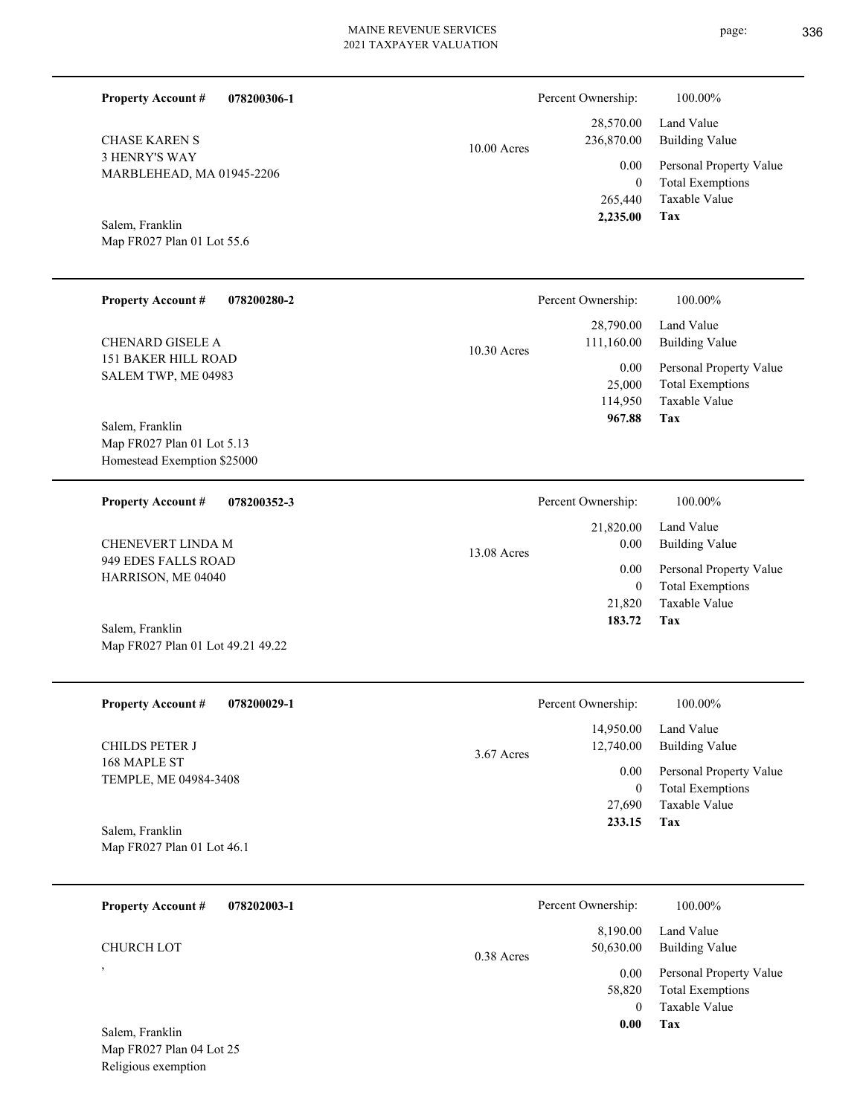| <b>Property Account #</b><br>078200306-1                                     |             | Percent Ownership:                       | 100.00%                                                                    |
|------------------------------------------------------------------------------|-------------|------------------------------------------|----------------------------------------------------------------------------|
| <b>CHASE KAREN S</b>                                                         | 10.00 Acres | 28,570.00<br>236,870.00                  | Land Value<br><b>Building Value</b>                                        |
| <b>3 HENRY'S WAY</b><br>MARBLEHEAD, MA 01945-2206                            |             | 0.00<br>$\mathbf{0}$<br>265,440          | Personal Property Value<br><b>Total Exemptions</b><br>Taxable Value        |
| Salem, Franklin<br>Map FR027 Plan 01 Lot 55.6                                |             | 2,235.00                                 | Tax                                                                        |
| <b>Property Account #</b><br>078200280-2                                     |             | Percent Ownership:                       | 100.00%                                                                    |
| <b>CHENARD GISELE A</b>                                                      | 10.30 Acres | 28,790.00<br>111,160.00                  | Land Value<br><b>Building Value</b>                                        |
| 151 BAKER HILL ROAD<br>SALEM TWP, ME 04983                                   |             | 0.00<br>25,000<br>114,950<br>967.88      | Personal Property Value<br><b>Total Exemptions</b><br>Taxable Value<br>Tax |
| Salem, Franklin<br>Map FR027 Plan 01 Lot 5.13<br>Homestead Exemption \$25000 |             |                                          |                                                                            |
| <b>Property Account #</b><br>078200352-3                                     |             | Percent Ownership:                       | 100.00%                                                                    |
| CHENEVERT LINDA M                                                            | 13.08 Acres | 21,820.00<br>0.00                        | Land Value<br><b>Building Value</b>                                        |
| 949 EDES FALLS ROAD<br>HARRISON, ME 04040                                    |             | 0.00<br>$\overline{0}$<br>21,820         | Personal Property Value<br><b>Total Exemptions</b><br>Taxable Value        |
| Salem, Franklin<br>Map FR027 Plan 01 Lot 49.21 49.22                         |             | 183.72                                   | Tax                                                                        |
| <b>Property Account #</b><br>078200029-1                                     |             | Percent Ownership:                       | 100.00%                                                                    |
| CHILDS PETER J                                                               | 3.67 Acres  | 14,950.00<br>12,740.00                   | Land Value<br><b>Building Value</b>                                        |
| 168 MAPLE ST<br>TEMPLE, ME 04984-3408                                        |             | 0.00<br>$\mathbf{0}$                     | Personal Property Value<br><b>Total Exemptions</b>                         |
| Salem, Franklin<br>Map FR027 Plan 01 Lot 46.1                                |             | 27,690<br>233.15                         | Taxable Value<br>Tax                                                       |
| <b>Property Account #</b><br>078202003-1                                     |             | Percent Ownership:                       | 100.00%                                                                    |
| CHURCH LOT                                                                   | 0.38 Acres  | 8,190.00<br>50,630.00                    | Land Value<br><b>Building Value</b>                                        |
|                                                                              |             | 0.00<br>58,820<br>$\overline{0}$<br>0.00 | Personal Property Value<br><b>Total Exemptions</b><br>Taxable Value<br>Tax |
| Salem, Franklin<br>Map FR027 Plan 04 Lot 25                                  |             |                                          |                                                                            |

Religious exemption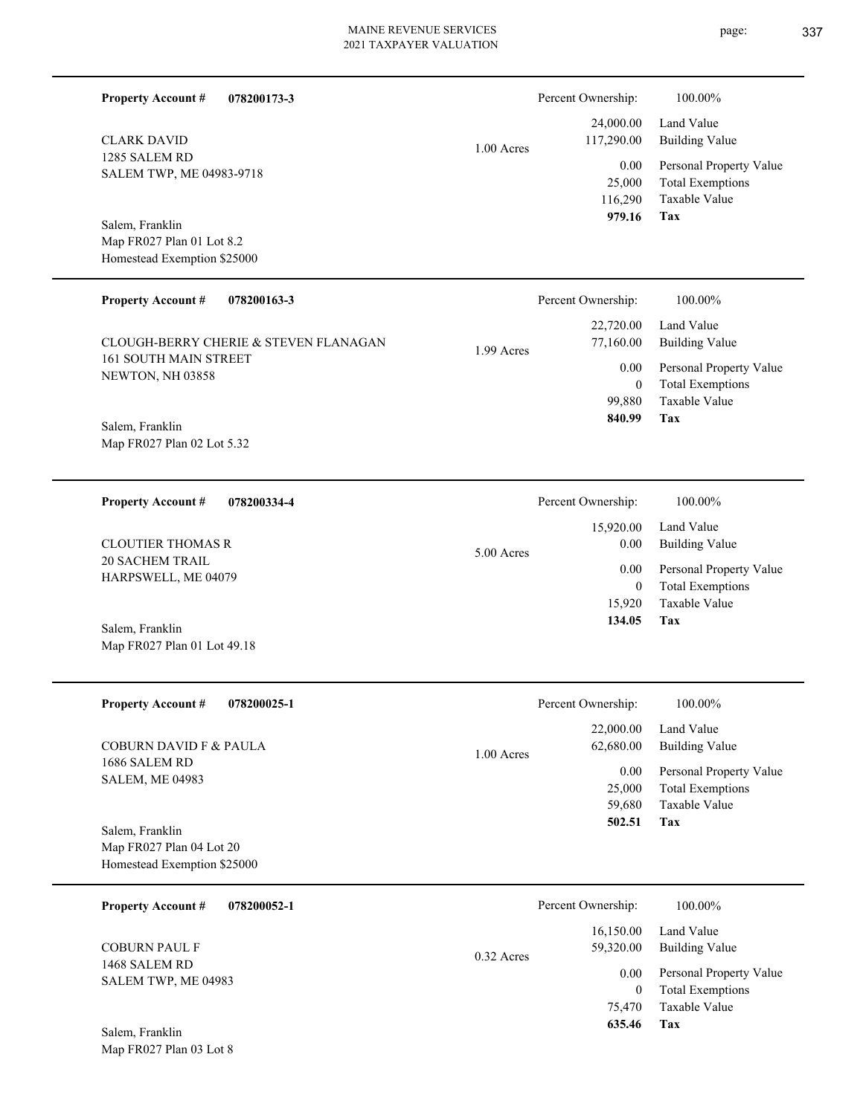| <b>Property Account #</b><br>078200173-3                                    |              | Percent Ownership:                         | 100.00%                                                                           |
|-----------------------------------------------------------------------------|--------------|--------------------------------------------|-----------------------------------------------------------------------------------|
| <b>CLARK DAVID</b>                                                          | $1.00$ Acres | 24,000.00<br>117,290.00                    | Land Value<br><b>Building Value</b>                                               |
| 1285 SALEM RD<br>SALEM TWP, ME 04983-9718                                   |              | 0.00<br>25,000<br>116,290<br>979.16        | Personal Property Value<br><b>Total Exemptions</b><br>Taxable Value<br><b>Tax</b> |
| Salem, Franklin<br>Map FR027 Plan 01 Lot 8.2<br>Homestead Exemption \$25000 |              |                                            |                                                                                   |
| <b>Property Account #</b><br>078200163-3                                    |              | Percent Ownership:                         | 100.00%                                                                           |
| CLOUGH-BERRY CHERIE & STEVEN FLANAGAN                                       | 1.99 Acres   | 22,720.00<br>77,160.00                     | Land Value<br><b>Building Value</b>                                               |
| 161 SOUTH MAIN STREET<br>NEWTON, NH 03858                                   |              | 0.00<br>$\overline{0}$<br>99,880<br>840.99 | Personal Property Value<br><b>Total Exemptions</b><br>Taxable Value<br>Tax        |
| Salem, Franklin<br>Map FR027 Plan 02 Lot 5.32                               |              |                                            |                                                                                   |
| <b>Property Account #</b><br>078200334-4                                    |              | Percent Ownership:                         | 100.00%                                                                           |
| <b>CLOUTIER THOMAS R</b>                                                    | 5.00 Acres   | 15,920.00<br>0.00                          | Land Value<br><b>Building Value</b>                                               |
| <b>20 SACHEM TRAIL</b><br>HARPSWELL, ME 04079                               |              | 0.00<br>$\overline{0}$<br>15,920           | Personal Property Value<br><b>Total Exemptions</b><br>Taxable Value               |
| Salem, Franklin<br>Map FR027 Plan 01 Lot 49.18                              |              | 134.05                                     | Tax                                                                               |
| <b>Property Account #</b><br>078200025-1                                    |              | Percent Ownership:                         | 100.00%                                                                           |
| <b>COBURN DAVID F &amp; PAULA</b>                                           | 1.00 Acres   | 22,000.00<br>62,680.00                     | Land Value<br><b>Building Value</b>                                               |
| 1686 SALEM RD<br><b>SALEM, ME 04983</b>                                     |              | 0.00<br>25,000<br>59,680                   | Personal Property Value<br><b>Total Exemptions</b><br>Taxable Value               |
| Salem, Franklin<br>Map FR027 Plan 04 Lot 20                                 |              | 502.51                                     | Tax                                                                               |
| Homestead Exemption \$25000                                                 |              |                                            |                                                                                   |
| 078200052-1<br><b>Property Account #</b>                                    |              | Percent Ownership:                         | 100.00%                                                                           |
| <b>COBURN PAUL F</b>                                                        | 0.32 Acres   | 16,150.00<br>59,320.00                     | Land Value<br><b>Building Value</b>                                               |
| 1468 SALEM RD<br>SALEM TWP, ME 04983                                        |              | 0.00<br>$\mathbf{0}$<br>75,470<br>635.46   | Personal Property Value<br><b>Total Exemptions</b><br>Taxable Value<br>Tax        |
| Salem, Franklin<br>Map FR027 Plan 03 Lot 8                                  |              |                                            |                                                                                   |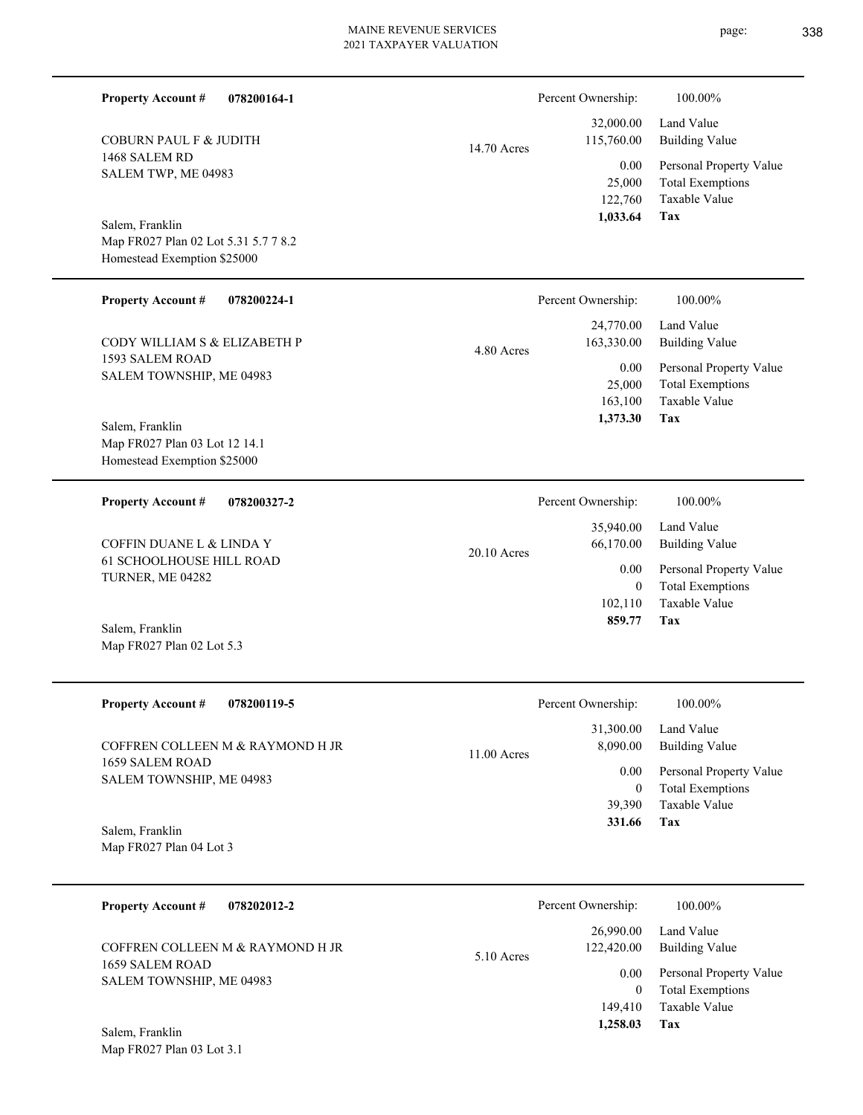| <b>Property Account #</b><br>078200164-1                                               |             | Percent Ownership:                            | 100.00%                                                                                   |
|----------------------------------------------------------------------------------------|-------------|-----------------------------------------------|-------------------------------------------------------------------------------------------|
| <b>COBURN PAUL F &amp; JUDITH</b><br>1468 SALEM RD<br>SALEM TWP, ME 04983              | 14.70 Acres | 32,000.00<br>115,760.00<br>0.00<br>25,000     | Land Value<br><b>Building Value</b><br>Personal Property Value<br><b>Total Exemptions</b> |
| Salem, Franklin<br>Map FR027 Plan 02 Lot 5.31 5.7 7 8.2<br>Homestead Exemption \$25000 |             | 122,760<br>1,033.64                           | Taxable Value<br>Tax                                                                      |
| <b>Property Account #</b><br>078200224-1                                               |             | Percent Ownership:                            | 100.00%                                                                                   |
| CODY WILLIAM S & ELIZABETH P                                                           | 4.80 Acres  | 24,770.00<br>163,330.00                       | Land Value<br><b>Building Value</b>                                                       |
| 1593 SALEM ROAD<br>SALEM TOWNSHIP, ME 04983<br>Salem, Franklin                         |             | 0.00<br>25,000<br>163,100<br>1,373.30         | Personal Property Value<br><b>Total Exemptions</b><br>Taxable Value<br>Tax                |
| Map FR027 Plan 03 Lot 12 14.1<br>Homestead Exemption \$25000                           |             |                                               |                                                                                           |
| <b>Property Account #</b><br>078200327-2                                               |             | Percent Ownership:                            | 100.00%                                                                                   |
| COFFIN DUANE L & LINDA Y                                                               | 20.10 Acres | 35,940.00<br>66,170.00                        | Land Value<br><b>Building Value</b>                                                       |
| <b>61 SCHOOLHOUSE HILL ROAD</b><br>TURNER, ME 04282                                    |             | 0.00<br>$\mathbf{0}$<br>102,110<br>859.77     | Personal Property Value<br><b>Total Exemptions</b><br>Taxable Value<br>Tax                |
| Salem, Franklin<br>Map FR027 Plan 02 Lot 5.3                                           |             |                                               |                                                                                           |
| <b>Property Account #</b><br>078200119-5                                               |             | Percent Ownership:                            | 100.00%                                                                                   |
| COFFREN COLLEEN M & RAYMOND H JR                                                       | 11.00 Acres | 31,300.00<br>8,090.00                         | Land Value<br><b>Building Value</b>                                                       |
| 1659 SALEM ROAD<br>SALEM TOWNSHIP, ME 04983                                            |             | 0.00<br>$\overline{0}$<br>39,390<br>331.66    | Personal Property Value<br><b>Total Exemptions</b><br>Taxable Value<br>Tax                |
| Salem, Franklin<br>Map FR027 Plan 04 Lot 3                                             |             |                                               |                                                                                           |
| <b>Property Account #</b><br>078202012-2                                               |             | Percent Ownership:                            | 100.00%                                                                                   |
| COFFREN COLLEEN M & RAYMOND H JR                                                       | 5.10 Acres  | 26,990.00<br>122,420.00                       | Land Value<br><b>Building Value</b>                                                       |
| 1659 SALEM ROAD<br>SALEM TOWNSHIP, ME 04983                                            |             | 0.00<br>$\overline{0}$<br>149,410<br>1,258.03 | Personal Property Value<br><b>Total Exemptions</b><br>Taxable Value<br>Tax                |
| Salem, Franklin<br>Map FR027 Plan 03 Lot 3.1                                           |             |                                               |                                                                                           |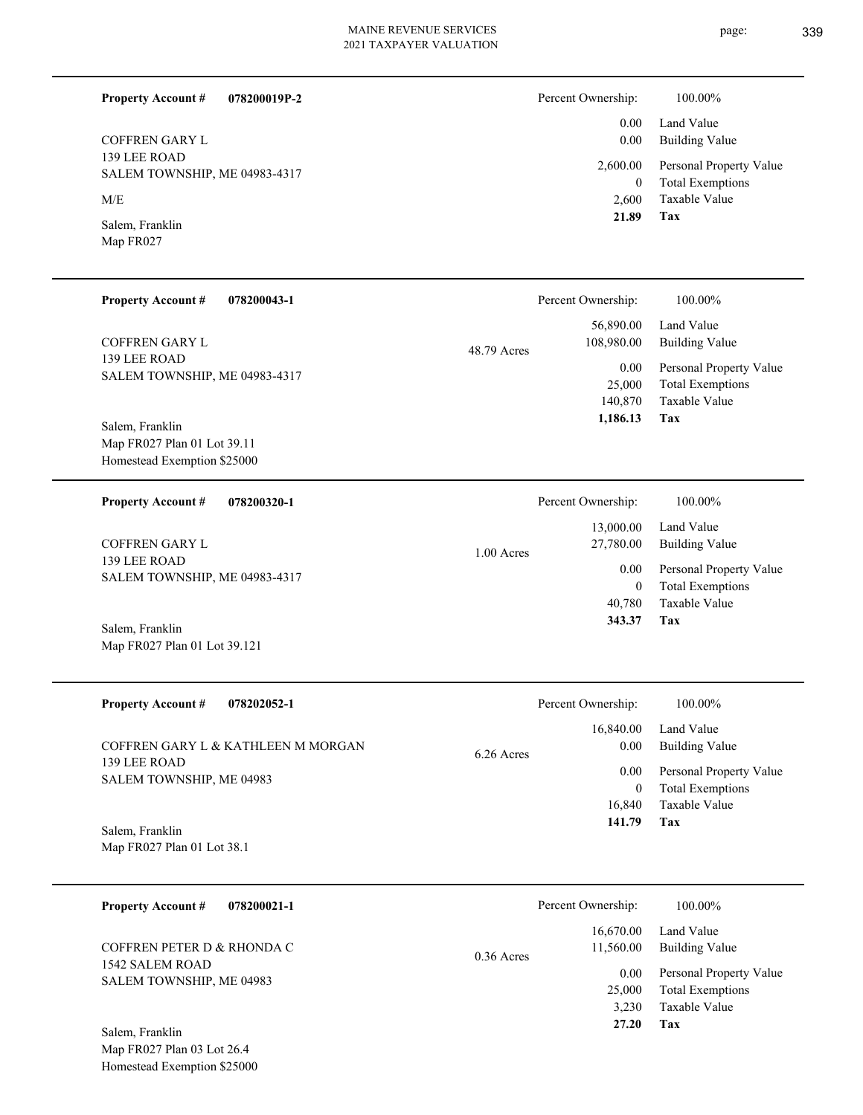#### **078200019P-2 Property Account #**

139 LEE ROAD SALEM TOWNSHIP, ME 04983-4317 COFFREN GARY L

M/E

Map FR027 Salem, Franklin

| <b>Property Account #</b> | 078200043-1 |
|---------------------------|-------------|
|                           |             |

139 LEE ROAD SALEM TOWNSHIP, ME 04983-4317 COFFREN GARY L

Map FR027 Plan 01 Lot 39.11 Homestead Exemption \$25000 Salem, Franklin

**078200320-1 Property Account #**

139 LEE ROAD SALEM TOWNSHIP, ME 04983-4317 COFFREN GARY L

Map FR027 Plan 01 Lot 39.121 Salem, Franklin

| <b>Property Account #</b><br>078202052-1 | Percent Ownership:                | 100.00%                                            |
|------------------------------------------|-----------------------------------|----------------------------------------------------|
| COFFREN GARY L & KATHLEEN M MORGAN       | 16,840.00<br>0.00<br>$6.26$ Acres | Land Value<br><b>Building Value</b>                |
| 139 LEE ROAD<br>SALEM TOWNSHIP, ME 04983 | 0.00<br>$\bf{0}$                  | Personal Property Value<br><b>Total Exemptions</b> |
| Salem, Franklin                          | 16.840<br>141.79                  | Taxable Value<br>Tax                               |

Map FR027 Plan 01 Lot 38.1

Map FR027 Plan 03 Lot 26.4 Homestead Exemption \$25000

| <b>Property Account #</b>                                                                    | 078200021-1 |              | Percent Ownership:                                         | 100.00%                                                                                                    |
|----------------------------------------------------------------------------------------------|-------------|--------------|------------------------------------------------------------|------------------------------------------------------------------------------------------------------------|
| COFFREN PETER D & RHONDA C<br>1542 SALEM ROAD<br>SALEM TOWNSHIP, ME 04983<br>Salem, Franklin |             | $0.36$ Acres | 16,670.00<br>11,560.00<br>0.00<br>25,000<br>3.230<br>27.20 | Land Value<br>Building Value<br>Personal Property Value<br><b>Total Exemptions</b><br>Taxable Value<br>Tax |

| 21.89              |  |
|--------------------|--|
|                    |  |
|                    |  |
| Percent Ownership: |  |

48.79 Acres

1.00 Acres

| Percent Ownership: | 100.00%                                           |
|--------------------|---------------------------------------------------|
|                    | 56,890.00 Land Value<br>108,980.00 Building Value |
|                    | 0.00 Personal Property Value                      |

**Tax**

 2,600 0

 0.00 0.00 2,600.00

Taxable Value Total Exemptions Personal Property Value

Building Value Land Value

| Percent Ownership: | 100.00%                 |
|--------------------|-------------------------|
| 13,000.00          | Land Value              |
| 27,780.00          | Building Value          |
| 0.00               | Personal Property Value |
| 0                  | <b>Total Exemptions</b> |
| 40,780             | Taxable Value           |
| 343.37             | Tax                     |

| v.vv     | Personal Property val   |
|----------|-------------------------|
| 25,000   | <b>Total Exemptions</b> |
| 140,870  | Taxable Value           |
| 1,186.13 | Tax                     |
|          |                         |
|          |                         |
|          |                         |
|          |                         |

| Percent Ownership: | 100.00% |
|--------------------|---------|

page: 339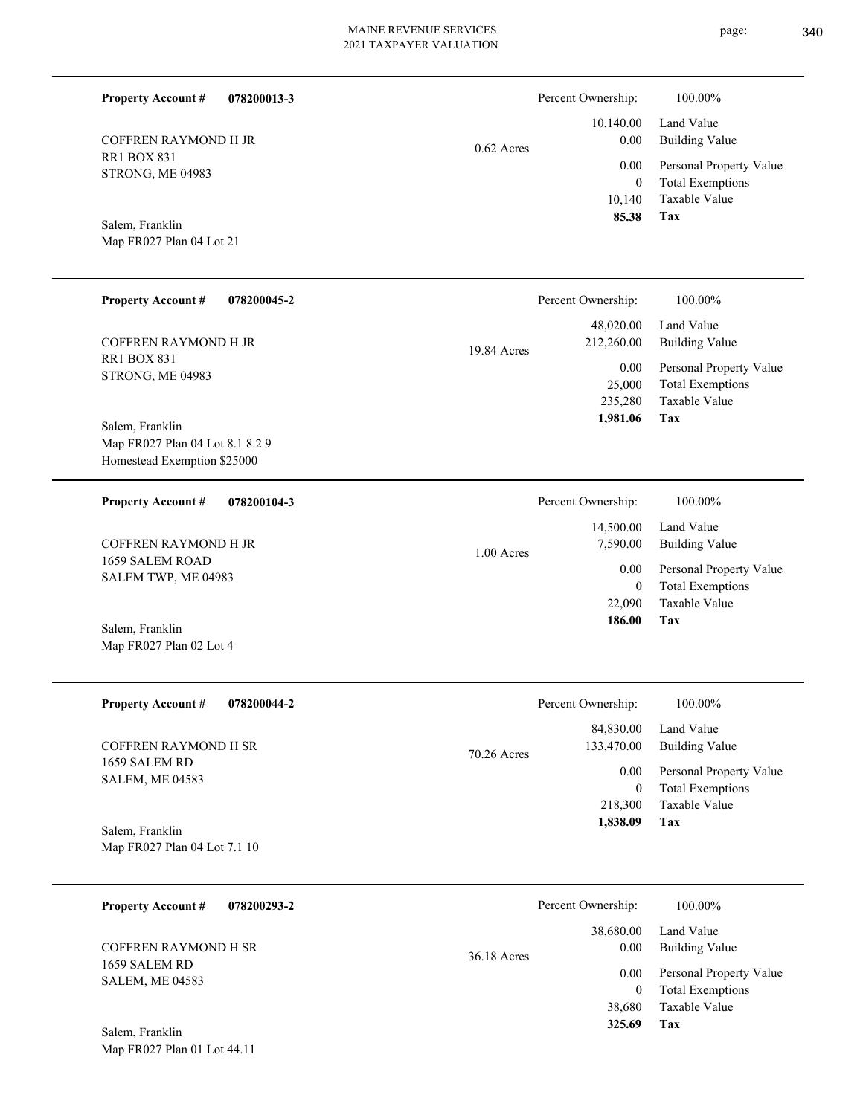| <b>Property Account #</b><br>078200013-3                       |              | Percent Ownership:                         | 100.00%                                                                    |
|----------------------------------------------------------------|--------------|--------------------------------------------|----------------------------------------------------------------------------|
| COFFREN RAYMOND H JR                                           | $0.62$ Acres | 10,140.00<br>0.00                          | Land Value<br><b>Building Value</b>                                        |
| <b>RR1 BOX 831</b><br>STRONG, ME 04983                         |              | 0.00<br>$\overline{0}$<br>10,140           | Personal Property Value<br><b>Total Exemptions</b><br>Taxable Value        |
| Salem, Franklin<br>Map FR027 Plan 04 Lot 21                    |              | 85.38                                      | Tax                                                                        |
| <b>Property Account #</b><br>078200045-2                       |              | Percent Ownership:                         | 100.00%                                                                    |
| COFFREN RAYMOND H JR                                           | 19.84 Acres  | 48,020.00<br>212,260.00                    | Land Value<br><b>Building Value</b>                                        |
| <b>RR1 BOX 831</b><br>STRONG, ME 04983<br>Salem, Franklin      |              | 0.00<br>25,000<br>235,280<br>1,981.06      | Personal Property Value<br><b>Total Exemptions</b><br>Taxable Value<br>Tax |
| Map FR027 Plan 04 Lot 8.1 8.2 9<br>Homestead Exemption \$25000 |              |                                            |                                                                            |
| <b>Property Account #</b><br>078200104-3                       |              | Percent Ownership:                         | 100.00%                                                                    |
| COFFREN RAYMOND H JR                                           | 1.00 Acres   | 14,500.00<br>7,590.00                      | Land Value<br><b>Building Value</b>                                        |
| 1659 SALEM ROAD<br>SALEM TWP, ME 04983                         |              | 0.00<br>$\overline{0}$                     | Personal Property Value<br><b>Total Exemptions</b>                         |
| Salem, Franklin<br>Map FR027 Plan 02 Lot 4                     |              | 22,090<br>186.00                           | Taxable Value<br>Tax                                                       |
| <b>Property Account #</b><br>078200044-2                       |              | Percent Ownership:                         | 100.00%                                                                    |
| COFFREN RAYMOND H SR                                           | 70.26 Acres  | 84,830.00<br>133,470.00                    | Land Value<br><b>Building Value</b>                                        |
| 1659 SALEM RD<br><b>SALEM, ME 04583</b>                        |              | 0.00<br>$\mathbf{0}$<br>218,300            | Personal Property Value<br><b>Total Exemptions</b><br>Taxable Value        |
| Salem, Franklin<br>Map FR027 Plan 04 Lot 7.1 10                |              | 1,838.09                                   | Tax                                                                        |
| <b>Property Account #</b><br>078200293-2                       |              | Percent Ownership:                         | 100.00%                                                                    |
| <b>COFFREN RAYMOND H SR</b>                                    | 36.18 Acres  | 38,680.00<br>0.00                          | Land Value<br><b>Building Value</b>                                        |
| 1659 SALEM RD<br><b>SALEM, ME 04583</b><br>Salem, Franklin     |              | 0.00<br>$\overline{0}$<br>38,680<br>325.69 | Personal Property Value<br><b>Total Exemptions</b><br>Taxable Value<br>Tax |
| Map FR027 Plan 01 Lot 44.11                                    |              |                                            |                                                                            |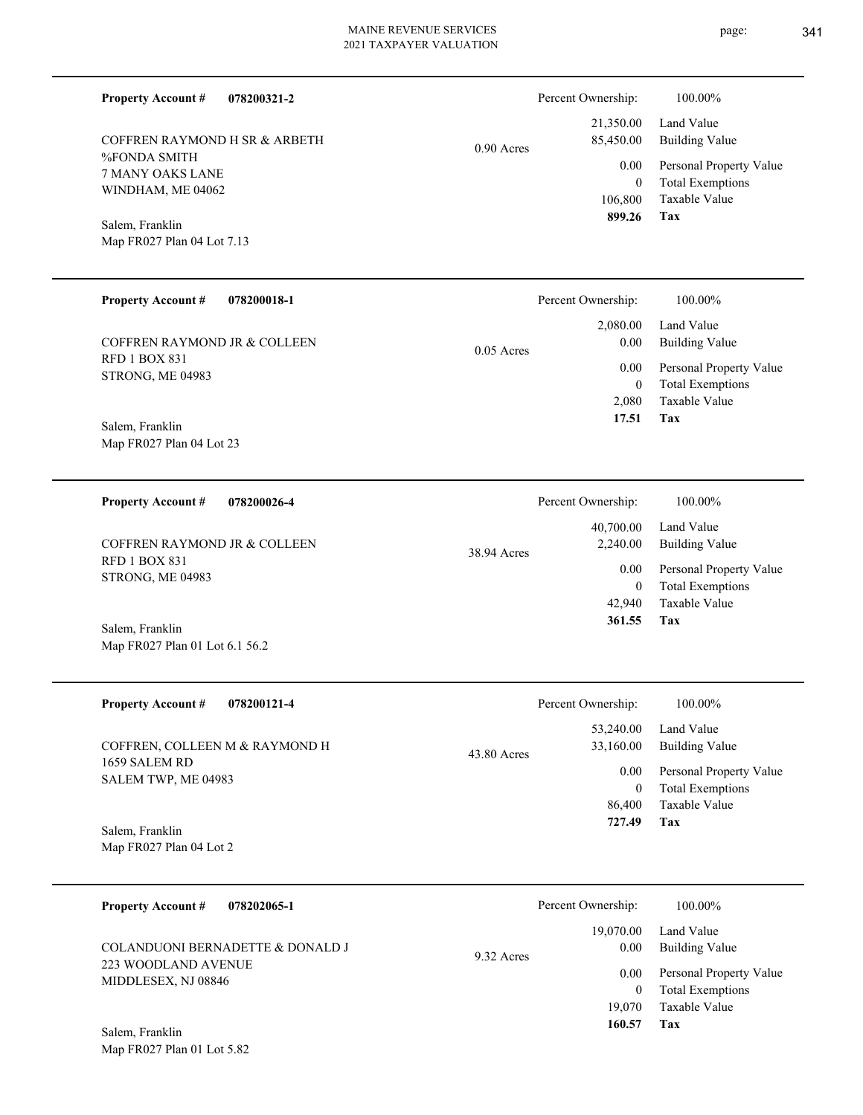0.90 Acres

%FONDA SMITH 7 MANY OAKS LANE WINDHAM, ME 04062 COFFREN RAYMOND H SR & ARBETH

**078200321-2**

Map FR027 Plan 04 Lot 7.13 Salem, Franklin

**Property Account #**

| <b>Property Account #</b><br>078200018-1             | Percent Ownership:               | 100.00%                                            |
|------------------------------------------------------|----------------------------------|----------------------------------------------------|
| COFFREN RAYMOND JR & COLLEEN<br><b>RFD 1 BOX 831</b> | 2,080.00<br>0.00<br>$0.05$ Acres | Land Value<br><b>Building Value</b>                |
| STRONG, ME 04983                                     | 0.00<br>$\bf{0}$                 | Personal Property Value<br><b>Total Exemptions</b> |
| Salem, Franklin                                      | 2.080<br>17.51                   | Taxable Value<br>Tax                               |

Map FR027 Plan 04 Lot 23

Map FR027 Plan 01 Lot 6.1 56.2

**078200026-4 Tax** Taxable Value Total Exemptions Personal Property Value Building Value Land Value RFD 1 BOX 831 STRONG, ME 04983 **Property Account #** Salem, Franklin COFFREN RAYMOND JR & COLLEEN 42,940 0  **361.55** 40,700.00 2,240.00 0.00 38.94 Acres Percent Ownership:  $100.00\%$ 

| <b>Property Account #</b><br>078200121-4        | Percent Ownership:                            | 100.00%                                                 |
|-------------------------------------------------|-----------------------------------------------|---------------------------------------------------------|
| COFFREN, COLLEEN M & RAYMOND H<br>1659 SALEM RD | 53,240.00<br>33,160.00<br>43.80 Acres<br>0.00 | Land Value<br>Building Value<br>Personal Property Value |
| SALEM TWP, ME 04983                             | 0<br>86,400                                   | <b>Total Exemptions</b><br>Taxable Value                |
| Salem, Franklin                                 | 727.49                                        | Tax                                                     |
| Map FR027 Plan 04 Lot 2                         |                                               |                                                         |

**078202065-1 Tax** Taxable Value Total Exemptions Personal Property Value Building Value Land Value 223 WOODLAND AVENUE MIDDLESEX, NJ 08846 **Property Account #** Salem, Franklin COLANDUONI BERNADETTE & DONALD J 19,070 0  **160.57** 19,070.00 0.00 0.00 9.32 Acres Percent Ownership:  $100.00\%$ 

Map FR027 Plan 01 Lot 5.82

**Tax**

 106,800 0

0.00

Percent Ownership:  $100.00\%$ 

 21,350.00 85,450.00

 **899.26**

Taxable Value Total Exemptions Personal Property Value

Building Value Land Value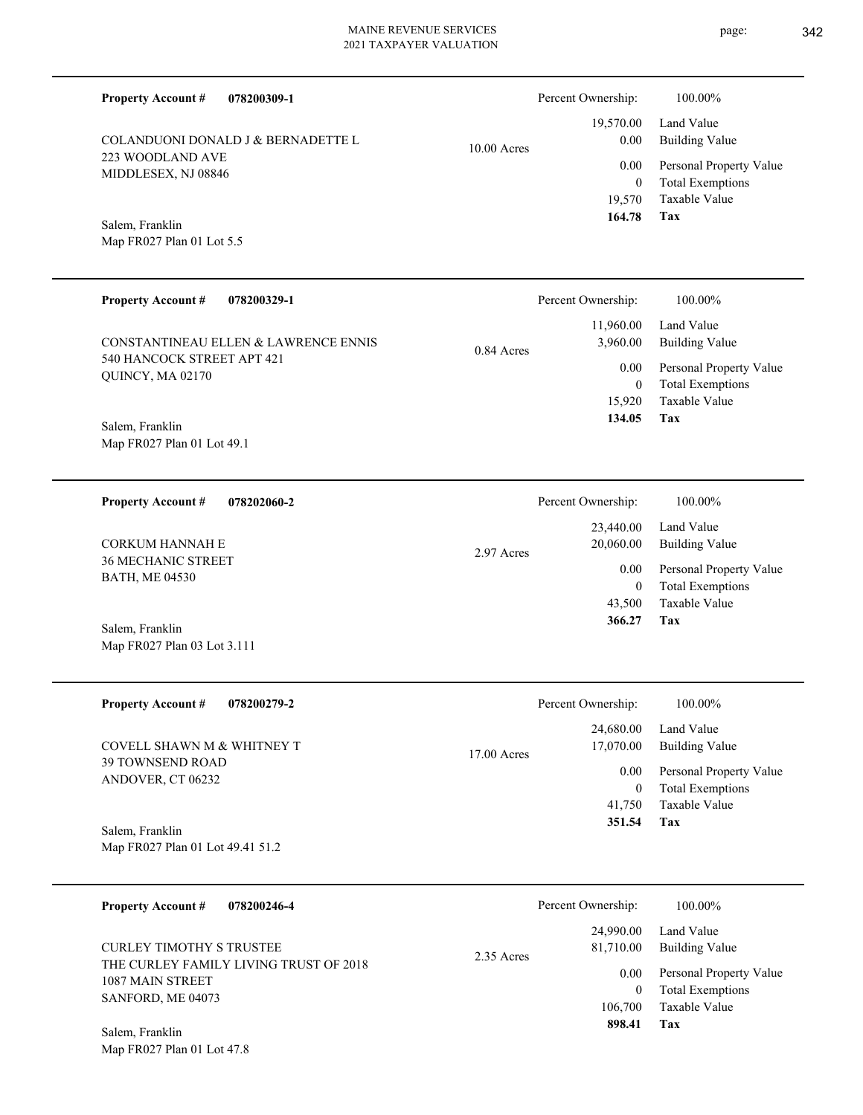223 WOODLAND AVE MIDDLESEX, NJ 08846 Map FR027 Plan 01 Lot 5.5 COLANDUONI DONALD J & BERNADETTE L  $10.00$ **078200329-1 Property Account #** Percent Ownership:  $100.00\%$ 

0.84 Acres

540 HANCOCK STREET APT 421 QUINCY, MA 02170 CONSTANTINEAU ELLEN & LAWRENCE ENNIS

**078200309-1**

Map FR027 Plan 01 Lot 49.1 Salem, Franklin

**Property Account #**

Salem, Franklin

**078202060-2 Property Account #**

36 MECHANIC STREET BATH, ME 04530 CORKUM HANNAH E

Map FR027 Plan 03 Lot 3.111 Salem, Franklin

| <b>Property Account #</b><br>078200279-2     | Percent Ownership:                      | 100.00%                                            |
|----------------------------------------------|-----------------------------------------|----------------------------------------------------|
| COVELL SHAWN M & WHITNEY T                   | 24,680.00<br>17,070.00<br>$17.00$ Acres | Land Value<br>Building Value                       |
| <b>39 TOWNSEND ROAD</b><br>ANDOVER, CT 06232 | 0.00<br>$\theta$                        | Personal Property Value<br><b>Total Exemptions</b> |
|                                              | 41,750                                  | Taxable Value                                      |
| Salem, Franklin                              | 351.54                                  | Tax                                                |
| Map FR027 Plan 01 Lot 49.41 51.2             |                                         |                                                    |

**078200246-4 Tax** Taxable Value Total Exemptions Personal Property Value Building Value Land Value THE CURLEY FAMILY LIVING TRUST OF 2018 1087 MAIN STREET SANFORD, ME 04073 **Property Account #** Salem, Franklin CURLEY TIMOTHY S TRUSTEE 106,700 0  **898.41** 24,990.00 81,710.00 0.00 2.35 Acres Percent Ownership:  $100.00\%$ 

Map FR027 Plan 01 Lot 47.8

|       | Percent Ownership: | 100.00%                                            |
|-------|--------------------|----------------------------------------------------|
| Acres | 0.00               | 19,570.00 Land Value<br><b>Building Value</b>      |
|       | 0.00<br>$\theta$   | Personal Property Value<br><b>Total Exemptions</b> |
|       |                    | 19.570 Taxable Value                               |
|       | 164.78             | Tax                                                |

|            | 134.05             | Tax                     |
|------------|--------------------|-------------------------|
|            |                    |                         |
|            | Percent Ownership: | 100.00%                 |
|            | 23,440.00          | Land Value              |
| 2.97 Acres | 20,060.00          | <b>Building Value</b>   |
|            | 0.00               | Personal Property Value |
|            | 0                  | <b>Total Exemptions</b> |
|            | 43,500             | Taxable Value           |

 15,920 0

 11,960.00 3,960.00 0.00

| 43,500 | Taxable Value |
|--------|---------------|
| 366.27 | Tax           |

Taxable Value Total Exemptions Personal Property Value

Building Value Land Value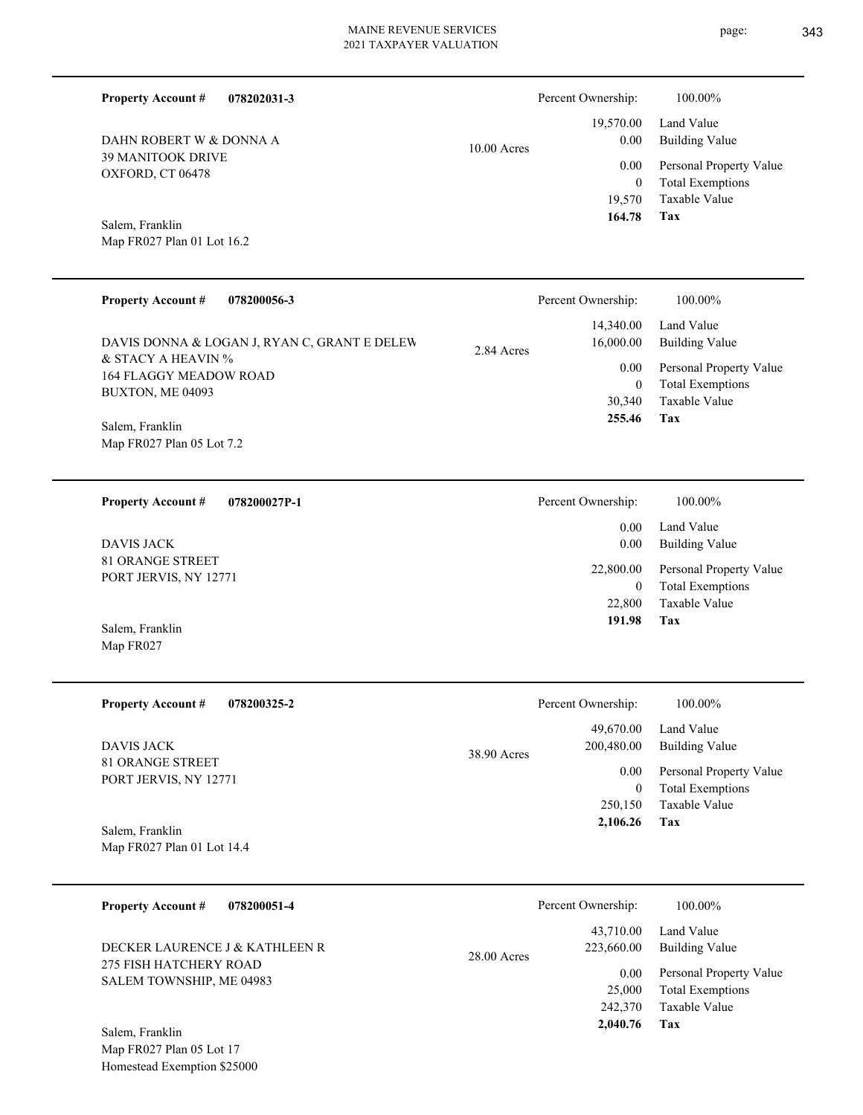Percent Ownership:  $100.00\%$ 

|               | 164.78 Tax |                              |
|---------------|------------|------------------------------|
|               |            | 19.570 Taxable Value         |
|               |            | 0 Total Exemptions           |
|               |            | 0.00 Personal Property Value |
| $10.00$ Acres | 0.00       | Building Value               |
|               |            | 19,570.00 Land Value         |

Map FR027 Plan 01 Lot 16.2 Salem, Franklin

Map FR027

39 MANITOOK DRIVE OXFORD, CT 06478

DAHN ROBERT W & DONNA A

**Property Account #**

**078202031-3**

| <b>Property Account #</b><br>078200056-3                         | Percent Ownership:                   | $100.00\%$                                                          |
|------------------------------------------------------------------|--------------------------------------|---------------------------------------------------------------------|
| DAVIS DONNA & LOGAN J, RYAN C, GRANT E DELEW                     | 14,340.00<br>16,000.00<br>2.84 Acres | Land Value<br>Building Value                                        |
| & STACY A HEAVIN %<br>164 FLAGGY MEADOW ROAD<br>BUXTON, ME 04093 | 0.00<br>$\theta$<br>30,340           | Personal Property Value<br><b>Total Exemptions</b><br>Taxable Value |
| Salem, Franklin<br>Map FR027 Plan 05 Lot 7.2                     | 255.46                               | Tax                                                                 |

**078200027P-1 Tax** Taxable Value Total Exemptions Personal Property Value Building Value Land Value 81 ORANGE STREET PORT JERVIS, NY 12771 **Property Account #** Salem, Franklin DAVIS JACK 22,800  $\boldsymbol{0}$  **191.98** 0.00 0.00 22,800.00 Percent Ownership:  $100.00\%$ 

| <b>Property Account #</b><br>078200325-2      | Percent Ownership:                     | 100.00%                                            |
|-----------------------------------------------|----------------------------------------|----------------------------------------------------|
| DAVIS JACK                                    | 49,670.00<br>200,480.00<br>38.90 Acres | Land Value<br>Building Value                       |
| 81 ORANGE STREET<br>PORT JERVIS, NY 12771     | 0.00<br>$\mathbf{0}$                   | Personal Property Value<br><b>Total Exemptions</b> |
|                                               | 250,150                                | Taxable Value                                      |
| Salem, Franklin<br>Map FR027 Plan 01 Lot 14.4 | 2,106.26                               | Tax                                                |

| 078200051-4<br><b>Property Account #</b>                 | Percent Ownership:                       | 100.00%                                                             |
|----------------------------------------------------------|------------------------------------------|---------------------------------------------------------------------|
| DECKER LAURENCE J & KATHLEEN R<br>275 FISH HATCHERY ROAD | 43,710.00<br>223,660.00<br>$28.00$ Acres | Land Value<br><b>Building Value</b>                                 |
| SALEM TOWNSHIP, ME 04983                                 | 0.00<br>25,000<br>242,370                | Personal Property Value<br><b>Total Exemptions</b><br>Taxable Value |
| Salem, Franklin                                          | 2,040.76                                 | Tax                                                                 |

Map FR027 Plan 05 Lot 17 Homestead Exemption \$25000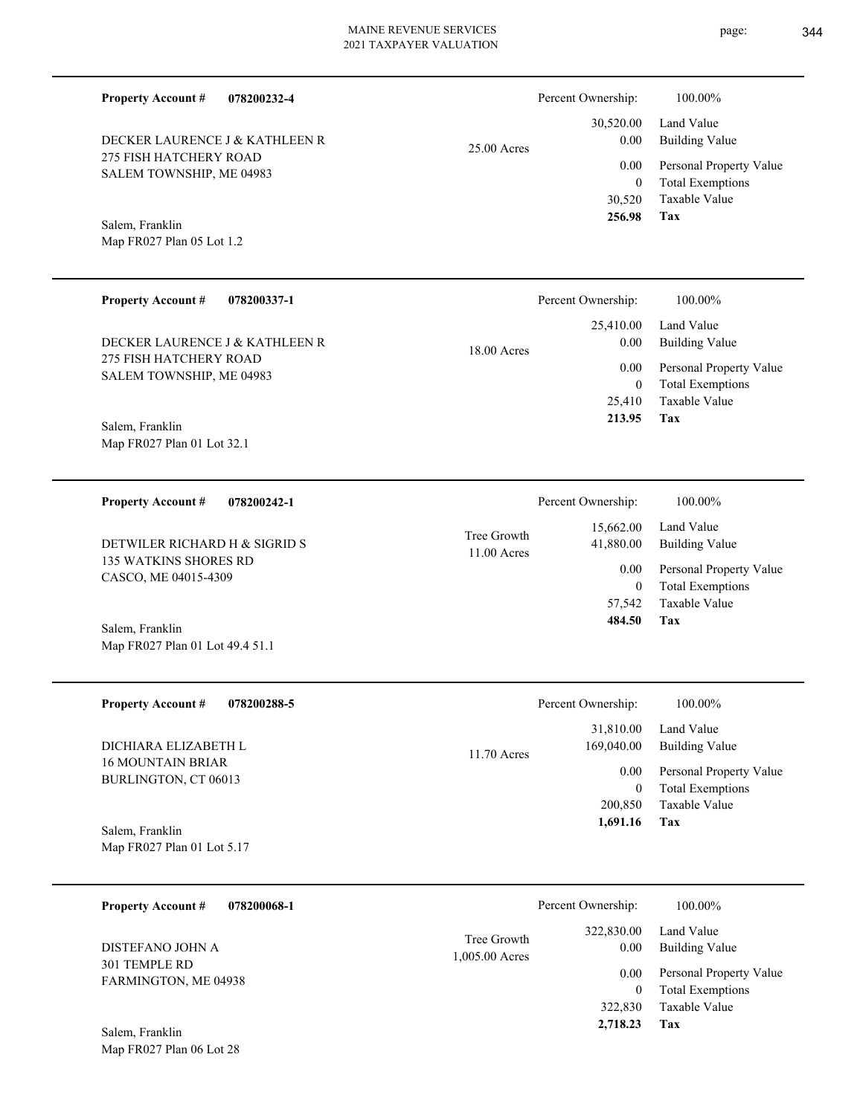25.00 Acres

**078200232-4 Property Account #**

275 FISH HATCHERY ROAD SALEM TOWNSHIP, ME 04983 DECKER LAURENCE J & KATHLEEN R

Map FR027 Plan 05 Lot 1.2 Salem, Franklin

Map FR027 Plan 06 Lot 28

| <b>Property Account #</b><br>078200337-1           | Percent Ownership:                 | 100.00%                                            |
|----------------------------------------------------|------------------------------------|----------------------------------------------------|
| DECKER LAURENCE J & KATHLEEN R                     | 25,410.00<br>0.00<br>$18.00$ Acres | Land Value<br>Building Value                       |
| 275 FISH HATCHERY ROAD<br>SALEM TOWNSHIP, ME 04983 | 0.00<br>$\overline{0}$             | Personal Property Value<br><b>Total Exemptions</b> |
|                                                    | 25,410                             | Taxable Value                                      |
| Salem, Franklin<br>Map FR027 Plan 01 Lot 32.1      | 213.95                             | Tax                                                |

**078200242-1 Tax** Taxable Value Total Exemptions Personal Property Value Building Value Land Value 135 WATKINS SHORES RD CASCO, ME 04015-4309 **Property Account #** Map FR027 Plan 01 Lot 49.4 51.1 Salem, Franklin DETWILER RICHARD H & SIGRID S 57,542 0  **484.50** 15,662.00 41,880.00 0.00 11.00 Acres Tree Growth Percent Ownership:  $100.00\%$ 

| <b>Property Account #</b><br>078200288-5         | Percent Ownership:          | 100.00%                 |
|--------------------------------------------------|-----------------------------|-------------------------|
|                                                  | 31,810.00                   | Land Value              |
| DICHIARA ELIZABETH L<br><b>16 MOUNTAIN BRIAR</b> | 169,040.00<br>$11.70$ Acres | Building Value          |
| BURLINGTON, CT 06013                             | 0.00                        | Personal Property Value |
|                                                  | $\mathbf{0}$                | <b>Total Exemptions</b> |
|                                                  | 200,850                     | Taxable Value           |
| Salem, Franklin                                  | 1,691.16                    | Tax                     |
| Map FR027 Plan 01 Lot 5.17                       |                             |                         |
|                                                  |                             |                         |

| <b>Property Account #</b><br>078200068-1 | Percent Ownership:                                  | 100.00%                      |
|------------------------------------------|-----------------------------------------------------|------------------------------|
| DISTEFANO JOHN A                         | 322,830.00<br>Tree Growth<br>0.00<br>1,005.00 Acres | Land Value<br>Building Value |
| 301 TEMPLE RD<br>FARMINGTON, ME 04938    | 0.00                                                | Personal Property Value      |
|                                          | 0                                                   | <b>Total Exemptions</b>      |
|                                          | 322,830                                             | Taxable Value                |
| Salem, Franklin                          | 2,718.23                                            | Tax                          |

page: 344

**Tax**

 30,520 0

 30,520.00 0.00 0.00

Percent Ownership:  $100.00\%$ 

 **256.98**

Taxable Value Total Exemptions Personal Property Value

Building Value Land Value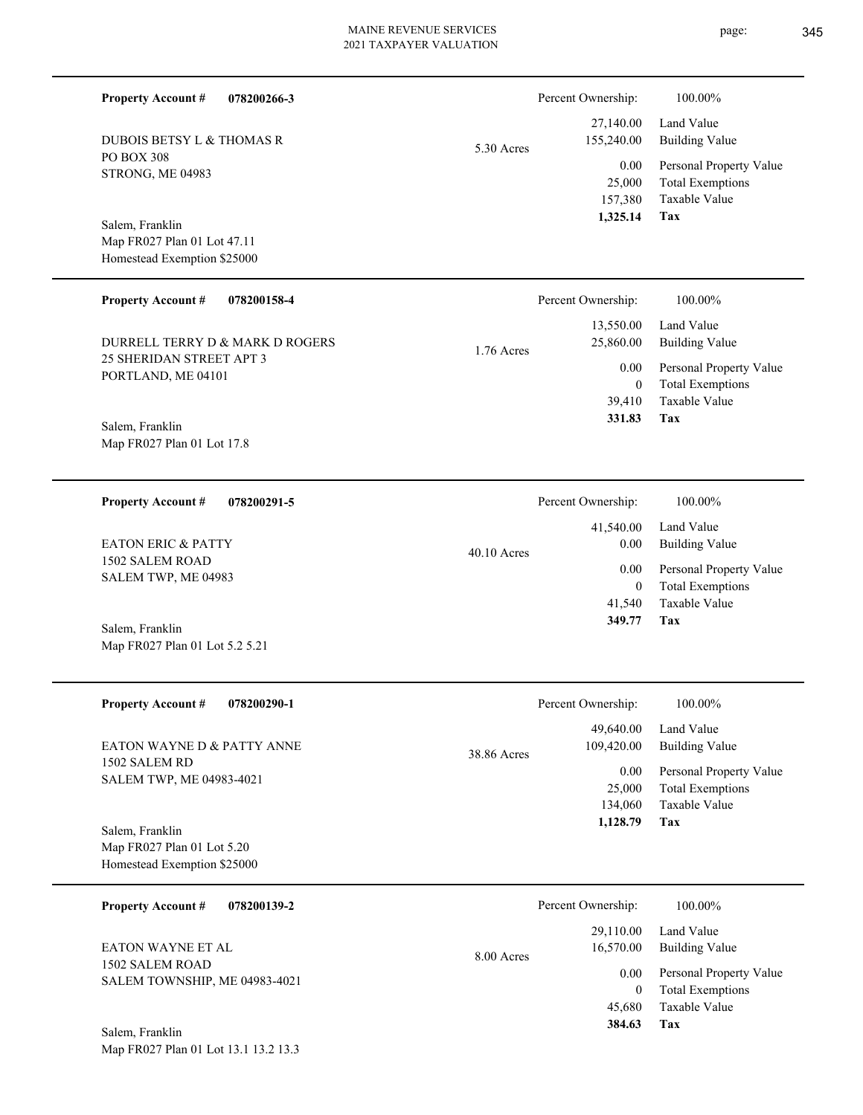| DUBOIS BETSY L & THOMAS R<br><b>PO BOX 308</b><br>STRONG, ME 04983<br>Salem, Franklin<br>Map FR027 Plan 01 Lot 47.11<br>Homestead Exemption \$25000 | 5.30 Acres | 155,240.00<br>0.00<br>25,000<br>157,380<br>1,325.14 | Building Value<br>Personal Property Value<br><b>Total Exemptions</b><br>Taxable Value<br>Tax |
|-----------------------------------------------------------------------------------------------------------------------------------------------------|------------|-----------------------------------------------------|----------------------------------------------------------------------------------------------|
| <b>Property Account #</b><br>078200158-4                                                                                                            |            | Percent Ownership:                                  | 100.00%                                                                                      |
| DURRELL TERRY D & MARK D ROGERS                                                                                                                     | 1.76 Acres | 13,550.00<br>25,860.00                              | Land Value<br><b>Building Value</b>                                                          |
| 25 SHERIDAN STREET APT 3<br>PORTLAND, ME 04101                                                                                                      |            | 0.00<br>$\theta$                                    | Personal Property Value<br><b>Total Exemptions</b>                                           |
| Salem, Franklin                                                                                                                                     |            | 39,410<br>331.83                                    | Taxable Value<br>Tax                                                                         |
| Map FR027 Plan 01 Lot 17.8                                                                                                                          |            |                                                     |                                                                                              |
| <b>Property Account #</b><br>078200291-5                                                                                                            |            | Percent Ownership:                                  | 100.00%                                                                                      |

40.10 Acres

1502 SALEM ROAD SALEM TWP, ME 04983 EATON ERIC & PATTY

Map FR027 Plan 01 Lot 5.2 5.21 Salem, Franklin

Map FR027 Plan 01 Lot 13.1 13.2 13.3

| <b>Property Account #</b><br>078200290-1 | Percent Ownership:        | 100.00%                 |
|------------------------------------------|---------------------------|-------------------------|
|                                          | 49,640.00                 | Land Value              |
| EATON WAYNE D & PATTY ANNE               | 109,420.00<br>38.86 Acres | <b>Building Value</b>   |
| 1502 SALEM RD                            | 0.00                      | Personal Property Value |
| SALEM TWP, ME 04983-4021                 | 25,000                    | <b>Total Exemptions</b> |
|                                          | 134,060                   | Taxable Value           |
| Salem, Franklin                          | 1,128.79                  | Tax                     |
| Map FR027 Plan 01 Lot 5.20               |                           |                         |
| Homestead Exemption \$25000              |                           |                         |

| 078200139-2<br><b>Property Account #</b>    | Percent Ownership:                   | 100.00%                                            |
|---------------------------------------------|--------------------------------------|----------------------------------------------------|
| <b>EATON WAYNE ET AL</b><br>1502 SALEM ROAD | 29,110.00<br>16,570.00<br>8.00 Acres | Land Value<br>Building Value                       |
| SALEM TOWNSHIP, ME 04983-4021               | 0.00<br>0                            | Personal Property Value<br><b>Total Exemptions</b> |
| Salem, Franklin                             | 45,680<br>384.63                     | Taxable Value<br>Tax                               |

## **078200266-3 Property Account #**

PO BOX 308 STRONG, ME 04983 DUBOIS BETSY L & THOMAS R page: 345

Building Value Land Value

**Tax**

 41,540 0

 41,540.00 0.00 0.00

 **349.77**

Taxable Value Total Exemptions Personal Property Value

Building Value Land Value

 27,140.00 155,240.00

Percent Ownership:  $100.00\%$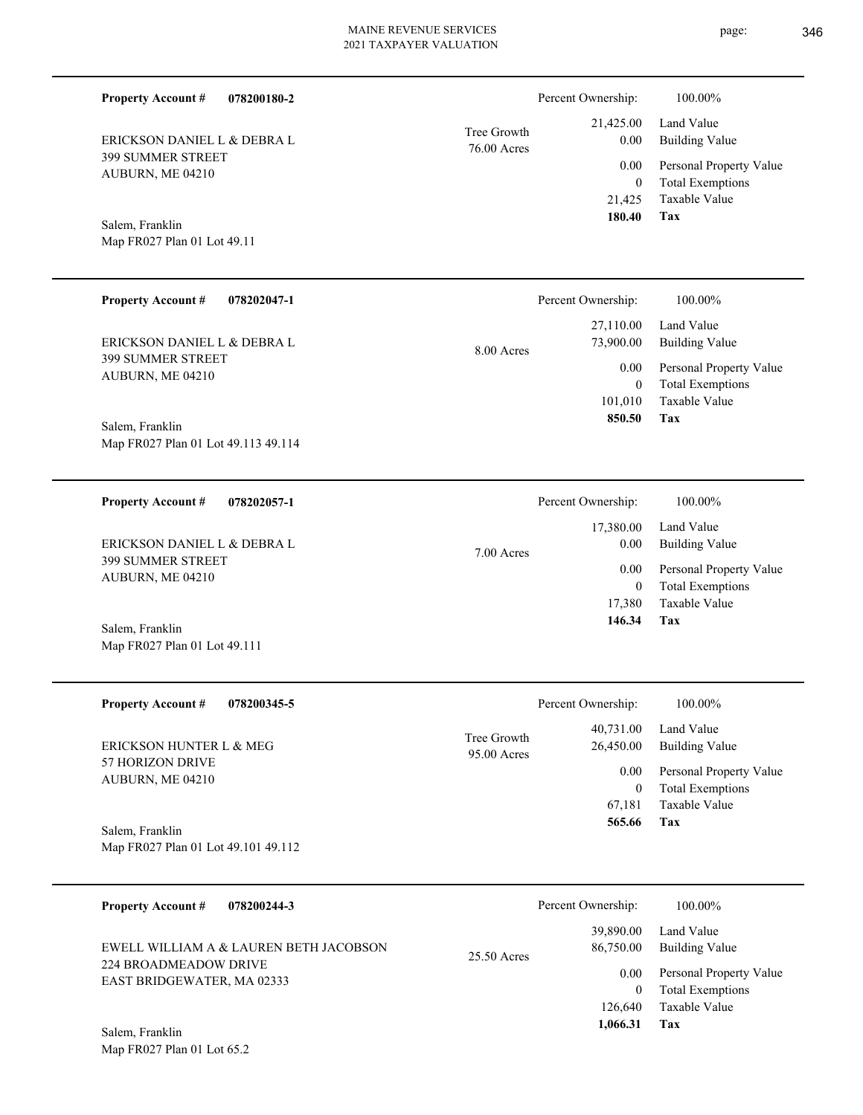| <b>Property Account #</b>                              | 078200180-2 |                            | Percent Ownership:         | 100.00%                                            |
|--------------------------------------------------------|-------------|----------------------------|----------------------------|----------------------------------------------------|
| ERICKSON DANIEL L & DEBRA L                            |             | Tree Growth<br>76.00 Acres | 21,425.00<br>0.00          | Land Value<br><b>Building Value</b>                |
| <b>399 SUMMER STREET</b><br>AUBURN, ME 04210           |             |                            | 0.00<br>$\boldsymbol{0}$   | Personal Property Value<br><b>Total Exemptions</b> |
|                                                        |             |                            | 21,425<br>180.40           | Taxable Value<br>Tax                               |
| Salem, Franklin<br>Map FR027 Plan 01 Lot 49.11         |             |                            |                            |                                                    |
|                                                        |             |                            |                            |                                                    |
| <b>Property Account #</b>                              | 078202047-1 |                            | Percent Ownership:         | 100.00%                                            |
| ERICKSON DANIEL L & DEBRA L                            |             | 8.00 Acres                 | 27,110.00<br>73,900.00     | Land Value<br><b>Building Value</b>                |
| 399 SUMMER STREET<br>AUBURN, ME 04210                  |             |                            | 0.00<br>$\boldsymbol{0}$   | Personal Property Value<br><b>Total Exemptions</b> |
|                                                        |             |                            | 101,010<br>850.50          | Taxable Value<br>Tax                               |
| Salem, Franklin<br>Map FR027 Plan 01 Lot 49.113 49.114 |             |                            |                            |                                                    |
|                                                        |             |                            |                            |                                                    |
| <b>Property Account #</b>                              | 078202057-1 |                            | Percent Ownership:         | 100.00%                                            |
| ERICKSON DANIEL L & DEBRA L                            |             | 7.00 Acres                 | 17,380.00<br>0.00          | Land Value<br><b>Building Value</b>                |
| <b>399 SUMMER STREET</b><br>AUBURN, ME 04210           |             |                            | 0.00                       | Personal Property Value<br><b>Total Exemptions</b> |
|                                                        |             |                            | $\boldsymbol{0}$<br>17,380 | Taxable Value                                      |
| Salem, Franklin<br>Map FR027 Plan 01 Lot 49.111        |             |                            | 146.34                     | Tax                                                |
|                                                        |             |                            |                            |                                                    |
| <b>Property Account #</b>                              | 078200345-5 |                            | Percent Ownership:         | 100.00%                                            |
| ERICKSON HUNTER L & MEG                                |             | Tree Growth                | 40,731.00<br>26,450.00     | Land Value<br><b>Building Value</b>                |
| 57 HORIZON DRIVE<br>AUBURN, ME 04210                   |             | 95.00 Acres                | 0.00                       | Personal Property Value                            |
|                                                        |             |                            | $\mathbf{0}$<br>67,181     | <b>Total Exemptions</b><br>Taxable Value           |
| Salem, Franklin<br>Map FR027 Plan 01 Lot 49.101 49.112 |             |                            | 565.66                     | Tax                                                |
|                                                        |             |                            |                            |                                                    |
|                                                        |             |                            |                            |                                                    |

| EWELL WILLIAM A & LAUREN BETH JACOBSON<br>224 BROADMEADOW DRIVE<br>EAST BRIDGEWATER, MA 02333 | $25.50$ Acres | 39,890.00<br>86,750.00 | Land Value<br>Building Value                       |
|-----------------------------------------------------------------------------------------------|---------------|------------------------|----------------------------------------------------|
|                                                                                               |               | 0.00<br>0              | Personal Property Value<br><b>Total Exemptions</b> |
|                                                                                               |               | 126,640                | Taxable Value                                      |
| $C = 1 - \ldots - C = 11$                                                                     |               | 1.066.31               | Tax                                                |

Map FR027 Plan 01 Lot 65.2 Salem, Franklin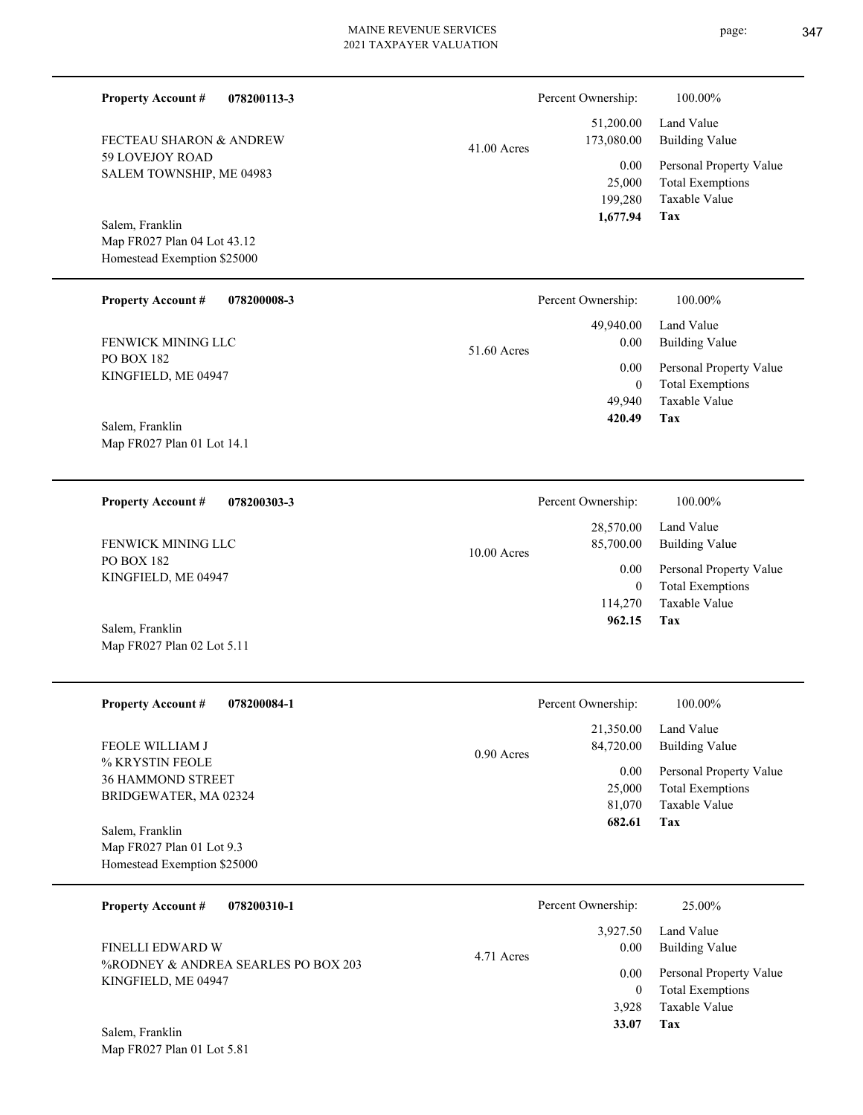| <b>Property Account #</b><br>078200113-3    |               | Percent Ownership:                    | 100.00%                                                                    |
|---------------------------------------------|---------------|---------------------------------------|----------------------------------------------------------------------------|
| FECTEAU SHARON & ANDREW                     | $41.00$ Acres | 51,200.00<br>173,080.00               | Land Value<br><b>Building Value</b>                                        |
| 59 LOVEJOY ROAD<br>SALEM TOWNSHIP, ME 04983 |               | 0.00<br>25,000<br>199,280<br>1,677.94 | Personal Property Value<br><b>Total Exemptions</b><br>Taxable Value<br>Tax |
| Salem, Franklin                             |               |                                       |                                                                            |
| Map FR027 Plan 04 Lot 43.12                 |               |                                       |                                                                            |
| Homestead Exemption \$25000                 |               |                                       |                                                                            |
| <b>Property Account #</b><br>078200008-3    |               | Percent Ownership:                    | 100.00%                                                                    |
| FENWICK MINING LLC                          | 51.60 Acres   | 49,940.00<br>0.00                     | Land Value<br><b>Building Value</b>                                        |
| <b>PO BOX 182</b>                           |               | 0.00                                  | Personal Property Value                                                    |
| KINGFIELD, ME 04947                         |               | $\overline{0}$                        | <b>Total Exemptions</b>                                                    |
|                                             |               | 49,940                                | Taxable Value                                                              |
| Salem, Franklin                             |               | 420.49                                | Tax                                                                        |
| Map FR027 Plan 01 Lot 14.1                  |               |                                       |                                                                            |
|                                             |               |                                       |                                                                            |
| <b>Property Account #</b><br>078200303-3    |               | Percent Ownership:                    | 100.00%                                                                    |
|                                             |               | 28,570.00                             | Land Value                                                                 |
| FENWICK MINING LLC                          | 10.00 Acres   | 85,700.00                             | <b>Building Value</b>                                                      |
| <b>PO BOX 182</b><br>KINGFIELD, ME 04947    |               | 0.00                                  | Personal Property Value                                                    |
|                                             |               | $\overline{0}$                        | <b>Total Exemptions</b>                                                    |
|                                             |               | 114,270                               | Taxable Value                                                              |
| Salem, Franklin                             |               | 962.15                                | Tax                                                                        |
| Map FR027 Plan 02 Lot 5.11                  |               |                                       |                                                                            |
|                                             |               |                                       |                                                                            |
| <b>Property Account #</b><br>078200084-1    |               | Percent Ownership:                    | 100.00%                                                                    |
| <b>FEOLE WILLIAM J</b>                      | 0.90 Acres    | 21,350.00<br>84,720.00                | Land Value<br><b>Building Value</b>                                        |
| % KRYSTIN FEOLE<br>36 HAMMOND STREET        |               | 0.00                                  | Personal Property Value                                                    |
| BRIDGEWATER, MA 02324                       |               | 25,000                                | <b>Total Exemptions</b>                                                    |
|                                             |               | 81,070                                | <b>Taxable Value</b>                                                       |
| Salem, Franklin                             |               | 682.61                                | Tax                                                                        |
| Map FR027 Plan 01 Lot 9.3                   |               |                                       |                                                                            |
| Homestead Exemption \$25000                 |               |                                       |                                                                            |
| <b>Property Account #</b><br>078200310-1    |               | Percent Ownership:                    | 25.00%                                                                     |
|                                             |               | 3,927.50                              | Land Value                                                                 |
| FINELLI EDWARD W                            | 4.71 Acres    | 0.00                                  | <b>Building Value</b>                                                      |
| %RODNEY & ANDREA SEARLES PO BOX 203         |               | 0.00                                  | Personal Property Value                                                    |
| KINGFIELD, ME 04947                         |               | $\mathbf{0}$                          | <b>Total Exemptions</b>                                                    |
|                                             |               | 3,928                                 | Taxable Value                                                              |
| Salem, Franklin                             |               | 33.07                                 | Tax                                                                        |
| Map FR027 Plan 01 Lot 5.81                  |               |                                       |                                                                            |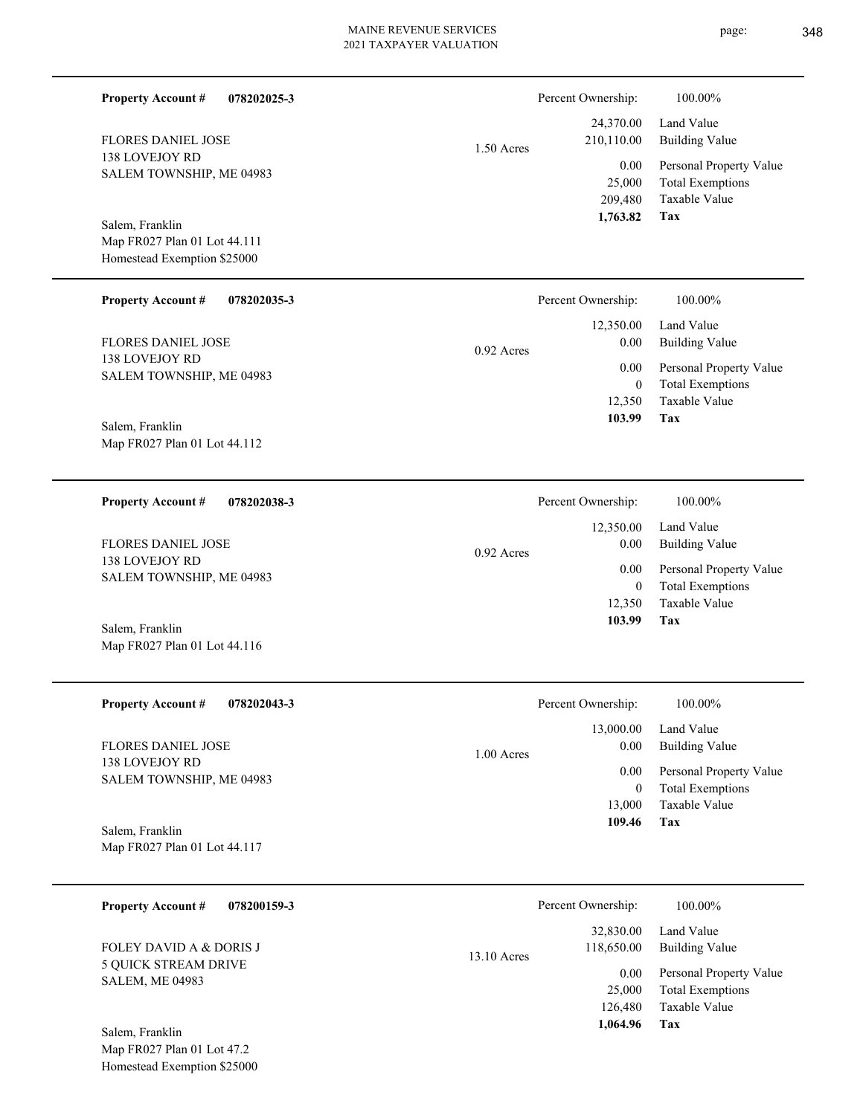| <b>Property Account #</b><br>078202025-3                                       |              | Percent Ownership:                           | 100.00%                                                                    |
|--------------------------------------------------------------------------------|--------------|----------------------------------------------|----------------------------------------------------------------------------|
| <b>FLORES DANIEL JOSE</b>                                                      | $1.50$ Acres | 24,370.00<br>210,110.00                      | Land Value<br><b>Building Value</b>                                        |
| 138 LOVEJOY RD<br>SALEM TOWNSHIP, ME 04983                                     |              | 0.00<br>25,000<br>209,480<br>1,763.82        | Personal Property Value<br><b>Total Exemptions</b><br>Taxable Value<br>Tax |
| Salem, Franklin<br>Map FR027 Plan 01 Lot 44.111<br>Homestead Exemption \$25000 |              |                                              |                                                                            |
| <b>Property Account #</b><br>078202035-3                                       |              | Percent Ownership:                           | 100.00%                                                                    |
| FLORES DANIEL JOSE                                                             | $0.92$ Acres | 12,350.00<br>0.00                            | Land Value<br><b>Building Value</b>                                        |
| 138 LOVEJOY RD<br>SALEM TOWNSHIP, ME 04983                                     |              | 0.00<br>$\boldsymbol{0}$                     | Personal Property Value<br><b>Total Exemptions</b>                         |
| Salem, Franklin<br>Map FR027 Plan 01 Lot 44.112                                |              | 12,350<br>103.99                             | Taxable Value<br>Tax                                                       |
| <b>Property Account #</b><br>078202038-3                                       |              | Percent Ownership:                           | 100.00%                                                                    |
| <b>FLORES DANIEL JOSE</b>                                                      | $0.92$ Acres | 12,350.00<br>0.00                            | Land Value<br><b>Building Value</b>                                        |
| 138 LOVEJOY RD<br>SALEM TOWNSHIP, ME 04983                                     |              | 0.00<br>$\boldsymbol{0}$<br>12,350<br>103.99 | Personal Property Value<br><b>Total Exemptions</b><br>Taxable Value<br>Tax |
| Salem, Franklin<br>Map FR027 Plan 01 Lot 44.116                                |              |                                              |                                                                            |
| <b>Property Account #</b><br>078202043-3                                       |              | Percent Ownership:                           | 100.00%                                                                    |
| FLORES DANIEL JOSE                                                             |              | 13,000.00<br>0.00                            | Land Value<br><b>Building Value</b>                                        |
| 138 LOVEJOY RD<br>SALEM TOWNSHIP, ME 04983                                     | 1.00 Acres   | 0.00<br>$\boldsymbol{0}$<br>13,000           | Personal Property Value<br><b>Total Exemptions</b><br>Taxable Value        |
| Salem, Franklin<br>Map FR027 Plan 01 Lot 44.117                                |              | 109.46                                       | Tax                                                                        |
| <b>Property Account #</b><br>078200159-3                                       |              | Percent Ownership:                           | 100.00%                                                                    |
| FOLEY DAVID A & DORIS J                                                        | 13.10 Acres  | 32,830.00<br>118,650.00                      | Land Value<br><b>Building Value</b>                                        |
| 5 QUICK STREAM DRIVE<br><b>SALEM, ME 04983</b>                                 |              | 0.00<br>25,000<br>126,480<br>1,064.96        | Personal Property Value<br><b>Total Exemptions</b><br>Taxable Value<br>Tax |
| Salem, Franklin<br>Map FR027 Plan 01 Lot 47.2<br>Homestead Exemption \$25000   |              |                                              |                                                                            |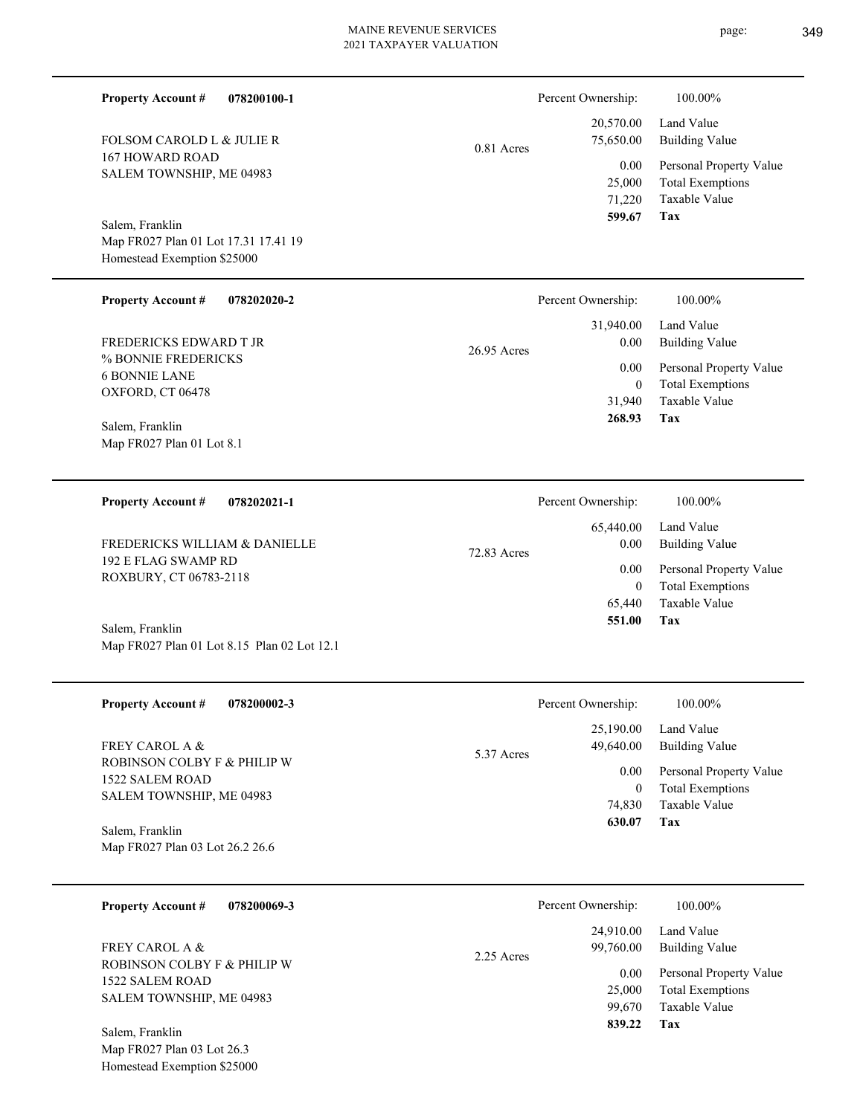|                                          |            | 31,940.00          | Land Value   |
|------------------------------------------|------------|--------------------|--------------|
| <b>Property Account #</b><br>078202020-2 |            | Percent Ownership: | 100.00%      |
| Homestead Exemption \$25000              |            |                    |              |
| Map FR027 Plan 01 Lot 17.31 17.41 19     |            |                    |              |
| Salem, Franklin                          |            | 599.67             | Tax          |
|                                          |            | 71.220             | Taxable Val  |
|                                          |            | 25,000             | Total Exemp  |
| SALEM TOWNSHIP, ME 04983                 |            |                    |              |
| 167 HOWARD ROAD                          |            | 0.00 <sub>1</sub>  | Personal Pro |
| TULSUM CANULD L & JULIE N                | 0.81 Acres | 75,050.00          | Dunumg va    |

% BONNIE FREDERICKS 6 BONNIE LANE OXFORD, CT 06478 FREDERICKS EDWARD T JR

FOLSOM CAROLD L & JULIE R

**Property Account #**

**078200100-1**

Map FR027 Plan 01 Lot 8.1 Salem, Franklin

**078202021-1 Property Account #**

192 E FLAG SWAMP RD ROXBURY, CT 06783-2118 FREDERICKS WILLIAM & DANIELLE

Map FR027 Plan 01 Lot 8.15 Plan 02 Lot 12.1 Salem, Franklin

| <b>Property Account #</b><br>078200002-3                 | Percent Ownership:                           | 100.00%                                                 |
|----------------------------------------------------------|----------------------------------------------|---------------------------------------------------------|
| <b>FREY CAROL A &amp;</b><br>ROBINSON COLBY F & PHILIP W | 25,190.00<br>49,640.00<br>5.37 Acres<br>0.00 | Land Value<br>Building Value<br>Personal Property Value |
| 1522 SALEM ROAD<br>SALEM TOWNSHIP, ME 04983              | 74.830                                       | <b>Total Exemptions</b><br>Taxable Value                |
| Salem, Franklin<br>Map FR027 Plan 03 Lot 26.2 26.6       | 630.07                                       | Tax                                                     |

| 078200069-3<br><b>Property Account #</b>                                   | Percent Ownership:                     | 100.00%                                                             |
|----------------------------------------------------------------------------|----------------------------------------|---------------------------------------------------------------------|
| <b>FREY CAROL A &amp;</b>                                                  | 24,910.00<br>99,760.00<br>$2.25$ Acres | Land Value<br>Building Value                                        |
| ROBINSON COLBY F & PHILIP W<br>1522 SALEM ROAD<br>SALEM TOWNSHIP, ME 04983 | 0.00<br>25,000<br>99.670               | Personal Property Value<br><b>Total Exemptions</b><br>Taxable Value |
| Salem, Franklin                                                            | 839.22                                 | Tax                                                                 |

Map FR027 Plan 03 Lot 26.3 Homestead Exemption \$25000

|    | Percent Ownership: | 100.00%                 |
|----|--------------------|-------------------------|
|    | 20,570.00          | Land Value              |
| :S | 75,650.00          | <b>Building Value</b>   |
|    | 0.00               | Personal Property Value |
|    | 25,000             | <b>Total Exemptions</b> |
|    | 71.220             | Taxable Value           |
|    | 599.67             | Tax                     |

| $26.95$ Acres | 0.00     | 31,940.00 Land Value<br>Building Value                  |
|---------------|----------|---------------------------------------------------------|
|               | $\Omega$ | 0.00 Personal Property Value<br><b>Total Exemptions</b> |
|               |          | 31.940 Taxable Value                                    |
|               | 268.93   | Tax                                                     |
|               |          |                                                         |

|             | Percent Ownership: | 100.00%                 |
|-------------|--------------------|-------------------------|
|             |                    | $65,440.00$ Land Value  |
| 72.83 Acres | 0.00               | Building Value          |
|             | 0.00               | Personal Property Value |
|             | 0                  | <b>Total Exemptions</b> |
|             |                    | 65,440 Taxable Value    |
|             | 551.00             | Tax                     |
|             |                    |                         |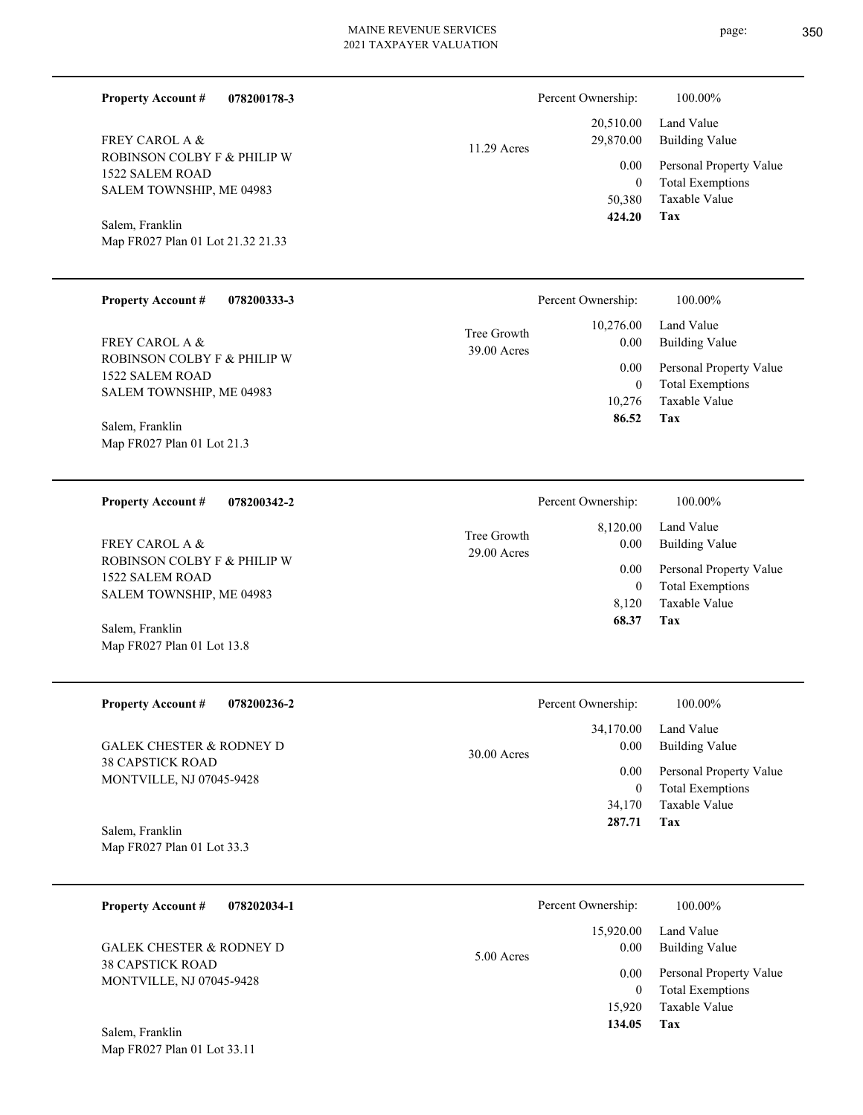| <b>Property Account #</b><br><b>FREY CAROL A &amp;</b><br>ROBINSON COLBY F & PHILIP W<br>1522 SALEM ROAD<br>SALEM TOWNSHIP, ME 04983<br>Salem, Franklin<br>Map FR027 Plan 01 Lot 21.32 21.33 | 078200178-3 | 11.29 Acres                | Percent Ownership:<br>20,510.00<br>29,870.00<br>0.00<br>$\mathbf{0}$<br>50,380<br>424.20    | 100.00%<br>Land Value<br><b>Building Value</b><br>Personal Property Value<br><b>Total Exemptions</b><br>Taxable Value<br>Tax        |
|----------------------------------------------------------------------------------------------------------------------------------------------------------------------------------------------|-------------|----------------------------|---------------------------------------------------------------------------------------------|-------------------------------------------------------------------------------------------------------------------------------------|
| <b>Property Account #</b><br>FREY CAROL A &<br>ROBINSON COLBY F & PHILIP W<br>1522 SALEM ROAD<br>SALEM TOWNSHIP, ME 04983<br>Salem, Franklin<br>Map FR027 Plan 01 Lot 21.3                   | 078200333-3 | Tree Growth<br>39.00 Acres | Percent Ownership:<br>10,276.00<br>0.00<br>0.00<br>$\mathbf{0}$<br>10,276<br>86.52          | 100.00%<br>Land Value<br><b>Building Value</b><br>Personal Property Value<br><b>Total Exemptions</b><br>Taxable Value<br>Tax        |
| <b>Property Account #</b><br>FREY CAROL A &<br>ROBINSON COLBY F & PHILIP W<br>1522 SALEM ROAD<br>SALEM TOWNSHIP, ME 04983<br>Salem, Franklin<br>Map FR027 Plan 01 Lot 13.8                   | 078200342-2 | Tree Growth<br>29.00 Acres | Percent Ownership:<br>8,120.00<br>0.00<br>0.00<br>$\mathbf{0}$<br>8,120<br>68.37            | 100.00%<br>Land Value<br><b>Building Value</b><br>Personal Property Value<br><b>Total Exemptions</b><br><b>Taxable Value</b><br>Tax |
| <b>Property Account #</b><br><b>GALEK CHESTER &amp; RODNEY D</b><br><b>38 CAPSTICK ROAD</b><br>MONTVILLE, NJ 07045-9428<br>Salem, Franklin<br>Map FR027 Plan 01 Lot 33.3                     | 078200236-2 | 30.00 Acres                | Percent Ownership:<br>34,170.00<br>0.00<br>$0.00\,$<br>$\boldsymbol{0}$<br>34,170<br>287.71 | 100.00%<br>Land Value<br><b>Building Value</b><br>Personal Property Value<br><b>Total Exemptions</b><br>Taxable Value<br>Tax        |
| <b>Property Account #</b><br><b>GALEK CHESTER &amp; RODNEY D</b><br><b>38 CAPSTICK ROAD</b><br>MONTVILLE, NJ 07045-9428<br>Salem, Franklin                                                   | 078202034-1 | 5.00 Acres                 | Percent Ownership:<br>15,920.00<br>0.00<br>0.00<br>$\mathbf{0}$<br>15,920<br>134.05         | 100.00%<br>Land Value<br><b>Building Value</b><br>Personal Property Value<br><b>Total Exemptions</b><br>Taxable Value<br>Tax        |

Map FR027 Plan 01 Lot 33.11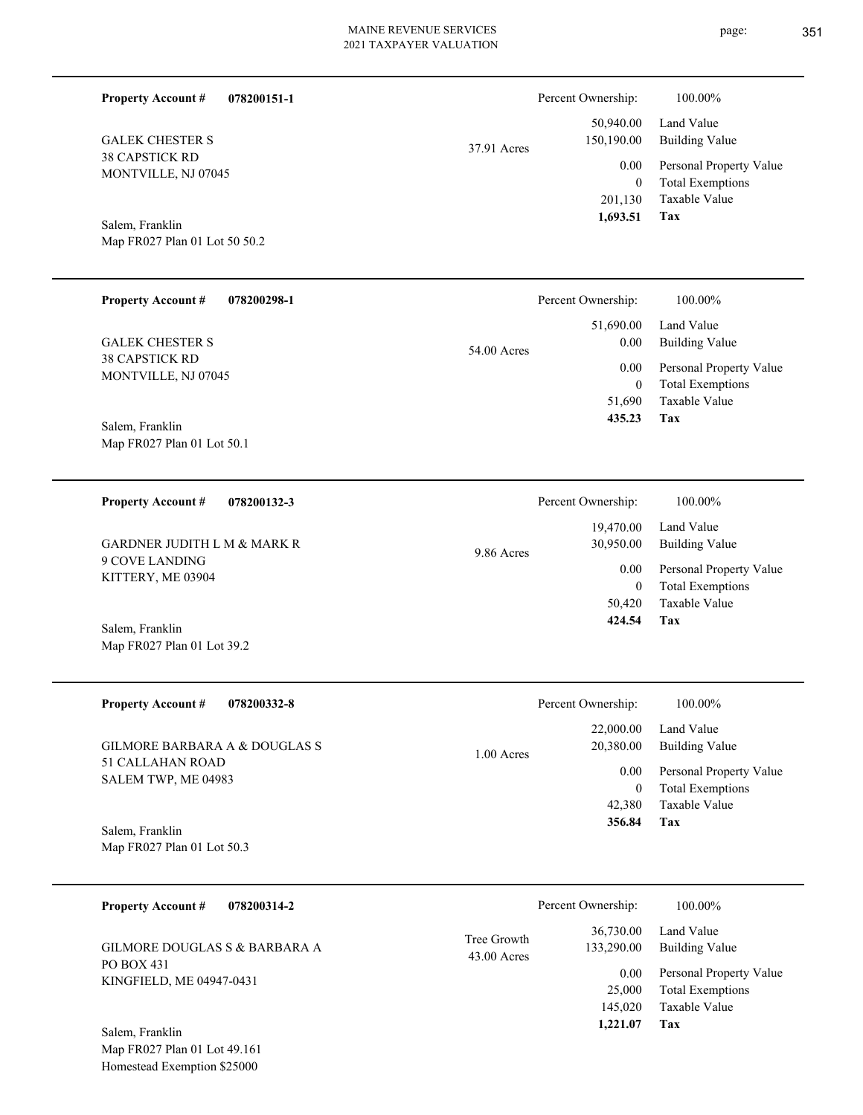| <b>Property Account #</b><br>078200151-1        |                            | Percent Ownership:                   | 100.00%                                                             |
|-------------------------------------------------|----------------------------|--------------------------------------|---------------------------------------------------------------------|
| <b>GALEK CHESTER S</b>                          | 37.91 Acres                | 50,940.00<br>150,190.00              | Land Value<br><b>Building Value</b>                                 |
| <b>38 CAPSTICK RD</b><br>MONTVILLE, NJ 07045    |                            | 0.00<br>$\boldsymbol{0}$<br>201,130  | Personal Property Value<br><b>Total Exemptions</b><br>Taxable Value |
| Salem, Franklin                                 |                            | 1,693.51                             | <b>Tax</b>                                                          |
| Map FR027 Plan 01 Lot 50 50.2                   |                            |                                      |                                                                     |
| <b>Property Account #</b><br>078200298-1        |                            | Percent Ownership:                   | 100.00%                                                             |
| <b>GALEK CHESTER S</b>                          | 54.00 Acres                | 51,690.00<br>0.00                    | Land Value<br><b>Building Value</b>                                 |
| 38 CAPSTICK RD<br>MONTVILLE, NJ 07045           |                            | 0.00                                 | Personal Property Value                                             |
|                                                 |                            | $\boldsymbol{0}$<br>51,690<br>435.23 | <b>Total Exemptions</b><br>Taxable Value<br>Tax                     |
| Salem, Franklin<br>Map FR027 Plan 01 Lot 50.1   |                            |                                      |                                                                     |
| <b>Property Account #</b><br>078200132-3        |                            | Percent Ownership:                   | 100.00%                                                             |
| <b>GARDNER JUDITH L M &amp; MARK R</b>          |                            | 19,470.00<br>30,950.00               | Land Value<br><b>Building Value</b>                                 |
| 9 COVE LANDING<br>KITTERY, ME 03904             | 9.86 Acres                 | 0.00                                 | Personal Property Value                                             |
|                                                 |                            | $\overline{0}$<br>50,420<br>424.54   | <b>Total Exemptions</b><br>Taxable Value<br>Tax                     |
| Salem, Franklin<br>Map FR027 Plan 01 Lot 39.2   |                            |                                      |                                                                     |
| <b>Property Account #</b><br>078200332-8        |                            | Percent Ownership:                   | 100.00%                                                             |
| <b>GILMORE BARBARA A &amp; DOUGLAS S</b>        | 1.00 Acres                 | 22,000.00<br>20,380.00               | Land Value<br><b>Building Value</b>                                 |
| 51 CALLAHAN ROAD<br>SALEM TWP, ME 04983         |                            | 0.00                                 | Personal Property Value                                             |
|                                                 |                            | $\mathbf{0}$<br>42,380<br>356.84     | <b>Total Exemptions</b><br>Taxable Value<br>Tax                     |
| Salem, Franklin<br>Map FR027 Plan 01 Lot 50.3   |                            |                                      |                                                                     |
|                                                 |                            |                                      |                                                                     |
| <b>Property Account #</b><br>078200314-2        |                            | Percent Ownership:                   | 100.00%                                                             |
| GILMORE DOUGLAS S & BARBARA A<br>PO BOX 431     | Tree Growth<br>43.00 Acres | 36,730.00<br>133,290.00              | Land Value<br><b>Building Value</b>                                 |
| KINGFIELD, ME 04947-0431                        |                            | 0.00<br>25,000                       | Personal Property Value<br><b>Total Exemptions</b>                  |
|                                                 |                            | 145,020                              | Taxable Value                                                       |
| Salem, Franklin<br>Map FR027 Plan 01 Lot 49.161 |                            | 1,221.07                             | Tax                                                                 |
|                                                 |                            |                                      |                                                                     |

Homestead Exemption \$25000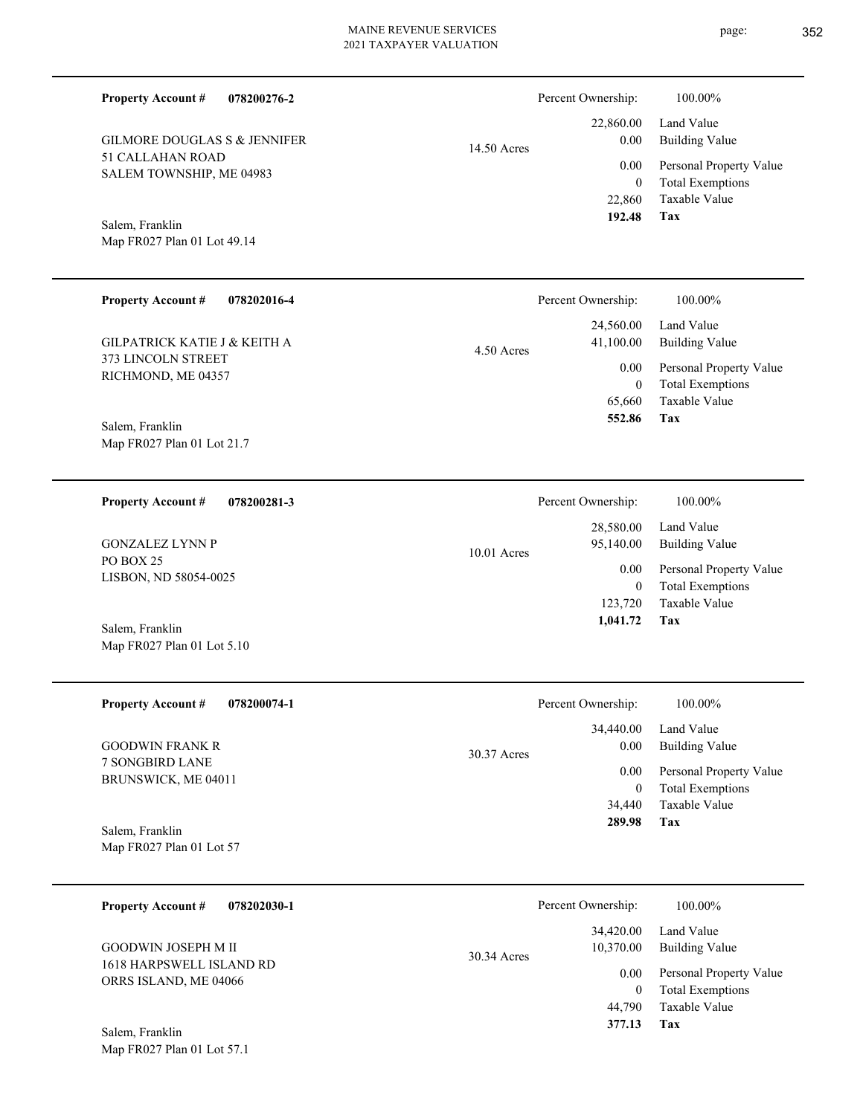14.50 Acres

| GILMORE DOUGLAS S & JENNIFER |
|------------------------------|
| 51 CALLAHAN ROAD             |
| SALEM TOWNSHIP, ME 04983     |

**078200276-2**

# Map FR027 Plan 01 Lot 49.14 Salem, Franklin

**Property Account #**

| <b>Property Account #</b>               | 078202016-4 | Percent Ownership: |                  | 100.00%                                  |
|-----------------------------------------|-------------|--------------------|------------------|------------------------------------------|
|                                         |             |                    | 24,560.00        | Land Value                               |
| <b>GILPATRICK KATIE J &amp; KEITH A</b> |             | 4.50 Acres         | 41,100.00        | <b>Building Value</b>                    |
| 373 LINCOLN STREET                      |             |                    | 0.00             | Personal Property Value                  |
| RICHMOND, ME 04357                      |             |                    | $\Omega$         | <b>Total Exemptions</b>                  |
|                                         |             |                    | 65,660           | Taxable Value                            |
| Salem, Franklin                         |             |                    | 552.86           | Tax                                      |
| Map FR027 Plan 01 Lot 21.7              |             |                    |                  |                                          |
|                                         |             |                    |                  |                                          |
|                                         |             |                    |                  |                                          |
| <b>Property Account #</b>               | 078200281-3 | Percent Ownership: |                  | 100.00%                                  |
|                                         |             |                    | 28,580.00        | Land Value                               |
| <b>GONZALEZ LYNN P</b>                  |             | $10.01$ Acres      | 95,140.00        | <b>Building Value</b>                    |
|                                         |             |                    |                  |                                          |
| PO BOX 25                               |             |                    |                  |                                          |
| LISBON, ND 58054-0025                   |             |                    | 0.00<br>$\bf{0}$ | Personal Property Value                  |
|                                         |             |                    | 123,720          | <b>Total Exemptions</b><br>Taxable Value |

| <b>Property Account #</b><br>078200074-1 | Percent Ownership:               | 100.00%                                            |
|------------------------------------------|----------------------------------|----------------------------------------------------|
| <b>GOODWIN FRANK R</b>                   | 34,440.00<br>0.00<br>30.37 Acres | Land Value<br><b>Building Value</b>                |
| 7 SONGBIRD LANE<br>BRUNSWICK, ME 04011   | 0.00                             | Personal Property Value<br><b>Total Exemptions</b> |
|                                          | 34,440                           | Taxable Value                                      |
| Salem, Franklin                          | 289.98                           | Tax                                                |

| 078202030-1<br><b>Property Account #</b>                                 | Percent Ownership:                                 | 100.00%                                                                            |
|--------------------------------------------------------------------------|----------------------------------------------------|------------------------------------------------------------------------------------|
| GOODWIN JOSEPH M II<br>1618 HARPSWELL ISLAND RD<br>ORRS ISLAND, ME 04066 | 34,420.00<br>10,370.00<br>30.34 Acres<br>0.00<br>0 | Land Value<br>Building Value<br>Personal Property Value<br><b>Total Exemptions</b> |
| Salem, Franklin                                                          | 44,790<br>377.13                                   | Taxable Value<br>Tax                                                               |

Map FR027 Plan 01 Lot 57.1

**Tax** Taxable Value Total Exemptions Personal Property Value Building Value Land Value 22,860 0  **192.48** 22,860.00 0.00 0.00 Percent Ownership:  $100.00\%$ 

Map FR027 Plan 01 Lot 5.10

Map FR027 Plan 01 Lot 57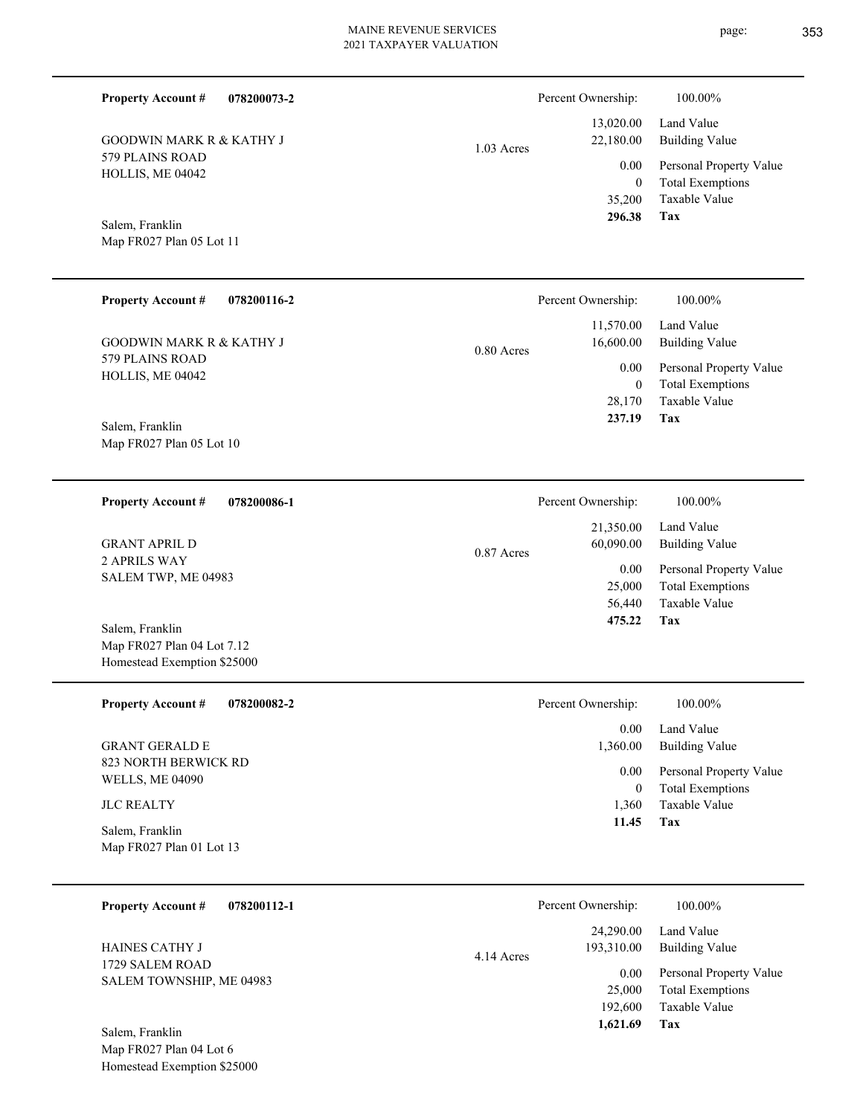1.03 Acres

**078200073-2**

579 PLAINS ROAD HOLLIS, ME 04042 GOODWIN MARK R & KATHY J

Map FR027 Plan 05 Lot 11 Salem, Franklin

**Property Account #**

| <b>Property Account #</b><br>078200116-2                                                      | Percent Ownership:                                                                 | 100.00%                                                                                                                  |
|-----------------------------------------------------------------------------------------------|------------------------------------------------------------------------------------|--------------------------------------------------------------------------------------------------------------------------|
| <b>GOODWIN MARK R &amp; KATHY J</b><br>579 PLAINS ROAD<br>HOLLIS, ME 04042<br>Salem, Franklin | 11,570.00<br>16,600.00<br>$0.80$ Acres<br>0.00<br>$\mathbf{0}$<br>28,170<br>237.19 | Land Value<br><b>Building Value</b><br>Personal Property Value<br><b>Total Exemptions</b><br>Taxable Value<br><b>Tax</b> |
| Map FR027 Plan 05 Lot 10                                                                      |                                                                                    |                                                                                                                          |
| <b>Property Account #</b><br>078200086-1                                                      | Percent Ownership:                                                                 | 100.00%                                                                                                                  |
| <b>GRANT APRIL D</b>                                                                          | 21,350.00<br>60,090.00<br>0.87 Acres                                               | Land Value<br><b>Building Value</b>                                                                                      |
| 2 APRILS WAY<br>SALEM TWP, ME 04983                                                           | 0.00<br>25,000                                                                     | Personal Property Value<br><b>Total Exemptions</b>                                                                       |
| Salem, Franklin                                                                               | 56,440<br>475.22                                                                   | Taxable Value<br>Tax                                                                                                     |
| Map FR027 Plan 04 Lot 7.12<br>Homestead Exemption \$25000                                     |                                                                                    |                                                                                                                          |
| <b>Property Account #</b><br>078200082-2                                                      | Percent Ownership:                                                                 | 100.00%                                                                                                                  |
| <b>GRANT GERALD E</b>                                                                         | 0.00                                                                               | Land Value                                                                                                               |
| 823 NORTH BERWICK RD<br><b>WELLS, ME 04090</b>                                                | 1,360.00<br>0.00<br>$\boldsymbol{0}$                                               | <b>Building Value</b><br>Personal Property Value<br><b>Total Exemptions</b>                                              |
| <b>JLC REALTY</b>                                                                             | 1.360                                                                              | Taxable Value                                                                                                            |

Map FR027 Plan 01 Lot 13 Salem, Franklin

| 078200112-1<br><b>Property Account #</b> | Percent Ownership:                    | 100.00%                                                             |
|------------------------------------------|---------------------------------------|---------------------------------------------------------------------|
| HAINES CATHY J<br>1729 SALEM ROAD        | 24,290.00<br>193,310.00<br>4.14 Acres | Land Value<br>Building Value                                        |
| SALEM TOWNSHIP, ME 04983                 | 0.00<br>25,000<br>192,600             | Personal Property Value<br><b>Total Exemptions</b><br>Taxable Value |
| Salem, Franklin                          | 1,621.69                              | Tax                                                                 |

Map FR027 Plan 04 Lot 6 Homestead Exemption \$25000

**Tax**

 35,200 0

0.00

Percent Ownership:  $100.00\%$ 

 13,020.00 22,180.00

 **296.38**

**Tax 11.45**

Taxable Value Total Exemptions Personal Property Value

Building Value Land Value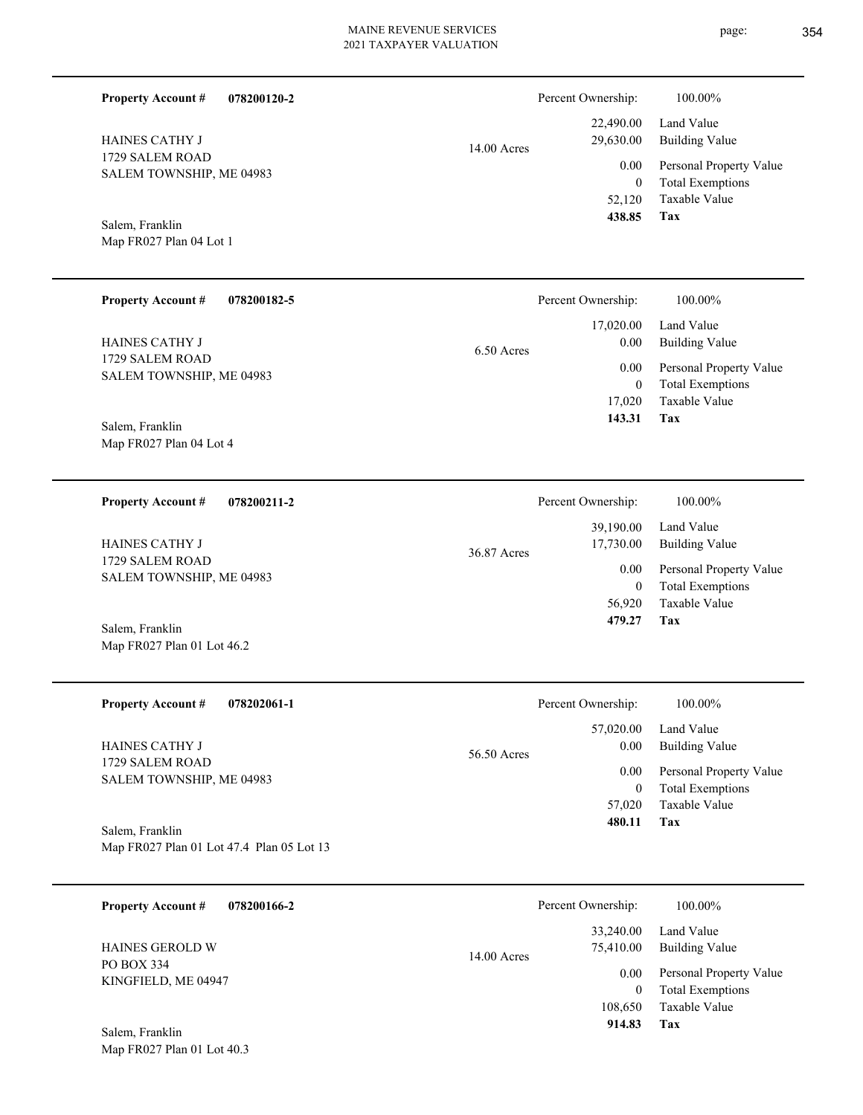| <b>Property Account #</b><br>078200120-2                       |               | Percent Ownership:                            | 100.00%                                                                    |
|----------------------------------------------------------------|---------------|-----------------------------------------------|----------------------------------------------------------------------------|
| HAINES CATHY J                                                 | 14.00 Acres   | 22,490.00<br>29,630.00                        | Land Value<br><b>Building Value</b>                                        |
| 1729 SALEM ROAD<br>SALEM TOWNSHIP, ME 04983                    |               | 0.00<br>$\mathbf{0}$                          | Personal Property Value<br><b>Total Exemptions</b>                         |
| Salem, Franklin<br>Map FR027 Plan 04 Lot 1                     |               | 52,120<br>438.85                              | Taxable Value<br>Tax                                                       |
| <b>Property Account #</b><br>078200182-5                       |               | Percent Ownership:                            | 100.00%                                                                    |
| HAINES CATHY J                                                 | 6.50 Acres    | 17,020.00<br>0.00                             | Land Value<br><b>Building Value</b>                                        |
| 1729 SALEM ROAD<br>SALEM TOWNSHIP, ME 04983                    |               | 0.00<br>$\boldsymbol{0}$<br>17,020<br>143.31  | Personal Property Value<br><b>Total Exemptions</b><br>Taxable Value<br>Tax |
| Salem, Franklin<br>Map FR027 Plan 04 Lot 4                     |               |                                               |                                                                            |
| <b>Property Account #</b><br>078200211-2                       |               | Percent Ownership:                            | 100.00%                                                                    |
| HAINES CATHY J                                                 | 36.87 Acres   | 39,190.00<br>17,730.00                        | Land Value<br><b>Building Value</b>                                        |
| 1729 SALEM ROAD<br>SALEM TOWNSHIP, ME 04983                    |               | 0.00<br>$\boldsymbol{0}$<br>56,920<br>479.27  | Personal Property Value<br><b>Total Exemptions</b><br>Taxable Value<br>Tax |
| Salem, Franklin<br>Map FR027 Plan 01 Lot 46.2                  |               |                                               |                                                                            |
| <b>Property Account #</b><br>078202061-1                       |               | Percent Ownership:                            | 100.00%                                                                    |
| <b>HAINES CATHY J</b>                                          | 56.50 Acres   | 57,020.00<br>0.00                             | Land Value<br><b>Building Value</b>                                        |
| 1729 SALEM ROAD<br>SALEM TOWNSHIP, ME 04983<br>Salem, Franklin |               | 0.00<br>$\boldsymbol{0}$<br>57,020<br>480.11  | Personal Property Value<br><b>Total Exemptions</b><br>Taxable Value<br>Tax |
| Map FR027 Plan 01 Lot 47.4 Plan 05 Lot 13                      |               |                                               |                                                                            |
| <b>Property Account #</b><br>078200166-2                       |               | Percent Ownership:                            | 100.00%                                                                    |
| HAINES GEROLD W                                                | $14.00$ Acres | 33,240.00<br>75,410.00                        | Land Value<br><b>Building Value</b>                                        |
| PO BOX 334<br>KINGFIELD, ME 04947                              |               | 0.00<br>$\boldsymbol{0}$<br>108,650<br>914.83 | Personal Property Value<br><b>Total Exemptions</b><br>Taxable Value<br>Tax |
| Salem, Franklin<br>Map FR027 Plan 01 Lot 40.3                  |               |                                               |                                                                            |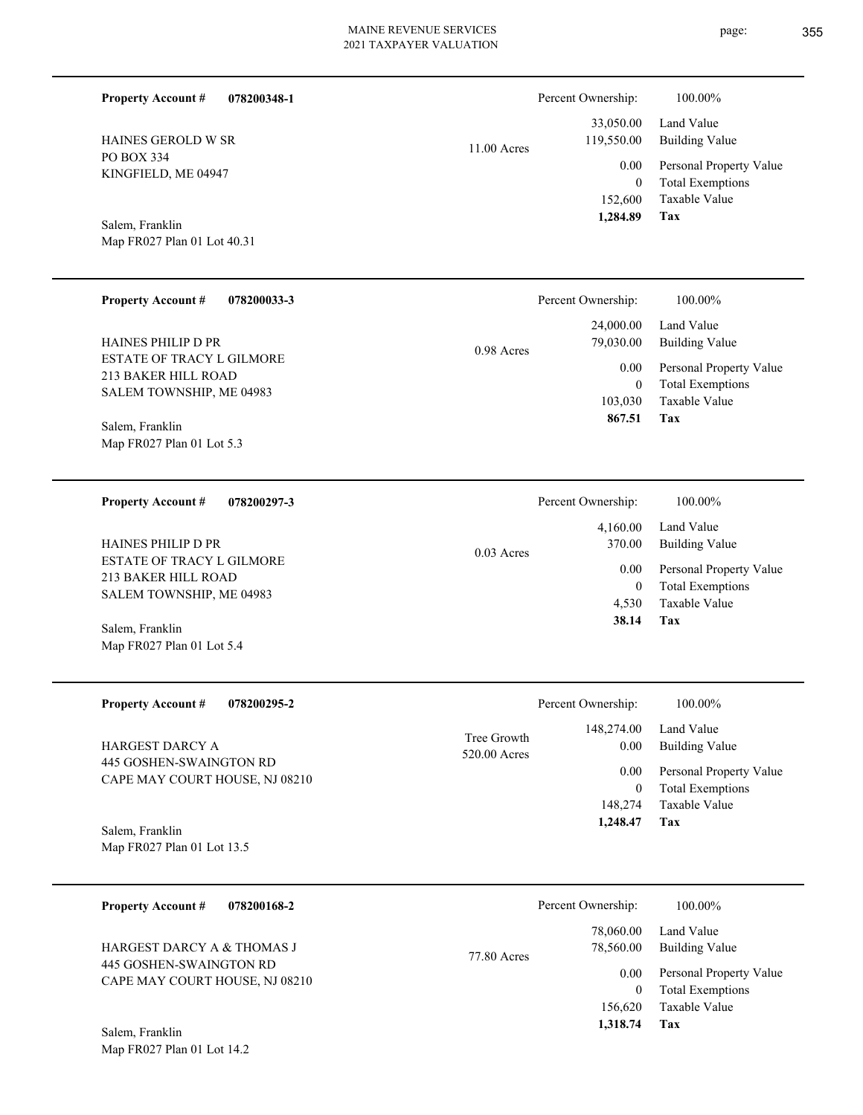| 078200348-1<br><b>Property Account #</b><br>HAINES GEROLD W SR<br>PO BOX 334<br>KINGFIELD, ME 04947<br>Salem, Franklin<br>Map FR027 Plan 01 Lot 40.31                                                        | 11.00 Acres  | Percent Ownership:<br>33,050.00<br>119,550.00<br>0.00<br>$\mathbf{0}$<br>152,600<br>1,284.89 | 100.00%<br>Land Value<br><b>Building Value</b><br>Personal Property Value<br><b>Total Exemptions</b><br><b>Taxable Value</b><br><b>Tax</b> |
|--------------------------------------------------------------------------------------------------------------------------------------------------------------------------------------------------------------|--------------|----------------------------------------------------------------------------------------------|--------------------------------------------------------------------------------------------------------------------------------------------|
| <b>Property Account #</b><br>078200033-3<br><b>HAINES PHILIP D PR</b><br><b>ESTATE OF TRACY L GILMORE</b><br>213 BAKER HILL ROAD<br>SALEM TOWNSHIP, ME 04983<br>Salem, Franklin<br>Map FR027 Plan 01 Lot 5.3 | 0.98 Acres   | Percent Ownership:<br>24,000.00<br>79,030.00<br>0.00<br>$\mathbf{0}$<br>103,030<br>867.51    | 100.00%<br>Land Value<br><b>Building Value</b><br>Personal Property Value<br><b>Total Exemptions</b><br>Taxable Value<br>Tax               |
| <b>Property Account #</b><br>078200297-3<br>HAINES PHILIP D PR<br>ESTATE OF TRACY L GILMORE<br>213 BAKER HILL ROAD<br>SALEM TOWNSHIP, ME 04983<br>Salem, Franklin<br>Map FR027 Plan 01 Lot 5.4               | $0.03$ Acres | Percent Ownership:<br>4,160.00<br>370.00<br>0.00<br>$\mathbf{0}$<br>4,530<br>38.14           | 100.00%<br>Land Value<br><b>Building Value</b><br>Personal Property Value<br><b>Total Exemptions</b><br>Taxable Value<br>Tax               |
| <b>Property Account #</b><br>078200295-2                                                                                                                                                                     |              | Percent Ownership:                                                                           | 100.00%                                                                                                                                    |

|                                | Tree Growth  | 148,274.00 | Land Value              |
|--------------------------------|--------------|------------|-------------------------|
| HARGEST DARCY A                | 520.00 Acres | 0.00       | Building Value          |
| 445 GOSHEN-SWAINGTON RD        |              | 0.00       | Personal Property Value |
| CAPE MAY COURT HOUSE, NJ 08210 |              | $\theta$   | <b>Total Exemptions</b> |
|                                |              | 148,274    | Taxable Value           |
|                                |              | 1,248.47   | Tax                     |
| Salem, Franklin                |              |            |                         |
| Map FR027 Plan 01 Lot 13.5     |              |            |                         |

| 078200168-2<br><b>Property Account #</b>                  | Percent Ownership:                    | 100.00%                                            |
|-----------------------------------------------------------|---------------------------------------|----------------------------------------------------|
| HARGEST DARCY A & THOMAS J                                | 78,060.00<br>78,560.00<br>77.80 Acres | Land Value<br>Building Value                       |
| 445 GOSHEN-SWAINGTON RD<br>CAPE MAY COURT HOUSE, NJ 08210 | 0.00                                  | Personal Property Value<br><b>Total Exemptions</b> |
| Salem, Franklin                                           | 156,620<br>1,318.74                   | Taxable Value<br>Tax                               |

Map FR027 Plan 01 Lot 14.2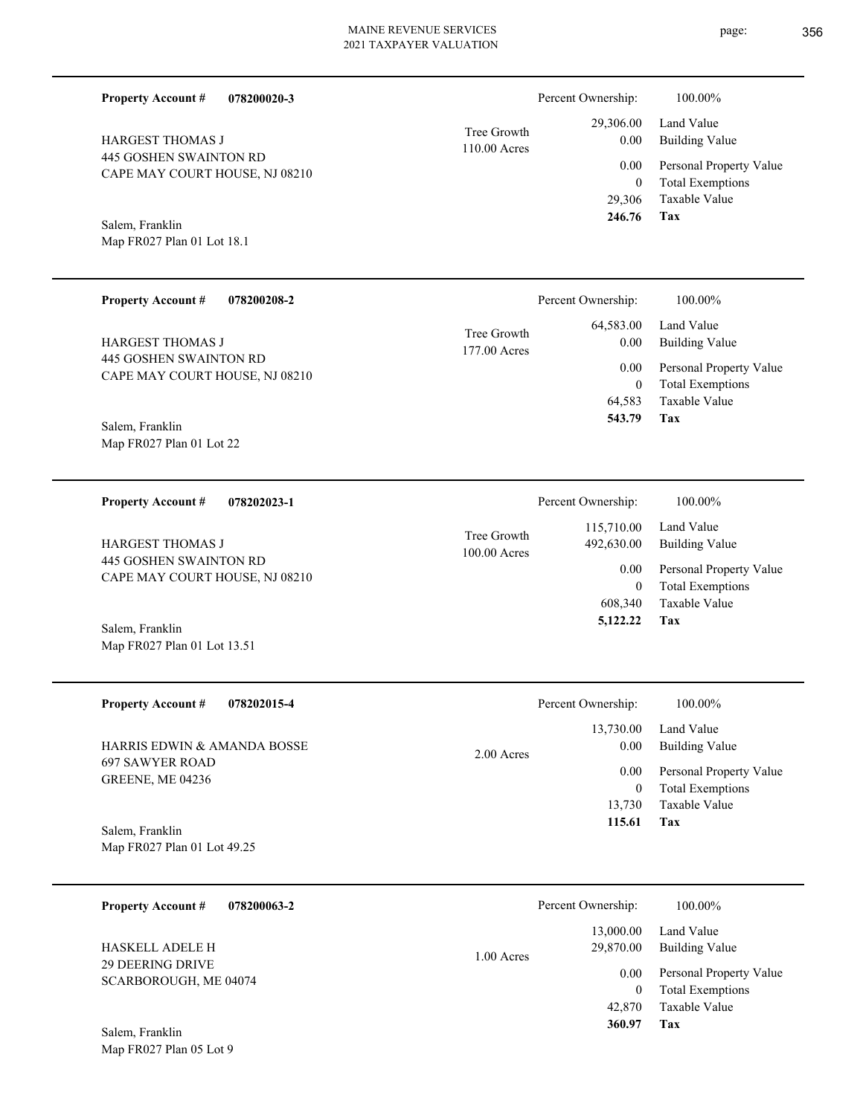| <b>Property Account #</b><br>078200020-3                        |                             | Percent Ownership:                     | 100.00%                                                                    |
|-----------------------------------------------------------------|-----------------------------|----------------------------------------|----------------------------------------------------------------------------|
| <b>HARGEST THOMAS J</b>                                         | Tree Growth<br>110.00 Acres | 29,306.00<br>0.00                      | Land Value<br><b>Building Value</b>                                        |
| 445 GOSHEN SWAINTON RD<br>CAPE MAY COURT HOUSE, NJ 08210        |                             | 0.00<br>$\boldsymbol{0}$<br>29,306     | Personal Property Value<br><b>Total Exemptions</b><br><b>Taxable Value</b> |
| Salem, Franklin<br>Map FR027 Plan 01 Lot 18.1                   |                             | 246.76                                 | Tax                                                                        |
| <b>Property Account #</b><br>078200208-2                        |                             | Percent Ownership:                     | 100.00%                                                                    |
| <b>HARGEST THOMAS J</b>                                         | Tree Growth<br>177.00 Acres | 64,583.00<br>0.00                      | Land Value<br><b>Building Value</b>                                        |
| <b>445 GOSHEN SWAINTON RD</b><br>CAPE MAY COURT HOUSE, NJ 08210 |                             | 0.00<br>$\bf{0}$<br>64,583             | Personal Property Value<br><b>Total Exemptions</b><br><b>Taxable Value</b> |
| Salem, Franklin<br>Map FR027 Plan 01 Lot 22                     |                             | 543.79                                 | Tax                                                                        |
| <b>Property Account #</b><br>078202023-1                        |                             | Percent Ownership:                     | 100.00%                                                                    |
| <b>HARGEST THOMAS J</b><br><b>445 GOSHEN SWAINTON RD</b>        | Tree Growth<br>100.00 Acres | 115,710.00<br>492,630.00<br>0.00       | Land Value<br><b>Building Value</b><br>Personal Property Value             |
| CAPE MAY COURT HOUSE, NJ 08210<br>Salem, Franklin               |                             | $\bf{0}$<br>608,340<br>5,122.22        | <b>Total Exemptions</b><br>Taxable Value<br><b>Tax</b>                     |
| Map FR027 Plan 01 Lot 13.51                                     |                             |                                        |                                                                            |
| <b>Property Account #</b><br>078202015-4                        |                             | Percent Ownership:                     | 100.00%                                                                    |
| HARRIS EDWIN & AMANDA BOSSE                                     | 2.00 Acres                  | 13,730.00<br>0.00                      | Land Value<br><b>Building Value</b>                                        |
| <b>697 SAWYER ROAD</b><br>GREENE, ME 04236                      |                             | $0.00\,$<br>$\boldsymbol{0}$<br>13,730 | Personal Property Value<br><b>Total Exemptions</b><br>Taxable Value        |

Map FR027 Plan 01 Lot 49.25 Salem, Franklin

| 078200063-2<br><b>Property Account #</b>  | Percent Ownership:                     | 100.00%                                                             |
|-------------------------------------------|----------------------------------------|---------------------------------------------------------------------|
| <b>HASKELL ADELE H</b>                    | 13,000.00<br>29,870.00<br>$1.00$ Acres | Land Value<br>Building Value                                        |
| 29 DEERING DRIVE<br>SCARBOROUGH, ME 04074 | 0.00<br>0<br>42,870                    | Personal Property Value<br><b>Total Exemptions</b><br>Taxable Value |
| Salem, Franklin                           | 360.97                                 | Tax                                                                 |

**Tax 115.61**

Map FR027 Plan 05 Lot 9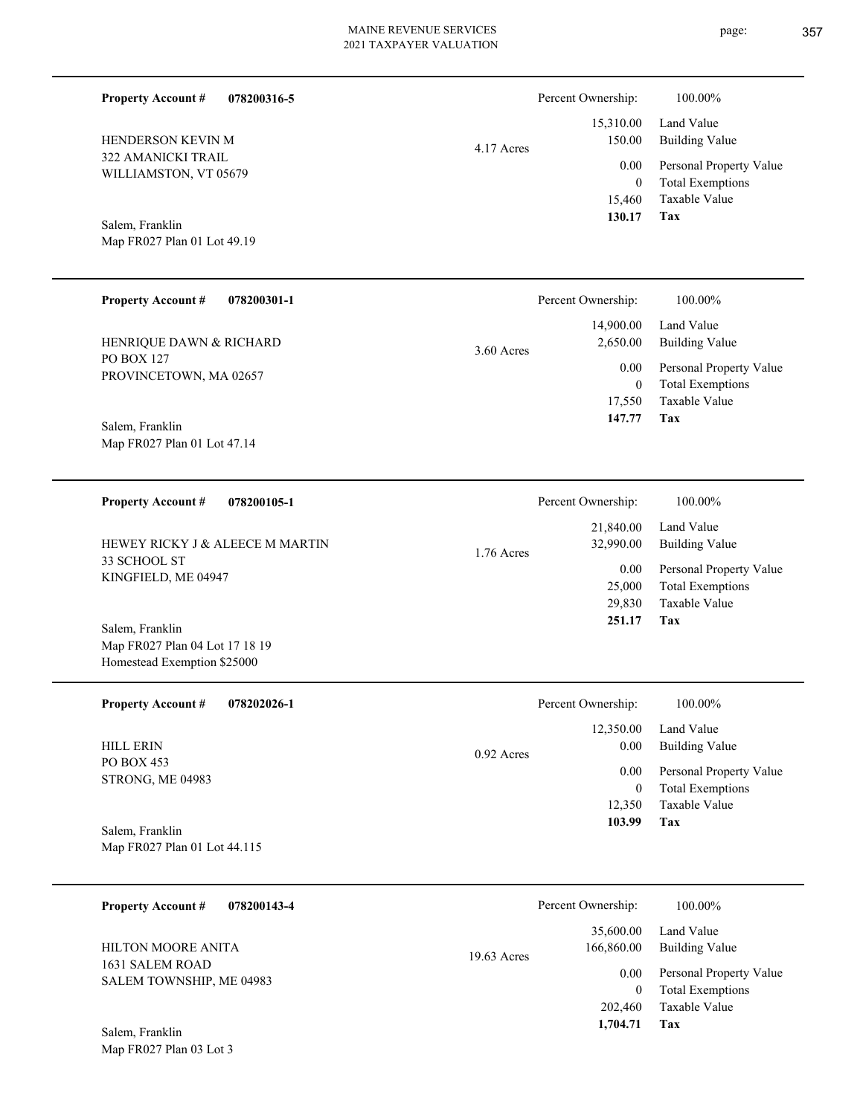Percent Ownership:  $100.00\%$ 

|            | $130.17$ Tax | 15,460 Taxable Value                          |
|------------|--------------|-----------------------------------------------|
|            | $\theta$     | Total Exemptions                              |
|            |              | 0.00 Personal Property Value                  |
| 4.17 Acres |              | 15,310.00 Land Value<br>150.00 Building Value |
|            |              |                                               |

**Tax**

 **103.99**

WILLIAMSTON, VT 05679

322 AMANICKI TRAIL

HENDERSON KEVIN M

**Property Account #**

**078200316-5**

Map FR027 Plan 01 Lot 49.19 Salem, Franklin

| <b>Property Account #</b><br>078200301-1       | Percent Ownership:                    | $100.00\%$                                         |
|------------------------------------------------|---------------------------------------|----------------------------------------------------|
| HENRIQUE DAWN & RICHARD                        | 14,900.00<br>2,650.00<br>$3.60$ Acres | Land Value<br>Building Value                       |
| <b>PO BOX 127</b><br>PROVINCETOWN, MA 02657    | 0.00<br>$\mathbf{0}$                  | Personal Property Value<br><b>Total Exemptions</b> |
|                                                | 17,550                                | Taxable Value                                      |
| Salem, Franklin<br>Map FR027 Plan 01 Lot 47.14 | 147.77                                | Tax                                                |

| 078200105-1<br><b>Property Account #</b>        | Percent Ownership:                   | 100.00%                                                             |
|-------------------------------------------------|--------------------------------------|---------------------------------------------------------------------|
| HEWEY RICKY J & ALEECE M MARTIN<br>33 SCHOOL ST | 21,840.00<br>32,990.00<br>1.76 Acres | Land Value<br>Building Value                                        |
| KINGFIELD, ME 04947                             | 0.00<br>25,000<br>29,830             | Personal Property Value<br><b>Total Exemptions</b><br>Taxable Value |
| Salem, Franklin                                 | 251.17                               | Tax                                                                 |

Homestead Exemption \$25000 **078202026-1** Taxable Value Total Exemptions Personal Property Value Building Value Land Value PO BOX 453 STRONG, ME 04983 **Property Account #** HILL ERIN 12,350  $\boldsymbol{0}$  12,350.00 0.00 0.00 0.92 Acres Percent Ownership:  $100.00\%$ 

Map FR027 Plan 01 Lot 44.115 Salem, Franklin

Map FR027 Plan 04 Lot 17 18 19

| 078200143-4<br><b>Property Account #</b>    | Percent Ownership:                       | 100.00%                                            |
|---------------------------------------------|------------------------------------------|----------------------------------------------------|
| HILTON MOORE ANITA                          | 35,600.00<br>166,860.00<br>$19.63$ Acres | Land Value<br>Building Value                       |
| 1631 SALEM ROAD<br>SALEM TOWNSHIP, ME 04983 | 0.00                                     | Personal Property Value<br><b>Total Exemptions</b> |
| Salem, Franklin                             | 202,460<br>1,704.71                      | Taxable Value<br>Tax                               |

Map FR027 Plan 03 Lot 3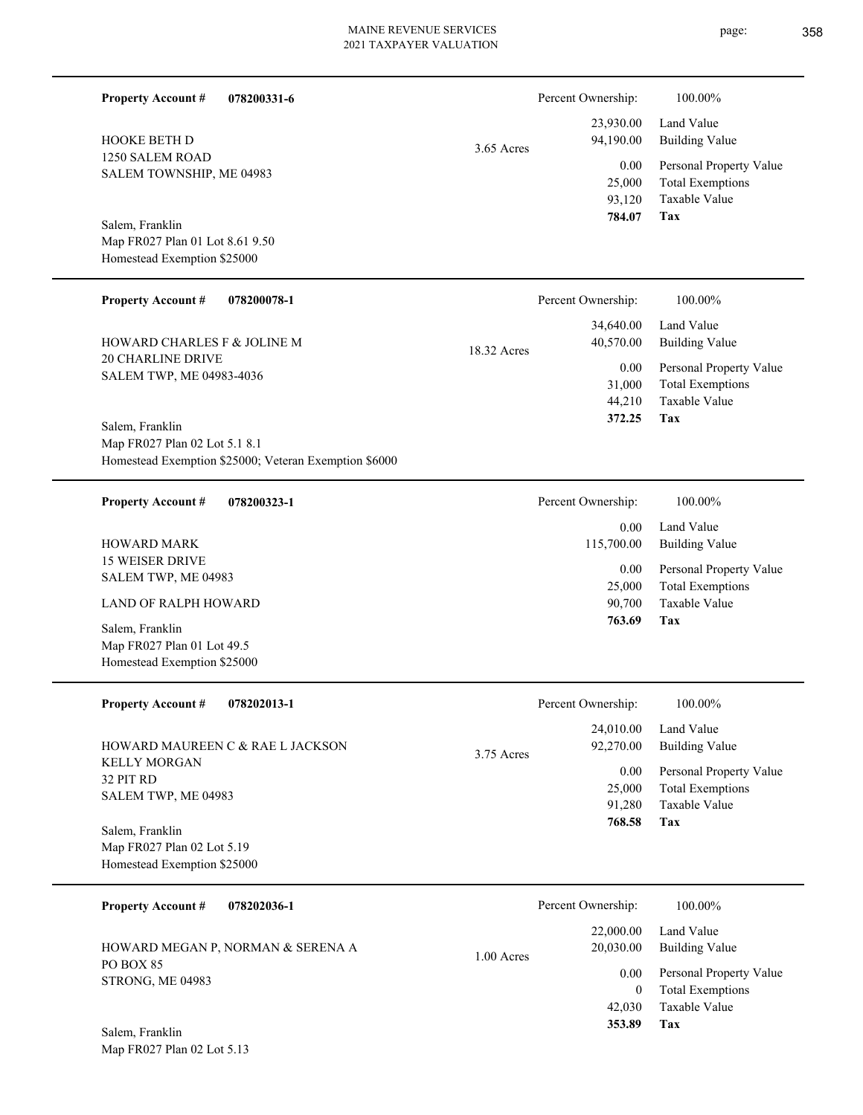| <b>Property Account #</b><br>078200331-6                                               |              | Percent Ownership:                 | 100.00%                                                                    |
|----------------------------------------------------------------------------------------|--------------|------------------------------------|----------------------------------------------------------------------------|
| <b>HOOKE BETH D</b>                                                                    | $3.65$ Acres | 23,930.00<br>94,190.00             | Land Value<br><b>Building Value</b>                                        |
| 1250 SALEM ROAD<br>SALEM TOWNSHIP, ME 04983                                            |              | 0.00<br>25,000<br>93,120<br>784.07 | Personal Property Value<br><b>Total Exemptions</b><br>Taxable Value<br>Tax |
| Salem, Franklin                                                                        |              |                                    |                                                                            |
| Map FR027 Plan 01 Lot 8.61 9.50                                                        |              |                                    |                                                                            |
| Homestead Exemption \$25000                                                            |              |                                    |                                                                            |
| <b>Property Account #</b><br>078200078-1                                               |              | Percent Ownership:                 | 100.00%                                                                    |
| HOWARD CHARLES F & JOLINE M                                                            | 18.32 Acres  | 34,640.00<br>40,570.00             | Land Value<br><b>Building Value</b>                                        |
| <b>20 CHARLINE DRIVE</b><br>SALEM TWP, ME 04983-4036                                   |              | 0.00                               | Personal Property Value                                                    |
|                                                                                        |              | 31,000                             | <b>Total Exemptions</b>                                                    |
|                                                                                        |              | 44,210<br>372.25                   | Taxable Value<br>Tax                                                       |
| Salem, Franklin                                                                        |              |                                    |                                                                            |
| Map FR027 Plan 02 Lot 5.1 8.1<br>Homestead Exemption \$25000; Veteran Exemption \$6000 |              |                                    |                                                                            |
|                                                                                        |              |                                    |                                                                            |
| <b>Property Account #</b><br>078200323-1                                               |              | Percent Ownership:                 | 100.00%                                                                    |
| <b>HOWARD MARK</b>                                                                     |              | 0.00<br>115,700.00                 | Land Value<br><b>Building Value</b>                                        |
| <b>15 WEISER DRIVE</b>                                                                 |              | 0.00                               | Personal Property Value                                                    |
| SALEM TWP, ME 04983                                                                    |              | 25,000                             | <b>Total Exemptions</b>                                                    |
| LAND OF RALPH HOWARD                                                                   |              | 90,700<br>763.69                   | Taxable Value<br>Tax                                                       |
| Salem, Franklin<br>Map FR027 Plan 01 Lot 49.5                                          |              |                                    |                                                                            |
| Homestead Exemption \$25000                                                            |              |                                    |                                                                            |
|                                                                                        |              |                                    |                                                                            |
| 078202013-1<br><b>Property Account #</b>                                               |              | Percent Ownership:                 | 100.00%                                                                    |
| HOWARD MAUREEN C & RAE L JACKSON                                                       | 3.75 Acres   | 24,010.00<br>92,270.00             | Land Value<br><b>Building Value</b>                                        |
| <b>KELLY MORGAN</b><br>32 PIT RD                                                       |              | 0.00                               | Personal Property Value                                                    |
| SALEM TWP, ME 04983                                                                    |              | 25,000<br>91,280                   | <b>Total Exemptions</b><br>Taxable Value                                   |
| Salem, Franklin                                                                        |              | 768.58                             | Tax                                                                        |
| Map FR027 Plan 02 Lot 5.19                                                             |              |                                    |                                                                            |
| Homestead Exemption \$25000                                                            |              |                                    |                                                                            |
|                                                                                        |              | Percent Ownership:                 |                                                                            |
| <b>Property Account #</b><br>078202036-1                                               |              | 22,000.00                          | 100.00%<br>Land Value                                                      |
| HOWARD MEGAN P, NORMAN & SERENA A                                                      | 1.00 Acres   | 20,030.00                          | <b>Building Value</b>                                                      |
| PO BOX 85<br>STRONG, ME 04983                                                          |              | 0.00                               | Personal Property Value                                                    |
|                                                                                        |              | $\boldsymbol{0}$                   | <b>Total Exemptions</b><br>Taxable Value                                   |
|                                                                                        |              | 42,030<br>353.89                   | Tax                                                                        |
| Salem, Franklin<br>Map FR027 Plan 02 Lot 5.13                                          |              |                                    |                                                                            |
|                                                                                        |              |                                    |                                                                            |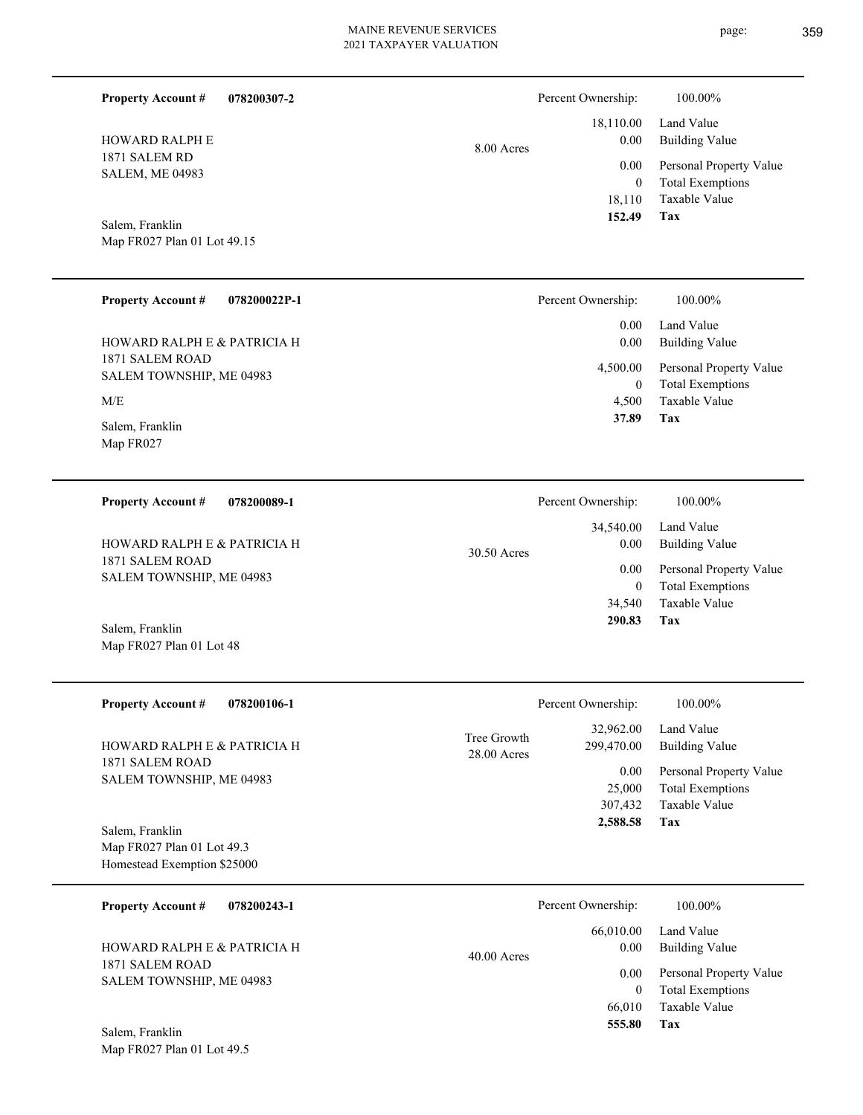| <b>Property Account #</b><br>078200307-2                  |             | Percent Ownership:           | 100.00%                                                                    |
|-----------------------------------------------------------|-------------|------------------------------|----------------------------------------------------------------------------|
| HOWARD RALPH E                                            | 8.00 Acres  | 18,110.00<br>0.00            | Land Value<br><b>Building Value</b>                                        |
| 1871 SALEM RD<br><b>SALEM, ME 04983</b>                   |             | 0.00<br>$\boldsymbol{0}$     | Personal Property Value<br><b>Total Exemptions</b><br><b>Taxable Value</b> |
|                                                           |             | 18,110<br>152.49             | Tax                                                                        |
| Salem, Franklin<br>Map FR027 Plan 01 Lot 49.15            |             |                              |                                                                            |
|                                                           |             |                              |                                                                            |
| <b>Property Account #</b><br>078200022P-1                 |             | Percent Ownership:           | 100.00%                                                                    |
|                                                           |             | 0.00                         | Land Value                                                                 |
| HOWARD RALPH E & PATRICIA H<br>1871 SALEM ROAD            |             | 0.00                         | <b>Building Value</b>                                                      |
| SALEM TOWNSHIP, ME 04983                                  |             | 4,500.00<br>$\boldsymbol{0}$ | Personal Property Value<br><b>Total Exemptions</b>                         |
| M/E                                                       |             | 4,500<br>37.89               | <b>Taxable Value</b><br>Tax                                                |
| Salem, Franklin<br>Map FR027                              |             |                              |                                                                            |
|                                                           |             |                              |                                                                            |
| <b>Property Account #</b><br>078200089-1                  |             | Percent Ownership:           | 100.00%                                                                    |
|                                                           |             | 34,540.00                    | Land Value                                                                 |
| HOWARD RALPH E & PATRICIA H<br>1871 SALEM ROAD            | 30.50 Acres | 0.00                         | <b>Building Value</b>                                                      |
| SALEM TOWNSHIP, ME 04983                                  |             | 0.00<br>$\boldsymbol{0}$     | Personal Property Value<br><b>Total Exemptions</b>                         |
|                                                           |             | 34,540<br>290.83             | Taxable Value<br><b>Tax</b>                                                |
| Salem, Franklin<br>Map FR027 Plan 01 Lot 48               |             |                              |                                                                            |
|                                                           |             |                              |                                                                            |
| <b>Property Account #</b><br>078200106-1                  |             | Percent Ownership:           | 100.00%                                                                    |
|                                                           | Tree Growth | 32,962.00                    | Land Value                                                                 |
| HOWARD RALPH E & PATRICIA H<br>1871 SALEM ROAD            | 28.00 Acres | 299,470.00                   | <b>Building Value</b>                                                      |
| SALEM TOWNSHIP, ME 04983                                  |             | 0.00<br>25,000               | Personal Property Value<br><b>Total Exemptions</b>                         |
|                                                           |             | 307,432                      | Taxable Value                                                              |
| Salem, Franklin                                           |             | 2,588.58                     | Tax                                                                        |
| Map FR027 Plan 01 Lot 49.3<br>Homestead Exemption \$25000 |             |                              |                                                                            |
|                                                           |             |                              |                                                                            |
| <b>Property Account #</b><br>078200243-1                  |             | Percent Ownership:           | 100.00%                                                                    |
| HOWARD RALPH E & PATRICIA H                               | 40.00 Acres | 66,010.00<br>0.00            | Land Value<br><b>Building Value</b>                                        |
| 1871 SALEM ROAD<br>SALEM TOWNSHIP, ME 04983               |             | 0.00                         | Personal Property Value                                                    |
|                                                           |             | $\mathbf{0}$<br>66,010       | <b>Total Exemptions</b><br>Taxable Value                                   |
| Salem, Franklin                                           |             | 555.80                       | Tax                                                                        |
| Map FR027 Plan 01 Lot 49.5                                |             |                              |                                                                            |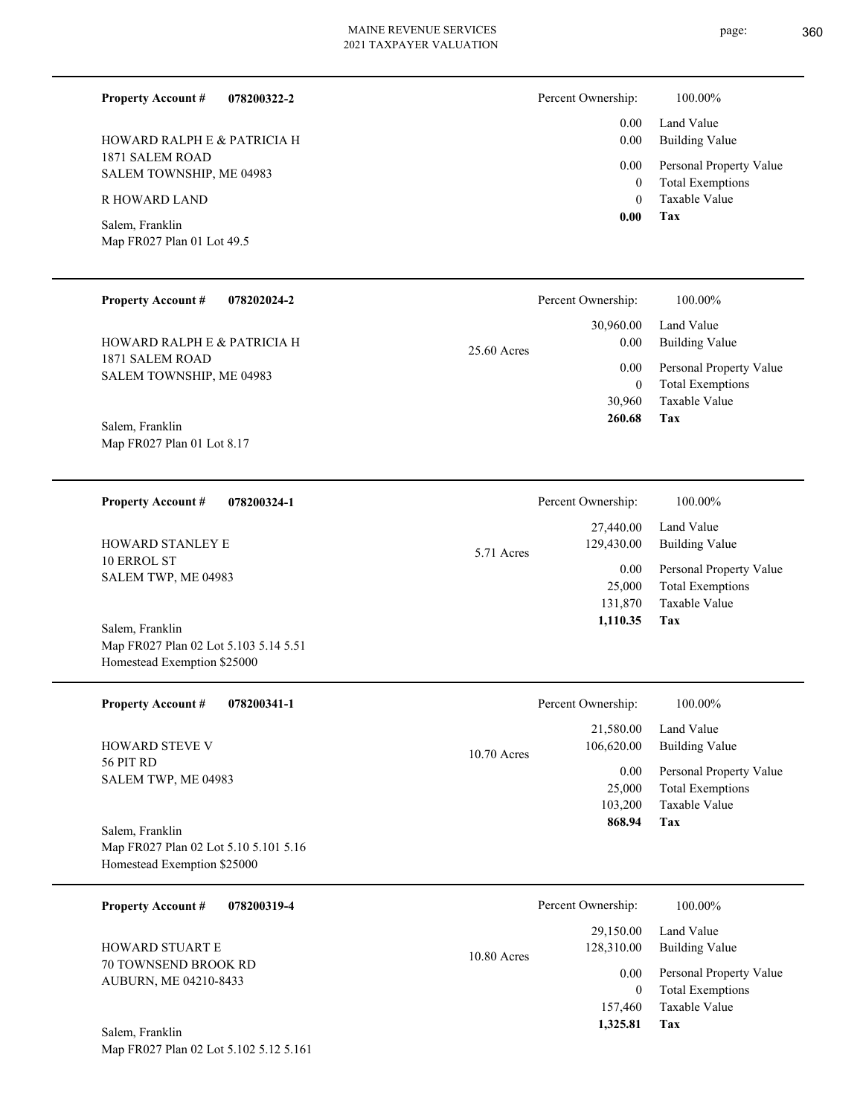page: 360

Building Value Land Value

 0.00 0.00

Percent Ownership:  $100.00\%$ 

| 1871 SALEM ROAD<br>SALEM TOWNSHIP, ME 04983<br>R HOWARD LAND<br>Salem, Franklin<br>Map FR027 Plan 01 Lot 49.5                                                                                 |               | 0.00<br>$\boldsymbol{0}$<br>$\mathbf{0}$<br>0.00                                           | Personal Property Value<br><b>Total Exemptions</b><br>Taxable Value<br>Tax                                                   |
|-----------------------------------------------------------------------------------------------------------------------------------------------------------------------------------------------|---------------|--------------------------------------------------------------------------------------------|------------------------------------------------------------------------------------------------------------------------------|
| <b>Property Account #</b><br>078202024-2                                                                                                                                                      |               | Percent Ownership:                                                                         | 100.00%                                                                                                                      |
| HOWARD RALPH E & PATRICIA H<br>1871 SALEM ROAD<br>SALEM TOWNSHIP, ME 04983<br>Salem, Franklin<br>Map FR027 Plan 01 Lot 8.17                                                                   | $25.60$ Acres | 30,960.00<br>0.00<br>0.00<br>$\mathbf{0}$<br>30,960<br>260.68                              | Land Value<br><b>Building Value</b><br>Personal Property Value<br><b>Total Exemptions</b><br>Taxable Value<br>Tax            |
| <b>Property Account #</b><br>078200324-1<br>HOWARD STANLEY E<br>10 ERROL ST<br>SALEM TWP, ME 04983<br>Salem, Franklin<br>Map FR027 Plan 02 Lot 5.103 5.14 5.51<br>Homestead Exemption \$25000 | 5.71 Acres    | Percent Ownership:<br>27,440.00<br>129,430.00<br>$0.00\,$<br>25,000<br>131,870<br>1,110.35 | 100.00%<br>Land Value<br><b>Building Value</b><br>Personal Property Value<br><b>Total Exemptions</b><br>Taxable Value<br>Tax |
| <b>Property Account #</b><br>078200341-1<br><b>HOWARD STEVE V</b>                                                                                                                             |               | Percent Ownership:<br>21,580.00<br>106,620.00                                              | 100.00%<br>Land Value<br><b>Building Value</b>                                                                               |
| 56 PIT RD<br>SALEM TWP, ME 04983<br>Salem, Franklin<br>Map FR027 Plan 02 Lot 5.10 5.101 5.16<br>Homestead Exemption \$25000                                                                   | 10.70 Acres   | 0.00<br>25,000<br>103,200<br>868.94                                                        | Personal Property Value<br><b>Total Exemptions</b><br>Taxable Value<br>Tax                                                   |
| <b>Property Account #</b><br>078200319-4                                                                                                                                                      |               | Percent Ownership:                                                                         | 100.00%                                                                                                                      |
| HOWARD STUART E<br>70 TOWNSEND BROOK RD<br>AUBURN, ME 04210-8433<br>Salem, Franklin                                                                                                           | 10.80 Acres   | 29,150.00<br>128,310.00<br>0.00<br>$\boldsymbol{0}$<br>157,460<br>1,325.81                 | Land Value<br><b>Building Value</b><br>Personal Property Value<br><b>Total Exemptions</b><br>Taxable Value<br>Tax            |
| Map FR027 Plan 02 Lot 5.102 5.12 5.161                                                                                                                                                        |               |                                                                                            |                                                                                                                              |

#### **078200322-2 Property Account #**

1871 SALEM ROAD HOWARD RALPH E & PATRICIA H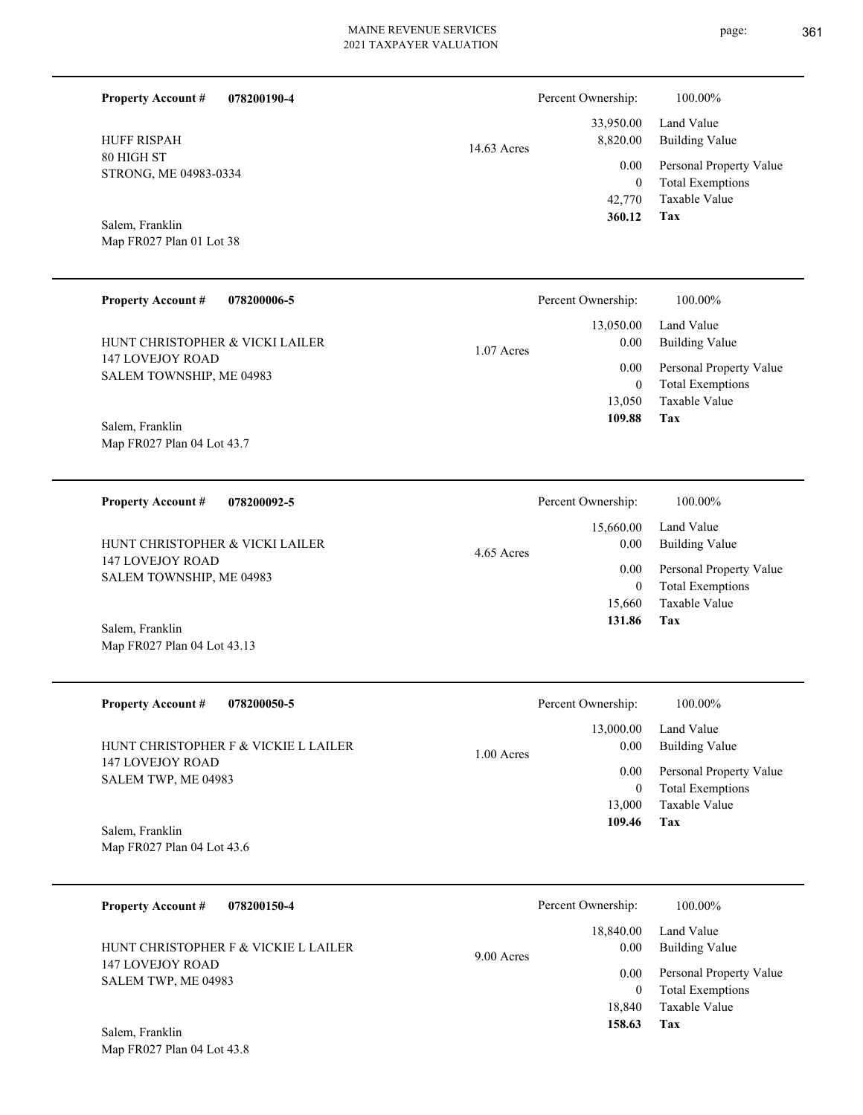14.63 Acres

**078200190-4 Property Account #**

80 HIGH ST STRONG, ME 04983-0334 HUFF RISPAH

Map FR027 Plan 01 Lot 38 Salem, Franklin

#### **078200006-5 Tax** Taxable Value Total Exemptions Personal Property Value Building Value Land Value 147 LOVEJOY ROAD SALEM TOWNSHIP, ME 04983 **Property Account #** Map FR027 Plan 04 Lot 43.7 Salem, Franklin HUNT CHRISTOPHER & VICKI LAILER 13,050 0  **109.88** 13,050.00 0.00 0.00 1.07 Acres Percent Ownership: 100.00%

**078200092-5 Tax** Taxable Value Total Exemptions Personal Property Value Building Value Land Value 147 LOVEJOY ROAD SALEM TOWNSHIP, ME 04983 **Property Account #** Salem, Franklin HUNT CHRISTOPHER & VICKI LAILER 15,660 0  **131.86** 15,660.00 0.00 0.00 4.65 Acres Percent Ownership:  $100.00\%$ 

| <b>Property Account #</b><br>078200050-5                 | Percent Ownership:                | 100.00%                                            |
|----------------------------------------------------------|-----------------------------------|----------------------------------------------------|
| HUNT CHRISTOPHER F & VICKIE L LAILER<br>147 LOVEJOY ROAD | 13,000.00<br>0.00<br>$1.00$ Acres | Land Value<br><b>Building Value</b>                |
| SALEM TWP, ME 04983                                      | 0.00<br>0                         | Personal Property Value<br><b>Total Exemptions</b> |
|                                                          | 13,000<br>109.46                  | Taxable Value<br>Tax                               |
| Salem, Franklin                                          |                                   |                                                    |

Map FR027 Plan 04 Lot 43.6

Map FR027 Plan 04 Lot 43.13

| 078200150-4<br><b>Property Account #</b> | Percent Ownership:              | 100.00%                                            |
|------------------------------------------|---------------------------------|----------------------------------------------------|
| HUNT CHRISTOPHER F & VICKIE L LAILER     | 18,840.00<br>0.00<br>9.00 Acres | Land Value<br><b>Building Value</b>                |
| 147 LOVEJOY ROAD<br>SALEM TWP, ME 04983  | 0.00                            | Personal Property Value<br><b>Total Exemptions</b> |
|                                          | 18.840<br>158.63                | Taxable Value<br>Tax                               |
| Solam Frontlin                           |                                 |                                                    |

Map FR027 Plan 04 Lot 43.8 Salem, Franklin



**Tax**

 42,770 0

 33,950.00 8,820.00 0.00

Percent Ownership:  $100.00\%$ 

 **360.12**

Taxable Value Total Exemptions Personal Property Value

Building Value Land Value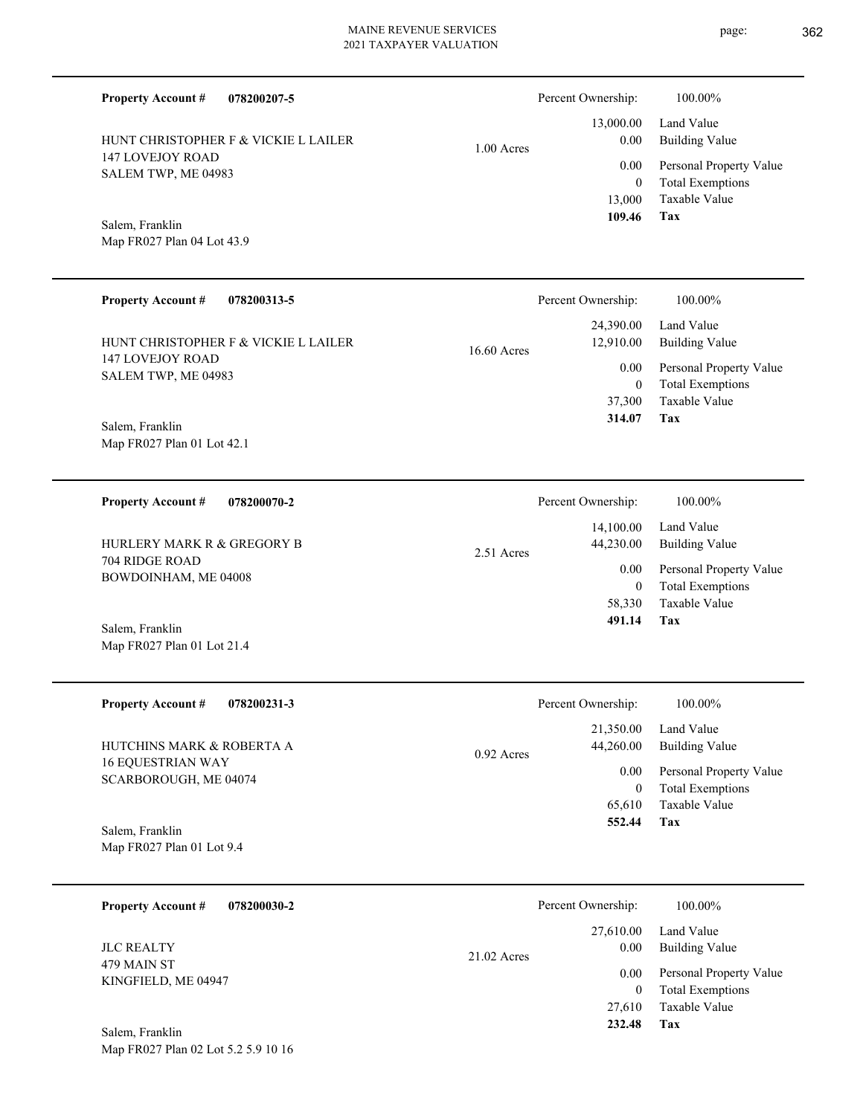**078200207-5**

HUNT CHRISTOPHER F & VICKIE L LAILER

**Property Account #**

147 LOVEJOY ROAD SALEM TWP, ME 04983 Map FR027 Plan 04 Lot 43.9 Salem, Franklin 13,000 0  **109.46** 0.00 **078200313-5 Tax** Taxable Value Total Exemptions Personal Property Value Building Value Land Value 147 LOVEJOY ROAD SALEM TWP, ME 04983 **Property Account #** Map FR027 Plan 01 Lot 42.1 Salem, Franklin HUNT CHRISTOPHER F & VICKIE L LAILER 37,300 0  **314.07** 24,390.00 12,910.00 0.00 16.60 Acres Percent Ownership: 100.00% **078200070-2** 704 RIDGE ROAD BOWDOINHAM, ME 04008 **Property Account #** HURLERY MARK R & GREGORY B 14,100.00 44,230.00 0.00  $2.51$  Ac

Map FR027 Plan 01 Lot 21.4 Salem, Franklin

| <b>Property Account #</b><br>078200231-3          | Percent Ownership:        | 100.00%                 |
|---------------------------------------------------|---------------------------|-------------------------|
|                                                   | 21,350.00                 | Land Value              |
| HUTCHINS MARK & ROBERTA A                         | 44,260.00<br>$0.92$ Acres | <b>Building Value</b>   |
| <b>16 EQUESTRIAN WAY</b><br>SCARBOROUGH, ME 04074 | 0.00                      | Personal Property Value |
|                                                   | $\overline{0}$            | <b>Total Exemptions</b> |
|                                                   | 65,610                    | Taxable Value           |
| Salem, Franklin                                   | 552.44                    | Tax                     |
| Map FR027 Plan 01 Lot 9.4                         |                           |                         |
|                                                   |                           |                         |
| 078200030-2<br><b>Property Account #</b>          | Percent Ownership:        | $100.00\%$              |

479 MAIN ST KINGFIELD, ME 04947 JLC REALTY

Map FR027 Plan 02 Lot 5.2 5.9 10 16 Salem, Franklin

**Tax** Taxable Value Total Exemptions Personal Property Value Building Value Land Value 13,000.00 0.00 1.00 Acres Percent Ownership: 100.00%

|      | Percent Ownership: | 100.00%                 |
|------|--------------------|-------------------------|
|      | 14,100.00          | Land Value              |
| res: | 44,230.00          | <b>Building Value</b>   |
|      | 0.00               | Personal Property Value |
|      | $\theta$           | <b>Total Exemptions</b> |
|      | 58,330             | Taxable Value           |
|      | 491.14             | Tax                     |

|               | Percent Ownership: | 100.00%                 |
|---------------|--------------------|-------------------------|
|               |                    | 27,610.00 Land Value    |
| $21.02$ Acres | 0.00               | <b>Building Value</b>   |
|               | $0.00\,$           | Personal Property Value |
|               | $\theta$           | <b>Total Exemptions</b> |
|               |                    | 27,610 Taxable Value    |
|               | 232.48             | Tax                     |
|               |                    |                         |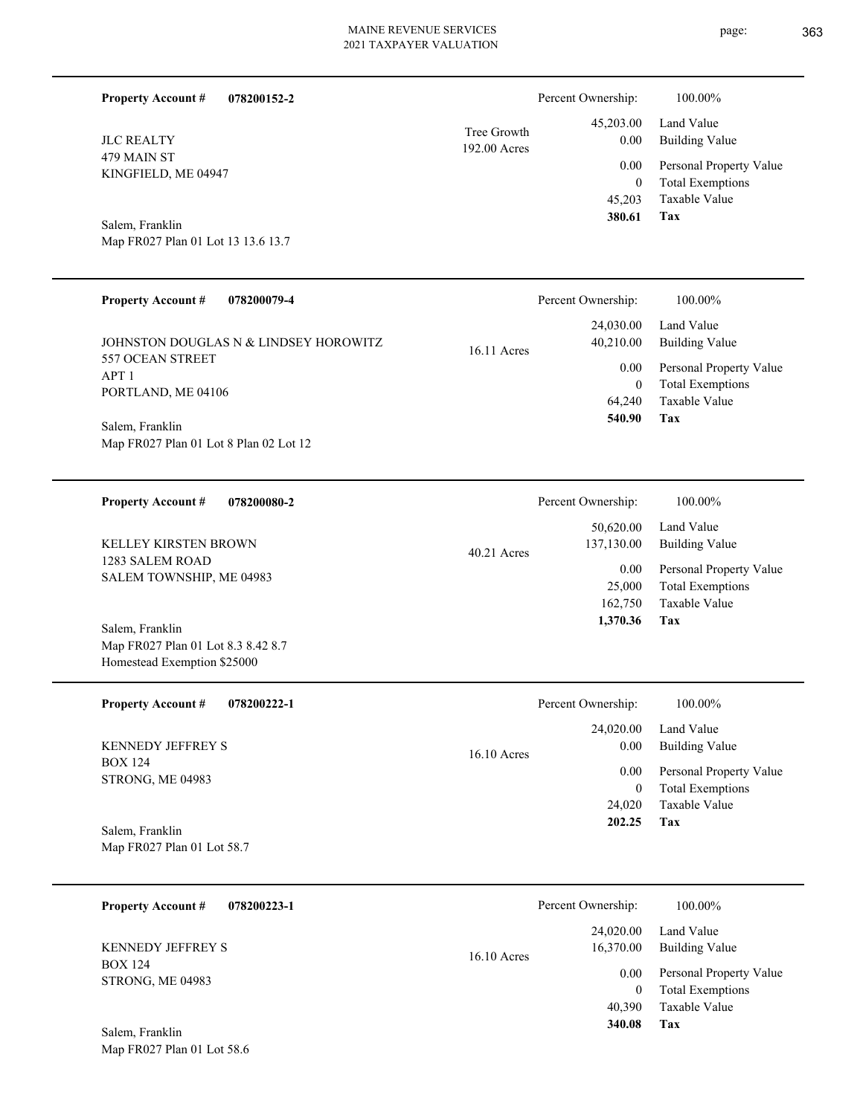| <b>Property Account #</b><br>078200152-2                          |                             | Percent Ownership:         | 100.00%                                            |
|-------------------------------------------------------------------|-----------------------------|----------------------------|----------------------------------------------------|
| <b>JLC REALTY</b>                                                 | Tree Growth<br>192.00 Acres | 45,203.00<br>0.00          | Land Value<br><b>Building Value</b>                |
| 479 MAIN ST<br>KINGFIELD, ME 04947                                |                             | 0.00<br>$\boldsymbol{0}$   | Personal Property Value<br><b>Total Exemptions</b> |
|                                                                   |                             | 45,203<br>380.61           | Taxable Value<br><b>Tax</b>                        |
| Salem, Franklin<br>Map FR027 Plan 01 Lot 13 13.6 13.7             |                             |                            |                                                    |
|                                                                   |                             |                            |                                                    |
| <b>Property Account #</b><br>078200079-4                          |                             | Percent Ownership:         | 100.00%                                            |
| JOHNSTON DOUGLAS N & LINDSEY HOROWITZ                             | 16.11 Acres                 | 24,030.00<br>40,210.00     | Land Value<br><b>Building Value</b>                |
| 557 OCEAN STREET<br>APT <sub>1</sub>                              |                             | 0.00                       | Personal Property Value                            |
| PORTLAND, ME 04106                                                |                             | $\boldsymbol{0}$<br>64,240 | <b>Total Exemptions</b><br>Taxable Value           |
| Salem, Franklin                                                   |                             | 540.90                     | Tax                                                |
| Map FR027 Plan 01 Lot 8 Plan 02 Lot 12                            |                             |                            |                                                    |
| <b>Property Account #</b><br>078200080-2                          |                             | Percent Ownership:         | 100.00%                                            |
| KELLEY KIRSTEN BROWN                                              |                             | 50,620.00<br>137,130.00    | Land Value<br><b>Building Value</b>                |
| 1283 SALEM ROAD<br>SALEM TOWNSHIP, ME 04983                       | 40.21 Acres                 | 0.00                       | Personal Property Value                            |
|                                                                   |                             | 25,000<br>162,750          | <b>Total Exemptions</b><br>Taxable Value           |
| Salem, Franklin                                                   |                             | 1,370.36                   | Tax                                                |
| Map FR027 Plan 01 Lot 8.3 8.42 8.7<br>Homestead Exemption \$25000 |                             |                            |                                                    |
| 078200222-1<br><b>Property Account #</b>                          |                             | Percent Ownership:         | 100.00%                                            |
|                                                                   |                             | 24,020.00                  | Land Value                                         |
| KENNEDY JEFFREY S<br><b>BOX 124</b>                               | 16.10 Acres                 | 0.00                       | <b>Building Value</b>                              |
| STRONG, ME 04983                                                  |                             | 0.00<br>$\boldsymbol{0}$   | Personal Property Value<br><b>Total Exemptions</b> |
|                                                                   |                             | 24,020                     | Taxable Value                                      |
| Salem, Franklin<br>Map FR027 Plan 01 Lot 58.7                     |                             | 202.25                     | Tax                                                |
|                                                                   |                             |                            |                                                    |
|                                                                   |                             |                            |                                                    |

| 078200223-1<br><b>Property Account #</b> | Percent Ownership:                      | 100.00%                                            |
|------------------------------------------|-----------------------------------------|----------------------------------------------------|
| <b>KENNEDY JEFFREY S</b>                 | 24,020.00<br>16,370.00<br>$16.10$ Acres | Land Value<br>Building Value                       |
| <b>BOX 124</b><br>STRONG, ME 04983       | 0.00                                    | Personal Property Value<br><b>Total Exemptions</b> |
|                                          | 40.390                                  | Taxable Value                                      |
| Salem, Franklin                          | 340.08                                  | Tax                                                |

Map FR027 Plan 01 Lot 58.6

page: 363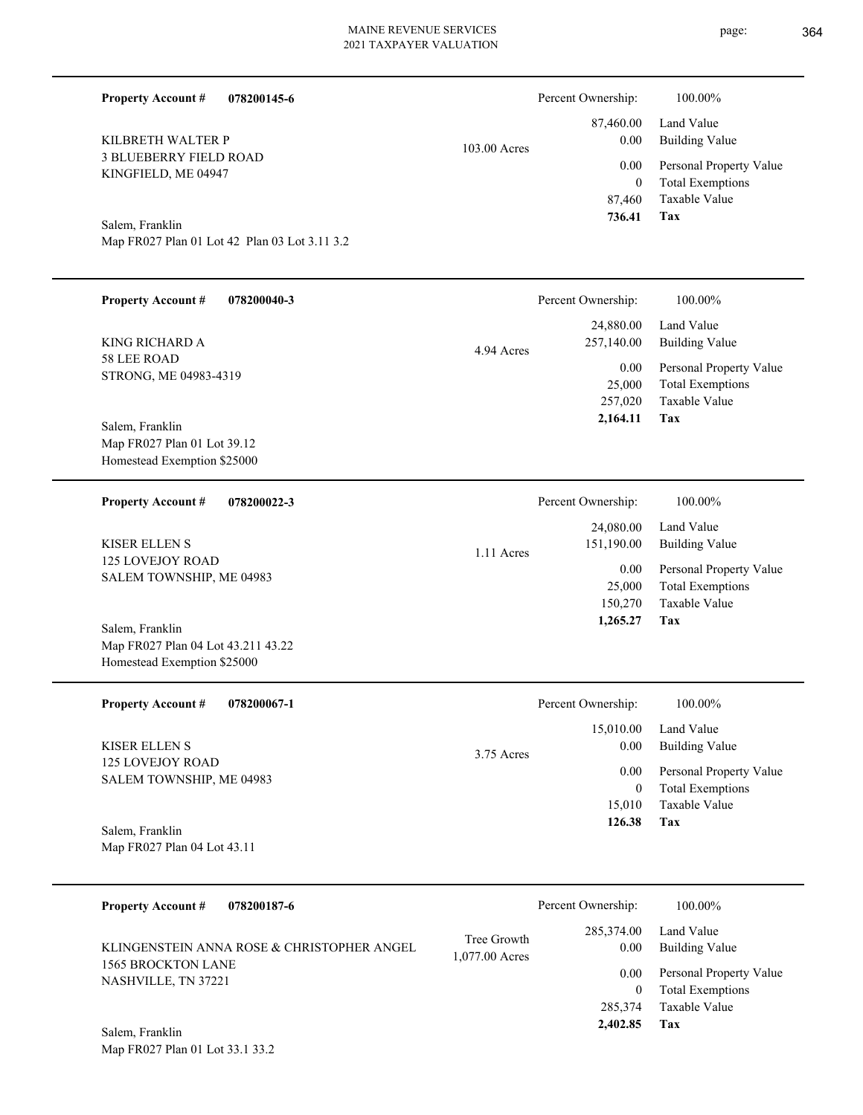page: 364

| <b>Property Account #</b><br>078200145-6                                             |                               | Percent Ownership:                            | 100.00%                                                                    |
|--------------------------------------------------------------------------------------|-------------------------------|-----------------------------------------------|----------------------------------------------------------------------------|
| KILBRETH WALTER P                                                                    | 103.00 Acres                  | 87,460.00<br>0.00                             | Land Value<br><b>Building Value</b>                                        |
| <b>3 BLUEBERRY FIELD ROAD</b><br>KINGFIELD, ME 04947                                 |                               | 0.00<br>$\mathbf{0}$<br>87,460                | Personal Property Value<br><b>Total Exemptions</b><br>Taxable Value        |
| Salem, Franklin<br>Map FR027 Plan 01 Lot 42 Plan 03 Lot 3.11 3.2                     |                               | 736.41                                        | Tax                                                                        |
| <b>Property Account #</b><br>078200040-3                                             |                               | Percent Ownership:                            | 100.00%                                                                    |
| <b>KING RICHARD A</b>                                                                | 4.94 Acres                    | 24,880.00<br>257,140.00                       | Land Value<br><b>Building Value</b>                                        |
| 58 LEE ROAD<br>STRONG, ME 04983-4319                                                 |                               | 0.00<br>25,000<br>257,020<br>2,164.11         | Personal Property Value<br><b>Total Exemptions</b><br>Taxable Value<br>Tax |
| Salem, Franklin<br>Map FR027 Plan 01 Lot 39.12<br>Homestead Exemption \$25000        |                               |                                               |                                                                            |
| <b>Property Account #</b><br>078200022-3                                             |                               | Percent Ownership:                            | $100.00\%$                                                                 |
| <b>KISER ELLEN S</b>                                                                 | 1.11 Acres                    | 24,080.00<br>151,190.00                       | Land Value<br><b>Building Value</b>                                        |
| 125 LOVEJOY ROAD<br>SALEM TOWNSHIP, ME 04983                                         |                               | 0.00<br>25,000<br>150,270                     | Personal Property Value<br><b>Total Exemptions</b><br>Taxable Value        |
| Salem, Franklin<br>Map FR027 Plan 04 Lot 43.211 43.22<br>Homestead Exemption \$25000 |                               | 1,265.27                                      | Tax                                                                        |
| <b>Property Account #</b><br>078200067-1                                             |                               | Percent Ownership:                            | 100.00%                                                                    |
| <b>KISER ELLEN S</b>                                                                 | 3.75 Acres                    | 15,010.00<br>0.00                             | Land Value<br><b>Building Value</b>                                        |
| 125 LOVEJOY ROAD<br>SALEM TOWNSHIP, ME 04983                                         |                               | 0.00<br>$\mathbf{0}$<br>15,010<br>126.38      | Personal Property Value<br><b>Total Exemptions</b><br>Taxable Value<br>Tax |
| Salem, Franklin<br>Map FR027 Plan 04 Lot 43.11                                       |                               |                                               |                                                                            |
| <b>Property Account #</b><br>078200187-6                                             |                               | Percent Ownership:                            | 100.00%                                                                    |
| KLINGENSTEIN ANNA ROSE & CHRISTOPHER ANGEL                                           | Tree Growth<br>1,077.00 Acres | 285,374.00<br>0.00                            | Land Value<br><b>Building Value</b>                                        |
| 1565 BROCKTON LANE<br>NASHVILLE, TN 37221                                            |                               | 0.00<br>$\overline{0}$<br>285,374<br>2,402.85 | Personal Property Value<br><b>Total Exemptions</b><br>Taxable Value<br>Tax |
| Salem, Franklin<br>Map FR027 Plan 01 Lot 33.1 33.2                                   |                               |                                               |                                                                            |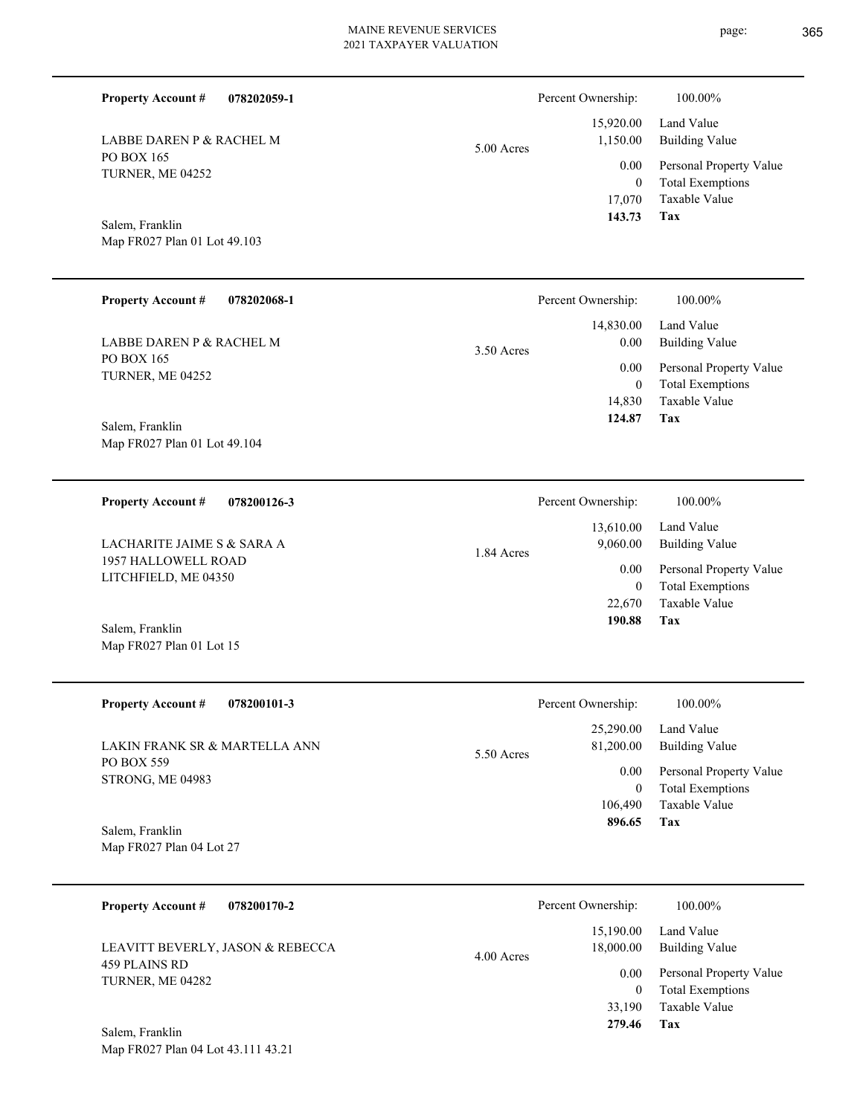**Tax** Taxable Value Total Exemptions Personal Property Value 17,070 0  **143.73** 0.00

5.00 Acres

Map FR027 Plan 01 Lot 49.103

LABBE DAREN P & RACHEL M

PO BOX 165 TURNER, ME 04252

Salem, Franklin

**Property Account #**

**078202059-1**

| <b>Property Account #</b><br>078200101-3    | Percent Ownership:                   | 100.00%                             |
|---------------------------------------------|--------------------------------------|-------------------------------------|
| LAKIN FRANK SR & MARTELLA ANN<br>PO BOX 559 | 25,290.00<br>81,200.00<br>5.50 Acres | Land Value<br><b>Building Value</b> |
| <b>STRONG, ME 04983</b>                     | 0.00                                 | Personal Property Value             |
|                                             | 0                                    | <b>Total Exemptions</b>             |
|                                             | 106,490                              | Taxable Value                       |
| Salem, Franklin                             | 896.65                               | Tax                                 |

| <b>Property Account #</b><br>078200170-2 | Percent Ownership:                   | 100.00%                                            |
|------------------------------------------|--------------------------------------|----------------------------------------------------|
| LEAVITT BEVERLY, JASON & REBECCA         | 15,190.00<br>18,000.00<br>4.00 Acres | Land Value<br>Building Value                       |
| 459 PLAINS RD<br>TURNER, ME 04282        | 0.00<br>0                            | Personal Property Value<br><b>Total Exemptions</b> |
|                                          | 33,190                               | Taxable Value                                      |
| $C = 1 - \ldots - C = 111$               | 279.46                               | Tax                                                |

Building Value Land Value

 15,920.00 1,150.00

Percent Ownership:  $100.00\%$ 

| <b>Property Account #</b>                       | 078202068-1 |              | Percent Ownership:                 | 100.00%                                                                    |
|-------------------------------------------------|-------------|--------------|------------------------------------|----------------------------------------------------------------------------|
| LABBE DAREN P & RACHEL M<br>PO BOX 165          |             | $3.50$ Acres | 14,830.00<br>$0.00\,$              | Land Value<br><b>Building Value</b>                                        |
| TURNER, ME 04252                                |             |              | 0.00<br>$\boldsymbol{0}$<br>14,830 | Personal Property Value<br><b>Total Exemptions</b><br>Taxable Value        |
| Salem, Franklin<br>Map FR027 Plan 01 Lot 49.104 |             |              | 124.87                             | <b>Tax</b>                                                                 |
| <b>Property Account #</b>                       | 078200126-3 |              | Percent Ownership:                 | 100.00%                                                                    |
| LACHARITE JAIME S & SARA A                      |             | 1.84 Acres   | 13,610.00<br>9,060.00              | Land Value<br><b>Building Value</b>                                        |
| 1957 HALLOWELL ROAD<br>LITCHFIELD, ME 04350     |             |              | 0.00<br>$\overline{0}$<br>22,670   | Personal Property Value<br><b>Total Exemptions</b><br><b>Taxable Value</b> |
| Salem, Franklin<br>Map FR027 Plan 01 Lot 15     |             |              | 190.88                             | <b>Tax</b>                                                                 |
| <b>Property Account #</b>                       | 078200101-3 |              | Percent Ownership:                 | 100.00%                                                                    |
| LAKIN FRANK SR & MARTELLA ANN                   |             | 5.50 Acres   | 25,290.00<br>81,200.00             | Land Value<br><b>Building Value</b>                                        |
| PO BOX 559<br>STRONG, ME 04983                  |             |              | 0.00<br>$\mathbf{0}$<br>106,490    | Personal Property Value<br><b>Total Exemptions</b><br>Taxable Value        |
| Salem, Franklin<br>Map FR027 Plan 04 Lot 27     |             |              | 896.65                             | Tax                                                                        |
| <b>Property Account #</b>                       | 078200170-2 |              | Percent Ownership:                 | 100.00%                                                                    |
| LEAVITT BEVERLY, JASON & REBECCA                |             | $4.00$ Acres | 15,190.00<br>18,000.00             | Land Value<br><b>Building Value</b>                                        |
| 459 PLAINS RD<br>TURNER, ME 04282               |             |              | 0.00<br>$\boldsymbol{0}$<br>33,190 | Personal Property Value<br><b>Total Exemptions</b><br>Taxable Value        |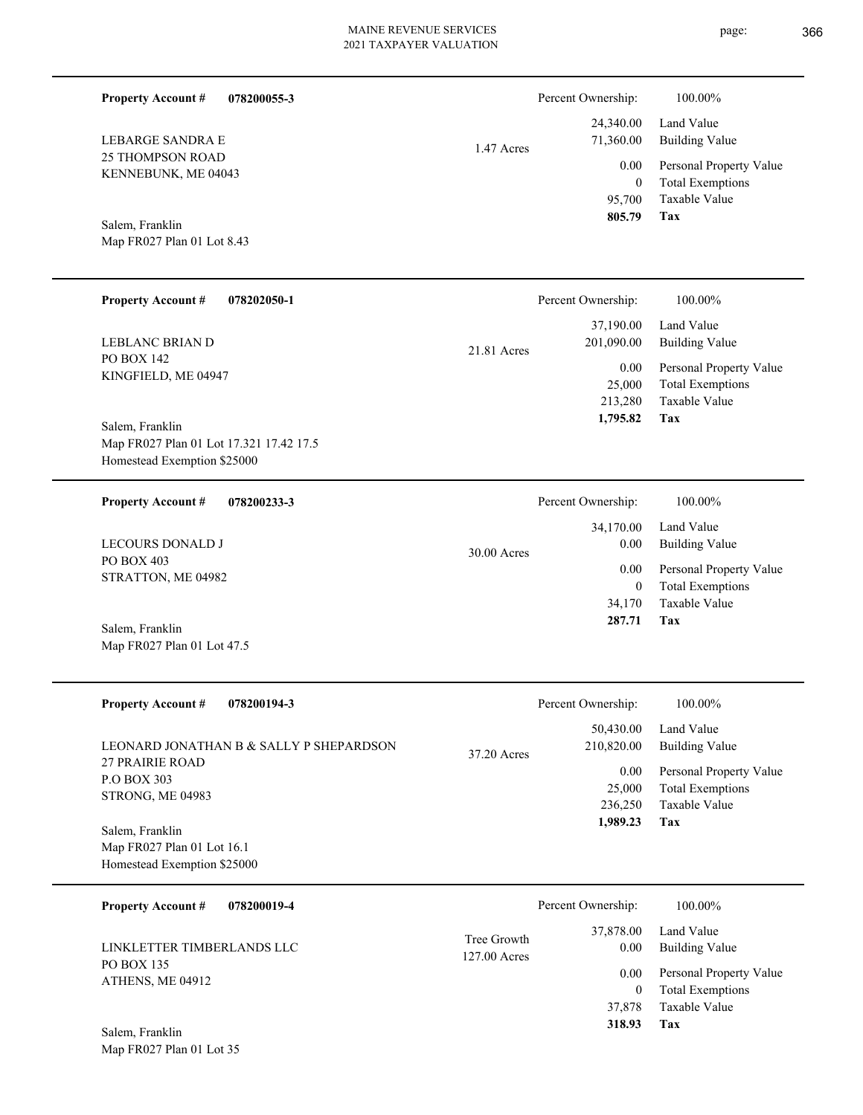1.47 Acres

**078200055-3**

25 THOMPSON ROAD KENNEBUNK, ME 04043 LEBARGE SANDRA E

**Property Account #**

Map FR027 Plan 01 Lot 8.43 Salem, Franklin

| <b>Property Account #</b><br>078202050-1                   | Percent Ownership:                       | 100.00%                                                             |
|------------------------------------------------------------|------------------------------------------|---------------------------------------------------------------------|
| LEBLANC BRIAN D                                            | 37,190.00<br>201,090.00<br>$21.81$ Acres | Land Value<br>Building Value                                        |
| <b>PO BOX 142</b><br>KINGFIELD, ME 04947                   | 0.00<br>25,000<br>213,280                | Personal Property Value<br><b>Total Exemptions</b><br>Taxable Value |
| Salem, Franklin<br>Map FR027 Plan 01 Lot 17.321 17.42 17.5 | 1,795.82                                 | Tax                                                                 |
| Homestead Exemption \$25000                                |                                          |                                                                     |

| 078200233-3<br><b>Property Account #</b> | Percent Ownership:    | 100.00%                 |
|------------------------------------------|-----------------------|-------------------------|
|                                          | 34,170.00             | Land Value              |
| <b>LECOURS DONALD J</b>                  | 0.00<br>$30.00$ Acres | Building Value          |
| PO BOX 403<br>STRATTON, ME 04982         | 0.00                  | Personal Property Value |
|                                          | $\left( 0 \right)$    | <b>Total Exemptions</b> |
|                                          | 34,170                | Taxable Value           |
| Salem, Franklin                          | 287.71                | Tax                     |
| Map FR027 Plan 01 Lot 47.5               |                       |                         |

| <b>Property Account #</b><br>078200194-3                          | Percent Ownership:                     | 100.00%                                                             |
|-------------------------------------------------------------------|----------------------------------------|---------------------------------------------------------------------|
| LEONARD JONATHAN B & SALLY P SHEPARDSON<br><b>27 PRAIRIE ROAD</b> | 50,430.00<br>210,820.00<br>37.20 Acres | Land Value<br>Building Value                                        |
| <b>P.O BOX 303</b><br><b>STRONG, ME 04983</b>                     | 0.00<br>25,000<br>236,250              | Personal Property Value<br><b>Total Exemptions</b><br>Taxable Value |
| Salem, Franklin                                                   | 1,989.23                               | Tax                                                                 |
| Map FR027 Plan 01 Lot 16.1<br>Homestead Exemption \$25000         |                                        |                                                                     |

| 078200019-4<br><b>Property Account #</b> |                               | Percent Ownership: | 100.00%                      |
|------------------------------------------|-------------------------------|--------------------|------------------------------|
| LINKLETTER TIMBERLANDS LLC               | Tree Growth<br>$127.00$ Acres | 37,878.00<br>0.00  | Land Value<br>Building Value |
| PO BOX 135<br>ATHENS, ME 04912           |                               | 0.00               | Personal Property Value      |
|                                          |                               | $\Omega$           | <b>Total Exemptions</b>      |
|                                          |                               | 37,878             | Taxable Value                |
| Salem, Franklin                          |                               | 318.93             | Tax                          |
| Map FR027 Plan 01 Lot 35                 |                               |                    |                              |

page: 366

**Tax**

 95,700 0

0.00

Percent Ownership:  $100.00\%$ 

 24,340.00 71,360.00

 **805.79**

Taxable Value Total Exemptions Personal Property Value

Building Value Land Value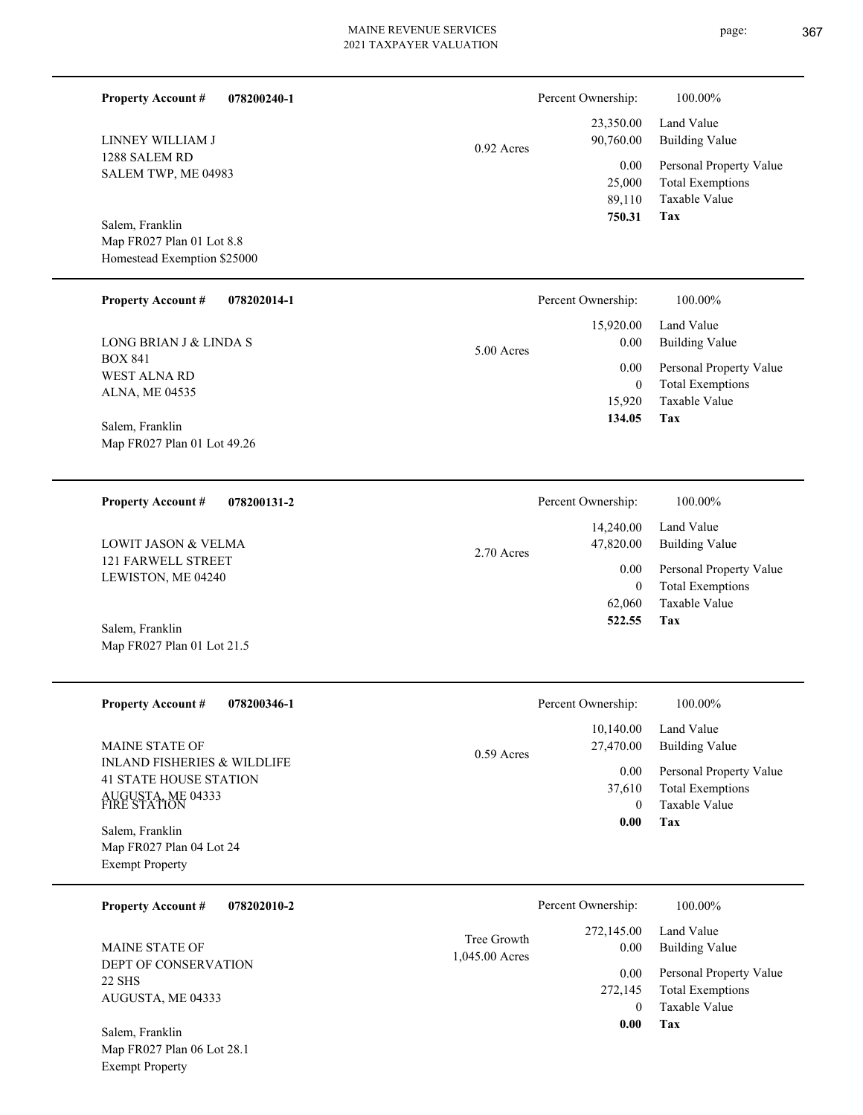| <b>Property Account #</b><br>078200240-1                                                                     |                               | Percent Ownership:                         | 100.00%                                                                           |
|--------------------------------------------------------------------------------------------------------------|-------------------------------|--------------------------------------------|-----------------------------------------------------------------------------------|
| LINNEY WILLIAM J                                                                                             | $0.92$ Acres                  | 23,350.00<br>90,760.00                     | Land Value<br><b>Building Value</b>                                               |
| 1288 SALEM RD<br>SALEM TWP, ME 04983                                                                         |                               | 0.00<br>25,000<br>89,110<br>750.31         | Personal Property Value<br><b>Total Exemptions</b><br>Taxable Value<br><b>Tax</b> |
| Salem, Franklin<br>Map FR027 Plan 01 Lot 8.8<br>Homestead Exemption \$25000                                  |                               |                                            |                                                                                   |
| <b>Property Account #</b><br>078202014-1                                                                     |                               | Percent Ownership:                         | 100.00%                                                                           |
| LONG BRIAN J & LINDA S                                                                                       | 5.00 Acres                    | 15,920.00<br>0.00                          | Land Value<br><b>Building Value</b>                                               |
| <b>BOX 841</b><br>WEST ALNA RD<br>ALNA, ME 04535                                                             |                               | 0.00<br>$\mathbf{0}$                       | Personal Property Value<br><b>Total Exemptions</b>                                |
| Salem, Franklin<br>Map FR027 Plan 01 Lot 49.26                                                               |                               | 15,920<br>134.05                           | Taxable Value<br>Tax                                                              |
| <b>Property Account #</b><br>078200131-2                                                                     |                               | Percent Ownership:                         | 100.00%                                                                           |
| LOWIT JASON & VELMA                                                                                          | 2.70 Acres                    | 14,240.00<br>47,820.00                     | Land Value<br><b>Building Value</b>                                               |
| <b>121 FARWELL STREET</b><br>LEWISTON, ME 04240                                                              |                               | 0.00<br>$\overline{0}$<br>62,060<br>522.55 | Personal Property Value<br><b>Total Exemptions</b><br>Taxable Value<br>Tax        |
| Salem, Franklin<br>Map FR027 Plan 01 Lot 21.5                                                                |                               |                                            |                                                                                   |
| <b>Property Account #</b><br>078200346-1                                                                     |                               | Percent Ownership:                         | 100.00%                                                                           |
| <b>MAINE STATE OF</b>                                                                                        | $0.59$ Acres                  | 10,140.00<br>27,470.00                     | Land Value<br><b>Building Value</b>                                               |
| <b>INLAND FISHERIES &amp; WILDLIFE</b><br><b>41 STATE HOUSE STATION</b><br>AUGUSTA, ME 04333<br>FIRE STATION |                               | 0.00<br>37,610<br>$\theta$                 | Personal Property Value<br><b>Total Exemptions</b><br>Taxable Value               |
| Salem, Franklin<br>Map FR027 Plan 04 Lot 24<br><b>Exempt Property</b>                                        |                               | $0.00\,$                                   | Tax                                                                               |
| <b>Property Account #</b><br>078202010-2                                                                     |                               | Percent Ownership:                         | 100.00%                                                                           |
| MAINE STATE OF                                                                                               | Tree Growth<br>1,045.00 Acres | 272,145.00<br>0.00                         | Land Value<br><b>Building Value</b>                                               |
| DEPT OF CONSERVATION<br><b>22 SHS</b><br>AUGUSTA, ME 04333                                                   |                               | 0.00<br>272,145<br>$\overline{0}$<br>0.00  | Personal Property Value<br><b>Total Exemptions</b><br>Taxable Value<br><b>Tax</b> |
| Salem, Franklin<br>Map FR027 Plan 06 Lot 28.1<br><b>Exempt Property</b>                                      |                               |                                            |                                                                                   |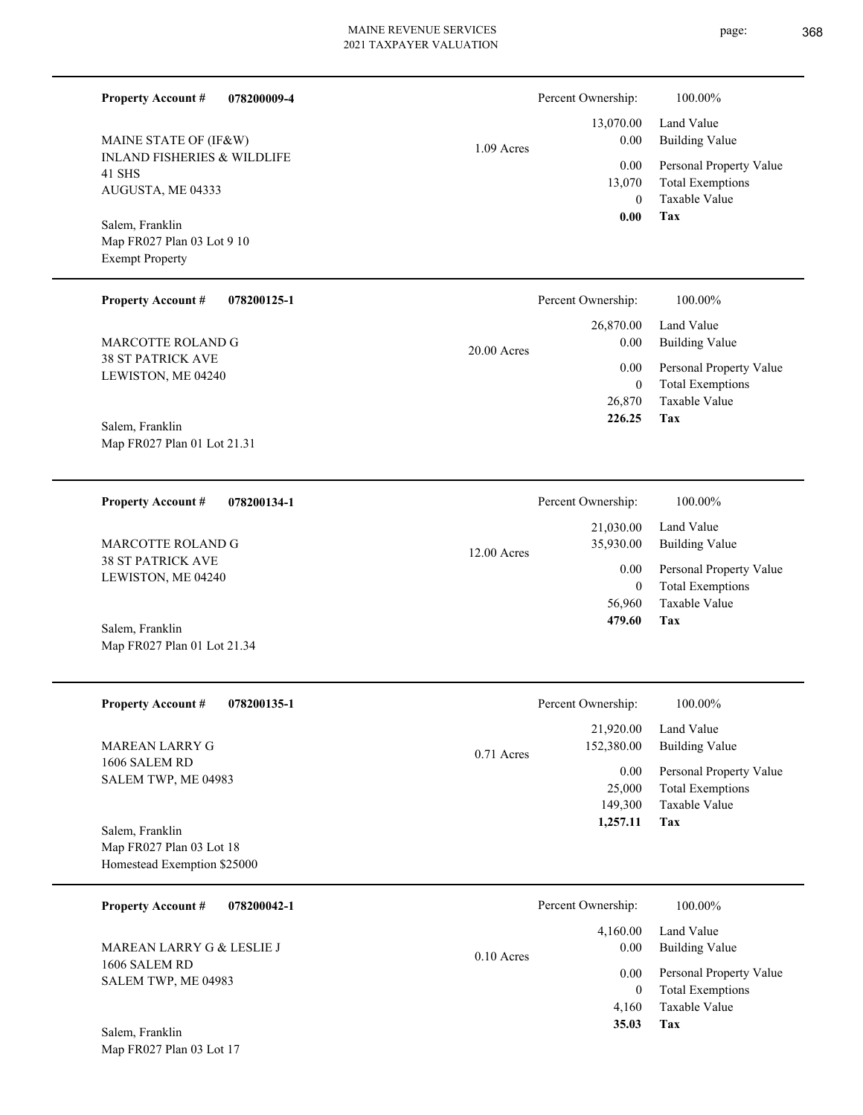page: 368

| <b>Property Account #</b><br>078200009-4                                   |               | Percent Ownership:                         | 100.00%                                                                    |
|----------------------------------------------------------------------------|---------------|--------------------------------------------|----------------------------------------------------------------------------|
| MAINE STATE OF (IF&W)                                                      | $1.09$ Acres  | 13,070.00<br>0.00                          | Land Value<br><b>Building Value</b>                                        |
| <b>INLAND FISHERIES &amp; WILDLIFE</b><br>41 SHS<br>AUGUSTA, ME 04333      |               | 0.00<br>13,070<br>$\theta$                 | Personal Property Value<br><b>Total Exemptions</b><br>Taxable Value        |
| Salem, Franklin<br>Map FR027 Plan 03 Lot 9 10<br><b>Exempt Property</b>    |               | 0.00                                       | Tax                                                                        |
| <b>Property Account #</b><br>078200125-1                                   |               | Percent Ownership:                         | 100.00%                                                                    |
| MARCOTTE ROLAND G                                                          | $20.00$ Acres | 26,870.00<br>0.00                          | Land Value<br><b>Building Value</b>                                        |
| <b>38 ST PATRICK AVE</b><br>LEWISTON, ME 04240                             |               | 0.00<br>$\mathbf{0}$<br>26,870             | Personal Property Value<br><b>Total Exemptions</b><br>Taxable Value        |
| Salem, Franklin<br>Map FR027 Plan 01 Lot 21.31                             |               | 226.25                                     | <b>Tax</b>                                                                 |
| <b>Property Account #</b><br>078200134-1                                   |               | Percent Ownership:                         | 100.00%                                                                    |
| MARCOTTE ROLAND G                                                          | $12.00$ Acres | 21,030.00<br>35,930.00                     | Land Value<br><b>Building Value</b>                                        |
| <b>38 ST PATRICK AVE</b><br>LEWISTON, ME 04240                             |               | 0.00<br>$\theta$                           | Personal Property Value<br><b>Total Exemptions</b>                         |
| Salem, Franklin<br>Map FR027 Plan 01 Lot 21.34                             |               | 56,960<br>479.60                           | <b>Taxable Value</b><br>Tax                                                |
| Property Account #<br>078200135-1                                          |               | Percent Ownership:                         | $100.00\%$                                                                 |
| MAREAN LARRY G                                                             | 0.71 Acres    | 21,920.00<br>152,380.00                    | Land Value<br><b>Building Value</b>                                        |
| 1606 SALEM RD<br>SALEM TWP, ME 04983                                       |               | 0.00<br>25,000<br>149,300<br>1,257.11      | Personal Property Value<br><b>Total Exemptions</b><br>Taxable Value<br>Tax |
| Salem, Franklin<br>Map FR027 Plan 03 Lot 18<br>Homestead Exemption \$25000 |               |                                            |                                                                            |
| <b>Property Account #</b><br>078200042-1                                   |               | Percent Ownership:                         | 100.00%                                                                    |
| MAREAN LARRY G & LESLIE J                                                  | $0.10$ Acres  | 4,160.00<br>0.00                           | Land Value<br><b>Building Value</b>                                        |
| 1606 SALEM RD<br>SALEM TWP, ME 04983                                       |               | 0.00<br>$\boldsymbol{0}$<br>4,160<br>35.03 | Personal Property Value<br><b>Total Exemptions</b><br>Taxable Value<br>Tax |
| Salem, Franklin<br>Map FR027 Plan 03 Lot 17                                |               |                                            |                                                                            |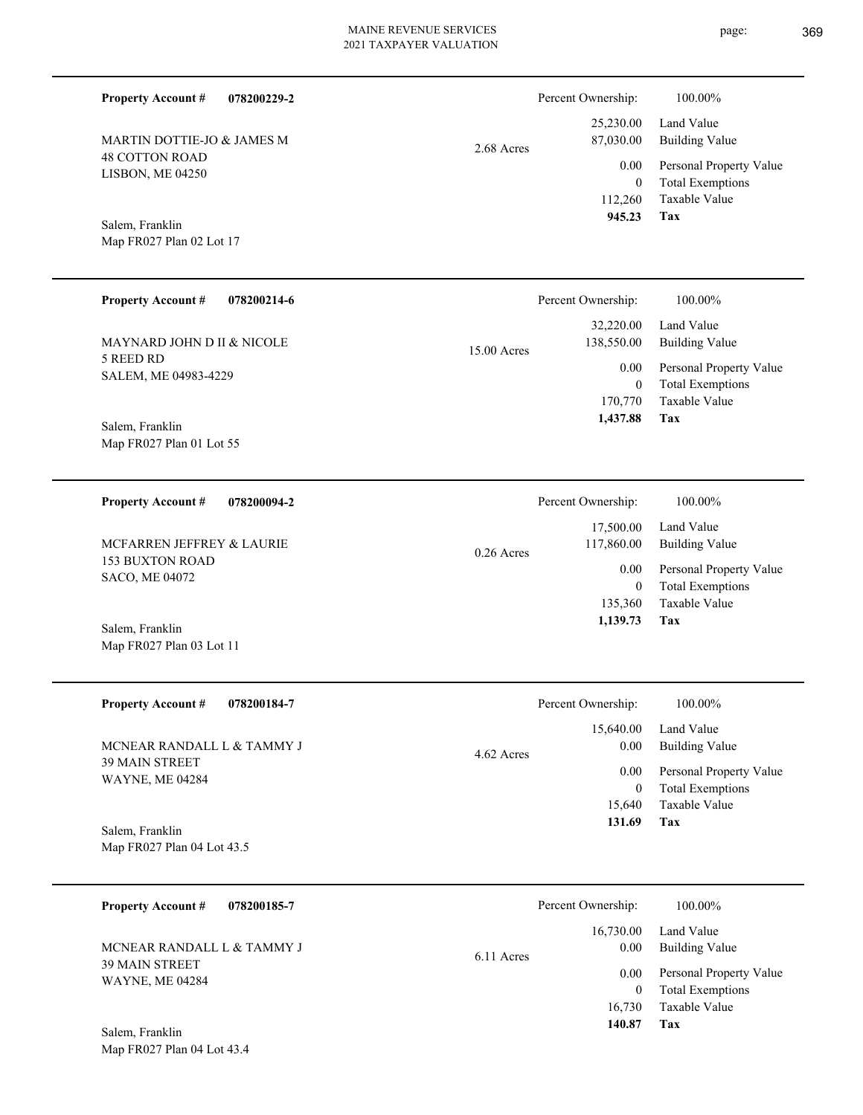page: 369

| <b>Property Account #</b><br>078200229-2                                |              | Percent Ownership:                              | 100.00%                                                                    |
|-------------------------------------------------------------------------|--------------|-------------------------------------------------|----------------------------------------------------------------------------|
| MARTIN DOTTIE-JO & JAMES M<br><b>48 COTTON ROAD</b><br>LISBON, ME 04250 | 2.68 Acres   | 25,230.00<br>87,030.00<br>0.00                  | Land Value<br><b>Building Value</b><br>Personal Property Value             |
| Salem, Franklin<br>Map FR027 Plan 02 Lot 17                             |              | $\overline{0}$<br>112,260<br>945.23             | <b>Total Exemptions</b><br>Taxable Value<br>Tax                            |
| <b>Property Account #</b><br>078200214-6                                |              | Percent Ownership:                              | 100.00%                                                                    |
| MAYNARD JOHN D II & NICOLE                                              | 15.00 Acres  | 32,220.00<br>138,550.00                         | Land Value<br><b>Building Value</b>                                        |
| 5 REED RD<br>SALEM, ME 04983-4229                                       |              | 0.00<br>$\boldsymbol{0}$<br>170,770<br>1,437.88 | Personal Property Value<br><b>Total Exemptions</b><br>Taxable Value<br>Tax |
| Salem, Franklin<br>Map FR027 Plan 01 Lot 55                             |              |                                                 |                                                                            |
| <b>Property Account #</b><br>078200094-2                                |              | Percent Ownership:                              | 100.00%                                                                    |
| MCFARREN JEFFREY & LAURIE                                               | $0.26$ Acres | 17,500.00<br>117,860.00                         | Land Value<br><b>Building Value</b>                                        |
| <b>153 BUXTON ROAD</b><br>SACO, ME 04072                                |              | 0.00<br>$\overline{0}$<br>135,360               | Personal Property Value<br><b>Total Exemptions</b><br>Taxable Value        |
| Salem, Franklin<br>Map FR027 Plan 03 Lot 11                             |              | 1,139.73                                        | Tax                                                                        |
| 078200184-7<br><b>Property Account #</b>                                |              | Percent Ownership:                              | 100.00%                                                                    |
| MCNEAR RANDALL L & TAMMY J                                              | 4.62 Acres   | 15,640.00<br>0.00                               | Land Value<br><b>Building Value</b>                                        |
| 39 MAIN STREET<br><b>WAYNE, ME 04284</b>                                |              | 0.00<br>$\overline{0}$<br>15,640<br>131.69      | Personal Property Value<br><b>Total Exemptions</b><br>Taxable Value<br>Tax |
| Salem, Franklin<br>Map FR027 Plan 04 Lot 43.5                           |              |                                                 |                                                                            |
| <b>Property Account #</b><br>078200185-7                                |              | Percent Ownership:                              | 100.00%                                                                    |
| MCNEAR RANDALL L & TAMMY J                                              | 6.11 Acres   | 16,730.00<br>0.00                               | Land Value<br><b>Building Value</b>                                        |
| 39 MAIN STREET<br><b>WAYNE, ME 04284</b>                                |              | 0.00<br>$\overline{0}$<br>16,730<br>140.87      | Personal Property Value<br><b>Total Exemptions</b><br>Taxable Value<br>Tax |
| Salem, Franklin<br>Map FR027 Plan 04 Lot 43.4                           |              |                                                 |                                                                            |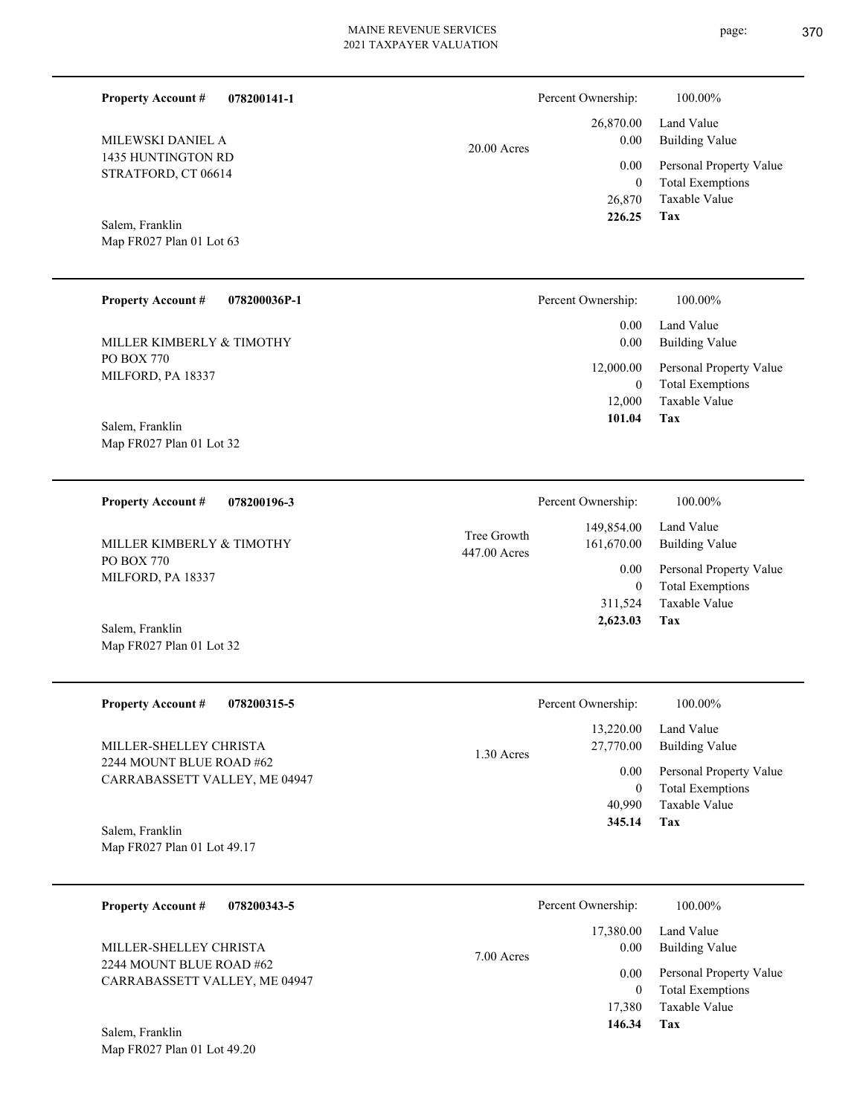| <b>Property Account #</b><br>078200141-1<br>MILEWSKI DANIEL A<br>1435 HUNTINGTON RD<br>STRATFORD, CT 06614<br>Salem, Franklin<br>Map FR027 Plan 01 Lot 63                         | 20.00 Acres                 | Percent Ownership:<br>26,870.00<br>0.00<br>$0.00\,$<br>$\boldsymbol{0}$<br>26,870<br>226.25 | 100.00%<br>Land Value<br><b>Building Value</b><br>Personal Property Value<br><b>Total Exemptions</b><br>Taxable Value<br>Tax |
|-----------------------------------------------------------------------------------------------------------------------------------------------------------------------------------|-----------------------------|---------------------------------------------------------------------------------------------|------------------------------------------------------------------------------------------------------------------------------|
| <b>Property Account #</b><br>078200036P-1                                                                                                                                         |                             | Percent Ownership:                                                                          | 100.00%                                                                                                                      |
| MILLER KIMBERLY & TIMOTHY                                                                                                                                                         |                             | 0.00<br>0.00                                                                                | Land Value<br><b>Building Value</b>                                                                                          |
| <b>PO BOX 770</b><br>MILFORD, PA 18337<br>Salem, Franklin                                                                                                                         |                             | 12,000.00<br>$\boldsymbol{0}$<br>12,000<br>101.04                                           | Personal Property Value<br><b>Total Exemptions</b><br>Taxable Value<br>Tax                                                   |
| Map FR027 Plan 01 Lot 32                                                                                                                                                          |                             |                                                                                             |                                                                                                                              |
| <b>Property Account #</b><br>078200196-3                                                                                                                                          |                             | Percent Ownership:                                                                          | 100.00%                                                                                                                      |
| MILLER KIMBERLY & TIMOTHY<br>PO BOX 770<br>MILFORD, PA 18337<br>Salem, Franklin<br>Map FR027 Plan 01 Lot 32                                                                       | Tree Growth<br>447.00 Acres | 149,854.00<br>161,670.00<br>0.00<br>$\overline{0}$<br>311,524<br>2,623.03                   | Land Value<br><b>Building Value</b><br>Personal Property Value<br><b>Total Exemptions</b><br>Taxable Value<br>Tax            |
|                                                                                                                                                                                   |                             |                                                                                             |                                                                                                                              |
| <b>Property Account #</b><br>078200315-5<br>MILLER-SHELLEY CHRISTA<br>2244 MOUNT BLUE ROAD #62<br>CARRABASSETT VALLEY, ME 04947<br>Salem, Franklin<br>Map FR027 Plan 01 Lot 49.17 | 1.30 Acres                  | Percent Ownership:<br>13,220.00<br>27,770.00<br>0.00<br>$\overline{0}$<br>40,990<br>345.14  | 100.00%<br>Land Value<br><b>Building Value</b><br>Personal Property Value<br><b>Total Exemptions</b><br>Taxable Value<br>Tax |
|                                                                                                                                                                                   |                             |                                                                                             |                                                                                                                              |
| <b>Property Account #</b><br>078200343-5<br>MILLER-SHELLEY CHRISTA                                                                                                                | 7.00 Acres                  | Percent Ownership:<br>17,380.00<br>0.00                                                     | 100.00%<br>Land Value<br><b>Building Value</b>                                                                               |
| 2244 MOUNT BLUE ROAD #62<br>CARRABASSETT VALLEY, ME 04947                                                                                                                         |                             | 0.00<br>$\overline{0}$<br>17,380<br>146.34                                                  | Personal Property Value<br><b>Total Exemptions</b><br>Taxable Value<br>Tax                                                   |

Map FR027 Plan 01 Lot 49.20 Salem, Franklin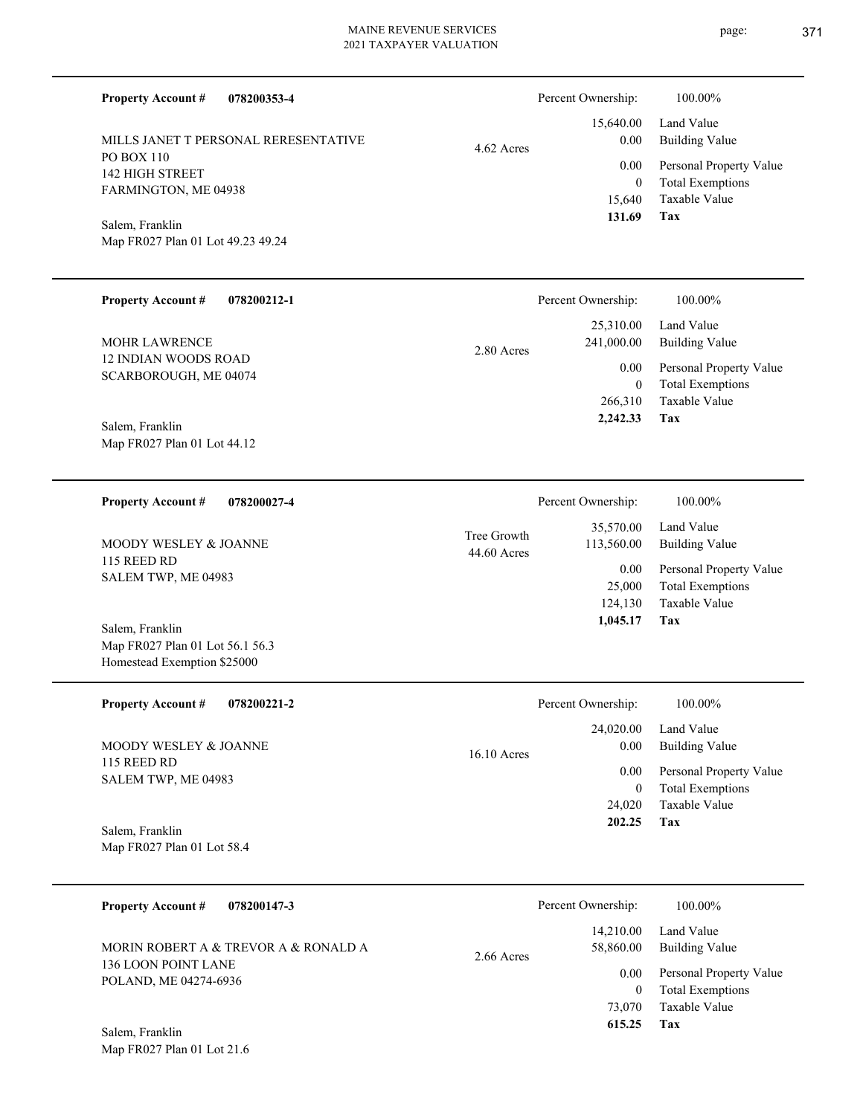| <b>Property Account #</b><br>078200353-4                    |               | Percent Ownership:       | 100.00%                                  |
|-------------------------------------------------------------|---------------|--------------------------|------------------------------------------|
| MILLS JANET T PERSONAL RERESENTATIVE                        | 4.62 Acres    | 15,640.00<br>0.00        | Land Value<br><b>Building Value</b>      |
| PO BOX 110<br><b>142 HIGH STREET</b>                        |               | 0.00                     | Personal Property Value                  |
| FARMINGTON, ME 04938                                        |               | $\mathbf{0}$             | <b>Total Exemptions</b>                  |
|                                                             |               | 15,640<br>131.69         | <b>Taxable Value</b><br>Tax              |
| Salem, Franklin<br>Map FR027 Plan 01 Lot 49.23 49.24        |               |                          |                                          |
|                                                             |               |                          |                                          |
| <b>Property Account #</b><br>078200212-1                    |               | Percent Ownership:       | 100.00%                                  |
|                                                             |               | 25,310.00                | Land Value                               |
| <b>MOHR LAWRENCE</b>                                        | 2.80 Acres    | 241,000.00               | <b>Building Value</b>                    |
| 12 INDIAN WOODS ROAD<br>SCARBOROUGH, ME 04074               |               | 0.00                     | Personal Property Value                  |
|                                                             |               | $\mathbf{0}$<br>266,310  | <b>Total Exemptions</b><br>Taxable Value |
| Salem, Franklin                                             |               | 2,242.33                 | Tax                                      |
| Map FR027 Plan 01 Lot 44.12                                 |               |                          |                                          |
|                                                             |               |                          |                                          |
| <b>Property Account #</b><br>078200027-4                    |               | Percent Ownership:       | 100.00%                                  |
|                                                             | Tree Growth   | 35,570.00                | Land Value                               |
| MOODY WESLEY & JOANNE<br>115 REED RD                        | 44.60 Acres   | 113,560.00               | <b>Building Value</b>                    |
| SALEM TWP, ME 04983                                         |               | 0.00                     | Personal Property Value                  |
|                                                             |               | 25,000<br>124,130        | <b>Total Exemptions</b><br>Taxable Value |
| Salem, Franklin                                             |               | 1,045.17                 | Tax                                      |
| Map FR027 Plan 01 Lot 56.1 56.3                             |               |                          |                                          |
| Homestead Exemption \$25000                                 |               |                          |                                          |
| <b>Property Account #</b><br>078200221-2                    |               | Percent Ownership:       | 100.00%                                  |
|                                                             |               | 24,020.00                | Land Value                               |
| MOODY WESLEY & JOANNE<br>115 REED RD                        | $16.10$ Acres | $0.00\,$                 | <b>Building Value</b>                    |
| SALEM TWP, ME 04983                                         |               | 0.00                     | Personal Property Value                  |
|                                                             |               | $\theta$<br>24,020       | <b>Total Exemptions</b><br>Taxable Value |
| Salem, Franklin                                             |               | 202.25                   | Tax                                      |
| Map FR027 Plan 01 Lot 58.4                                  |               |                          |                                          |
|                                                             |               |                          |                                          |
| <b>Property Account #</b><br>078200147-3                    |               | Percent Ownership:       | 100.00%                                  |
|                                                             |               | 14,210.00                | Land Value                               |
| MORIN ROBERT A & TREVOR A & RONALD A<br>136 LOON POINT LANE | 2.66 Acres    | 58,860.00                | <b>Building Value</b>                    |
| POLAND, ME 04274-6936                                       |               | 0.00                     | Personal Property Value                  |
|                                                             |               | $\overline{0}$<br>73,070 | <b>Total Exemptions</b><br>Taxable Value |
|                                                             |               | 615.25                   | Tax                                      |

Map FR027 Plan 01 Lot 21.6 Salem, Franklin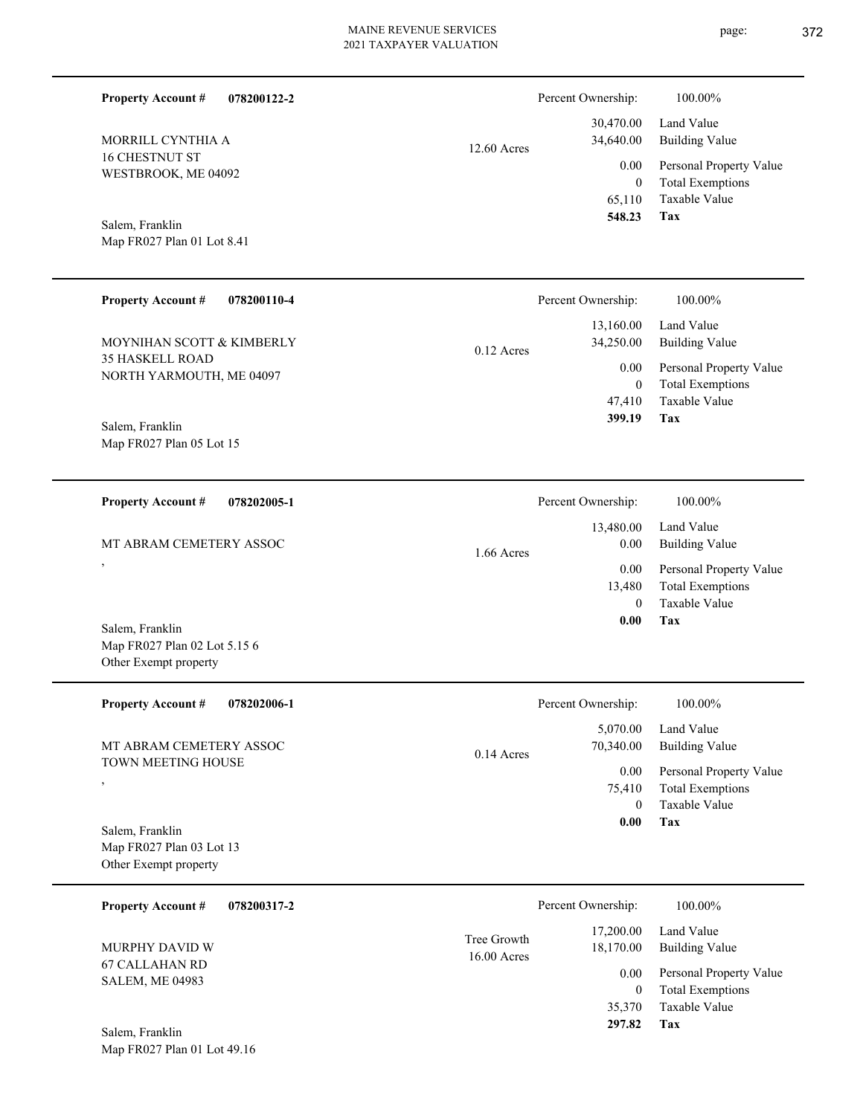L

| <b>Property Account #</b><br>078200122-2                                 |                            | Percent Ownership:                         | 100.00%                                                                    |
|--------------------------------------------------------------------------|----------------------------|--------------------------------------------|----------------------------------------------------------------------------|
| MORRILL CYNTHIA A                                                        | 12.60 Acres                | 30,470.00<br>34,640.00                     | Land Value<br><b>Building Value</b>                                        |
| 16 CHESTNUT ST<br>WESTBROOK, ME 04092                                    |                            | 0.00<br>$\mathbf{0}$<br>65,110<br>548.23   | Personal Property Value<br><b>Total Exemptions</b><br>Taxable Value        |
| Salem, Franklin<br>Map FR027 Plan 01 Lot 8.41                            |                            |                                            | Tax                                                                        |
| <b>Property Account #</b><br>078200110-4                                 |                            | Percent Ownership:                         | 100.00%                                                                    |
| MOYNIHAN SCOTT & KIMBERLY                                                | $0.12$ Acres               | 13,160.00<br>34,250.00                     | Land Value<br><b>Building Value</b>                                        |
| <b>35 HASKELL ROAD</b><br>NORTH YARMOUTH, ME 04097                       |                            | 0.00<br>$\mathbf{0}$<br>47,410<br>399.19   | Personal Property Value<br><b>Total Exemptions</b><br>Taxable Value<br>Tax |
| Salem, Franklin<br>Map FR027 Plan 05 Lot 15                              |                            |                                            |                                                                            |
| <b>Property Account #</b><br>078202005-1                                 |                            | Percent Ownership:                         | 100.00%                                                                    |
| MT ABRAM CEMETERY ASSOC                                                  | $1.66$ Acres               | 13,480.00<br>0.00                          | Land Value<br><b>Building Value</b>                                        |
| $\,$                                                                     |                            | 0.00<br>13,480                             | Personal Property Value<br><b>Total Exemptions</b><br>Taxable Value        |
| Salem, Franklin<br>Map FR027 Plan 02 Lot 5.15 6<br>Other Exempt property |                            | $\mathbf{0}$<br>0.00                       | Tax                                                                        |
| <b>Property Account # 078202006-1</b>                                    |                            | Percent Ownership:                         | 100.00%                                                                    |
| MT ABRAM CEMETERY ASSOC                                                  | 0.14 Acres                 | 5,070.00<br>70,340.00                      | Land Value<br><b>Building Value</b>                                        |
| TOWN MEETING HOUSE<br>$^\mathrm{^\mathrm{o}}$                            |                            | 0.00<br>75,410<br>$\overline{0}$           | Personal Property Value<br><b>Total Exemptions</b><br>Taxable Value        |
| Salem, Franklin<br>Map FR027 Plan 03 Lot 13<br>Other Exempt property     |                            | 0.00                                       | Tax                                                                        |
| <b>Property Account #</b><br>078200317-2                                 |                            | Percent Ownership:                         | 100.00%                                                                    |
| MURPHY DAVID W                                                           | Tree Growth<br>16.00 Acres | 17,200.00<br>18,170.00                     | Land Value<br><b>Building Value</b>                                        |
| <b>67 CALLAHAN RD</b><br><b>SALEM, ME 04983</b><br>Salem, Franklin       |                            | 0.00<br>$\overline{0}$<br>35,370<br>297.82 | Personal Property Value<br><b>Total Exemptions</b><br>Taxable Value<br>Tax |
| Map FR027 Plan 01 Lot 49.16                                              |                            |                                            |                                                                            |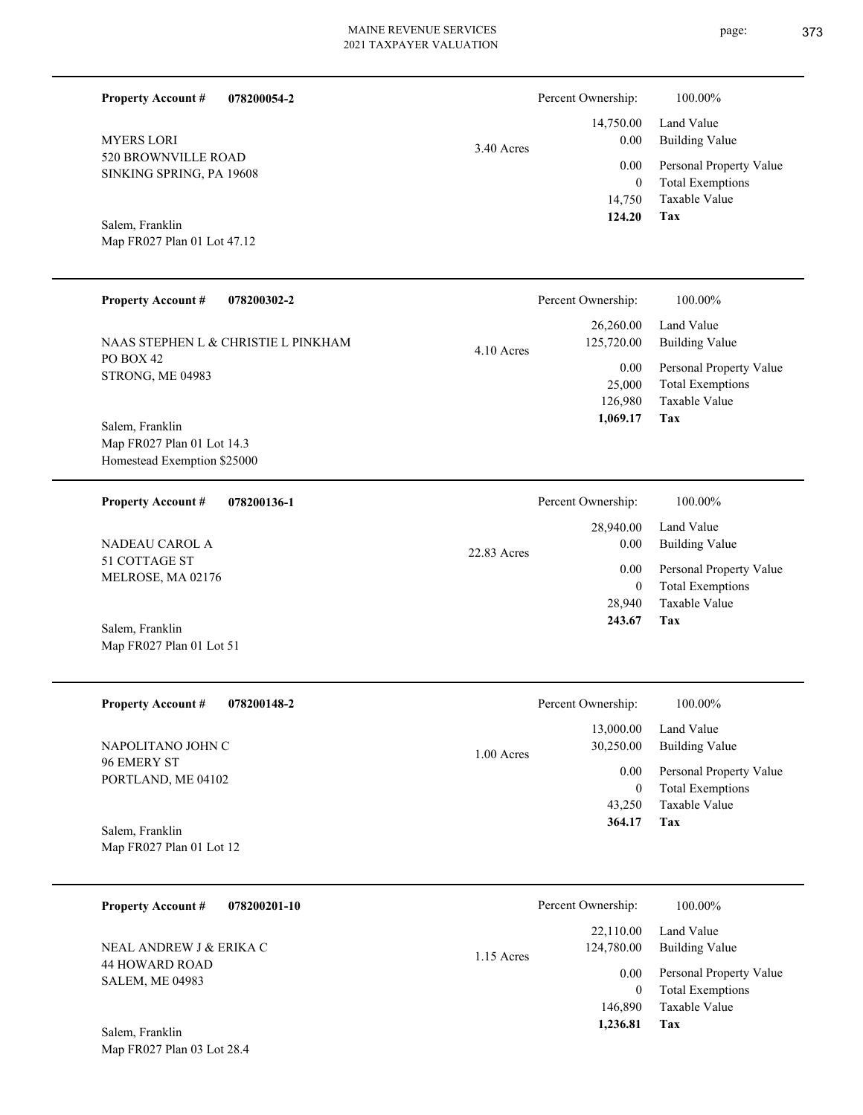| <b>Property Account #</b>                                 | 078200054-2                         |              | Percent Ownership:       | 100.00%                                            |
|-----------------------------------------------------------|-------------------------------------|--------------|--------------------------|----------------------------------------------------|
| <b>MYERS LORI</b>                                         |                                     | 3.40 Acres   | 14,750.00<br>0.00        | Land Value<br><b>Building Value</b>                |
| 520 BROWNVILLE ROAD<br>SINKING SPRING, PA 19608           |                                     |              | 0.00<br>$\boldsymbol{0}$ | Personal Property Value<br><b>Total Exemptions</b> |
| Salem, Franklin<br>Map FR027 Plan 01 Lot 47.12            |                                     |              | 14,750<br>124.20         | Taxable Value<br>Tax                               |
| <b>Property Account #</b>                                 | 078200302-2                         |              | Percent Ownership:       | 100.00%                                            |
|                                                           | NAAS STEPHEN L & CHRISTIE L PINKHAM | $4.10$ Acres | 26,260.00<br>125,720.00  | Land Value<br><b>Building Value</b>                |
| PO BOX 42<br>STRONG, ME 04983                             |                                     |              | 0.00<br>25,000           | Personal Property Value<br><b>Total Exemptions</b> |
| Salem, Franklin                                           |                                     |              | 126,980<br>1,069.17      | Taxable Value<br><b>Tax</b>                        |
| Map FR027 Plan 01 Lot 14.3<br>Homestead Exemption \$25000 |                                     |              |                          |                                                    |
| <b>Property Account #</b>                                 | 078200136-1                         |              | Percent Ownership:       | 100.00%                                            |
| <b>NADEAU CAROL A</b><br>51 COTTAGE ST                    |                                     | 22.83 Acres  | 28,940.00<br>0.00        | Land Value<br><b>Building Value</b>                |
| MELROSE, MA 02176                                         |                                     |              | 0.00<br>$\boldsymbol{0}$ | Personal Property Value<br><b>Total Exemptions</b> |
| Salem, Franklin                                           |                                     |              | 28,940<br>243.67         | Taxable Value<br><b>Tax</b>                        |
| Map FR027 Plan 01 Lot 51                                  |                                     |              |                          |                                                    |

| <b>Property Account #</b><br>078200148-2 | Percent Ownership:        | 100.00%                 |
|------------------------------------------|---------------------------|-------------------------|
|                                          | 13,000.00                 | Land Value              |
| NAPOLITANO JOHN C                        | 30,250.00<br>$1.00$ Acres | Building Value          |
| 96 EMERY ST<br>PORTLAND, ME 04102        | 0.00                      | Personal Property Value |
|                                          | 0                         | <b>Total Exemptions</b> |
|                                          | 43.250                    | Taxable Value           |
| Salem, Franklin                          | 364.17                    | Tax                     |
| Map FR027 Plan 01 Lot 12                 |                           |                         |

| 078200201-10<br><b>Property Account #</b> | Percent Ownership:                      | 100.00%                                                             |
|-------------------------------------------|-----------------------------------------|---------------------------------------------------------------------|
| NEAL ANDREW J & ERIKA C<br>44 HOWARD ROAD | 22,110.00<br>124,780.00<br>$1.15$ Acres | Land Value<br><b>Building Value</b>                                 |
| <b>SALEM, ME 04983</b>                    | 0.00<br>$\theta$<br>146,890             | Personal Property Value<br><b>Total Exemptions</b><br>Taxable Value |
| Salem, Franklin                           | 1,236.81                                | Tax                                                                 |

Map FR027 Plan 03 Lot 28.4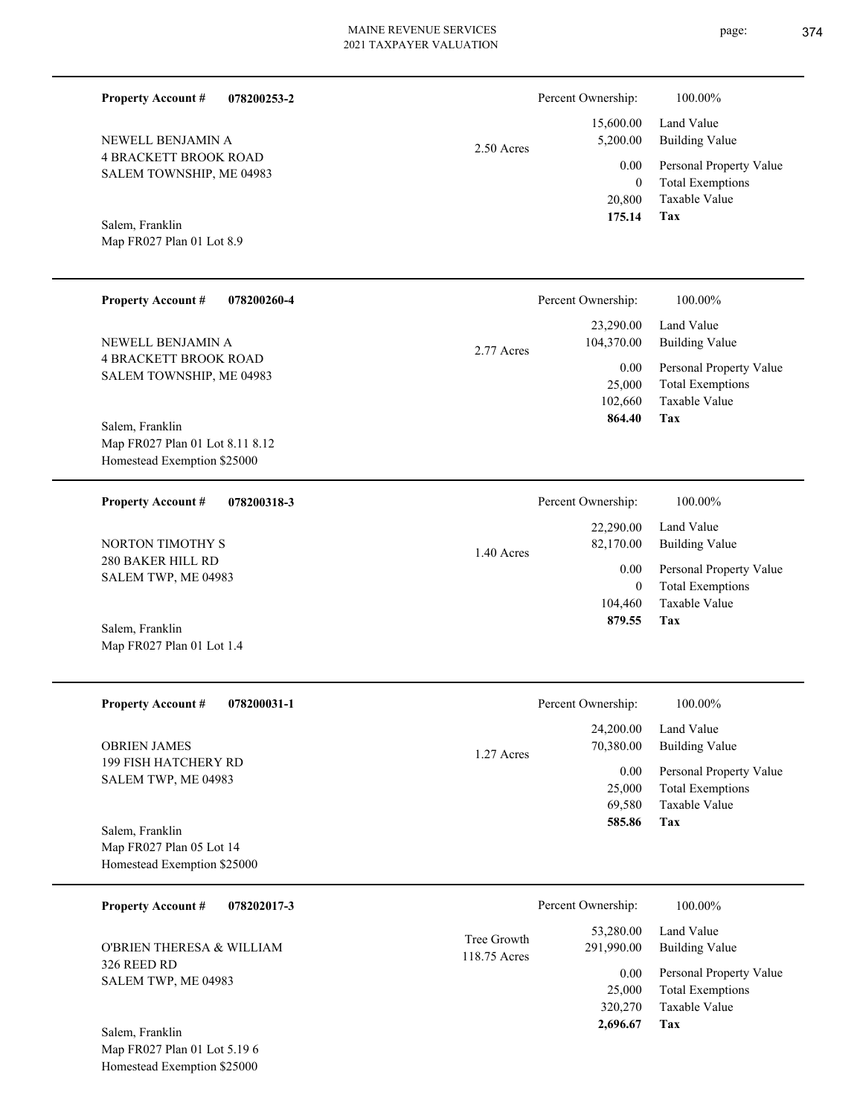| <b>Property Account #</b><br>078200253-2                                       |                             | Percent Ownership:                        | 100.00%                                                                    |
|--------------------------------------------------------------------------------|-----------------------------|-------------------------------------------|----------------------------------------------------------------------------|
| NEWELL BENJAMIN A                                                              | $2.50$ Acres                | 15,600.00<br>5,200.00                     | Land Value<br><b>Building Value</b>                                        |
| <b>4 BRACKETT BROOK ROAD</b><br>SALEM TOWNSHIP, ME 04983                       |                             | 0.00<br>$\mathbf{0}$<br>20,800<br>175.14  | Personal Property Value<br><b>Total Exemptions</b><br>Taxable Value<br>Tax |
| Salem, Franklin<br>Map FR027 Plan 01 Lot 8.9                                   |                             |                                           |                                                                            |
| <b>Property Account #</b><br>078200260-4                                       |                             | Percent Ownership:                        | 100.00%                                                                    |
| NEWELL BENJAMIN A                                                              | 2.77 Acres                  | 23,290.00<br>104,370.00                   | Land Value<br><b>Building Value</b>                                        |
| <b>4 BRACKETT BROOK ROAD</b><br>SALEM TOWNSHIP, ME 04983<br>Salem, Franklin    |                             | 0.00<br>25,000<br>102,660<br>864.40       | Personal Property Value<br><b>Total Exemptions</b><br>Taxable Value<br>Tax |
| Map FR027 Plan 01 Lot 8.11 8.12<br>Homestead Exemption \$25000                 |                             |                                           |                                                                            |
| <b>Property Account #</b><br>078200318-3                                       |                             | Percent Ownership:                        | 100.00%                                                                    |
| NORTON TIMOTHY S                                                               | 1.40 Acres                  | 22,290.00<br>82,170.00                    | Land Value<br><b>Building Value</b>                                        |
| <b>280 BAKER HILL RD</b><br>SALEM TWP, ME 04983                                |                             | 0.00<br>$\mathbf{0}$<br>104,460<br>879.55 | Personal Property Value<br><b>Total Exemptions</b><br>Taxable Value<br>Tax |
| Salem, Franklin<br>Map FR027 Plan 01 Lot 1.4                                   |                             |                                           |                                                                            |
| <b>Property Account #</b><br>078200031-1                                       |                             | Percent Ownership:                        | 100.00%                                                                    |
| <b>OBRIEN JAMES</b>                                                            | 1.27 Acres                  | 24,200.00<br>70,380.00                    | Land Value<br><b>Building Value</b>                                        |
| 199 FISH HATCHERY RD<br>SALEM TWP, ME 04983                                    |                             | 0.00<br>25,000<br>69,580<br>585.86        | Personal Property Value<br><b>Total Exemptions</b><br>Taxable Value<br>Tax |
| Salem, Franklin<br>Map FR027 Plan 05 Lot 14<br>Homestead Exemption \$25000     |                             |                                           |                                                                            |
| <b>Property Account #</b><br>078202017-3                                       |                             | Percent Ownership:                        | 100.00%                                                                    |
| O'BRIEN THERESA & WILLIAM                                                      | Tree Growth<br>118.75 Acres | 53,280.00<br>291,990.00                   | Land Value<br><b>Building Value</b>                                        |
| 326 REED RD<br>SALEM TWP, ME 04983                                             |                             | 0.00<br>25,000<br>320,270<br>2,696.67     | Personal Property Value<br><b>Total Exemptions</b><br>Taxable Value<br>Tax |
| Salem, Franklin<br>Map FR027 Plan 01 Lot 5.19 6<br>Homestead Exemption \$25000 |                             |                                           |                                                                            |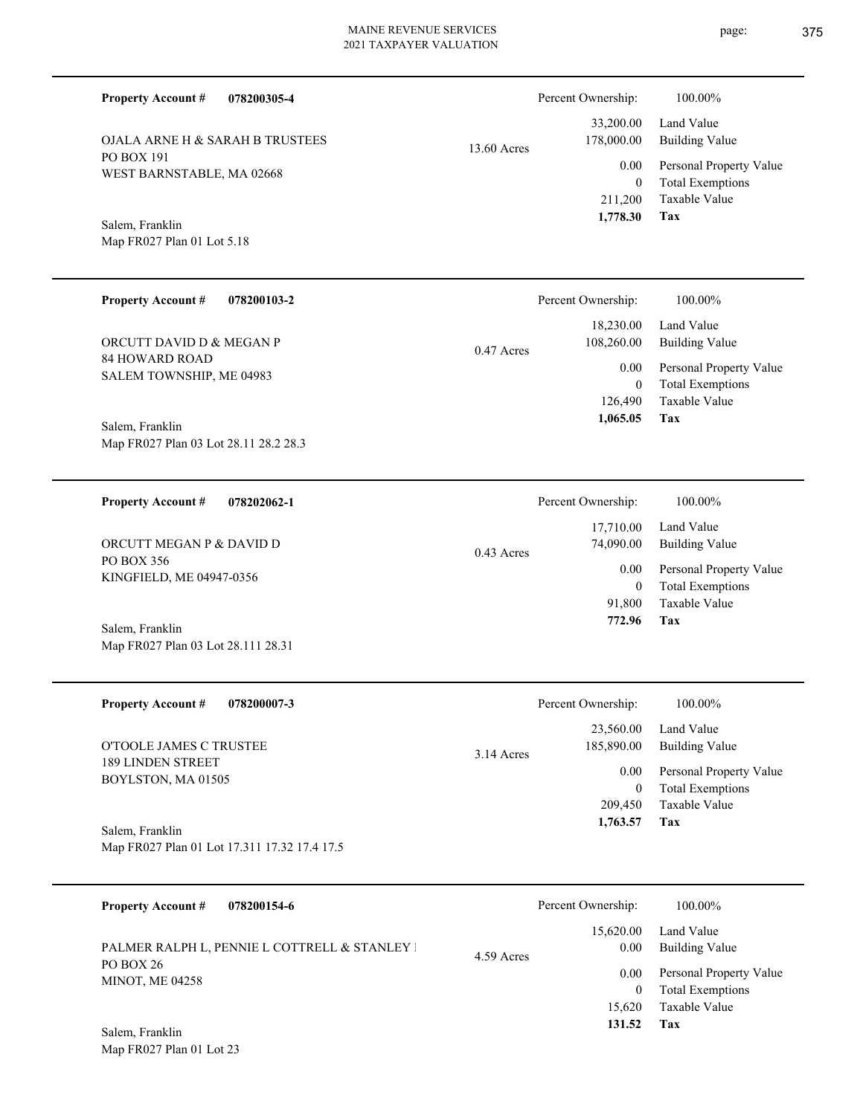| <b>Property Account#</b><br>078200305-4                         |             | Percent Ownership:                            | 100.00%                                                                           |
|-----------------------------------------------------------------|-------------|-----------------------------------------------|-----------------------------------------------------------------------------------|
| OJALA ARNE H & SARAH B TRUSTEES                                 | 13.60 Acres | 33,200.00<br>178,000.00                       | Land Value<br><b>Building Value</b>                                               |
| PO BOX 191<br>WEST BARNSTABLE, MA 02668                         |             | 0.00<br>$\overline{0}$<br>211,200<br>1,778.30 | Personal Property Value<br><b>Total Exemptions</b><br><b>Taxable Value</b><br>Tax |
| Salem, Franklin<br>Map FR027 Plan 01 Lot 5.18                   |             |                                               |                                                                                   |
| <b>Property Account #</b><br>078200103-2                        |             | Percent Ownership:                            | 100.00%                                                                           |
| ORCUTT DAVID D & MEGAN P                                        | 0.47 Acres  | 18,230.00<br>108,260.00                       | Land Value<br><b>Building Value</b>                                               |
| <b>84 HOWARD ROAD</b><br>SALEM TOWNSHIP, ME 04983               |             | 0.00<br>$\mathbf{0}$<br>126,490<br>1,065.05   | Personal Property Value<br><b>Total Exemptions</b><br>Taxable Value<br>Tax        |
| Salem, Franklin<br>Map FR027 Plan 03 Lot 28.11 28.2 28.3        |             |                                               |                                                                                   |
| <b>Property Account #</b><br>078202062-1                        |             | Percent Ownership:                            | 100.00%                                                                           |
| ORCUTT MEGAN P & DAVID D                                        | 0.43 Acres  | 17,710.00<br>74,090.00                        | Land Value<br><b>Building Value</b>                                               |
| PO BOX 356<br>KINGFIELD, ME 04947-0356                          |             | 0.00<br>$\mathbf{0}$<br>91,800<br>772.96      | Personal Property Value<br><b>Total Exemptions</b><br>Taxable Value<br>Tax        |
| Salem, Franklin<br>Map FR027 Plan 03 Lot 28.111 28.31           |             |                                               |                                                                                   |
| <b>Property Account #</b><br>078200007-3                        |             | Percent Ownership:                            | 100.00%                                                                           |
| O'TOOLE JAMES C TRUSTEE                                         | 3.14 Acres  | 23,560.00<br>185,890.00                       | Land Value<br><b>Building Value</b>                                               |
| 189 LINDEN STREET<br>BOYLSTON, MA 01505                         |             | 0.00<br>$\mathbf{0}$<br>209,450               | Personal Property Value<br><b>Total Exemptions</b><br>Taxable Value<br>Tax        |
| Salem, Franklin<br>Map FR027 Plan 01 Lot 17.311 17.32 17.4 17.5 |             | 1,763.57                                      |                                                                                   |
| <b>Property Account #</b><br>078200154-6                        |             | Percent Ownership:                            | 100.00%                                                                           |
| PALMER RALPH L, PENNIE L COTTRELL & STANLEY I                   | 4.59 Acres  | 15,620.00<br>0.00                             | Land Value<br><b>Building Value</b>                                               |
| PO BOX 26<br><b>MINOT, ME 04258</b>                             |             | 0.00<br>$\overline{0}$                        | Personal Property Value<br><b>Total Exemptions</b>                                |

**Tax 131.52**

15,620 Taxable Value

Map FR027 Plan 01 Lot 23 Salem, Franklin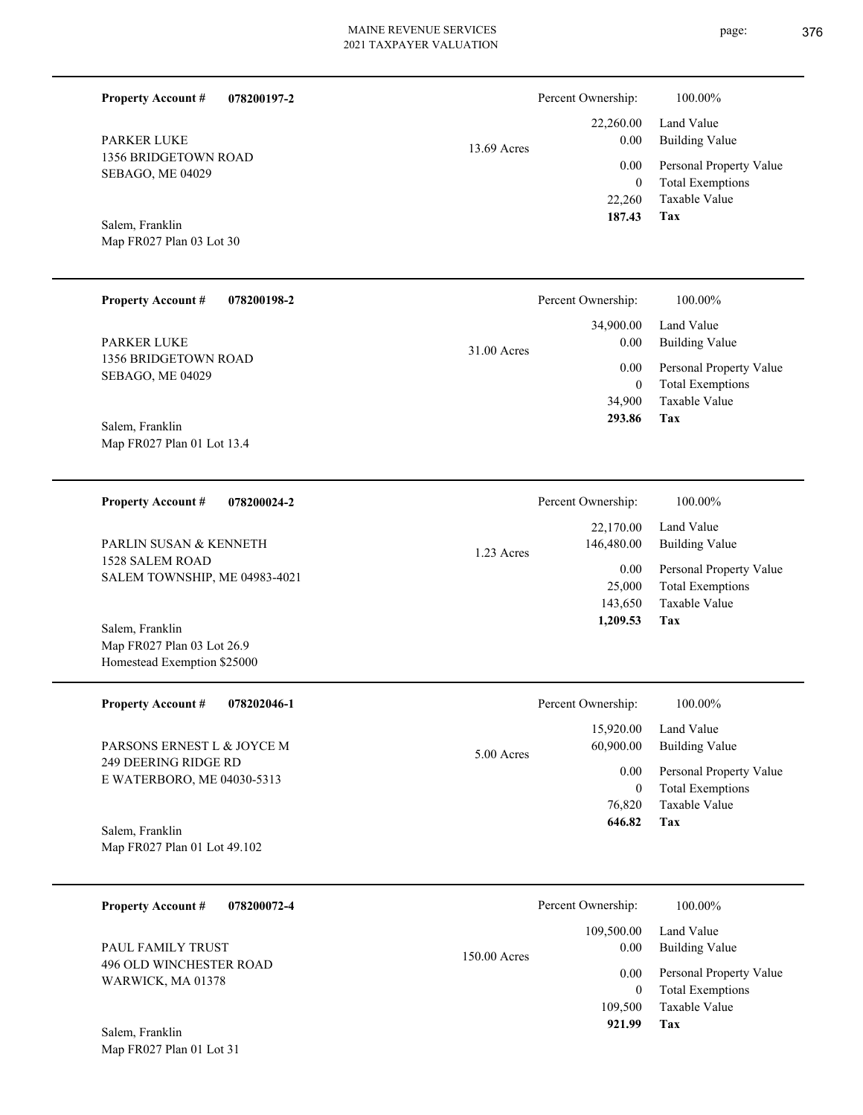| <b>Property Account #</b><br>078200197-2                                                                                                                                                                      |              | Percent Ownership:                                                                           | 100.00%                                                                                                                      |
|---------------------------------------------------------------------------------------------------------------------------------------------------------------------------------------------------------------|--------------|----------------------------------------------------------------------------------------------|------------------------------------------------------------------------------------------------------------------------------|
| <b>PARKER LUKE</b><br>1356 BRIDGETOWN ROAD<br>SEBAGO, ME 04029<br>Salem, Franklin<br>Map FR027 Plan 03 Lot 30                                                                                                 | 13.69 Acres  | 22,260.00<br>0.00<br>0.00<br>$\boldsymbol{0}$<br>22,260<br>187.43                            | Land Value<br><b>Building Value</b><br>Personal Property Value<br><b>Total Exemptions</b><br>Taxable Value<br><b>Tax</b>     |
| <b>Property Account #</b><br>078200198-2<br><b>PARKER LUKE</b><br>1356 BRIDGETOWN ROAD<br>SEBAGO, ME 04029                                                                                                    | 31.00 Acres  | Percent Ownership:<br>34,900.00<br>0.00<br>0.00<br>$\boldsymbol{0}$<br>34,900                | 100.00%<br>Land Value<br><b>Building Value</b><br>Personal Property Value<br><b>Total Exemptions</b><br>Taxable Value        |
| Salem, Franklin<br>Map FR027 Plan 01 Lot 13.4                                                                                                                                                                 |              | 293.86                                                                                       | Tax                                                                                                                          |
| <b>Property Account #</b><br>078200024-2<br>PARLIN SUSAN & KENNETH<br><b>1528 SALEM ROAD</b><br>SALEM TOWNSHIP, ME 04983-4021<br>Salem, Franklin<br>Map FR027 Plan 03 Lot 26.9<br>Homestead Exemption \$25000 | 1.23 Acres   | Percent Ownership:<br>22,170.00<br>146,480.00<br>0.00<br>25,000<br>143,650<br>1,209.53       | 100.00%<br>Land Value<br><b>Building Value</b><br>Personal Property Value<br><b>Total Exemptions</b><br>Taxable Value<br>Tax |
| <b>Property Account #</b><br>078202046-1<br>PARSONS ERNEST L & JOYCE M<br>249 DEERING RIDGE RD<br>E WATERBORO, ME 04030-5313<br>Salem, Franklin<br>Map FR027 Plan 01 Lot 49.102                               | 5.00 Acres   | Percent Ownership:<br>15,920.00<br>60,900.00<br>0.00<br>$\boldsymbol{0}$<br>76,820<br>646.82 | 100.00%<br>Land Value<br><b>Building Value</b><br>Personal Property Value<br><b>Total Exemptions</b><br>Taxable Value<br>Tax |
| <b>Property Account #</b><br>078200072-4<br>PAUL FAMILY TRUST<br>496 OLD WINCHESTER ROAD<br>WARWICK, MA 01378<br>Salem, Franklin<br>Map FR027 Plan 01 Lot 31                                                  | 150.00 Acres | Percent Ownership:<br>109,500.00<br>0.00<br>0.00<br>$\mathbf{0}$<br>109,500<br>921.99        | 100.00%<br>Land Value<br><b>Building Value</b><br>Personal Property Value<br><b>Total Exemptions</b><br>Taxable Value<br>Tax |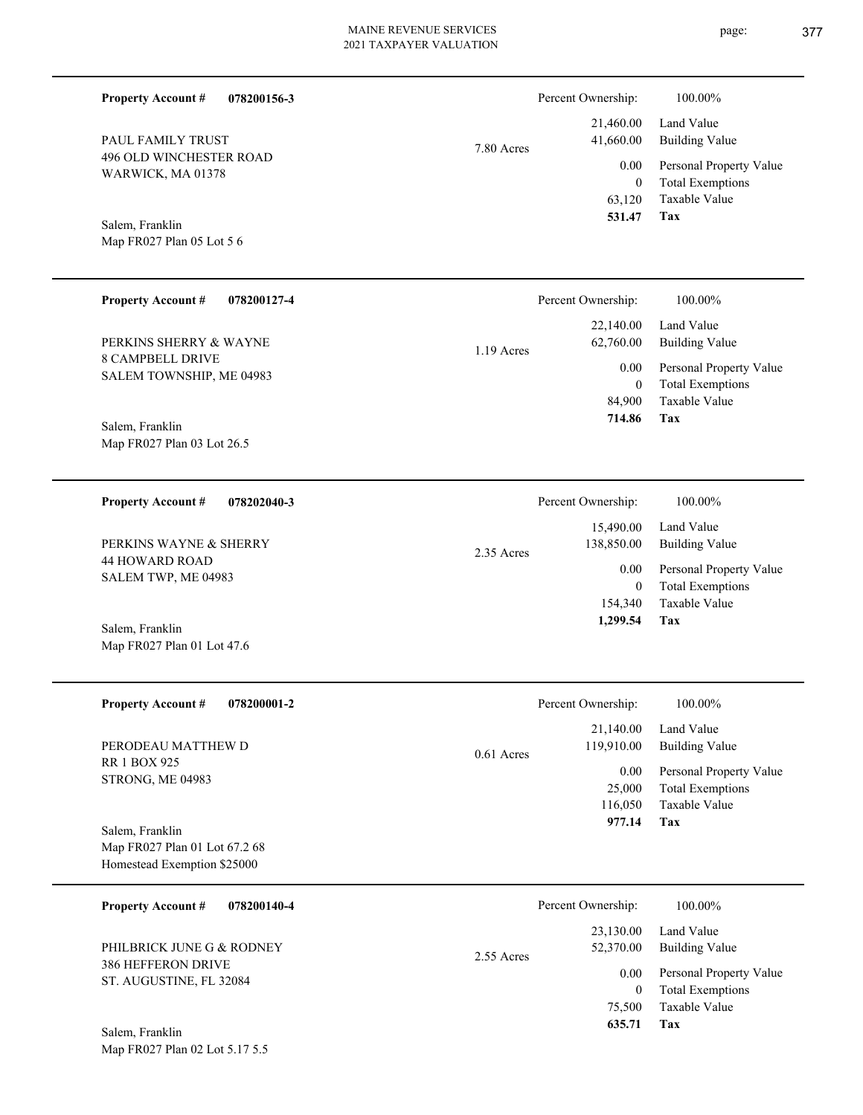| <b>Property Account #</b><br>078200156-3                     |              | Percent Ownership:       | 100.00%                                            |
|--------------------------------------------------------------|--------------|--------------------------|----------------------------------------------------|
| PAUL FAMILY TRUST                                            | 7.80 Acres   | 21,460.00<br>41,660.00   | Land Value<br><b>Building Value</b>                |
| 496 OLD WINCHESTER ROAD<br>WARWICK, MA 01378                 |              | 0.00<br>$\boldsymbol{0}$ | Personal Property Value<br><b>Total Exemptions</b> |
| Salem, Franklin                                              |              | 63,120<br>531.47         | Taxable Value<br>Tax                               |
| Map FR027 Plan 05 Lot 5 6                                    |              |                          |                                                    |
| <b>Property Account #</b><br>078200127-4                     |              | Percent Ownership:       | 100.00%                                            |
| PERKINS SHERRY & WAYNE                                       | 1.19 Acres   | 22,140.00<br>62,760.00   | Land Value<br><b>Building Value</b>                |
| <b>8 CAMPBELL DRIVE</b><br>SALEM TOWNSHIP, ME 04983          |              | 0.00<br>$\mathbf{0}$     | Personal Property Value<br><b>Total Exemptions</b> |
| Salem, Franklin                                              |              | 84,900<br>714.86         | Taxable Value<br>Tax                               |
| Map FR027 Plan 03 Lot 26.5                                   |              |                          |                                                    |
| <b>Property Account #</b><br>078202040-3                     |              | Percent Ownership:       | 100.00%                                            |
| PERKINS WAYNE & SHERRY                                       | 2.35 Acres   | 15,490.00<br>138,850.00  | Land Value<br><b>Building Value</b>                |
| <b>44 HOWARD ROAD</b><br>SALEM TWP, ME 04983                 |              | 0.00<br>$\mathbf{0}$     | Personal Property Value<br><b>Total Exemptions</b> |
| Salem, Franklin                                              |              | 154,340<br>1,299.54      | Taxable Value<br>Tax                               |
| Map FR027 Plan 01 Lot 47.6                                   |              |                          |                                                    |
| <b>Property Account #</b><br>078200001-2                     |              | Percent Ownership:       | 100.00%                                            |
| PERODEAU MATTHEW D                                           | $0.61$ Acres | 21,140.00<br>119,910.00  | Land Value<br><b>Building Value</b>                |
| <b>RR 1 BOX 925</b><br>STRONG, ME 04983                      |              | 0.00<br>25,000           | Personal Property Value<br><b>Total Exemptions</b> |
| Salem, Franklin                                              |              | 116,050<br>977.14        | <b>Taxable Value</b><br>Tax                        |
| Map FR027 Plan 01 Lot 67.2 68<br>Homestead Exemption \$25000 |              |                          |                                                    |
|                                                              |              |                          |                                                    |
| 078200140-4<br><b>Property Account #</b>                     |              | Percent Ownership:       | 100.00%<br>Land Value                              |
| PHILBRICK JUNE G & RODNEY<br>386 HEFFERON DRIVE              | 2.55 Acres   | 23,130.00<br>52,370.00   | <b>Building Value</b>                              |
| ST. AUGUSTINE, FL 32084                                      |              | 0.00<br>$\boldsymbol{0}$ | Personal Property Value<br><b>Total Exemptions</b> |
|                                                              |              | 75,500<br>635.71         | Taxable Value<br>Tax                               |
| Salem, Franklin<br>Map FR027 Plan 02 Lot 5.17 5.5            |              |                          |                                                    |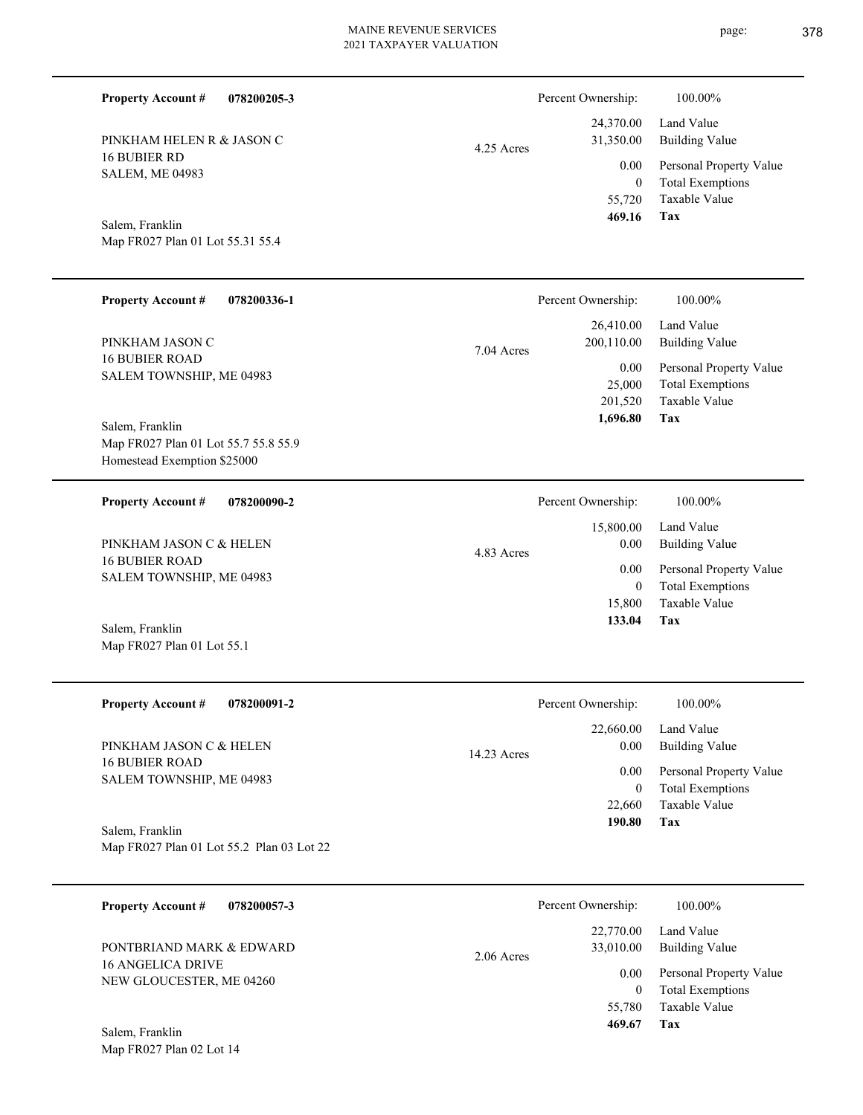4.25 Acres

| Salem, Franklin                  |
|----------------------------------|
| Map FR027 Plan 01 Lot 55.31 55.4 |

Map FR027 Plan 01 Lot 55.1

Map FR027 Plan 02 Lot 14

Salem, Franklin

PINKHAM HELEN R & JASON C

16 BUBIER RD SALEM, ME 04983

**Property Account #**

**078200205-3**

| <b>Property Account #</b><br>078200336-1 | Percent Ownership:       | 100.00%                 |
|------------------------------------------|--------------------------|-------------------------|
|                                          | 26,410.00                | Land Value              |
| PINKHAM JASON C                          | 200,110.00<br>7.04 Acres | <b>Building Value</b>   |
| <b>16 BUBIER ROAD</b>                    | 0.00                     | Personal Property Value |
| SALEM TOWNSHIP, ME 04983                 | 25,000                   | <b>Total Exemptions</b> |
|                                          | 201,520                  | Taxable Value           |
| Salem, Franklin                          | 1,696.80                 | Tax                     |
| Map FR027 Plan 01 Lot 55.7 55.8 55.9     |                          |                         |
| Homestead Exemption \$25000              |                          |                         |
|                                          |                          |                         |
| <b>Property Account #</b><br>078200090-2 | Percent Ownership:       | 100.00%                 |
|                                          | 15,800.00                | Land Value              |
| PINKHAM JASON C & HELEN                  | 0.00                     | <b>Building Value</b>   |
| <b>16 BUBIER ROAD</b>                    | 4.83 Acres               |                         |
| SALEM TOWNSHIP, ME 04983                 | 0.00                     | Personal Property Value |
|                                          | $\mathbf{0}$             | <b>Total Exemptions</b> |
|                                          | 15,800                   | Taxable Value           |
|                                          | 133.04                   | Tax                     |

| <b>Property Account #</b><br>078200091-2                     | Percent Ownership:               | 100.00%                                            |
|--------------------------------------------------------------|----------------------------------|----------------------------------------------------|
| PINKHAM JASON C & HELEN                                      | 22,660.00<br>0.00<br>14.23 Acres | Land Value<br>Building Value                       |
| <b>16 BUBIER ROAD</b><br>SALEM TOWNSHIP, ME 04983            | 0.00<br>$\bf{0}$                 | Personal Property Value<br><b>Total Exemptions</b> |
|                                                              | 22,660                           | Taxable Value                                      |
| Salem, Franklin<br>Map FR027 Plan 01 Lot 55.2 Plan 03 Lot 22 | 190.80                           | Tax                                                |

**078200057-3 Tax** Taxable Value Total Exemptions Personal Property Value Building Value Land Value 16 ANGELICA DRIVE NEW GLOUCESTER, ME 04260 **Property Account #** Salem, Franklin PONTBRIAND MARK & EDWARD 55,780 0  **469.67** 22,770.00 33,010.00 0.00 2.06 Acres Percent Ownership:  $100.00\%$ 

**Tax**

 55,720 0

0.00

Percent Ownership:  $100.00\%$ 

 24,370.00 31,350.00

 **469.16**

Taxable Value Total Exemptions Personal Property Value

Building Value Land Value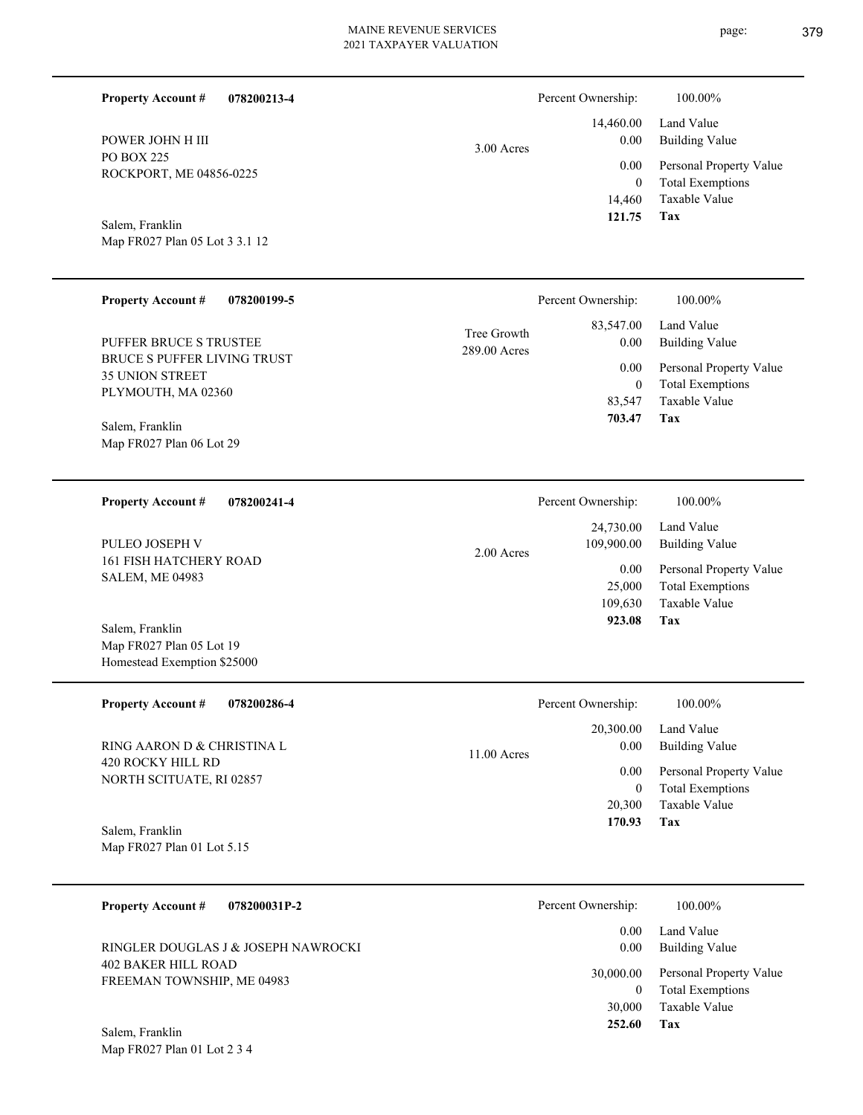| <b>Property Account #</b><br>078200213-4                                                                                                             |                             | Percent Ownership:                                                | 100.00%                                                                                                           |
|------------------------------------------------------------------------------------------------------------------------------------------------------|-----------------------------|-------------------------------------------------------------------|-------------------------------------------------------------------------------------------------------------------|
| POWER JOHN H III<br>PO BOX 225<br>ROCKPORT, ME 04856-0225<br>Salem, Franklin                                                                         | 3.00 Acres                  | 14,460.00<br>0.00<br>0.00<br>$\boldsymbol{0}$<br>14,460<br>121.75 | Land Value<br><b>Building Value</b><br>Personal Property Value<br><b>Total Exemptions</b><br>Taxable Value<br>Tax |
| Map FR027 Plan 05 Lot 3 3.1 12                                                                                                                       |                             |                                                                   |                                                                                                                   |
| <b>Property Account #</b><br>078200199-5                                                                                                             |                             | Percent Ownership:                                                | 100.00%                                                                                                           |
| PUFFER BRUCE S TRUSTEE<br>BRUCE S PUFFER LIVING TRUST<br><b>35 UNION STREET</b><br>PLYMOUTH, MA 02360<br>Salem, Franklin<br>Map FR027 Plan 06 Lot 29 | Tree Growth<br>289.00 Acres | 83,547.00<br>0.00<br>0.00<br>$\boldsymbol{0}$<br>83,547<br>703.47 | Land Value<br><b>Building Value</b><br>Personal Property Value<br><b>Total Exemptions</b><br>Taxable Value<br>Tax |
| <b>Property Account #</b><br>078200241-4                                                                                                             |                             | Percent Ownership:                                                | 100.00%                                                                                                           |
| PULEO JOSEPH V                                                                                                                                       | 2.00 Acres                  | 24,730.00<br>109,900.00                                           | Land Value<br><b>Building Value</b>                                                                               |
| 161 FISH HATCHERY ROAD<br><b>SALEM, ME 04983</b><br>Salem, Franklin                                                                                  |                             | 0.00<br>25,000<br>109,630<br>923.08                               | Personal Property Value<br><b>Total Exemptions</b><br>Taxable Value<br>Tax                                        |
| Map FR027 Plan 05 Lot 19<br>Homestead Exemption \$25000                                                                                              |                             |                                                                   |                                                                                                                   |
| <b>Property Account #</b><br>078200286-4                                                                                                             |                             | Percent Ownership:                                                | 100.00%                                                                                                           |
| RING AARON D & CHRISTINA L                                                                                                                           | 11.00 Acres                 | 20,300.00<br>0.00                                                 | Land Value<br><b>Building Value</b>                                                                               |
| 420 ROCKY HILL RD<br>NORTH SCITUATE, RI 02857<br>Salem, Franklin                                                                                     |                             | 0.00<br>$\boldsymbol{0}$<br>20,300<br>170.93                      | Personal Property Value<br><b>Total Exemptions</b><br>Taxable Value<br>Tax                                        |
| Map FR027 Plan 01 Lot 5.15                                                                                                                           |                             |                                                                   |                                                                                                                   |
| <b>Property Account #</b><br>078200031P-2                                                                                                            |                             | Percent Ownership:                                                | 100.00%                                                                                                           |
| RINGLER DOUGLAS J & JOSEPH NAWROCKI                                                                                                                  |                             | 0.00<br>0.00                                                      | Land Value<br><b>Building Value</b>                                                                               |
| <b>402 BAKER HILL ROAD</b><br>FREEMAN TOWNSHIP, ME 04983<br>Salem, Franklin                                                                          |                             | 30,000.00<br>$\boldsymbol{0}$<br>30,000<br>252.60                 | Personal Property Value<br><b>Total Exemptions</b><br>Taxable Value<br>Tax                                        |
| Map FR027 Plan 01 Lot 2 3 4                                                                                                                          |                             |                                                                   |                                                                                                                   |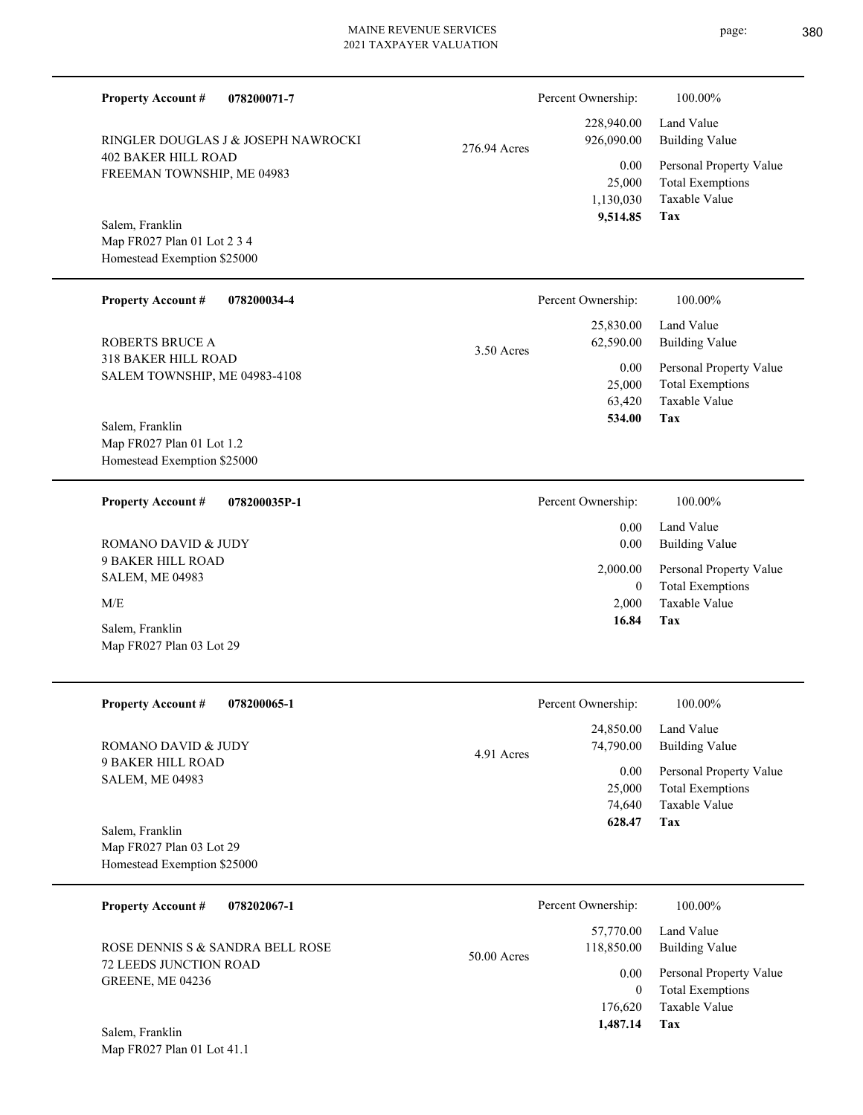| <b>Property Account #</b><br>078200071-7                                      |              | Percent Ownership:                            | 100.00%                                                                           |
|-------------------------------------------------------------------------------|--------------|-----------------------------------------------|-----------------------------------------------------------------------------------|
| RINGLER DOUGLAS J & JOSEPH NAWROCKI                                           | 276.94 Acres | 228,940.00<br>926,090.00                      | Land Value<br><b>Building Value</b>                                               |
| <b>402 BAKER HILL ROAD</b><br>FREEMAN TOWNSHIP, ME 04983                      |              | 0.00<br>25,000<br>1,130,030<br>9,514.85       | Personal Property Value<br><b>Total Exemptions</b><br>Taxable Value<br>Tax        |
| Salem, Franklin<br>Map FR027 Plan 01 Lot 2 3 4<br>Homestead Exemption \$25000 |              |                                               |                                                                                   |
| <b>Property Account #</b><br>078200034-4                                      |              | Percent Ownership:                            | 100.00%                                                                           |
| <b>ROBERTS BRUCE A</b>                                                        | 3.50 Acres   | 25,830.00<br>62,590.00                        | Land Value<br><b>Building Value</b>                                               |
| 318 BAKER HILL ROAD<br>SALEM TOWNSHIP, ME 04983-4108                          |              | 0.00<br>25,000<br>63,420<br>534.00            | Personal Property Value<br><b>Total Exemptions</b><br>Taxable Value<br>Tax        |
| Salem, Franklin<br>Map FR027 Plan 01 Lot 1.2<br>Homestead Exemption \$25000   |              |                                               |                                                                                   |
| 078200035P-1<br><b>Property Account #</b>                                     |              | Percent Ownership:                            | 100.00%                                                                           |
| ROMANO DAVID & JUDY                                                           |              | 0.00<br>0.00                                  | Land Value<br><b>Building Value</b>                                               |
| <b>9 BAKER HILL ROAD</b><br><b>SALEM, ME 04983</b>                            |              | 2,000.00<br>$\overline{0}$                    | Personal Property Value<br><b>Total Exemptions</b>                                |
| M/E<br>Salem, Franklin<br>Map FR027 Plan 03 Lot 29                            |              | 2,000<br>16.84                                | <b>Taxable Value</b><br>Tax                                                       |
| <b>Property Account #</b><br>078200065-1                                      |              | Percent Ownership:                            | 100.00%                                                                           |
| ROMANO DAVID & JUDY                                                           |              | 24,850.00<br>74,790.00                        | Land Value<br><b>Building Value</b>                                               |
| 9 BAKER HILL ROAD<br><b>SALEM, ME 04983</b>                                   | 4.91 Acres   | 0.00<br>25,000<br>74,640<br>628.47            | Personal Property Value<br><b>Total Exemptions</b><br>Taxable Value<br>Tax        |
| Salem, Franklin<br>Map FR027 Plan 03 Lot 29<br>Homestead Exemption \$25000    |              |                                               |                                                                                   |
| <b>Property Account #</b><br>078202067-1                                      |              | Percent Ownership:                            | 100.00%                                                                           |
| ROSE DENNIS S & SANDRA BELL ROSE                                              | 50.00 Acres  | 57,770.00<br>118,850.00                       | Land Value<br><b>Building Value</b>                                               |
| 72 LEEDS JUNCTION ROAD<br>GREENE, ME 04236                                    |              | 0.00<br>$\overline{0}$<br>176,620<br>1,487.14 | Personal Property Value<br><b>Total Exemptions</b><br>Taxable Value<br><b>Tax</b> |
| Salem Franklin                                                                |              |                                               |                                                                                   |

Map FR027 Plan 01 Lot 41.1 Salem, Franklin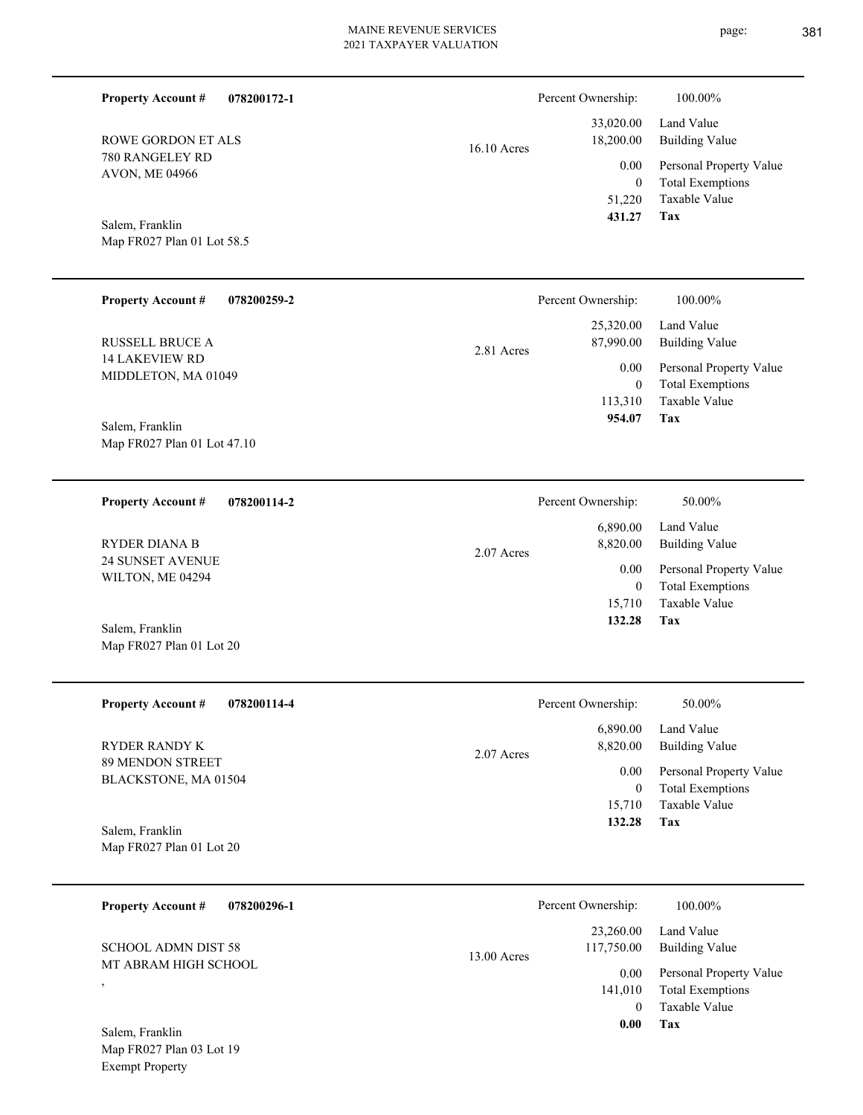| <b>Property Account #</b><br>078200172-1                              |             | Percent Ownership:                         | 100.00%                                                                    |
|-----------------------------------------------------------------------|-------------|--------------------------------------------|----------------------------------------------------------------------------|
| ROWE GORDON ET ALS                                                    | 16.10 Acres | 33,020.00<br>18,200.00                     | Land Value<br><b>Building Value</b>                                        |
| 780 RANGELEY RD<br>AVON, ME 04966                                     |             | 0.00<br>$\overline{0}$<br>51,220<br>431.27 | Personal Property Value<br><b>Total Exemptions</b><br>Taxable Value<br>Tax |
| Salem, Franklin<br>Map FR027 Plan 01 Lot 58.5                         |             |                                            |                                                                            |
| <b>Property Account #</b><br>078200259-2                              |             | Percent Ownership:                         | 100.00%                                                                    |
| <b>RUSSELL BRUCE A</b>                                                | 2.81 Acres  | 25,320.00<br>87,990.00                     | Land Value<br><b>Building Value</b>                                        |
| <b>14 LAKEVIEW RD</b><br>MIDDLETON, MA 01049                          |             | 0.00<br>$\overline{0}$                     | Personal Property Value<br><b>Total Exemptions</b>                         |
| Salem, Franklin<br>Map FR027 Plan 01 Lot 47.10                        |             | 113,310<br>954.07                          | Taxable Value<br>Tax                                                       |
|                                                                       |             |                                            |                                                                            |
| <b>Property Account #</b><br>078200114-2                              |             | Percent Ownership:                         | 50.00%                                                                     |
| <b>RYDER DIANA B</b>                                                  | 2.07 Acres  | 6,890.00<br>8,820.00                       | Land Value<br><b>Building Value</b>                                        |
| 24 SUNSET AVENUE<br>WILTON, ME 04294                                  |             | 0.00<br>$\overline{0}$<br>15,710           | Personal Property Value<br><b>Total Exemptions</b><br>Taxable Value        |
| Salem, Franklin<br>Map FR027 Plan 01 Lot 20                           |             | 132.28                                     | Tax                                                                        |
| <b>Property Account #</b><br>078200114-4                              |             | Percent Ownership:                         | 50.00%                                                                     |
| RYDER RANDY K                                                         | 2.07 Acres  | 6,890.00<br>8,820.00                       | Land Value<br><b>Building Value</b>                                        |
| 89 MENDON STREET<br>BLACKSTONE, MA 01504                              |             | 0.00<br>$\overline{0}$                     | Personal Property Value<br><b>Total Exemptions</b>                         |
|                                                                       |             | 15,710<br>132.28                           | Taxable Value<br>Tax                                                       |
| Salem, Franklin<br>Map FR027 Plan 01 Lot 20                           |             |                                            |                                                                            |
| <b>Property Account #</b><br>078200296-1                              |             | Percent Ownership:                         | 100.00%                                                                    |
| <b>SCHOOL ADMN DIST 58</b>                                            | 13.00 Acres | 23,260.00<br>117,750.00                    | Land Value<br><b>Building Value</b>                                        |
| MT ABRAM HIGH SCHOOL<br>$\overline{\phantom{a}}$                      |             | 0.00<br>141,010<br>$\overline{0}$          | Personal Property Value<br><b>Total Exemptions</b><br>Taxable Value        |
| Salem, Franklin<br>Map FR027 Plan 03 Lot 19<br><b>Exempt Property</b> |             | $0.00\,$                                   | Tax                                                                        |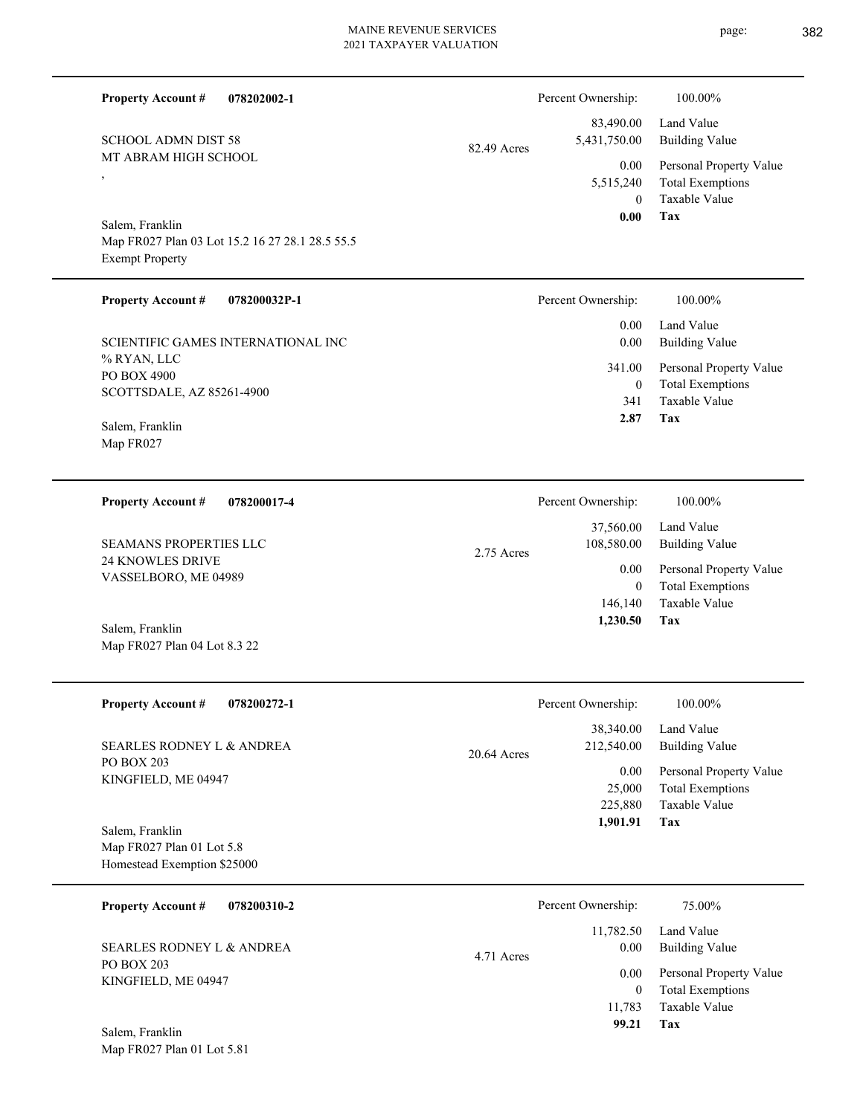page: 382

| <b>Property Account #</b><br>078202002-1                                                     |               | Percent Ownership:                    | 100.00%                                                                    |
|----------------------------------------------------------------------------------------------|---------------|---------------------------------------|----------------------------------------------------------------------------|
| <b>SCHOOL ADMN DIST 58</b>                                                                   | 82.49 Acres   | 83,490.00<br>5,431,750.00             | Land Value<br><b>Building Value</b>                                        |
| MT ABRAM HIGH SCHOOL<br>$\overline{ }$                                                       |               | 0.00<br>5,515,240<br>$\theta$<br>0.00 | Personal Property Value<br><b>Total Exemptions</b><br>Taxable Value<br>Tax |
| Salem, Franklin<br>Map FR027 Plan 03 Lot 15.2 16 27 28.1 28.5 55.5<br><b>Exempt Property</b> |               |                                       |                                                                            |
| <b>Property Account #</b><br>078200032P-1                                                    |               | Percent Ownership:                    | 100.00%                                                                    |
| SCIENTIFIC GAMES INTERNATIONAL INC                                                           |               | 0.00<br>0.00                          | Land Value<br><b>Building Value</b>                                        |
| % RYAN, LLC<br>PO BOX 4900<br>SCOTTSDALE, AZ 85261-4900                                      |               | 341.00<br>$\boldsymbol{0}$<br>341     | Personal Property Value<br><b>Total Exemptions</b><br>Taxable Value        |
| Salem, Franklin<br>Map FR027                                                                 |               | 2.87                                  | Tax                                                                        |
| <b>Property Account #</b><br>078200017-4                                                     |               | Percent Ownership:                    | 100.00%                                                                    |
| SEAMANS PROPERTIES LLC                                                                       | 2.75 Acres    | 37,560.00<br>108,580.00               | Land Value<br><b>Building Value</b>                                        |
| 24 KNOWLES DRIVE<br>VASSELBORO, ME 04989                                                     |               | 0.00<br>$\mathbf{0}$<br>146,140       | Personal Property Value<br><b>Total Exemptions</b><br>Taxable Value        |
| Salem, Franklin<br>Map FR027 Plan 04 Lot 8.3 22                                              |               | 1,230.50                              | Tax                                                                        |
| <b>Property Account #</b><br>078200272-1                                                     |               | Percent Ownership:                    | 100.00%                                                                    |
| <b>SEARLES RODNEY L &amp; ANDREA</b>                                                         | $20.64$ Acres | 38,340.00<br>212,540.00               | Land Value<br><b>Building Value</b>                                        |
| PO BOX 203<br>KINGFIELD, ME 04947                                                            |               | 0.00<br>25,000<br>225,880             | Personal Property Value<br><b>Total Exemptions</b><br>Taxable Value        |
| Salem, Franklin<br>Map FR027 Plan 01 Lot 5.8<br>Homestead Exemption \$25000                  |               | 1,901.91                              | Tax                                                                        |
| <b>Property Account #</b><br>078200310-2                                                     |               | Percent Ownership:                    | 75.00%                                                                     |
| SEARLES RODNEY L & ANDREA                                                                    | 4.71 Acres    | 11,782.50<br>0.00                     | Land Value<br><b>Building Value</b>                                        |
| PO BOX 203<br>KINGFIELD, ME 04947                                                            |               | $0.00\,$<br>$\overline{0}$<br>11,783  | Personal Property Value<br><b>Total Exemptions</b><br>Taxable Value        |
| Salem, Franklin<br>Map FR027 Plan 01 Lot 5.81                                                |               | 99.21                                 | Tax                                                                        |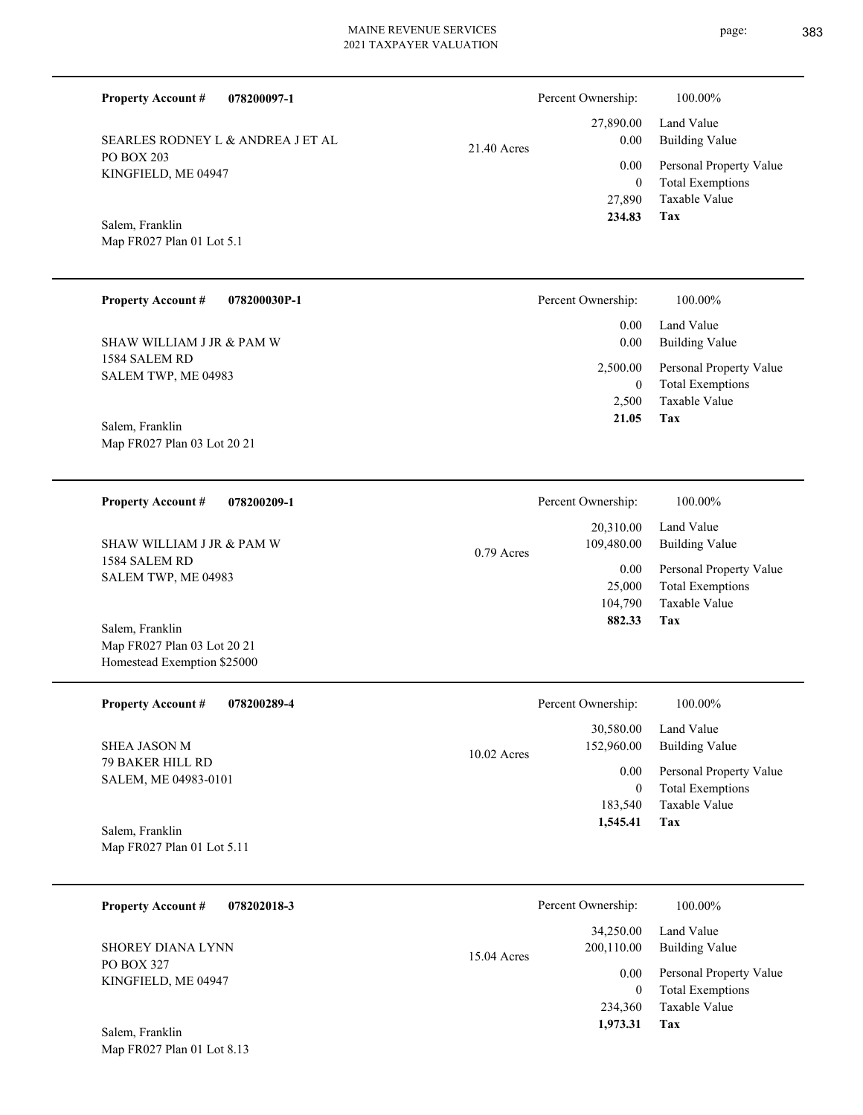**078200097-1 Tax** Taxable Value Total Exemptions Personal Property Value Building Value Land Value PO BOX 203 KINGFIELD, ME 04947 **Property Account #** Map FR027 Plan 01 Lot 5.1 Salem, Franklin SEARLES RODNEY L & ANDREA J ET AL 27,890 0  **234.83** 27,890.00 0.00 0.00 21.40 Acres Percent Ownership:  $100.00\%$ **078200030P-1 Tax** Taxable Value Total Exemptions Personal Property Value Building Value Land Value 1584 SALEM RD SALEM TWP, ME 04983 **Property Account #** Map FR027 Plan 03 Lot 20 21 Salem, Franklin SHAW WILLIAM J JR & PAM W 2,500 0  **21.05** 0.00 0.00 2,500.00 Percent Ownership:  $100.00\%$ **078200209-1 Tax** Taxable Value Total Exemptions Personal Property Value Building Value Land Value 1584 SALEM RD SALEM TWP, ME 04983 **Property Account #** Map FR027 Plan 03 Lot 20 21 Homestead Exemption \$25000 Salem, Franklin SHAW WILLIAM J JR & PAM W 104,790 25,000  **882.33** 20,310.00 109,480.00 0.00 0.79 Acres Percent Ownership:  $100.00\%$ **078200289-4 Tax** Taxable Value Total Exemptions Personal Property Value Building Value Land Value 79 BAKER HILL RD SALEM, ME 04983-0101 **Property Account #** Map FR027 Plan 01 Lot 5.11 Salem, Franklin SHEA JASON M 183,540 0  **1,545.41** 30,580.00 152,960.00 0.00 10.02 Acres Percent Ownership:  $100.00\%$ **078202018-3 Tax** Taxable Value Total Exemptions Personal Property Value Building Value Land Value PO BOX 327 KINGFIELD, ME 04947 **Property Account #** SHOREY DIANA LYNN 234,360 0  **1,973.31** 34,250.00 200,110.00 0.00 15.04 Acres Percent Ownership:  $100.00\%$ 

Map FR027 Plan 01 Lot 8.13 Salem, Franklin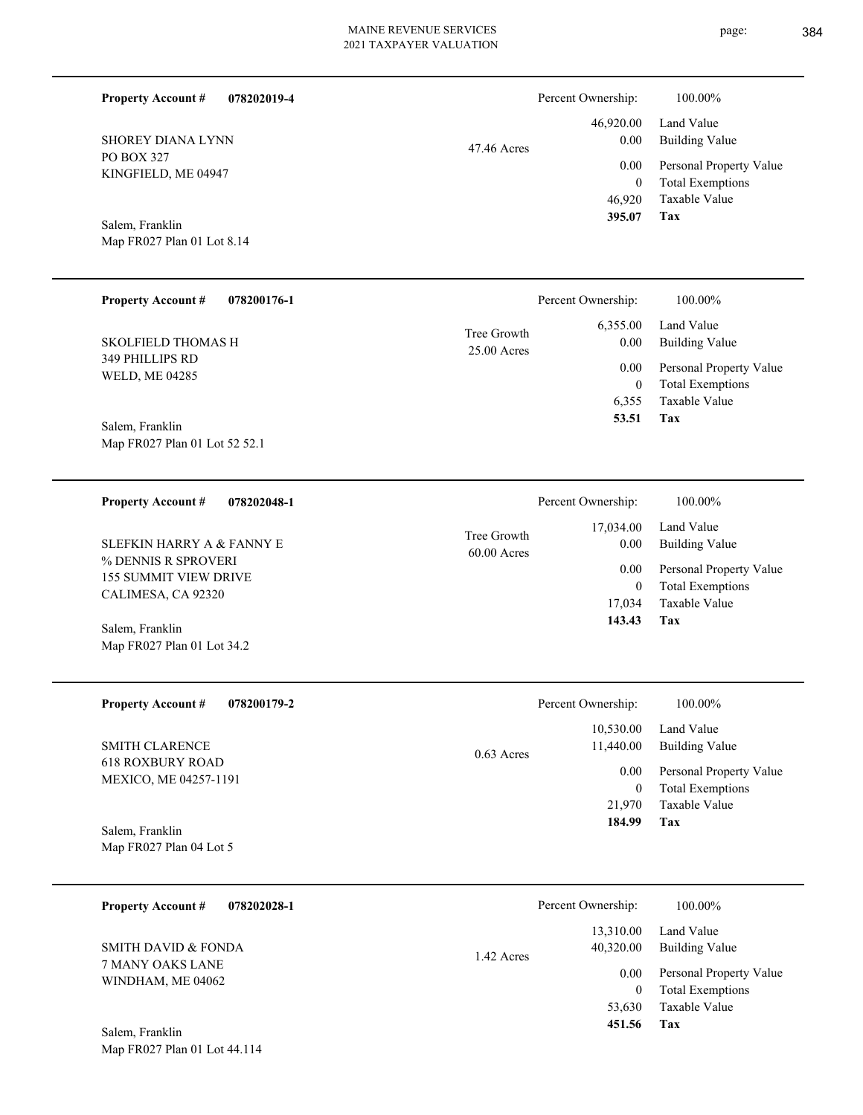| <b>Property Account #</b><br>078202019-4            |                              | Percent Ownership:       | 100.00%                                            |
|-----------------------------------------------------|------------------------------|--------------------------|----------------------------------------------------|
| <b>SHOREY DIANA LYNN</b>                            | 47.46 Acres                  | 46,920.00<br>0.00        | Land Value<br><b>Building Value</b>                |
| <b>PO BOX 327</b><br>KINGFIELD, ME 04947            |                              | 0.00<br>$\mathbf{0}$     | Personal Property Value<br><b>Total Exemptions</b> |
| Salem, Franklin                                     |                              | 46,920<br>395.07         | Taxable Value<br>Tax                               |
| Map FR027 Plan 01 Lot 8.14                          |                              |                          |                                                    |
| <b>Property Account #</b><br>078200176-1            |                              | Percent Ownership:       | 100.00%                                            |
| <b>SKOLFIELD THOMAS H</b>                           | Tree Growth<br>25.00 Acres   | 6,355.00<br>0.00         | Land Value<br><b>Building Value</b>                |
| 349 PHILLIPS RD<br>WELD, ME 04285                   |                              | 0.00<br>$\boldsymbol{0}$ | Personal Property Value<br><b>Total Exemptions</b> |
| Salem, Franklin                                     |                              | 6,355<br>53.51           | Taxable Value<br>Tax                               |
| Map FR027 Plan 01 Lot 52 52.1                       |                              |                          |                                                    |
| <b>Property Account #</b><br>078202048-1            |                              | Percent Ownership:       | 100.00%                                            |
| <b>SLEFKIN HARRY A &amp; FANNY E</b>                | Tree Growth<br>$60.00$ Acres | 17,034.00<br>0.00        | Land Value<br><b>Building Value</b>                |
| % DENNIS R SPROVERI<br><b>155 SUMMIT VIEW DRIVE</b> |                              | 0.00<br>$\overline{0}$   | Personal Property Value<br><b>Total Exemptions</b> |
| CALIMESA, CA 92320<br>Salem, Franklin               | 17,034<br>143.43             | Taxable Value<br>Tax     |                                                    |
| Map FR027 Plan 01 Lot 34.2                          |                              |                          |                                                    |
| <b>Property Account # 078200179-2</b>               |                              | Percent Ownership:       | 100.00%                                            |
| SMITH CLARENCE                                      | 0.63 Acres                   | 10,530.00<br>11,440.00   | Land Value<br><b>Building Value</b>                |
| <b>618 ROXBURY ROAD</b><br>MEXICO, ME 04257-1191    |                              | 0.00<br>$\mathbf{0}$     | Personal Property Value<br><b>Total Exemptions</b> |
| Salem, Franklin                                     |                              | 21,970<br>184.99         | Taxable Value<br>Tax                               |
| Map FR027 Plan 04 Lot 5                             |                              |                          |                                                    |
| <b>Property Account #</b><br>078202028-1            |                              | Percent Ownership:       | 100.00%                                            |
| <b>SMITH DAVID &amp; FONDA</b>                      |                              | 13,310.00<br>40,320.00   | Land Value<br><b>Building Value</b>                |
| 7 MANY OAKS LANE<br>WINDHAM, ME 04062               | 1.42 Acres                   | 0.00<br>$\mathbf{0}$     | Personal Property Value<br><b>Total Exemptions</b> |
|                                                     |                              | 53,630<br>451.56         | Taxable Value<br><b>Tax</b>                        |

Map FR027 Plan 01 Lot 44.114 Salem, Franklin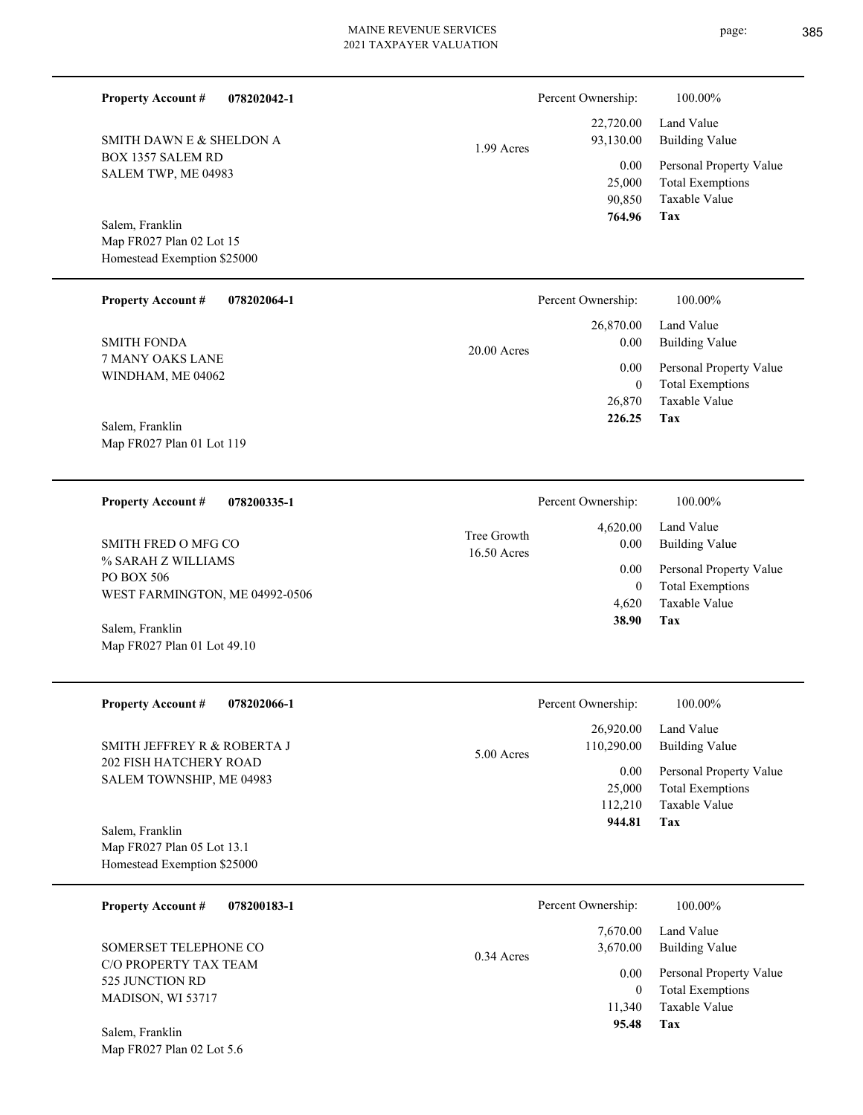| <b>Property Account #</b><br>078202042-1                                         |                            | Percent Ownership:                  | 100.00%                                                                    |
|----------------------------------------------------------------------------------|----------------------------|-------------------------------------|----------------------------------------------------------------------------|
| SMITH DAWN E & SHELDON A                                                         | 1.99 Acres                 | 22,720.00<br>93,130.00              | Land Value<br><b>Building Value</b>                                        |
| <b>BOX 1357 SALEM RD</b><br>SALEM TWP, ME 04983                                  |                            | 0.00<br>25,000<br>90,850            | Personal Property Value<br><b>Total Exemptions</b><br>Taxable Value        |
| Salem, Franklin<br>Map FR027 Plan 02 Lot 15<br>Homestead Exemption \$25000       |                            | 764.96                              | <b>Tax</b>                                                                 |
| <b>Property Account #</b><br>078202064-1                                         |                            | Percent Ownership:                  | 100.00%                                                                    |
| <b>SMITH FONDA</b>                                                               | $20.00$ Acres              | 26,870.00<br>0.00                   | Land Value<br><b>Building Value</b>                                        |
| 7 MANY OAKS LANE<br>WINDHAM, ME 04062                                            |                            | 0.00<br>$\mathbf{0}$<br>26,870      | Personal Property Value<br><b>Total Exemptions</b><br>Taxable Value        |
| Salem, Franklin<br>Map FR027 Plan 01 Lot 119                                     |                            | 226.25                              | Tax                                                                        |
| <b>Property Account #</b><br>078200335-1                                         |                            | Percent Ownership:                  | 100.00%                                                                    |
| <b>SMITH FRED O MFG CO</b>                                                       | Tree Growth<br>16.50 Acres | 4,620.00<br>0.00                    | Land Value<br><b>Building Value</b>                                        |
| % SARAH Z WILLIAMS<br>PO BOX 506                                                 |                            | 0.00<br>$\mathbf{0}$                | Personal Property Value<br><b>Total Exemptions</b>                         |
| WEST FARMINGTON, ME 04992-0506<br>Salem, Franklin<br>Map FR027 Plan 01 Lot 49.10 |                            | 4,620<br>38.90                      | Taxable Value<br>Tax                                                       |
| 078202066-1<br><b>Property Account #</b>                                         |                            | Percent Ownership:                  | 100.00%                                                                    |
| SMITH JEFFREY R & ROBERTA J                                                      | 5.00 Acres                 | 26,920.00<br>110,290.00             | Land Value<br><b>Building Value</b>                                        |
| 202 FISH HATCHERY ROAD<br>SALEM TOWNSHIP, ME 04983                               |                            | 0.00<br>25,000<br>112,210<br>944.81 | Personal Property Value<br><b>Total Exemptions</b><br>Taxable Value<br>Tax |
| Salem, Franklin<br>Map FR027 Plan 05 Lot 13.1<br>Homestead Exemption \$25000     |                            |                                     |                                                                            |
| <b>Property Account #</b><br>078200183-1                                         |                            | Percent Ownership:                  | 100.00%                                                                    |
| SOMERSET TELEPHONE CO                                                            | $0.34$ Acres               | 7,670.00<br>3,670.00                | Land Value<br><b>Building Value</b>                                        |
| C/O PROPERTY TAX TEAM<br>525 JUNCTION RD<br>MADISON, WI 53717                    |                            | 0.00<br>$\overline{0}$<br>11,340    | Personal Property Value<br><b>Total Exemptions</b><br>Taxable Value        |
| Salem, Franklin<br>Map FR027 Plan 02 Lot 5.6                                     |                            | 95.48                               | Tax                                                                        |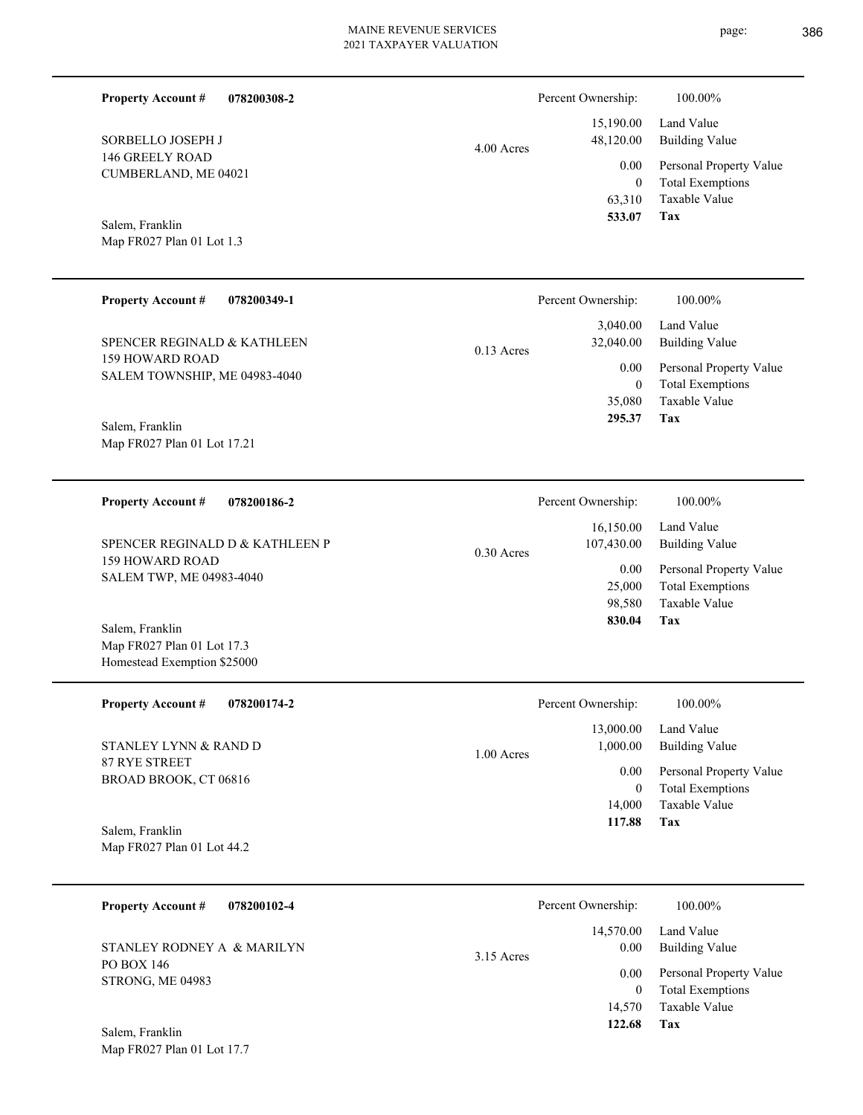page: 386

| <b>Property Account #</b><br>078200308-2                |              | Percent Ownership:                       | 100.00%                                                                    |
|---------------------------------------------------------|--------------|------------------------------------------|----------------------------------------------------------------------------|
| SORBELLO JOSEPH J                                       | $4.00$ Acres | 15,190.00<br>48,120.00                   | Land Value<br><b>Building Value</b>                                        |
| <b>146 GREELY ROAD</b><br>CUMBERLAND, ME 04021          |              | 0.00<br>$\overline{0}$<br>63,310         | Personal Property Value<br><b>Total Exemptions</b><br>Taxable Value        |
| Salem, Franklin<br>Map FR027 Plan 01 Lot 1.3            |              | 533.07                                   | <b>Tax</b>                                                                 |
| <b>Property Account #</b><br>078200349-1                |              | Percent Ownership:                       | 100.00%                                                                    |
| SPENCER REGINALD & KATHLEEN                             | $0.13$ Acres | 3,040.00<br>32,040.00                    | Land Value<br><b>Building Value</b>                                        |
| <b>159 HOWARD ROAD</b><br>SALEM TOWNSHIP, ME 04983-4040 |              | 0.00<br>$\mathbf{0}$<br>35,080           | Personal Property Value<br><b>Total Exemptions</b><br>Taxable Value        |
| Salem, Franklin<br>Map FR027 Plan 01 Lot 17.21          |              | 295.37                                   | Tax                                                                        |
| <b>Property Account #</b><br>078200186-2                |              | Percent Ownership:                       | 100.00%                                                                    |
| SPENCER REGINALD D & KATHLEEN P                         | $0.30$ Acres | 16,150.00<br>107,430.00                  | Land Value<br><b>Building Value</b>                                        |
| <b>159 HOWARD ROAD</b><br>SALEM TWP, ME 04983-4040      |              | 0.00<br>25,000<br>98,580<br>830.04       | Personal Property Value<br><b>Total Exemptions</b><br>Taxable Value<br>Tax |
| Salem, Franklin<br>Map FR027 Plan 01 Lot 17.3           |              |                                          |                                                                            |
| Homestead Exemption \$25000                             |              |                                          |                                                                            |
| <b>Property Account #</b><br>078200174-2                |              | Percent Ownership:                       | 100.00%                                                                    |
| STANLEY LYNN & RAND D                                   | 1.00 Acres   | 13,000.00<br>1,000.00                    | Land Value<br><b>Building Value</b>                                        |
| 87 RYE STREET<br>BROAD BROOK, CT 06816                  |              | 0.00<br>$\mathbf{0}$<br>14,000<br>117.88 | Personal Property Value<br><b>Total Exemptions</b><br>Taxable Value<br>Tax |
| Salem, Franklin<br>Map FR027 Plan 01 Lot 44.2           |              |                                          |                                                                            |
| <b>Property Account #</b><br>078200102-4                |              | Percent Ownership:                       | 100.00%                                                                    |
| STANLEY RODNEY A & MARILYN                              | 3.15 Acres   | 14,570.00<br>0.00                        | Land Value<br><b>Building Value</b>                                        |
| PO BOX 146<br>STRONG, ME 04983                          |              | 0.00                                     | Personal Property Value                                                    |
|                                                         |              | $\mathbf{0}$<br>14,570                   | <b>Total Exemptions</b><br>Taxable Value                                   |
| Salem, Franklin<br>Map FR027 Plan 01 Lot 17.7           |              | 122.68                                   | Tax                                                                        |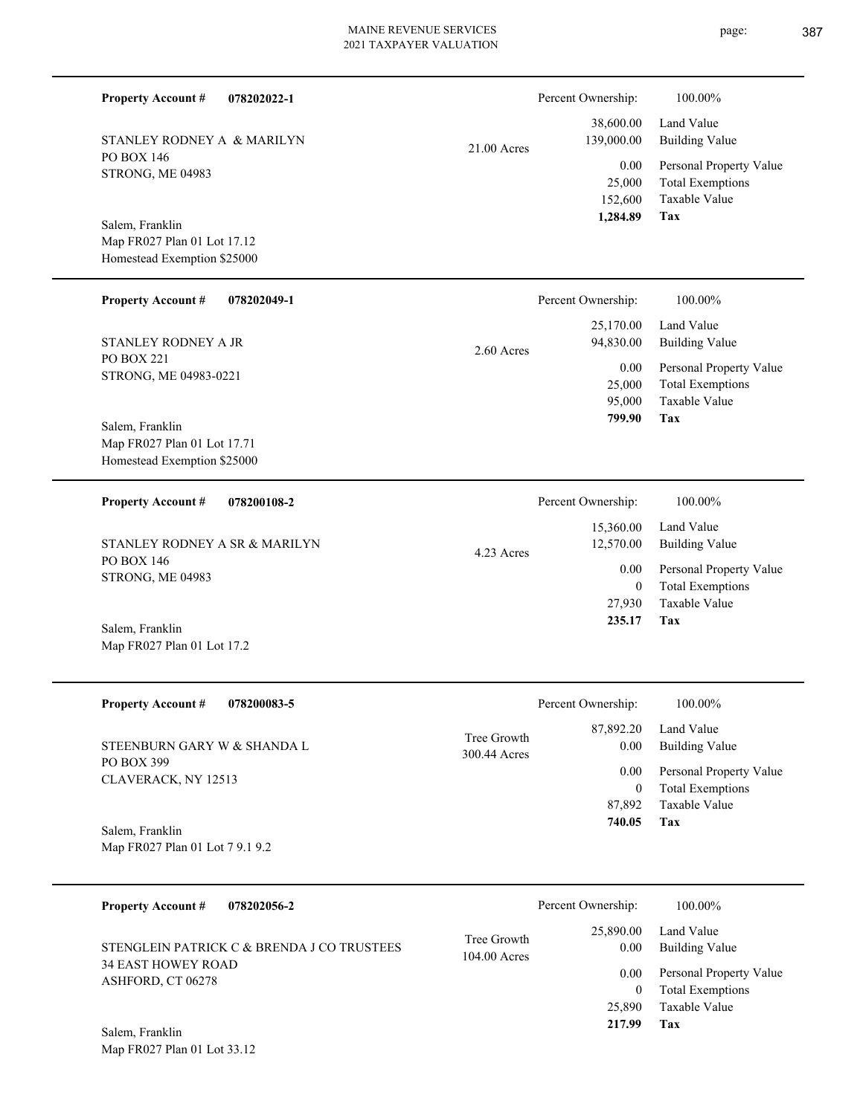| <b>Property Account #</b><br>078202022-1                                      |                               | Percent Ownership:                     | 100.00%                                                                           |
|-------------------------------------------------------------------------------|-------------------------------|----------------------------------------|-----------------------------------------------------------------------------------|
| STANLEY RODNEY A & MARILYN                                                    | 21.00 Acres                   | 38,600.00<br>139,000.00                | Land Value<br><b>Building Value</b>                                               |
| PO BOX 146<br>STRONG, ME 04983                                                |                               | 0.00<br>25,000<br>152,600              | Personal Property Value<br><b>Total Exemptions</b><br>Taxable Value               |
| Salem, Franklin<br>Map FR027 Plan 01 Lot 17.12<br>Homestead Exemption \$25000 |                               | 1,284.89                               | Tax                                                                               |
| <b>Property Account #</b><br>078202049-1                                      |                               | Percent Ownership:                     | 100.00%                                                                           |
| STANLEY RODNEY A JR                                                           | $2.60$ Acres                  | 25,170.00<br>94,830.00                 | Land Value<br><b>Building Value</b>                                               |
| PO BOX 221<br>STRONG, ME 04983-0221                                           |                               | 0.00<br>25,000<br>95,000<br>799.90     | Personal Property Value<br><b>Total Exemptions</b><br><b>Taxable Value</b><br>Tax |
| Salem, Franklin<br>Map FR027 Plan 01 Lot 17.71<br>Homestead Exemption \$25000 |                               |                                        |                                                                                   |
| <b>Property Account #</b><br>078200108-2                                      |                               | Percent Ownership:                     | 100.00%                                                                           |
| STANLEY RODNEY A SR & MARILYN                                                 | 4.23 Acres                    | 15,360.00<br>12,570.00                 | Land Value<br><b>Building Value</b>                                               |
| PO BOX 146<br>STRONG, ME 04983                                                |                               | $0.00\,$<br>$\overline{0}$             | Personal Property Value<br><b>Total Exemptions</b>                                |
| Salem, Franklin<br>Map FR027 Plan 01 Lot 17.2                                 |                               | 27,930<br>235.17                       | <b>Taxable Value</b><br>Tax                                                       |
| <b>Property Account #</b><br>078200083-5                                      |                               | Percent Ownership:                     | 100.00%                                                                           |
| STEENBURN GARY W & SHANDA L                                                   | Tree Growth<br>300.44 Acres   | 87,892.20<br>0.00                      | Land Value<br><b>Building Value</b>                                               |
| PO BOX 399<br>CLAVERACK, NY 12513                                             |                               | 0.00<br>$\boldsymbol{0}$               | Personal Property Value<br><b>Total Exemptions</b>                                |
| Salem, Franklin<br>Map FR027 Plan 01 Lot 7 9.1 9.2                            |                               | 87,892<br>740.05                       | Taxable Value<br>Tax                                                              |
| <b>Property Account #</b><br>078202056-2                                      |                               | Percent Ownership:                     | 100.00%                                                                           |
| STENGLEIN PATRICK C & BRENDA J CO TRUSTEES                                    | Tree Growth<br>$104.00$ Acres | 25,890.00<br>0.00                      | Land Value<br><b>Building Value</b>                                               |
| <b>34 EAST HOWEY ROAD</b><br>ASHFORD, CT 06278                                |                               | $0.00\,$<br>$\boldsymbol{0}$<br>25,890 | Personal Property Value<br><b>Total Exemptions</b><br>Taxable Value               |
|                                                                               |                               | 217.99                                 | Tax                                                                               |

Map FR027 Plan 01 Lot 33.12 Salem, Franklin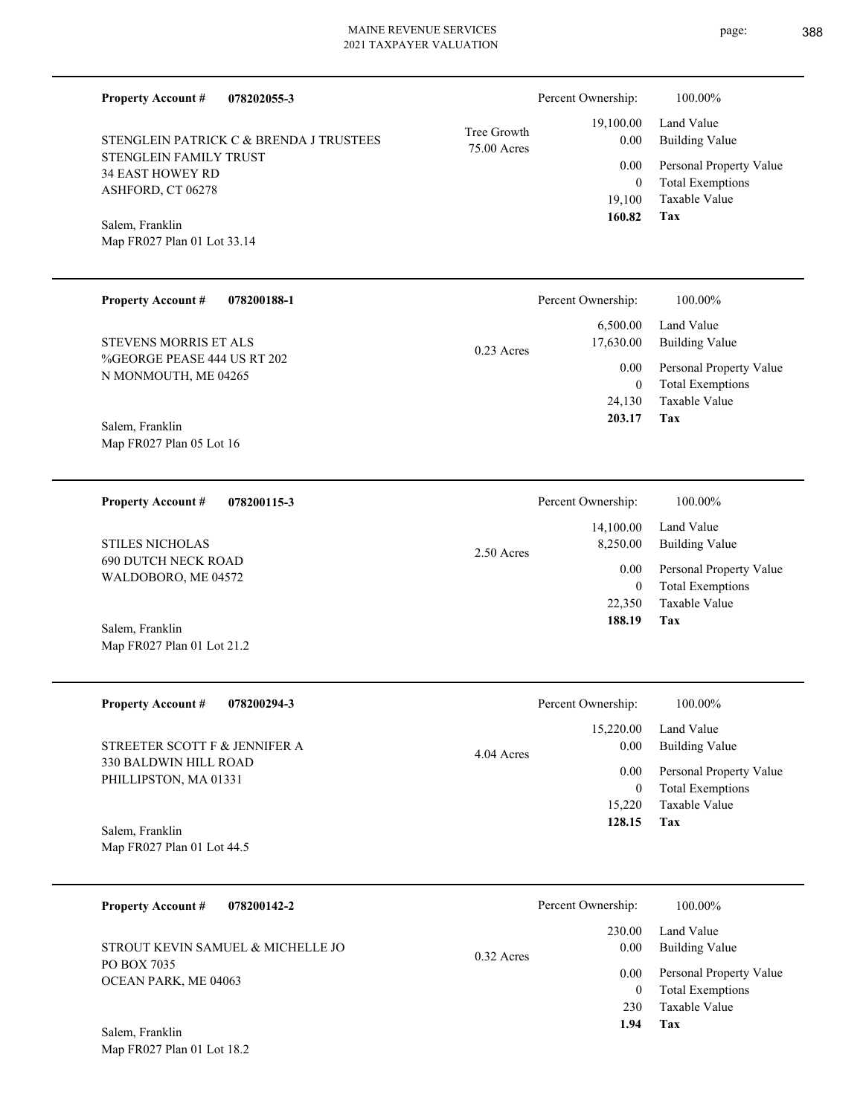| <b>Property Account #</b><br>078202055-3            |                            | Percent Ownership:       | 100.00%                                         |
|-----------------------------------------------------|----------------------------|--------------------------|-------------------------------------------------|
| STENGLEIN PATRICK C & BRENDA J TRUSTEES             | Tree Growth<br>75.00 Acres | 19,100.00<br>0.00        | Land Value<br><b>Building Value</b>             |
| STENGLEIN FAMILY TRUST<br><b>34 EAST HOWEY RD</b>   |                            | 0.00                     | Personal Property Value                         |
| ASHFORD, CT 06278                                   |                            | $\mathbf{0}$<br>19,100   | <b>Total Exemptions</b><br>Taxable Value        |
| Salem, Franklin                                     |                            | 160.82                   | Tax                                             |
| Map FR027 Plan 01 Lot 33.14                         |                            |                          |                                                 |
| <b>Property Account #</b><br>078200188-1            |                            | Percent Ownership:       | 100.00%                                         |
| <b>STEVENS MORRIS ET ALS</b>                        | $0.23$ Acres               | 6,500.00<br>17,630.00    | Land Value<br><b>Building Value</b>             |
| %GEORGE PEASE 444 US RT 202<br>N MONMOUTH, ME 04265 |                            | 0.00                     | Personal Property Value                         |
|                                                     |                            | $\overline{0}$<br>24,130 | <b>Total Exemptions</b><br><b>Taxable Value</b> |
| Salem, Franklin                                     |                            | 203.17                   | Tax                                             |
| Map FR027 Plan 05 Lot 16                            |                            |                          |                                                 |
| <b>Property Account #</b><br>078200115-3            |                            | Percent Ownership:       | 100.00%                                         |
| <b>STILES NICHOLAS</b>                              | 2.50 Acres                 | 14,100.00<br>8,250.00    | Land Value<br><b>Building Value</b>             |
| <b>690 DUTCH NECK ROAD</b><br>WALDOBORO, ME 04572   |                            | 0.00                     | Personal Property Value                         |
|                                                     |                            | $\overline{0}$<br>22,350 | <b>Total Exemptions</b><br>Taxable Value        |
| Salem, Franklin                                     |                            | 188.19                   | Tax                                             |
| Map FR027 Plan 01 Lot 21.2                          |                            |                          |                                                 |
| <b>Property Account #</b><br>078200294-3            |                            | Percent Ownership:       | 100.00%                                         |
| STREETER SCOTT F & JENNIFER A                       | 4.04 Acres                 | 15,220.00<br>$0.00\,$    | Land Value<br><b>Building Value</b>             |
| 330 BALDWIN HILL ROAD<br>PHILLIPSTON, MA 01331      |                            | $0.00\,$                 | Personal Property Value                         |
|                                                     |                            | $\overline{0}$<br>15,220 | <b>Total Exemptions</b><br>Taxable Value        |
| Salem, Franklin                                     |                            | 128.15                   | Tax                                             |
| Map FR027 Plan 01 Lot 44.5                          |                            |                          |                                                 |
| <b>Property Account #</b><br>078200142-2            |                            | Percent Ownership:       | 100.00%                                         |
| STROUT KEVIN SAMUEL & MICHELLE JO                   | $0.32$ Acres               | 230.00<br>$0.00\,$       | Land Value<br><b>Building Value</b>             |
| PO BOX 7035<br>OCEAN PARK, ME 04063                 |                            | $0.00\,$                 | Personal Property Value                         |
|                                                     |                            | $\overline{0}$<br>230    | <b>Total Exemptions</b><br>Taxable Value        |
|                                                     |                            | 1.94                     | Tax                                             |

Map FR027 Plan 01 Lot 18.2 Salem, Franklin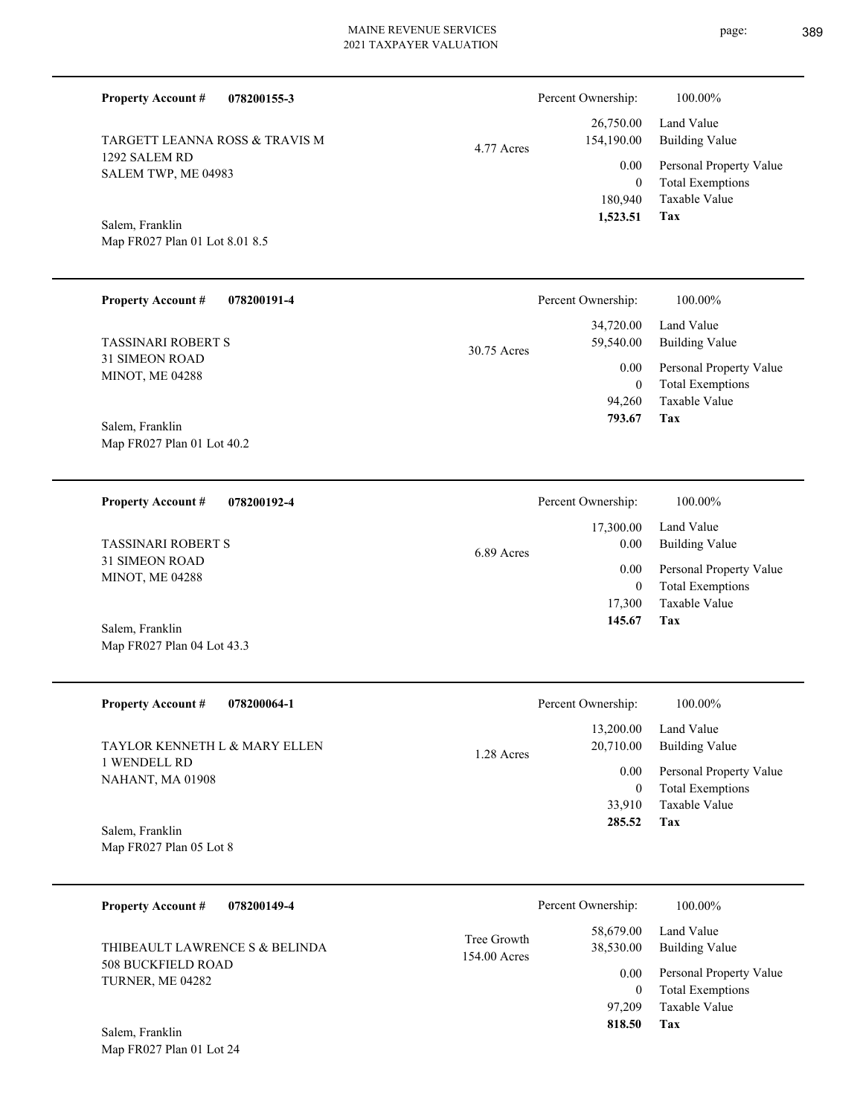SALEM TWP, ME 04983 Map FR027 Plan 01 Lot 8.01 8.5 **078200191-4** TASSINARI ROBERT S 34,720.00 59,540.00 30.75 Acres Percent Ownership: 100.00%

Map FR027 Plan 01 Lot 40.2 Salem, Franklin

1292 SALEM RD

Salem, Franklin

31 SIMEON ROAD MINOT, ME 04288

**Property Account #**

**Property Account #**

**078200192-4 Property Account #**

**078200155-3**

TARGETT LEANNA ROSS & TRAVIS M

31 SIMEON ROAD MINOT, ME 04288 TASSINARI ROBERT S

Map FR027 Plan 04 Lot 43.3 Salem, Franklin

| <b>Property Account #</b><br>078200064-1                 | Percent Ownership:      | 100.00%                 |
|----------------------------------------------------------|-------------------------|-------------------------|
|                                                          | 13,200.00               | Land Value              |
| <b>TAYLOR KENNETH L &amp; MARY ELLEN</b><br>I WENDELL RD | 20,710.00<br>1.28 Acres | Building Value          |
| <b>NAHANT, MA 01908</b>                                  | 0.00                    | Personal Property Value |
|                                                          | $\bf{0}$                | <b>Total Exemptions</b> |
|                                                          | 33,910                  | Taxable Value           |
| Salem, Franklin                                          | 285.52                  | Tax                     |
| Map FR027 Plan 05 Lot 8                                  |                         |                         |

| 078200149-4<br><b>Property Account #</b>      | Percent Ownership:          |                        | 100.00%                             |
|-----------------------------------------------|-----------------------------|------------------------|-------------------------------------|
| THIBEAULT LAWRENCE S & BELINDA                | Tree Growth<br>154.00 Acres | 58.679.00<br>38,530.00 | Land Value<br><b>Building Value</b> |
| <b>508 BUCKFIELD ROAD</b><br>TURNER, ME 04282 |                             | 0.00                   | Personal Property Value             |
|                                               |                             |                        | <b>Total Exemptions</b>             |
|                                               |                             | 97.209                 | Taxable Value                       |
| Salem, Franklin                               |                             | 818.50                 | Tax                                 |

|            | Percent Ownership: | 100.00%                 |
|------------|--------------------|-------------------------|
|            | 26,750.00          | Land Value              |
| 4.77 Acres | 154,190.00         | Building Value          |
|            | 0.00               | Personal Property Value |
|            | 0                  | <b>Total Exemptions</b> |
|            | 180,940            | Taxable Value           |
|            | 1,523.51           | Tax                     |

Taxable Value Total Exemptions Personal Property Value Building Value Land Value 17,300 0 17,300.00 0.00 0.00 6.89 Acres Percent Ownership:  $100.00\%$ 

**Tax**

 94,260  $\boldsymbol{0}$ 

0.00

 **793.67**

Taxable Value Total Exemptions Personal Property Value

Building Value Land Value

**Tax 145.67**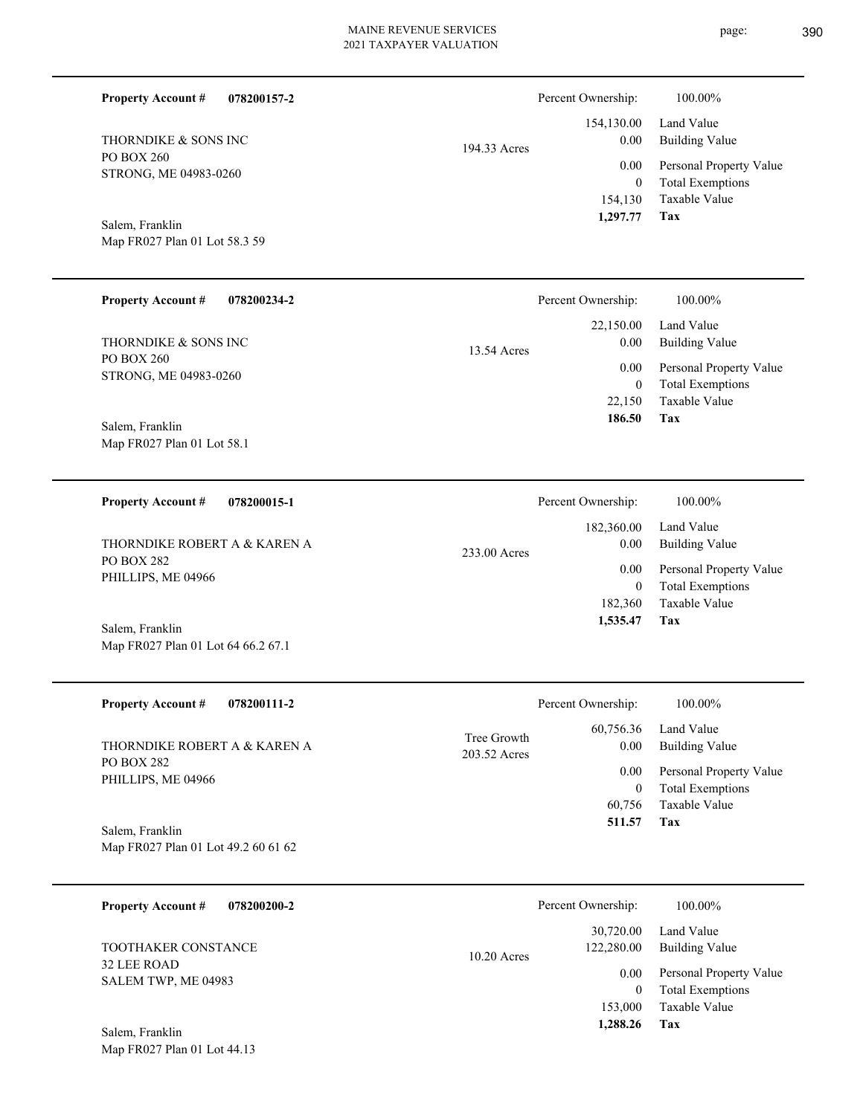**078200157-2**

**Property Account #**

Percent Ownership:  $100.00\%$ 

| THORNDIKE & SONS INC<br>PO BOX 260<br>STRONG, ME 04983-0260<br>Salem, Franklin<br>Map FR027 Plan 01 Lot 58.3 59 | 194.33 Acres                | 154,130.00<br>0.00<br>0.00<br>$\boldsymbol{0}$<br>154,130<br>1,297.77      | Land Value<br><b>Building Value</b><br>Personal Property Value<br><b>Total Exemptions</b><br>Taxable Value<br>Tax        |
|-----------------------------------------------------------------------------------------------------------------|-----------------------------|----------------------------------------------------------------------------|--------------------------------------------------------------------------------------------------------------------------|
| <b>Property Account #</b><br>078200234-2                                                                        |                             | Percent Ownership:                                                         | 100.00%                                                                                                                  |
| THORNDIKE & SONS INC<br>PO BOX 260<br>STRONG, ME 04983-0260                                                     | 13.54 Acres                 | 22,150.00<br>0.00<br>0.00<br>$\boldsymbol{0}$<br>22,150                    | Land Value<br><b>Building Value</b><br>Personal Property Value<br><b>Total Exemptions</b><br>Taxable Value               |
| Salem, Franklin<br>Map FR027 Plan 01 Lot 58.1                                                                   |                             | 186.50                                                                     | Tax                                                                                                                      |
| <b>Property Account #</b><br>078200015-1                                                                        |                             | Percent Ownership:                                                         | 100.00%                                                                                                                  |
| THORNDIKE ROBERT A & KAREN A<br><b>PO BOX 282</b><br>PHILLIPS, ME 04966                                         | 233.00 Acres                | 182,360.00<br>0.00<br>0.00<br>$\boldsymbol{0}$<br>182,360                  | Land Value<br><b>Building Value</b><br>Personal Property Value<br><b>Total Exemptions</b><br>Taxable Value               |
| Salem, Franklin<br>Map FR027 Plan 01 Lot 64 66.2 67.1                                                           |                             | 1,535.47                                                                   | Tax                                                                                                                      |
| <b>Property Account #</b><br>078200111-2                                                                        |                             | Percent Ownership:                                                         | 100.00%                                                                                                                  |
| THORNDIKE ROBERT A & KAREN A<br>PO BOX 282<br>PHILLIPS, ME 04966                                                | Tree Growth<br>203.52 Acres | 60,756.36<br>$0.00\,$<br>0.00<br>$\boldsymbol{0}$<br>60,756<br>511.57      | Land Value<br><b>Building Value</b><br>Personal Property Value<br><b>Total Exemptions</b><br>Taxable Value<br>Tax        |
| Salem, Franklin<br>Map FR027 Plan 01 Lot 49.2 60 61 62                                                          |                             |                                                                            |                                                                                                                          |
| <b>Property Account #</b><br>078200200-2                                                                        |                             | Percent Ownership:                                                         | 100.00%                                                                                                                  |
| TOOTHAKER CONSTANCE<br>32 LEE ROAD<br>SALEM TWP, ME 04983<br>Salem, Franklin                                    | 10.20 Acres                 | 30,720.00<br>122,280.00<br>0.00<br>$\boldsymbol{0}$<br>153,000<br>1,288.26 | Land Value<br><b>Building Value</b><br>Personal Property Value<br><b>Total Exemptions</b><br>Taxable Value<br><b>Tax</b> |
| Map FR027 Plan 01 Lot 44.13                                                                                     |                             |                                                                            |                                                                                                                          |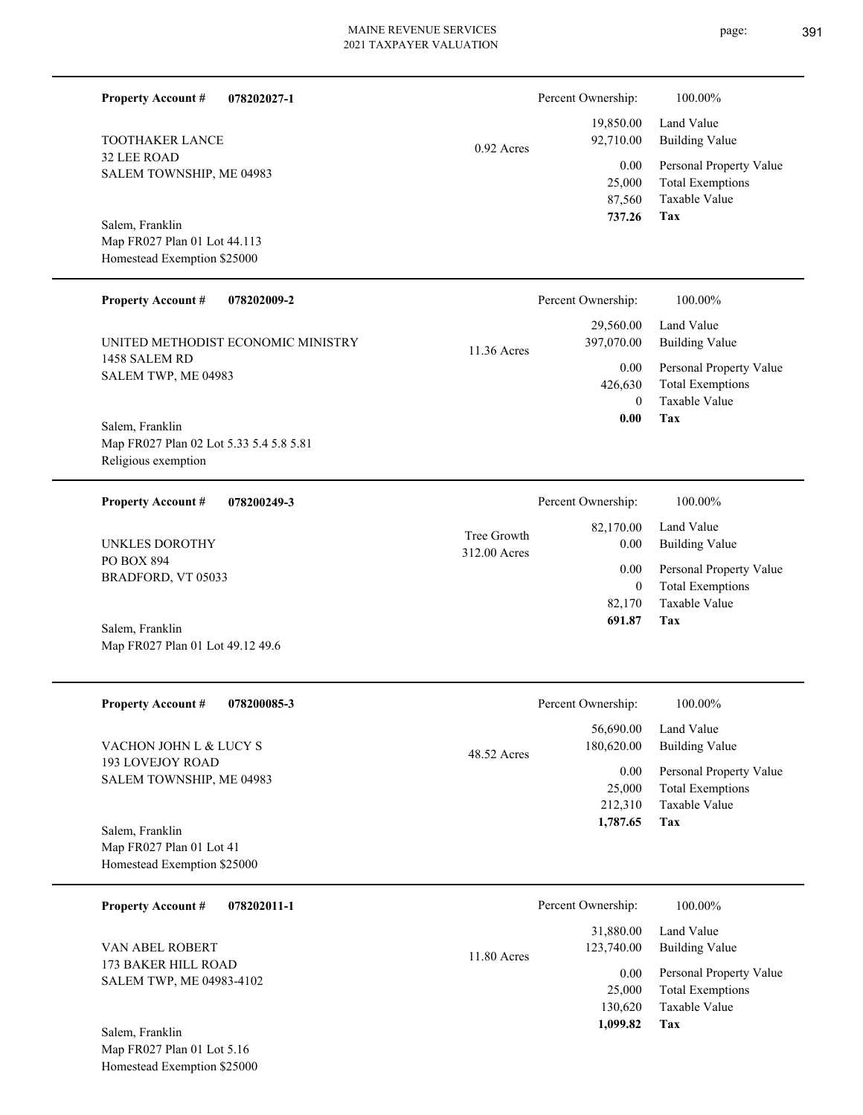| <b>Property Account #</b><br>078202027-1                                          |                             | Percent Ownership:                         | 100.00%                                                                    |
|-----------------------------------------------------------------------------------|-----------------------------|--------------------------------------------|----------------------------------------------------------------------------|
| <b>TOOTHAKER LANCE</b>                                                            | $0.92$ Acres                | 19,850.00<br>92,710.00                     | Land Value<br><b>Building Value</b>                                        |
| <b>32 LEE ROAD</b><br>SALEM TOWNSHIP, ME 04983                                    |                             | 0.00<br>25,000<br>87,560<br>737.26         | Personal Property Value<br><b>Total Exemptions</b><br>Taxable Value<br>Tax |
| Salem, Franklin<br>Map FR027 Plan 01 Lot 44.113<br>Homestead Exemption \$25000    |                             |                                            |                                                                            |
| <b>Property Account #</b><br>078202009-2                                          |                             | Percent Ownership:                         | 100.00%                                                                    |
| UNITED METHODIST ECONOMIC MINISTRY                                                | 11.36 Acres                 | 29,560.00<br>397,070.00                    | Land Value<br><b>Building Value</b>                                        |
| 1458 SALEM RD<br>SALEM TWP, ME 04983                                              |                             | 0.00<br>426,630<br>$\theta$                | Personal Property Value<br><b>Total Exemptions</b><br>Taxable Value        |
| Salem, Franklin<br>Map FR027 Plan 02 Lot 5.33 5.4 5.8 5.81<br>Religious exemption |                             | 0.00                                       | Tax                                                                        |
| <b>Property Account #</b><br>078200249-3                                          |                             | Percent Ownership:                         | 100.00%                                                                    |
| UNKLES DOROTHY                                                                    | Tree Growth<br>312.00 Acres | 82,170.00<br>0.00                          | Land Value<br><b>Building Value</b>                                        |
| PO BOX 894<br>BRADFORD, VT 05033                                                  |                             | 0.00<br>$\overline{0}$<br>82,170<br>691.87 | Personal Property Value<br><b>Total Exemptions</b><br>Taxable Value<br>Tax |
| Salem, Franklin<br>Map FR027 Plan 01 Lot 49.12 49.6                               |                             |                                            |                                                                            |
| <b>Property Account #</b><br>078200085-3                                          |                             | Percent Ownership:                         | 100.00%                                                                    |
| VACHON JOHN L & LUCY S                                                            | 48.52 Acres                 | 56,690.00<br>180,620.00                    | Land Value<br><b>Building Value</b>                                        |
| 193 LOVEJOY ROAD<br>SALEM TOWNSHIP, ME 04983<br>Salem, Franklin                   |                             | 0.00<br>25,000<br>212,310<br>1,787.65      | Personal Property Value<br><b>Total Exemptions</b><br>Taxable Value<br>Tax |
| Map FR027 Plan 01 Lot 41<br>Homestead Exemption \$25000                           |                             |                                            |                                                                            |
| <b>Property Account #</b><br>078202011-1                                          |                             | Percent Ownership:                         | 100.00%                                                                    |
| VAN ABEL ROBERT                                                                   | 11.80 Acres                 | 31,880.00<br>123,740.00                    | Land Value<br><b>Building Value</b>                                        |
| 173 BAKER HILL ROAD<br>SALEM TWP, ME 04983-4102                                   |                             | 0.00<br>25,000<br>130,620<br>1,099.82      | Personal Property Value<br><b>Total Exemptions</b><br>Taxable Value<br>Tax |
| Salem, Franklin<br>Map FR027 Plan 01 Lot 5.16<br>Homestead Exemption \$25000      |                             |                                            |                                                                            |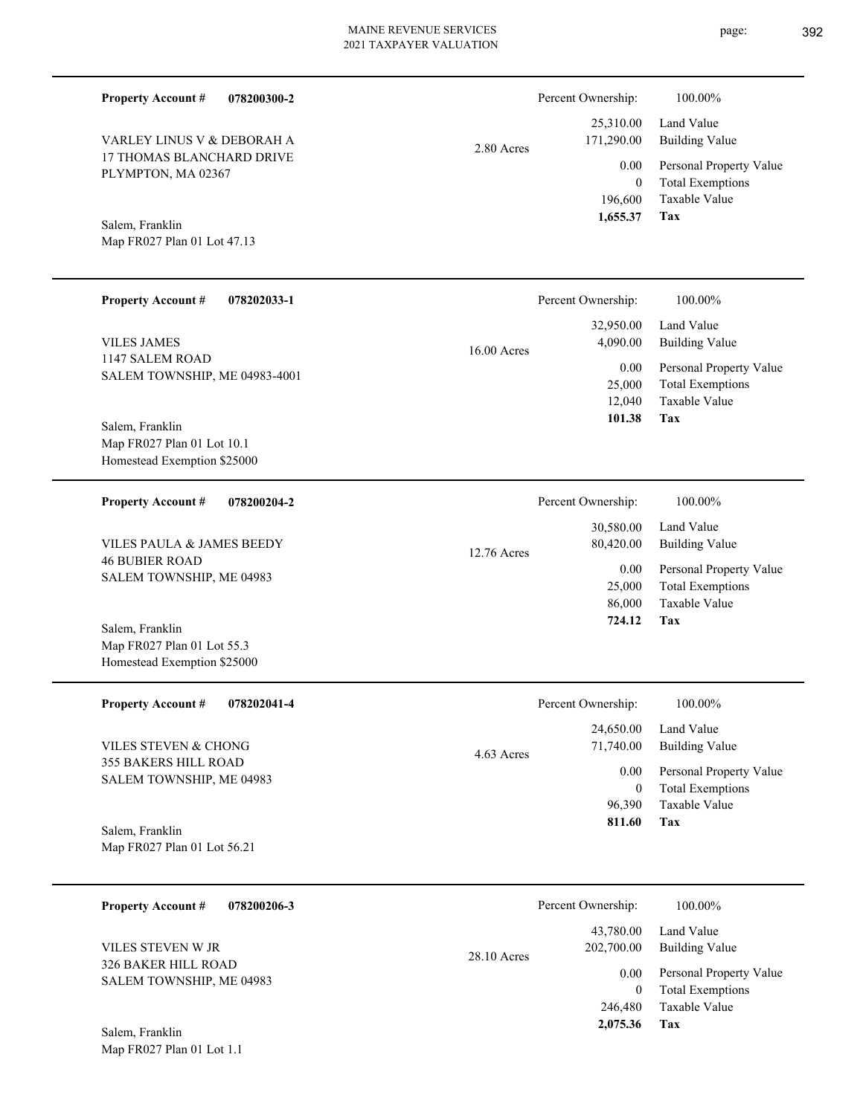**078200300-2**

17 THOMAS BLANCHARD DRIVE PLYMPTON, MA 02367 VARLEY LINUS V & DEBORAH A

Map FR027 Plan 01 Lot 47.13 Salem, Franklin

**Property Account #**

#### **078202033-1 Tax** Taxable Value Total Exemptions Personal Property Value Building Value Land Value 1147 SALEM ROAD SALEM TOWNSHIP, ME 04983-4001 **Property Account #** Map FR027 Plan 01 Lot 10.1 Homestead Exemption \$25000 Salem, Franklin VILES JAMES 12,040 25,000  **101.38** 32,950.00 4,090.00 0.00 16.00 Acres Percent Ownership: 100.00% **078200204-2** Total Exemptions Personal Property Value Building Value Land Value 46 BUBIER ROAD SALEM TOWNSHIP, ME 04983 **Property Account #** VILES PAULA & JAMES BEEDY 25,000 30,580.00 80,420.00 0.00 12.76 Acres Percent Ownership:  $100.00\%$

Map FR027 Plan 01 Lot 55.3 Homestead Exemption \$25000 Salem, Franklin

Map FR027 Plan 01 Lot 1.1

| <b>Property Account #</b><br>078202041-4                | Percent Ownership:                   | 100.00%                                            |
|---------------------------------------------------------|--------------------------------------|----------------------------------------------------|
| VILES STEVEN & CHONG                                    | 24,650.00<br>71,740.00<br>4.63 Acres | Land Value<br>Building Value                       |
| <b>355 BAKERS HILL ROAD</b><br>SALEM TOWNSHIP, ME 04983 | 0.00<br>0                            | Personal Property Value<br><b>Total Exemptions</b> |
| Salem, Franklin                                         | 96.390<br>811.60                     | Taxable Value<br>Tax                               |
| Map FR027 Plan 01 Lot 56.21                             |                                      |                                                    |

| 078200206-3<br><b>Property Account #</b>        | Percent Ownership:                       | 100.00%                                                             |
|-------------------------------------------------|------------------------------------------|---------------------------------------------------------------------|
| VILES STEVEN W JR<br><b>326 BAKER HILL ROAD</b> | 43.780.00<br>202,700.00<br>$28.10$ Acres | Land Value<br><b>Building Value</b>                                 |
| SALEM TOWNSHIP, ME 04983                        | 0.00<br>$\theta$<br>246,480              | Personal Property Value<br><b>Total Exemptions</b><br>Taxable Value |
| Salem, Franklin                                 | 2,075.36                                 | Tax                                                                 |

2.80 Acres

Taxable Value Total Exemptions Personal Property Value Building Value Land Value 196,600 0 25,310.00 171,290.00 0.00 Percent Ownership:  $100.00\%$ 

**Tax**

 **1,655.37**

**Tax** Taxable Value 86,000  **724.12**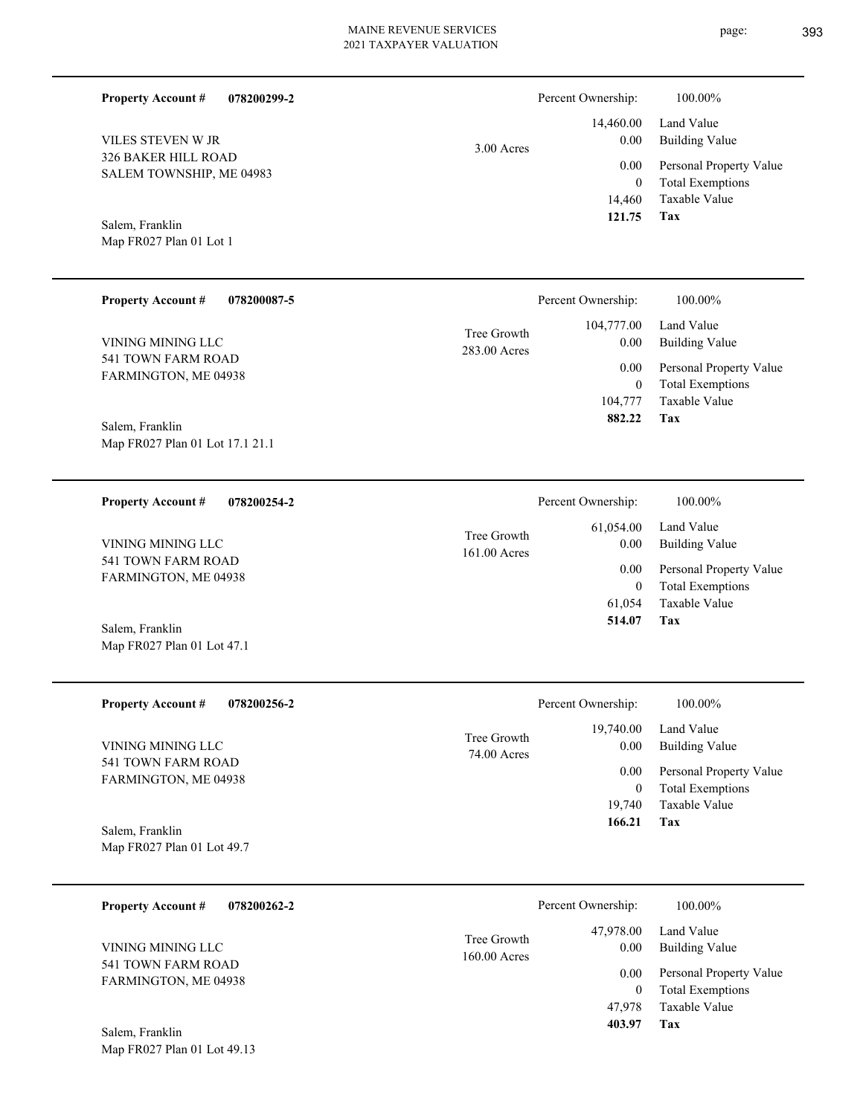**Tax**

 47,978  $\boldsymbol{0}$ 

 **403.97**

Taxable Value Total Exemptions 0.00 Personal Property Value

| <b>Property Account #</b><br>078200299-2                                                                                                                                                                                                                                                                                                                                                                                                                                                                                                   |                             | Percent Ownership:       | 100.00%                                            |
|--------------------------------------------------------------------------------------------------------------------------------------------------------------------------------------------------------------------------------------------------------------------------------------------------------------------------------------------------------------------------------------------------------------------------------------------------------------------------------------------------------------------------------------------|-----------------------------|--------------------------|----------------------------------------------------|
| VILES STEVEN W JR<br>326 BAKER HILL ROAD                                                                                                                                                                                                                                                                                                                                                                                                                                                                                                   | 3.00 Acres                  | 14,460.00<br>0.00        | Land Value<br><b>Building Value</b>                |
| SALEM TOWNSHIP, ME 04983                                                                                                                                                                                                                                                                                                                                                                                                                                                                                                                   |                             | 0.00<br>$\boldsymbol{0}$ | Personal Property Value<br><b>Total Exemptions</b> |
| Salem, Franklin                                                                                                                                                                                                                                                                                                                                                                                                                                                                                                                            |                             | 14,460<br>121.75         | Taxable Value<br><b>Tax</b>                        |
| Map FR027 Plan 01 Lot 1                                                                                                                                                                                                                                                                                                                                                                                                                                                                                                                    |                             |                          |                                                    |
| <b>Property Account #</b><br>078200087-5                                                                                                                                                                                                                                                                                                                                                                                                                                                                                                   |                             | Percent Ownership:       | 100.00%                                            |
| VINING MINING LLC                                                                                                                                                                                                                                                                                                                                                                                                                                                                                                                          | Tree Growth<br>283.00 Acres | 104,777.00<br>0.00       | Land Value<br><b>Building Value</b>                |
| 541 TOWN FARM ROAD<br>FARMINGTON, ME 04938                                                                                                                                                                                                                                                                                                                                                                                                                                                                                                 |                             | 0.00<br>$\boldsymbol{0}$ | Personal Property Value<br><b>Total Exemptions</b> |
|                                                                                                                                                                                                                                                                                                                                                                                                                                                                                                                                            |                             | 104,777<br>882.22        | <b>Taxable Value</b><br>Tax                        |
| Salem, Franklin<br>Map FR027 Plan 01 Lot 17.1 21.1                                                                                                                                                                                                                                                                                                                                                                                                                                                                                         |                             |                          |                                                    |
| <b>Property Account #</b><br>078200254-2                                                                                                                                                                                                                                                                                                                                                                                                                                                                                                   |                             | Percent Ownership:       | 100.00%                                            |
| VINING MINING LLC                                                                                                                                                                                                                                                                                                                                                                                                                                                                                                                          | Tree Growth<br>161.00 Acres | 61,054.00<br>0.00        | Land Value<br><b>Building Value</b>                |
| 541 TOWN FARM ROAD<br>FARMINGTON, ME 04938                                                                                                                                                                                                                                                                                                                                                                                                                                                                                                 |                             | 0.00<br>$\boldsymbol{0}$ | Personal Property Value<br><b>Total Exemptions</b> |
| Salem, Franklin                                                                                                                                                                                                                                                                                                                                                                                                                                                                                                                            |                             | 61,054<br>514.07         | Taxable Value<br>Tax                               |
| Map FR027 Plan 01 Lot 47.1                                                                                                                                                                                                                                                                                                                                                                                                                                                                                                                 |                             |                          |                                                    |
| <b>Property Account #</b><br>078200256-2                                                                                                                                                                                                                                                                                                                                                                                                                                                                                                   |                             | Percent Ownership:       | 100.00%                                            |
| VINING MINING LLC                                                                                                                                                                                                                                                                                                                                                                                                                                                                                                                          | Tree Growth<br>74.00 Acres  | 19,740.00<br>0.00        | Land Value<br><b>Building Value</b>                |
| 541 TOWN FARM ROAD<br>FARMINGTON, ME 04938                                                                                                                                                                                                                                                                                                                                                                                                                                                                                                 |                             | 0.00<br>$\boldsymbol{0}$ | Personal Property Value<br><b>Total Exemptions</b> |
|                                                                                                                                                                                                                                                                                                                                                                                                                                                                                                                                            |                             | 19,740<br>166.21         | Taxable Value<br>Tax                               |
| Salem, Franklin<br>Map FR027 Plan 01 Lot 49.7                                                                                                                                                                                                                                                                                                                                                                                                                                                                                              |                             |                          |                                                    |
| <b>Property Account #</b><br>078200262-2                                                                                                                                                                                                                                                                                                                                                                                                                                                                                                   |                             | Percent Ownership:       | 100.00%                                            |
| VINING MINING LLC<br>$(11 \text{ TOWATE} \times \text{DMA} \times \text{D} \times \text{D} \times \text{D} \times \text{D} \times \text{D} \times \text{D} \times \text{D} \times \text{D} \times \text{D} \times \text{D} \times \text{D} \times \text{D} \times \text{D} \times \text{D} \times \text{D} \times \text{D} \times \text{D} \times \text{D} \times \text{D} \times \text{D} \times \text{D} \times \text{D} \times \text{D} \times \text{D} \times \text{D} \times \text{D} \times \text{D} \times \text{D} \times \text{D$ | Tree Growth<br>160.00 Acres | 47,978.00<br>0.00        | Land Value<br><b>Building Value</b>                |

541 TOWN FARM ROAD FARMINGTON, ME 04938

Map FR027 Plan 01 Lot 49.13 Salem, Franklin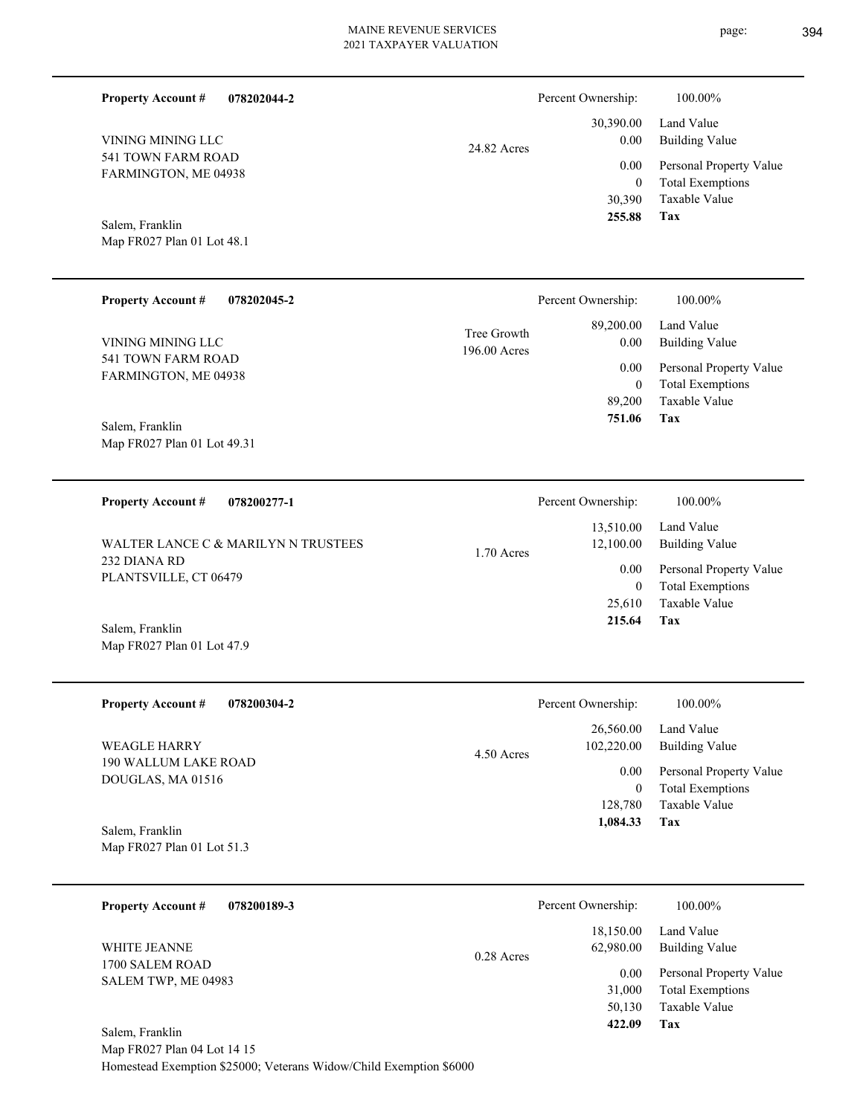| page: | 394 |
|-------|-----|
|       |     |

| <b>Property Account #</b><br>078202044-2                           |                             | Percent Ownership:                                            | 100.00%                                                                                                           |
|--------------------------------------------------------------------|-----------------------------|---------------------------------------------------------------|-------------------------------------------------------------------------------------------------------------------|
| VINING MINING LLC<br>541 TOWN FARM ROAD<br>FARMINGTON, ME 04938    | 24.82 Acres                 | 30,390.00<br>0.00<br>0.00<br>$\mathbf{0}$<br>30,390<br>255.88 | Land Value<br><b>Building Value</b><br>Personal Property Value<br><b>Total Exemptions</b><br>Taxable Value<br>Tax |
| Salem, Franklin<br>Map FR027 Plan 01 Lot 48.1                      |                             |                                                               |                                                                                                                   |
| <b>Property Account #</b><br>078202045-2                           |                             | Percent Ownership:                                            | 100.00%                                                                                                           |
| VINING MINING LLC                                                  | Tree Growth<br>196.00 Acres | 89,200.00<br>0.00                                             | Land Value<br><b>Building Value</b>                                                                               |
| 541 TOWN FARM ROAD<br>FARMINGTON, ME 04938                         |                             | 0.00<br>$\boldsymbol{0}$<br>89,200<br>751.06                  | Personal Property Value<br><b>Total Exemptions</b><br>Taxable Value<br>Tax                                        |
| Salem, Franklin<br>Map FR027 Plan 01 Lot 49.31                     |                             |                                                               |                                                                                                                   |
| <b>Property Account #</b><br>078200277-1                           |                             | Percent Ownership:                                            | 100.00%                                                                                                           |
| WALTER LANCE C & MARILYN N TRUSTEES                                | 1.70 Acres                  | 13,510.00<br>12,100.00                                        | Land Value<br><b>Building Value</b>                                                                               |
| 232 DIANA RD<br>PLANTSVILLE, CT 06479                              |                             | 0.00<br>$\theta$<br>25,610<br>215.64                          | Personal Property Value<br><b>Total Exemptions</b><br>Taxable Value<br>Tax                                        |
| Salem, Franklin<br>Map FR027 Plan 01 Lot 47.9                      |                             |                                                               |                                                                                                                   |
| <b>Property Account #</b><br>078200304-2                           |                             | Percent Ownership:                                            | 100.00%                                                                                                           |
| <b>WEAGLE HARRY</b>                                                | 4.50 Acres                  | 26,560.00<br>102,220.00                                       | Land Value<br><b>Building Value</b>                                                                               |
| 190 WALLUM LAKE ROAD<br>DOUGLAS, MA 01516                          |                             | 0.00<br>$\boldsymbol{0}$                                      | Personal Property Value<br><b>Total Exemptions</b>                                                                |
| Salem, Franklin<br>Map FR027 Plan 01 Lot 51.3                      |                             | 128,780<br>1,084.33                                           | Taxable Value<br>Tax                                                                                              |
| 078200189-3<br><b>Property Account #</b>                           |                             | Percent Ownership:                                            | 100.00%                                                                                                           |
| WHITE JEANNE                                                       |                             | 18,150.00<br>62,980.00                                        | Land Value<br><b>Building Value</b>                                                                               |
| 1700 SALEM ROAD<br>SALEM TWP, ME 04983                             | 0.28 Acres                  | 0.00<br>31,000<br>50,130<br>422.09                            | Personal Property Value<br><b>Total Exemptions</b><br>Taxable Value<br>Tax                                        |
| Salem, Franklin<br>Map FR027 Plan 04 Lot 14 15                     |                             |                                                               |                                                                                                                   |
| Homestead Exemption \$25000; Veterans Widow/Child Exemption \$6000 |                             |                                                               |                                                                                                                   |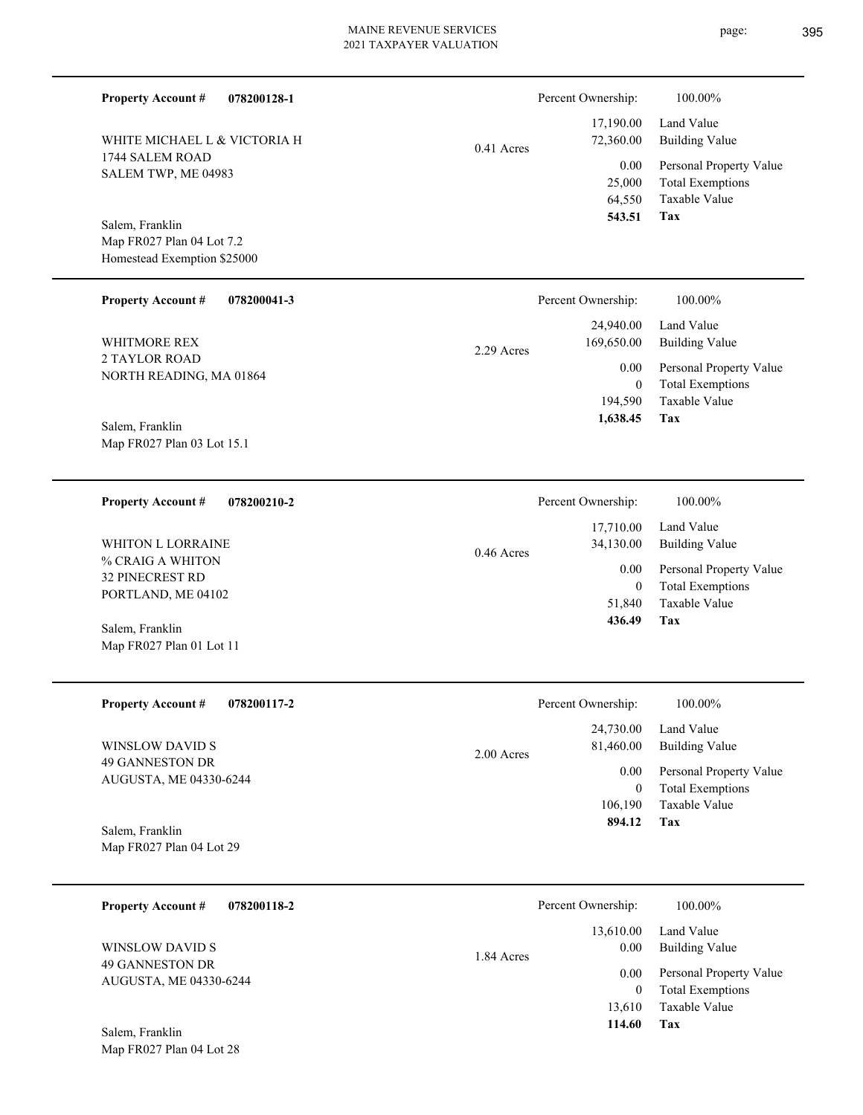1744 SALEM ROAD SALEM TWP, ME 04983 WHITE MICHAEL L & VICTORIA H

**078200128-1**

Map FR027 Plan 04 Lot 7.2 Homestead Exemption \$25000 Salem, Franklin

**Property Account #**

**078200041-3 Property Account #**

2 TAYLOR ROAD NORTH READING, MA 01864 WHITMORE REX

Map FR027 Plan 03 Lot 15.1 Salem, Franklin

**078200210-2 Property Account #**

% CRAIG A WHITON 32 PINECREST RD PORTLAND, ME 04102 WHITON L LORRAINE

Map FR027 Plan 01 Lot 11 Salem, Franklin

**078200117-2 Property Account #**

49 GANNESTON DR AUGUSTA, ME 04330-6244 WINSLOW DAVID S

Map FR027 Plan 04 Lot 29 Salem, Franklin

| 078200118-2<br><b>Property Account #</b> | Percent Ownership:              | 100.00%                                            |
|------------------------------------------|---------------------------------|----------------------------------------------------|
| WINSLOW DAVID S<br>49 GANNESTON DR       | 13,610.00<br>0.00<br>1.84 Acres | Land Value<br>Building Value                       |
| AUGUSTA, ME 04330-6244                   | 0.00<br>$\theta$                | Personal Property Value<br><b>Total Exemptions</b> |
| Salem, Franklin                          | 13,610<br>114.60                | Taxable Value<br>Tax                               |

0.46 Acres

#### **Tax** Taxable Value Total Exemptions Personal Property Value Building Value Land Value 64,550 25,000  **543.51** 17,190.00 72,360.00 0.00 0.41 Acres Percent Ownership:  $100.00\%$

|            | Percent Ownership: | 100.00%                 |
|------------|--------------------|-------------------------|
|            |                    | $24,940.00$ Land Value  |
| 2.29 Acres | 169,650.00         | Building Value          |
|            | 0.00 <sub>1</sub>  | Personal Property Value |
|            | $\theta$           | <b>Total Exemptions</b> |
|            | 194.590            | Taxable Value           |
|            | 1,638.45           | Tax                     |

| 436.49             | Tax                     |
|--------------------|-------------------------|
| 51,840             | Taxable Value           |
| 0                  | <b>Total Exemptions</b> |
| 0.00               | Personal Property Value |
| 34,130.00          | Building Value          |
| 17,710.00          | Land Value              |
| Percent Ownership: | 100.00%                 |

|              | Percent Ownership: | 100.00%                 |
|--------------|--------------------|-------------------------|
|              | 24,730.00          | Land Value              |
| $2.00$ Acres | 81,460.00          | Building Value          |
|              | 0.00               | Personal Property Value |
|              | $\theta$           | <b>Total Exemptions</b> |
|              | 106,190            | Taxable Value           |
|              | 894.12             | Tax                     |
|              |                    |                         |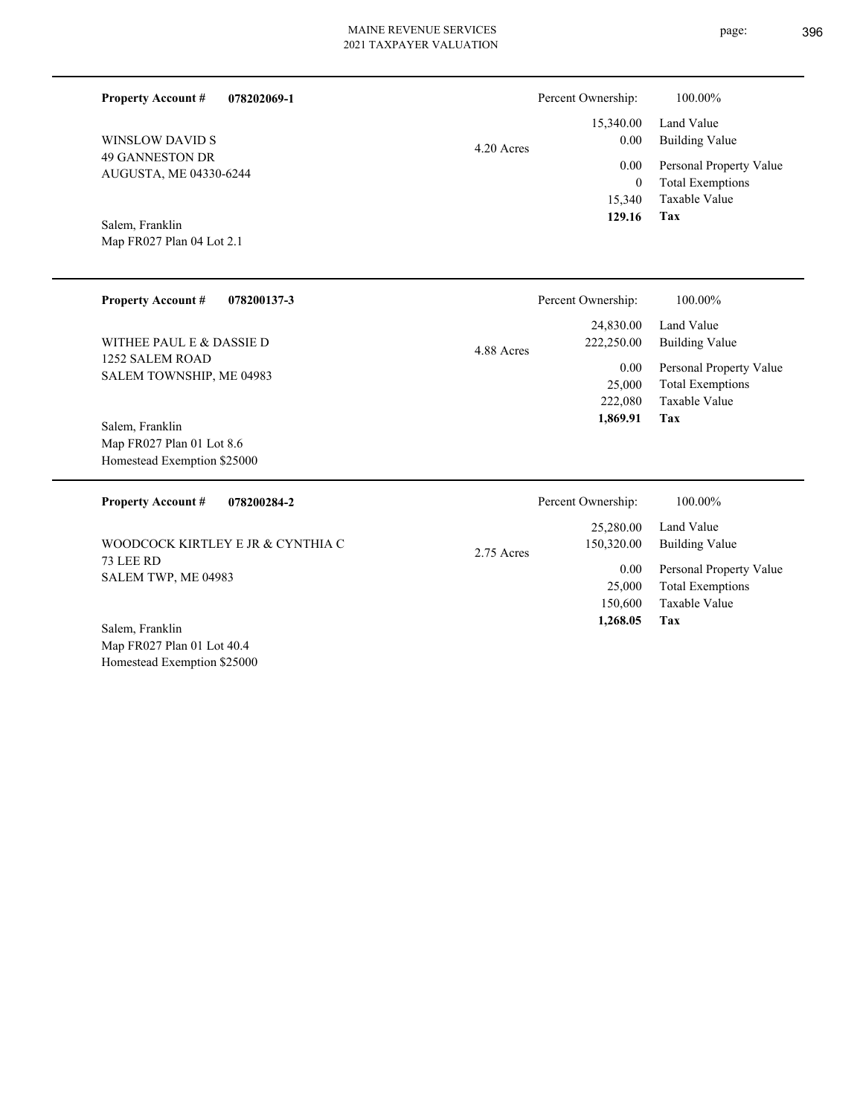| LUATION |  |
|---------|--|
|         |  |

| page: | 396 |
|-------|-----|
|       |     |

| <b>Property Account #</b>                                | 078202069-1                       |            | Percent Ownership:      | 100.00%                                            |
|----------------------------------------------------------|-----------------------------------|------------|-------------------------|----------------------------------------------------|
| <b>WINSLOW DAVID S</b>                                   |                                   | 4.20 Acres | 15,340.00<br>0.00       | Land Value<br><b>Building Value</b>                |
| <b>49 GANNESTON DR</b><br>AUGUSTA, ME 04330-6244         |                                   |            | 0.00<br>$\overline{0}$  | Personal Property Value<br><b>Total Exemptions</b> |
| Salem, Franklin<br>Map FR027 Plan 04 Lot 2.1             |                                   |            | 15,340<br>129.16        | Taxable Value<br><b>Tax</b>                        |
|                                                          |                                   |            |                         |                                                    |
| <b>Property Account #</b>                                | 078200137-3                       |            | Percent Ownership:      | 100.00%                                            |
| WITHEE PAUL E & DASSIE D                                 |                                   | 4.88 Acres | 24,830.00<br>222,250.00 | Land Value<br><b>Building Value</b>                |
| 1252 SALEM ROAD<br>SALEM TOWNSHIP, ME 04983              |                                   |            | 0.00<br>25,000          | Personal Property Value<br><b>Total Exemptions</b> |
| Salem, Franklin                                          |                                   |            | 222,080<br>1,869.91     | Taxable Value<br>Tax                               |
| Map FR027 Plan 01 Lot 8.6<br>Homestead Exemption \$25000 |                                   |            |                         |                                                    |
| <b>Property Account #</b>                                | 078200284-2                       |            | Percent Ownership:      | 100.00%                                            |
|                                                          | WOODCOCK KIRTLEY E JR & CYNTHIA C | 2.75 Acres | 25,280.00<br>150,320.00 | Land Value<br><b>Building Value</b>                |
| 73 LEE RD<br>SALEM TWP, ME 04983                         |                                   |            | 0.00<br>25,000          | Personal Property Value<br><b>Total Exemptions</b> |
| $0.1 - 11'$                                              |                                   |            | 150,600<br>1,268.05     | Taxable Value<br>Tax                               |

Map FR027 Plan 01 Lot 40.4 Homestead Exemption \$25000 Salem, Franklin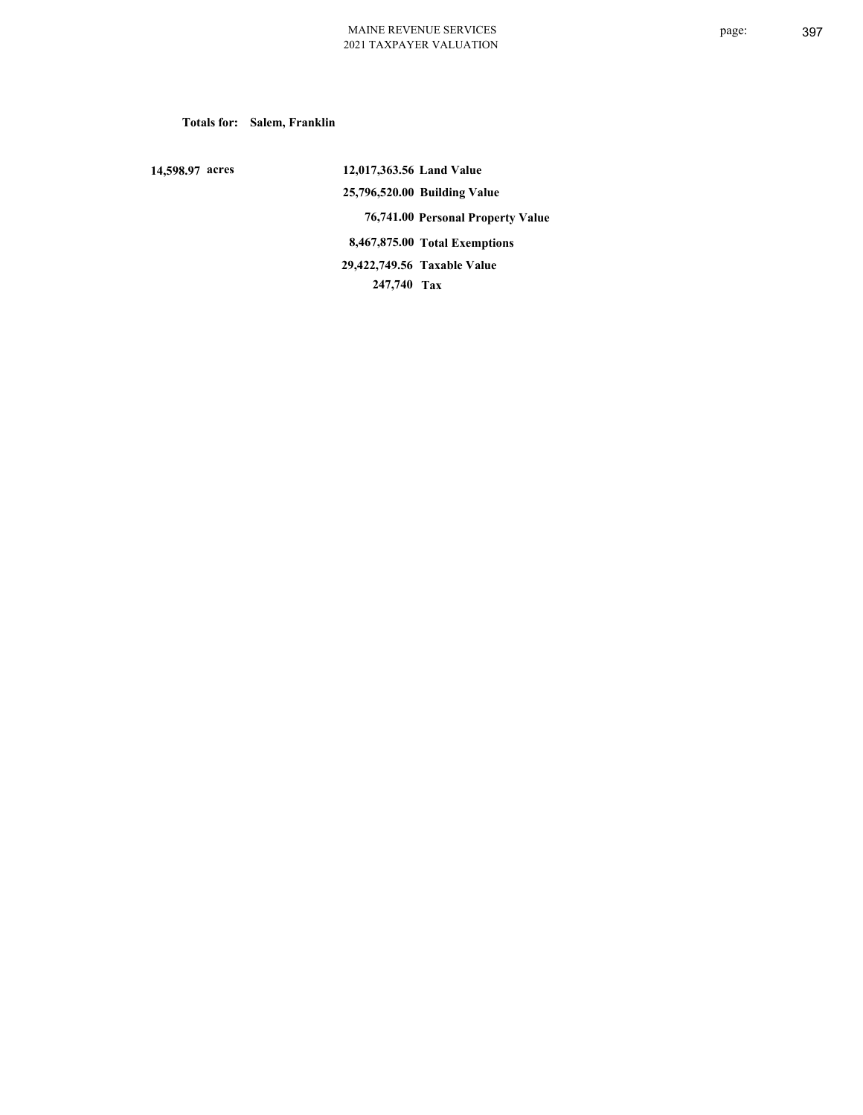**Totals for: Salem, Franklin**

 **14,598.97 acres**

 **12,017,363.56 Land Value 25,796,520.00 Building Value 76,741.00 Personal Property Value 8,467,875.00 Total Exemptions 247,740 Tax Taxable Value 29,422,749.56**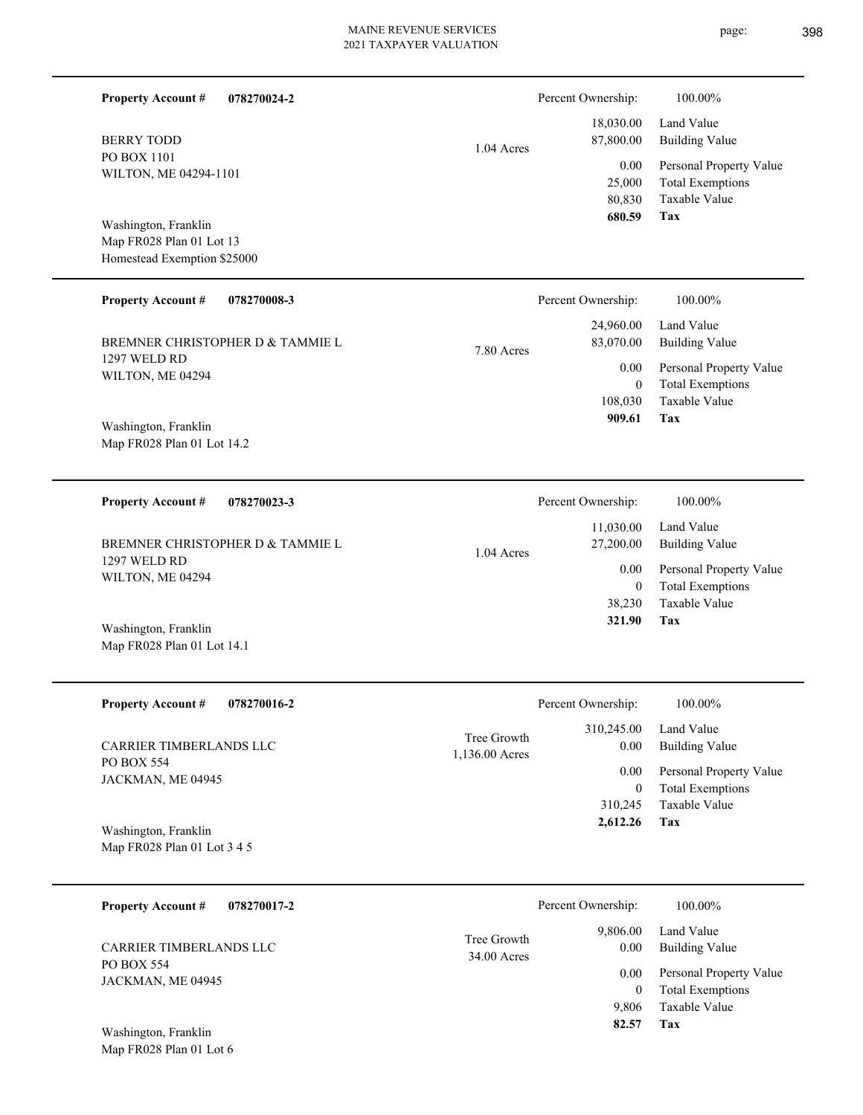| <b>Property Account #</b><br>078270024-2            |                               | Percent Ownership:       | 100.00%                                                             |
|-----------------------------------------------------|-------------------------------|--------------------------|---------------------------------------------------------------------|
| <b>BERRY TODD</b>                                   | 1.04 Acres                    | 18,030.00<br>87,800.00   | Land Value<br><b>Building Value</b>                                 |
| PO BOX 1101<br>WILTON, ME 04294-1101                |                               | 0.00<br>25,000<br>80,830 | Personal Property Value<br><b>Total Exemptions</b><br>Taxable Value |
| Washington, Franklin<br>Map FR028 Plan 01 Lot 13    |                               | 680.59                   | Tax                                                                 |
| Homestead Exemption \$25000                         |                               |                          |                                                                     |
| <b>Property Account #</b><br>078270008-3            |                               | Percent Ownership:       | 100.00%                                                             |
| BREMNER CHRISTOPHER D & TAMMIE L                    | 7.80 Acres                    | 24,960.00<br>83,070.00   | Land Value<br><b>Building Value</b>                                 |
| 1297 WELD RD<br>WILTON, ME 04294                    |                               | 0.00<br>$\overline{0}$   | Personal Property Value<br><b>Total Exemptions</b>                  |
|                                                     |                               | 108,030                  | Taxable Value                                                       |
| Washington, Franklin<br>Map FR028 Plan 01 Lot 14.2  |                               | 909.61                   | Tax                                                                 |
|                                                     |                               |                          |                                                                     |
| <b>Property Account #</b><br>078270023-3            |                               | Percent Ownership:       | 100.00%                                                             |
| BREMNER CHRISTOPHER D & TAMMIE L                    | $1.04$ Acres                  | 11,030.00<br>27,200.00   | Land Value<br><b>Building Value</b>                                 |
| 1297 WELD RD<br>WILTON, ME 04294                    |                               | 0.00<br>$\overline{0}$   | Personal Property Value<br><b>Total Exemptions</b>                  |
|                                                     |                               | 38,230                   | Taxable Value                                                       |
| Washington, Franklin<br>Map FR028 Plan 01 Lot 14.1  |                               | 321.90                   | Tax                                                                 |
|                                                     |                               |                          |                                                                     |
| 078270016-2<br><b>Property Account #</b>            |                               | Percent Ownership:       | 100.00%                                                             |
| CARRIER TIMBERLANDS LLC                             | Tree Growth<br>1,136.00 Acres | 310,245.00<br>0.00       | Land Value<br><b>Building Value</b>                                 |
| PO BOX 554<br>JACKMAN, ME 04945                     |                               | 0.00<br>$\overline{0}$   | Personal Property Value<br><b>Total Exemptions</b>                  |
|                                                     |                               | 310,245                  | Taxable Value                                                       |
| Washington, Franklin<br>Map FR028 Plan 01 Lot 3 4 5 |                               | 2,612.26                 | Tax                                                                 |
|                                                     |                               |                          |                                                                     |
| <b>Property Account #</b><br>078270017-2            |                               | Percent Ownership:       | 100.00%                                                             |
| CARRIER TIMBERLANDS LLC                             | Tree Growth<br>34.00 Acres    | 9,806.00<br>0.00         | Land Value<br><b>Building Value</b>                                 |
| PO BOX 554<br>JACKMAN, ME 04945                     |                               | 0.00                     | Personal Property Value                                             |
|                                                     |                               | $\overline{0}$<br>9,806  | <b>Total Exemptions</b><br>Taxable Value                            |
| Washington, Franklin                                |                               | 82.57                    | Tax                                                                 |
| Map FR028 Plan 01 Lot 6                             |                               |                          |                                                                     |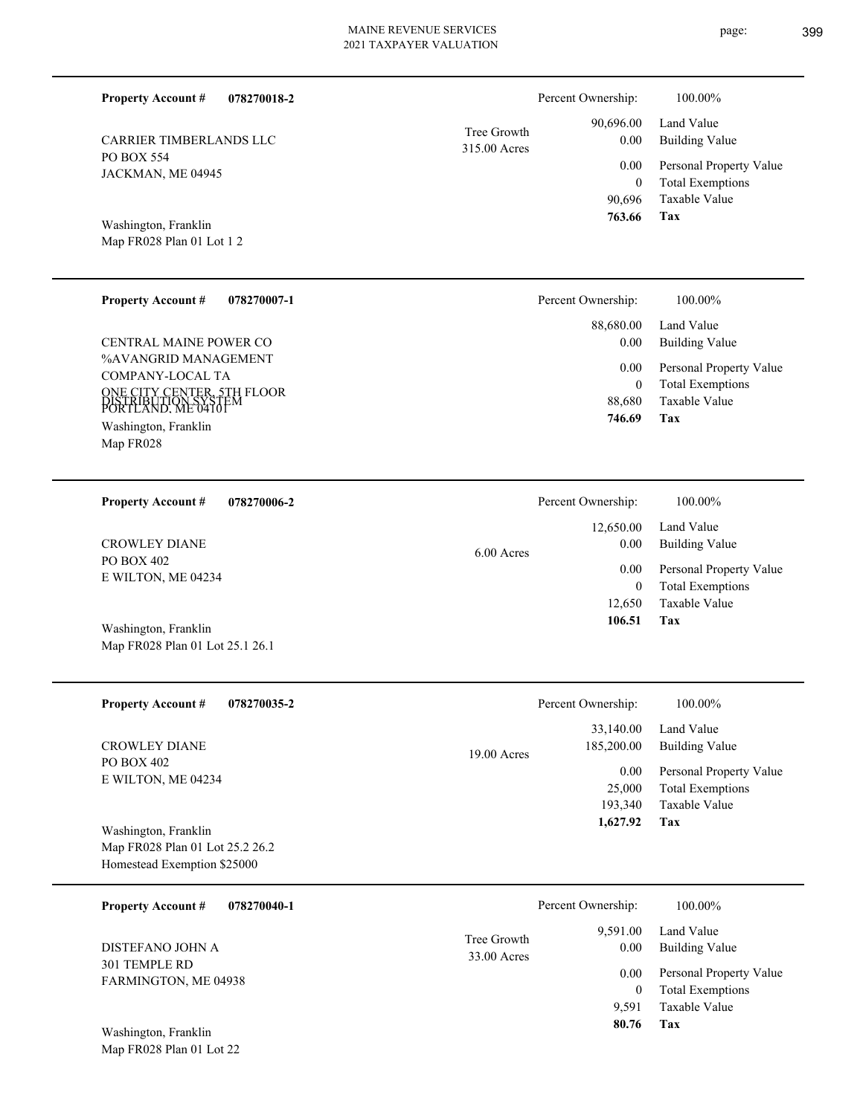| <b>Property Account #</b><br>078270018-2                                                                                                          | Percent Ownership:<br>100.00%                                                                                                     |
|---------------------------------------------------------------------------------------------------------------------------------------------------|-----------------------------------------------------------------------------------------------------------------------------------|
| CARRIER TIMBERLANDS LLC                                                                                                                           | 90,696.00<br>Land Value<br>Tree Growth<br>0.00<br><b>Building Value</b><br>315.00 Acres                                           |
| PO BOX 554<br>JACKMAN, ME 04945<br>Washington, Franklin                                                                                           | 0.00<br>Personal Property Value<br><b>Total Exemptions</b><br>$\mathbf{0}$<br>Taxable Value<br>90,696<br>763.66<br>Tax            |
| Map FR028 Plan 01 Lot 1 2                                                                                                                         |                                                                                                                                   |
| <b>Property Account #</b><br>078270007-1                                                                                                          | Percent Ownership:<br>100.00%                                                                                                     |
| CENTRAL MAINE POWER CO                                                                                                                            | Land Value<br>88,680.00<br>0.00<br><b>Building Value</b>                                                                          |
| %AVANGRID MANAGEMENT<br>COMPANY-LOCAL TA<br><b>ONE CITY CENTER, 5TH FLOOR</b><br>DISTRIBUTION SYSTE<br>PORTLAND, ME 04101<br>Washington, Franklin | 0.00<br>Personal Property Value<br><b>Total Exemptions</b><br>$\boldsymbol{0}$<br><b>Taxable Value</b><br>88.680<br>746.69<br>Tax |
| Map FR028                                                                                                                                         |                                                                                                                                   |
| <b>Property Account #</b><br>078270006-2<br><b>CROWLEY DIANE</b>                                                                                  | Percent Ownership:<br>100.00%<br>Land Value<br>12,650.00<br>0.00<br><b>Building Value</b><br>6.00 Acres                           |
| PO BOX 402<br>E WILTON, ME 04234                                                                                                                  | 0.00<br>Personal Property Value<br><b>Total Exemptions</b><br>$\mathbf{0}$<br>Taxable Value<br>12,650<br>106.51<br>Tax            |
| Washington, Franklin<br>Map FR028 Plan 01 Lot 25.1 26.1                                                                                           |                                                                                                                                   |
| <b>Property Account #</b><br>078270035-2                                                                                                          | 100.00%<br>Percent Ownership:                                                                                                     |
| <b>CROWLEY DIANE</b>                                                                                                                              | Land Value<br>33,140.00<br>185,200.00<br><b>Building Value</b><br>19.00 Acres                                                     |
| PO BOX 402<br>E WILTON, ME 04234<br>Washington, Franklin                                                                                          | 0.00<br>Personal Property Value<br>25,000<br><b>Total Exemptions</b><br>Taxable Value<br>193,340<br><b>Tax</b><br>1,627.92        |
| Map FR028 Plan 01 Lot 25.2 26.2<br>Homestead Exemption \$25000                                                                                    |                                                                                                                                   |

| 078270040-1<br><b>Property Account #</b>         |                            | Percent Ownership: | 100.00%                                            |
|--------------------------------------------------|----------------------------|--------------------|----------------------------------------------------|
| DISTEFANO JOHN A                                 | Tree Growth<br>33.00 Acres | 9.591.00<br>0.00   | Land Value<br>Building Value                       |
| 301 TEMPLE RD<br>FARMINGTON, ME 04938            |                            | 0.00<br>0          | Personal Property Value<br><b>Total Exemptions</b> |
|                                                  |                            | 9.591              | Taxable Value                                      |
| Washington, Franklin<br>Map FR028 Plan 01 Lot 22 |                            | 80.76              | Tax                                                |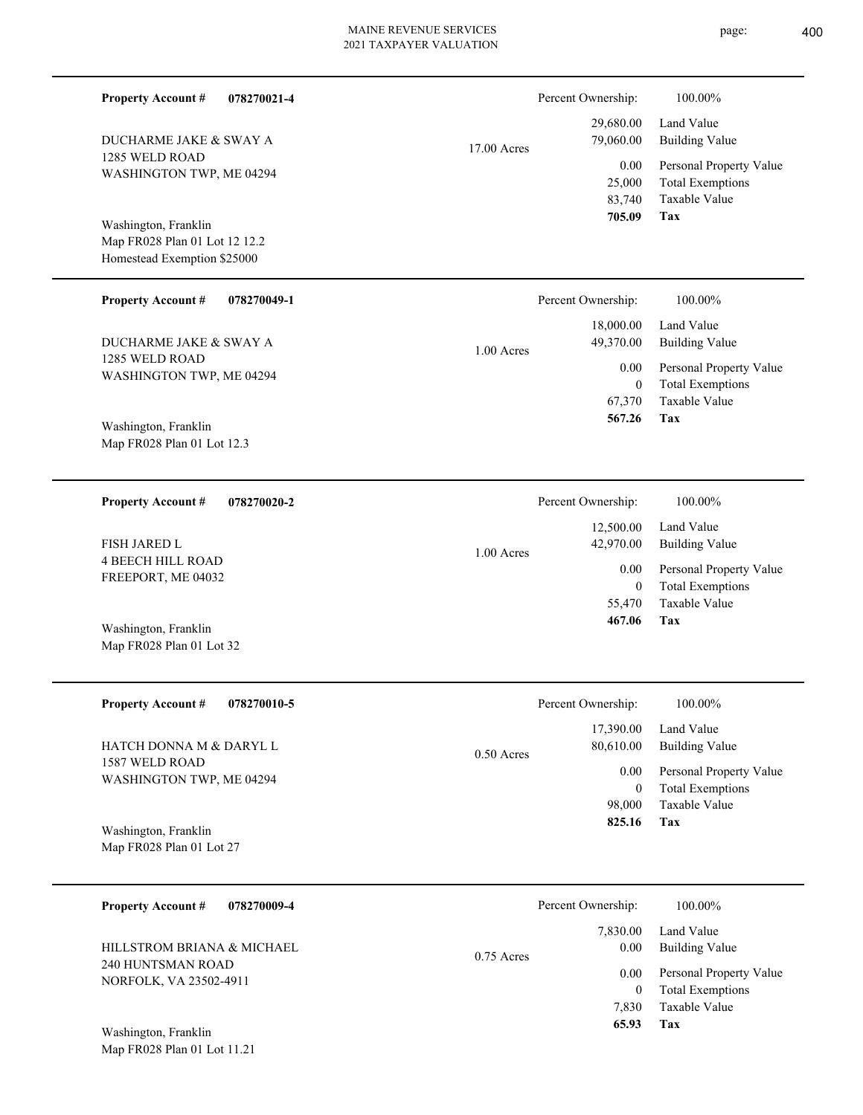| <b>Property Account #</b><br>078270021-4                                             |               | Percent Ownership:                                                   | 100.00%                                                                    |
|--------------------------------------------------------------------------------------|---------------|----------------------------------------------------------------------|----------------------------------------------------------------------------|
| DUCHARME JAKE & SWAY A                                                               | $17.00$ Acres | 29,680.00<br>79,060.00                                               | Land Value<br><b>Building Value</b>                                        |
| 1285 WELD ROAD<br>WASHINGTON TWP, ME 04294                                           |               | 0.00<br>25,000<br>83,740<br>705.09                                   | Personal Property Value<br><b>Total Exemptions</b><br>Taxable Value<br>Tax |
| Washington, Franklin<br>Map FR028 Plan 01 Lot 12 12.2<br>Homestead Exemption \$25000 |               |                                                                      |                                                                            |
| <b>Property Account #</b><br>078270049-1                                             |               | Percent Ownership:                                                   | 100.00%                                                                    |
| DUCHARME JAKE & SWAY A                                                               | $1.00$ Acres  | 18,000.00<br>49,370.00                                               | Land Value<br><b>Building Value</b>                                        |
| 1285 WELD ROAD<br>WASHINGTON TWP, ME 04294                                           |               | 0.00<br>$\overline{0}$<br>67,370<br>567.26                           | Personal Property Value<br><b>Total Exemptions</b><br>Taxable Value<br>Tax |
| Washington, Franklin<br>Map FR028 Plan 01 Lot 12.3                                   |               |                                                                      |                                                                            |
| <b>Property Account #</b><br>078270020-2                                             |               | Percent Ownership:                                                   | 100.00%                                                                    |
| <b>FISH JARED L</b>                                                                  | $1.00$ Acres  | 12,500.00<br>42,970.00<br>0.00<br>$\overline{0}$<br>55,470<br>467.06 | Land Value<br><b>Building Value</b>                                        |
| <b>4 BEECH HILL ROAD</b><br>FREEPORT, ME 04032                                       |               |                                                                      | Personal Property Value<br><b>Total Exemptions</b>                         |
| Washington, Franklin<br>Map FR028 Plan 01 Lot 32                                     |               |                                                                      | <b>Taxable Value</b><br>Tax                                                |
| <b>Property Account #</b><br>078270010-5                                             |               | Percent Ownership:                                                   | 100.00%                                                                    |
| HATCH DONNA M & DARYL L                                                              | 0.50 Acres    | 17,390.00<br>80,610.00                                               | Land Value<br><b>Building Value</b>                                        |
| 1587 WELD ROAD<br>WASHINGTON TWP, ME 04294                                           |               | 0.00<br>$\mathbf{0}$<br>98,000                                       | Personal Property Value<br><b>Total Exemptions</b><br>Taxable Value        |
| Washington, Franklin<br>Map FR028 Plan 01 Lot 27                                     |               | 825.16                                                               | Tax                                                                        |
| <b>Property Account #</b><br>078270009-4                                             |               | Percent Ownership:                                                   | 100.00%                                                                    |
| HILLSTROM BRIANA & MICHAEL                                                           |               | 7,830.00<br>0.00                                                     | Land Value<br><b>Building Value</b>                                        |
| 240 HUNTSMAN ROAD<br>NORFOLK, VA 23502-4911<br>Washington, Franklin                  | 0.75 Acres    | 0.00<br>$\mathbf{0}$<br>7,830<br>65.93                               | Personal Property Value<br><b>Total Exemptions</b><br>Taxable Value<br>Tax |
| Map FR028 Plan 01 Lot 11.21                                                          |               |                                                                      |                                                                            |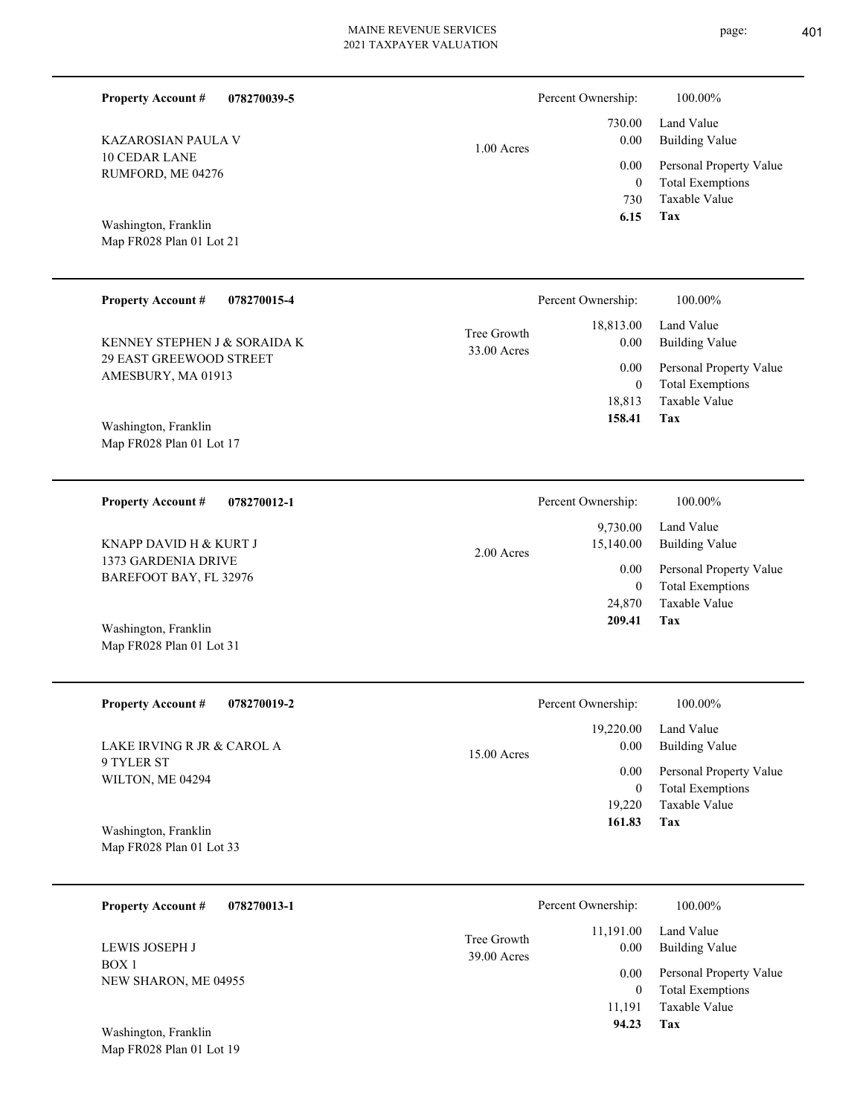| <b>Property Account #</b><br>078270039-5              |                            | Percent Ownership:                        | 100.00%                                                                    |
|-------------------------------------------------------|----------------------------|-------------------------------------------|----------------------------------------------------------------------------|
| <b>KAZAROSIAN PAULA V</b>                             | $1.00$ Acres               | 730.00<br>$0.00\,$                        | Land Value<br><b>Building Value</b>                                        |
| <b>10 CEDAR LANE</b><br>RUMFORD, ME 04276             |                            | 0.00<br>$\overline{0}$<br>730             | Personal Property Value<br><b>Total Exemptions</b><br>Taxable Value        |
| Washington, Franklin<br>Map FR028 Plan 01 Lot 21      |                            | 6.15                                      | Tax                                                                        |
| <b>Property Account #</b><br>078270015-4              |                            | Percent Ownership:                        | 100.00%                                                                    |
| KENNEY STEPHEN J & SORAIDA K                          | Tree Growth<br>33.00 Acres | 18,813.00<br>0.00                         | Land Value<br><b>Building Value</b>                                        |
| 29 EAST GREEWOOD STREET<br>AMESBURY, MA 01913         |                            | 0.00<br>$\overline{0}$<br>18,813          | Personal Property Value<br><b>Total Exemptions</b><br>Taxable Value        |
| Washington, Franklin<br>Map FR028 Plan 01 Lot 17      |                            | 158.41                                    | Tax                                                                        |
| <b>Property Account #</b><br>078270012-1              |                            | Percent Ownership:                        | 100.00%                                                                    |
| KNAPP DAVID H & KURT J                                | $2.00$ Acres               | 9,730.00<br>15,140.00                     | Land Value<br><b>Building Value</b>                                        |
| 1373 GARDENIA DRIVE<br>BAREFOOT BAY, FL 32976         |                            | 0.00<br>$\overline{0}$<br>24,870          | Personal Property Value<br><b>Total Exemptions</b><br><b>Taxable Value</b> |
| Washington, Franklin<br>Map FR028 Plan 01 Lot 31      |                            | 209.41                                    | Tax                                                                        |
| <b>Property Account #</b><br>078270019-2              |                            | Percent Ownership:                        | $100.00\%$                                                                 |
| LAKE IRVING R JR & CAROL A                            | 15.00 Acres                | 19,220.00<br>0.00                         | Land Value<br><b>Building Value</b>                                        |
| 9 TYLER ST<br>WILTON, ME 04294                        |                            | 0.00<br>$\mathbf{0}$                      | Personal Property Value<br><b>Total Exemptions</b>                         |
| Washington, Franklin<br>Map FR028 Plan 01 Lot 33      |                            | 19,220<br>161.83                          | Taxable Value<br>Tax                                                       |
| <b>Property Account #</b><br>078270013-1              |                            | Percent Ownership:                        | 100.00%                                                                    |
| LEWIS JOSEPH J                                        | Tree Growth                | 11,191.00<br>0.00                         | Land Value<br><b>Building Value</b>                                        |
| BOX 1<br>NEW SHARON, ME 04955<br>Washington, Franklin | 39.00 Acres                | 0.00<br>$\overline{0}$<br>11,191<br>94.23 | Personal Property Value<br><b>Total Exemptions</b><br>Taxable Value<br>Tax |
| Map FR028 Plan 01 Lot 19                              |                            |                                           |                                                                            |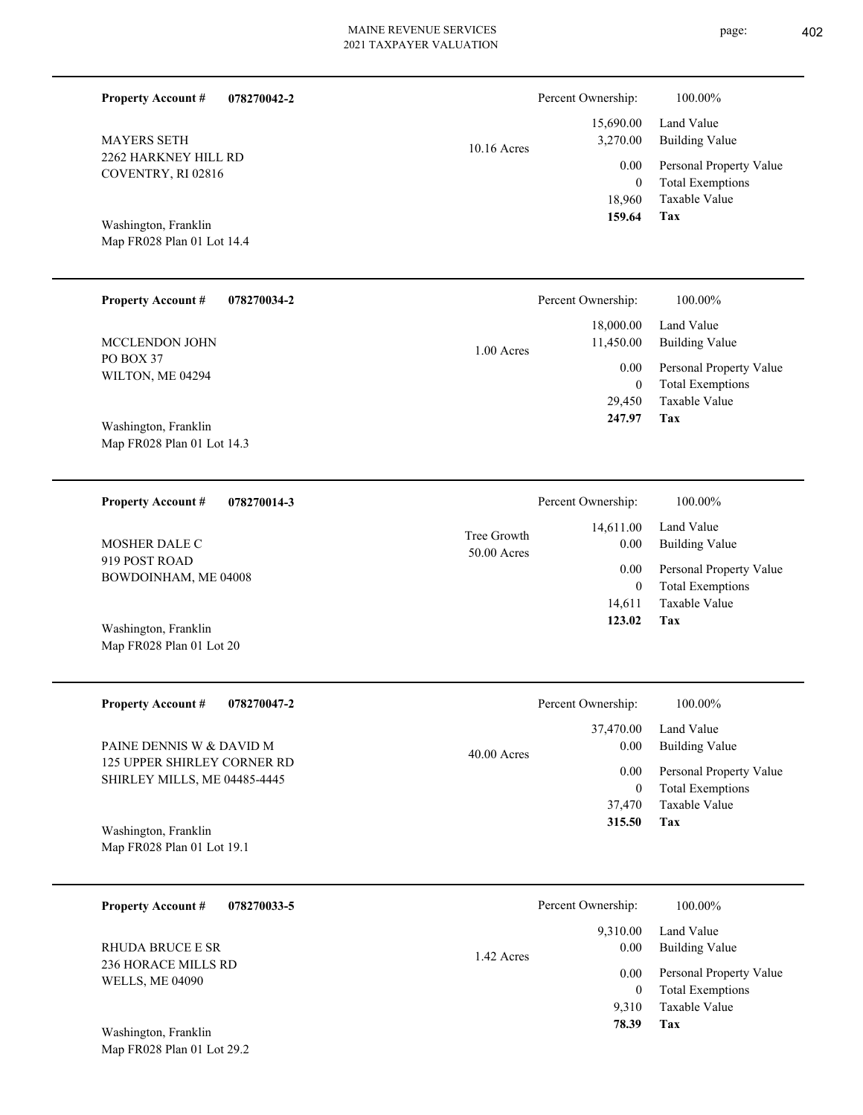| <b>Property Account #</b><br>078270042-2                    |                            | Percent Ownership:                 | 100.00%                                                             |
|-------------------------------------------------------------|----------------------------|------------------------------------|---------------------------------------------------------------------|
| <b>MAYERS SETH</b>                                          | 10.16 Acres                | 15,690.00<br>3,270.00              | Land Value<br><b>Building Value</b>                                 |
| 2262 HARKNEY HILL RD<br>COVENTRY, RI 02816                  |                            | 0.00<br>$\boldsymbol{0}$<br>18,960 | Personal Property Value<br><b>Total Exemptions</b><br>Taxable Value |
| Washington, Franklin<br>Map FR028 Plan 01 Lot 14.4          |                            | 159.64                             | Tax                                                                 |
| <b>Property Account #</b><br>078270034-2                    |                            | Percent Ownership:                 | 100.00%                                                             |
| MCCLENDON JOHN                                              | 1.00 Acres                 | 18,000.00<br>11,450.00             | Land Value<br><b>Building Value</b>                                 |
| PO BOX 37<br>WILTON, ME 04294                               |                            | 0.00<br>$\boldsymbol{0}$           | Personal Property Value<br><b>Total Exemptions</b>                  |
| Washington, Franklin<br>Map FR028 Plan 01 Lot 14.3          |                            | 29,450<br>247.97                   | Taxable Value<br>Tax                                                |
| <b>Property Account #</b><br>078270014-3                    |                            | Percent Ownership:                 | 100.00%                                                             |
| MOSHER DALE C                                               | Tree Growth<br>50.00 Acres | 14,611.00<br>0.00                  | Land Value<br><b>Building Value</b>                                 |
| 919 POST ROAD<br>BOWDOINHAM, ME 04008                       |                            | 0.00<br>$\boldsymbol{0}$           | Personal Property Value<br><b>Total Exemptions</b>                  |
|                                                             |                            | 14,611<br>123.02                   | Taxable Value<br>Tax                                                |
| Washington, Franklin<br>Map FR028 Plan 01 Lot 20            |                            |                                    |                                                                     |
| <b>Property Account #</b><br>078270047-2                    |                            | Percent Ownership:                 | 100.00%                                                             |
| PAINE DENNIS W & DAVID M                                    | 40.00 Acres                | 37,470.00<br>0.00                  | Land Value<br><b>Building Value</b>                                 |
| 125 UPPER SHIRLEY CORNER RD<br>SHIRLEY MILLS, ME 04485-4445 |                            | 0.00<br>$\boldsymbol{0}$           | Personal Property Value<br><b>Total Exemptions</b>                  |
|                                                             |                            | 37,470<br>315.50                   | <b>Taxable Value</b><br>Tax                                         |
| Washington, Franklin<br>Map FR028 Plan 01 Lot 19.1          |                            |                                    |                                                                     |
| 078270033-5<br><b>Property Account #</b>                    |                            | Percent Ownership:                 | 100.00%                                                             |
| <b>RHUDA BRUCE E SR</b>                                     | 1.42 Acres                 | 9,310.00<br>0.00                   | Land Value<br><b>Building Value</b>                                 |
| <b>236 HORACE MILLS RD</b><br><b>WELLS, ME 04090</b>        |                            | 0.00<br>$\boldsymbol{0}$           | Personal Property Value<br><b>Total Exemptions</b>                  |
|                                                             |                            | 9,310<br>78.39                     | Taxable Value<br>Tax                                                |
| Washington, Franklin<br>Map FR028 Plan 01 Lot 29.2          |                            |                                    |                                                                     |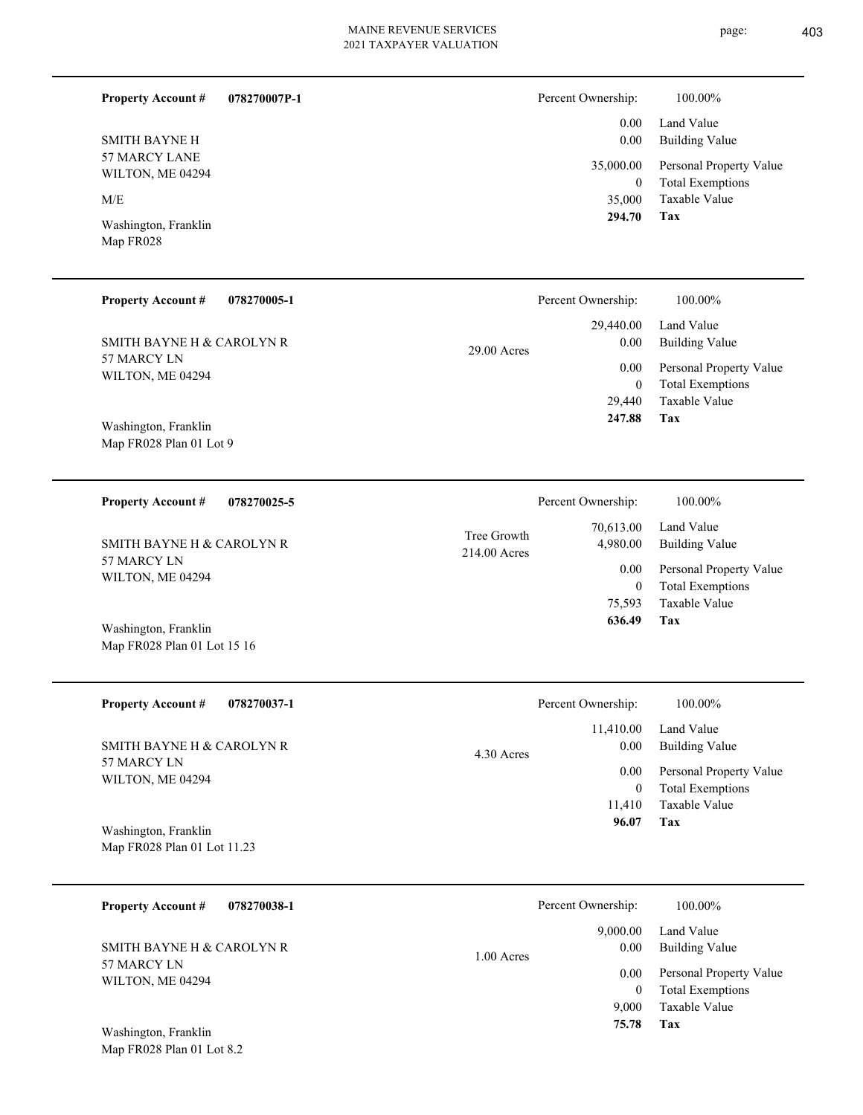page: 403

**Tax**

 11,410  $\mathbf{0}$ 

 **96.07**

Taxable Value Total Exemptions

| <b>Property Account #</b>                       | 078270007P-1 |                             | Percent Ownership:            | 100.00%                                            |
|-------------------------------------------------|--------------|-----------------------------|-------------------------------|----------------------------------------------------|
| <b>SMITH BAYNE H</b>                            |              |                             | 0.00<br>0.00                  | Land Value<br><b>Building Value</b>                |
| 57 MARCY LANE<br>WILTON, ME 04294               |              |                             | 35,000.00<br>$\boldsymbol{0}$ | Personal Property Value<br><b>Total Exemptions</b> |
| M/E                                             |              |                             | 35,000                        | Taxable Value                                      |
| Washington, Franklin<br>Map FR028               |              |                             | 294.70                        | <b>Tax</b>                                         |
| <b>Property Account #</b>                       | 078270005-1  |                             | Percent Ownership:            | 100.00%                                            |
| SMITH BAYNE H & CAROLYN R                       |              | $29.00$ Acres               | 29,440.00<br>0.00             | Land Value<br><b>Building Value</b>                |
| 57 MARCY LN<br>WILTON, ME 04294                 |              |                             | 0.00                          | Personal Property Value                            |
|                                                 |              |                             | $\mathbf{0}$<br>29,440        | <b>Total Exemptions</b><br>Taxable Value           |
| Washington, Franklin<br>Map FR028 Plan 01 Lot 9 |              |                             | 247.88                        | Tax                                                |
| <b>Property Account #</b>                       | 078270025-5  |                             | Percent Ownership:            | 100.00%                                            |
| SMITH BAYNE H & CAROLYN R                       |              | Tree Growth<br>214.00 Acres | 70,613.00<br>4,980.00         | Land Value<br><b>Building Value</b>                |
| 57 MARCY LN<br>WILTON, ME 04294                 |              |                             | 0.00                          | Personal Property Value                            |
|                                                 |              |                             | $\boldsymbol{0}$<br>75,593    | <b>Total Exemptions</b><br>Taxable Value           |
| Washington, Franklin                            |              |                             | 636.49                        | <b>Tax</b>                                         |
| Map FR028 Plan 01 Lot 15 16                     |              |                             |                               |                                                    |
| <b>Property Account #</b>                       | 078270037-1  |                             | Percent Ownership:            | 100.00%                                            |
| SMITH BAYNE H & CAROLYN R                       |              | 4.30 Acres                  | 11,410.00<br>0.00             | Land Value<br><b>Building Value</b>                |
| 57 MARCY LN<br>$\frac{1}{2}$                    |              |                             | 0.00                          | Personal Property Value                            |

Map FR028 Plan 01 Lot 11.23 Washington, Franklin

Map FR028 Plan 01 Lot 8.2

WILTON, ME 04294

| 078270038-1<br><b>Property Account #</b> | Percent Ownership:             | 100.00%                                            |
|------------------------------------------|--------------------------------|----------------------------------------------------|
| SMITH BAYNE H & CAROLYN R                | 9,000.00<br>0.00<br>1.00 Acres | Land Value<br><b>Building Value</b>                |
| 57 MARCY LN<br>WILTON, ME 04294          | 0.00                           | Personal Property Value<br><b>Total Exemptions</b> |
| Washington, Franklin                     | 9,000<br>75.78                 | Taxable Value<br>Tax                               |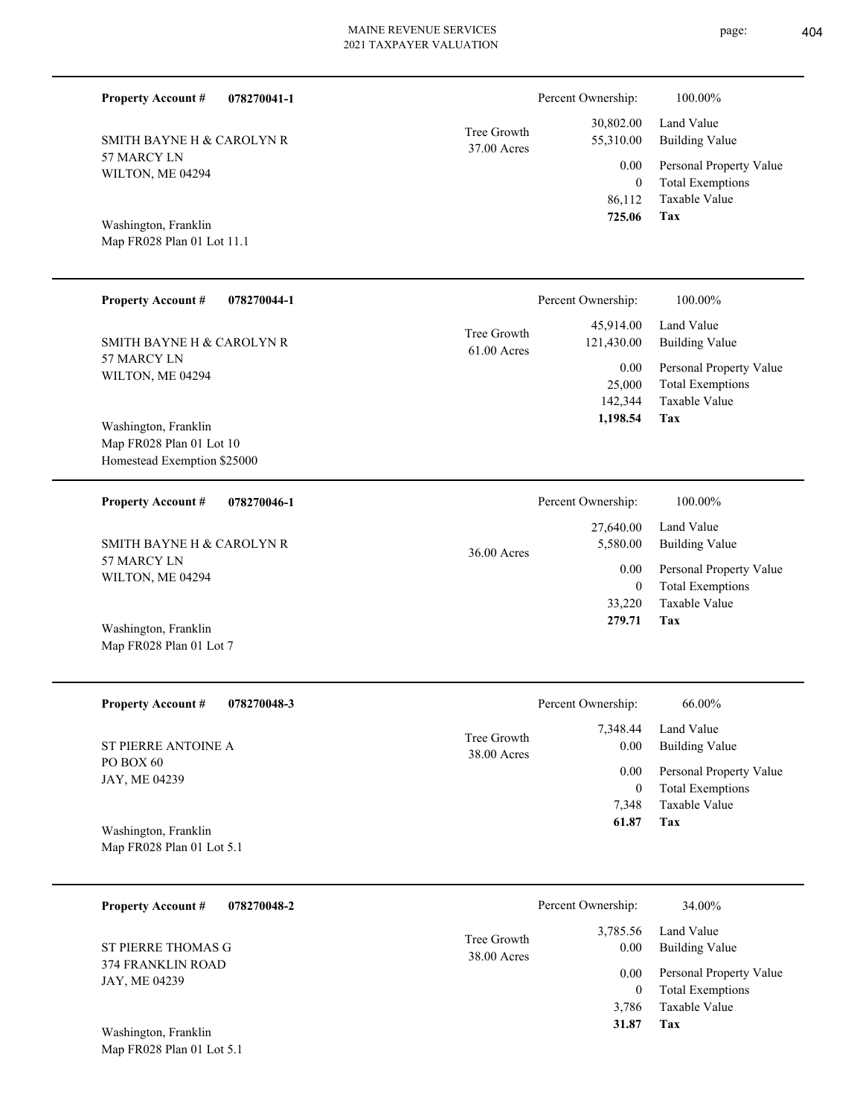| page: | 404 |
|-------|-----|
|-------|-----|

| <b>Property Account #</b><br>078270041-1                                        |                            | Percent Ownership:                                        | 100.00%                                                             |
|---------------------------------------------------------------------------------|----------------------------|-----------------------------------------------------------|---------------------------------------------------------------------|
| SMITH BAYNE H & CAROLYN R                                                       | Tree Growth<br>37.00 Acres | 30,802.00<br>55,310.00                                    | Land Value<br><b>Building Value</b>                                 |
| 57 MARCY LN<br>WILTON, ME 04294                                                 |                            | 0.00<br>$\overline{0}$<br>86,112                          | Personal Property Value<br><b>Total Exemptions</b><br>Taxable Value |
| Washington, Franklin<br>Map FR028 Plan 01 Lot 11.1                              |                            | 725.06                                                    | <b>Tax</b>                                                          |
| <b>Property Account #</b><br>078270044-1                                        |                            | Percent Ownership:                                        | 100.00%                                                             |
| SMITH BAYNE H & CAROLYN R                                                       | Tree Growth<br>61.00 Acres | 45,914.00<br>121,430.00                                   | Land Value<br><b>Building Value</b>                                 |
| 57 MARCY LN<br>WILTON, ME 04294                                                 |                            | 0.00<br>25,000<br>142,344                                 | Personal Property Value<br><b>Total Exemptions</b><br>Taxable Value |
| Washington, Franklin<br>Map FR028 Plan 01 Lot 10<br>Homestead Exemption \$25000 |                            | 1,198.54                                                  | Tax                                                                 |
| <b>Property Account #</b><br>078270046-1                                        |                            | Percent Ownership:                                        | 100.00%                                                             |
| SMITH BAYNE H & CAROLYN R                                                       | 36.00 Acres                | 27,640.00<br>5,580.00<br>0.00<br>$\overline{0}$<br>33,220 | Land Value<br><b>Building Value</b>                                 |
| 57 MARCY LN<br>WILTON, ME 04294                                                 |                            |                                                           | Personal Property Value<br><b>Total Exemptions</b><br>Taxable Value |
| Washington, Franklin<br>Map FR028 Plan 01 Lot 7                                 |                            | 279.71                                                    | Tax                                                                 |
| <b>Property Account #</b><br>078270048-3                                        |                            | Percent Ownership:                                        | $66.00\%$                                                           |
| ST PIERRE ANTOINE A                                                             | Tree Growth<br>38.00 Acres | 7,348.44<br>0.00                                          | Land Value<br><b>Building Value</b>                                 |
| PO BOX 60<br>JAY, ME 04239                                                      |                            | 0.00<br>$\mathbf{0}$                                      | Personal Property Value<br><b>Total Exemptions</b>                  |
| Washington, Franklin<br>Map FR028 Plan 01 Lot 5.1                               |                            | 7,348<br>61.87                                            | Taxable Value<br><b>Tax</b>                                         |
| <b>Property Account #</b><br>078270048-2                                        |                            | Percent Ownership:                                        | 34.00%                                                              |
| ST PIERRE THOMAS G                                                              | Tree Growth                | 3,785.56<br>0.00                                          | Land Value<br><b>Building Value</b>                                 |
| 374 FRANKLIN ROAD<br>JAY, ME 04239                                              | 38.00 Acres                | 0.00<br>$\mathbf{0}$<br>3,786                             | Personal Property Value<br><b>Total Exemptions</b><br>Taxable Value |
| Washington, Franklin<br>Map FR028 Plan 01 Lot 5.1                               |                            | 31.87                                                     | Tax                                                                 |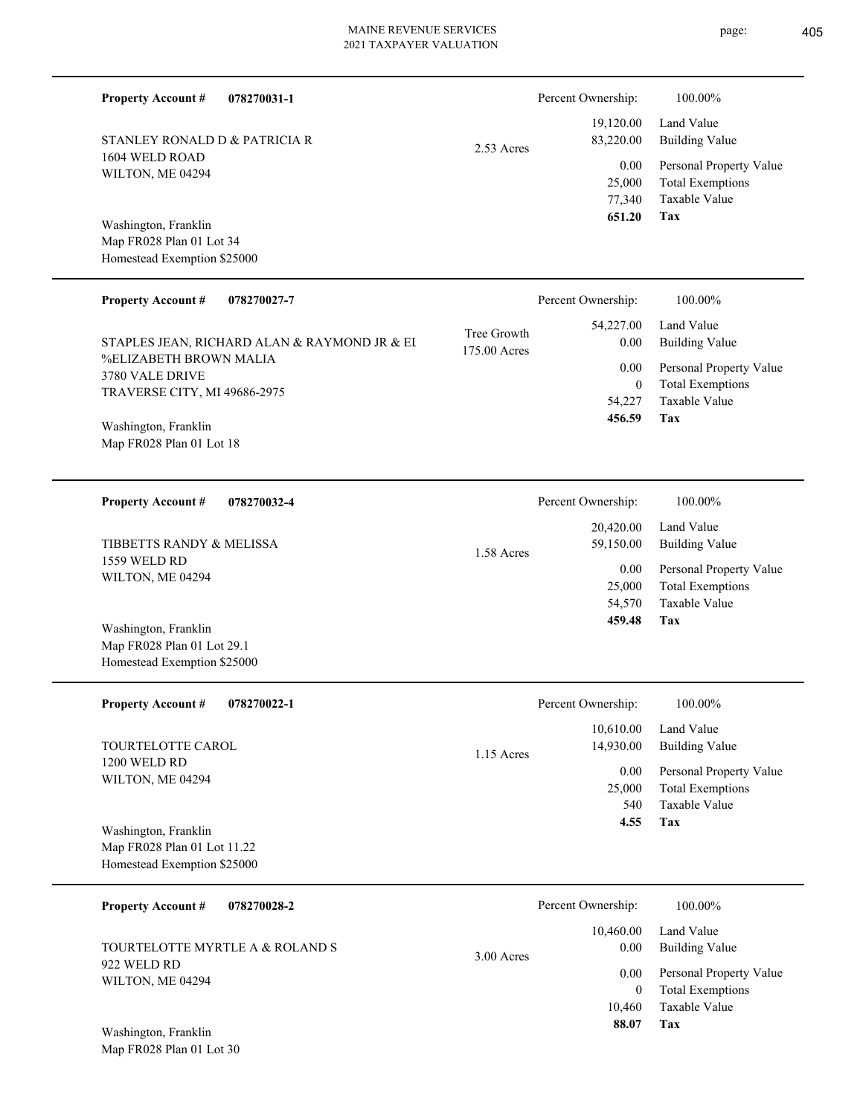| <b>Property Account #</b>                                                          | 078270031-1                                  |                             | Percent Ownership:                            | 100.00%                                                                    |
|------------------------------------------------------------------------------------|----------------------------------------------|-----------------------------|-----------------------------------------------|----------------------------------------------------------------------------|
| STANLEY RONALD D & PATRICIA R                                                      |                                              | 2.53 Acres                  | 19,120.00<br>83,220.00                        | Land Value<br><b>Building Value</b>                                        |
| 1604 WELD ROAD<br>WILTON, ME 04294                                                 |                                              |                             | 0.00<br>25,000<br>77,340<br>651.20            | Personal Property Value<br><b>Total Exemptions</b><br>Taxable Value<br>Tax |
| Washington, Franklin<br>Map FR028 Plan 01 Lot 34<br>Homestead Exemption \$25000    |                                              |                             |                                               |                                                                            |
| <b>Property Account #</b>                                                          | 078270027-7                                  |                             | Percent Ownership:                            | 100.00%                                                                    |
|                                                                                    | STAPLES JEAN, RICHARD ALAN & RAYMOND JR & EI | Tree Growth<br>175.00 Acres | 54,227.00<br>0.00                             | Land Value<br><b>Building Value</b>                                        |
| <b>%ELIZABETH BROWN MALIA</b><br>3780 VALE DRIVE<br>TRAVERSE CITY, MI 49686-2975   |                                              |                             | 0.00<br>$\overline{0}$<br>54,227<br>456.59    | Personal Property Value<br><b>Total Exemptions</b><br>Taxable Value<br>Tax |
| Washington, Franklin<br>Map FR028 Plan 01 Lot 18                                   |                                              |                             |                                               |                                                                            |
| <b>Property Account #</b>                                                          | 078270032-4                                  |                             | Percent Ownership:                            | 100.00%                                                                    |
| TIBBETTS RANDY & MELISSA                                                           |                                              | 1.58 Acres                  | 20,420.00<br>59,150.00                        | Land Value<br><b>Building Value</b>                                        |
| 1559 WELD RD<br>WILTON, ME 04294                                                   |                                              |                             | 0.00<br>25,000<br>54,570                      | Personal Property Value<br><b>Total Exemptions</b><br>Taxable Value        |
| Washington, Franklin<br>Map FR028 Plan 01 Lot 29.1<br>Homestead Exemption \$25000  |                                              |                             | 459.48                                        | Tax                                                                        |
| <b>Property Account #</b>                                                          | 078270022-1                                  |                             | Percent Ownership:                            | 100.00%                                                                    |
| TOURTELOTTE CAROL                                                                  |                                              | 1.15 Acres                  | 10,610.00<br>14,930.00                        | Land Value<br><b>Building Value</b>                                        |
| 1200 WELD RD<br>WILTON, ME 04294                                                   |                                              |                             | 0.00<br>25,000<br>540<br>4.55                 | Personal Property Value<br><b>Total Exemptions</b><br>Taxable Value<br>Tax |
| Washington, Franklin<br>Map FR028 Plan 01 Lot 11.22<br>Homestead Exemption \$25000 |                                              |                             |                                               |                                                                            |
| <b>Property Account #</b>                                                          | 078270028-2                                  |                             | Percent Ownership:                            | 100.00%                                                                    |
| TOURTELOTTE MYRTLE A & ROLAND S                                                    |                                              | $3.00$ Acres                | 10,460.00<br>0.00                             | Land Value<br><b>Building Value</b>                                        |
| 922 WELD RD<br>WILTON, ME 04294                                                    |                                              |                             | $0.00\,$<br>$\overline{0}$<br>10,460<br>88.07 | Personal Property Value<br><b>Total Exemptions</b><br>Taxable Value<br>Tax |
| Washington, Franklin<br>Map FR028 Plan 01 Lot 30                                   |                                              |                             |                                               |                                                                            |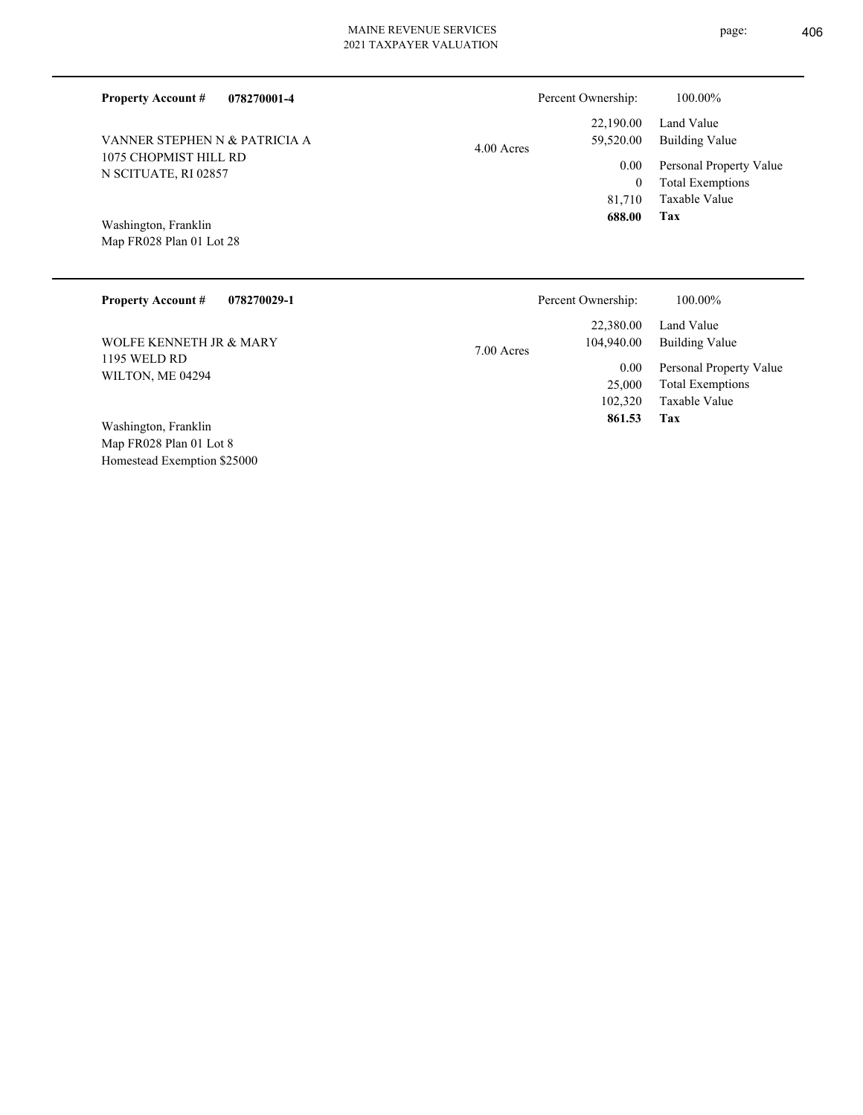| 078270001-4<br><b>Property Account #</b>         | Percent Ownership:                     | 100.00%                                                             |
|--------------------------------------------------|----------------------------------------|---------------------------------------------------------------------|
| VANNER STEPHEN N & PATRICIA A                    | 22,190.00<br>59,520.00<br>$4.00$ Acres | Land Value<br><b>Building Value</b>                                 |
| 1075 CHOPMIST HILL RD<br>N SCITUATE, RI 02857    | 0.00<br>$\mathbf{0}$<br>81,710         | Personal Property Value<br><b>Total Exemptions</b><br>Taxable Value |
| Washington, Franklin<br>Map FR028 Plan 01 Lot 28 | 688.00                                 | Tax                                                                 |
| <b>Property Account #</b><br>078270029-1         | Percent Ownership:                     | 100.00%                                                             |
|                                                  | 22,380.00                              | Land Value                                                          |
| WOLFE KENNETH JR & MARY                          | 104,940.00<br>7.00 Acres               | <b>Building Value</b>                                               |
| 1195 WELD RD                                     | 0.00                                   | Personal Property Value                                             |
| WILTON, ME 04294                                 | 25,000                                 | <b>Total Exemptions</b>                                             |

Map FR028 Plan 01 Lot 8 Homestead Exemption \$25000 Washington, Franklin

**Tax**

102,320

 **861.53**

Taxable Value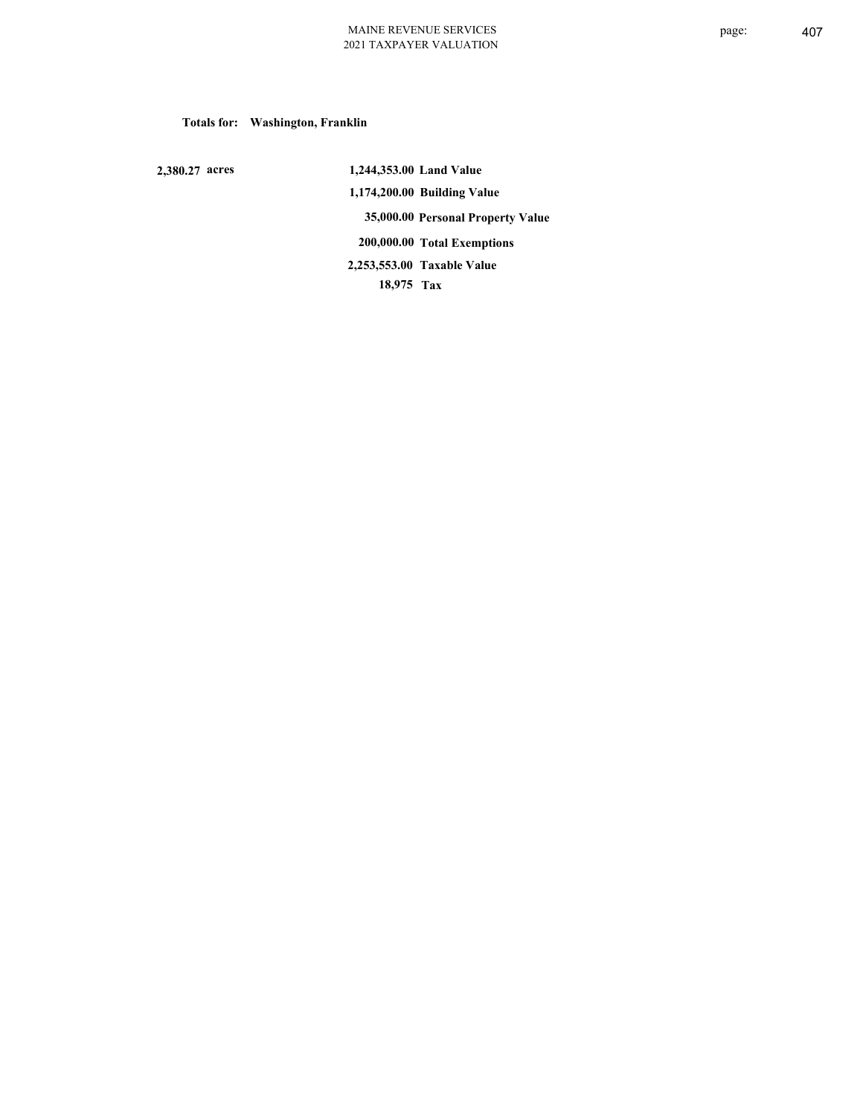## **Totals for: Washington, Franklin**

 **2,380.27 acres**

 **1,244,353.00 Land Value 1,174,200.00 Building Value 35,000.00 Personal Property Value 200,000.00 Total Exemptions 18,975 Tax Taxable Value 2,253,553.00**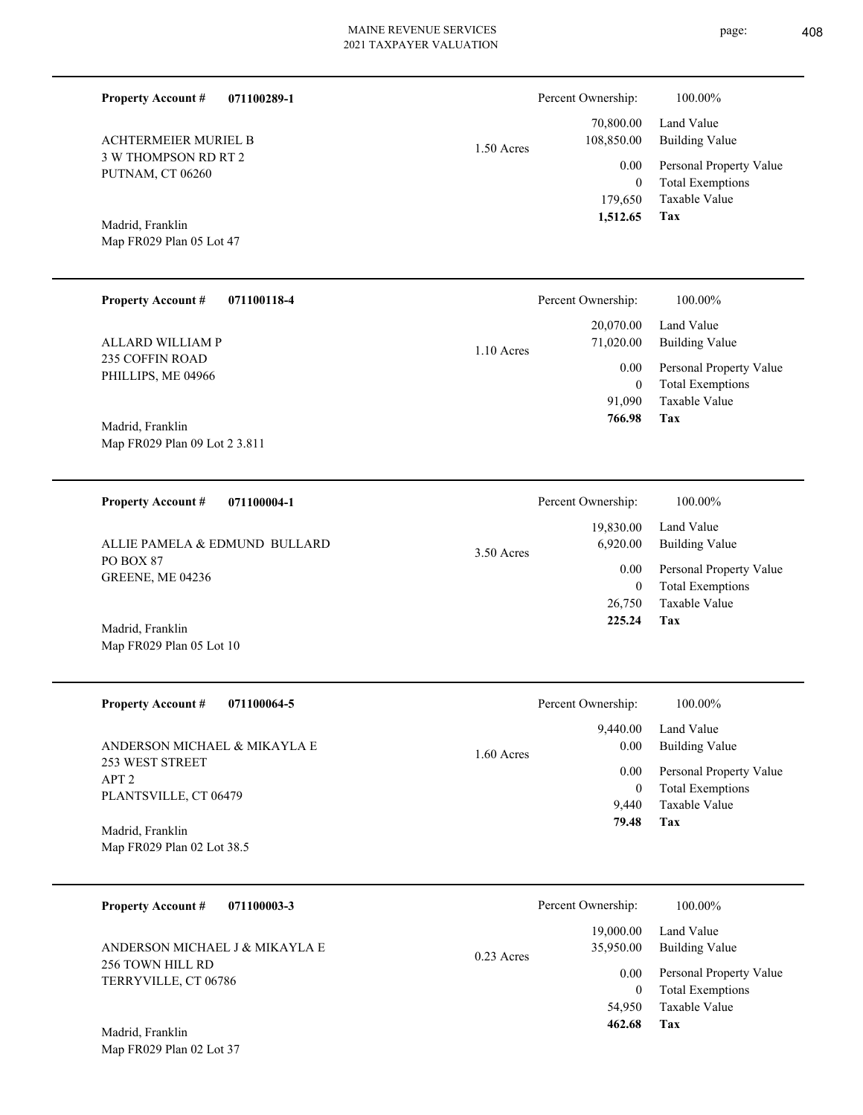1.50 Acres

**071100289-1**

3 W THOMPSON RD RT 2 PUTNAM, CT 06260 ACHTERMEIER MURIEL B

**Property Account #**

Map FR029 Plan 05 Lot 47 Madrid, Franklin

| <b>Property Account #</b><br>071100118-4     |              | Percent Ownership:     | 100.00%                                            |
|----------------------------------------------|--------------|------------------------|----------------------------------------------------|
| ALLARD WILLIAM P                             | $1.10$ Acres | 20,070.00<br>71,020.00 | Land Value<br>Building Value                       |
| <b>235 COFFIN ROAD</b><br>PHILLIPS, ME 04966 |              | 0.00<br>0              | Personal Property Value<br><b>Total Exemptions</b> |
|                                              |              | 91,090                 | Taxable Value                                      |
| Madrid, Franklin                             |              | 766.98                 | Tax                                                |

Map FR029 Plan 09 Lot 2 3.811

**071100004-1 Tax** Taxable Value Total Exemptions Personal Property Value Building Value Land Value PO BOX 87 GREENE, ME 04236 **Property Account #** ALLIE PAMELA & EDMUND BULLARD 26,750 0  **225.24** 19,830.00 6,920.00 0.00 3.50 Acres Percent Ownership:  $100.00\%$ 

| <b>Property Account #</b><br>071100064-5        | Percent Ownership:             | 100.00%                                                             |
|-------------------------------------------------|--------------------------------|---------------------------------------------------------------------|
| ANDERSON MICHAEL & MIKAYLA E<br>253 WEST STREET | 9.440.00<br>0.00<br>1.60 Acres | Land Value<br>Building Value                                        |
| APT <sub>2</sub><br>PLANTSVILLE, CT 06479       | 0.00<br>$\bf{0}$<br>9.440      | Personal Property Value<br><b>Total Exemptions</b><br>Taxable Value |
| Madrid, Franklin                                | 79.48                          | Tax                                                                 |
| Map FR029 Plan 02 Lot 38.5                      |                                |                                                                     |

| 071100003-3<br><b>Property Account #</b>           | Percent Ownership:                     | 100.00%                                                             |
|----------------------------------------------------|----------------------------------------|---------------------------------------------------------------------|
| ANDERSON MICHAEL J & MIKAYLA E<br>256 TOWN HILL RD | 19,000.00<br>35,950.00<br>$0.23$ Acres | Land Value<br>Building Value                                        |
| TERRYVILLE, CT 06786                               | 0.00<br>54,950                         | Personal Property Value<br><b>Total Exemptions</b><br>Taxable Value |
| Madrid, Franklin                                   | 462.68                                 | Tax                                                                 |

Map FR029 Plan 02 Lot 37

Personal Property Value Building Value Land Value 70,800.00 108,850.00 0.00 Percent Ownership:  $100.00\%$ 

**Tax** Taxable Value Total Exemptions 179,650 0  **1,512.65**

Map FR029 Plan 05 Lot 10 Madrid, Franklin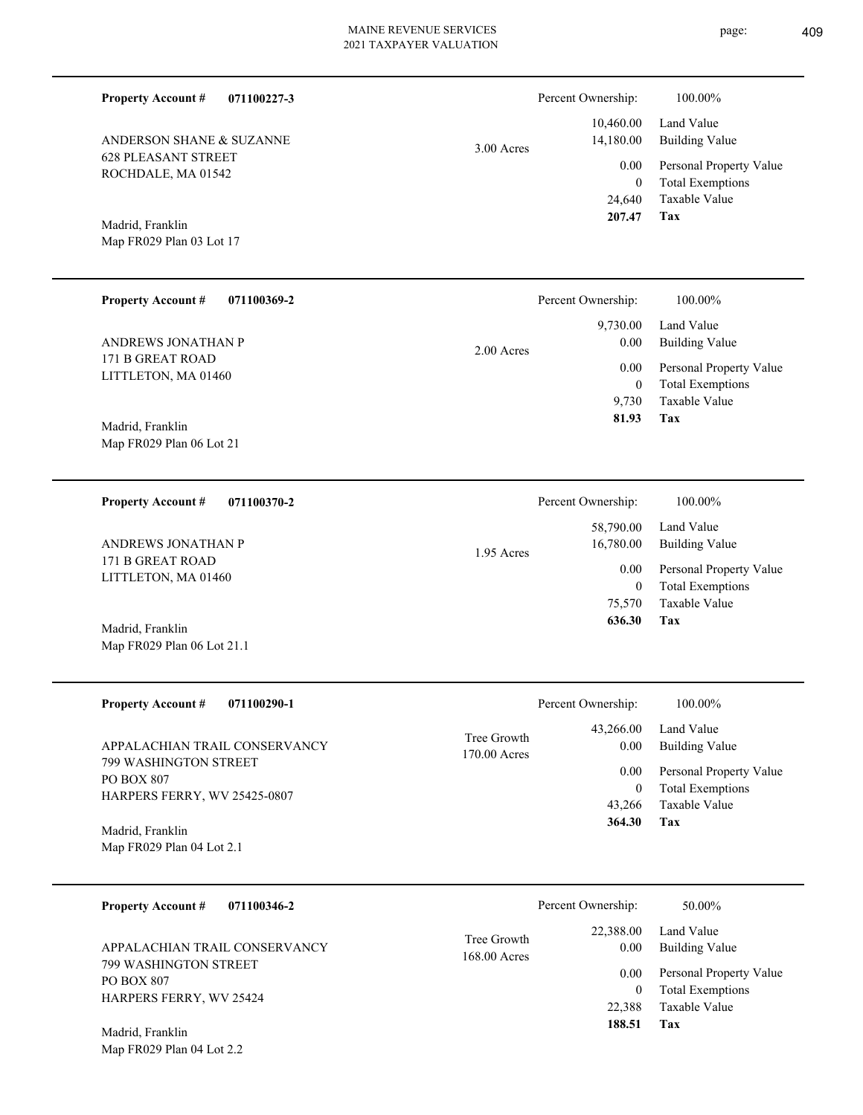| <b>Property Account #</b><br>071100227-3                            |                             | Percent Ownership:                 | 100.00%                                                             |
|---------------------------------------------------------------------|-----------------------------|------------------------------------|---------------------------------------------------------------------|
| ANDERSON SHANE & SUZANNE                                            | 3.00 Acres                  | 10,460.00<br>14,180.00             | Land Value<br><b>Building Value</b>                                 |
| <b>628 PLEASANT STREET</b><br>ROCHDALE, MA 01542                    |                             | 0.00<br>$\boldsymbol{0}$<br>24,640 | Personal Property Value<br><b>Total Exemptions</b><br>Taxable Value |
| Madrid, Franklin<br>Map FR029 Plan 03 Lot 17                        |                             | 207.47                             | <b>Tax</b>                                                          |
| <b>Property Account #</b><br>071100369-2                            |                             | Percent Ownership:                 | 100.00%                                                             |
| ANDREWS JONATHAN P                                                  | 2.00 Acres                  | 9,730.00<br>0.00                   | Land Value<br><b>Building Value</b>                                 |
| 171 B GREAT ROAD<br>LITTLETON, MA 01460                             |                             | 0.00<br>$\boldsymbol{0}$<br>9,730  | Personal Property Value<br><b>Total Exemptions</b><br>Taxable Value |
| Madrid, Franklin<br>Map FR029 Plan 06 Lot 21                        |                             | 81.93                              | Tax                                                                 |
| <b>Property Account #</b><br>071100370-2                            |                             | Percent Ownership:                 | 100.00%                                                             |
| ANDREWS JONATHAN P                                                  | 1.95 Acres                  | 58,790.00<br>16,780.00             | Land Value<br><b>Building Value</b>                                 |
| 171 B GREAT ROAD<br>LITTLETON, MA 01460                             |                             | 0.00<br>$\boldsymbol{0}$<br>75,570 | Personal Property Value<br><b>Total Exemptions</b><br>Taxable Value |
| Madrid, Franklin<br>Map FR029 Plan 06 Lot 21.1                      |                             | 636.30                             | Tax                                                                 |
| Property Account #<br>071100290-1                                   |                             | Percent Ownership:                 | 100.00%                                                             |
| APPALACHIAN TRAIL CONSERVANCY                                       | Tree Growth<br>170.00 Acres | 43,266.00<br>0.00                  | Land Value<br><b>Building Value</b>                                 |
| 799 WASHINGTON STREET<br>PO BOX 807<br>HARPERS FERRY, WV 25425-0807 |                             | 0.00<br>$\boldsymbol{0}$<br>43,266 | Personal Property Value<br><b>Total Exemptions</b><br>Taxable Value |
| Madrid, Franklin<br>Map FR029 Plan 04 Lot 2.1                       |                             | 364.30                             | Tax                                                                 |
| <b>Property Account #</b><br>071100346-2                            |                             | Percent Ownership:                 | 50.00%                                                              |
| APPALACHIAN TRAIL CONSERVANCY                                       | Tree Growth<br>168.00 Acres | 22,388.00<br>0.00                  | Land Value<br><b>Building Value</b>                                 |
| 799 WASHINGTON STREET<br>PO BOX 807<br>HARPERS FERRY, WV 25424      |                             | 0.00<br>$\boldsymbol{0}$<br>22,388 | Personal Property Value<br><b>Total Exemptions</b><br>Taxable Value |
| Madrid Franklin                                                     |                             | 188.51                             | Tax                                                                 |

Map FR029 Plan 04 Lot 2.2 Madrid, Franklin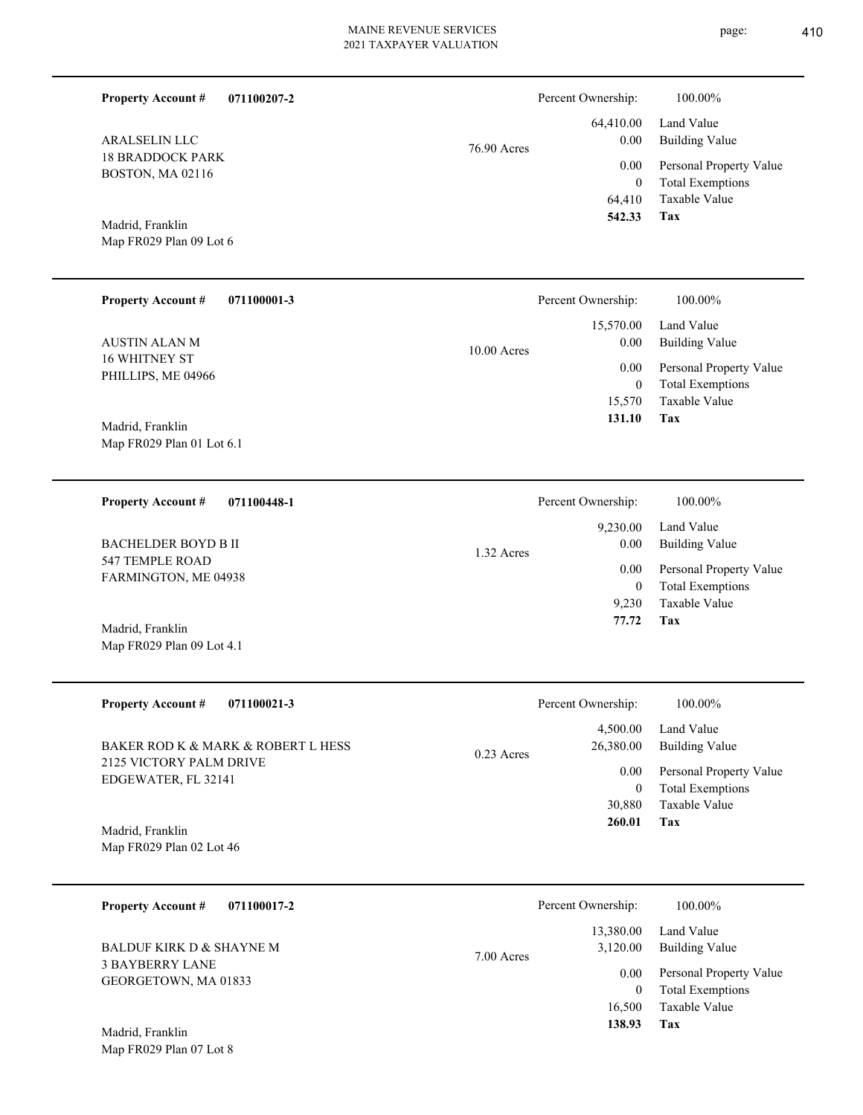**071100207-2**

**Property Account #**

Percent Ownership:  $100.00\%$ 

| <b>ARALSELIN LLC</b><br><b>18 BRADDOCK PARK</b><br>BOSTON, MA 02116<br>Madrid, Franklin<br>Map FR029 Plan 09 Lot 6 | 76.90 Acres | 64,410.00<br>0.00<br>0.00<br>$\bf{0}$<br>64,410<br>542.33 | Land Value<br><b>Building Value</b><br>Personal Property Value<br><b>Total Exemptions</b><br>Taxable Value<br>Tax |
|--------------------------------------------------------------------------------------------------------------------|-------------|-----------------------------------------------------------|-------------------------------------------------------------------------------------------------------------------|
| <b>Property Account #</b><br>071100001-3                                                                           |             | Percent Ownership:                                        | 100.00%                                                                                                           |
| <b>AUSTIN ALAN M</b>                                                                                               | 10.00 Acres | 15,570.00<br>0.00                                         | Land Value<br><b>Building Value</b>                                                                               |
| 16 WHITNEY ST<br>PHILLIPS, ME 04966                                                                                |             | 0.00<br>$\bf{0}$<br>15,570                                | Personal Property Value<br><b>Total Exemptions</b><br>Taxable Value                                               |
| Madrid, Franklin<br>Map FR029 Plan 01 Lot 6.1                                                                      |             | 131.10                                                    | Tax                                                                                                               |
| <b>Property Account #</b><br>071100448-1                                                                           |             | Percent Ownership:                                        | 100.00%                                                                                                           |
| <b>BACHELDER BOYD B II</b>                                                                                         | 1.32 Acres  | 9,230.00<br>0.00                                          | Land Value<br><b>Building Value</b>                                                                               |
| 547 TEMPLE ROAD<br>FARMINGTON, ME 04938                                                                            |             | 0.00<br>$\boldsymbol{0}$<br>9,230<br>77.72                | Personal Property Value<br><b>Total Exemptions</b><br>Taxable Value<br>Tax                                        |
| Madrid, Franklin<br>Map FR029 Plan 09 Lot 4.1                                                                      |             |                                                           |                                                                                                                   |
| <b>Property Account #</b><br>071100021-3                                                                           |             | Percent Ownership:                                        | 100.00%                                                                                                           |
| BAKER ROD K & MARK & ROBERT L HESS                                                                                 | 0.23 Acres  | 4,500.00<br>26,380.00                                     | Land Value<br><b>Building Value</b>                                                                               |
| 2125 VICTORY PALM DRIVE<br>EDGEWATER, FL 32141                                                                     |             | 0.00<br>$\bf{0}$<br>30,880                                | Personal Property Value<br><b>Total Exemptions</b><br>Taxable Value                                               |
| Madrid, Franklin<br>Map FR029 Plan 02 Lot 46                                                                       |             | 260.01                                                    | Tax                                                                                                               |
| <b>Property Account #</b><br>071100017-2                                                                           |             | Percent Ownership:                                        | 100.00%                                                                                                           |
| BALDUF KIRK D & SHAYNE M                                                                                           | 7.00 Acres  | 13,380.00<br>3,120.00                                     | Land Value<br><b>Building Value</b>                                                                               |
| <b>3 BAYBERRY LANE</b><br>GEORGETOWN, MA 01833                                                                     |             | 0.00<br>$\bf{0}$<br>16,500<br>138.93                      | Personal Property Value<br><b>Total Exemptions</b><br>Taxable Value<br>Tax                                        |
| Madrid, Franklin<br>Map FR029 Plan 07 Lot 8                                                                        |             |                                                           |                                                                                                                   |
|                                                                                                                    |             |                                                           |                                                                                                                   |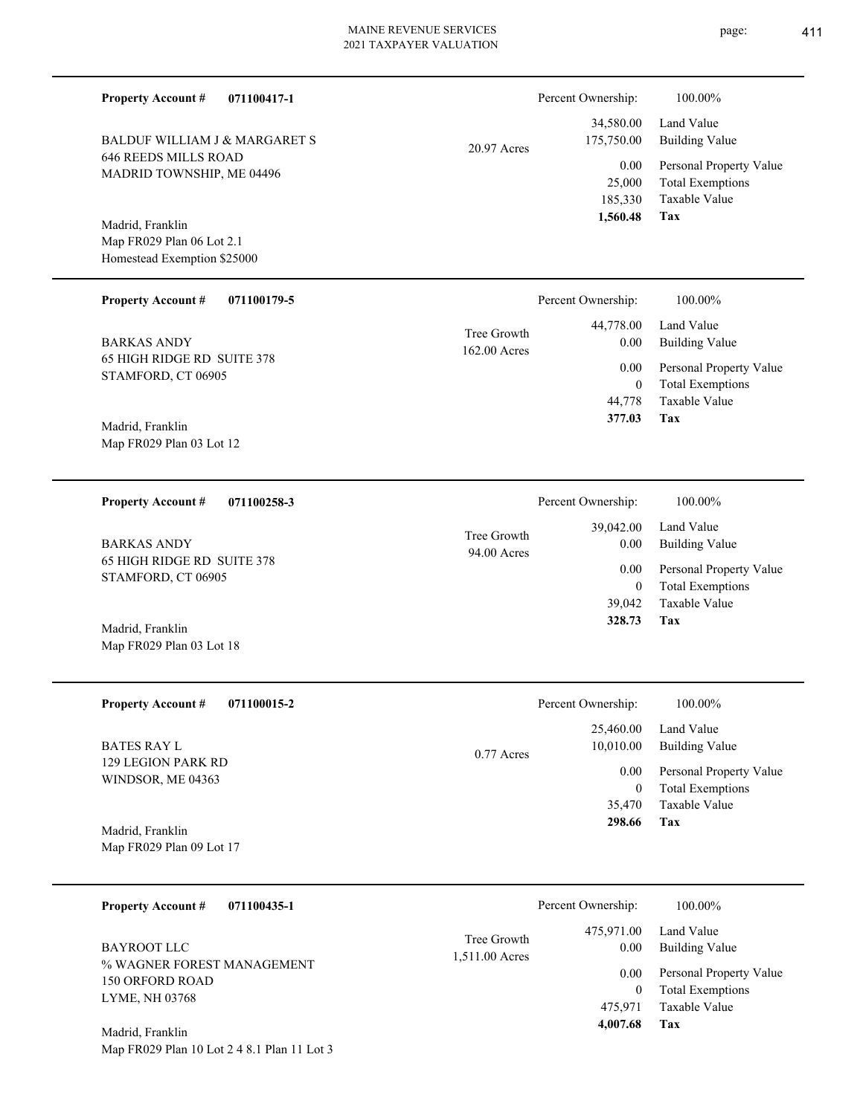|               | Percent Ownership: | 100.00%                 |
|---------------|--------------------|-------------------------|
|               |                    | 34,580.00 Land Value    |
| $20.97$ Acres |                    | 175,750.00 Building Val |

| 185,330        | Taxable Value                                      |
|----------------|----------------------------------------------------|
| 0.00<br>25,000 | Personal Property Value<br><b>Total Exemptions</b> |
|                |                                                    |
| 75,750.00      | Building Value                                     |
| 34,580.00      | Land Value                                         |

**Tax**

 39,042 0

 39,042.00 0.00 0.00

Percent Ownership:  $100.00\%$ 

 **328.73**

Taxable Value Total Exemptions Personal Property Value

Building Value Land Value

Map FR029 Plan 06 Lot 2.1 Homestead Exemption \$25000 Madrid, Franklin

646 REEDS MILLS ROAD MADRID TOWNSHIP, ME 04496

BALDUF WILLIAM J & MARGARET S

**Property Account #**

**071100417-1**

| <b>Property Account #</b><br>071100179-5         |                               | Percent Ownership: | 100.00%                      |
|--------------------------------------------------|-------------------------------|--------------------|------------------------------|
| <b>BARKAS ANDY</b>                               | Tree Growth<br>$162.00$ Acres | 44,778.00<br>0.00  | Land Value<br>Building Value |
| 65 HIGH RIDGE RD SUITE 378<br>STAMFORD, CT 06905 |                               | 0.00               | Personal Property Value      |
|                                                  |                               | 0                  | <b>Total Exemptions</b>      |
|                                                  |                               | 44.778             | Taxable Value                |
| $M = 1.1 \text{ F} = 11.$                        |                               | 377.03             | Tax                          |

94.00 Acres Tree Growth

Map FR029 Plan 03 Lot 12 Madrid, Franklin

**071100258-3 Property Account #**

65 HIGH RIDGE RD SUITE 378 STAMFORD, CT 06905 BARKAS ANDY

Map FR029 Plan 03 Lot 18 Madrid, Franklin

| <b>Property Account #</b><br>071100015-2 | Percent Ownership:        | 100.00%                 |
|------------------------------------------|---------------------------|-------------------------|
|                                          | 25,460.00                 | Land Value              |
| <b>BATES RAY L</b>                       | 10,010.00<br>$0.77$ Acres | Building Value          |
| 129 LEGION PARK RD<br>WINDSOR, ME 04363  | 0.00                      | Personal Property Value |
|                                          | 0                         | <b>Total Exemptions</b> |
|                                          | 35,470                    | Taxable Value           |
| Madrid, Franklin                         | 298.66                    | Tax                     |
| Map FR029 Plan 09 Lot 17                 |                           |                         |

| <b>Property Account #</b><br>071100435-1                                       | Percent Ownership:            |                                                   | 100.00%                                                                                                           |
|--------------------------------------------------------------------------------|-------------------------------|---------------------------------------------------|-------------------------------------------------------------------------------------------------------------------|
| BAYROOT LLC<br>% WAGNER FOREST MANAGEMENT<br>150 ORFORD ROAD<br>LYME, NH 03768 | Tree Growth<br>1,511.00 Acres | 475,971.00<br>0.00<br>0.00<br>475.971<br>4,007.68 | Land Value<br><b>Building Value</b><br>Personal Property Value<br><b>Total Exemptions</b><br>Taxable Value<br>Tax |
| Madrid, Franklin                                                               |                               |                                                   |                                                                                                                   |

Map FR029 Plan 10 Lot 2 4 8.1 Plan 11 Lot 3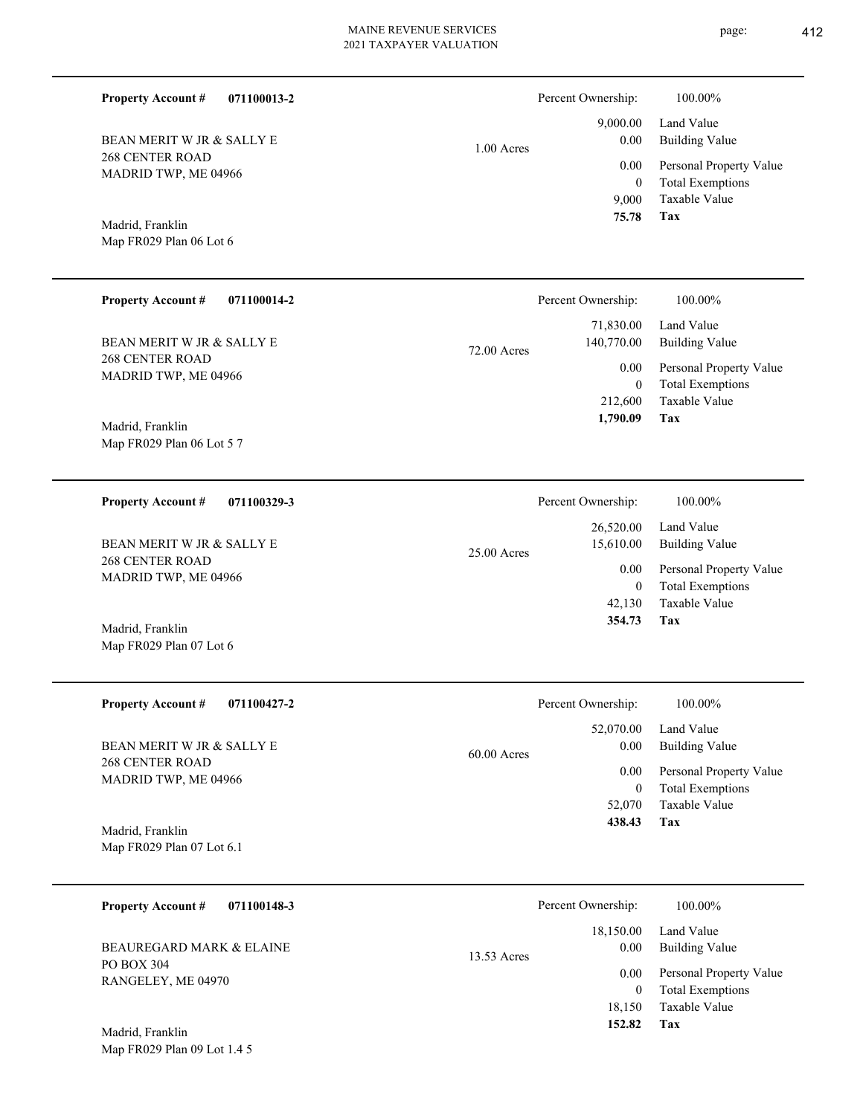page: 412

| 071100013-2                                                                                                                             | $1.00$ Acres  | Percent Ownership:                                                                    | 100.00%                                                                                                                      |
|-----------------------------------------------------------------------------------------------------------------------------------------|---------------|---------------------------------------------------------------------------------------|------------------------------------------------------------------------------------------------------------------------------|
| <b>Property Account #</b>                                                                                                               |               | 9,000.00                                                                              | Land Value                                                                                                                   |
| BEAN MERIT W JR & SALLY E                                                                                                               |               | 0.00                                                                                  | <b>Building Value</b>                                                                                                        |
| <b>268 CENTER ROAD</b>                                                                                                                  |               | 0.00                                                                                  | Personal Property Value                                                                                                      |
| MADRID TWP, ME 04966                                                                                                                    |               | $\overline{0}$                                                                        | <b>Total Exemptions</b>                                                                                                      |
| Madrid, Franklin                                                                                                                        |               | 9,000                                                                                 | Taxable Value                                                                                                                |
| Map FR029 Plan 06 Lot 6                                                                                                                 |               | 75.78                                                                                 | Tax                                                                                                                          |
| <b>Property Account #</b>                                                                                                               | 72.00 Acres   | Percent Ownership:                                                                    | 100.00%                                                                                                                      |
| 071100014-2                                                                                                                             |               | 71,830.00                                                                             | Land Value                                                                                                                   |
| BEAN MERIT W JR & SALLY E                                                                                                               |               | 140,770.00                                                                            | <b>Building Value</b>                                                                                                        |
| 268 CENTER ROAD                                                                                                                         |               | 0.00                                                                                  | Personal Property Value                                                                                                      |
| MADRID TWP, ME 04966                                                                                                                    |               | $\theta$                                                                              | <b>Total Exemptions</b>                                                                                                      |
| Madrid, Franklin                                                                                                                        |               | 212,600                                                                               | <b>Taxable Value</b>                                                                                                         |
| Map FR029 Plan 06 Lot 5 7                                                                                                               |               | 1,790.09                                                                              | Tax                                                                                                                          |
| <b>Property Account #</b>                                                                                                               | 25.00 Acres   | Percent Ownership:                                                                    | 100.00%                                                                                                                      |
| 071100329-3                                                                                                                             |               | 26,520.00                                                                             | Land Value                                                                                                                   |
| BEAN MERIT W JR & SALLY E                                                                                                               |               | 15,610.00                                                                             | <b>Building Value</b>                                                                                                        |
| <b>268 CENTER ROAD</b>                                                                                                                  |               | 0.00                                                                                  | Personal Property Value                                                                                                      |
| MADRID TWP, ME 04966                                                                                                                    |               | $\mathbf{0}$                                                                          | <b>Total Exemptions</b>                                                                                                      |
| Madrid, Franklin                                                                                                                        |               | 42,130                                                                                | <b>Taxable Value</b>                                                                                                         |
| Map FR029 Plan 07 Lot 6                                                                                                                 |               | 354.73                                                                                | Tax                                                                                                                          |
| <b>Property Account #</b>                                                                                                               | $60.00$ Acres | Percent Ownership:                                                                    | 100.00%                                                                                                                      |
| 071100427-2                                                                                                                             |               | 52,070.00                                                                             | Land Value                                                                                                                   |
| BEAN MERIT W JR & SALLY E                                                                                                               |               | 0.00                                                                                  | <b>Building Value</b>                                                                                                        |
| <b>268 CENTER ROAD</b>                                                                                                                  |               | 0.00                                                                                  | Personal Property Value                                                                                                      |
| MADRID TWP, ME 04966                                                                                                                    |               | $\overline{0}$                                                                        | <b>Total Exemptions</b>                                                                                                      |
| Madrid, Franklin                                                                                                                        |               | 52,070                                                                                | Taxable Value                                                                                                                |
| Map FR029 Plan 07 Lot 6.1                                                                                                               |               | 438.43                                                                                | Tax                                                                                                                          |
| <b>Property Account #</b><br>071100148-3<br><b>BEAUREGARD MARK &amp; ELAINE</b><br>PO BOX 304<br>RANGELEY, ME 04970<br>Madrid, Franklin | 13.53 Acres   | Percent Ownership:<br>18,150.00<br>0.00<br>0.00<br>$\overline{0}$<br>18,150<br>152.82 | 100.00%<br>Land Value<br><b>Building Value</b><br>Personal Property Value<br><b>Total Exemptions</b><br>Taxable Value<br>Tax |

Map FR029 Plan 09 Lot 1.4 5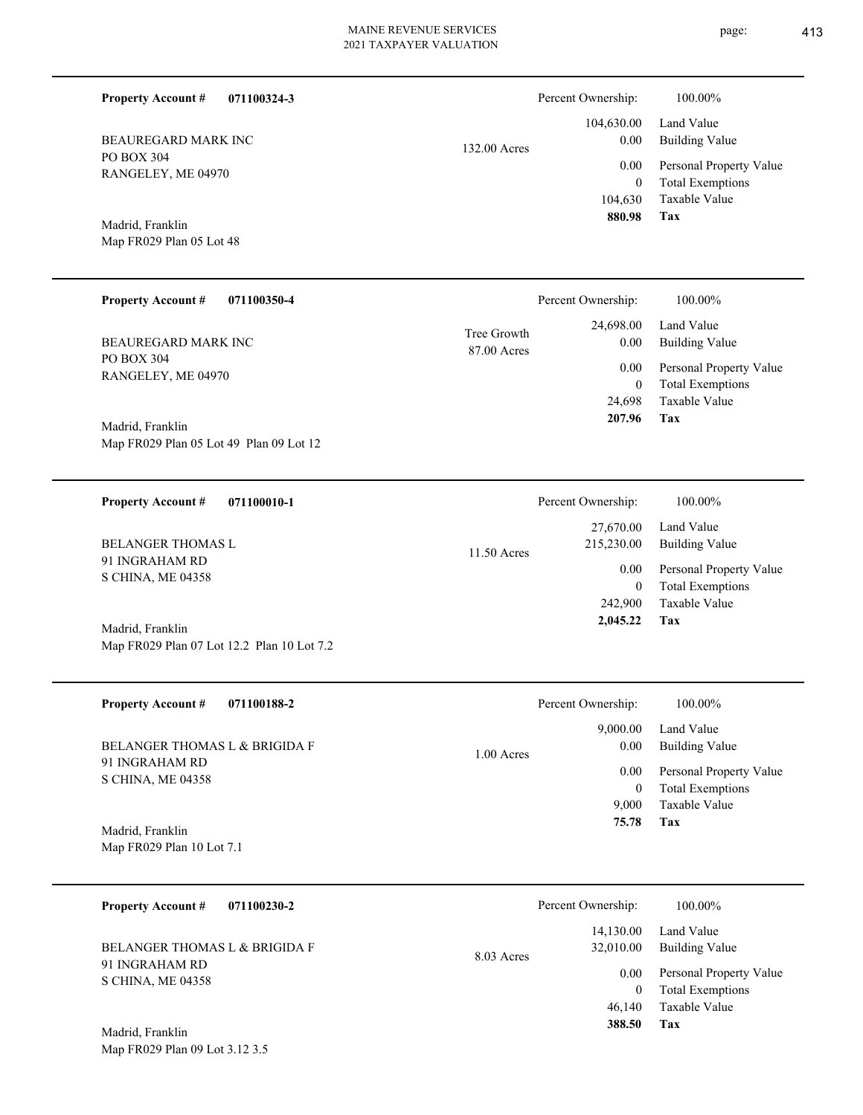page: 413

| <b>Property Account #</b><br>071100324-3                       |                            | Percent Ownership:                          | 100.00%                                                                    |
|----------------------------------------------------------------|----------------------------|---------------------------------------------|----------------------------------------------------------------------------|
| BEAUREGARD MARK INC                                            | 132.00 Acres               | 104,630.00<br>0.00                          | Land Value<br><b>Building Value</b>                                        |
| PO BOX 304<br>RANGELEY, ME 04970                               |                            | 0.00<br>$\mathbf{0}$<br>104,630             | Personal Property Value<br><b>Total Exemptions</b><br>Taxable Value        |
| Madrid, Franklin<br>Map FR029 Plan 05 Lot 48                   |                            | 880.98                                      | Tax                                                                        |
| <b>Property Account #</b><br>071100350-4                       |                            | Percent Ownership:                          | 100.00%                                                                    |
| BEAUREGARD MARK INC                                            | Tree Growth<br>87.00 Acres | 24,698.00<br>0.00                           | Land Value<br><b>Building Value</b>                                        |
| PO BOX 304<br>RANGELEY, ME 04970<br>Madrid, Franklin           |                            | 0.00<br>$\mathbf{0}$<br>24,698<br>207.96    | Personal Property Value<br><b>Total Exemptions</b><br>Taxable Value<br>Tax |
| Map FR029 Plan 05 Lot 49 Plan 09 Lot 12                        |                            |                                             |                                                                            |
| <b>Property Account #</b><br>071100010-1                       |                            | Percent Ownership:                          | 100.00%                                                                    |
| <b>BELANGER THOMAS L</b>                                       | 11.50 Acres                | 27,670.00<br>215,230.00                     | Land Value<br><b>Building Value</b>                                        |
| 91 INGRAHAM RD<br>S CHINA, ME 04358                            |                            | 0.00<br>$\mathbf{0}$<br>242,900<br>2,045.22 | Personal Property Value<br><b>Total Exemptions</b><br>Taxable Value<br>Tax |
| Madrid, Franklin<br>Map FR029 Plan 07 Lot 12.2 Plan 10 Lot 7.2 |                            |                                             |                                                                            |
| Property Account #<br>071100188-2                              |                            | Percent Ownership:                          | 100.00%                                                                    |
| BELANGER THOMAS L & BRIGIDA F                                  | $1.00$ Acres               | 9,000.00<br>0.00                            | Land Value<br><b>Building Value</b>                                        |
| 91 INGRAHAM RD<br>S CHINA, ME 04358                            |                            | 0.00<br>$\bf{0}$<br>9,000<br>75.78          | Personal Property Value<br><b>Total Exemptions</b><br>Taxable Value<br>Tax |
| Madrid, Franklin<br>Map FR029 Plan 10 Lot 7.1                  |                            |                                             |                                                                            |
| 071100230-2<br><b>Property Account #</b>                       |                            | Percent Ownership:                          | 100.00%                                                                    |
| BELANGER THOMAS L & BRIGIDA F                                  | 8.03 Acres                 | 14,130.00<br>32,010.00                      | Land Value<br><b>Building Value</b>                                        |
| 91 INGRAHAM RD<br>S CHINA, ME 04358                            |                            | 0.00<br>$\mathbf{0}$<br>46,140<br>388.50    | Personal Property Value<br><b>Total Exemptions</b><br>Taxable Value<br>Tax |
| Madrid, Franklin<br>Map FR029 Plan 09 Lot 3.12 3.5             |                            |                                             |                                                                            |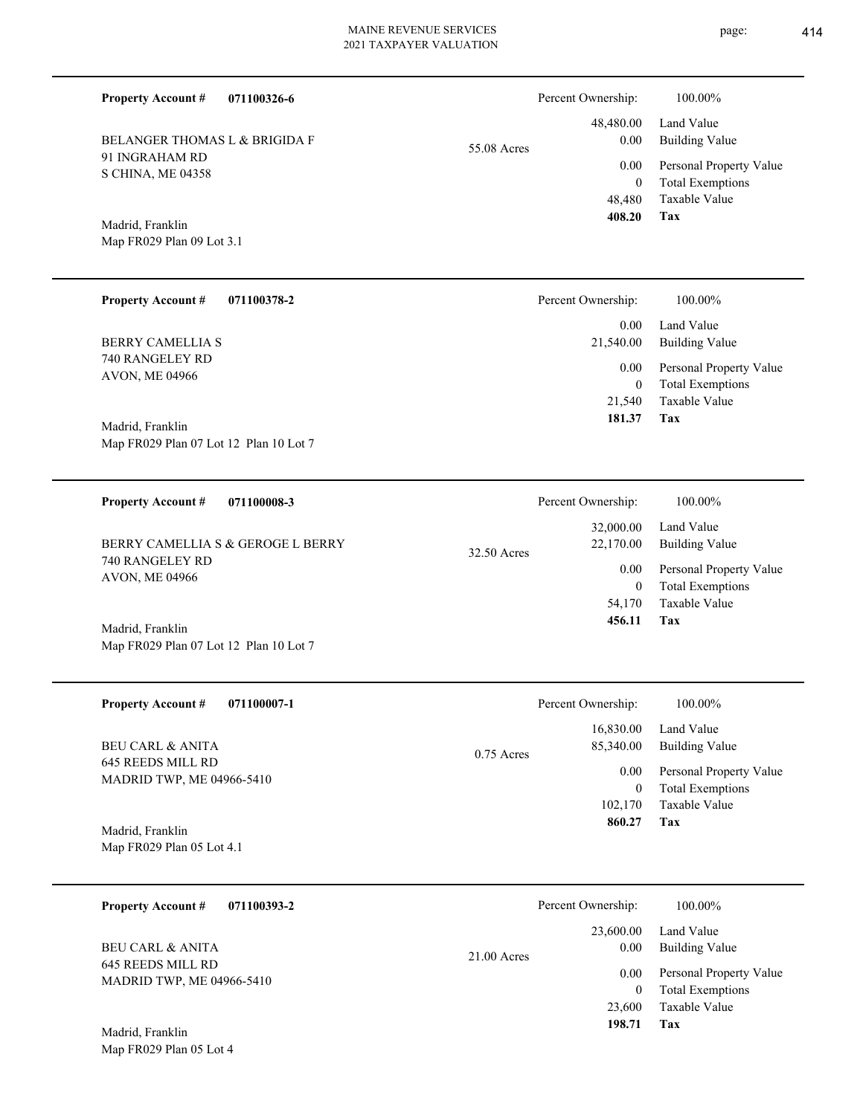48,480.00 Percent Ownership:  $100.00\%$ 

|             | 408.20   | Tax                          |
|-------------|----------|------------------------------|
|             |          | 48,480 Taxable Value         |
|             | $\Omega$ | <b>Total Exemptions</b>      |
|             |          | 0.00 Personal Property Value |
| 55.08 Acres | 0.00     | Building Value               |
|             |          | 48,480.00 Land Value         |

Map FR029 Plan 09 Lot 3.1 Madrid, Franklin

91 INGRAHAM RD S CHINA, ME 04358

BELANGER THOMAS L & BRIGIDA F

Map FR029 Plan 07 Lot 12 Plan 10 Lot 7

**Property Account #**

**071100326-6**

| <b>Property Account #</b><br>071100378-2 | Percent Ownership: | 100.00%                                            |
|------------------------------------------|--------------------|----------------------------------------------------|
| BERRY CAMELLIA S                         | 0.00<br>21,540.00  | Land Value<br>Building Value                       |
| 740 RANGELEY RD<br><b>AVON, ME 04966</b> | 0.00<br>0          | Personal Property Value<br><b>Total Exemptions</b> |
|                                          | 21,540             | Taxable Value                                      |
| Madrid, Franklin                         | 181.37             | Tax                                                |
| Map FR029 Plan 07 Lot 12 Plan 10 Lot 7   |                    |                                                    |

| 071100008-3<br><b>Property Account #</b>             | Percent Ownership:                    | 100.00%                                            |
|------------------------------------------------------|---------------------------------------|----------------------------------------------------|
| BERRY CAMELLIA S & GEROGE L BERRY<br>740 RANGELEY RD | 32,000.00<br>22,170.00<br>32.50 Acres | Land Value<br>Building Value                       |
| <b>AVON, ME 04966</b>                                | 0.00<br>0                             | Personal Property Value<br><b>Total Exemptions</b> |
|                                                      | 54,170                                | Taxable Value                                      |
| Madrid, Franklin                                     | 456.11                                | Tax                                                |

| <b>Property Account #</b><br>071100007-1              | Percent Ownership:                     | 100.00%                                            |
|-------------------------------------------------------|----------------------------------------|----------------------------------------------------|
| <b>BEU CARL &amp; ANITA</b>                           | 16,830.00<br>85,340.00<br>$0.75$ Acres | Land Value<br>Building Value                       |
| 645 REEDS MILL RD<br><b>MADRID TWP, ME 04966-5410</b> | 0.00<br>$\bf{0}$                       | Personal Property Value<br><b>Total Exemptions</b> |
|                                                       | 102,170                                | Taxable Value                                      |
| Madrid, Franklin<br>Map FR029 Plan 05 Lot 4.1         | 860.27                                 | Tax                                                |

| 071100393-2<br><b>Property Account #</b>              | Percent Ownership:    | 100.00%                                            |
|-------------------------------------------------------|-----------------------|----------------------------------------------------|
| <b>BEU CARL &amp; ANITA</b>                           | 23,600.00<br>0.00     | Land Value<br>Building Value                       |
| 645 REEDS MILL RD<br><b>MADRID TWP, ME 04966-5410</b> | $21.00$ Acres<br>0.00 | Personal Property Value<br><b>Total Exemptions</b> |
| Madrid, Franklin                                      | 23,600<br>198.71      | Taxable Value<br>Tax                               |

page: 414

Map FR029 Plan 05 Lot 4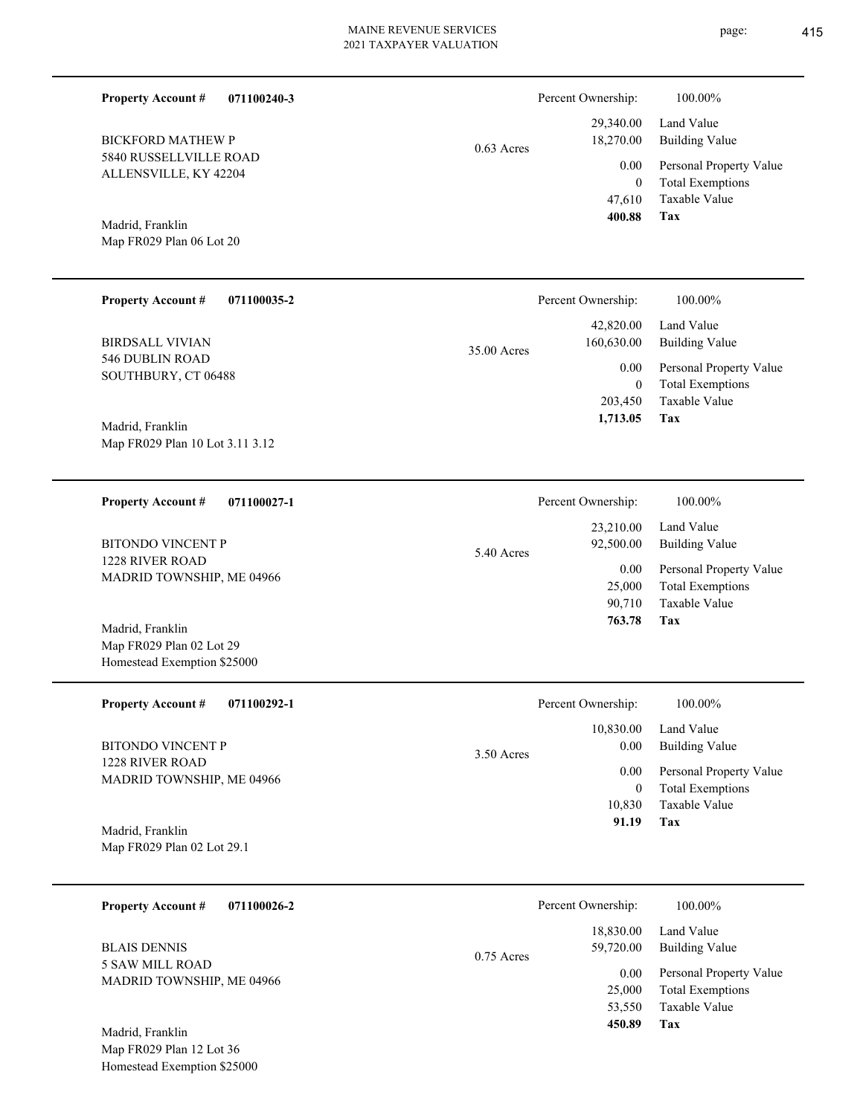**071100240-3**

5840 RUSSELLVILLE ROAD ALLENSVILLE, KY 42204 BICKFORD MATHEW P

**Property Account #**

Map FR029 Plan 06 Lot 20 Madrid, Franklin

| <b>Property Account #</b><br>071100035-2            | Percent Ownership:                     | 100.00%                                            |
|-----------------------------------------------------|----------------------------------------|----------------------------------------------------|
| <b>BIRDSALL VIVIAN</b>                              | 42,820.00<br>160,630.00<br>35.00 Acres | Land Value<br>Building Value                       |
| 546 DUBLIN ROAD<br>SOUTHBURY, CT 06488              | 0.00<br>$\overline{0}$                 | Personal Property Value<br><b>Total Exemptions</b> |
|                                                     | 203,450                                | Taxable Value                                      |
| Madrid, Franklin<br>Map FR029 Plan 10 Lot 3.11 3.12 | 1,713.05                               | Tax                                                |

**071100027-1** Taxable Value Total Exemptions Personal Property Value Building Value Land Value 1228 RIVER ROAD MADRID TOWNSHIP, ME 04966 **Property Account #** BITONDO VINCENT P 90,710 25,000 23,210.00 92,500.00 0.00 5.40 Acres Percent Ownership:  $100.00\%$ 

**071100292-1 Tax** Taxable Value Total Exemptions Personal Property Value Building Value Land Value 1228 RIVER ROAD MADRID TOWNSHIP, ME 04966 **Property Account #** Madrid, Franklin BITONDO VINCENT P 10,830 0  **91.19** 10,830.00 0.00 0.00 3.50 Acres Percent Ownership:  $100.00\%$ 

Map FR029 Plan 02 Lot 29.1

Map FR029 Plan 02 Lot 29 Homestead Exemption \$25000

Madrid, Franklin

| 071100026-2<br><b>Property Account #</b>     | Percent Ownership:                     | 100.00%                                  |
|----------------------------------------------|----------------------------------------|------------------------------------------|
| <b>BLAIS DENNIS</b>                          | 18,830.00<br>59,720.00<br>$0.75$ Acres | Land Value<br><b>Building Value</b>      |
| 5 SAW MILL ROAD<br>MADRID TOWNSHIP, ME 04966 | 0.00                                   | Personal Property Value                  |
|                                              | 25,000<br>53,550                       | <b>Total Exemptions</b><br>Taxable Value |
| Madrid, Franklin                             | 450.89                                 | Tax                                      |

Map FR029 Plan 12 Lot 36 Homestead Exemption \$25000



| 92,500.00 | Building Value          |
|-----------|-------------------------|
| 0.00      | Personal Property Valu  |
| 25,000    | <b>Total Exemptions</b> |
| 90,710    | Taxable Value           |
| 763.78    | Tax                     |
|           |                         |
|           |                         |
|           |                         |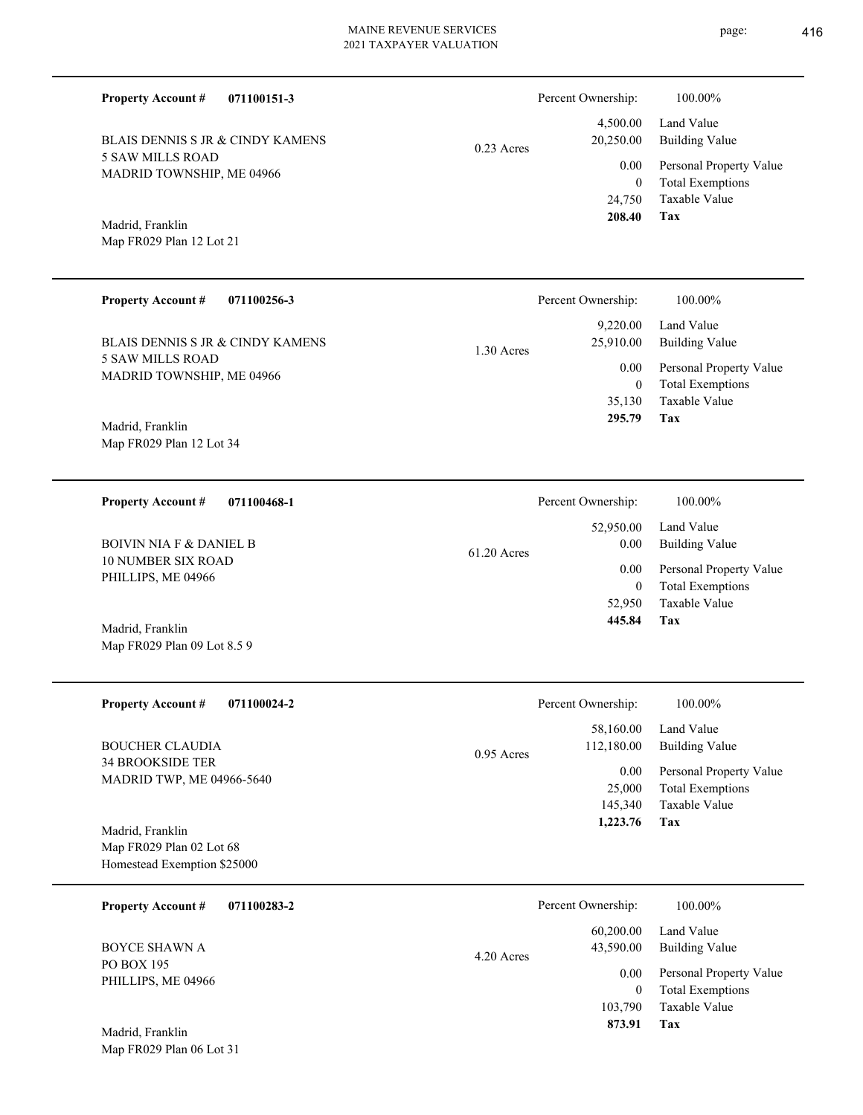Percent Ownership:  $100.00\%$ 

|              | 208.40                  | Tax                          |
|--------------|-------------------------|------------------------------|
|              |                         | 24,750 Taxable Value         |
|              | $\theta$                | <b>Total Exemptions</b>      |
|              |                         | 0.00 Personal Property Value |
| $0.23$ Acres | 20,250.00               | Building Value               |
|              |                         | 4,500.00 Land Value          |
|              | $1$ erective ownership. | 100.0070                     |

Map FR029 Plan 12 Lot 21 Madrid, Franklin

Map FR029 Plan 09 Lot 8.5 9

MADRID TOWNSHIP, ME 04966

BLAIS DENNIS S JR & CINDY KAMENS

5 SAW MILLS ROAD

**Property Account #**

**071100151-3**

| <b>Property Account #</b><br>071100256-3 | Percent Ownership:        | $100.00\%$              |
|------------------------------------------|---------------------------|-------------------------|
|                                          | 9,220.00                  | Land Value              |
| BLAIS DENNIS S JR & CINDY KAMENS         | 25,910.00<br>$1.30$ Acres | Building Value          |
| 5 SAW MILLS ROAD                         | 0.00                      | Personal Property Value |
| MADRID TOWNSHIP, ME 04966                | $\mathbf{0}$              | <b>Total Exemptions</b> |
|                                          | 35,130                    | Taxable Value           |
| Madrid, Franklin                         | 295.79                    | Tax                     |
| Map FR029 Plan 12 Lot 34                 |                           |                         |

| 071100468-1<br><b>Property Account #</b>             | Percent Ownership:    | 100.00%                 |
|------------------------------------------------------|-----------------------|-------------------------|
|                                                      | 52,950.00             | Land Value              |
| BOIVIN NIA F & DANIEL B<br><b>10 NUMBER SIX ROAD</b> | 0.00<br>$61.20$ Acres | Building Value          |
| PHILLIPS, ME 04966                                   | 0.00                  | Personal Property Value |
|                                                      | 0                     | <b>Total Exemptions</b> |
|                                                      | 52.950                | Taxable Value           |
| Madrid, Franklin                                     | 445.84                | Tax                     |

| <b>Property Account #</b><br>071100024-2                                    | Percent Ownership:                             | 100.00%                                                             |
|-----------------------------------------------------------------------------|------------------------------------------------|---------------------------------------------------------------------|
| <b>BOUCHER CLAUDIA</b>                                                      | 58,160.00<br>112,180.00<br>$0.95$ Acres        | Land Value<br><b>Building Value</b>                                 |
| <b>34 BROOKSIDE TER</b><br><b>MADRID TWP, ME 04966-5640</b>                 | 0.00<br>25,000<br>145,340                      | Personal Property Value<br><b>Total Exemptions</b><br>Taxable Value |
| Madrid, Franklin<br>Map FR029 Plan 02 Lot 68<br>Homestead Exemption \$25000 | 1,223.76                                       | Tax                                                                 |
| -07110022.3<br>Dreamanter A against $\mu$                                   | $D$ <sub>argant</sub> $O$ <sub>umargh</sub> in | 100.000/                                                            |

| Percent Ownership:     | 100.00%                                            |
|------------------------|----------------------------------------------------|
| 60,200.00<br>43,590.00 | Land Value<br>Building Value                       |
| 0.00<br>0              | Personal Property Value<br><b>Total Exemptions</b> |
| 103,790                | Taxable Value                                      |
| 873.91                 | Tax                                                |
|                        | 4.20 Acres                                         |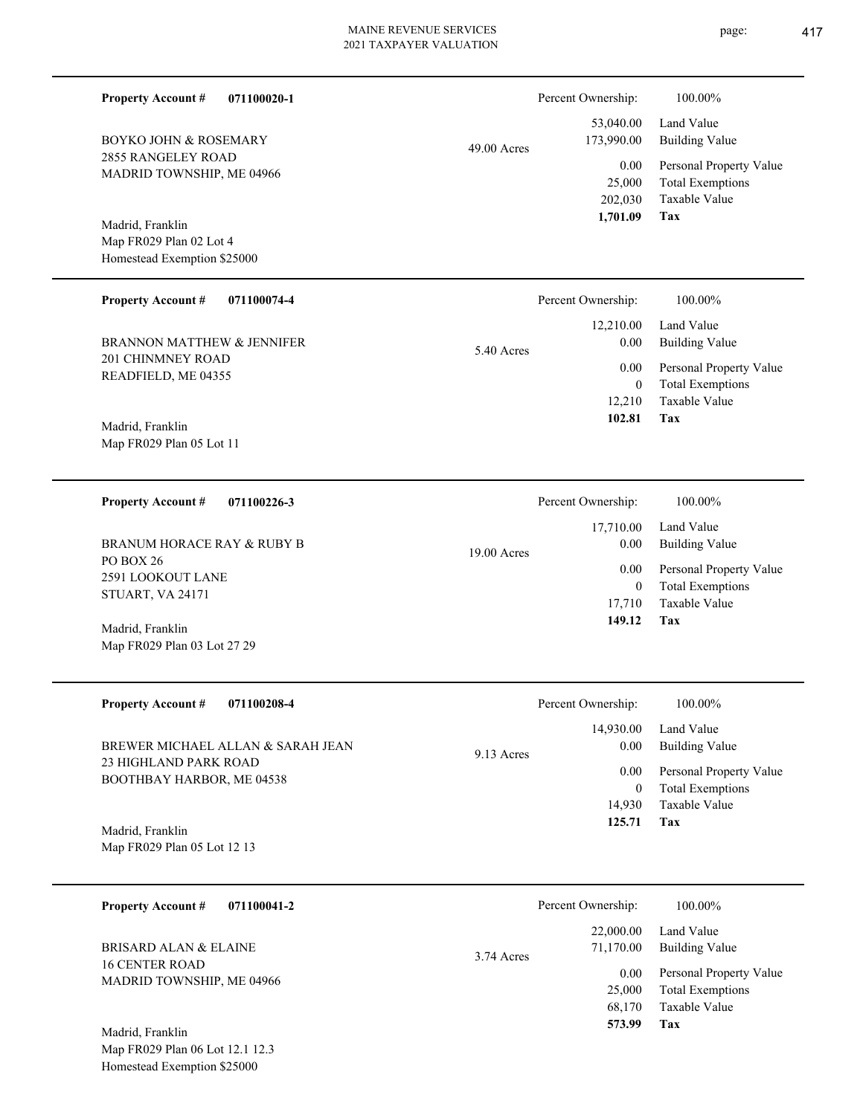| <b>Property Account #</b><br>071100020-1           |             | Percent Ownership:        | 100.00%                                                             |
|----------------------------------------------------|-------------|---------------------------|---------------------------------------------------------------------|
| <b>BOYKO JOHN &amp; ROSEMARY</b>                   | 49.00 Acres | 53,040.00<br>173,990.00   | Land Value<br><b>Building Value</b>                                 |
| 2855 RANGELEY ROAD<br>MADRID TOWNSHIP, ME 04966    |             | 0.00<br>25,000<br>202,030 | Personal Property Value<br><b>Total Exemptions</b><br>Taxable Value |
| Madrid, Franklin                                   |             | 1,701.09                  | Tax                                                                 |
| Map FR029 Plan 02 Lot 4                            |             |                           |                                                                     |
| Homestead Exemption \$25000                        |             |                           |                                                                     |
| <b>Property Account #</b><br>071100074-4           |             | Percent Ownership:        | 100.00%                                                             |
|                                                    |             | 12,210.00                 | Land Value                                                          |
| BRANNON MATTHEW & JENNIFER                         | 5.40 Acres  | 0.00                      | <b>Building Value</b>                                               |
| 201 CHINMNEY ROAD<br>READFIELD, ME 04355           |             | 0.00                      | Personal Property Value                                             |
|                                                    |             | $\overline{0}$            | <b>Total Exemptions</b>                                             |
|                                                    |             | 12,210<br>102.81          | Taxable Value<br>Tax                                                |
| Madrid, Franklin                                   |             |                           |                                                                     |
| Map FR029 Plan 05 Lot 11                           |             |                           |                                                                     |
| <b>Property Account #</b><br>071100226-3           |             | Percent Ownership:        | 100.00%                                                             |
|                                                    |             | 17,710.00                 | Land Value                                                          |
| <b>BRANUM HORACE RAY &amp; RUBY B</b>              |             | 0.00                      | <b>Building Value</b>                                               |
| PO BOX 26                                          | 19.00 Acres | 0.00                      |                                                                     |
| 2591 LOOKOUT LANE                                  |             | $\overline{0}$            | Personal Property Value<br><b>Total Exemptions</b>                  |
| STUART, VA 24171                                   |             | 17,710                    | <b>Taxable Value</b>                                                |
| Madrid, Franklin                                   |             | 149.12                    | Tax                                                                 |
| Map FR029 Plan 03 Lot 27 29                        |             |                           |                                                                     |
| <b>Property Account #</b><br>071100208-4           |             | Percent Ownership:        | 100.00%                                                             |
|                                                    |             | 14,930.00                 | Land Value                                                          |
| BREWER MICHAEL ALLAN & SARAH JEAN                  | 9.13 Acres  | 0.00                      | <b>Building Value</b>                                               |
| 23 HIGHLAND PARK ROAD<br>BOOTHBAY HARBOR, ME 04538 |             | 0.00                      | Personal Property Value                                             |
|                                                    |             | $\overline{0}$<br>14,930  | <b>Total Exemptions</b><br>Taxable Value                            |
|                                                    |             | 125.71                    | Tax                                                                 |
| Madrid, Franklin<br>Map FR029 Plan 05 Lot 12 13    |             |                           |                                                                     |
|                                                    |             |                           |                                                                     |
| <b>Property Account #</b><br>071100041-2           |             | Percent Ownership:        | 100.00%                                                             |
| <b>BRISARD ALAN &amp; ELAINE</b>                   | 3.74 Acres  | 22,000.00<br>71,170.00    | Land Value<br><b>Building Value</b>                                 |
| <b>16 CENTER ROAD</b>                              |             | 0.00                      | Personal Property Value                                             |
| MADRID TOWNSHIP, ME 04966                          |             | 25,000                    | <b>Total Exemptions</b>                                             |
|                                                    |             | 68,170                    | Taxable Value                                                       |
| Madrid, Franklin                                   |             | 573.99                    | Tax                                                                 |
| Map FR029 Plan 06 Lot 12.1 12.3                    |             |                           |                                                                     |

Homestead Exemption \$25000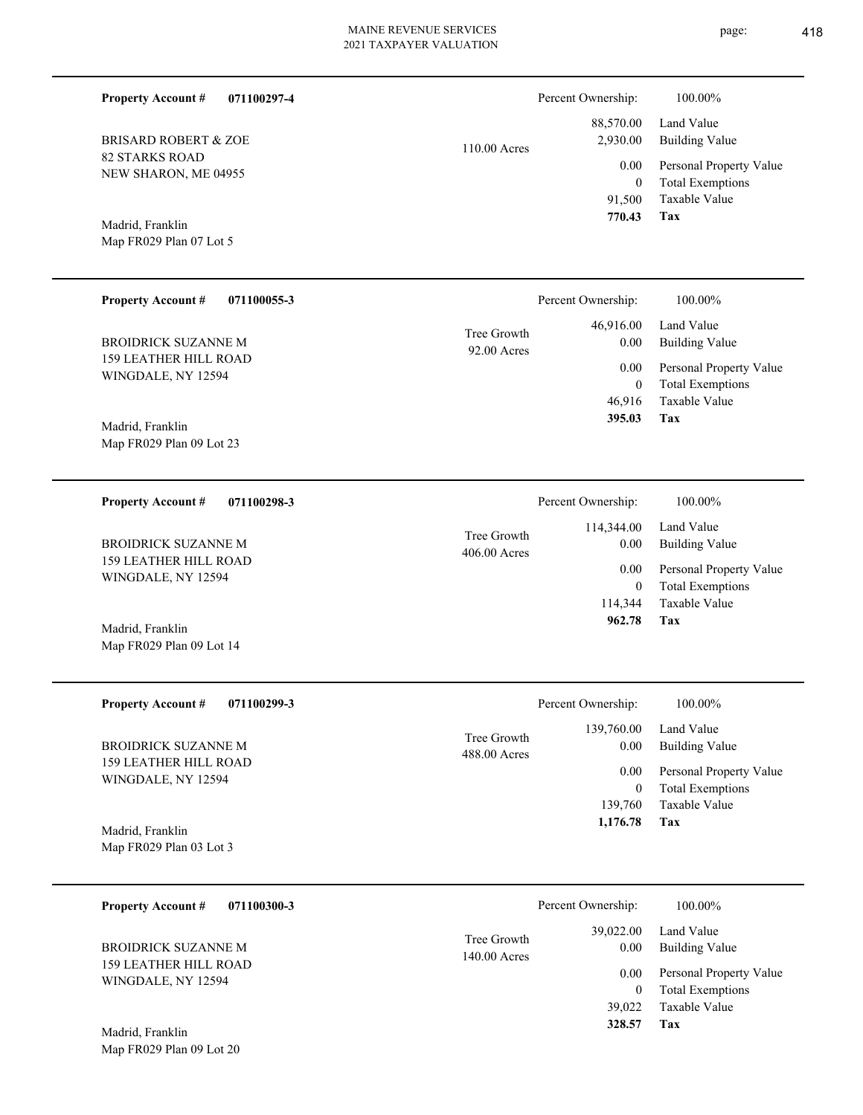**Tax 328.57**

| <b>Property Account #</b><br>071100297-4           |                             | Percent Ownership:                       | 100.00%                                                                    |
|----------------------------------------------------|-----------------------------|------------------------------------------|----------------------------------------------------------------------------|
| <b>BRISARD ROBERT &amp; ZOE</b>                    | 110.00 Acres                | 88,570.00<br>2,930.00                    | Land Value<br><b>Building Value</b>                                        |
| <b>82 STARKS ROAD</b><br>NEW SHARON, ME 04955      |                             | 0.00<br>$\mathbf{0}$<br>91,500<br>770.43 | Personal Property Value<br><b>Total Exemptions</b><br>Taxable Value<br>Tax |
| Madrid, Franklin<br>Map FR029 Plan 07 Lot 5        |                             |                                          |                                                                            |
| <b>Property Account #</b><br>071100055-3           |                             | Percent Ownership:                       | 100.00%                                                                    |
| <b>BROIDRICK SUZANNE M</b>                         | Tree Growth<br>92.00 Acres  | 46,916.00<br>0.00                        | Land Value<br><b>Building Value</b>                                        |
| <b>159 LEATHER HILL ROAD</b><br>WINGDALE, NY 12594 |                             | 0.00<br>$\mathbf{0}$                     | Personal Property Value<br><b>Total Exemptions</b>                         |
| Madrid, Franklin                                   |                             | 46,916<br>395.03                         | Taxable Value<br>Tax                                                       |
| Map FR029 Plan 09 Lot 23                           |                             |                                          |                                                                            |
| <b>Property Account #</b><br>071100298-3           |                             | Percent Ownership:                       | 100.00%                                                                    |
| <b>BROIDRICK SUZANNE M</b>                         | Tree Growth<br>406.00 Acres | 114,344.00<br>0.00                       | Land Value<br><b>Building Value</b>                                        |
| <b>159 LEATHER HILL ROAD</b><br>WINGDALE, NY 12594 |                             | 0.00<br>$\mathbf{0}$<br>114,344          | Personal Property Value<br><b>Total Exemptions</b><br><b>Taxable Value</b> |
| Madrid, Franklin<br>Map FR029 Plan 09 Lot 14       |                             | 962.78                                   | Tax                                                                        |
| <b>Property Account #</b><br>071100299-3           |                             | Percent Ownership:                       | 100.00%                                                                    |
| <b>BROIDRICK SUZANNE M</b>                         | Tree Growth<br>488.00 Acres | 139,760.00<br>0.00                       | Land Value<br><b>Building Value</b>                                        |
| <b>159 LEATHER HILL ROAD</b><br>WINGDALE, NY 12594 |                             | 0.00<br>$\mathbf{0}$<br>139,760          | Personal Property Value<br><b>Total Exemptions</b><br>Taxable Value<br>Tax |
| Madrid, Franklin<br>Map FR029 Plan 03 Lot 3        |                             | 1,176.78                                 |                                                                            |
| <b>Property Account #</b><br>071100300-3           |                             | Percent Ownership:                       | 100.00%                                                                    |
| <b>BROIDRICK SUZANNE M</b>                         | Tree Growth<br>140.00 Acres | 39,022.00<br>0.00                        | Land Value<br><b>Building Value</b>                                        |
| 159 LEATHER HILL ROAD<br>WINGDALE, NY 12594        |                             | 0.00<br>$\overline{0}$<br>39,022         | Personal Property Value<br><b>Total Exemptions</b><br>Taxable Value        |

Map FR029 Plan 09 Lot 20 Madrid, Franklin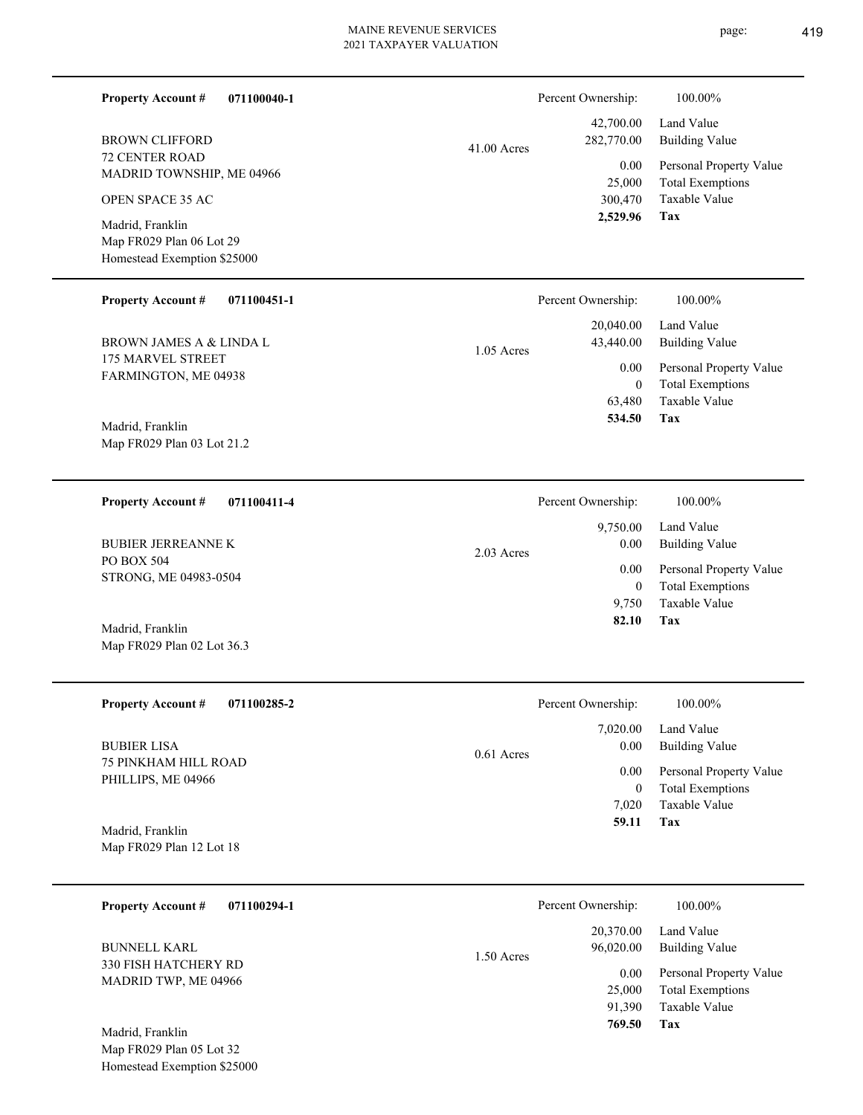| <b>Property Account #</b><br>071100040-1                                                        |               | Percent Ownership:                                               | 100.00%                                                                                                                  |
|-------------------------------------------------------------------------------------------------|---------------|------------------------------------------------------------------|--------------------------------------------------------------------------------------------------------------------------|
| <b>BROWN CLIFFORD</b><br><b>72 CENTER ROAD</b><br>MADRID TOWNSHIP, ME 04966<br>OPEN SPACE 35 AC | $41.00$ Acres | 42,700.00<br>282,770.00<br>0.00<br>25,000<br>300,470<br>2,529.96 | Land Value<br><b>Building Value</b><br>Personal Property Value<br><b>Total Exemptions</b><br>Taxable Value<br><b>Tax</b> |
| Madrid, Franklin<br>Map FR029 Plan 06 Lot 29<br>Homestead Exemption \$25000                     |               |                                                                  |                                                                                                                          |
| <b>Property Account #</b><br>071100451-1                                                        |               | Percent Ownership:                                               | 100.00%                                                                                                                  |
| <b>BROWN JAMES A &amp; LINDA L</b>                                                              | $1.05$ Acres  | 20,040.00<br>43,440.00                                           | Land Value<br><b>Building Value</b>                                                                                      |
| 175 MARVEL STREET<br>FARMINGTON, ME 04938                                                       |               | 0.00<br>$\overline{0}$                                           | Personal Property Value<br><b>Total Exemptions</b>                                                                       |
| Madrid, Franklin<br>Map FR029 Plan 03 Lot 21.2                                                  |               | 63,480<br>534.50                                                 | Taxable Value<br><b>Tax</b>                                                                                              |
| <b>Property Account #</b><br>071100411-4                                                        |               | Percent Ownership:                                               | 100.00%                                                                                                                  |
| <b>BUBIER JERREANNE K</b>                                                                       |               | 9,750.00<br>0.00                                                 | Land Value<br><b>Building Value</b>                                                                                      |
| PO BOX 504<br>STRONG, ME 04983-0504                                                             | 2.03 Acres    | 0.00<br>$\mathbf{0}$<br>9,750<br>82.10                           | Personal Property Value<br><b>Total Exemptions</b><br>Taxable Value<br>Tax                                               |
| Madrid, Franklin<br>Map FR029 Plan 02 Lot 36.3                                                  |               |                                                                  |                                                                                                                          |
| Property Account #<br>071100285-2                                                               |               | Percent Ownership:                                               | 100.00%                                                                                                                  |
| <b>BUBIER LISA</b>                                                                              |               | 7,020.00<br>0.00                                                 | Land Value<br><b>Building Value</b>                                                                                      |
| 75 PINKHAM HILL ROAD<br>PHILLIPS, ME 04966<br>Madrid, Franklin<br>Map FR029 Plan 12 Lot 18      | 0.61 Acres    | 0.00<br>$\overline{0}$<br>7,020<br>59.11                         | Personal Property Value<br><b>Total Exemptions</b><br>Taxable Value<br>Tax                                               |
|                                                                                                 |               |                                                                  |                                                                                                                          |
| <b>Property Account #</b><br>071100294-1                                                        |               | Percent Ownership:                                               | 100.00%                                                                                                                  |
| <b>BUNNELL KARL</b>                                                                             | 1.50 Acres    | 20,370.00<br>96,020.00                                           | Land Value<br><b>Building Value</b>                                                                                      |
| 330 FISH HATCHERY RD<br>MADRID TWP, ME 04966                                                    |               | 0.00<br>25,000<br>91,390<br>769.50                               | Personal Property Value<br><b>Total Exemptions</b><br>Taxable Value<br>Tax                                               |
| Madrid, Franklin<br>Map FR029 Plan 05 Lot 32<br>Homestead Exemption \$25000                     |               |                                                                  |                                                                                                                          |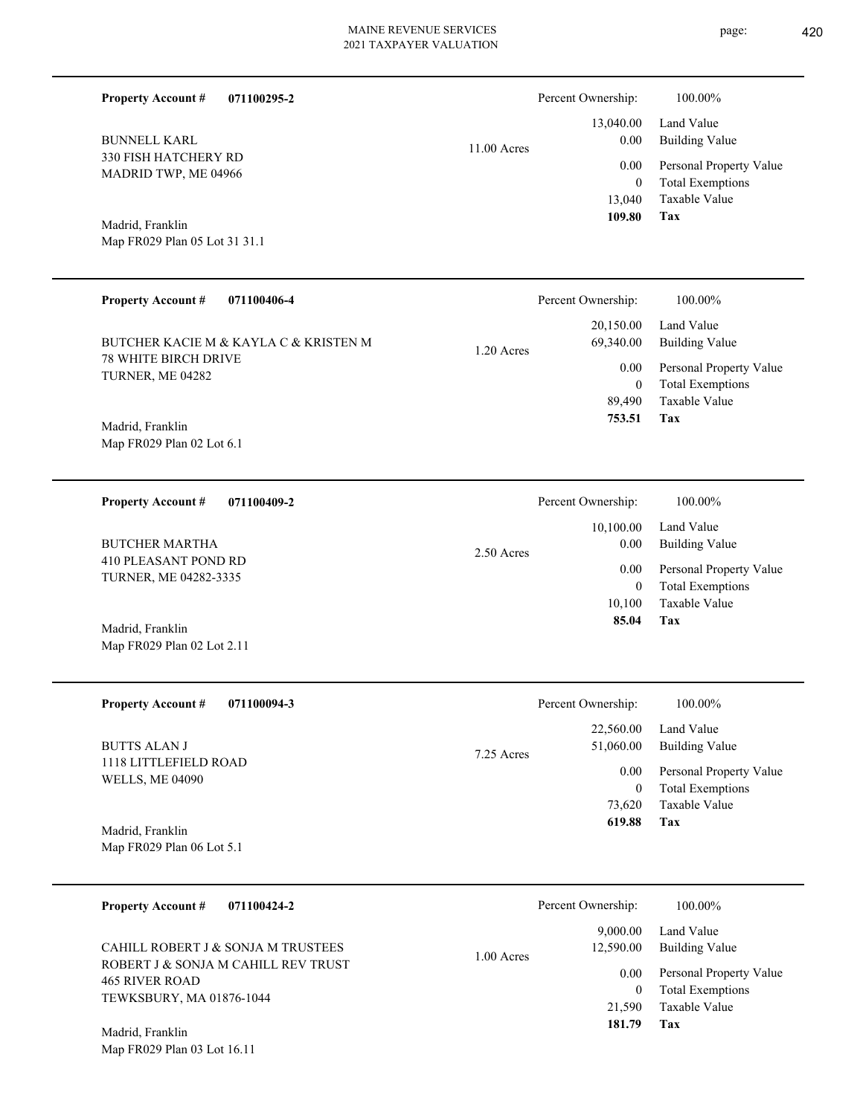| <b>Property Account #</b><br>071100295-2                                  |             | Percent Ownership:         | 100.00%                                            |
|---------------------------------------------------------------------------|-------------|----------------------------|----------------------------------------------------|
| <b>BUNNELL KARL</b>                                                       | 11.00 Acres | 13,040.00<br>0.00          | Land Value<br><b>Building Value</b>                |
| 330 FISH HATCHERY RD<br>MADRID TWP, ME 04966                              |             | 0.00                       | Personal Property Value                            |
|                                                                           |             | $\overline{0}$<br>13,040   | <b>Total Exemptions</b><br>Taxable Value           |
| Madrid, Franklin                                                          |             | 109.80                     | Tax                                                |
| Map FR029 Plan 05 Lot 31 31.1                                             |             |                            |                                                    |
|                                                                           |             |                            |                                                    |
| <b>Property Account #</b><br>071100406-4                                  |             | Percent Ownership:         | 100.00%                                            |
| BUTCHER KACIE M & KAYLA C & KRISTEN M                                     | 1.20 Acres  | 20,150.00<br>69,340.00     | Land Value<br><b>Building Value</b>                |
| 78 WHITE BIRCH DRIVE<br>TURNER, ME 04282                                  |             | 0.00                       | Personal Property Value                            |
|                                                                           |             | $\boldsymbol{0}$<br>89,490 | <b>Total Exemptions</b><br>Taxable Value           |
| Madrid, Franklin                                                          |             | 753.51                     | Tax                                                |
| Map FR029 Plan 02 Lot 6.1                                                 |             |                            |                                                    |
|                                                                           |             |                            |                                                    |
| <b>Property Account #</b><br>071100409-2                                  |             | Percent Ownership:         | 100.00%                                            |
| <b>BUTCHER MARTHA</b>                                                     | 2.50 Acres  | 10,100.00<br>0.00          | Land Value<br><b>Building Value</b>                |
| 410 PLEASANT POND RD<br>TURNER, ME 04282-3335                             |             | 0.00<br>$\boldsymbol{0}$   | Personal Property Value<br><b>Total Exemptions</b> |
|                                                                           |             | 10,100                     | Taxable Value                                      |
| Madrid, Franklin                                                          |             | 85.04                      | Tax                                                |
| Map FR029 Plan 02 Lot 2.11                                                |             |                            |                                                    |
| <b>Property Account #</b><br>071100094-3                                  |             | Percent Ownership:         | 100.00%                                            |
|                                                                           |             | 22,560.00                  | Land Value                                         |
| <b>BUTTS ALAN J</b><br>1118 LITTLEFIELD ROAD                              | 7.25 Acres  | 51,060.00                  | <b>Building Value</b>                              |
| <b>WELLS, ME 04090</b>                                                    |             | 0.00<br>$\mathbf{0}$       | Personal Property Value<br><b>Total Exemptions</b> |
|                                                                           |             | 73,620                     | Taxable Value                                      |
| Madrid, Franklin                                                          |             | 619.88                     | Tax                                                |
| Map FR029 Plan 06 Lot 5.1                                                 |             |                            |                                                    |
| <b>Property Account #</b><br>071100424-2                                  |             | Percent Ownership:         | 100.00%                                            |
|                                                                           |             | 9,000.00                   | Land Value                                         |
| CAHILL ROBERT J & SONJA M TRUSTEES<br>ROBERT J & SONJA M CAHILL REV TRUST | 1.00 Acres  | 12,590.00                  | <b>Building Value</b>                              |
| <b>465 RIVER ROAD</b>                                                     |             | 0.00<br>$\boldsymbol{0}$   | Personal Property Value<br><b>Total Exemptions</b> |
| TEWKSBURY, MA 01876-1044                                                  |             | 21,590                     | Taxable Value                                      |
| Madrid, Franklin                                                          |             | 181.79                     | Tax                                                |
| Map FR029 Plan 03 Lot 16.11                                               |             |                            |                                                    |
|                                                                           |             |                            |                                                    |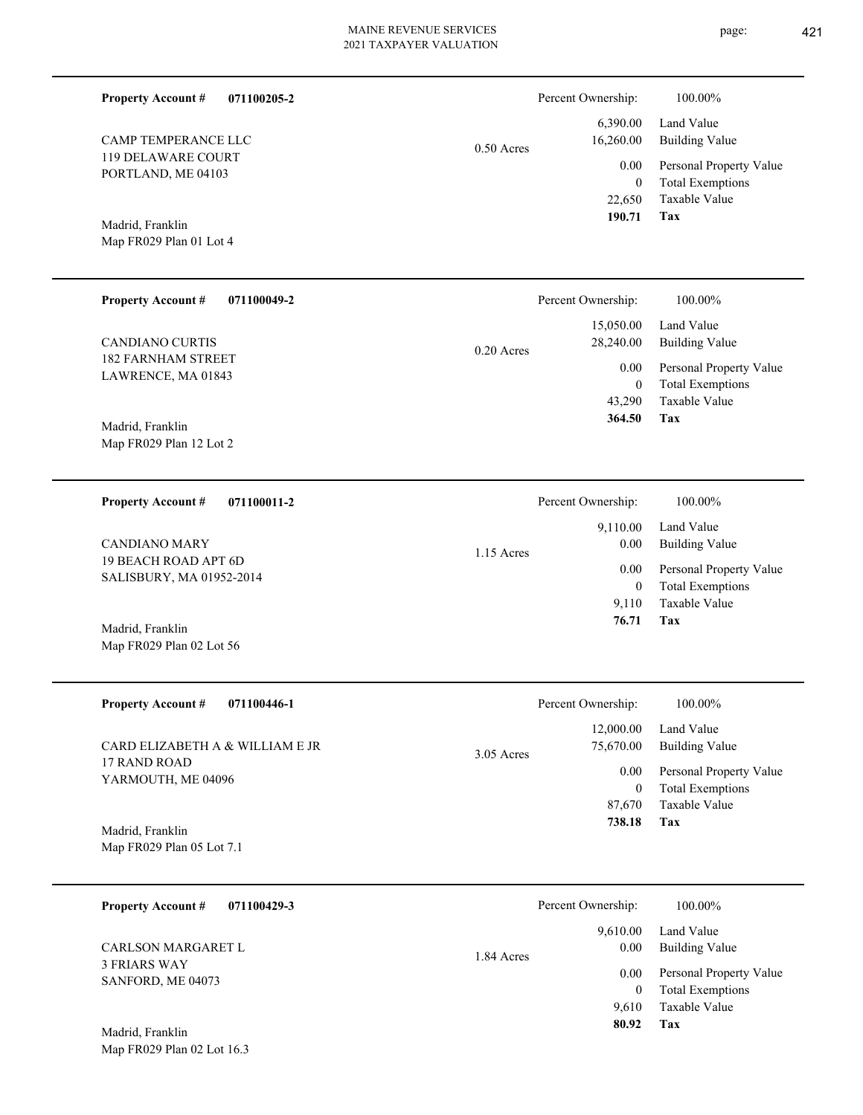| <b>Property Account #</b><br>071100205-2         |              | Percent Ownership:         | 100.00%                                            |
|--------------------------------------------------|--------------|----------------------------|----------------------------------------------------|
| CAMP TEMPERANCE LLC                              | $0.50$ Acres | 6,390.00<br>16,260.00      | Land Value<br><b>Building Value</b>                |
| 119 DELAWARE COURT<br>PORTLAND, ME 04103         |              | 0.00<br>$\mathbf{0}$       | Personal Property Value<br><b>Total Exemptions</b> |
| Madrid, Franklin                                 |              | 22,650<br>190.71           | Taxable Value<br>Tax                               |
| Map FR029 Plan 01 Lot 4                          |              |                            |                                                    |
| <b>Property Account #</b><br>071100049-2         |              | Percent Ownership:         | 100.00%                                            |
| <b>CANDIANO CURTIS</b>                           | $0.20$ Acres | 15,050.00<br>28,240.00     | Land Value<br><b>Building Value</b>                |
| <b>182 FARNHAM STREET</b><br>LAWRENCE, MA 01843  |              | 0.00<br>$\mathbf{0}$       | Personal Property Value<br><b>Total Exemptions</b> |
| Madrid, Franklin                                 |              | 43,290<br>364.50           | Taxable Value<br>Tax                               |
| Map FR029 Plan 12 Lot 2                          |              |                            |                                                    |
| 071100011-2<br><b>Property Account #</b>         |              | Percent Ownership:         | 100.00%                                            |
| <b>CANDIANO MARY</b>                             | 1.15 Acres   | 9,110.00<br>0.00           | Land Value<br><b>Building Value</b>                |
| 19 BEACH ROAD APT 6D<br>SALISBURY, MA 01952-2014 |              | 0.00<br>$\mathbf{0}$       | Personal Property Value<br><b>Total Exemptions</b> |
| Madrid, Franklin                                 |              | 9,110<br>76.71             | Taxable Value<br>Tax                               |
| Map FR029 Plan 02 Lot 56                         |              |                            |                                                    |
| <b>Property Account #</b><br>071100446-1         |              | Percent Ownership:         | 100.00%                                            |
| CARD ELIZABETH A & WILLIAM E JR                  | $3.05$ Acres | 12,000.00<br>75,670.00     | Land Value<br><b>Building Value</b>                |
| 17 RAND ROAD<br>YARMOUTH, ME 04096               |              | $0.00\,$<br>$\mathbf{0}$   | Personal Property Value<br><b>Total Exemptions</b> |
| Madrid, Franklin                                 |              | 87,670<br>738.18           | Taxable Value<br>Tax                               |
| Map FR029 Plan 05 Lot 7.1                        |              |                            |                                                    |
| <b>Property Account #</b><br>071100429-3         |              | Percent Ownership:         | 100.00%                                            |
| CARLSON MARGARET L                               | 1.84 Acres   | 9,610.00<br>0.00           | Land Value<br><b>Building Value</b>                |
| <b>3 FRIARS WAY</b><br>SANFORD, ME 04073         |              | $0.00\,$<br>$\overline{0}$ | Personal Property Value<br><b>Total Exemptions</b> |
| Madrid, Franklin                                 |              | 9,610<br>80.92             | Taxable Value<br>Tax                               |
| Map FR029 Plan 02 Lot 16.3                       |              |                            |                                                    |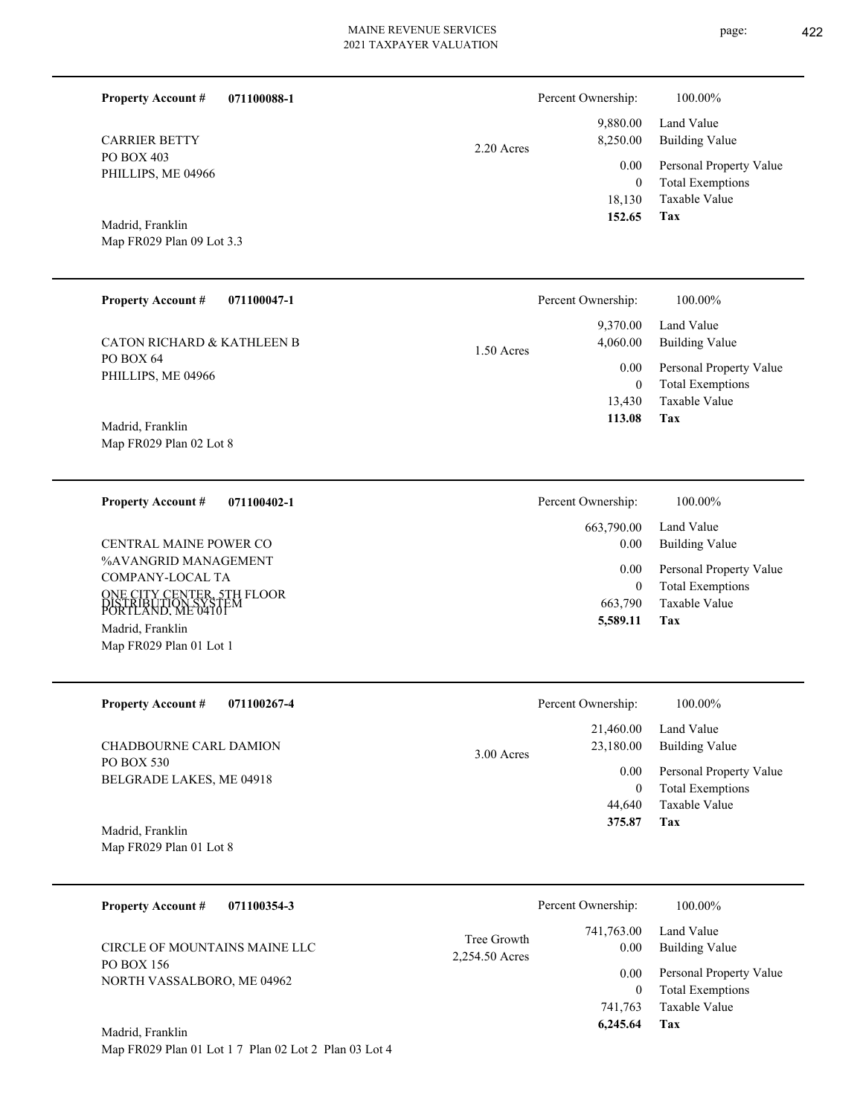| 071100088-1<br><b>Property Account #</b> | Percent Ownership:     | 100.00%                 |
|------------------------------------------|------------------------|-------------------------|
|                                          | 9,880.00               | Land Value              |
| <b>CARRIER BETTY</b><br>PO BOX 403       | 8,250.00<br>2.20 Acres | <b>Building Value</b>   |
| PHILLIPS, ME 04966                       | 0.00                   | Personal Property Value |
|                                          | $\boldsymbol{0}$       | <b>Total Exemptions</b> |
|                                          | 18,130                 | Taxable Value           |
| Madrid, Franklin                         | 152.65                 | Tax                     |
| Map FR029 Plan 09 Lot 3.3                |                        |                         |
|                                          |                        |                         |
| <b>Property Account #</b><br>071100047-1 | Percent Ownership:     | 100.00%                 |
|                                          | 9,370.00               | Land Value              |
| <b>CATON RICHARD &amp; KATHLEEN B</b>    | 4,060.00<br>1.50A      | <b>Building Value</b>   |

1.50 Acres

PO BOX 64 PHILLIPS, ME 04966 CATON RICHARD & KATHLEEN B

Map FR029 Plan 02 Lot 8 Madrid, Franklin

**071100402-1 Property Account #**

%AVANGRID MANAGEMENT COMPANY-LOCAL TA ONE CITY CENTER, 5TH FLOOR ĎIŠTŘÍBŮTION SÝŠŤĚM<br>PORTLAND, ME 04101 Map FR029 Plan 01 Lot 1 Madrid, Franklin CENTRAL MAINE POWER CO

| Percent Ownership: | 100.00%                                            |
|--------------------|----------------------------------------------------|
| 663,790.00<br>0.00 | Land Value<br><b>Building Value</b>                |
| $0.00\,$<br>0      | Personal Property Value<br><b>Total Exemptions</b> |
| 663,790            | Taxable Value                                      |
| 5,589.11           | Tax                                                |

**Tax**

 13,430 0

 **113.08**

Taxable Value Total Exemptions 0.00 Personal Property Value

| <b>Property Account #</b><br>071100267-4 | Percent Ownership:                     | 100.00%                      |
|------------------------------------------|----------------------------------------|------------------------------|
| CHADBOURNE CARL DAMION                   | 21,460.00<br>23,180.00<br>$3.00$ Acres | Land Value<br>Building Value |
| PO BOX 530<br>BELGRADE LAKES, ME 04918   | 0.00                                   | Personal Property Value      |
|                                          | 0                                      | <b>Total Exemptions</b>      |
|                                          | 44,640                                 | Taxable Value                |
| Madrid, Franklin                         | 375.87                                 | Tax                          |

Map FR029 Plan 01 Lot 8

| 071100354-3<br><b>Property Account #</b> |                               | Percent Ownership: | 100.00%                                            |
|------------------------------------------|-------------------------------|--------------------|----------------------------------------------------|
| CIRCLE OF MOUNTAINS MAINE LLC            | Tree Growth<br>2,254.50 Acres | 741,763.00<br>0.00 | Land Value<br><b>Building Value</b>                |
| PO BOX 156<br>NORTH VASSALBORO, ME 04962 |                               | 0.00<br>0          | Personal Property Value<br><b>Total Exemptions</b> |
|                                          |                               | 741,763            | Taxable Value                                      |
| Madrid, Franklin                         |                               | 6,245.64           | Tax                                                |

Map FR029 Plan 01 Lot 1 7 Plan 02 Lot 2 Plan 03 Lot 4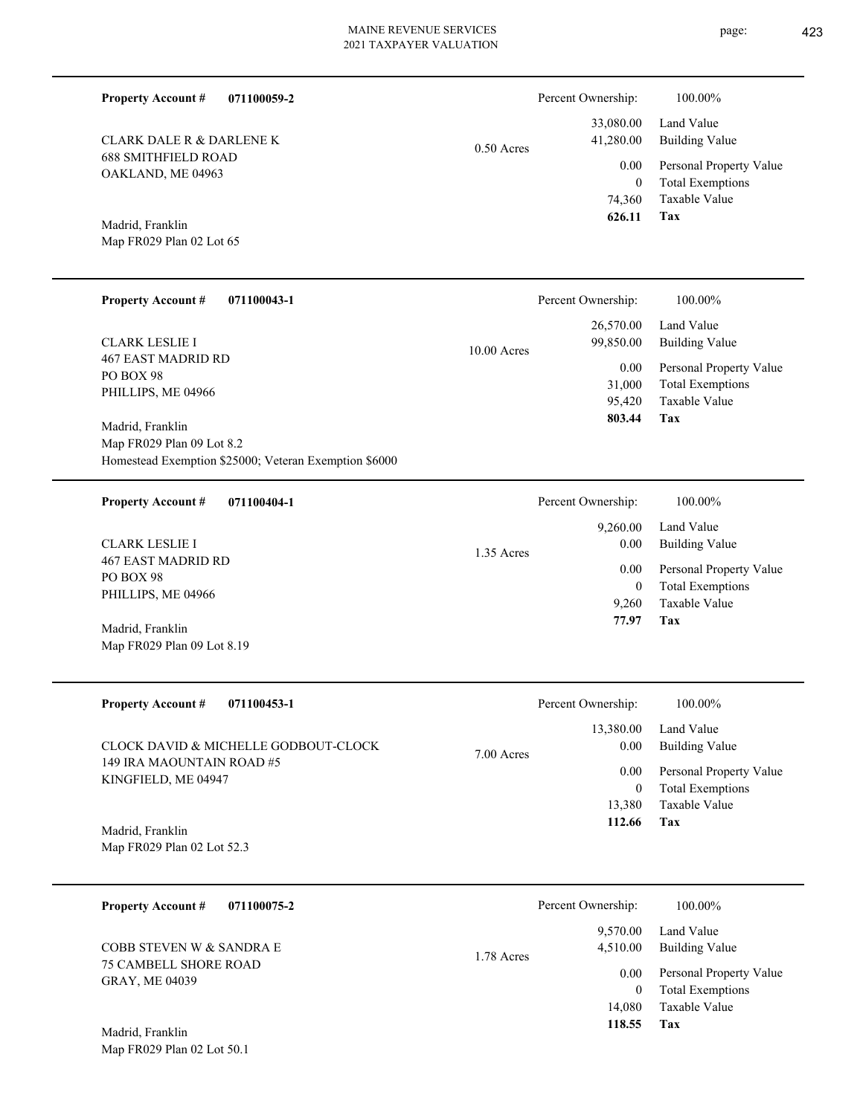**071100059-2**

688 SMITHFIELD ROAD OAKLAND, ME 04963 CLARK DALE R & DARLENE K

# 0.50 Acres

**Tax** Taxable Value Total Exemptions Personal Property Value Building Value Land Value 74,360 0  **626.11** 33,080.00 41,280.00 0.00

Percent Ownership:  $100.00\%$ 

Map FR029 Plan 02 Lot 65 Madrid, Franklin

**Property Account #**

| <b>Property Account #</b><br>071100043-1                                                               | Percent Ownership:                                                  | 100.00%                                                                                             |
|--------------------------------------------------------------------------------------------------------|---------------------------------------------------------------------|-----------------------------------------------------------------------------------------------------|
| <b>CLARK LESLIE I</b><br><b>467 EAST MADRID RD</b><br>PO BOX 98<br>PHILLIPS, ME 04966                  | 26,570.00<br>99,850.00<br>$10.00$ Acres<br>0.00<br>31,000<br>95.420 | Land Value<br>Building Value<br>Personal Property Value<br><b>Total Exemptions</b><br>Taxable Value |
| Madrid, Franklin<br>Map FR029 Plan 09 Lot 8.2<br>Homestead Exemption \$25000; Veteran Exemption \$6000 | 803.44                                                              | Tax                                                                                                 |

| 071100404-1<br><b>Property Account #</b> | Percent Ownership: | 100.00%                 |
|------------------------------------------|--------------------|-------------------------|
|                                          | 9,260.00           | Land Value              |
| <b>CLARK LESLIE I</b>                    | 0.00<br>1.35 Acres | Building Value          |
| 467 EAST MADRID RD<br>PO BOX 98          | 0.00               | Personal Property Value |
| PHILLIPS, ME 04966                       | $\theta$           | <b>Total Exemptions</b> |
|                                          | 9.260              | Taxable Value           |
| Madrid, Franklin                         | 77.97              | Tax                     |
| Map FR029 Plan 09 Lot 8.19               |                    |                         |

| <b>Property Account #</b><br>071100453-1         | Percent Ownership:                | 100.00%                      |
|--------------------------------------------------|-----------------------------------|------------------------------|
| CLOCK DAVID & MICHELLE GODBOUT-CLOCK             | 13,380.00<br>0.00<br>$7.00$ Acres | Land Value<br>Building Value |
| 149 IRA MAOUNTAIN ROAD #5<br>KINGFIELD, ME 04947 | 0.00                              | Personal Property Value      |
|                                                  | $\bf{0}$                          | <b>Total Exemptions</b>      |
|                                                  | 13.380                            | Taxable Value                |
| Madrid, Franklin                                 | 112.66                            | Tax                          |
| Map FR029 Plan 02 Lot 52.3                       |                                   |                              |

**071100075-2 Tax** Taxable Value Total Exemptions Personal Property Value Building Value Land Value 75 CAMBELL SHORE ROAD GRAY, ME 04039 **Property Account #** Madrid, Franklin COBB STEVEN W & SANDRA E 14,080 0  **118.55** 9,570.00 4,510.00 0.00 1.78 Acres Percent Ownership:  $100.00\%$ 

Map FR029 Plan 02 Lot 50.1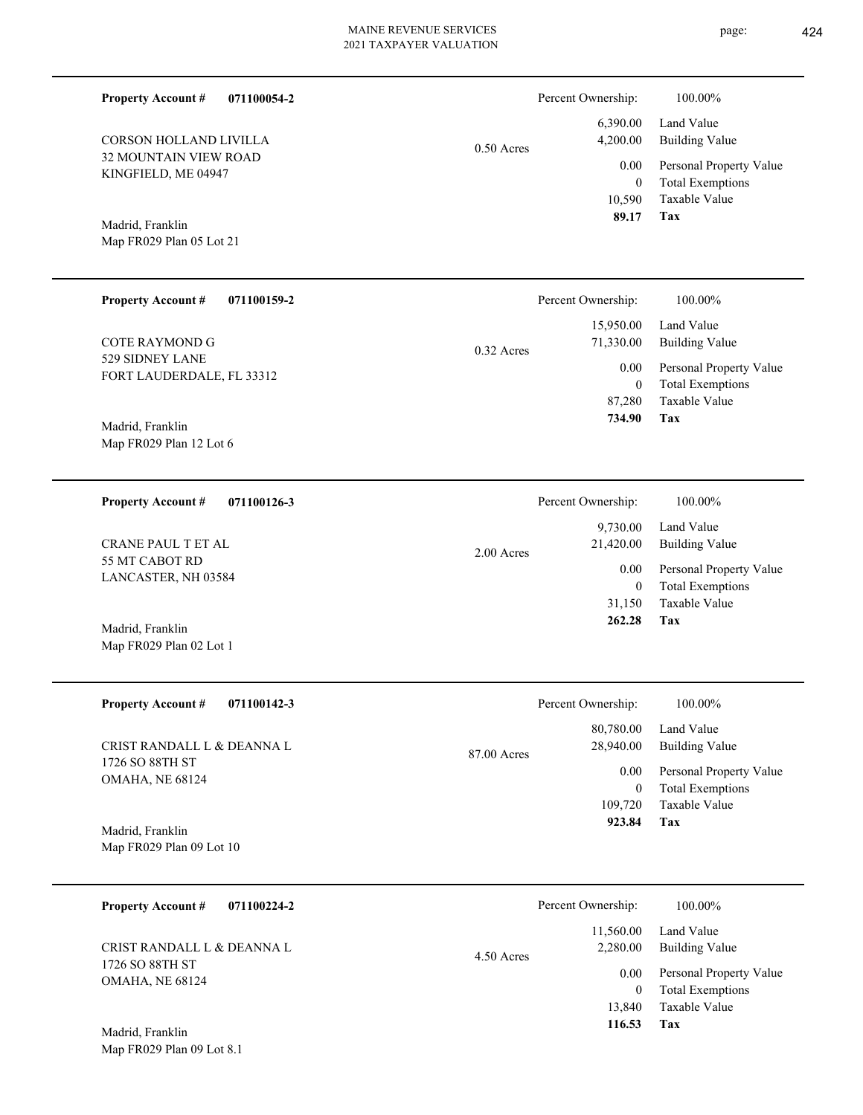Percent Ownership:  $100.00\%$ 

|              | 89.17 Tax |                              |
|--------------|-----------|------------------------------|
|              |           | 10.590 Taxable Value         |
|              | $\theta$  | <b>Total Exemptions</b>      |
|              |           | 0.00 Personal Property Value |
| $0.50$ Acres |           | 4,200.00 Building Value      |
|              |           | $6,390.00$ Land Value        |
|              |           |                              |

Madrid, Franklin

32 MOUNTAIN VIEW ROAD KINGFIELD, ME 04947

CORSON HOLLAND LIVILLA

**Property Account #**

**071100054-2**

Map FR029 Plan 05 Lot 21

Map FR029 Plan 02 Lot 1

Map FR029 Plan 09 Lot 8.1

| <b>Property Account #</b><br>071100159-2 | Percent Ownership:        | 100.00%                 |
|------------------------------------------|---------------------------|-------------------------|
|                                          | 15,950.00                 | Land Value              |
| COTE RAYMOND G                           | 71,330.00<br>$0.32$ Acres | Building Value          |
| 529 SIDNEY LANE                          | 0.00                      | Personal Property Value |
| FORT LAUDERDALE, FL 33312                | $\mathbf{0}$              | <b>Total Exemptions</b> |
|                                          | 87,280                    | Taxable Value           |
| Madrid, Franklin                         | 734.90                    | Tax                     |
| Map FR029 Plan 12 Lot 6                  |                           |                         |

| 071100126-3<br><b>Property Account #</b> | Percent Ownership:                  | 100.00%                                            |
|------------------------------------------|-------------------------------------|----------------------------------------------------|
| CRANE PAUL T ET AL                       | 9.730.00<br>21,420.00<br>2.00 Acres | Land Value<br>Building Value                       |
| 55 MT CABOT RD<br>LANCASTER, NH 03584    | $0.00\,$<br>0                       | Personal Property Value<br><b>Total Exemptions</b> |
|                                          | 31,150                              | Taxable Value                                      |
| Madrid, Franklin                         | 262.28                              | Tax                                                |

| Percent Ownership:                    | 100.00%                                            |
|---------------------------------------|----------------------------------------------------|
| 80,780.00<br>28,940.00<br>87.00 Acres | Land Value<br><b>Building Value</b>                |
| 0.00<br>$\overline{0}$                | Personal Property Value<br><b>Total Exemptions</b> |
| 109,720                               | Taxable Value                                      |
| 923.84                                | Tax                                                |
|                                       |                                                    |

**071100224-2 Tax** Taxable Value Total Exemptions Personal Property Value Building Value Land Value 1726 SO 88TH ST OMAHA, NE 68124 **Property Account #** Madrid, Franklin CRIST RANDALL L & DEANNA L 13,840 0  **116.53** 11,560.00 2,280.00 0.00 4.50 Acres Percent Ownership:  $100.00\%$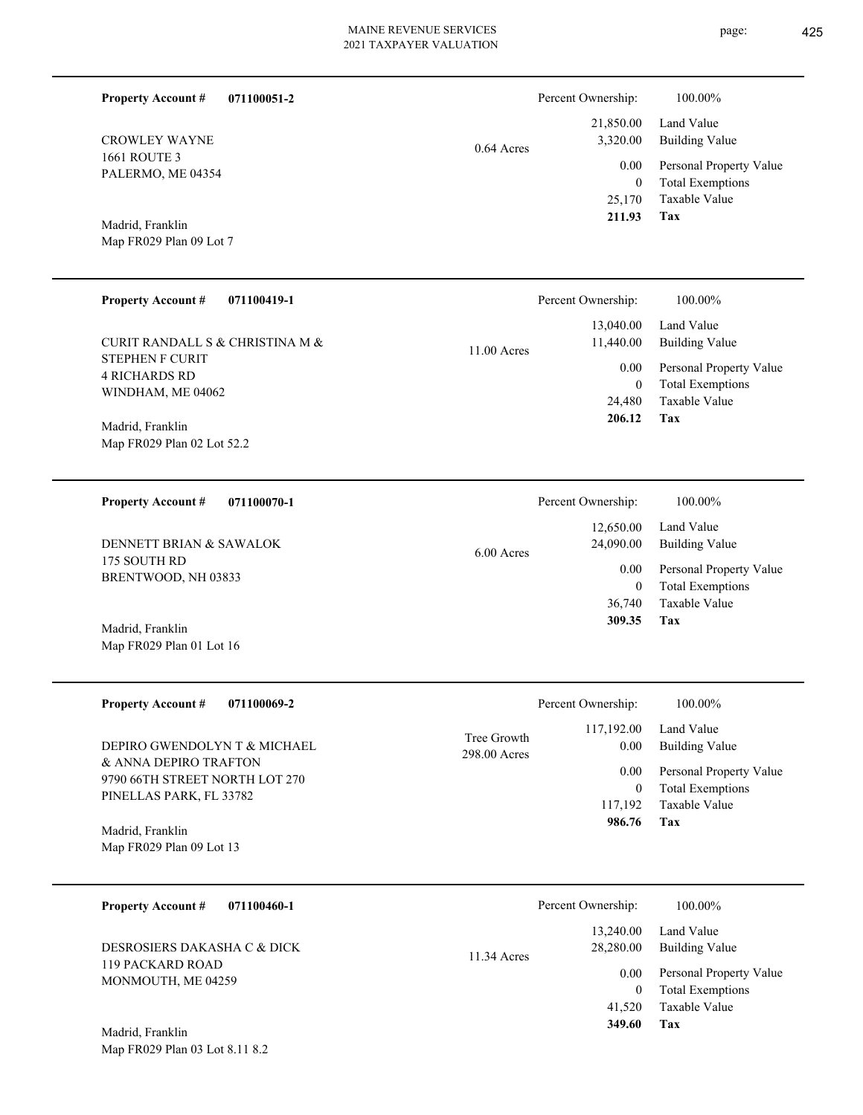| <b>Property Account #</b>         | 071100051-2 | Percent Ownership:       |        | 100.00%                 |
|-----------------------------------|-------------|--------------------------|--------|-------------------------|
|                                   |             | 21,850.00                |        | Land Value              |
| <b>CROWLEY WAYNE</b>              |             | 3,320.00<br>$0.64$ Acres |        | Building Value          |
| 1661 ROUTE 3<br>PALERMO, ME 04354 |             |                          | 0.00   | Personal Property Value |
|                                   |             |                          | 0      | <b>Total Exemptions</b> |
|                                   |             |                          | 25,170 | Taxable Value           |
| Madrid, Franklin                  |             |                          | 211.93 | Tax                     |

Map FR029 Plan 09 Lot 7

Map FR029 Plan 01 Lot 16

| <b>Property Account #</b><br>071100419-1                            | Percent Ownership:                      | 100.00%                                                             |
|---------------------------------------------------------------------|-----------------------------------------|---------------------------------------------------------------------|
| CURIT RANDALL S & CHRISTINA M &                                     | 13,040.00<br>11,440.00<br>$11.00$ Acres | Land Value<br><b>Building Value</b>                                 |
| <b>STEPHEN F CURIT</b><br><b>4 RICHARDS RD</b><br>WINDHAM, ME 04062 | $0.00\,$<br>0<br>24,480                 | Personal Property Value<br><b>Total Exemptions</b><br>Taxable Value |
| Madrid, Franklin<br>Map FR029 Plan 02 Lot 52.2                      | 206.12                                  | Tax                                                                 |
|                                                                     |                                         |                                                                     |

| 071100070-1<br><b>Property Account #</b> | Percent Ownership:                     | 100.00%                                            |
|------------------------------------------|----------------------------------------|----------------------------------------------------|
| DENNETT BRIAN & SAWALOK                  | 12,650.00<br>24,090.00<br>$6.00$ Acres | Land Value<br>Building Value                       |
| 175 SOUTH RD<br>BRENTWOOD, NH 03833      | 0.00<br>$\bf{0}$                       | Personal Property Value<br><b>Total Exemptions</b> |
|                                          | 36,740                                 | Taxable Value                                      |
| Madrid, Franklin                         | 309.35                                 | Tax                                                |

| <b>Property Account #</b><br>071100069-2                  | Percent Ownership:                        | 100.00%                                                                 |
|-----------------------------------------------------------|-------------------------------------------|-------------------------------------------------------------------------|
| DEPIRO GWENDOLYN T & MICHAEL<br>& ANNA DEPIRO TRAFTON     | 117,192.00<br>Tree Growth<br>298.00 Acres | Land Value<br>Building Value<br>0.00<br>Personal Property Value<br>0.00 |
| 9790 66TH STREET NORTH LOT 270<br>PINELLAS PARK, FL 33782 |                                           | Total Exemptions<br>$\mathbf{0}$<br>Taxable Value<br>117,192            |
| Madrid, Franklin<br>Map FR029 Plan 09 Lot 13              |                                           | 986.76<br>Tax                                                           |

| 071100460-1<br><b>Property Account #</b> | Percent Ownership:                    | 100.00%                                            |
|------------------------------------------|---------------------------------------|----------------------------------------------------|
| DESROSIERS DAKASHA C & DICK              | 13.240.00<br>28,280.00<br>11.34 Acres | Land Value<br>Building Value                       |
| 119 PACKARD ROAD<br>MONMOUTH, ME 04259   | 0.00<br>$\Omega$                      | Personal Property Value<br><b>Total Exemptions</b> |
|                                          | 41,520                                | Taxable Value                                      |
| Madrid, Franklin                         | 349.60                                | Tax                                                |

Map FR029 Plan 03 Lot 8.11 8.2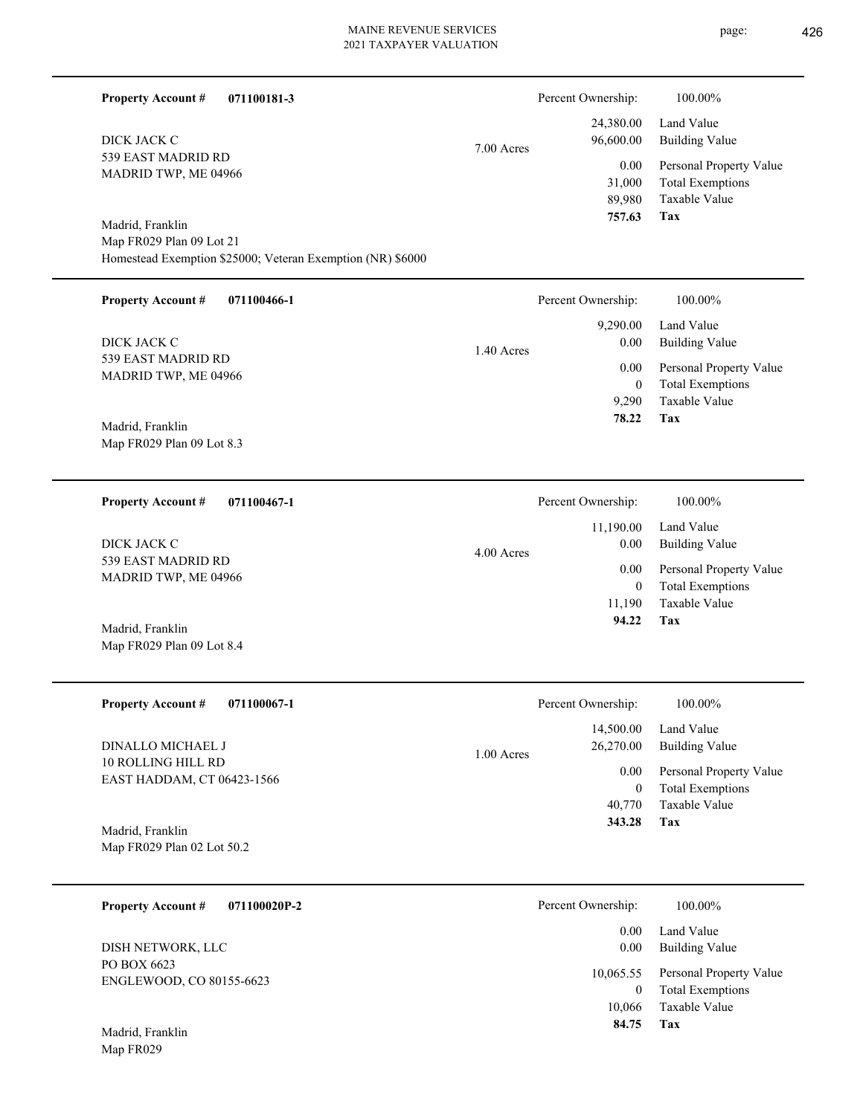| <b>Property Account #</b><br>071100181-3                                                                   |            | Percent Ownership:                             | 100.00%                                                                           |
|------------------------------------------------------------------------------------------------------------|------------|------------------------------------------------|-----------------------------------------------------------------------------------|
| DICK JACK C                                                                                                | 7.00 Acres | 24,380.00<br>96,600.00                         | Land Value<br><b>Building Value</b>                                               |
| 539 EAST MADRID RD<br>MADRID TWP, ME 04966                                                                 |            | 0.00<br>31,000<br>89,980<br>757.63             | Personal Property Value<br><b>Total Exemptions</b><br>Taxable Value<br><b>Tax</b> |
| Madrid, Franklin<br>Map FR029 Plan 09 Lot 21<br>Homestead Exemption \$25000; Veteran Exemption (NR) \$6000 |            |                                                |                                                                                   |
| <b>Property Account #</b><br>071100466-1                                                                   |            | Percent Ownership:                             | 100.00%                                                                           |
| DICK JACK C                                                                                                | 1.40 Acres | 9,290.00<br>$0.00\,$                           | Land Value<br><b>Building Value</b>                                               |
| 539 EAST MADRID RD<br>MADRID TWP, ME 04966                                                                 |            | 0.00<br>$\overline{0}$<br>9,290                | Personal Property Value<br><b>Total Exemptions</b><br>Taxable Value               |
| Madrid, Franklin<br>Map FR029 Plan 09 Lot 8.3                                                              |            | 78.22                                          | Tax                                                                               |
| <b>Property Account #</b><br>071100467-1                                                                   |            | Percent Ownership:                             | 100.00%                                                                           |
| DICK JACK C                                                                                                | 4.00 Acres | 11,190.00<br>$0.00\,$                          | Land Value<br><b>Building Value</b>                                               |
| 539 EAST MADRID RD<br>MADRID TWP, ME 04966                                                                 |            | 0.00<br>$\overline{0}$                         | Personal Property Value<br><b>Total Exemptions</b>                                |
| Madrid, Franklin<br>Map FR029 Plan 09 Lot 8.4                                                              |            | 11,190<br>94.22                                | Taxable Value<br>Tax                                                              |
| <b>Property Account #</b><br>071100067-1                                                                   |            | Percent Ownership:                             | 100.00%                                                                           |
| DINALLO MICHAEL J                                                                                          | 1.00 Acres | 14,500.00<br>26,270.00                         | Land Value<br><b>Building Value</b>                                               |
| 10 ROLLING HILL RD<br>EAST HADDAM, CT 06423-1566                                                           |            | 0.00<br>$\mathbf{0}$                           | Personal Property Value<br><b>Total Exemptions</b>                                |
| Madrid, Franklin                                                                                           |            | 40,770<br>343.28                               | Taxable Value<br>Tax                                                              |
| Map FR029 Plan 02 Lot 50.2                                                                                 |            |                                                |                                                                                   |
| <b>Property Account #</b><br>071100020P-2                                                                  |            | Percent Ownership:                             | 100.00%                                                                           |
| DISH NETWORK, LLC                                                                                          |            | 0.00<br>0.00                                   | Land Value<br><b>Building Value</b>                                               |
| PO BOX 6623<br>ENGLEWOOD, CO 80155-6623                                                                    |            | 10,065.55<br>$\overline{0}$<br>10,066<br>84.75 | Personal Property Value<br><b>Total Exemptions</b><br>Taxable Value<br>Tax        |
| Madrid, Franklin<br>Map FR029                                                                              |            |                                                |                                                                                   |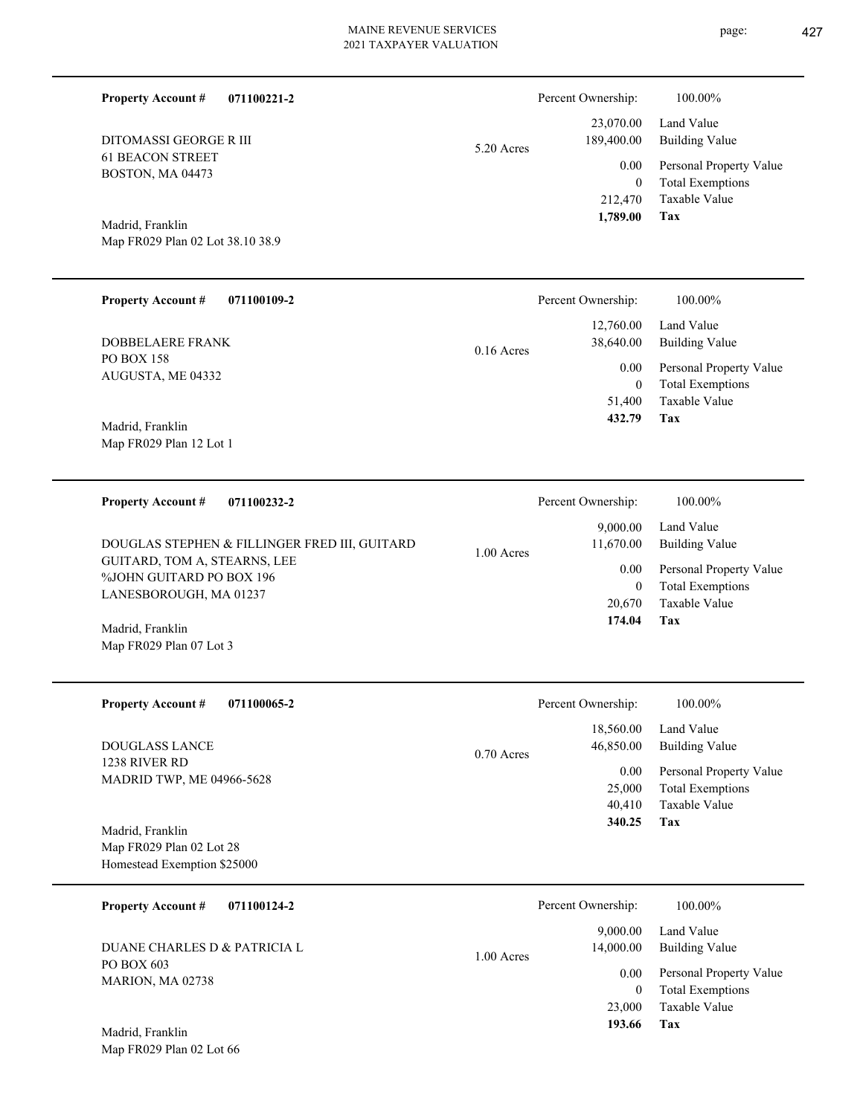| page: | 427 |
|-------|-----|
|       |     |

| <b>Property Account #</b><br>071100221-2                 |              | Percent Ownership:         | 100.00%                                            |
|----------------------------------------------------------|--------------|----------------------------|----------------------------------------------------|
| <b>DITOMASSI GEORGE R III</b>                            | 5.20 Acres   | 23,070.00<br>189,400.00    | Land Value<br><b>Building Value</b>                |
| <b>61 BEACON STREET</b><br>BOSTON, MA 04473              |              | 0.00<br>$\mathbf{0}$       | Personal Property Value<br><b>Total Exemptions</b> |
|                                                          |              | 212,470<br>1,789.00        | Taxable Value<br>Tax                               |
| Madrid, Franklin<br>Map FR029 Plan 02 Lot 38.10 38.9     |              |                            |                                                    |
|                                                          |              |                            |                                                    |
| <b>Property Account #</b><br>071100109-2                 |              | Percent Ownership:         | 100.00%                                            |
| <b>DOBBELAERE FRANK</b>                                  | $0.16$ Acres | 12,760.00<br>38,640.00     | Land Value<br><b>Building Value</b>                |
| <b>PO BOX 158</b><br>AUGUSTA, ME 04332                   |              | 0.00                       | Personal Property Value                            |
|                                                          |              | $\mathbf{0}$<br>51,400     | <b>Total Exemptions</b><br>Taxable Value           |
| Madrid, Franklin<br>Map FR029 Plan 12 Lot 1              |              | 432.79                     | Tax                                                |
|                                                          |              |                            |                                                    |
| <b>Property Account #</b><br>071100232-2                 |              | Percent Ownership:         | 100.00%                                            |
| DOUGLAS STEPHEN & FILLINGER FRED III, GUITARD            |              | 9,000.00<br>11,670.00      | Land Value<br><b>Building Value</b>                |
| GUITARD, TOM A, STEARNS, LEE<br>%JOHN GUITARD PO BOX 196 | 1.00 Acres   | 0.00                       | Personal Property Value                            |
| LANESBOROUGH, MA 01237                                   |              | $\mathbf{0}$<br>20,670     | <b>Total Exemptions</b><br>Taxable Value           |
| Madrid, Franklin                                         |              | 174.04                     | Tax                                                |
| Map FR029 Plan 07 Lot 3                                  |              |                            |                                                    |
| <b>Property Account #</b><br>071100065-2                 |              | Percent Ownership:         | 100.00%                                            |
| <b>DOUGLASS LANCE</b>                                    |              | 18,560.00<br>46,850.00     | Land Value<br><b>Building Value</b>                |
| 1238 RIVER RD<br>MADRID TWP, ME 04966-5628               | 0.70 Acres   | 0.00                       | Personal Property Value                            |
|                                                          |              | 25,000<br>40,410           | <b>Total Exemptions</b><br>Taxable Value           |
| Madrid, Franklin<br>Map FR029 Plan 02 Lot 28             |              | 340.25                     | Tax                                                |
| Homestead Exemption \$25000                              |              |                            |                                                    |
| <b>Property Account #</b><br>071100124-2                 |              | Percent Ownership:         | 100.00%                                            |
| DUANE CHARLES D & PATRICIA L                             |              | 9,000.00<br>14,000.00      | Land Value<br><b>Building Value</b>                |
| PO BOX 603<br>MARION, MA 02738                           | 1.00 Acres   | 0.00                       | Personal Property Value                            |
|                                                          |              | $\boldsymbol{0}$<br>23,000 | <b>Total Exemptions</b><br>Taxable Value           |
| Madrid, Franklin                                         |              | 193.66                     | Tax                                                |
| Map FR029 Plan 02 Lot 66                                 |              |                            |                                                    |
|                                                          |              |                            |                                                    |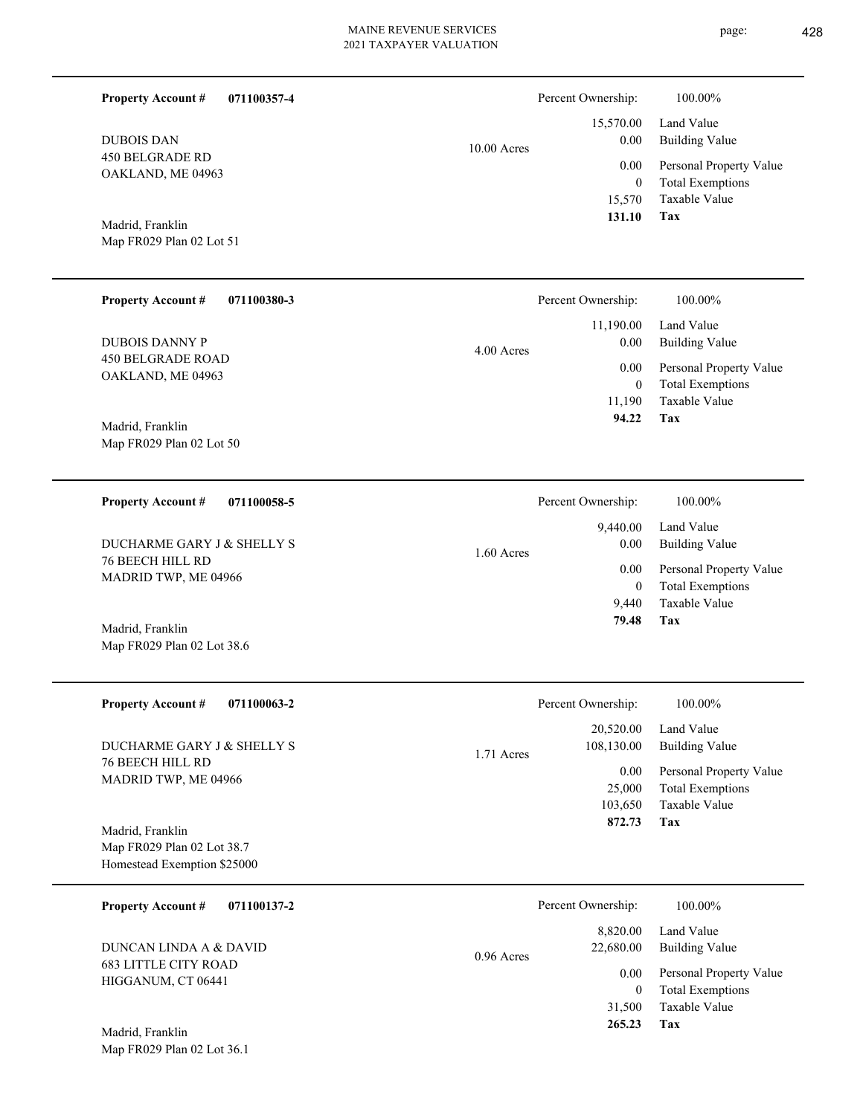10.00 Acres

450 BELGRADE RD OAKLAND, ME 04963 DUBOIS DAN

**Property Account #**

**071100357-4**

Map FR029 Plan 02 Lot 51 Madrid, Franklin

Map FR029 Plan 02 Lot 50

Map FR029 Plan 02 Lot 38.6

| <b>Property Account #</b><br>071100380-3      | Percent Ownership:              | 100.00%                                            |
|-----------------------------------------------|---------------------------------|----------------------------------------------------|
| <b>DUBOIS DANNY P</b>                         | 11,190.00<br>0.00<br>4.00 Acres | Land Value<br>Building Value                       |
| <b>450 BELGRADE ROAD</b><br>OAKLAND, ME 04963 | 0.00<br>0                       | Personal Property Value<br><b>Total Exemptions</b> |
|                                               | 11,190                          | Taxable Value                                      |
| Madrid, Franklin                              | 94.22                           | Tax                                                |

**071100058-5 Tax** Taxable Value Total Exemptions Personal Property Value Building Value Land Value 76 BEECH HILL RD MADRID TWP, ME 04966 **Property Account #** Madrid, Franklin DUCHARME GARY J & SHELLY S 9,440 0  **79.48** 9,440.00 0.00 0.00 1.60 Acres Percent Ownership:  $100.00\%$ 

| <b>Property Account #</b><br>071100063-2                                      | Percent Ownership:                    | 100.00%                                                             |
|-------------------------------------------------------------------------------|---------------------------------------|---------------------------------------------------------------------|
| DUCHARME GARY J & SHELLY S<br><b>76 BEECH HILL RD</b>                         | 20,520.00<br>108,130.00<br>1.71 Acres | Land Value<br><b>Building Value</b>                                 |
| MADRID TWP, ME 04966                                                          | 0.00<br>25,000<br>103,650             | Personal Property Value<br><b>Total Exemptions</b><br>Taxable Value |
| Madrid, Franklin<br>Map FR029 Plan 02 Lot 38.7<br>Homestead Exemption \$25000 | 872.73                                | Tax                                                                 |

| 071100137-2<br><b>Property Account #</b>          | Percent Ownership:                    | 100.00%                                            |
|---------------------------------------------------|---------------------------------------|----------------------------------------------------|
| DUNCAN LINDA A & DAVID                            | 8,820.00<br>22,680.00<br>$0.96$ Acres | Land Value<br>Building Value                       |
| <b>683 LITTLE CITY ROAD</b><br>HIGGANUM, CT 06441 | 0.00<br>0                             | Personal Property Value<br><b>Total Exemptions</b> |
|                                                   | 31,500                                | Taxable Value                                      |
| Madrid, Franklin<br>Map FR029 Plan 02 Lot 36.1    | 265.23                                | Tax                                                |

**Tax**

 15,570 0

 15,570.00 0.00 0.00

Percent Ownership:  $100.00\%$ 

 **131.10**

Taxable Value Total Exemptions Personal Property Value

Building Value Land Value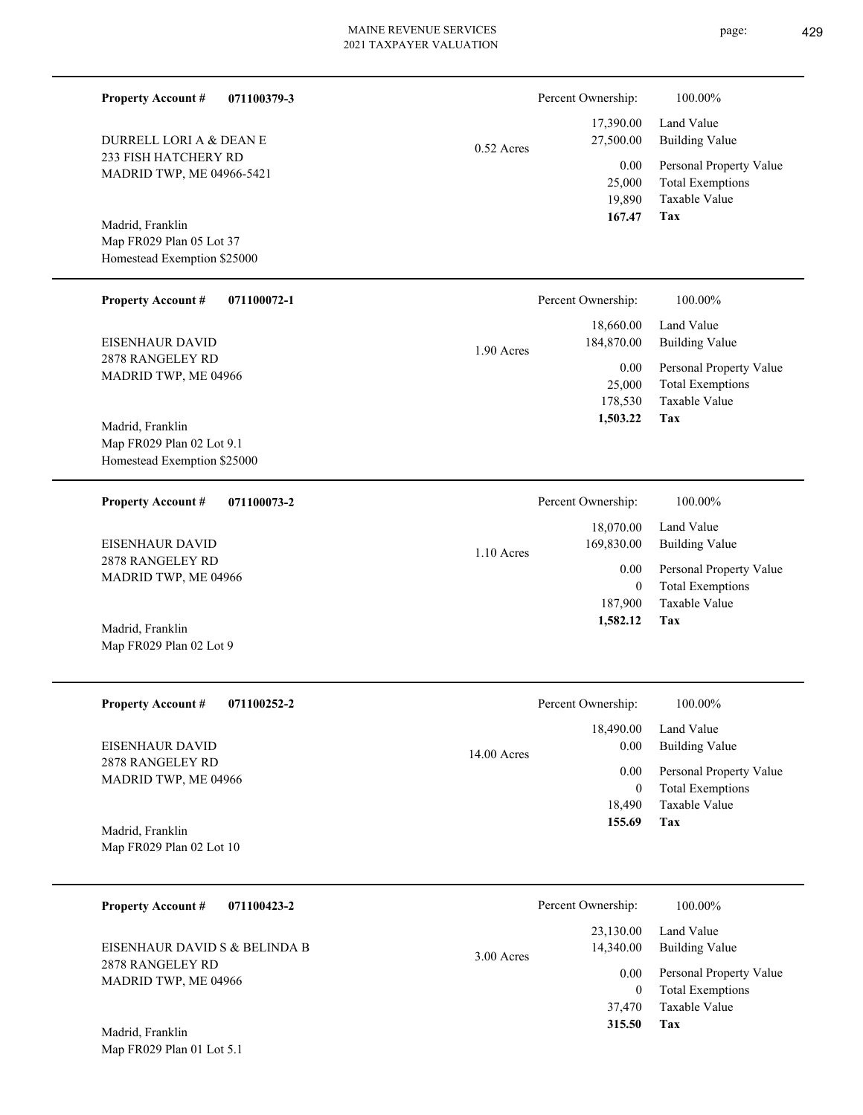| <b>Property Account #</b><br>071100379-3                                     |              | Percent Ownership:                         | 100.00%                                                                    |
|------------------------------------------------------------------------------|--------------|--------------------------------------------|----------------------------------------------------------------------------|
| DURRELL LORI A & DEAN E                                                      | $0.52$ Acres | 17,390.00<br>27,500.00                     | Land Value<br><b>Building Value</b>                                        |
| 233 FISH HATCHERY RD<br>MADRID TWP, ME 04966-5421                            |              | 0.00<br>25,000<br>19,890<br>167.47         | Personal Property Value<br><b>Total Exemptions</b><br>Taxable Value<br>Tax |
| Madrid, Franklin<br>Map FR029 Plan 05 Lot 37<br>Homestead Exemption \$25000  |              |                                            |                                                                            |
| <b>Property Account #</b><br>071100072-1                                     |              | Percent Ownership:                         | 100.00%                                                                    |
| EISENHAUR DAVID                                                              | 1.90 Acres   | 18,660.00<br>184,870.00                    | Land Value<br><b>Building Value</b>                                        |
| 2878 RANGELEY RD<br>MADRID TWP, ME 04966                                     |              | 0.00<br>25,000<br>178,530<br>1,503.22      | Personal Property Value<br><b>Total Exemptions</b><br>Taxable Value<br>Tax |
| Madrid, Franklin<br>Map FR029 Plan 02 Lot 9.1<br>Homestead Exemption \$25000 |              |                                            |                                                                            |
| <b>Property Account #</b><br>071100073-2                                     |              | Percent Ownership:                         | 100.00%                                                                    |
| EISENHAUR DAVID                                                              | 1.10 Acres   | 18,070.00<br>169,830.00                    | Land Value<br><b>Building Value</b>                                        |
| 2878 RANGELEY RD<br>MADRID TWP, ME 04966                                     |              | 0.00<br>$\mathbf{0}$                       | Personal Property Value<br><b>Total Exemptions</b>                         |
| Madrid, Franklin<br>Map FR029 Plan 02 Lot 9                                  |              | 187,900<br>1,582.12                        | Taxable Value<br>Tax                                                       |
| <b>Property Account #</b><br>071100252-2                                     |              | Percent Ownership:                         | 100.00%                                                                    |
| EISENHAUR DAVID                                                              | 14.00 Acres  | 18,490.00<br>0.00                          | Land Value<br><b>Building Value</b>                                        |
| 2878 RANGELEY RD<br>MADRID TWP, ME 04966                                     |              | 0.00<br>$\mathbf{0}$<br>18,490             | Personal Property Value<br><b>Total Exemptions</b><br>Taxable Value        |
| Madrid, Franklin<br>Map FR029 Plan 02 Lot 10                                 |              | 155.69                                     | Tax                                                                        |
| <b>Property Account #</b><br>071100423-2                                     |              | Percent Ownership:                         | 100.00%                                                                    |
| EISENHAUR DAVID S & BELINDA B                                                | 3.00 Acres   | 23,130.00<br>14,340.00                     | Land Value<br><b>Building Value</b>                                        |
| 2878 RANGELEY RD<br>MADRID TWP, ME 04966<br>Madrid, Franklin                 |              | 0.00<br>$\overline{0}$<br>37,470<br>315.50 | Personal Property Value<br><b>Total Exemptions</b><br>Taxable Value<br>Tax |
| Map FR029 Plan 01 Lot 5.1                                                    |              |                                            |                                                                            |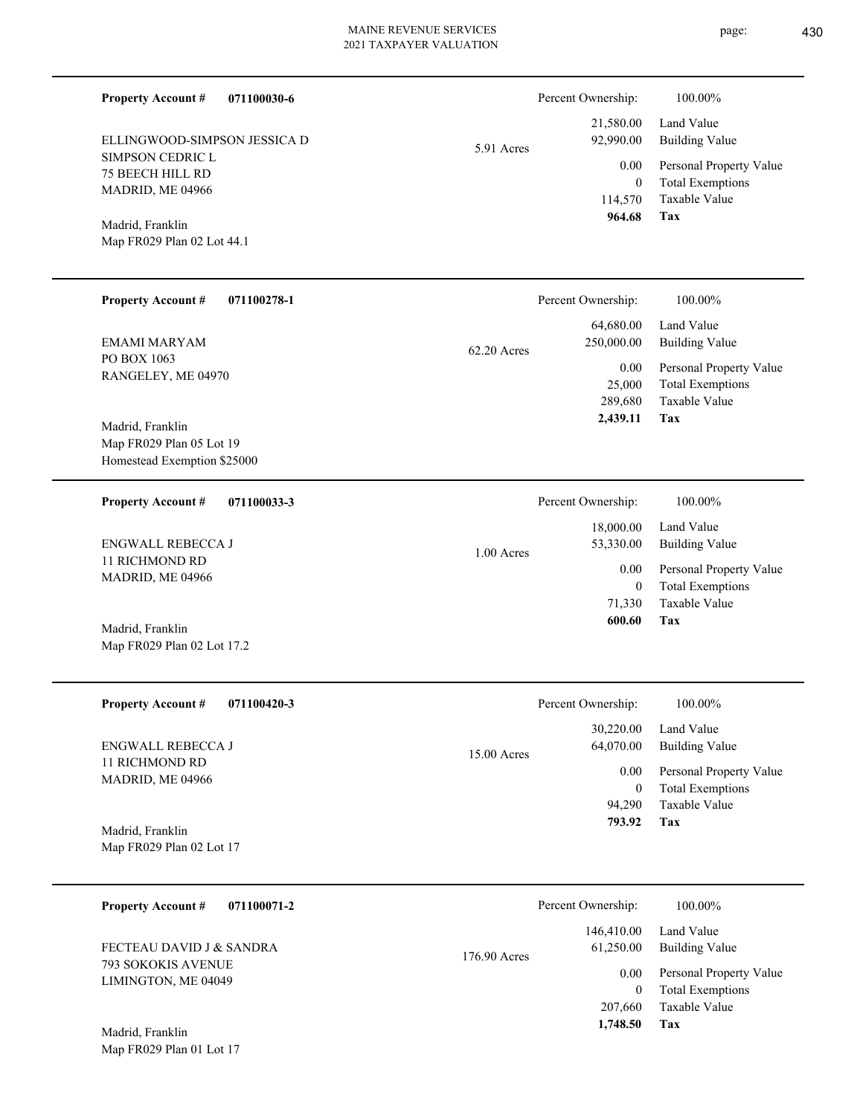5.91 Acres

| 964.68             | Tax                     |
|--------------------|-------------------------|
| 114,570            | Taxable Value           |
| 0                  | <b>Total Exemptions</b> |
| $0.00\,$           | Personal Property Value |
| 92,990.00          | Building Value          |
| 21,580.00          | Land Value              |
| Percent Ownership: | 100.00%                 |

75 BEECH HILL RD MADRID, ME 04966

ELLINGWOOD-SIMPSON JESSICA D

**071100030-6**

Map FR029 Plan 02 Lot 44.1 Madrid, Franklin

SIMPSON CEDRIC L

**Property Account #**

| <b>Property Account #</b><br>071100278-1          | Percent Ownership:                       | 100.00%                                            |
|---------------------------------------------------|------------------------------------------|----------------------------------------------------|
| EMAMI MARYAM                                      | 64,680.00<br>250,000.00<br>$62.20$ Acres | Land Value<br>Building Value                       |
| PO BOX 1063<br>RANGELEY, ME 04970                 | 0.00<br>25,000                           | Personal Property Value<br><b>Total Exemptions</b> |
|                                                   | 289,680                                  | Taxable Value                                      |
| Madrid, Franklin<br>$\mathbf{M}$ FD030 D1 05 L 10 | 2,439.11                                 | Tax                                                |

Map FR029 Plan 05 Lot 19 Homestead Exemption \$25000

Map FR029 Plan 02 Lot 17.2

| 071100033-3<br><b>Property Account #</b> | Percent Ownership:                     | 100.00%                                            |
|------------------------------------------|----------------------------------------|----------------------------------------------------|
| ENGWALL REBECCA J                        | 18,000.00<br>53,330.00<br>$1.00$ Acres | Land Value<br>Building Value                       |
| 11 RICHMOND RD<br>MADRID, ME 04966       | 0.00<br>0                              | Personal Property Value<br><b>Total Exemptions</b> |
|                                          | 71,330                                 | Taxable Value                                      |
| Madrid, Franklin                         | 600.60                                 | Tax                                                |

| <b>Property Account #</b><br>071100420-3     | Percent Ownership:                      | 100.00%                                            |
|----------------------------------------------|-----------------------------------------|----------------------------------------------------|
| ENGWALL REBECCA J                            | 30,220.00<br>64,070.00<br>$15.00$ Acres | Land Value<br><b>Building Value</b>                |
| 11 RICHMOND RD<br>MADRID, ME 04966           | 0.00<br>$\mathbf{0}$                    | Personal Property Value<br><b>Total Exemptions</b> |
|                                              | 94.290                                  | Taxable Value                                      |
| Madrid, Franklin<br>Map FR029 Plan 02 Lot 17 | 793.92                                  | Tax                                                |

| 071100071-2<br><b>Property Account #</b>                              | Percent Ownership:                      | 100.00%                                            |
|-----------------------------------------------------------------------|-----------------------------------------|----------------------------------------------------|
| FECTEAU DAVID J & SANDRA<br>793 SOKOKIS AVENUE<br>LIMINGTON, ME 04049 | 146,410.00<br>61.250.00<br>176.90 Acres | Land Value<br>Building Value                       |
|                                                                       | 0.00<br>0                               | Personal Property Value<br><b>Total Exemptions</b> |
| Madrid Franklin                                                       | 207,660<br>1,748.50                     | Taxable Value<br>Tax                               |

Map FR029 Plan 01 Lot 17 Madrid, Franklin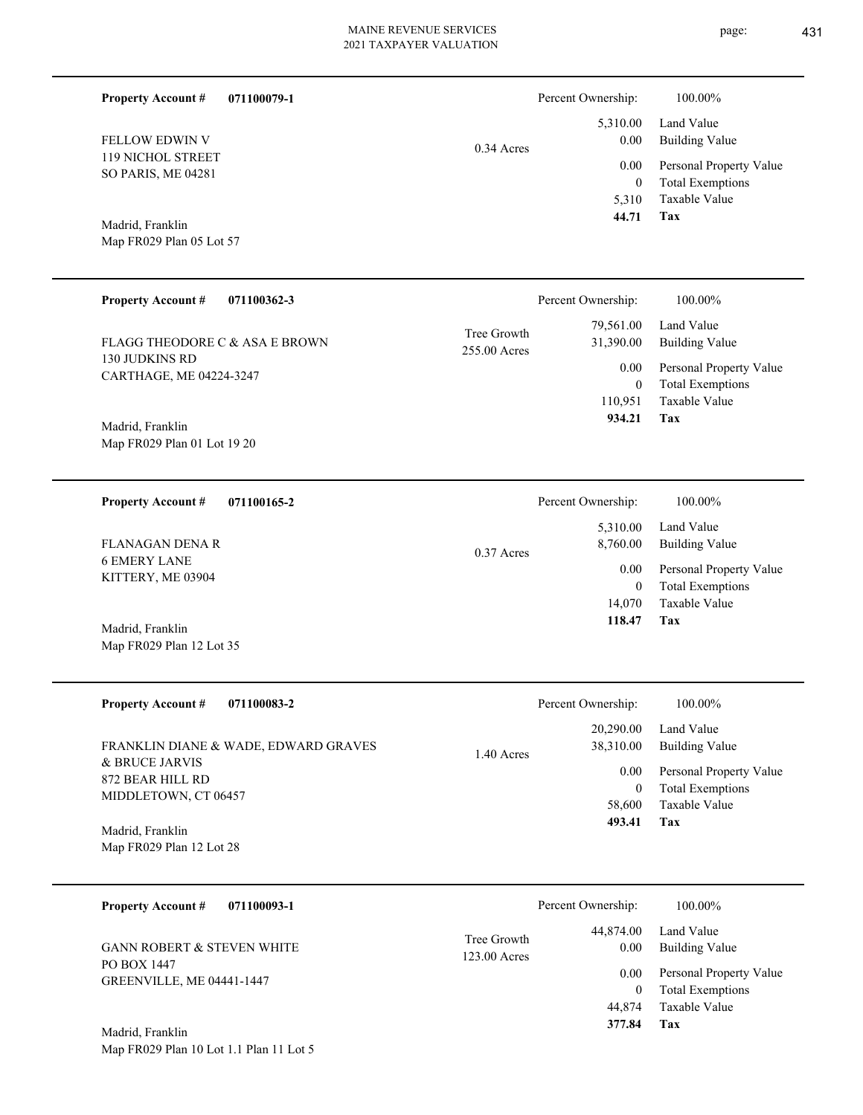| page: | 431 |
|-------|-----|
|       |     |

| <b>Property Account #</b>                                            | 071100079-1                          |                               | Percent Ownership:                                                  | 100.00%                                                                    |
|----------------------------------------------------------------------|--------------------------------------|-------------------------------|---------------------------------------------------------------------|----------------------------------------------------------------------------|
| FELLOW EDWIN V<br>119 NICHOL STREET<br>SO PARIS, ME 04281            | 0.34 Acres                           | 5,310.00<br>0.00              | Land Value<br><b>Building Value</b>                                 |                                                                            |
|                                                                      |                                      | 0.00<br>$\mathbf{0}$<br>5,310 | Personal Property Value<br><b>Total Exemptions</b><br>Taxable Value |                                                                            |
| Madrid, Franklin<br>Map FR029 Plan 05 Lot 57                         |                                      |                               | 44.71                                                               | Tax                                                                        |
| <b>Property Account #</b>                                            | 071100362-3                          |                               | Percent Ownership:                                                  | 100.00%                                                                    |
| FLAGG THEODORE C & ASA E BROWN                                       |                                      | Tree Growth<br>255.00 Acres   | 79,561.00<br>31,390.00                                              | Land Value<br><b>Building Value</b>                                        |
| 130 JUDKINS RD<br>CARTHAGE, ME 04224-3247                            |                                      |                               | 0.00<br>$\boldsymbol{0}$<br>110,951                                 | Personal Property Value<br><b>Total Exemptions</b><br>Taxable Value        |
| Madrid, Franklin<br>Map FR029 Plan 01 Lot 19 20                      |                                      |                               | 934.21                                                              | Tax                                                                        |
| <b>Property Account #</b>                                            | 071100165-2                          |                               | Percent Ownership:                                                  | 100.00%                                                                    |
| <b>FLANAGAN DENA R</b>                                               |                                      | 0.37 Acres                    | 5,310.00<br>8,760.00                                                | Land Value<br><b>Building Value</b>                                        |
| <b>6 EMERY LANE</b><br>KITTERY, ME 03904                             |                                      |                               | 0.00<br>$\mathbf{0}$<br>14,070                                      | Personal Property Value<br><b>Total Exemptions</b><br>Taxable Value        |
| Madrid, Franklin<br>Map FR029 Plan 12 Lot 35                         |                                      |                               | 118.47                                                              | Tax                                                                        |
| <b>Property Account #</b>                                            | 071100083-2                          |                               | Percent Ownership:                                                  | 100.00%                                                                    |
|                                                                      | FRANKLIN DIANE & WADE, EDWARD GRAVES | 1.40 Acres                    | 20,290.00<br>38,310.00                                              | Land Value<br><b>Building Value</b>                                        |
| & BRUCE JARVIS<br>872 BEAR HILL RD                                   |                                      |                               | 0.00<br>$\mathbf{0}$                                                | Personal Property Value<br><b>Total Exemptions</b>                         |
| MIDDLETOWN, CT 06457<br>Madrid, Franklin<br>Map FR029 Plan 12 Lot 28 |                                      |                               | 58,600<br>493.41                                                    | Taxable Value<br>Tax                                                       |
|                                                                      |                                      |                               |                                                                     |                                                                            |
| <b>Property Account #</b>                                            | 071100093-1                          |                               | Percent Ownership:                                                  | 100.00%                                                                    |
| <b>GANN ROBERT &amp; STEVEN WHITE</b>                                |                                      | Tree Growth<br>123.00 Acres   | 44,874.00<br>0.00                                                   | Land Value<br><b>Building Value</b>                                        |
| PO BOX 1447<br>GREENVILLE, ME 04441-1447                             |                                      |                               | 0.00<br>$\mathbf{0}$<br>44,874<br>377.84                            | Personal Property Value<br><b>Total Exemptions</b><br>Taxable Value<br>Tax |
| Madrid, Franklin<br>Map FR029 Plan 10 Lot 1.1 Plan 11 Lot 5          |                                      |                               |                                                                     |                                                                            |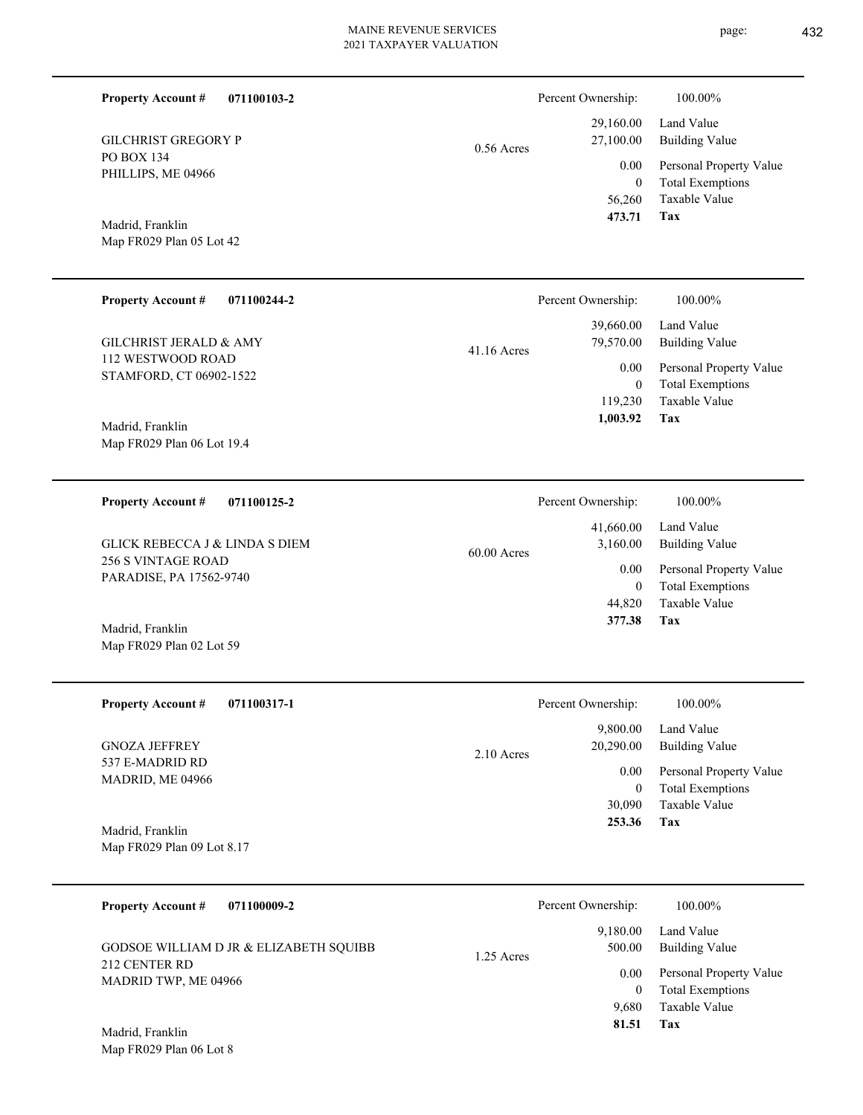|                                          | 2021 TAXPAYER VALUATION |                    |                         |
|------------------------------------------|-------------------------|--------------------|-------------------------|
| <b>Property Account #</b><br>071100103-2 |                         | Percent Ownership: | 100.00%                 |
|                                          |                         | 29,160.00          | Land Value              |
| <b>GILCHRIST GREGORY P</b>               | $0.56$ Acres            | 27,100.00          | <b>Building Value</b>   |
| PO BOX 134<br>PHILLIPS, ME 04966         |                         | 0.00               | Personal Property Value |
|                                          |                         | $\mathbf{0}$       | <b>Total Exemptions</b> |
|                                          |                         | 56,260             | Taxable Value           |
| Madrid, Franklin                         |                         | 473.71             | Tax                     |
| Map FR029 Plan 05 Lot 42                 |                         |                    |                         |
| <b>Property Account #</b><br>071100244-2 |                         | Percent Ownership: | 100.00%                 |
|                                          |                         | 39,660.00          | Land Value              |
| <b>GILCHRIST JERALD &amp; AMY</b>        | $41.16$ Acres           | 79,570.00          | <b>Building Value</b>   |
| 112 WESTWOOD ROAD                        |                         | $0.00\,$           | Personal Property Value |
| STAMFORD, CT 06902-1522                  |                         | $\mathbf{0}$       | <b>Total Exemptions</b> |
|                                          |                         | 119,230            | Taxable Value           |
| $M = 1.1$ F $1.1$                        |                         | 1,003.92           | Tax                     |

60.00 Acres

Map FR029 Plan 06 Lot 19.4 Madrid, Franklin

**071100125-2 Property Account #**

256 S VINTAGE ROAD PARADISE, PA 17562-9740 GLICK REBECCA J & LINDA S DIEM

Map FR029 Plan 02 Lot 59 Madrid, Franklin

| <b>Property Account #</b><br>071100317-1 | Percent Ownership:        | 100.00%                 |
|------------------------------------------|---------------------------|-------------------------|
|                                          | 9,800.00                  | Land Value              |
| <b>GNOZA JEFFREY</b>                     | 20,290.00<br>$2.10$ Acres | Building Value          |
| 537 E-MADRID RD<br>MADRID, ME 04966      | 0.00                      | Personal Property Value |
|                                          | 0                         | <b>Total Exemptions</b> |
|                                          | 30,090                    | Taxable Value           |
| Madrid, Franklin                         | 253.36                    | Tax                     |
| Map FR029 Plan 09 Lot 8.17               |                           |                         |

| 071100009-2<br><b>Property Account #</b>                                                   | Percent Ownership:                                     | 100.00%                                                                                                    |
|--------------------------------------------------------------------------------------------|--------------------------------------------------------|------------------------------------------------------------------------------------------------------------|
| <b>GODSOE WILLIAM D JR &amp; ELIZABETH SQUIBB</b><br>212 CENTER RD<br>MADRID TWP, ME 04966 | 9.180.00<br>500.00<br>1.25 Acres<br>0.00<br>0<br>9.680 | Land Value<br><b>Building Value</b><br>Personal Property Value<br><b>Total Exemptions</b><br>Taxable Value |
| Madrid. Franklin                                                                           | 81.51                                                  | Tax                                                                                                        |

Map FR029 Plan 06 Lot 8

**Tax**

 44,820 0

 41,660.00 3,160.00 0.00

Percent Ownership:  $100.00\%$ 

 **377.38**

Taxable Value Total Exemptions Personal Property Value

Building Value Land Value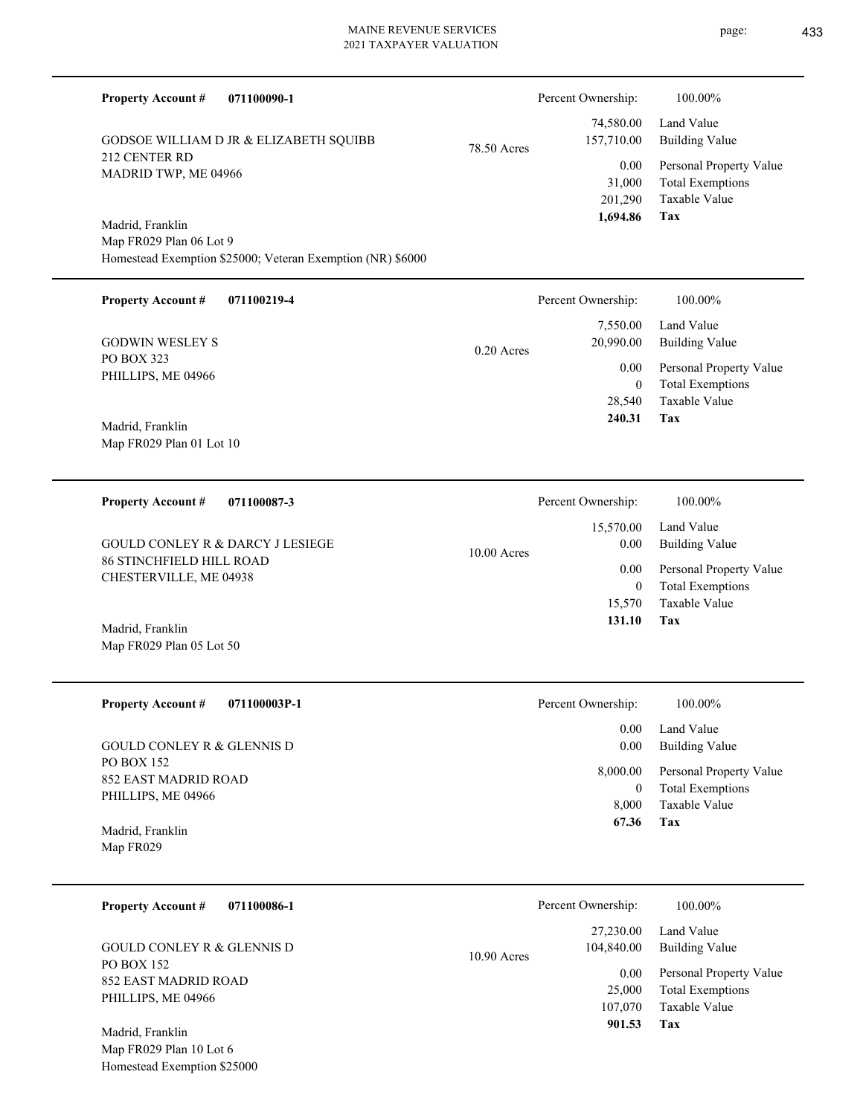| <b>Property Account #</b>                           | 071100090-1                                                |             | Percent Ownership:        | 100.00%                                                             |
|-----------------------------------------------------|------------------------------------------------------------|-------------|---------------------------|---------------------------------------------------------------------|
|                                                     | GODSOE WILLIAM D JR & ELIZABETH SQUIBB                     | 78.50 Acres | 74,580.00<br>157,710.00   | Land Value<br><b>Building Value</b>                                 |
| 212 CENTER RD<br>MADRID TWP, ME 04966               |                                                            |             | 0.00<br>31,000<br>201,290 | Personal Property Value<br><b>Total Exemptions</b><br>Taxable Value |
| Madrid, Franklin                                    |                                                            |             | 1,694.86                  | Tax                                                                 |
| Map FR029 Plan 06 Lot 9                             |                                                            |             |                           |                                                                     |
|                                                     | Homestead Exemption \$25000; Veteran Exemption (NR) \$6000 |             |                           |                                                                     |
| <b>Property Account #</b>                           | 071100219-4                                                |             | Percent Ownership:        | 100.00%                                                             |
| <b>GODWIN WESLEY S</b>                              |                                                            | 0.20 Acres  | 7,550.00<br>20,990.00     | Land Value<br><b>Building Value</b>                                 |
| PO BOX 323                                          |                                                            |             | 0.00                      | Personal Property Value                                             |
| PHILLIPS, ME 04966                                  |                                                            |             | $\overline{0}$            | <b>Total Exemptions</b>                                             |
| Madrid, Franklin                                    |                                                            |             | 28,540<br>240.31          | Taxable Value<br>Tax                                                |
| Map FR029 Plan 01 Lot 10                            |                                                            |             |                           |                                                                     |
| <b>Property Account #</b>                           | 071100087-3                                                |             | Percent Ownership:        | 100.00%                                                             |
|                                                     | <b>GOULD CONLEY R &amp; DARCY J LESIEGE</b>                |             | 15,570.00<br>0.00         | Land Value<br><b>Building Value</b>                                 |
| <b>86 STINCHFIELD HILL ROAD</b>                     |                                                            | 10.00 Acres | 0.00                      | Personal Property Value                                             |
| CHESTERVILLE, ME 04938                              |                                                            |             | $\overline{0}$<br>15,570  | <b>Total Exemptions</b><br>Taxable Value                            |
| Madrid, Franklin<br>Map FR029 Plan 05 Lot 50        |                                                            |             | 131.10                    | Tax                                                                 |
| <b>Property Account #</b>                           | 071100003P-1                                               |             | Percent Ownership:        | 100.00%                                                             |
|                                                     |                                                            |             | $0.00\,$                  | Land Value                                                          |
| <b>GOULD CONLEY R &amp; GLENNIS D</b><br>PO BOX 152 |                                                            |             | 0.00                      | <b>Building Value</b>                                               |
| <b>852 EAST MADRID ROAD</b>                         |                                                            |             | 8,000.00                  | Personal Property Value                                             |
| PHILLIPS, ME 04966                                  |                                                            |             | $\mathbf{0}$              | <b>Total Exemptions</b>                                             |
|                                                     |                                                            |             | 8,000                     | Taxable Value                                                       |
| Madrid, Franklin<br>Map FR029                       |                                                            |             | 67.36                     | Tax                                                                 |
| <b>Property Account #</b>                           | 071100086-1                                                |             | Percent Ownership:        | 100.00%                                                             |
| <b>GOULD CONLEY R &amp; GLENNIS D</b>               |                                                            | 10.90 Acres | 27,230.00<br>104,840.00   | Land Value<br><b>Building Value</b>                                 |
| PO BOX 152                                          |                                                            |             | 0.00                      | Personal Property Value                                             |
| 852 EAST MADRID ROAD<br>PHILLIPS, ME 04966          |                                                            |             | 25,000                    | <b>Total Exemptions</b>                                             |
|                                                     |                                                            |             | 107,070                   | Taxable Value                                                       |
| Madrid, Franklin                                    |                                                            |             | 901.53                    | Tax                                                                 |
| Map FR029 Plan 10 Lot 6                             |                                                            |             |                           |                                                                     |
| Homestead Exemption \$25000                         |                                                            |             |                           |                                                                     |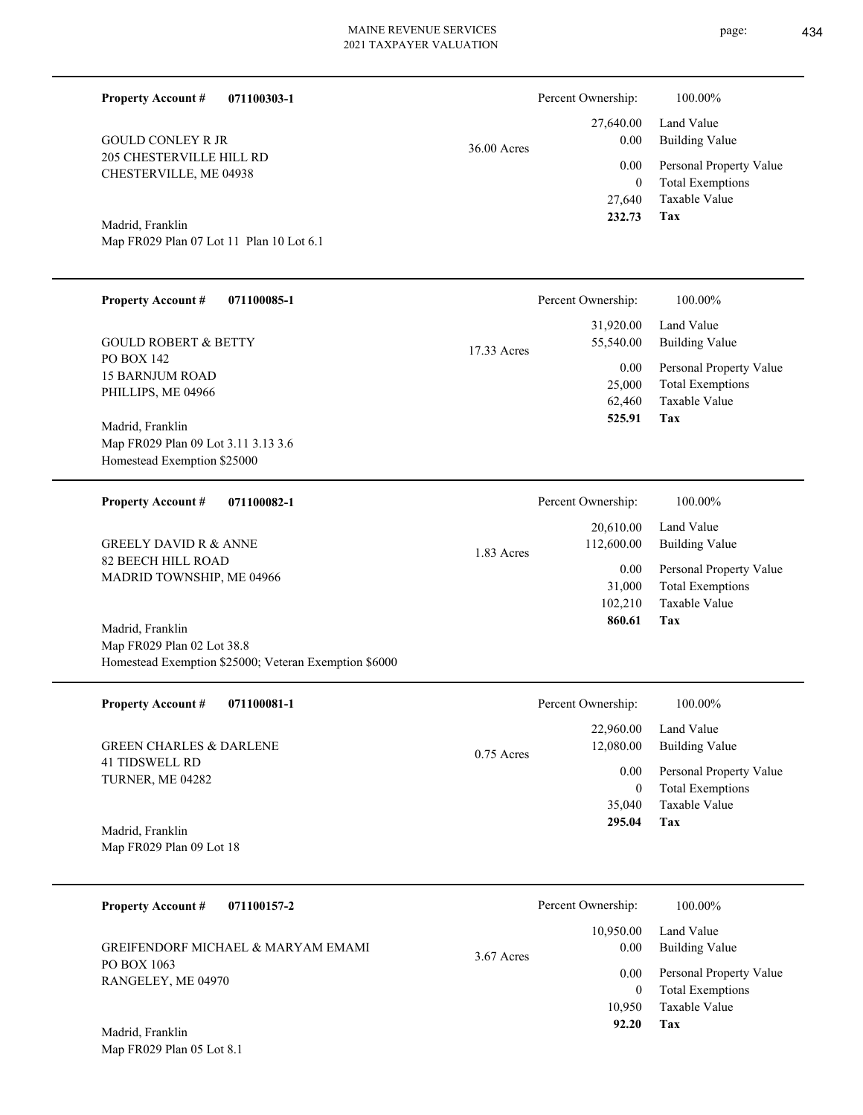| <b>Property Account #</b><br>071100303-1                                                                |              | Percent Ownership:                  | 100.00%                                                                    |
|---------------------------------------------------------------------------------------------------------|--------------|-------------------------------------|----------------------------------------------------------------------------|
| <b>GOULD CONLEY R JR</b>                                                                                | 36.00 Acres  | 27,640.00<br>0.00                   | Land Value<br><b>Building Value</b>                                        |
| 205 CHESTERVILLE HILL RD<br>CHESTERVILLE, ME 04938                                                      |              | 0.00<br>$\boldsymbol{0}$<br>27,640  | Personal Property Value<br><b>Total Exemptions</b><br>Taxable Value        |
| Madrid, Franklin<br>Map FR029 Plan 07 Lot 11 Plan 10 Lot 6.1                                            |              | 232.73                              | <b>Tax</b>                                                                 |
| <b>Property Account #</b><br>071100085-1                                                                |              | Percent Ownership:                  | 100.00%                                                                    |
| <b>GOULD ROBERT &amp; BETTY</b>                                                                         | 17.33 Acres  | 31,920.00<br>55,540.00              | Land Value<br><b>Building Value</b>                                        |
| PO BOX 142<br><b>15 BARNJUM ROAD</b><br>PHILLIPS, ME 04966                                              |              | 0.00<br>25,000<br>62,460            | Personal Property Value<br><b>Total Exemptions</b><br>Taxable Value        |
| Madrid, Franklin<br>Map FR029 Plan 09 Lot 3.11 3.13 3.6<br>Homestead Exemption \$25000                  |              | 525.91                              | Tax                                                                        |
| <b>Property Account #</b><br>071100082-1                                                                |              | Percent Ownership:                  | 100.00%                                                                    |
| <b>GREELY DAVID R &amp; ANNE</b>                                                                        | 1.83 Acres   | 20,610.00<br>112,600.00             | Land Value<br><b>Building Value</b>                                        |
| 82 BEECH HILL ROAD<br>MADRID TOWNSHIP, ME 04966                                                         |              | 0.00<br>31,000<br>102,210<br>860.61 | Personal Property Value<br><b>Total Exemptions</b><br>Taxable Value<br>Tax |
| Madrid, Franklin<br>Map FR029 Plan 02 Lot 38.8<br>Homestead Exemption \$25000; Veteran Exemption \$6000 |              |                                     |                                                                            |
| <b>Property Account #</b><br>071100081-1                                                                |              | Percent Ownership:                  | 100.00%                                                                    |
| <b>GREEN CHARLES &amp; DARLENE</b>                                                                      | $0.75$ Acres | 22,960.00<br>12,080.00              | Land Value<br><b>Building Value</b>                                        |
| <b>41 TIDSWELL RD</b><br>TURNER, ME 04282                                                               |              | 0.00<br>$\boldsymbol{0}$<br>35,040  | Personal Property Value<br><b>Total Exemptions</b><br>Taxable Value        |
| Madrid, Franklin<br>Map FR029 Plan 09 Lot 18                                                            |              | 295.04                              | Tax                                                                        |
| <b>Property Account #</b><br>071100157-2                                                                |              | Percent Ownership:                  | 100.00%                                                                    |
| GREIFENDORF MICHAEL & MARYAM EMAMI                                                                      | 3.67 Acres   | 10,950.00<br>0.00                   | Land Value<br><b>Building Value</b>                                        |
| PO BOX 1063<br>RANGELEY, ME 04970                                                                       |              | 0.00<br>$\boldsymbol{0}$            | Personal Property Value<br><b>Total Exemptions</b>                         |
| Madrid, Franklin<br>Map FR029 Plan 05 Lot 8.1                                                           |              | 10,950<br>92.20                     | Taxable Value<br>Tax                                                       |
|                                                                                                         |              |                                     |                                                                            |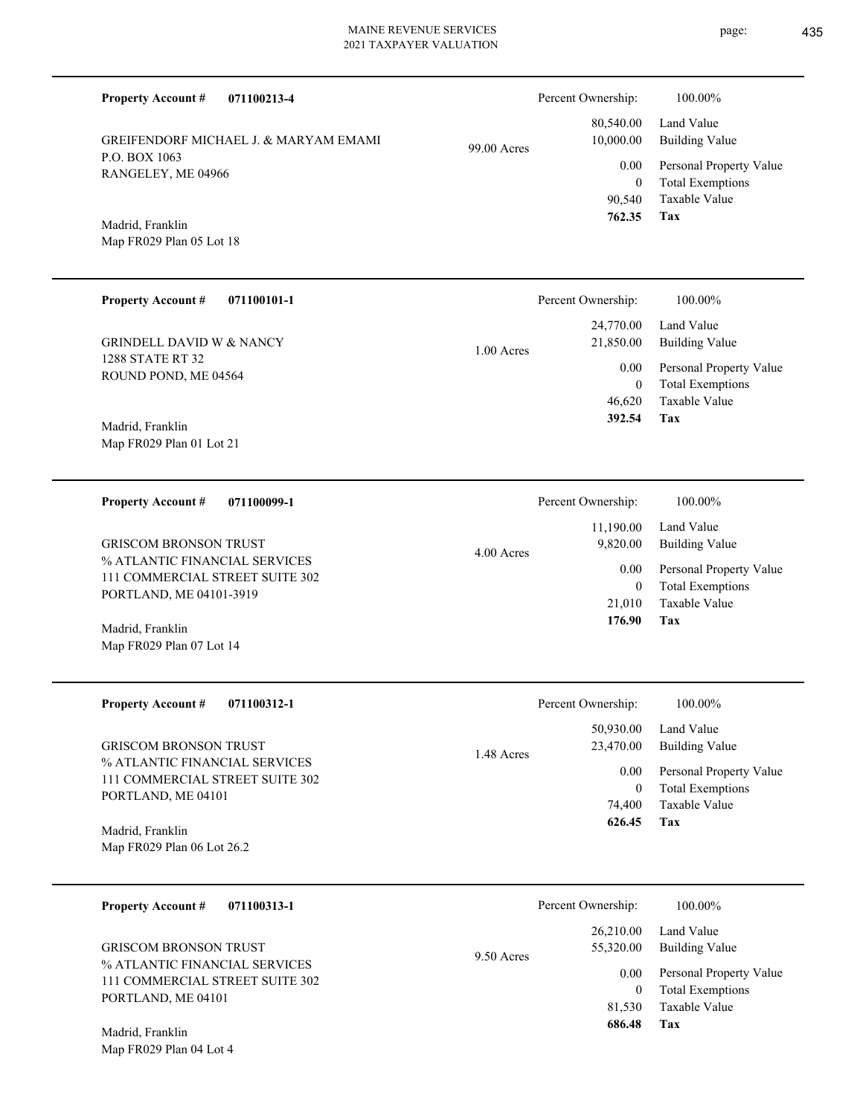**071100213-4 Tax** Taxable Value Total Exemptions Personal Property Value Building Value Land Value P.O. BOX 1063 RANGELEY, ME 04966 **Property Account #** Map FR029 Plan 05 Lot 18 Madrid, Franklin GREIFENDORF MICHAEL J. & MARYAM EMAMI 90,540 0  **762.35** 80,540.00 10,000.00 0.00 99.00 Acres Percent Ownership:  $100.00\%$ **071100101-1 Tax** Taxable Value Total Exemptions Personal Property Value Building Value Land Value 1288 STATE RT 32 ROUND POND, ME 04564 **Property Account #** Map FR029 Plan 01 Lot 21 Madrid, Franklin GRINDELL DAVID W & NANCY 46,620 0  **392.54** 24,770.00 21,850.00 0.00 1.00 Acres Percent Ownership:  $100.00\%$ **071100099-1 Tax** Taxable Value Total Exemptions Personal Property Value Building Value Land Value % ATLANTIC FINANCIAL SERVICES 111 COMMERCIAL STREET SUITE 302 PORTLAND, ME 04101-3919 **Property Account #** Map FR029 Plan 07 Lot 14 Madrid, Franklin GRISCOM BRONSON TRUST 21,010 0  **176.90** 11,190.00 9,820.00 0.00 4.00 Acres Percent Ownership:  $100.00\%$ **071100312-1 Tax** Taxable Value Total Exemptions Personal Property Value Building Value Land Value % ATLANTIC FINANCIAL SERVICES 111 COMMERCIAL STREET SUITE 302 PORTLAND, ME 04101 **Property Account #** Map FR029 Plan 06 Lot 26.2 Madrid, Franklin GRISCOM BRONSON TRUST 74,400 0  **626.45** 50,930.00 23,470.00 0.00 1.48 Acres Percent Ownership:  $100.00\%$ **071100313-1** Taxable Value Total Exemptions Personal Property Value Building Value Land Value % ATLANTIC FINANCIAL SERVICES 111 COMMERCIAL STREET SUITE 302 PORTLAND, ME 04101 **Property Account #** GRISCOM BRONSON TRUST 81,530 0 26,210.00 55,320.00 0.00 9.50 Acres Percent Ownership:  $100.00\%$ 

**Tax**

 **686.48**

Map FR029 Plan 04 Lot 4 Madrid, Franklin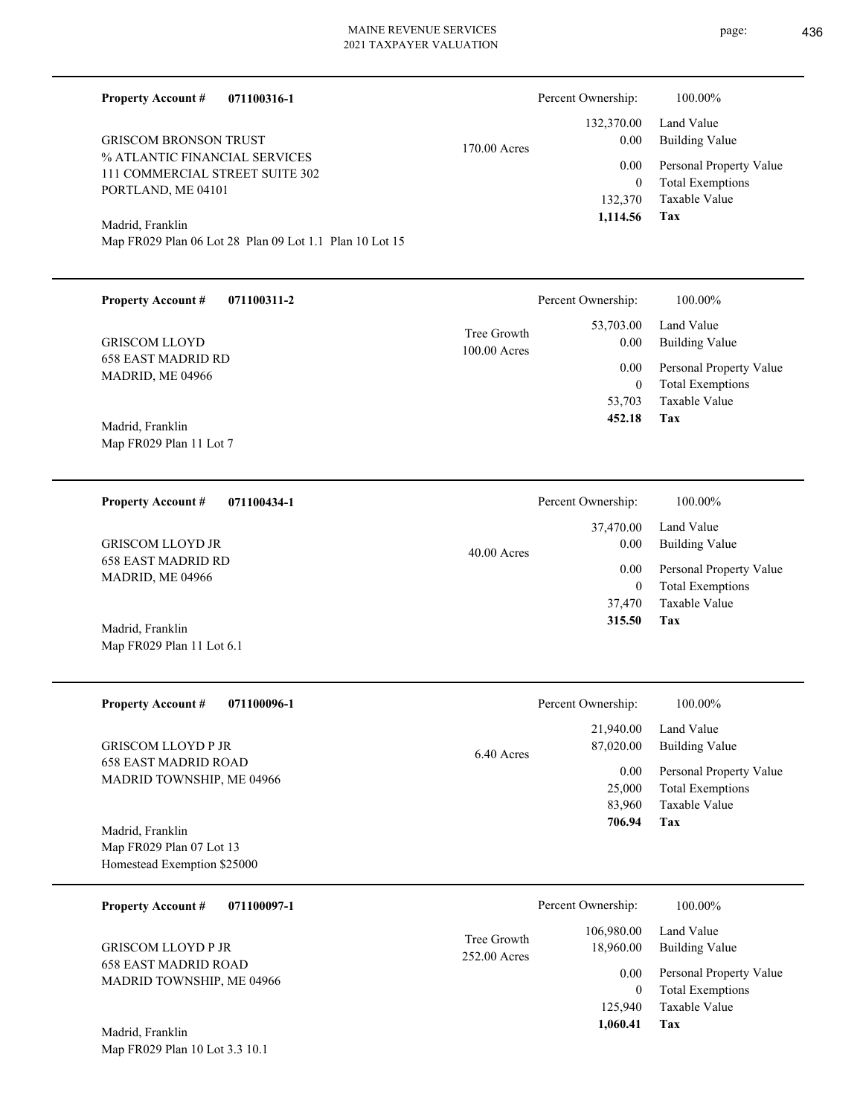**Tax**

 83,960 25,000

0.00

 **706.94**

Taxable Value Total Exemptions Personal Property Value

| 071100316-1<br><b>Property Account #</b>                                  |              | Percent Ownership:       | 100.00%                                            |
|---------------------------------------------------------------------------|--------------|--------------------------|----------------------------------------------------|
| <b>GRISCOM BRONSON TRUST</b>                                              |              | 132,370.00<br>0.00       | Land Value                                         |
| % ATLANTIC FINANCIAL SERVICES                                             | 170.00 Acres |                          | <b>Building Value</b>                              |
| 111 COMMERCIAL STREET SUITE 302                                           |              | 0.00<br>$\mathbf{0}$     | Personal Property Value<br><b>Total Exemptions</b> |
| PORTLAND, ME 04101                                                        |              | 132,370                  | Taxable Value                                      |
| Madrid, Franklin                                                          |              | 1,114.56                 | Tax                                                |
| Map FR029 Plan 06 Lot 28 Plan 09 Lot 1.1 Plan 10 Lot 15                   |              |                          |                                                    |
| <b>Property Account #</b><br>071100311-2                                  |              | Percent Ownership:       | 100.00%                                            |
|                                                                           | Tree Growth  | 53,703.00                | Land Value                                         |
| <b>GRISCOM LLOYD</b><br><b>658 EAST MADRID RD</b>                         | 100.00 Acres | 0.00                     | <b>Building Value</b>                              |
| MADRID, ME 04966                                                          |              | 0.00<br>$\boldsymbol{0}$ | Personal Property Value<br><b>Total Exemptions</b> |
|                                                                           |              | 53,703                   | Taxable Value                                      |
| Madrid, Franklin                                                          |              | 452.18                   | Tax                                                |
| Map FR029 Plan 11 Lot 7                                                   |              |                          |                                                    |
| 071100434-1<br><b>Property Account #</b>                                  |              | Percent Ownership:       | 100.00%                                            |
|                                                                           |              | 37,470.00                | Land Value                                         |
| <b>GRISCOM LLOYD JR</b><br><b>658 EAST MADRID RD</b>                      | 40.00 Acres  | 0.00                     | <b>Building Value</b>                              |
| MADRID, ME 04966                                                          |              | 0.00<br>$\mathbf{0}$     | Personal Property Value<br><b>Total Exemptions</b> |
|                                                                           |              | 37,470                   | <b>Taxable Value</b>                               |
| Madrid, Franklin                                                          |              | 315.50                   | Tax                                                |
| Map FR029 Plan 11 Lot 6.1                                                 |              |                          |                                                    |
| <b>Property Account #</b><br>071100096-1                                  |              | Percent Ownership:       | 100.00%                                            |
|                                                                           |              | 21,940.00                | Land Value                                         |
| <b>GRISCOM LLOYD P JR</b><br>$(20.5 \times 0.05)$ is a sequence of $\sim$ | 6.40 Acres   | 87,020.00                | <b>Building Value</b>                              |

658 EAST MADRID ROAD MADRID TOWNSHIP, ME 04966

Map FR029 Plan 07 Lot 13 Homestead Exemption \$25000 Madrid, Franklin

Map FR029 Plan 10 Lot 3.3 10.1

| 071100097-1<br><b>Property Account #</b>                                              | Percent Ownership:                                     | 100.00%                      |
|---------------------------------------------------------------------------------------|--------------------------------------------------------|------------------------------|
| <b>GRISCOM LLOYD P JR</b><br><b>658 EAST MADRID ROAD</b><br>MADRID TOWNSHIP, ME 04966 | 106,980.00<br>Tree Growth<br>18,960.00<br>252.00 Acres | Land Value<br>Building Value |
|                                                                                       | 0.00                                                   | Personal Property Value      |
|                                                                                       | 0                                                      | <b>Total Exemptions</b>      |
|                                                                                       | 125,940                                                | Taxable Value                |
| Madrid, Franklin                                                                      | 1,060.41                                               | Tax                          |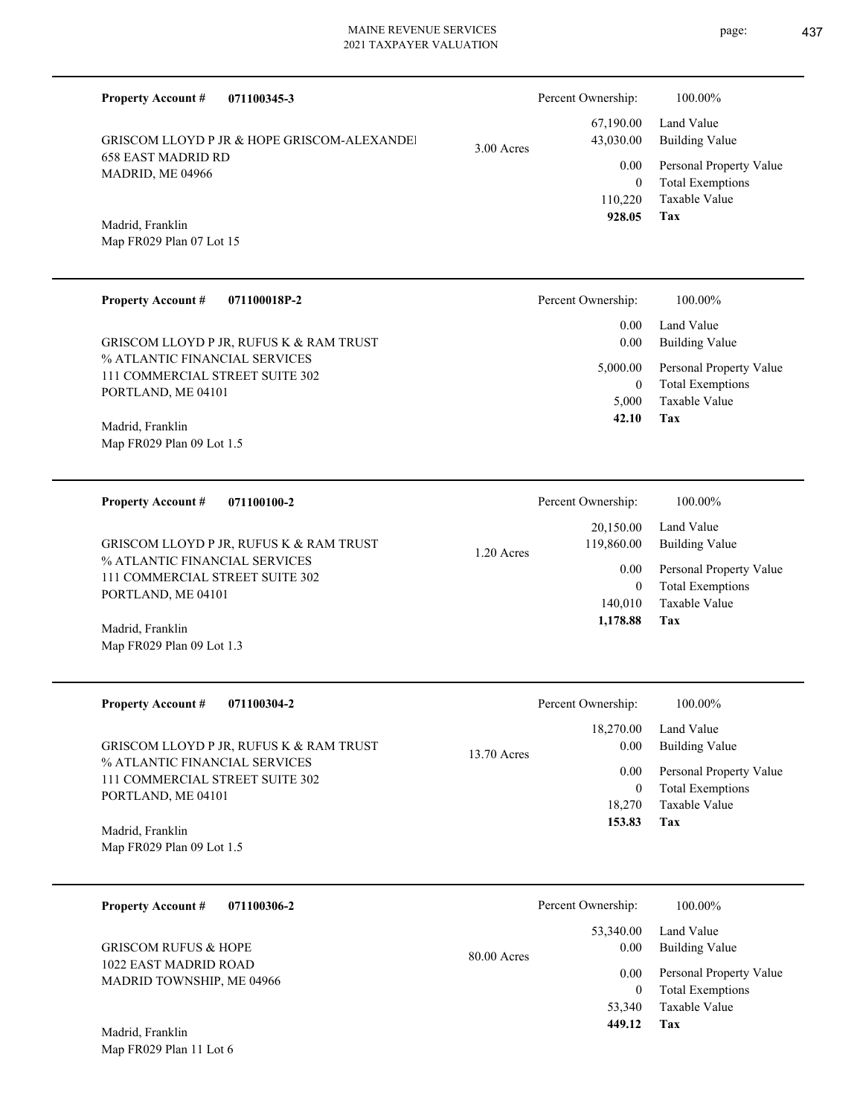|                                                                  | <b>Property Account #</b><br>071100345-3                         |                                                    | Percent Ownership:         | 100.00%                                            |
|------------------------------------------------------------------|------------------------------------------------------------------|----------------------------------------------------|----------------------------|----------------------------------------------------|
|                                                                  | <b>GRISCOM LLOYD P JR &amp; HOPE GRISCOM-ALEXANDEL</b>           | 3.00 Acres                                         | 67,190.00<br>43,030.00     | Land Value<br><b>Building Value</b>                |
| <b>658 EAST MADRID RD</b><br>MADRID, ME 04966                    |                                                                  |                                                    | 0.00                       | Personal Property Value                            |
|                                                                  |                                                                  |                                                    | $\overline{0}$<br>110,220  | <b>Total Exemptions</b><br><b>Taxable Value</b>    |
|                                                                  | Madrid, Franklin                                                 |                                                    | 928.05                     | Tax                                                |
|                                                                  | Map FR029 Plan 07 Lot 15                                         |                                                    |                            |                                                    |
|                                                                  | <b>Property Account #</b><br>071100018P-2                        |                                                    | Percent Ownership:         | 100.00%                                            |
|                                                                  | GRISCOM LLOYD P JR, RUFUS K & RAM TRUST                          |                                                    | 0.00<br>0.00               | Land Value<br><b>Building Value</b>                |
|                                                                  | % ATLANTIC FINANCIAL SERVICES<br>111 COMMERCIAL STREET SUITE 302 |                                                    | 5,000.00                   | Personal Property Value                            |
|                                                                  | PORTLAND, ME 04101                                               |                                                    | $\overline{0}$<br>5,000    | <b>Total Exemptions</b><br><b>Taxable Value</b>    |
|                                                                  | Madrid, Franklin                                                 |                                                    | 42.10                      | Tax                                                |
|                                                                  | Map FR029 Plan 09 Lot 1.5                                        |                                                    |                            |                                                    |
|                                                                  | 071100100-2<br><b>Property Account #</b>                         |                                                    | Percent Ownership:         | 100.00%                                            |
| % ATLANTIC FINANCIAL SERVICES<br>111 COMMERCIAL STREET SUITE 302 |                                                                  | $1.20$ Acres                                       | 20,150.00                  | Land Value                                         |
|                                                                  | GRISCOM LLOYD P JR, RUFUS K & RAM TRUST                          |                                                    | 119,860.00                 | <b>Building Value</b>                              |
|                                                                  |                                                                  |                                                    | 0.00<br>$\overline{0}$     | Personal Property Value<br><b>Total Exemptions</b> |
|                                                                  | PORTLAND, ME 04101                                               |                                                    | 140,010<br>1,178.88        | <b>Taxable Value</b><br>Tax                        |
|                                                                  | Madrid, Franklin<br>Map FR029 Plan 09 Lot 1.3                    |                                                    |                            |                                                    |
|                                                                  |                                                                  |                                                    |                            |                                                    |
|                                                                  | <b>Property Account #</b><br>071100304-2                         |                                                    | Percent Ownership:         | 100.00%                                            |
|                                                                  | GRISCOM LLOYD P JR, RUFUS K & RAM TRUST                          | $13.70$ Acres                                      | 18,270.00<br>0.00          | Land Value<br><b>Building Value</b>                |
|                                                                  | % ATLANTIC FINANCIAL SERVICES<br>111 COMMERCIAL STREET SUITE 302 |                                                    | 0.00                       | Personal Property Value                            |
|                                                                  | PORTLAND, ME 04101                                               |                                                    | $\boldsymbol{0}$<br>18,270 | <b>Total Exemptions</b><br>Taxable Value           |
|                                                                  | Madrid, Franklin                                                 |                                                    | 153.83                     | Tax                                                |
|                                                                  | Map FR029 Plan 09 Lot 1.5                                        |                                                    |                            |                                                    |
|                                                                  | 071100306-2<br><b>Property Account #</b>                         |                                                    | Percent Ownership:         | 100.00%                                            |
|                                                                  |                                                                  |                                                    | 53,340.00                  | Land Value                                         |
|                                                                  | <b>GRISCOM RUFUS &amp; HOPE</b><br>1022 EAST MADRID ROAD         | 80.00 Acres                                        | 0.00                       | <b>Building Value</b>                              |
| MADRID TOWNSHIP, ME 04966                                        | 0.00<br>$\overline{0}$                                           | Personal Property Value<br><b>Total Exemptions</b> |                            |                                                    |
|                                                                  |                                                                  |                                                    | 53,340<br>449.12           | Taxable Value<br>Tax                               |
|                                                                  |                                                                  |                                                    |                            |                                                    |

Map FR029 Plan 11 Lot 6 Madrid, Franklin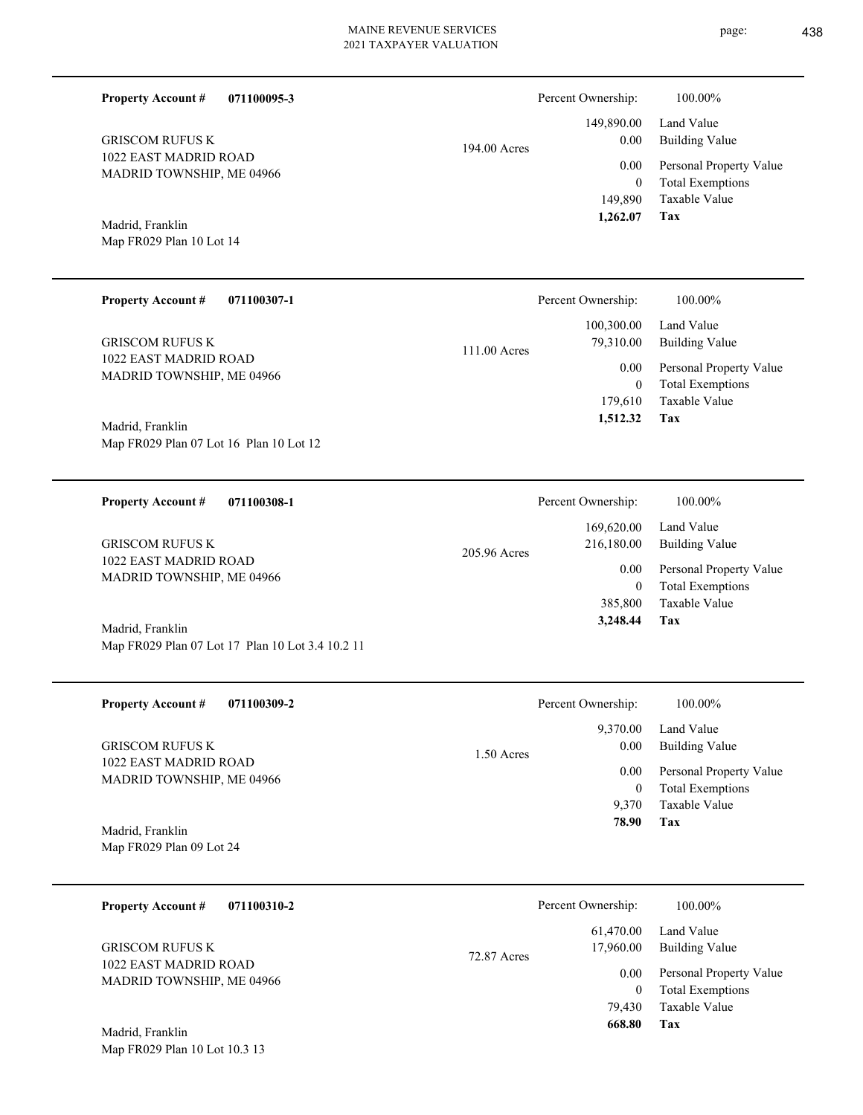| <b>Property Account #</b>                          | 071100095-3  |                          | Percent Ownership:                  | 100.00%                                                             |
|----------------------------------------------------|--------------|--------------------------|-------------------------------------|---------------------------------------------------------------------|
| <b>GRISCOM RUFUS K</b><br>1022 EAST MADRID ROAD    |              | 194.00 Acres             | 149,890.00<br>0.00                  | Land Value<br><b>Building Value</b>                                 |
| MADRID TOWNSHIP, ME 04966                          |              |                          | 0.00<br>$\overline{0}$<br>149,890   | Personal Property Value<br><b>Total Exemptions</b><br>Taxable Value |
| Madrid, Franklin<br>Map FR029 Plan 10 Lot 14       |              |                          | 1,262.07                            | Tax                                                                 |
|                                                    |              |                          |                                     |                                                                     |
| <b>Property Account #</b>                          | 071100307-1  |                          | Percent Ownership:                  | 100.00%                                                             |
| <b>GRISCOM RUFUS K</b>                             |              | 111.00 Acres             | 100,300.00<br>79,310.00             | Land Value<br><b>Building Value</b>                                 |
| 1022 EAST MADRID ROAD<br>MADRID TOWNSHIP, ME 04966 |              |                          | 0.00<br>$\mathbf{0}$                | Personal Property Value<br><b>Total Exemptions</b>                  |
| Madrid, Franklin                                   |              |                          | 179,610<br>1,512.32                 | Taxable Value<br><b>Tax</b>                                         |
| Map FR029 Plan 07 Lot 16 Plan 10 Lot 12            |              |                          |                                     |                                                                     |
| <b>Property Account #</b>                          | 071100308-1  |                          | Percent Ownership:                  | 100.00%                                                             |
| <b>GRISCOM RUFUS K</b>                             | 205.96 Acres | 169,620.00<br>216,180.00 | Land Value<br><b>Building Value</b> |                                                                     |
| 1022 EAST MADRID ROAD<br>MADRID TOWNSHIP, ME 04966 |              |                          | 0.00<br>$\mathbf{0}$                | Personal Property Value<br><b>Total Exemptions</b>                  |
| Madrid, Franklin                                   |              |                          | 385,800<br>3,248.44                 | Taxable Value<br><b>Tax</b>                                         |
| Map FR029 Plan 07 Lot 17 Plan 10 Lot 3.4 10.2 11   |              |                          |                                     |                                                                     |
| <b>Property Account #</b>                          | 071100309-2  |                          | Percent Ownership:                  | 100.00%                                                             |
| <b>GRISCOM RUFUS K</b>                             |              | 1.50 Acres               | 9,370.00<br>0.00                    | Land Value<br><b>Building Value</b>                                 |
| 1022 EAST MADRID ROAD<br>MADRID TOWNSHIP, ME 04966 |              |                          | 0.00<br>$\mathbf{0}$                | Personal Property Value<br><b>Total Exemptions</b>                  |
| Madrid, Franklin                                   |              |                          | 9,370<br>78.90                      | Taxable Value<br>Tax                                                |
| Map FR029 Plan 09 Lot 24                           |              |                          |                                     |                                                                     |
| <b>Property Account #</b>                          | 071100310-2  |                          | Percent Ownership:                  | 100.00%                                                             |
| <b>GRISCOM RUFUS K</b>                             |              | 72.87 Acres              | 61,470.00<br>17,960.00              | Land Value<br><b>Building Value</b>                                 |
| 1022 EAST MADRID ROAD<br>MADRID TOWNSHIP, ME 04966 |              |                          | 0.00<br>$\mathbf{0}$                | Personal Property Value<br><b>Total Exemptions</b>                  |
|                                                    |              |                          | 79,430<br>668.80                    | Taxable Value<br><b>Tax</b>                                         |

Map FR029 Plan 10 Lot 10.3 13 Madrid, Franklin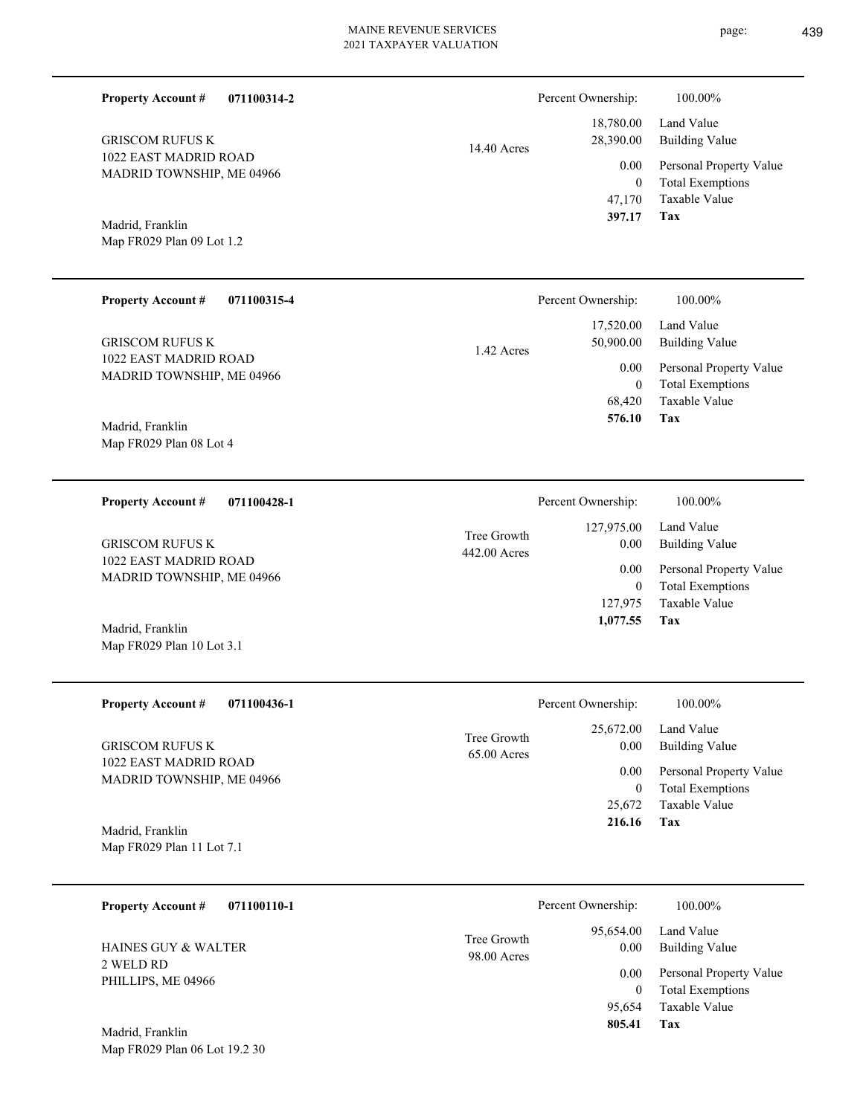Percent Ownership:  $100.00\%$ 

|               | 397.17             | Tax                     |
|---------------|--------------------|-------------------------|
|               |                    | 47,170 Taxable Value    |
|               | $\theta$           | <b>Total Exemptions</b> |
|               | 0.00               | Personal Property Value |
| $14.40$ Acres | 28,390.00          | <b>Building Value</b>   |
|               |                    | 18,780.00 Land Value    |
|               | Percent Ownership: | <b>100.0070</b>         |

**Tax**

 127,975 0

 127,975.00 0.00 0.00

Percent Ownership:  $100.00\%$ 

 **1,077.55**

Taxable Value Total Exemptions Personal Property Value

Building Value Land Value

Madrid, Franklin

1022 EAST MADRID ROAD MADRID TOWNSHIP, ME 04966

**Property Account #**

GRISCOM RUFUS K

**071100314-2**

Map FR029 Plan 09 Lot 1.2

#### **071100315-4 Tax** Taxable Value Total Exemptions Personal Property Value Building Value Land Value 1022 EAST MADRID ROAD MADRID TOWNSHIP, ME 04966 **Property Account #** Madrid, Franklin GRISCOM RUFUS K 68,420 0  **576.10** 17,520.00 50,900.00 0.00 1.42 Acres Percent Ownership: 100.00%

Map FR029 Plan 08 Lot 4

### **071100428-1 Property Account #**

1022 EAST MADRID ROAD MADRID TOWNSHIP, ME 04966 GRISCOM RUFUS K

## Map FR029 Plan 10 Lot 3.1 Madrid, Franklin

| <b>Property Account #</b><br>071100436-1        | Percent Ownership:                                | 100.00%                             |
|-------------------------------------------------|---------------------------------------------------|-------------------------------------|
| <b>GRISCOM RUFUS K</b><br>1022 EAST MADRID ROAD | 25,672.00<br>Tree Growth<br>0.00<br>$65.00$ Acres | Land Value<br>Building Value        |
| MADRID TOWNSHIP, ME 04966                       | 0.00                                              | Personal Property Value             |
|                                                 |                                                   | <b>Total Exemptions</b><br>$\theta$ |
|                                                 | 25,672                                            | Taxable Value                       |
| Madrid, Franklin                                | 216.16                                            | Tax                                 |
| Map FR029 Plan 11 Lot 7.1                       |                                                   |                                     |

442.00 Acres Tree Growth

| 071100110-1<br><b>Property Account #</b> |             | Percent Ownership: | 100.00%                 |
|------------------------------------------|-------------|--------------------|-------------------------|
| <b>HAINES GUY &amp; WALTER</b>           | Tree Growth | 95,654.00          | Land Value              |
|                                          | 98.00 Acres | 0.00               | <b>Building Value</b>   |
| 2 WELD RD                                |             | 0.00               | Personal Property Value |
| PHILLIPS, ME 04966                       |             | $\theta$           | <b>Total Exemptions</b> |
| Madrid Franklin                          |             | 95,654<br>805.41   | Taxable Value<br>Tax    |

Map FR029 Plan 06 Lot 19.2 30 Madrid, Franklin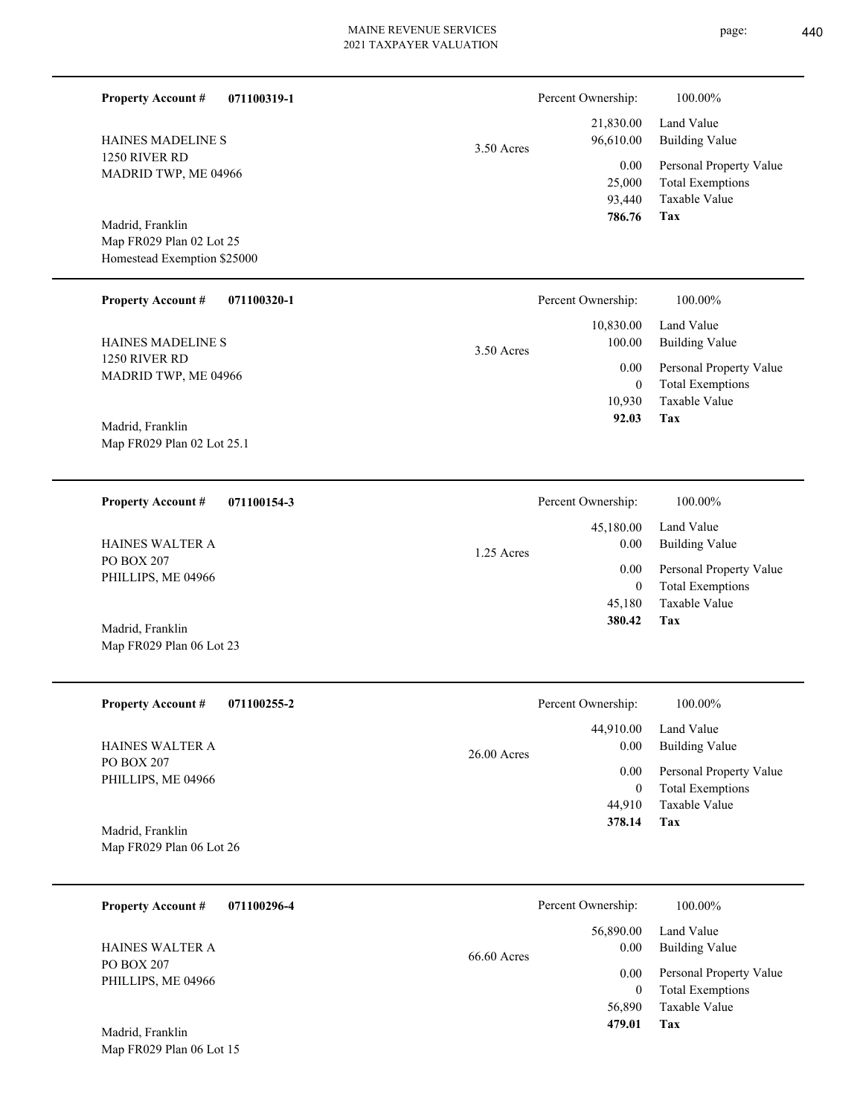L

| <b>Property Account #</b><br>071100319-1<br>HAINES MADELINE S               | $3.50$ Acres | Percent Ownership:<br>21,830.00<br>96,610.00  | 100.00%<br>Land Value<br><b>Building Value</b>                                    |
|-----------------------------------------------------------------------------|--------------|-----------------------------------------------|-----------------------------------------------------------------------------------|
| 1250 RIVER RD<br>MADRID TWP, ME 04966                                       |              | 0.00<br>25,000<br>93,440<br>786.76            | Personal Property Value<br><b>Total Exemptions</b><br>Taxable Value<br><b>Tax</b> |
| Madrid, Franklin<br>Map FR029 Plan 02 Lot 25<br>Homestead Exemption \$25000 |              |                                               |                                                                                   |
| <b>Property Account #</b><br>071100320-1                                    |              | Percent Ownership:                            | 100.00%                                                                           |
| HAINES MADELINE S                                                           | $3.50$ Acres | 10,830.00<br>100.00                           | Land Value<br><b>Building Value</b>                                               |
| 1250 RIVER RD<br>MADRID TWP, ME 04966                                       |              | 0.00<br>$\boldsymbol{0}$<br>10,930            | Personal Property Value<br><b>Total Exemptions</b><br>Taxable Value               |
| Madrid, Franklin<br>Map FR029 Plan 02 Lot 25.1                              |              | 92.03                                         | Tax                                                                               |
| <b>Property Account #</b><br>071100154-3                                    |              | Percent Ownership:                            | 100.00%                                                                           |
| HAINES WALTER A                                                             | 1.25 Acres   | 45,180.00<br>0.00<br>0.00<br>$\boldsymbol{0}$ | Land Value<br><b>Building Value</b>                                               |
| PO BOX 207<br>PHILLIPS, ME 04966                                            |              |                                               | Personal Property Value<br><b>Total Exemptions</b>                                |
| Madrid, Franklin<br>Map FR029 Plan 06 Lot 23                                |              | 45,180<br>380.42                              | Taxable Value<br>Tax                                                              |
| <b>Property Account #</b><br>071100255-2                                    |              | Percent Ownership:                            | $100.00\%$                                                                        |
| HAINES WALTER A                                                             | 26.00 Acres  | 44,910.00<br>0.00                             | Land Value<br><b>Building Value</b>                                               |
| PO BOX 207<br>PHILLIPS, ME 04966                                            |              | 0.00<br>$\boldsymbol{0}$                      | Personal Property Value<br><b>Total Exemptions</b>                                |
| Madrid, Franklin                                                            |              | 44,910<br>378.14                              | Taxable Value<br><b>Tax</b>                                                       |
| Map FR029 Plan 06 Lot 26                                                    |              |                                               |                                                                                   |
| <b>Property Account #</b><br>071100296-4                                    |              | Percent Ownership:                            | 100.00%                                                                           |
| HAINES WALTER A                                                             | 66.60 Acres  | 56,890.00<br>0.00                             | Land Value<br><b>Building Value</b>                                               |
| PO BOX 207<br>PHILLIPS, ME 04966                                            |              | 0.00<br>$\mathbf{0}$<br>56,890<br>479.01      | Personal Property Value<br><b>Total Exemptions</b><br>Taxable Value<br><b>Tax</b> |
| Madrid, Franklin<br>Map FR029 Plan 06 Lot 15                                |              |                                               |                                                                                   |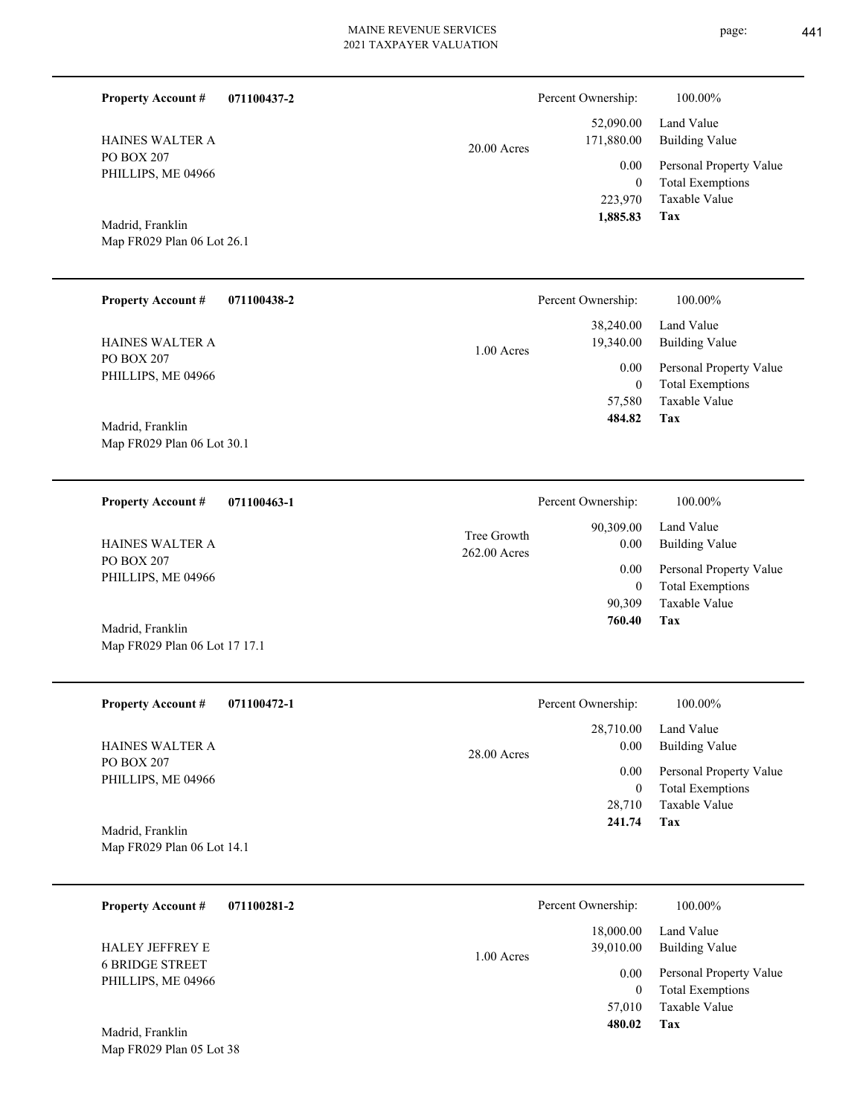| <b>Property Account #</b>                      | 071100437-2 |               | Percent Ownership:          | 100.00%                                            |
|------------------------------------------------|-------------|---------------|-----------------------------|----------------------------------------------------|
| <b>HAINES WALTER A</b>                         |             | $20.00$ Acres | 52,090.00<br>171,880.00     | Land Value<br><b>Building Value</b>                |
| PO BOX 207<br>PHILLIPS, ME 04966               |             |               | 0.00                        | Personal Property Value                            |
|                                                |             |               | $\boldsymbol{0}$<br>223,970 | <b>Total Exemptions</b><br>Taxable Value           |
| Madrid, Franklin                               |             |               | 1,885.83                    | Tax                                                |
| Map FR029 Plan 06 Lot 26.1                     |             |               |                             |                                                    |
|                                                |             |               |                             |                                                    |
| <b>Property Account #</b>                      | 071100438-2 |               | Percent Ownership:          | 100.00%                                            |
|                                                |             |               | 38,240.00                   | Land Value                                         |
| HAINES WALTER A<br>PO BOX 207                  |             | 1.00 Acres    | 19,340.00                   | <b>Building Value</b>                              |
| PHILLIPS, ME 04966                             |             |               | 0.00<br>$\boldsymbol{0}$    | Personal Property Value<br><b>Total Exemptions</b> |
|                                                |             |               | 57,580<br>484.82            | Taxable Value<br><b>Tax</b>                        |
| Madrid, Franklin<br>Map FR029 Plan 06 Lot 30.1 |             |               |                             |                                                    |
|                                                |             |               |                             |                                                    |
| Property Account #                             | 071100463-1 |               | Percent Ownership:          | 100.00%                                            |
|                                                |             | Tree Growth   | 90,309.00                   | Land Value                                         |
| <b>HAINES WALTER A</b><br>PO BOX 207           |             | 262.00 Acres  | 0.00                        | <b>Building Value</b>                              |
| PHILLIPS, ME 04966                             |             |               | 0.00<br>$\boldsymbol{0}$    | Personal Property Value<br><b>Total Exemptions</b> |
|                                                |             |               | 90,309                      | Taxable Value                                      |
| Madrid, Franklin                               |             |               | 760.40                      | Tax                                                |
| Map FR029 Plan 06 Lot 17 17.1                  |             |               |                             |                                                    |
| <b>Property Account #</b>                      | 071100472-1 |               | Percent Ownership:          | 100.00%                                            |
|                                                |             |               | 28,710.00                   | Land Value                                         |
| HAINES WALTER A<br>PO BOX 207                  |             | 28.00 Acres   | 0.00                        | <b>Building Value</b>                              |
| PHILLIPS, ME 04966                             |             |               | 0.00<br>$\overline{0}$      | Personal Property Value<br><b>Total Exemptions</b> |
|                                                |             |               | 28,710                      | Taxable Value                                      |
| Madrid, Franklin                               |             |               | 241.74                      | Tax                                                |
| Map FR029 Plan 06 Lot 14.1                     |             |               |                             |                                                    |
| <b>Property Account #</b>                      | 071100281-2 |               | Percent Ownership:          | 100.00%                                            |
|                                                |             |               | 18,000.00                   | Land Value                                         |
| HALEY JEFFREY E                                |             | 1.00 Acres    | 39,010.00                   | <b>Building Value</b>                              |
| <b>6 BRIDGE STREET</b><br>PHILLIPS, ME 04966   |             |               | 0.00                        | Personal Property Value                            |
|                                                |             |               | $\overline{0}$<br>57,010    | <b>Total Exemptions</b><br>Taxable Value           |
| Madrid, Franklin                               |             |               | 480.02                      | Tax                                                |
| Map FR029 Plan 05 Lot 38                       |             |               |                             |                                                    |
|                                                |             |               |                             |                                                    |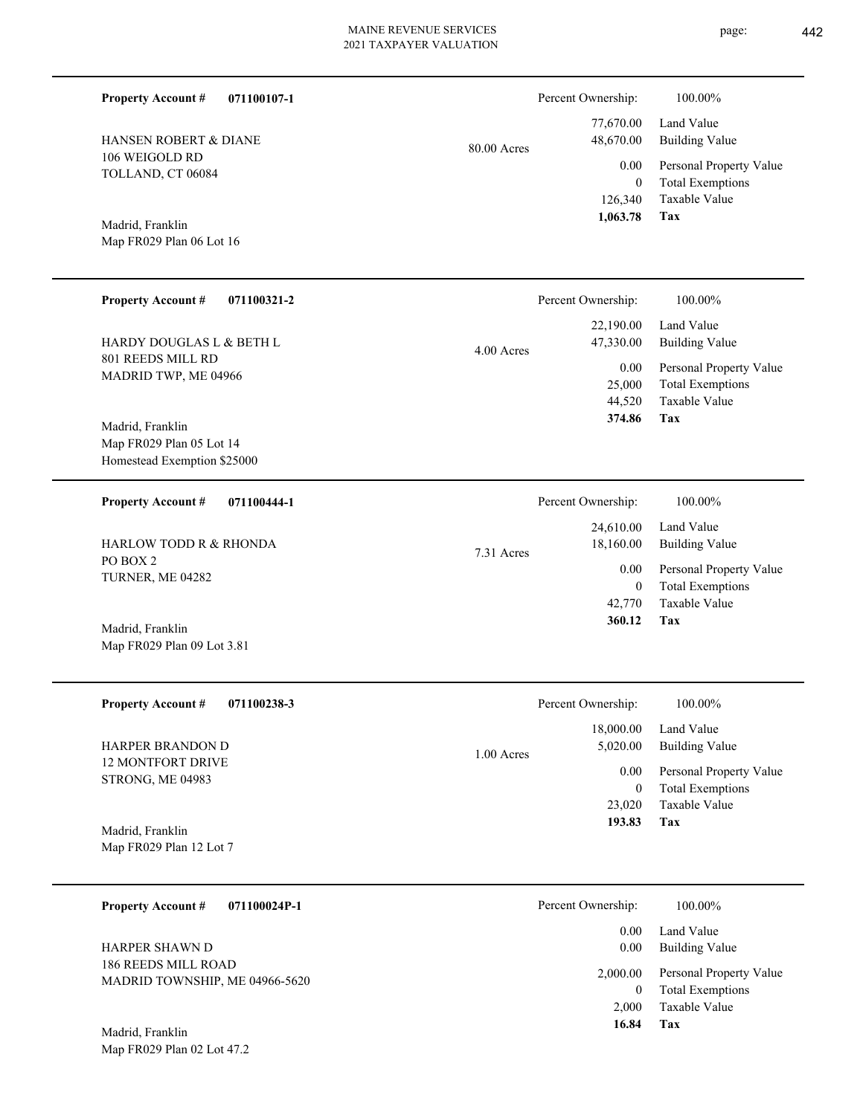| <b>Property Account #</b><br>071100107-1     |             | Percent Ownership:       | 100.00%                                            |
|----------------------------------------------|-------------|--------------------------|----------------------------------------------------|
| HANSEN ROBERT & DIANE                        | 80.00 Acres | 77,670.00<br>48,670.00   | Land Value<br><b>Building Value</b>                |
| 106 WEIGOLD RD<br>TOLLAND, CT 06084          |             | 0.00<br>$\overline{0}$   | Personal Property Value<br><b>Total Exemptions</b> |
|                                              |             | 126,340<br>1,063.78      | Taxable Value<br>Tax                               |
| Madrid, Franklin<br>Map FR029 Plan 06 Lot 16 |             |                          |                                                    |
|                                              |             |                          |                                                    |
| <b>Property Account #</b><br>071100321-2     |             | Percent Ownership:       | 100.00%                                            |
| HARDY DOUGLAS L & BETH L                     | 4.00 Acres  | 22,190.00<br>47,330.00   | Land Value<br><b>Building Value</b>                |
| 801 REEDS MILL RD<br>MADRID TWP, ME 04966    |             | 0.00<br>25,000           | Personal Property Value<br><b>Total Exemptions</b> |
|                                              |             | 44,520<br>374.86         | Taxable Value<br>Tax                               |
| Madrid, Franklin<br>Map FR029 Plan 05 Lot 14 |             |                          |                                                    |
| Homestead Exemption \$25000                  |             |                          |                                                    |
| <b>Property Account #</b><br>071100444-1     |             | Percent Ownership:       | 100.00%                                            |
| HARLOW TODD R & RHONDA                       |             | 24,610.00<br>18,160.00   | Land Value<br><b>Building Value</b>                |
| PO BOX 2<br>TURNER, ME 04282                 | 7.31 Acres  | 0.00                     | Personal Property Value                            |
|                                              |             | $\overline{0}$<br>42,770 | <b>Total Exemptions</b><br>Taxable Value           |
| Madrid, Franklin                             |             | 360.12                   | Tax                                                |
| Map FR029 Plan 09 Lot 3.81                   |             |                          |                                                    |
|                                              |             |                          |                                                    |
| <b>Property Account #</b><br>071100238-3     |             | Percent Ownership:       | 100.00%                                            |
| HARPER BRANDON D                             | 1.00 Acres  | 18,000.00<br>5,020.00    | Land Value<br><b>Building Value</b>                |
| <b>12 MONTFORT DRIVE</b><br>STRONG, ME 04983 |             | 0.00                     | Personal Property Value                            |
|                                              |             | $\mathbf{0}$<br>23,020   | <b>Total Exemptions</b><br>Taxable Value           |
| Madrid, Franklin                             |             | 193.83                   | Tax                                                |
| Map FR029 Plan 12 Lot 7                      |             |                          |                                                    |
| 071100024P-1<br><b>Property Account #</b>    |             | Percent Ownership:       | 100.00%                                            |
| HARPER SHAWN D                               |             | 0.00<br>0.00             | Land Value<br><b>Building Value</b>                |
| 186 REEDS MILL ROAD                          |             | 2,000.00                 | Personal Property Value                            |
| MADRID TOWNSHIP, ME 04966-5620               |             | $\overline{0}$<br>2,000  | <b>Total Exemptions</b><br>Taxable Value           |
| Madrid, Franklin                             |             | 16.84                    | Tax                                                |

Map FR029 Plan 02 Lot 47.2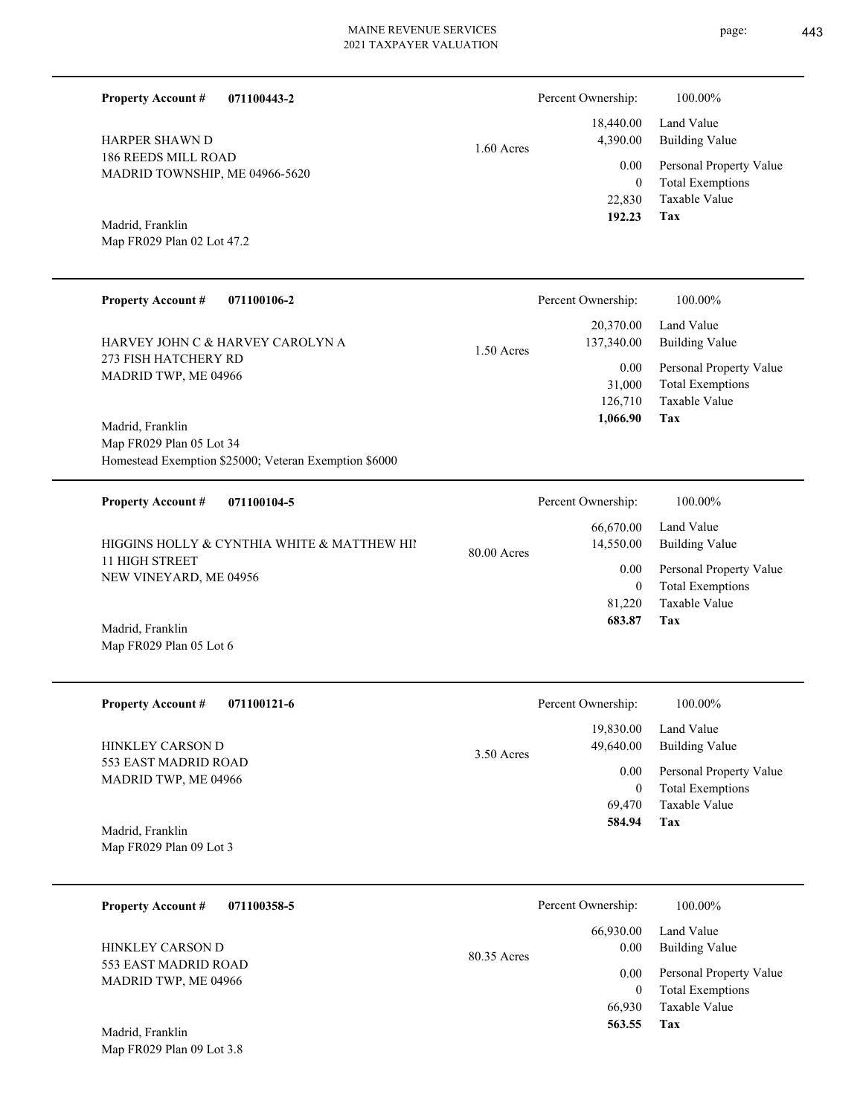Persont Ownership:  $100.000$ 

|            | Percent Ownership: | <b>100.0070</b>              |
|------------|--------------------|------------------------------|
|            |                    | 18,440.00 Land Value         |
| 1.60 Acres | 4,390.00           | <b>Building Value</b>        |
|            |                    | 0.00 Personal Property Value |
|            | $\theta$           | <b>Total Exemptions</b>      |
|            | 22.830             | Taxable Value                |
|            | 192.23             | Tax                          |

**071100443-2 Property Account #**

186 REEDS MILL ROAD MADRID TOWNSHIP, ME 04966-5620 HARPER SHAWN D

Map FR029 Plan 02 Lot 47.2 Madrid, Franklin

| <b>Property Account #</b><br>071100106-2                                                              |              | Percent Ownership:                        | 100.00%                                                                           |
|-------------------------------------------------------------------------------------------------------|--------------|-------------------------------------------|-----------------------------------------------------------------------------------|
| HARVEY JOHN C & HARVEY CAROLYN A                                                                      | $1.50$ Acres | 20,370.00<br>137,340.00                   | Land Value<br><b>Building Value</b>                                               |
| 273 FISH HATCHERY RD<br>MADRID TWP, ME 04966                                                          |              | $0.00\,$<br>31,000<br>126,710<br>1,066.90 | Personal Property Value<br><b>Total Exemptions</b><br><b>Taxable Value</b><br>Tax |
| Madrid, Franklin<br>Map FR029 Plan 05 Lot 34<br>Homestead Exemption \$25000; Veteran Exemption \$6000 |              |                                           |                                                                                   |
| <b>Property Account #</b><br>071100104-5                                                              |              | Percent Ownership:                        | 100.00%                                                                           |
| HIGGINS HOLLY & CYNTHIA WHITE & MATTHEW HIM                                                           | 80.00 Acres  | 66,670.00<br>14,550.00                    | Land Value<br><b>Building Value</b>                                               |
| <b>11 HIGH STREET</b><br>NEW VINEYARD, ME 04956                                                       |              | 0.00<br>$\mathbf{0}$                      | Personal Property Value<br><b>Total Exemptions</b><br><b>Taxable Value</b>        |
| Madrid, Franklin<br>Map FR029 Plan 05 Lot 6                                                           |              | 81,220<br>683.87                          | Tax                                                                               |
| <b>Property Account #</b><br>071100121-6                                                              |              | Percent Ownership:                        | 100.00%                                                                           |

553 EAST MADRID ROAD MADRID TWP, ME 04966 HINKLEY CARSON D

**Tax** Taxable Value Total Exemptions Personal Property Value Building Value Land Value 69,470 0  **584.94** 19,830.00 49,640.00 0.00

Map FR029 Plan 09 Lot 3 Madrid, Franklin

Map FR029 Plan 09 Lot 3.8

| 071100358-5<br><b>Property Account #</b>     | Percent Ownership:               | 100.00%                                                             |
|----------------------------------------------|----------------------------------|---------------------------------------------------------------------|
| HINKLEY CARSON D                             | 66,930.00<br>0.00<br>80.35 Acres | Land Value<br><b>Building Value</b>                                 |
| 553 EAST MADRID ROAD<br>MADRID TWP, ME 04966 | 0.00<br>66.930                   | Personal Property Value<br><b>Total Exemptions</b><br>Taxable Value |
| Madrid, Franklin                             | 563.55                           | Tax                                                                 |

3.50 Acres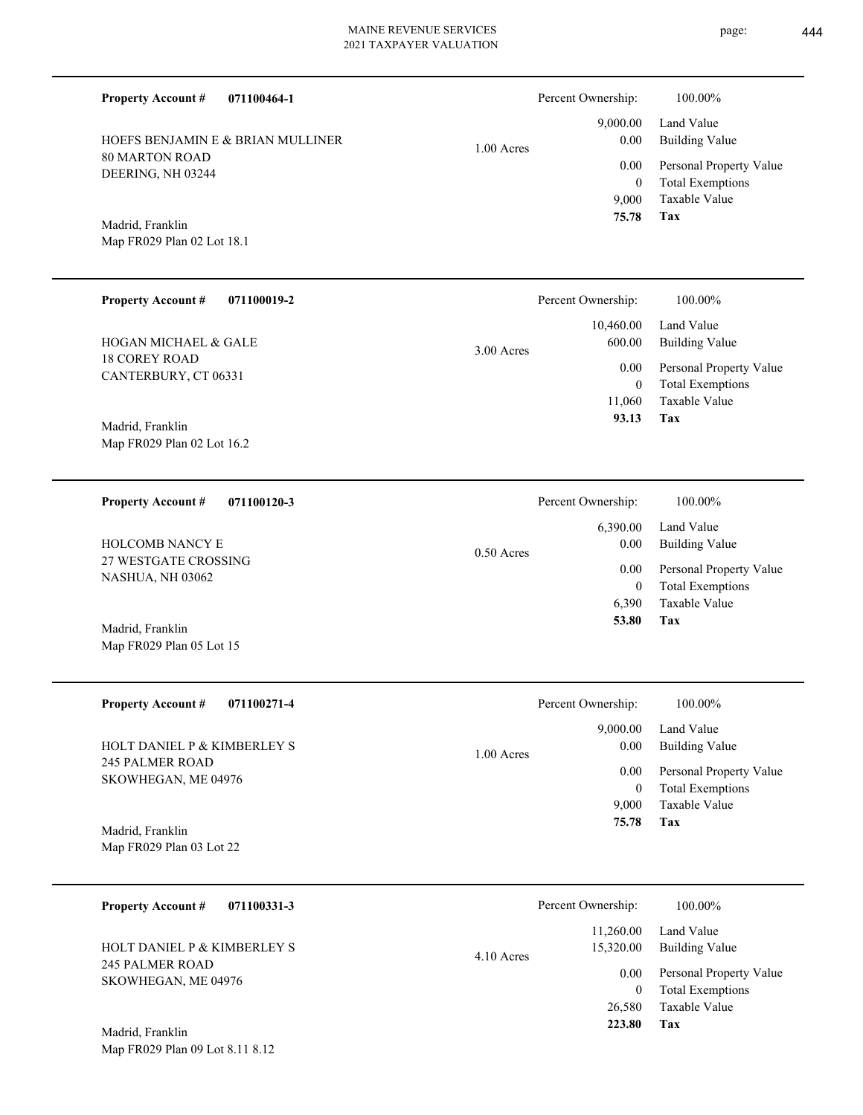| <b>Property Account #</b><br>071100464-1<br>HOEFS BENJAMIN E & BRIAN MULLINER                  |              | Percent Ownership:<br>9,000.00<br>0.00      | 100.00%<br>Land Value<br><b>Building Value</b>                                    |
|------------------------------------------------------------------------------------------------|--------------|---------------------------------------------|-----------------------------------------------------------------------------------|
| <b>80 MARTON ROAD</b><br>DEERING, NH 03244<br>Madrid, Franklin<br>Map FR029 Plan 02 Lot 18.1   | $1.00$ Acres | 0.00<br>$\mathbf{0}$<br>9,000<br>75.78      | Personal Property Value<br><b>Total Exemptions</b><br>Taxable Value<br>Tax        |
| <b>Property Account #</b><br>071100019-2                                                       |              | Percent Ownership:                          | 100.00%                                                                           |
| <b>HOGAN MICHAEL &amp; GALE</b>                                                                | $3.00$ Acres | 10,460.00<br>600.00                         | Land Value<br><b>Building Value</b>                                               |
| <b>18 COREY ROAD</b><br>CANTERBURY, CT 06331<br>Madrid, Franklin<br>Map FR029 Plan 02 Lot 16.2 |              | $0.00\,$<br>$\mathbf{0}$<br>11,060<br>93.13 | Personal Property Value<br><b>Total Exemptions</b><br>Taxable Value<br>Tax        |
| 071100120-3<br><b>Property Account #</b>                                                       |              | Percent Ownership:                          | 100.00%                                                                           |
| <b>HOLCOMB NANCY E</b>                                                                         | $0.50$ Acres | 6,390.00<br>0.00                            | Land Value<br><b>Building Value</b>                                               |
| 27 WESTGATE CROSSING<br>NASHUA, NH 03062<br>Madrid, Franklin<br>Map FR029 Plan 05 Lot 15       |              | $0.00\,$<br>$\mathbf{0}$<br>6,390<br>53.80  | Personal Property Value<br><b>Total Exemptions</b><br><b>Taxable Value</b><br>Tax |
| <b>Property Account #</b><br>071100271-4                                                       |              | Percent Ownership:                          | 100.00%                                                                           |
| HOLT DANIEL P & KIMBERLEY S                                                                    | $1.00$ Acres | 9,000.00<br>0.00                            | Land Value<br><b>Building Value</b>                                               |
| <b>245 PALMER ROAD</b><br>SKOWHEGAN, ME 04976<br>Madrid, Franklin<br>Map FR029 Plan 03 Lot 22  |              | 0.00<br>$\mathbf{0}$<br>9,000<br>75.78      | Personal Property Value<br><b>Total Exemptions</b><br>Taxable Value<br>Tax        |
| <b>Property Account #</b><br>071100331-3                                                       |              | Percent Ownership:                          | 100.00%                                                                           |
| HOLT DANIEL P & KIMBERLEY S                                                                    |              | 11,260.00<br>15,320.00                      | Land Value<br><b>Building Value</b>                                               |
| <b>245 PALMER ROAD</b><br>SKOWHEGAN, ME 04976                                                  | 4.10 Acres   | 0.00<br>$\mathbf{0}$<br>26,580              | Personal Property Value<br><b>Total Exemptions</b><br>Taxable Value               |
|                                                                                                |              | 223.80                                      | Tax                                                                               |

Map FR029 Plan 09 Lot 8.11 8.12 Madrid, Franklin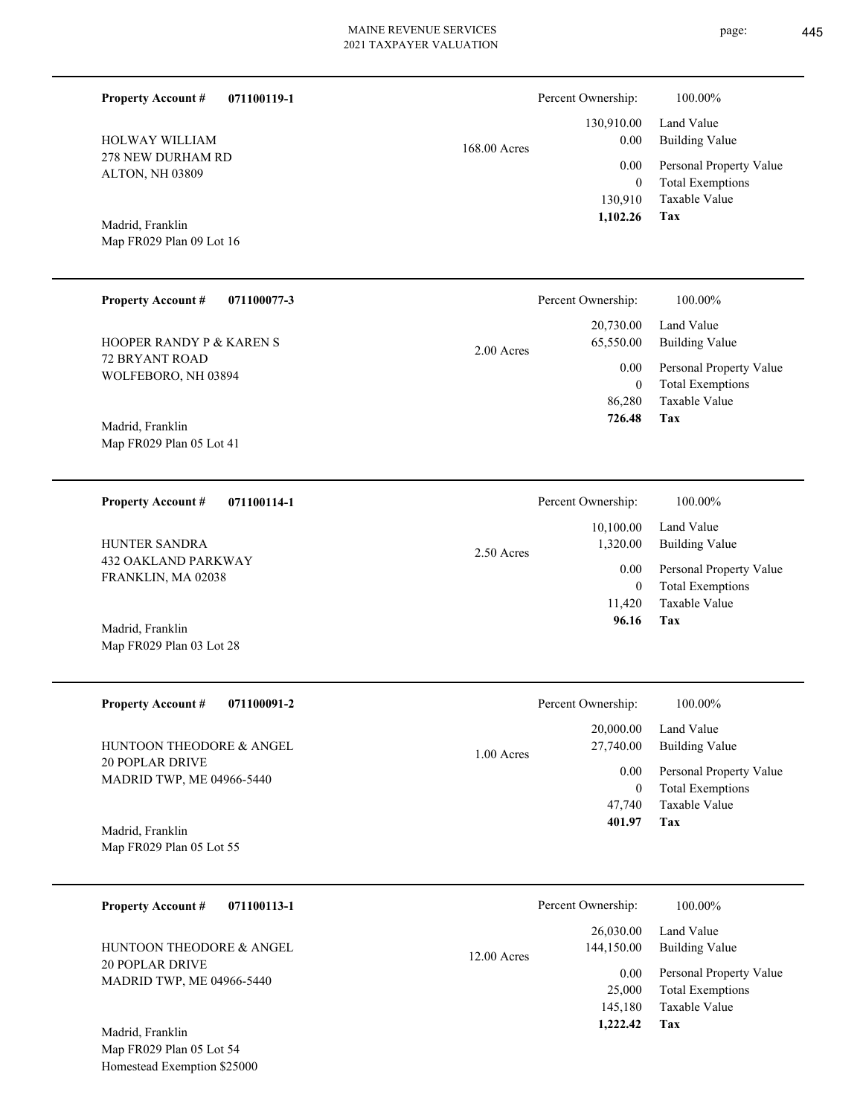| <b>Property Account #</b><br>071100119-1                                |              | Percent Ownership:                    | 100.00%                                                                    |
|-------------------------------------------------------------------------|--------------|---------------------------------------|----------------------------------------------------------------------------|
| HOLWAY WILLIAM                                                          | 168.00 Acres | 130,910.00<br>0.00                    | Land Value<br><b>Building Value</b>                                        |
| 278 NEW DURHAM RD<br>ALTON, NH 03809                                    |              | 0.00<br>$\boldsymbol{0}$<br>130,910   | Personal Property Value<br><b>Total Exemptions</b><br>Taxable Value        |
| Madrid, Franklin<br>Map FR029 Plan 09 Lot 16                            |              | 1,102.26                              | Tax                                                                        |
| <b>Property Account #</b><br>071100077-3                                |              | Percent Ownership:                    | 100.00%                                                                    |
| HOOPER RANDY P & KAREN S                                                | $2.00$ Acres | 20,730.00<br>65,550.00                | Land Value<br><b>Building Value</b>                                        |
| 72 BRYANT ROAD<br>WOLFEBORO, NH 03894                                   |              | 0.00<br>$\overline{0}$<br>86,280      | Personal Property Value<br><b>Total Exemptions</b><br>Taxable Value        |
| Madrid, Franklin<br>Map FR029 Plan 05 Lot 41                            |              | 726.48                                | Tax                                                                        |
| 071100114-1<br><b>Property Account #</b>                                |              | Percent Ownership:                    | 100.00%                                                                    |
| HUNTER SANDRA                                                           | 2.50 Acres   | 10,100.00<br>1,320.00                 | Land Value<br><b>Building Value</b>                                        |
| 432 OAKLAND PARKWAY<br>FRANKLIN, MA 02038                               |              | 0.00<br>$\overline{0}$                | Personal Property Value<br><b>Total Exemptions</b>                         |
| Madrid, Franklin<br>Map FR029 Plan 03 Lot 28                            |              | 11,420<br>96.16                       | Taxable Value<br>Tax                                                       |
| 071100091-2<br><b>Property Account #</b>                                |              | Percent Ownership:                    | 100.00%                                                                    |
| HUNTOON THEODORE & ANGEL                                                | 1.00 Acres   | 20,000.00<br>27,740.00                | Land Value<br><b>Building Value</b>                                        |
| <b>20 POPLAR DRIVE</b><br>MADRID TWP, ME 04966-5440                     |              | $0.00\,$<br>$\overline{0}$            | Personal Property Value<br><b>Total Exemptions</b>                         |
| Madrid, Franklin<br>Map FR029 Plan 05 Lot 55                            |              | 47,740<br>401.97                      | Taxable Value<br>Tax                                                       |
| <b>Property Account #</b><br>071100113-1                                |              | Percent Ownership:                    | 100.00%                                                                    |
| HUNTOON THEODORE & ANGEL                                                | 12.00 Acres  | 26,030.00<br>144,150.00               | Land Value<br><b>Building Value</b>                                        |
| <b>20 POPLAR DRIVE</b><br>MADRID TWP, ME 04966-5440<br>Madrid, Franklin |              | 0.00<br>25,000<br>145,180<br>1,222.42 | Personal Property Value<br><b>Total Exemptions</b><br>Taxable Value<br>Tax |
| Map FR029 Plan 05 Lot 54                                                |              |                                       |                                                                            |

Homestead Exemption \$25000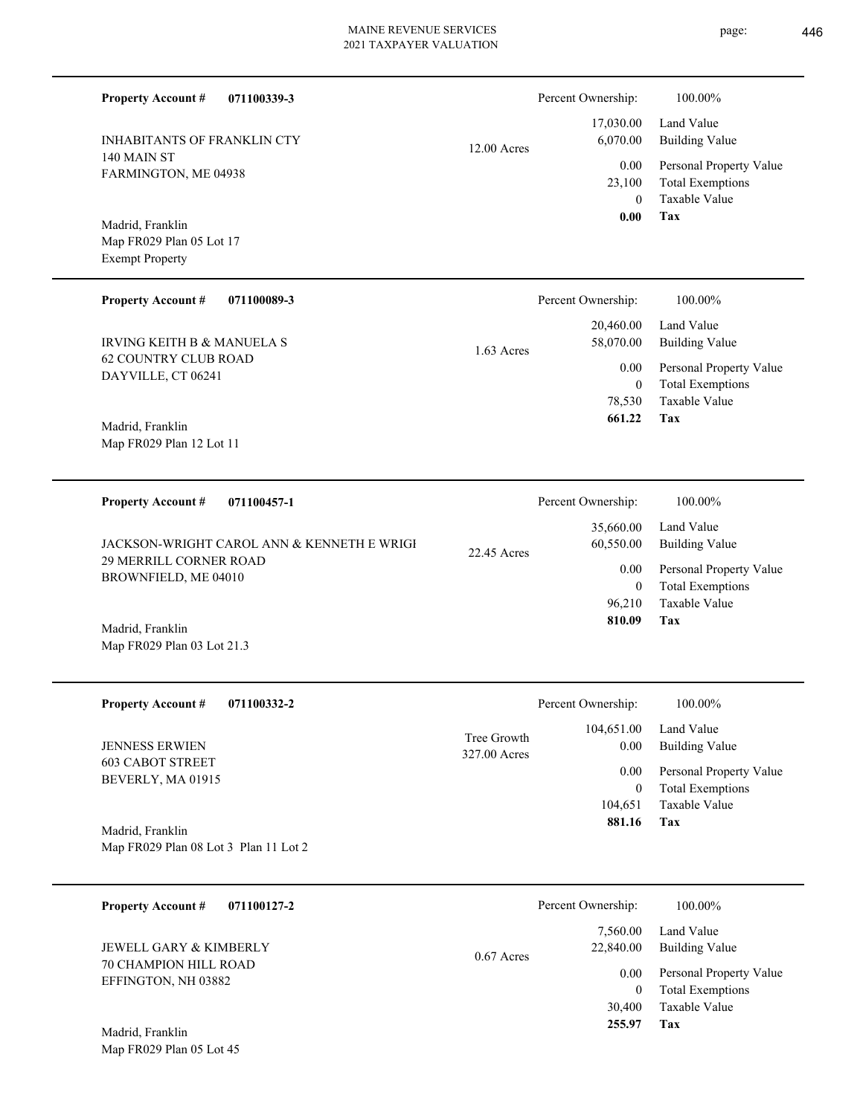$\overline{\phantom{0}}$ 

page: 446

| <b>Property Account #</b><br>071100339-3                               |                             | Percent Ownership:<br>17,030.00 | 100.00%<br>Land Value                              |
|------------------------------------------------------------------------|-----------------------------|---------------------------------|----------------------------------------------------|
| <b>INHABITANTS OF FRANKLIN CTY</b><br>140 MAIN ST                      | $12.00$ Acres               | 6,070.00<br>0.00                | <b>Building Value</b><br>Personal Property Value   |
| FARMINGTON, ME 04938                                                   |                             | 23,100<br>$\overline{0}$        | <b>Total Exemptions</b><br><b>Taxable Value</b>    |
| Madrid, Franklin<br>Map FR029 Plan 05 Lot 17<br><b>Exempt Property</b> |                             | 0.00                            | Tax                                                |
| <b>Property Account #</b><br>071100089-3                               |                             | Percent Ownership:              | 100.00%                                            |
| <b>IRVING KEITH B &amp; MANUELA S</b>                                  | 1.63 Acres                  | 20,460.00<br>58,070.00          | Land Value<br><b>Building Value</b>                |
| <b>62 COUNTRY CLUB ROAD</b><br>DAYVILLE, CT 06241                      |                             | 0.00<br>$\mathbf{0}$            | Personal Property Value<br><b>Total Exemptions</b> |
| Madrid, Franklin                                                       |                             | 78,530<br>661.22                | Taxable Value<br>Tax                               |
| Map FR029 Plan 12 Lot 11                                               |                             |                                 |                                                    |
| <b>Property Account #</b><br>071100457-1                               |                             | Percent Ownership:              | 100.00%                                            |
| JACKSON-WRIGHT CAROL ANN & KENNETH E WRIGH                             | 22.45 Acres                 | 35,660.00<br>60,550.00          | Land Value<br><b>Building Value</b>                |
| 29 MERRILL CORNER ROAD<br>BROWNFIELD, ME 04010                         |                             | 0.00<br>$\mathbf{0}$            | Personal Property Value<br><b>Total Exemptions</b> |
| Madrid, Franklin<br>Map FR029 Plan 03 Lot 21.3                         |                             | 96,210<br>810.09                | Taxable Value<br>Tax                               |
| <b>Property Account #</b><br>071100332-2                               |                             | Percent Ownership:              | 100.00%                                            |
| <b>JENNESS ERWIEN</b>                                                  | Tree Growth<br>327.00 Acres | 104,651.00<br>0.00              | Land Value<br><b>Building Value</b>                |
| <b>603 CABOT STREET</b><br>BEVERLY, MA 01915                           |                             | 0.00<br>$\overline{0}$          | Personal Property Value<br><b>Total Exemptions</b> |
|                                                                        |                             | 104,651<br>881.16               | Taxable Value<br>Tax                               |
| Madrid, Franklin<br>Map FR029 Plan 08 Lot 3 Plan 11 Lot 2              |                             |                                 |                                                    |
| <b>Property Account #</b><br>071100127-2                               |                             | Percent Ownership:              | 100.00%                                            |
| JEWELL GARY & KIMBERLY                                                 | 0.67 Acres                  | 7,560.00<br>22,840.00           | Land Value<br><b>Building Value</b>                |
| 70 CHAMPION HILL ROAD<br>EFFINGTON, NH 03882                           |                             | 0.00<br>$\mathbf{0}$            | Personal Property Value<br><b>Total Exemptions</b> |
|                                                                        |                             | 30,400<br>255.97                | Taxable Value<br>Tax                               |
| Madrid, Franklin<br>Map FR029 Plan 05 Lot 45                           |                             |                                 |                                                    |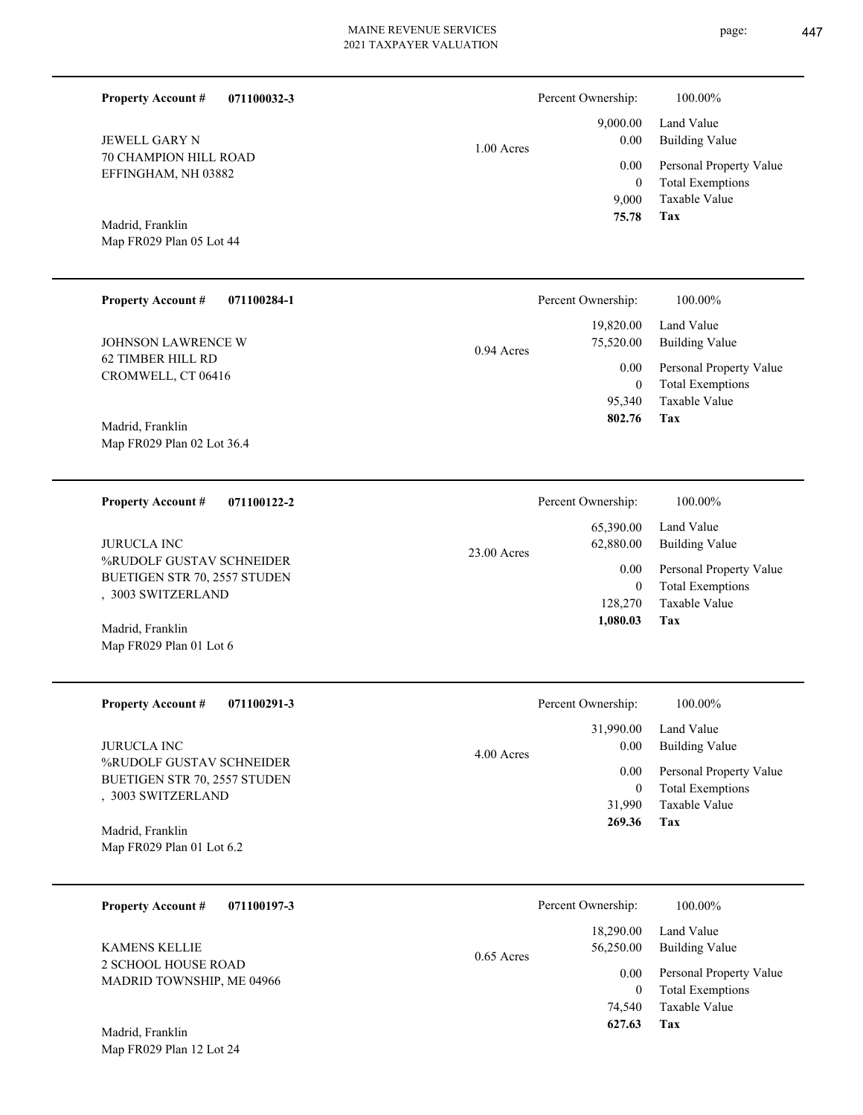|                                                                                        | <b>Property Account #</b><br>071100032-3                                       |                                                                     | Percent Ownership:                           | 100.00%                                                                    |
|----------------------------------------------------------------------------------------|--------------------------------------------------------------------------------|---------------------------------------------------------------------|----------------------------------------------|----------------------------------------------------------------------------|
|                                                                                        | <b>JEWELL GARY N</b>                                                           | $1.00$ Acres                                                        | 9,000.00<br>0.00                             | Land Value<br><b>Building Value</b>                                        |
|                                                                                        | 70 CHAMPION HILL ROAD<br>EFFINGHAM, NH 03882                                   |                                                                     | 0.00<br>$\mathbf{0}$<br>9,000                | Personal Property Value<br><b>Total Exemptions</b><br><b>Taxable Value</b> |
|                                                                                        | Madrid, Franklin<br>Map FR029 Plan 05 Lot 44                                   |                                                                     | 75.78                                        | Tax                                                                        |
|                                                                                        | <b>Property Account #</b><br>071100284-1                                       |                                                                     | Percent Ownership:                           | 100.00%                                                                    |
|                                                                                        | <b>JOHNSON LAWRENCE W</b>                                                      | 0.94 Acres                                                          | 19,820.00<br>75,520.00                       | Land Value<br><b>Building Value</b>                                        |
|                                                                                        | CROMWELL, CT 06416                                                             | <b>62 TIMBER HILL RD</b>                                            | 0.00<br>$\mathbf{0}$<br>95,340<br>802.76     | Personal Property Value<br><b>Total Exemptions</b><br>Taxable Value<br>Tax |
|                                                                                        | Madrid, Franklin<br>Map FR029 Plan 02 Lot 36.4                                 |                                                                     |                                              |                                                                            |
|                                                                                        | <b>Property Account #</b><br>071100122-2                                       |                                                                     | Percent Ownership:                           | 100.00%                                                                    |
|                                                                                        | <b>JURUCLA INC</b>                                                             | 23.00 Acres                                                         | 65,390.00<br>62,880.00                       | Land Value<br><b>Building Value</b>                                        |
|                                                                                        | %RUDOLF GUSTAV SCHNEIDER<br>BUETIGEN STR 70, 2557 STUDEN<br>, 3003 SWITZERLAND |                                                                     | 0.00<br>$\mathbf{0}$<br>128,270<br>1,080.03  | Personal Property Value<br><b>Total Exemptions</b><br>Taxable Value<br>Tax |
|                                                                                        | Madrid, Franklin<br>Map FR029 Plan 01 Lot 6                                    |                                                                     |                                              |                                                                            |
|                                                                                        | <b>Property Account #</b><br>071100291-3                                       |                                                                     | Percent Ownership:                           | 100.00%                                                                    |
|                                                                                        | <b>JURUCLA INC</b>                                                             | 4.00 Acres                                                          | 31,990.00<br>0.00                            | Land Value<br><b>Building Value</b>                                        |
|                                                                                        | %RUDOLF GUSTAV SCHNEIDER<br>BUETIGEN STR 70, 2557 STUDEN<br>, 3003 SWITZERLAND |                                                                     | 0.00<br>$\boldsymbol{0}$<br>31,990<br>269.36 | Personal Property Value<br><b>Total Exemptions</b><br>Taxable Value<br>Tax |
|                                                                                        | Madrid, Franklin<br>Map FR029 Plan 01 Lot 6.2                                  |                                                                     |                                              |                                                                            |
|                                                                                        | 071100197-3<br><b>Property Account #</b>                                       |                                                                     | Percent Ownership:                           | 100.00%                                                                    |
| <b>KAMENS KELLIE</b><br>0.65 Acres<br>2 SCHOOL HOUSE ROAD<br>MADRID TOWNSHIP, ME 04966 |                                                                                |                                                                     | 18,290.00<br>56,250.00                       | Land Value<br><b>Building Value</b>                                        |
|                                                                                        | 0.00<br>$\boldsymbol{0}$<br>74,540                                             | Personal Property Value<br><b>Total Exemptions</b><br>Taxable Value |                                              |                                                                            |
|                                                                                        |                                                                                |                                                                     | 627.63                                       | <b>Tax</b>                                                                 |

Map FR029 Plan 12 Lot 24 Madrid, Franklin

L

۰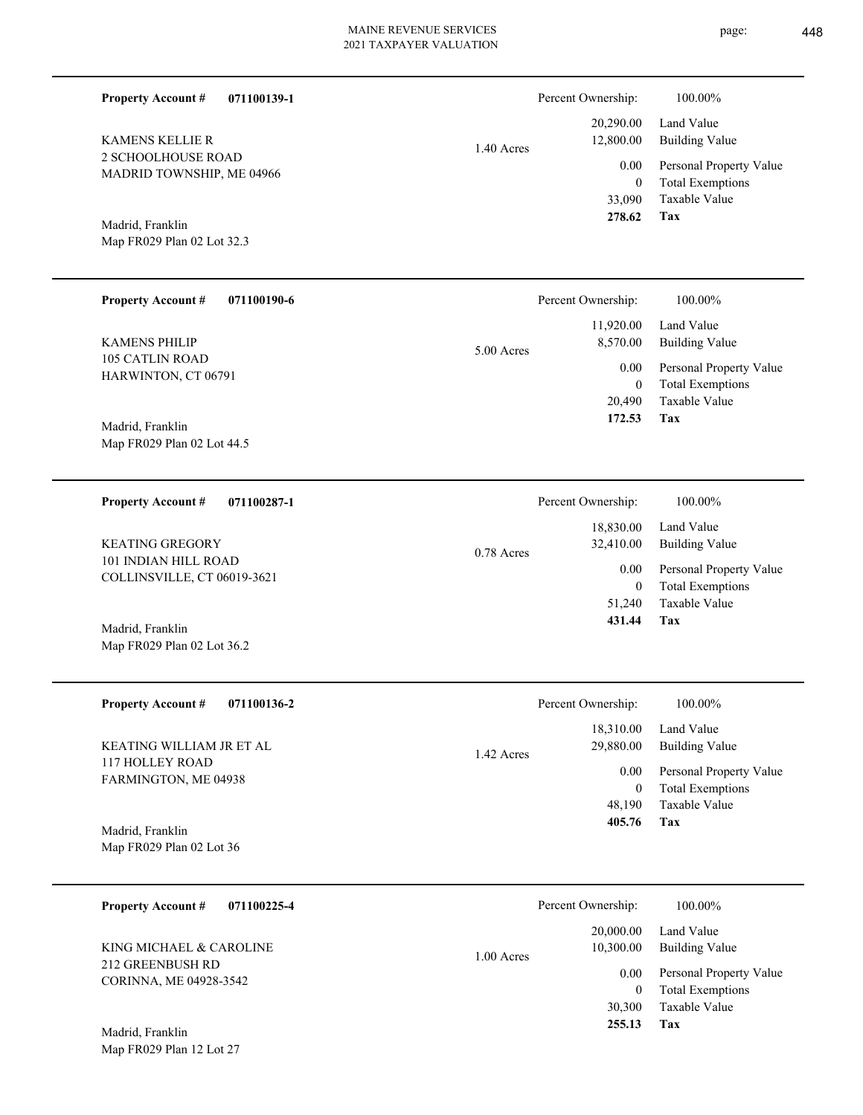| <b>Property Account #</b><br>071100139-1                                                      |              | Percent Ownership:       | 100.00%                                            |
|-----------------------------------------------------------------------------------------------|--------------|--------------------------|----------------------------------------------------|
| <b>KAMENS KELLIE R</b>                                                                        | 1.40 Acres   | 20,290.00<br>12,800.00   | Land Value<br><b>Building Value</b>                |
| 2 SCHOOLHOUSE ROAD<br>MADRID TOWNSHIP, ME 04966                                               |              | 0.00<br>$\bf{0}$         | Personal Property Value<br><b>Total Exemptions</b> |
| Madrid, Franklin                                                                              |              | 33,090<br>278.62         | Taxable Value<br>Tax                               |
| Map FR029 Plan 02 Lot 32.3                                                                    |              |                          |                                                    |
| <b>Property Account #</b><br>071100190-6                                                      |              | Percent Ownership:       | 100.00%                                            |
| <b>KAMENS PHILIP</b>                                                                          |              | 11,920.00<br>8,570.00    | Land Value<br><b>Building Value</b>                |
| <b>105 CATLIN ROAD</b><br>HARWINTON, CT 06791                                                 | 5.00 Acres   | 0.00<br>$\bf{0}$         | Personal Property Value<br><b>Total Exemptions</b> |
|                                                                                               |              | 20,490<br>172.53         | Taxable Value<br>Tax                               |
| Madrid, Franklin<br>Map FR029 Plan 02 Lot 44.5                                                |              |                          |                                                    |
| <b>Property Account #</b><br>071100287-1                                                      |              | Percent Ownership:       | 100.00%                                            |
| <b>KEATING GREGORY</b><br>$0.78$ Acres<br>101 INDIAN HILL ROAD<br>COLLINSVILLE, CT 06019-3621 |              | 18,830.00<br>32,410.00   | Land Value<br><b>Building Value</b>                |
|                                                                                               |              | 0.00<br>$\boldsymbol{0}$ | Personal Property Value<br><b>Total Exemptions</b> |
|                                                                                               |              | 51,240<br>431.44         | Taxable Value<br>Tax                               |
| Madrid, Franklin<br>Map FR029 Plan 02 Lot 36.2                                                |              |                          |                                                    |
| <b>Property Account #</b><br>071100136-2                                                      |              | Percent Ownership:       | 100.00%                                            |
| KEATING WILLIAM JR ET AL                                                                      | 1.42 Acres   | 18,310.00<br>29,880.00   | Land Value<br><b>Building Value</b>                |
| <b>117 HOLLEY ROAD</b><br>FARMINGTON, ME 04938                                                |              | 0.00<br>$\boldsymbol{0}$ | Personal Property Value<br><b>Total Exemptions</b> |
|                                                                                               |              | 48,190<br>405.76         | Taxable Value<br>Tax                               |
| Madrid, Franklin<br>Map FR029 Plan 02 Lot 36                                                  |              |                          |                                                    |
| 071100225-4<br><b>Property Account #</b>                                                      |              | Percent Ownership:       | 100.00%                                            |
| KING MICHAEL & CAROLINE                                                                       | $1.00$ Acres | 20,000.00<br>10,300.00   | Land Value<br><b>Building Value</b>                |
| 212 GREENBUSH RD<br>CORINNA, ME 04928-3542                                                    |              | 0.00<br>$\boldsymbol{0}$ | Personal Property Value<br><b>Total Exemptions</b> |
|                                                                                               |              | 30,300<br>255.13         | Taxable Value<br>Tax                               |
| Madrid, Franklin<br>Map FR029 Plan 12 Lot 27                                                  |              |                          |                                                    |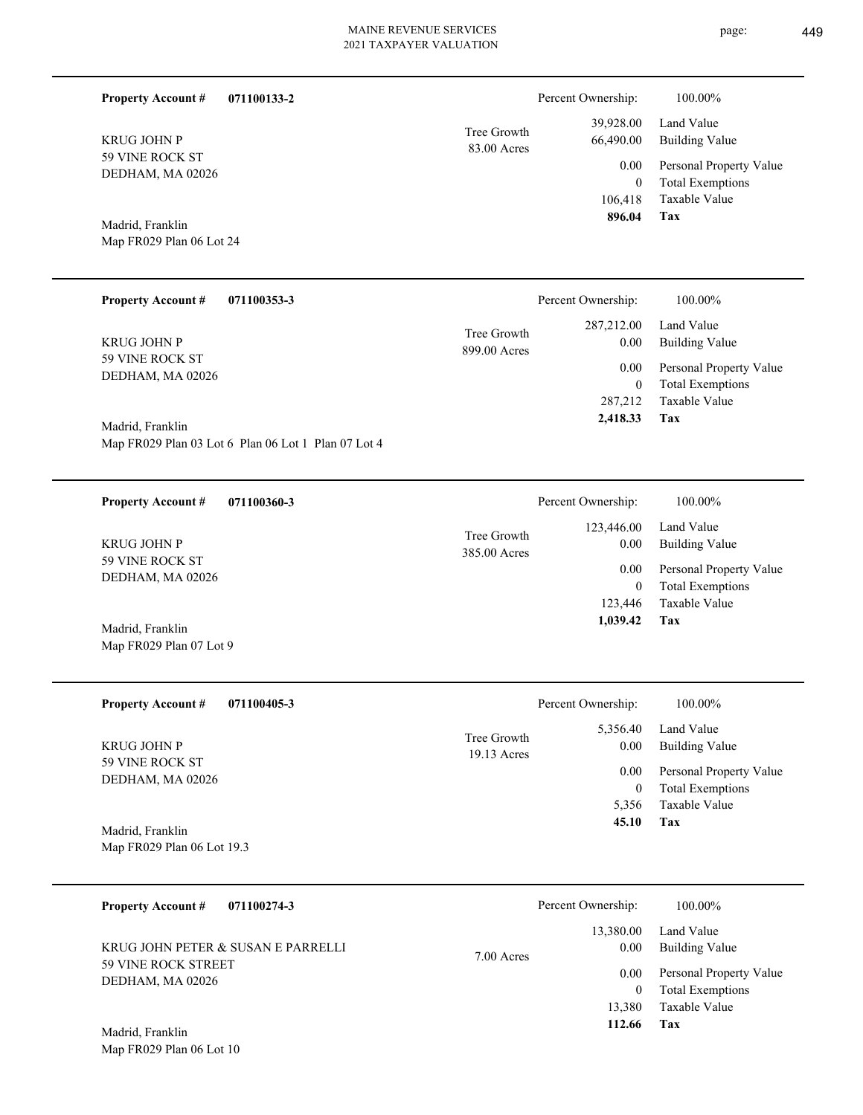| 071100133-2<br><b>Property Account #</b>                  | Percent Ownership:                                                                                                                                                                                                                                                                                                                 | 100.00%                                                             |
|-----------------------------------------------------------|------------------------------------------------------------------------------------------------------------------------------------------------------------------------------------------------------------------------------------------------------------------------------------------------------------------------------------|---------------------------------------------------------------------|
| <b>KRUG JOHN P</b><br>59 VINE ROCK ST<br>DEDHAM, MA 02026 | 39,928.00<br>Tree Growth<br>66,490.00<br>83.00 Acres                                                                                                                                                                                                                                                                               | Land Value<br><b>Building Value</b>                                 |
|                                                           | 0.00<br>$\overline{0}$<br>106,418                                                                                                                                                                                                                                                                                                  | Personal Property Value<br><b>Total Exemptions</b><br>Taxable Value |
| Madrid, Franklin                                          | 896.04                                                                                                                                                                                                                                                                                                                             | Tax                                                                 |
| Map FR029 Plan 06 Lot 24                                  |                                                                                                                                                                                                                                                                                                                                    |                                                                     |
| $\mathbf{r}$                                              | $\mathbf{r}$ $\mathbf{r}$ $\mathbf{r}$ $\mathbf{r}$ $\mathbf{r}$ $\mathbf{r}$ $\mathbf{r}$ $\mathbf{r}$ $\mathbf{r}$ $\mathbf{r}$ $\mathbf{r}$ $\mathbf{r}$ $\mathbf{r}$ $\mathbf{r}$ $\mathbf{r}$ $\mathbf{r}$ $\mathbf{r}$ $\mathbf{r}$ $\mathbf{r}$ $\mathbf{r}$ $\mathbf{r}$ $\mathbf{r}$ $\mathbf{r}$ $\mathbf{r}$ $\mathbf{$ | 1000001                                                             |

| <b>Property Account #</b><br>071100353-3 |                             | Percent Ownership:   | 100.00%                                  |
|------------------------------------------|-----------------------------|----------------------|------------------------------------------|
| <b>KRUG JOHN P</b>                       | Tree Growth<br>899.00 Acres | 287, 212, 00<br>0.00 | Land Value<br>Building Value             |
| 59 VINE ROCK ST<br>DEDHAM, MA 02026      |                             | 0.00                 | Personal Property Value                  |
|                                          |                             | $\bf{0}$<br>287,212  | <b>Total Exemptions</b><br>Taxable Value |
| Madrid, Franklin                         |                             | 2,418.33             | Tax                                      |

Map FR029 Plan 03 Lot 6 Plan 06 Lot 1 Plan 07 Lot 4

**071100360-3 Tax** Taxable Value Total Exemptions Personal Property Value Building Value Land Value 59 VINE ROCK ST DEDHAM, MA 02026 **Property Account #** Map FR029 Plan 07 Lot 9 Madrid, Franklin KRUG JOHN P 123,446  $\boldsymbol{0}$  **1,039.42** 123,446.00 0.00 0.00 385.00 Acres Tree Growth Percent Ownership:  $100.00\%$ 

| <b>Property Account #</b><br>071100405-3 | Percent Ownership:           |                  | 100.00%                      |
|------------------------------------------|------------------------------|------------------|------------------------------|
| <b>KRUG JOHN P</b>                       | Tree Growth<br>$19.13$ Acres | 5,356.40<br>0.00 | Land Value<br>Building Value |
| 59 VINE ROCK ST<br>DEDHAM, MA 02026      |                              | 0.00             | Personal Property Value      |
|                                          |                              | $\boldsymbol{0}$ | <b>Total Exemptions</b>      |
|                                          |                              | 5,356            | Taxable Value                |
| Madrid, Franklin                         |                              | 45.10            | Tax                          |
| Map FR029 Plan 06 Lot 19.3               |                              |                  |                              |

| 071100274-3<br><b>Property Account #</b>                                             | Percent Ownership:                        | 100.00%                                                        |
|--------------------------------------------------------------------------------------|-------------------------------------------|----------------------------------------------------------------|
| KRUG JOHN PETER & SUSAN E PARRELLI<br><b>59 VINE ROCK STREET</b><br>DEDHAM, MA 02026 | 13,380.00<br>0.00<br>$7.00$ Acres<br>0.00 | Land Value<br><b>Building Value</b><br>Personal Property Value |
| Madrid. Franklin                                                                     | 13.380<br>112.66                          | <b>Total Exemptions</b><br>Taxable Value<br>Tax                |

Map FR029 Plan 06 Lot 10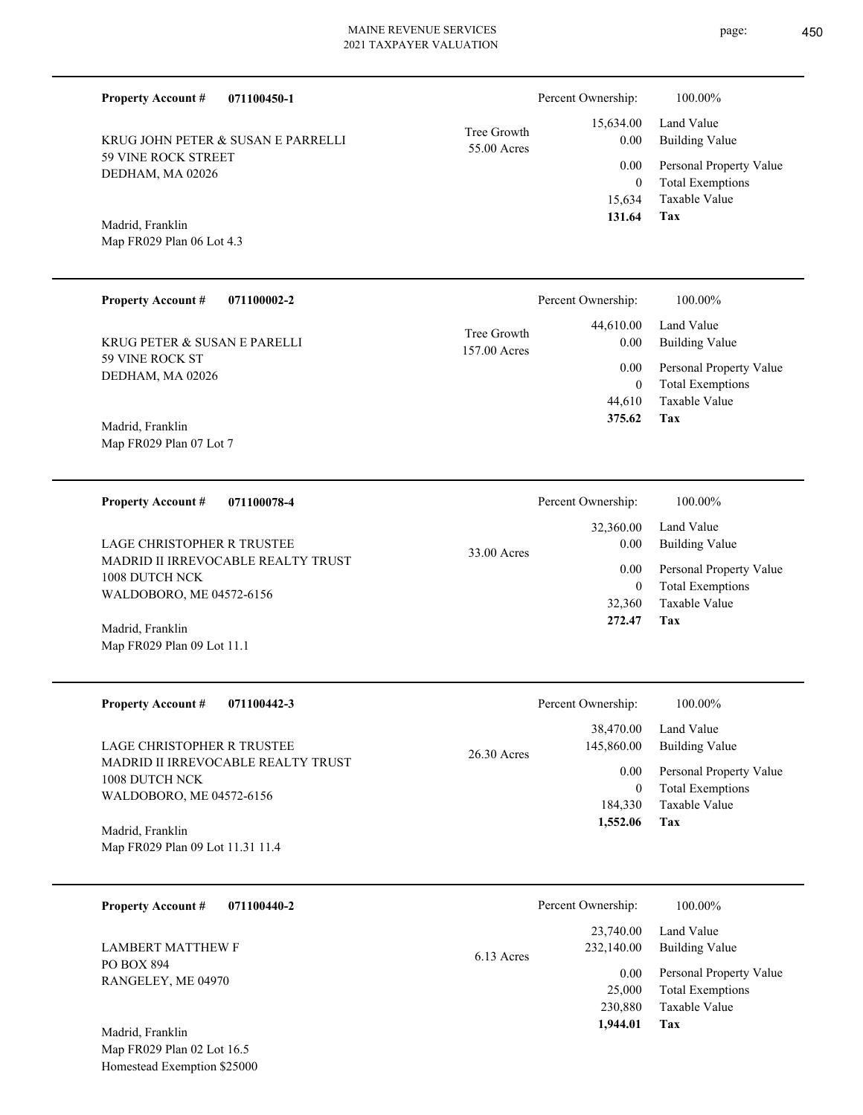| <b>Property Account #</b><br>071100450-1                         |                             | Percent Ownership:         | 100.00%                                            |
|------------------------------------------------------------------|-----------------------------|----------------------------|----------------------------------------------------|
| KRUG JOHN PETER & SUSAN E PARRELLI                               | Tree Growth<br>55.00 Acres  | 15,634.00<br>0.00          | Land Value<br><b>Building Value</b>                |
| 59 VINE ROCK STREET<br>DEDHAM, MA 02026                          |                             | 0.00<br>$\boldsymbol{0}$   | Personal Property Value<br><b>Total Exemptions</b> |
|                                                                  |                             | 15,634<br>131.64           | Taxable Value<br>Tax                               |
| Madrid, Franklin<br>Map FR029 Plan 06 Lot 4.3                    |                             |                            |                                                    |
|                                                                  |                             |                            |                                                    |
| <b>Property Account #</b><br>071100002-2                         |                             | Percent Ownership:         | 100.00%                                            |
| KRUG PETER & SUSAN E PARELLI                                     | Tree Growth<br>157.00 Acres | 44,610.00<br>0.00          | Land Value<br><b>Building Value</b>                |
| 59 VINE ROCK ST<br>DEDHAM, MA 02026                              |                             | 0.00                       | Personal Property Value                            |
|                                                                  |                             | $\boldsymbol{0}$           | <b>Total Exemptions</b>                            |
|                                                                  |                             | 44,610<br>375.62           | Taxable Value<br>Tax                               |
| Madrid, Franklin<br>Map FR029 Plan 07 Lot 7                      |                             |                            |                                                    |
|                                                                  |                             |                            |                                                    |
| <b>Property Account #</b><br>071100078-4                         |                             | Percent Ownership:         | 100.00%                                            |
|                                                                  |                             | 32,360.00                  | Land Value                                         |
| LAGE CHRISTOPHER R TRUSTEE<br>MADRID II IRREVOCABLE REALTY TRUST | 33.00 Acres                 | 0.00                       | <b>Building Value</b>                              |
| 1008 DUTCH NCK                                                   |                             | 0.00                       | Personal Property Value                            |
| WALDOBORO, ME 04572-6156                                         |                             | $\boldsymbol{0}$<br>32,360 | <b>Total Exemptions</b><br>Taxable Value           |
| Madrid, Franklin                                                 |                             | 272.47                     | Tax                                                |
| Map FR029 Plan 09 Lot 11.1                                       |                             |                            |                                                    |
|                                                                  |                             |                            |                                                    |
| <b>Property Account #</b><br>071100442-3                         |                             | Percent Ownership:         | 100.00%                                            |
|                                                                  |                             | 38,470.00                  | Land Value                                         |
| LAGE CHRISTOPHER R TRUSTEE<br>MADRID II IRREVOCABLE REALTY TRUST | 26.30 Acres                 | 145,860.00                 | <b>Building Value</b>                              |
| 1008 DUTCH NCK                                                   |                             | 0.00<br>$\boldsymbol{0}$   | Personal Property Value<br><b>Total Exemptions</b> |
| WALDOBORO, ME 04572-6156                                         |                             | 184,330                    | Taxable Value                                      |
| Madrid, Franklin                                                 |                             | 1,552.06                   | Tax                                                |
| Map FR029 Plan 09 Lot 11.31 11.4                                 |                             |                            |                                                    |
|                                                                  |                             |                            |                                                    |
| <b>Property Account #</b><br>071100440-2                         |                             | Percent Ownership:         | 100.00%                                            |
|                                                                  |                             | 23,740.00                  | Land Value                                         |

PO BOX 894 RANGELEY, ME 04970 LAMBERT MATTHEW F

Map FR029 Plan 02 Lot 16.5 Homestead Exemption \$25000 Madrid, Franklin

|              | Percent Ownership:                    | 100.00%                                                                    |
|--------------|---------------------------------------|----------------------------------------------------------------------------|
| $6.13$ Acres | 23,740.00<br>232,140.00               | Land Value<br><b>Building Value</b>                                        |
|              | 0.00<br>25,000<br>230,880<br>1,944.01 | Personal Property Value<br><b>Total Exemptions</b><br>Taxable Value<br>Tax |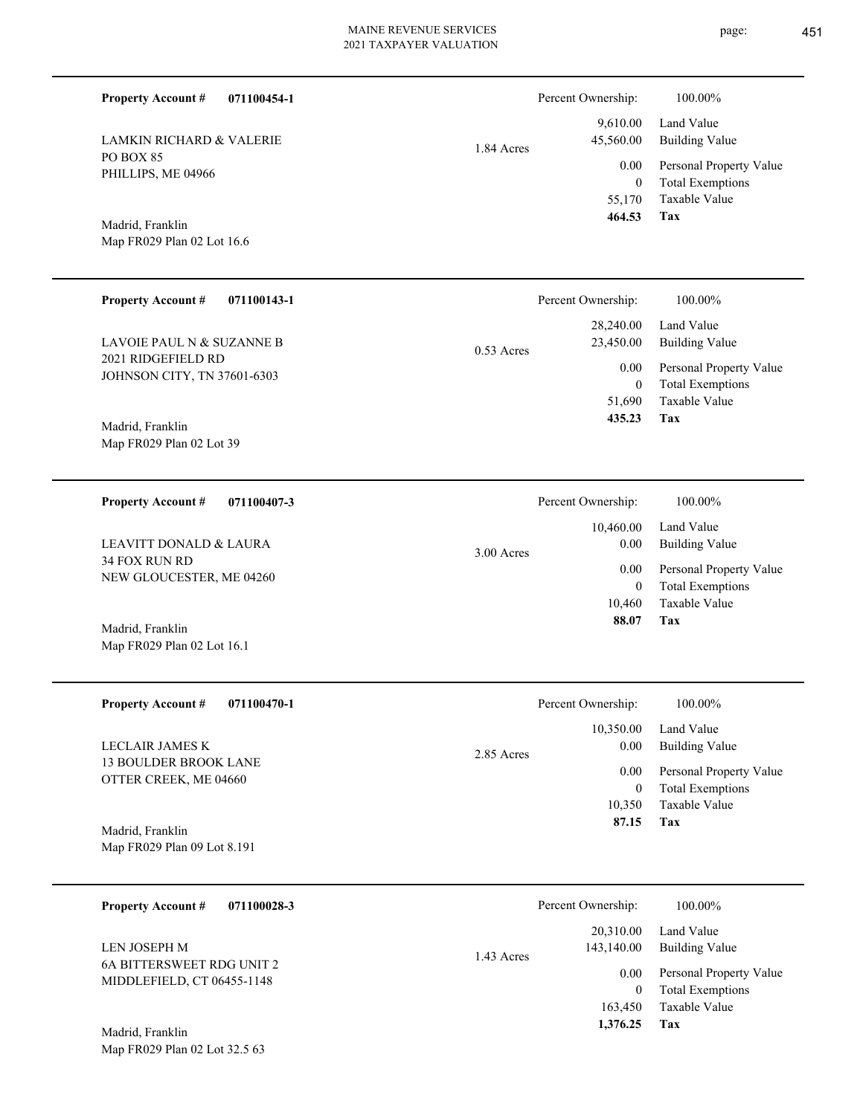| <b>Property Account #</b><br>071100454-1                                       |             |              | Percent Ownership:                        |  |
|--------------------------------------------------------------------------------|-------------|--------------|-------------------------------------------|--|
| <b>LAMKIN RICHARD &amp; VALERIE</b><br>PO BOX 85<br>PHILLIPS, ME 04966         |             | 1.84 Acres   | 9,610.00<br>45,560.00<br>0.00<br>$\theta$ |  |
| Madrid, Franklin<br>Map FR029 Plan 02 Lot 16.6                                 |             |              | 55,170<br>464.53                          |  |
| <b>Property Account #</b>                                                      | 071100143-1 |              | Percent Ownership:                        |  |
| LAVOIE PAUL N & SUZANNE B                                                      |             | $0.53$ Acres | 28,240.00<br>23,450.00                    |  |
| 2021 RIDGEFIELD RD<br>JOHNSON CITY, TN 37601-6303                              |             |              | 0.00<br>$\Omega$<br>51,690                |  |
| Madrid, Franklin<br>Map FR029 Plan 02 Lot 39                                   |             |              | 435.23                                    |  |
| <b>Property Account #</b>                                                      | 071100407-3 |              | Percent Ownership:                        |  |
| <b>LEAVITT DONALD &amp; LAURA</b><br>34 FOX RUN RD<br>NEW GLOUCESTER, ME 04260 |             | 3.00 Acres   | 10,460.00<br>0.00<br>0.00                 |  |
| Madrid, Franklin<br>Map FR029 Plan 02 Lot 16.1                                 |             |              | $\theta$<br>10,460<br>88.07               |  |

| <b>Property Account #</b><br>071100470-1        | Percent Ownership: | 100.00%                 |
|-------------------------------------------------|--------------------|-------------------------|
|                                                 | 10,350.00          | Land Value              |
| LECLAIR JAMES K<br><b>13 BOULDER BROOK LANE</b> | 0.00<br>2.85 Acres | Building Value          |
| OTTER CREEK, ME 04660                           | 0.00               | Personal Property Value |
|                                                 | $\theta$           | <b>Total Exemptions</b> |
|                                                 | 10.350             | Taxable Value           |
| Madrid, Franklin                                | 87.15              | Tax                     |
| Map FR029 Plan 09 Lot 8.191                     |                    |                         |
|                                                 |                    |                         |

| 071100028-3<br><b>Property Account #</b>                | Percent Ownership:                      | 100.00%                                            |
|---------------------------------------------------------|-----------------------------------------|----------------------------------------------------|
| LEN JOSEPH M                                            | 20,310.00<br>143,140.00<br>$1.43$ Acres | Land Value<br>Building Value                       |
| 6A BITTERSWEET RDG UNIT 2<br>MIDDLEFIELD, CT 06455-1148 | 0.00                                    | Personal Property Value<br><b>Total Exemptions</b> |
|                                                         | 163,450                                 | Taxable Value                                      |
| Madrid, Franklin                                        | 1,376.25                                | Tax                                                |

Map FR029 Plan 02 Lot 32.5 63

**Tax**

**Tax**

**Tax**

Taxable Value Total Exemptions Personal Property Value

Building Value Land Value

100.00%

Taxable Value Total Exemptions Personal Property Value

Building Value Land Value

100.00%

Taxable Value Total Exemptions Personal Property Value

Building Value Land Value

100.00%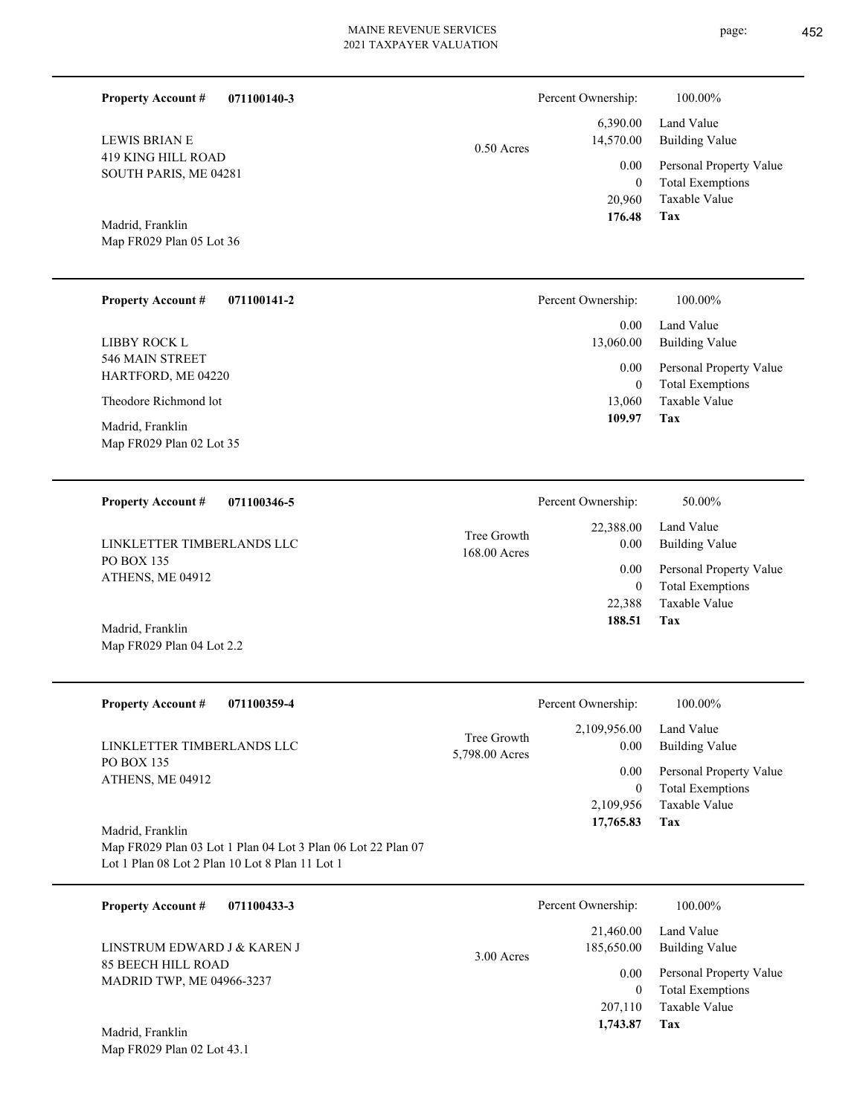|  |  | r<br>r |
|--|--|--------|
|  |  |        |

**Tax 1,743.87**

| <b>Property Account #</b><br>071100140-3                                                                        |                | Percent Ownership:         | 100.00%                                            |
|-----------------------------------------------------------------------------------------------------------------|----------------|----------------------------|----------------------------------------------------|
| <b>LEWIS BRIAN E</b>                                                                                            | $0.50$ Acres   | 6,390.00<br>14,570.00      | Land Value<br><b>Building Value</b>                |
| <b>419 KING HILL ROAD</b><br>SOUTH PARIS, ME 04281                                                              |                | 0.00                       | Personal Property Value                            |
|                                                                                                                 |                | $\boldsymbol{0}$<br>20,960 | <b>Total Exemptions</b><br>Taxable Value           |
|                                                                                                                 |                | 176.48                     | Tax                                                |
| Madrid, Franklin<br>Map FR029 Plan 05 Lot 36                                                                    |                |                            |                                                    |
|                                                                                                                 |                |                            |                                                    |
| <b>Property Account #</b><br>071100141-2                                                                        |                | Percent Ownership:         | 100.00%                                            |
|                                                                                                                 |                | 0.00                       | Land Value                                         |
| <b>LIBBY ROCK L</b><br>546 MAIN STREET                                                                          |                | 13,060.00                  | <b>Building Value</b>                              |
| HARTFORD, ME 04220                                                                                              |                | 0.00                       | Personal Property Value<br><b>Total Exemptions</b> |
| Theodore Richmond lot                                                                                           |                | $\boldsymbol{0}$<br>13,060 | Taxable Value                                      |
| Madrid, Franklin                                                                                                |                | 109.97                     | Tax                                                |
| Map FR029 Plan 02 Lot 35                                                                                        |                |                            |                                                    |
|                                                                                                                 |                |                            |                                                    |
| <b>Property Account #</b><br>071100346-5                                                                        |                | Percent Ownership:         | 50.00%                                             |
|                                                                                                                 | Tree Growth    | 22,388.00                  | Land Value                                         |
| LINKLETTER TIMBERLANDS LLC<br>PO BOX 135                                                                        | 168.00 Acres   | 0.00                       | <b>Building Value</b>                              |
| ATHENS, ME 04912                                                                                                |                | 0.00<br>$\boldsymbol{0}$   | Personal Property Value<br><b>Total Exemptions</b> |
|                                                                                                                 |                | 22,388                     | Taxable Value                                      |
| Madrid, Franklin                                                                                                |                | 188.51                     | Tax                                                |
| Map FR029 Plan 04 Lot 2.2                                                                                       |                |                            |                                                    |
|                                                                                                                 |                |                            |                                                    |
| <b>Property Account #</b><br>071100359-4                                                                        |                | Percent Ownership:         | 100.00%                                            |
|                                                                                                                 | Tree Growth    | 2,109,956.00               | Land Value                                         |
| LINKLETTER TIMBERLANDS LLC<br>PO BOX 135                                                                        | 5,798.00 Acres | 0.00                       | <b>Building Value</b>                              |
| ATHENS, ME 04912                                                                                                |                | 0.00<br>$\mathbf{0}$       | Personal Property Value<br><b>Total Exemptions</b> |
|                                                                                                                 |                | 2,109,956                  | Taxable Value                                      |
| Madrid, Franklin                                                                                                |                | 17,765.83                  | Tax                                                |
| Map FR029 Plan 03 Lot 1 Plan 04 Lot 3 Plan 06 Lot 22 Plan 07<br>Lot 1 Plan 08 Lot 2 Plan 10 Lot 8 Plan 11 Lot 1 |                |                            |                                                    |
|                                                                                                                 |                |                            |                                                    |
| 071100433-3<br><b>Property Account #</b>                                                                        |                | Percent Ownership:         | 100.00%                                            |
|                                                                                                                 |                | 21,460.00                  | Land Value                                         |
| LINSTRUM EDWARD J & KAREN J<br><b>85 BEECH HILL ROAD</b>                                                        | 3.00 Acres     | 185,650.00                 | <b>Building Value</b>                              |
| MADRID TWP, ME 04966-3237                                                                                       |                | 0.00<br>$\mathbf{0}$       | Personal Property Value<br><b>Total Exemptions</b> |
|                                                                                                                 |                | 207,110                    | Taxable Value                                      |

Map FR029 Plan 02 Lot 43.1 Madrid, Franklin

page: 452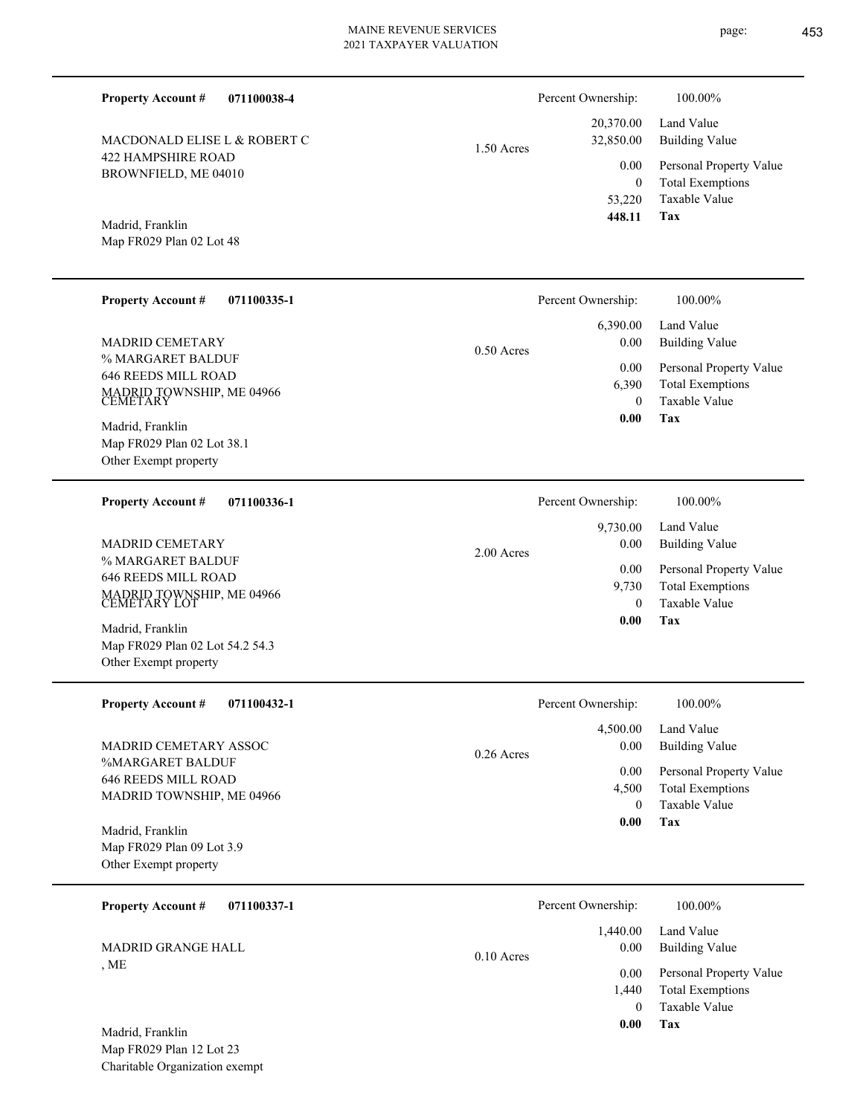**071100038-4**

422 HAMPSHIRE ROAD BROWNFIELD, ME 04010 MACDONALD ELISE L & ROBERT C

# 1.50 Acres

| 448.11             | Tax                                    |
|--------------------|----------------------------------------|
| 53,220             | Taxable Value                          |
| 0                  | <b>Total Exemptions</b>                |
| $0.00\,$           | Personal Property Value                |
| 32,850.00          | 20,370.00 Land Value<br>Building Value |
| Percent Ownership: | 100.00%                                |
|                    |                                        |

**Tax**

 0 1,440

0.00

 **0.00**

Taxable Value Total Exemptions Personal Property Value

Map FR029 Plan 02 Lot 48 Madrid, Franklin

Other Exempt property

**Property Account #**

| <b>Property Account #</b><br>071100335-1<br><b>MADRID CEMETARY</b><br>% MARGARET BALDUF<br><b>646 REEDS MILL ROAD</b><br>MADRID TOWNSHIP, ME 04966<br>CEMETARY<br>Madrid, Franklin | Percent Ownership:<br>6,390.00<br>$0.00\,$<br>$0.50$ Acres<br>$0.00\,$<br>6,390<br>$\theta$<br>0.00 | 100.00%<br>Land Value<br><b>Building Value</b><br>Personal Property Value<br><b>Total Exemptions</b><br>Taxable Value<br>Tax |
|------------------------------------------------------------------------------------------------------------------------------------------------------------------------------------|-----------------------------------------------------------------------------------------------------|------------------------------------------------------------------------------------------------------------------------------|
| Map FR029 Plan 02 Lot 38.1<br>Other Exempt property<br><b>Property Account #</b><br>071100336-1                                                                                    | Percent Ownership:                                                                                  | 100.00%                                                                                                                      |
| <b>MADRID CEMETARY</b><br>% MARGARET BALDUF<br><b>646 REEDS MILL ROAD</b><br>MADRID TOWNSHIP, ME 04966<br>CEMETARY LOT                                                             | 9,730.00<br>0.00<br>$2.00$ Acres<br>0.00<br>9,730<br>$\Omega$                                       | Land Value<br><b>Building Value</b><br>Personal Property Value<br><b>Total Exemptions</b><br>Taxable Value                   |
| Madrid, Franklin<br>Map FR029 Plan 02 Lot 54.2 54.3                                                                                                                                | 0.00                                                                                                | Tax                                                                                                                          |

| 4,500.00<br>Land Value<br>MADRID CEMETARY ASSOC<br><b>Building Value</b><br>0.00<br>$0.26$ Acres<br><b>%MARGARET BALDUF</b><br>$0.00\,$<br>Personal Property Value<br><b>646 REEDS MILL ROAD</b><br><b>Total Exemptions</b><br>4,500<br>MADRID TOWNSHIP, ME 04966<br>Taxable Value<br>$\Omega$<br>Tax<br>0.00<br>Madrid, Franklin<br>Map FR029 Plan 09 Lot 3.9<br>Other Exempt property<br>Percent Ownership:<br><b>Property Account #</b><br>100.00%<br>071100337-1<br>Land Value<br>1,440.00<br><b>MADRID GRANGE HALL</b><br><b>Building Value</b><br>0.00<br>$0.10$ Acres | <b>Property Account #</b><br>071100432-1 | Percent Ownership: | 100.00% |
|------------------------------------------------------------------------------------------------------------------------------------------------------------------------------------------------------------------------------------------------------------------------------------------------------------------------------------------------------------------------------------------------------------------------------------------------------------------------------------------------------------------------------------------------------------------------------|------------------------------------------|--------------------|---------|
|                                                                                                                                                                                                                                                                                                                                                                                                                                                                                                                                                                              |                                          |                    |         |
|                                                                                                                                                                                                                                                                                                                                                                                                                                                                                                                                                                              |                                          |                    |         |
|                                                                                                                                                                                                                                                                                                                                                                                                                                                                                                                                                                              |                                          |                    |         |
|                                                                                                                                                                                                                                                                                                                                                                                                                                                                                                                                                                              | , ME                                     |                    |         |

Map FR029 Plan 12 Lot 23 Charitable Organization exempt Madrid, Franklin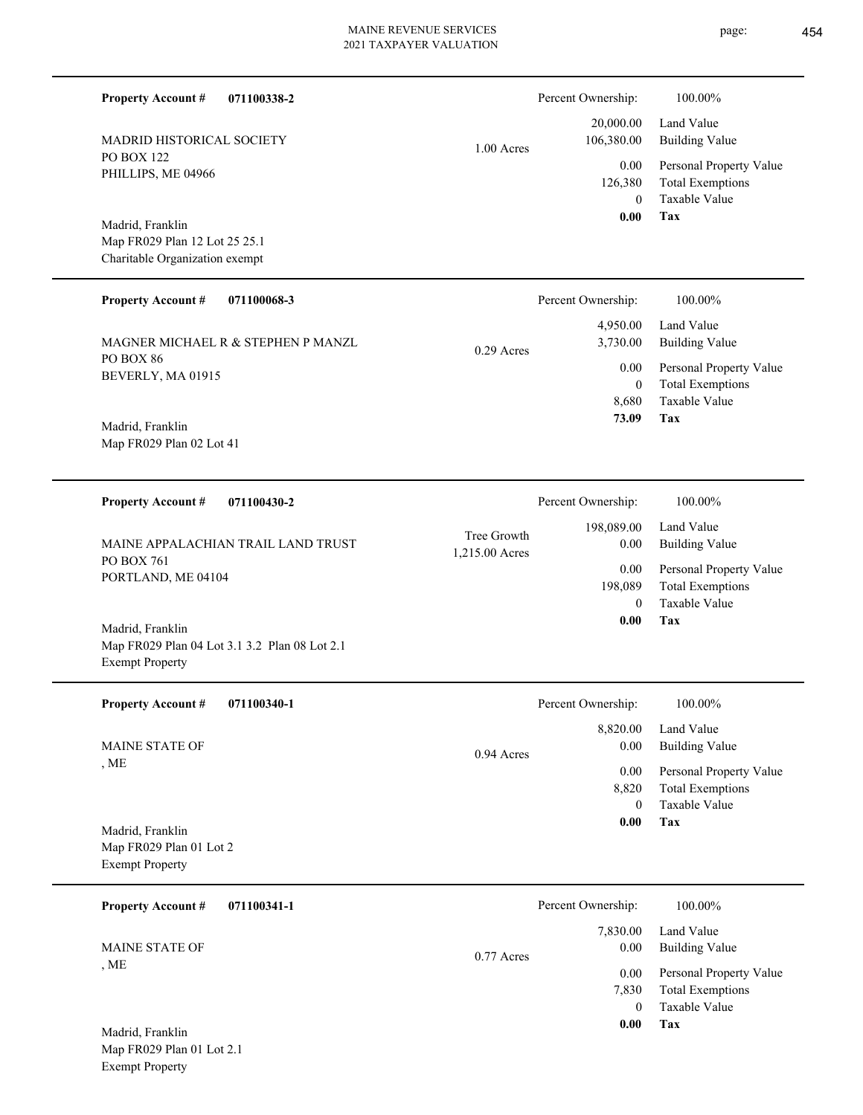| <b>Property Account #</b><br>071100338-2                          |                               | Percent Ownership:                  | 100.00%                                                                           |
|-------------------------------------------------------------------|-------------------------------|-------------------------------------|-----------------------------------------------------------------------------------|
| <b>MADRID HISTORICAL SOCIETY</b>                                  | $1.00$ Acres                  | 20,000.00<br>106,380.00             | Land Value<br><b>Building Value</b>                                               |
| <b>PO BOX 122</b><br>PHILLIPS, ME 04966                           |                               | 0.00<br>126,380<br>$\theta$<br>0.00 | Personal Property Value<br><b>Total Exemptions</b><br>Taxable Value<br><b>Tax</b> |
| Madrid, Franklin<br>Map FR029 Plan 12 Lot 25 25.1                 |                               |                                     |                                                                                   |
| Charitable Organization exempt                                    |                               |                                     |                                                                                   |
| <b>Property Account #</b><br>071100068-3                          |                               | Percent Ownership:                  | 100.00%                                                                           |
| MAGNER MICHAEL R & STEPHEN P MANZL                                | $0.29$ Acres                  | 4,950.00<br>3,730.00                | Land Value<br><b>Building Value</b>                                               |
| PO BOX 86<br>BEVERLY, MA 01915                                    |                               | 0.00                                | Personal Property Value                                                           |
|                                                                   |                               | $\theta$<br>8,680                   | <b>Total Exemptions</b><br>Taxable Value                                          |
| Madrid, Franklin                                                  |                               | 73.09                               | Tax                                                                               |
| Map FR029 Plan 02 Lot 41                                          |                               |                                     |                                                                                   |
|                                                                   |                               |                                     |                                                                                   |
| <b>Property Account #</b><br>071100430-2                          |                               | Percent Ownership:                  | 100.00%                                                                           |
| MAINE APPALACHIAN TRAIL LAND TRUST                                | Tree Growth<br>1,215.00 Acres | 198,089.00<br>0.00                  | Land Value<br><b>Building Value</b>                                               |
| PO BOX 761<br>PORTLAND, ME 04104                                  |                               | 0.00<br>198,089                     | Personal Property Value<br><b>Total Exemptions</b>                                |
|                                                                   |                               | $\theta$<br>0.00                    | <b>Taxable Value</b><br>Tax                                                       |
| Madrid, Franklin<br>Map FR029 Plan 04 Lot 3.1 3.2 Plan 08 Lot 2.1 |                               |                                     |                                                                                   |
| <b>Exempt Property</b>                                            |                               |                                     |                                                                                   |
| <b>Property Account #</b><br>071100340-1                          |                               | Percent Ownership:                  | 100.00%                                                                           |
| <b>MAINE STATE OF</b>                                             |                               | 8,820.00<br>0.00                    | Land Value<br><b>Building Value</b>                                               |
| , ME                                                              | 0.94 Acres                    | 0.00                                | Personal Property Value                                                           |
|                                                                   |                               | 8,820<br>$\mathbf{0}$               | <b>Total Exemptions</b><br>Taxable Value                                          |
| Madrid, Franklin                                                  |                               | 0.00                                | Tax                                                                               |
| Map FR029 Plan 01 Lot 2                                           |                               |                                     |                                                                                   |
| <b>Exempt Property</b>                                            |                               |                                     |                                                                                   |
| <b>Property Account #</b><br>071100341-1                          |                               | Percent Ownership:                  | 100.00%                                                                           |
| <b>MAINE STATE OF</b>                                             | $0.77$ Acres                  | 7,830.00<br>0.00                    | Land Value<br><b>Building Value</b>                                               |
| , ME                                                              |                               | 0.00                                | Personal Property Value                                                           |
|                                                                   |                               | 7,830<br>$\mathbf{0}$               | <b>Total Exemptions</b><br>Taxable Value                                          |
| Madrid, Franklin                                                  |                               | 0.00                                | Tax                                                                               |

Map FR029 Plan 01 Lot 2.1 Exempt Property

page: 454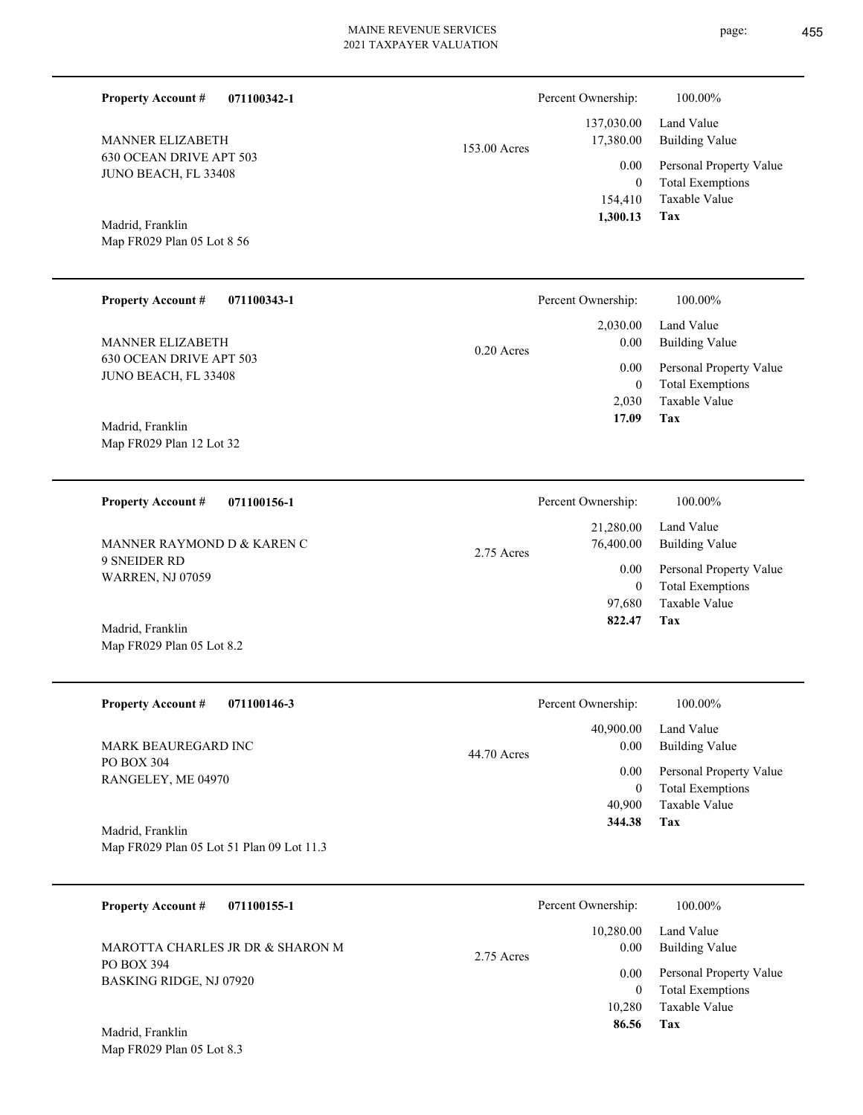|              | Percent Ownership: | 100.00%                 |
|--------------|--------------------|-------------------------|
|              | 137,030.00         | Land Value              |
| 153.00 Acres | 17,380.00          | <b>Building Value</b>   |
|              | 0.00               | Personal Property Value |
|              | $\bf{0}$           | <b>Total Exemptions</b> |
|              | 154,410            | Taxable Value           |
|              | 1,300.13           | Tax                     |

Madrid, Franklin

630 OCEAN DRIVE APT 503 JUNO BEACH, FL 33408

MANNER ELIZABETH

**Property Account #**

**071100342-1**

Map FR029 Plan 05 Lot 8 56

### **071100343-1 Tax** Taxable Value Total Exemptions Personal Property Value Building Value Land Value 630 OCEAN DRIVE APT 503 JUNO BEACH, FL 33408 **Property Account #** Map FR029 Plan 12 Lot 32 Madrid, Franklin MANNER ELIZABETH 2,030 0  **17.09** 2,030.00 0.00 0.00 0.20 Acres Percent Ownership: 100.00%

**071100156-1 Tax** Taxable Value Total Exemptions Personal Property Value Building Value Land Value 9 SNEIDER RD WARREN, NJ 07059 **Property Account #** Madrid, Franklin MANNER RAYMOND D & KAREN C 97,680 0  **822.47** 21,280.00 76,400.00 0.00 2.75 Acres Percent Ownership:  $100.00\%$ 

Map FR029 Plan 05 Lot 8.2

| <b>Property Account #</b><br>071100146-3  | Percent Ownership:  | 100.00%                 |
|-------------------------------------------|---------------------|-------------------------|
|                                           | 40,900.00           | Land Value              |
| <b>MARK BEAUREGARD INC</b>                | 0.00<br>44.70 Acres | Building Value          |
| PO BOX 304<br>RANGELEY, ME 04970          | 0.00                | Personal Property Value |
|                                           | $\overline{0}$      | <b>Total Exemptions</b> |
|                                           | 40,900              | Taxable Value           |
| Madrid, Franklin                          | 344.38              | Tax                     |
| Map FR029 Plan 05 Lot 51 Plan 09 Lot 11.3 |                     |                         |

| 071100155-1<br><b>Property Account #</b>     | Percent Ownership:                | 100.00%                                                        |
|----------------------------------------------|-----------------------------------|----------------------------------------------------------------|
| MAROTTA CHARLES JR DR & SHARON M             | 10,280.00<br>0.00<br>$2.75$ Acres | Land Value<br><b>Building Value</b>                            |
| PO BOX 394<br><b>BASKING RIDGE, NJ 07920</b> | 0.00                              | Personal Property Value<br><b>Total Exemptions</b><br>$\bf{0}$ |
|                                              | 10.280                            | Taxable Value                                                  |
| Madrid, Franklin                             | 86.56                             | Tax                                                            |

Map FR029 Plan 05 Lot 8.3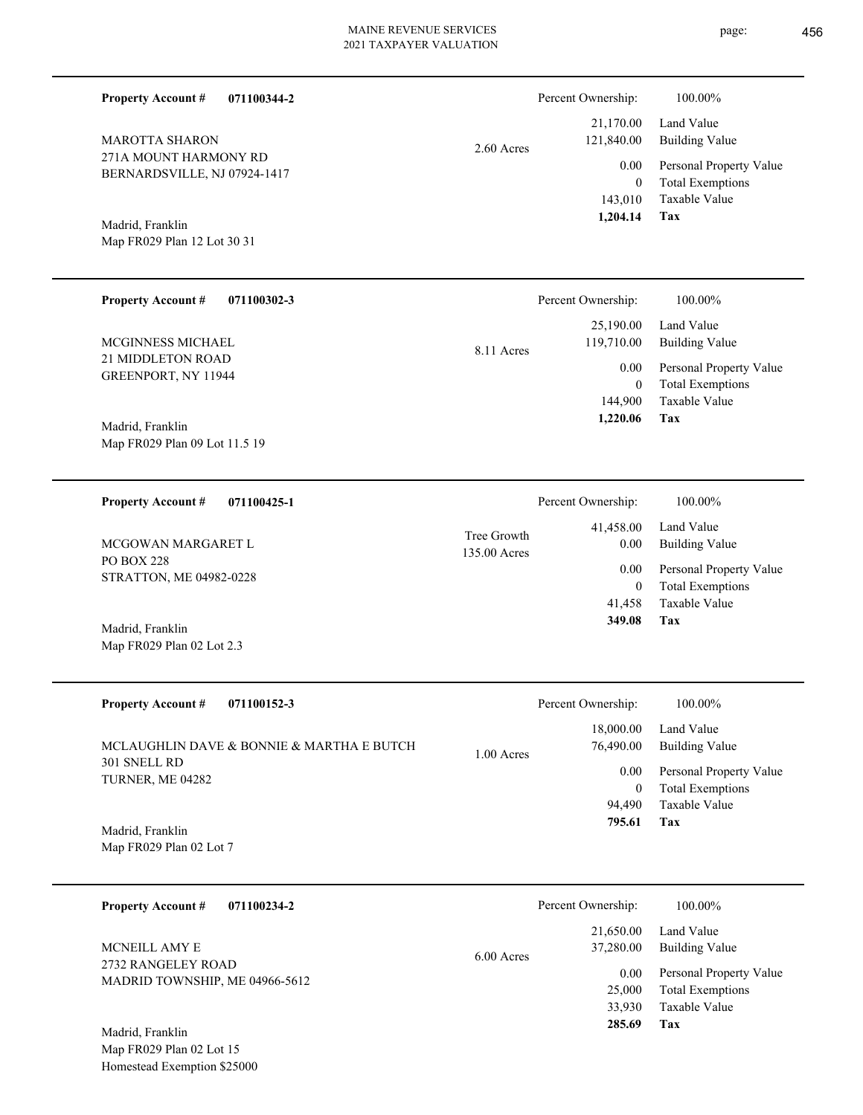page: 456

| <b>Property Account #</b><br>071100344-2                                    |                             | Percent Ownership:                      | 100.00%                                                                           |
|-----------------------------------------------------------------------------|-----------------------------|-----------------------------------------|-----------------------------------------------------------------------------------|
| <b>MAROTTA SHARON</b>                                                       | $2.60$ Acres                | 21,170.00<br>121,840.00                 | Land Value<br><b>Building Value</b>                                               |
| 271A MOUNT HARMONY RD<br>BERNARDSVILLE, NJ 07924-1417                       |                             | 0.00<br>$\theta$<br>143,010<br>1,204.14 | Personal Property Value<br><b>Total Exemptions</b><br>Taxable Value<br><b>Tax</b> |
| Madrid, Franklin<br>Map FR029 Plan 12 Lot 30 31                             |                             |                                         |                                                                                   |
| <b>Property Account #</b><br>071100302-3                                    |                             | Percent Ownership:                      | 100.00%                                                                           |
| MCGINNESS MICHAEL                                                           | 8.11 Acres                  | 25,190.00<br>119,710.00                 | Land Value<br><b>Building Value</b>                                               |
| 21 MIDDLETON ROAD<br>GREENPORT, NY 11944                                    |                             | 0.00<br>$\overline{0}$                  | Personal Property Value<br><b>Total Exemptions</b>                                |
| Madrid, Franklin                                                            |                             | 144,900<br>1,220.06                     | Taxable Value<br>Tax                                                              |
| Map FR029 Plan 09 Lot 11.5 19                                               |                             |                                         |                                                                                   |
| <b>Property Account #</b><br>071100425-1                                    |                             | Percent Ownership:                      | 100.00%                                                                           |
| MCGOWAN MARGARET L                                                          | Tree Growth<br>135.00 Acres | 41,458.00<br>0.00                       | Land Value<br><b>Building Value</b>                                               |
| <b>PO BOX 228</b><br>STRATTON, ME 04982-0228                                |                             | 0.00<br>$\overline{0}$<br>41,458        | Personal Property Value<br><b>Total Exemptions</b><br>Taxable Value               |
| Madrid, Franklin<br>Map FR029 Plan 02 Lot 2.3                               |                             | 349.08                                  | Tax                                                                               |
| <b>Property Account #</b><br>071100152-3                                    |                             | Percent Ownership:                      | 100.00%                                                                           |
| MCLAUGHLIN DAVE & BONNIE & MARTHA E BUTCH                                   |                             | 18,000.00<br>76,490.00                  | Land Value<br><b>Building Value</b>                                               |
| 301 SNELL RD<br>TURNER, ME 04282                                            | 1.00 Acres                  | 0.00<br>$\mathbf{0}$                    | Personal Property Value<br><b>Total Exemptions</b>                                |
| Madrid, Franklin                                                            |                             | 94,490<br>795.61                        | Taxable Value<br>Tax                                                              |
| Map FR029 Plan 02 Lot 7                                                     |                             |                                         |                                                                                   |
| 071100234-2<br><b>Property Account #</b>                                    |                             | Percent Ownership:                      | 100.00%                                                                           |
| MCNEILL AMY E                                                               | 6.00 Acres                  | 21,650.00<br>37,280.00                  | Land Value<br><b>Building Value</b>                                               |
| 2732 RANGELEY ROAD<br>MADRID TOWNSHIP, ME 04966-5612                        |                             | 0.00<br>25,000<br>33,930<br>285.69      | Personal Property Value<br><b>Total Exemptions</b><br>Taxable Value<br>Tax        |
| Madrid, Franklin<br>Map FR029 Plan 02 Lot 15<br>Homestead Exemption \$25000 |                             |                                         |                                                                                   |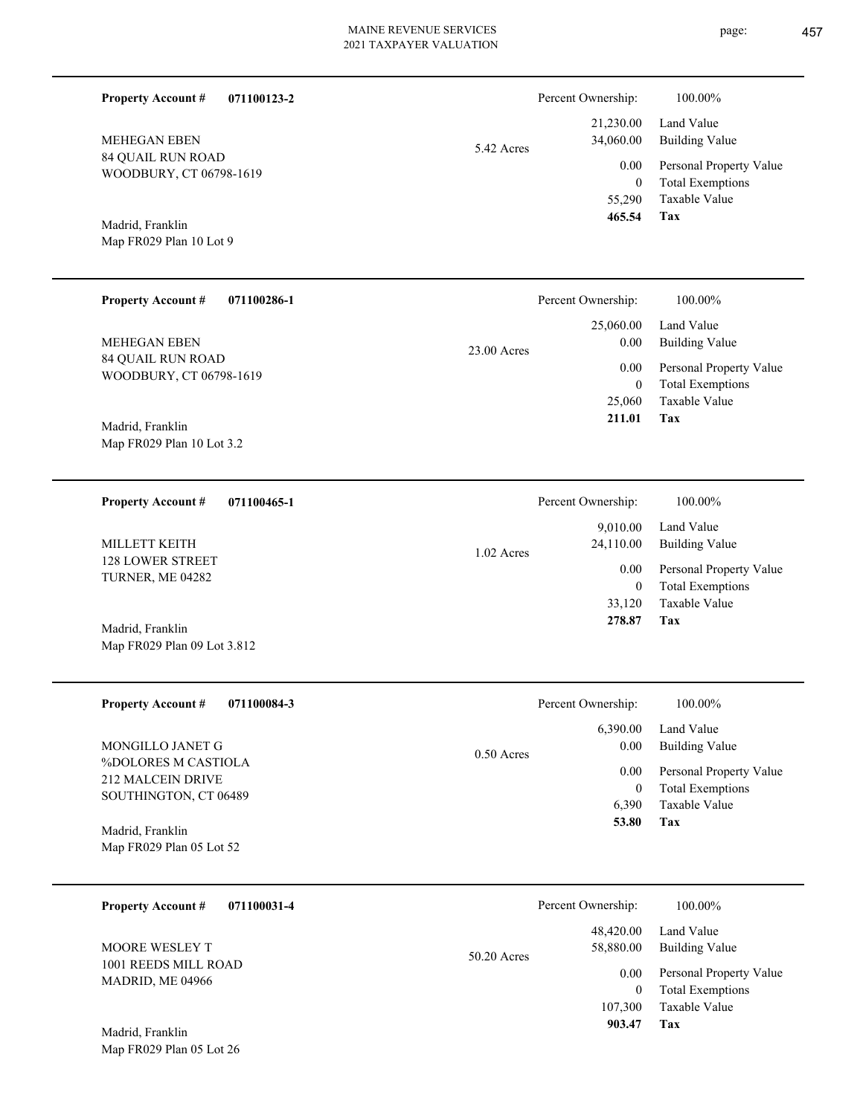▃

 $\overline{\phantom{0}}$ 

| <b>Property Account #</b><br>071100123-2            |              | Percent Ownership:      | 100.00%                                            |
|-----------------------------------------------------|--------------|-------------------------|----------------------------------------------------|
| <b>MEHEGAN EBEN</b>                                 | 5.42 Acres   | 21,230.00<br>34,060.00  | Land Value<br><b>Building Value</b>                |
| <b>84 QUAIL RUN ROAD</b><br>WOODBURY, CT 06798-1619 |              | 0.00                    | Personal Property Value                            |
|                                                     |              | $\mathbf{0}$<br>55,290  | <b>Total Exemptions</b><br>Taxable Value           |
| Madrid, Franklin                                    |              | 465.54                  | Tax                                                |
| Map FR029 Plan 10 Lot 9                             |              |                         |                                                    |
| <b>Property Account#</b><br>071100286-1             |              | Percent Ownership:      | 100.00%                                            |
| <b>MEHEGAN EBEN</b>                                 | 23.00 Acres  | 25,060.00<br>0.00       | Land Value<br><b>Building Value</b>                |
| <b>84 QUAIL RUN ROAD</b><br>WOODBURY, CT 06798-1619 |              | 0.00                    | Personal Property Value                            |
|                                                     |              | $\mathbf{0}$<br>25,060  | <b>Total Exemptions</b><br>Taxable Value           |
| Madrid, Franklin                                    |              | 211.01                  | Tax                                                |
| Map FR029 Plan 10 Lot 3.2                           |              |                         |                                                    |
| <b>Property Account #</b><br>071100465-1            |              | Percent Ownership:      | 100.00%                                            |
|                                                     |              | 9,010.00                | Land Value                                         |
| MILLETT KEITH<br>128 LOWER STREET                   | $1.02$ Acres | 24,110.00               | <b>Building Value</b>                              |
| TURNER, ME 04282                                    |              | 0.00<br>$\mathbf{0}$    | Personal Property Value<br><b>Total Exemptions</b> |
|                                                     |              | 33,120<br>278.87        | Taxable Value<br>Tax                               |
| Madrid, Franklin<br>Map FR029 Plan 09 Lot 3.812     |              |                         |                                                    |
|                                                     |              |                         |                                                    |
| <b>Property Account#</b><br>071100084-3             |              | Percent Ownership:      | 100.00%                                            |
| MONGILLO JANET G                                    |              | 6,390.00<br>0.00        | Land Value<br><b>Building Value</b>                |
| %DOLORES M CASTIOLA                                 | $0.50$ Acres | 0.00                    | Personal Property Value                            |
| 212 MALCEIN DRIVE<br>SOUTHINGTON, CT 06489          |              | $\boldsymbol{0}$        | <b>Total Exemptions</b>                            |
|                                                     |              | 6,390<br>53.80          | Taxable Value<br>Tax                               |
| Madrid, Franklin<br>Map FR029 Plan 05 Lot 52        |              |                         |                                                    |
|                                                     |              |                         |                                                    |
| <b>Property Account #</b><br>071100031-4            |              | Percent Ownership:      | 100.00%                                            |
| MOORE WESLEY T                                      | 50.20 Acres  | 48,420.00<br>58,880.00  | Land Value<br><b>Building Value</b>                |
| 1001 REEDS MILL ROAD<br>MADRID, ME 04966            |              | 0.00                    | Personal Property Value                            |
|                                                     |              | $\mathbf{0}$<br>107,300 | <b>Total Exemptions</b><br>Taxable Value           |
| Madrid, Franklin                                    |              | 903.47                  | <b>Tax</b>                                         |

Map FR029 Plan 05 Lot 26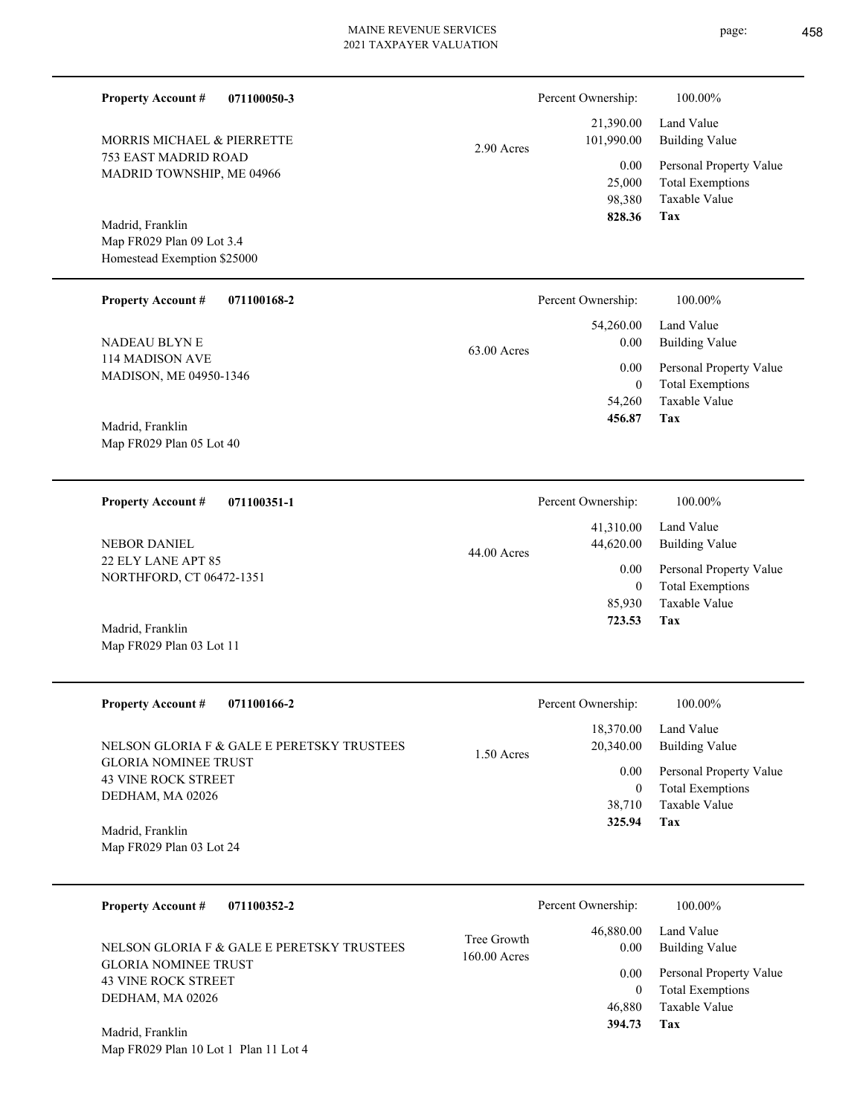63.00 Acres

753 EAST MADRID ROAD MADRID TOWNSHIP, ME 04966 MORRIS MICHAEL & PIERRETTE

**071100050-3**

Map FR029 Plan 09 Lot 3.4 Homestead Exemption \$25000 Madrid, Franklin

**Property Account #**

### **071100168-2 Property Account #**

114 MADISON AVE MADISON, ME 04950-1346 NADEAU BLYN E

Map FR029 Plan 05 Lot 40 Madrid, Franklin

### **071100351-1 Property Account #**

22 ELY LANE APT 85 NORTHFORD, CT 06472-1351 NEBOR DANIEL

Map FR029 Plan 03 Lot 11 Madrid, Franklin

| <b>Property Account #</b><br>071100166-2                                                                                    | Percent Ownership:                                            | 100.00%                                                                                                    |
|-----------------------------------------------------------------------------------------------------------------------------|---------------------------------------------------------------|------------------------------------------------------------------------------------------------------------|
| NELSON GLORIA F & GALE E PERETSKY TRUSTEES<br><b>GLORIA NOMINEE TRUST</b><br><b>43 VINE ROCK STREET</b><br>DEDHAM, MA 02026 | 18,370.00<br>20,340.00<br>$1.50$ Acres<br>0.00<br>0<br>38,710 | Land Value<br><b>Building Value</b><br>Personal Property Value<br><b>Total Exemptions</b><br>Taxable Value |
| Madrid, Franklin<br>Map FR029 Plan 03 Lot 24                                                                                | 325.94                                                        | Tax                                                                                                        |

| 071100352-2<br><b>Property Account #</b>                                  | Percent Ownership:                                 | 100.00%                      |
|---------------------------------------------------------------------------|----------------------------------------------------|------------------------------|
| NELSON GLORIA F & GALE E PERETSKY TRUSTEES<br><b>GLORIA NOMINEE TRUST</b> | 46,880.00<br>Tree Growth<br>0.00<br>$160.00$ Acres | Land Value<br>Building Value |
| <b>43 VINE ROCK STREET</b>                                                | 0.00                                               | Personal Property Value      |
| DEDHAM, MA 02026                                                          |                                                    | <b>Total Exemptions</b>      |
|                                                                           | 46,880                                             | Taxable Value                |
| Madrid, Franklin                                                          | 394.73                                             | Tax                          |

Map FR029 Plan 10 Lot 1 Plan 11 Lot 4

|            | Percent Ownership:      | 100.00%                      |
|------------|-------------------------|------------------------------|
| 2.90 Acres | 21,390.00<br>101,990.00 | Land Value<br>Building Value |
|            | 0.00                    | Personal Property Value      |
|            | 25,000                  | <b>Total Exemptions</b>      |
|            | 98.380                  | Taxable Value                |

## **Tax** Taxable Value 98,380  **828.36**

Taxable Value Total Exemptions Personal Property Value

Building Value Land Value

|                        | 456.87             | Tax                     |
|------------------------|--------------------|-------------------------|
|                        |                    |                         |
|                        |                    |                         |
|                        | Percent Ownership: | 100.00%                 |
|                        | 41,310.00          | Land Value              |
| $44.00 \text{ A}$ cres | 44,620.00          | <b>Building Value</b>   |
|                        | 0.00               | Personal Property Value |
|                        | $\mathbf{0}$       | <b>Total Exemptions</b> |
|                        | 85,930             | Taxable Value           |
|                        | 723.53             | Tax                     |

 54,260  $\boldsymbol{0}$ 

 54,260.00 0.00 0.00

Percent Ownership: 100.00%

|         | Percent Ownership: | 100.00%                 |
|---------|--------------------|-------------------------|
|         |                    | 18,370.00 Land Value    |
| ) Acres | 20,340.00          | Building Value          |
|         | 0.00               | Personal Property Value |
|         | $\theta$           | <b>Total Exemptions</b> |
|         |                    | 38,710 Taxable Value    |
|         | 22501              | Tov                     |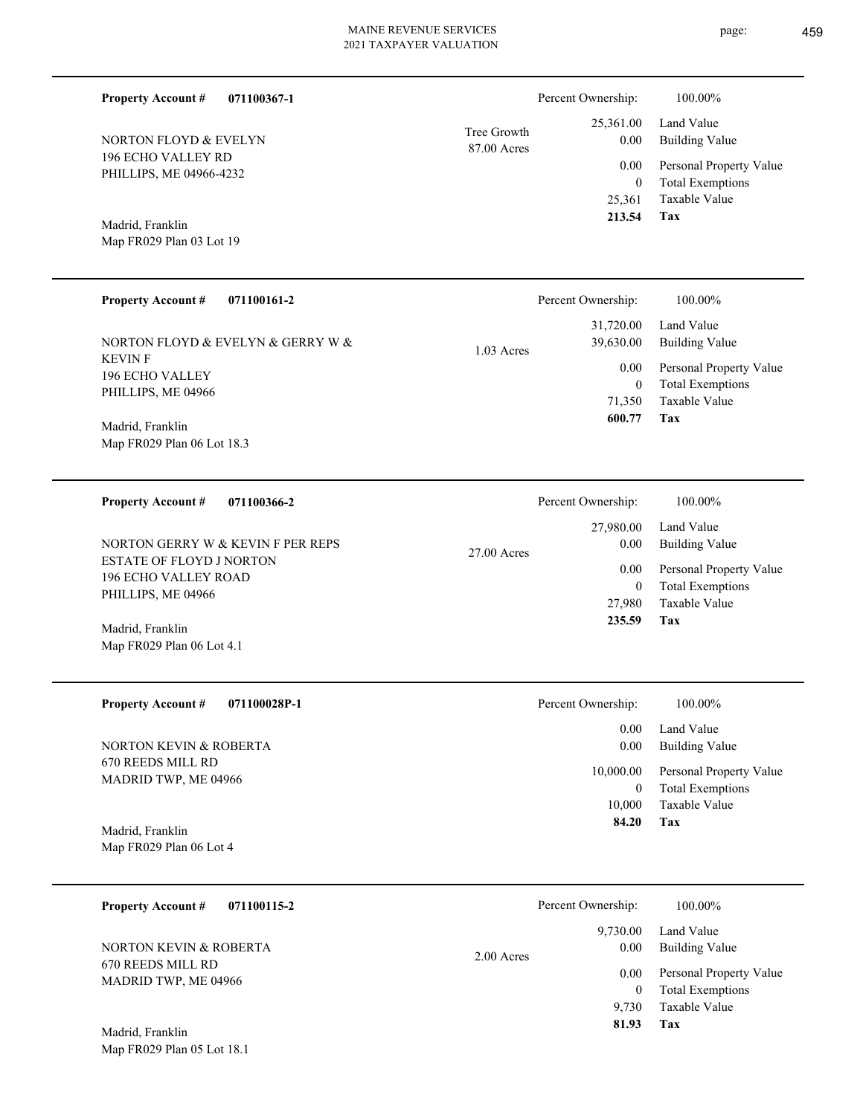**071100367-1**

196 ECHO VALLEY RD PHILLIPS, ME 04966-4232

NORTON FLOYD & EVELYN

Map FR029 Plan 03 Lot 19

Madrid, Franklin

**Property Account #**

87.00 Acres Tree Growth

| <b>Property Account #</b><br>071100161-2 | Percent Ownership:        | 100.00%                 |
|------------------------------------------|---------------------------|-------------------------|
|                                          | 31,720.00                 | Land Value              |
| NORTON FLOYD & EVELYN & GERRY W &        | 39,630.00<br>$1.03$ Acres | <b>Building Value</b>   |
| <b>KEVIN F</b>                           | 0.00                      | Personal Property Value |
| 196 ECHO VALLEY<br>PHILLIPS, ME 04966    | $\mathbf{0}$              | <b>Total Exemptions</b> |
|                                          | 71,350                    | Taxable Value           |
| Madrid, Franklin                         | 600.77                    | Tax                     |
| Map FR029 Plan 06 Lot 18.3               |                           |                         |
|                                          |                           |                         |

| 071100366-2<br><b>Property Account #</b>                                             | Percent Ownership:                 | 100.00%                                     |
|--------------------------------------------------------------------------------------|------------------------------------|---------------------------------------------|
| NORTON GERRY W & KEVIN F PER REPS                                                    | 27,980.00<br>0.00<br>$27.00$ Acres | Land Value<br><b>Building Value</b>         |
| <b>ESTATE OF FLOYD J NORTON</b><br><b>196 ECHO VALLEY ROAD</b><br>PHILLIPS, ME 04966 | 0.00<br>0                          | Personal Property Value<br>Total Exemptions |
| Madrid, Franklin<br>Map FR029 Plan 06 Lot 4.1                                        | 27,980<br>235.59                   | Taxable Value<br>Tax                        |

| <b>Property Account #</b><br>071100028P-1 | Percent Ownership: | 100.00%                                            |
|-------------------------------------------|--------------------|----------------------------------------------------|
|                                           | 0.00               | Land Value                                         |
| NORTON KEVIN & ROBERTA                    | 0.00               | Building Value                                     |
| 670 REEDS MILL RD<br>MADRID TWP, ME 04966 | 10,000.00          | Personal Property Value<br><b>Total Exemptions</b> |
|                                           | 10.000             | Taxable Value                                      |
| Madrid, Franklin                          | 84.20              | Tax                                                |
| Map FR029 Plan 06 Lot 4                   |                    |                                                    |

| 071100115-2<br><b>Property Account #</b>  | Percent Ownership:               | 100.00%                                                             |
|-------------------------------------------|----------------------------------|---------------------------------------------------------------------|
| NORTON KEVIN & ROBERTA                    | 9,730.00<br>0.00<br>$2.00$ Acres | Land Value<br><b>Building Value</b>                                 |
| 670 REEDS MILL RD<br>MADRID TWP, ME 04966 | 0.00<br>$\overline{0}$<br>9.730  | Personal Property Value<br><b>Total Exemptions</b><br>Taxable Value |
| Madrid, Franklin                          | 81.93                            | Tax                                                                 |

Map FR029 Plan 05 Lot 18.1

**Tax**

 25,361 0

 25,361.00 0.00 0.00

Percent Ownership:  $100.00\%$ 

 **213.54**

Taxable Value Total Exemptions Personal Property Value

Building Value Land Value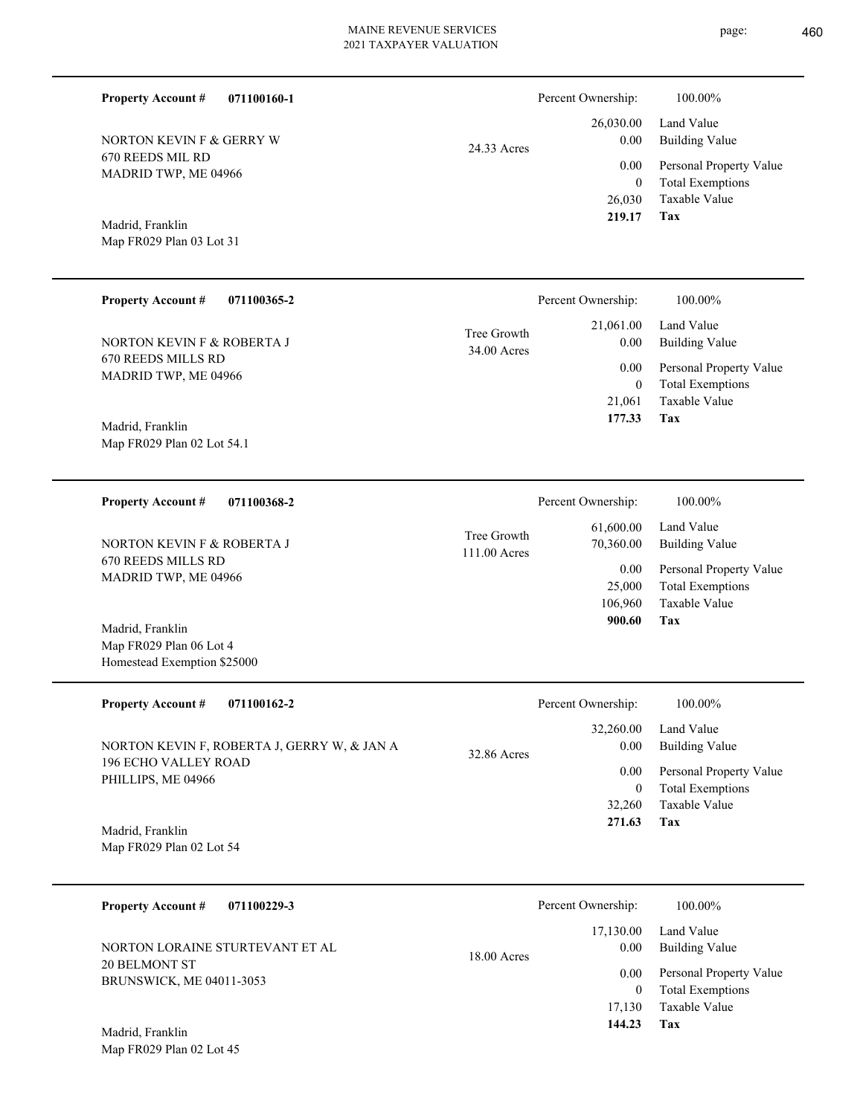Percent Ownership:  $100.00\%$ 

|             |          | 26,030.00 Land Value         |
|-------------|----------|------------------------------|
| 24.33 Acres | $0.00\,$ | Building Value               |
|             |          | 0.00 Personal Property Value |
|             | $\theta$ | <b>Total Exemptions</b>      |
|             |          | 26,030 Taxable Value         |
|             | 219.17   | <b>Tax</b>                   |

Map FR029 Plan 03 Lot 31 Madrid, Franklin

670 REEDS MIL RD MADRID TWP, ME 04966

NORTON KEVIN F & GERRY W

**Property Account #**

**071100160-1**

| <b>Property Account #</b><br>071100365-2   | Percent Ownership:                                | 100.00%                                                            |
|--------------------------------------------|---------------------------------------------------|--------------------------------------------------------------------|
| NORTON KEVIN F & ROBERTA J                 | 21,061.00<br>Tree Growth<br>0.00<br>$34.00$ Acres | Land Value<br>Building Value                                       |
| 670 REEDS MILLS RD<br>MADRID TWP, ME 04966 | 0.00                                              | Personal Property Value<br><b>Total Exemptions</b><br>$\mathbf{0}$ |
|                                            | 21,061                                            | Taxable Value                                                      |
| Madrid, Franklin                           | 177.33                                            | Tax                                                                |
| Map FR029 Plan 02 Lot 54.1                 |                                                   |                                                                    |

**071100368-2 Tax** Taxable Value Total Exemptions Personal Property Value Building Value Land Value 670 REEDS MILLS RD MADRID TWP, ME 04966 **Property Account #** Map FR029 Plan 06 Lot 4 Madrid, Franklin NORTON KEVIN F & ROBERTA J 106,960 25,000  **900.60** 61,600.00 70,360.00 0.00 111.00 Acres Tree Growth Percent Ownership:  $100.00\%$ 

| <b>Property Account #</b><br>071100162-2          | Percent Ownership:               | 100.00%                                            |
|---------------------------------------------------|----------------------------------|----------------------------------------------------|
| NORTON KEVIN F, ROBERTA J, GERRY W, & JAN A       | 32,260.00<br>0.00<br>32.86 Acres | Land Value<br><b>Building Value</b>                |
| <b>196 ECHO VALLEY ROAD</b><br>PHILLIPS, ME 04966 | 0.00<br>0                        | Personal Property Value<br><b>Total Exemptions</b> |
|                                                   | 32,260                           | Taxable Value                                      |
| Madrid, Franklin                                  | 271.63                           | Tax                                                |

Map FR029 Plan 02 Lot 54

Homestead Exemption \$25000

| 071100229-3<br><b>Property Account #</b>         | Percent Ownership:         | 100.00%                                                                |
|--------------------------------------------------|----------------------------|------------------------------------------------------------------------|
| NORTON LORAINE STURTEVANT ET AL                  | 17,130.00<br>$18.00$ Acres | Land Value<br><b>Building Value</b><br>0.00                            |
| 20 BELMONT ST<br><b>BRUNSWICK, ME 04011-3053</b> |                            | Personal Property Value<br>0.00<br><b>Total Exemptions</b><br>$\theta$ |
| Madrid. Franklin                                 | 17.130<br>144.23           | Taxable Value<br>Tax                                                   |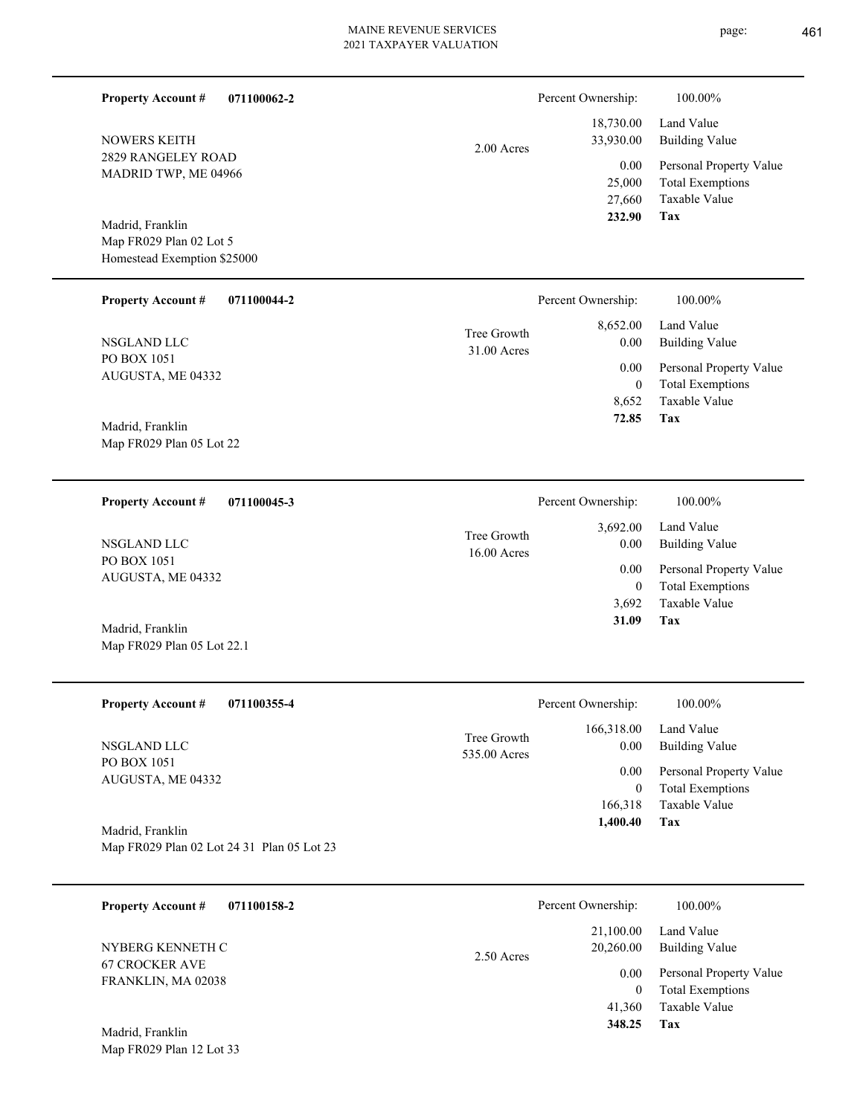page: 461

| 071100062-2<br><b>Property Account #</b>                       |                             | Percent Ownership:<br>18,730.00 | 100.00%<br>Land Value                                               |
|----------------------------------------------------------------|-----------------------------|---------------------------------|---------------------------------------------------------------------|
| <b>NOWERS KEITH</b><br>2829 RANGELEY ROAD                      | $2.00$ Acres                | 33,930.00                       | <b>Building Value</b>                                               |
| MADRID TWP, ME 04966                                           |                             | 0.00<br>25,000<br>27,660        | Personal Property Value<br><b>Total Exemptions</b><br>Taxable Value |
| Madrid, Franklin<br>Map FR029 Plan 02 Lot 5                    |                             | 232.90                          | Tax                                                                 |
| Homestead Exemption \$25000                                    |                             |                                 |                                                                     |
| <b>Property Account #</b><br>071100044-2                       |                             | Percent Ownership:              | 100.00%                                                             |
| NSGLAND LLC                                                    | Tree Growth<br>31.00 Acres  | 8,652.00<br>0.00                | Land Value<br><b>Building Value</b>                                 |
| PO BOX 1051<br>AUGUSTA, ME 04332                               |                             | 0.00<br>$\boldsymbol{0}$        | Personal Property Value<br><b>Total Exemptions</b>                  |
|                                                                |                             | 8,652                           | Taxable Value<br>Tax                                                |
| Madrid, Franklin<br>Map FR029 Plan 05 Lot 22                   |                             | 72.85                           |                                                                     |
|                                                                |                             |                                 |                                                                     |
| 071100045-3<br><b>Property Account #</b>                       |                             | Percent Ownership:              | 100.00%                                                             |
| NSGLAND LLC                                                    | Tree Growth<br>16.00 Acres  | 3,692.00<br>0.00                | Land Value<br><b>Building Value</b>                                 |
| PO BOX 1051<br>AUGUSTA, ME 04332                               |                             | 0.00<br>$\boldsymbol{0}$        | Personal Property Value<br><b>Total Exemptions</b>                  |
|                                                                |                             | 3,692<br>31.09                  | Taxable Value<br>Tax                                                |
| Madrid, Franklin<br>Map FR029 Plan 05 Lot 22.1                 |                             |                                 |                                                                     |
| Property Account #<br>071100355-4                              |                             | Percent Ownership:              | 100.00%                                                             |
| NSGLAND LLC                                                    | Tree Growth<br>535.00 Acres | 166,318.00<br>0.00              | Land Value<br><b>Building Value</b>                                 |
| PO BOX 1051<br>AUGUSTA, ME 04332                               |                             | 0.00                            | Personal Property Value                                             |
|                                                                |                             | $\mathbf{0}$<br>166,318         | <b>Total Exemptions</b><br>Taxable Value                            |
| Madrid, Franklin<br>Map FR029 Plan 02 Lot 24 31 Plan 05 Lot 23 |                             | 1,400.40                        | Tax                                                                 |
|                                                                |                             |                                 |                                                                     |
| <b>Property Account #</b><br>071100158-2                       |                             | Percent Ownership:              | 100.00%                                                             |
| NYBERG KENNETH C                                               | 2.50 Acres                  | 21,100.00<br>20,260.00          | Land Value<br><b>Building Value</b>                                 |
| <b>67 CROCKER AVE</b><br>FRANKLIN, MA 02038                    |                             | 0.00<br>$\mathbf{0}$            | Personal Property Value<br><b>Total Exemptions</b>                  |
|                                                                |                             | 41,360<br>348.25                | Taxable Value<br>Tax                                                |
| Madrid, Franklin<br>Map FR029 Plan 12 Lot 33                   |                             |                                 |                                                                     |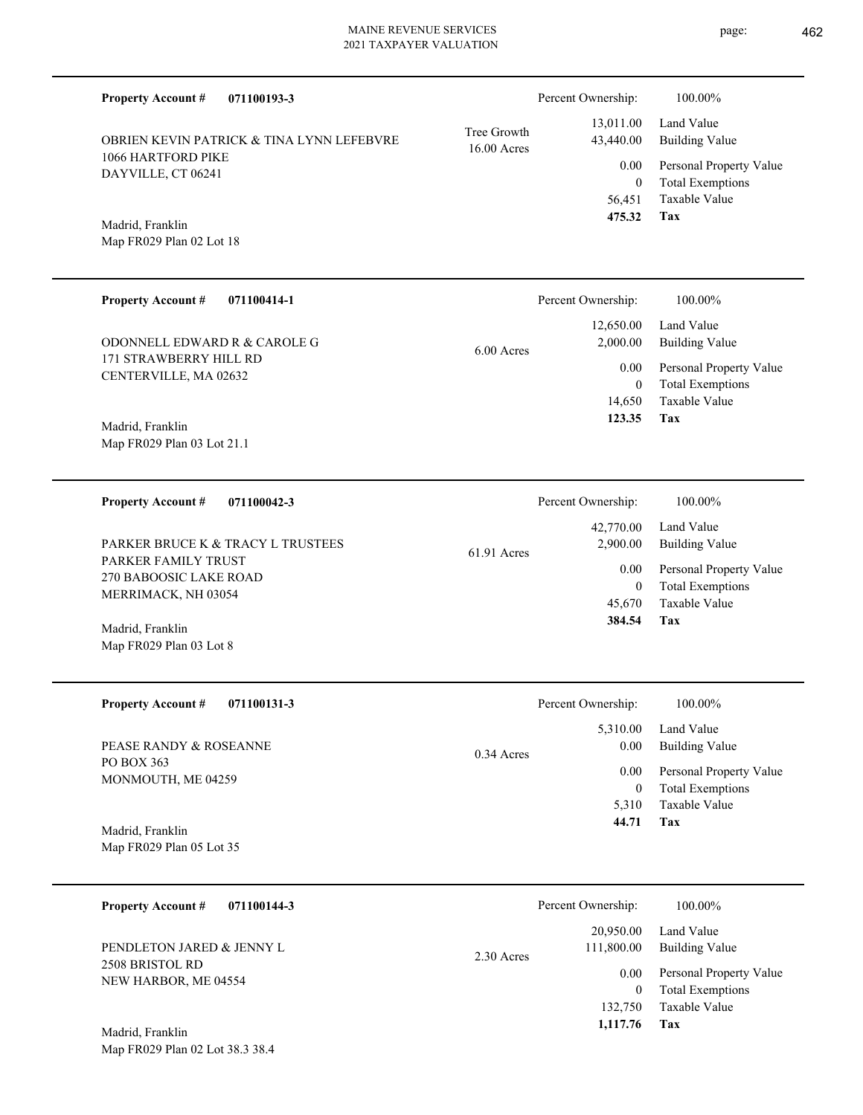| <b>Property Account #</b><br>071100193-3        |                            | Percent Ownership:       | 100.00%                                            |
|-------------------------------------------------|----------------------------|--------------------------|----------------------------------------------------|
| OBRIEN KEVIN PATRICK & TINA LYNN LEFEBVRE       | Tree Growth<br>16.00 Acres | 13,011.00<br>43,440.00   | Land Value<br><b>Building Value</b>                |
| 1066 HARTFORD PIKE<br>DAYVILLE, CT 06241        |                            | 0.00<br>$\mathbf{0}$     | Personal Property Value<br><b>Total Exemptions</b> |
| Madrid, Franklin<br>Map FR029 Plan 02 Lot 18    |                            | 56,451<br>475.32         | <b>Taxable Value</b><br>Tax                        |
| <b>Property Account #</b><br>071100414-1        |                            | Percent Ownership:       | 100.00%                                            |
| ODONNELL EDWARD R & CAROLE G                    | 6.00 Acres                 | 12,650.00<br>2,000.00    | Land Value<br><b>Building Value</b>                |
| 171 STRAWBERRY HILL RD<br>CENTERVILLE, MA 02632 |                            | 0.00<br>$\mathbf{0}$     | Personal Property Value<br><b>Total Exemptions</b> |
| Madrid, Franklin                                |                            | 14,650<br>123.35         | Taxable Value<br>Tax                               |
| Map FR029 Plan 03 Lot 21.1                      |                            |                          |                                                    |
| <b>Property Account #</b><br>071100042-3        |                            | Percent Ownership:       | 100.00%                                            |
| PARKER BRUCE K & TRACY L TRUSTEES               | 61.91 Acres                | 42,770.00<br>2,900.00    | Land Value<br><b>Building Value</b>                |
| PARKER FAMILY TRUST<br>270 BABOOSIC LAKE ROAD   |                            | 0.00<br>$\boldsymbol{0}$ | Personal Property Value<br><b>Total Exemptions</b> |
| MERRIMACK, NH 03054                             |                            | 45,670<br>384.54         | Taxable Value<br>Tax                               |
| Madrid, Franklin<br>Map FR029 Plan 03 Lot 8     |                            |                          |                                                    |
| <b>Property Account #</b><br>071100131-3        |                            | Percent Ownership:       | 100.00%                                            |
| PEASE RANDY & ROSEANNE                          | $0.34$ Acres               | 5,310.00<br>0.00         | Land Value<br><b>Building Value</b>                |
| PO BOX 363<br>MONMOUTH, ME 04259                |                            | 0.00<br>$\boldsymbol{0}$ | Personal Property Value<br><b>Total Exemptions</b> |
|                                                 |                            | 5,310<br>44.71           | Taxable Value<br>Tax                               |
| Madrid, Franklin<br>Map FR029 Plan 05 Lot 35    |                            |                          |                                                    |
| 071100144-3<br><b>Property Account #</b>        |                            | Percent Ownership:       | 100.00%                                            |
| PENDLETON JARED & JENNY L                       | 2.30 Acres                 | 20,950.00<br>111,800.00  | Land Value<br><b>Building Value</b>                |
| 2508 BRISTOL RD<br>NEW HARBOR, ME 04554         |                            | 0.00                     | Personal Property Value                            |
|                                                 |                            | $\mathbf{0}$<br>132,750  | <b>Total Exemptions</b><br>Taxable Value           |
| Madrid, Franklin                                |                            | 1,117.76                 | Tax                                                |

Map FR029 Plan 02 Lot 38.3 38.4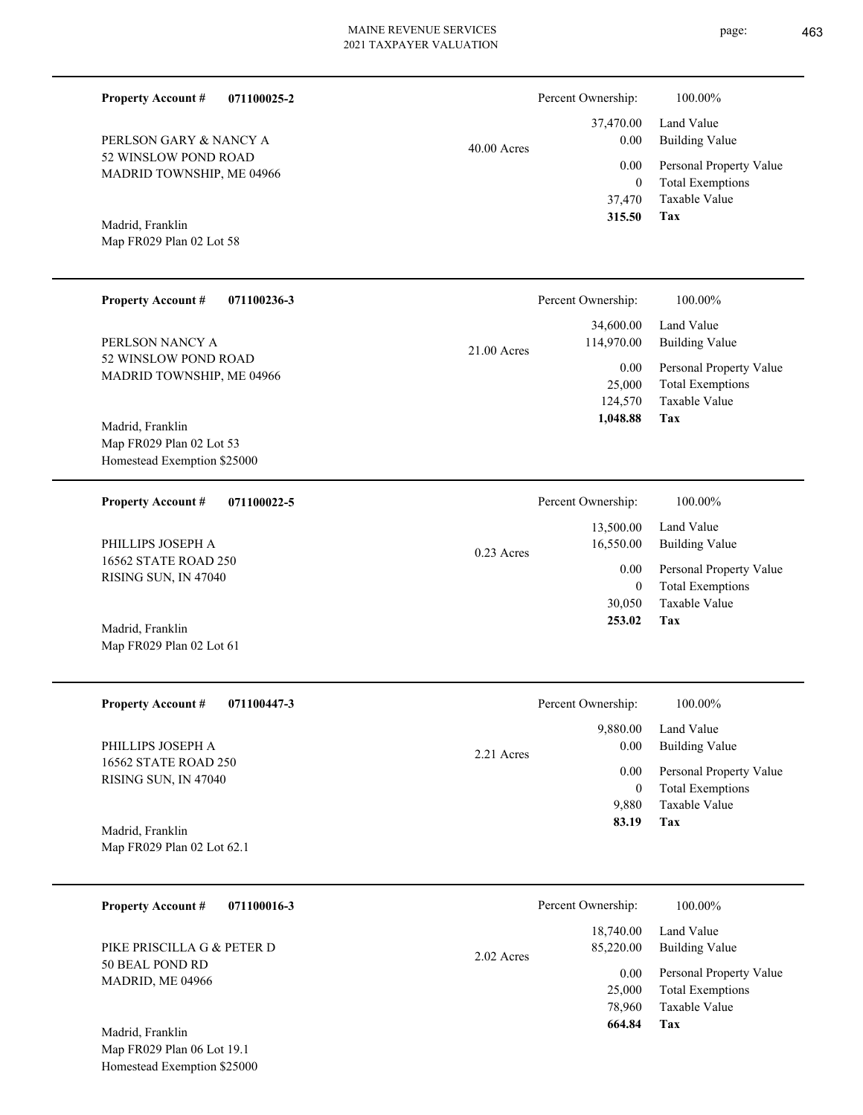page: 463

| <b>Property Account #</b><br>071100025-2                                      |               | Percent Ownership:                       | 100.00%                                                                           |
|-------------------------------------------------------------------------------|---------------|------------------------------------------|-----------------------------------------------------------------------------------|
| PERLSON GARY & NANCY A                                                        | $40.00$ Acres | 37,470.00<br>0.00                        | Land Value<br><b>Building Value</b>                                               |
| 52 WINSLOW POND ROAD<br>MADRID TOWNSHIP, ME 04966                             |               | 0.00<br>$\mathbf{0}$<br>37,470<br>315.50 | Personal Property Value<br><b>Total Exemptions</b><br>Taxable Value<br><b>Tax</b> |
| Madrid, Franklin<br>Map FR029 Plan 02 Lot 58                                  |               |                                          |                                                                                   |
| <b>Property Account #</b><br>071100236-3                                      |               | Percent Ownership:                       | 100.00%                                                                           |
| PERLSON NANCY A                                                               | 21.00 Acres   | 34,600.00<br>114,970.00                  | Land Value<br><b>Building Value</b>                                               |
| 52 WINSLOW POND ROAD<br>MADRID TOWNSHIP, ME 04966<br>Madrid, Franklin         |               | 0.00<br>25,000<br>124,570<br>1,048.88    | Personal Property Value<br><b>Total Exemptions</b><br>Taxable Value<br>Tax        |
| Map FR029 Plan 02 Lot 53<br>Homestead Exemption \$25000                       |               |                                          |                                                                                   |
| <b>Property Account #</b><br>071100022-5                                      |               | Percent Ownership:                       | 100.00%                                                                           |
| PHILLIPS JOSEPH A                                                             | $0.23$ Acres  | 13,500.00<br>16,550.00                   | Land Value<br><b>Building Value</b>                                               |
| 16562 STATE ROAD 250<br>RISING SUN, IN 47040                                  |               | 0.00<br>$\mathbf{0}$<br>30,050<br>253.02 | Personal Property Value<br><b>Total Exemptions</b><br>Taxable Value<br>Tax        |
| Madrid, Franklin<br>Map FR029 Plan 02 Lot 61                                  |               |                                          |                                                                                   |
| <b>Property Account #</b><br>071100447-3                                      |               | Percent Ownership:                       | $100.00\%$                                                                        |
| PHILLIPS JOSEPH A                                                             | 2.21 Acres    | 9,880.00<br>0.00                         | Land Value<br><b>Building Value</b>                                               |
| 16562 STATE ROAD 250<br>RISING SUN, IN 47040<br>Madrid, Franklin              |               | 0.00<br>$\overline{0}$<br>9,880<br>83.19 | Personal Property Value<br><b>Total Exemptions</b><br>Taxable Value<br>Tax        |
| Map FR029 Plan 02 Lot 62.1                                                    |               |                                          |                                                                                   |
| <b>Property Account #</b><br>071100016-3                                      |               | Percent Ownership:                       | 100.00%                                                                           |
| PIKE PRISCILLA G & PETER D                                                    | 2.02 Acres    | 18,740.00<br>85,220.00                   | Land Value<br><b>Building Value</b>                                               |
| 50 BEAL POND RD<br>MADRID, ME 04966                                           |               | 0.00<br>25,000<br>78,960<br>664.84       | Personal Property Value<br><b>Total Exemptions</b><br>Taxable Value<br><b>Tax</b> |
| Madrid, Franklin<br>Map FR029 Plan 06 Lot 19.1<br>Homestead Exemption \$25000 |               |                                          |                                                                                   |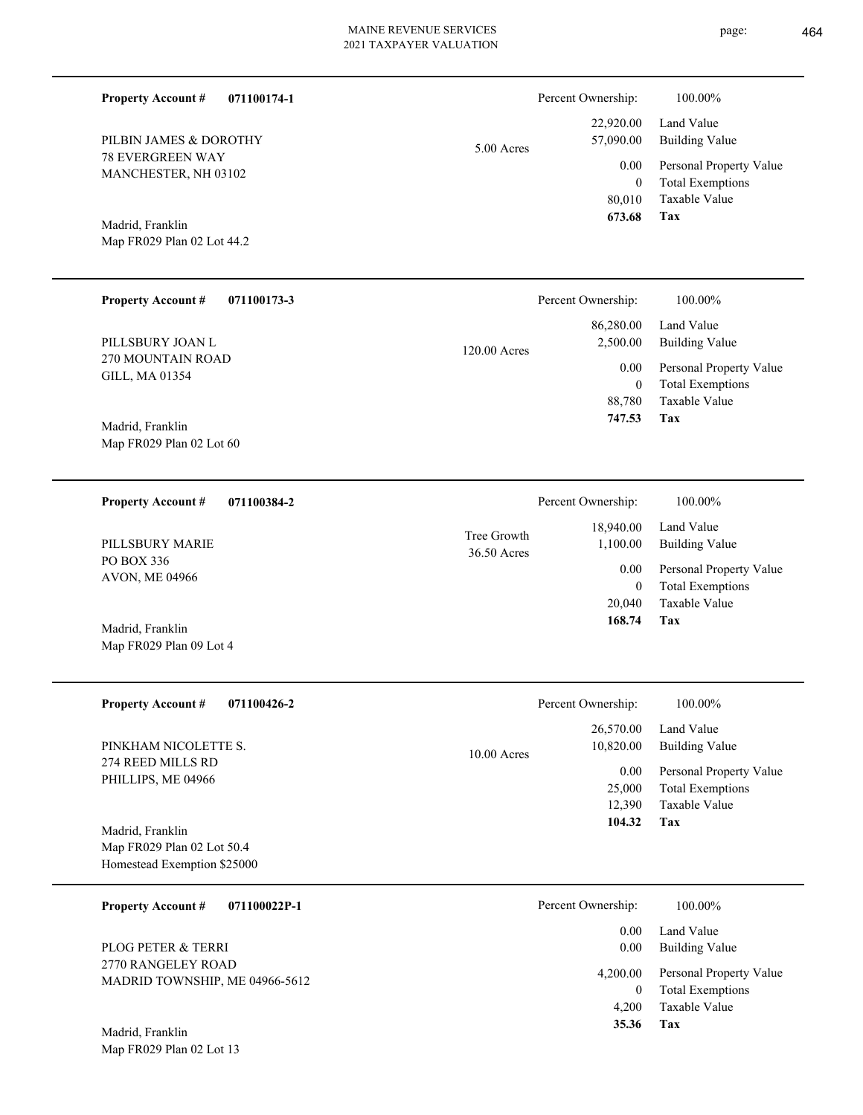| <b>Property Account #</b><br>071100174-1                                      |                            | Percent Ownership:                 | 100.00%                                                                    |
|-------------------------------------------------------------------------------|----------------------------|------------------------------------|----------------------------------------------------------------------------|
| PILBIN JAMES & DOROTHY                                                        | 5.00 Acres                 | 22,920.00<br>57,090.00             | Land Value<br><b>Building Value</b>                                        |
| <b>78 EVERGREEN WAY</b><br>MANCHESTER, NH 03102                               |                            | 0.00<br>$\mathbf{0}$<br>80,010     | Personal Property Value<br><b>Total Exemptions</b><br>Taxable Value        |
| Madrid, Franklin<br>Map FR029 Plan 02 Lot 44.2                                |                            | 673.68                             | <b>Tax</b>                                                                 |
| <b>Property Account #</b><br>071100173-3                                      |                            | Percent Ownership:                 | 100.00%                                                                    |
| PILLSBURY JOAN L                                                              | 120.00 Acres               | 86,280.00<br>2,500.00              | Land Value<br><b>Building Value</b>                                        |
| 270 MOUNTAIN ROAD<br>GILL, MA 01354                                           |                            | 0.00<br>$\mathbf{0}$<br>88,780     | Personal Property Value<br><b>Total Exemptions</b><br>Taxable Value        |
| Madrid, Franklin<br>Map FR029 Plan 02 Lot 60                                  |                            | 747.53                             | Tax                                                                        |
| 071100384-2<br><b>Property Account #</b>                                      |                            | Percent Ownership:                 | 100.00%                                                                    |
| PILLSBURY MARIE                                                               | Tree Growth<br>36.50 Acres | 18,940.00<br>1,100.00              | Land Value<br><b>Building Value</b>                                        |
| PO BOX 336<br>AVON, ME 04966                                                  |                            | 0.00<br>$\mathbf{0}$               | Personal Property Value<br><b>Total Exemptions</b>                         |
| Madrid, Franklin<br>Map FR029 Plan 09 Lot 4                                   |                            | 20,040<br>168.74                   | Taxable Value<br>Tax                                                       |
| <b>Property Account #</b><br>071100426-2                                      |                            | Percent Ownership:                 | 100.00%                                                                    |
| PINKHAM NICOLETTE S.                                                          | 10.00 Acres                | 26,570.00<br>10,820.00             | Land Value<br><b>Building Value</b>                                        |
| 274 REED MILLS RD<br>PHILLIPS, ME 04966                                       |                            | 0.00<br>25,000<br>12,390<br>104.32 | Personal Property Value<br><b>Total Exemptions</b><br>Taxable Value<br>Tax |
| Madrid, Franklin<br>Map FR029 Plan 02 Lot 50.4<br>Homestead Exemption \$25000 |                            |                                    |                                                                            |
| <b>Property Account #</b><br>071100022P-1                                     |                            | Percent Ownership:                 | 100.00%                                                                    |
| PLOG PETER & TERRI                                                            |                            | 0.00<br>0.00                       | Land Value<br><b>Building Value</b>                                        |
| 2770 RANGELEY ROAD<br>MADRID TOWNSHIP, ME 04966-5612                          |                            | 4,200.00<br>$\overline{0}$         | Personal Property Value<br><b>Total Exemptions</b>                         |
| Madrid, Franklin<br>Map FR029 Plan 02 Lot 13                                  |                            | 4,200<br>35.36                     | Taxable Value<br>Tax                                                       |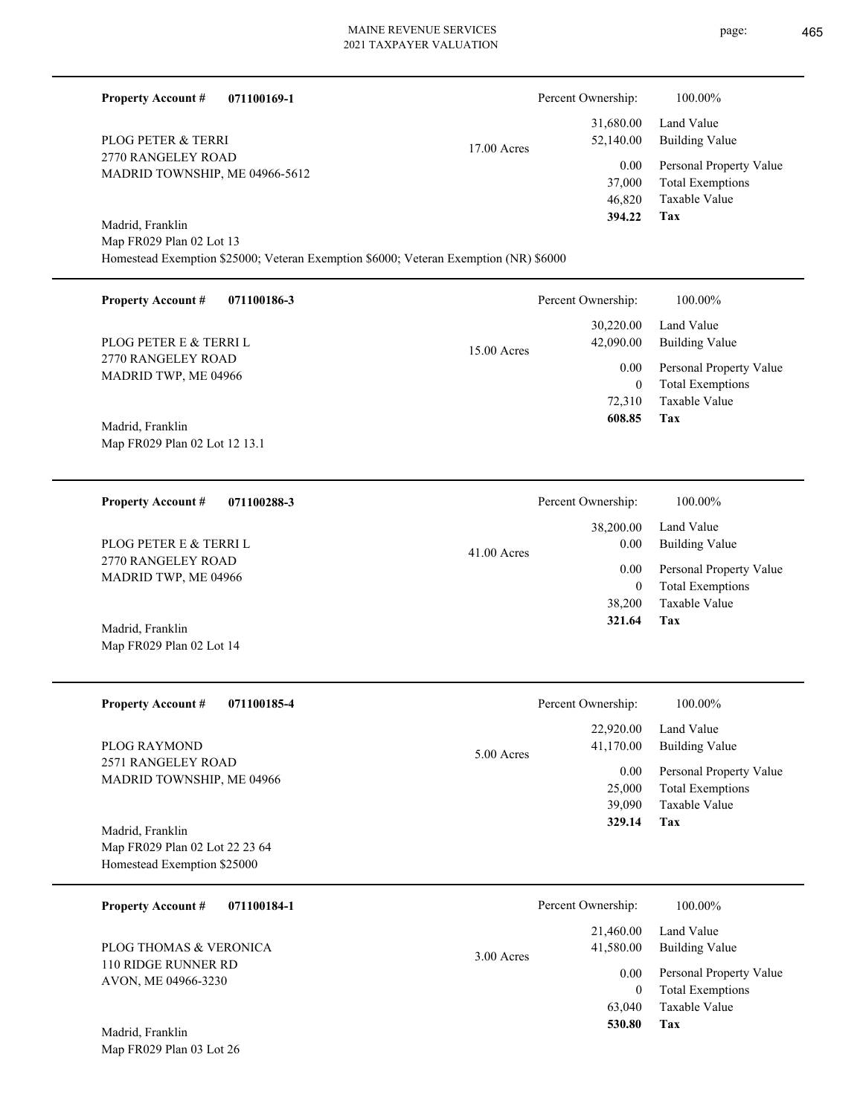| <b>Property Account #</b><br>071100169-1                                                                                             |             | Percent Ownership:                       | 100.00%                                                                    |
|--------------------------------------------------------------------------------------------------------------------------------------|-------------|------------------------------------------|----------------------------------------------------------------------------|
| PLOG PETER & TERRI                                                                                                                   | 17.00 Acres | 31,680.00<br>52,140.00                   | Land Value<br><b>Building Value</b>                                        |
| 2770 RANGELEY ROAD<br>MADRID TOWNSHIP, ME 04966-5612                                                                                 |             | 0.00<br>37,000<br>46,820<br>394.22       | Personal Property Value<br><b>Total Exemptions</b><br>Taxable Value<br>Tax |
| Madrid, Franklin<br>Map FR029 Plan 02 Lot 13<br>Homestead Exemption \$25000; Veteran Exemption \$6000; Veteran Exemption (NR) \$6000 |             |                                          |                                                                            |
| <b>Property Account #</b><br>071100186-3                                                                                             |             | Percent Ownership:                       | 100.00%                                                                    |
| PLOG PETER E & TERRI L                                                                                                               | 15.00 Acres | 30,220.00<br>42,090.00                   | Land Value<br><b>Building Value</b>                                        |
| 2770 RANGELEY ROAD<br>MADRID TWP, ME 04966                                                                                           |             | 0.00<br>$\mathbf{0}$<br>72,310           | Personal Property Value<br><b>Total Exemptions</b><br>Taxable Value        |
| Madrid, Franklin<br>Map FR029 Plan 02 Lot 12 13.1                                                                                    |             | 608.85                                   | Tax                                                                        |
| <b>Property Account #</b><br>071100288-3                                                                                             |             | Percent Ownership:                       | 100.00%                                                                    |
| PLOG PETER E & TERRI L                                                                                                               | 41.00 Acres | 38,200.00<br>0.00                        | Land Value<br><b>Building Value</b>                                        |
| 2770 RANGELEY ROAD<br>MADRID TWP, ME 04966                                                                                           |             | 0.00<br>$\boldsymbol{0}$<br>38,200       | Personal Property Value<br><b>Total Exemptions</b><br>Taxable Value        |
| Madrid, Franklin<br>Map FR029 Plan 02 Lot 14                                                                                         |             | 321.64                                   | Tax                                                                        |
| <b>Property Account #</b><br>071100185-4                                                                                             |             | Percent Ownership:                       | 100.00%                                                                    |
| PLOG RAYMOND                                                                                                                         | 5.00 Acres  | 22,920.00<br>41,170.00                   | Land Value<br><b>Building Value</b>                                        |
| 2571 RANGELEY ROAD<br>MADRID TOWNSHIP, ME 04966                                                                                      |             | 0.00<br>25,000<br>39,090<br>329.14       | Personal Property Value<br><b>Total Exemptions</b><br>Taxable Value<br>Tax |
| Madrid, Franklin<br>Map FR029 Plan 02 Lot 22 23 64<br>Homestead Exemption \$25000                                                    |             |                                          |                                                                            |
| <b>Property Account #</b><br>071100184-1                                                                                             |             | Percent Ownership:                       | 100.00%                                                                    |
| PLOG THOMAS & VERONICA                                                                                                               | 3.00 Acres  | 21,460.00<br>41,580.00                   | Land Value<br><b>Building Value</b>                                        |
| 110 RIDGE RUNNER RD<br>AVON, ME 04966-3230                                                                                           |             | 0.00<br>$\mathbf{0}$<br>63,040<br>530.80 | Personal Property Value<br><b>Total Exemptions</b><br>Taxable Value<br>Tax |
| Madrid, Franklin<br>Map FR029 Plan 03 Lot 26                                                                                         |             |                                          |                                                                            |

 $\overline{\phantom{0}}$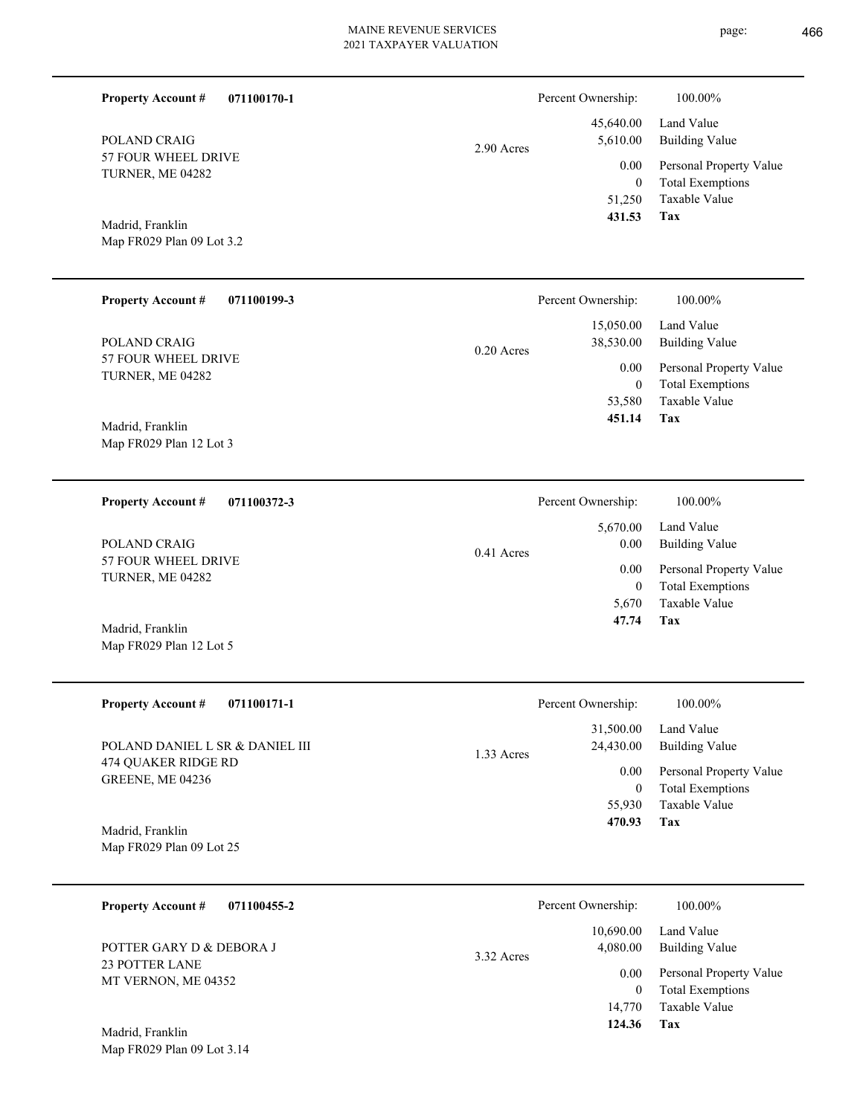**071100170-1**

**Property Account #**

Percent Ownership:  $100.00\%$ 

| POLAND CRAIG<br>57 FOUR WHEEL DRIVE<br>TURNER, ME 04282<br>Madrid, Franklin<br>Map FR029 Plan 09 Lot 3.2 | 2.90 Acres   | 45,640.00<br>5,610.00<br>0.00<br>$\boldsymbol{0}$<br>51,250<br>431.53 | Land Value<br><b>Building Value</b><br>Personal Property Value<br><b>Total Exemptions</b><br>Taxable Value<br><b>Tax</b> |
|----------------------------------------------------------------------------------------------------------|--------------|-----------------------------------------------------------------------|--------------------------------------------------------------------------------------------------------------------------|
| <b>Property Account #</b><br>071100199-3                                                                 |              | Percent Ownership:                                                    | 100.00%                                                                                                                  |
| POLAND CRAIG<br>57 FOUR WHEEL DRIVE<br>TURNER, ME 04282                                                  | $0.20$ Acres | 15,050.00<br>38,530.00<br>0.00<br>$\boldsymbol{0}$                    | Land Value<br><b>Building Value</b><br>Personal Property Value<br><b>Total Exemptions</b>                                |
| Madrid, Franklin<br>Map FR029 Plan 12 Lot 3                                                              |              | 53,580<br>451.14                                                      | Taxable Value<br>Tax                                                                                                     |
| 071100372-3<br><b>Property Account #</b>                                                                 |              | Percent Ownership:                                                    | 100.00%                                                                                                                  |
| POLAND CRAIG                                                                                             | 0.41 Acres   | 5,670.00<br>0.00                                                      | Land Value<br><b>Building Value</b>                                                                                      |
| 57 FOUR WHEEL DRIVE<br>TURNER, ME 04282                                                                  |              | 0.00<br>$\boldsymbol{0}$<br>5,670<br>47.74                            | Personal Property Value<br><b>Total Exemptions</b><br>Taxable Value<br>Tax                                               |
| Madrid, Franklin<br>Map FR029 Plan 12 Lot 5                                                              |              |                                                                       |                                                                                                                          |
| <b>Property Account #</b><br>071100171-1                                                                 |              | Percent Ownership:                                                    | 100.00%                                                                                                                  |
| POLAND DANIEL L SR & DANIEL III                                                                          | 1.33 Acres   | 31,500.00<br>24,430.00                                                | Land Value<br><b>Building Value</b>                                                                                      |
| 474 QUAKER RIDGE RD<br>GREENE, ME 04236                                                                  |              | 0.00<br>$\overline{0}$<br>55,930<br>470.93                            | Personal Property Value<br><b>Total Exemptions</b><br>Taxable Value<br><b>Tax</b>                                        |
| Madrid, Franklin<br>Map FR029 Plan 09 Lot 25                                                             |              |                                                                       |                                                                                                                          |
| <b>Property Account #</b><br>071100455-2                                                                 |              | Percent Ownership:                                                    | 100.00%                                                                                                                  |
| POTTER GARY D & DEBORA J                                                                                 | 3.32 Acres   | 10,690.00<br>4,080.00                                                 | Land Value<br><b>Building Value</b>                                                                                      |
| 23 POTTER LANE<br>MT VERNON, ME 04352                                                                    |              | 0.00<br>$\overline{0}$<br>14,770                                      | Personal Property Value<br><b>Total Exemptions</b><br>Taxable Value                                                      |
| Madrid, Franklin<br>Map FR029 Plan 09 Lot 3.14                                                           |              | 124.36                                                                | Tax                                                                                                                      |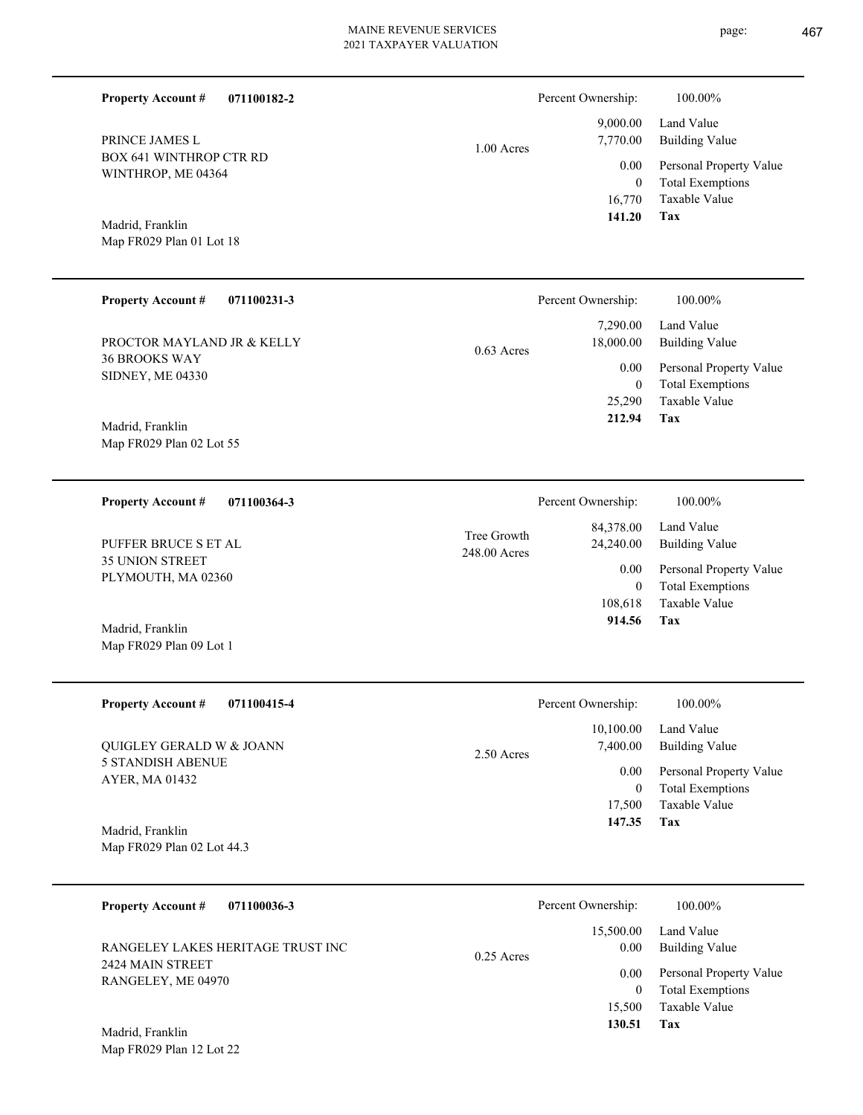page: 467

| <b>Property Account #</b><br>PRINCE JAMES L<br><b>BOX 641 WINTHROP CTR RD</b><br>WINTHROP, ME 04364<br>Madrid, Franklin<br>Map FR029 Plan 01 Lot 18      | 071100182-2                                      | $1.00$ Acres                | Percent Ownership:<br>9,000.00<br>7,770.00<br>0.00<br>$\overline{0}$<br>16,770<br>141.20      | 100.00%<br>Land Value<br><b>Building Value</b><br>Personal Property Value<br><b>Total Exemptions</b><br>Taxable Value<br><b>Tax</b> |
|----------------------------------------------------------------------------------------------------------------------------------------------------------|--------------------------------------------------|-----------------------------|-----------------------------------------------------------------------------------------------|-------------------------------------------------------------------------------------------------------------------------------------|
| <b>Property Account #</b><br>PROCTOR MAYLAND JR & KELLY<br><b>36 BROOKS WAY</b><br>SIDNEY, ME 04330<br>Madrid, Franklin<br>Map FR029 Plan 02 Lot 55      | 071100231-3                                      | $0.63$ Acres                | Percent Ownership:<br>7,290.00<br>18,000.00<br>0.00<br>$\mathbf{0}$<br>25,290<br>212.94       | 100.00%<br>Land Value<br><b>Building Value</b><br>Personal Property Value<br><b>Total Exemptions</b><br>Taxable Value<br><b>Tax</b> |
| <b>Property Account #</b><br>PUFFER BRUCE S ET AL<br><b>35 UNION STREET</b><br>PLYMOUTH, MA 02360<br>Madrid, Franklin<br>Map FR029 Plan 09 Lot 1         | 071100364-3                                      | Tree Growth<br>248.00 Acres | Percent Ownership:<br>84,378.00<br>24,240.00<br>0.00<br>$\mathbf{0}$<br>108,618<br>914.56     | 100.00%<br>Land Value<br><b>Building Value</b><br>Personal Property Value<br><b>Total Exemptions</b><br>Taxable Value<br>Tax        |
| <b>Property Account #</b><br>QUIGLEY GERALD W $\&$ JOANN<br><b>5 STANDISH ABENUE</b><br>AYER, MA 01432<br>Madrid, Franklin<br>Map FR029 Plan 02 Lot 44.3 | 071100415-4                                      | 2.50 Acres                  | Percent Ownership:<br>10,100.00<br>7,400.00<br>$0.00\,$<br>$\overline{0}$<br>17,500<br>147.35 | 100.00%<br>Land Value<br><b>Building Value</b><br>Personal Property Value<br><b>Total Exemptions</b><br>Taxable Value<br>Tax        |
| <b>Property Account #</b><br>2424 MAIN STREET<br>RANGELEY, ME 04970<br>Madrid, Franklin<br>Map FR029 Plan 12 Lot 22                                      | 071100036-3<br>RANGELEY LAKES HERITAGE TRUST INC | $0.25$ Acres                | Percent Ownership:<br>15,500.00<br>$0.00\,$<br>$0.00\,$<br>$\overline{0}$<br>15,500<br>130.51 | 100.00%<br>Land Value<br><b>Building Value</b><br>Personal Property Value<br><b>Total Exemptions</b><br>Taxable Value<br>Tax        |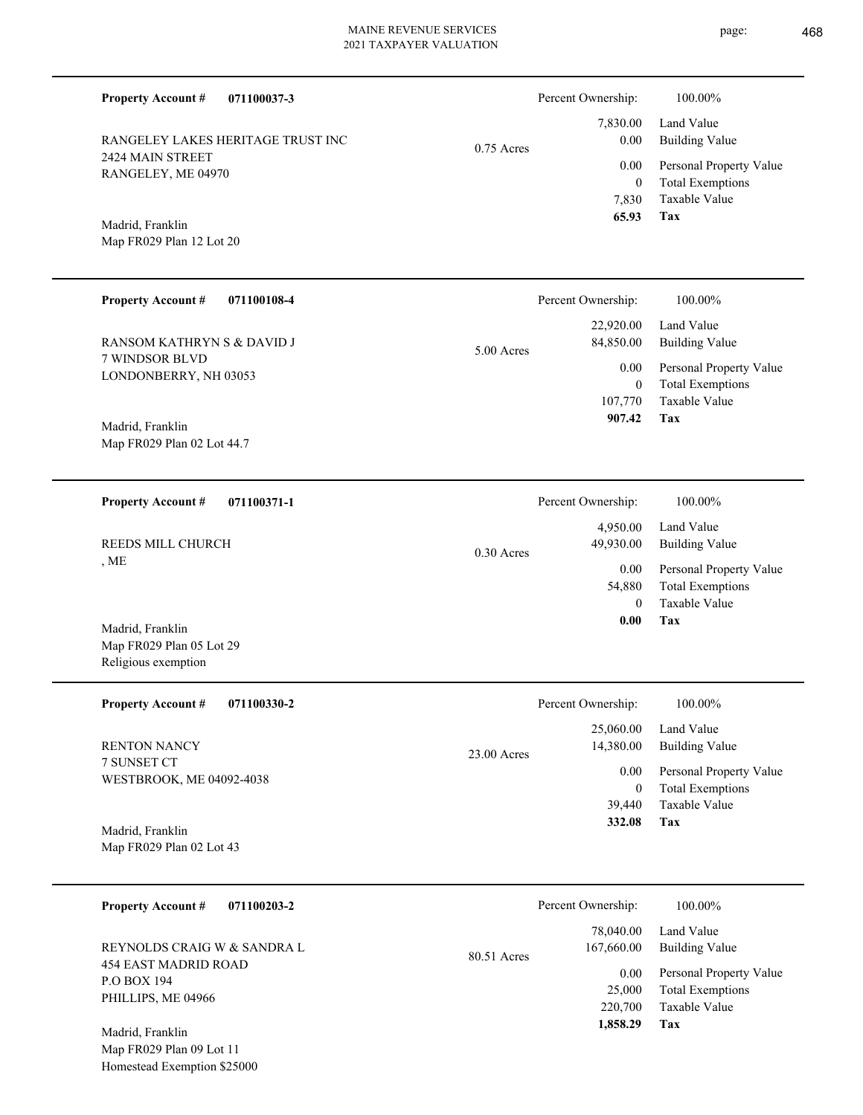**071100037-3 Tax** Taxable Value Total Exemptions Personal Property Value Building Value Land Value 2424 MAIN STREET RANGELEY, ME 04970 **Property Account #** Map FR029 Plan 12 Lot 20 Madrid, Franklin RANGELEY LAKES HERITAGE TRUST INC 7,830 0  **65.93** 7,830.00 0.00 0.00 0.75 Acres Percent Ownership:  $100.00\%$ **071100108-4 Tax** Taxable Value Total Exemptions Personal Property Value Building Value Land Value 7 WINDSOR BLVD LONDONBERRY, NH 03053 **Property Account #** Map FR029 Plan 02 Lot 44.7 Madrid, Franklin RANSOM KATHRYN S & DAVID J 107,770 0  **907.42** 22,920.00 84,850.00 0.00 5.00 Acres Percent Ownership:  $100.00\%$ **071100371-1 Tax** Taxable Value Total Exemptions Personal Property Value Building Value Land Value , ME **Property Account #** Map FR029 Plan 05 Lot 29 Religious exemption Madrid, Franklin REEDS MILL CHURCH 0 54,880  **0.00** 4,950.00 49,930.00 0.00 0.30 Acres Percent Ownership:  $100.00\%$ **071100330-2 Tax** Taxable Value Total Exemptions Personal Property Value Building Value Land Value 7 SUNSET CT WESTBROOK, ME 04092-4038 **Property Account #** Map FR029 Plan 02 Lot 43 Madrid, Franklin RENTON NANCY 39,440 0  **332.08** 25,060.00 14,380.00 0.00 23.00 Acres Percent Ownership:  $100.00\%$ **071100203-2 Tax** Taxable Value Total Exemptions Personal Property Value Building Value Land Value 454 EAST MADRID ROAD P.O BOX 194 PHILLIPS, ME 04966 **Property Account #** Madrid, Franklin REYNOLDS CRAIG W & SANDRA L 220,700 25,000  **1,858.29** 78,040.00 167,660.00 0.00 80.51 Acres Percent Ownership:  $100.00\%$ 

Map FR029 Plan 09 Lot 11 Homestead Exemption \$25000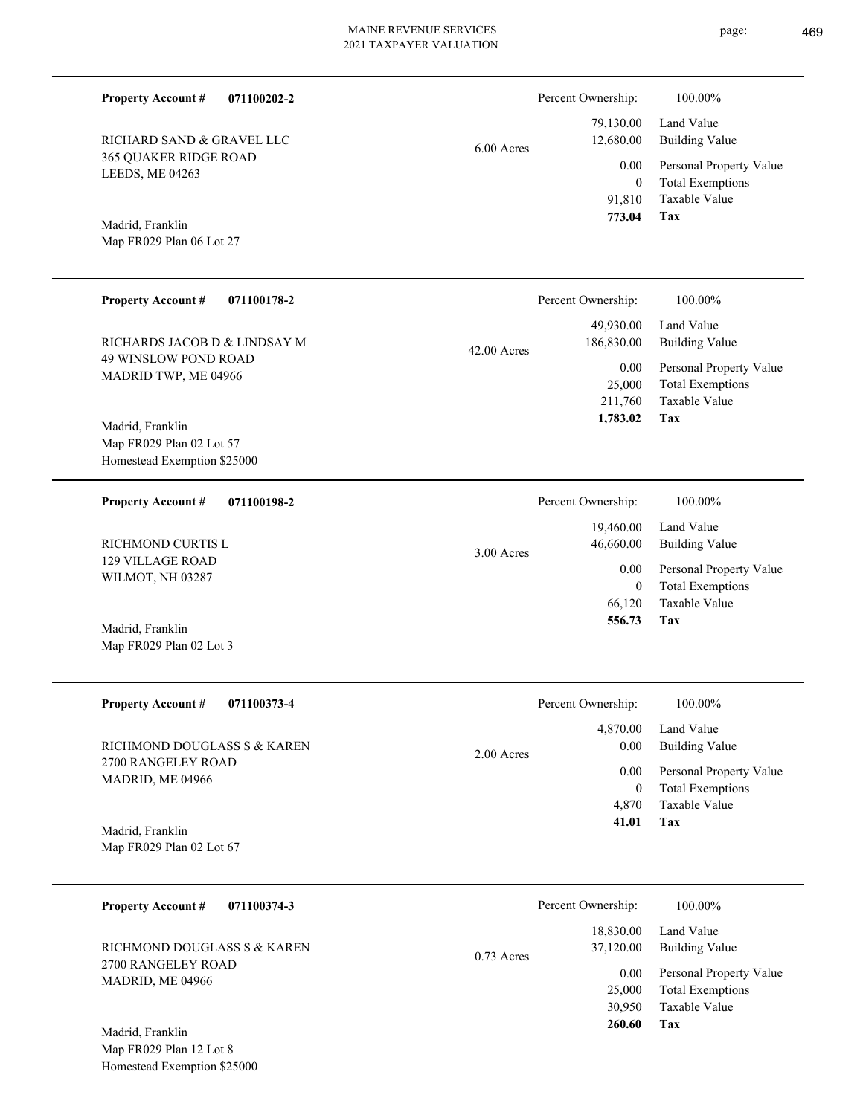6.00 Acres

Madrid, Franklin

365 QUAKER RIDGE ROAD

RICHARD SAND & GRAVEL LLC

LEEDS, ME 04263

**Property Account #**

**071100202-2**

Map FR029 Plan 06 Lot 27

| <b>Property Account #</b>                                   | 071100178-2 |               | Percent Ownership: | 100.00%                 |
|-------------------------------------------------------------|-------------|---------------|--------------------|-------------------------|
|                                                             |             |               | 49,930.00          | Land Value              |
| RICHARDS JACOB D & LINDSAY M<br><b>49 WINSLOW POND ROAD</b> |             | $42.00$ Acres | 186,830.00         | <b>Building Value</b>   |
| MADRID TWP, ME 04966                                        |             |               | 0.00               | Personal Property Value |
|                                                             |             |               | 25,000             | <b>Total Exemptions</b> |
|                                                             |             |               | 211,760            | Taxable Value           |
| Madrid, Franklin                                            |             |               | 1,783.02           | Tax                     |
| Map FR029 Plan 02 Lot 57                                    |             |               |                    |                         |
| Homestead Exemption \$25000                                 |             |               |                    |                         |
| <b>Property Account #</b>                                   | 071100198-2 |               | Percent Ownership: | 100.00%                 |
|                                                             |             |               | 19,460.00          | Land Value              |
| RICHMOND CURTIS L                                           |             | $3.00$ Acres  | 46,660.00          | <b>Building Value</b>   |
| <b>129 VILLAGE ROAD</b>                                     |             |               | 0.00               | Personal Property Value |
| WILMOT, NH 03287                                            |             |               | $\theta$           | <b>Total Exemptions</b> |
|                                                             |             |               | 66,120             | <b>Taxable Value</b>    |
| Madrid, Franklin                                            |             |               | 556.73             | Tax                     |
| Map FR029 Plan 02 Lot 3                                     |             |               |                    |                         |
|                                                             |             |               |                    |                         |
| <b>Property Account #</b>                                   | 071100373-4 |               | Percent Ownership: | 100.00%                 |

2700 RANGELEY ROAD MADRID, ME 04966 RICHMOND DOUGLASS S & KAREN

**Tax** Taxable Value Total Exemptions Personal Property Value Building Value Land Value 4,870 0  **41.01** 4,870.00 0.00 0.00 2.00 Acres

**Tax**

 91,810 0

 79,130.00 12,680.00 0.00

Percent Ownership:  $100.00\%$ 

 **773.04**

Taxable Value Total Exemptions Personal Property Value

Building Value Land Value

Map FR029 Plan 02 Lot 67 Madrid, Franklin

| <b>Property Account #</b><br>071100374-3          | Percent Ownership:                     | 100.00%                             |
|---------------------------------------------------|----------------------------------------|-------------------------------------|
| RICHMOND DOUGLASS S & KAREN<br>2700 RANGELEY ROAD | 18,830.00<br>37,120.00<br>$0.73$ Acres | Land Value<br><b>Building Value</b> |
| MADRID, ME 04966                                  | 0.00                                   | Personal Property Value             |
|                                                   | 25,000                                 | <b>Total Exemptions</b>             |
|                                                   | 30,950                                 | Taxable Value                       |
| Madrid, Franklin                                  | 260.60                                 | Tax                                 |

Map FR029 Plan 12 Lot 8 Homestead Exemption \$25000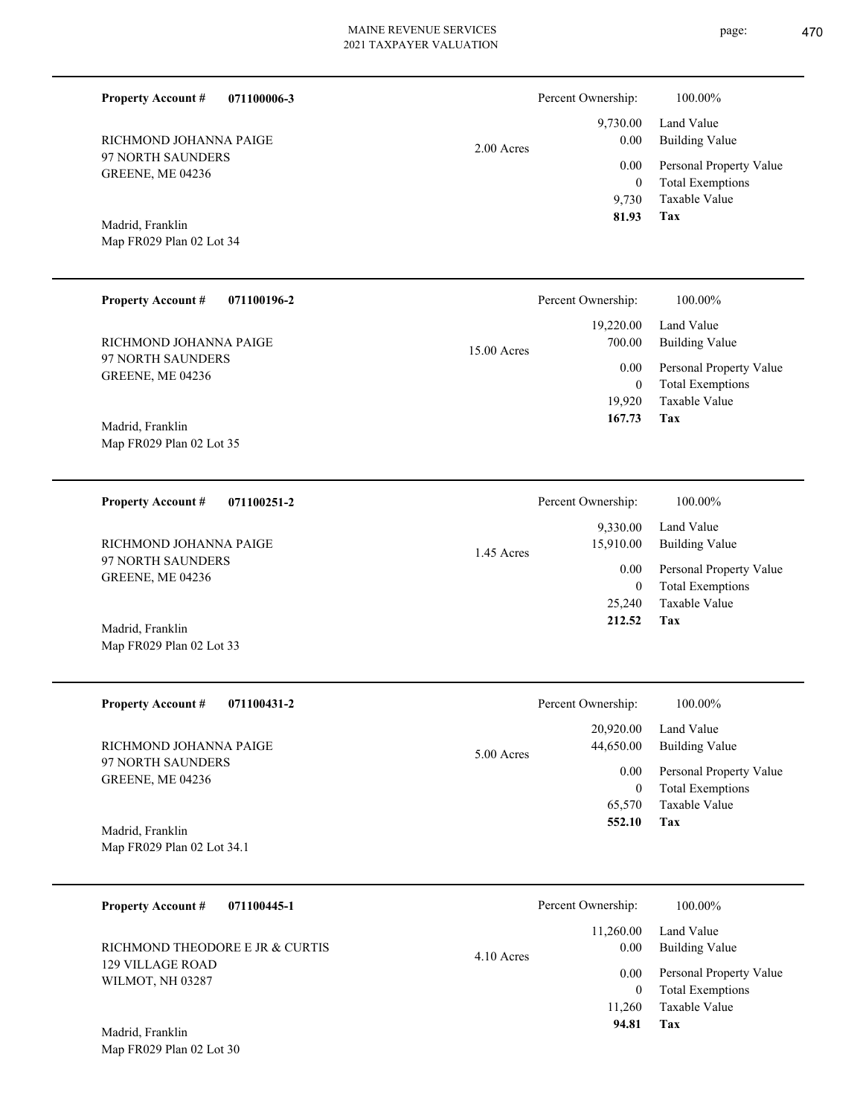| <b>Property Account #</b><br>071100006-3                                                    |             | Percent Ownership:<br>9,730.00            | 100.00%<br>Land Value                                                                        |
|---------------------------------------------------------------------------------------------|-------------|-------------------------------------------|----------------------------------------------------------------------------------------------|
| RICHMOND JOHANNA PAIGE<br>97 NORTH SAUNDERS<br>GREENE, ME 04236                             | 2.00 Acres  | 0.00<br>0.00<br>$\boldsymbol{0}$<br>9,730 | <b>Building Value</b><br>Personal Property Value<br><b>Total Exemptions</b><br>Taxable Value |
| Madrid, Franklin<br>Map FR029 Plan 02 Lot 34                                                |             | 81.93                                     | Tax                                                                                          |
| <b>Property Account #</b><br>071100196-2                                                    |             | Percent Ownership:                        | 100.00%                                                                                      |
| RICHMOND JOHANNA PAIGE                                                                      | 15.00 Acres | 19,220.00<br>700.00                       | Land Value<br><b>Building Value</b>                                                          |
| 97 NORTH SAUNDERS<br>GREENE, ME 04236                                                       |             | 0.00<br>$\overline{0}$                    | Personal Property Value<br><b>Total Exemptions</b>                                           |
| Madrid, Franklin<br>Map FR029 Plan 02 Lot 35                                                |             | 19,920<br>167.73                          | Taxable Value<br>Tax                                                                         |
| <b>Property Account #</b><br>071100251-2                                                    |             | Percent Ownership:                        | 100.00%                                                                                      |
| RICHMOND JOHANNA PAIGE                                                                      | 1.45 Acres  | 9,330.00<br>15,910.00                     | Land Value<br><b>Building Value</b>                                                          |
| 97 NORTH SAUNDERS<br>GREENE, ME 04236                                                       |             | 0.00<br>$\overline{0}$                    | Personal Property Value<br><b>Total Exemptions</b>                                           |
| Madrid, Franklin<br>Map FR029 Plan 02 Lot 33                                                |             | 25,240<br>212.52                          | Taxable Value<br>Tax                                                                         |
| <b>Property Account #</b><br>071100431-2                                                    |             | Percent Ownership:                        | 100.00%                                                                                      |
| RICHMOND JOHANNA PAIGE                                                                      |             | 20,920.00<br>44,650.00                    | Land Value<br><b>Building Value</b>                                                          |
| 97 NORTH SAUNDERS<br>GREENE, ME 04236                                                       | 5.00 Acres  | 0.00<br>$\mathbf{0}$<br>65,570<br>552.10  | Personal Property Value<br><b>Total Exemptions</b><br>Taxable Value<br>Tax                   |
| Madrid, Franklin<br>Map FR029 Plan 02 Lot 34.1                                              |             |                                           |                                                                                              |
| <b>Property Account #</b><br>071100445-1                                                    |             | Percent Ownership:                        | 100.00%                                                                                      |
| RICHMOND THEODORE E JR & CURTIS                                                             | 4.10 Acres  | 11,260.00<br>0.00                         | Land Value<br><b>Building Value</b>                                                          |
| <b>129 VILLAGE ROAD</b><br>WILMOT, NH 03287<br>Madrid, Franklin<br>Map FR029 Plan 02 Lot 30 |             | 0.00<br>$\mathbf{0}$<br>11,260<br>94.81   | Personal Property Value<br><b>Total Exemptions</b><br>Taxable Value<br>Tax                   |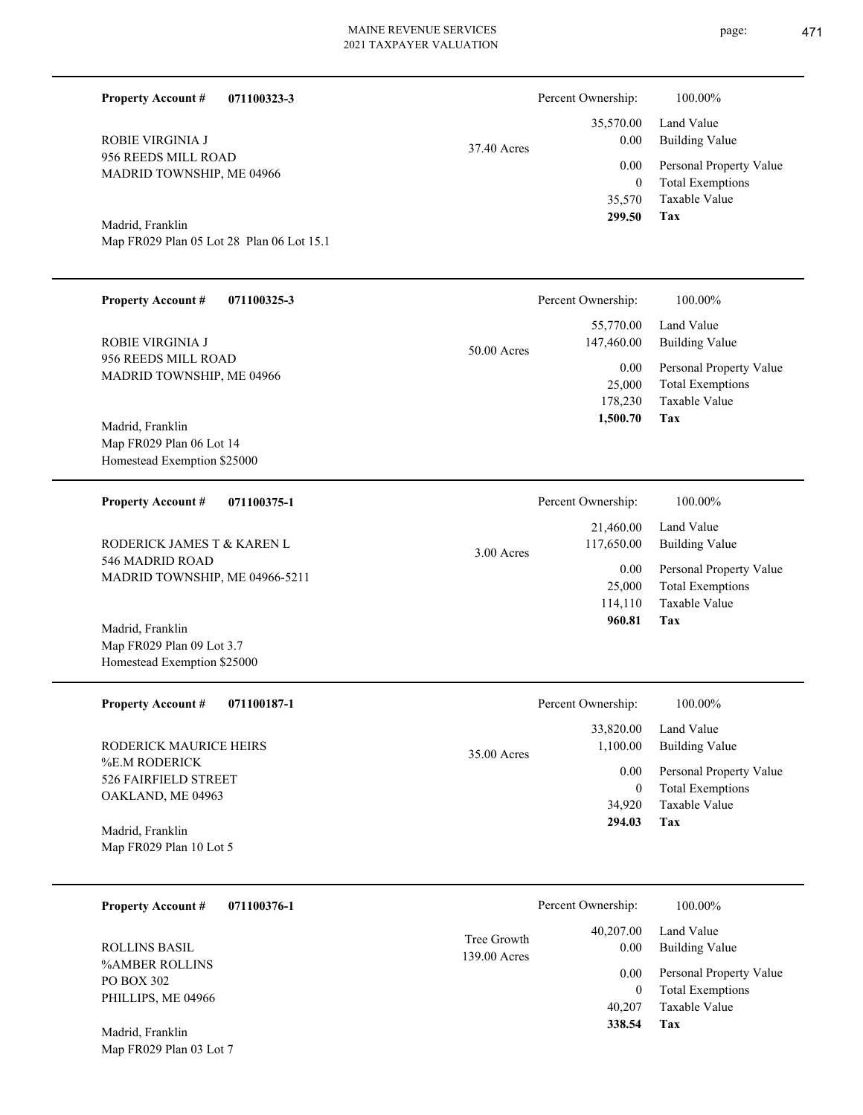| <b>Property Account #</b><br>071100323-3                 |                             | Percent Ownership:              | 100.00%                                  |
|----------------------------------------------------------|-----------------------------|---------------------------------|------------------------------------------|
| ROBIE VIRGINIA J                                         | 37.40 Acres                 | 35,570.00<br>0.00               | Land Value<br><b>Building Value</b>      |
| 956 REEDS MILL ROAD<br>MADRID TOWNSHIP, ME 04966         |                             | 0.00                            | Personal Property Value                  |
|                                                          |                             | $\boldsymbol{0}$<br>35,570      | <b>Total Exemptions</b><br>Taxable Value |
| Madrid, Franklin                                         |                             | 299.50                          | Tax                                      |
| Map FR029 Plan 05 Lot 28 Plan 06 Lot 15.1                |                             |                                 |                                          |
|                                                          |                             |                                 |                                          |
| <b>Property Account #</b><br>071100325-3                 |                             | Percent Ownership:              | 100.00%                                  |
| ROBIE VIRGINIA J                                         |                             | 55,770.00<br>147,460.00         | Land Value<br><b>Building Value</b>      |
| 956 REEDS MILL ROAD                                      | 50.00 Acres                 | 0.00                            | Personal Property Value                  |
| MADRID TOWNSHIP, ME 04966                                |                             | 25,000<br>178,230               | <b>Total Exemptions</b><br>Taxable Value |
| Madrid, Franklin                                         |                             | 1,500.70                        | Tax                                      |
| Map FR029 Plan 06 Lot 14                                 |                             |                                 |                                          |
| Homestead Exemption \$25000                              |                             |                                 |                                          |
| <b>Property Account #</b><br>071100375-1                 |                             | Percent Ownership:              | 100.00%                                  |
| RODERICK JAMES T & KAREN L                               | 3.00 Acres                  | 21,460.00<br>117,650.00         | Land Value<br><b>Building Value</b>      |
| 546 MADRID ROAD<br>MADRID TOWNSHIP, ME 04966-5211        |                             | 0.00                            | Personal Property Value                  |
|                                                          |                             | 25,000<br>114,110               | <b>Total Exemptions</b><br>Taxable Value |
| Madrid, Franklin                                         |                             | 960.81                          | Tax                                      |
| Map FR029 Plan 09 Lot 3.7<br>Homestead Exemption \$25000 |                             |                                 |                                          |
|                                                          |                             |                                 |                                          |
| 071100187-1<br><b>Property Account #</b>                 |                             | Percent Ownership:              | 100.00%                                  |
| RODERICK MAURICE HEIRS                                   | 35.00 Acres                 | 33,820.00<br>1,100.00           | Land Value<br><b>Building Value</b>      |
| %E.M RODERICK<br>526 FAIRFIELD STREET                    |                             | 0.00                            | Personal Property Value                  |
| OAKLAND, ME 04963                                        |                             | $\boldsymbol{0}$<br>34,920      | <b>Total Exemptions</b><br>Taxable Value |
| Madrid, Franklin                                         |                             | 294.03                          | Tax                                      |
| Map FR029 Plan 10 Lot 5                                  |                             |                                 |                                          |
|                                                          |                             |                                 |                                          |
| <b>Property Account #</b><br>071100376-1                 |                             | Percent Ownership:<br>40,207.00 | 100.00%<br>Land Value                    |
| <b>ROLLINS BASIL</b>                                     | Tree Growth<br>139.00 Acres | 0.00                            | <b>Building Value</b>                    |
| %AMBER ROLLINS<br>PO BOX 302                             |                             | 0.00                            | Personal Property Value                  |
| PHILLIPS, ME 04966                                       |                             | $\mathbf{0}$<br>40,207          | <b>Total Exemptions</b><br>Taxable Value |
| Madrid, Franklin                                         |                             | 338.54                          | Tax                                      |
| Map FR029 Plan 03 Lot 7                                  |                             |                                 |                                          |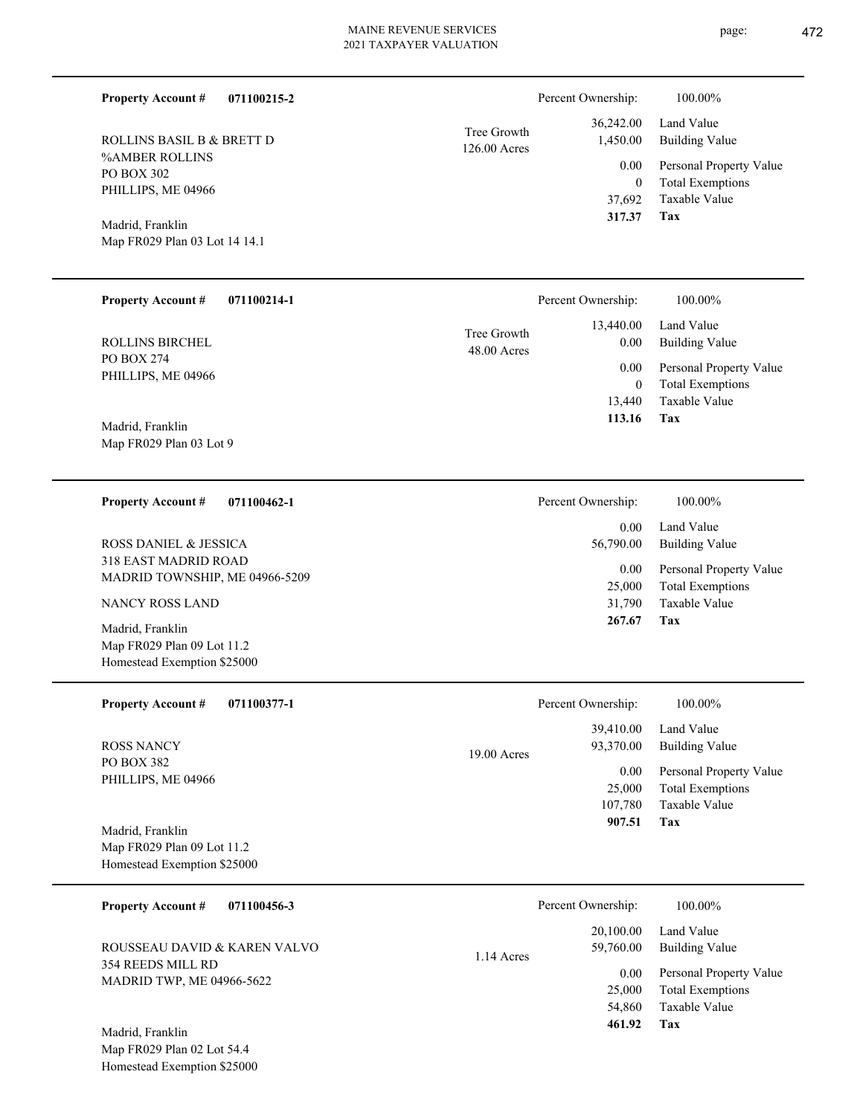Tree Growth

| RULLINS BASIL B & BRETT D     | $126.00$ Acres |  |  |
|-------------------------------|----------------|--|--|
| %AMBER ROLLINS                |                |  |  |
| PO BOX 302                    |                |  |  |
| PHILLIPS, ME 04966            |                |  |  |
| Madrid, Franklin              |                |  |  |
| Map FR029 Plan 03 Lot 14 14.1 |                |  |  |
|                               |                |  |  |
|                               |                |  |  |
|                               |                |  |  |

**071100214-1 Tax** Taxable Value Total Exemptions Personal Property Value Building Value Land Value PO BOX 274 PHILLIPS, ME 04966 **Property Account #** Madrid, Franklin ROLLINS BIRCHEL 13,440 0  **113.16** 13,440.00 0.00 0.00 48.00 Acres Tree Growth Percent Ownership: 100.00%

Map FR029 Plan 03 Lot 9

**Property Account #**

ROLLINS BASIL B & BRETT D

#### **071100462-1 Property Account #**

**071100215-2**

318 EAST MADRID ROAD MADRID TOWNSHIP, ME 04966-5209 ROSS DANIEL & JESSICA

NANCY ROSS LAND

Map FR029 Plan 09 Lot 11.2 Homestead Exemption \$25000 Madrid, Franklin

| <b>Property Account #</b><br>071100377-1 | Percent Ownership:         | 100.00%                 |
|------------------------------------------|----------------------------|-------------------------|
|                                          | 39,410.00                  | Land Value              |
| ROSS NANCY                               | 93,370.00<br>$19.00$ Acres | Building Value          |
| PO BOX 382                               | 0.00                       | Personal Property Value |
| PHILLIPS, ME 04966                       | 25,000                     | <b>Total Exemptions</b> |
|                                          | 107.780                    | Taxable Value           |
| Madrid, Franklin                         | 907.51                     | Tax                     |
| Map FR029 Plan 09 Lot 11.2               |                            |                         |
| Homestead Exemption \$25000              |                            |                         |

| 071100456-3<br><b>Property Account #</b>                             | Percent Ownership:                     | 100.00%                                                             |
|----------------------------------------------------------------------|----------------------------------------|---------------------------------------------------------------------|
| ROUSSEAU DAVID & KAREN VALVO                                         | 20,100.00<br>59,760.00<br>$1.14$ Acres | Land Value<br>Building Value                                        |
| 354 REEDS MILL RD<br><b>MADRID TWP, ME 04966-5622</b>                | 0.00<br>25,000                         | Personal Property Value<br><b>Total Exemptions</b><br>Taxable Value |
| Madrid, Franklin<br>$\mathbf{r}$ . The case is a set of $\mathbf{r}$ | 54,860<br>461.92                       | Tax                                                                 |

Map FR029 Plan 02 Lot 54.4 Homestead Exemption \$25000

Land Value 36,242.00 Percent Ownership: 100.00%

|          | 1,450.00 Building Value |
|----------|-------------------------|
| $0.00 -$ | Personal Property Value |
| 0        | <b>Total Exemptions</b> |
| 37,692   | Taxable Value           |
| 317.37   | Tax                     |

**Tax**

 31,790 25,000

 0.00 56,790.00

Percent Ownership:  $100.00\%$ 

0.00

 **267.67**

Taxable Value Total Exemptions Personal Property Value

Building Value Land Value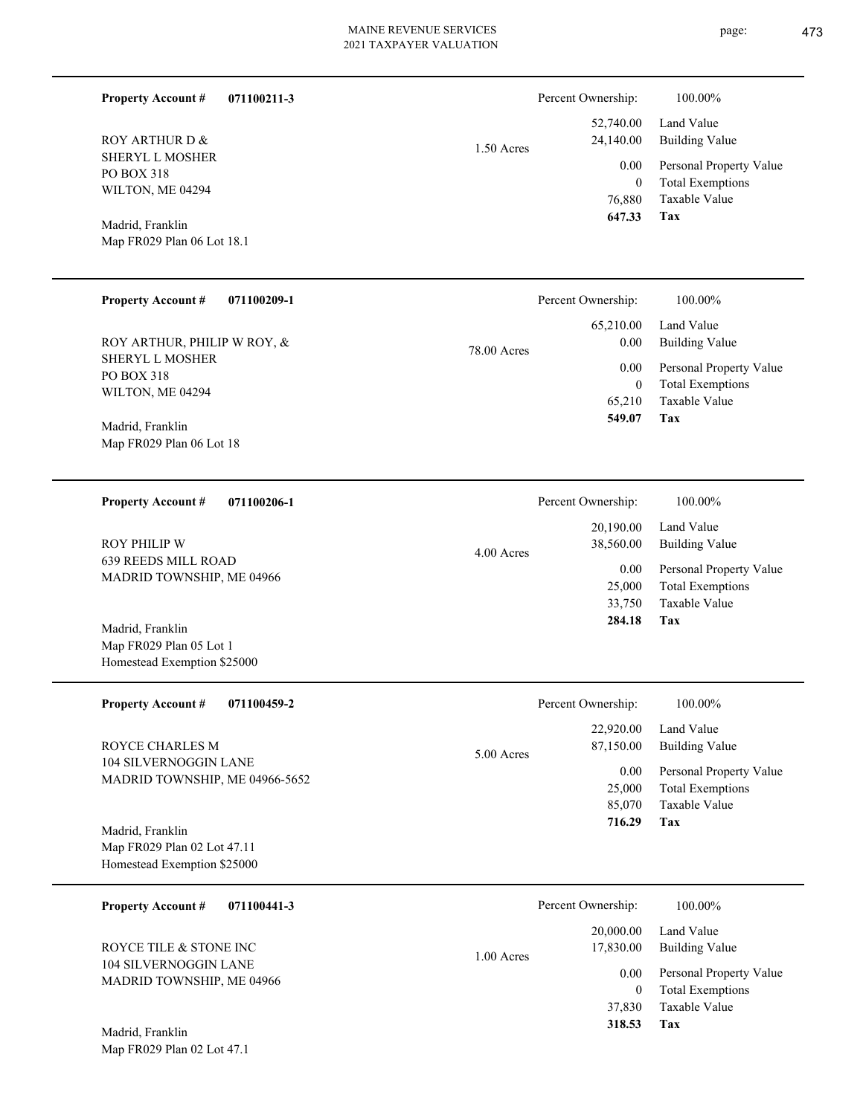1.50 Acres

4.00 Acres

| Property Account # | 071100211- |
|--------------------|------------|
|--------------------|------------|

SHERYL L MOSHER PO BOX 318 WILTON, ME 04294 ROY ARTHUR D &

Map FR029 Plan 06 Lot 18.1 Madrid, Franklin

#### **071100209-1 Property Account #**

SHERYL L MOSHER PO BOX 318 WILTON, ME 04294 ROY ARTHUR, PHILIP W ROY, &

Map FR029 Plan 06 Lot 18 Madrid, Franklin

#### **071100206-1 Property Account #**

639 REEDS MILL ROAD MADRID TOWNSHIP, ME 04966 ROY PHILIP W

Map FR029 Plan 05 Lot 1 Homestead Exemption \$25000 Madrid, Franklin

| <b>Property Account #</b><br>071100459-2                | Percent Ownership:        | 100.00%                 |
|---------------------------------------------------------|---------------------------|-------------------------|
|                                                         | 22,920.00                 | Land Value              |
| ROYCE CHARLES M                                         | 87,150.00<br>$5.00$ Acres | Building Value          |
| 104 SILVERNOGGIN LANE<br>MADRID TOWNSHIP, ME 04966-5652 | 0.00                      | Personal Property Value |
|                                                         | 25,000                    | <b>Total Exemptions</b> |
|                                                         | 85,070                    | Taxable Value           |
| Madrid, Franklin                                        | 716.29                    | Tax                     |
| Map FR029 Plan 02 Lot 47.11                             |                           |                         |
| Homestead Exemption \$25000                             |                           |                         |
|                                                         |                           |                         |

| 071100441-3<br><b>Property Account #</b>                                            |            | Percent Ownership: | 100.00%                 |
|-------------------------------------------------------------------------------------|------------|--------------------|-------------------------|
|                                                                                     |            | 20,000.00          | Land Value              |
| ROYCE TILE & STONE INC<br><b>104 SILVERNOGGIN LANE</b><br>MADRID TOWNSHIP, ME 04966 | 1.00 Acres | 17,830.00          | Building Value          |
|                                                                                     |            | 0.00               | Personal Property Value |
|                                                                                     |            | $\mathbf{0}$       | <b>Total Exemptions</b> |
|                                                                                     |            | 37,830             | Taxable Value           |
| Madrid, Franklin                                                                    |            | 318.53             | Tax                     |
| Map FR029 Plan 02 Lot 47.1                                                          |            |                    |                         |

**3** 

Land Value 52,740.00 Percent Ownership:  $100.00\%$ 

| 24,140.00 Building Value     |
|------------------------------|
| 0.00 Personal Property Value |
| <b>Total Exemptions</b>      |
| Taxable Value                |
| Tax                          |
|                              |

|             | Percent Ownership: | 100.00%                 |
|-------------|--------------------|-------------------------|
| 78.00 Acres | 65,210.00          | Land Value              |
|             | 0.00               | <b>Building Value</b>   |
|             | 0.00               | Personal Property Value |
|             | 0                  | <b>Total Exemptions</b> |
|             | 65,210             | Taxable Value           |
|             | 549.07             | Tax                     |
|             |                    |                         |

| Percent Ownership: | 100.00%                 |
|--------------------|-------------------------|
| 20,190.00          | Land Value              |
| 38,560.00          | <b>Building Value</b>   |
| 0.00               | Personal Property Value |
| 25,000             | <b>Total Exemptions</b> |
| 33,750             | Taxable Value           |
| 284.18             | Tax                     |
|                    |                         |

|       | Percent Ownership: | 100.00%                 |
|-------|--------------------|-------------------------|
|       | 22,920.00          | Land Value              |
| Acres | 87,150.00          | Building Value          |
|       | 0.00               | Personal Property Value |
|       | 25,000             | <b>Total Exemptions</b> |
|       | 85,070             | Taxable Value           |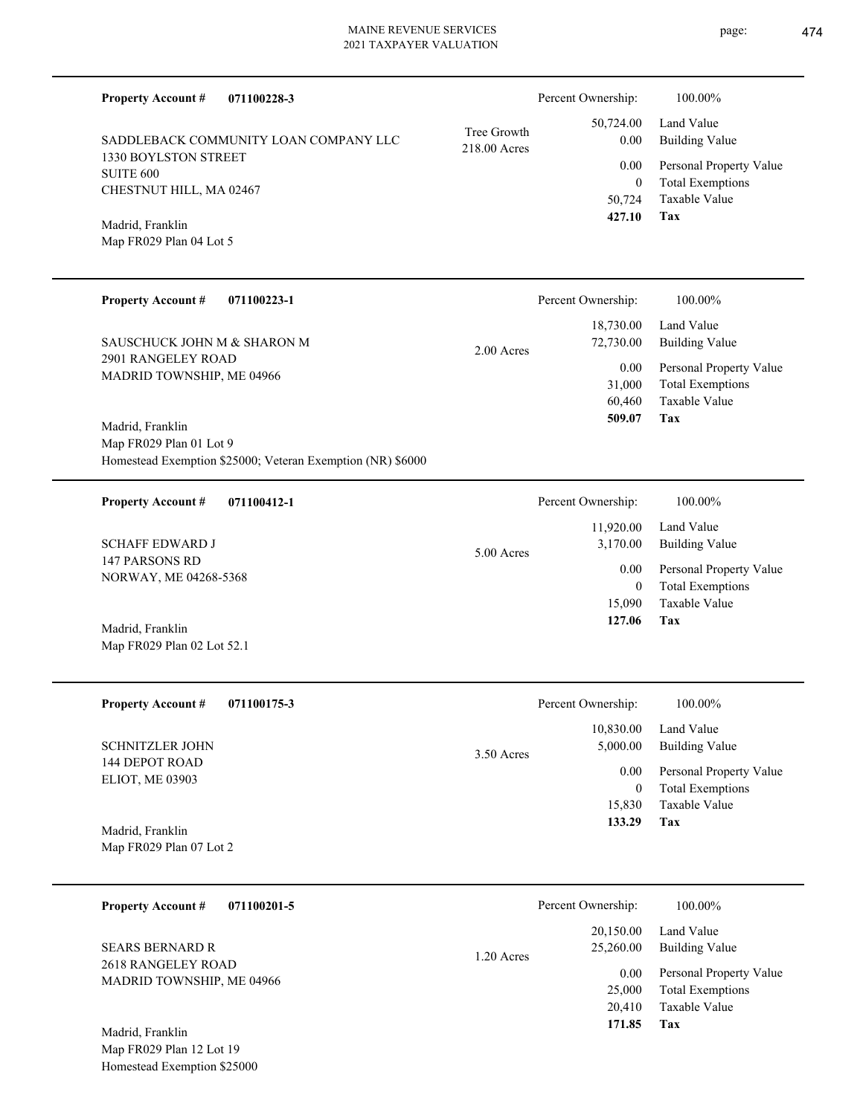| <b>Property Account #</b><br>071100228-3                                                                  |                             | Percent Ownership:                       | 100.00%                                                                           |
|-----------------------------------------------------------------------------------------------------------|-----------------------------|------------------------------------------|-----------------------------------------------------------------------------------|
| SADDLEBACK COMMUNITY LOAN COMPANY LLC                                                                     | Tree Growth<br>218.00 Acres | 50,724.00<br>0.00                        | Land Value<br><b>Building Value</b>                                               |
| 1330 BOYLSTON STREET<br><b>SUITE 600</b><br>CHESTNUT HILL, MA 02467                                       |                             | 0.00<br>$\boldsymbol{0}$<br>50,724       | Personal Property Value<br><b>Total Exemptions</b><br><b>Taxable Value</b>        |
| Madrid, Franklin<br>Map FR029 Plan 04 Lot 5                                                               |                             | 427.10                                   | Tax                                                                               |
| <b>Property Account #</b><br>071100223-1                                                                  |                             | Percent Ownership:                       | 100.00%                                                                           |
| SAUSCHUCK JOHN M & SHARON M                                                                               | 2.00 Acres                  | 18,730.00<br>72,730.00                   | Land Value<br><b>Building Value</b>                                               |
| <b>2901 RANGELEY ROAD</b><br>MADRID TOWNSHIP, ME 04966                                                    |                             | 0.00<br>31,000<br>60,460<br>509.07       | Personal Property Value<br><b>Total Exemptions</b><br><b>Taxable Value</b><br>Tax |
| Madrid, Franklin<br>Map FR029 Plan 01 Lot 9<br>Homestead Exemption \$25000; Veteran Exemption (NR) \$6000 |                             |                                          |                                                                                   |
| <b>Property Account #</b><br>071100412-1                                                                  |                             | Percent Ownership:                       | 100.00%                                                                           |
| <b>SCHAFF EDWARD J</b>                                                                                    | 5.00 Acres                  | 11,920.00<br>3,170.00                    | Land Value<br><b>Building Value</b>                                               |
| 147 PARSONS RD<br>NORWAY, ME 04268-5368                                                                   |                             | 0.00<br>$\mathbf{0}$<br>15,090<br>127.06 | Personal Property Value<br><b>Total Exemptions</b><br>Taxable Value<br>Tax        |
| Madrid, Franklin<br>Map FR029 Plan 02 Lot 52.1                                                            |                             |                                          |                                                                                   |
| <b>Property Account #</b><br>071100175-3                                                                  |                             | Percent Ownership:                       | 100.00%                                                                           |
| <b>SCHNITZLER JOHN</b>                                                                                    | 3.50 Acres                  | 10,830.00<br>5,000.00                    | Land Value<br><b>Building Value</b>                                               |
| <b>144 DEPOT ROAD</b><br>ELIOT, ME 03903                                                                  |                             | 0.00<br>$\mathbf{0}$<br>15,830           | Personal Property Value<br><b>Total Exemptions</b><br>Taxable Value               |
| Madrid, Franklin<br>Map FR029 Plan 07 Lot 2                                                               |                             | 133.29                                   | Tax                                                                               |
| <b>Property Account #</b><br>071100201-5                                                                  |                             | Percent Ownership:                       | 100.00%                                                                           |
| <b>SEARS BERNARD R</b>                                                                                    | 1.20 Acres                  | 20,150.00<br>25,260.00                   | Land Value<br><b>Building Value</b>                                               |
| 2618 RANGELEY ROAD<br>MADRID TOWNSHIP, ME 04966                                                           |                             | 0.00<br>25,000<br>20,410<br>171.85       | Personal Property Value<br><b>Total Exemptions</b><br>Taxable Value<br>Tax        |
| Madrid, Franklin<br>EDOOOP                                                                                |                             |                                          |                                                                                   |

Map FR029 Plan 12 Lot 19 Homestead Exemption \$25000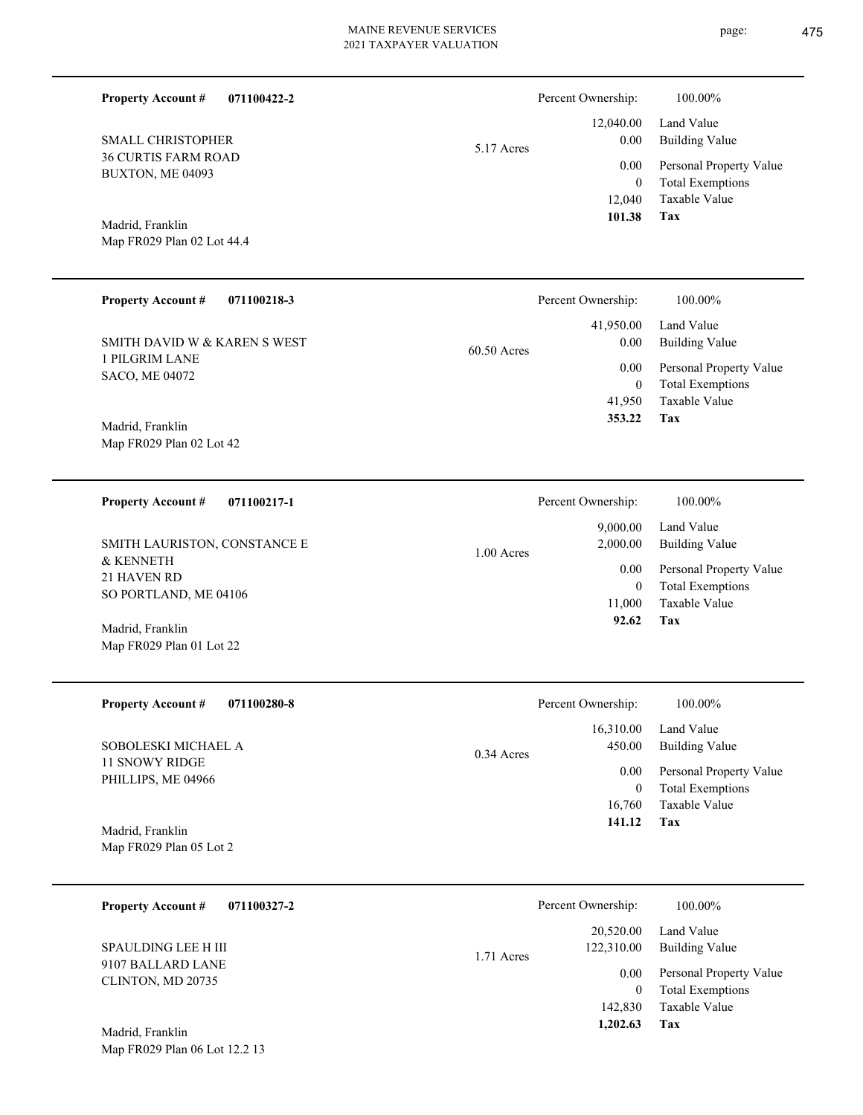| 5.17 Acres   | Percent Ownership:<br>12,040.00<br>0.00<br>0.00<br>$\boldsymbol{0}$<br>12,040<br>101.38 | 100.00%<br>Land Value<br><b>Building Value</b><br>Personal Property Value<br><b>Total Exemptions</b><br>Taxable Value<br>Tax |
|--------------|-----------------------------------------------------------------------------------------|------------------------------------------------------------------------------------------------------------------------------|
|              |                                                                                         |                                                                                                                              |
|              | 41,950.00<br>0.00                                                                       | 100.00%<br>Land Value<br><b>Building Value</b>                                                                               |
|              | 0.00<br>$\boldsymbol{0}$<br>41,950<br>353.22                                            | Personal Property Value<br><b>Total Exemptions</b><br>Taxable Value<br><b>Tax</b>                                            |
|              |                                                                                         | 100.00%<br>Land Value                                                                                                        |
| 1.00 Acres   | 2,000.00<br>0.00<br>$\mathbf{0}$<br>11,000<br>92.62                                     | <b>Building Value</b><br>Personal Property Value<br><b>Total Exemptions</b><br>Taxable Value<br>Tax                          |
|              | Percent Ownership:                                                                      | 100.00%                                                                                                                      |
| $0.34$ Acres | 16,310.00<br>450.00<br>0.00<br>$\mathbf{0}$<br>16,760<br>141.12                         | Land Value<br><b>Building Value</b><br>Personal Property Value<br><b>Total Exemptions</b><br>Taxable Value<br>Tax            |
|              | Percent Ownership:                                                                      | 100.00%                                                                                                                      |
| 1.71 Acres   | 20,520.00<br>122,310.00<br>0.00<br>$\mathbf{0}$<br>142,830<br>1,202.63                  | Land Value<br><b>Building Value</b><br>Personal Property Value<br><b>Total Exemptions</b><br>Taxable Value<br>Tax            |
|              | 60.50 Acres                                                                             | Percent Ownership:<br>Percent Ownership:<br>9,000.00                                                                         |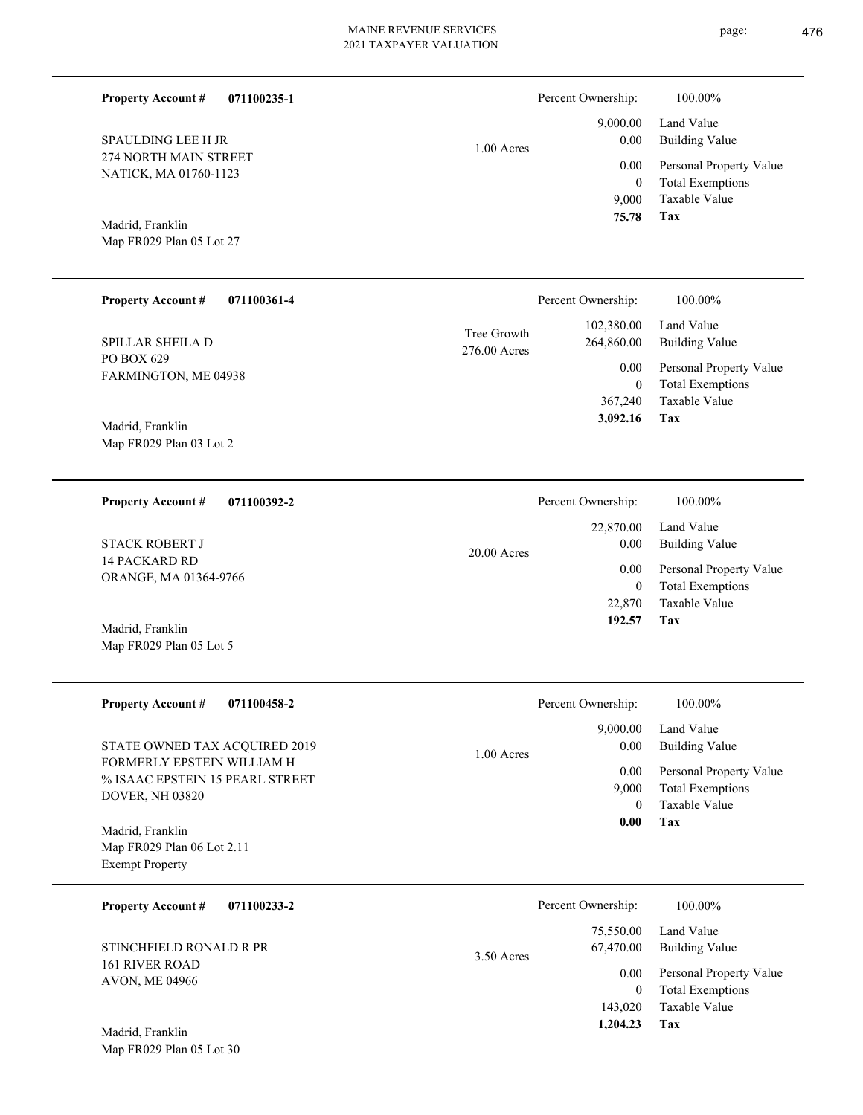| <b>Property Account #</b><br>071100235-1                                         |                             | Percent Ownership:                          | 100.00%                                                                    |
|----------------------------------------------------------------------------------|-----------------------------|---------------------------------------------|----------------------------------------------------------------------------|
| <b>SPAULDING LEE H JR</b>                                                        | $1.00$ Acres                | 9,000.00<br>0.00                            | Land Value<br><b>Building Value</b>                                        |
| 274 NORTH MAIN STREET<br>NATICK, MA 01760-1123                                   |                             | 0.00<br>$\boldsymbol{0}$<br>9,000           | Personal Property Value<br><b>Total Exemptions</b><br>Taxable Value        |
| Madrid, Franklin<br>Map FR029 Plan 05 Lot 27                                     |                             | 75.78                                       | Tax                                                                        |
| <b>Property Account #</b><br>071100361-4                                         |                             | Percent Ownership:                          | 100.00%                                                                    |
| SPILLAR SHEILA D                                                                 | Tree Growth<br>276.00 Acres | 102,380.00<br>264,860.00                    | Land Value<br><b>Building Value</b>                                        |
| PO BOX 629<br>FARMINGTON, ME 04938<br>Madrid, Franklin                           |                             | 0.00<br>$\mathbf{0}$<br>367,240<br>3,092.16 | Personal Property Value<br><b>Total Exemptions</b><br>Taxable Value<br>Tax |
| Map FR029 Plan 03 Lot 2                                                          |                             |                                             |                                                                            |
| <b>Property Account #</b><br>071100392-2                                         |                             | Percent Ownership:                          | 100.00%                                                                    |
| <b>STACK ROBERT J</b>                                                            | $20.00$ Acres               | 22,870.00<br>0.00                           | Land Value<br><b>Building Value</b>                                        |
| 14 PACKARD RD<br>ORANGE, MA 01364-9766                                           |                             | 0.00<br>$\mathbf{0}$<br>22,870<br>192.57    | Personal Property Value<br><b>Total Exemptions</b><br>Taxable Value<br>Tax |
| Madrid, Franklin<br>Map FR029 Plan 05 Lot 5                                      |                             |                                             |                                                                            |
| <b>Property Account #</b><br>071100458-2                                         |                             | Percent Ownership:                          | 100.00%                                                                    |
| STATE OWNED TAX ACQUIRED 2019                                                    | 1.00 Acres                  | 9,000.00<br>0.00                            | Land Value<br><b>Building Value</b>                                        |
| FORMERLY EPSTEIN WILLIAM H<br>% ISAAC EPSTEIN 15 PEARL STREET<br>DOVER, NH 03820 |                             | 0.00<br>9,000                               | Personal Property Value<br><b>Total Exemptions</b>                         |
| Madrid, Franklin<br>Map FR029 Plan 06 Lot 2.11<br><b>Exempt Property</b>         |                             | $\mathbf{0}$<br>0.00                        | <b>Taxable Value</b><br>Tax                                                |
| <b>Property Account #</b><br>071100233-2                                         |                             | Percent Ownership:                          | 100.00%                                                                    |
| STINCHFIELD RONALD R PR                                                          | 3.50 Acres                  | 75,550.00<br>67,470.00                      | Land Value<br><b>Building Value</b>                                        |
| 161 RIVER ROAD<br>AVON, ME 04966                                                 |                             | 0.00<br>$\boldsymbol{0}$<br>143,020         | Personal Property Value<br><b>Total Exemptions</b><br>Taxable Value        |
| Madrid, Franklin<br>Map FR029 Plan 05 Lot 30                                     |                             | 1,204.23                                    | Tax                                                                        |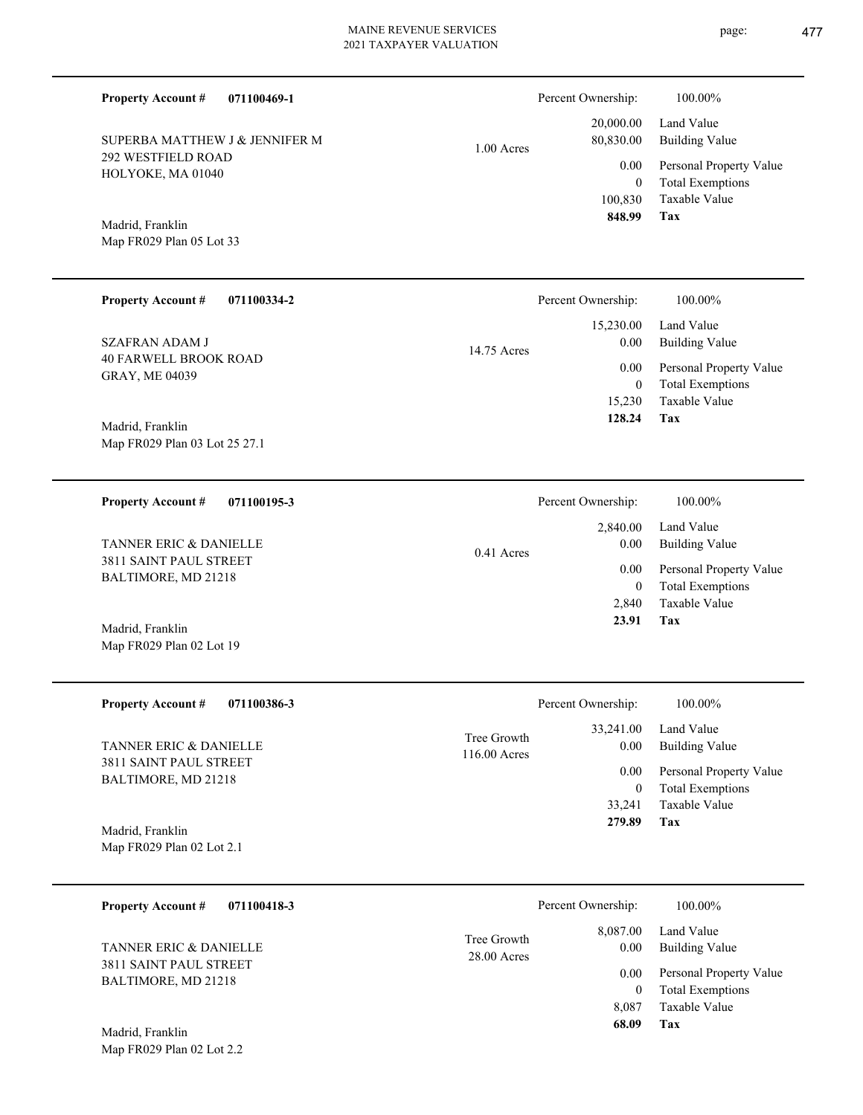292 WESTFIELD ROAD HOLYOKE, MA 01040 SUPERBA MATTHEW J & JENNIFER M

Map FR029 Plan 05 Lot 33 Madrid, Franklin

| <b>Property Account #</b><br>071100334-2       | Percent Ownership:  | 100.00%                 |
|------------------------------------------------|---------------------|-------------------------|
|                                                | 15,230.00           | Land Value              |
| SZAFRAN ADAM J<br><b>40 FARWELL BROOK ROAD</b> | 0.00<br>14.75 Acres | Building Value          |
| <b>GRAY, ME 04039</b>                          | 0.00                | Personal Property Value |
|                                                | 0                   | <b>Total Exemptions</b> |
|                                                | 15.230              | Taxable Value           |
| Madrid Franklin                                | 128.24              | Tax                     |

Map FR029 Plan 03 Lot 25 27.1 Madrid, Franklin

**071100195-3 Property Account #**

3811 SAINT PAUL STREET BALTIMORE, MD 21218 TANNER ERIC & DANIELLE

Map FR029 Plan 02 Lot 19 Madrid, Franklin

| <b>Property Account #</b><br>071100386-3                           | Percent Ownership:                               | 100.00%                             |
|--------------------------------------------------------------------|--------------------------------------------------|-------------------------------------|
| <b>TANNER ERIC &amp; DANIELLE</b><br><b>3811 SAINT PAUL STREET</b> | 33,241.00<br>Tree Growth<br>0.00<br>116.00 Acres | Land Value<br><b>Building Value</b> |
|                                                                    | 0.00                                             | Personal Property Value             |
| BALTIMORE, MD 21218                                                |                                                  | <b>Total Exemptions</b><br>0        |
|                                                                    | 33.241                                           | Taxable Value                       |
| Madrid, Franklin                                                   | 279.89                                           | Tax                                 |
| Map FR029 Plan 02 Lot 2.1                                          |                                                  |                                     |

| 071100418-3<br><b>Property Account #</b>      |                              | Percent Ownership: | 100.00%                                            |
|-----------------------------------------------|------------------------------|--------------------|----------------------------------------------------|
| <b>TANNER ERIC &amp; DANIELLE</b>             | Tree Growth<br>$28.00$ Acres | 8,087.00<br>0.00   | Land Value<br><b>Building Value</b>                |
| 3811 SAINT PAUL STREET<br>BALTIMORE, MD 21218 |                              | 0.00<br>0          | Personal Property Value<br><b>Total Exemptions</b> |
|                                               |                              | 8.087              | Taxable Value                                      |
| Madrid, Franklin                              |                              | 68.09              | Tax                                                |

Map FR029 Plan 02 Lot 2.2

| Percent Ownership: | 100.00%                 |
|--------------------|-------------------------|
| 20,000.00          | Land Value              |
| 80,830.00          | Building Value          |
| 0.00               | Personal Property Value |
| 0                  | <b>Total Exemptions</b> |
| 100,830            | Taxable Value           |
| 848.99             | Tax                     |

**Tax**

 2,840 0

 2,840.00 0.00 0.00

Percent Ownership:  $100.00\%$ 

 **23.91**

Taxable Value Total Exemptions Personal Property Value

Building Value Land Value

|  |  | D.  |
|--|--|-----|
|  |  | - - |

1.00 Acres

0.41 Acres

**071100469-1 Property Account #**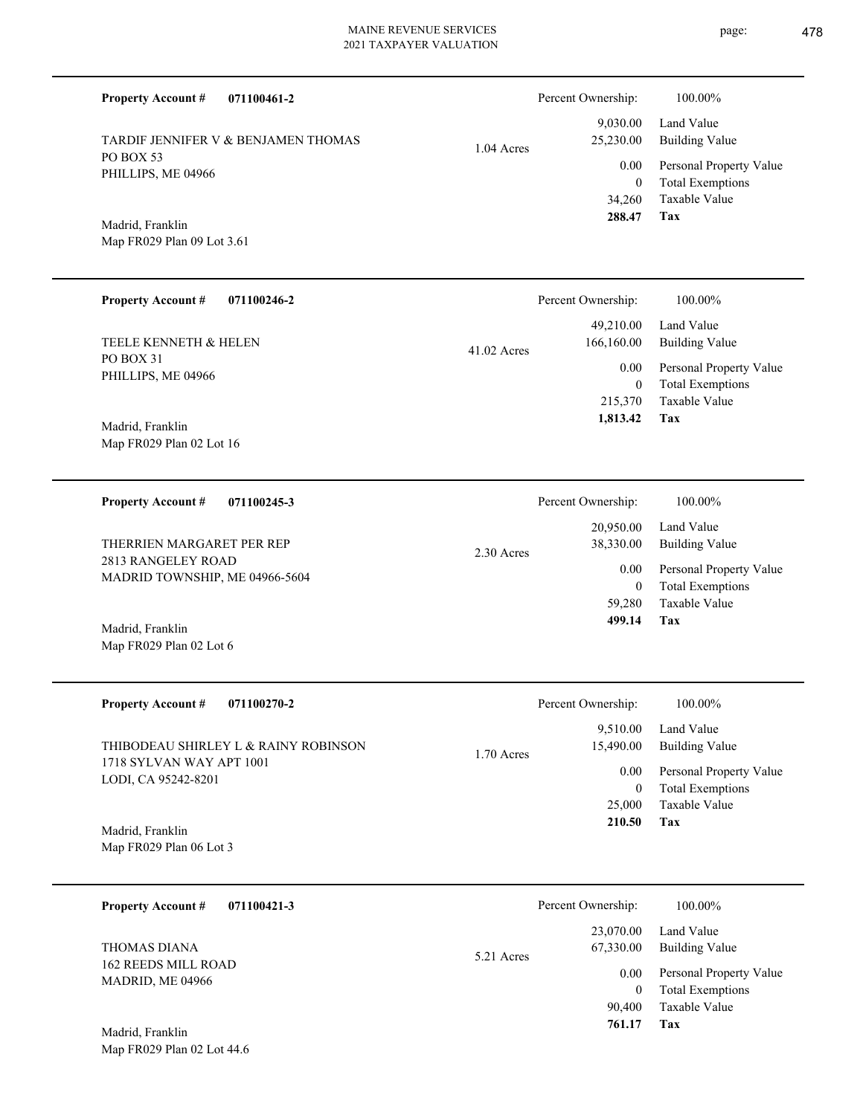**071100461-2 Tax** Taxable Value Total Exemptions Personal Property Value Building Value Land Value PO BOX 53 PHILLIPS, ME 04966 **Property Account #** Map FR029 Plan 09 Lot 3.61 Madrid, Franklin TARDIF JENNIFER V & BENJAMEN THOMAS 34,260 0  **288.47** 9,030.00 25,230.00 0.00 1.04 Acres Percent Ownership:  $100.00\%$ **071100246-2 Tax** Taxable Value Total Exemptions Personal Property Value Building Value Land Value PO BOX 31 PHILLIPS, ME 04966 **Property Account #** Map FR029 Plan 02 Lot 16 Madrid, Franklin TEELE KENNETH & HELEN 215,370 0  **1,813.42** 49,210.00 166,160.00 0.00 41.02 Acres Percent Ownership:  $100.00\%$ **071100245-3 Tax** Taxable Value Total Exemptions Personal Property Value Building Value Land Value 2813 RANGELEY ROAD MADRID TOWNSHIP, ME 04966-5604 **Property Account #** Map FR029 Plan 02 Lot 6 Madrid, Franklin THERRIEN MARGARET PER REP 59,280 0  **499.14** 20,950.00 38,330.00 0.00 2.30 Acres Percent Ownership:  $100.00\%$ **071100270-2 Tax** Taxable Value Total Exemptions Personal Property Value Building Value Land Value 1718 SYLVAN WAY APT 1001 LODI, CA 95242-8201 **Property Account #** Map FR029 Plan 06 Lot 3 Madrid, Franklin THIBODEAU SHIRLEY L & RAINY ROBINSON 25,000 0  **210.50** 9,510.00 15,490.00 0.00 1.70 Acres Percent Ownership:  $100.00\%$ **071100421-3** Total Exemptions Personal Property Value Building Value Land Value 162 REEDS MILL ROAD MADRID, ME 04966 **Property Account #** THOMAS DIANA 0 23,070.00 67,330.00 0.00 5.21 Acres Percent Ownership:  $100.00\%$ 

**Tax**

90,400

 **761.17**

Taxable Value

Map FR029 Plan 02 Lot 44.6 Madrid, Franklin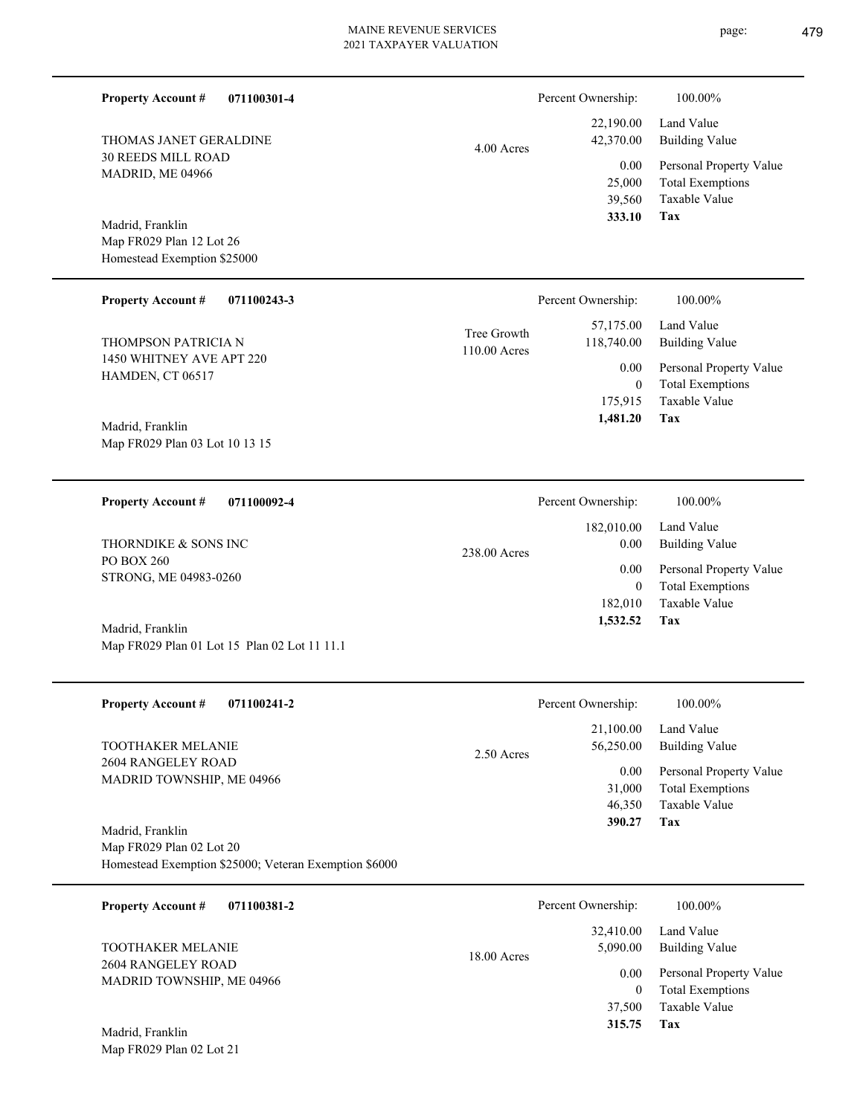| 071100301-4<br><b>Property Account #</b><br>THOMAS JANET GERALDINE<br><b>30 REEDS MILL ROAD</b><br>MADRID, ME 04966<br>Madrid, Franklin<br>Map FR029 Plan 12 Lot 26<br>Homestead Exemption \$25000<br><b>Property Account #</b><br>071100243-3 | $4.00$ Acres                | Percent Ownership:<br>22,190.00<br>42,370.00<br>0.00<br>25,000<br>39,560<br>333.10<br>Percent Ownership: | 100.00%<br>Land Value<br><b>Building Value</b><br>Personal Property Value<br><b>Total Exemptions</b><br><b>Taxable Value</b><br><b>Tax</b><br>100.00% |
|------------------------------------------------------------------------------------------------------------------------------------------------------------------------------------------------------------------------------------------------|-----------------------------|----------------------------------------------------------------------------------------------------------|-------------------------------------------------------------------------------------------------------------------------------------------------------|
| THOMPSON PATRICIA N<br>1450 WHITNEY AVE APT 220<br>HAMDEN, CT 06517<br>Madrid, Franklin<br>Map FR029 Plan 03 Lot 10 13 15                                                                                                                      | Tree Growth<br>110.00 Acres | 57,175.00<br>118,740.00<br>0.00<br>$\mathbf{0}$<br>175,915<br>1,481.20                                   | Land Value<br><b>Building Value</b><br>Personal Property Value<br><b>Total Exemptions</b><br>Taxable Value<br>Tax                                     |
| <b>Property Account #</b><br>071100092-4<br>THORNDIKE & SONS INC<br>PO BOX 260<br>STRONG, ME 04983-0260<br>Madrid, Franklin<br>Map FR029 Plan 01 Lot 15 Plan 02 Lot 11 11.1                                                                    | 238.00 Acres                | Percent Ownership:<br>182,010.00<br>0.00<br>0.00<br>$\overline{0}$<br>182,010<br>1,532.52                | 100.00%<br>Land Value<br><b>Building Value</b><br>Personal Property Value<br><b>Total Exemptions</b><br>Taxable Value<br>Tax                          |
| <b>Property Account #</b><br>071100241-2<br>TOOTHAKER MELANIE<br>2604 RANGELEY ROAD<br>MADRID TOWNSHIP, ME 04966<br>Madrid, Franklin<br>Map FR029 Plan 02 Lot 20<br>Homestead Exemption \$25000; Veteran Exemption \$6000                      | 2.50 Acres                  | Percent Ownership:<br>21,100.00<br>56,250.00<br>0.00<br>31,000<br>46,350<br>390.27                       | 100.00%<br>Land Value<br><b>Building Value</b><br>Personal Property Value<br><b>Total Exemptions</b><br><b>Taxable Value</b><br>Tax                   |
| <b>Property Account #</b><br>071100381-2<br><b>TOOTHAKER MELANIE</b><br>2604 RANGELEY ROAD<br>MADRID TOWNSHIP, ME 04966<br>Madrid, Franklin<br>Map FR029 Plan 02 Lot 21                                                                        | $18.00$ Acres               | Percent Ownership:<br>32,410.00<br>5,090.00<br>$0.00\,$<br>$\overline{0}$<br>37,500<br>315.75            | 100.00%<br>Land Value<br><b>Building Value</b><br>Personal Property Value<br><b>Total Exemptions</b><br>Taxable Value<br>Tax                          |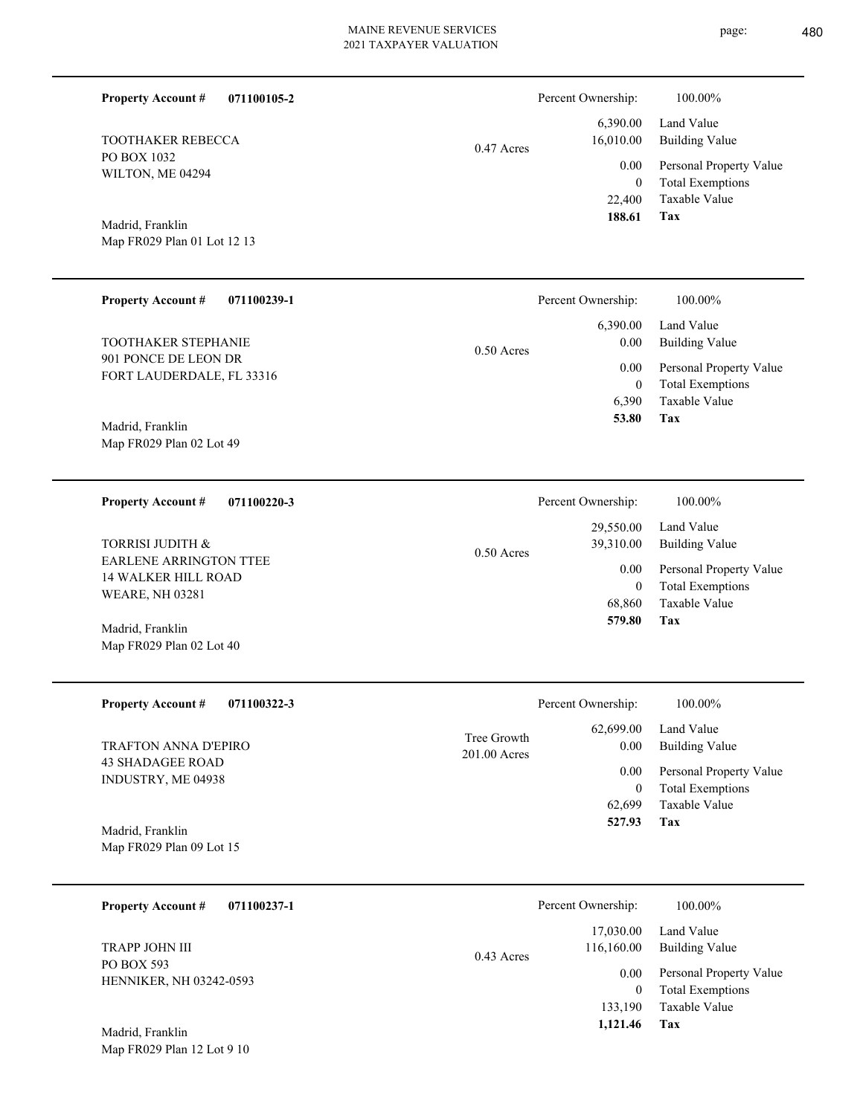| <b>Property Account #</b>                                                      | 071100105-2 |                             | Percent Ownership:                           | 100.00%                                                                    |
|--------------------------------------------------------------------------------|-------------|-----------------------------|----------------------------------------------|----------------------------------------------------------------------------|
| <b>TOOTHAKER REBECCA</b>                                                       |             | 0.47 Acres                  | 6,390.00<br>16,010.00                        | Land Value<br><b>Building Value</b>                                        |
| PO BOX 1032<br>WILTON, ME 04294                                                |             |                             | 0.00<br>$\mathbf{0}$<br>22,400               | Personal Property Value<br><b>Total Exemptions</b><br>Taxable Value        |
| Madrid, Franklin<br>Map FR029 Plan 01 Lot 12 13                                |             |                             | 188.61                                       | Tax                                                                        |
| <b>Property Account #</b>                                                      | 071100239-1 |                             | Percent Ownership:                           | 100.00%                                                                    |
| TOOTHAKER STEPHANIE                                                            |             | 0.50 Acres                  | 6,390.00<br>0.00                             | Land Value<br><b>Building Value</b>                                        |
| 901 PONCE DE LEON DR<br>FORT LAUDERDALE, FL 33316                              |             |                             | 0.00<br>$\mathbf{0}$                         | Personal Property Value<br><b>Total Exemptions</b>                         |
| Madrid, Franklin<br>Map FR029 Plan 02 Lot 49                                   |             |                             | 6,390<br>53.80                               | Taxable Value<br>Tax                                                       |
| <b>Property Account #</b>                                                      | 071100220-3 |                             | Percent Ownership:                           | 100.00%                                                                    |
| TORRISI JUDITH &                                                               |             | 0.50 Acres                  | 29,550.00<br>39,310.00                       | Land Value<br><b>Building Value</b>                                        |
| EARLENE ARRINGTON TTEE<br><b>14 WALKER HILL ROAD</b><br><b>WEARE, NH 03281</b> |             |                             | 0.00<br>$\boldsymbol{0}$<br>68,860           | Personal Property Value<br><b>Total Exemptions</b><br>Taxable Value        |
| Madrid, Franklin<br>Map FR029 Plan 02 Lot 40                                   |             |                             | 579.80                                       | Tax                                                                        |
| <b>Property Account #</b>                                                      | 071100322-3 |                             | Percent Ownership:                           | 100.00%                                                                    |
| <b>TRAFTON ANNA D'EPIRO</b>                                                    |             | Tree Growth<br>201.00 Acres | 62,699.00<br>0.00                            | Land Value<br><b>Building Value</b>                                        |
| <b>43 SHADAGEE ROAD</b><br>INDUSTRY, ME 04938                                  |             |                             | 0.00<br>$\boldsymbol{0}$<br>62,699<br>527.93 | Personal Property Value<br><b>Total Exemptions</b><br>Taxable Value<br>Tax |
| Madrid, Franklin<br>Map FR029 Plan 09 Lot 15                                   |             |                             |                                              |                                                                            |
| <b>Property Account #</b>                                                      | 071100237-1 |                             | Percent Ownership:                           | 100.00%                                                                    |
| TRAPP JOHN III                                                                 |             | $0.43$ Acres                | 17,030.00<br>116,160.00                      | Land Value<br><b>Building Value</b>                                        |
| PO BOX 593<br>HENNIKER, NH 03242-0593                                          |             |                             | 0.00<br>$\boldsymbol{0}$<br>133,190          | Personal Property Value<br><b>Total Exemptions</b><br>Taxable Value        |
| Madrid, Franklin<br>Map FR029 Plan 12 Lot 9 10                                 |             |                             | 1,121.46                                     | Tax                                                                        |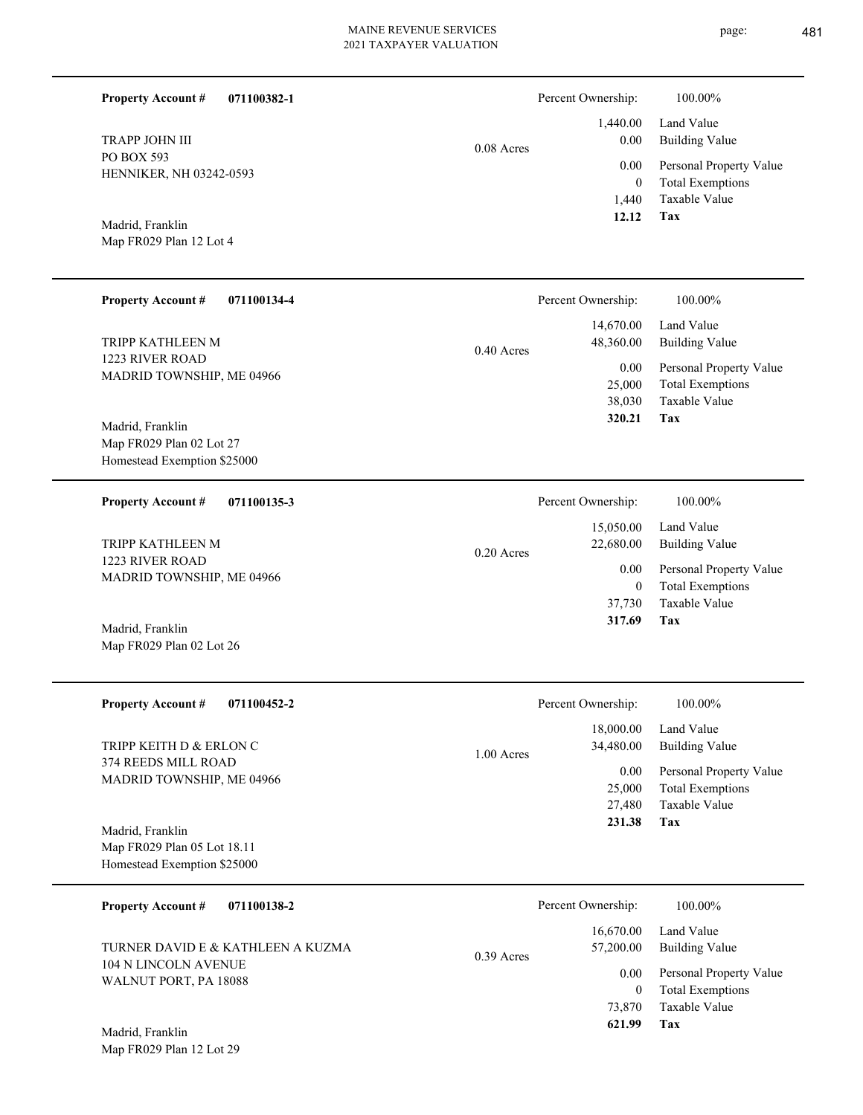| <b>Property Account #</b><br>071100382-1                                       |              | Percent Ownership:                       | 100.00%                                                                           |
|--------------------------------------------------------------------------------|--------------|------------------------------------------|-----------------------------------------------------------------------------------|
| TRAPP JOHN III                                                                 | $0.08$ Acres | 1,440.00<br>0.00                         | Land Value<br><b>Building Value</b>                                               |
| PO BOX 593<br>HENNIKER, NH 03242-0593                                          |              | 0.00<br>$\mathbf{0}$<br>1,440            | Personal Property Value<br><b>Total Exemptions</b><br>Taxable Value               |
| Madrid, Franklin<br>Map FR029 Plan 12 Lot 4                                    |              | 12.12                                    | <b>Tax</b>                                                                        |
| <b>Property Account #</b><br>071100134-4                                       |              | Percent Ownership:                       | 100.00%                                                                           |
| TRIPP KATHLEEN M                                                               | $0.40$ Acres | 14,670.00<br>48,360.00                   | Land Value<br><b>Building Value</b>                                               |
| 1223 RIVER ROAD<br>MADRID TOWNSHIP, ME 04966                                   |              | 0.00<br>25,000<br>38,030<br>320.21       | Personal Property Value<br><b>Total Exemptions</b><br><b>Taxable Value</b><br>Tax |
| Madrid, Franklin<br>Map FR029 Plan 02 Lot 27<br>Homestead Exemption \$25000    |              |                                          |                                                                                   |
| <b>Property Account #</b><br>071100135-3                                       |              | Percent Ownership:                       | 100.00%                                                                           |
| TRIPP KATHLEEN M                                                               | 0.20 Acres   | 15,050.00<br>22,680.00                   | Land Value<br><b>Building Value</b>                                               |
| 1223 RIVER ROAD<br>MADRID TOWNSHIP, ME 04966                                   |              | 0.00<br>$\boldsymbol{0}$<br>37,730       | Personal Property Value<br><b>Total Exemptions</b><br>Taxable Value               |
| Madrid, Franklin<br>Map FR029 Plan 02 Lot 26                                   |              | 317.69                                   | Tax                                                                               |
| <b>Property Account #</b><br>071100452-2                                       |              | Percent Ownership:                       | $100.00\%$                                                                        |
| TRIPP KEITH D & ERLON C                                                        | 1.00 Acres   | 18,000.00<br>34,480.00                   | Land Value<br><b>Building Value</b>                                               |
| 374 REEDS MILL ROAD<br>MADRID TOWNSHIP, ME 04966                               |              | 0.00<br>25,000<br>27,480<br>231.38       | Personal Property Value<br><b>Total Exemptions</b><br>Taxable Value<br>Tax        |
| Madrid, Franklin<br>Map FR029 Plan 05 Lot 18.11<br>Homestead Exemption \$25000 |              |                                          |                                                                                   |
| <b>Property Account #</b><br>071100138-2                                       |              | Percent Ownership:                       | 100.00%                                                                           |
| TURNER DAVID E & KATHLEEN A KUZMA                                              | 0.39 Acres   | 16,670.00<br>57,200.00                   | Land Value<br><b>Building Value</b>                                               |
| 104 N LINCOLN AVENUE<br>WALNUT PORT, PA 18088<br>Madrid, Franklin              |              | 0.00<br>$\mathbf{0}$<br>73,870<br>621.99 | Personal Property Value<br><b>Total Exemptions</b><br>Taxable Value<br>Tax        |
| Map FR029 Plan 12 Lot 29                                                       |              |                                          |                                                                                   |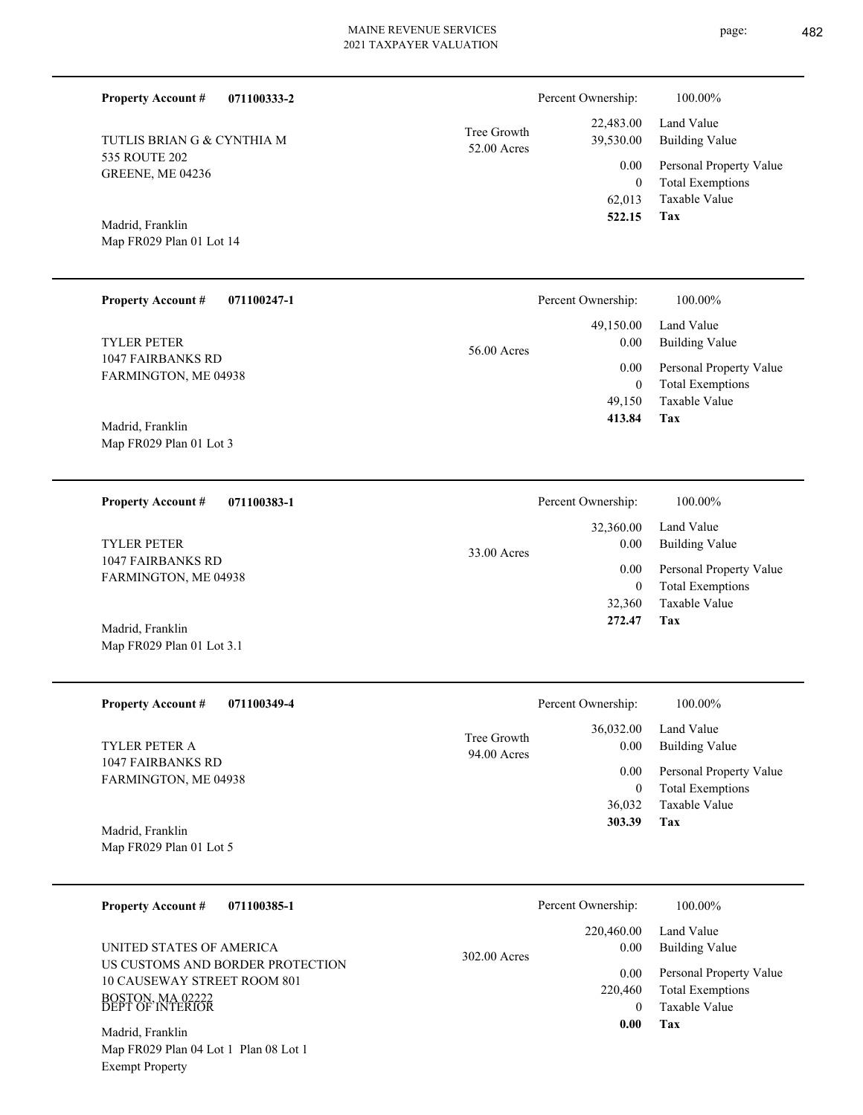$\overline{\phantom{0}}$ 

| <b>Property Account #</b><br>071100333-2                                                                |                            | Percent Ownership:                       | 100.00%                                                                    |
|---------------------------------------------------------------------------------------------------------|----------------------------|------------------------------------------|----------------------------------------------------------------------------|
| TUTLIS BRIAN G & CYNTHIA M                                                                              | Tree Growth<br>52.00 Acres | 22,483.00<br>39,530.00                   | Land Value<br><b>Building Value</b>                                        |
| 535 ROUTE 202<br>GREENE, ME 04236                                                                       |                            | 0.00<br>$\mathbf{0}$<br>62,013<br>522.15 | Personal Property Value<br><b>Total Exemptions</b><br>Taxable Value<br>Tax |
| Madrid, Franklin<br>Map FR029 Plan 01 Lot 14                                                            |                            |                                          |                                                                            |
| <b>Property Account #</b><br>071100247-1                                                                |                            | Percent Ownership:                       | 100.00%                                                                    |
| TYLER PETER                                                                                             | 56.00 Acres                | 49,150.00<br>0.00                        | Land Value<br><b>Building Value</b>                                        |
| <b>1047 FAIRBANKS RD</b><br>FARMINGTON, ME 04938                                                        |                            | 0.00<br>$\mathbf{0}$                     | Personal Property Value<br><b>Total Exemptions</b>                         |
| Madrid, Franklin<br>Map FR029 Plan 01 Lot 3                                                             |                            | 49,150<br>413.84                         | Taxable Value<br>Tax                                                       |
| <b>Property Account #</b><br>071100383-1                                                                |                            | Percent Ownership:                       | 100.00%                                                                    |
| <b>TYLER PETER</b>                                                                                      | 33.00 Acres                | 32,360.00<br>0.00                        | Land Value<br><b>Building Value</b>                                        |
| 1047 FAIRBANKS RD<br>FARMINGTON, ME 04938                                                               |                            | 0.00<br>$\mathbf{0}$<br>32,360<br>272.47 | Personal Property Value<br><b>Total Exemptions</b><br>Taxable Value<br>Tax |
| Madrid, Franklin<br>Map FR029 Plan 01 Lot 3.1                                                           |                            |                                          |                                                                            |
| <b>Property Account #</b><br>071100349-4                                                                |                            | Percent Ownership:                       | 100.00%                                                                    |
| TYLER PETER A                                                                                           | Tree Growth<br>94.00 Acres | 36,032.00<br>0.00                        | Land Value<br><b>Building Value</b>                                        |
| 1047 FAIRBANKS RD<br>FARMINGTON, ME 04938                                                               |                            | 0.00<br>$\bf{0}$<br>36,032               | Personal Property Value<br><b>Total Exemptions</b><br>Taxable Value        |
| Madrid, Franklin<br>Map FR029 Plan 01 Lot 5                                                             |                            | 303.39                                   | Tax                                                                        |
| <b>Property Account #</b><br>071100385-1                                                                |                            | Percent Ownership:                       | 100.00%                                                                    |
| UNITED STATES OF AMERICA                                                                                | 302.00 Acres               | 220,460.00<br>0.00                       | Land Value<br><b>Building Value</b>                                        |
| US CUSTOMS AND BORDER PROTECTION<br>10 CAUSEWAY STREET ROOM 801<br>BOSTON, MA 02222<br>DEPT OF INTERIOR |                            | 0.00<br>220,460<br>$\overline{0}$        | Personal Property Value<br><b>Total Exemptions</b><br>Taxable Value        |
| Madrid, Franklin<br>Map FR029 Plan 04 Lot 1 Plan 08 Lot 1<br><b>Exempt Property</b>                     |                            | 0.00                                     | Tax                                                                        |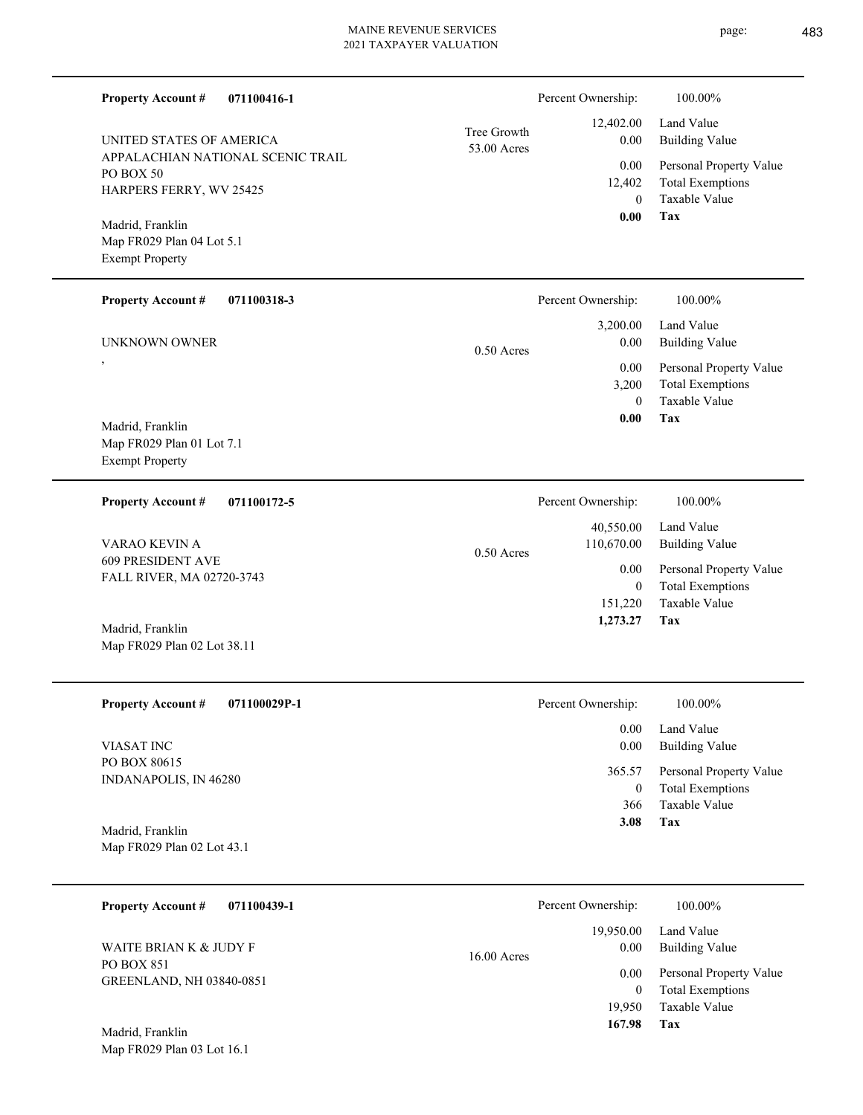| <b>Property Account #</b><br>071100416-1       |                            | Percent Ownership:       | 100.00%                                            |
|------------------------------------------------|----------------------------|--------------------------|----------------------------------------------------|
| UNITED STATES OF AMERICA                       | Tree Growth<br>53.00 Acres | 12,402.00<br>0.00        | Land Value<br><b>Building Value</b>                |
| APPALACHIAN NATIONAL SCENIC TRAIL<br>PO BOX 50 |                            | 0.00                     | Personal Property Value                            |
| HARPERS FERRY, WV 25425                        |                            | 12,402<br>$\overline{0}$ | <b>Total Exemptions</b><br>Taxable Value           |
|                                                |                            | 0.00                     | Tax                                                |
| Madrid, Franklin<br>Map FR029 Plan 04 Lot 5.1  |                            |                          |                                                    |
| <b>Exempt Property</b>                         |                            |                          |                                                    |
| <b>Property Account #</b><br>071100318-3       |                            | Percent Ownership:       | 100.00%                                            |
|                                                |                            | 3,200.00                 | Land Value                                         |
| UNKNOWN OWNER                                  | $0.50$ Acres               | 0.00                     | <b>Building Value</b>                              |
| $\cdot$                                        |                            | 0.00                     | Personal Property Value                            |
|                                                |                            | 3,200<br>$\theta$        | <b>Total Exemptions</b><br>Taxable Value           |
| Madrid, Franklin                               |                            | 0.00                     | Tax                                                |
| Map FR029 Plan 01 Lot 7.1                      |                            |                          |                                                    |
| <b>Exempt Property</b>                         |                            |                          |                                                    |
| <b>Property Account #</b><br>071100172-5       |                            | Percent Ownership:       | 100.00%                                            |
|                                                |                            | 40,550.00                | Land Value                                         |
| VARAO KEVIN A<br><b>609 PRESIDENT AVE</b>      | $0.50$ Acres               | 110,670.00               | <b>Building Value</b>                              |
| FALL RIVER, MA 02720-3743                      |                            | 0.00<br>$\overline{0}$   | Personal Property Value<br><b>Total Exemptions</b> |
|                                                |                            | 151,220                  | Taxable Value                                      |
| Madrid, Franklin                               |                            | 1,273.27                 | Tax                                                |
| Map FR029 Plan 02 Lot 38.11                    |                            |                          |                                                    |
|                                                |                            |                          |                                                    |
| <b>Property Account #</b><br>071100029P-1      |                            | Percent Ownership:       | 100.00%                                            |
| VIASAT INC                                     |                            | 0.00<br>0.00             | Land Value<br><b>Building Value</b>                |
| PO BOX 80615                                   |                            | 365.57                   | Personal Property Value                            |
| INDANAPOLIS, IN 46280                          |                            | $\boldsymbol{0}$         | <b>Total Exemptions</b>                            |
|                                                |                            | 366                      | Taxable Value                                      |
| Madrid, Franklin                               |                            | 3.08                     | Tax                                                |
| Map FR029 Plan 02 Lot 43.1                     |                            |                          |                                                    |
| <b>Property Account #</b><br>071100439-1       |                            | Percent Ownership:       | 100.00%                                            |
|                                                |                            | 19,950.00                | Land Value                                         |
| WAITE BRIAN K & JUDY F                         |                            | $0.00\,$                 | <b>Building Value</b>                              |
| PO BOX 851                                     | 16.00 Acres                | 0.00                     | Personal Property Value                            |
| GREENLAND, NH 03840-0851                       |                            | $\overline{0}$           | <b>Total Exemptions</b>                            |
|                                                |                            | 19,950                   | Taxable Value                                      |
| Madrid, Franklin                               |                            | 167.98                   | Tax                                                |
| Map FR029 Plan 03 Lot 16.1                     |                            |                          |                                                    |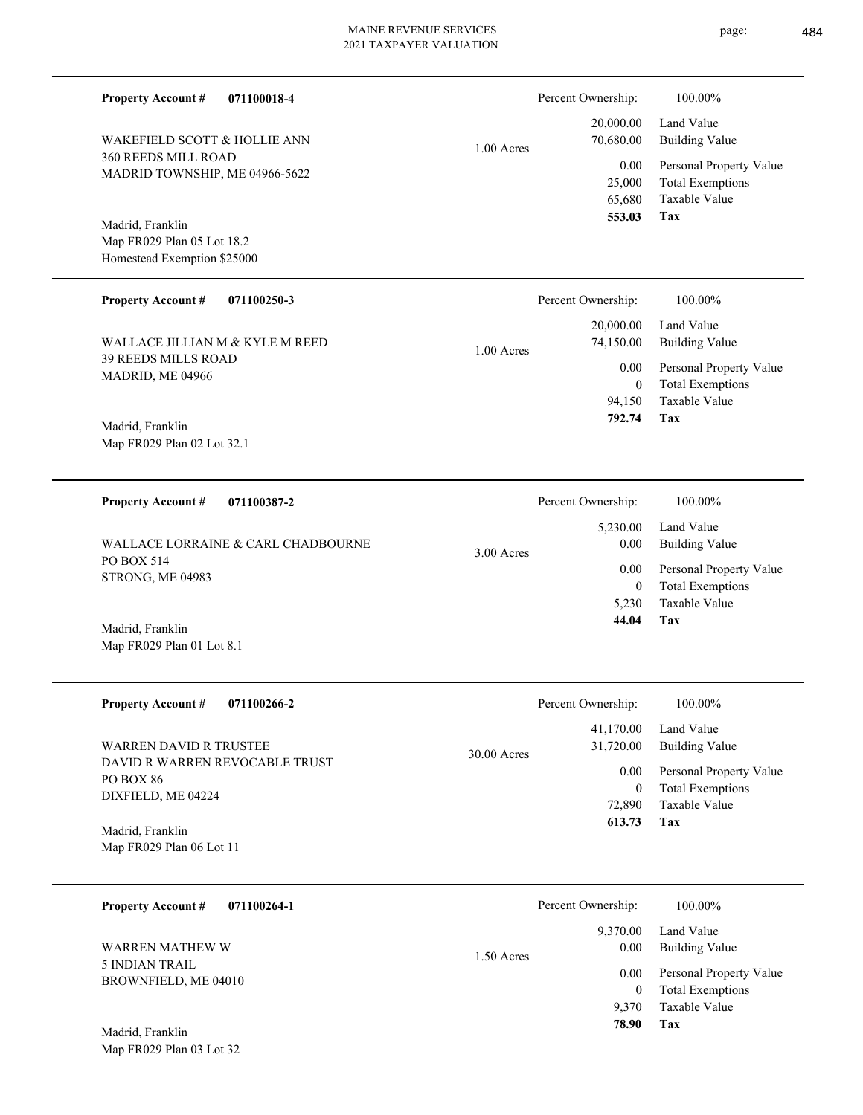| <b>Property Account #</b><br>071100018-4                  |              | Percent Ownership:             | 100.00%                                                                    |
|-----------------------------------------------------------|--------------|--------------------------------|----------------------------------------------------------------------------|
| WAKEFIELD SCOTT & HOLLIE ANN                              | $1.00$ Acres | 20,000.00<br>70,680.00         | Land Value<br><b>Building Value</b>                                        |
| 360 REEDS MILL ROAD<br>MADRID TOWNSHIP, ME 04966-5622     |              | 0.00<br>25,000<br>65,680       | Personal Property Value<br><b>Total Exemptions</b><br>Taxable Value<br>Tax |
| Madrid, Franklin                                          |              | 553.03                         |                                                                            |
| Map FR029 Plan 05 Lot 18.2<br>Homestead Exemption \$25000 |              |                                |                                                                            |
| <b>Property Account #</b><br>071100250-3                  |              | Percent Ownership:             | 100.00%                                                                    |
| WALLACE JILLIAN M & KYLE M REED                           | $1.00$ Acres | 20,000.00<br>74,150.00         | Land Value<br><b>Building Value</b>                                        |
| 39 REEDS MILLS ROAD<br>MADRID, ME 04966                   |              | 0.00                           | Personal Property Value                                                    |
|                                                           |              | $\mathbf{0}$<br>94,150         | <b>Total Exemptions</b><br>Taxable Value                                   |
| Madrid, Franklin<br>Map FR029 Plan 02 Lot 32.1            |              | 792.74                         | Tax                                                                        |
| <b>Property Account #</b><br>071100387-2                  |              | Percent Ownership:             | 100.00%                                                                    |
| WALLACE LORRAINE & CARL CHADBOURNE                        | 3.00 Acres   | 5,230.00<br>0.00               | Land Value<br><b>Building Value</b>                                        |
| PO BOX 514<br>STRONG, ME 04983                            |              | 0.00                           | Personal Property Value                                                    |
| Madrid, Franklin                                          |              | $\mathbf{0}$<br>5,230<br>44.04 | <b>Total Exemptions</b><br>Taxable Value<br>Tax                            |
| Map FR029 Plan 01 Lot 8.1                                 |              |                                |                                                                            |
| <b>Property Account #</b><br>071100266-2                  |              | Percent Ownership:             | 100.00%                                                                    |
| <b>WARREN DAVID R TRUSTEE</b>                             | 30.00 Acres  | 41,170.00<br>31,720.00         | Land Value<br><b>Building Value</b>                                        |
| DAVID R WARREN REVOCABLE TRUST<br>PO BOX 86               |              | 0.00                           | Personal Property Value                                                    |
| DIXFIELD, ME 04224                                        |              | $\overline{0}$<br>72,890       | <b>Total Exemptions</b><br>Taxable Value                                   |
| Madrid, Franklin<br>Map FR029 Plan 06 Lot 11              |              | 613.73                         | Tax                                                                        |
| <b>Property Account #</b><br>071100264-1                  |              | Percent Ownership:             | 100.00%                                                                    |
| <b>WARREN MATHEW W</b>                                    | 1.50 Acres   | 9,370.00<br>0.00               | Land Value<br><b>Building Value</b>                                        |
| 5 INDIAN TRAIL<br>BROWNFIELD, ME 04010                    |              | 0.00                           | Personal Property Value                                                    |
|                                                           |              | $\overline{0}$<br>9,370        | <b>Total Exemptions</b><br>Taxable Value                                   |
| Madrid, Franklin<br>Map FR029 Plan 03 Lot 32              |              | 78.90                          | Tax                                                                        |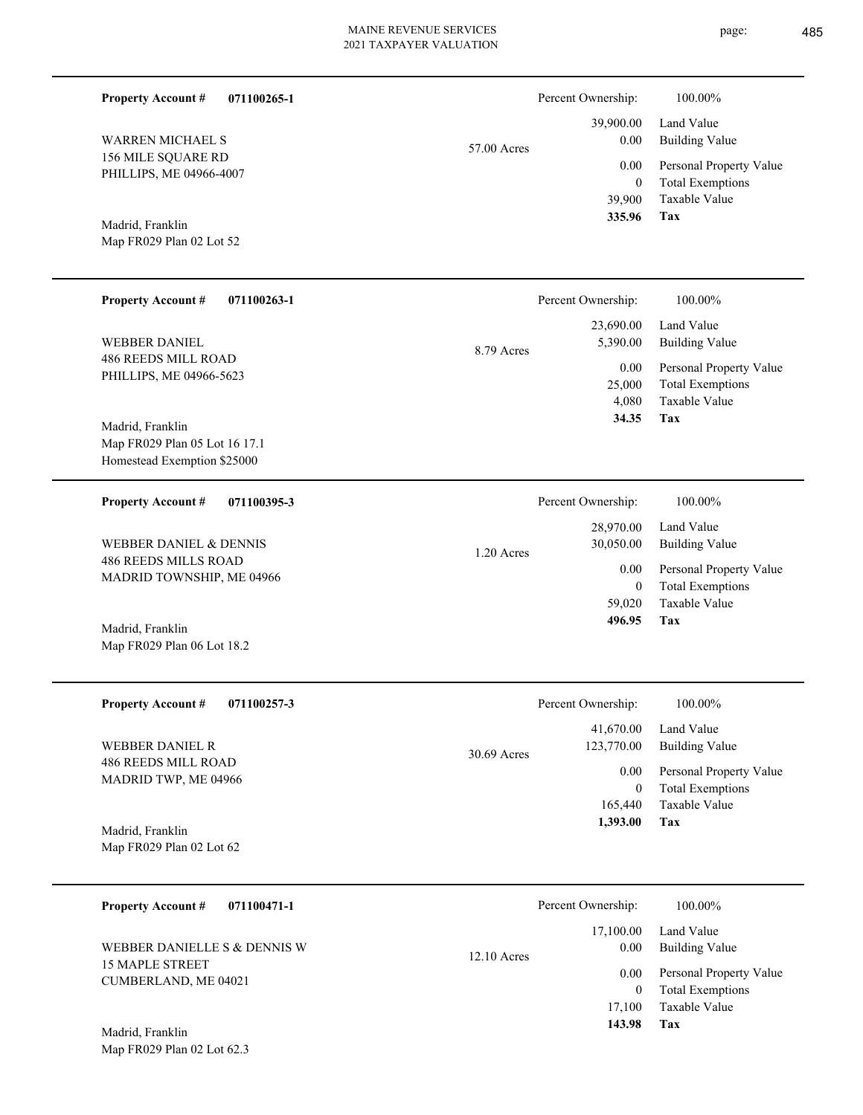| <b>Property Account #</b><br>071100265-1                                         |              | Percent Ownership:                         | 100.00%                                                                           |
|----------------------------------------------------------------------------------|--------------|--------------------------------------------|-----------------------------------------------------------------------------------|
| <b>WARREN MICHAEL S</b>                                                          | 57.00 Acres  | 39,900.00<br>0.00                          | Land Value<br><b>Building Value</b>                                               |
| 156 MILE SQUARE RD<br>PHILLIPS, ME 04966-4007                                    |              | 0.00<br>$\overline{0}$<br>39,900           | Personal Property Value<br><b>Total Exemptions</b><br>Taxable Value               |
| Madrid, Franklin<br>Map FR029 Plan 02 Lot 52                                     |              | 335.96                                     | Tax                                                                               |
| <b>Property Account #</b><br>071100263-1                                         |              | Percent Ownership:                         | 100.00%                                                                           |
| <b>WEBBER DANIEL</b>                                                             | 8.79 Acres   | 23,690.00<br>5,390.00                      | Land Value<br><b>Building Value</b>                                               |
| <b>486 REEDS MILL ROAD</b><br>PHILLIPS, ME 04966-5623                            |              | 0.00<br>25,000<br>4,080<br>34.35           | Personal Property Value<br><b>Total Exemptions</b><br><b>Taxable Value</b><br>Tax |
| Madrid, Franklin<br>Map FR029 Plan 05 Lot 16 17.1<br>Homestead Exemption \$25000 |              |                                            |                                                                                   |
| <b>Property Account #</b><br>071100395-3                                         |              | Percent Ownership:                         | 100.00%                                                                           |
| <b>WEBBER DANIEL &amp; DENNIS</b>                                                | $1.20$ Acres | 28,970.00<br>30,050.00                     | Land Value<br><b>Building Value</b>                                               |
| <b>486 REEDS MILLS ROAD</b><br>MADRID TOWNSHIP, ME 04966                         |              | 0.00<br>$\overline{0}$<br>59,020<br>496.95 | Personal Property Value<br><b>Total Exemptions</b><br><b>Taxable Value</b><br>Tax |
| Madrid, Franklin<br>Map FR029 Plan 06 Lot 18.2                                   |              |                                            |                                                                                   |
| <b>Property Account #</b><br>071100257-3                                         |              | Percent Ownership:                         | 100.00%                                                                           |
| <b>WEBBER DANIEL R</b>                                                           | 30.69 Acres  | 41,670.00<br>123,770.00                    | Land Value<br><b>Building Value</b>                                               |
| <b>486 REEDS MILL ROAD</b><br>MADRID TWP, ME 04966                               |              | 0.00<br>$\mathbf{0}$                       | Personal Property Value<br><b>Total Exemptions</b>                                |
| Madrid, Franklin<br>Map FR029 Plan 02 Lot 62                                     |              | 165,440<br>1,393.00                        | Taxable Value<br>Tax                                                              |
| <b>Property Account #</b><br>071100471-1                                         |              | Percent Ownership:                         | 100.00%                                                                           |
| WEBBER DANIELLE S & DENNIS W                                                     | 12.10 Acres  | 17,100.00<br>0.00                          | Land Value<br><b>Building Value</b>                                               |
| <b>15 MAPLE STREET</b><br>CUMBERLAND, ME 04021<br>Madrid, Franklin               |              | 0.00<br>$\mathbf{0}$<br>17,100<br>143.98   | Personal Property Value<br><b>Total Exemptions</b><br>Taxable Value<br>Tax        |
| Map FR029 Plan 02 Lot 62.3                                                       |              |                                            |                                                                                   |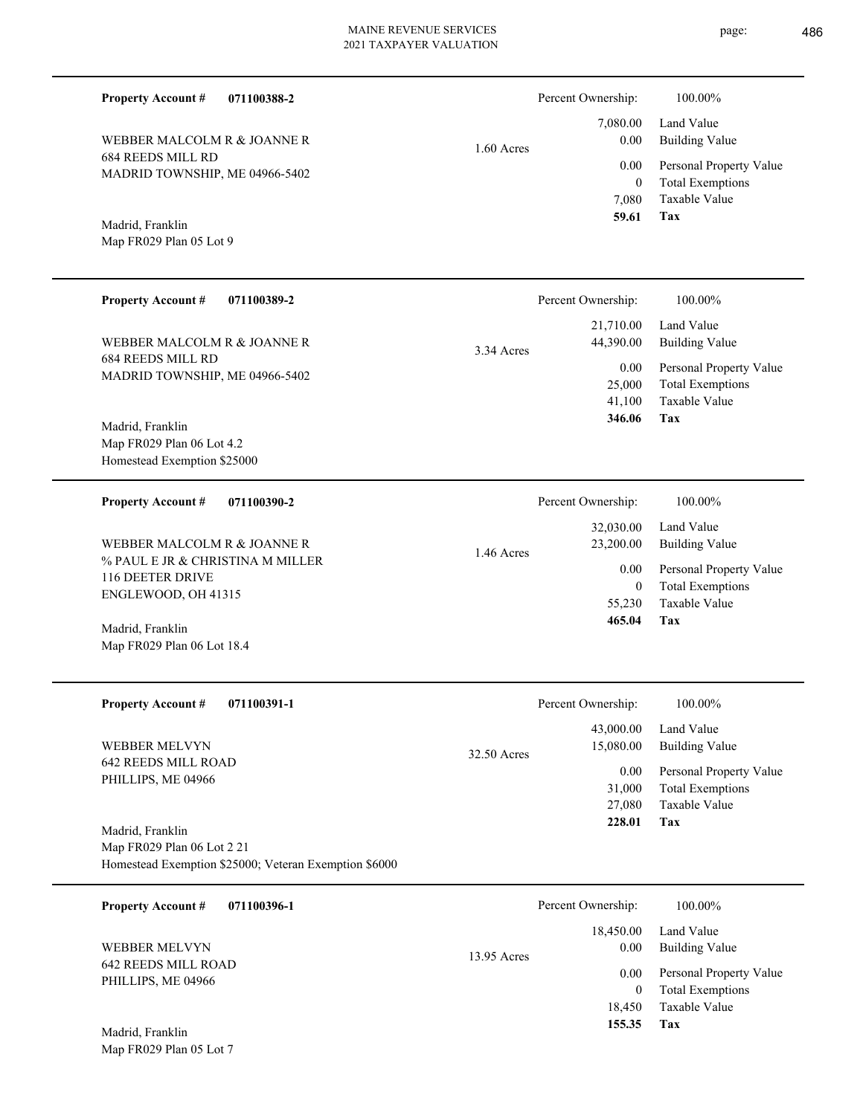| <b>Property Account #</b><br>071100388-2                                    |             | Percent Ownership:                     | 100.00%                                                                           |
|-----------------------------------------------------------------------------|-------------|----------------------------------------|-----------------------------------------------------------------------------------|
| WEBBER MALCOLM R & JOANNE R                                                 | 1.60 Acres  | 7,080.00<br>0.00                       | Land Value<br><b>Building Value</b>                                               |
| <b>684 REEDS MILL RD</b><br>MADRID TOWNSHIP, ME 04966-5402                  |             | 0.00<br>$\mathbf{0}$<br>7,080<br>59.61 | Personal Property Value<br><b>Total Exemptions</b><br>Taxable Value<br><b>Tax</b> |
| Madrid, Franklin<br>Map FR029 Plan 05 Lot 9                                 |             |                                        |                                                                                   |
| <b>Property Account #</b><br>071100389-2                                    |             | Percent Ownership:                     | 100.00%                                                                           |
| WEBBER MALCOLM R & JOANNE R                                                 | 3.34 Acres  | 21,710.00<br>44,390.00                 | Land Value<br><b>Building Value</b>                                               |
| <b>684 REEDS MILL RD</b><br>MADRID TOWNSHIP, ME 04966-5402                  |             | 0.00<br>25,000<br>41,100<br>346.06     | Personal Property Value<br><b>Total Exemptions</b><br>Taxable Value<br>Tax        |
| Madrid, Franklin<br>Map FR029 Plan 06 Lot 4.2                               |             |                                        |                                                                                   |
| Homestead Exemption \$25000                                                 |             |                                        |                                                                                   |
| <b>Property Account #</b><br>071100390-2                                    |             | Percent Ownership:                     | 100.00%                                                                           |
| WEBBER MALCOLM R & JOANNE R                                                 | 1.46 Acres  | 32,030.00<br>23,200.00                 | Land Value<br><b>Building Value</b>                                               |
| % PAUL E JR & CHRISTINA M MILLER<br>116 DEETER DRIVE<br>ENGLEWOOD, OH 41315 |             | 0.00<br>$\mathbf{0}$                   | Personal Property Value<br><b>Total Exemptions</b>                                |
| Madrid, Franklin                                                            |             | 55,230<br>465.04                       | Taxable Value<br>Tax                                                              |
| Map FR029 Plan 06 Lot 18.4                                                  |             |                                        |                                                                                   |
| <b>Property Account #</b><br>071100391-1                                    |             | Percent Ownership:                     | 100.00%                                                                           |
| WEBBER MELVYN                                                               | 32.50 Acres | 43,000.00<br>15,080.00                 | Land Value<br><b>Building Value</b>                                               |
| <b>642 REEDS MILL ROAD</b><br>PHILLIPS, ME 04966                            |             | 0.00<br>31,000<br>27,080               | Personal Property Value<br><b>Total Exemptions</b><br>Taxable Value               |
| Madrid, Franklin<br>Map FR029 Plan 06 Lot 2 21                              |             | 228.01                                 | <b>Tax</b>                                                                        |
| Homestead Exemption \$25000; Veteran Exemption \$6000                       |             |                                        |                                                                                   |
| 071100396-1<br><b>Property Account #</b>                                    |             | Percent Ownership:                     | 100.00%                                                                           |
| WEBBER MELVYN                                                               | 13.95 Acres | 18,450.00<br>0.00                      | Land Value<br><b>Building Value</b>                                               |
| <b>642 REEDS MILL ROAD</b><br>PHILLIPS, ME 04966                            |             | 0.00<br>$\overline{0}$                 | Personal Property Value<br><b>Total Exemptions</b>                                |

**Tax 155.35**

18,450

Taxable Value

Map FR029 Plan 05 Lot 7 Madrid, Franklin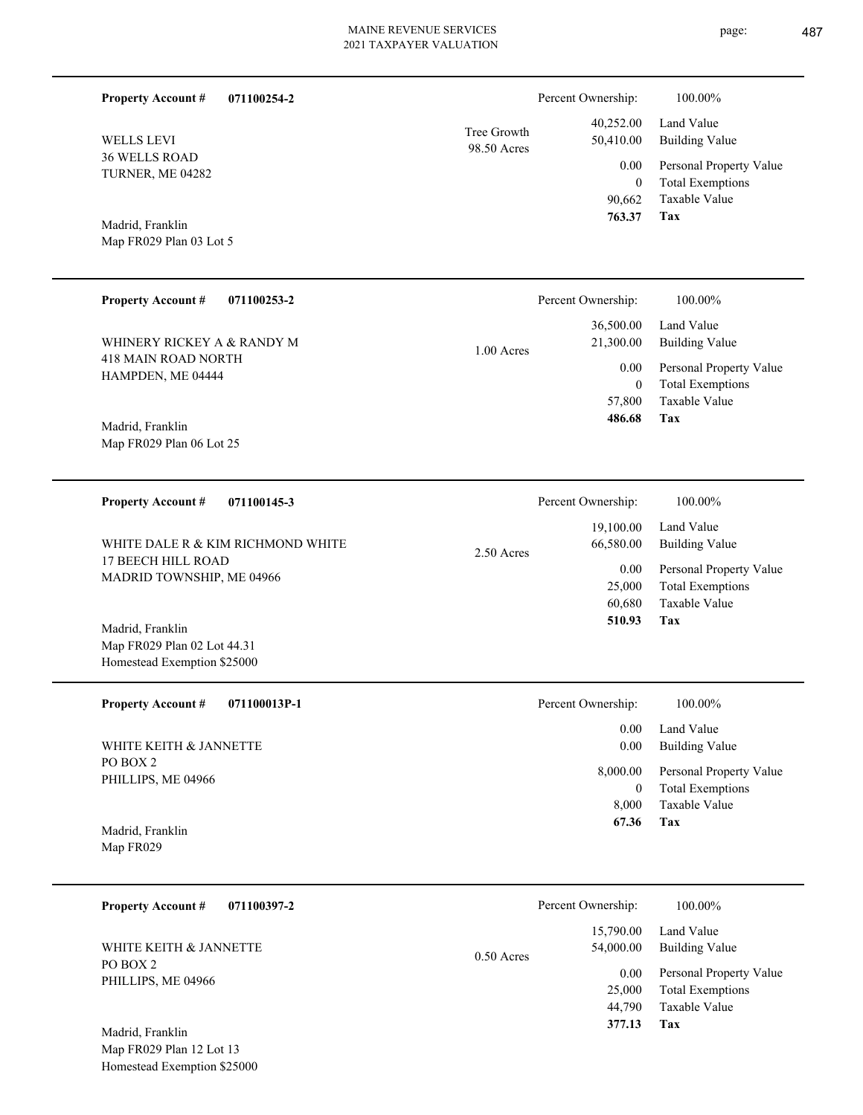| 071100254-2<br><b>Property Account #</b>                   |             | Percent Ownership:        | 100.00%                                  |
|------------------------------------------------------------|-------------|---------------------------|------------------------------------------|
| <b>WELLS LEVI</b>                                          | Tree Growth | 40,252.00<br>50,410.00    | Land Value<br><b>Building Value</b>      |
| 36 WELLS ROAD                                              | 98.50 Acres | 0.00                      | Personal Property Value                  |
| TURNER, ME 04282                                           |             | $\boldsymbol{0}$          | <b>Total Exemptions</b>                  |
|                                                            |             | 90,662<br>763.37          | Taxable Value<br>Tax                     |
| Madrid, Franklin                                           |             |                           |                                          |
| Map FR029 Plan 03 Lot 5                                    |             |                           |                                          |
| <b>Property Account #</b><br>071100253-2                   |             | Percent Ownership:        | 100.00%                                  |
|                                                            |             | 36,500.00                 | Land Value                               |
| WHINERY RICKEY A & RANDY M<br><b>418 MAIN ROAD NORTH</b>   | 1.00 Acres  | 21,300.00                 | <b>Building Value</b>                    |
| HAMPDEN, ME 04444                                          |             | 0.00                      | Personal Property Value                  |
|                                                            |             | $\mathbf{0}$<br>57,800    | <b>Total Exemptions</b><br>Taxable Value |
| Madrid, Franklin                                           |             | 486.68                    | <b>Tax</b>                               |
| Map FR029 Plan 06 Lot 25                                   |             |                           |                                          |
|                                                            |             |                           |                                          |
| <b>Property Account #</b><br>071100145-3                   |             | Percent Ownership:        | 100.00%                                  |
| WHITE DALE R & KIM RICHMOND WHITE                          |             | 19,100.00<br>66,580.00    | Land Value<br><b>Building Value</b>      |
| 17 BEECH HILL ROAD                                         | 2.50 Acres  | 0.00                      | Personal Property Value                  |
| MADRID TOWNSHIP, ME 04966                                  |             | 25,000                    | <b>Total Exemptions</b>                  |
|                                                            |             | 60,680                    | Taxable Value                            |
| Madrid, Franklin                                           |             | 510.93                    | <b>Tax</b>                               |
| Map FR029 Plan 02 Lot 44.31<br>Homestead Exemption \$25000 |             |                           |                                          |
| 071100013P-1<br><b>Property Account #</b>                  |             | Percent Ownership:        | 100.00%                                  |
|                                                            |             | 0.00                      | Land Value                               |
| WHITE KEITH & JANNETTE<br>PO BOX 2                         |             | 0.00                      | <b>Building Value</b>                    |
| PHILLIPS, ME 04966                                         |             | 8,000.00                  | Personal Property Value                  |
|                                                            |             | $\boldsymbol{0}$<br>8,000 | <b>Total Exemptions</b><br>Taxable Value |
| Madrid, Franklin                                           |             | 67.36                     | Tax                                      |
| Map FR029                                                  |             |                           |                                          |

| 071100397-2<br><b>Property Account #</b> |              | Percent Ownership:     | 100.00%                      |
|------------------------------------------|--------------|------------------------|------------------------------|
| WHITE KEITH & JANNETTE                   | $0.50$ Acres | 15,790.00<br>54,000.00 | Land Value<br>Building Value |
| PO BOX 2<br>PHILLIPS, ME 04966           |              | 0.00                   | Personal Property Value      |
|                                          |              | 25,000                 | <b>Total Exemptions</b>      |
|                                          |              | 44,790                 | Taxable Value                |
| Madrid, Franklin                         |              | 377.13                 | Tax                          |

Map FR029 Plan 12 Lot 13 Homestead Exemption \$25000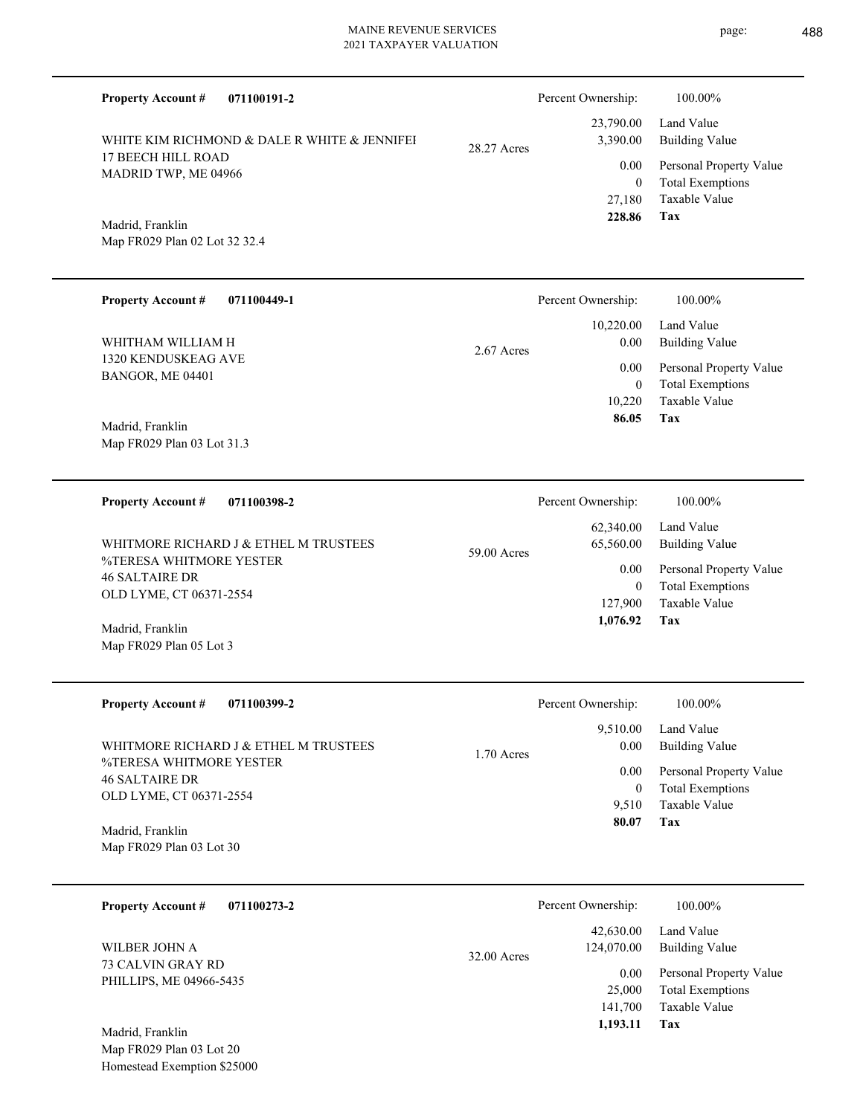| 071100191-2<br><b>Property Account #</b>                                                                                                                                                                                                                                                                                |              | Percent Ownership:                        | 100.00%                                                                    |
|-------------------------------------------------------------------------------------------------------------------------------------------------------------------------------------------------------------------------------------------------------------------------------------------------------------------------|--------------|-------------------------------------------|----------------------------------------------------------------------------|
| WHITE KIM RICHMOND & DALE R WHITE & JENNIFEI                                                                                                                                                                                                                                                                            | 28.27 Acres  | 23,790.00<br>3,390.00                     | Land Value<br><b>Building Value</b>                                        |
| 17 BEECH HILL ROAD<br>MADRID TWP, ME 04966                                                                                                                                                                                                                                                                              |              | 0.00                                      | Personal Property Value                                                    |
| Madrid, Franklin<br>Map FR029 Plan 02 Lot 32 32.4                                                                                                                                                                                                                                                                       |              | $\overline{0}$<br>27,180<br>228.86        | <b>Total Exemptions</b><br>Taxable Value<br>Tax                            |
| <b>Property Account #</b><br>071100449-1                                                                                                                                                                                                                                                                                |              | Percent Ownership:                        | 100.00%                                                                    |
| WHITHAM WILLIAM H                                                                                                                                                                                                                                                                                                       | 2.67 Acres   | 10,220.00<br>0.00                         | Land Value<br><b>Building Value</b>                                        |
| 1320 KENDUSKEAG AVE<br>BANGOR, ME 04401                                                                                                                                                                                                                                                                                 |              | 0.00                                      | Personal Property Value                                                    |
| Madrid, Franklin                                                                                                                                                                                                                                                                                                        |              | $\boldsymbol{0}$<br>10,220<br>86.05       | <b>Total Exemptions</b><br>Taxable Value<br>Tax                            |
| Map FR029 Plan 03 Lot 31.3                                                                                                                                                                                                                                                                                              |              |                                           |                                                                            |
| 071100398-2<br><b>Property Account #</b>                                                                                                                                                                                                                                                                                |              | Percent Ownership:                        | 100.00%                                                                    |
| WHITMORE RICHARD J & ETHEL M TRUSTEES                                                                                                                                                                                                                                                                                   | 59.00 Acres  | 62,340.00<br>65,560.00                    | Land Value<br><b>Building Value</b>                                        |
| %TERESA WHITMORE YESTER<br><b>46 SALTAIRE DR</b>                                                                                                                                                                                                                                                                        |              | 0.00<br>$\overline{0}$                    | Personal Property Value<br><b>Total Exemptions</b>                         |
| OLD LYME, CT 06371-2554<br>Madrid, Franklin                                                                                                                                                                                                                                                                             |              | 127,900<br>1,076.92                       | Taxable Value<br>Tax                                                       |
| Map FR029 Plan 05 Lot 3                                                                                                                                                                                                                                                                                                 |              |                                           |                                                                            |
| <b>Property Account #</b><br>071100399-2                                                                                                                                                                                                                                                                                |              | Percent Ownership:                        | 100.00%                                                                    |
| WHITMORE RICHARD J & ETHEL M TRUSTEES                                                                                                                                                                                                                                                                                   | $1.70$ Acres | 9,510.00<br>$0.00\,$                      | Land Value<br><b>Building Value</b>                                        |
| %TERESA WHITMORE YESTER<br><b>46 SALTAIRE DR</b>                                                                                                                                                                                                                                                                        |              | $0.00\,$                                  | Personal Property Value                                                    |
| OLD LYME, CT 06371-2554<br>Madrid, Franklin                                                                                                                                                                                                                                                                             |              | $\overline{0}$<br>9,510<br>80.07          | <b>Total Exemptions</b><br>Taxable Value<br>Tax                            |
| Map FR029 Plan 03 Lot 30                                                                                                                                                                                                                                                                                                |              |                                           |                                                                            |
| 071100273-2<br><b>Property Account #</b>                                                                                                                                                                                                                                                                                |              | Percent Ownership:                        | 100.00%                                                                    |
| WILBER JOHN A                                                                                                                                                                                                                                                                                                           | 32.00 Acres  | 42,630.00<br>124,070.00                   | Land Value<br><b>Building Value</b>                                        |
| 73 CALVIN GRAY RD<br>PHILLIPS, ME 04966-5435                                                                                                                                                                                                                                                                            |              | $0.00\,$<br>25,000<br>141,700<br>1,193.11 | Personal Property Value<br><b>Total Exemptions</b><br>Taxable Value<br>Tax |
| $M_0 \frac{1}{2}$ $\frac{1}{2}$ $\frac{1}{2}$ $\frac{1}{2}$ $\frac{1}{2}$ $\frac{1}{2}$ $\frac{1}{2}$ $\frac{1}{2}$ $\frac{1}{2}$ $\frac{1}{2}$ $\frac{1}{2}$ $\frac{1}{2}$ $\frac{1}{2}$ $\frac{1}{2}$ $\frac{1}{2}$ $\frac{1}{2}$ $\frac{1}{2}$ $\frac{1}{2}$ $\frac{1}{2}$ $\frac{1}{2}$ $\frac{1}{2}$ $\frac{1}{2}$ |              |                                           |                                                                            |

Map FR029 Plan 03 Lot 20 Homestead Exemption \$25000 Madrid, Franklin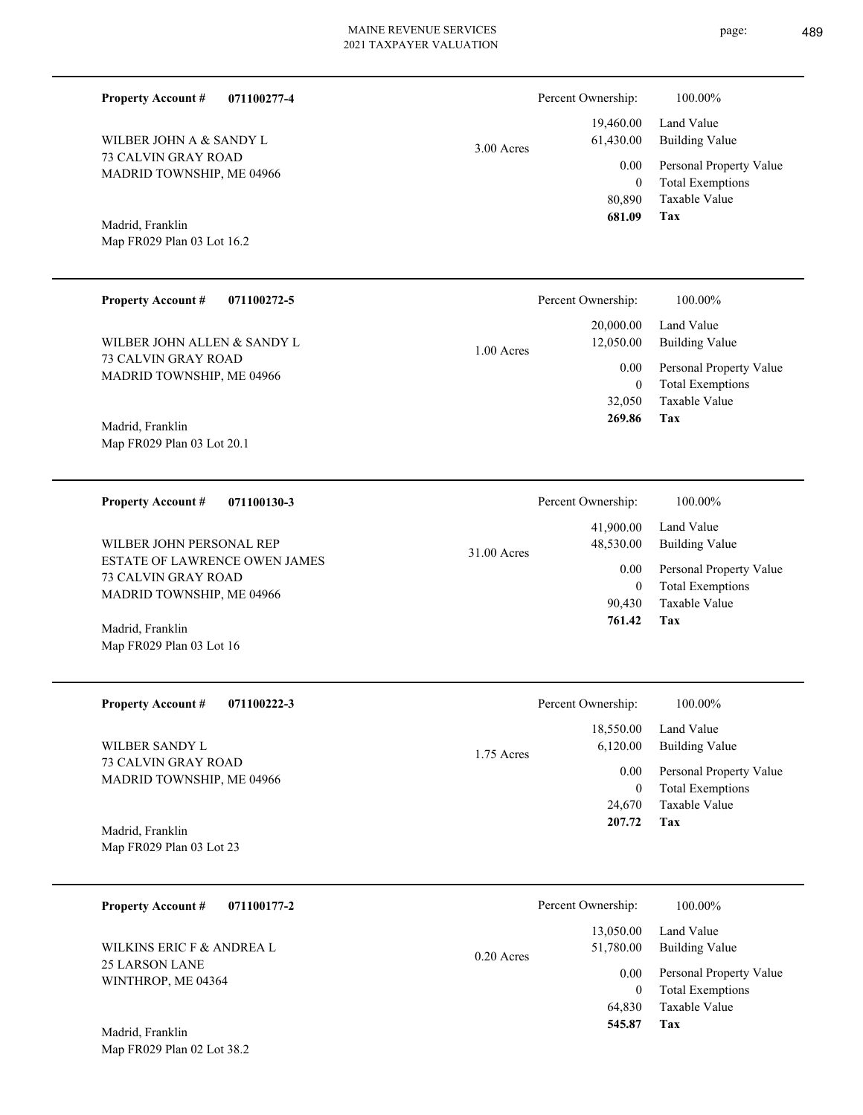| page: | 489 |
|-------|-----|
|       |     |

| <b>Property Account #</b><br>071100277-4                                                 |              | Percent Ownership:                                  | 100.00%                                            |
|------------------------------------------------------------------------------------------|--------------|-----------------------------------------------------|----------------------------------------------------|
| WILBER JOHN A & SANDY L                                                                  | $3.00$ Acres | 19,460.00<br>61,430.00                              | Land Value<br><b>Building Value</b>                |
| <b>73 CALVIN GRAY ROAD</b><br>MADRID TOWNSHIP, ME 04966                                  |              | 0.00<br>$\overline{0}$<br>80,890<br>681.09          | Personal Property Value<br><b>Total Exemptions</b> |
| Madrid, Franklin                                                                         |              |                                                     | <b>Taxable Value</b><br>Tax                        |
| Map FR029 Plan 03 Lot 16.2                                                               |              |                                                     |                                                    |
| <b>Property Account #</b><br>071100272-5                                                 |              | Percent Ownership:                                  | 100.00%                                            |
| WILBER JOHN ALLEN & SANDY L                                                              | $1.00$ Acres | 20,000.00<br>12,050.00<br>0.00<br>$\overline{0}$    | Land Value<br><b>Building Value</b>                |
| 73 CALVIN GRAY ROAD<br>MADRID TOWNSHIP, ME 04966                                         |              |                                                     | Personal Property Value<br><b>Total Exemptions</b> |
| Madrid, Franklin                                                                         |              | 32,050<br>269.86                                    | <b>Taxable Value</b><br>Tax                        |
| Map FR029 Plan 03 Lot 20.1                                                               |              |                                                     |                                                    |
| <b>Property Account #</b><br>071100130-3                                                 |              | Percent Ownership:                                  | 100.00%                                            |
| WILBER JOHN PERSONAL REP                                                                 | 31.00 Acres  | 41,900.00<br>48,530.00<br>0.00<br>$\overline{0}$    | Land Value<br><b>Building Value</b>                |
| <b>ESTATE OF LAWRENCE OWEN JAMES</b><br>73 CALVIN GRAY ROAD<br>MADRID TOWNSHIP, ME 04966 |              |                                                     | Personal Property Value<br><b>Total Exemptions</b> |
| Madrid, Franklin                                                                         |              | 90,430<br>761.42                                    | Taxable Value<br>Tax                               |
| Map FR029 Plan 03 Lot 16                                                                 |              |                                                     |                                                    |
| <b>Property Account #</b><br>071100222-3                                                 |              | Percent Ownership:                                  | 100.00%                                            |
| WILBER SANDY L                                                                           | 1.75 Acres   | 18,550.00<br>6,120.00<br>$0.00\,$<br>$\overline{0}$ | Land Value<br><b>Building Value</b>                |
| 73 CALVIN GRAY ROAD<br>MADRID TOWNSHIP, ME 04966                                         |              |                                                     | Personal Property Value<br><b>Total Exemptions</b> |
| Madrid, Franklin                                                                         |              | 24,670<br>207.72                                    | Taxable Value<br>Tax                               |
| Map FR029 Plan 03 Lot 23                                                                 |              |                                                     |                                                    |
| 071100177-2<br><b>Property Account #</b>                                                 |              | Percent Ownership:                                  | 100.00%                                            |
| WILKINS ERIC F & ANDREA L                                                                | $0.20$ Acres | 13,050.00<br>51,780.00                              | Land Value<br><b>Building Value</b>                |
| <b>25 LARSON LANE</b><br>WINTHROP, ME 04364                                              |              | $0.00\,$<br>$\overline{0}$                          | Personal Property Value<br><b>Total Exemptions</b> |
|                                                                                          |              | 64,830<br>545.87                                    | Taxable Value<br>Tax                               |
| Madrid, Franklin<br>Map FR029 Plan 02 Lot 38.2                                           |              |                                                     |                                                    |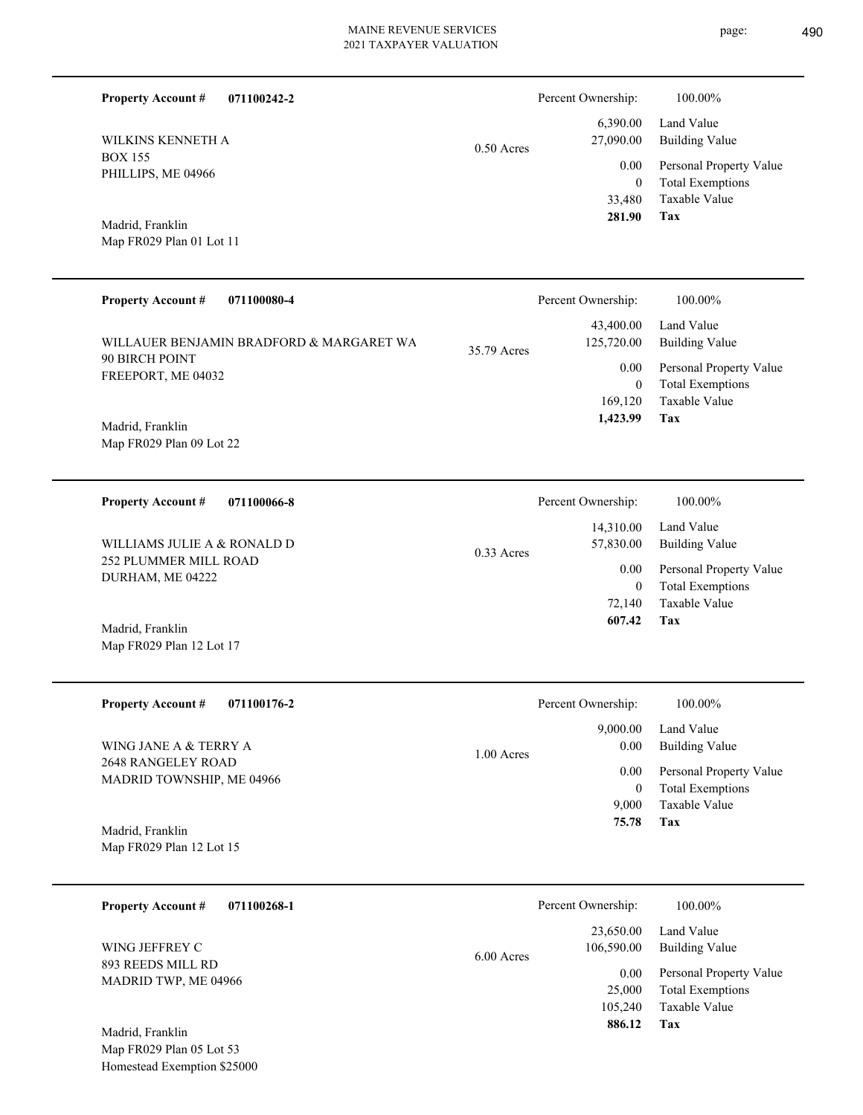| <b>Property Account #</b><br>071100242-2<br>WILKINS KENNETH A<br><b>BOX 155</b><br>PHILLIPS, ME 04966<br>Madrid, Franklin<br>Map FR029 Plan 01 Lot 11                                  | Percent Ownership:<br>6,390.00<br>27,090.00<br>$0.50$ Acres<br>0.00<br>33,480<br>281.90            | 100.00%<br>Land Value<br><b>Building Value</b><br>Personal Property Value<br><b>Total Exemptions</b><br>$\overline{0}$<br>Taxable Value<br>Tax  |
|----------------------------------------------------------------------------------------------------------------------------------------------------------------------------------------|----------------------------------------------------------------------------------------------------|-------------------------------------------------------------------------------------------------------------------------------------------------|
| <b>Property Account #</b><br>071100080-4<br>WILLAUER BENJAMIN BRADFORD & MARGARET WA<br>90 BIRCH POINT<br>FREEPORT, ME 04032<br>Madrid, Franklin<br>Map FR029 Plan 09 Lot 22           | Percent Ownership:<br>43,400.00<br>125,720.00<br>35.79 Acres<br>0.00<br>169,120<br>1,423.99        | 100.00%<br>Land Value<br><b>Building Value</b><br>Personal Property Value<br><b>Total Exemptions</b><br>$\mathbf{0}$<br>Taxable Value<br>Tax    |
| <b>Property Account #</b><br>071100066-8<br>WILLIAMS JULIE A & RONALD D<br>252 PLUMMER MILL ROAD<br>DURHAM, ME 04222<br>Madrid, Franklin<br>Map FR029 Plan 12 Lot 17                   | Percent Ownership:<br>14,310.00<br>57,830.00<br>$0.33$ Acres<br>0.00<br>72,140<br>607.42           | 100.00%<br>Land Value<br><b>Building Value</b><br>Personal Property Value<br><b>Total Exemptions</b><br>$\mathbf{0}$<br>Taxable Value<br>Tax    |
| <b>Property Account #</b><br>071100176-2<br>WING JANE A & TERRY A<br><b>2648 RANGELEY ROAD</b><br>MADRID TOWNSHIP, ME 04966<br>Madrid, Franklin<br>Map FR029 Plan 12 Lot 15            | Percent Ownership:<br>9,000.00<br>0.00<br>1.00 Acres<br>0.00<br>9,000<br>75.78                     | $100.00\%$<br>Land Value<br><b>Building Value</b><br>Personal Property Value<br><b>Total Exemptions</b><br>$\mathbf{0}$<br>Taxable Value<br>Tax |
| <b>Property Account #</b><br>071100268-1<br>WING JEFFREY C<br>893 REEDS MILL RD<br>MADRID TWP, ME 04966<br>Madrid, Franklin<br>Map FR029 Plan 05 Lot 53<br>Homestead Exemption \$25000 | Percent Ownership:<br>23,650.00<br>106,590.00<br>6.00 Acres<br>0.00<br>25,000<br>105,240<br>886.12 | 100.00%<br>Land Value<br><b>Building Value</b><br>Personal Property Value<br><b>Total Exemptions</b><br>Taxable Value<br>Tax                    |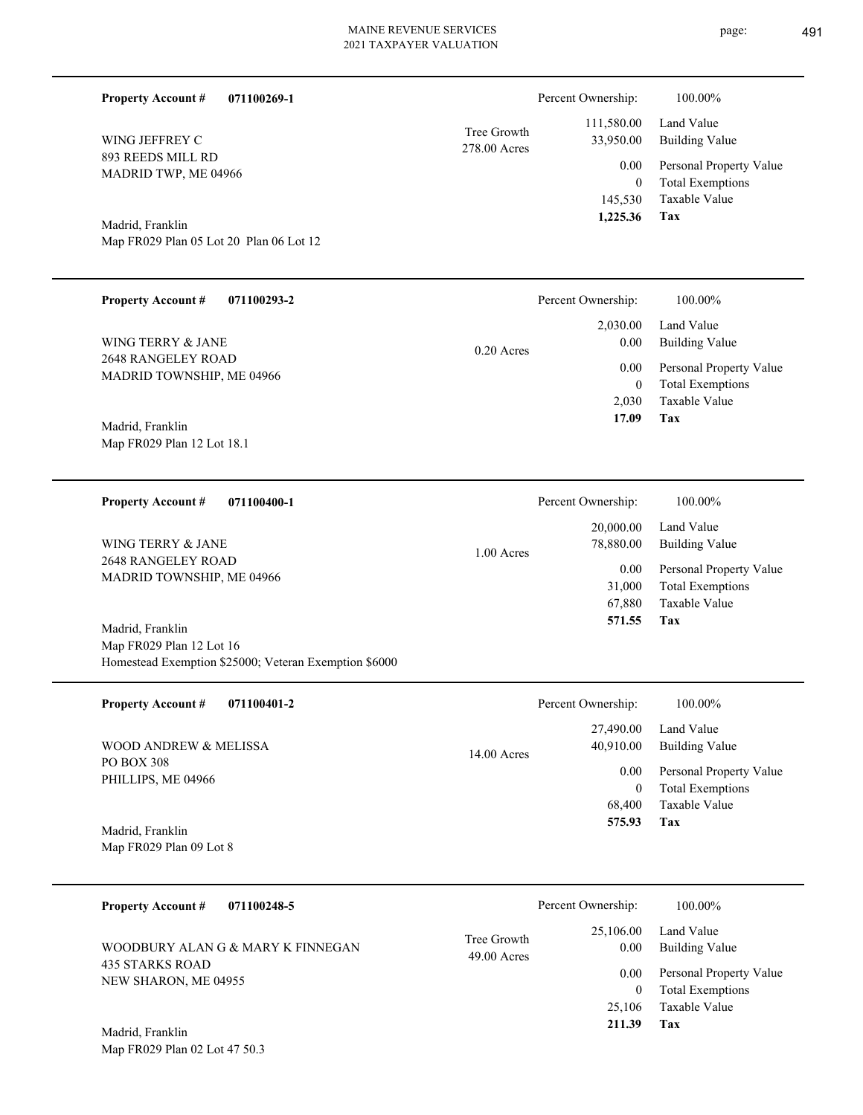| <b>Property Account #</b><br>071100269-1                                                              |                             | Percent Ownership:                                | 100.00%                                                                           |
|-------------------------------------------------------------------------------------------------------|-----------------------------|---------------------------------------------------|-----------------------------------------------------------------------------------|
| WING JEFFREY C                                                                                        | Tree Growth<br>278.00 Acres | 111,580.00<br>33,950.00                           | Land Value<br><b>Building Value</b>                                               |
| 893 REEDS MILL RD<br>MADRID TWP, ME 04966                                                             |                             | 0.00<br>$\mathbf{0}$<br>145,530                   | Personal Property Value<br><b>Total Exemptions</b><br><b>Taxable Value</b>        |
| Madrid, Franklin<br>Map FR029 Plan 05 Lot 20 Plan 06 Lot 12                                           |                             | 1,225.36                                          | Tax                                                                               |
| <b>Property Account #</b><br>071100293-2                                                              |                             | Percent Ownership:                                | 100.00%                                                                           |
| WING TERRY & JANE                                                                                     | $0.20$ Acres                | 2,030.00<br>0.00<br>0.00<br>$\mathbf{0}$<br>2,030 | Land Value<br><b>Building Value</b>                                               |
| <b>2648 RANGELEY ROAD</b><br>MADRID TOWNSHIP, ME 04966                                                |                             |                                                   | Personal Property Value<br><b>Total Exemptions</b><br>Taxable Value               |
| Madrid, Franklin<br>Map FR029 Plan 12 Lot 18.1                                                        |                             | 17.09                                             | Tax                                                                               |
| <b>Property Account #</b><br>071100400-1                                                              |                             | Percent Ownership:                                | 100.00%                                                                           |
| WING TERRY & JANE                                                                                     | $1.00$ Acres                | 20,000.00<br>78,880.00                            | Land Value<br><b>Building Value</b>                                               |
| 2648 RANGELEY ROAD<br>MADRID TOWNSHIP, ME 04966                                                       |                             | 0.00<br>31,000<br>67,880<br>571.55                | Personal Property Value<br><b>Total Exemptions</b><br><b>Taxable Value</b><br>Tax |
| Madrid, Franklin<br>Map FR029 Plan 12 Lot 16<br>Homestead Exemption \$25000; Veteran Exemption \$6000 |                             |                                                   |                                                                                   |

| <b>Property Account #</b><br>071100401-2                  | Percent Ownership:         | 100.00%                 |
|-----------------------------------------------------------|----------------------------|-------------------------|
|                                                           | 27,490.00                  | Land Value              |
| WOOD ANDREW & MELISSA<br>PO BOX 308<br>PHILLIPS, ME 04966 | 40,910.00<br>$14.00$ Acres | Building Value          |
|                                                           | 0.00                       | Personal Property Value |
|                                                           | $\mathbf{0}$               | <b>Total Exemptions</b> |
|                                                           | 68,400                     | Taxable Value           |
| Madrid, Franklin                                          | 575.93                     | Tax                     |
| Map FR029 Plan 09 Lot 8                                   |                            |                         |

| 071100248-5<br><b>Property Account #</b>                                     | Percent Ownership:                                | 100.00%                                            |
|------------------------------------------------------------------------------|---------------------------------------------------|----------------------------------------------------|
| WOODBURY ALAN G & MARY K FINNEGAN<br>435 STARKS ROAD<br>NEW SHARON, ME 04955 | 25,106.00<br>Tree Growth<br>0.00<br>$49.00$ Acres | Land Value<br>Building Value                       |
|                                                                              | 0.00<br>0                                         | Personal Property Value<br><b>Total Exemptions</b> |
|                                                                              | 25,106                                            | Taxable Value                                      |
| Madrid, Franklin                                                             | 211.39                                            | Tax                                                |

Map FR029 Plan 02 Lot 47 50.3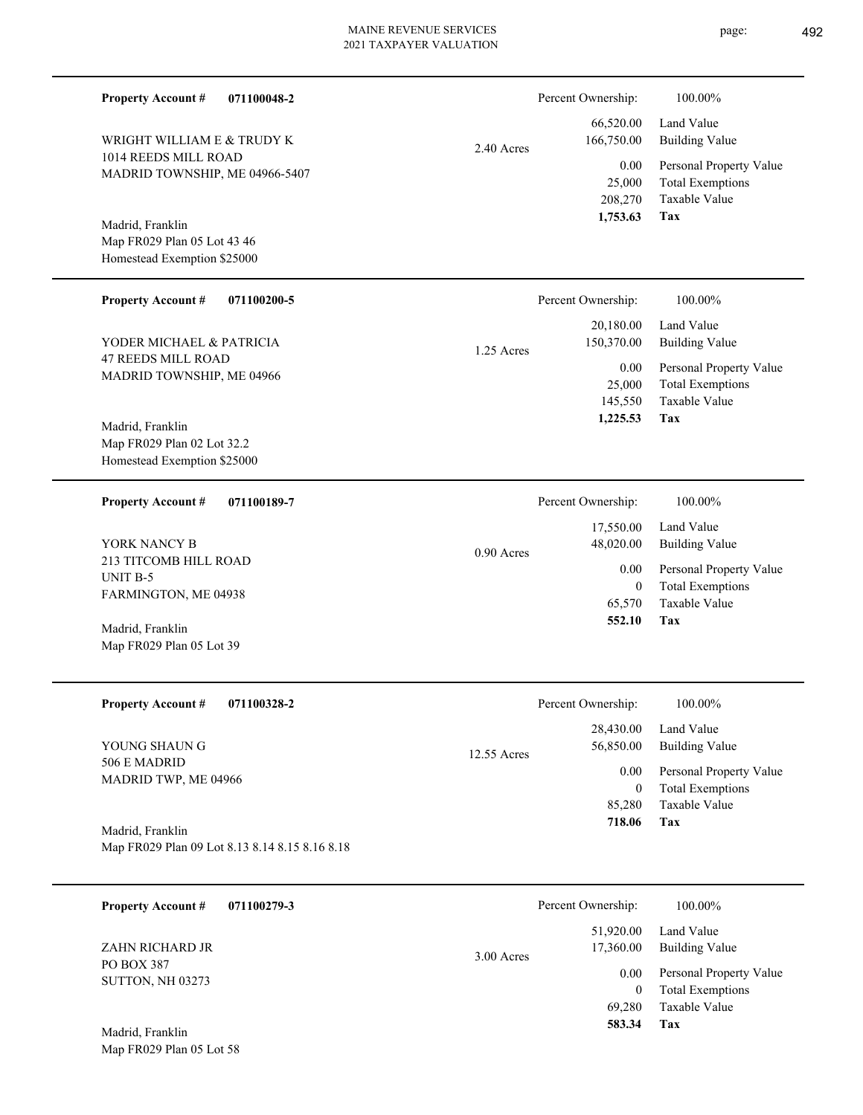| <b>Property Account #</b><br>071100048-2                                       |             | Percent Ownership:                         | 100.00%                                                                    |
|--------------------------------------------------------------------------------|-------------|--------------------------------------------|----------------------------------------------------------------------------|
| WRIGHT WILLIAM E & TRUDY K                                                     | 2.40 Acres  | 66,520.00<br>166,750.00                    | Land Value<br><b>Building Value</b>                                        |
| 1014 REEDS MILL ROAD<br>MADRID TOWNSHIP, ME 04966-5407                         |             | 0.00<br>25,000<br>208,270<br>1,753.63      | Personal Property Value<br><b>Total Exemptions</b><br>Taxable Value<br>Tax |
| Madrid, Franklin<br>Map FR029 Plan 05 Lot 43 46<br>Homestead Exemption \$25000 |             |                                            |                                                                            |
| <b>Property Account #</b><br>071100200-5                                       |             | Percent Ownership:                         | 100.00%                                                                    |
| YODER MICHAEL & PATRICIA                                                       | 1.25 Acres  | 20,180.00<br>150,370.00                    | Land Value<br><b>Building Value</b>                                        |
| <b>47 REEDS MILL ROAD</b><br>MADRID TOWNSHIP, ME 04966<br>Madrid, Franklin     |             | 0.00<br>25,000<br>145,550<br>1,225.53      | Personal Property Value<br><b>Total Exemptions</b><br>Taxable Value<br>Tax |
| Map FR029 Plan 02 Lot 32.2<br>Homestead Exemption \$25000                      |             |                                            |                                                                            |
| 071100189-7<br><b>Property Account #</b>                                       |             | Percent Ownership:                         | 100.00%                                                                    |
| YORK NANCY B                                                                   | 0.90 Acres  | 17,550.00<br>48,020.00                     | Land Value<br><b>Building Value</b>                                        |
| 213 TITCOMB HILL ROAD<br>UNIT B-5<br>FARMINGTON, ME 04938                      |             | 0.00<br>$\overline{0}$                     | Personal Property Value<br><b>Total Exemptions</b>                         |
| Madrid, Franklin<br>Map FR029 Plan 05 Lot 39                                   |             | 65,570<br>552.10                           | Taxable Value<br>Tax                                                       |
| <b>Property Account #</b><br>071100328-2                                       |             | Percent Ownership:                         | 100.00%                                                                    |
| YOUNG SHAUN G                                                                  | 12.55 Acres | 28,430.00<br>56,850.00                     | Land Value<br><b>Building Value</b>                                        |
| 506 E MADRID<br>MADRID TWP, ME 04966                                           |             | 0.00<br>$\overline{0}$<br>85,280<br>718.06 | Personal Property Value<br><b>Total Exemptions</b><br>Taxable Value<br>Tax |
| Madrid, Franklin<br>Map FR029 Plan 09 Lot 8.13 8.14 8.15 8.16 8.18             |             |                                            |                                                                            |
| <b>Property Account #</b><br>071100279-3                                       |             | Percent Ownership:                         | 100.00%                                                                    |
| ZAHN RICHARD JR                                                                | 3.00 Acres  | 51,920.00<br>17,360.00                     | Land Value<br><b>Building Value</b>                                        |
| PO BOX 387<br>SUTTON, NH 03273                                                 |             | 0.00<br>$\overline{0}$<br>69,280<br>583.34 | Personal Property Value<br><b>Total Exemptions</b><br>Taxable Value<br>Tax |
| Madrid, Franklin<br>Map FR029 Plan 05 Lot 58                                   |             |                                            |                                                                            |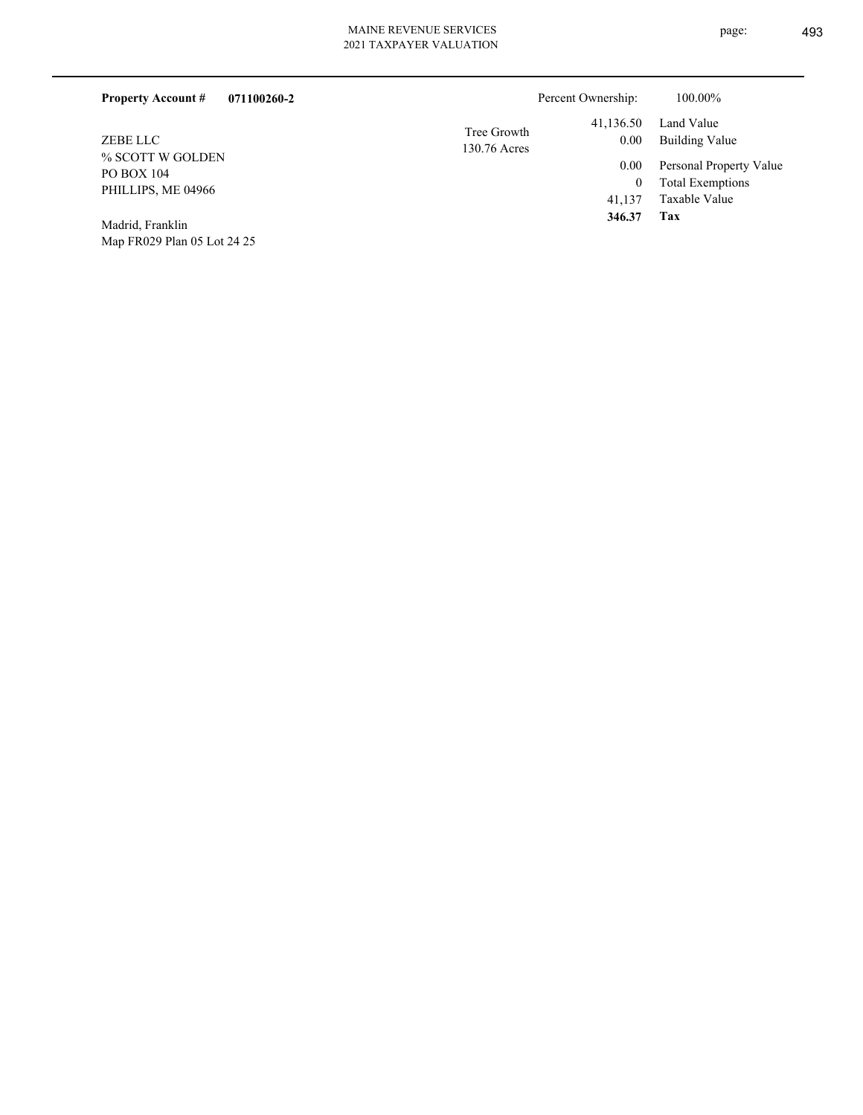| MAINE NEVENUE 5EN VIUES |
|-------------------------|
| 2021 TAXPAYER VALUATION |
|                         |

| 071100260-2<br><b>Property Account #</b>                                |                             | Percent Ownership: | 100.00%                                            |
|-------------------------------------------------------------------------|-----------------------------|--------------------|----------------------------------------------------|
| ZEBE LLC<br>% SCOTT W GOLDEN<br><b>PO BOX 104</b><br>PHILLIPS, ME 04966 | Tree Growth<br>130.76 Acres | 41,136.50<br>0.00  | Land Value<br>Building Value                       |
|                                                                         |                             | 0.00<br>$\bf{0}$   | Personal Property Value<br><b>Total Exemptions</b> |
|                                                                         |                             | 41.137             | Taxable Value                                      |
| Modrid Erestin                                                          |                             | 346.37             | Tax                                                |

Map FR029 Plan 05 Lot 24 25 Madrid, Franklin